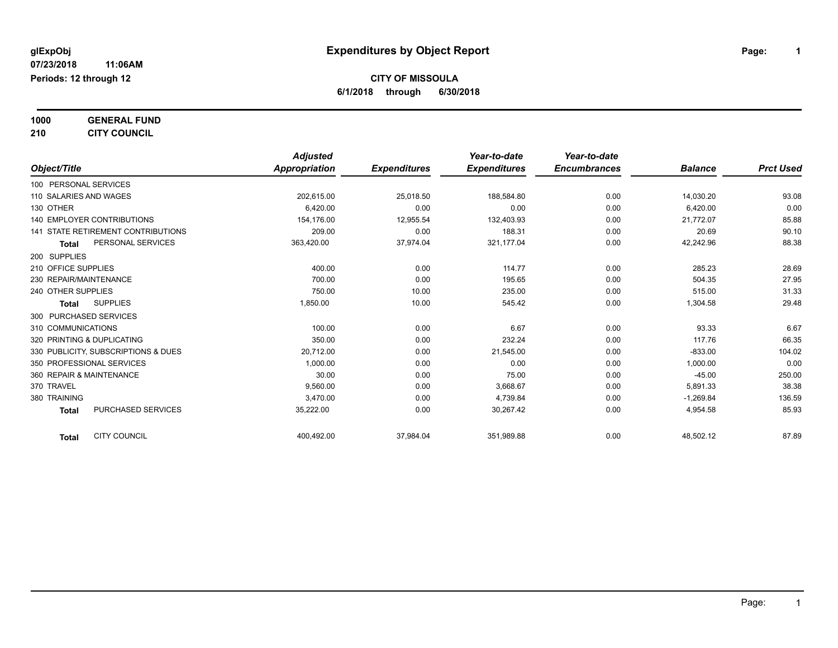**1000 GENERAL FUND**

**210 CITY COUNCIL**

|                                           | <b>Adjusted</b> |                     | Year-to-date        | Year-to-date        |                |                  |
|-------------------------------------------|-----------------|---------------------|---------------------|---------------------|----------------|------------------|
| Object/Title                              | Appropriation   | <b>Expenditures</b> | <b>Expenditures</b> | <b>Encumbrances</b> | <b>Balance</b> | <b>Prct Used</b> |
| 100 PERSONAL SERVICES                     |                 |                     |                     |                     |                |                  |
| 110 SALARIES AND WAGES                    | 202,615.00      | 25,018.50           | 188,584.80          | 0.00                | 14,030.20      | 93.08            |
| 130 OTHER                                 | 6.420.00        | 0.00                | 0.00                | 0.00                | 6,420.00       | 0.00             |
| <b>140 EMPLOYER CONTRIBUTIONS</b>         | 154,176.00      | 12,955.54           | 132,403.93          | 0.00                | 21,772.07      | 85.88            |
| <b>141 STATE RETIREMENT CONTRIBUTIONS</b> | 209.00          | 0.00                | 188.31              | 0.00                | 20.69          | 90.10            |
| PERSONAL SERVICES<br><b>Total</b>         | 363,420.00      | 37,974.04           | 321,177.04          | 0.00                | 42,242.96      | 88.38            |
| 200 SUPPLIES                              |                 |                     |                     |                     |                |                  |
| 210 OFFICE SUPPLIES                       | 400.00          | 0.00                | 114.77              | 0.00                | 285.23         | 28.69            |
| 230 REPAIR/MAINTENANCE                    | 700.00          | 0.00                | 195.65              | 0.00                | 504.35         | 27.95            |
| 240 OTHER SUPPLIES                        | 750.00          | 10.00               | 235.00              | 0.00                | 515.00         | 31.33            |
| <b>SUPPLIES</b><br><b>Total</b>           | 1,850.00        | 10.00               | 545.42              | 0.00                | 1,304.58       | 29.48            |
| 300 PURCHASED SERVICES                    |                 |                     |                     |                     |                |                  |
| 310 COMMUNICATIONS                        | 100.00          | 0.00                | 6.67                | 0.00                | 93.33          | 6.67             |
| 320 PRINTING & DUPLICATING                | 350.00          | 0.00                | 232.24              | 0.00                | 117.76         | 66.35            |
| 330 PUBLICITY, SUBSCRIPTIONS & DUES       | 20,712.00       | 0.00                | 21,545.00           | 0.00                | $-833.00$      | 104.02           |
| 350 PROFESSIONAL SERVICES                 | 1,000.00        | 0.00                | 0.00                | 0.00                | 1,000.00       | 0.00             |
| 360 REPAIR & MAINTENANCE                  | 30.00           | 0.00                | 75.00               | 0.00                | $-45.00$       | 250.00           |
| 370 TRAVEL                                | 9.560.00        | 0.00                | 3,668.67            | 0.00                | 5,891.33       | 38.38            |
| 380 TRAINING                              | 3,470.00        | 0.00                | 4,739.84            | 0.00                | $-1,269.84$    | 136.59           |
| PURCHASED SERVICES<br><b>Total</b>        | 35,222.00       | 0.00                | 30,267.42           | 0.00                | 4,954.58       | 85.93            |
| <b>CITY COUNCIL</b><br><b>Total</b>       | 400,492.00      | 37,984.04           | 351,989.88          | 0.00                | 48,502.12      | 87.89            |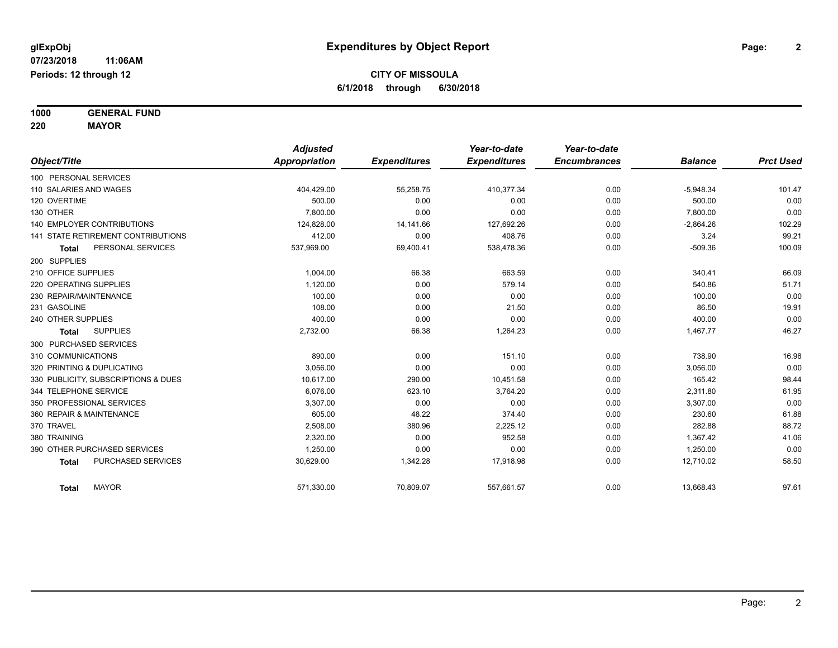**1000 GENERAL FUND**

**220 MAYOR**

|                                           | <b>Adjusted</b> |                     | Year-to-date        | Year-to-date        |                |                  |
|-------------------------------------------|-----------------|---------------------|---------------------|---------------------|----------------|------------------|
| Object/Title                              | Appropriation   | <b>Expenditures</b> | <b>Expenditures</b> | <b>Encumbrances</b> | <b>Balance</b> | <b>Prct Used</b> |
| 100 PERSONAL SERVICES                     |                 |                     |                     |                     |                |                  |
| 110 SALARIES AND WAGES                    | 404,429.00      | 55,258.75           | 410,377.34          | 0.00                | $-5,948.34$    | 101.47           |
| 120 OVERTIME                              | 500.00          | 0.00                | 0.00                | 0.00                | 500.00         | 0.00             |
| 130 OTHER                                 | 7.800.00        | 0.00                | 0.00                | 0.00                | 7,800.00       | 0.00             |
| 140 EMPLOYER CONTRIBUTIONS                | 124,828.00      | 14,141.66           | 127,692.26          | 0.00                | $-2,864.26$    | 102.29           |
| <b>141 STATE RETIREMENT CONTRIBUTIONS</b> | 412.00          | 0.00                | 408.76              | 0.00                | 3.24           | 99.21            |
| PERSONAL SERVICES<br><b>Total</b>         | 537,969.00      | 69,400.41           | 538,478.36          | 0.00                | $-509.36$      | 100.09           |
| 200 SUPPLIES                              |                 |                     |                     |                     |                |                  |
| 210 OFFICE SUPPLIES                       | 1.004.00        | 66.38               | 663.59              | 0.00                | 340.41         | 66.09            |
| 220 OPERATING SUPPLIES                    | 1,120.00        | 0.00                | 579.14              | 0.00                | 540.86         | 51.71            |
| 230 REPAIR/MAINTENANCE                    | 100.00          | 0.00                | 0.00                | 0.00                | 100.00         | 0.00             |
| 231 GASOLINE                              | 108.00          | 0.00                | 21.50               | 0.00                | 86.50          | 19.91            |
| 240 OTHER SUPPLIES                        | 400.00          | 0.00                | 0.00                | 0.00                | 400.00         | 0.00             |
| <b>SUPPLIES</b><br><b>Total</b>           | 2,732.00        | 66.38               | 1,264.23            | 0.00                | 1,467.77       | 46.27            |
| 300 PURCHASED SERVICES                    |                 |                     |                     |                     |                |                  |
| 310 COMMUNICATIONS                        | 890.00          | 0.00                | 151.10              | 0.00                | 738.90         | 16.98            |
| 320 PRINTING & DUPLICATING                | 3,056.00        | 0.00                | 0.00                | 0.00                | 3,056.00       | 0.00             |
| 330 PUBLICITY, SUBSCRIPTIONS & DUES       | 10,617.00       | 290.00              | 10,451.58           | 0.00                | 165.42         | 98.44            |
| 344 TELEPHONE SERVICE                     | 6,076.00        | 623.10              | 3,764.20            | 0.00                | 2,311.80       | 61.95            |
| 350 PROFESSIONAL SERVICES                 | 3,307.00        | 0.00                | 0.00                | 0.00                | 3,307.00       | 0.00             |
| 360 REPAIR & MAINTENANCE                  | 605.00          | 48.22               | 374.40              | 0.00                | 230.60         | 61.88            |
| 370 TRAVEL                                | 2,508.00        | 380.96              | 2,225.12            | 0.00                | 282.88         | 88.72            |
| 380 TRAINING                              | 2,320.00        | 0.00                | 952.58              | 0.00                | 1,367.42       | 41.06            |
| 390 OTHER PURCHASED SERVICES              | 1,250.00        | 0.00                | 0.00                | 0.00                | 1,250.00       | 0.00             |
| PURCHASED SERVICES<br><b>Total</b>        | 30,629.00       | 1,342.28            | 17,918.98           | 0.00                | 12,710.02      | 58.50            |
| <b>MAYOR</b><br><b>Total</b>              | 571,330.00      | 70,809.07           | 557,661.57          | 0.00                | 13,668.43      | 97.61            |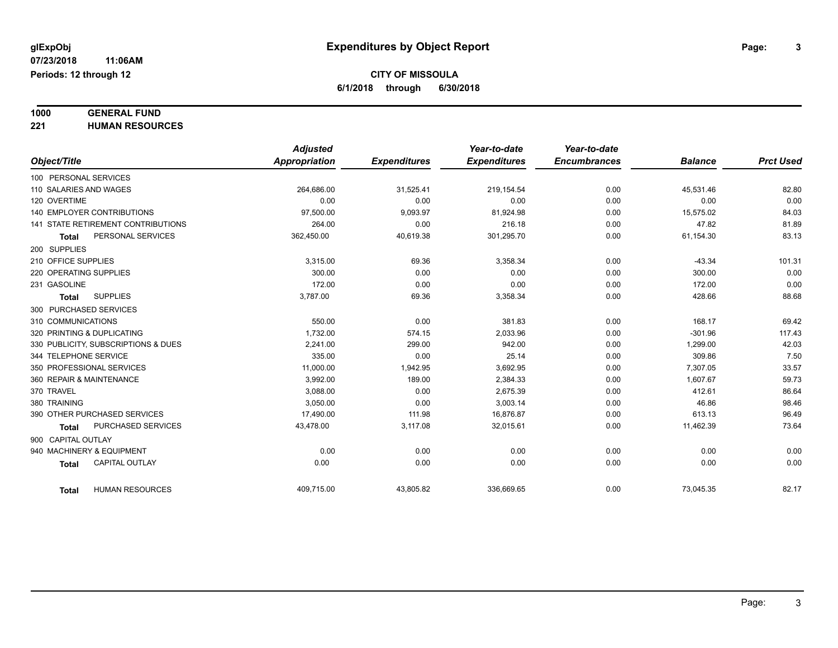# **1000 GENERAL FUND**

**221 HUMAN RESOURCES**

|                                           | <b>Adjusted</b> |                     | Year-to-date        | Year-to-date        |                |                  |
|-------------------------------------------|-----------------|---------------------|---------------------|---------------------|----------------|------------------|
| Object/Title                              | Appropriation   | <b>Expenditures</b> | <b>Expenditures</b> | <b>Encumbrances</b> | <b>Balance</b> | <b>Prct Used</b> |
| 100 PERSONAL SERVICES                     |                 |                     |                     |                     |                |                  |
| 110 SALARIES AND WAGES                    | 264,686.00      | 31,525.41           | 219,154.54          | 0.00                | 45,531.46      | 82.80            |
| 120 OVERTIME                              | 0.00            | 0.00                | 0.00                | 0.00                | 0.00           | 0.00             |
| <b>140 EMPLOYER CONTRIBUTIONS</b>         | 97,500.00       | 9,093.97            | 81,924.98           | 0.00                | 15,575.02      | 84.03            |
| <b>141 STATE RETIREMENT CONTRIBUTIONS</b> | 264.00          | 0.00                | 216.18              | 0.00                | 47.82          | 81.89            |
| PERSONAL SERVICES<br><b>Total</b>         | 362,450.00      | 40,619.38           | 301,295.70          | 0.00                | 61,154.30      | 83.13            |
| 200 SUPPLIES                              |                 |                     |                     |                     |                |                  |
| 210 OFFICE SUPPLIES                       | 3,315.00        | 69.36               | 3,358.34            | 0.00                | $-43.34$       | 101.31           |
| 220 OPERATING SUPPLIES                    | 300.00          | 0.00                | 0.00                | 0.00                | 300.00         | 0.00             |
| 231 GASOLINE                              | 172.00          | 0.00                | 0.00                | 0.00                | 172.00         | 0.00             |
| <b>SUPPLIES</b><br><b>Total</b>           | 3,787.00        | 69.36               | 3,358.34            | 0.00                | 428.66         | 88.68            |
| 300 PURCHASED SERVICES                    |                 |                     |                     |                     |                |                  |
| 310 COMMUNICATIONS                        | 550.00          | 0.00                | 381.83              | 0.00                | 168.17         | 69.42            |
| 320 PRINTING & DUPLICATING                | 1,732.00        | 574.15              | 2,033.96            | 0.00                | $-301.96$      | 117.43           |
| 330 PUBLICITY, SUBSCRIPTIONS & DUES       | 2.241.00        | 299.00              | 942.00              | 0.00                | 1,299.00       | 42.03            |
| 344 TELEPHONE SERVICE                     | 335.00          | 0.00                | 25.14               | 0.00                | 309.86         | 7.50             |
| 350 PROFESSIONAL SERVICES                 | 11,000.00       | 1,942.95            | 3,692.95            | 0.00                | 7,307.05       | 33.57            |
| 360 REPAIR & MAINTENANCE                  | 3,992.00        | 189.00              | 2,384.33            | 0.00                | 1,607.67       | 59.73            |
| 370 TRAVEL                                | 3,088.00        | 0.00                | 2,675.39            | 0.00                | 412.61         | 86.64            |
| 380 TRAINING                              | 3,050.00        | 0.00                | 3,003.14            | 0.00                | 46.86          | 98.46            |
| 390 OTHER PURCHASED SERVICES              | 17.490.00       | 111.98              | 16.876.87           | 0.00                | 613.13         | 96.49            |
| PURCHASED SERVICES<br>Total               | 43,478.00       | 3,117.08            | 32,015.61           | 0.00                | 11,462.39      | 73.64            |
| 900 CAPITAL OUTLAY                        |                 |                     |                     |                     |                |                  |
| 940 MACHINERY & EQUIPMENT                 | 0.00            | 0.00                | 0.00                | 0.00                | 0.00           | 0.00             |
| <b>CAPITAL OUTLAY</b><br>Total            | 0.00            | 0.00                | 0.00                | 0.00                | 0.00           | 0.00             |
| <b>HUMAN RESOURCES</b><br><b>Total</b>    | 409,715.00      | 43,805.82           | 336,669.65          | 0.00                | 73,045.35      | 82.17            |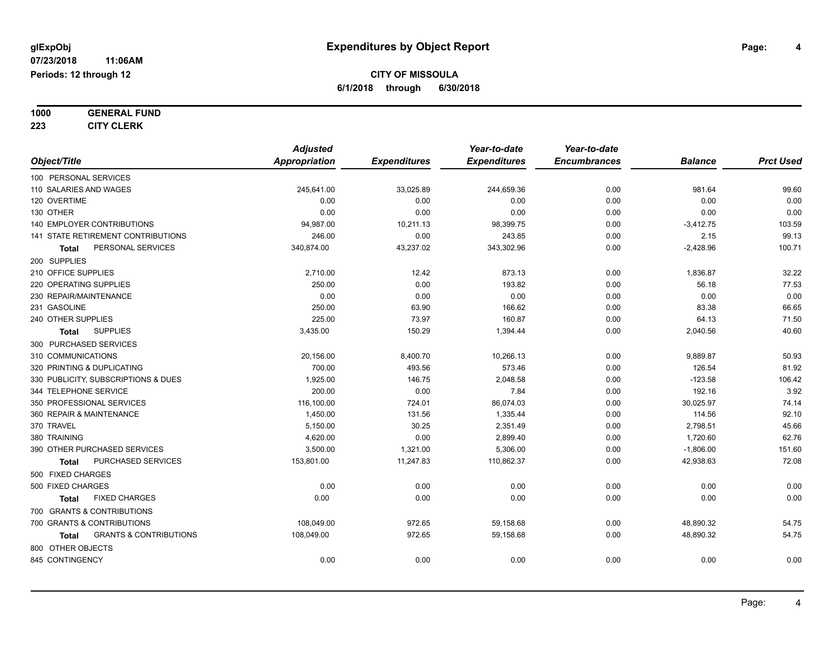# **1000 GENERAL FUND**

**223 CITY CLERK**

|                                                   | <b>Adjusted</b>      |                     | Year-to-date        | Year-to-date        |                |                  |
|---------------------------------------------------|----------------------|---------------------|---------------------|---------------------|----------------|------------------|
| Object/Title                                      | <b>Appropriation</b> | <b>Expenditures</b> | <b>Expenditures</b> | <b>Encumbrances</b> | <b>Balance</b> | <b>Prct Used</b> |
| 100 PERSONAL SERVICES                             |                      |                     |                     |                     |                |                  |
| 110 SALARIES AND WAGES                            | 245,641.00           | 33,025.89           | 244,659.36          | 0.00                | 981.64         | 99.60            |
| 120 OVERTIME                                      | 0.00                 | 0.00                | 0.00                | 0.00                | 0.00           | 0.00             |
| 130 OTHER                                         | 0.00                 | 0.00                | 0.00                | 0.00                | 0.00           | 0.00             |
| 140 EMPLOYER CONTRIBUTIONS                        | 94,987.00            | 10,211.13           | 98,399.75           | 0.00                | $-3,412.75$    | 103.59           |
| 141 STATE RETIREMENT CONTRIBUTIONS                | 246.00               | 0.00                | 243.85              | 0.00                | 2.15           | 99.13            |
| PERSONAL SERVICES<br>Total                        | 340,874.00           | 43,237.02           | 343,302.96          | 0.00                | $-2,428.96$    | 100.71           |
| 200 SUPPLIES                                      |                      |                     |                     |                     |                |                  |
| 210 OFFICE SUPPLIES                               | 2,710.00             | 12.42               | 873.13              | 0.00                | 1,836.87       | 32.22            |
| 220 OPERATING SUPPLIES                            | 250.00               | 0.00                | 193.82              | 0.00                | 56.18          | 77.53            |
| 230 REPAIR/MAINTENANCE                            | 0.00                 | 0.00                | 0.00                | 0.00                | 0.00           | 0.00             |
| 231 GASOLINE                                      | 250.00               | 63.90               | 166.62              | 0.00                | 83.38          | 66.65            |
| 240 OTHER SUPPLIES                                | 225.00               | 73.97               | 160.87              | 0.00                | 64.13          | 71.50            |
| <b>SUPPLIES</b><br><b>Total</b>                   | 3,435.00             | 150.29              | 1,394.44            | 0.00                | 2,040.56       | 40.60            |
| 300 PURCHASED SERVICES                            |                      |                     |                     |                     |                |                  |
| 310 COMMUNICATIONS                                | 20,156.00            | 8,400.70            | 10,266.13           | 0.00                | 9,889.87       | 50.93            |
| 320 PRINTING & DUPLICATING                        | 700.00               | 493.56              | 573.46              | 0.00                | 126.54         | 81.92            |
| 330 PUBLICITY, SUBSCRIPTIONS & DUES               | 1,925.00             | 146.75              | 2,048.58            | 0.00                | $-123.58$      | 106.42           |
| 344 TELEPHONE SERVICE                             | 200.00               | 0.00                | 7.84                | 0.00                | 192.16         | 3.92             |
| 350 PROFESSIONAL SERVICES                         | 116,100.00           | 724.01              | 86,074.03           | 0.00                | 30,025.97      | 74.14            |
| 360 REPAIR & MAINTENANCE                          | 1,450.00             | 131.56              | 1,335.44            | 0.00                | 114.56         | 92.10            |
| 370 TRAVEL                                        | 5,150.00             | 30.25               | 2,351.49            | 0.00                | 2,798.51       | 45.66            |
| 380 TRAINING                                      | 4,620.00             | 0.00                | 2,899.40            | 0.00                | 1,720.60       | 62.76            |
| 390 OTHER PURCHASED SERVICES                      | 3,500.00             | 1,321.00            | 5,306.00            | 0.00                | $-1,806.00$    | 151.60           |
| PURCHASED SERVICES<br>Total                       | 153,801.00           | 11,247.83           | 110,862.37          | 0.00                | 42,938.63      | 72.08            |
| 500 FIXED CHARGES                                 |                      |                     |                     |                     |                |                  |
| 500 FIXED CHARGES                                 | 0.00                 | 0.00                | 0.00                | 0.00                | 0.00           | 0.00             |
| <b>FIXED CHARGES</b><br><b>Total</b>              | 0.00                 | 0.00                | 0.00                | 0.00                | 0.00           | 0.00             |
| 700 GRANTS & CONTRIBUTIONS                        |                      |                     |                     |                     |                |                  |
| 700 GRANTS & CONTRIBUTIONS                        | 108,049.00           | 972.65              | 59,158.68           | 0.00                | 48,890.32      | 54.75            |
| <b>GRANTS &amp; CONTRIBUTIONS</b><br><b>Total</b> | 108,049.00           | 972.65              | 59,158.68           | 0.00                | 48,890.32      | 54.75            |
| 800 OTHER OBJECTS                                 |                      |                     |                     |                     |                |                  |
| 845 CONTINGENCY                                   | 0.00                 | 0.00                | 0.00                | 0.00                | 0.00           | 0.00             |
|                                                   |                      |                     |                     |                     |                |                  |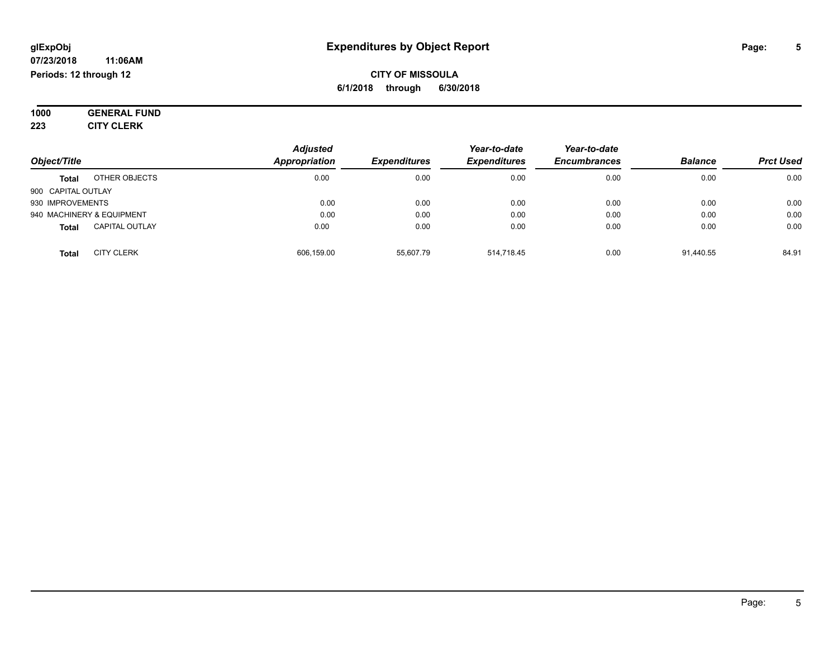### **07/23/2018 11:06AM Periods: 12 through 12**

# **CITY OF MISSOULA 6/1/2018 through 6/30/2018**

**1000 GENERAL FUND 223 CITY CLERK**

|                                       | <b>Adjusted</b>      |                     | Year-to-date        | Year-to-date        |                |                  |
|---------------------------------------|----------------------|---------------------|---------------------|---------------------|----------------|------------------|
| Object/Title                          | <b>Appropriation</b> | <b>Expenditures</b> | <b>Expenditures</b> | <b>Encumbrances</b> | <b>Balance</b> | <b>Prct Used</b> |
| OTHER OBJECTS<br><b>Total</b>         | 0.00                 | 0.00                | 0.00                | 0.00                | 0.00           | 0.00             |
| 900 CAPITAL OUTLAY                    |                      |                     |                     |                     |                |                  |
| 930 IMPROVEMENTS                      | 0.00                 | 0.00                | 0.00                | 0.00                | 0.00           | 0.00             |
| 940 MACHINERY & EQUIPMENT             | 0.00                 | 0.00                | 0.00                | 0.00                | 0.00           | 0.00             |
| <b>CAPITAL OUTLAY</b><br><b>Total</b> | 0.00                 | 0.00                | 0.00                | 0.00                | 0.00           | 0.00             |
| <b>CITY CLERK</b><br>Total            | 606.159.00           | 55.607.79           | 514.718.45          | 0.00                | 91.440.55      | 84.91            |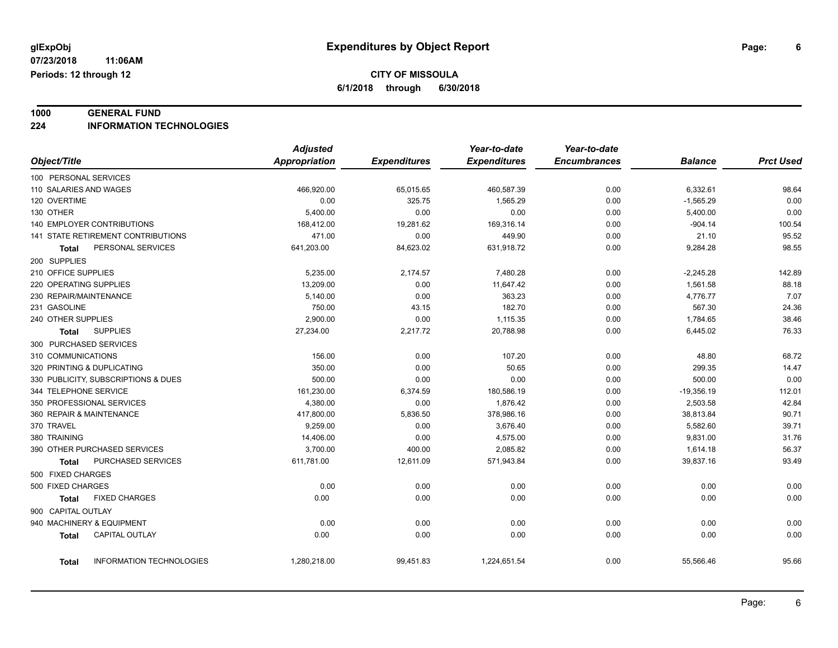**1000 GENERAL FUND 224 INFORMATION TECHNOLOGIES**

|                                                 | <b>Adjusted</b>      |                     | Year-to-date        | Year-to-date        |                |                  |
|-------------------------------------------------|----------------------|---------------------|---------------------|---------------------|----------------|------------------|
| Object/Title                                    | <b>Appropriation</b> | <b>Expenditures</b> | <b>Expenditures</b> | <b>Encumbrances</b> | <b>Balance</b> | <b>Prct Used</b> |
| 100 PERSONAL SERVICES                           |                      |                     |                     |                     |                |                  |
| 110 SALARIES AND WAGES                          | 466,920.00           | 65,015.65           | 460,587.39          | 0.00                | 6,332.61       | 98.64            |
| 120 OVERTIME                                    | 0.00                 | 325.75              | 1,565.29            | 0.00                | $-1,565.29$    | 0.00             |
| 130 OTHER                                       | 5,400.00             | 0.00                | 0.00                | 0.00                | 5,400.00       | 0.00             |
| 140 EMPLOYER CONTRIBUTIONS                      | 168,412.00           | 19,281.62           | 169,316.14          | 0.00                | $-904.14$      | 100.54           |
| 141 STATE RETIREMENT CONTRIBUTIONS              | 471.00               | 0.00                | 449.90              | 0.00                | 21.10          | 95.52            |
| PERSONAL SERVICES<br>Total                      | 641,203.00           | 84,623.02           | 631,918.72          | 0.00                | 9,284.28       | 98.55            |
| 200 SUPPLIES                                    |                      |                     |                     |                     |                |                  |
| 210 OFFICE SUPPLIES                             | 5,235.00             | 2,174.57            | 7,480.28            | 0.00                | $-2,245.28$    | 142.89           |
| 220 OPERATING SUPPLIES                          | 13,209.00            | 0.00                | 11,647.42           | 0.00                | 1,561.58       | 88.18            |
| 230 REPAIR/MAINTENANCE                          | 5,140.00             | 0.00                | 363.23              | 0.00                | 4,776.77       | 7.07             |
| 231 GASOLINE                                    | 750.00               | 43.15               | 182.70              | 0.00                | 567.30         | 24.36            |
| 240 OTHER SUPPLIES                              | 2,900.00             | 0.00                | 1,115.35            | 0.00                | 1,784.65       | 38.46            |
| <b>SUPPLIES</b><br><b>Total</b>                 | 27,234.00            | 2,217.72            | 20,788.98           | 0.00                | 6,445.02       | 76.33            |
| 300 PURCHASED SERVICES                          |                      |                     |                     |                     |                |                  |
| 310 COMMUNICATIONS                              | 156.00               | 0.00                | 107.20              | 0.00                | 48.80          | 68.72            |
| 320 PRINTING & DUPLICATING                      | 350.00               | 0.00                | 50.65               | 0.00                | 299.35         | 14.47            |
| 330 PUBLICITY, SUBSCRIPTIONS & DUES             | 500.00               | 0.00                | 0.00                | 0.00                | 500.00         | 0.00             |
| 344 TELEPHONE SERVICE                           | 161,230.00           | 6,374.59            | 180,586.19          | 0.00                | $-19,356.19$   | 112.01           |
| 350 PROFESSIONAL SERVICES                       | 4,380.00             | 0.00                | 1,876.42            | 0.00                | 2,503.58       | 42.84            |
| 360 REPAIR & MAINTENANCE                        | 417,800.00           | 5,836.50            | 378,986.16          | 0.00                | 38,813.84      | 90.71            |
| 370 TRAVEL                                      | 9,259.00             | 0.00                | 3,676.40            | 0.00                | 5,582.60       | 39.71            |
| 380 TRAINING                                    | 14,406.00            | 0.00                | 4,575.00            | 0.00                | 9,831.00       | 31.76            |
| 390 OTHER PURCHASED SERVICES                    | 3,700.00             | 400.00              | 2,085.82            | 0.00                | 1,614.18       | 56.37            |
| <b>PURCHASED SERVICES</b><br>Total              | 611,781.00           | 12,611.09           | 571,943.84          | 0.00                | 39,837.16      | 93.49            |
| 500 FIXED CHARGES                               |                      |                     |                     |                     |                |                  |
| 500 FIXED CHARGES                               | 0.00                 | 0.00                | 0.00                | 0.00                | 0.00           | 0.00             |
| <b>FIXED CHARGES</b><br><b>Total</b>            | 0.00                 | 0.00                | 0.00                | 0.00                | 0.00           | 0.00             |
| 900 CAPITAL OUTLAY                              |                      |                     |                     |                     |                |                  |
| 940 MACHINERY & EQUIPMENT                       | 0.00                 | 0.00                | 0.00                | 0.00                | 0.00           | 0.00             |
| <b>CAPITAL OUTLAY</b><br><b>Total</b>           | 0.00                 | 0.00                | 0.00                | 0.00                | 0.00           | 0.00             |
|                                                 |                      |                     |                     |                     |                |                  |
| <b>INFORMATION TECHNOLOGIES</b><br><b>Total</b> | 1,280,218.00         | 99,451.83           | 1,224,651.54        | 0.00                | 55,566.46      | 95.66            |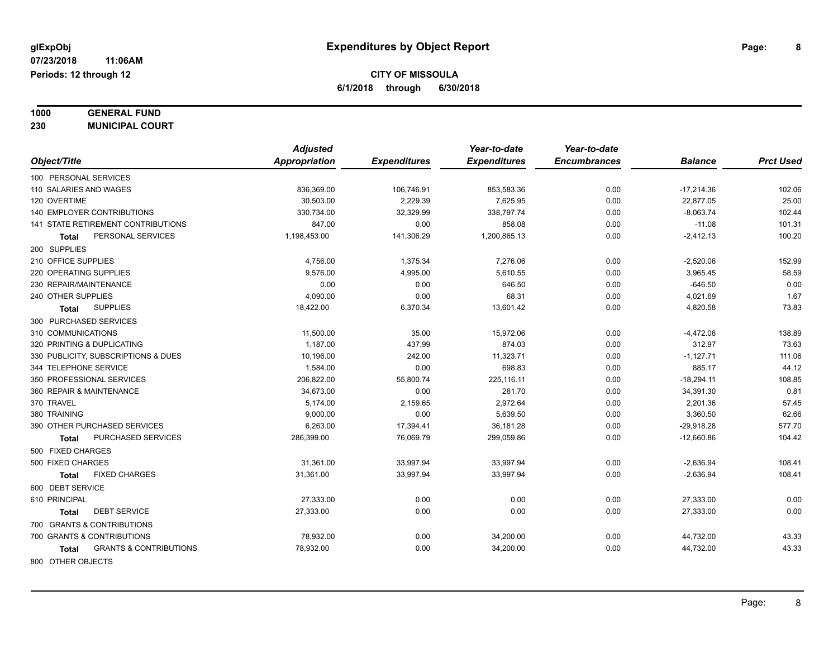**1000 GENERAL FUND**

**230 MUNICIPAL COURT**

| Appropriation<br>Object/Title<br><b>Expenditures</b><br><b>Expenditures</b><br><b>Encumbrances</b><br><b>Balance</b><br>100 PERSONAL SERVICES<br>110 SALARIES AND WAGES<br>836,369.00<br>853,583.36<br>0.00<br>$-17,214.36$<br>106,746.91<br>120 OVERTIME<br>30.503.00<br>2,229.39<br>7.625.95<br>22,877.05<br>0.00<br><b>140 EMPLOYER CONTRIBUTIONS</b><br>330,734.00<br>32,329.99<br>338,797.74<br>0.00<br>$-8,063.74$<br>141 STATE RETIREMENT CONTRIBUTIONS<br>847.00<br>858.08<br>$-11.08$<br>0.00<br>0.00<br>PERSONAL SERVICES<br>1,198,453.00<br>141,306.29<br>1,200,865.13<br>$-2,412.13$<br>0.00<br>Total<br>200 SUPPLIES<br>210 OFFICE SUPPLIES<br>1,375.34<br>7,276.06<br>0.00<br>$-2,520.06$<br>4,756.00<br>9,576.00<br>3,965.45<br>220 OPERATING SUPPLIES<br>4,995.00<br>5,610.55<br>0.00<br>230 REPAIR/MAINTENANCE<br>0.00<br>0.00<br>$-646.50$<br>646.50<br>0.00<br>240 OTHER SUPPLIES<br>4,090.00<br>0.00<br>68.31<br>4,021.69<br>0.00<br><b>SUPPLIES</b><br>18,422.00<br>6,370.34<br>13,601.42<br>0.00<br>4,820.58<br>Total<br>300 PURCHASED SERVICES<br>310 COMMUNICATIONS<br>11,500.00<br>15,972.06<br>0.00<br>35.00<br>$-4,472.06$<br>1,187.00<br>437.99<br>312.97<br>320 PRINTING & DUPLICATING<br>874.03<br>0.00<br>10,196.00<br>$-1,127.71$<br>330 PUBLICITY, SUBSCRIPTIONS & DUES<br>242.00<br>11,323.71<br>0.00<br>344 TELEPHONE SERVICE<br>1,584.00<br>0.00<br>885.17<br>698.83<br>0.00<br>350 PROFESSIONAL SERVICES<br>206,822.00<br>225,116.11<br>$-18,294.11$<br>55,800.74<br>0.00<br>360 REPAIR & MAINTENANCE<br>34,673.00<br>0.00<br>281.70<br>34,391.30<br>0.00<br>2,972.64<br>370 TRAVEL<br>5,174.00<br>2,159.65<br>2,201.36<br>0.00<br>380 TRAINING<br>9,000.00<br>0.00<br>5,639.50<br>0.00<br>3,360.50<br>390 OTHER PURCHASED SERVICES<br>6,263.00<br>17,394.41<br>36,181.28<br>$-29,918.28$<br>0.00<br>PURCHASED SERVICES<br>286,399.00<br>76,069.79<br>299,059.86<br>0.00<br>$-12,660.86$<br>Total<br>500 FIXED CHARGES<br>31,361.00<br>33,997.94<br>33,997.94<br>$-2,636.94$<br>500 FIXED CHARGES<br>0.00<br><b>FIXED CHARGES</b><br>31,361.00<br>33,997.94<br>33,997.94<br>0.00<br>$-2,636.94$<br><b>Total</b><br>600 DEBT SERVICE<br>0.00<br>610 PRINCIPAL<br>27,333.00<br>0.00<br>0.00<br>0.00<br>27,333.00 |                              | <b>Adjusted</b> |      | Year-to-date | Year-to-date |           |                  |
|-----------------------------------------------------------------------------------------------------------------------------------------------------------------------------------------------------------------------------------------------------------------------------------------------------------------------------------------------------------------------------------------------------------------------------------------------------------------------------------------------------------------------------------------------------------------------------------------------------------------------------------------------------------------------------------------------------------------------------------------------------------------------------------------------------------------------------------------------------------------------------------------------------------------------------------------------------------------------------------------------------------------------------------------------------------------------------------------------------------------------------------------------------------------------------------------------------------------------------------------------------------------------------------------------------------------------------------------------------------------------------------------------------------------------------------------------------------------------------------------------------------------------------------------------------------------------------------------------------------------------------------------------------------------------------------------------------------------------------------------------------------------------------------------------------------------------------------------------------------------------------------------------------------------------------------------------------------------------------------------------------------------------------------------------------------------------------------------------------------------------------------------------------------------------------------------------------------------------------------------------------|------------------------------|-----------------|------|--------------|--------------|-----------|------------------|
|                                                                                                                                                                                                                                                                                                                                                                                                                                                                                                                                                                                                                                                                                                                                                                                                                                                                                                                                                                                                                                                                                                                                                                                                                                                                                                                                                                                                                                                                                                                                                                                                                                                                                                                                                                                                                                                                                                                                                                                                                                                                                                                                                                                                                                                     |                              |                 |      |              |              |           | <b>Prct Used</b> |
|                                                                                                                                                                                                                                                                                                                                                                                                                                                                                                                                                                                                                                                                                                                                                                                                                                                                                                                                                                                                                                                                                                                                                                                                                                                                                                                                                                                                                                                                                                                                                                                                                                                                                                                                                                                                                                                                                                                                                                                                                                                                                                                                                                                                                                                     |                              |                 |      |              |              |           |                  |
|                                                                                                                                                                                                                                                                                                                                                                                                                                                                                                                                                                                                                                                                                                                                                                                                                                                                                                                                                                                                                                                                                                                                                                                                                                                                                                                                                                                                                                                                                                                                                                                                                                                                                                                                                                                                                                                                                                                                                                                                                                                                                                                                                                                                                                                     |                              |                 |      |              |              |           | 102.06           |
|                                                                                                                                                                                                                                                                                                                                                                                                                                                                                                                                                                                                                                                                                                                                                                                                                                                                                                                                                                                                                                                                                                                                                                                                                                                                                                                                                                                                                                                                                                                                                                                                                                                                                                                                                                                                                                                                                                                                                                                                                                                                                                                                                                                                                                                     |                              |                 |      |              |              |           | 25.00            |
|                                                                                                                                                                                                                                                                                                                                                                                                                                                                                                                                                                                                                                                                                                                                                                                                                                                                                                                                                                                                                                                                                                                                                                                                                                                                                                                                                                                                                                                                                                                                                                                                                                                                                                                                                                                                                                                                                                                                                                                                                                                                                                                                                                                                                                                     |                              |                 |      |              |              |           | 102.44           |
|                                                                                                                                                                                                                                                                                                                                                                                                                                                                                                                                                                                                                                                                                                                                                                                                                                                                                                                                                                                                                                                                                                                                                                                                                                                                                                                                                                                                                                                                                                                                                                                                                                                                                                                                                                                                                                                                                                                                                                                                                                                                                                                                                                                                                                                     |                              |                 |      |              |              |           | 101.31           |
|                                                                                                                                                                                                                                                                                                                                                                                                                                                                                                                                                                                                                                                                                                                                                                                                                                                                                                                                                                                                                                                                                                                                                                                                                                                                                                                                                                                                                                                                                                                                                                                                                                                                                                                                                                                                                                                                                                                                                                                                                                                                                                                                                                                                                                                     |                              |                 |      |              |              |           | 100.20           |
|                                                                                                                                                                                                                                                                                                                                                                                                                                                                                                                                                                                                                                                                                                                                                                                                                                                                                                                                                                                                                                                                                                                                                                                                                                                                                                                                                                                                                                                                                                                                                                                                                                                                                                                                                                                                                                                                                                                                                                                                                                                                                                                                                                                                                                                     |                              |                 |      |              |              |           |                  |
|                                                                                                                                                                                                                                                                                                                                                                                                                                                                                                                                                                                                                                                                                                                                                                                                                                                                                                                                                                                                                                                                                                                                                                                                                                                                                                                                                                                                                                                                                                                                                                                                                                                                                                                                                                                                                                                                                                                                                                                                                                                                                                                                                                                                                                                     |                              |                 |      |              |              |           | 152.99           |
|                                                                                                                                                                                                                                                                                                                                                                                                                                                                                                                                                                                                                                                                                                                                                                                                                                                                                                                                                                                                                                                                                                                                                                                                                                                                                                                                                                                                                                                                                                                                                                                                                                                                                                                                                                                                                                                                                                                                                                                                                                                                                                                                                                                                                                                     |                              |                 |      |              |              |           | 58.59            |
|                                                                                                                                                                                                                                                                                                                                                                                                                                                                                                                                                                                                                                                                                                                                                                                                                                                                                                                                                                                                                                                                                                                                                                                                                                                                                                                                                                                                                                                                                                                                                                                                                                                                                                                                                                                                                                                                                                                                                                                                                                                                                                                                                                                                                                                     |                              |                 |      |              |              |           | 0.00             |
|                                                                                                                                                                                                                                                                                                                                                                                                                                                                                                                                                                                                                                                                                                                                                                                                                                                                                                                                                                                                                                                                                                                                                                                                                                                                                                                                                                                                                                                                                                                                                                                                                                                                                                                                                                                                                                                                                                                                                                                                                                                                                                                                                                                                                                                     |                              |                 |      |              |              |           | 1.67             |
|                                                                                                                                                                                                                                                                                                                                                                                                                                                                                                                                                                                                                                                                                                                                                                                                                                                                                                                                                                                                                                                                                                                                                                                                                                                                                                                                                                                                                                                                                                                                                                                                                                                                                                                                                                                                                                                                                                                                                                                                                                                                                                                                                                                                                                                     |                              |                 |      |              |              |           | 73.83            |
|                                                                                                                                                                                                                                                                                                                                                                                                                                                                                                                                                                                                                                                                                                                                                                                                                                                                                                                                                                                                                                                                                                                                                                                                                                                                                                                                                                                                                                                                                                                                                                                                                                                                                                                                                                                                                                                                                                                                                                                                                                                                                                                                                                                                                                                     |                              |                 |      |              |              |           |                  |
|                                                                                                                                                                                                                                                                                                                                                                                                                                                                                                                                                                                                                                                                                                                                                                                                                                                                                                                                                                                                                                                                                                                                                                                                                                                                                                                                                                                                                                                                                                                                                                                                                                                                                                                                                                                                                                                                                                                                                                                                                                                                                                                                                                                                                                                     |                              |                 |      |              |              |           | 138.89           |
|                                                                                                                                                                                                                                                                                                                                                                                                                                                                                                                                                                                                                                                                                                                                                                                                                                                                                                                                                                                                                                                                                                                                                                                                                                                                                                                                                                                                                                                                                                                                                                                                                                                                                                                                                                                                                                                                                                                                                                                                                                                                                                                                                                                                                                                     |                              |                 |      |              |              |           | 73.63            |
|                                                                                                                                                                                                                                                                                                                                                                                                                                                                                                                                                                                                                                                                                                                                                                                                                                                                                                                                                                                                                                                                                                                                                                                                                                                                                                                                                                                                                                                                                                                                                                                                                                                                                                                                                                                                                                                                                                                                                                                                                                                                                                                                                                                                                                                     |                              |                 |      |              |              |           | 111.06           |
|                                                                                                                                                                                                                                                                                                                                                                                                                                                                                                                                                                                                                                                                                                                                                                                                                                                                                                                                                                                                                                                                                                                                                                                                                                                                                                                                                                                                                                                                                                                                                                                                                                                                                                                                                                                                                                                                                                                                                                                                                                                                                                                                                                                                                                                     |                              |                 |      |              |              |           | 44.12            |
|                                                                                                                                                                                                                                                                                                                                                                                                                                                                                                                                                                                                                                                                                                                                                                                                                                                                                                                                                                                                                                                                                                                                                                                                                                                                                                                                                                                                                                                                                                                                                                                                                                                                                                                                                                                                                                                                                                                                                                                                                                                                                                                                                                                                                                                     |                              |                 |      |              |              |           | 108.85           |
|                                                                                                                                                                                                                                                                                                                                                                                                                                                                                                                                                                                                                                                                                                                                                                                                                                                                                                                                                                                                                                                                                                                                                                                                                                                                                                                                                                                                                                                                                                                                                                                                                                                                                                                                                                                                                                                                                                                                                                                                                                                                                                                                                                                                                                                     |                              |                 |      |              |              |           | 0.81             |
|                                                                                                                                                                                                                                                                                                                                                                                                                                                                                                                                                                                                                                                                                                                                                                                                                                                                                                                                                                                                                                                                                                                                                                                                                                                                                                                                                                                                                                                                                                                                                                                                                                                                                                                                                                                                                                                                                                                                                                                                                                                                                                                                                                                                                                                     |                              |                 |      |              |              |           | 57.45            |
|                                                                                                                                                                                                                                                                                                                                                                                                                                                                                                                                                                                                                                                                                                                                                                                                                                                                                                                                                                                                                                                                                                                                                                                                                                                                                                                                                                                                                                                                                                                                                                                                                                                                                                                                                                                                                                                                                                                                                                                                                                                                                                                                                                                                                                                     |                              |                 |      |              |              |           | 62.66            |
|                                                                                                                                                                                                                                                                                                                                                                                                                                                                                                                                                                                                                                                                                                                                                                                                                                                                                                                                                                                                                                                                                                                                                                                                                                                                                                                                                                                                                                                                                                                                                                                                                                                                                                                                                                                                                                                                                                                                                                                                                                                                                                                                                                                                                                                     |                              |                 |      |              |              |           | 577.70           |
|                                                                                                                                                                                                                                                                                                                                                                                                                                                                                                                                                                                                                                                                                                                                                                                                                                                                                                                                                                                                                                                                                                                                                                                                                                                                                                                                                                                                                                                                                                                                                                                                                                                                                                                                                                                                                                                                                                                                                                                                                                                                                                                                                                                                                                                     |                              |                 |      |              |              |           | 104.42           |
|                                                                                                                                                                                                                                                                                                                                                                                                                                                                                                                                                                                                                                                                                                                                                                                                                                                                                                                                                                                                                                                                                                                                                                                                                                                                                                                                                                                                                                                                                                                                                                                                                                                                                                                                                                                                                                                                                                                                                                                                                                                                                                                                                                                                                                                     |                              |                 |      |              |              |           |                  |
|                                                                                                                                                                                                                                                                                                                                                                                                                                                                                                                                                                                                                                                                                                                                                                                                                                                                                                                                                                                                                                                                                                                                                                                                                                                                                                                                                                                                                                                                                                                                                                                                                                                                                                                                                                                                                                                                                                                                                                                                                                                                                                                                                                                                                                                     |                              |                 |      |              |              |           | 108.41           |
|                                                                                                                                                                                                                                                                                                                                                                                                                                                                                                                                                                                                                                                                                                                                                                                                                                                                                                                                                                                                                                                                                                                                                                                                                                                                                                                                                                                                                                                                                                                                                                                                                                                                                                                                                                                                                                                                                                                                                                                                                                                                                                                                                                                                                                                     |                              |                 |      |              |              |           | 108.41           |
|                                                                                                                                                                                                                                                                                                                                                                                                                                                                                                                                                                                                                                                                                                                                                                                                                                                                                                                                                                                                                                                                                                                                                                                                                                                                                                                                                                                                                                                                                                                                                                                                                                                                                                                                                                                                                                                                                                                                                                                                                                                                                                                                                                                                                                                     |                              |                 |      |              |              |           |                  |
|                                                                                                                                                                                                                                                                                                                                                                                                                                                                                                                                                                                                                                                                                                                                                                                                                                                                                                                                                                                                                                                                                                                                                                                                                                                                                                                                                                                                                                                                                                                                                                                                                                                                                                                                                                                                                                                                                                                                                                                                                                                                                                                                                                                                                                                     |                              |                 |      |              |              |           |                  |
|                                                                                                                                                                                                                                                                                                                                                                                                                                                                                                                                                                                                                                                                                                                                                                                                                                                                                                                                                                                                                                                                                                                                                                                                                                                                                                                                                                                                                                                                                                                                                                                                                                                                                                                                                                                                                                                                                                                                                                                                                                                                                                                                                                                                                                                     | <b>DEBT SERVICE</b><br>Total | 27,333.00       | 0.00 | 0.00         | 0.00         | 27,333.00 | 0.00             |
| 700 GRANTS & CONTRIBUTIONS                                                                                                                                                                                                                                                                                                                                                                                                                                                                                                                                                                                                                                                                                                                                                                                                                                                                                                                                                                                                                                                                                                                                                                                                                                                                                                                                                                                                                                                                                                                                                                                                                                                                                                                                                                                                                                                                                                                                                                                                                                                                                                                                                                                                                          |                              |                 |      |              |              |           |                  |
| 700 GRANTS & CONTRIBUTIONS<br>78,932.00<br>34,200.00<br>0.00<br>44,732.00<br>0.00                                                                                                                                                                                                                                                                                                                                                                                                                                                                                                                                                                                                                                                                                                                                                                                                                                                                                                                                                                                                                                                                                                                                                                                                                                                                                                                                                                                                                                                                                                                                                                                                                                                                                                                                                                                                                                                                                                                                                                                                                                                                                                                                                                   |                              |                 |      |              |              |           | 43.33            |
| <b>GRANTS &amp; CONTRIBUTIONS</b><br>78,932.00<br>0.00<br>34,200.00<br>0.00<br>44,732.00<br>Total                                                                                                                                                                                                                                                                                                                                                                                                                                                                                                                                                                                                                                                                                                                                                                                                                                                                                                                                                                                                                                                                                                                                                                                                                                                                                                                                                                                                                                                                                                                                                                                                                                                                                                                                                                                                                                                                                                                                                                                                                                                                                                                                                   |                              |                 |      |              |              |           | 43.33            |
| 800 OTHER OBJECTS                                                                                                                                                                                                                                                                                                                                                                                                                                                                                                                                                                                                                                                                                                                                                                                                                                                                                                                                                                                                                                                                                                                                                                                                                                                                                                                                                                                                                                                                                                                                                                                                                                                                                                                                                                                                                                                                                                                                                                                                                                                                                                                                                                                                                                   |                              |                 |      |              |              |           |                  |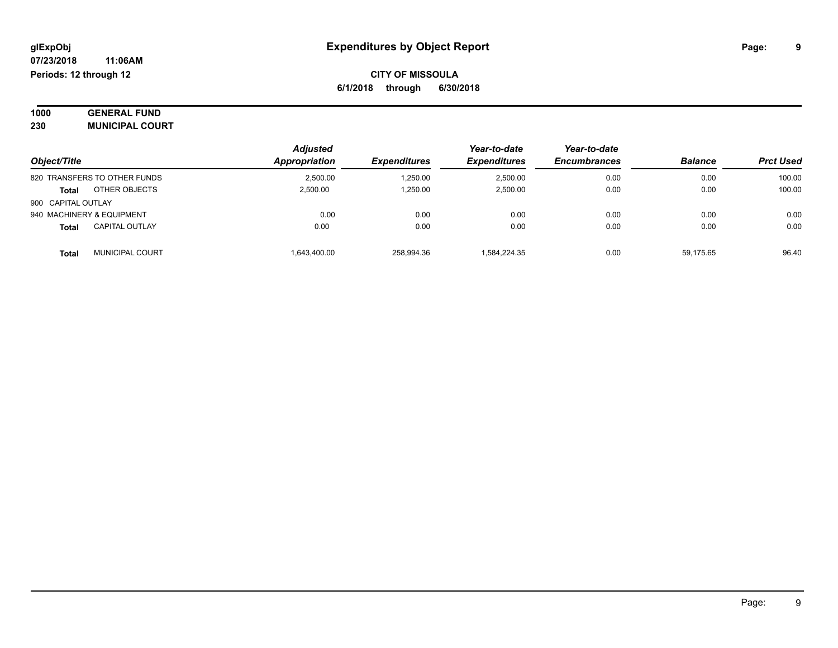| 1000 | <b>GENERAL FUND</b>    |
|------|------------------------|
| 230  | <b>MUNICIPAL COURT</b> |

|                              |                        | <b>Adjusted</b>     |                     | Year-to-date        | Year-to-date   |                  |        |
|------------------------------|------------------------|---------------------|---------------------|---------------------|----------------|------------------|--------|
| Object/Title                 | Appropriation          | <b>Expenditures</b> | <b>Expenditures</b> | <b>Encumbrances</b> | <b>Balance</b> | <b>Prct Used</b> |        |
| 820 TRANSFERS TO OTHER FUNDS |                        | 2,500.00            | 1,250.00            | 2,500.00            | 0.00           | 0.00             | 100.00 |
| <b>Total</b>                 | OTHER OBJECTS          | 2.500.00            | 1.250.00            | 2,500.00            | 0.00           | 0.00             | 100.00 |
| 900 CAPITAL OUTLAY           |                        |                     |                     |                     |                |                  |        |
| 940 MACHINERY & EQUIPMENT    |                        | 0.00                | 0.00                | 0.00                | 0.00           | 0.00             | 0.00   |
| <b>Total</b>                 | <b>CAPITAL OUTLAY</b>  | 0.00                | 0.00                | 0.00                | 0.00           | 0.00             | 0.00   |
| Total                        | <b>MUNICIPAL COURT</b> | 1.643.400.00        | 258.994.36          | 1.584.224.35        | 0.00           | 59.175.65        | 96.40  |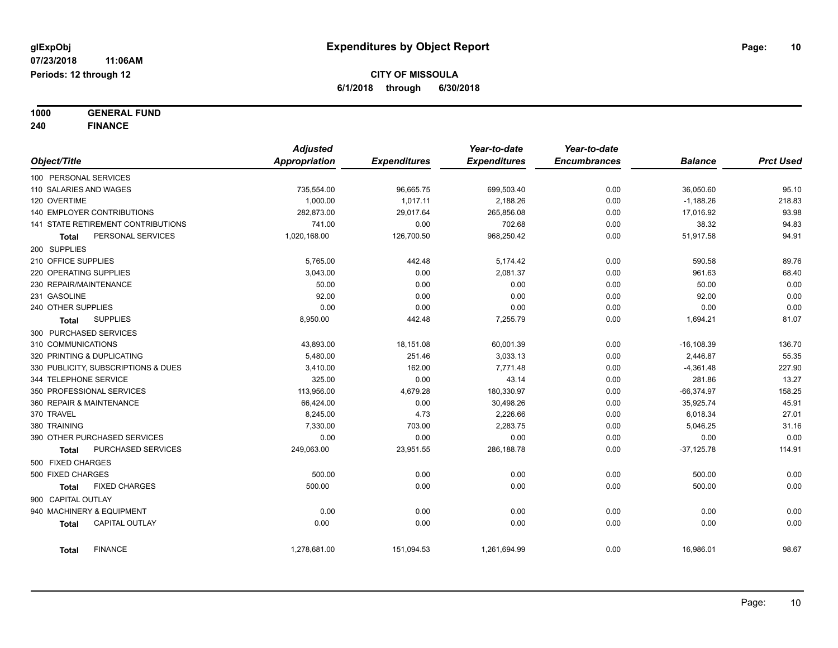**1000 GENERAL FUND**

**240 FINANCE**

|                            |                                     | <b>Adjusted</b>      |                     | Year-to-date        | Year-to-date        |                |                  |
|----------------------------|-------------------------------------|----------------------|---------------------|---------------------|---------------------|----------------|------------------|
| Object/Title               |                                     | <b>Appropriation</b> | <b>Expenditures</b> | <b>Expenditures</b> | <b>Encumbrances</b> | <b>Balance</b> | <b>Prct Used</b> |
| 100 PERSONAL SERVICES      |                                     |                      |                     |                     |                     |                |                  |
| 110 SALARIES AND WAGES     |                                     | 735,554.00           | 96,665.75           | 699,503.40          | 0.00                | 36,050.60      | 95.10            |
| 120 OVERTIME               |                                     | 1,000.00             | 1,017.11            | 2,188.26            | 0.00                | $-1,188.26$    | 218.83           |
|                            | 140 EMPLOYER CONTRIBUTIONS          | 282,873.00           | 29,017.64           | 265,856.08          | 0.00                | 17,016.92      | 93.98            |
|                            | 141 STATE RETIREMENT CONTRIBUTIONS  | 741.00               | 0.00                | 702.68              | 0.00                | 38.32          | 94.83            |
| <b>Total</b>               | PERSONAL SERVICES                   | 1,020,168.00         | 126,700.50          | 968,250.42          | 0.00                | 51,917.58      | 94.91            |
| 200 SUPPLIES               |                                     |                      |                     |                     |                     |                |                  |
| 210 OFFICE SUPPLIES        |                                     | 5,765.00             | 442.48              | 5,174.42            | 0.00                | 590.58         | 89.76            |
| 220 OPERATING SUPPLIES     |                                     | 3,043.00             | 0.00                | 2,081.37            | 0.00                | 961.63         | 68.40            |
| 230 REPAIR/MAINTENANCE     |                                     | 50.00                | 0.00                | 0.00                | 0.00                | 50.00          | 0.00             |
| 231 GASOLINE               |                                     | 92.00                | 0.00                | 0.00                | 0.00                | 92.00          | 0.00             |
| 240 OTHER SUPPLIES         |                                     | 0.00                 | 0.00                | 0.00                | 0.00                | 0.00           | 0.00             |
| <b>Total</b>               | <b>SUPPLIES</b>                     | 8,950.00             | 442.48              | 7,255.79            | 0.00                | 1,694.21       | 81.07            |
| 300 PURCHASED SERVICES     |                                     |                      |                     |                     |                     |                |                  |
| 310 COMMUNICATIONS         |                                     | 43,893.00            | 18,151.08           | 60,001.39           | 0.00                | $-16, 108.39$  | 136.70           |
| 320 PRINTING & DUPLICATING |                                     | 5,480.00             | 251.46              | 3,033.13            | 0.00                | 2,446.87       | 55.35            |
|                            | 330 PUBLICITY, SUBSCRIPTIONS & DUES | 3,410.00             | 162.00              | 7,771.48            | 0.00                | $-4,361.48$    | 227.90           |
| 344 TELEPHONE SERVICE      |                                     | 325.00               | 0.00                | 43.14               | 0.00                | 281.86         | 13.27            |
|                            | 350 PROFESSIONAL SERVICES           | 113,956.00           | 4,679.28            | 180,330.97          | 0.00                | $-66,374.97$   | 158.25           |
| 360 REPAIR & MAINTENANCE   |                                     | 66,424.00            | 0.00                | 30,498.26           | 0.00                | 35,925.74      | 45.91            |
| 370 TRAVEL                 |                                     | 8,245.00             | 4.73                | 2,226.66            | 0.00                | 6,018.34       | 27.01            |
| 380 TRAINING               |                                     | 7,330.00             | 703.00              | 2,283.75            | 0.00                | 5,046.25       | 31.16            |
|                            | 390 OTHER PURCHASED SERVICES        | 0.00                 | 0.00                | 0.00                | 0.00                | 0.00           | 0.00             |
| Total                      | PURCHASED SERVICES                  | 249,063.00           | 23,951.55           | 286,188.78          | 0.00                | $-37,125.78$   | 114.91           |
| 500 FIXED CHARGES          |                                     |                      |                     |                     |                     |                |                  |
| 500 FIXED CHARGES          |                                     | 500.00               | 0.00                | 0.00                | 0.00                | 500.00         | 0.00             |
| Total                      | <b>FIXED CHARGES</b>                | 500.00               | 0.00                | 0.00                | 0.00                | 500.00         | 0.00             |
| 900 CAPITAL OUTLAY         |                                     |                      |                     |                     |                     |                |                  |
|                            | 940 MACHINERY & EQUIPMENT           | 0.00                 | 0.00                | 0.00                | 0.00                | 0.00           | 0.00             |
| <b>Total</b>               | <b>CAPITAL OUTLAY</b>               | 0.00                 | 0.00                | 0.00                | 0.00                | 0.00           | 0.00             |
| <b>Total</b>               | <b>FINANCE</b>                      | 1,278,681.00         | 151,094.53          | 1,261,694.99        | 0.00                | 16,986.01      | 98.67            |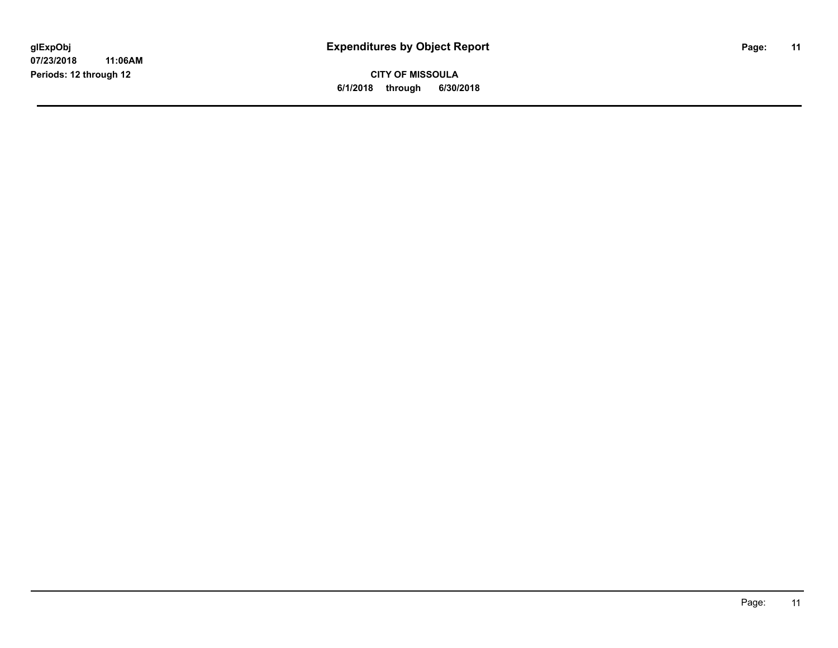**CITY OF MISSOULA**

**6/1/2018 through 6/30/2018**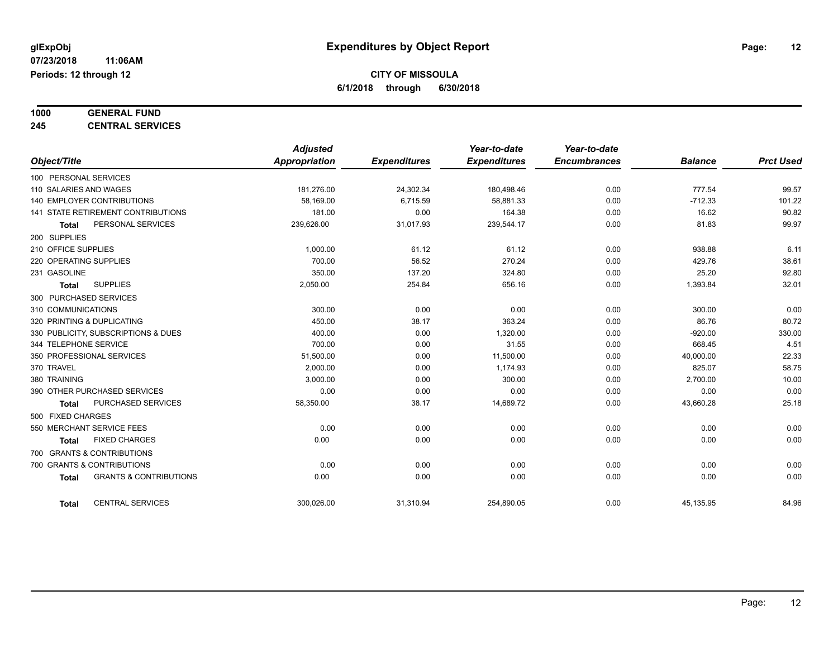# **1000 GENERAL FUND**

**245 CENTRAL SERVICES**

|                                                   | <b>Adjusted</b> |                     | Year-to-date        | Year-to-date        |                |                  |
|---------------------------------------------------|-----------------|---------------------|---------------------|---------------------|----------------|------------------|
| Object/Title                                      | Appropriation   | <b>Expenditures</b> | <b>Expenditures</b> | <b>Encumbrances</b> | <b>Balance</b> | <b>Prct Used</b> |
| 100 PERSONAL SERVICES                             |                 |                     |                     |                     |                |                  |
| 110 SALARIES AND WAGES                            | 181,276.00      | 24,302.34           | 180,498.46          | 0.00                | 777.54         | 99.57            |
| <b>140 EMPLOYER CONTRIBUTIONS</b>                 | 58,169.00       | 6,715.59            | 58,881.33           | 0.00                | $-712.33$      | 101.22           |
| 141 STATE RETIREMENT CONTRIBUTIONS                | 181.00          | 0.00                | 164.38              | 0.00                | 16.62          | 90.82            |
| PERSONAL SERVICES<br><b>Total</b>                 | 239,626.00      | 31,017.93           | 239,544.17          | 0.00                | 81.83          | 99.97            |
| 200 SUPPLIES                                      |                 |                     |                     |                     |                |                  |
| 210 OFFICE SUPPLIES                               | 1,000.00        | 61.12               | 61.12               | 0.00                | 938.88         | 6.11             |
| 220 OPERATING SUPPLIES                            | 700.00          | 56.52               | 270.24              | 0.00                | 429.76         | 38.61            |
| 231 GASOLINE                                      | 350.00          | 137.20              | 324.80              | 0.00                | 25.20          | 92.80            |
| <b>SUPPLIES</b><br><b>Total</b>                   | 2,050.00        | 254.84              | 656.16              | 0.00                | 1,393.84       | 32.01            |
| 300 PURCHASED SERVICES                            |                 |                     |                     |                     |                |                  |
| 310 COMMUNICATIONS                                | 300.00          | 0.00                | 0.00                | 0.00                | 300.00         | 0.00             |
| 320 PRINTING & DUPLICATING                        | 450.00          | 38.17               | 363.24              | 0.00                | 86.76          | 80.72            |
| 330 PUBLICITY, SUBSCRIPTIONS & DUES               | 400.00          | 0.00                | 1,320.00            | 0.00                | $-920.00$      | 330.00           |
| 344 TELEPHONE SERVICE                             | 700.00          | 0.00                | 31.55               | 0.00                | 668.45         | 4.51             |
| 350 PROFESSIONAL SERVICES                         | 51,500.00       | 0.00                | 11,500.00           | 0.00                | 40,000.00      | 22.33            |
| 370 TRAVEL                                        | 2,000.00        | 0.00                | 1,174.93            | 0.00                | 825.07         | 58.75            |
| 380 TRAINING                                      | 3,000.00        | 0.00                | 300.00              | 0.00                | 2,700.00       | 10.00            |
| 390 OTHER PURCHASED SERVICES                      | 0.00            | 0.00                | 0.00                | 0.00                | 0.00           | 0.00             |
| PURCHASED SERVICES<br><b>Total</b>                | 58,350.00       | 38.17               | 14,689.72           | 0.00                | 43,660.28      | 25.18            |
| 500 FIXED CHARGES                                 |                 |                     |                     |                     |                |                  |
| 550 MERCHANT SERVICE FEES                         | 0.00            | 0.00                | 0.00                | 0.00                | 0.00           | 0.00             |
| <b>FIXED CHARGES</b><br><b>Total</b>              | 0.00            | 0.00                | 0.00                | 0.00                | 0.00           | 0.00             |
| 700 GRANTS & CONTRIBUTIONS                        |                 |                     |                     |                     |                |                  |
| 700 GRANTS & CONTRIBUTIONS                        | 0.00            | 0.00                | 0.00                | 0.00                | 0.00           | 0.00             |
| <b>GRANTS &amp; CONTRIBUTIONS</b><br><b>Total</b> | 0.00            | 0.00                | 0.00                | 0.00                | 0.00           | 0.00             |
| <b>CENTRAL SERVICES</b><br><b>Total</b>           | 300.026.00      | 31,310.94           | 254,890.05          | 0.00                | 45,135.95      | 84.96            |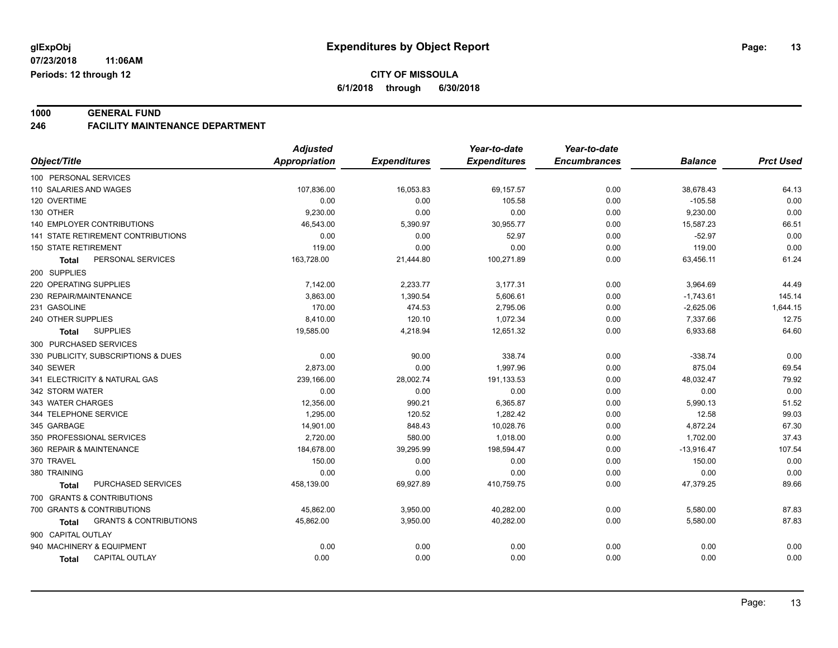### **1000 GENERAL FUND 246 FACILITY MAINTENANCE DEPARTMENT**

|                                            | <b>Adjusted</b>      |                     | Year-to-date        | Year-to-date        |                |                  |
|--------------------------------------------|----------------------|---------------------|---------------------|---------------------|----------------|------------------|
| Object/Title                               | <b>Appropriation</b> | <b>Expenditures</b> | <b>Expenditures</b> | <b>Encumbrances</b> | <b>Balance</b> | <b>Prct Used</b> |
| 100 PERSONAL SERVICES                      |                      |                     |                     |                     |                |                  |
| 110 SALARIES AND WAGES                     | 107,836.00           | 16,053.83           | 69,157.57           | 0.00                | 38,678.43      | 64.13            |
| 120 OVERTIME                               | 0.00                 | 0.00                | 105.58              | 0.00                | $-105.58$      | 0.00             |
| 130 OTHER                                  | 9,230.00             | 0.00                | 0.00                | 0.00                | 9,230.00       | 0.00             |
| <b>140 EMPLOYER CONTRIBUTIONS</b>          | 46,543.00            | 5,390.97            | 30,955.77           | 0.00                | 15,587.23      | 66.51            |
| 141 STATE RETIREMENT CONTRIBUTIONS         | 0.00                 | 0.00                | 52.97               | 0.00                | $-52.97$       | 0.00             |
| <b>150 STATE RETIREMENT</b>                | 119.00               | 0.00                | 0.00                | 0.00                | 119.00         | 0.00             |
| PERSONAL SERVICES<br><b>Total</b>          | 163,728.00           | 21,444.80           | 100,271.89          | 0.00                | 63,456.11      | 61.24            |
| 200 SUPPLIES                               |                      |                     |                     |                     |                |                  |
| 220 OPERATING SUPPLIES                     | 7,142.00             | 2,233.77            | 3,177.31            | 0.00                | 3,964.69       | 44.49            |
| 230 REPAIR/MAINTENANCE                     | 3,863.00             | 1,390.54            | 5,606.61            | 0.00                | $-1,743.61$    | 145.14           |
| 231 GASOLINE                               | 170.00               | 474.53              | 2,795.06            | 0.00                | $-2,625.06$    | 1,644.15         |
| 240 OTHER SUPPLIES                         | 8,410.00             | 120.10              | 1,072.34            | 0.00                | 7,337.66       | 12.75            |
| <b>SUPPLIES</b><br><b>Total</b>            | 19,585.00            | 4,218.94            | 12,651.32           | 0.00                | 6,933.68       | 64.60            |
| 300 PURCHASED SERVICES                     |                      |                     |                     |                     |                |                  |
| 330 PUBLICITY, SUBSCRIPTIONS & DUES        | 0.00                 | 90.00               | 338.74              | 0.00                | $-338.74$      | 0.00             |
| 340 SEWER                                  | 2.873.00             | 0.00                | 1.997.96            | 0.00                | 875.04         | 69.54            |
| 341 ELECTRICITY & NATURAL GAS              | 239,166.00           | 28,002.74           | 191,133.53          | 0.00                | 48,032.47      | 79.92            |
| 342 STORM WATER                            | 0.00                 | 0.00                | 0.00                | 0.00                | 0.00           | 0.00             |
| 343 WATER CHARGES                          | 12,356.00            | 990.21              | 6,365.87            | 0.00                | 5,990.13       | 51.52            |
| 344 TELEPHONE SERVICE                      | 1.295.00             | 120.52              | 1.282.42            | 0.00                | 12.58          | 99.03            |
| 345 GARBAGE                                | 14,901.00            | 848.43              | 10,028.76           | 0.00                | 4,872.24       | 67.30            |
| 350 PROFESSIONAL SERVICES                  | 2,720.00             | 580.00              | 1,018.00            | 0.00                | 1,702.00       | 37.43            |
| 360 REPAIR & MAINTENANCE                   | 184,678.00           | 39,295.99           | 198,594.47          | 0.00                | $-13,916.47$   | 107.54           |
| 370 TRAVEL                                 | 150.00               | 0.00                | 0.00                | 0.00                | 150.00         | 0.00             |
| 380 TRAINING                               | 0.00                 | 0.00                | 0.00                | 0.00                | 0.00           | 0.00             |
| PURCHASED SERVICES<br>Total                | 458,139.00           | 69,927.89           | 410,759.75          | 0.00                | 47,379.25      | 89.66            |
| 700 GRANTS & CONTRIBUTIONS                 |                      |                     |                     |                     |                |                  |
| 700 GRANTS & CONTRIBUTIONS                 | 45,862.00            | 3,950.00            | 40,282.00           | 0.00                | 5,580.00       | 87.83            |
| <b>GRANTS &amp; CONTRIBUTIONS</b><br>Total | 45,862.00            | 3,950.00            | 40,282.00           | 0.00                | 5,580.00       | 87.83            |
| 900 CAPITAL OUTLAY                         |                      |                     |                     |                     |                |                  |
| 940 MACHINERY & EQUIPMENT                  | 0.00                 | 0.00                | 0.00                | 0.00                | 0.00           | 0.00             |
| CAPITAL OUTLAY<br><b>Total</b>             | 0.00                 | 0.00                | 0.00                | 0.00                | 0.00           | 0.00             |
|                                            |                      |                     |                     |                     |                |                  |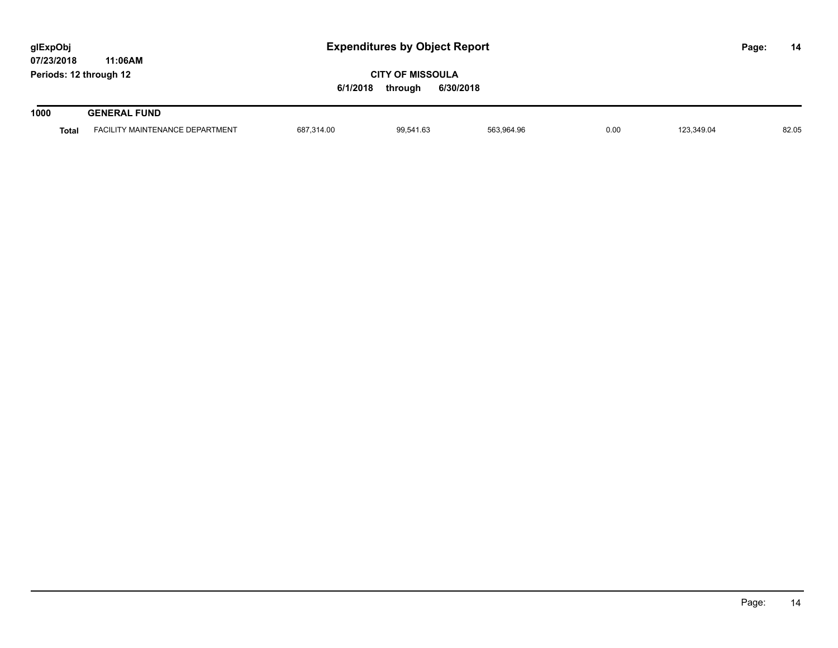| glExpObj<br>07/23/2018 | 11:06AM                         | <b>Expenditures by Object Report</b> |                                                 |            |      |            | Page: | 14    |
|------------------------|---------------------------------|--------------------------------------|-------------------------------------------------|------------|------|------------|-------|-------|
| Periods: 12 through 12 |                                 | 6/1/2018                             | <b>CITY OF MISSOULA</b><br>6/30/2018<br>through |            |      |            |       |       |
| 1000                   | <b>GENERAL FUND</b>             |                                      |                                                 |            |      |            |       |       |
| <b>Total</b>           | FACILITY MAINTENANCE DEPARTMENT | 687,314.00                           | 99,541.63                                       | 563.964.96 | 0.00 | 123.349.04 |       | 82.05 |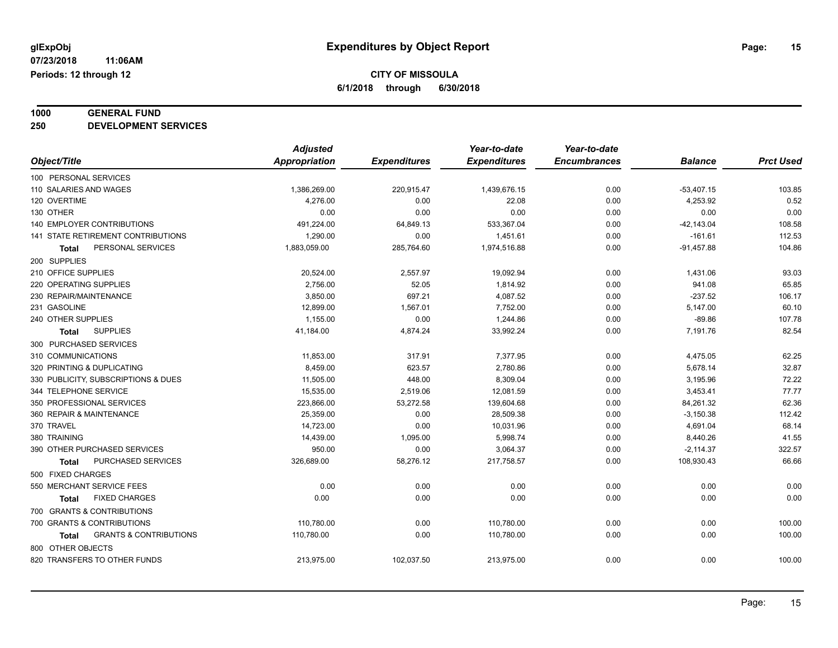# **1000 GENERAL FUND**

**250 DEVELOPMENT SERVICES**

|                                                   | <b>Adjusted</b>      |                     | Year-to-date        | Year-to-date        |                |                  |
|---------------------------------------------------|----------------------|---------------------|---------------------|---------------------|----------------|------------------|
| Object/Title                                      | <b>Appropriation</b> | <b>Expenditures</b> | <b>Expenditures</b> | <b>Encumbrances</b> | <b>Balance</b> | <b>Prct Used</b> |
| 100 PERSONAL SERVICES                             |                      |                     |                     |                     |                |                  |
| 110 SALARIES AND WAGES                            | 1,386,269.00         | 220,915.47          | 1,439,676.15        | 0.00                | $-53,407.15$   | 103.85           |
| 120 OVERTIME                                      | 4,276.00             | 0.00                | 22.08               | 0.00                | 4,253.92       | 0.52             |
| 130 OTHER                                         | 0.00                 | 0.00                | 0.00                | 0.00                | 0.00           | 0.00             |
| <b>140 EMPLOYER CONTRIBUTIONS</b>                 | 491,224.00           | 64,849.13           | 533,367.04          | 0.00                | $-42, 143.04$  | 108.58           |
| 141 STATE RETIREMENT CONTRIBUTIONS                | 1,290.00             | 0.00                | 1,451.61            | 0.00                | $-161.61$      | 112.53           |
| PERSONAL SERVICES<br>Total                        | 1,883,059.00         | 285,764.60          | 1,974,516.88        | 0.00                | $-91,457.88$   | 104.86           |
| 200 SUPPLIES                                      |                      |                     |                     |                     |                |                  |
| 210 OFFICE SUPPLIES                               | 20,524.00            | 2,557.97            | 19,092.94           | 0.00                | 1,431.06       | 93.03            |
| 220 OPERATING SUPPLIES                            | 2,756.00             | 52.05               | 1,814.92            | 0.00                | 941.08         | 65.85            |
| 230 REPAIR/MAINTENANCE                            | 3,850.00             | 697.21              | 4,087.52            | 0.00                | $-237.52$      | 106.17           |
| 231 GASOLINE                                      | 12,899.00            | 1,567.01            | 7,752.00            | 0.00                | 5,147.00       | 60.10            |
| 240 OTHER SUPPLIES                                | 1,155.00             | 0.00                | 1,244.86            | 0.00                | $-89.86$       | 107.78           |
| <b>SUPPLIES</b><br><b>Total</b>                   | 41,184.00            | 4,874.24            | 33,992.24           | 0.00                | 7,191.76       | 82.54            |
| 300 PURCHASED SERVICES                            |                      |                     |                     |                     |                |                  |
| 310 COMMUNICATIONS                                | 11,853.00            | 317.91              | 7,377.95            | 0.00                | 4,475.05       | 62.25            |
| 320 PRINTING & DUPLICATING                        | 8,459.00             | 623.57              | 2,780.86            | 0.00                | 5,678.14       | 32.87            |
| 330 PUBLICITY, SUBSCRIPTIONS & DUES               | 11,505.00            | 448.00              | 8,309.04            | 0.00                | 3,195.96       | 72.22            |
| 344 TELEPHONE SERVICE                             | 15,535.00            | 2,519.06            | 12,081.59           | 0.00                | 3,453.41       | 77.77            |
| 350 PROFESSIONAL SERVICES                         | 223,866.00           | 53,272.58           | 139,604.68          | 0.00                | 84,261.32      | 62.36            |
| 360 REPAIR & MAINTENANCE                          | 25,359.00            | 0.00                | 28,509.38           | 0.00                | $-3,150.38$    | 112.42           |
| 370 TRAVEL                                        | 14,723.00            | 0.00                | 10,031.96           | 0.00                | 4,691.04       | 68.14            |
| 380 TRAINING                                      | 14,439.00            | 1,095.00            | 5,998.74            | 0.00                | 8,440.26       | 41.55            |
| 390 OTHER PURCHASED SERVICES                      | 950.00               | 0.00                | 3,064.37            | 0.00                | $-2,114.37$    | 322.57           |
| PURCHASED SERVICES<br><b>Total</b>                | 326,689.00           | 58,276.12           | 217,758.57          | 0.00                | 108,930.43     | 66.66            |
| 500 FIXED CHARGES                                 |                      |                     |                     |                     |                |                  |
| 550 MERCHANT SERVICE FEES                         | 0.00                 | 0.00                | 0.00                | 0.00                | 0.00           | 0.00             |
| <b>FIXED CHARGES</b><br><b>Total</b>              | 0.00                 | 0.00                | 0.00                | 0.00                | 0.00           | 0.00             |
| 700 GRANTS & CONTRIBUTIONS                        |                      |                     |                     |                     |                |                  |
| 700 GRANTS & CONTRIBUTIONS                        | 110,780.00           | 0.00                | 110,780.00          | 0.00                | 0.00           | 100.00           |
| <b>GRANTS &amp; CONTRIBUTIONS</b><br><b>Total</b> | 110,780.00           | 0.00                | 110,780.00          | 0.00                | 0.00           | 100.00           |
| 800 OTHER OBJECTS                                 |                      |                     |                     |                     |                |                  |
| 820 TRANSFERS TO OTHER FUNDS                      | 213,975.00           | 102,037.50          | 213,975.00          | 0.00                | 0.00           | 100.00           |
|                                                   |                      |                     |                     |                     |                |                  |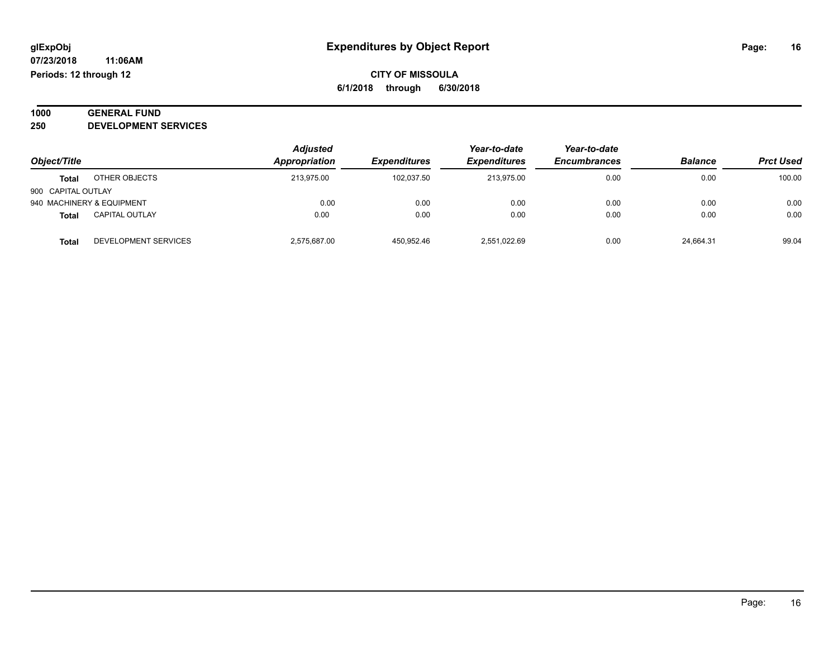### **1000 GENERAL FUND 250 DEVELOPMENT SERVICES**

| Object/Title       |                           | <b>Adjusted</b> | <b>Expenditures</b> | Year-to-date<br><b>Expenditures</b> | Year-to-date<br><b>Encumbrances</b> | <b>Balance</b> |                  |
|--------------------|---------------------------|-----------------|---------------------|-------------------------------------|-------------------------------------|----------------|------------------|
|                    |                           | Appropriation   |                     |                                     |                                     |                | <b>Prct Used</b> |
| Total              | OTHER OBJECTS             | 213.975.00      | 102,037.50          | 213.975.00                          | 0.00                                | 0.00           | 100.00           |
| 900 CAPITAL OUTLAY |                           |                 |                     |                                     |                                     |                |                  |
|                    | 940 MACHINERY & EQUIPMENT | 0.00            | 0.00                | 0.00                                | 0.00                                | 0.00           | 0.00             |
| <b>Total</b>       | <b>CAPITAL OUTLAY</b>     | 0.00            | 0.00                | 0.00                                | 0.00                                | 0.00           | 0.00             |
| <b>Total</b>       | DEVELOPMENT SERVICES      | 2.575.687.00    | 450,952.46          | 2,551,022.69                        | 0.00                                | 24,664.31      | 99.04            |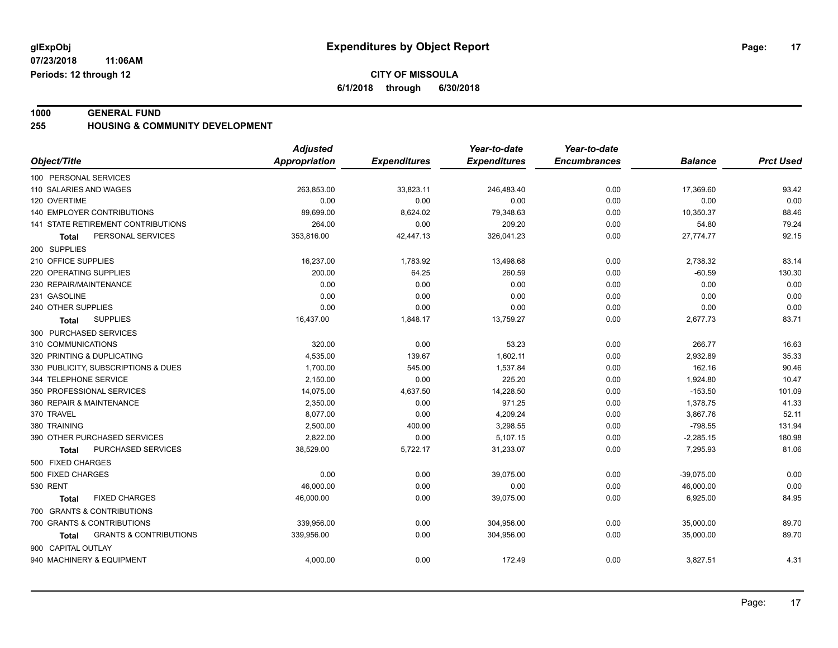**1000 GENERAL FUND 255 HOUSING & COMMUNITY DEVELOPMENT**

|                                            | <b>Adjusted</b>      |                     | Year-to-date        | Year-to-date        |                |                  |
|--------------------------------------------|----------------------|---------------------|---------------------|---------------------|----------------|------------------|
| Object/Title                               | <b>Appropriation</b> | <b>Expenditures</b> | <b>Expenditures</b> | <b>Encumbrances</b> | <b>Balance</b> | <b>Prct Used</b> |
| 100 PERSONAL SERVICES                      |                      |                     |                     |                     |                |                  |
| 110 SALARIES AND WAGES                     | 263,853.00           | 33,823.11           | 246,483.40          | 0.00                | 17,369.60      | 93.42            |
| 120 OVERTIME                               | 0.00                 | 0.00                | 0.00                | 0.00                | 0.00           | 0.00             |
| 140 EMPLOYER CONTRIBUTIONS                 | 89,699.00            | 8,624.02            | 79,348.63           | 0.00                | 10,350.37      | 88.46            |
| <b>141 STATE RETIREMENT CONTRIBUTIONS</b>  | 264.00               | 0.00                | 209.20              | 0.00                | 54.80          | 79.24            |
| PERSONAL SERVICES<br>Total                 | 353,816.00           | 42,447.13           | 326,041.23          | 0.00                | 27,774.77      | 92.15            |
| 200 SUPPLIES                               |                      |                     |                     |                     |                |                  |
| 210 OFFICE SUPPLIES                        | 16,237.00            | 1,783.92            | 13,498.68           | 0.00                | 2,738.32       | 83.14            |
| 220 OPERATING SUPPLIES                     | 200.00               | 64.25               | 260.59              | 0.00                | $-60.59$       | 130.30           |
| 230 REPAIR/MAINTENANCE                     | 0.00                 | 0.00                | 0.00                | 0.00                | 0.00           | 0.00             |
| 231 GASOLINE                               | 0.00                 | 0.00                | 0.00                | 0.00                | 0.00           | 0.00             |
| 240 OTHER SUPPLIES                         | 0.00                 | 0.00                | 0.00                | 0.00                | 0.00           | 0.00             |
| <b>SUPPLIES</b><br>Total                   | 16,437.00            | 1,848.17            | 13,759.27           | 0.00                | 2,677.73       | 83.71            |
| 300 PURCHASED SERVICES                     |                      |                     |                     |                     |                |                  |
| 310 COMMUNICATIONS                         | 320.00               | 0.00                | 53.23               | 0.00                | 266.77         | 16.63            |
| 320 PRINTING & DUPLICATING                 | 4,535.00             | 139.67              | 1,602.11            | 0.00                | 2,932.89       | 35.33            |
| 330 PUBLICITY, SUBSCRIPTIONS & DUES        | 1,700.00             | 545.00              | 1,537.84            | 0.00                | 162.16         | 90.46            |
| 344 TELEPHONE SERVICE                      | 2,150.00             | 0.00                | 225.20              | 0.00                | 1,924.80       | 10.47            |
| 350 PROFESSIONAL SERVICES                  | 14,075.00            | 4,637.50            | 14,228.50           | 0.00                | $-153.50$      | 101.09           |
| 360 REPAIR & MAINTENANCE                   | 2,350.00             | 0.00                | 971.25              | 0.00                | 1,378.75       | 41.33            |
| 370 TRAVEL                                 | 8,077.00             | 0.00                | 4,209.24            | 0.00                | 3,867.76       | 52.11            |
| 380 TRAINING                               | 2,500.00             | 400.00              | 3,298.55            | 0.00                | $-798.55$      | 131.94           |
| 390 OTHER PURCHASED SERVICES               | 2,822.00             | 0.00                | 5,107.15            | 0.00                | $-2,285.15$    | 180.98           |
| PURCHASED SERVICES<br><b>Total</b>         | 38,529.00            | 5,722.17            | 31,233.07           | 0.00                | 7,295.93       | 81.06            |
| 500 FIXED CHARGES                          |                      |                     |                     |                     |                |                  |
| 500 FIXED CHARGES                          | 0.00                 | 0.00                | 39,075.00           | 0.00                | $-39,075.00$   | 0.00             |
| <b>530 RENT</b>                            | 46,000.00            | 0.00                | 0.00                | 0.00                | 46,000.00      | 0.00             |
| <b>FIXED CHARGES</b><br>Total              | 46,000.00            | 0.00                | 39,075.00           | 0.00                | 6,925.00       | 84.95            |
| 700 GRANTS & CONTRIBUTIONS                 |                      |                     |                     |                     |                |                  |
| 700 GRANTS & CONTRIBUTIONS                 | 339,956.00           | 0.00                | 304,956.00          | 0.00                | 35,000.00      | 89.70            |
| <b>GRANTS &amp; CONTRIBUTIONS</b><br>Total | 339,956.00           | 0.00                | 304,956.00          | 0.00                | 35,000.00      | 89.70            |
| 900 CAPITAL OUTLAY                         |                      |                     |                     |                     |                |                  |
| 940 MACHINERY & EQUIPMENT                  | 4,000.00             | 0.00                | 172.49              | 0.00                | 3,827.51       | 4.31             |
|                                            |                      |                     |                     |                     |                |                  |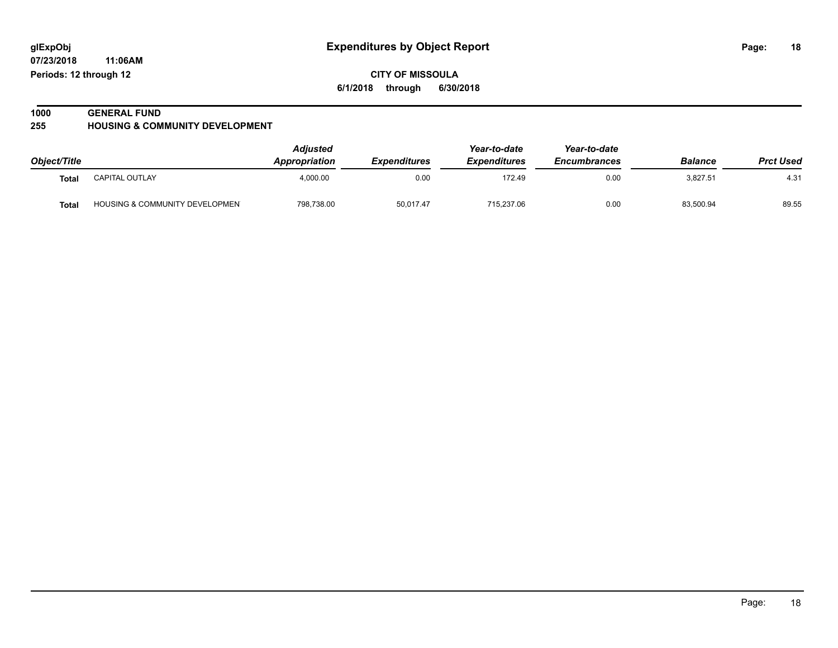# **1000 GENERAL FUND**

**255 HOUSING & COMMUNITY DEVELOPMENT**

|              |                                           | <b>Adjusted</b>      |              | Year-to-date        | Year-to-date<br><b>Encumbrances</b> |                | <b>Prct Used</b> |
|--------------|-------------------------------------------|----------------------|--------------|---------------------|-------------------------------------|----------------|------------------|
| Object/Title |                                           | <b>Appropriation</b> | Expenditures | <b>Expenditures</b> |                                     | <b>Balance</b> |                  |
| Total        | CAPITAL OUTLAY                            | 4,000.00             | 0.00         | 172.49              | 0.00                                | 3,827.51       | 4.31             |
| Total        | <b>HOUSING &amp; COMMUNITY DEVELOPMEN</b> | 798,738.00           | 50,017.47    | 715.237.06          | 0.00                                | 83,500.94      | 89.55            |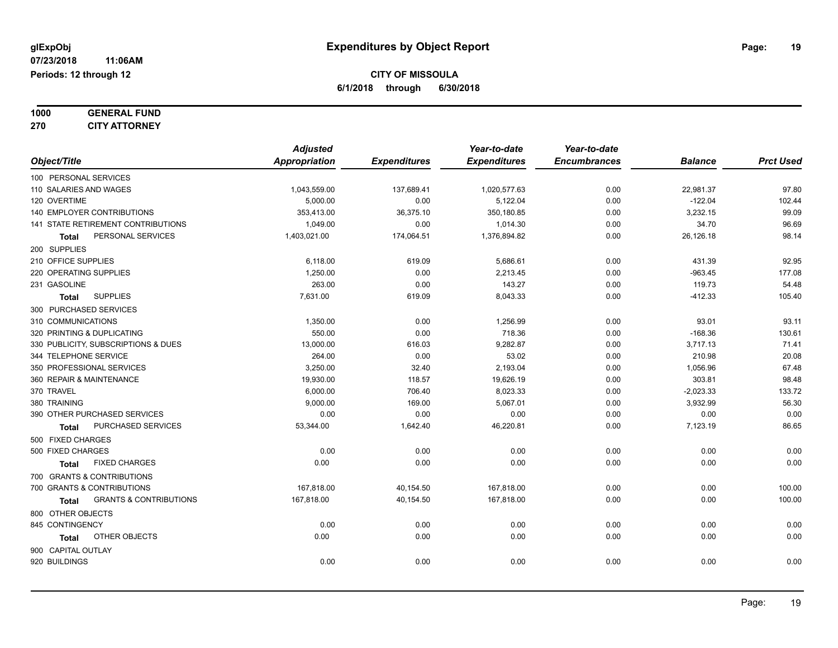**1000 GENERAL FUND 270 CITY ATTORNEY**

|                                            | <b>Adjusted</b> |                     | Year-to-date        | Year-to-date        |                |                  |
|--------------------------------------------|-----------------|---------------------|---------------------|---------------------|----------------|------------------|
| Object/Title                               | Appropriation   | <b>Expenditures</b> | <b>Expenditures</b> | <b>Encumbrances</b> | <b>Balance</b> | <b>Prct Used</b> |
| 100 PERSONAL SERVICES                      |                 |                     |                     |                     |                |                  |
| 110 SALARIES AND WAGES                     | 1,043,559.00    | 137,689.41          | 1,020,577.63        | 0.00                | 22,981.37      | 97.80            |
| 120 OVERTIME                               | 5,000.00        | 0.00                | 5,122.04            | 0.00                | $-122.04$      | 102.44           |
| 140 EMPLOYER CONTRIBUTIONS                 | 353,413.00      | 36,375.10           | 350,180.85          | 0.00                | 3,232.15       | 99.09            |
| 141 STATE RETIREMENT CONTRIBUTIONS         | 1.049.00        | 0.00                | 1,014.30            | 0.00                | 34.70          | 96.69            |
| PERSONAL SERVICES<br>Total                 | 1,403,021.00    | 174,064.51          | 1,376,894.82        | 0.00                | 26,126.18      | 98.14            |
| 200 SUPPLIES                               |                 |                     |                     |                     |                |                  |
| 210 OFFICE SUPPLIES                        | 6,118.00        | 619.09              | 5,686.61            | 0.00                | 431.39         | 92.95            |
| 220 OPERATING SUPPLIES                     | 1,250.00        | 0.00                | 2,213.45            | 0.00                | $-963.45$      | 177.08           |
| 231 GASOLINE                               | 263.00          | 0.00                | 143.27              | 0.00                | 119.73         | 54.48            |
| <b>SUPPLIES</b><br>Total                   | 7,631.00        | 619.09              | 8,043.33            | 0.00                | $-412.33$      | 105.40           |
| 300 PURCHASED SERVICES                     |                 |                     |                     |                     |                |                  |
| 310 COMMUNICATIONS                         | 1,350.00        | 0.00                | 1,256.99            | 0.00                | 93.01          | 93.11            |
| 320 PRINTING & DUPLICATING                 | 550.00          | 0.00                | 718.36              | 0.00                | $-168.36$      | 130.61           |
| 330 PUBLICITY, SUBSCRIPTIONS & DUES        | 13,000.00       | 616.03              | 9,282.87            | 0.00                | 3,717.13       | 71.41            |
| 344 TELEPHONE SERVICE                      | 264.00          | 0.00                | 53.02               | 0.00                | 210.98         | 20.08            |
| 350 PROFESSIONAL SERVICES                  | 3,250.00        | 32.40               | 2,193.04            | 0.00                | 1,056.96       | 67.48            |
| 360 REPAIR & MAINTENANCE                   | 19,930.00       | 118.57              | 19,626.19           | 0.00                | 303.81         | 98.48            |
| 370 TRAVEL                                 | 6,000.00        | 706.40              | 8,023.33            | 0.00                | $-2,023.33$    | 133.72           |
| 380 TRAINING                               | 9,000.00        | 169.00              | 5,067.01            | 0.00                | 3,932.99       | 56.30            |
| 390 OTHER PURCHASED SERVICES               | 0.00            | 0.00                | 0.00                | 0.00                | 0.00           | 0.00             |
| PURCHASED SERVICES<br><b>Total</b>         | 53,344.00       | 1,642.40            | 46,220.81           | 0.00                | 7,123.19       | 86.65            |
| 500 FIXED CHARGES                          |                 |                     |                     |                     |                |                  |
| 500 FIXED CHARGES                          | 0.00            | 0.00                | 0.00                | 0.00                | 0.00           | 0.00             |
| <b>FIXED CHARGES</b><br>Total              | 0.00            | 0.00                | 0.00                | 0.00                | 0.00           | 0.00             |
| 700 GRANTS & CONTRIBUTIONS                 |                 |                     |                     |                     |                |                  |
| 700 GRANTS & CONTRIBUTIONS                 | 167,818.00      | 40,154.50           | 167,818.00          | 0.00                | 0.00           | 100.00           |
| <b>GRANTS &amp; CONTRIBUTIONS</b><br>Total | 167,818.00      | 40,154.50           | 167,818.00          | 0.00                | 0.00           | 100.00           |
| 800 OTHER OBJECTS                          |                 |                     |                     |                     |                |                  |
| 845 CONTINGENCY                            | 0.00            | 0.00                | 0.00                | 0.00                | 0.00           | 0.00             |
| <b>OTHER OBJECTS</b><br>Total              | 0.00            | 0.00                | 0.00                | 0.00                | 0.00           | 0.00             |
| 900 CAPITAL OUTLAY                         |                 |                     |                     |                     |                |                  |
| 920 BUILDINGS                              | 0.00            | 0.00                | 0.00                | 0.00                | 0.00           | 0.00             |
|                                            |                 |                     |                     |                     |                |                  |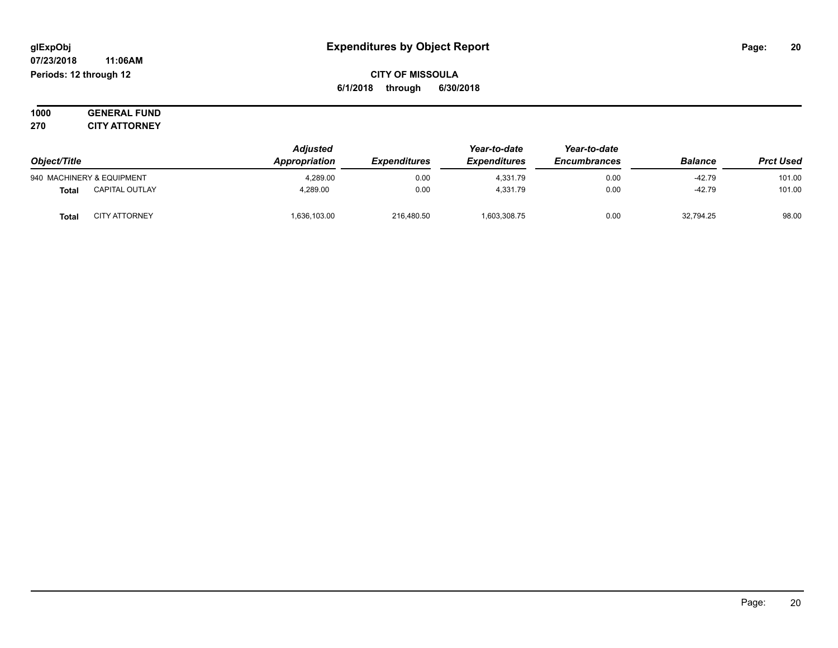### **07/23/2018 11:06AM Periods: 12 through 12**

**CITY OF MISSOULA 6/1/2018 through 6/30/2018**

**1000 GENERAL FUND 270 CITY ATTORNEY**

| Object/Title |                           | <b>Adjusted</b> |                            | Year-to-date        | Year-to-date        |                |                  |
|--------------|---------------------------|-----------------|----------------------------|---------------------|---------------------|----------------|------------------|
|              |                           | Appropriation   | <i><b>Expenditures</b></i> | <b>Expenditures</b> | <b>Encumbrances</b> | <b>Balance</b> | <b>Prct Used</b> |
|              | 940 MACHINERY & EQUIPMENT | 4.289.00        | 0.00                       | 4.331.79            | 0.00                | $-42.79$       | 101.00           |
| <b>Total</b> | <b>CAPITAL OUTLAY</b>     | 4.289.00        | 0.00                       | 4.331.79            | 0.00                | $-42.79$       | 101.00           |
| Total        | <b>CITY ATTORNEY</b>      | 1,636,103.00    | 216,480.50                 | 1,603,308.75        | 0.00                | 32,794.25      | 98.00            |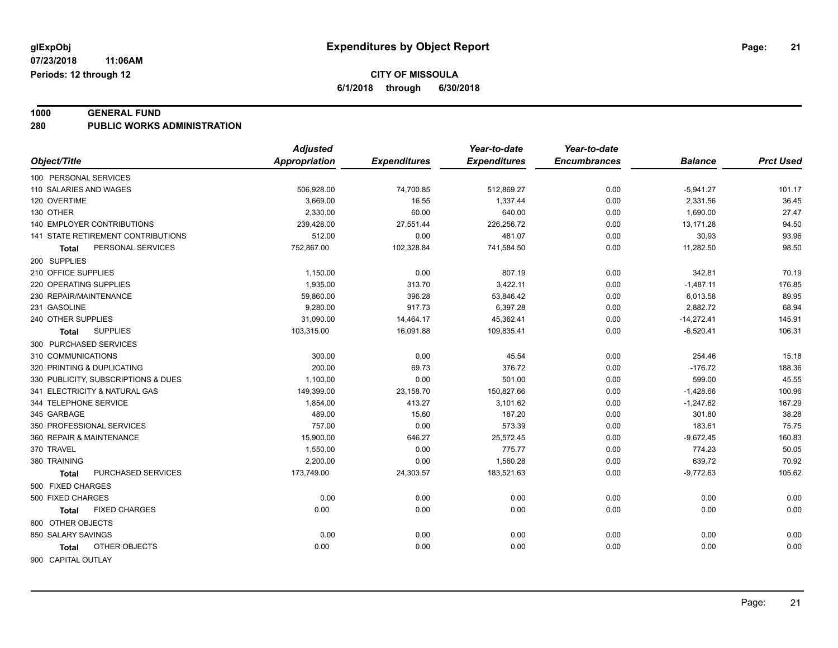# **1000 GENERAL FUND<br>280 PUBLIC WORKS /**

**280 PUBLIC WORKS ADMINISTRATION**

|                                     | <b>Adjusted</b>      |                     | Year-to-date        | Year-to-date        |                |                  |
|-------------------------------------|----------------------|---------------------|---------------------|---------------------|----------------|------------------|
| Object/Title                        | <b>Appropriation</b> | <b>Expenditures</b> | <b>Expenditures</b> | <b>Encumbrances</b> | <b>Balance</b> | <b>Prct Used</b> |
| 100 PERSONAL SERVICES               |                      |                     |                     |                     |                |                  |
| 110 SALARIES AND WAGES              | 506,928.00           | 74,700.85           | 512,869.27          | 0.00                | $-5,941.27$    | 101.17           |
| 120 OVERTIME                        | 3.669.00             | 16.55               | 1,337.44            | 0.00                | 2,331.56       | 36.45            |
| 130 OTHER                           | 2,330.00             | 60.00               | 640.00              | 0.00                | 1,690.00       | 27.47            |
| <b>140 EMPLOYER CONTRIBUTIONS</b>   | 239,428.00           | 27,551.44           | 226,256.72          | 0.00                | 13,171.28      | 94.50            |
| 141 STATE RETIREMENT CONTRIBUTIONS  | 512.00               | 0.00                | 481.07              | 0.00                | 30.93          | 93.96            |
| PERSONAL SERVICES<br>Total          | 752,867.00           | 102,328.84          | 741,584.50          | 0.00                | 11,282.50      | 98.50            |
| 200 SUPPLIES                        |                      |                     |                     |                     |                |                  |
| 210 OFFICE SUPPLIES                 | 1,150.00             | 0.00                | 807.19              | 0.00                | 342.81         | 70.19            |
| 220 OPERATING SUPPLIES              | 1,935.00             | 313.70              | 3,422.11            | 0.00                | $-1,487.11$    | 176.85           |
| 230 REPAIR/MAINTENANCE              | 59,860.00            | 396.28              | 53,846.42           | 0.00                | 6,013.58       | 89.95            |
| 231 GASOLINE                        | 9,280.00             | 917.73              | 6,397.28            | 0.00                | 2,882.72       | 68.94            |
| 240 OTHER SUPPLIES                  | 31,090.00            | 14,464.17           | 45,362.41           | 0.00                | $-14,272.41$   | 145.91           |
| <b>SUPPLIES</b><br>Total            | 103,315.00           | 16,091.88           | 109,835.41          | 0.00                | $-6,520.41$    | 106.31           |
| 300 PURCHASED SERVICES              |                      |                     |                     |                     |                |                  |
| 310 COMMUNICATIONS                  | 300.00               | 0.00                | 45.54               | 0.00                | 254.46         | 15.18            |
| 320 PRINTING & DUPLICATING          | 200.00               | 69.73               | 376.72              | 0.00                | $-176.72$      | 188.36           |
| 330 PUBLICITY, SUBSCRIPTIONS & DUES | 1,100.00             | 0.00                | 501.00              | 0.00                | 599.00         | 45.55            |
| 341 ELECTRICITY & NATURAL GAS       | 149,399.00           | 23,158.70           | 150,827.66          | 0.00                | $-1,428.66$    | 100.96           |
| 344 TELEPHONE SERVICE               | 1,854.00             | 413.27              | 3,101.62            | 0.00                | $-1,247.62$    | 167.29           |
| 345 GARBAGE                         | 489.00               | 15.60               | 187.20              | 0.00                | 301.80         | 38.28            |
| 350 PROFESSIONAL SERVICES           | 757.00               | 0.00                | 573.39              | 0.00                | 183.61         | 75.75            |
| 360 REPAIR & MAINTENANCE            | 15,900.00            | 646.27              | 25,572.45           | 0.00                | $-9,672.45$    | 160.83           |
| 370 TRAVEL                          | 1,550.00             | 0.00                | 775.77              | 0.00                | 774.23         | 50.05            |
| 380 TRAINING                        | 2,200.00             | 0.00                | 1,560.28            | 0.00                | 639.72         | 70.92            |
| PURCHASED SERVICES<br>Total         | 173,749.00           | 24,303.57           | 183,521.63          | 0.00                | $-9,772.63$    | 105.62           |
| 500 FIXED CHARGES                   |                      |                     |                     |                     |                |                  |
| 500 FIXED CHARGES                   | 0.00                 | 0.00                | 0.00                | 0.00                | 0.00           | 0.00             |
| <b>FIXED CHARGES</b><br>Total       | 0.00                 | 0.00                | 0.00                | 0.00                | 0.00           | 0.00             |
| 800 OTHER OBJECTS                   |                      |                     |                     |                     |                |                  |
| 850 SALARY SAVINGS                  | 0.00                 | 0.00                | 0.00                | 0.00                | 0.00           | 0.00             |
| OTHER OBJECTS<br>Total              | 0.00                 | 0.00                | 0.00                | 0.00                | 0.00           | 0.00             |
|                                     |                      |                     |                     |                     |                |                  |
| 900 CAPITAL OUTLAY                  |                      |                     |                     |                     |                |                  |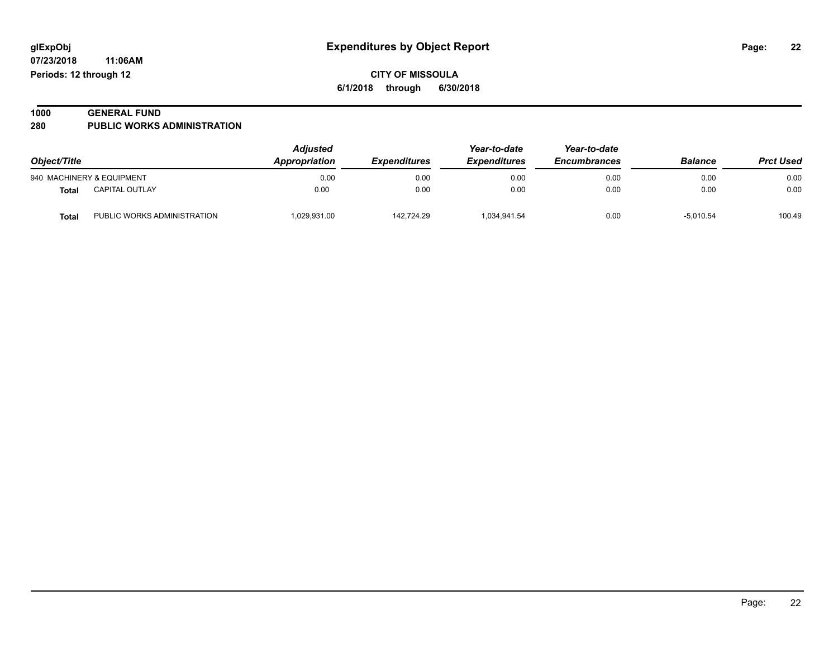**07/23/2018 11:06AM Periods: 12 through 12**

### **1000 GENERAL FUND<br>280 PUBLIC WORKS / 280 PUBLIC WORKS ADMINISTRATION**

| Object/Title |                             | <b>Adjusted</b><br>Appropriation | <b>Expenditures</b> | Year-to-date<br><b>Expenditures</b> | Year-to-date<br><b>Encumbrances</b> | <b>Balance</b> | <b>Prct Used</b> |
|--------------|-----------------------------|----------------------------------|---------------------|-------------------------------------|-------------------------------------|----------------|------------------|
|              | 940 MACHINERY & EQUIPMENT   | 0.00                             | 0.00                | 0.00                                | 0.00                                | 0.00           | 0.00             |
| Total        | <b>CAPITAL OUTLAY</b>       | 0.00                             | 0.00                | 0.00                                | 0.00                                | 0.00           | 0.00             |
| Total        | PUBLIC WORKS ADMINISTRATION | 1,029,931.00                     | 142,724.29          | 1,034,941.54                        | 0.00                                | $-5,010.54$    | 100.49           |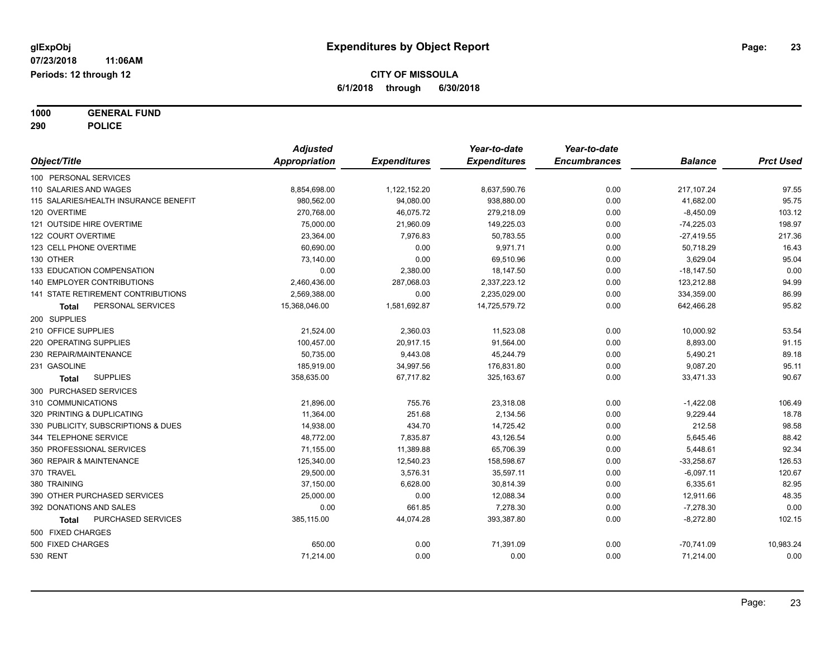**1000 GENERAL FUND 290 POLICE**

|                                       | <b>Adjusted</b> |                     | Year-to-date        | Year-to-date        |                |                  |
|---------------------------------------|-----------------|---------------------|---------------------|---------------------|----------------|------------------|
| Object/Title                          | Appropriation   | <b>Expenditures</b> | <b>Expenditures</b> | <b>Encumbrances</b> | <b>Balance</b> | <b>Prct Used</b> |
| 100 PERSONAL SERVICES                 |                 |                     |                     |                     |                |                  |
| 110 SALARIES AND WAGES                | 8,854,698.00    | 1,122,152.20        | 8,637,590.76        | 0.00                | 217,107.24     | 97.55            |
| 115 SALARIES/HEALTH INSURANCE BENEFIT | 980,562.00      | 94,080.00           | 938.880.00          | 0.00                | 41,682.00      | 95.75            |
| 120 OVERTIME                          | 270,768.00      | 46,075.72           | 279,218.09          | 0.00                | $-8,450.09$    | 103.12           |
| 121 OUTSIDE HIRE OVERTIME             | 75,000.00       | 21,960.09           | 149,225.03          | 0.00                | $-74,225.03$   | 198.97           |
| 122 COURT OVERTIME                    | 23,364.00       | 7,976.83            | 50,783.55           | 0.00                | $-27,419.55$   | 217.36           |
| 123 CELL PHONE OVERTIME               | 60,690.00       | 0.00                | 9,971.71            | 0.00                | 50,718.29      | 16.43            |
| 130 OTHER                             | 73,140.00       | 0.00                | 69.510.96           | 0.00                | 3,629.04       | 95.04            |
| 133 EDUCATION COMPENSATION            | 0.00            | 2,380.00            | 18,147.50           | 0.00                | $-18,147.50$   | 0.00             |
| 140 EMPLOYER CONTRIBUTIONS            | 2,460,436.00    | 287,068.03          | 2,337,223.12        | 0.00                | 123,212.88     | 94.99            |
| 141 STATE RETIREMENT CONTRIBUTIONS    | 2,569,388.00    | 0.00                | 2,235,029.00        | 0.00                | 334,359.00     | 86.99            |
| PERSONAL SERVICES<br>Total            | 15,368,046.00   | 1,581,692.87        | 14,725,579.72       | 0.00                | 642,466.28     | 95.82            |
| 200 SUPPLIES                          |                 |                     |                     |                     |                |                  |
| 210 OFFICE SUPPLIES                   | 21,524.00       | 2,360.03            | 11,523.08           | 0.00                | 10,000.92      | 53.54            |
| 220 OPERATING SUPPLIES                | 100,457.00      | 20,917.15           | 91,564.00           | 0.00                | 8,893.00       | 91.15            |
| 230 REPAIR/MAINTENANCE                | 50,735.00       | 9,443.08            | 45,244.79           | 0.00                | 5,490.21       | 89.18            |
| 231 GASOLINE                          | 185,919.00      | 34,997.56           | 176,831.80          | 0.00                | 9,087.20       | 95.11            |
| <b>SUPPLIES</b><br><b>Total</b>       | 358,635.00      | 67,717.82           | 325, 163.67         | 0.00                | 33,471.33      | 90.67            |
| 300 PURCHASED SERVICES                |                 |                     |                     |                     |                |                  |
| 310 COMMUNICATIONS                    | 21,896.00       | 755.76              | 23,318.08           | 0.00                | $-1,422.08$    | 106.49           |
| 320 PRINTING & DUPLICATING            | 11,364.00       | 251.68              | 2,134.56            | 0.00                | 9,229.44       | 18.78            |
| 330 PUBLICITY, SUBSCRIPTIONS & DUES   | 14,938.00       | 434.70              | 14,725.42           | 0.00                | 212.58         | 98.58            |
| 344 TELEPHONE SERVICE                 | 48,772.00       | 7,835.87            | 43,126.54           | 0.00                | 5,645.46       | 88.42            |
| 350 PROFESSIONAL SERVICES             | 71,155.00       | 11,389.88           | 65,706.39           | 0.00                | 5,448.61       | 92.34            |
| 360 REPAIR & MAINTENANCE              | 125,340.00      | 12,540.23           | 158,598.67          | 0.00                | $-33,258.67$   | 126.53           |
| 370 TRAVEL                            | 29,500.00       | 3,576.31            | 35,597.11           | 0.00                | $-6,097.11$    | 120.67           |
| 380 TRAINING                          | 37,150.00       | 6,628.00            | 30,814.39           | 0.00                | 6,335.61       | 82.95            |
| 390 OTHER PURCHASED SERVICES          | 25,000.00       | 0.00                | 12,088.34           | 0.00                | 12,911.66      | 48.35            |
| 392 DONATIONS AND SALES               | 0.00            | 661.85              | 7,278.30            | 0.00                | $-7,278.30$    | 0.00             |
| PURCHASED SERVICES<br>Total           | 385,115.00      | 44,074.28           | 393,387.80          | 0.00                | $-8,272.80$    | 102.15           |
| 500 FIXED CHARGES                     |                 |                     |                     |                     |                |                  |
| 500 FIXED CHARGES                     | 650.00          | 0.00                | 71,391.09           | 0.00                | $-70,741.09$   | 10,983.24        |
| 530 RENT                              | 71,214.00       | 0.00                | 0.00                | 0.00                | 71,214.00      | 0.00             |
|                                       |                 |                     |                     |                     |                |                  |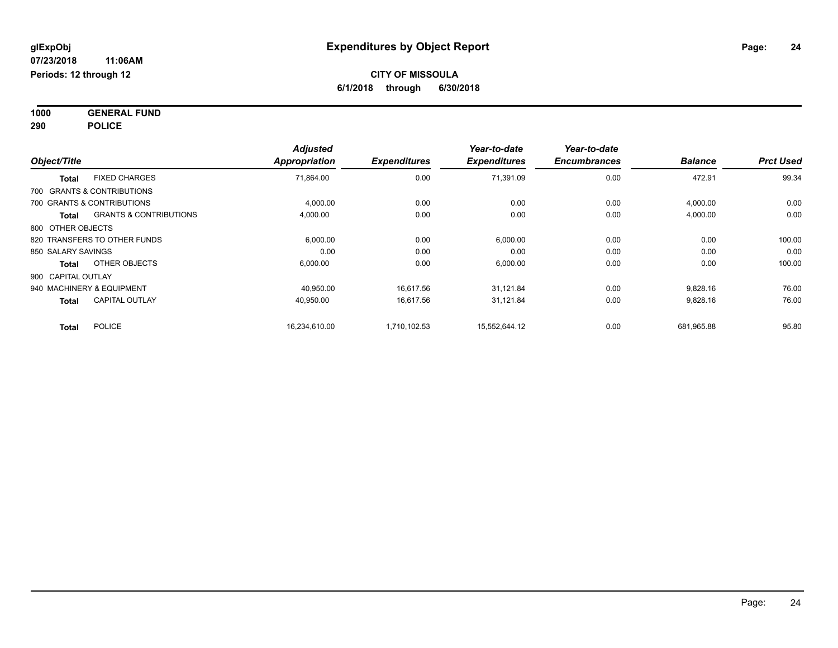**1000 GENERAL FUND 290 POLICE**

| Object/Title                  |                                   | <b>Adjusted</b><br><b>Appropriation</b> | <b>Expenditures</b> | Year-to-date<br><b>Expenditures</b> | Year-to-date<br><b>Encumbrances</b> | <b>Balance</b> | <b>Prct Used</b> |
|-------------------------------|-----------------------------------|-----------------------------------------|---------------------|-------------------------------------|-------------------------------------|----------------|------------------|
| <b>Total</b>                  | <b>FIXED CHARGES</b>              | 71,864.00                               | 0.00                | 71,391.09                           | 0.00                                | 472.91         | 99.34            |
| 700 GRANTS & CONTRIBUTIONS    |                                   |                                         |                     |                                     |                                     |                |                  |
| 700 GRANTS & CONTRIBUTIONS    |                                   | 4,000.00                                | 0.00                | 0.00                                | 0.00                                | 4,000.00       | 0.00             |
| <b>Total</b>                  | <b>GRANTS &amp; CONTRIBUTIONS</b> | 4,000.00                                | 0.00                | 0.00                                | 0.00                                | 4,000.00       | 0.00             |
| 800 OTHER OBJECTS             |                                   |                                         |                     |                                     |                                     |                |                  |
| 820 TRANSFERS TO OTHER FUNDS  |                                   | 6,000.00                                | 0.00                | 6,000.00                            | 0.00                                | 0.00           | 100.00           |
| 850 SALARY SAVINGS            |                                   | 0.00                                    | 0.00                | 0.00                                | 0.00                                | 0.00           | 0.00             |
| <b>Total</b>                  | OTHER OBJECTS                     | 6,000.00                                | 0.00                | 6,000.00                            | 0.00                                | 0.00           | 100.00           |
| 900 CAPITAL OUTLAY            |                                   |                                         |                     |                                     |                                     |                |                  |
| 940 MACHINERY & EQUIPMENT     |                                   | 40.950.00                               | 16.617.56           | 31,121.84                           | 0.00                                | 9,828.16       | 76.00            |
| <b>Total</b>                  | <b>CAPITAL OUTLAY</b>             | 40,950.00                               | 16,617.56           | 31,121.84                           | 0.00                                | 9,828.16       | 76.00            |
| <b>POLICE</b><br><b>Total</b> |                                   | 16,234,610.00                           | 1,710,102.53        | 15,552,644.12                       | 0.00                                | 681,965.88     | 95.80            |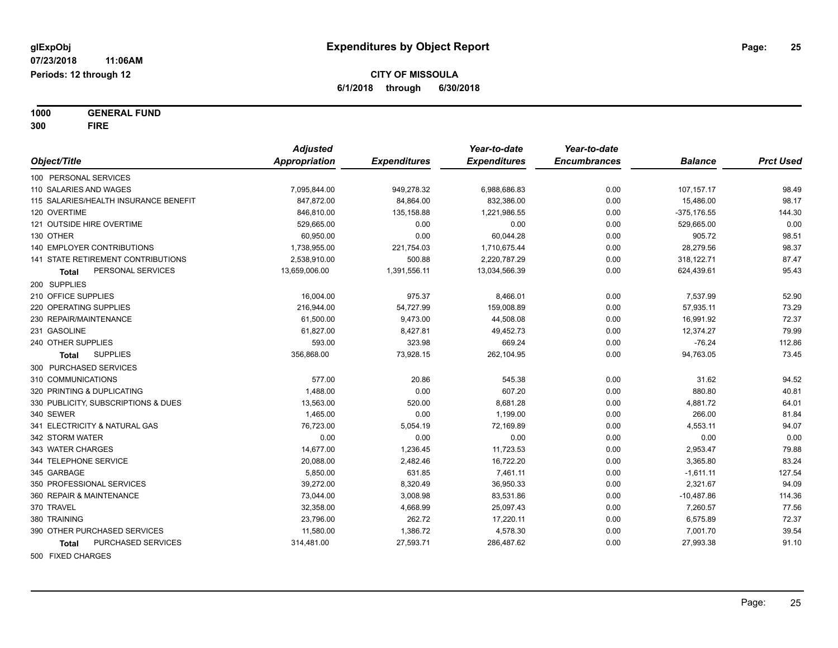**1000 GENERAL FUND 300 FIRE**

|                                       | <b>Adjusted</b>      |                     | Year-to-date        | Year-to-date        |                |                  |
|---------------------------------------|----------------------|---------------------|---------------------|---------------------|----------------|------------------|
| Object/Title                          | <b>Appropriation</b> | <b>Expenditures</b> | <b>Expenditures</b> | <b>Encumbrances</b> | <b>Balance</b> | <b>Prct Used</b> |
| 100 PERSONAL SERVICES                 |                      |                     |                     |                     |                |                  |
| 110 SALARIES AND WAGES                | 7,095,844.00         | 949,278.32          | 6,988,686.83        | 0.00                | 107, 157. 17   | 98.49            |
| 115 SALARIES/HEALTH INSURANCE BENEFIT | 847,872.00           | 84,864.00           | 832,386.00          | 0.00                | 15,486.00      | 98.17            |
| 120 OVERTIME                          | 846,810.00           | 135,158.88          | 1,221,986.55        | 0.00                | $-375,176.55$  | 144.30           |
| 121 OUTSIDE HIRE OVERTIME             | 529,665.00           | 0.00                | 0.00                | 0.00                | 529,665.00     | 0.00             |
| 130 OTHER                             | 60,950.00            | 0.00                | 60,044.28           | 0.00                | 905.72         | 98.51            |
| <b>140 EMPLOYER CONTRIBUTIONS</b>     | 1,738,955.00         | 221,754.03          | 1,710,675.44        | 0.00                | 28,279.56      | 98.37            |
| 141 STATE RETIREMENT CONTRIBUTIONS    | 2,538,910.00         | 500.88              | 2,220,787.29        | 0.00                | 318,122.71     | 87.47            |
| PERSONAL SERVICES<br><b>Total</b>     | 13,659,006.00        | 1,391,556.11        | 13,034,566.39       | 0.00                | 624,439.61     | 95.43            |
| 200 SUPPLIES                          |                      |                     |                     |                     |                |                  |
| 210 OFFICE SUPPLIES                   | 16,004.00            | 975.37              | 8,466.01            | 0.00                | 7,537.99       | 52.90            |
| 220 OPERATING SUPPLIES                | 216,944.00           | 54,727.99           | 159,008.89          | 0.00                | 57,935.11      | 73.29            |
| 230 REPAIR/MAINTENANCE                | 61,500.00            | 9,473.00            | 44,508.08           | 0.00                | 16,991.92      | 72.37            |
| 231 GASOLINE                          | 61,827.00            | 8,427.81            | 49,452.73           | 0.00                | 12,374.27      | 79.99            |
| 240 OTHER SUPPLIES                    | 593.00               | 323.98              | 669.24              | 0.00                | $-76.24$       | 112.86           |
| <b>SUPPLIES</b><br>Total              | 356,868.00           | 73,928.15           | 262,104.95          | 0.00                | 94,763.05      | 73.45            |
| 300 PURCHASED SERVICES                |                      |                     |                     |                     |                |                  |
| 310 COMMUNICATIONS                    | 577.00               | 20.86               | 545.38              | 0.00                | 31.62          | 94.52            |
| 320 PRINTING & DUPLICATING            | 1,488.00             | 0.00                | 607.20              | 0.00                | 880.80         | 40.81            |
| 330 PUBLICITY, SUBSCRIPTIONS & DUES   | 13,563.00            | 520.00              | 8,681.28            | 0.00                | 4,881.72       | 64.01            |
| 340 SEWER                             | 1,465.00             | 0.00                | 1,199.00            | 0.00                | 266.00         | 81.84            |
| 341 ELECTRICITY & NATURAL GAS         | 76,723.00            | 5,054.19            | 72,169.89           | 0.00                | 4,553.11       | 94.07            |
| 342 STORM WATER                       | 0.00                 | 0.00                | 0.00                | 0.00                | 0.00           | 0.00             |
| 343 WATER CHARGES                     | 14,677.00            | 1,236.45            | 11,723.53           | 0.00                | 2,953.47       | 79.88            |
| 344 TELEPHONE SERVICE                 | 20,088.00            | 2,482.46            | 16,722.20           | 0.00                | 3,365.80       | 83.24            |
| 345 GARBAGE                           | 5,850.00             | 631.85              | 7,461.11            | 0.00                | $-1,611.11$    | 127.54           |
| 350 PROFESSIONAL SERVICES             | 39,272.00            | 8,320.49            | 36,950.33           | 0.00                | 2,321.67       | 94.09            |
| 360 REPAIR & MAINTENANCE              | 73,044.00            | 3,008.98            | 83,531.86           | 0.00                | $-10,487.86$   | 114.36           |
| 370 TRAVEL                            | 32,358.00            | 4,668.99            | 25,097.43           | 0.00                | 7,260.57       | 77.56            |
| 380 TRAINING                          | 23,796.00            | 262.72              | 17,220.11           | 0.00                | 6,575.89       | 72.37            |
| 390 OTHER PURCHASED SERVICES          | 11,580.00            | 1,386.72            | 4,578.30            | 0.00                | 7,001.70       | 39.54            |
| PURCHASED SERVICES<br><b>Total</b>    | 314,481.00           | 27,593.71           | 286,487.62          | 0.00                | 27,993.38      | 91.10            |
|                                       |                      |                     |                     |                     |                |                  |

500 FIXED CHARGES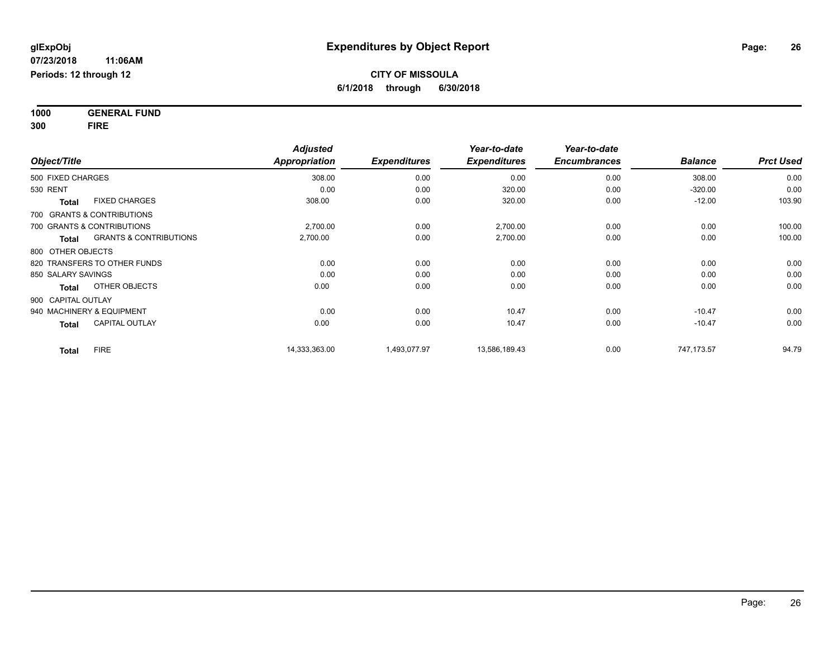**1000 GENERAL FUND 300 FIRE**

|                                                   | <b>Adjusted</b>      |                     | Year-to-date        | Year-to-date<br><b>Encumbrances</b> | <b>Balance</b> | <b>Prct Used</b> |
|---------------------------------------------------|----------------------|---------------------|---------------------|-------------------------------------|----------------|------------------|
| Object/Title                                      | <b>Appropriation</b> | <b>Expenditures</b> | <b>Expenditures</b> |                                     |                |                  |
| 500 FIXED CHARGES                                 | 308.00               | 0.00                | 0.00                | 0.00                                | 308.00         | 0.00             |
| 530 RENT                                          | 0.00                 | 0.00                | 320.00              | 0.00                                | $-320.00$      | 0.00             |
| <b>FIXED CHARGES</b><br><b>Total</b>              | 308.00               | 0.00                | 320.00              | 0.00                                | $-12.00$       | 103.90           |
| 700 GRANTS & CONTRIBUTIONS                        |                      |                     |                     |                                     |                |                  |
| 700 GRANTS & CONTRIBUTIONS                        | 2,700.00             | 0.00                | 2,700.00            | 0.00                                | 0.00           | 100.00           |
| <b>GRANTS &amp; CONTRIBUTIONS</b><br><b>Total</b> | 2,700.00             | 0.00                | 2,700.00            | 0.00                                | 0.00           | 100.00           |
| 800 OTHER OBJECTS                                 |                      |                     |                     |                                     |                |                  |
| 820 TRANSFERS TO OTHER FUNDS                      | 0.00                 | 0.00                | 0.00                | 0.00                                | 0.00           | 0.00             |
| 850 SALARY SAVINGS                                | 0.00                 | 0.00                | 0.00                | 0.00                                | 0.00           | 0.00             |
| OTHER OBJECTS<br><b>Total</b>                     | 0.00                 | 0.00                | 0.00                | 0.00                                | 0.00           | 0.00             |
| 900 CAPITAL OUTLAY                                |                      |                     |                     |                                     |                |                  |
| 940 MACHINERY & EQUIPMENT                         | 0.00                 | 0.00                | 10.47               | 0.00                                | $-10.47$       | 0.00             |
| <b>CAPITAL OUTLAY</b><br><b>Total</b>             | 0.00                 | 0.00                | 10.47               | 0.00                                | $-10.47$       | 0.00             |
| <b>FIRE</b><br><b>Total</b>                       | 14,333,363.00        | 1,493,077.97        | 13,586,189.43       | 0.00                                | 747.173.57     | 94.79            |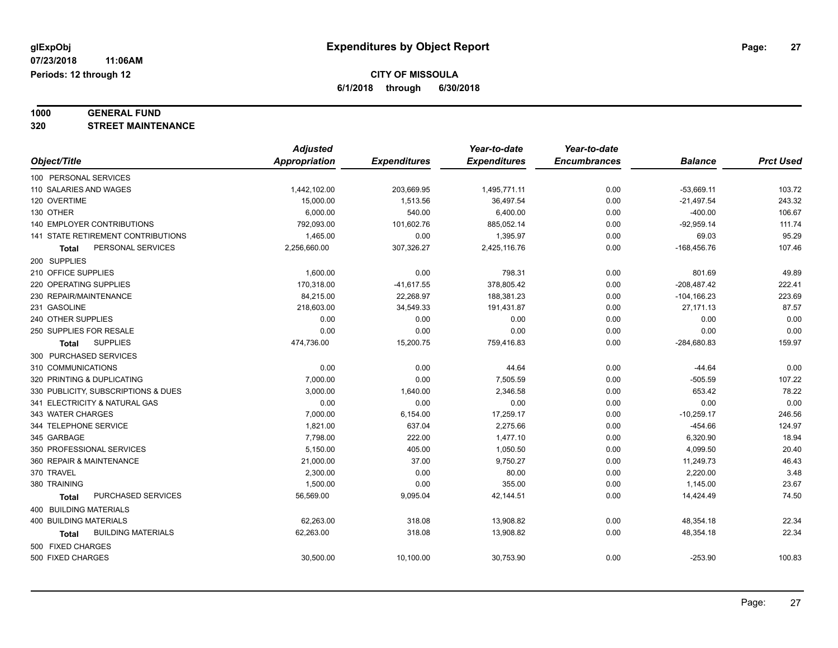# **1000 GENERAL FUND**

**320 STREET MAINTENANCE**

|                                     | <b>Adjusted</b>      |                     | Year-to-date        | Year-to-date        |                |                  |
|-------------------------------------|----------------------|---------------------|---------------------|---------------------|----------------|------------------|
| Object/Title                        | <b>Appropriation</b> | <b>Expenditures</b> | <b>Expenditures</b> | <b>Encumbrances</b> | <b>Balance</b> | <b>Prct Used</b> |
| 100 PERSONAL SERVICES               |                      |                     |                     |                     |                |                  |
| 110 SALARIES AND WAGES              | 1,442,102.00         | 203,669.95          | 1,495,771.11        | 0.00                | $-53,669.11$   | 103.72           |
| 120 OVERTIME                        | 15,000.00            | 1,513.56            | 36,497.54           | 0.00                | $-21,497.54$   | 243.32           |
| 130 OTHER                           | 6,000.00             | 540.00              | 6,400.00            | 0.00                | $-400.00$      | 106.67           |
| 140 EMPLOYER CONTRIBUTIONS          | 792,093.00           | 101,602.76          | 885,052.14          | 0.00                | $-92,959.14$   | 111.74           |
| 141 STATE RETIREMENT CONTRIBUTIONS  | 1,465.00             | 0.00                | 1,395.97            | 0.00                | 69.03          | 95.29            |
| PERSONAL SERVICES<br><b>Total</b>   | 2,256,660.00         | 307,326.27          | 2,425,116.76        | 0.00                | $-168,456.76$  | 107.46           |
| 200 SUPPLIES                        |                      |                     |                     |                     |                |                  |
| 210 OFFICE SUPPLIES                 | 1,600.00             | 0.00                | 798.31              | 0.00                | 801.69         | 49.89            |
| 220 OPERATING SUPPLIES              | 170,318.00           | $-41,617.55$        | 378,805.42          | 0.00                | $-208,487.42$  | 222.41           |
| 230 REPAIR/MAINTENANCE              | 84,215.00            | 22,268.97           | 188,381.23          | 0.00                | $-104, 166.23$ | 223.69           |
| 231 GASOLINE                        | 218,603.00           | 34,549.33           | 191,431.87          | 0.00                | 27, 171.13     | 87.57            |
| 240 OTHER SUPPLIES                  | 0.00                 | 0.00                | 0.00                | 0.00                | 0.00           | 0.00             |
| 250 SUPPLIES FOR RESALE             | 0.00                 | 0.00                | 0.00                | 0.00                | 0.00           | 0.00             |
| <b>SUPPLIES</b><br><b>Total</b>     | 474,736.00           | 15,200.75           | 759,416.83          | 0.00                | $-284,680.83$  | 159.97           |
| 300 PURCHASED SERVICES              |                      |                     |                     |                     |                |                  |
| 310 COMMUNICATIONS                  | 0.00                 | 0.00                | 44.64               | 0.00                | $-44.64$       | 0.00             |
| 320 PRINTING & DUPLICATING          | 7,000.00             | 0.00                | 7,505.59            | 0.00                | $-505.59$      | 107.22           |
| 330 PUBLICITY, SUBSCRIPTIONS & DUES | 3,000.00             | 1,640.00            | 2,346.58            | 0.00                | 653.42         | 78.22            |
| 341 ELECTRICITY & NATURAL GAS       | 0.00                 | 0.00                | 0.00                | 0.00                | 0.00           | 0.00             |
| 343 WATER CHARGES                   | 7,000.00             | 6,154.00            | 17,259.17           | 0.00                | $-10,259.17$   | 246.56           |
| 344 TELEPHONE SERVICE               | 1,821.00             | 637.04              | 2,275.66            | 0.00                | $-454.66$      | 124.97           |
| 345 GARBAGE                         | 7,798.00             | 222.00              | 1,477.10            | 0.00                | 6,320.90       | 18.94            |
| 350 PROFESSIONAL SERVICES           | 5,150.00             | 405.00              | 1,050.50            | 0.00                | 4,099.50       | 20.40            |
| 360 REPAIR & MAINTENANCE            | 21,000.00            | 37.00               | 9,750.27            | 0.00                | 11,249.73      | 46.43            |
| 370 TRAVEL                          | 2,300.00             | 0.00                | 80.00               | 0.00                | 2,220.00       | 3.48             |
| 380 TRAINING                        | 1,500.00             | 0.00                | 355.00              | 0.00                | 1,145.00       | 23.67            |
| PURCHASED SERVICES<br><b>Total</b>  | 56,569.00            | 9,095.04            | 42,144.51           | 0.00                | 14,424.49      | 74.50            |
| 400 BUILDING MATERIALS              |                      |                     |                     |                     |                |                  |
| <b>400 BUILDING MATERIALS</b>       | 62,263.00            | 318.08              | 13,908.82           | 0.00                | 48,354.18      | 22.34            |
| <b>BUILDING MATERIALS</b><br>Total  | 62,263.00            | 318.08              | 13,908.82           | 0.00                | 48,354.18      | 22.34            |
| 500 FIXED CHARGES                   |                      |                     |                     |                     |                |                  |
| 500 FIXED CHARGES                   | 30,500.00            | 10,100.00           | 30,753.90           | 0.00                | $-253.90$      | 100.83           |
|                                     |                      |                     |                     |                     |                |                  |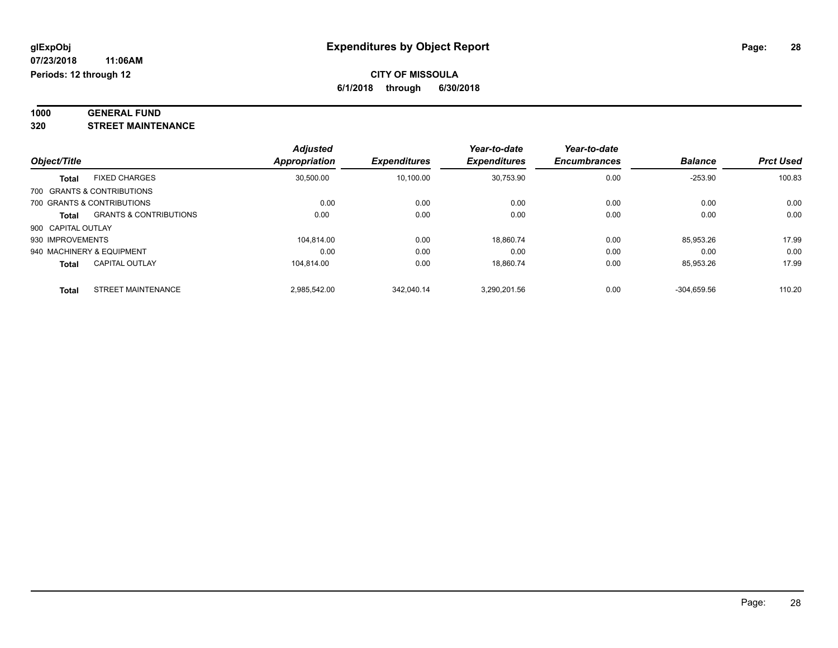#### **1000 GENERAL FUND 320 STREET MAINTENANCE**

| JZU | <b>SINELI MAINILIVANUE</b> |  |
|-----|----------------------------|--|
|     |                            |  |
|     |                            |  |

|                                            | <b>Adjusted</b>      |                     | Year-to-date        | Year-to-date        |                |                  |
|--------------------------------------------|----------------------|---------------------|---------------------|---------------------|----------------|------------------|
| Object/Title                               | <b>Appropriation</b> | <b>Expenditures</b> | <b>Expenditures</b> | <b>Encumbrances</b> | <b>Balance</b> | <b>Prct Used</b> |
| <b>FIXED CHARGES</b><br>Total              | 30.500.00            | 10.100.00           | 30.753.90           | 0.00                | $-253.90$      | 100.83           |
| 700 GRANTS & CONTRIBUTIONS                 |                      |                     |                     |                     |                |                  |
| 700 GRANTS & CONTRIBUTIONS                 | 0.00                 | 0.00                | 0.00                | 0.00                | 0.00           | 0.00             |
| <b>GRANTS &amp; CONTRIBUTIONS</b><br>Total | 0.00                 | 0.00                | 0.00                | 0.00                | 0.00           | 0.00             |
| 900 CAPITAL OUTLAY                         |                      |                     |                     |                     |                |                  |
| 930 IMPROVEMENTS                           | 104.814.00           | 0.00                | 18.860.74           | 0.00                | 85,953.26      | 17.99            |
| 940 MACHINERY & EQUIPMENT                  | 0.00                 | 0.00                | 0.00                | 0.00                | 0.00           | 0.00             |
| <b>CAPITAL OUTLAY</b><br><b>Total</b>      | 104.814.00           | 0.00                | 18.860.74           | 0.00                | 85,953.26      | 17.99            |
| <b>STREET MAINTENANCE</b><br><b>Total</b>  | 2.985.542.00         | 342.040.14          | 3.290.201.56        | 0.00                | -304.659.56    | 110.20           |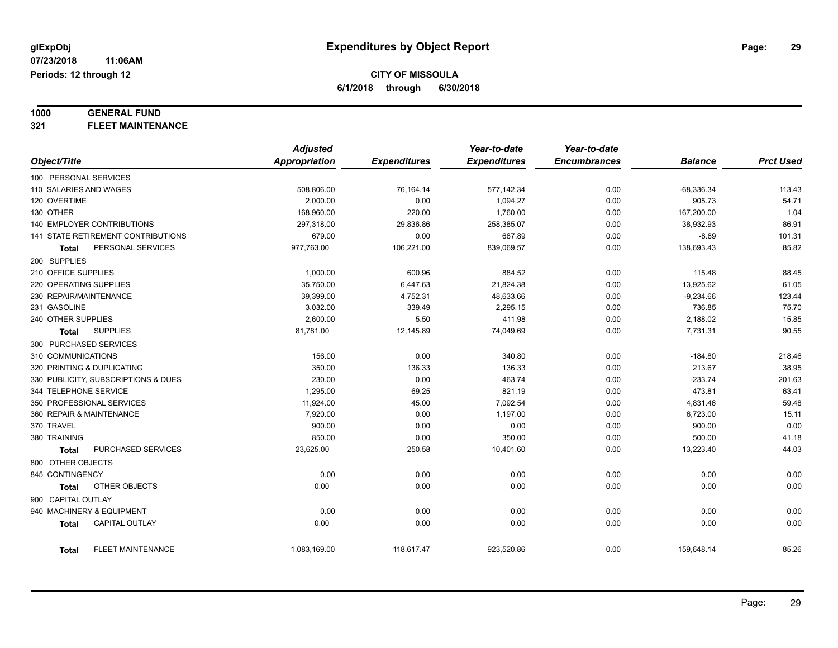# **1000 GENERAL FUND**

**321 FLEET MAINTENANCE**

|                          |                                           | <b>Adjusted</b> |                     | Year-to-date        | Year-to-date        |                |                  |
|--------------------------|-------------------------------------------|-----------------|---------------------|---------------------|---------------------|----------------|------------------|
| Object/Title             |                                           | Appropriation   | <b>Expenditures</b> | <b>Expenditures</b> | <b>Encumbrances</b> | <b>Balance</b> | <b>Prct Used</b> |
| 100 PERSONAL SERVICES    |                                           |                 |                     |                     |                     |                |                  |
| 110 SALARIES AND WAGES   |                                           | 508,806.00      | 76,164.14           | 577,142.34          | 0.00                | $-68,336.34$   | 113.43           |
| 120 OVERTIME             |                                           | 2,000.00        | 0.00                | 1,094.27            | 0.00                | 905.73         | 54.71            |
| 130 OTHER                |                                           | 168,960.00      | 220.00              | 1,760.00            | 0.00                | 167,200.00     | 1.04             |
|                          | 140 EMPLOYER CONTRIBUTIONS                | 297,318.00      | 29,836.86           | 258,385.07          | 0.00                | 38,932.93      | 86.91            |
|                          | <b>141 STATE RETIREMENT CONTRIBUTIONS</b> | 679.00          | 0.00                | 687.89              | 0.00                | $-8.89$        | 101.31           |
| Total                    | PERSONAL SERVICES                         | 977,763.00      | 106,221.00          | 839,069.57          | 0.00                | 138,693.43     | 85.82            |
| 200 SUPPLIES             |                                           |                 |                     |                     |                     |                |                  |
| 210 OFFICE SUPPLIES      |                                           | 1,000.00        | 600.96              | 884.52              | 0.00                | 115.48         | 88.45            |
| 220 OPERATING SUPPLIES   |                                           | 35,750.00       | 6,447.63            | 21,824.38           | 0.00                | 13,925.62      | 61.05            |
| 230 REPAIR/MAINTENANCE   |                                           | 39,399.00       | 4,752.31            | 48,633.66           | 0.00                | $-9,234.66$    | 123.44           |
| 231 GASOLINE             |                                           | 3,032.00        | 339.49              | 2,295.15            | 0.00                | 736.85         | 75.70            |
| 240 OTHER SUPPLIES       |                                           | 2,600.00        | 5.50                | 411.98              | 0.00                | 2,188.02       | 15.85            |
| Total                    | <b>SUPPLIES</b>                           | 81,781.00       | 12,145.89           | 74,049.69           | 0.00                | 7,731.31       | 90.55            |
| 300 PURCHASED SERVICES   |                                           |                 |                     |                     |                     |                |                  |
| 310 COMMUNICATIONS       |                                           | 156.00          | 0.00                | 340.80              | 0.00                | $-184.80$      | 218.46           |
|                          | 320 PRINTING & DUPLICATING                | 350.00          | 136.33              | 136.33              | 0.00                | 213.67         | 38.95            |
|                          | 330 PUBLICITY, SUBSCRIPTIONS & DUES       | 230.00          | 0.00                | 463.74              | 0.00                | $-233.74$      | 201.63           |
| 344 TELEPHONE SERVICE    |                                           | 1,295.00        | 69.25               | 821.19              | 0.00                | 473.81         | 63.41            |
|                          | 350 PROFESSIONAL SERVICES                 | 11,924.00       | 45.00               | 7,092.54            | 0.00                | 4,831.46       | 59.48            |
| 360 REPAIR & MAINTENANCE |                                           | 7,920.00        | 0.00                | 1,197.00            | 0.00                | 6,723.00       | 15.11            |
| 370 TRAVEL               |                                           | 900.00          | 0.00                | 0.00                | 0.00                | 900.00         | 0.00             |
| 380 TRAINING             |                                           | 850.00          | 0.00                | 350.00              | 0.00                | 500.00         | 41.18            |
| <b>Total</b>             | PURCHASED SERVICES                        | 23,625.00       | 250.58              | 10,401.60           | 0.00                | 13,223.40      | 44.03            |
| 800 OTHER OBJECTS        |                                           |                 |                     |                     |                     |                |                  |
| 845 CONTINGENCY          |                                           | 0.00            | 0.00                | 0.00                | 0.00                | 0.00           | 0.00             |
| Total                    | OTHER OBJECTS                             | 0.00            | 0.00                | 0.00                | 0.00                | 0.00           | 0.00             |
| 900 CAPITAL OUTLAY       |                                           |                 |                     |                     |                     |                |                  |
|                          | 940 MACHINERY & EQUIPMENT                 | 0.00            | 0.00                | 0.00                | 0.00                | 0.00           | 0.00             |
| Total                    | <b>CAPITAL OUTLAY</b>                     | 0.00            | 0.00                | 0.00                | 0.00                | 0.00           | 0.00             |
|                          |                                           |                 |                     |                     |                     |                |                  |
| Total                    | <b>FLEET MAINTENANCE</b>                  | 1,083,169.00    | 118,617.47          | 923,520.86          | 0.00                | 159,648.14     | 85.26            |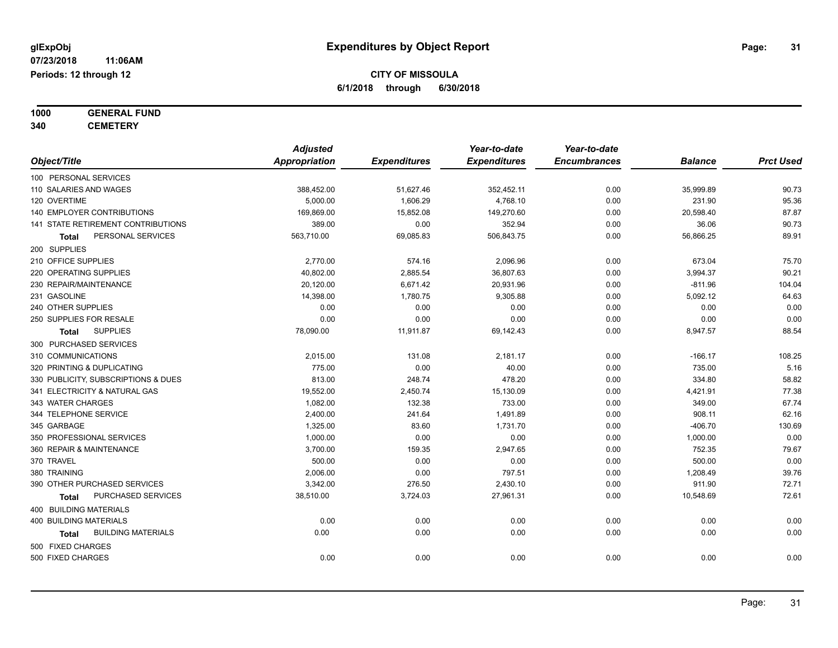**1000 GENERAL FUND**

**340 CEMETERY**

|                                     | <b>Adjusted</b>      |                     | Year-to-date        | Year-to-date        |                |                  |
|-------------------------------------|----------------------|---------------------|---------------------|---------------------|----------------|------------------|
| Object/Title                        | <b>Appropriation</b> | <b>Expenditures</b> | <b>Expenditures</b> | <b>Encumbrances</b> | <b>Balance</b> | <b>Prct Used</b> |
| 100 PERSONAL SERVICES               |                      |                     |                     |                     |                |                  |
| 110 SALARIES AND WAGES              | 388,452.00           | 51,627.46           | 352,452.11          | 0.00                | 35,999.89      | 90.73            |
| 120 OVERTIME                        | 5.000.00             | 1,606.29            | 4,768.10            | 0.00                | 231.90         | 95.36            |
| 140 EMPLOYER CONTRIBUTIONS          | 169,869.00           | 15,852.08           | 149,270.60          | 0.00                | 20,598.40      | 87.87            |
| 141 STATE RETIREMENT CONTRIBUTIONS  | 389.00               | 0.00                | 352.94              | 0.00                | 36.06          | 90.73            |
| PERSONAL SERVICES<br><b>Total</b>   | 563,710.00           | 69,085.83           | 506,843.75          | 0.00                | 56,866.25      | 89.91            |
| 200 SUPPLIES                        |                      |                     |                     |                     |                |                  |
| 210 OFFICE SUPPLIES                 | 2,770.00             | 574.16              | 2,096.96            | 0.00                | 673.04         | 75.70            |
| 220 OPERATING SUPPLIES              | 40,802.00            | 2,885.54            | 36,807.63           | 0.00                | 3,994.37       | 90.21            |
| 230 REPAIR/MAINTENANCE              | 20,120.00            | 6,671.42            | 20,931.96           | 0.00                | $-811.96$      | 104.04           |
| 231 GASOLINE                        | 14,398.00            | 1,780.75            | 9,305.88            | 0.00                | 5,092.12       | 64.63            |
| 240 OTHER SUPPLIES                  | 0.00                 | 0.00                | 0.00                | 0.00                | 0.00           | 0.00             |
| 250 SUPPLIES FOR RESALE             | 0.00                 | 0.00                | 0.00                | 0.00                | 0.00           | 0.00             |
| <b>SUPPLIES</b><br><b>Total</b>     | 78,090.00            | 11,911.87           | 69,142.43           | 0.00                | 8,947.57       | 88.54            |
| 300 PURCHASED SERVICES              |                      |                     |                     |                     |                |                  |
| 310 COMMUNICATIONS                  | 2,015.00             | 131.08              | 2,181.17            | 0.00                | $-166.17$      | 108.25           |
| 320 PRINTING & DUPLICATING          | 775.00               | 0.00                | 40.00               | 0.00                | 735.00         | 5.16             |
| 330 PUBLICITY, SUBSCRIPTIONS & DUES | 813.00               | 248.74              | 478.20              | 0.00                | 334.80         | 58.82            |
| 341 ELECTRICITY & NATURAL GAS       | 19,552.00            | 2,450.74            | 15,130.09           | 0.00                | 4,421.91       | 77.38            |
| 343 WATER CHARGES                   | 1,082.00             | 132.38              | 733.00              | 0.00                | 349.00         | 67.74            |
| 344 TELEPHONE SERVICE               | 2,400.00             | 241.64              | 1,491.89            | 0.00                | 908.11         | 62.16            |
| 345 GARBAGE                         | 1,325.00             | 83.60               | 1,731.70            | 0.00                | $-406.70$      | 130.69           |
| 350 PROFESSIONAL SERVICES           | 1,000.00             | 0.00                | 0.00                | 0.00                | 1,000.00       | 0.00             |
| 360 REPAIR & MAINTENANCE            | 3,700.00             | 159.35              | 2,947.65            | 0.00                | 752.35         | 79.67            |
| 370 TRAVEL                          | 500.00               | 0.00                | 0.00                | 0.00                | 500.00         | 0.00             |
| 380 TRAINING                        | 2,006.00             | 0.00                | 797.51              | 0.00                | 1,208.49       | 39.76            |
| 390 OTHER PURCHASED SERVICES        | 3,342.00             | 276.50              | 2,430.10            | 0.00                | 911.90         | 72.71            |
| PURCHASED SERVICES<br>Total         | 38,510.00            | 3,724.03            | 27,961.31           | 0.00                | 10,548.69      | 72.61            |
| 400 BUILDING MATERIALS              |                      |                     |                     |                     |                |                  |
| <b>400 BUILDING MATERIALS</b>       | 0.00                 | 0.00                | 0.00                | 0.00                | 0.00           | 0.00             |
| <b>BUILDING MATERIALS</b><br>Total  | 0.00                 | 0.00                | 0.00                | 0.00                | 0.00           | 0.00             |
| 500 FIXED CHARGES                   |                      |                     |                     |                     |                |                  |
| 500 FIXED CHARGES                   | 0.00                 | 0.00                | 0.00                | 0.00                | 0.00           | 0.00             |
|                                     |                      |                     |                     |                     |                |                  |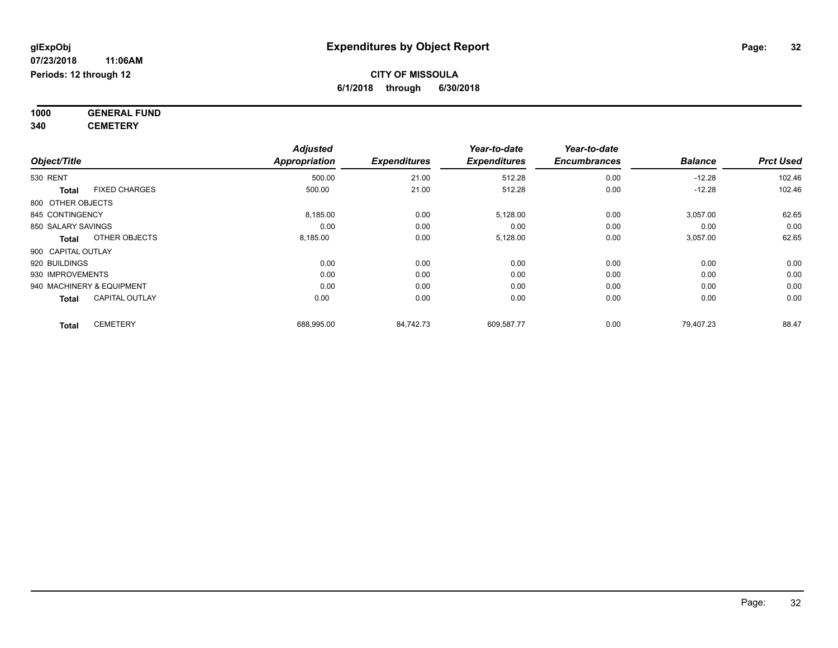**1000 GENERAL FUND 340 CEMETERY**

|                           |                       | <b>Adjusted</b>      |                     | Year-to-date        | Year-to-date        |                |                  |
|---------------------------|-----------------------|----------------------|---------------------|---------------------|---------------------|----------------|------------------|
| Object/Title              |                       | <b>Appropriation</b> | <b>Expenditures</b> | <b>Expenditures</b> | <b>Encumbrances</b> | <b>Balance</b> | <b>Prct Used</b> |
| <b>530 RENT</b>           |                       | 500.00               | 21.00               | 512.28              | 0.00                | $-12.28$       | 102.46           |
| <b>Total</b>              | <b>FIXED CHARGES</b>  | 500.00               | 21.00               | 512.28              | 0.00                | $-12.28$       | 102.46           |
| 800 OTHER OBJECTS         |                       |                      |                     |                     |                     |                |                  |
| 845 CONTINGENCY           |                       | 8,185.00             | 0.00                | 5,128.00            | 0.00                | 3,057.00       | 62.65            |
| 850 SALARY SAVINGS        |                       | 0.00                 | 0.00                | 0.00                | 0.00                | 0.00           | 0.00             |
| <b>Total</b>              | OTHER OBJECTS         | 8,185.00             | 0.00                | 5,128.00            | 0.00                | 3,057.00       | 62.65            |
| 900 CAPITAL OUTLAY        |                       |                      |                     |                     |                     |                |                  |
| 920 BUILDINGS             |                       | 0.00                 | 0.00                | 0.00                | 0.00                | 0.00           | 0.00             |
| 930 IMPROVEMENTS          |                       | 0.00                 | 0.00                | 0.00                | 0.00                | 0.00           | 0.00             |
| 940 MACHINERY & EQUIPMENT |                       | 0.00                 | 0.00                | 0.00                | 0.00                | 0.00           | 0.00             |
| <b>Total</b>              | <b>CAPITAL OUTLAY</b> | 0.00                 | 0.00                | 0.00                | 0.00                | 0.00           | 0.00             |
| <b>Total</b>              | <b>CEMETERY</b>       | 688,995.00           | 84,742.73           | 609,587.77          | 0.00                | 79.407.23      | 88.47            |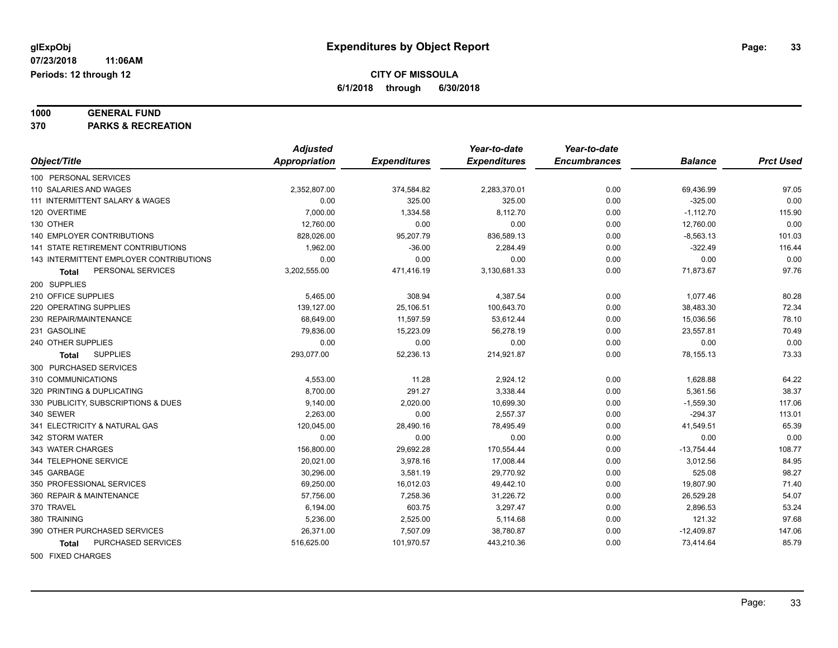# **1000 GENERAL FUND**

**370 PARKS & RECREATION**

|                                         | <b>Adjusted</b>      |                     | Year-to-date        | Year-to-date        |                |                  |
|-----------------------------------------|----------------------|---------------------|---------------------|---------------------|----------------|------------------|
| Object/Title                            | <b>Appropriation</b> | <b>Expenditures</b> | <b>Expenditures</b> | <b>Encumbrances</b> | <b>Balance</b> | <b>Prct Used</b> |
| 100 PERSONAL SERVICES                   |                      |                     |                     |                     |                |                  |
| 110 SALARIES AND WAGES                  | 2,352,807.00         | 374,584.82          | 2,283,370.01        | 0.00                | 69,436.99      | 97.05            |
| 111 INTERMITTENT SALARY & WAGES         | 0.00                 | 325.00              | 325.00              | 0.00                | $-325.00$      | 0.00             |
| 120 OVERTIME                            | 7,000.00             | 1,334.58            | 8,112.70            | 0.00                | $-1,112.70$    | 115.90           |
| 130 OTHER                               | 12,760.00            | 0.00                | 0.00                | 0.00                | 12,760.00      | 0.00             |
| <b>140 EMPLOYER CONTRIBUTIONS</b>       | 828,026.00           | 95,207.79           | 836,589.13          | 0.00                | $-8,563.13$    | 101.03           |
| 141 STATE RETIREMENT CONTRIBUTIONS      | 1,962.00             | $-36.00$            | 2,284.49            | 0.00                | $-322.49$      | 116.44           |
| 143 INTERMITTENT EMPLOYER CONTRIBUTIONS | 0.00                 | 0.00                | 0.00                | 0.00                | 0.00           | 0.00             |
| PERSONAL SERVICES<br>Total              | 3,202,555.00         | 471,416.19          | 3,130,681.33        | 0.00                | 71,873.67      | 97.76            |
| 200 SUPPLIES                            |                      |                     |                     |                     |                |                  |
| 210 OFFICE SUPPLIES                     | 5,465.00             | 308.94              | 4,387.54            | 0.00                | 1,077.46       | 80.28            |
| 220 OPERATING SUPPLIES                  | 139,127.00           | 25,106.51           | 100,643.70          | 0.00                | 38,483.30      | 72.34            |
| 230 REPAIR/MAINTENANCE                  | 68.649.00            | 11,597.59           | 53,612.44           | 0.00                | 15,036.56      | 78.10            |
| 231 GASOLINE                            | 79,836.00            | 15,223.09           | 56,278.19           | 0.00                | 23,557.81      | 70.49            |
| 240 OTHER SUPPLIES                      | 0.00                 | 0.00                | 0.00                | 0.00                | 0.00           | 0.00             |
| <b>SUPPLIES</b><br><b>Total</b>         | 293,077.00           | 52,236.13           | 214,921.87          | 0.00                | 78,155.13      | 73.33            |
| 300 PURCHASED SERVICES                  |                      |                     |                     |                     |                |                  |
| 310 COMMUNICATIONS                      | 4,553.00             | 11.28               | 2,924.12            | 0.00                | 1,628.88       | 64.22            |
| 320 PRINTING & DUPLICATING              | 8,700.00             | 291.27              | 3,338.44            | 0.00                | 5,361.56       | 38.37            |
| 330 PUBLICITY, SUBSCRIPTIONS & DUES     | 9,140.00             | 2,020.00            | 10,699.30           | 0.00                | $-1,559.30$    | 117.06           |
| 340 SEWER                               | 2,263.00             | 0.00                | 2,557.37            | 0.00                | $-294.37$      | 113.01           |
| 341 ELECTRICITY & NATURAL GAS           | 120,045.00           | 28,490.16           | 78,495.49           | 0.00                | 41,549.51      | 65.39            |
| 342 STORM WATER                         | 0.00                 | 0.00                | 0.00                | 0.00                | 0.00           | 0.00             |
| 343 WATER CHARGES                       | 156,800.00           | 29,692.28           | 170,554.44          | 0.00                | $-13,754.44$   | 108.77           |
| 344 TELEPHONE SERVICE                   | 20,021.00            | 3,978.16            | 17,008.44           | 0.00                | 3,012.56       | 84.95            |
| 345 GARBAGE                             | 30,296.00            | 3,581.19            | 29,770.92           | 0.00                | 525.08         | 98.27            |
| 350 PROFESSIONAL SERVICES               | 69,250.00            | 16,012.03           | 49,442.10           | 0.00                | 19,807.90      | 71.40            |
| 360 REPAIR & MAINTENANCE                | 57,756.00            | 7,258.36            | 31,226.72           | 0.00                | 26,529.28      | 54.07            |
| 370 TRAVEL                              | 6,194.00             | 603.75              | 3,297.47            | 0.00                | 2,896.53       | 53.24            |
| 380 TRAINING                            | 5,236.00             | 2,525.00            | 5,114.68            | 0.00                | 121.32         | 97.68            |
| 390 OTHER PURCHASED SERVICES            | 26,371.00            | 7,507.09            | 38,780.87           | 0.00                | $-12,409.87$   | 147.06           |
| <b>PURCHASED SERVICES</b><br>Total      | 516,625.00           | 101,970.57          | 443,210.36          | 0.00                | 73,414.64      | 85.79            |
|                                         |                      |                     |                     |                     |                |                  |

500 FIXED CHARGES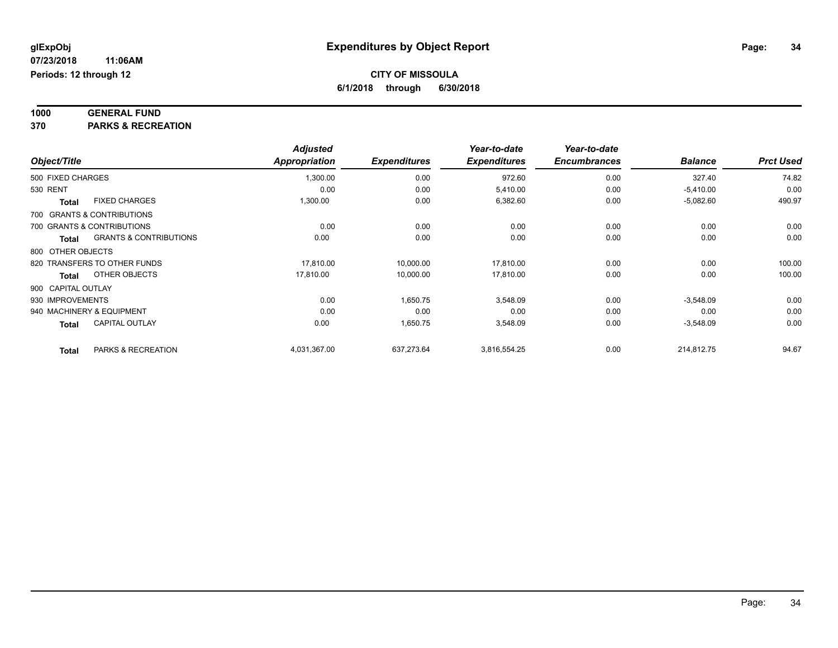# **1000 GENERAL FUND**

**370 PARKS & RECREATION**

| Object/Title       |                                   | <b>Adjusted</b><br>Appropriation | <b>Expenditures</b> | Year-to-date<br><b>Expenditures</b> | Year-to-date<br><b>Encumbrances</b> | <b>Balance</b> | <b>Prct Used</b> |
|--------------------|-----------------------------------|----------------------------------|---------------------|-------------------------------------|-------------------------------------|----------------|------------------|
| 500 FIXED CHARGES  |                                   | 1,300.00                         | 0.00                | 972.60                              | 0.00                                | 327.40         | 74.82            |
| 530 RENT           |                                   | 0.00                             | 0.00                | 5,410.00                            | 0.00                                | $-5,410.00$    | 0.00             |
| <b>Total</b>       | <b>FIXED CHARGES</b>              | 1,300.00                         | 0.00                | 6,382.60                            | 0.00                                | $-5,082.60$    | 490.97           |
|                    | 700 GRANTS & CONTRIBUTIONS        |                                  |                     |                                     |                                     |                |                  |
|                    | 700 GRANTS & CONTRIBUTIONS        | 0.00                             | 0.00                | 0.00                                | 0.00                                | 0.00           | 0.00             |
| Total              | <b>GRANTS &amp; CONTRIBUTIONS</b> | 0.00                             | 0.00                | 0.00                                | 0.00                                | 0.00           | 0.00             |
| 800 OTHER OBJECTS  |                                   |                                  |                     |                                     |                                     |                |                  |
|                    | 820 TRANSFERS TO OTHER FUNDS      | 17,810.00                        | 10,000.00           | 17,810.00                           | 0.00                                | 0.00           | 100.00           |
| Total              | OTHER OBJECTS                     | 17,810.00                        | 10,000.00           | 17,810.00                           | 0.00                                | 0.00           | 100.00           |
| 900 CAPITAL OUTLAY |                                   |                                  |                     |                                     |                                     |                |                  |
| 930 IMPROVEMENTS   |                                   | 0.00                             | 1,650.75            | 3,548.09                            | 0.00                                | $-3,548.09$    | 0.00             |
|                    | 940 MACHINERY & EQUIPMENT         | 0.00                             | 0.00                | 0.00                                | 0.00                                | 0.00           | 0.00             |
| Total              | <b>CAPITAL OUTLAY</b>             | 0.00                             | 1,650.75            | 3,548.09                            | 0.00                                | $-3,548.09$    | 0.00             |
| <b>Total</b>       | PARKS & RECREATION                | 4,031,367.00                     | 637.273.64          | 3,816,554.25                        | 0.00                                | 214.812.75     | 94.67            |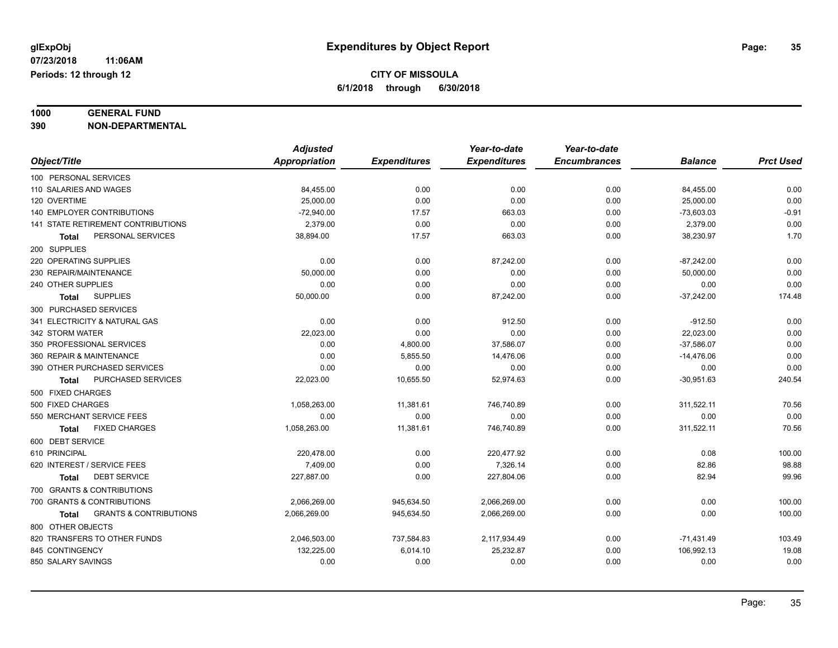# **1000 GENERAL FUND**

**390 NON-DEPARTMENTAL**

|                                                   | <b>Adjusted</b>      |                     | Year-to-date        | Year-to-date        |                |                  |
|---------------------------------------------------|----------------------|---------------------|---------------------|---------------------|----------------|------------------|
| Object/Title                                      | <b>Appropriation</b> | <b>Expenditures</b> | <b>Expenditures</b> | <b>Encumbrances</b> | <b>Balance</b> | <b>Prct Used</b> |
| 100 PERSONAL SERVICES                             |                      |                     |                     |                     |                |                  |
| 110 SALARIES AND WAGES                            | 84,455.00            | 0.00                | 0.00                | 0.00                | 84,455.00      | 0.00             |
| 120 OVERTIME                                      | 25,000.00            | 0.00                | 0.00                | 0.00                | 25,000.00      | 0.00             |
| 140 EMPLOYER CONTRIBUTIONS                        | $-72,940.00$         | 17.57               | 663.03              | 0.00                | $-73,603.03$   | $-0.91$          |
| 141 STATE RETIREMENT CONTRIBUTIONS                | 2,379.00             | 0.00                | 0.00                | 0.00                | 2,379.00       | 0.00             |
| PERSONAL SERVICES<br>Total                        | 38,894.00            | 17.57               | 663.03              | 0.00                | 38,230.97      | 1.70             |
| 200 SUPPLIES                                      |                      |                     |                     |                     |                |                  |
| 220 OPERATING SUPPLIES                            | 0.00                 | 0.00                | 87,242.00           | 0.00                | $-87,242.00$   | 0.00             |
| 230 REPAIR/MAINTENANCE                            | 50,000.00            | 0.00                | 0.00                | 0.00                | 50,000.00      | 0.00             |
| 240 OTHER SUPPLIES                                | 0.00                 | 0.00                | 0.00                | 0.00                | 0.00           | 0.00             |
| <b>SUPPLIES</b><br><b>Total</b>                   | 50,000.00            | 0.00                | 87,242.00           | 0.00                | $-37,242.00$   | 174.48           |
| 300 PURCHASED SERVICES                            |                      |                     |                     |                     |                |                  |
| 341 ELECTRICITY & NATURAL GAS                     | 0.00                 | 0.00                | 912.50              | 0.00                | $-912.50$      | 0.00             |
| 342 STORM WATER                                   | 22,023.00            | 0.00                | 0.00                | 0.00                | 22,023.00      | 0.00             |
| 350 PROFESSIONAL SERVICES                         | 0.00                 | 4,800.00            | 37,586.07           | 0.00                | $-37,586.07$   | 0.00             |
| 360 REPAIR & MAINTENANCE                          | 0.00                 | 5,855.50            | 14,476.06           | 0.00                | $-14,476.06$   | 0.00             |
| 390 OTHER PURCHASED SERVICES                      | 0.00                 | 0.00                | 0.00                | 0.00                | 0.00           | 0.00             |
| PURCHASED SERVICES<br><b>Total</b>                | 22,023.00            | 10,655.50           | 52,974.63           | 0.00                | $-30,951.63$   | 240.54           |
| 500 FIXED CHARGES                                 |                      |                     |                     |                     |                |                  |
| 500 FIXED CHARGES                                 | 1,058,263.00         | 11,381.61           | 746,740.89          | 0.00                | 311,522.11     | 70.56            |
| 550 MERCHANT SERVICE FEES                         | 0.00                 | 0.00                | 0.00                | 0.00                | 0.00           | 0.00             |
| <b>FIXED CHARGES</b><br><b>Total</b>              | 1,058,263.00         | 11,381.61           | 746,740.89          | 0.00                | 311,522.11     | 70.56            |
| 600 DEBT SERVICE                                  |                      |                     |                     |                     |                |                  |
| 610 PRINCIPAL                                     | 220,478.00           | 0.00                | 220,477.92          | 0.00                | 0.08           | 100.00           |
| 620 INTEREST / SERVICE FEES                       | 7,409.00             | 0.00                | 7,326.14            | 0.00                | 82.86          | 98.88            |
| <b>DEBT SERVICE</b><br><b>Total</b>               | 227,887.00           | 0.00                | 227,804.06          | 0.00                | 82.94          | 99.96            |
| 700 GRANTS & CONTRIBUTIONS                        |                      |                     |                     |                     |                |                  |
| 700 GRANTS & CONTRIBUTIONS                        | 2,066,269.00         | 945,634.50          | 2,066,269.00        | 0.00                | 0.00           | 100.00           |
| <b>GRANTS &amp; CONTRIBUTIONS</b><br><b>Total</b> | 2,066,269.00         | 945,634.50          | 2,066,269.00        | 0.00                | 0.00           | 100.00           |
| 800 OTHER OBJECTS                                 |                      |                     |                     |                     |                |                  |
| 820 TRANSFERS TO OTHER FUNDS                      | 2,046,503.00         | 737,584.83          | 2,117,934.49        | 0.00                | $-71,431.49$   | 103.49           |
| 845 CONTINGENCY                                   | 132,225.00           | 6,014.10            | 25,232.87           | 0.00                | 106,992.13     | 19.08            |
| 850 SALARY SAVINGS                                | 0.00                 | 0.00                | 0.00                | 0.00                | 0.00           | 0.00             |
|                                                   |                      |                     |                     |                     |                |                  |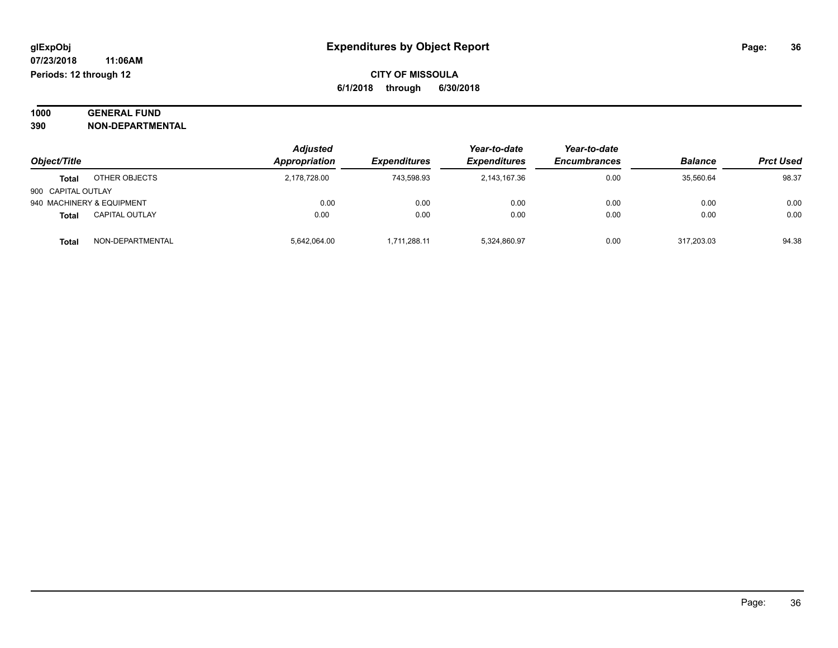#### **1000 GENERAL FUND 390 NON-DEPARTMENTAL**

| $\bm\sim$ |  |
|-----------|--|
|           |  |
|           |  |
|           |  |

|                    |                           | <b>Adjusted</b> |                     | Year-to-date        | Year-to-date        |                |                  |
|--------------------|---------------------------|-----------------|---------------------|---------------------|---------------------|----------------|------------------|
| Object/Title       |                           | Appropriation   | <b>Expenditures</b> | <b>Expenditures</b> | <b>Encumbrances</b> | <b>Balance</b> | <b>Prct Used</b> |
| <b>Total</b>       | OTHER OBJECTS             | 2.178.728.00    | 743,598.93          | 2,143,167.36        | 0.00                | 35,560.64      | 98.37            |
| 900 CAPITAL OUTLAY |                           |                 |                     |                     |                     |                |                  |
|                    | 940 MACHINERY & EQUIPMENT | 0.00            | 0.00                | 0.00                | 0.00                | 0.00           | 0.00             |
| <b>Total</b>       | <b>CAPITAL OUTLAY</b>     | 0.00            | 0.00                | 0.00                | 0.00                | 0.00           | 0.00             |
| <b>Total</b>       | NON-DEPARTMENTAL          | 5,642,064.00    | 1,711,288.11        | 5,324,860.97        | 0.00                | 317,203.03     | 94.38            |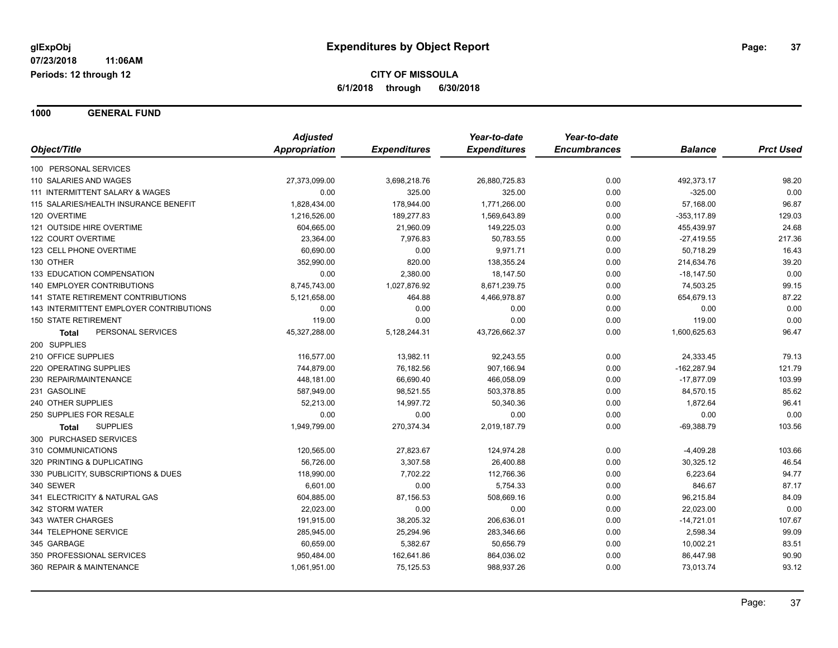**1000 GENERAL FUND**

|                                         | <b>Adjusted</b> |                     | Year-to-date        | Year-to-date        |                |                  |
|-----------------------------------------|-----------------|---------------------|---------------------|---------------------|----------------|------------------|
| Object/Title                            | Appropriation   | <b>Expenditures</b> | <b>Expenditures</b> | <b>Encumbrances</b> | <b>Balance</b> | <b>Prct Used</b> |
| 100 PERSONAL SERVICES                   |                 |                     |                     |                     |                |                  |
| 110 SALARIES AND WAGES                  | 27,373,099.00   | 3,698,218.76        | 26,880,725.83       | 0.00                | 492,373.17     | 98.20            |
| 111 INTERMITTENT SALARY & WAGES         | 0.00            | 325.00              | 325.00              | 0.00                | $-325.00$      | 0.00             |
| 115 SALARIES/HEALTH INSURANCE BENEFIT   | 1,828,434.00    | 178,944.00          | 1,771,266.00        | 0.00                | 57,168.00      | 96.87            |
| 120 OVERTIME                            | 1,216,526.00    | 189,277.83          | 1,569,643.89        | 0.00                | $-353,117.89$  | 129.03           |
| 121 OUTSIDE HIRE OVERTIME               | 604,665.00      | 21,960.09           | 149,225.03          | 0.00                | 455,439.97     | 24.68            |
| 122 COURT OVERTIME                      | 23,364.00       | 7,976.83            | 50,783.55           | 0.00                | $-27,419.55$   | 217.36           |
| 123 CELL PHONE OVERTIME                 | 60,690.00       | 0.00                | 9,971.71            | 0.00                | 50,718.29      | 16.43            |
| 130 OTHER                               | 352,990.00      | 820.00              | 138,355.24          | 0.00                | 214,634.76     | 39.20            |
| 133 EDUCATION COMPENSATION              | 0.00            | 2,380.00            | 18,147.50           | 0.00                | $-18,147.50$   | 0.00             |
| 140 EMPLOYER CONTRIBUTIONS              | 8,745,743.00    | 1,027,876.92        | 8,671,239.75        | 0.00                | 74,503.25      | 99.15            |
| 141 STATE RETIREMENT CONTRIBUTIONS      | 5,121,658.00    | 464.88              | 4,466,978.87        | 0.00                | 654,679.13     | 87.22            |
| 143 INTERMITTENT EMPLOYER CONTRIBUTIONS | 0.00            | 0.00                | 0.00                | 0.00                | 0.00           | 0.00             |
| <b>150 STATE RETIREMENT</b>             | 119.00          | 0.00                | 0.00                | 0.00                | 119.00         | 0.00             |
| PERSONAL SERVICES<br>Total              | 45,327,288.00   | 5,128,244.31        | 43,726,662.37       | 0.00                | 1,600,625.63   | 96.47            |
| 200 SUPPLIES                            |                 |                     |                     |                     |                |                  |
| 210 OFFICE SUPPLIES                     | 116,577.00      | 13,982.11           | 92,243.55           | 0.00                | 24,333.45      | 79.13            |
| 220 OPERATING SUPPLIES                  | 744,879.00      | 76,182.56           | 907,166.94          | 0.00                | $-162,287.94$  | 121.79           |
| 230 REPAIR/MAINTENANCE                  | 448,181.00      | 66,690.40           | 466,058.09          | 0.00                | $-17,877.09$   | 103.99           |
| 231 GASOLINE                            | 587,949.00      | 98,521.55           | 503,378.85          | 0.00                | 84,570.15      | 85.62            |
| 240 OTHER SUPPLIES                      | 52,213.00       | 14,997.72           | 50,340.36           | 0.00                | 1,872.64       | 96.41            |
| 250 SUPPLIES FOR RESALE                 | 0.00            | 0.00                | 0.00                | 0.00                | 0.00           | 0.00             |
| <b>SUPPLIES</b><br><b>Total</b>         | 1,949,799.00    | 270,374.34          | 2,019,187.79        | 0.00                | $-69,388.79$   | 103.56           |
| 300 PURCHASED SERVICES                  |                 |                     |                     |                     |                |                  |
| 310 COMMUNICATIONS                      | 120,565.00      | 27,823.67           | 124,974.28          | 0.00                | $-4,409.28$    | 103.66           |
| 320 PRINTING & DUPLICATING              | 56,726.00       | 3,307.58            | 26,400.88           | 0.00                | 30,325.12      | 46.54            |
| 330 PUBLICITY, SUBSCRIPTIONS & DUES     | 118,990.00      | 7,702.22            | 112,766.36          | 0.00                | 6,223.64       | 94.77            |
| 340 SEWER                               | 6,601.00        | 0.00                | 5,754.33            | 0.00                | 846.67         | 87.17            |
| 341 ELECTRICITY & NATURAL GAS           | 604,885.00      | 87,156.53           | 508,669.16          | 0.00                | 96,215.84      | 84.09            |
| 342 STORM WATER                         | 22,023.00       | 0.00                | 0.00                | 0.00                | 22,023.00      | 0.00             |
| 343 WATER CHARGES                       | 191,915.00      | 38,205.32           | 206,636.01          | 0.00                | $-14,721.01$   | 107.67           |
| 344 TELEPHONE SERVICE                   | 285,945.00      | 25,294.96           | 283,346.66          | 0.00                | 2,598.34       | 99.09            |
| 345 GARBAGE                             | 60,659.00       | 5,382.67            | 50,656.79           | 0.00                | 10,002.21      | 83.51            |
| 350 PROFESSIONAL SERVICES               | 950,484.00      | 162,641.86          | 864,036.02          | 0.00                | 86,447.98      | 90.90            |
| 360 REPAIR & MAINTENANCE                | 1,061,951.00    | 75,125.53           | 988,937.26          | 0.00                | 73,013.74      | 93.12            |
|                                         |                 |                     |                     |                     |                |                  |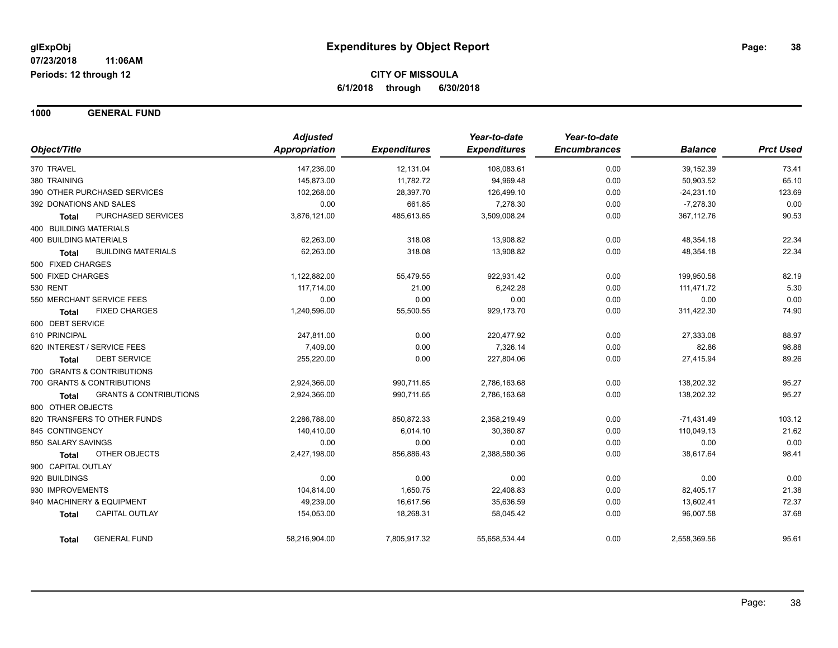**1000 GENERAL FUND**

|                               |                                   | <b>Adjusted</b>      |                     | Year-to-date        | Year-to-date        |                |                  |
|-------------------------------|-----------------------------------|----------------------|---------------------|---------------------|---------------------|----------------|------------------|
| Object/Title                  |                                   | <b>Appropriation</b> | <b>Expenditures</b> | <b>Expenditures</b> | <b>Encumbrances</b> | <b>Balance</b> | <b>Prct Used</b> |
| 370 TRAVEL                    |                                   | 147,236.00           | 12,131.04           | 108,083.61          | 0.00                | 39,152.39      | 73.41            |
| 380 TRAINING                  |                                   | 145,873.00           | 11,782.72           | 94,969.48           | 0.00                | 50,903.52      | 65.10            |
|                               | 390 OTHER PURCHASED SERVICES      | 102,268.00           | 28,397.70           | 126,499.10          | 0.00                | $-24,231.10$   | 123.69           |
| 392 DONATIONS AND SALES       |                                   | 0.00                 | 661.85              | 7,278.30            | 0.00                | $-7,278.30$    | 0.00             |
| <b>Total</b>                  | <b>PURCHASED SERVICES</b>         | 3,876,121.00         | 485,613.65          | 3,509,008.24        | 0.00                | 367,112.76     | 90.53            |
| <b>400 BUILDING MATERIALS</b> |                                   |                      |                     |                     |                     |                |                  |
| <b>400 BUILDING MATERIALS</b> |                                   | 62,263.00            | 318.08              | 13,908.82           | 0.00                | 48,354.18      | 22.34            |
| <b>Total</b>                  | <b>BUILDING MATERIALS</b>         | 62,263.00            | 318.08              | 13,908.82           | 0.00                | 48,354.18      | 22.34            |
| 500 FIXED CHARGES             |                                   |                      |                     |                     |                     |                |                  |
| 500 FIXED CHARGES             |                                   | 1,122,882.00         | 55,479.55           | 922,931.42          | 0.00                | 199,950.58     | 82.19            |
| <b>530 RENT</b>               |                                   | 117,714.00           | 21.00               | 6,242.28            | 0.00                | 111,471.72     | 5.30             |
|                               | 550 MERCHANT SERVICE FEES         | 0.00                 | 0.00                | 0.00                | 0.00                | 0.00           | 0.00             |
| Total                         | <b>FIXED CHARGES</b>              | 1,240,596.00         | 55,500.55           | 929,173.70          | 0.00                | 311,422.30     | 74.90            |
| 600 DEBT SERVICE              |                                   |                      |                     |                     |                     |                |                  |
| 610 PRINCIPAL                 |                                   | 247,811.00           | 0.00                | 220,477.92          | 0.00                | 27,333.08      | 88.97            |
|                               | 620 INTEREST / SERVICE FEES       | 7,409.00             | 0.00                | 7,326.14            | 0.00                | 82.86          | 98.88            |
| <b>Total</b>                  | <b>DEBT SERVICE</b>               | 255.220.00           | 0.00                | 227,804.06          | 0.00                | 27,415.94      | 89.26            |
|                               | 700 GRANTS & CONTRIBUTIONS        |                      |                     |                     |                     |                |                  |
|                               | 700 GRANTS & CONTRIBUTIONS        | 2,924,366.00         | 990,711.65          | 2,786,163.68        | 0.00                | 138,202.32     | 95.27            |
| Total                         | <b>GRANTS &amp; CONTRIBUTIONS</b> | 2,924,366.00         | 990,711.65          | 2,786,163.68        | 0.00                | 138,202.32     | 95.27            |
| 800 OTHER OBJECTS             |                                   |                      |                     |                     |                     |                |                  |
|                               | 820 TRANSFERS TO OTHER FUNDS      | 2,286,788.00         | 850,872.33          | 2,358,219.49        | 0.00                | $-71,431.49$   | 103.12           |
| 845 CONTINGENCY               |                                   | 140,410.00           | 6,014.10            | 30,360.87           | 0.00                | 110,049.13     | 21.62            |
| 850 SALARY SAVINGS            |                                   | 0.00                 | 0.00                | 0.00                | 0.00                | 0.00           | 0.00             |
| Total                         | OTHER OBJECTS                     | 2,427,198.00         | 856,886.43          | 2,388,580.36        | 0.00                | 38,617.64      | 98.41            |
| 900 CAPITAL OUTLAY            |                                   |                      |                     |                     |                     |                |                  |
| 920 BUILDINGS                 |                                   | 0.00                 | 0.00                | 0.00                | 0.00                | 0.00           | 0.00             |
| 930 IMPROVEMENTS              |                                   | 104,814.00           | 1,650.75            | 22,408.83           | 0.00                | 82,405.17      | 21.38            |
|                               | 940 MACHINERY & EQUIPMENT         | 49,239.00            | 16,617.56           | 35,636.59           | 0.00                | 13,602.41      | 72.37            |
| <b>Total</b>                  | <b>CAPITAL OUTLAY</b>             | 154,053.00           | 18,268.31           | 58,045.42           | 0.00                | 96,007.58      | 37.68            |
| <b>Total</b>                  | <b>GENERAL FUND</b>               | 58,216,904.00        | 7,805,917.32        | 55,658,534.44       | 0.00                | 2,558,369.56   | 95.61            |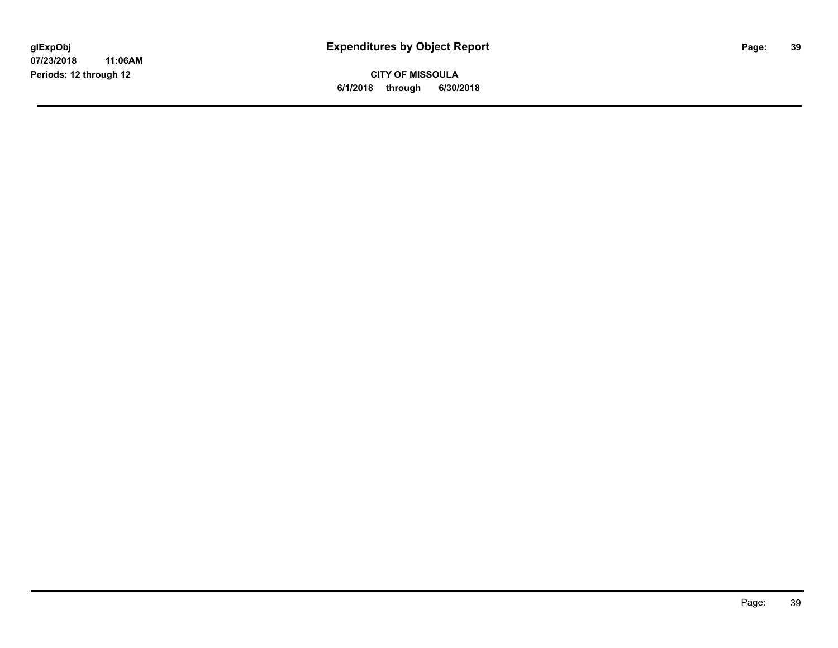**CITY OF MISSOULA**

**6/1/2018 through 6/30/2018**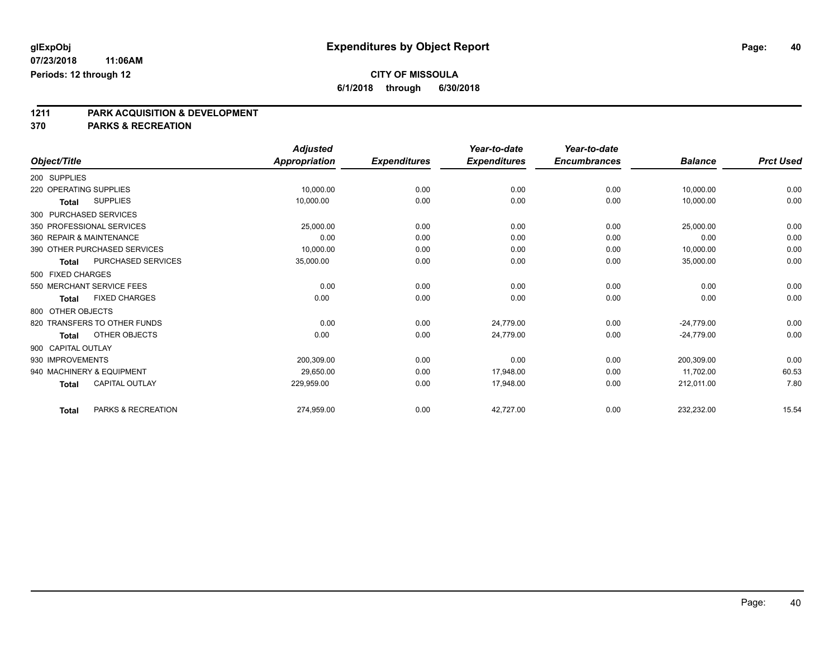# **1211 PARK ACQUISITION & DEVELOPMENT**

## **370 PARKS & RECREATION**

|                              |                       | <b>Adjusted</b>      |                     | Year-to-date        | Year-to-date        |                |                  |
|------------------------------|-----------------------|----------------------|---------------------|---------------------|---------------------|----------------|------------------|
| Object/Title                 |                       | <b>Appropriation</b> | <b>Expenditures</b> | <b>Expenditures</b> | <b>Encumbrances</b> | <b>Balance</b> | <b>Prct Used</b> |
| 200 SUPPLIES                 |                       |                      |                     |                     |                     |                |                  |
| 220 OPERATING SUPPLIES       |                       | 10,000.00            | 0.00                | 0.00                | 0.00                | 10,000.00      | 0.00             |
| <b>Total</b>                 | <b>SUPPLIES</b>       | 10,000.00            | 0.00                | 0.00                | 0.00                | 10,000.00      | 0.00             |
| 300 PURCHASED SERVICES       |                       |                      |                     |                     |                     |                |                  |
| 350 PROFESSIONAL SERVICES    |                       | 25,000.00            | 0.00                | 0.00                | 0.00                | 25,000.00      | 0.00             |
| 360 REPAIR & MAINTENANCE     |                       | 0.00                 | 0.00                | 0.00                | 0.00                | 0.00           | 0.00             |
| 390 OTHER PURCHASED SERVICES |                       | 10,000.00            | 0.00                | 0.00                | 0.00                | 10,000.00      | 0.00             |
| <b>Total</b>                 | PURCHASED SERVICES    | 35,000.00            | 0.00                | 0.00                | 0.00                | 35,000.00      | 0.00             |
| 500 FIXED CHARGES            |                       |                      |                     |                     |                     |                |                  |
| 550 MERCHANT SERVICE FEES    |                       | 0.00                 | 0.00                | 0.00                | 0.00                | 0.00           | 0.00             |
| <b>Total</b>                 | <b>FIXED CHARGES</b>  | 0.00                 | 0.00                | 0.00                | 0.00                | 0.00           | 0.00             |
| 800 OTHER OBJECTS            |                       |                      |                     |                     |                     |                |                  |
| 820 TRANSFERS TO OTHER FUNDS |                       | 0.00                 | 0.00                | 24,779.00           | 0.00                | $-24,779.00$   | 0.00             |
| <b>Total</b>                 | OTHER OBJECTS         | 0.00                 | 0.00                | 24.779.00           | 0.00                | $-24,779.00$   | 0.00             |
| 900 CAPITAL OUTLAY           |                       |                      |                     |                     |                     |                |                  |
| 930 IMPROVEMENTS             |                       | 200,309.00           | 0.00                | 0.00                | 0.00                | 200,309.00     | 0.00             |
| 940 MACHINERY & EQUIPMENT    |                       | 29,650.00            | 0.00                | 17,948.00           | 0.00                | 11,702.00      | 60.53            |
| <b>Total</b>                 | <b>CAPITAL OUTLAY</b> | 229,959.00           | 0.00                | 17.948.00           | 0.00                | 212,011.00     | 7.80             |
| <b>Total</b>                 | PARKS & RECREATION    | 274,959.00           | 0.00                | 42,727.00           | 0.00                | 232,232.00     | 15.54            |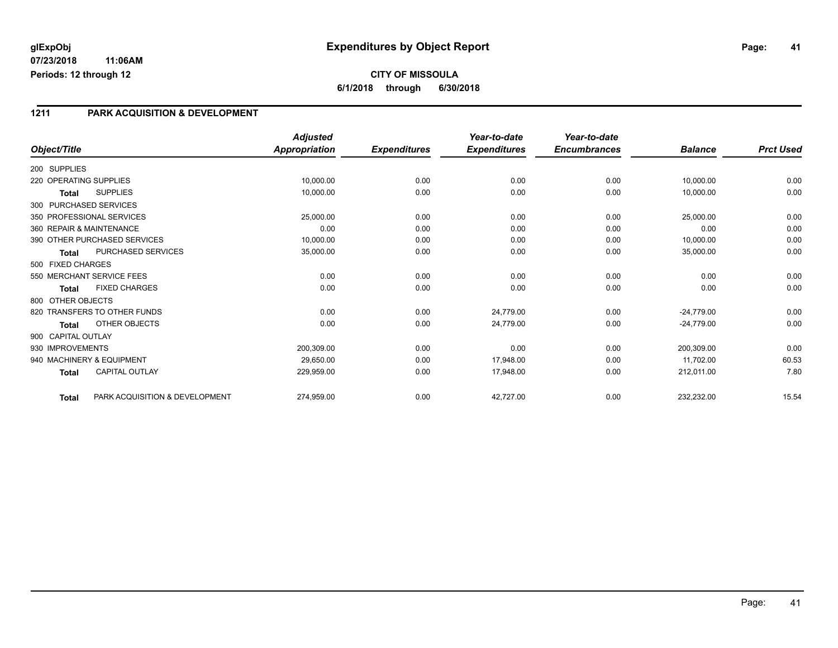# **CITY OF MISSOULA 6/1/2018 through 6/30/2018**

## **1211 PARK ACQUISITION & DEVELOPMENT**

|                                                | <b>Adjusted</b> |                     | Year-to-date        | Year-to-date        |                |                  |
|------------------------------------------------|-----------------|---------------------|---------------------|---------------------|----------------|------------------|
| Object/Title                                   | Appropriation   | <b>Expenditures</b> | <b>Expenditures</b> | <b>Encumbrances</b> | <b>Balance</b> | <b>Prct Used</b> |
| 200 SUPPLIES                                   |                 |                     |                     |                     |                |                  |
| 220 OPERATING SUPPLIES                         | 10,000.00       | 0.00                | 0.00                | 0.00                | 10,000.00      | 0.00             |
| <b>SUPPLIES</b><br><b>Total</b>                | 10,000.00       | 0.00                | 0.00                | 0.00                | 10,000.00      | 0.00             |
| 300 PURCHASED SERVICES                         |                 |                     |                     |                     |                |                  |
| 350 PROFESSIONAL SERVICES                      | 25,000.00       | 0.00                | 0.00                | 0.00                | 25,000.00      | 0.00             |
| 360 REPAIR & MAINTENANCE                       | 0.00            | 0.00                | 0.00                | 0.00                | 0.00           | 0.00             |
| 390 OTHER PURCHASED SERVICES                   | 10,000.00       | 0.00                | 0.00                | 0.00                | 10,000.00      | 0.00             |
| PURCHASED SERVICES<br><b>Total</b>             | 35,000.00       | 0.00                | 0.00                | 0.00                | 35,000.00      | 0.00             |
| 500 FIXED CHARGES                              |                 |                     |                     |                     |                |                  |
| 550 MERCHANT SERVICE FEES                      | 0.00            | 0.00                | 0.00                | 0.00                | 0.00           | 0.00             |
| <b>FIXED CHARGES</b><br><b>Total</b>           | 0.00            | 0.00                | 0.00                | 0.00                | 0.00           | 0.00             |
| 800 OTHER OBJECTS                              |                 |                     |                     |                     |                |                  |
| 820 TRANSFERS TO OTHER FUNDS                   | 0.00            | 0.00                | 24,779.00           | 0.00                | $-24,779.00$   | 0.00             |
| <b>OTHER OBJECTS</b><br><b>Total</b>           | 0.00            | 0.00                | 24,779.00           | 0.00                | $-24,779.00$   | 0.00             |
| 900 CAPITAL OUTLAY                             |                 |                     |                     |                     |                |                  |
| 930 IMPROVEMENTS                               | 200,309.00      | 0.00                | 0.00                | 0.00                | 200,309.00     | 0.00             |
| 940 MACHINERY & EQUIPMENT                      | 29.650.00       | 0.00                | 17,948.00           | 0.00                | 11,702.00      | 60.53            |
| <b>CAPITAL OUTLAY</b><br><b>Total</b>          | 229,959.00      | 0.00                | 17,948.00           | 0.00                | 212,011.00     | 7.80             |
| PARK ACQUISITION & DEVELOPMENT<br><b>Total</b> | 274,959.00      | 0.00                | 42,727.00           | 0.00                | 232,232.00     | 15.54            |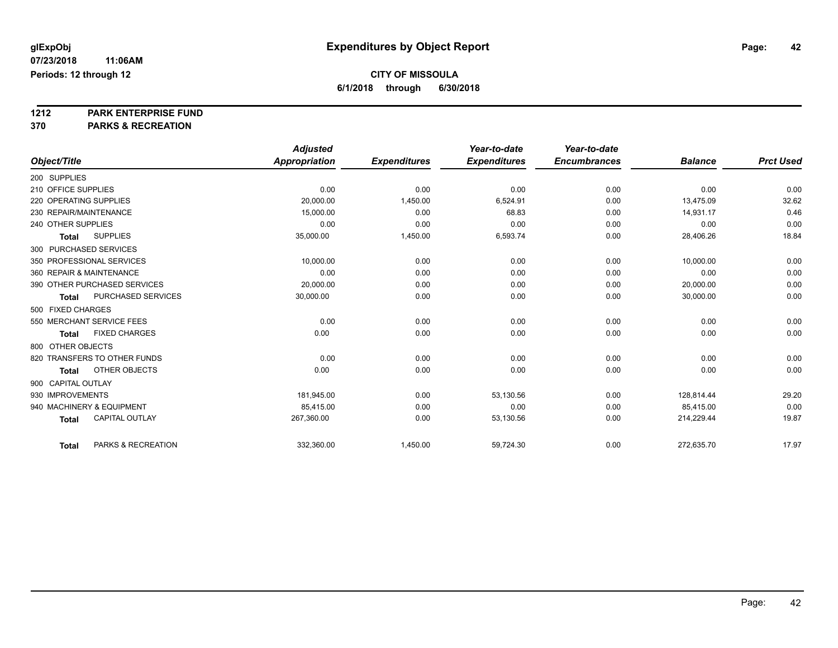# **1212 PARK ENTERPRISE FUND**

**370 PARKS & RECREATION**

|                                       | <b>Adjusted</b>      |                     | Year-to-date        | Year-to-date        |                |                  |
|---------------------------------------|----------------------|---------------------|---------------------|---------------------|----------------|------------------|
| Object/Title                          | <b>Appropriation</b> | <b>Expenditures</b> | <b>Expenditures</b> | <b>Encumbrances</b> | <b>Balance</b> | <b>Prct Used</b> |
| 200 SUPPLIES                          |                      |                     |                     |                     |                |                  |
| 210 OFFICE SUPPLIES                   | 0.00                 | 0.00                | 0.00                | 0.00                | 0.00           | 0.00             |
| 220 OPERATING SUPPLIES                | 20,000.00            | 1,450.00            | 6,524.91            | 0.00                | 13,475.09      | 32.62            |
| 230 REPAIR/MAINTENANCE                | 15,000.00            | 0.00                | 68.83               | 0.00                | 14,931.17      | 0.46             |
| 240 OTHER SUPPLIES                    | 0.00                 | 0.00                | 0.00                | 0.00                | 0.00           | 0.00             |
| <b>SUPPLIES</b><br><b>Total</b>       | 35,000.00            | 1,450.00            | 6,593.74            | 0.00                | 28,406.26      | 18.84            |
| 300 PURCHASED SERVICES                |                      |                     |                     |                     |                |                  |
| 350 PROFESSIONAL SERVICES             | 10,000.00            | 0.00                | 0.00                | 0.00                | 10,000.00      | 0.00             |
| 360 REPAIR & MAINTENANCE              | 0.00                 | 0.00                | 0.00                | 0.00                | 0.00           | 0.00             |
| 390 OTHER PURCHASED SERVICES          | 20,000.00            | 0.00                | 0.00                | 0.00                | 20,000.00      | 0.00             |
| PURCHASED SERVICES<br><b>Total</b>    | 30,000.00            | 0.00                | 0.00                | 0.00                | 30,000.00      | 0.00             |
| 500 FIXED CHARGES                     |                      |                     |                     |                     |                |                  |
| 550 MERCHANT SERVICE FEES             | 0.00                 | 0.00                | 0.00                | 0.00                | 0.00           | 0.00             |
| <b>FIXED CHARGES</b><br><b>Total</b>  | 0.00                 | 0.00                | 0.00                | 0.00                | 0.00           | 0.00             |
| 800 OTHER OBJECTS                     |                      |                     |                     |                     |                |                  |
| 820 TRANSFERS TO OTHER FUNDS          | 0.00                 | 0.00                | 0.00                | 0.00                | 0.00           | 0.00             |
| OTHER OBJECTS<br><b>Total</b>         | 0.00                 | 0.00                | 0.00                | 0.00                | 0.00           | 0.00             |
| 900 CAPITAL OUTLAY                    |                      |                     |                     |                     |                |                  |
| 930 IMPROVEMENTS                      | 181,945.00           | 0.00                | 53,130.56           | 0.00                | 128,814.44     | 29.20            |
| 940 MACHINERY & EQUIPMENT             | 85.415.00            | 0.00                | 0.00                | 0.00                | 85,415.00      | 0.00             |
| <b>CAPITAL OUTLAY</b><br><b>Total</b> | 267,360.00           | 0.00                | 53,130.56           | 0.00                | 214,229.44     | 19.87            |
|                                       |                      |                     |                     |                     |                |                  |
| PARKS & RECREATION<br><b>Total</b>    | 332,360.00           | 1,450.00            | 59,724.30           | 0.00                | 272,635.70     | 17.97            |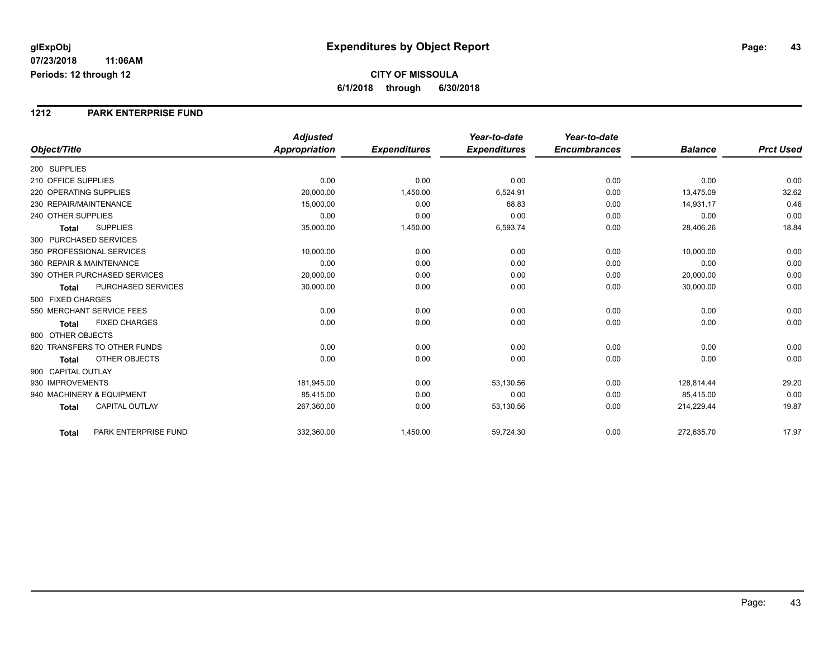### **1212 PARK ENTERPRISE FUND**

|                                       | <b>Adjusted</b>      |                     | Year-to-date        | Year-to-date        |                |                  |
|---------------------------------------|----------------------|---------------------|---------------------|---------------------|----------------|------------------|
| Object/Title                          | <b>Appropriation</b> | <b>Expenditures</b> | <b>Expenditures</b> | <b>Encumbrances</b> | <b>Balance</b> | <b>Prct Used</b> |
| 200 SUPPLIES                          |                      |                     |                     |                     |                |                  |
| 210 OFFICE SUPPLIES                   | 0.00                 | 0.00                | 0.00                | 0.00                | 0.00           | 0.00             |
| 220 OPERATING SUPPLIES                | 20,000.00            | 1,450.00            | 6,524.91            | 0.00                | 13,475.09      | 32.62            |
| 230 REPAIR/MAINTENANCE                | 15,000.00            | 0.00                | 68.83               | 0.00                | 14,931.17      | 0.46             |
| 240 OTHER SUPPLIES                    | 0.00                 | 0.00                | 0.00                | 0.00                | 0.00           | 0.00             |
| <b>SUPPLIES</b><br><b>Total</b>       | 35,000.00            | 1,450.00            | 6,593.74            | 0.00                | 28,406.26      | 18.84            |
| 300 PURCHASED SERVICES                |                      |                     |                     |                     |                |                  |
| 350 PROFESSIONAL SERVICES             | 10,000.00            | 0.00                | 0.00                | 0.00                | 10,000.00      | 0.00             |
| 360 REPAIR & MAINTENANCE              | 0.00                 | 0.00                | 0.00                | 0.00                | 0.00           | 0.00             |
| 390 OTHER PURCHASED SERVICES          | 20,000.00            | 0.00                | 0.00                | 0.00                | 20,000.00      | 0.00             |
| PURCHASED SERVICES<br>Total           | 30,000.00            | 0.00                | 0.00                | 0.00                | 30,000.00      | 0.00             |
| 500 FIXED CHARGES                     |                      |                     |                     |                     |                |                  |
| 550 MERCHANT SERVICE FEES             | 0.00                 | 0.00                | 0.00                | 0.00                | 0.00           | 0.00             |
| <b>FIXED CHARGES</b><br><b>Total</b>  | 0.00                 | 0.00                | 0.00                | 0.00                | 0.00           | 0.00             |
| 800 OTHER OBJECTS                     |                      |                     |                     |                     |                |                  |
| 820 TRANSFERS TO OTHER FUNDS          | 0.00                 | 0.00                | 0.00                | 0.00                | 0.00           | 0.00             |
| OTHER OBJECTS<br><b>Total</b>         | 0.00                 | 0.00                | 0.00                | 0.00                | 0.00           | 0.00             |
| 900 CAPITAL OUTLAY                    |                      |                     |                     |                     |                |                  |
| 930 IMPROVEMENTS                      | 181,945.00           | 0.00                | 53,130.56           | 0.00                | 128,814.44     | 29.20            |
| 940 MACHINERY & EQUIPMENT             | 85.415.00            | 0.00                | 0.00                | 0.00                | 85,415.00      | 0.00             |
| <b>CAPITAL OUTLAY</b><br><b>Total</b> | 267,360.00           | 0.00                | 53,130.56           | 0.00                | 214,229.44     | 19.87            |
| PARK ENTERPRISE FUND<br>Total         | 332,360.00           | 1,450.00            | 59,724.30           | 0.00                | 272,635.70     | 17.97            |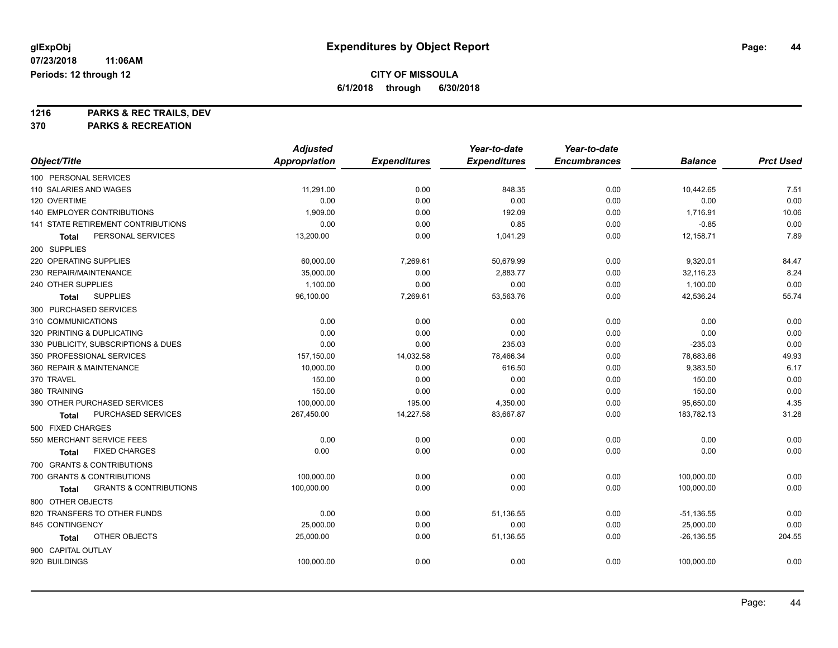**1216 PARKS & REC TRAILS, DEV**

**370 PARKS & RECREATION**

|                                            | <b>Adjusted</b> |                     | Year-to-date        | Year-to-date        |                |                  |
|--------------------------------------------|-----------------|---------------------|---------------------|---------------------|----------------|------------------|
| Object/Title                               | Appropriation   | <b>Expenditures</b> | <b>Expenditures</b> | <b>Encumbrances</b> | <b>Balance</b> | <b>Prct Used</b> |
| 100 PERSONAL SERVICES                      |                 |                     |                     |                     |                |                  |
| 110 SALARIES AND WAGES                     | 11,291.00       | 0.00                | 848.35              | 0.00                | 10,442.65      | 7.51             |
| 120 OVERTIME                               | 0.00            | 0.00                | 0.00                | 0.00                | 0.00           | 0.00             |
| 140 EMPLOYER CONTRIBUTIONS                 | 1,909.00        | 0.00                | 192.09              | 0.00                | 1,716.91       | 10.06            |
| 141 STATE RETIREMENT CONTRIBUTIONS         | 0.00            | 0.00                | 0.85                | 0.00                | $-0.85$        | 0.00             |
| PERSONAL SERVICES<br><b>Total</b>          | 13,200.00       | 0.00                | 1,041.29            | 0.00                | 12,158.71      | 7.89             |
| 200 SUPPLIES                               |                 |                     |                     |                     |                |                  |
| 220 OPERATING SUPPLIES                     | 60,000.00       | 7,269.61            | 50,679.99           | 0.00                | 9,320.01       | 84.47            |
| 230 REPAIR/MAINTENANCE                     | 35.000.00       | 0.00                | 2,883.77            | 0.00                | 32,116.23      | 8.24             |
| 240 OTHER SUPPLIES                         | 1,100.00        | 0.00                | 0.00                | 0.00                | 1,100.00       | 0.00             |
| <b>SUPPLIES</b><br>Total                   | 96,100.00       | 7,269.61            | 53,563.76           | 0.00                | 42,536.24      | 55.74            |
| 300 PURCHASED SERVICES                     |                 |                     |                     |                     |                |                  |
| 310 COMMUNICATIONS                         | 0.00            | 0.00                | 0.00                | 0.00                | 0.00           | 0.00             |
| 320 PRINTING & DUPLICATING                 | 0.00            | 0.00                | 0.00                | 0.00                | 0.00           | 0.00             |
| 330 PUBLICITY, SUBSCRIPTIONS & DUES        | 0.00            | 0.00                | 235.03              | 0.00                | $-235.03$      | 0.00             |
| 350 PROFESSIONAL SERVICES                  | 157,150.00      | 14,032.58           | 78,466.34           | 0.00                | 78,683.66      | 49.93            |
| 360 REPAIR & MAINTENANCE                   | 10,000.00       | 0.00                | 616.50              | 0.00                | 9,383.50       | 6.17             |
| 370 TRAVEL                                 | 150.00          | 0.00                | 0.00                | 0.00                | 150.00         | 0.00             |
| 380 TRAINING                               | 150.00          | 0.00                | 0.00                | 0.00                | 150.00         | 0.00             |
| 390 OTHER PURCHASED SERVICES               | 100,000.00      | 195.00              | 4,350.00            | 0.00                | 95,650.00      | 4.35             |
| PURCHASED SERVICES<br>Total                | 267,450.00      | 14,227.58           | 83,667.87           | 0.00                | 183,782.13     | 31.28            |
| 500 FIXED CHARGES                          |                 |                     |                     |                     |                |                  |
| 550 MERCHANT SERVICE FEES                  | 0.00            | 0.00                | 0.00                | 0.00                | 0.00           | 0.00             |
| <b>FIXED CHARGES</b><br><b>Total</b>       | 0.00            | 0.00                | 0.00                | 0.00                | 0.00           | 0.00             |
| 700 GRANTS & CONTRIBUTIONS                 |                 |                     |                     |                     |                |                  |
| 700 GRANTS & CONTRIBUTIONS                 | 100,000.00      | 0.00                | 0.00                | 0.00                | 100,000.00     | 0.00             |
| <b>GRANTS &amp; CONTRIBUTIONS</b><br>Total | 100,000.00      | 0.00                | 0.00                | 0.00                | 100,000.00     | 0.00             |
| 800 OTHER OBJECTS                          |                 |                     |                     |                     |                |                  |
| 820 TRANSFERS TO OTHER FUNDS               | 0.00            | 0.00                | 51,136.55           | 0.00                | $-51,136.55$   | 0.00             |
| 845 CONTINGENCY                            | 25,000.00       | 0.00                | 0.00                | 0.00                | 25,000.00      | 0.00             |
| OTHER OBJECTS<br><b>Total</b>              | 25,000.00       | 0.00                | 51,136.55           | 0.00                | $-26, 136.55$  | 204.55           |
| 900 CAPITAL OUTLAY                         |                 |                     |                     |                     |                |                  |
| 920 BUILDINGS                              | 100,000.00      | 0.00                | 0.00                | 0.00                | 100,000.00     | 0.00             |
|                                            |                 |                     |                     |                     |                |                  |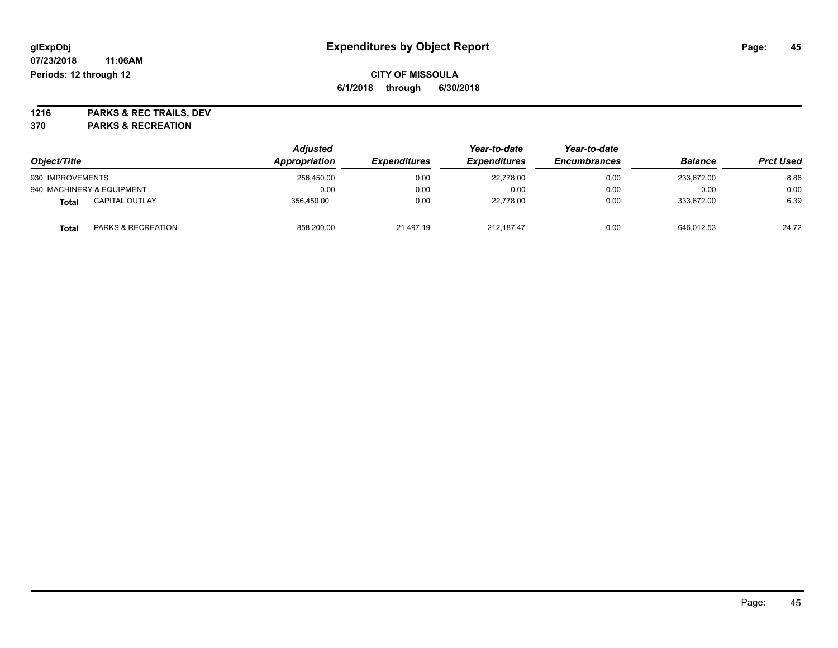**1216 PARKS & REC TRAILS, DEV 370 PARKS & RECREATION**

| Object/Title              |                               | <b>Adjusted</b><br>Appropriation |                     | Year-to-date<br><b>Expenditures</b> | Year-to-date<br><b>Encumbrances</b> | <b>Balance</b> | <b>Prct Used</b> |
|---------------------------|-------------------------------|----------------------------------|---------------------|-------------------------------------|-------------------------------------|----------------|------------------|
|                           |                               |                                  | <b>Expenditures</b> |                                     |                                     |                |                  |
| 930 IMPROVEMENTS          |                               | 256.450.00                       | 0.00                | 22.778.00                           | 0.00                                | 233.672.00     | 8.88             |
| 940 MACHINERY & EQUIPMENT |                               | 0.00                             | 0.00                | 0.00                                | 0.00                                | 0.00           | 0.00             |
| Total                     | <b>CAPITAL OUTLAY</b>         | 356.450.00                       | 0.00                | 22,778.00                           | 0.00                                | 333.672.00     | 6.39             |
| Total                     | <b>PARKS &amp; RECREATION</b> | 858.200.00                       | 21.497.19           | 212.187.47                          | 0.00                                | 646.012.53     | 24.72            |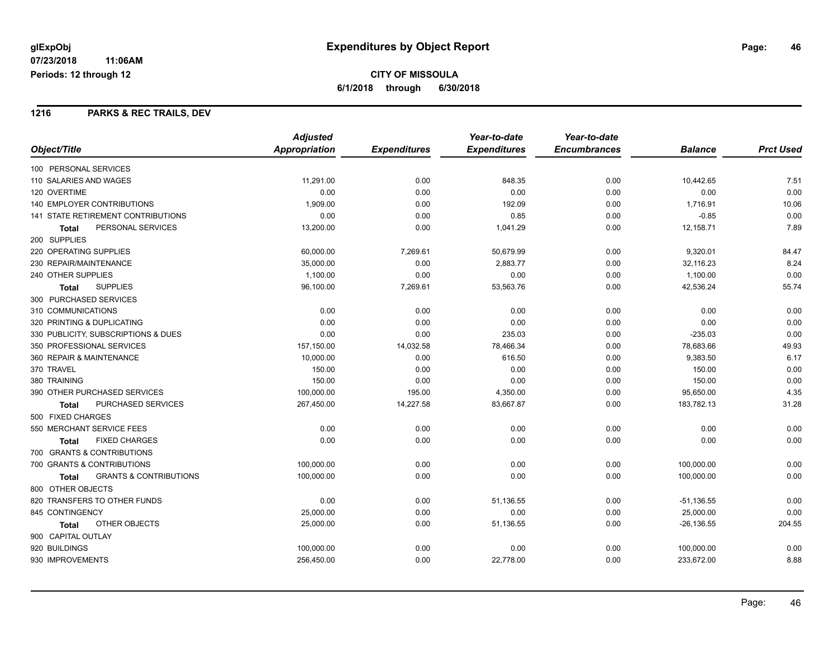## **1216 PARKS & REC TRAILS, DEV**

|                                            | <b>Adjusted</b>      |                     | Year-to-date        | Year-to-date        |                |                  |
|--------------------------------------------|----------------------|---------------------|---------------------|---------------------|----------------|------------------|
| Object/Title                               | <b>Appropriation</b> | <b>Expenditures</b> | <b>Expenditures</b> | <b>Encumbrances</b> | <b>Balance</b> | <b>Prct Used</b> |
| 100 PERSONAL SERVICES                      |                      |                     |                     |                     |                |                  |
| 110 SALARIES AND WAGES                     | 11,291.00            | 0.00                | 848.35              | 0.00                | 10,442.65      | 7.51             |
| 120 OVERTIME                               | 0.00                 | 0.00                | 0.00                | 0.00                | 0.00           | 0.00             |
| 140 EMPLOYER CONTRIBUTIONS                 | 1,909.00             | 0.00                | 192.09              | 0.00                | 1,716.91       | 10.06            |
| 141 STATE RETIREMENT CONTRIBUTIONS         | 0.00                 | 0.00                | 0.85                | 0.00                | $-0.85$        | 0.00             |
| PERSONAL SERVICES<br>Total                 | 13,200.00            | 0.00                | 1,041.29            | 0.00                | 12,158.71      | 7.89             |
| 200 SUPPLIES                               |                      |                     |                     |                     |                |                  |
| 220 OPERATING SUPPLIES                     | 60,000.00            | 7,269.61            | 50,679.99           | 0.00                | 9,320.01       | 84.47            |
| 230 REPAIR/MAINTENANCE                     | 35,000.00            | 0.00                | 2,883.77            | 0.00                | 32,116.23      | 8.24             |
| 240 OTHER SUPPLIES                         | 1,100.00             | 0.00                | 0.00                | 0.00                | 1,100.00       | 0.00             |
| <b>SUPPLIES</b><br><b>Total</b>            | 96,100.00            | 7,269.61            | 53,563.76           | 0.00                | 42,536.24      | 55.74            |
| 300 PURCHASED SERVICES                     |                      |                     |                     |                     |                |                  |
| 310 COMMUNICATIONS                         | 0.00                 | 0.00                | 0.00                | 0.00                | 0.00           | 0.00             |
| 320 PRINTING & DUPLICATING                 | 0.00                 | 0.00                | 0.00                | 0.00                | 0.00           | 0.00             |
| 330 PUBLICITY, SUBSCRIPTIONS & DUES        | 0.00                 | 0.00                | 235.03              | 0.00                | $-235.03$      | 0.00             |
| 350 PROFESSIONAL SERVICES                  | 157,150.00           | 14,032.58           | 78,466.34           | 0.00                | 78,683.66      | 49.93            |
| 360 REPAIR & MAINTENANCE                   | 10,000.00            | 0.00                | 616.50              | 0.00                | 9,383.50       | 6.17             |
| 370 TRAVEL                                 | 150.00               | 0.00                | 0.00                | 0.00                | 150.00         | 0.00             |
| 380 TRAINING                               | 150.00               | 0.00                | 0.00                | 0.00                | 150.00         | 0.00             |
| 390 OTHER PURCHASED SERVICES               | 100,000.00           | 195.00              | 4,350.00            | 0.00                | 95,650.00      | 4.35             |
| PURCHASED SERVICES<br><b>Total</b>         | 267,450.00           | 14,227.58           | 83,667.87           | 0.00                | 183,782.13     | 31.28            |
| 500 FIXED CHARGES                          |                      |                     |                     |                     |                |                  |
| 550 MERCHANT SERVICE FEES                  | 0.00                 | 0.00                | 0.00                | 0.00                | 0.00           | 0.00             |
| <b>FIXED CHARGES</b><br>Total              | 0.00                 | 0.00                | 0.00                | 0.00                | 0.00           | 0.00             |
| 700 GRANTS & CONTRIBUTIONS                 |                      |                     |                     |                     |                |                  |
| 700 GRANTS & CONTRIBUTIONS                 | 100,000.00           | 0.00                | 0.00                | 0.00                | 100,000.00     | 0.00             |
| <b>GRANTS &amp; CONTRIBUTIONS</b><br>Total | 100,000.00           | 0.00                | 0.00                | 0.00                | 100,000.00     | 0.00             |
| 800 OTHER OBJECTS                          |                      |                     |                     |                     |                |                  |
| 820 TRANSFERS TO OTHER FUNDS               | 0.00                 | 0.00                | 51,136.55           | 0.00                | $-51,136.55$   | 0.00             |
| 845 CONTINGENCY                            | 25,000.00            | 0.00                | 0.00                | 0.00                | 25,000.00      | 0.00             |
| OTHER OBJECTS<br><b>Total</b>              | 25,000.00            | 0.00                | 51,136.55           | 0.00                | $-26, 136.55$  | 204.55           |
| 900 CAPITAL OUTLAY                         |                      |                     |                     |                     |                |                  |
| 920 BUILDINGS                              | 100,000.00           | 0.00                | 0.00                | 0.00                | 100,000.00     | 0.00             |
| 930 IMPROVEMENTS                           | 256,450.00           | 0.00                | 22,778.00           | 0.00                | 233,672.00     | 8.88             |
|                                            |                      |                     |                     |                     |                |                  |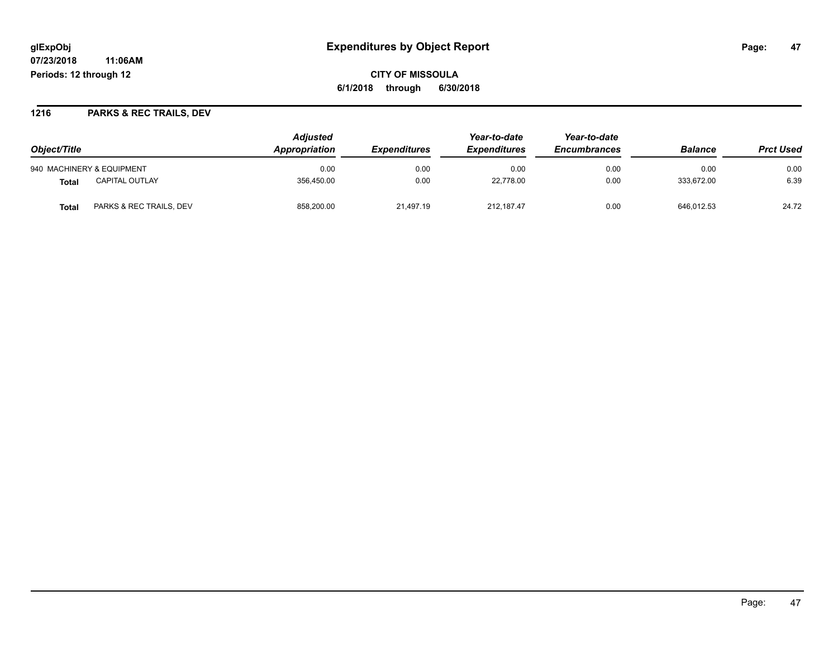**CITY OF MISSOULA 6/1/2018 through 6/30/2018**

## **1216 PARKS & REC TRAILS, DEV**

|                                       | <b>Adjusted</b> |                            | Year-to-date               | Year-to-date        |                |                  |
|---------------------------------------|-----------------|----------------------------|----------------------------|---------------------|----------------|------------------|
| Object/Title                          | Appropriation   | <i><b>Expenditures</b></i> | <i><b>Expenditures</b></i> | <b>Encumbrances</b> | <b>Balance</b> | <b>Prct Used</b> |
| 940 MACHINERY & EQUIPMENT             | 0.00            | 0.00                       | 0.00                       | 0.00                | 0.00           | 0.00             |
| <b>CAPITAL OUTLAY</b><br><b>Total</b> | 356,450.00      | 0.00                       | 22,778.00                  | 0.00                | 333,672.00     | 6.39             |
| PARKS & REC TRAILS, DEV<br>Total      | 858,200.00      | 21,497.19                  | 212,187.47                 | 0.00                | 646,012.53     | 24.72            |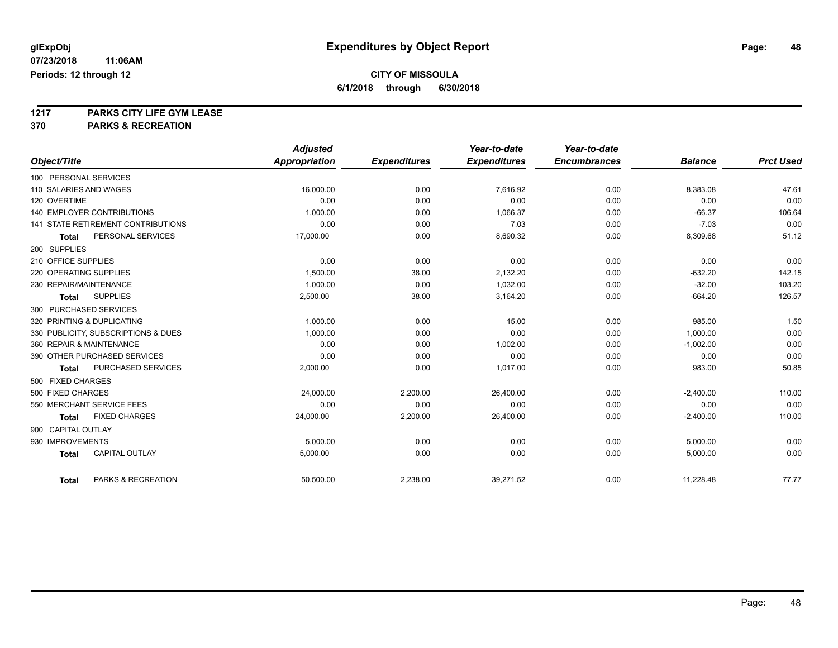**1217 PARKS CITY LIFE GYM LEASE**

**370 PARKS & RECREATION**

|                                           | <b>Adjusted</b>      |                     | Year-to-date        | Year-to-date        |                |                  |
|-------------------------------------------|----------------------|---------------------|---------------------|---------------------|----------------|------------------|
| Object/Title                              | <b>Appropriation</b> | <b>Expenditures</b> | <b>Expenditures</b> | <b>Encumbrances</b> | <b>Balance</b> | <b>Prct Used</b> |
| 100 PERSONAL SERVICES                     |                      |                     |                     |                     |                |                  |
| 110 SALARIES AND WAGES                    | 16,000.00            | 0.00                | 7,616.92            | 0.00                | 8,383.08       | 47.61            |
| 120 OVERTIME                              | 0.00                 | 0.00                | 0.00                | 0.00                | 0.00           | 0.00             |
| 140 EMPLOYER CONTRIBUTIONS                | 1,000.00             | 0.00                | 1,066.37            | 0.00                | $-66.37$       | 106.64           |
| <b>141 STATE RETIREMENT CONTRIBUTIONS</b> | 0.00                 | 0.00                | 7.03                | 0.00                | $-7.03$        | 0.00             |
| PERSONAL SERVICES<br><b>Total</b>         | 17,000.00            | 0.00                | 8,690.32            | 0.00                | 8,309.68       | 51.12            |
| 200 SUPPLIES                              |                      |                     |                     |                     |                |                  |
| 210 OFFICE SUPPLIES                       | 0.00                 | 0.00                | 0.00                | 0.00                | 0.00           | 0.00             |
| 220 OPERATING SUPPLIES                    | 1,500.00             | 38.00               | 2,132.20            | 0.00                | $-632.20$      | 142.15           |
| 230 REPAIR/MAINTENANCE                    | 1,000.00             | 0.00                | 1,032.00            | 0.00                | $-32.00$       | 103.20           |
| <b>SUPPLIES</b><br><b>Total</b>           | 2,500.00             | 38.00               | 3,164.20            | 0.00                | $-664.20$      | 126.57           |
| 300 PURCHASED SERVICES                    |                      |                     |                     |                     |                |                  |
| 320 PRINTING & DUPLICATING                | 1,000.00             | 0.00                | 15.00               | 0.00                | 985.00         | 1.50             |
| 330 PUBLICITY, SUBSCRIPTIONS & DUES       | 1,000.00             | 0.00                | 0.00                | 0.00                | 1,000.00       | 0.00             |
| 360 REPAIR & MAINTENANCE                  | 0.00                 | 0.00                | 1,002.00            | 0.00                | $-1,002.00$    | 0.00             |
| 390 OTHER PURCHASED SERVICES              | 0.00                 | 0.00                | 0.00                | 0.00                | 0.00           | 0.00             |
| PURCHASED SERVICES<br><b>Total</b>        | 2,000.00             | 0.00                | 1,017.00            | 0.00                | 983.00         | 50.85            |
| 500 FIXED CHARGES                         |                      |                     |                     |                     |                |                  |
| 500 FIXED CHARGES                         | 24,000.00            | 2,200.00            | 26,400.00           | 0.00                | $-2,400.00$    | 110.00           |
| 550 MERCHANT SERVICE FEES                 | 0.00                 | 0.00                | 0.00                | 0.00                | 0.00           | 0.00             |
| <b>FIXED CHARGES</b><br><b>Total</b>      | 24,000.00            | 2,200.00            | 26,400.00           | 0.00                | $-2,400.00$    | 110.00           |
| 900 CAPITAL OUTLAY                        |                      |                     |                     |                     |                |                  |
| 930 IMPROVEMENTS                          | 5,000.00             | 0.00                | 0.00                | 0.00                | 5,000.00       | 0.00             |
| CAPITAL OUTLAY<br><b>Total</b>            | 5,000.00             | 0.00                | 0.00                | 0.00                | 5,000.00       | 0.00             |
| PARKS & RECREATION<br><b>Total</b>        | 50,500.00            | 2,238.00            | 39,271.52           | 0.00                | 11,228.48      | 77.77            |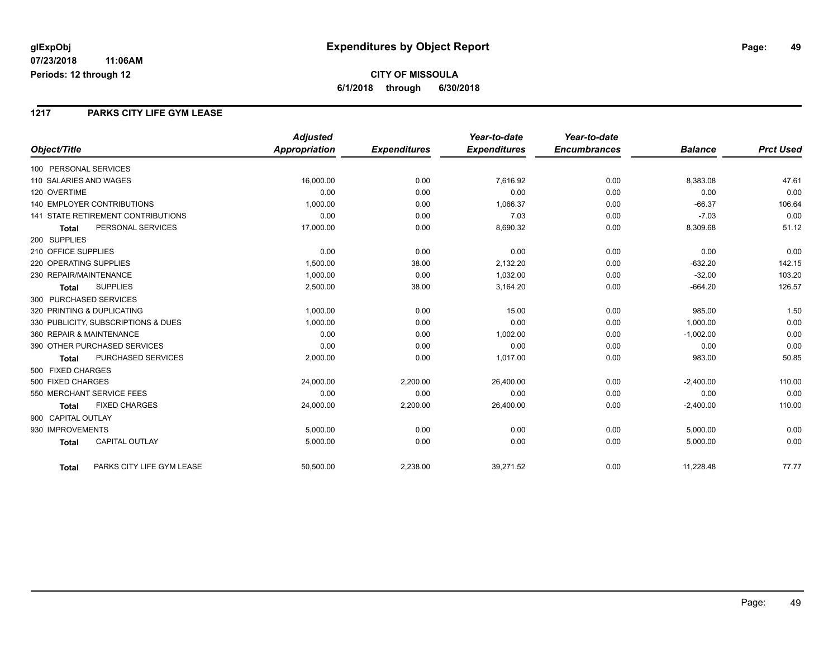### **1217 PARKS CITY LIFE GYM LEASE**

|                                     |                                           | <b>Adjusted</b>      |                     | Year-to-date        | Year-to-date        |                |                  |
|-------------------------------------|-------------------------------------------|----------------------|---------------------|---------------------|---------------------|----------------|------------------|
| Object/Title                        |                                           | <b>Appropriation</b> | <b>Expenditures</b> | <b>Expenditures</b> | <b>Encumbrances</b> | <b>Balance</b> | <b>Prct Used</b> |
| 100 PERSONAL SERVICES               |                                           |                      |                     |                     |                     |                |                  |
| 110 SALARIES AND WAGES              |                                           | 16,000.00            | 0.00                | 7.616.92            | 0.00                | 8,383.08       | 47.61            |
| 120 OVERTIME                        |                                           | 0.00                 | 0.00                | 0.00                | 0.00                | 0.00           | 0.00             |
| <b>140 EMPLOYER CONTRIBUTIONS</b>   |                                           | 1,000.00             | 0.00                | 1,066.37            | 0.00                | $-66.37$       | 106.64           |
|                                     | <b>141 STATE RETIREMENT CONTRIBUTIONS</b> | 0.00                 | 0.00                | 7.03                | 0.00                | $-7.03$        | 0.00             |
| Total                               | PERSONAL SERVICES                         | 17,000.00            | 0.00                | 8,690.32            | 0.00                | 8,309.68       | 51.12            |
| 200 SUPPLIES                        |                                           |                      |                     |                     |                     |                |                  |
| 210 OFFICE SUPPLIES                 |                                           | 0.00                 | 0.00                | 0.00                | 0.00                | 0.00           | 0.00             |
| 220 OPERATING SUPPLIES              |                                           | 1,500.00             | 38.00               | 2,132.20            | 0.00                | $-632.20$      | 142.15           |
| 230 REPAIR/MAINTENANCE              |                                           | 1,000.00             | 0.00                | 1,032.00            | 0.00                | $-32.00$       | 103.20           |
| Total                               | <b>SUPPLIES</b>                           | 2,500.00             | 38.00               | 3,164.20            | 0.00                | $-664.20$      | 126.57           |
| 300 PURCHASED SERVICES              |                                           |                      |                     |                     |                     |                |                  |
| 320 PRINTING & DUPLICATING          |                                           | 1,000.00             | 0.00                | 15.00               | 0.00                | 985.00         | 1.50             |
| 330 PUBLICITY, SUBSCRIPTIONS & DUES |                                           | 1,000.00             | 0.00                | 0.00                | 0.00                | 1.000.00       | 0.00             |
| 360 REPAIR & MAINTENANCE            |                                           | 0.00                 | 0.00                | 1,002.00            | 0.00                | $-1,002.00$    | 0.00             |
| 390 OTHER PURCHASED SERVICES        |                                           | 0.00                 | 0.00                | 0.00                | 0.00                | 0.00           | 0.00             |
| <b>Total</b>                        | PURCHASED SERVICES                        | 2,000.00             | 0.00                | 1,017.00            | 0.00                | 983.00         | 50.85            |
| 500 FIXED CHARGES                   |                                           |                      |                     |                     |                     |                |                  |
| 500 FIXED CHARGES                   |                                           | 24,000.00            | 2,200.00            | 26,400.00           | 0.00                | $-2,400.00$    | 110.00           |
| 550 MERCHANT SERVICE FEES           |                                           | 0.00                 | 0.00                | 0.00                | 0.00                | 0.00           | 0.00             |
| <b>Total</b>                        | <b>FIXED CHARGES</b>                      | 24,000.00            | 2,200.00            | 26,400.00           | 0.00                | $-2,400.00$    | 110.00           |
| 900 CAPITAL OUTLAY                  |                                           |                      |                     |                     |                     |                |                  |
| 930 IMPROVEMENTS                    |                                           | 5,000.00             | 0.00                | 0.00                | 0.00                | 5,000.00       | 0.00             |
| <b>Total</b>                        | <b>CAPITAL OUTLAY</b>                     | 5,000.00             | 0.00                | 0.00                | 0.00                | 5,000.00       | 0.00             |
| <b>Total</b>                        | PARKS CITY LIFE GYM LEASE                 | 50,500.00            | 2,238.00            | 39,271.52           | 0.00                | 11,228.48      | 77.77            |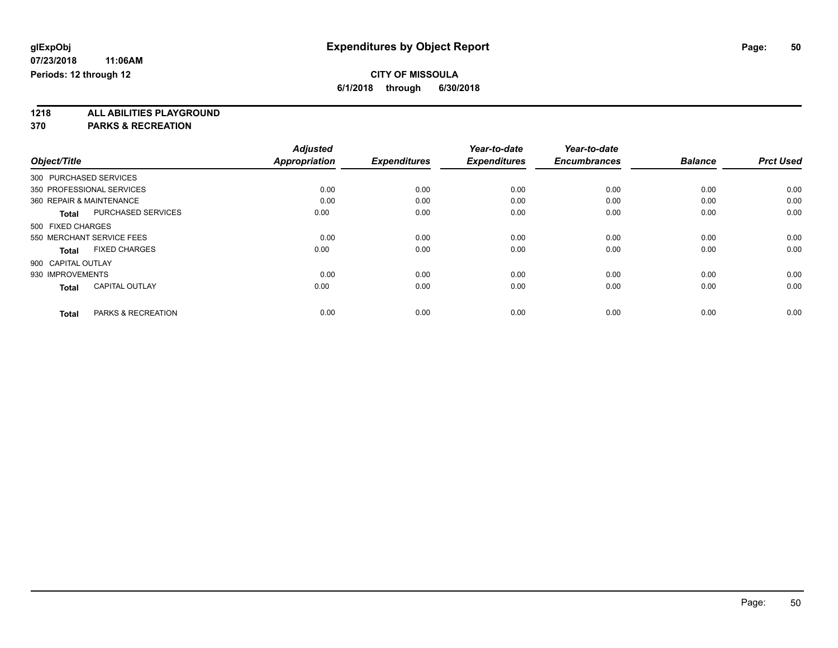**1218 ALL ABILITIES PLAYGROUND**

**370 PARKS & RECREATION**

|                                       | <b>Adjusted</b>      |                     | Year-to-date        | Year-to-date        |                |                  |
|---------------------------------------|----------------------|---------------------|---------------------|---------------------|----------------|------------------|
| Object/Title                          | <b>Appropriation</b> | <b>Expenditures</b> | <b>Expenditures</b> | <b>Encumbrances</b> | <b>Balance</b> | <b>Prct Used</b> |
| 300 PURCHASED SERVICES                |                      |                     |                     |                     |                |                  |
| 350 PROFESSIONAL SERVICES             | 0.00                 | 0.00                | 0.00                | 0.00                | 0.00           | 0.00             |
| 360 REPAIR & MAINTENANCE              | 0.00                 | 0.00                | 0.00                | 0.00                | 0.00           | 0.00             |
| PURCHASED SERVICES<br>Total           | 0.00                 | 0.00                | 0.00                | 0.00                | 0.00           | 0.00             |
| 500 FIXED CHARGES                     |                      |                     |                     |                     |                |                  |
| 550 MERCHANT SERVICE FEES             | 0.00                 | 0.00                | 0.00                | 0.00                | 0.00           | 0.00             |
| <b>FIXED CHARGES</b><br><b>Total</b>  | 0.00                 | 0.00                | 0.00                | 0.00                | 0.00           | 0.00             |
| 900 CAPITAL OUTLAY                    |                      |                     |                     |                     |                |                  |
| 930 IMPROVEMENTS                      | 0.00                 | 0.00                | 0.00                | 0.00                | 0.00           | 0.00             |
| <b>CAPITAL OUTLAY</b><br><b>Total</b> | 0.00                 | 0.00                | 0.00                | 0.00                | 0.00           | 0.00             |
|                                       |                      |                     |                     |                     |                |                  |
| PARKS & RECREATION<br><b>Total</b>    | 0.00                 | 0.00                | 0.00                | 0.00                | 0.00           | 0.00             |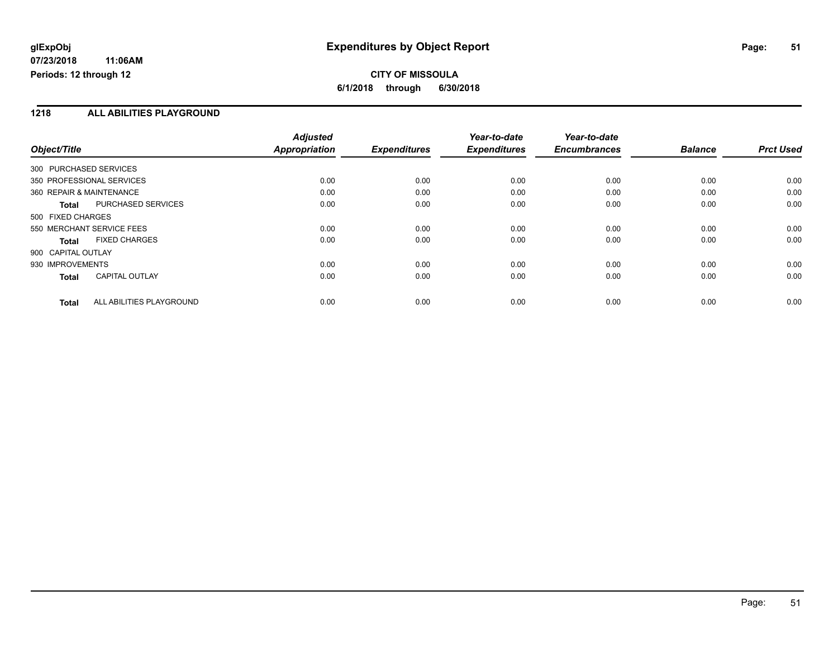# **CITY OF MISSOULA 6/1/2018 through 6/30/2018**

### **1218 ALL ABILITIES PLAYGROUND**

|                           |                           | <b>Adjusted</b>      |                     | Year-to-date        | Year-to-date        |                |                  |
|---------------------------|---------------------------|----------------------|---------------------|---------------------|---------------------|----------------|------------------|
| Object/Title              |                           | <b>Appropriation</b> | <b>Expenditures</b> | <b>Expenditures</b> | <b>Encumbrances</b> | <b>Balance</b> | <b>Prct Used</b> |
| 300 PURCHASED SERVICES    |                           |                      |                     |                     |                     |                |                  |
| 350 PROFESSIONAL SERVICES |                           | 0.00                 | 0.00                | 0.00                | 0.00                | 0.00           | 0.00             |
| 360 REPAIR & MAINTENANCE  |                           | 0.00                 | 0.00                | 0.00                | 0.00                | 0.00           | 0.00             |
| <b>Total</b>              | <b>PURCHASED SERVICES</b> | 0.00                 | 0.00                | 0.00                | 0.00                | 0.00           | 0.00             |
| 500 FIXED CHARGES         |                           |                      |                     |                     |                     |                |                  |
| 550 MERCHANT SERVICE FEES |                           | 0.00                 | 0.00                | 0.00                | 0.00                | 0.00           | 0.00             |
| <b>Total</b>              | <b>FIXED CHARGES</b>      | 0.00                 | 0.00                | 0.00                | 0.00                | 0.00           | 0.00             |
| 900 CAPITAL OUTLAY        |                           |                      |                     |                     |                     |                |                  |
| 930 IMPROVEMENTS          |                           | 0.00                 | 0.00                | 0.00                | 0.00                | 0.00           | 0.00             |
| <b>Total</b>              | <b>CAPITAL OUTLAY</b>     | 0.00                 | 0.00                | 0.00                | 0.00                | 0.00           | 0.00             |
| <b>Total</b>              | ALL ABILITIES PLAYGROUND  | 0.00                 | 0.00                | 0.00                | 0.00                | 0.00           | 0.00             |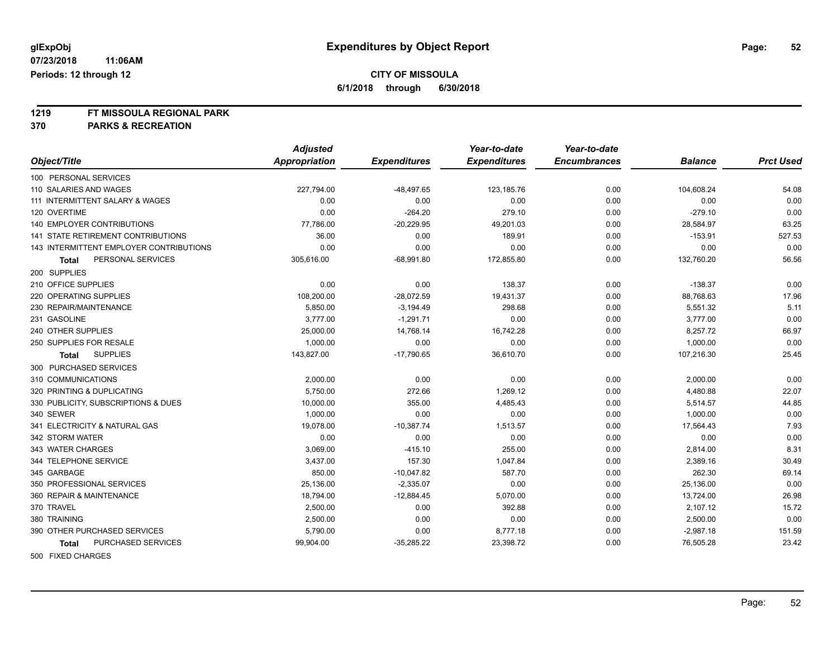# **1219 FT MISSOULA REGIONAL PARK**

**370 PARKS & RECREATION**

|                                         | <b>Adjusted</b>      |                     | Year-to-date        | Year-to-date        |                |                  |
|-----------------------------------------|----------------------|---------------------|---------------------|---------------------|----------------|------------------|
| Object/Title                            | <b>Appropriation</b> | <b>Expenditures</b> | <b>Expenditures</b> | <b>Encumbrances</b> | <b>Balance</b> | <b>Prct Used</b> |
| 100 PERSONAL SERVICES                   |                      |                     |                     |                     |                |                  |
| 110 SALARIES AND WAGES                  | 227,794.00           | $-48,497.65$        | 123,185.76          | 0.00                | 104,608.24     | 54.08            |
| 111 INTERMITTENT SALARY & WAGES         | 0.00                 | 0.00                | 0.00                | 0.00                | 0.00           | 0.00             |
| 120 OVERTIME                            | 0.00                 | $-264.20$           | 279.10              | 0.00                | $-279.10$      | 0.00             |
| <b>140 EMPLOYER CONTRIBUTIONS</b>       | 77,786.00            | $-20,229.95$        | 49,201.03           | 0.00                | 28,584.97      | 63.25            |
| 141 STATE RETIREMENT CONTRIBUTIONS      | 36.00                | 0.00                | 189.91              | 0.00                | $-153.91$      | 527.53           |
| 143 INTERMITTENT EMPLOYER CONTRIBUTIONS | 0.00                 | 0.00                | 0.00                | 0.00                | 0.00           | 0.00             |
| PERSONAL SERVICES<br><b>Total</b>       | 305,616.00           | $-68,991.80$        | 172,855.80          | 0.00                | 132,760.20     | 56.56            |
| 200 SUPPLIES                            |                      |                     |                     |                     |                |                  |
| 210 OFFICE SUPPLIES                     | 0.00                 | 0.00                | 138.37              | 0.00                | $-138.37$      | 0.00             |
| 220 OPERATING SUPPLIES                  | 108,200.00           | $-28,072.59$        | 19,431.37           | 0.00                | 88,768.63      | 17.96            |
| 230 REPAIR/MAINTENANCE                  | 5,850.00             | $-3,194.49$         | 298.68              | 0.00                | 5,551.32       | 5.11             |
| 231 GASOLINE                            | 3,777.00             | $-1,291.71$         | 0.00                | 0.00                | 3,777.00       | 0.00             |
| 240 OTHER SUPPLIES                      | 25,000.00            | 14,768.14           | 16,742.28           | 0.00                | 8,257.72       | 66.97            |
| 250 SUPPLIES FOR RESALE                 | 1,000.00             | 0.00                | 0.00                | 0.00                | 1,000.00       | 0.00             |
| <b>SUPPLIES</b><br>Total                | 143,827.00           | $-17,790.65$        | 36,610.70           | 0.00                | 107,216.30     | 25.45            |
| 300 PURCHASED SERVICES                  |                      |                     |                     |                     |                |                  |
| 310 COMMUNICATIONS                      | 2,000.00             | 0.00                | 0.00                | 0.00                | 2,000.00       | 0.00             |
| 320 PRINTING & DUPLICATING              | 5,750.00             | 272.66              | 1,269.12            | 0.00                | 4,480.88       | 22.07            |
| 330 PUBLICITY, SUBSCRIPTIONS & DUES     | 10,000.00            | 355.00              | 4,485.43            | 0.00                | 5,514.57       | 44.85            |
| 340 SEWER                               | 1,000.00             | 0.00                | 0.00                | 0.00                | 1,000.00       | 0.00             |
| 341 ELECTRICITY & NATURAL GAS           | 19,078.00            | $-10,387.74$        | 1,513.57            | 0.00                | 17,564.43      | 7.93             |
| 342 STORM WATER                         | 0.00                 | 0.00                | 0.00                | 0.00                | 0.00           | 0.00             |
| 343 WATER CHARGES                       | 3,069.00             | $-415.10$           | 255.00              | 0.00                | 2,814.00       | 8.31             |
| 344 TELEPHONE SERVICE                   | 3,437.00             | 157.30              | 1,047.84            | 0.00                | 2,389.16       | 30.49            |
| 345 GARBAGE                             | 850.00               | $-10,047.82$        | 587.70              | 0.00                | 262.30         | 69.14            |
| 350 PROFESSIONAL SERVICES               | 25,136.00            | $-2,335.07$         | 0.00                | 0.00                | 25,136.00      | 0.00             |
| 360 REPAIR & MAINTENANCE                | 18,794.00            | $-12,884.45$        | 5,070.00            | 0.00                | 13,724.00      | 26.98            |
| 370 TRAVEL                              | 2,500.00             | 0.00                | 392.88              | 0.00                | 2,107.12       | 15.72            |
| 380 TRAINING                            | 2,500.00             | 0.00                | 0.00                | 0.00                | 2,500.00       | 0.00             |
| 390 OTHER PURCHASED SERVICES            | 5,790.00             | 0.00                | 8,777.18            | 0.00                | $-2,987.18$    | 151.59           |
| PURCHASED SERVICES<br><b>Total</b>      | 99,904.00            | $-35,285.22$        | 23,398.72           | 0.00                | 76,505.28      | 23.42            |

500 FIXED CHARGES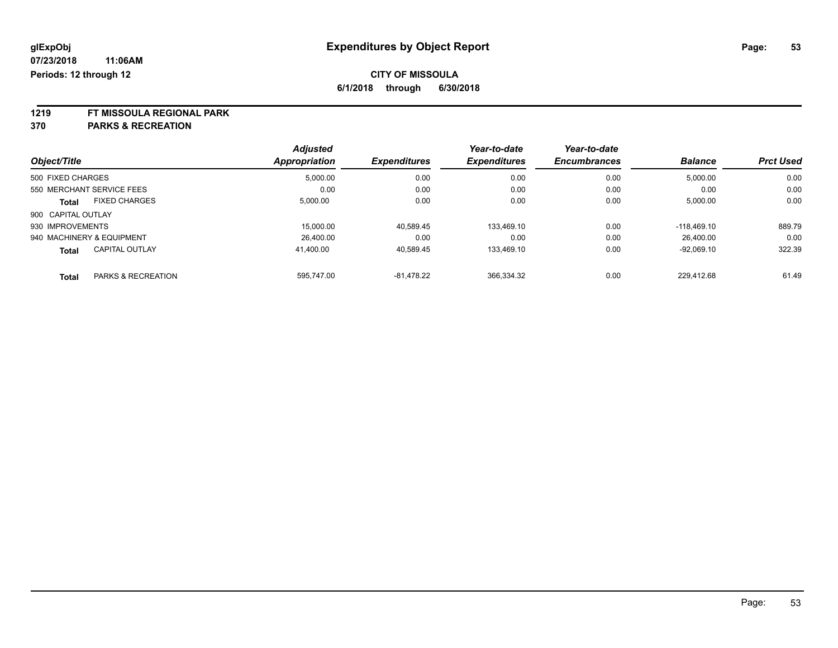**1219 FT MISSOULA REGIONAL PARK**

**370 PARKS & RECREATION**

|                                       | <b>Adjusted</b>      |                     | Year-to-date        | Year-to-date        |                |                  |
|---------------------------------------|----------------------|---------------------|---------------------|---------------------|----------------|------------------|
| Object/Title                          | <b>Appropriation</b> | <b>Expenditures</b> | <b>Expenditures</b> | <b>Encumbrances</b> | <b>Balance</b> | <b>Prct Used</b> |
| 500 FIXED CHARGES                     | 5,000.00             | 0.00                | 0.00                | 0.00                | 5,000.00       | 0.00             |
| 550 MERCHANT SERVICE FEES             | 0.00                 | 0.00                | 0.00                | 0.00                | 0.00           | 0.00             |
| <b>FIXED CHARGES</b><br><b>Total</b>  | 5.000.00             | 0.00                | 0.00                | 0.00                | 5,000.00       | 0.00             |
| 900 CAPITAL OUTLAY                    |                      |                     |                     |                     |                |                  |
| 930 IMPROVEMENTS                      | 15,000.00            | 40.589.45           | 133.469.10          | 0.00                | $-118.469.10$  | 889.79           |
| 940 MACHINERY & EQUIPMENT             | 26,400.00            | 0.00                | 0.00                | 0.00                | 26.400.00      | 0.00             |
| <b>CAPITAL OUTLAY</b><br><b>Total</b> | 41.400.00            | 40.589.45           | 133.469.10          | 0.00                | $-92.069.10$   | 322.39           |
| PARKS & RECREATION<br><b>Total</b>    | 595.747.00           | $-81.478.22$        | 366.334.32          | 0.00                | 229.412.68     | 61.49            |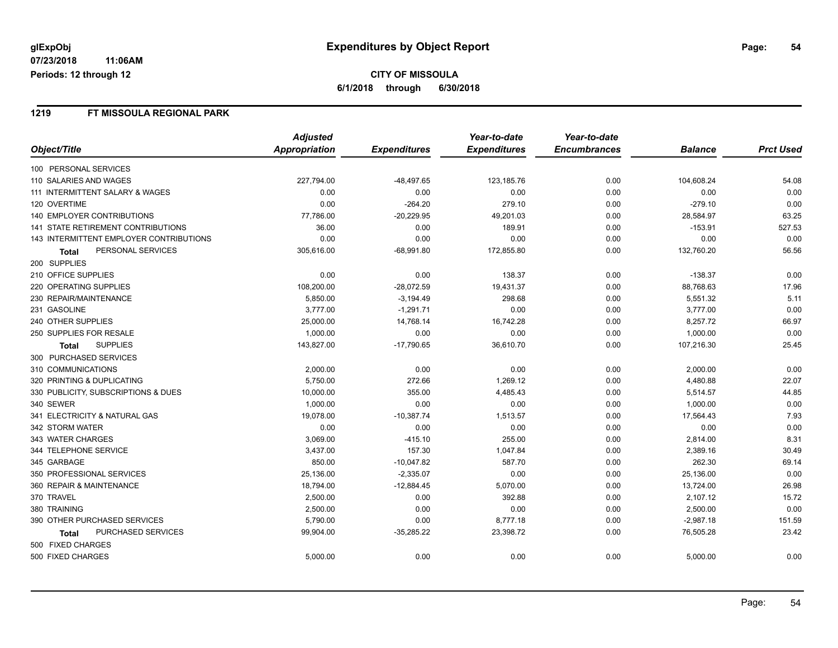### **1219 FT MISSOULA REGIONAL PARK**

| Object/Title<br>Appropriation<br><b>Expenditures</b><br><b>Expenditures</b><br><b>Encumbrances</b><br><b>Balance</b> | <b>Prct Used</b> |
|----------------------------------------------------------------------------------------------------------------------|------------------|
|                                                                                                                      |                  |
| 100 PERSONAL SERVICES                                                                                                |                  |
| 110 SALARIES AND WAGES<br>227,794.00<br>$-48,497.65$<br>123, 185. 76<br>0.00<br>104,608.24                           | 54.08            |
| 0.00<br>111 INTERMITTENT SALARY & WAGES<br>0.00<br>0.00<br>0.00<br>0.00                                              | 0.00             |
| 120 OVERTIME<br>$-264.20$<br>279.10<br>$-279.10$<br>0.00<br>0.00                                                     | 0.00             |
| <b>140 EMPLOYER CONTRIBUTIONS</b><br>77,786.00<br>$-20,229.95$<br>49,201.03<br>28,584.97<br>0.00                     | 63.25            |
| <b>141 STATE RETIREMENT CONTRIBUTIONS</b><br>36.00<br>$-153.91$<br>0.00<br>189.91<br>0.00                            | 527.53           |
| 143 INTERMITTENT EMPLOYER CONTRIBUTIONS<br>0.00<br>0.00<br>0.00<br>0.00<br>0.00                                      | 0.00             |
| PERSONAL SERVICES<br>305,616.00<br>$-68,991.80$<br>172,855.80<br>0.00<br>132,760.20<br>Total                         | 56.56            |
| 200 SUPPLIES                                                                                                         |                  |
| 210 OFFICE SUPPLIES<br>0.00<br>0.00<br>138.37<br>$-138.37$<br>0.00                                                   | 0.00             |
| <b>220 OPERATING SUPPLIES</b><br>108,200.00<br>$-28,072.59$<br>19,431.37<br>0.00<br>88,768.63                        | 17.96            |
| 230 REPAIR/MAINTENANCE<br>5,850.00<br>5,551.32<br>$-3,194.49$<br>298.68<br>0.00                                      | 5.11             |
| 231 GASOLINE<br>3,777.00<br>0.00<br>3,777.00<br>$-1,291.71$<br>0.00                                                  | 0.00             |
| 240 OTHER SUPPLIES<br>25,000.00<br>14,768.14<br>16,742.28<br>0.00<br>8,257.72                                        | 66.97            |
| 1,000.00<br>0.00<br>0.00<br>1,000.00<br>250 SUPPLIES FOR RESALE<br>0.00                                              | 0.00             |
| <b>SUPPLIES</b><br>143,827.00<br>$-17,790.65$<br>36,610.70<br>0.00<br>107,216.30<br>Total                            | 25.45            |
| 300 PURCHASED SERVICES                                                                                               |                  |
| 310 COMMUNICATIONS<br>2,000.00<br>0.00<br>0.00<br>0.00<br>2,000.00                                                   | 0.00             |
| 5,750.00<br>272.66<br>320 PRINTING & DUPLICATING<br>1,269.12<br>0.00<br>4,480.88                                     | 22.07            |
| 330 PUBLICITY, SUBSCRIPTIONS & DUES<br>10,000.00<br>355.00<br>4,485.43<br>0.00<br>5,514.57                           | 44.85            |
| 1,000.00<br>0.00<br>0.00<br>340 SEWER<br>0.00<br>1,000.00                                                            | 0.00             |
| 19,078.00<br>341 ELECTRICITY & NATURAL GAS<br>$-10,387.74$<br>1,513.57<br>0.00<br>17,564.43                          | 7.93             |
| 0.00<br>0.00<br>0.00<br>0.00<br>0.00<br>342 STORM WATER                                                              | 0.00             |
| 3,069.00<br>$-415.10$<br>255.00<br>0.00<br>2,814.00<br>343 WATER CHARGES                                             | 8.31             |
| 3,437.00<br>157.30<br>2,389.16<br>344 TELEPHONE SERVICE<br>1,047.84<br>0.00                                          | 30.49            |
| 850.00<br>345 GARBAGE<br>$-10,047.82$<br>587.70<br>262.30<br>0.00                                                    | 69.14            |
| 25,136.00<br>$-2,335.07$<br>25,136.00<br>350 PROFESSIONAL SERVICES<br>0.00<br>0.00                                   | 0.00             |
| 360 REPAIR & MAINTENANCE<br>18,794.00<br>$-12,884.45$<br>5,070.00<br>0.00<br>13,724.00                               | 26.98            |
| 2,500.00<br>392.88<br>2,107.12<br>370 TRAVEL<br>0.00<br>0.00                                                         | 15.72            |
| 0.00<br>380 TRAINING<br>2,500.00<br>0.00<br>0.00<br>2,500.00                                                         | 0.00             |
| 390 OTHER PURCHASED SERVICES<br>5,790.00<br>0.00<br>8,777.18<br>0.00<br>$-2,987.18$                                  | 151.59           |
| PURCHASED SERVICES<br>23,398.72<br>0.00<br>99,904.00<br>$-35,285.22$<br>76,505.28<br>Total                           | 23.42            |
| 500 FIXED CHARGES                                                                                                    |                  |
| 500 FIXED CHARGES<br>5,000.00<br>0.00<br>0.00<br>0.00<br>5,000.00                                                    | 0.00             |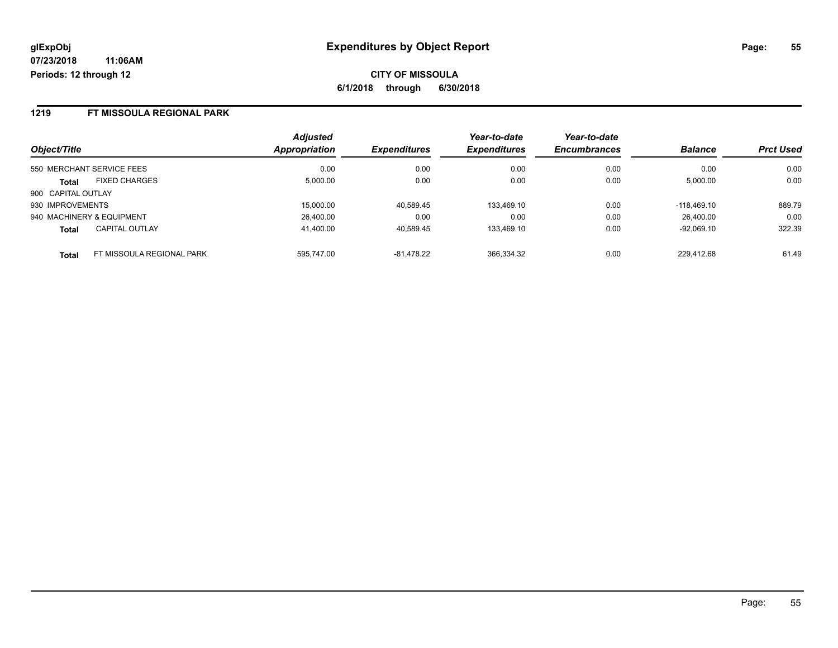### **1219 FT MISSOULA REGIONAL PARK**

| Object/Title                              | <b>Adjusted</b><br>Appropriation | <b>Expenditures</b> | Year-to-date<br><b>Expenditures</b> | Year-to-date<br><b>Encumbrances</b> | <b>Balance</b> | <b>Prct Used</b> |
|-------------------------------------------|----------------------------------|---------------------|-------------------------------------|-------------------------------------|----------------|------------------|
| 550 MERCHANT SERVICE FEES                 | 0.00                             | 0.00                | 0.00                                | 0.00                                | 0.00           | 0.00             |
| <b>FIXED CHARGES</b><br><b>Total</b>      | 5,000.00                         | 0.00                | 0.00                                | 0.00                                | 5,000.00       | 0.00             |
| 900 CAPITAL OUTLAY                        |                                  |                     |                                     |                                     |                |                  |
| 930 IMPROVEMENTS                          | 15,000.00                        | 40,589.45           | 133.469.10                          | 0.00                                | $-118.469.10$  | 889.79           |
| 940 MACHINERY & EQUIPMENT                 | 26,400.00                        | 0.00                | 0.00                                | 0.00                                | 26,400.00      | 0.00             |
| <b>CAPITAL OUTLAY</b><br><b>Total</b>     | 41.400.00                        | 40.589.45           | 133.469.10                          | 0.00                                | $-92.069.10$   | 322.39           |
| FT MISSOULA REGIONAL PARK<br><b>Total</b> | 595.747.00                       | $-81.478.22$        | 366,334.32                          | 0.00                                | 229.412.68     | 61.49            |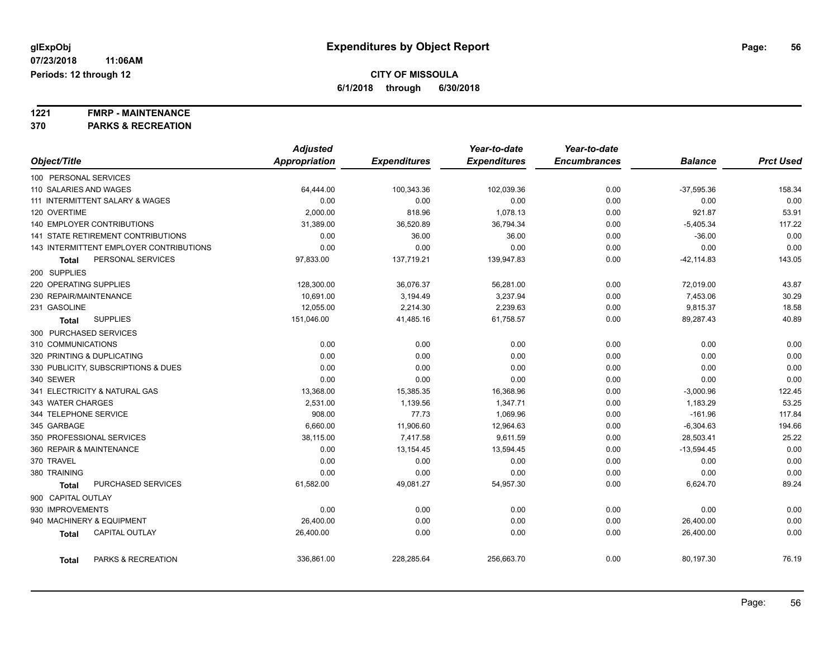**1221 FMRP - MAINTENANCE**

**370 PARKS & RECREATION**

|                                         | <b>Adjusted</b>      |                     | Year-to-date        | Year-to-date        |                |                  |
|-----------------------------------------|----------------------|---------------------|---------------------|---------------------|----------------|------------------|
| Object/Title                            | <b>Appropriation</b> | <b>Expenditures</b> | <b>Expenditures</b> | <b>Encumbrances</b> | <b>Balance</b> | <b>Prct Used</b> |
| 100 PERSONAL SERVICES                   |                      |                     |                     |                     |                |                  |
| 110 SALARIES AND WAGES                  | 64,444.00            | 100,343.36          | 102,039.36          | 0.00                | $-37,595.36$   | 158.34           |
| 111 INTERMITTENT SALARY & WAGES         | 0.00                 | 0.00                | 0.00                | 0.00                | 0.00           | 0.00             |
| 120 OVERTIME                            | 2,000.00             | 818.96              | 1,078.13            | 0.00                | 921.87         | 53.91            |
| <b>140 EMPLOYER CONTRIBUTIONS</b>       | 31,389.00            | 36,520.89           | 36,794.34           | 0.00                | $-5,405.34$    | 117.22           |
| 141 STATE RETIREMENT CONTRIBUTIONS      | 0.00                 | 36.00               | 36.00               | 0.00                | $-36.00$       | 0.00             |
| 143 INTERMITTENT EMPLOYER CONTRIBUTIONS | 0.00                 | 0.00                | 0.00                | 0.00                | 0.00           | 0.00             |
| PERSONAL SERVICES<br>Total              | 97,833.00            | 137,719.21          | 139,947.83          | 0.00                | $-42, 114.83$  | 143.05           |
| 200 SUPPLIES                            |                      |                     |                     |                     |                |                  |
| 220 OPERATING SUPPLIES                  | 128,300.00           | 36,076.37           | 56,281.00           | 0.00                | 72,019.00      | 43.87            |
| 230 REPAIR/MAINTENANCE                  | 10,691.00            | 3,194.49            | 3,237.94            | 0.00                | 7,453.06       | 30.29            |
| 231 GASOLINE                            | 12,055.00            | 2,214.30            | 2,239.63            | 0.00                | 9,815.37       | 18.58            |
| <b>SUPPLIES</b><br><b>Total</b>         | 151,046.00           | 41,485.16           | 61,758.57           | 0.00                | 89,287.43      | 40.89            |
| 300 PURCHASED SERVICES                  |                      |                     |                     |                     |                |                  |
| 310 COMMUNICATIONS                      | 0.00                 | 0.00                | 0.00                | 0.00                | 0.00           | 0.00             |
| 320 PRINTING & DUPLICATING              | 0.00                 | 0.00                | 0.00                | 0.00                | 0.00           | 0.00             |
| 330 PUBLICITY, SUBSCRIPTIONS & DUES     | 0.00                 | 0.00                | 0.00                | 0.00                | 0.00           | 0.00             |
| 340 SEWER                               | 0.00                 | 0.00                | 0.00                | 0.00                | 0.00           | 0.00             |
| 341 ELECTRICITY & NATURAL GAS           | 13,368.00            | 15,385.35           | 16,368.96           | 0.00                | $-3,000.96$    | 122.45           |
| 343 WATER CHARGES                       | 2,531.00             | 1,139.56            | 1,347.71            | 0.00                | 1,183.29       | 53.25            |
| 344 TELEPHONE SERVICE                   | 908.00               | 77.73               | 1,069.96            | 0.00                | $-161.96$      | 117.84           |
| 345 GARBAGE                             | 6,660.00             | 11,906.60           | 12,964.63           | 0.00                | $-6,304.63$    | 194.66           |
| 350 PROFESSIONAL SERVICES               | 38,115.00            | 7,417.58            | 9,611.59            | 0.00                | 28,503.41      | 25.22            |
| 360 REPAIR & MAINTENANCE                | 0.00                 | 13,154.45           | 13,594.45           | 0.00                | $-13,594.45$   | 0.00             |
| 370 TRAVEL                              | 0.00                 | 0.00                | 0.00                | 0.00                | 0.00           | 0.00             |
| 380 TRAINING                            | 0.00                 | 0.00                | 0.00                | 0.00                | 0.00           | 0.00             |
| PURCHASED SERVICES<br><b>Total</b>      | 61,582.00            | 49,081.27           | 54,957.30           | 0.00                | 6,624.70       | 89.24            |
| 900 CAPITAL OUTLAY                      |                      |                     |                     |                     |                |                  |
| 930 IMPROVEMENTS                        | 0.00                 | 0.00                | 0.00                | 0.00                | 0.00           | 0.00             |
| 940 MACHINERY & EQUIPMENT               | 26,400.00            | 0.00                | 0.00                | 0.00                | 26,400.00      | 0.00             |
| <b>CAPITAL OUTLAY</b><br><b>Total</b>   | 26,400.00            | 0.00                | 0.00                | 0.00                | 26,400.00      | 0.00             |
| PARKS & RECREATION<br><b>Total</b>      | 336,861.00           | 228,285.64          | 256,663.70          | 0.00                | 80,197.30      | 76.19            |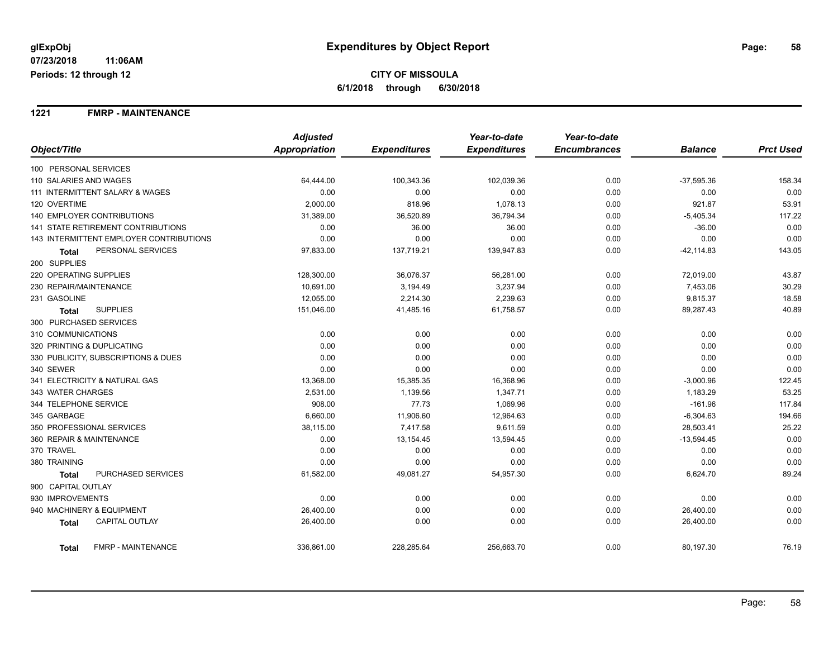#### **1221 FMRP - MAINTENANCE**

|                                         | <b>Adjusted</b> |                     | Year-to-date        | Year-to-date        |                |                  |
|-----------------------------------------|-----------------|---------------------|---------------------|---------------------|----------------|------------------|
| Object/Title                            | Appropriation   | <b>Expenditures</b> | <b>Expenditures</b> | <b>Encumbrances</b> | <b>Balance</b> | <b>Prct Used</b> |
| 100 PERSONAL SERVICES                   |                 |                     |                     |                     |                |                  |
| 110 SALARIES AND WAGES                  | 64,444.00       | 100,343.36          | 102,039.36          | 0.00                | $-37,595.36$   | 158.34           |
| 111 INTERMITTENT SALARY & WAGES         | 0.00            | 0.00                | 0.00                | 0.00                | 0.00           | 0.00             |
| 120 OVERTIME                            | 2,000.00        | 818.96              | 1,078.13            | 0.00                | 921.87         | 53.91            |
| 140 EMPLOYER CONTRIBUTIONS              | 31,389.00       | 36,520.89           | 36,794.34           | 0.00                | $-5,405.34$    | 117.22           |
| 141 STATE RETIREMENT CONTRIBUTIONS      | 0.00            | 36.00               | 36.00               | 0.00                | $-36.00$       | 0.00             |
| 143 INTERMITTENT EMPLOYER CONTRIBUTIONS | 0.00            | 0.00                | 0.00                | 0.00                | 0.00           | 0.00             |
| PERSONAL SERVICES<br><b>Total</b>       | 97,833.00       | 137,719.21          | 139,947.83          | 0.00                | $-42, 114.83$  | 143.05           |
| 200 SUPPLIES                            |                 |                     |                     |                     |                |                  |
| 220 OPERATING SUPPLIES                  | 128,300.00      | 36,076.37           | 56,281.00           | 0.00                | 72,019.00      | 43.87            |
| 230 REPAIR/MAINTENANCE                  | 10,691.00       | 3,194.49            | 3,237.94            | 0.00                | 7,453.06       | 30.29            |
| 231 GASOLINE                            | 12,055.00       | 2,214.30            | 2,239.63            | 0.00                | 9,815.37       | 18.58            |
| <b>SUPPLIES</b><br><b>Total</b>         | 151,046.00      | 41,485.16           | 61,758.57           | 0.00                | 89,287.43      | 40.89            |
| 300 PURCHASED SERVICES                  |                 |                     |                     |                     |                |                  |
| 310 COMMUNICATIONS                      | 0.00            | 0.00                | 0.00                | 0.00                | 0.00           | 0.00             |
| 320 PRINTING & DUPLICATING              | 0.00            | 0.00                | 0.00                | 0.00                | 0.00           | 0.00             |
| 330 PUBLICITY, SUBSCRIPTIONS & DUES     | 0.00            | 0.00                | 0.00                | 0.00                | 0.00           | 0.00             |
| 340 SEWER                               | 0.00            | 0.00                | 0.00                | 0.00                | 0.00           | 0.00             |
| 341 ELECTRICITY & NATURAL GAS           | 13,368.00       | 15,385.35           | 16,368.96           | 0.00                | $-3,000.96$    | 122.45           |
| 343 WATER CHARGES                       | 2,531.00        | 1,139.56            | 1,347.71            | 0.00                | 1,183.29       | 53.25            |
| 344 TELEPHONE SERVICE                   | 908.00          | 77.73               | 1,069.96            | 0.00                | $-161.96$      | 117.84           |
| 345 GARBAGE                             | 6,660.00        | 11,906.60           | 12,964.63           | 0.00                | $-6,304.63$    | 194.66           |
| 350 PROFESSIONAL SERVICES               | 38,115.00       | 7,417.58            | 9,611.59            | 0.00                | 28,503.41      | 25.22            |
| 360 REPAIR & MAINTENANCE                | 0.00            | 13,154.45           | 13,594.45           | 0.00                | $-13,594.45$   | 0.00             |
| 370 TRAVEL                              | 0.00            | 0.00                | 0.00                | 0.00                | 0.00           | 0.00             |
| 380 TRAINING                            | 0.00            | 0.00                | 0.00                | 0.00                | 0.00           | 0.00             |
| PURCHASED SERVICES<br><b>Total</b>      | 61,582.00       | 49,081.27           | 54,957.30           | 0.00                | 6,624.70       | 89.24            |
| 900 CAPITAL OUTLAY                      |                 |                     |                     |                     |                |                  |
| 930 IMPROVEMENTS                        | 0.00            | 0.00                | 0.00                | 0.00                | 0.00           | 0.00             |
| 940 MACHINERY & EQUIPMENT               | 26,400.00       | 0.00                | 0.00                | 0.00                | 26,400.00      | 0.00             |
| CAPITAL OUTLAY<br><b>Total</b>          | 26,400.00       | 0.00                | 0.00                | 0.00                | 26,400.00      | 0.00             |
| <b>FMRP - MAINTENANCE</b><br>Total      | 336,861.00      | 228,285.64          | 256,663.70          | 0.00                | 80,197.30      | 76.19            |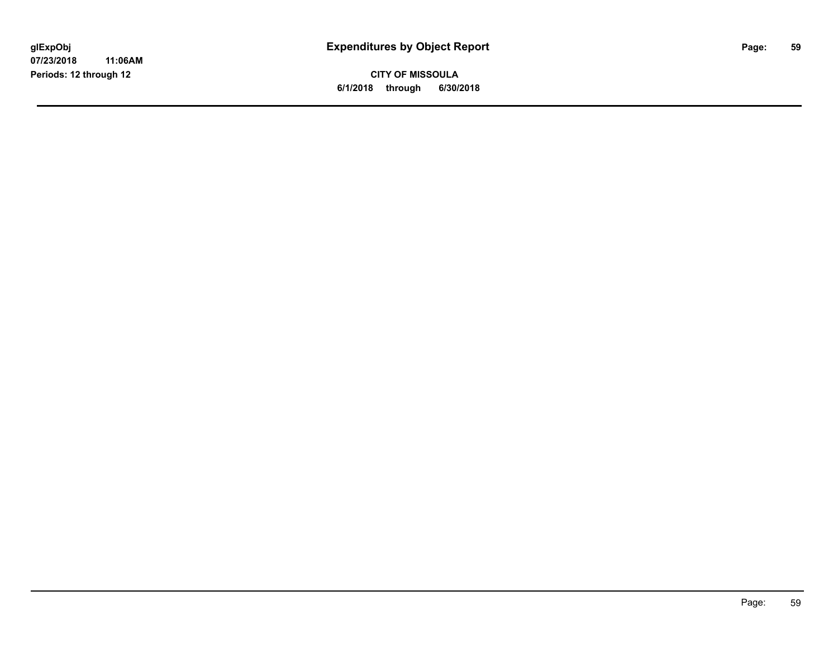Page: 59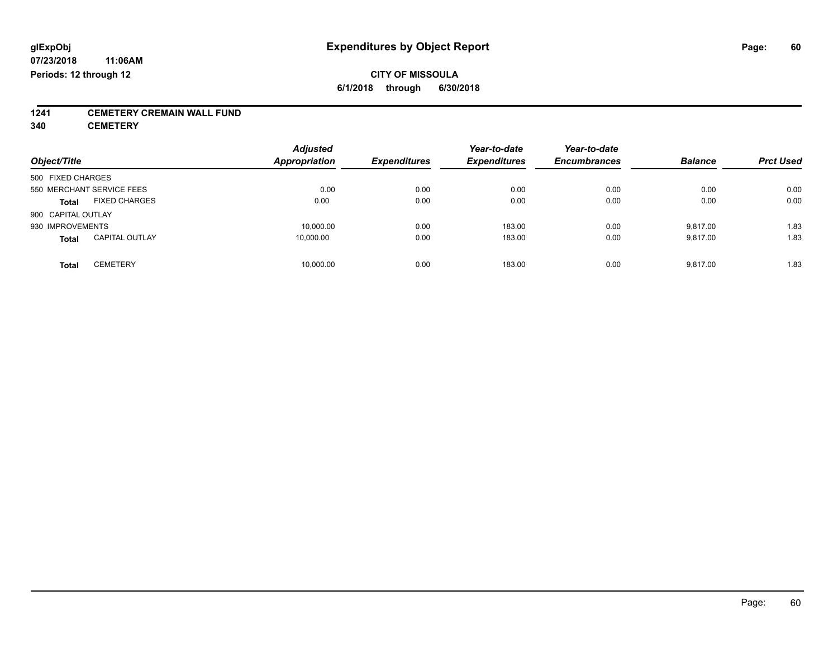# **1241 CEMETERY CREMAIN WALL FUND**

**340 CEMETERY**

| Object/Title                          | <b>Adjusted</b><br><b>Appropriation</b> | <b>Expenditures</b> | Year-to-date<br><b>Expenditures</b> | Year-to-date<br><b>Encumbrances</b> | <b>Balance</b> | <b>Prct Used</b> |
|---------------------------------------|-----------------------------------------|---------------------|-------------------------------------|-------------------------------------|----------------|------------------|
| 500 FIXED CHARGES                     |                                         |                     |                                     |                                     |                |                  |
| 550 MERCHANT SERVICE FEES             | 0.00                                    | 0.00                | 0.00                                | 0.00                                | 0.00           | 0.00             |
| <b>FIXED CHARGES</b><br><b>Total</b>  | 0.00                                    | 0.00                | 0.00                                | 0.00                                | 0.00           | 0.00             |
| 900 CAPITAL OUTLAY                    |                                         |                     |                                     |                                     |                |                  |
| 930 IMPROVEMENTS                      | 10,000.00                               | 0.00                | 183.00                              | 0.00                                | 9,817.00       | 1.83             |
| <b>CAPITAL OUTLAY</b><br><b>Total</b> | 10,000.00                               | 0.00                | 183.00                              | 0.00                                | 9,817.00       | 1.83             |
| <b>CEMETERY</b><br><b>Total</b>       | 10,000.00                               | 0.00                | 183.00                              | 0.00                                | 9,817.00       | 1.83             |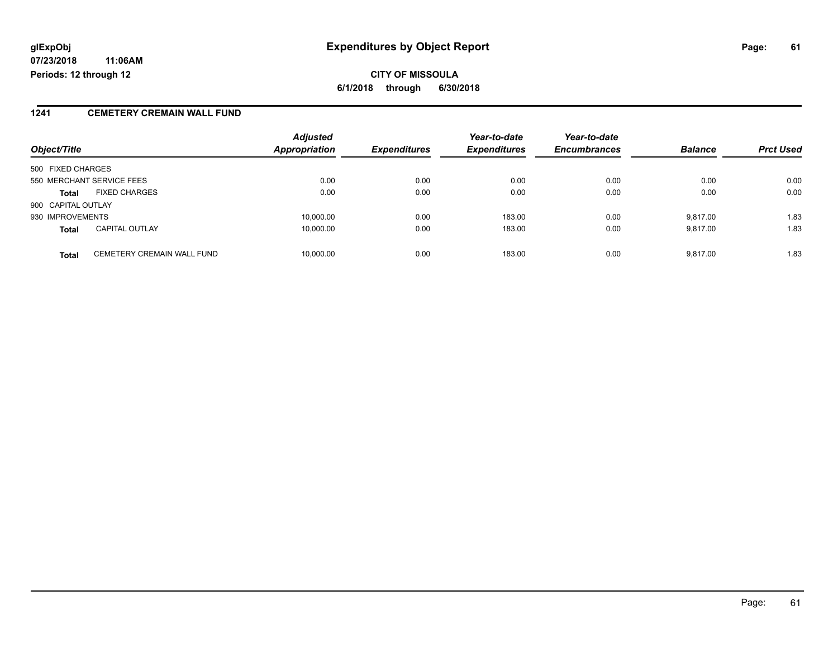**CITY OF MISSOULA 6/1/2018 through 6/30/2018**

### **1241 CEMETERY CREMAIN WALL FUND**

| Object/Title              |                                   | <b>Adjusted</b>      |                     | Year-to-date        | Year-to-date<br><b>Encumbrances</b> | <b>Balance</b> | <b>Prct Used</b> |
|---------------------------|-----------------------------------|----------------------|---------------------|---------------------|-------------------------------------|----------------|------------------|
|                           |                                   | <b>Appropriation</b> | <b>Expenditures</b> | <b>Expenditures</b> |                                     |                |                  |
| 500 FIXED CHARGES         |                                   |                      |                     |                     |                                     |                |                  |
| 550 MERCHANT SERVICE FEES |                                   | 0.00                 | 0.00                | 0.00                | 0.00                                | 0.00           | 0.00             |
| <b>Total</b>              | <b>FIXED CHARGES</b>              | 0.00                 | 0.00                | 0.00                | 0.00                                | 0.00           | 0.00             |
| 900 CAPITAL OUTLAY        |                                   |                      |                     |                     |                                     |                |                  |
| 930 IMPROVEMENTS          |                                   | 10,000.00            | 0.00                | 183.00              | 0.00                                | 9.817.00       | 1.83             |
| <b>Total</b>              | <b>CAPITAL OUTLAY</b>             | 10,000.00            | 0.00                | 183.00              | 0.00                                | 9.817.00       | 1.83             |
| <b>Total</b>              | <b>CEMETERY CREMAIN WALL FUND</b> | 10,000.00            | 0.00                | 183.00              | 0.00                                | 9,817.00       | 1.83             |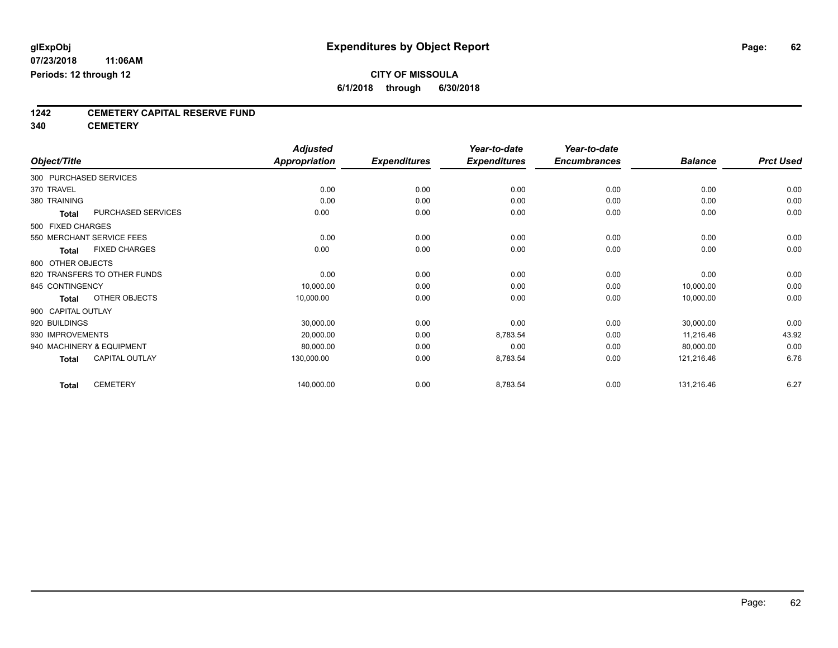# **1242 CEMETERY CAPITAL RESERVE FUND**

**340 CEMETERY**

|                    |                              | <b>Adjusted</b>      |                     | Year-to-date        | Year-to-date        |                |                  |
|--------------------|------------------------------|----------------------|---------------------|---------------------|---------------------|----------------|------------------|
| Object/Title       |                              | <b>Appropriation</b> | <b>Expenditures</b> | <b>Expenditures</b> | <b>Encumbrances</b> | <b>Balance</b> | <b>Prct Used</b> |
|                    | 300 PURCHASED SERVICES       |                      |                     |                     |                     |                |                  |
| 370 TRAVEL         |                              | 0.00                 | 0.00                | 0.00                | 0.00                | 0.00           | 0.00             |
| 380 TRAINING       |                              | 0.00                 | 0.00                | 0.00                | 0.00                | 0.00           | 0.00             |
| <b>Total</b>       | PURCHASED SERVICES           | 0.00                 | 0.00                | 0.00                | 0.00                | 0.00           | 0.00             |
| 500 FIXED CHARGES  |                              |                      |                     |                     |                     |                |                  |
|                    | 550 MERCHANT SERVICE FEES    | 0.00                 | 0.00                | 0.00                | 0.00                | 0.00           | 0.00             |
| <b>Total</b>       | <b>FIXED CHARGES</b>         | 0.00                 | 0.00                | 0.00                | 0.00                | 0.00           | 0.00             |
| 800 OTHER OBJECTS  |                              |                      |                     |                     |                     |                |                  |
|                    | 820 TRANSFERS TO OTHER FUNDS | 0.00                 | 0.00                | 0.00                | 0.00                | 0.00           | 0.00             |
| 845 CONTINGENCY    |                              | 10,000.00            | 0.00                | 0.00                | 0.00                | 10,000.00      | 0.00             |
| <b>Total</b>       | OTHER OBJECTS                | 10,000.00            | 0.00                | 0.00                | 0.00                | 10,000.00      | 0.00             |
| 900 CAPITAL OUTLAY |                              |                      |                     |                     |                     |                |                  |
| 920 BUILDINGS      |                              | 30,000.00            | 0.00                | 0.00                | 0.00                | 30,000.00      | 0.00             |
| 930 IMPROVEMENTS   |                              | 20,000.00            | 0.00                | 8,783.54            | 0.00                | 11,216.46      | 43.92            |
|                    | 940 MACHINERY & EQUIPMENT    | 80,000.00            | 0.00                | 0.00                | 0.00                | 80,000.00      | 0.00             |
| <b>Total</b>       | <b>CAPITAL OUTLAY</b>        | 130,000.00           | 0.00                | 8,783.54            | 0.00                | 121,216.46     | 6.76             |
| <b>Total</b>       | <b>CEMETERY</b>              | 140,000.00           | 0.00                | 8,783.54            | 0.00                | 131,216.46     | 6.27             |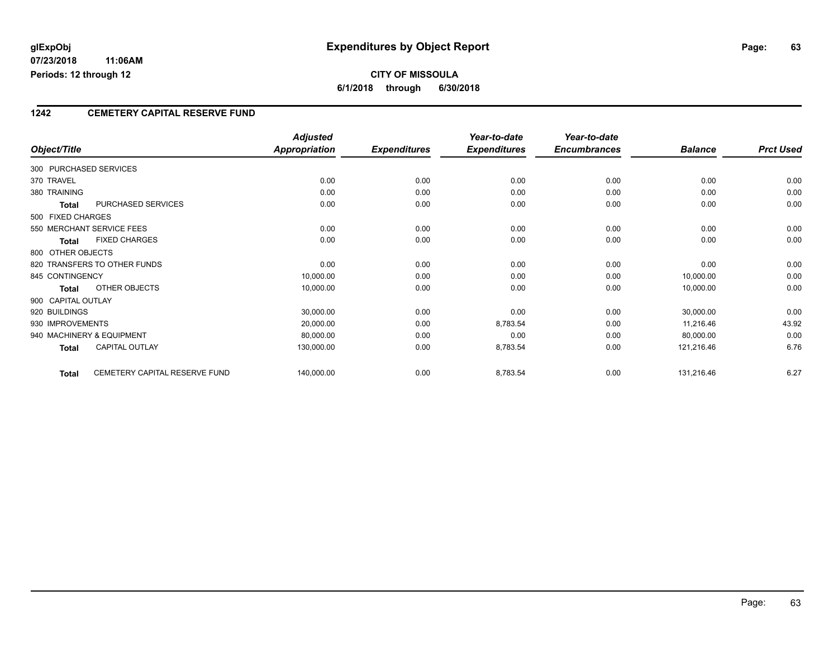## **1242 CEMETERY CAPITAL RESERVE FUND**

|                                               | <b>Adjusted</b>      | Year-to-date        | Year-to-date        |                     |                |                  |
|-----------------------------------------------|----------------------|---------------------|---------------------|---------------------|----------------|------------------|
| Object/Title                                  | <b>Appropriation</b> | <b>Expenditures</b> | <b>Expenditures</b> | <b>Encumbrances</b> | <b>Balance</b> | <b>Prct Used</b> |
| 300 PURCHASED SERVICES                        |                      |                     |                     |                     |                |                  |
| 370 TRAVEL                                    | 0.00                 | 0.00                | 0.00                | 0.00                | 0.00           | 0.00             |
| 380 TRAINING                                  | 0.00                 | 0.00                | 0.00                | 0.00                | 0.00           | 0.00             |
| PURCHASED SERVICES<br>Total                   | 0.00                 | 0.00                | 0.00                | 0.00                | 0.00           | 0.00             |
| 500 FIXED CHARGES                             |                      |                     |                     |                     |                |                  |
| 550 MERCHANT SERVICE FEES                     | 0.00                 | 0.00                | 0.00                | 0.00                | 0.00           | 0.00             |
| <b>FIXED CHARGES</b><br><b>Total</b>          | 0.00                 | 0.00                | 0.00                | 0.00                | 0.00           | 0.00             |
| 800 OTHER OBJECTS                             |                      |                     |                     |                     |                |                  |
| 820 TRANSFERS TO OTHER FUNDS                  | 0.00                 | 0.00                | 0.00                | 0.00                | 0.00           | 0.00             |
| 845 CONTINGENCY                               | 10,000.00            | 0.00                | 0.00                | 0.00                | 10,000.00      | 0.00             |
| <b>OTHER OBJECTS</b><br><b>Total</b>          | 10,000.00            | 0.00                | 0.00                | 0.00                | 10,000.00      | 0.00             |
| 900 CAPITAL OUTLAY                            |                      |                     |                     |                     |                |                  |
| 920 BUILDINGS                                 | 30,000.00            | 0.00                | 0.00                | 0.00                | 30,000.00      | 0.00             |
| 930 IMPROVEMENTS                              | 20,000.00            | 0.00                | 8,783.54            | 0.00                | 11,216.46      | 43.92            |
| 940 MACHINERY & EQUIPMENT                     | 80,000.00            | 0.00                | 0.00                | 0.00                | 80,000.00      | 0.00             |
| <b>CAPITAL OUTLAY</b><br><b>Total</b>         | 130,000.00           | 0.00                | 8,783.54            | 0.00                | 121,216.46     | 6.76             |
| CEMETERY CAPITAL RESERVE FUND<br><b>Total</b> | 140,000.00           | 0.00                | 8,783.54            | 0.00                | 131,216.46     | 6.27             |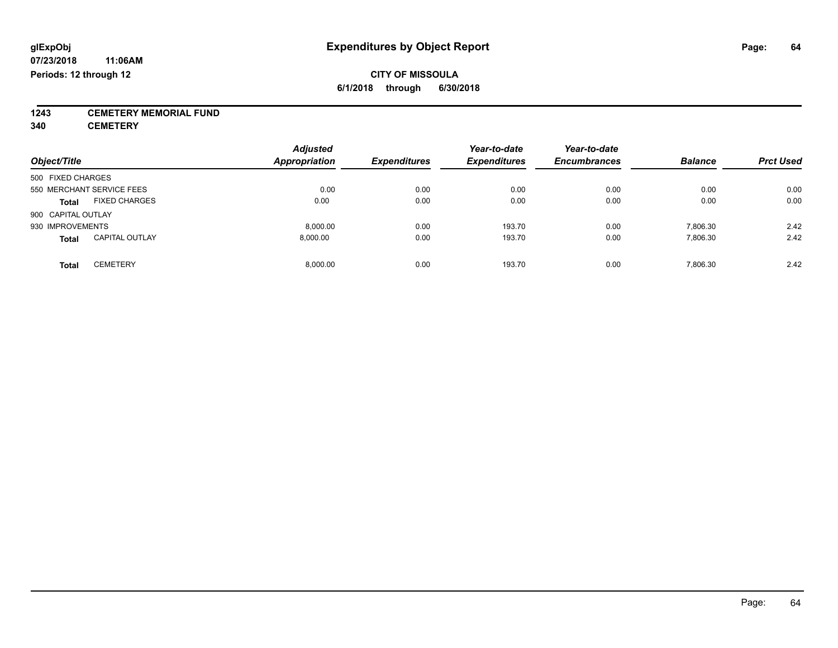**1243 CEMETERY MEMORIAL FUND**

**340 CEMETERY**

| Object/Title                          | <b>Adjusted</b><br><b>Appropriation</b> | <b>Expenditures</b> | Year-to-date<br><b>Expenditures</b> | Year-to-date<br><b>Encumbrances</b> | <b>Balance</b> | <b>Prct Used</b> |
|---------------------------------------|-----------------------------------------|---------------------|-------------------------------------|-------------------------------------|----------------|------------------|
| 500 FIXED CHARGES                     |                                         |                     |                                     |                                     |                |                  |
| 550 MERCHANT SERVICE FEES             | 0.00                                    | 0.00                | 0.00                                | 0.00                                | 0.00           | 0.00             |
| <b>FIXED CHARGES</b><br><b>Total</b>  | 0.00                                    | 0.00                | 0.00                                | 0.00                                | 0.00           | 0.00             |
| 900 CAPITAL OUTLAY                    |                                         |                     |                                     |                                     |                |                  |
| 930 IMPROVEMENTS                      | 8.000.00                                | 0.00                | 193.70                              | 0.00                                | 7.806.30       | 2.42             |
| <b>CAPITAL OUTLAY</b><br><b>Total</b> | 8.000.00                                | 0.00                | 193.70                              | 0.00                                | 7,806.30       | 2.42             |
| <b>CEMETERY</b><br>Total              | 8.000.00                                | 0.00                | 193.70                              | 0.00                                | 7.806.30       | 2.42             |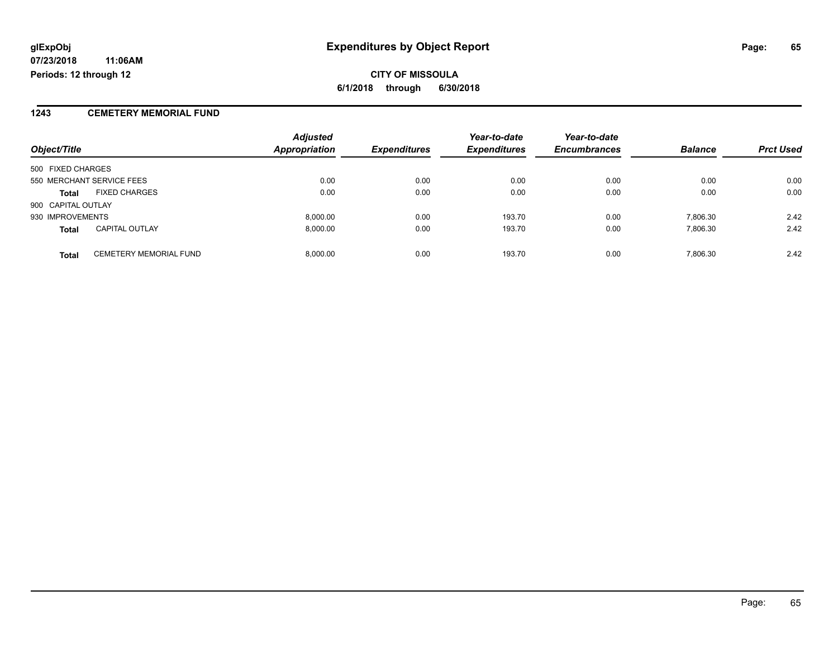### **1243 CEMETERY MEMORIAL FUND**

|                    |                               | <b>Adjusted</b>      |                     | Year-to-date        | Year-to-date        |                |                  |
|--------------------|-------------------------------|----------------------|---------------------|---------------------|---------------------|----------------|------------------|
| Object/Title       |                               | <b>Appropriation</b> | <b>Expenditures</b> | <b>Expenditures</b> | <b>Encumbrances</b> | <b>Balance</b> | <b>Prct Used</b> |
| 500 FIXED CHARGES  |                               |                      |                     |                     |                     |                |                  |
|                    | 550 MERCHANT SERVICE FEES     | 0.00                 | 0.00                | 0.00                | 0.00                | 0.00           | 0.00             |
| <b>Total</b>       | <b>FIXED CHARGES</b>          | 0.00                 | 0.00                | 0.00                | 0.00                | 0.00           | 0.00             |
| 900 CAPITAL OUTLAY |                               |                      |                     |                     |                     |                |                  |
| 930 IMPROVEMENTS   |                               | 8,000.00             | 0.00                | 193.70              | 0.00                | 7.806.30       | 2.42             |
| <b>Total</b>       | <b>CAPITAL OUTLAY</b>         | 8.000.00             | 0.00                | 193.70              | 0.00                | 7.806.30       | 2.42             |
| <b>Total</b>       | <b>CEMETERY MEMORIAL FUND</b> | 8,000.00             | 0.00                | 193.70              | 0.00                | 7,806.30       | 2.42             |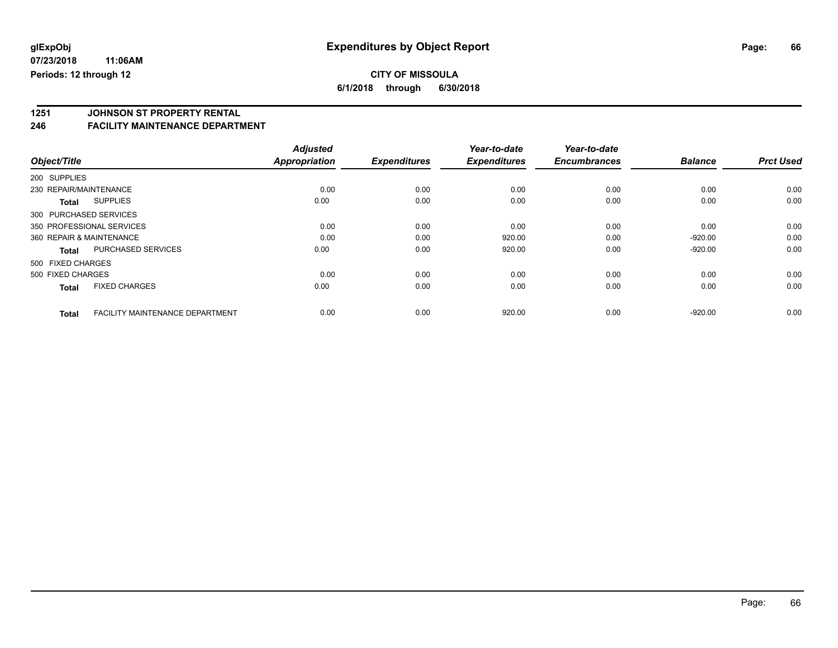## **CITY OF MISSOULA 6/1/2018 through 6/30/2018**

# **1251 JOHNSON ST PROPERTY RENTAL**

#### **246 FACILITY MAINTENANCE DEPARTMENT**

|                                                        | <b>Adjusted</b>      |                     | Year-to-date        | Year-to-date        |                |                  |
|--------------------------------------------------------|----------------------|---------------------|---------------------|---------------------|----------------|------------------|
| Object/Title                                           | <b>Appropriation</b> | <b>Expenditures</b> | <b>Expenditures</b> | <b>Encumbrances</b> | <b>Balance</b> | <b>Prct Used</b> |
| 200 SUPPLIES                                           |                      |                     |                     |                     |                |                  |
| 230 REPAIR/MAINTENANCE                                 | 0.00                 | 0.00                | 0.00                | 0.00                | 0.00           | 0.00             |
| <b>SUPPLIES</b><br><b>Total</b>                        | 0.00                 | 0.00                | 0.00                | 0.00                | 0.00           | 0.00             |
| 300 PURCHASED SERVICES                                 |                      |                     |                     |                     |                |                  |
| 350 PROFESSIONAL SERVICES                              | 0.00                 | 0.00                | 0.00                | 0.00                | 0.00           | 0.00             |
| 360 REPAIR & MAINTENANCE                               | 0.00                 | 0.00                | 920.00              | 0.00                | $-920.00$      | 0.00             |
| <b>PURCHASED SERVICES</b><br><b>Total</b>              | 0.00                 | 0.00                | 920.00              | 0.00                | $-920.00$      | 0.00             |
| 500 FIXED CHARGES                                      |                      |                     |                     |                     |                |                  |
| 500 FIXED CHARGES                                      | 0.00                 | 0.00                | 0.00                | 0.00                | 0.00           | 0.00             |
| <b>FIXED CHARGES</b><br><b>Total</b>                   | 0.00                 | 0.00                | 0.00                | 0.00                | 0.00           | 0.00             |
|                                                        |                      |                     |                     |                     |                |                  |
| <b>FACILITY MAINTENANCE DEPARTMENT</b><br><b>Total</b> | 0.00                 | 0.00                | 920.00              | 0.00                | $-920.00$      | 0.00             |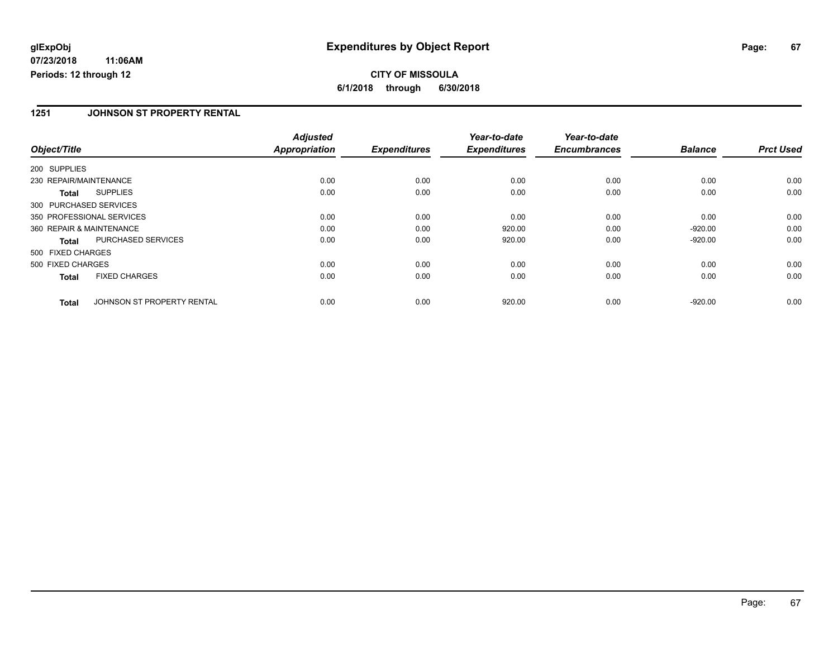# **CITY OF MISSOULA 6/1/2018 through 6/30/2018**

## **1251 JOHNSON ST PROPERTY RENTAL**

|                        |                            | <b>Adjusted</b> |                     | Year-to-date        | Year-to-date        |                |                  |
|------------------------|----------------------------|-----------------|---------------------|---------------------|---------------------|----------------|------------------|
| Object/Title           |                            | Appropriation   | <b>Expenditures</b> | <b>Expenditures</b> | <b>Encumbrances</b> | <b>Balance</b> | <b>Prct Used</b> |
| 200 SUPPLIES           |                            |                 |                     |                     |                     |                |                  |
| 230 REPAIR/MAINTENANCE |                            | 0.00            | 0.00                | 0.00                | 0.00                | 0.00           | 0.00             |
| <b>Total</b>           | <b>SUPPLIES</b>            | 0.00            | 0.00                | 0.00                | 0.00                | 0.00           | 0.00             |
| 300 PURCHASED SERVICES |                            |                 |                     |                     |                     |                |                  |
|                        | 350 PROFESSIONAL SERVICES  | 0.00            | 0.00                | 0.00                | 0.00                | 0.00           | 0.00             |
|                        | 360 REPAIR & MAINTENANCE   | 0.00            | 0.00                | 920.00              | 0.00                | $-920.00$      | 0.00             |
| <b>Total</b>           | PURCHASED SERVICES         | 0.00            | 0.00                | 920.00              | 0.00                | $-920.00$      | 0.00             |
| 500 FIXED CHARGES      |                            |                 |                     |                     |                     |                |                  |
| 500 FIXED CHARGES      |                            | 0.00            | 0.00                | 0.00                | 0.00                | 0.00           | 0.00             |
| <b>Total</b>           | <b>FIXED CHARGES</b>       | 0.00            | 0.00                | 0.00                | 0.00                | 0.00           | 0.00             |
| <b>Total</b>           | JOHNSON ST PROPERTY RENTAL | 0.00            | 0.00                | 920.00              | 0.00                | $-920.00$      | 0.00             |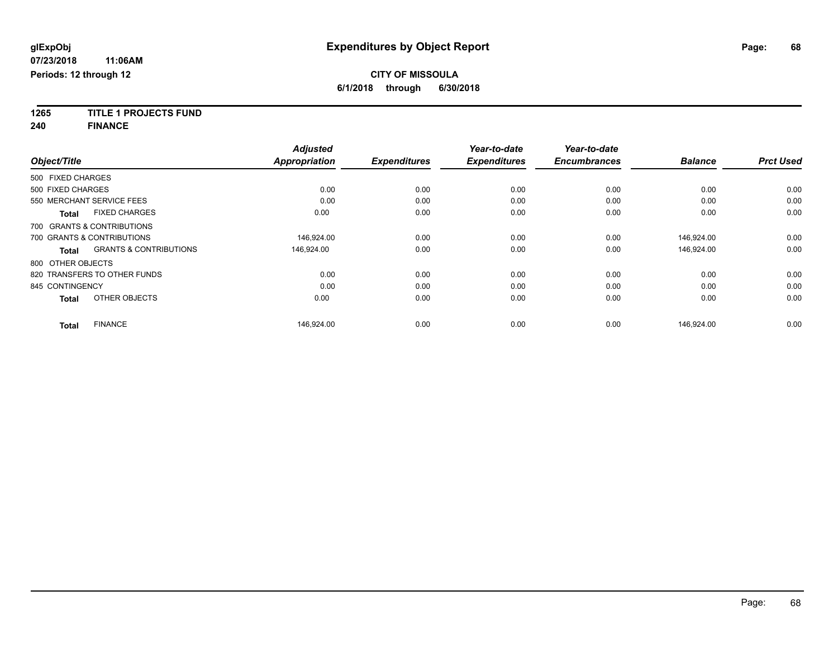**1265 TITLE 1 PROJECTS FUND**

**240 FINANCE**

|                   |                                   | <b>Adjusted</b>      |                     | Year-to-date        | Year-to-date        |                |                  |
|-------------------|-----------------------------------|----------------------|---------------------|---------------------|---------------------|----------------|------------------|
| Object/Title      |                                   | <b>Appropriation</b> | <b>Expenditures</b> | <b>Expenditures</b> | <b>Encumbrances</b> | <b>Balance</b> | <b>Prct Used</b> |
| 500 FIXED CHARGES |                                   |                      |                     |                     |                     |                |                  |
| 500 FIXED CHARGES |                                   | 0.00                 | 0.00                | 0.00                | 0.00                | 0.00           | 0.00             |
|                   | 550 MERCHANT SERVICE FEES         | 0.00                 | 0.00                | 0.00                | 0.00                | 0.00           | 0.00             |
| <b>Total</b>      | <b>FIXED CHARGES</b>              | 0.00                 | 0.00                | 0.00                | 0.00                | 0.00           | 0.00             |
|                   | 700 GRANTS & CONTRIBUTIONS        |                      |                     |                     |                     |                |                  |
|                   | 700 GRANTS & CONTRIBUTIONS        | 146,924.00           | 0.00                | 0.00                | 0.00                | 146,924.00     | 0.00             |
| Total             | <b>GRANTS &amp; CONTRIBUTIONS</b> | 146,924.00           | 0.00                | 0.00                | 0.00                | 146,924.00     | 0.00             |
| 800 OTHER OBJECTS |                                   |                      |                     |                     |                     |                |                  |
|                   | 820 TRANSFERS TO OTHER FUNDS      | 0.00                 | 0.00                | 0.00                | 0.00                | 0.00           | 0.00             |
| 845 CONTINGENCY   |                                   | 0.00                 | 0.00                | 0.00                | 0.00                | 0.00           | 0.00             |
| <b>Total</b>      | OTHER OBJECTS                     | 0.00                 | 0.00                | 0.00                | 0.00                | 0.00           | 0.00             |
| <b>Total</b>      | <b>FINANCE</b>                    | 146.924.00           | 0.00                | 0.00                | 0.00                | 146,924.00     | 0.00             |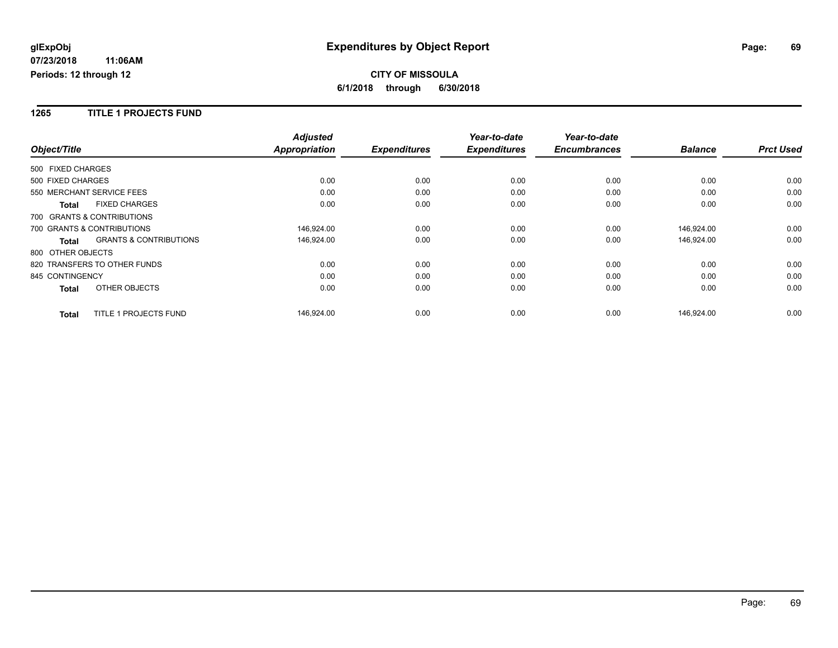### **1265 TITLE 1 PROJECTS FUND**

|                                                   | <b>Adjusted</b> |                     | Year-to-date        | Year-to-date        |                |                  |
|---------------------------------------------------|-----------------|---------------------|---------------------|---------------------|----------------|------------------|
| Object/Title                                      | Appropriation   | <b>Expenditures</b> | <b>Expenditures</b> | <b>Encumbrances</b> | <b>Balance</b> | <b>Prct Used</b> |
| 500 FIXED CHARGES                                 |                 |                     |                     |                     |                |                  |
| 500 FIXED CHARGES                                 | 0.00            | 0.00                | 0.00                | 0.00                | 0.00           | 0.00             |
| 550 MERCHANT SERVICE FEES                         | 0.00            | 0.00                | 0.00                | 0.00                | 0.00           | 0.00             |
| <b>FIXED CHARGES</b><br>Total                     | 0.00            | 0.00                | 0.00                | 0.00                | 0.00           | 0.00             |
| 700 GRANTS & CONTRIBUTIONS                        |                 |                     |                     |                     |                |                  |
| 700 GRANTS & CONTRIBUTIONS                        | 146.924.00      | 0.00                | 0.00                | 0.00                | 146.924.00     | 0.00             |
| <b>GRANTS &amp; CONTRIBUTIONS</b><br><b>Total</b> | 146,924.00      | 0.00                | 0.00                | 0.00                | 146,924.00     | 0.00             |
| 800 OTHER OBJECTS                                 |                 |                     |                     |                     |                |                  |
| 820 TRANSFERS TO OTHER FUNDS                      | 0.00            | 0.00                | 0.00                | 0.00                | 0.00           | 0.00             |
| 845 CONTINGENCY                                   | 0.00            | 0.00                | 0.00                | 0.00                | 0.00           | 0.00             |
| OTHER OBJECTS<br><b>Total</b>                     | 0.00            | 0.00                | 0.00                | 0.00                | 0.00           | 0.00             |
| TITLE 1 PROJECTS FUND<br><b>Total</b>             | 146,924.00      | 0.00                | 0.00                | 0.00                | 146.924.00     | 0.00             |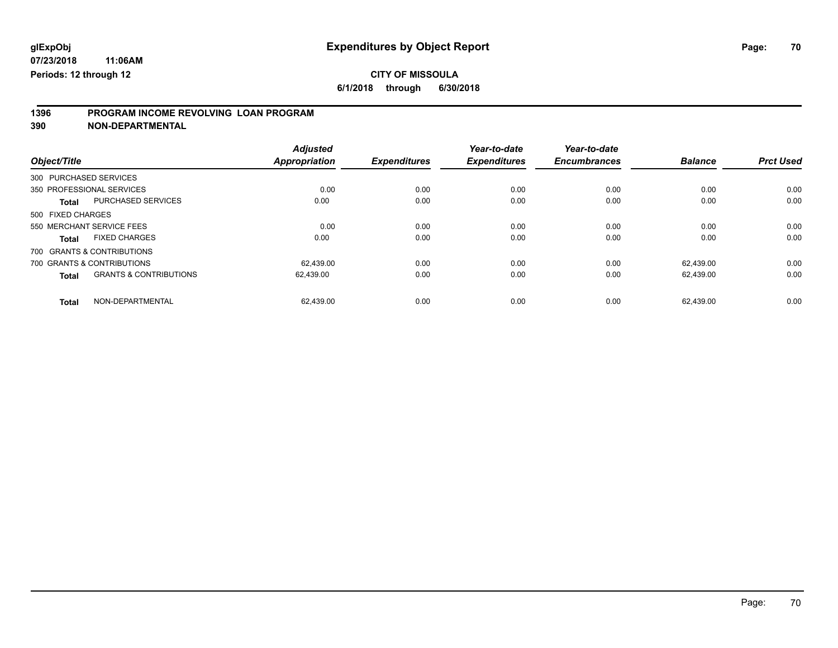## **CITY OF MISSOULA 6/1/2018 through 6/30/2018**

# **1396 PROGRAM INCOME REVOLVING LOAN PROGRAM**

**390 NON-DEPARTMENTAL**

| Object/Title      |                                   | <b>Adjusted</b><br><b>Appropriation</b> | <b>Expenditures</b> | Year-to-date<br><b>Expenditures</b> | Year-to-date<br><b>Encumbrances</b> | <b>Balance</b> | <b>Prct Used</b> |
|-------------------|-----------------------------------|-----------------------------------------|---------------------|-------------------------------------|-------------------------------------|----------------|------------------|
|                   |                                   |                                         |                     |                                     |                                     |                |                  |
|                   | 300 PURCHASED SERVICES            |                                         |                     |                                     |                                     |                |                  |
|                   | 350 PROFESSIONAL SERVICES         | 0.00                                    | 0.00                | 0.00                                | 0.00                                | 0.00           | 0.00             |
| <b>Total</b>      | <b>PURCHASED SERVICES</b>         | 0.00                                    | 0.00                | 0.00                                | 0.00                                | 0.00           | 0.00             |
| 500 FIXED CHARGES |                                   |                                         |                     |                                     |                                     |                |                  |
|                   | 550 MERCHANT SERVICE FEES         | 0.00                                    | 0.00                | 0.00                                | 0.00                                | 0.00           | 0.00             |
| <b>Total</b>      | <b>FIXED CHARGES</b>              | 0.00                                    | 0.00                | 0.00                                | 0.00                                | 0.00           | 0.00             |
|                   | 700 GRANTS & CONTRIBUTIONS        |                                         |                     |                                     |                                     |                |                  |
|                   | 700 GRANTS & CONTRIBUTIONS        | 62.439.00                               | 0.00                | 0.00                                | 0.00                                | 62.439.00      | 0.00             |
| <b>Total</b>      | <b>GRANTS &amp; CONTRIBUTIONS</b> | 62,439.00                               | 0.00                | 0.00                                | 0.00                                | 62,439.00      | 0.00             |
| <b>Total</b>      | NON-DEPARTMENTAL                  | 62,439.00                               | 0.00                | 0.00                                | 0.00                                | 62.439.00      | 0.00             |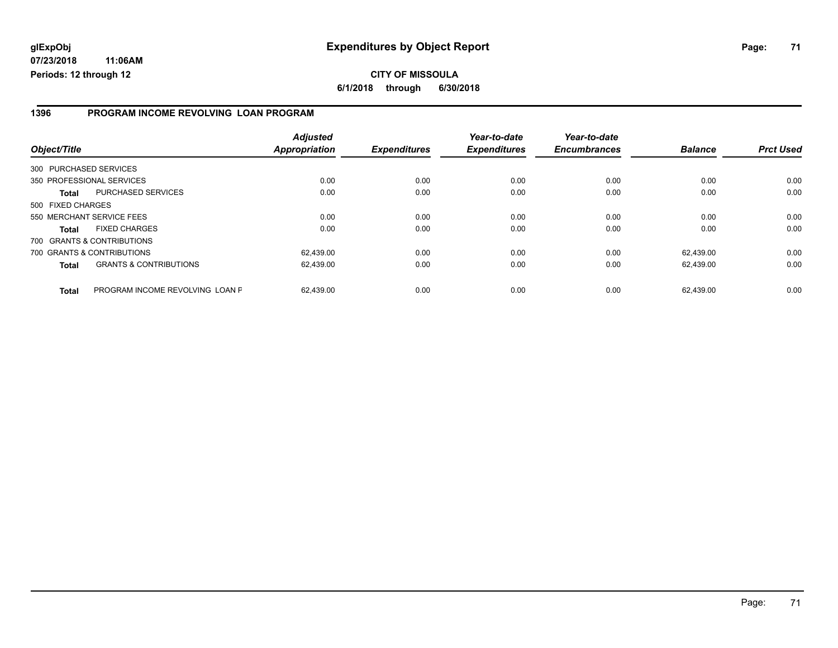### **1396 PROGRAM INCOME REVOLVING LOAN PROGRAM**

| Object/Title           |                                   | <b>Adjusted</b><br><b>Appropriation</b> | <b>Expenditures</b> | Year-to-date<br><b>Expenditures</b> | Year-to-date<br><b>Encumbrances</b> | <b>Balance</b> | <b>Prct Used</b> |
|------------------------|-----------------------------------|-----------------------------------------|---------------------|-------------------------------------|-------------------------------------|----------------|------------------|
| 300 PURCHASED SERVICES |                                   |                                         |                     |                                     |                                     |                |                  |
|                        | 350 PROFESSIONAL SERVICES         | 0.00                                    | 0.00                | 0.00                                | 0.00                                | 0.00           | 0.00             |
| Total                  | PURCHASED SERVICES                | 0.00                                    | 0.00                | 0.00                                | 0.00                                | 0.00           | 0.00             |
| 500 FIXED CHARGES      |                                   |                                         |                     |                                     |                                     |                |                  |
|                        | 550 MERCHANT SERVICE FEES         | 0.00                                    | 0.00                | 0.00                                | 0.00                                | 0.00           | 0.00             |
| Total                  | <b>FIXED CHARGES</b>              | 0.00                                    | 0.00                | 0.00                                | 0.00                                | 0.00           | 0.00             |
|                        | 700 GRANTS & CONTRIBUTIONS        |                                         |                     |                                     |                                     |                |                  |
|                        | 700 GRANTS & CONTRIBUTIONS        | 62.439.00                               | 0.00                | 0.00                                | 0.00                                | 62.439.00      | 0.00             |
| <b>Total</b>           | <b>GRANTS &amp; CONTRIBUTIONS</b> | 62,439.00                               | 0.00                | 0.00                                | 0.00                                | 62.439.00      | 0.00             |
| <b>Total</b>           | PROGRAM INCOME REVOLVING LOAN P   | 62.439.00                               | 0.00                | 0.00                                | 0.00                                | 62.439.00      | 0.00             |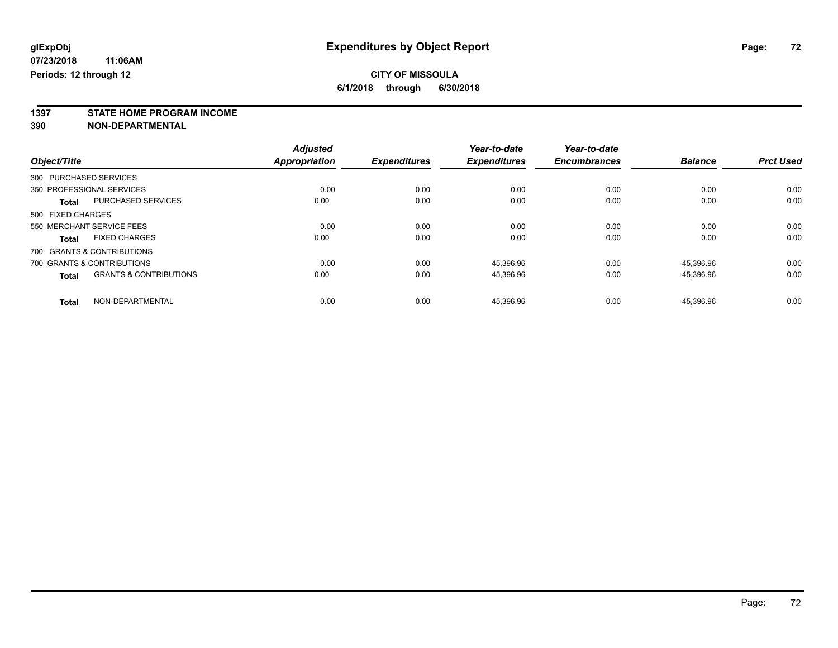# **1397 STATE HOME PROGRAM INCOME**

**390 NON-DEPARTMENTAL**

|                                                   | <b>Adjusted</b>      |                     | Year-to-date        | Year-to-date        |                |                  |
|---------------------------------------------------|----------------------|---------------------|---------------------|---------------------|----------------|------------------|
| Object/Title                                      | <b>Appropriation</b> | <b>Expenditures</b> | <b>Expenditures</b> | <b>Encumbrances</b> | <b>Balance</b> | <b>Prct Used</b> |
| 300 PURCHASED SERVICES                            |                      |                     |                     |                     |                |                  |
| 350 PROFESSIONAL SERVICES                         | 0.00                 | 0.00                | 0.00                | 0.00                | 0.00           | 0.00             |
| <b>PURCHASED SERVICES</b><br><b>Total</b>         | 0.00                 | 0.00                | 0.00                | 0.00                | 0.00           | 0.00             |
| 500 FIXED CHARGES                                 |                      |                     |                     |                     |                |                  |
| 550 MERCHANT SERVICE FEES                         | 0.00                 | 0.00                | 0.00                | 0.00                | 0.00           | 0.00             |
| <b>FIXED CHARGES</b><br><b>Total</b>              | 0.00                 | 0.00                | 0.00                | 0.00                | 0.00           | 0.00             |
| 700 GRANTS & CONTRIBUTIONS                        |                      |                     |                     |                     |                |                  |
| 700 GRANTS & CONTRIBUTIONS                        | 0.00                 | 0.00                | 45.396.96           | 0.00                | $-45.396.96$   | 0.00             |
| <b>GRANTS &amp; CONTRIBUTIONS</b><br><b>Total</b> | 0.00                 | 0.00                | 45,396.96           | 0.00                | -45.396.96     | 0.00             |
| NON-DEPARTMENTAL<br><b>Total</b>                  | 0.00                 | 0.00                | 45.396.96           | 0.00                | -45.396.96     | 0.00             |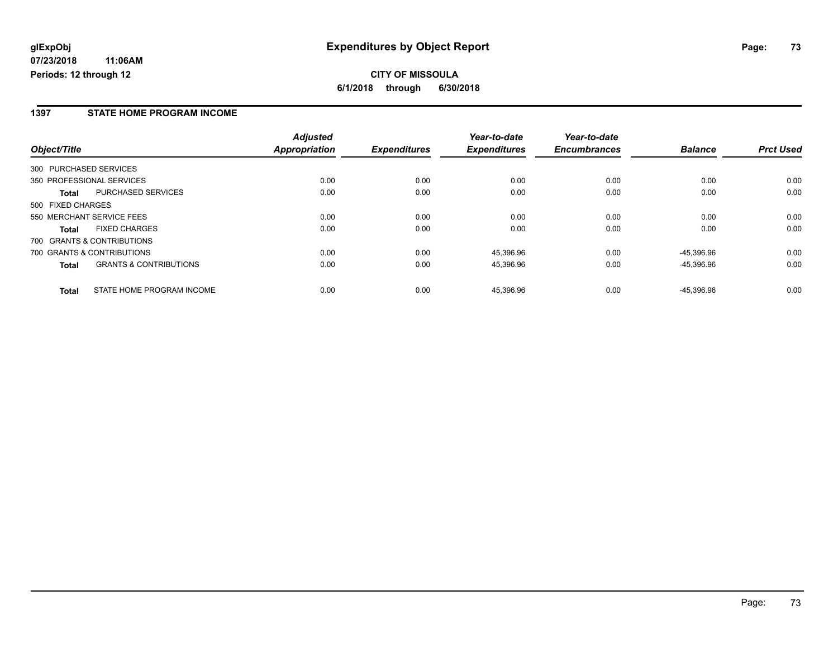# **CITY OF MISSOULA 6/1/2018 through 6/30/2018**

### **1397 STATE HOME PROGRAM INCOME**

|                   |                                   | <b>Adjusted</b> |                     | Year-to-date        | Year-to-date        |                |                  |
|-------------------|-----------------------------------|-----------------|---------------------|---------------------|---------------------|----------------|------------------|
| Object/Title      |                                   | Appropriation   | <b>Expenditures</b> | <b>Expenditures</b> | <b>Encumbrances</b> | <b>Balance</b> | <b>Prct Used</b> |
|                   | 300 PURCHASED SERVICES            |                 |                     |                     |                     |                |                  |
|                   | 350 PROFESSIONAL SERVICES         | 0.00            | 0.00                | 0.00                | 0.00                | 0.00           | 0.00             |
| Total             | PURCHASED SERVICES                | 0.00            | 0.00                | 0.00                | 0.00                | 0.00           | 0.00             |
| 500 FIXED CHARGES |                                   |                 |                     |                     |                     |                |                  |
|                   | 550 MERCHANT SERVICE FEES         | 0.00            | 0.00                | 0.00                | 0.00                | 0.00           | 0.00             |
| <b>Total</b>      | <b>FIXED CHARGES</b>              | 0.00            | 0.00                | 0.00                | 0.00                | 0.00           | 0.00             |
|                   | 700 GRANTS & CONTRIBUTIONS        |                 |                     |                     |                     |                |                  |
|                   | 700 GRANTS & CONTRIBUTIONS        | 0.00            | 0.00                | 45,396.96           | 0.00                | -45.396.96     | 0.00             |
| <b>Total</b>      | <b>GRANTS &amp; CONTRIBUTIONS</b> | 0.00            | 0.00                | 45,396.96           | 0.00                | $-45,396.96$   | 0.00             |
| <b>Total</b>      | STATE HOME PROGRAM INCOME         | 0.00            | 0.00                | 45.396.96           | 0.00                | -45.396.96     | 0.00             |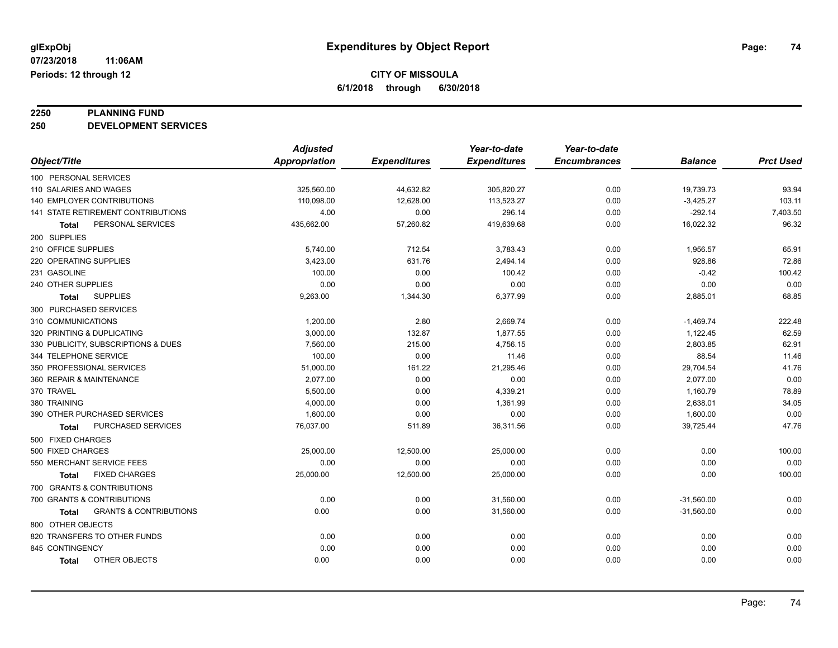**2250 PLANNING FUND 250 DEVELOPMENT SERVICES**

|                                            | <b>Adjusted</b>      |                     | Year-to-date        | Year-to-date        |                |                  |
|--------------------------------------------|----------------------|---------------------|---------------------|---------------------|----------------|------------------|
| Object/Title                               | <b>Appropriation</b> | <b>Expenditures</b> | <b>Expenditures</b> | <b>Encumbrances</b> | <b>Balance</b> | <b>Prct Used</b> |
| 100 PERSONAL SERVICES                      |                      |                     |                     |                     |                |                  |
| 110 SALARIES AND WAGES                     | 325,560.00           | 44,632.82           | 305,820.27          | 0.00                | 19,739.73      | 93.94            |
| <b>140 EMPLOYER CONTRIBUTIONS</b>          | 110,098.00           | 12,628.00           | 113,523.27          | 0.00                | $-3,425.27$    | 103.11           |
| 141 STATE RETIREMENT CONTRIBUTIONS         | 4.00                 | 0.00                | 296.14              | 0.00                | $-292.14$      | 7,403.50         |
| PERSONAL SERVICES<br>Total                 | 435,662.00           | 57,260.82           | 419,639.68          | 0.00                | 16,022.32      | 96.32            |
| 200 SUPPLIES                               |                      |                     |                     |                     |                |                  |
| 210 OFFICE SUPPLIES                        | 5,740.00             | 712.54              | 3,783.43            | 0.00                | 1,956.57       | 65.91            |
| 220 OPERATING SUPPLIES                     | 3,423.00             | 631.76              | 2,494.14            | 0.00                | 928.86         | 72.86            |
| 231 GASOLINE                               | 100.00               | 0.00                | 100.42              | 0.00                | $-0.42$        | 100.42           |
| 240 OTHER SUPPLIES                         | 0.00                 | 0.00                | 0.00                | 0.00                | 0.00           | 0.00             |
| <b>SUPPLIES</b><br><b>Total</b>            | 9,263.00             | 1,344.30            | 6,377.99            | 0.00                | 2,885.01       | 68.85            |
| 300 PURCHASED SERVICES                     |                      |                     |                     |                     |                |                  |
| 310 COMMUNICATIONS                         | 1,200.00             | 2.80                | 2,669.74            | 0.00                | $-1,469.74$    | 222.48           |
| 320 PRINTING & DUPLICATING                 | 3,000.00             | 132.87              | 1,877.55            | 0.00                | 1,122.45       | 62.59            |
| 330 PUBLICITY, SUBSCRIPTIONS & DUES        | 7,560.00             | 215.00              | 4,756.15            | 0.00                | 2,803.85       | 62.91            |
| 344 TELEPHONE SERVICE                      | 100.00               | 0.00                | 11.46               | 0.00                | 88.54          | 11.46            |
| 350 PROFESSIONAL SERVICES                  | 51,000.00            | 161.22              | 21,295.46           | 0.00                | 29,704.54      | 41.76            |
| 360 REPAIR & MAINTENANCE                   | 2,077.00             | 0.00                | 0.00                | 0.00                | 2,077.00       | 0.00             |
| 370 TRAVEL                                 | 5,500.00             | 0.00                | 4,339.21            | 0.00                | 1,160.79       | 78.89            |
| 380 TRAINING                               | 4,000.00             | 0.00                | 1,361.99            | 0.00                | 2,638.01       | 34.05            |
| 390 OTHER PURCHASED SERVICES               | 1,600.00             | 0.00                | 0.00                | 0.00                | 1,600.00       | 0.00             |
| <b>PURCHASED SERVICES</b><br>Total         | 76,037.00            | 511.89              | 36,311.56           | 0.00                | 39,725.44      | 47.76            |
| 500 FIXED CHARGES                          |                      |                     |                     |                     |                |                  |
| 500 FIXED CHARGES                          | 25,000.00            | 12,500.00           | 25,000.00           | 0.00                | 0.00           | 100.00           |
| 550 MERCHANT SERVICE FEES                  | 0.00                 | 0.00                | 0.00                | 0.00                | 0.00           | 0.00             |
| <b>FIXED CHARGES</b><br>Total              | 25,000.00            | 12,500.00           | 25,000.00           | 0.00                | 0.00           | 100.00           |
| 700 GRANTS & CONTRIBUTIONS                 |                      |                     |                     |                     |                |                  |
| 700 GRANTS & CONTRIBUTIONS                 | 0.00                 | 0.00                | 31,560.00           | 0.00                | $-31,560.00$   | 0.00             |
| <b>GRANTS &amp; CONTRIBUTIONS</b><br>Total | 0.00                 | 0.00                | 31,560.00           | 0.00                | $-31,560.00$   | 0.00             |
| 800 OTHER OBJECTS                          |                      |                     |                     |                     |                |                  |
| 820 TRANSFERS TO OTHER FUNDS               | 0.00                 | 0.00                | 0.00                | 0.00                | 0.00           | 0.00             |
| 845 CONTINGENCY                            | 0.00                 | 0.00                | 0.00                | 0.00                | 0.00           | 0.00             |
| OTHER OBJECTS<br><b>Total</b>              | 0.00                 | 0.00                | 0.00                | 0.00                | 0.00           | 0.00             |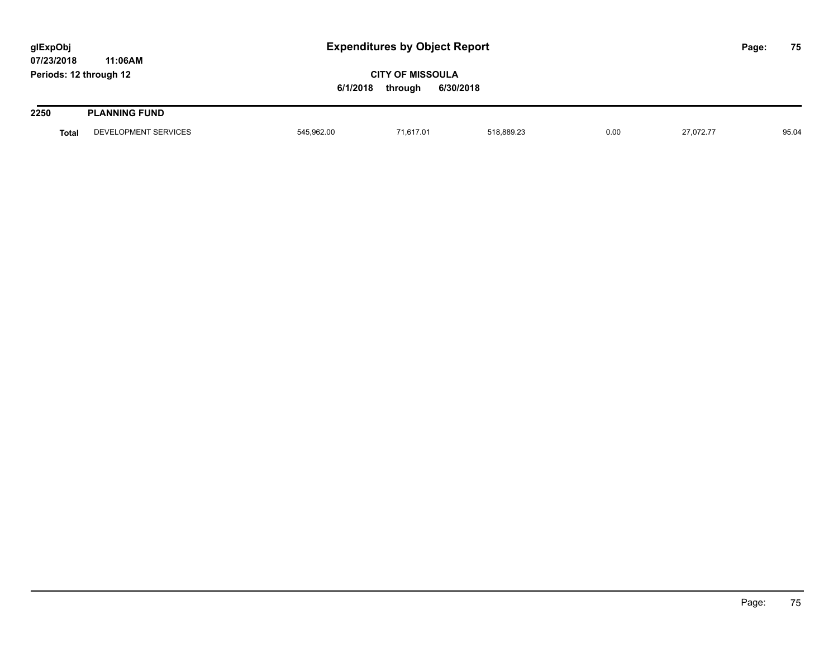| glExpObj<br>07/23/2018 | 11:06AM              |            | <b>Expenditures by Object Report</b>            |            |      |           |  |       |
|------------------------|----------------------|------------|-------------------------------------------------|------------|------|-----------|--|-------|
| Periods: 12 through 12 |                      | 6/1/2018   | <b>CITY OF MISSOULA</b><br>6/30/2018<br>through |            |      |           |  |       |
| 2250                   | <b>PLANNING FUND</b> |            |                                                 |            |      |           |  |       |
| <b>Total</b>           | DEVELOPMENT SERVICES | 545,962.00 | 71.617.01                                       | 518.889.23 | 0.00 | 27.072.77 |  | 95.04 |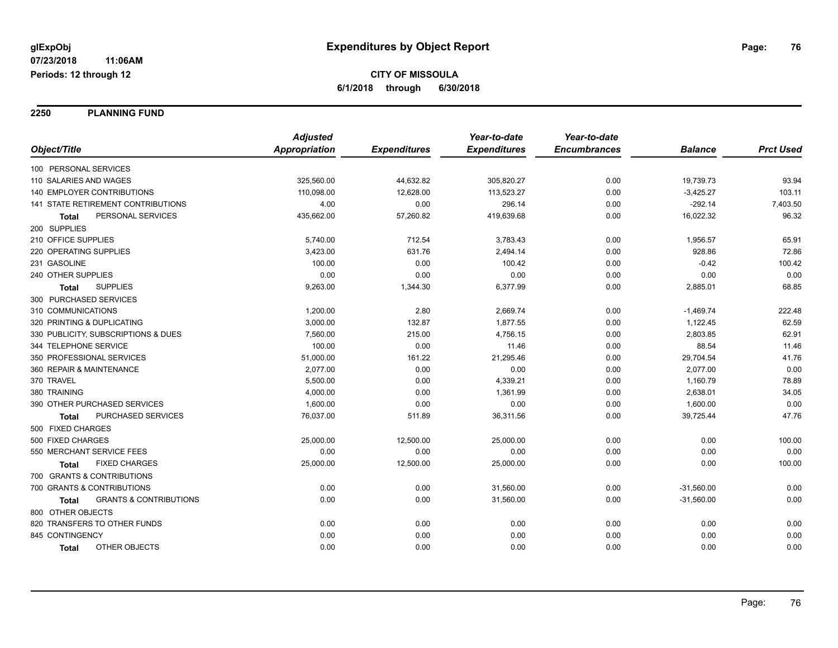**2250 PLANNING FUND**

|                                                   | <b>Adjusted</b>      |                     | Year-to-date        | Year-to-date        |                |                  |
|---------------------------------------------------|----------------------|---------------------|---------------------|---------------------|----------------|------------------|
| Object/Title                                      | <b>Appropriation</b> | <b>Expenditures</b> | <b>Expenditures</b> | <b>Encumbrances</b> | <b>Balance</b> | <b>Prct Used</b> |
| 100 PERSONAL SERVICES                             |                      |                     |                     |                     |                |                  |
| 110 SALARIES AND WAGES                            | 325,560.00           | 44,632.82           | 305,820.27          | 0.00                | 19,739.73      | 93.94            |
| <b>140 EMPLOYER CONTRIBUTIONS</b>                 | 110,098.00           | 12,628.00           | 113,523.27          | 0.00                | $-3,425.27$    | 103.11           |
| 141 STATE RETIREMENT CONTRIBUTIONS                | 4.00                 | 0.00                | 296.14              | 0.00                | $-292.14$      | 7,403.50         |
| PERSONAL SERVICES<br><b>Total</b>                 | 435,662.00           | 57,260.82           | 419,639.68          | 0.00                | 16,022.32      | 96.32            |
| 200 SUPPLIES                                      |                      |                     |                     |                     |                |                  |
| 210 OFFICE SUPPLIES                               | 5,740.00             | 712.54              | 3,783.43            | 0.00                | 1,956.57       | 65.91            |
| 220 OPERATING SUPPLIES                            | 3,423.00             | 631.76              | 2,494.14            | 0.00                | 928.86         | 72.86            |
| 231 GASOLINE                                      | 100.00               | 0.00                | 100.42              | 0.00                | $-0.42$        | 100.42           |
| 240 OTHER SUPPLIES                                | 0.00                 | 0.00                | 0.00                | 0.00                | 0.00           | 0.00             |
| <b>SUPPLIES</b><br><b>Total</b>                   | 9,263.00             | 1,344.30            | 6,377.99            | 0.00                | 2,885.01       | 68.85            |
| 300 PURCHASED SERVICES                            |                      |                     |                     |                     |                |                  |
| 310 COMMUNICATIONS                                | 1,200.00             | 2.80                | 2,669.74            | 0.00                | $-1,469.74$    | 222.48           |
| 320 PRINTING & DUPLICATING                        | 3,000.00             | 132.87              | 1,877.55            | 0.00                | 1,122.45       | 62.59            |
| 330 PUBLICITY, SUBSCRIPTIONS & DUES               | 7,560.00             | 215.00              | 4,756.15            | 0.00                | 2,803.85       | 62.91            |
| 344 TELEPHONE SERVICE                             | 100.00               | 0.00                | 11.46               | 0.00                | 88.54          | 11.46            |
| 350 PROFESSIONAL SERVICES                         | 51,000.00            | 161.22              | 21,295.46           | 0.00                | 29,704.54      | 41.76            |
| 360 REPAIR & MAINTENANCE                          | 2,077.00             | 0.00                | 0.00                | 0.00                | 2,077.00       | 0.00             |
| 370 TRAVEL                                        | 5,500.00             | 0.00                | 4,339.21            | 0.00                | 1,160.79       | 78.89            |
| 380 TRAINING                                      | 4,000.00             | 0.00                | 1,361.99            | 0.00                | 2,638.01       | 34.05            |
| 390 OTHER PURCHASED SERVICES                      | 1,600.00             | 0.00                | 0.00                | 0.00                | 1,600.00       | 0.00             |
| <b>PURCHASED SERVICES</b><br><b>Total</b>         | 76,037.00            | 511.89              | 36,311.56           | 0.00                | 39,725.44      | 47.76            |
| 500 FIXED CHARGES                                 |                      |                     |                     |                     |                |                  |
| 500 FIXED CHARGES                                 | 25,000.00            | 12,500.00           | 25,000.00           | 0.00                | 0.00           | 100.00           |
| 550 MERCHANT SERVICE FEES                         | 0.00                 | 0.00                | 0.00                | 0.00                | 0.00           | 0.00             |
| <b>FIXED CHARGES</b><br>Total                     | 25,000.00            | 12,500.00           | 25,000.00           | 0.00                | 0.00           | 100.00           |
| 700 GRANTS & CONTRIBUTIONS                        |                      |                     |                     |                     |                |                  |
| 700 GRANTS & CONTRIBUTIONS                        | 0.00                 | 0.00                | 31,560.00           | 0.00                | $-31,560.00$   | 0.00             |
| <b>GRANTS &amp; CONTRIBUTIONS</b><br><b>Total</b> | 0.00                 | 0.00                | 31,560.00           | 0.00                | $-31,560.00$   | 0.00             |
| 800 OTHER OBJECTS                                 |                      |                     |                     |                     |                |                  |
| 820 TRANSFERS TO OTHER FUNDS                      | 0.00                 | 0.00                | 0.00                | 0.00                | 0.00           | 0.00             |
| 845 CONTINGENCY                                   | 0.00                 | 0.00                | 0.00                | 0.00                | 0.00           | 0.00             |
| <b>OTHER OBJECTS</b><br><b>Total</b>              | 0.00                 | 0.00                | 0.00                | 0.00                | 0.00           | 0.00             |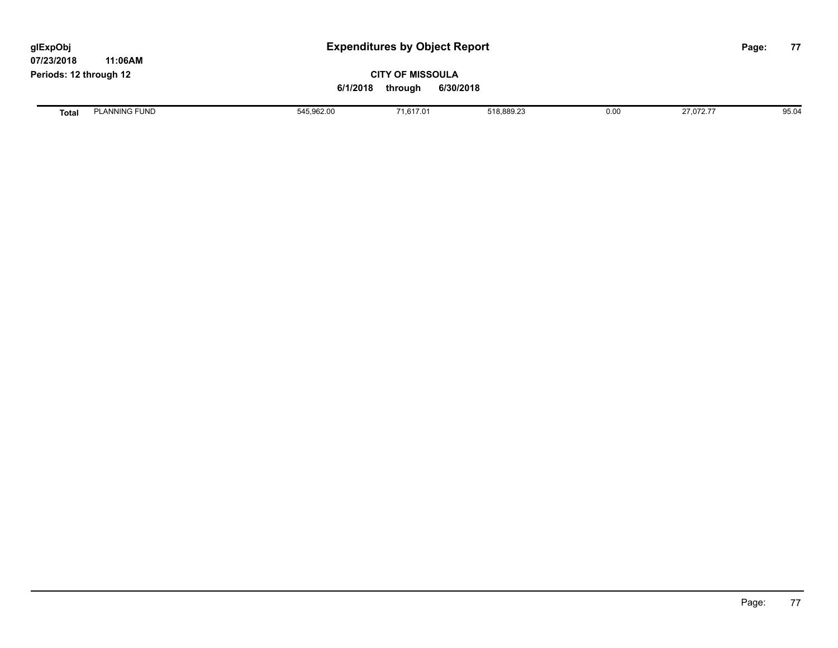| glExpObj<br>07/23/2018 | 11:06AM              |            | <b>Expenditures by Object Report</b>                        |            |      |           |  | 77    |
|------------------------|----------------------|------------|-------------------------------------------------------------|------------|------|-----------|--|-------|
| Periods: 12 through 12 |                      |            | <b>CITY OF MISSOULA</b><br>6/30/2018<br>6/1/2018<br>through |            |      |           |  |       |
| <b>Total</b>           | <b>PLANNING FUND</b> | 545,962.00 | 71.617.01                                                   | 518,889.23 | 0.00 | 27.072.77 |  | 95.04 |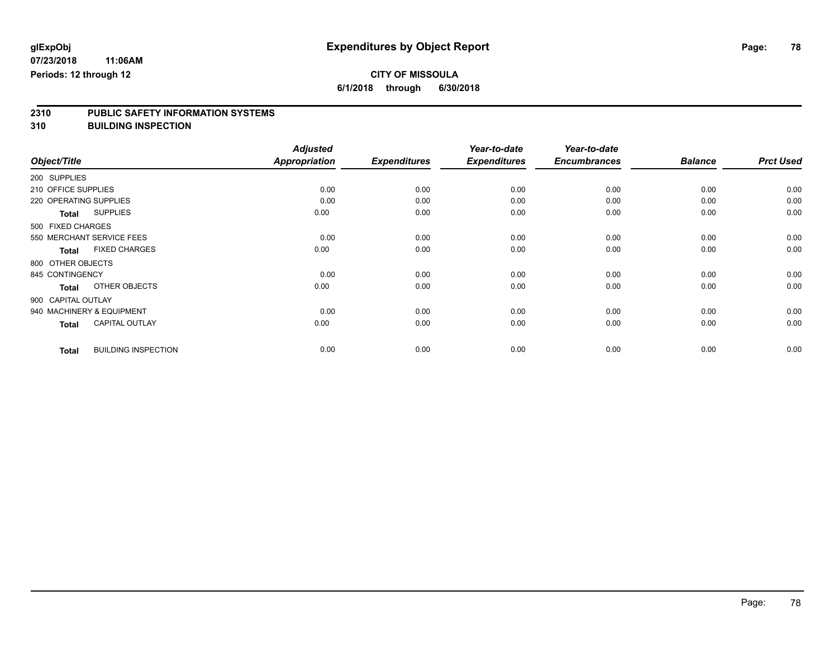# **2310 PUBLIC SAFETY INFORMATION SYSTEMS**

**310 BUILDING INSPECTION**

|                        |                            | <b>Adjusted</b>      |                     | Year-to-date        | Year-to-date        |                |                  |
|------------------------|----------------------------|----------------------|---------------------|---------------------|---------------------|----------------|------------------|
| Object/Title           |                            | <b>Appropriation</b> | <b>Expenditures</b> | <b>Expenditures</b> | <b>Encumbrances</b> | <b>Balance</b> | <b>Prct Used</b> |
| 200 SUPPLIES           |                            |                      |                     |                     |                     |                |                  |
| 210 OFFICE SUPPLIES    |                            | 0.00                 | 0.00                | 0.00                | 0.00                | 0.00           | 0.00             |
| 220 OPERATING SUPPLIES |                            | 0.00                 | 0.00                | 0.00                | 0.00                | 0.00           | 0.00             |
| <b>Total</b>           | <b>SUPPLIES</b>            | 0.00                 | 0.00                | 0.00                | 0.00                | 0.00           | 0.00             |
| 500 FIXED CHARGES      |                            |                      |                     |                     |                     |                |                  |
|                        | 550 MERCHANT SERVICE FEES  | 0.00                 | 0.00                | 0.00                | 0.00                | 0.00           | 0.00             |
| <b>Total</b>           | <b>FIXED CHARGES</b>       | 0.00                 | 0.00                | 0.00                | 0.00                | 0.00           | 0.00             |
| 800 OTHER OBJECTS      |                            |                      |                     |                     |                     |                |                  |
| 845 CONTINGENCY        |                            | 0.00                 | 0.00                | 0.00                | 0.00                | 0.00           | 0.00             |
| <b>Total</b>           | OTHER OBJECTS              | 0.00                 | 0.00                | 0.00                | 0.00                | 0.00           | 0.00             |
| 900 CAPITAL OUTLAY     |                            |                      |                     |                     |                     |                |                  |
|                        | 940 MACHINERY & EQUIPMENT  | 0.00                 | 0.00                | 0.00                | 0.00                | 0.00           | 0.00             |
| <b>Total</b>           | <b>CAPITAL OUTLAY</b>      | 0.00                 | 0.00                | 0.00                | 0.00                | 0.00           | 0.00             |
| <b>Total</b>           | <b>BUILDING INSPECTION</b> | 0.00                 | 0.00                | 0.00                | 0.00                | 0.00           | 0.00             |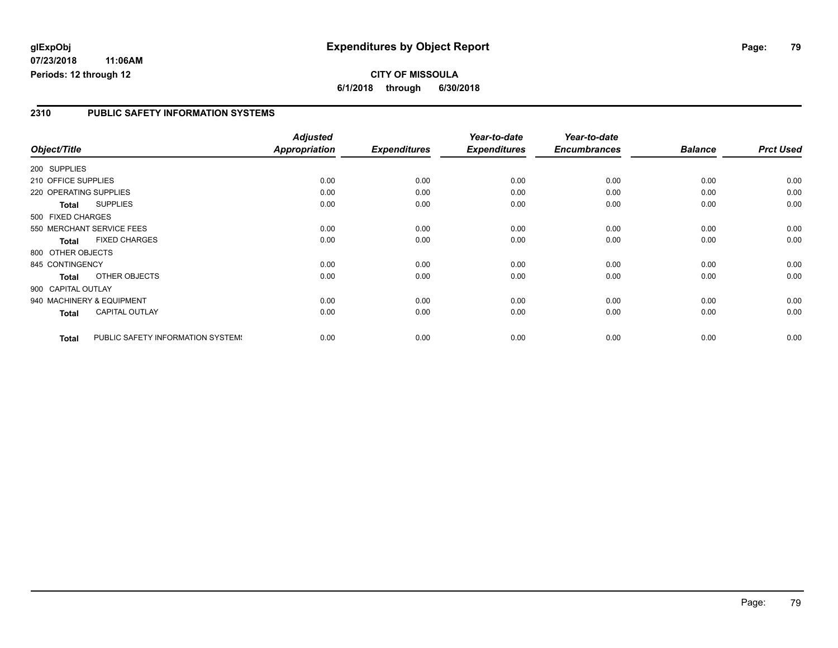**CITY OF MISSOULA 6/1/2018 through 6/30/2018**

#### **2310 PUBLIC SAFETY INFORMATION SYSTEMS**

|                        |                                   | <b>Adjusted</b> |                     | Year-to-date        | Year-to-date        |                |                  |
|------------------------|-----------------------------------|-----------------|---------------------|---------------------|---------------------|----------------|------------------|
| Object/Title           |                                   | Appropriation   | <b>Expenditures</b> | <b>Expenditures</b> | <b>Encumbrances</b> | <b>Balance</b> | <b>Prct Used</b> |
| 200 SUPPLIES           |                                   |                 |                     |                     |                     |                |                  |
| 210 OFFICE SUPPLIES    |                                   | 0.00            | 0.00                | 0.00                | 0.00                | 0.00           | 0.00             |
| 220 OPERATING SUPPLIES |                                   | 0.00            | 0.00                | 0.00                | 0.00                | 0.00           | 0.00             |
| Total                  | <b>SUPPLIES</b>                   | 0.00            | 0.00                | 0.00                | 0.00                | 0.00           | 0.00             |
| 500 FIXED CHARGES      |                                   |                 |                     |                     |                     |                |                  |
|                        | 550 MERCHANT SERVICE FEES         | 0.00            | 0.00                | 0.00                | 0.00                | 0.00           | 0.00             |
| <b>Total</b>           | <b>FIXED CHARGES</b>              | 0.00            | 0.00                | 0.00                | 0.00                | 0.00           | 0.00             |
| 800 OTHER OBJECTS      |                                   |                 |                     |                     |                     |                |                  |
| 845 CONTINGENCY        |                                   | 0.00            | 0.00                | 0.00                | 0.00                | 0.00           | 0.00             |
| <b>Total</b>           | OTHER OBJECTS                     | 0.00            | 0.00                | 0.00                | 0.00                | 0.00           | 0.00             |
| 900 CAPITAL OUTLAY     |                                   |                 |                     |                     |                     |                |                  |
|                        | 940 MACHINERY & EQUIPMENT         | 0.00            | 0.00                | 0.00                | 0.00                | 0.00           | 0.00             |
| Total                  | <b>CAPITAL OUTLAY</b>             | 0.00            | 0.00                | 0.00                | 0.00                | 0.00           | 0.00             |
| <b>Total</b>           | PUBLIC SAFETY INFORMATION SYSTEM! | 0.00            | 0.00                | 0.00                | 0.00                | 0.00           | 0.00             |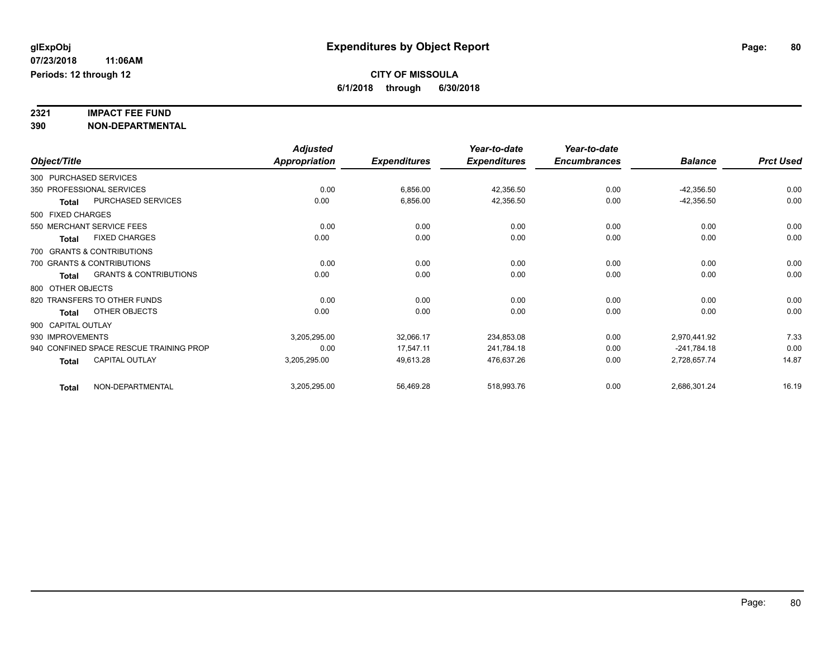# **2321 IMPACT FEE FUND**

|                        |                                         | <b>Adjusted</b>      |                     | Year-to-date        | Year-to-date        |                |                  |
|------------------------|-----------------------------------------|----------------------|---------------------|---------------------|---------------------|----------------|------------------|
| Object/Title           |                                         | <b>Appropriation</b> | <b>Expenditures</b> | <b>Expenditures</b> | <b>Encumbrances</b> | <b>Balance</b> | <b>Prct Used</b> |
| 300 PURCHASED SERVICES |                                         |                      |                     |                     |                     |                |                  |
|                        | 350 PROFESSIONAL SERVICES               | 0.00                 | 6,856.00            | 42,356.50           | 0.00                | $-42,356.50$   | 0.00             |
| <b>Total</b>           | PURCHASED SERVICES                      | 0.00                 | 6,856.00            | 42,356.50           | 0.00                | $-42,356.50$   | 0.00             |
| 500 FIXED CHARGES      |                                         |                      |                     |                     |                     |                |                  |
|                        | 550 MERCHANT SERVICE FEES               | 0.00                 | 0.00                | 0.00                | 0.00                | 0.00           | 0.00             |
| <b>Total</b>           | <b>FIXED CHARGES</b>                    | 0.00                 | 0.00                | 0.00                | 0.00                | 0.00           | 0.00             |
|                        | 700 GRANTS & CONTRIBUTIONS              |                      |                     |                     |                     |                |                  |
|                        | 700 GRANTS & CONTRIBUTIONS              | 0.00                 | 0.00                | 0.00                | 0.00                | 0.00           | 0.00             |
| <b>Total</b>           | <b>GRANTS &amp; CONTRIBUTIONS</b>       | 0.00                 | 0.00                | 0.00                | 0.00                | 0.00           | 0.00             |
| 800 OTHER OBJECTS      |                                         |                      |                     |                     |                     |                |                  |
|                        | 820 TRANSFERS TO OTHER FUNDS            | 0.00                 | 0.00                | 0.00                | 0.00                | 0.00           | 0.00             |
| Total                  | OTHER OBJECTS                           | 0.00                 | 0.00                | 0.00                | 0.00                | 0.00           | 0.00             |
| 900 CAPITAL OUTLAY     |                                         |                      |                     |                     |                     |                |                  |
| 930 IMPROVEMENTS       |                                         | 3,205,295.00         | 32,066.17           | 234,853.08          | 0.00                | 2,970,441.92   | 7.33             |
|                        | 940 CONFINED SPACE RESCUE TRAINING PROP | 0.00                 | 17,547.11           | 241,784.18          | 0.00                | $-241,784.18$  | 0.00             |
| <b>Total</b>           | <b>CAPITAL OUTLAY</b>                   | 3,205,295.00         | 49,613.28           | 476,637.26          | 0.00                | 2,728,657.74   | 14.87            |
| <b>Total</b>           | NON-DEPARTMENTAL                        | 3,205,295.00         | 56,469.28           | 518,993.76          | 0.00                | 2,686,301.24   | 16.19            |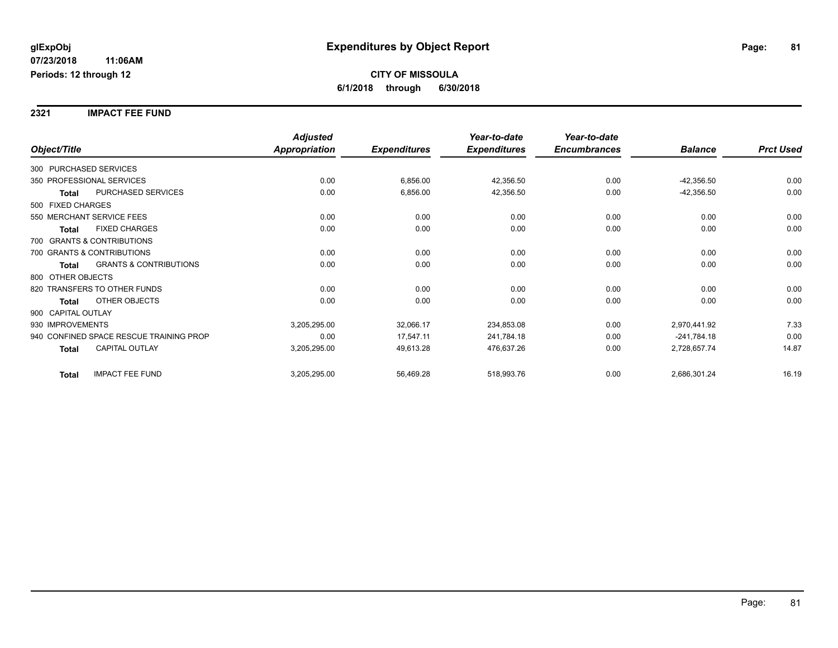**2321 IMPACT FEE FUND**

|                                                   | <b>Adjusted</b>      |                     | Year-to-date        | Year-to-date        |                |                  |
|---------------------------------------------------|----------------------|---------------------|---------------------|---------------------|----------------|------------------|
| Object/Title                                      | <b>Appropriation</b> | <b>Expenditures</b> | <b>Expenditures</b> | <b>Encumbrances</b> | <b>Balance</b> | <b>Prct Used</b> |
| 300 PURCHASED SERVICES                            |                      |                     |                     |                     |                |                  |
| 350 PROFESSIONAL SERVICES                         | 0.00                 | 6,856.00            | 42,356.50           | 0.00                | $-42,356.50$   | 0.00             |
| PURCHASED SERVICES<br>Total                       | 0.00                 | 6,856.00            | 42,356.50           | 0.00                | $-42,356.50$   | 0.00             |
| 500 FIXED CHARGES                                 |                      |                     |                     |                     |                |                  |
| 550 MERCHANT SERVICE FEES                         | 0.00                 | 0.00                | 0.00                | 0.00                | 0.00           | 0.00             |
| <b>FIXED CHARGES</b><br><b>Total</b>              | 0.00                 | 0.00                | 0.00                | 0.00                | 0.00           | 0.00             |
| 700 GRANTS & CONTRIBUTIONS                        |                      |                     |                     |                     |                |                  |
| 700 GRANTS & CONTRIBUTIONS                        | 0.00                 | 0.00                | 0.00                | 0.00                | 0.00           | 0.00             |
| <b>GRANTS &amp; CONTRIBUTIONS</b><br><b>Total</b> | 0.00                 | 0.00                | 0.00                | 0.00                | 0.00           | 0.00             |
| 800 OTHER OBJECTS                                 |                      |                     |                     |                     |                |                  |
| 820 TRANSFERS TO OTHER FUNDS                      | 0.00                 | 0.00                | 0.00                | 0.00                | 0.00           | 0.00             |
| <b>OTHER OBJECTS</b><br><b>Total</b>              | 0.00                 | 0.00                | 0.00                | 0.00                | 0.00           | 0.00             |
| 900 CAPITAL OUTLAY                                |                      |                     |                     |                     |                |                  |
| 930 IMPROVEMENTS                                  | 3,205,295.00         | 32,066.17           | 234,853.08          | 0.00                | 2,970,441.92   | 7.33             |
| 940 CONFINED SPACE RESCUE TRAINING PROP           | 0.00                 | 17,547.11           | 241,784.18          | 0.00                | $-241,784.18$  | 0.00             |
| CAPITAL OUTLAY<br><b>Total</b>                    | 3,205,295.00         | 49,613.28           | 476,637.26          | 0.00                | 2,728,657.74   | 14.87            |
| <b>IMPACT FEE FUND</b><br><b>Total</b>            | 3,205,295.00         | 56,469.28           | 518,993.76          | 0.00                | 2,686,301.24   | 16.19            |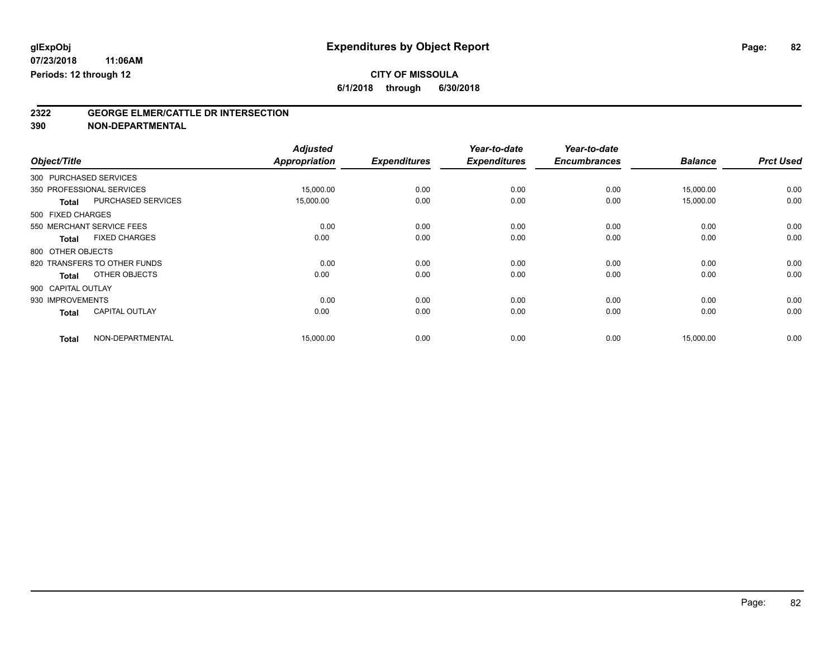# **2322 GEORGE ELMER/CATTLE DR INTERSECTION**

| Object/Title |                                       | <b>Adjusted</b><br><b>Appropriation</b> | <b>Expenditures</b> | Year-to-date<br><b>Expenditures</b> | Year-to-date<br><b>Encumbrances</b> | <b>Balance</b> | <b>Prct Used</b> |
|--------------|---------------------------------------|-----------------------------------------|---------------------|-------------------------------------|-------------------------------------|----------------|------------------|
|              | 300 PURCHASED SERVICES                |                                         |                     |                                     |                                     |                |                  |
|              |                                       |                                         |                     |                                     |                                     |                |                  |
|              | 350 PROFESSIONAL SERVICES             | 15,000.00                               | 0.00                | 0.00                                | 0.00                                | 15,000.00      | 0.00             |
|              | PURCHASED SERVICES<br><b>Total</b>    | 15,000.00                               | 0.00                | 0.00                                | 0.00                                | 15,000.00      | 0.00             |
|              | 500 FIXED CHARGES                     |                                         |                     |                                     |                                     |                |                  |
|              | 550 MERCHANT SERVICE FEES             | 0.00                                    | 0.00                | 0.00                                | 0.00                                | 0.00           | 0.00             |
|              | <b>FIXED CHARGES</b><br><b>Total</b>  | 0.00                                    | 0.00                | 0.00                                | 0.00                                | 0.00           | 0.00             |
|              | 800 OTHER OBJECTS                     |                                         |                     |                                     |                                     |                |                  |
|              | 820 TRANSFERS TO OTHER FUNDS          | 0.00                                    | 0.00                | 0.00                                | 0.00                                | 0.00           | 0.00             |
|              | OTHER OBJECTS<br><b>Total</b>         | 0.00                                    | 0.00                | 0.00                                | 0.00                                | 0.00           | 0.00             |
|              | 900 CAPITAL OUTLAY                    |                                         |                     |                                     |                                     |                |                  |
|              | 930 IMPROVEMENTS                      | 0.00                                    | 0.00                | 0.00                                | 0.00                                | 0.00           | 0.00             |
|              | <b>CAPITAL OUTLAY</b><br><b>Total</b> | 0.00                                    | 0.00                | 0.00                                | 0.00                                | 0.00           | 0.00             |
| <b>Total</b> | NON-DEPARTMENTAL                      | 15,000.00                               | 0.00                | 0.00                                | 0.00                                | 15,000.00      | 0.00             |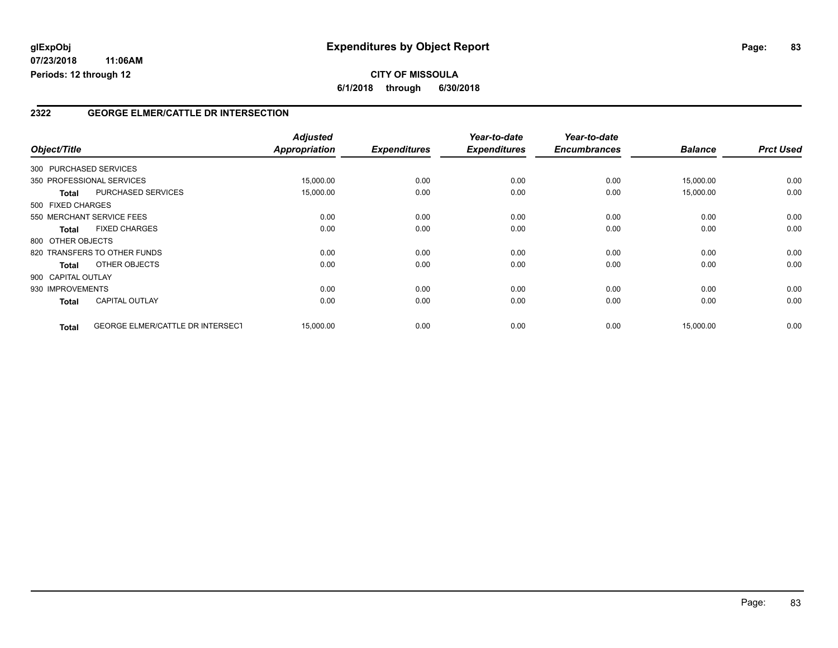### **2322 GEORGE ELMER/CATTLE DR INTERSECTION**

| Object/Title                                            | <b>Adjusted</b><br><b>Appropriation</b> | <b>Expenditures</b> | Year-to-date<br><b>Expenditures</b> | Year-to-date<br><b>Encumbrances</b> | <b>Balance</b> | <b>Prct Used</b> |
|---------------------------------------------------------|-----------------------------------------|---------------------|-------------------------------------|-------------------------------------|----------------|------------------|
|                                                         |                                         |                     |                                     |                                     |                |                  |
| 300 PURCHASED SERVICES                                  |                                         |                     |                                     |                                     |                |                  |
| 350 PROFESSIONAL SERVICES                               | 15,000.00                               | 0.00                | 0.00                                | 0.00                                | 15,000.00      | 0.00             |
| <b>PURCHASED SERVICES</b><br><b>Total</b>               | 15,000.00                               | 0.00                | 0.00                                | 0.00                                | 15,000.00      | 0.00             |
| 500 FIXED CHARGES                                       |                                         |                     |                                     |                                     |                |                  |
| 550 MERCHANT SERVICE FEES                               | 0.00                                    | 0.00                | 0.00                                | 0.00                                | 0.00           | 0.00             |
| <b>FIXED CHARGES</b><br><b>Total</b>                    | 0.00                                    | 0.00                | 0.00                                | 0.00                                | 0.00           | 0.00             |
| 800 OTHER OBJECTS                                       |                                         |                     |                                     |                                     |                |                  |
| 820 TRANSFERS TO OTHER FUNDS                            | 0.00                                    | 0.00                | 0.00                                | 0.00                                | 0.00           | 0.00             |
| OTHER OBJECTS<br>Total                                  | 0.00                                    | 0.00                | 0.00                                | 0.00                                | 0.00           | 0.00             |
| 900 CAPITAL OUTLAY                                      |                                         |                     |                                     |                                     |                |                  |
| 930 IMPROVEMENTS                                        | 0.00                                    | 0.00                | 0.00                                | 0.00                                | 0.00           | 0.00             |
| <b>CAPITAL OUTLAY</b><br><b>Total</b>                   | 0.00                                    | 0.00                | 0.00                                | 0.00                                | 0.00           | 0.00             |
|                                                         |                                         |                     |                                     |                                     |                |                  |
| <b>GEORGE ELMER/CATTLE DR INTERSECT</b><br><b>Total</b> | 15,000.00                               | 0.00                | 0.00                                | 0.00                                | 15,000.00      | 0.00             |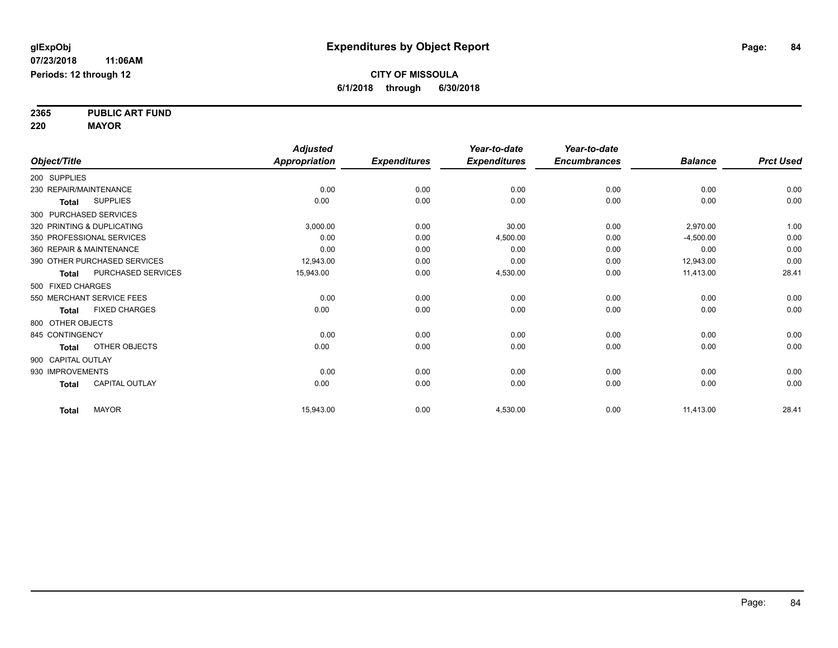**2365 PUBLIC ART FUND 220 MAYOR**

|                          |                              | <b>Adjusted</b>      |                     | Year-to-date        | Year-to-date        |                |                  |
|--------------------------|------------------------------|----------------------|---------------------|---------------------|---------------------|----------------|------------------|
| Object/Title             |                              | <b>Appropriation</b> | <b>Expenditures</b> | <b>Expenditures</b> | <b>Encumbrances</b> | <b>Balance</b> | <b>Prct Used</b> |
| 200 SUPPLIES             |                              |                      |                     |                     |                     |                |                  |
| 230 REPAIR/MAINTENANCE   |                              | 0.00                 | 0.00                | 0.00                | 0.00                | 0.00           | 0.00             |
| <b>Total</b>             | <b>SUPPLIES</b>              | 0.00                 | 0.00                | 0.00                | 0.00                | 0.00           | 0.00             |
| 300 PURCHASED SERVICES   |                              |                      |                     |                     |                     |                |                  |
|                          | 320 PRINTING & DUPLICATING   | 3,000.00             | 0.00                | 30.00               | 0.00                | 2,970.00       | 1.00             |
|                          | 350 PROFESSIONAL SERVICES    | 0.00                 | 0.00                | 4,500.00            | 0.00                | $-4,500.00$    | 0.00             |
| 360 REPAIR & MAINTENANCE |                              | 0.00                 | 0.00                | 0.00                | 0.00                | 0.00           | 0.00             |
|                          | 390 OTHER PURCHASED SERVICES | 12,943.00            | 0.00                | 0.00                | 0.00                | 12,943.00      | 0.00             |
| <b>Total</b>             | PURCHASED SERVICES           | 15,943.00            | 0.00                | 4,530.00            | 0.00                | 11,413.00      | 28.41            |
| 500 FIXED CHARGES        |                              |                      |                     |                     |                     |                |                  |
|                          | 550 MERCHANT SERVICE FEES    | 0.00                 | 0.00                | 0.00                | 0.00                | 0.00           | 0.00             |
| <b>Total</b>             | <b>FIXED CHARGES</b>         | 0.00                 | 0.00                | 0.00                | 0.00                | 0.00           | 0.00             |
| 800 OTHER OBJECTS        |                              |                      |                     |                     |                     |                |                  |
| 845 CONTINGENCY          |                              | 0.00                 | 0.00                | 0.00                | 0.00                | 0.00           | 0.00             |
| Total                    | OTHER OBJECTS                | 0.00                 | 0.00                | 0.00                | 0.00                | 0.00           | 0.00             |
| 900 CAPITAL OUTLAY       |                              |                      |                     |                     |                     |                |                  |
| 930 IMPROVEMENTS         |                              | 0.00                 | 0.00                | 0.00                | 0.00                | 0.00           | 0.00             |
| <b>Total</b>             | <b>CAPITAL OUTLAY</b>        | 0.00                 | 0.00                | 0.00                | 0.00                | 0.00           | 0.00             |
| <b>Total</b>             | <b>MAYOR</b>                 | 15,943.00            | 0.00                | 4,530.00            | 0.00                | 11,413.00      | 28.41            |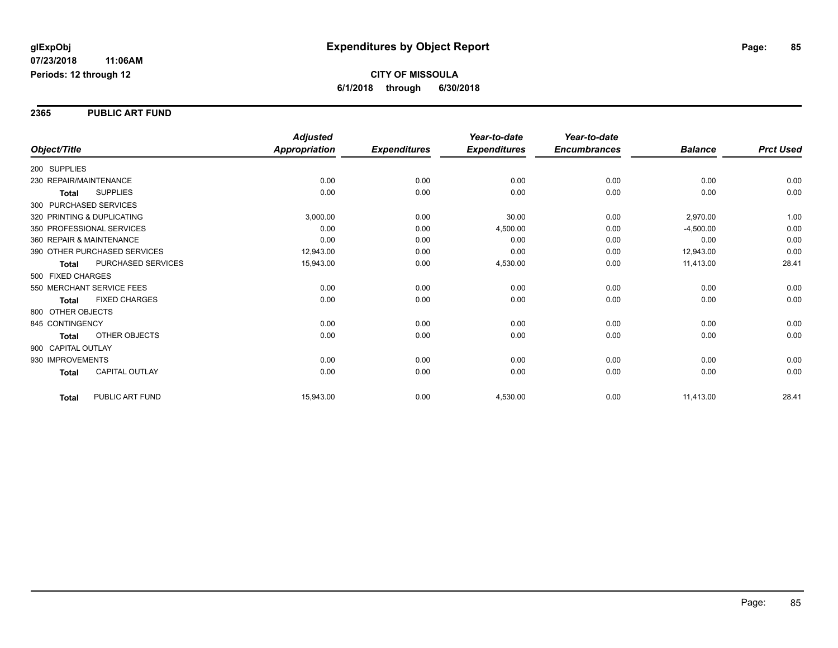#### **2365 PUBLIC ART FUND**

|                                       | <b>Adjusted</b>      |                     | Year-to-date        | Year-to-date        |                |                  |
|---------------------------------------|----------------------|---------------------|---------------------|---------------------|----------------|------------------|
| Object/Title                          | <b>Appropriation</b> | <b>Expenditures</b> | <b>Expenditures</b> | <b>Encumbrances</b> | <b>Balance</b> | <b>Prct Used</b> |
| 200 SUPPLIES                          |                      |                     |                     |                     |                |                  |
| 230 REPAIR/MAINTENANCE                | 0.00                 | 0.00                | 0.00                | 0.00                | 0.00           | 0.00             |
| <b>SUPPLIES</b><br><b>Total</b>       | 0.00                 | 0.00                | 0.00                | 0.00                | 0.00           | 0.00             |
| 300 PURCHASED SERVICES                |                      |                     |                     |                     |                |                  |
| 320 PRINTING & DUPLICATING            | 3,000.00             | 0.00                | 30.00               | 0.00                | 2,970.00       | 1.00             |
| 350 PROFESSIONAL SERVICES             | 0.00                 | 0.00                | 4,500.00            | 0.00                | $-4,500.00$    | 0.00             |
| 360 REPAIR & MAINTENANCE              | 0.00                 | 0.00                | 0.00                | 0.00                | 0.00           | 0.00             |
| 390 OTHER PURCHASED SERVICES          | 12,943.00            | 0.00                | 0.00                | 0.00                | 12,943.00      | 0.00             |
| PURCHASED SERVICES<br><b>Total</b>    | 15,943.00            | 0.00                | 4,530.00            | 0.00                | 11,413.00      | 28.41            |
| 500 FIXED CHARGES                     |                      |                     |                     |                     |                |                  |
| 550 MERCHANT SERVICE FEES             | 0.00                 | 0.00                | 0.00                | 0.00                | 0.00           | 0.00             |
| <b>FIXED CHARGES</b><br><b>Total</b>  | 0.00                 | 0.00                | 0.00                | 0.00                | 0.00           | 0.00             |
| 800 OTHER OBJECTS                     |                      |                     |                     |                     |                |                  |
| 845 CONTINGENCY                       | 0.00                 | 0.00                | 0.00                | 0.00                | 0.00           | 0.00             |
| OTHER OBJECTS<br><b>Total</b>         | 0.00                 | 0.00                | 0.00                | 0.00                | 0.00           | 0.00             |
| 900 CAPITAL OUTLAY                    |                      |                     |                     |                     |                |                  |
| 930 IMPROVEMENTS                      | 0.00                 | 0.00                | 0.00                | 0.00                | 0.00           | 0.00             |
| <b>CAPITAL OUTLAY</b><br><b>Total</b> | 0.00                 | 0.00                | 0.00                | 0.00                | 0.00           | 0.00             |
| PUBLIC ART FUND<br><b>Total</b>       | 15,943.00            | 0.00                | 4,530.00            | 0.00                | 11,413.00      | 28.41            |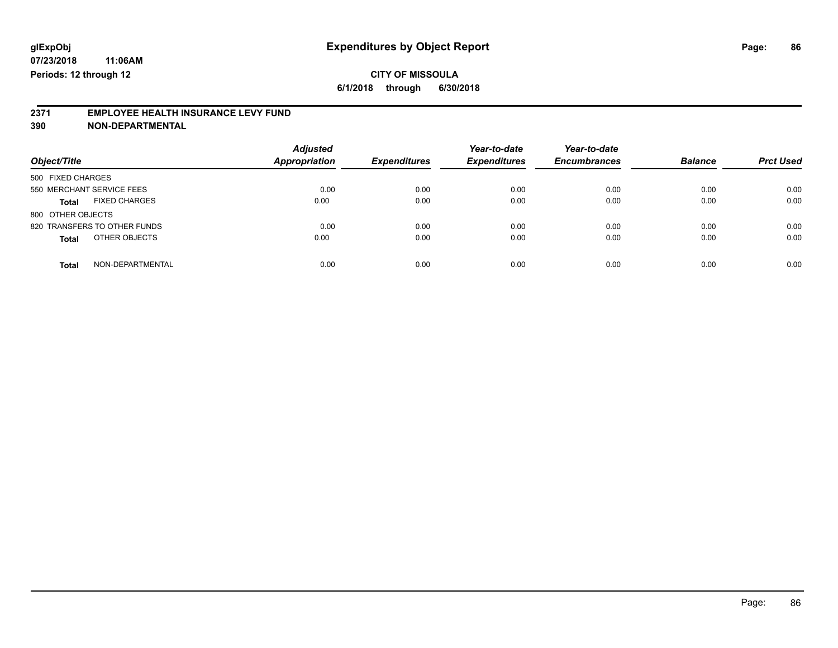# **2371 EMPLOYEE HEALTH INSURANCE LEVY FUND**

| Object/Title                         | <b>Adjusted</b><br><b>Appropriation</b> | <b>Expenditures</b> | Year-to-date<br><b>Expenditures</b> | Year-to-date<br><b>Encumbrances</b> | <b>Balance</b> | <b>Prct Used</b> |
|--------------------------------------|-----------------------------------------|---------------------|-------------------------------------|-------------------------------------|----------------|------------------|
| 500 FIXED CHARGES                    |                                         |                     |                                     |                                     |                |                  |
| 550 MERCHANT SERVICE FEES            | 0.00                                    | 0.00                | 0.00                                | 0.00                                | 0.00           | 0.00             |
| <b>FIXED CHARGES</b><br><b>Total</b> | 0.00                                    | 0.00                | 0.00                                | 0.00                                | 0.00           | 0.00             |
| 800 OTHER OBJECTS                    |                                         |                     |                                     |                                     |                |                  |
| 820 TRANSFERS TO OTHER FUNDS         | 0.00                                    | 0.00                | 0.00                                | 0.00                                | 0.00           | 0.00             |
| OTHER OBJECTS<br><b>Total</b>        | 0.00                                    | 0.00                | 0.00                                | 0.00                                | 0.00           | 0.00             |
| NON-DEPARTMENTAL<br>Total            | 0.00                                    | 0.00                | 0.00                                | 0.00                                | 0.00           | 0.00             |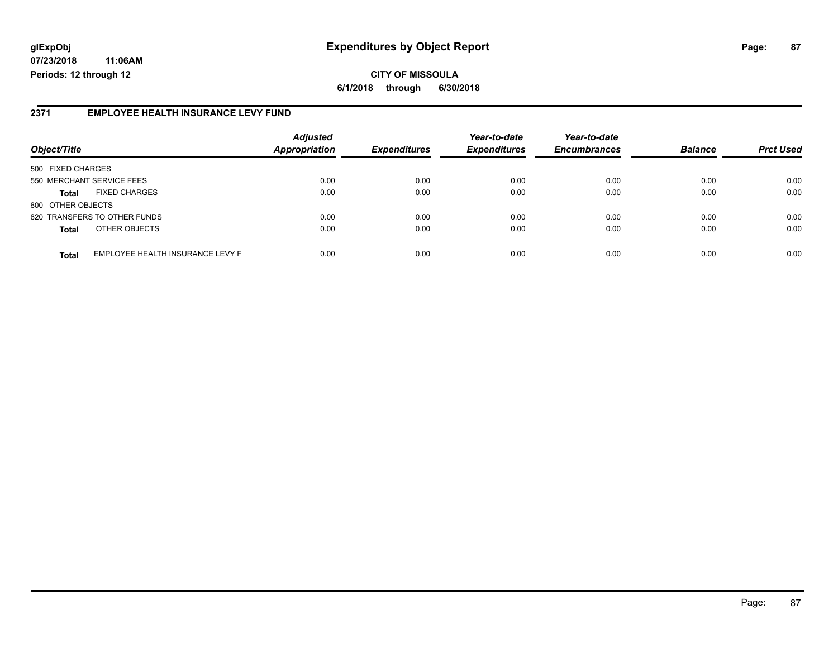**CITY OF MISSOULA 6/1/2018 through 6/30/2018**

#### **2371 EMPLOYEE HEALTH INSURANCE LEVY FUND**

|                   |                                  | <b>Adjusted</b>      |                     | Year-to-date        | Year-to-date        |                |                  |
|-------------------|----------------------------------|----------------------|---------------------|---------------------|---------------------|----------------|------------------|
| Object/Title      |                                  | <b>Appropriation</b> | <b>Expenditures</b> | <b>Expenditures</b> | <b>Encumbrances</b> | <b>Balance</b> | <b>Prct Used</b> |
| 500 FIXED CHARGES |                                  |                      |                     |                     |                     |                |                  |
|                   | 550 MERCHANT SERVICE FEES        | 0.00                 | 0.00                | 0.00                | 0.00                | 0.00           | 0.00             |
| <b>Total</b>      | <b>FIXED CHARGES</b>             | 0.00                 | 0.00                | 0.00                | 0.00                | 0.00           | 0.00             |
| 800 OTHER OBJECTS |                                  |                      |                     |                     |                     |                |                  |
|                   | 820 TRANSFERS TO OTHER FUNDS     | 0.00                 | 0.00                | 0.00                | 0.00                | 0.00           | 0.00             |
| <b>Total</b>      | OTHER OBJECTS                    | 0.00                 | 0.00                | 0.00                | 0.00                | 0.00           | 0.00             |
| <b>Total</b>      | EMPLOYEE HEALTH INSURANCE LEVY F | 0.00                 | 0.00                | 0.00                | 0.00                | 0.00           | 0.00             |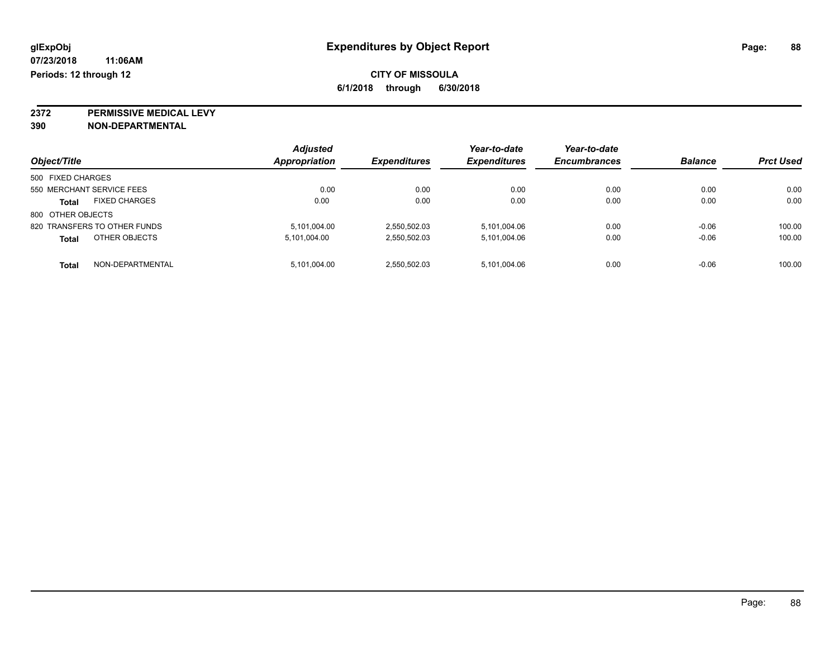**2372 PERMISSIVE MEDICAL LEVY**

| Object/Title                         | <b>Adjusted</b><br>Appropriation | <b>Expenditures</b> | Year-to-date<br><b>Expenditures</b> | Year-to-date<br><b>Encumbrances</b> | <b>Balance</b> | <b>Prct Used</b> |
|--------------------------------------|----------------------------------|---------------------|-------------------------------------|-------------------------------------|----------------|------------------|
| 500 FIXED CHARGES                    |                                  |                     |                                     |                                     |                |                  |
| 550 MERCHANT SERVICE FEES            | 0.00                             | 0.00                | 0.00                                | 0.00                                | 0.00           | 0.00             |
| <b>FIXED CHARGES</b><br><b>Total</b> | 0.00                             | 0.00                | 0.00                                | 0.00                                | 0.00           | 0.00             |
| 800 OTHER OBJECTS                    |                                  |                     |                                     |                                     |                |                  |
| 820 TRANSFERS TO OTHER FUNDS         | 5,101,004.00                     | 2,550,502.03        | 5,101,004.06                        | 0.00                                | $-0.06$        | 100.00           |
| OTHER OBJECTS<br><b>Total</b>        | 5,101,004.00                     | 2,550,502.03        | 5,101,004.06                        | 0.00                                | $-0.06$        | 100.00           |
| NON-DEPARTMENTAL<br><b>Total</b>     | 5,101,004.00                     | 2,550,502.03        | 5,101,004.06                        | 0.00                                | $-0.06$        | 100.00           |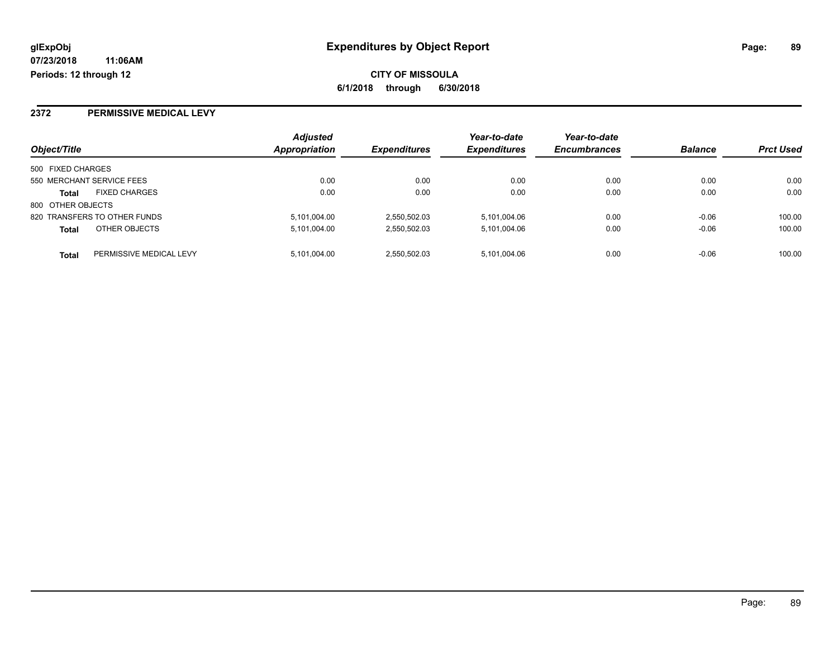### **2372 PERMISSIVE MEDICAL LEVY**

| Object/Title              |                              | <b>Adjusted</b><br><b>Appropriation</b> | <b>Expenditures</b> | Year-to-date<br><b>Expenditures</b> | Year-to-date        | <b>Balance</b> |                  |
|---------------------------|------------------------------|-----------------------------------------|---------------------|-------------------------------------|---------------------|----------------|------------------|
|                           |                              |                                         |                     |                                     | <b>Encumbrances</b> |                | <b>Prct Used</b> |
| 500 FIXED CHARGES         |                              |                                         |                     |                                     |                     |                |                  |
| 550 MERCHANT SERVICE FEES |                              | 0.00                                    | 0.00                | 0.00                                | 0.00                | 0.00           | 0.00             |
| <b>Total</b>              | <b>FIXED CHARGES</b>         | 0.00                                    | 0.00                | 0.00                                | 0.00                | 0.00           | 0.00             |
| 800 OTHER OBJECTS         |                              |                                         |                     |                                     |                     |                |                  |
|                           | 820 TRANSFERS TO OTHER FUNDS | 5,101,004.00                            | 2,550,502.03        | 5,101,004.06                        | 0.00                | $-0.06$        | 100.00           |
| <b>Total</b>              | OTHER OBJECTS                | 5,101,004.00                            | 2,550,502.03        | 5,101,004.06                        | 0.00                | $-0.06$        | 100.00           |
| <b>Total</b>              | PERMISSIVE MEDICAL LEVY      | 5,101,004.00                            | 2,550,502.03        | 5,101,004.06                        | 0.00                | $-0.06$        | 100.00           |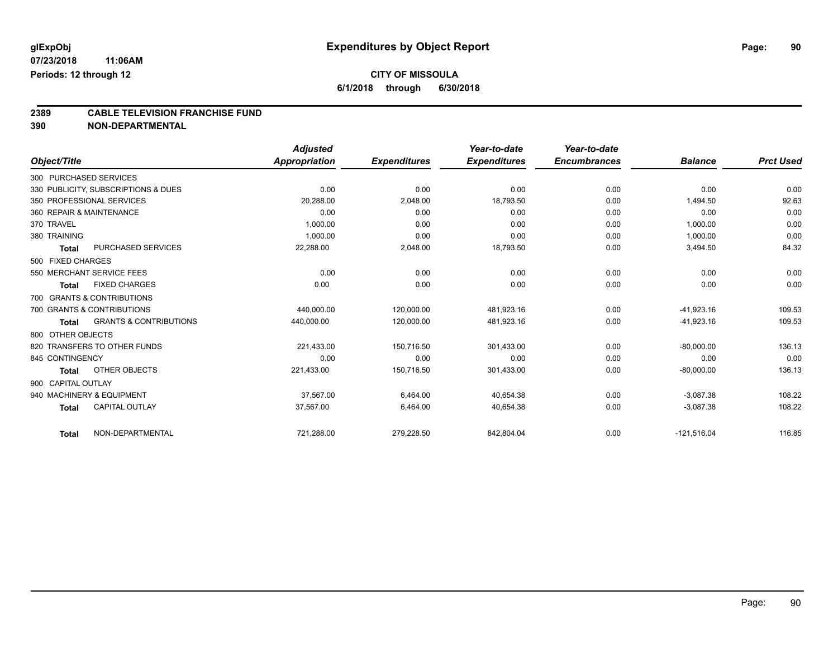# **2389 CABLE TELEVISION FRANCHISE FUND**

|                    |                                     | <b>Adjusted</b> |                     | Year-to-date        | Year-to-date        |                |                  |
|--------------------|-------------------------------------|-----------------|---------------------|---------------------|---------------------|----------------|------------------|
| Object/Title       |                                     | Appropriation   | <b>Expenditures</b> | <b>Expenditures</b> | <b>Encumbrances</b> | <b>Balance</b> | <b>Prct Used</b> |
|                    | 300 PURCHASED SERVICES              |                 |                     |                     |                     |                |                  |
|                    | 330 PUBLICITY, SUBSCRIPTIONS & DUES | 0.00            | 0.00                | 0.00                | 0.00                | 0.00           | 0.00             |
|                    | 350 PROFESSIONAL SERVICES           | 20,288.00       | 2,048.00            | 18,793.50           | 0.00                | 1,494.50       | 92.63            |
|                    | 360 REPAIR & MAINTENANCE            | 0.00            | 0.00                | 0.00                | 0.00                | 0.00           | 0.00             |
| 370 TRAVEL         |                                     | 1,000.00        | 0.00                | 0.00                | 0.00                | 1,000.00       | 0.00             |
| 380 TRAINING       |                                     | 1,000.00        | 0.00                | 0.00                | 0.00                | 1,000.00       | 0.00             |
| <b>Total</b>       | <b>PURCHASED SERVICES</b>           | 22,288.00       | 2,048.00            | 18,793.50           | 0.00                | 3,494.50       | 84.32            |
| 500 FIXED CHARGES  |                                     |                 |                     |                     |                     |                |                  |
|                    | 550 MERCHANT SERVICE FEES           | 0.00            | 0.00                | 0.00                | 0.00                | 0.00           | 0.00             |
| <b>Total</b>       | <b>FIXED CHARGES</b>                | 0.00            | 0.00                | 0.00                | 0.00                | 0.00           | 0.00             |
|                    | 700 GRANTS & CONTRIBUTIONS          |                 |                     |                     |                     |                |                  |
|                    | 700 GRANTS & CONTRIBUTIONS          | 440,000.00      | 120,000.00          | 481,923.16          | 0.00                | $-41,923.16$   | 109.53           |
| <b>Total</b>       | <b>GRANTS &amp; CONTRIBUTIONS</b>   | 440,000.00      | 120,000.00          | 481,923.16          | 0.00                | $-41,923.16$   | 109.53           |
| 800 OTHER OBJECTS  |                                     |                 |                     |                     |                     |                |                  |
|                    | 820 TRANSFERS TO OTHER FUNDS        | 221,433.00      | 150,716.50          | 301,433.00          | 0.00                | $-80,000.00$   | 136.13           |
| 845 CONTINGENCY    |                                     | 0.00            | 0.00                | 0.00                | 0.00                | 0.00           | 0.00             |
| <b>Total</b>       | OTHER OBJECTS                       | 221,433.00      | 150,716.50          | 301,433.00          | 0.00                | $-80,000.00$   | 136.13           |
| 900 CAPITAL OUTLAY |                                     |                 |                     |                     |                     |                |                  |
|                    | 940 MACHINERY & EQUIPMENT           | 37,567.00       | 6,464.00            | 40,654.38           | 0.00                | $-3,087.38$    | 108.22           |
| <b>Total</b>       | <b>CAPITAL OUTLAY</b>               | 37,567.00       | 6,464.00            | 40,654.38           | 0.00                | $-3,087.38$    | 108.22           |
| <b>Total</b>       | NON-DEPARTMENTAL                    | 721,288.00      | 279,228.50          | 842,804.04          | 0.00                | $-121,516.04$  | 116.85           |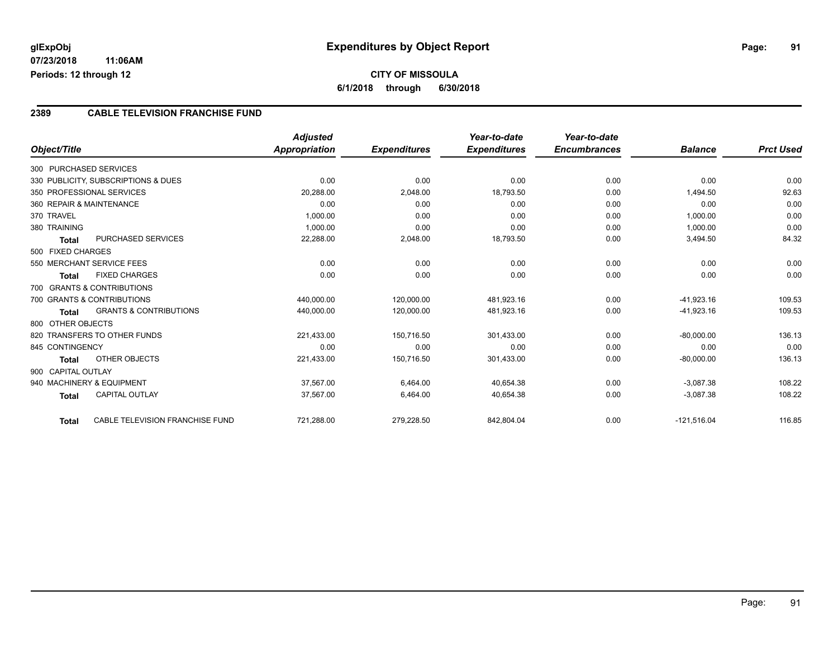### **2389 CABLE TELEVISION FRANCHISE FUND**

|                    |                                     | <b>Adjusted</b> |                     | Year-to-date        | Year-to-date        |                |                  |
|--------------------|-------------------------------------|-----------------|---------------------|---------------------|---------------------|----------------|------------------|
| Object/Title       |                                     | Appropriation   | <b>Expenditures</b> | <b>Expenditures</b> | <b>Encumbrances</b> | <b>Balance</b> | <b>Prct Used</b> |
|                    | 300 PURCHASED SERVICES              |                 |                     |                     |                     |                |                  |
|                    | 330 PUBLICITY, SUBSCRIPTIONS & DUES | 0.00            | 0.00                | 0.00                | 0.00                | 0.00           | 0.00             |
|                    | 350 PROFESSIONAL SERVICES           | 20,288.00       | 2,048.00            | 18,793.50           | 0.00                | 1,494.50       | 92.63            |
|                    | 360 REPAIR & MAINTENANCE            | 0.00            | 0.00                | 0.00                | 0.00                | 0.00           | 0.00             |
| 370 TRAVEL         |                                     | 1,000.00        | 0.00                | 0.00                | 0.00                | 1,000.00       | 0.00             |
| 380 TRAINING       |                                     | 1,000.00        | 0.00                | 0.00                | 0.00                | 1,000.00       | 0.00             |
| <b>Total</b>       | <b>PURCHASED SERVICES</b>           | 22,288.00       | 2,048.00            | 18,793.50           | 0.00                | 3,494.50       | 84.32            |
| 500 FIXED CHARGES  |                                     |                 |                     |                     |                     |                |                  |
|                    | 550 MERCHANT SERVICE FEES           | 0.00            | 0.00                | 0.00                | 0.00                | 0.00           | 0.00             |
| Total              | <b>FIXED CHARGES</b>                | 0.00            | 0.00                | 0.00                | 0.00                | 0.00           | 0.00             |
|                    | 700 GRANTS & CONTRIBUTIONS          |                 |                     |                     |                     |                |                  |
|                    | 700 GRANTS & CONTRIBUTIONS          | 440,000.00      | 120,000.00          | 481,923.16          | 0.00                | $-41,923.16$   | 109.53           |
| <b>Total</b>       | <b>GRANTS &amp; CONTRIBUTIONS</b>   | 440,000.00      | 120,000.00          | 481,923.16          | 0.00                | $-41,923.16$   | 109.53           |
| 800 OTHER OBJECTS  |                                     |                 |                     |                     |                     |                |                  |
|                    | 820 TRANSFERS TO OTHER FUNDS        | 221,433.00      | 150,716.50          | 301,433.00          | 0.00                | $-80,000.00$   | 136.13           |
| 845 CONTINGENCY    |                                     | 0.00            | 0.00                | 0.00                | 0.00                | 0.00           | 0.00             |
| <b>Total</b>       | OTHER OBJECTS                       | 221,433.00      | 150,716.50          | 301,433.00          | 0.00                | $-80,000.00$   | 136.13           |
| 900 CAPITAL OUTLAY |                                     |                 |                     |                     |                     |                |                  |
|                    | 940 MACHINERY & EQUIPMENT           | 37,567.00       | 6,464.00            | 40,654.38           | 0.00                | $-3,087.38$    | 108.22           |
| <b>Total</b>       | <b>CAPITAL OUTLAY</b>               | 37,567.00       | 6,464.00            | 40,654.38           | 0.00                | $-3,087.38$    | 108.22           |
| <b>Total</b>       | CABLE TELEVISION FRANCHISE FUND     | 721,288.00      | 279,228.50          | 842,804.04          | 0.00                | $-121,516.04$  | 116.85           |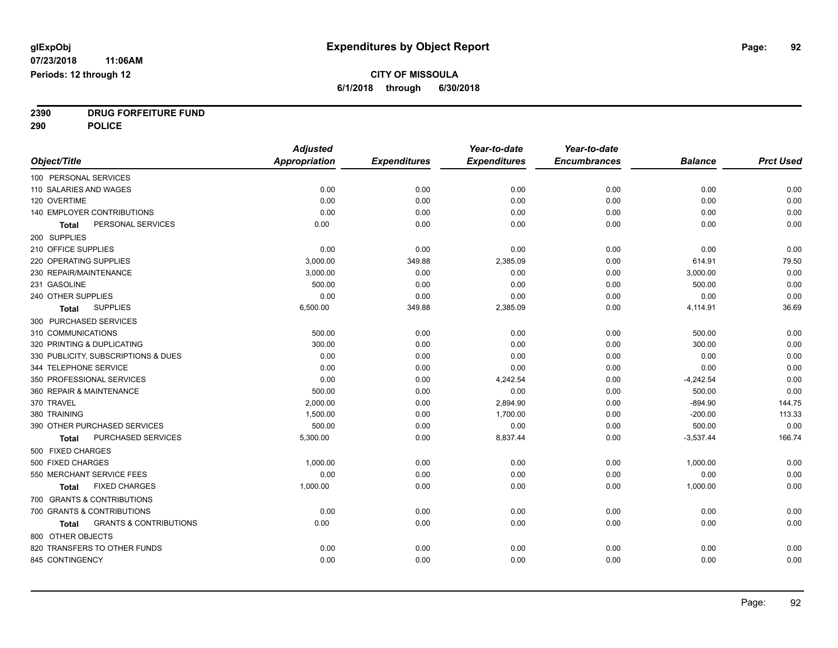**2390 DRUG FORFEITURE FUND**

**290 POLICE**

|                                                   | <b>Adjusted</b>      |                     | Year-to-date        | Year-to-date        |                |                  |
|---------------------------------------------------|----------------------|---------------------|---------------------|---------------------|----------------|------------------|
| Object/Title                                      | <b>Appropriation</b> | <b>Expenditures</b> | <b>Expenditures</b> | <b>Encumbrances</b> | <b>Balance</b> | <b>Prct Used</b> |
| 100 PERSONAL SERVICES                             |                      |                     |                     |                     |                |                  |
| 110 SALARIES AND WAGES                            | 0.00                 | 0.00                | 0.00                | 0.00                | 0.00           | 0.00             |
| 120 OVERTIME                                      | 0.00                 | 0.00                | 0.00                | 0.00                | 0.00           | 0.00             |
| 140 EMPLOYER CONTRIBUTIONS                        | 0.00                 | 0.00                | 0.00                | 0.00                | 0.00           | 0.00             |
| PERSONAL SERVICES<br>Total                        | 0.00                 | 0.00                | 0.00                | 0.00                | 0.00           | 0.00             |
| 200 SUPPLIES                                      |                      |                     |                     |                     |                |                  |
| 210 OFFICE SUPPLIES                               | 0.00                 | 0.00                | 0.00                | 0.00                | 0.00           | 0.00             |
| 220 OPERATING SUPPLIES                            | 3,000.00             | 349.88              | 2,385.09            | 0.00                | 614.91         | 79.50            |
| 230 REPAIR/MAINTENANCE                            | 3,000.00             | 0.00                | 0.00                | 0.00                | 3,000.00       | 0.00             |
| 231 GASOLINE                                      | 500.00               | 0.00                | 0.00                | 0.00                | 500.00         | 0.00             |
| 240 OTHER SUPPLIES                                | 0.00                 | 0.00                | 0.00                | 0.00                | 0.00           | 0.00             |
| <b>SUPPLIES</b><br>Total                          | 6,500.00             | 349.88              | 2,385.09            | 0.00                | 4,114.91       | 36.69            |
| 300 PURCHASED SERVICES                            |                      |                     |                     |                     |                |                  |
| 310 COMMUNICATIONS                                | 500.00               | 0.00                | 0.00                | 0.00                | 500.00         | 0.00             |
| 320 PRINTING & DUPLICATING                        | 300.00               | 0.00                | 0.00                | 0.00                | 300.00         | 0.00             |
| 330 PUBLICITY, SUBSCRIPTIONS & DUES               | 0.00                 | 0.00                | 0.00                | 0.00                | 0.00           | 0.00             |
| 344 TELEPHONE SERVICE                             | 0.00                 | 0.00                | 0.00                | 0.00                | 0.00           | 0.00             |
| 350 PROFESSIONAL SERVICES                         | 0.00                 | 0.00                | 4,242.54            | 0.00                | $-4,242.54$    | 0.00             |
| 360 REPAIR & MAINTENANCE                          | 500.00               | 0.00                | 0.00                | 0.00                | 500.00         | 0.00             |
| 370 TRAVEL                                        | 2,000.00             | 0.00                | 2,894.90            | 0.00                | $-894.90$      | 144.75           |
| 380 TRAINING                                      | 1,500.00             | 0.00                | 1,700.00            | 0.00                | $-200.00$      | 113.33           |
| 390 OTHER PURCHASED SERVICES                      | 500.00               | 0.00                | 0.00                | 0.00                | 500.00         | 0.00             |
| PURCHASED SERVICES<br><b>Total</b>                | 5,300.00             | 0.00                | 8,837.44            | 0.00                | $-3,537.44$    | 166.74           |
| 500 FIXED CHARGES                                 |                      |                     |                     |                     |                |                  |
| 500 FIXED CHARGES                                 | 1,000.00             | 0.00                | 0.00                | 0.00                | 1,000.00       | 0.00             |
| 550 MERCHANT SERVICE FEES                         | 0.00                 | 0.00                | 0.00                | 0.00                | 0.00           | 0.00             |
| <b>FIXED CHARGES</b><br>Total                     | 1,000.00             | 0.00                | 0.00                | 0.00                | 1,000.00       | 0.00             |
| 700 GRANTS & CONTRIBUTIONS                        |                      |                     |                     |                     |                |                  |
| 700 GRANTS & CONTRIBUTIONS                        | 0.00                 | 0.00                | 0.00                | 0.00                | 0.00           | 0.00             |
| <b>GRANTS &amp; CONTRIBUTIONS</b><br><b>Total</b> | 0.00                 | 0.00                | 0.00                | 0.00                | 0.00           | 0.00             |
| 800 OTHER OBJECTS                                 |                      |                     |                     |                     |                |                  |
| 820 TRANSFERS TO OTHER FUNDS                      | 0.00                 | 0.00                | 0.00                | 0.00                | 0.00           | 0.00             |
| 845 CONTINGENCY                                   | 0.00                 | 0.00                | 0.00                | 0.00                | 0.00           | 0.00             |
|                                                   |                      |                     |                     |                     |                |                  |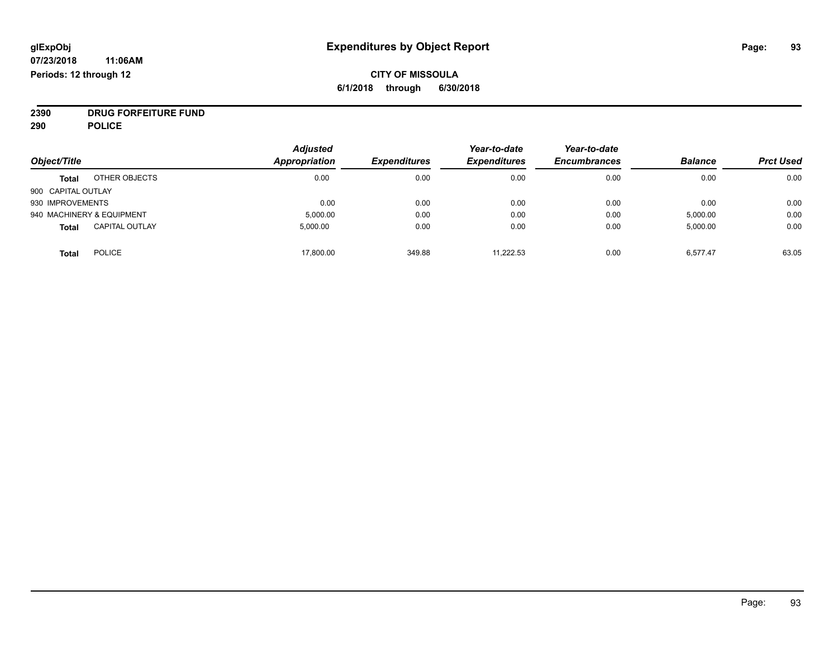# **CITY OF MISSOULA 6/1/2018 through 6/30/2018**

**2390 DRUG FORFEITURE FUND**

**290 POLICE**

|                    |                           | <b>Adjusted</b>     |                     | Year-to-date        | Year-to-date   |                  |       |
|--------------------|---------------------------|---------------------|---------------------|---------------------|----------------|------------------|-------|
| Object/Title       | Appropriation             | <b>Expenditures</b> | <b>Expenditures</b> | <b>Encumbrances</b> | <b>Balance</b> | <b>Prct Used</b> |       |
| <b>Total</b>       | OTHER OBJECTS             | 0.00                | 0.00                | 0.00                | 0.00           | 0.00             | 0.00  |
| 900 CAPITAL OUTLAY |                           |                     |                     |                     |                |                  |       |
| 930 IMPROVEMENTS   |                           | 0.00                | 0.00                | 0.00                | 0.00           | 0.00             | 0.00  |
|                    | 940 MACHINERY & EQUIPMENT | 5,000.00            | 0.00                | 0.00                | 0.00           | 5,000.00         | 0.00  |
| <b>Total</b>       | <b>CAPITAL OUTLAY</b>     | 5.000.00            | 0.00                | 0.00                | 0.00           | 5,000.00         | 0.00  |
| <b>Total</b>       | <b>POLICE</b>             | 17,800.00           | 349.88              | 11.222.53           | 0.00           | 6.577.47         | 63.05 |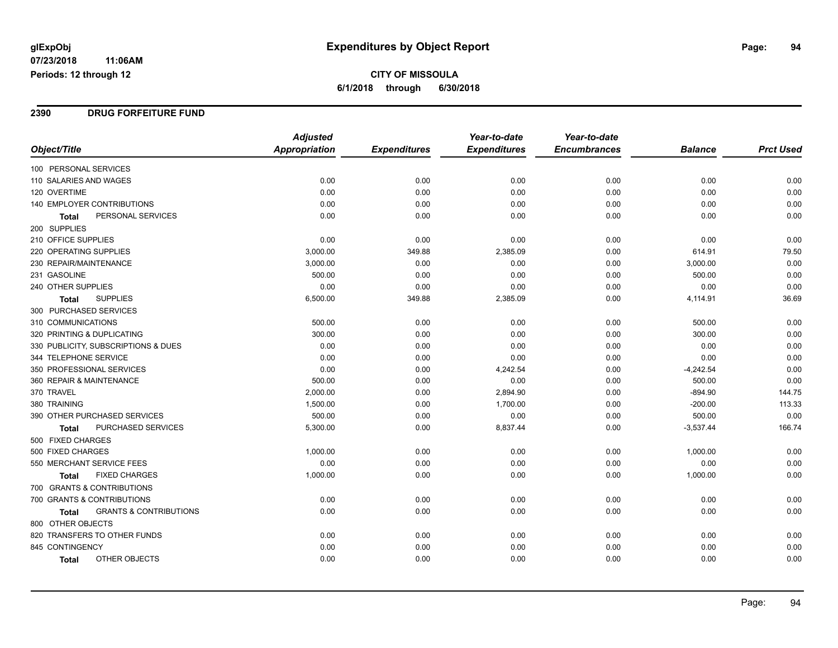#### **2390 DRUG FORFEITURE FUND**

|                                            | <b>Adjusted</b>      |                     | Year-to-date        | Year-to-date        |                |                  |
|--------------------------------------------|----------------------|---------------------|---------------------|---------------------|----------------|------------------|
| Object/Title                               | <b>Appropriation</b> | <b>Expenditures</b> | <b>Expenditures</b> | <b>Encumbrances</b> | <b>Balance</b> | <b>Prct Used</b> |
| 100 PERSONAL SERVICES                      |                      |                     |                     |                     |                |                  |
| 110 SALARIES AND WAGES                     | 0.00                 | 0.00                | 0.00                | 0.00                | 0.00           | 0.00             |
| 120 OVERTIME                               | 0.00                 | 0.00                | 0.00                | 0.00                | 0.00           | 0.00             |
| 140 EMPLOYER CONTRIBUTIONS                 | 0.00                 | 0.00                | 0.00                | 0.00                | 0.00           | 0.00             |
| PERSONAL SERVICES<br>Total                 | 0.00                 | 0.00                | 0.00                | 0.00                | 0.00           | 0.00             |
| 200 SUPPLIES                               |                      |                     |                     |                     |                |                  |
| 210 OFFICE SUPPLIES                        | 0.00                 | 0.00                | 0.00                | 0.00                | 0.00           | 0.00             |
| <b>220 OPERATING SUPPLIES</b>              | 3,000.00             | 349.88              | 2,385.09            | 0.00                | 614.91         | 79.50            |
| 230 REPAIR/MAINTENANCE                     | 3,000.00             | 0.00                | 0.00                | 0.00                | 3,000.00       | 0.00             |
| 231 GASOLINE                               | 500.00               | 0.00                | 0.00                | 0.00                | 500.00         | 0.00             |
| 240 OTHER SUPPLIES                         | 0.00                 | 0.00                | 0.00                | 0.00                | 0.00           | 0.00             |
| <b>SUPPLIES</b><br>Total                   | 6,500.00             | 349.88              | 2,385.09            | 0.00                | 4,114.91       | 36.69            |
| 300 PURCHASED SERVICES                     |                      |                     |                     |                     |                |                  |
| 310 COMMUNICATIONS                         | 500.00               | 0.00                | 0.00                | 0.00                | 500.00         | 0.00             |
| 320 PRINTING & DUPLICATING                 | 300.00               | 0.00                | 0.00                | 0.00                | 300.00         | 0.00             |
| 330 PUBLICITY, SUBSCRIPTIONS & DUES        | 0.00                 | 0.00                | 0.00                | 0.00                | 0.00           | 0.00             |
| 344 TELEPHONE SERVICE                      | 0.00                 | 0.00                | 0.00                | 0.00                | 0.00           | 0.00             |
| 350 PROFESSIONAL SERVICES                  | 0.00                 | 0.00                | 4,242.54            | 0.00                | $-4,242.54$    | 0.00             |
| 360 REPAIR & MAINTENANCE                   | 500.00               | 0.00                | 0.00                | 0.00                | 500.00         | 0.00             |
| 370 TRAVEL                                 | 2,000.00             | 0.00                | 2,894.90            | 0.00                | $-894.90$      | 144.75           |
| 380 TRAINING                               | 1,500.00             | 0.00                | 1,700.00            | 0.00                | $-200.00$      | 113.33           |
| 390 OTHER PURCHASED SERVICES               | 500.00               | 0.00                | 0.00                | 0.00                | 500.00         | 0.00             |
| PURCHASED SERVICES<br>Total                | 5,300.00             | 0.00                | 8,837.44            | 0.00                | $-3,537.44$    | 166.74           |
| 500 FIXED CHARGES                          |                      |                     |                     |                     |                |                  |
| 500 FIXED CHARGES                          | 1,000.00             | 0.00                | 0.00                | 0.00                | 1,000.00       | 0.00             |
| 550 MERCHANT SERVICE FEES                  | 0.00                 | 0.00                | 0.00                | 0.00                | 0.00           | 0.00             |
| <b>FIXED CHARGES</b><br>Total              | 1,000.00             | 0.00                | 0.00                | 0.00                | 1,000.00       | 0.00             |
| 700 GRANTS & CONTRIBUTIONS                 |                      |                     |                     |                     |                |                  |
| 700 GRANTS & CONTRIBUTIONS                 | 0.00                 | 0.00                | 0.00                | 0.00                | 0.00           | 0.00             |
| <b>GRANTS &amp; CONTRIBUTIONS</b><br>Total | 0.00                 | 0.00                | 0.00                | 0.00                | 0.00           | 0.00             |
| 800 OTHER OBJECTS                          |                      |                     |                     |                     |                |                  |
| 820 TRANSFERS TO OTHER FUNDS               | 0.00                 | 0.00                | 0.00                | 0.00                | 0.00           | 0.00             |
| 845 CONTINGENCY                            | 0.00                 | 0.00                | 0.00                | 0.00                | 0.00           | 0.00             |
| OTHER OBJECTS<br>Total                     | 0.00                 | 0.00                | 0.00                | 0.00                | 0.00           | 0.00             |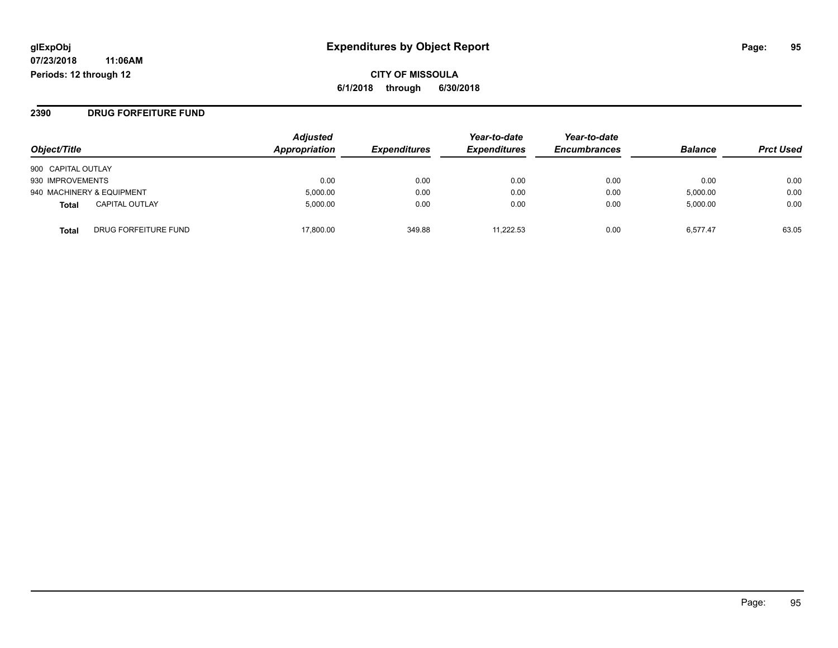**CITY OF MISSOULA 6/1/2018 through 6/30/2018**

#### **2390 DRUG FORFEITURE FUND**

| Object/Title                   | <b>Adjusted</b><br>Appropriation | <b>Expenditures</b> | Year-to-date<br><b>Expenditures</b> | Year-to-date<br><b>Encumbrances</b> | <b>Balance</b> | <b>Prct Used</b> |
|--------------------------------|----------------------------------|---------------------|-------------------------------------|-------------------------------------|----------------|------------------|
| 900 CAPITAL OUTLAY             |                                  |                     |                                     |                                     |                |                  |
| 930 IMPROVEMENTS               | 0.00                             | 0.00                | 0.00                                | 0.00                                | 0.00           | 0.00             |
| 940 MACHINERY & EQUIPMENT      | 5,000.00                         | 0.00                | 0.00                                | 0.00                                | 5,000.00       | 0.00             |
| <b>CAPITAL OUTLAY</b><br>Total | 5.000.00                         | 0.00                | 0.00                                | 0.00                                | 5,000.00       | 0.00             |
| DRUG FORFEITURE FUND<br>Total  | 17,800.00                        | 349.88              | 11.222.53                           | 0.00                                | 6.577.47       | 63.05            |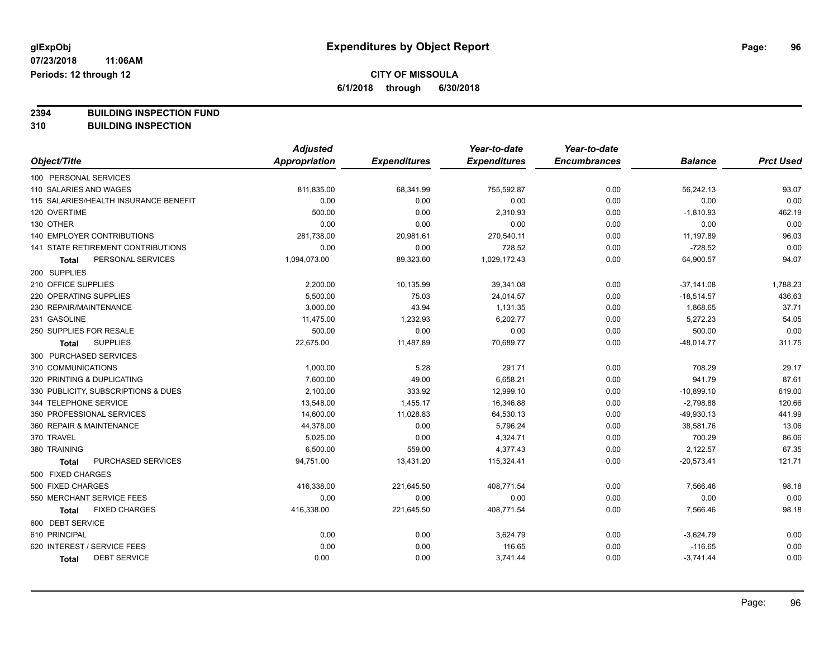**2394 BUILDING INSPECTION FUND**

**310 BUILDING INSPECTION**

|                                       | <b>Adjusted</b>      |                     | Year-to-date        | Year-to-date        |                |                  |
|---------------------------------------|----------------------|---------------------|---------------------|---------------------|----------------|------------------|
| Object/Title                          | <b>Appropriation</b> | <b>Expenditures</b> | <b>Expenditures</b> | <b>Encumbrances</b> | <b>Balance</b> | <b>Prct Used</b> |
| 100 PERSONAL SERVICES                 |                      |                     |                     |                     |                |                  |
| 110 SALARIES AND WAGES                | 811,835.00           | 68,341.99           | 755,592.87          | 0.00                | 56,242.13      | 93.07            |
| 115 SALARIES/HEALTH INSURANCE BENEFIT | 0.00                 | 0.00                | 0.00                | 0.00                | 0.00           | 0.00             |
| 120 OVERTIME                          | 500.00               | 0.00                | 2,310.93            | 0.00                | $-1,810.93$    | 462.19           |
| 130 OTHER                             | 0.00                 | 0.00                | 0.00                | 0.00                | 0.00           | 0.00             |
| <b>140 EMPLOYER CONTRIBUTIONS</b>     | 281,738.00           | 20,981.61           | 270,540.11          | 0.00                | 11,197.89      | 96.03            |
| 141 STATE RETIREMENT CONTRIBUTIONS    | 0.00                 | 0.00                | 728.52              | 0.00                | $-728.52$      | 0.00             |
| PERSONAL SERVICES<br>Total            | 1,094,073.00         | 89,323.60           | 1,029,172.43        | 0.00                | 64,900.57      | 94.07            |
| 200 SUPPLIES                          |                      |                     |                     |                     |                |                  |
| 210 OFFICE SUPPLIES                   | 2,200.00             | 10,135.99           | 39,341.08           | 0.00                | $-37,141.08$   | 1,788.23         |
| 220 OPERATING SUPPLIES                | 5,500.00             | 75.03               | 24,014.57           | 0.00                | $-18,514.57$   | 436.63           |
| 230 REPAIR/MAINTENANCE                | 3,000.00             | 43.94               | 1,131.35            | 0.00                | 1,868.65       | 37.71            |
| 231 GASOLINE                          | 11,475.00            | 1,232.93            | 6,202.77            | 0.00                | 5,272.23       | 54.05            |
| 250 SUPPLIES FOR RESALE               | 500.00               | 0.00                | 0.00                | 0.00                | 500.00         | 0.00             |
| <b>SUPPLIES</b><br><b>Total</b>       | 22,675.00            | 11,487.89           | 70,689.77           | 0.00                | $-48,014.77$   | 311.75           |
| 300 PURCHASED SERVICES                |                      |                     |                     |                     |                |                  |
| 310 COMMUNICATIONS                    | 1,000.00             | 5.28                | 291.71              | 0.00                | 708.29         | 29.17            |
| 320 PRINTING & DUPLICATING            | 7,600.00             | 49.00               | 6,658.21            | 0.00                | 941.79         | 87.61            |
| 330 PUBLICITY, SUBSCRIPTIONS & DUES   | 2,100.00             | 333.92              | 12,999.10           | 0.00                | $-10,899.10$   | 619.00           |
| 344 TELEPHONE SERVICE                 | 13,548.00            | 1,455.17            | 16,346.88           | 0.00                | $-2,798.88$    | 120.66           |
| 350 PROFESSIONAL SERVICES             | 14,600.00            | 11,028.83           | 64,530.13           | 0.00                | $-49,930.13$   | 441.99           |
| 360 REPAIR & MAINTENANCE              | 44,378.00            | 0.00                | 5,796.24            | 0.00                | 38,581.76      | 13.06            |
| 370 TRAVEL                            | 5,025.00             | 0.00                | 4,324.71            | 0.00                | 700.29         | 86.06            |
| 380 TRAINING                          | 6,500.00             | 559.00              | 4,377.43            | 0.00                | 2,122.57       | 67.35            |
| PURCHASED SERVICES<br><b>Total</b>    | 94,751.00            | 13,431.20           | 115,324.41          | 0.00                | $-20,573.41$   | 121.71           |
| 500 FIXED CHARGES                     |                      |                     |                     |                     |                |                  |
| 500 FIXED CHARGES                     | 416,338.00           | 221,645.50          | 408,771.54          | 0.00                | 7,566.46       | 98.18            |
| 550 MERCHANT SERVICE FEES             | 0.00                 | 0.00                | 0.00                | 0.00                | 0.00           | 0.00             |
| <b>FIXED CHARGES</b><br><b>Total</b>  | 416,338.00           | 221,645.50          | 408,771.54          | 0.00                | 7,566.46       | 98.18            |
| 600 DEBT SERVICE                      |                      |                     |                     |                     |                |                  |
| 610 PRINCIPAL                         | 0.00                 | 0.00                | 3,624.79            | 0.00                | $-3,624.79$    | 0.00             |
| 620 INTEREST / SERVICE FEES           | 0.00                 | 0.00                | 116.65              | 0.00                | $-116.65$      | 0.00             |
| <b>DEBT SERVICE</b><br><b>Total</b>   | 0.00                 | 0.00                | 3,741.44            | 0.00                | $-3,741.44$    | 0.00             |
|                                       |                      |                     |                     |                     |                |                  |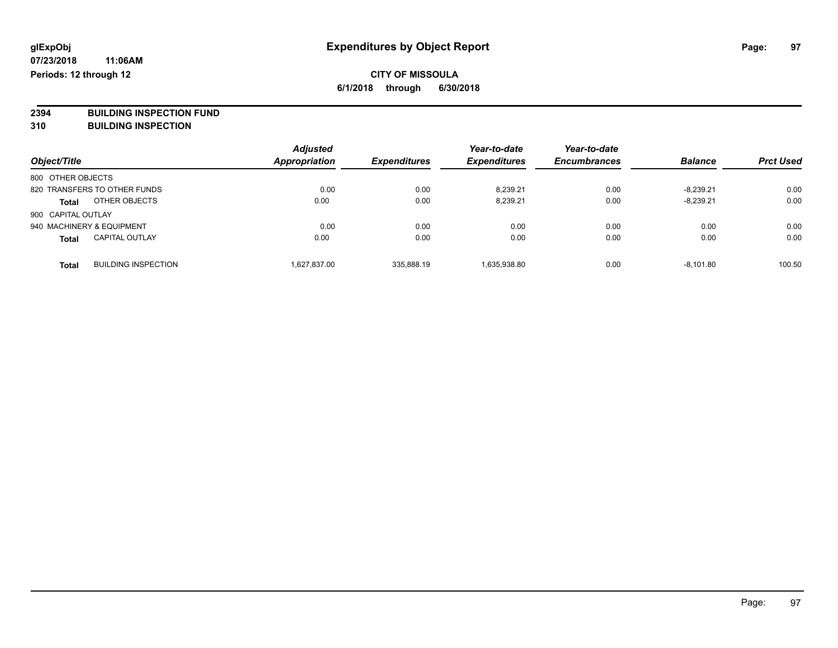**2394 BUILDING INSPECTION FUND**

**310 BUILDING INSPECTION**

|                                            | <b>Adjusted</b> |                            | Year-to-date        | Year-to-date        |                |                  |
|--------------------------------------------|-----------------|----------------------------|---------------------|---------------------|----------------|------------------|
| Object/Title                               | Appropriation   | <i><b>Expenditures</b></i> | <b>Expenditures</b> | <b>Encumbrances</b> | <b>Balance</b> | <b>Prct Used</b> |
| 800 OTHER OBJECTS                          |                 |                            |                     |                     |                |                  |
| 820 TRANSFERS TO OTHER FUNDS               | 0.00            | 0.00                       | 8.239.21            | 0.00                | $-8.239.21$    | 0.00             |
| OTHER OBJECTS<br><b>Total</b>              | 0.00            | 0.00                       | 8.239.21            | 0.00                | $-8.239.21$    | 0.00             |
| 900 CAPITAL OUTLAY                         |                 |                            |                     |                     |                |                  |
| 940 MACHINERY & EQUIPMENT                  | 0.00            | 0.00                       | 0.00                | 0.00                | 0.00           | 0.00             |
| <b>CAPITAL OUTLAY</b><br><b>Total</b>      | 0.00            | 0.00                       | 0.00                | 0.00                | 0.00           | 0.00             |
| <b>BUILDING INSPECTION</b><br><b>Total</b> | 1.627.837.00    | 335.888.19                 | 1.635.938.80        | 0.00                | $-8.101.80$    | 100.50           |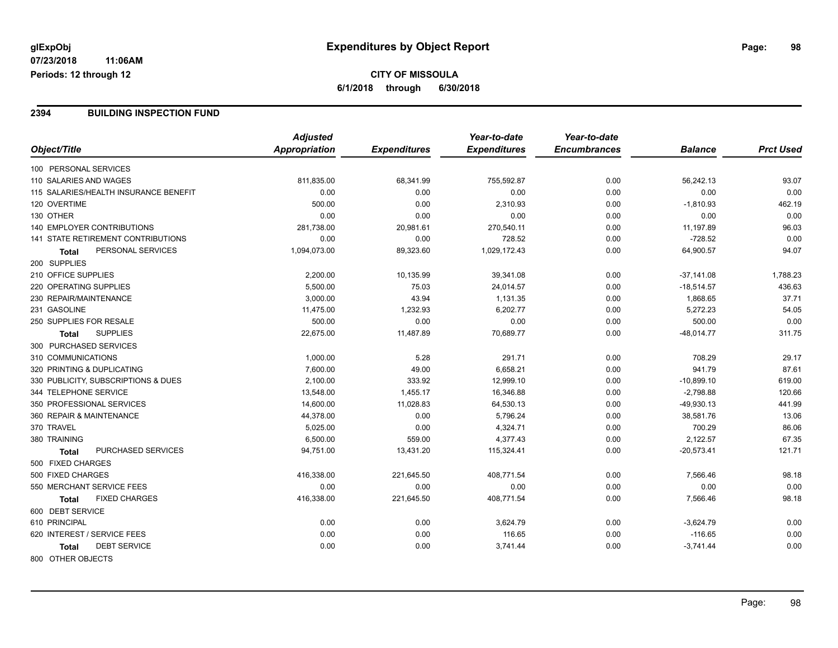#### **2394 BUILDING INSPECTION FUND**

|                                           | <b>Adjusted</b>      |                     | Year-to-date        | Year-to-date        |                |                  |
|-------------------------------------------|----------------------|---------------------|---------------------|---------------------|----------------|------------------|
| Object/Title                              | <b>Appropriation</b> | <b>Expenditures</b> | <b>Expenditures</b> | <b>Encumbrances</b> | <b>Balance</b> | <b>Prct Used</b> |
| 100 PERSONAL SERVICES                     |                      |                     |                     |                     |                |                  |
| 110 SALARIES AND WAGES                    | 811,835.00           | 68,341.99           | 755,592.87          | 0.00                | 56,242.13      | 93.07            |
| 115 SALARIES/HEALTH INSURANCE BENEFIT     | 0.00                 | 0.00                | 0.00                | 0.00                | 0.00           | 0.00             |
| 120 OVERTIME                              | 500.00               | 0.00                | 2,310.93            | 0.00                | $-1,810.93$    | 462.19           |
| 130 OTHER                                 | 0.00                 | 0.00                | 0.00                | 0.00                | 0.00           | 0.00             |
| 140 EMPLOYER CONTRIBUTIONS                | 281,738.00           | 20,981.61           | 270,540.11          | 0.00                | 11,197.89      | 96.03            |
| <b>141 STATE RETIREMENT CONTRIBUTIONS</b> | 0.00                 | 0.00                | 728.52              | 0.00                | $-728.52$      | 0.00             |
| PERSONAL SERVICES<br><b>Total</b>         | 1,094,073.00         | 89,323.60           | 1,029,172.43        | 0.00                | 64,900.57      | 94.07            |
| 200 SUPPLIES                              |                      |                     |                     |                     |                |                  |
| 210 OFFICE SUPPLIES                       | 2,200.00             | 10,135.99           | 39,341.08           | 0.00                | $-37,141.08$   | 1,788.23         |
| 220 OPERATING SUPPLIES                    | 5,500.00             | 75.03               | 24,014.57           | 0.00                | $-18,514.57$   | 436.63           |
| 230 REPAIR/MAINTENANCE                    | 3,000.00             | 43.94               | 1,131.35            | 0.00                | 1,868.65       | 37.71            |
| 231 GASOLINE                              | 11,475.00            | 1,232.93            | 6,202.77            | 0.00                | 5,272.23       | 54.05            |
| 250 SUPPLIES FOR RESALE                   | 500.00               | 0.00                | 0.00                | 0.00                | 500.00         | 0.00             |
| <b>SUPPLIES</b><br><b>Total</b>           | 22,675.00            | 11,487.89           | 70,689.77           | 0.00                | -48,014.77     | 311.75           |
| 300 PURCHASED SERVICES                    |                      |                     |                     |                     |                |                  |
| 310 COMMUNICATIONS                        | 1,000.00             | 5.28                | 291.71              | 0.00                | 708.29         | 29.17            |
| 320 PRINTING & DUPLICATING                | 7,600.00             | 49.00               | 6,658.21            | 0.00                | 941.79         | 87.61            |
| 330 PUBLICITY, SUBSCRIPTIONS & DUES       | 2,100.00             | 333.92              | 12,999.10           | 0.00                | $-10,899.10$   | 619.00           |
| 344 TELEPHONE SERVICE                     | 13,548.00            | 1,455.17            | 16,346.88           | 0.00                | $-2,798.88$    | 120.66           |
| 350 PROFESSIONAL SERVICES                 | 14,600.00            | 11,028.83           | 64,530.13           | 0.00                | $-49,930.13$   | 441.99           |
| 360 REPAIR & MAINTENANCE                  | 44,378.00            | 0.00                | 5,796.24            | 0.00                | 38,581.76      | 13.06            |
| 370 TRAVEL                                | 5,025.00             | 0.00                | 4,324.71            | 0.00                | 700.29         | 86.06            |
| 380 TRAINING                              | 6,500.00             | 559.00              | 4,377.43            | 0.00                | 2,122.57       | 67.35            |
| <b>PURCHASED SERVICES</b><br><b>Total</b> | 94,751.00            | 13,431.20           | 115,324.41          | 0.00                | $-20,573.41$   | 121.71           |
| 500 FIXED CHARGES                         |                      |                     |                     |                     |                |                  |
| 500 FIXED CHARGES                         | 416,338.00           | 221,645.50          | 408,771.54          | 0.00                | 7,566.46       | 98.18            |
| 550 MERCHANT SERVICE FEES                 | 0.00                 | 0.00                | 0.00                | 0.00                | 0.00           | 0.00             |
| <b>FIXED CHARGES</b><br><b>Total</b>      | 416,338.00           | 221,645.50          | 408,771.54          | 0.00                | 7,566.46       | 98.18            |
| 600 DEBT SERVICE                          |                      |                     |                     |                     |                |                  |
| 610 PRINCIPAL                             | 0.00                 | 0.00                | 3,624.79            | 0.00                | $-3,624.79$    | 0.00             |
| 620 INTEREST / SERVICE FEES               | 0.00                 | 0.00                | 116.65              | 0.00                | $-116.65$      | 0.00             |
| <b>DEBT SERVICE</b><br><b>Total</b>       | 0.00                 | 0.00                | 3,741.44            | 0.00                | $-3,741.44$    | 0.00             |
| 800 OTHER OBJECTS                         |                      |                     |                     |                     |                |                  |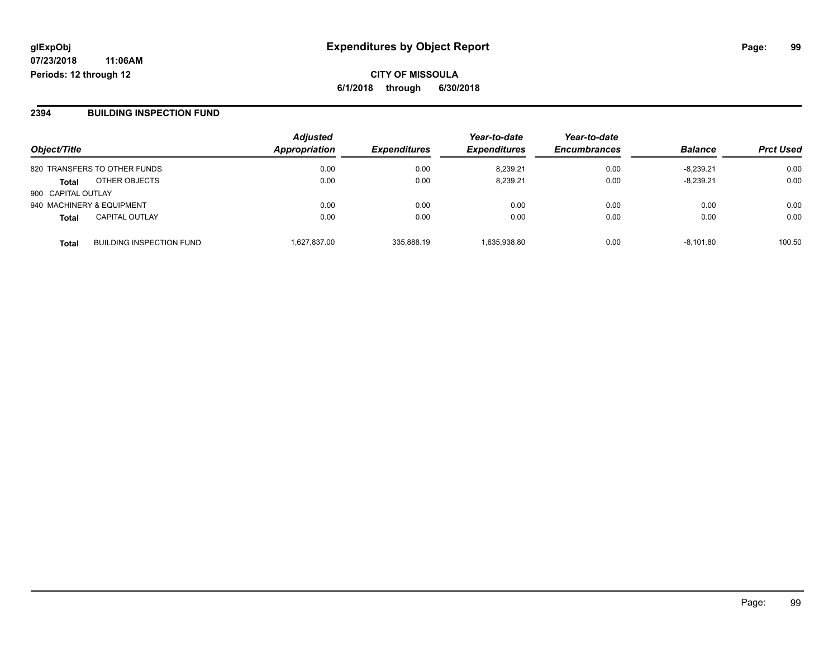#### **2394 BUILDING INSPECTION FUND**

| Object/Title       |                                 | <b>Adjusted</b><br>Appropriation | <b>Expenditures</b> | Year-to-date<br><b>Expenditures</b> | Year-to-date<br><b>Encumbrances</b> | <b>Balance</b> | <b>Prct Used</b> |
|--------------------|---------------------------------|----------------------------------|---------------------|-------------------------------------|-------------------------------------|----------------|------------------|
|                    | 820 TRANSFERS TO OTHER FUNDS    | 0.00                             | 0.00                | 8.239.21                            | 0.00                                | $-8.239.21$    | 0.00             |
| <b>Total</b>       | OTHER OBJECTS                   | 0.00                             | 0.00                | 8,239.21                            | 0.00                                | $-8,239.21$    | 0.00             |
| 900 CAPITAL OUTLAY |                                 |                                  |                     |                                     |                                     |                |                  |
|                    | 940 MACHINERY & EQUIPMENT       | 0.00                             | 0.00                | 0.00                                | 0.00                                | 0.00           | 0.00             |
| <b>Total</b>       | <b>CAPITAL OUTLAY</b>           | 0.00                             | 0.00                | 0.00                                | 0.00                                | 0.00           | 0.00             |
| <b>Total</b>       | <b>BUILDING INSPECTION FUND</b> | 1.627.837.00                     | 335,888.19          | 1.635.938.80                        | 0.00                                | $-8,101.80$    | 100.50           |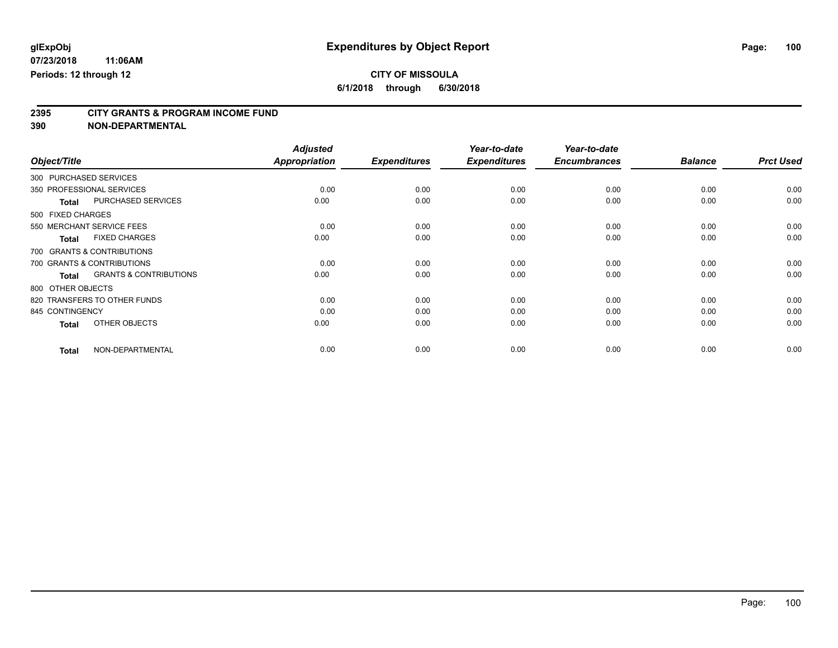# **2395 CITY GRANTS & PROGRAM INCOME FUND**

|                                            | <b>Adjusted</b> |                     | Year-to-date        | Year-to-date        |                |                  |
|--------------------------------------------|-----------------|---------------------|---------------------|---------------------|----------------|------------------|
| Object/Title                               | Appropriation   | <b>Expenditures</b> | <b>Expenditures</b> | <b>Encumbrances</b> | <b>Balance</b> | <b>Prct Used</b> |
| 300 PURCHASED SERVICES                     |                 |                     |                     |                     |                |                  |
| 350 PROFESSIONAL SERVICES                  | 0.00            | 0.00                | 0.00                | 0.00                | 0.00           | 0.00             |
| PURCHASED SERVICES<br><b>Total</b>         | 0.00            | 0.00                | 0.00                | 0.00                | 0.00           | 0.00             |
| 500 FIXED CHARGES                          |                 |                     |                     |                     |                |                  |
| 550 MERCHANT SERVICE FEES                  | 0.00            | 0.00                | 0.00                | 0.00                | 0.00           | 0.00             |
| <b>FIXED CHARGES</b><br><b>Total</b>       | 0.00            | 0.00                | 0.00                | 0.00                | 0.00           | 0.00             |
| 700 GRANTS & CONTRIBUTIONS                 |                 |                     |                     |                     |                |                  |
| 700 GRANTS & CONTRIBUTIONS                 | 0.00            | 0.00                | 0.00                | 0.00                | 0.00           | 0.00             |
| <b>GRANTS &amp; CONTRIBUTIONS</b><br>Total | 0.00            | 0.00                | 0.00                | 0.00                | 0.00           | 0.00             |
| 800 OTHER OBJECTS                          |                 |                     |                     |                     |                |                  |
| 820 TRANSFERS TO OTHER FUNDS               | 0.00            | 0.00                | 0.00                | 0.00                | 0.00           | 0.00             |
| 845 CONTINGENCY                            | 0.00            | 0.00                | 0.00                | 0.00                | 0.00           | 0.00             |
| OTHER OBJECTS<br><b>Total</b>              | 0.00            | 0.00                | 0.00                | 0.00                | 0.00           | 0.00             |
| NON-DEPARTMENTAL<br><b>Total</b>           | 0.00            | 0.00                | 0.00                | 0.00                | 0.00           | 0.00             |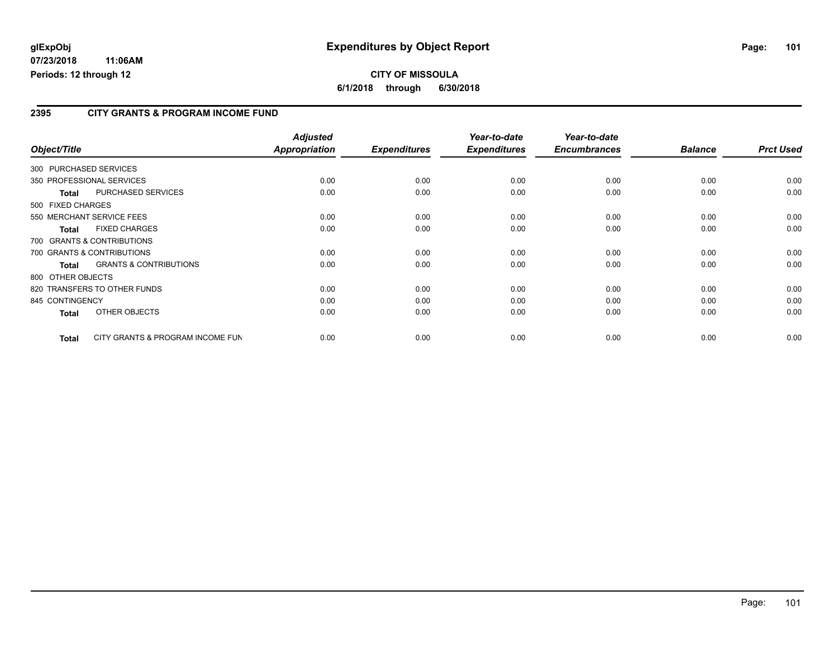**CITY OF MISSOULA 6/1/2018 through 6/30/2018**

#### **2395 CITY GRANTS & PROGRAM INCOME FUND**

|                        |                                   | <b>Adjusted</b>      |                     | Year-to-date        | Year-to-date        |                |                  |
|------------------------|-----------------------------------|----------------------|---------------------|---------------------|---------------------|----------------|------------------|
| Object/Title           |                                   | <b>Appropriation</b> | <b>Expenditures</b> | <b>Expenditures</b> | <b>Encumbrances</b> | <b>Balance</b> | <b>Prct Used</b> |
| 300 PURCHASED SERVICES |                                   |                      |                     |                     |                     |                |                  |
|                        | 350 PROFESSIONAL SERVICES         | 0.00                 | 0.00                | 0.00                | 0.00                | 0.00           | 0.00             |
| <b>Total</b>           | PURCHASED SERVICES                | 0.00                 | 0.00                | 0.00                | 0.00                | 0.00           | 0.00             |
| 500 FIXED CHARGES      |                                   |                      |                     |                     |                     |                |                  |
|                        | 550 MERCHANT SERVICE FEES         | 0.00                 | 0.00                | 0.00                | 0.00                | 0.00           | 0.00             |
| <b>Total</b>           | <b>FIXED CHARGES</b>              | 0.00                 | 0.00                | 0.00                | 0.00                | 0.00           | 0.00             |
|                        | 700 GRANTS & CONTRIBUTIONS        |                      |                     |                     |                     |                |                  |
|                        | 700 GRANTS & CONTRIBUTIONS        | 0.00                 | 0.00                | 0.00                | 0.00                | 0.00           | 0.00             |
| <b>Total</b>           | <b>GRANTS &amp; CONTRIBUTIONS</b> | 0.00                 | 0.00                | 0.00                | 0.00                | 0.00           | 0.00             |
| 800 OTHER OBJECTS      |                                   |                      |                     |                     |                     |                |                  |
|                        | 820 TRANSFERS TO OTHER FUNDS      | 0.00                 | 0.00                | 0.00                | 0.00                | 0.00           | 0.00             |
| 845 CONTINGENCY        |                                   | 0.00                 | 0.00                | 0.00                | 0.00                | 0.00           | 0.00             |
| <b>Total</b>           | OTHER OBJECTS                     | 0.00                 | 0.00                | 0.00                | 0.00                | 0.00           | 0.00             |
| <b>Total</b>           | CITY GRANTS & PROGRAM INCOME FUN  | 0.00                 | 0.00                | 0.00                | 0.00                | 0.00           | 0.00             |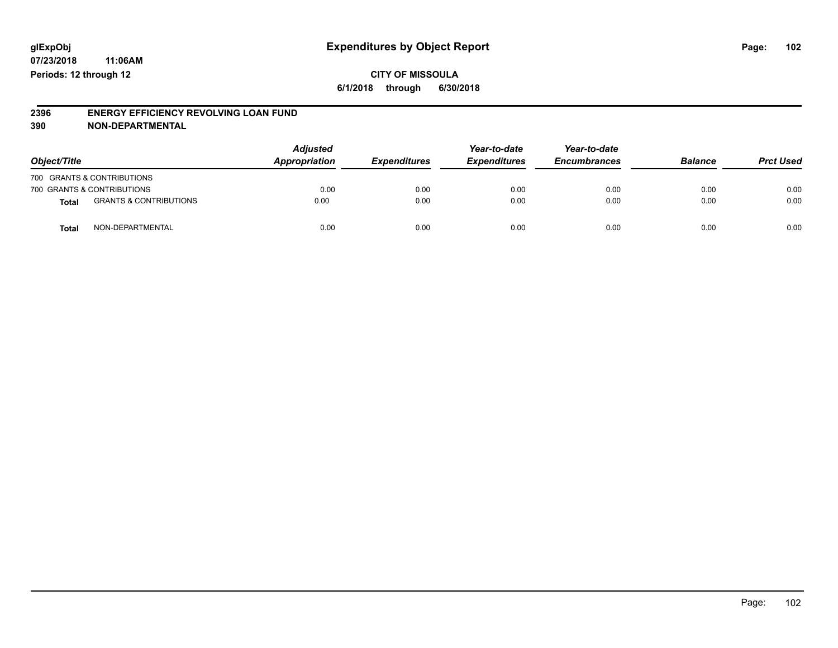# **2396 ENERGY EFFICIENCY REVOLVING LOAN FUND**

|                                                   | <b>Adjusted</b> |                     | Year-to-date        | Year-to-date        |                |                  |
|---------------------------------------------------|-----------------|---------------------|---------------------|---------------------|----------------|------------------|
| Object/Title                                      | Appropriation   | <b>Expenditures</b> | <b>Expenditures</b> | <b>Encumbrances</b> | <b>Balance</b> | <b>Prct Used</b> |
| 700 GRANTS & CONTRIBUTIONS                        |                 |                     |                     |                     |                |                  |
| 700 GRANTS & CONTRIBUTIONS                        | 0.00            | 0.00                | 0.00                | 0.00                | 0.00           | 0.00             |
| <b>GRANTS &amp; CONTRIBUTIONS</b><br><b>Total</b> | 0.00            | 0.00                | 0.00                | 0.00                | 0.00           | 0.00             |
| NON-DEPARTMENTAL<br>Total                         | 0.00            | 0.00                | 0.00                | 0.00                | 0.00           | 0.00             |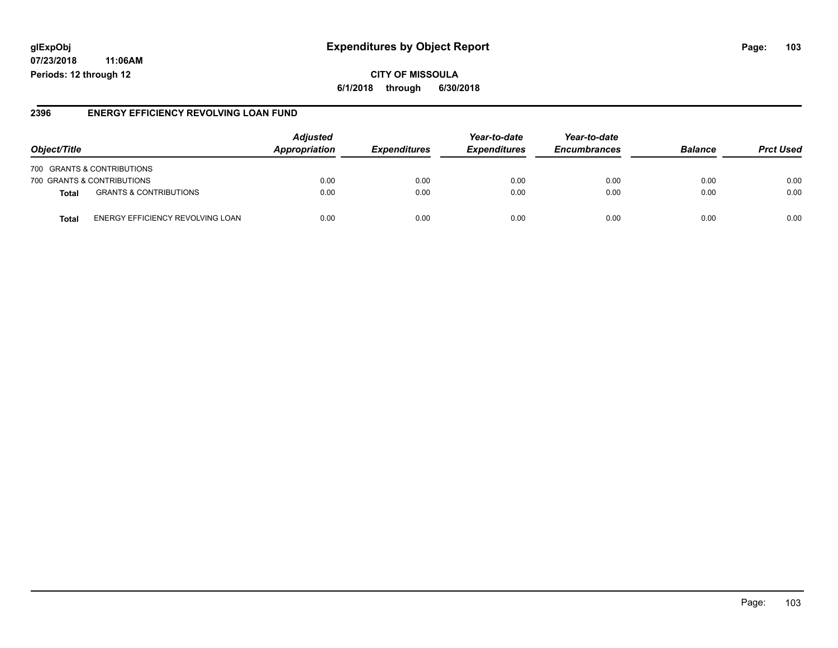# **glExpObj Expenditures by Object Report Page: 103**

**07/23/2018 11:06AM Periods: 12 through 12**

**CITY OF MISSOULA 6/1/2018 through 6/30/2018**

#### **2396 ENERGY EFFICIENCY REVOLVING LOAN FUND**

| Object/Title                                     | <b>Adjusted</b><br>Appropriation | <b>Expenditures</b> | Year-to-date<br><b>Expenditures</b> | Year-to-date<br><b>Encumbrances</b> | <b>Balance</b> | <b>Prct Used</b> |
|--------------------------------------------------|----------------------------------|---------------------|-------------------------------------|-------------------------------------|----------------|------------------|
|                                                  |                                  |                     |                                     |                                     |                |                  |
| 700 GRANTS & CONTRIBUTIONS                       |                                  |                     |                                     |                                     |                |                  |
| 700 GRANTS & CONTRIBUTIONS                       | 0.00                             | 0.00                | 0.00                                | 0.00                                | 0.00           | 0.00             |
| <b>GRANTS &amp; CONTRIBUTIONS</b><br>Total       | 0.00                             | 0.00                | 0.00                                | 0.00                                | 0.00           | 0.00             |
| ENERGY EFFICIENCY REVOLVING LOAN<br><b>Total</b> | 0.00                             | 0.00                | 0.00                                | 0.00                                | 0.00           | 0.00             |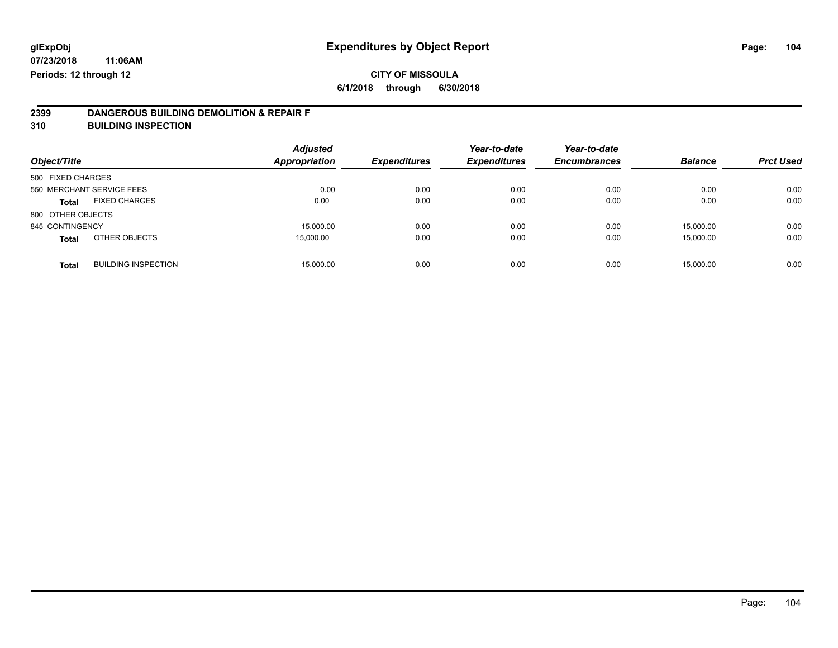# **2399 DANGEROUS BUILDING DEMOLITION & REPAIR F**

**310 BUILDING INSPECTION**

| Object/Title                               | <b>Adjusted</b><br>Appropriation | <b>Expenditures</b> | Year-to-date<br><b>Expenditures</b> | Year-to-date<br><b>Encumbrances</b> | <b>Balance</b> | <b>Prct Used</b> |
|--------------------------------------------|----------------------------------|---------------------|-------------------------------------|-------------------------------------|----------------|------------------|
| 500 FIXED CHARGES                          |                                  |                     |                                     |                                     |                |                  |
| 550 MERCHANT SERVICE FEES                  | 0.00                             | 0.00                | 0.00                                | 0.00                                | 0.00           | 0.00             |
| <b>FIXED CHARGES</b><br><b>Total</b>       | 0.00                             | 0.00                | 0.00                                | 0.00                                | 0.00           | 0.00             |
| 800 OTHER OBJECTS                          |                                  |                     |                                     |                                     |                |                  |
| 845 CONTINGENCY                            | 15,000.00                        | 0.00                | 0.00                                | 0.00                                | 15.000.00      | 0.00             |
| OTHER OBJECTS<br><b>Total</b>              | 15,000.00                        | 0.00                | 0.00                                | 0.00                                | 15,000.00      | 0.00             |
| <b>BUILDING INSPECTION</b><br><b>Total</b> | 15,000.00                        | 0.00                | 0.00                                | 0.00                                | 15,000.00      | 0.00             |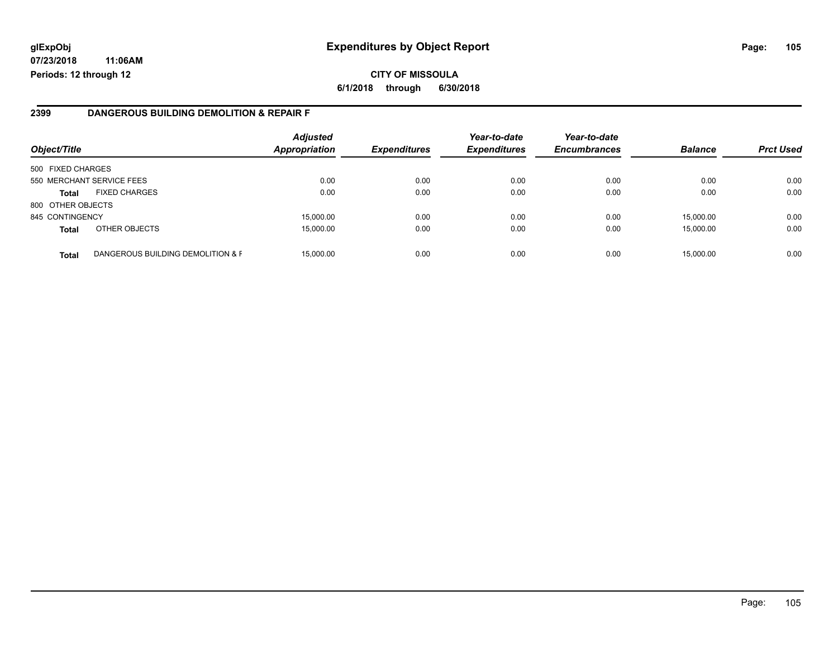**CITY OF MISSOULA 6/1/2018 through 6/30/2018**

#### **2399 DANGEROUS BUILDING DEMOLITION & REPAIR F**

| Object/Title      |                                   | <b>Adjusted</b><br><b>Appropriation</b> | <b>Expenditures</b> | Year-to-date<br><b>Expenditures</b> | Year-to-date<br><b>Encumbrances</b> | <b>Balance</b> | <b>Prct Used</b> |
|-------------------|-----------------------------------|-----------------------------------------|---------------------|-------------------------------------|-------------------------------------|----------------|------------------|
| 500 FIXED CHARGES |                                   |                                         |                     |                                     |                                     |                |                  |
|                   | 550 MERCHANT SERVICE FEES         | 0.00                                    | 0.00                | 0.00                                | 0.00                                | 0.00           | 0.00             |
| <b>Total</b>      | <b>FIXED CHARGES</b>              | 0.00                                    | 0.00                | 0.00                                | 0.00                                | 0.00           | 0.00             |
| 800 OTHER OBJECTS |                                   |                                         |                     |                                     |                                     |                |                  |
| 845 CONTINGENCY   |                                   | 15,000.00                               | 0.00                | 0.00                                | 0.00                                | 15.000.00      | 0.00             |
| <b>Total</b>      | OTHER OBJECTS                     | 15,000.00                               | 0.00                | 0.00                                | 0.00                                | 15,000.00      | 0.00             |
| <b>Total</b>      | DANGEROUS BUILDING DEMOLITION & F | 15,000.00                               | 0.00                | 0.00                                | 0.00                                | 15,000.00      | 0.00             |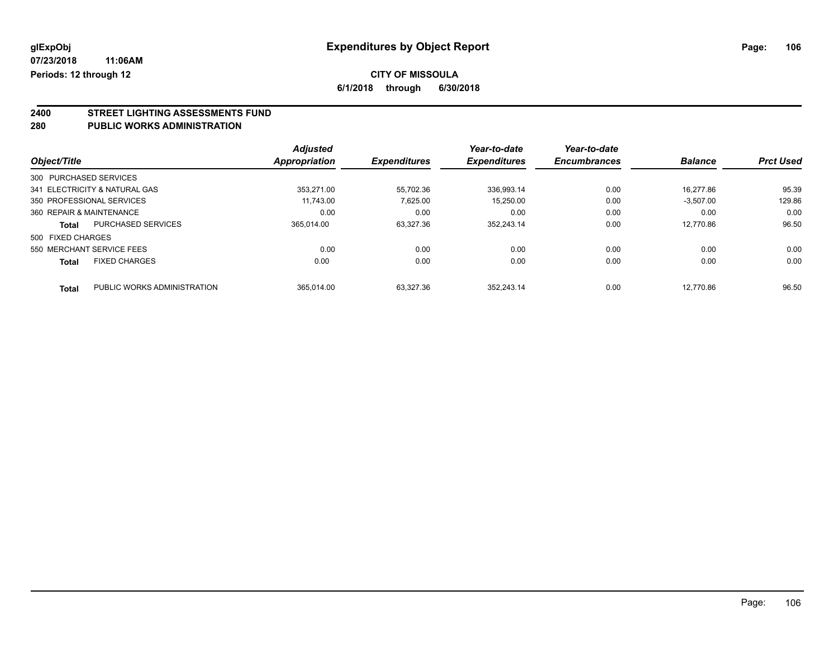# **2400 STREET LIGHTING ASSESSMENTS FUND**

#### **280 PUBLIC WORKS ADMINISTRATION**

|                          |                               | <b>Adjusted</b> |                     | Year-to-date        | Year-to-date        |                | <b>Prct Used</b> |
|--------------------------|-------------------------------|-----------------|---------------------|---------------------|---------------------|----------------|------------------|
| Object/Title             |                               | Appropriation   | <b>Expenditures</b> | <b>Expenditures</b> | <b>Encumbrances</b> | <b>Balance</b> |                  |
| 300 PURCHASED SERVICES   |                               |                 |                     |                     |                     |                |                  |
|                          | 341 ELECTRICITY & NATURAL GAS | 353.271.00      | 55.702.36           | 336.993.14          | 0.00                | 16.277.86      | 95.39            |
|                          | 350 PROFESSIONAL SERVICES     | 11.743.00       | 7,625.00            | 15.250.00           | 0.00                | $-3.507.00$    | 129.86           |
| 360 REPAIR & MAINTENANCE |                               | 0.00            | 0.00                | 0.00                | 0.00                | 0.00           | 0.00             |
| <b>Total</b>             | <b>PURCHASED SERVICES</b>     | 365.014.00      | 63.327.36           | 352.243.14          | 0.00                | 12.770.86      | 96.50            |
| 500 FIXED CHARGES        |                               |                 |                     |                     |                     |                |                  |
|                          | 550 MERCHANT SERVICE FEES     | 0.00            | 0.00                | 0.00                | 0.00                | 0.00           | 0.00             |
| <b>Total</b>             | <b>FIXED CHARGES</b>          | 0.00            | 0.00                | 0.00                | 0.00                | 0.00           | 0.00             |
| <b>Total</b>             | PUBLIC WORKS ADMINISTRATION   | 365.014.00      | 63.327.36           | 352.243.14          | 0.00                | 12,770.86      | 96.50            |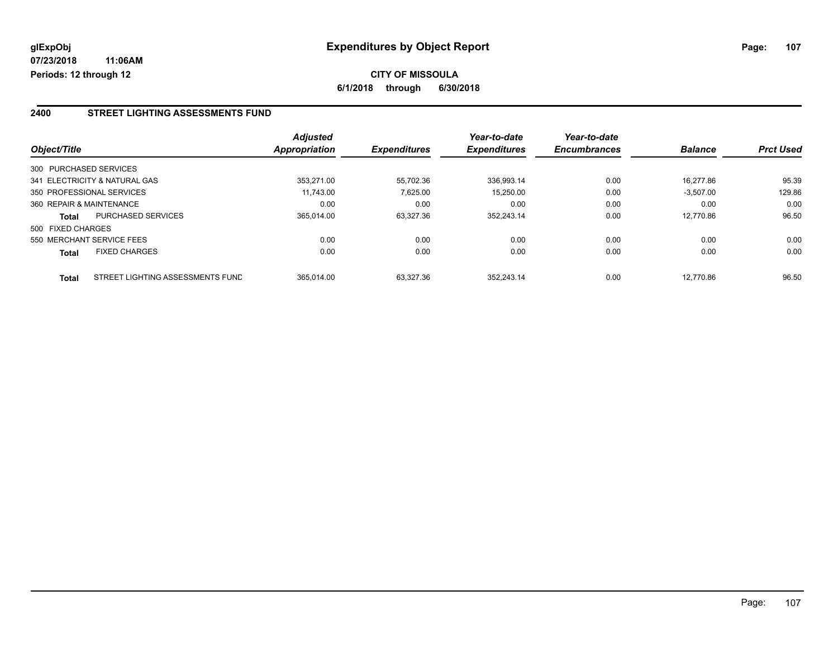**CITY OF MISSOULA 6/1/2018 through 6/30/2018**

#### **2400 STREET LIGHTING ASSESSMENTS FUND**

|                          |                                  | <b>Adjusted</b>      |                     | Year-to-date        | Year-to-date        |                |                  |
|--------------------------|----------------------------------|----------------------|---------------------|---------------------|---------------------|----------------|------------------|
| Object/Title             |                                  | <b>Appropriation</b> | <b>Expenditures</b> | <b>Expenditures</b> | <b>Encumbrances</b> | <b>Balance</b> | <b>Prct Used</b> |
| 300 PURCHASED SERVICES   |                                  |                      |                     |                     |                     |                |                  |
|                          | 341 ELECTRICITY & NATURAL GAS    | 353.271.00           | 55,702.36           | 336.993.14          | 0.00                | 16.277.86      | 95.39            |
|                          | 350 PROFESSIONAL SERVICES        | 11.743.00            | 7,625.00            | 15,250.00           | 0.00                | $-3,507.00$    | 129.86           |
| 360 REPAIR & MAINTENANCE |                                  | 0.00                 | 0.00                | 0.00                | 0.00                | 0.00           | 0.00             |
| <b>Total</b>             | <b>PURCHASED SERVICES</b>        | 365.014.00           | 63,327.36           | 352.243.14          | 0.00                | 12.770.86      | 96.50            |
| 500 FIXED CHARGES        |                                  |                      |                     |                     |                     |                |                  |
|                          | 550 MERCHANT SERVICE FEES        | 0.00                 | 0.00                | 0.00                | 0.00                | 0.00           | 0.00             |
| <b>Total</b>             | <b>FIXED CHARGES</b>             | 0.00                 | 0.00                | 0.00                | 0.00                | 0.00           | 0.00             |
| <b>Total</b>             | STREET LIGHTING ASSESSMENTS FUND | 365.014.00           | 63.327.36           | 352.243.14          | 0.00                | 12.770.86      | 96.50            |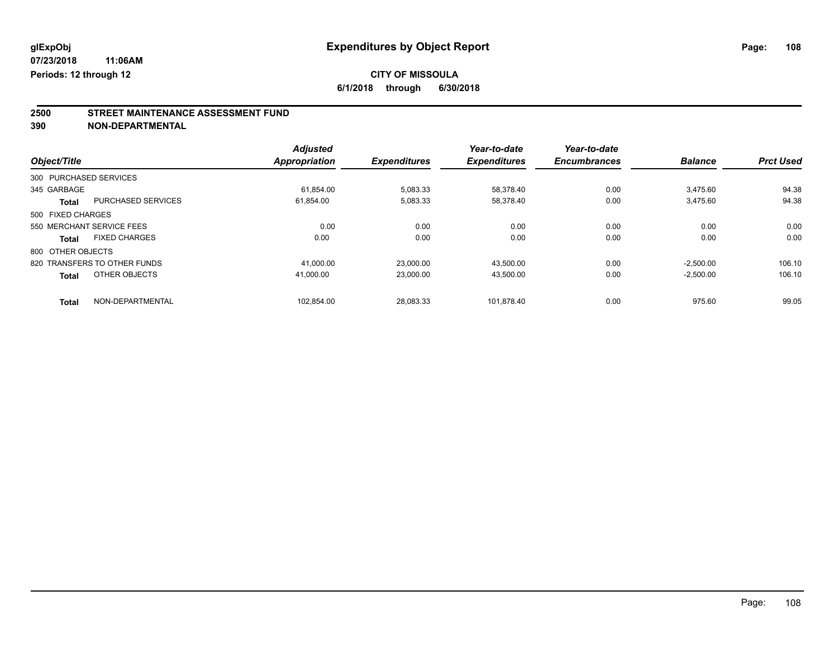# **2500 STREET MAINTENANCE ASSESSMENT FUND**

|                        |                              | <b>Adjusted</b>      |                     | Year-to-date        | Year-to-date        |                |                  |
|------------------------|------------------------------|----------------------|---------------------|---------------------|---------------------|----------------|------------------|
| Object/Title           |                              | <b>Appropriation</b> | <b>Expenditures</b> | <b>Expenditures</b> | <b>Encumbrances</b> | <b>Balance</b> | <b>Prct Used</b> |
| 300 PURCHASED SERVICES |                              |                      |                     |                     |                     |                |                  |
| 345 GARBAGE            |                              | 61.854.00            | 5,083.33            | 58,378.40           | 0.00                | 3,475.60       | 94.38            |
| <b>Total</b>           | <b>PURCHASED SERVICES</b>    | 61.854.00            | 5,083.33            | 58,378.40           | 0.00                | 3,475.60       | 94.38            |
| 500 FIXED CHARGES      |                              |                      |                     |                     |                     |                |                  |
|                        | 550 MERCHANT SERVICE FEES    | 0.00                 | 0.00                | 0.00                | 0.00                | 0.00           | 0.00             |
| Total                  | <b>FIXED CHARGES</b>         | 0.00                 | 0.00                | 0.00                | 0.00                | 0.00           | 0.00             |
| 800 OTHER OBJECTS      |                              |                      |                     |                     |                     |                |                  |
|                        | 820 TRANSFERS TO OTHER FUNDS | 41.000.00            | 23.000.00           | 43.500.00           | 0.00                | $-2.500.00$    | 106.10           |
| <b>Total</b>           | OTHER OBJECTS                | 41,000.00            | 23,000.00           | 43,500.00           | 0.00                | $-2,500.00$    | 106.10           |
| <b>Total</b>           | NON-DEPARTMENTAL             | 102.854.00           | 28.083.33           | 101.878.40          | 0.00                | 975.60         | 99.05            |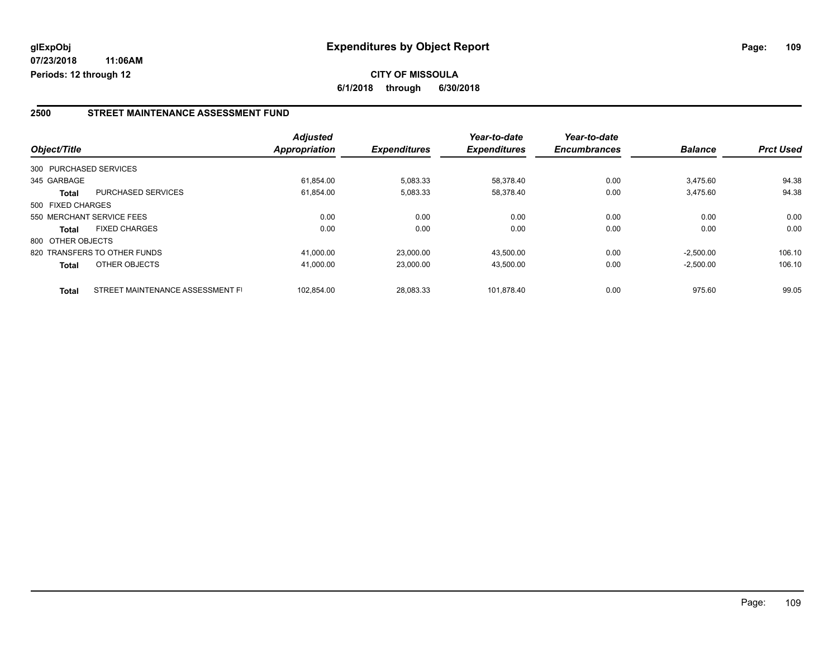#### **07/23/2018 11:06AM Periods: 12 through 12**

**CITY OF MISSOULA 6/1/2018 through 6/30/2018**

#### **2500 STREET MAINTENANCE ASSESSMENT FUND**

|                        |                                  | <b>Adjusted</b>      |                     | Year-to-date        | Year-to-date        |                |                  |
|------------------------|----------------------------------|----------------------|---------------------|---------------------|---------------------|----------------|------------------|
| Object/Title           |                                  | <b>Appropriation</b> | <b>Expenditures</b> | <b>Expenditures</b> | <b>Encumbrances</b> | <b>Balance</b> | <b>Prct Used</b> |
| 300 PURCHASED SERVICES |                                  |                      |                     |                     |                     |                |                  |
| 345 GARBAGE            |                                  | 61.854.00            | 5,083.33            | 58.378.40           | 0.00                | 3.475.60       | 94.38            |
| <b>Total</b>           | PURCHASED SERVICES               | 61,854.00            | 5,083.33            | 58,378.40           | 0.00                | 3.475.60       | 94.38            |
| 500 FIXED CHARGES      |                                  |                      |                     |                     |                     |                |                  |
|                        | 550 MERCHANT SERVICE FEES        | 0.00                 | 0.00                | 0.00                | 0.00                | 0.00           | 0.00             |
| <b>Total</b>           | <b>FIXED CHARGES</b>             | 0.00                 | 0.00                | 0.00                | 0.00                | 0.00           | 0.00             |
| 800 OTHER OBJECTS      |                                  |                      |                     |                     |                     |                |                  |
|                        | 820 TRANSFERS TO OTHER FUNDS     | 41,000.00            | 23,000.00           | 43,500.00           | 0.00                | $-2,500.00$    | 106.10           |
| <b>Total</b>           | OTHER OBJECTS                    | 41,000.00            | 23,000.00           | 43,500.00           | 0.00                | $-2,500.00$    | 106.10           |
| <b>Total</b>           | STREET MAINTENANCE ASSESSMENT FI | 102.854.00           | 28,083.33           | 101.878.40          | 0.00                | 975.60         | 99.05            |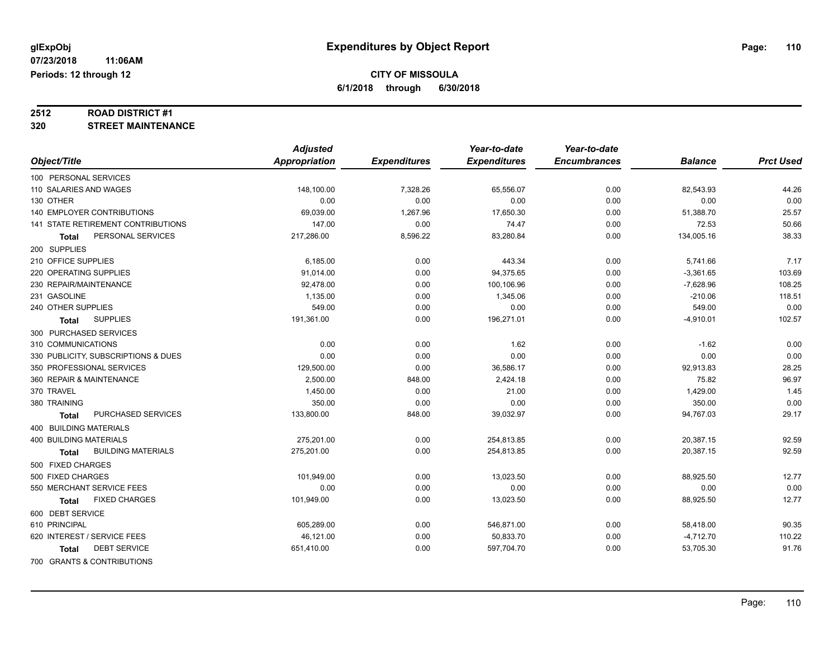## **2512 ROAD DISTRICT #1**

#### **320 STREET MAINTENANCE**

|                                      | <b>Adjusted</b>      |                     | Year-to-date        | Year-to-date        |                |                  |
|--------------------------------------|----------------------|---------------------|---------------------|---------------------|----------------|------------------|
| Object/Title                         | <b>Appropriation</b> | <b>Expenditures</b> | <b>Expenditures</b> | <b>Encumbrances</b> | <b>Balance</b> | <b>Prct Used</b> |
| 100 PERSONAL SERVICES                |                      |                     |                     |                     |                |                  |
| 110 SALARIES AND WAGES               | 148,100.00           | 7,328.26            | 65,556.07           | 0.00                | 82,543.93      | 44.26            |
| 130 OTHER                            | 0.00                 | 0.00                | 0.00                | 0.00                | 0.00           | 0.00             |
| 140 EMPLOYER CONTRIBUTIONS           | 69,039.00            | 1,267.96            | 17,650.30           | 0.00                | 51,388.70      | 25.57            |
| 141 STATE RETIREMENT CONTRIBUTIONS   | 147.00               | 0.00                | 74.47               | 0.00                | 72.53          | 50.66            |
| PERSONAL SERVICES<br>Total           | 217,286.00           | 8,596.22            | 83,280.84           | 0.00                | 134,005.16     | 38.33            |
| 200 SUPPLIES                         |                      |                     |                     |                     |                |                  |
| 210 OFFICE SUPPLIES                  | 6,185.00             | 0.00                | 443.34              | 0.00                | 5,741.66       | 7.17             |
| 220 OPERATING SUPPLIES               | 91,014.00            | 0.00                | 94,375.65           | 0.00                | $-3,361.65$    | 103.69           |
| 230 REPAIR/MAINTENANCE               | 92,478.00            | 0.00                | 100,106.96          | 0.00                | $-7,628.96$    | 108.25           |
| 231 GASOLINE                         | 1,135.00             | 0.00                | 1,345.06            | 0.00                | $-210.06$      | 118.51           |
| 240 OTHER SUPPLIES                   | 549.00               | 0.00                | 0.00                | 0.00                | 549.00         | 0.00             |
| <b>SUPPLIES</b><br><b>Total</b>      | 191,361.00           | 0.00                | 196,271.01          | 0.00                | $-4,910.01$    | 102.57           |
| 300 PURCHASED SERVICES               |                      |                     |                     |                     |                |                  |
| 310 COMMUNICATIONS                   | 0.00                 | 0.00                | 1.62                | 0.00                | $-1.62$        | 0.00             |
| 330 PUBLICITY, SUBSCRIPTIONS & DUES  | 0.00                 | 0.00                | 0.00                | 0.00                | 0.00           | 0.00             |
| 350 PROFESSIONAL SERVICES            | 129,500.00           | 0.00                | 36,586.17           | 0.00                | 92,913.83      | 28.25            |
| 360 REPAIR & MAINTENANCE             | 2,500.00             | 848.00              | 2,424.18            | 0.00                | 75.82          | 96.97            |
| 370 TRAVEL                           | 1,450.00             | 0.00                | 21.00               | 0.00                | 1,429.00       | 1.45             |
| 380 TRAINING                         | 350.00               | 0.00                | 0.00                | 0.00                | 350.00         | 0.00             |
| PURCHASED SERVICES<br><b>Total</b>   | 133,800.00           | 848.00              | 39,032.97           | 0.00                | 94,767.03      | 29.17            |
| <b>400 BUILDING MATERIALS</b>        |                      |                     |                     |                     |                |                  |
| <b>400 BUILDING MATERIALS</b>        | 275,201.00           | 0.00                | 254,813.85          | 0.00                | 20,387.15      | 92.59            |
| <b>BUILDING MATERIALS</b><br>Total   | 275,201.00           | 0.00                | 254,813.85          | 0.00                | 20,387.15      | 92.59            |
| 500 FIXED CHARGES                    |                      |                     |                     |                     |                |                  |
| 500 FIXED CHARGES                    | 101,949.00           | 0.00                | 13,023.50           | 0.00                | 88,925.50      | 12.77            |
| 550 MERCHANT SERVICE FEES            | 0.00                 | 0.00                | 0.00                | 0.00                | 0.00           | 0.00             |
| <b>FIXED CHARGES</b><br><b>Total</b> | 101,949.00           | 0.00                | 13,023.50           | 0.00                | 88,925.50      | 12.77            |
| 600 DEBT SERVICE                     |                      |                     |                     |                     |                |                  |
| 610 PRINCIPAL                        | 605,289.00           | 0.00                | 546,871.00          | 0.00                | 58,418.00      | 90.35            |
| 620 INTEREST / SERVICE FEES          | 46,121.00            | 0.00                | 50,833.70           | 0.00                | $-4,712.70$    | 110.22           |
| <b>DEBT SERVICE</b><br><b>Total</b>  | 651,410.00           | 0.00                | 597,704.70          | 0.00                | 53,705.30      | 91.76            |
| 700 GRANTS & CONTRIBUTIONS           |                      |                     |                     |                     |                |                  |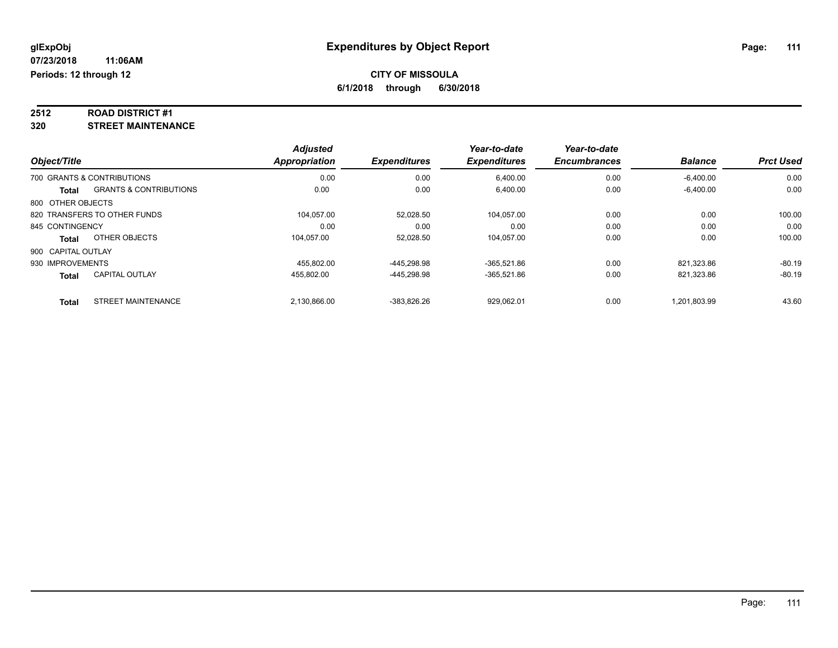## **2512 ROAD DISTRICT #1**

**320 STREET MAINTENANCE**

|                    |                                   | <b>Adjusted</b>      |                     | Year-to-date        | Year-to-date        |                |                  |
|--------------------|-----------------------------------|----------------------|---------------------|---------------------|---------------------|----------------|------------------|
| Object/Title       |                                   | <b>Appropriation</b> | <b>Expenditures</b> | <b>Expenditures</b> | <b>Encumbrances</b> | <b>Balance</b> | <b>Prct Used</b> |
|                    | 700 GRANTS & CONTRIBUTIONS        | 0.00                 | 0.00                | 6.400.00            | 0.00                | $-6.400.00$    | 0.00             |
| Total              | <b>GRANTS &amp; CONTRIBUTIONS</b> | 0.00                 | 0.00                | 6,400.00            | 0.00                | $-6,400.00$    | 0.00             |
| 800 OTHER OBJECTS  |                                   |                      |                     |                     |                     |                |                  |
|                    | 820 TRANSFERS TO OTHER FUNDS      | 104.057.00           | 52,028.50           | 104.057.00          | 0.00                | 0.00           | 100.00           |
| 845 CONTINGENCY    |                                   | 0.00                 | 0.00                | 0.00                | 0.00                | 0.00           | 0.00             |
| Total              | OTHER OBJECTS                     | 104.057.00           | 52,028.50           | 104,057.00          | 0.00                | 0.00           | 100.00           |
| 900 CAPITAL OUTLAY |                                   |                      |                     |                     |                     |                |                  |
| 930 IMPROVEMENTS   |                                   | 455.802.00           | -445.298.98         | -365.521.86         | 0.00                | 821.323.86     | $-80.19$         |
| <b>Total</b>       | <b>CAPITAL OUTLAY</b>             | 455,802.00           | -445,298.98         | $-365,521.86$       | 0.00                | 821,323.86     | $-80.19$         |
| Total              | <b>STREET MAINTENANCE</b>         | 2.130.866.00         | -383.826.26         | 929.062.01          | 0.00                | 1.201.803.99   | 43.60            |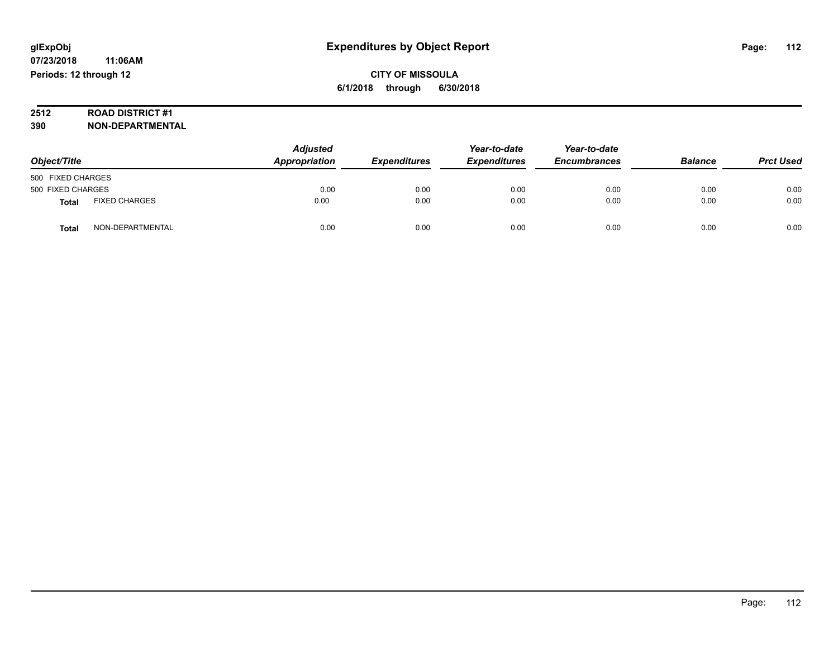## **2512 ROAD DISTRICT #1**

**390 NON-DEPARTMENTAL**

| Object/Title      |                      | <b>Adjusted</b><br>Appropriation | <b>Expenditures</b> | Year-to-date<br><b>Expenditures</b> | Year-to-date<br><b>Encumbrances</b> | <b>Balance</b> | <b>Prct Used</b> |
|-------------------|----------------------|----------------------------------|---------------------|-------------------------------------|-------------------------------------|----------------|------------------|
| 500 FIXED CHARGES |                      |                                  |                     |                                     |                                     |                |                  |
| 500 FIXED CHARGES |                      | 0.00                             | 0.00                | 0.00                                | 0.00                                | 0.00           | 0.00             |
| <b>Total</b>      | <b>FIXED CHARGES</b> | 0.00                             | 0.00                | 0.00                                | 0.00                                | 0.00           | 0.00             |
| <b>Total</b>      | NON-DEPARTMENTAL     | 0.00                             | 0.00                | 0.00                                | 0.00                                | 0.00           | 0.00             |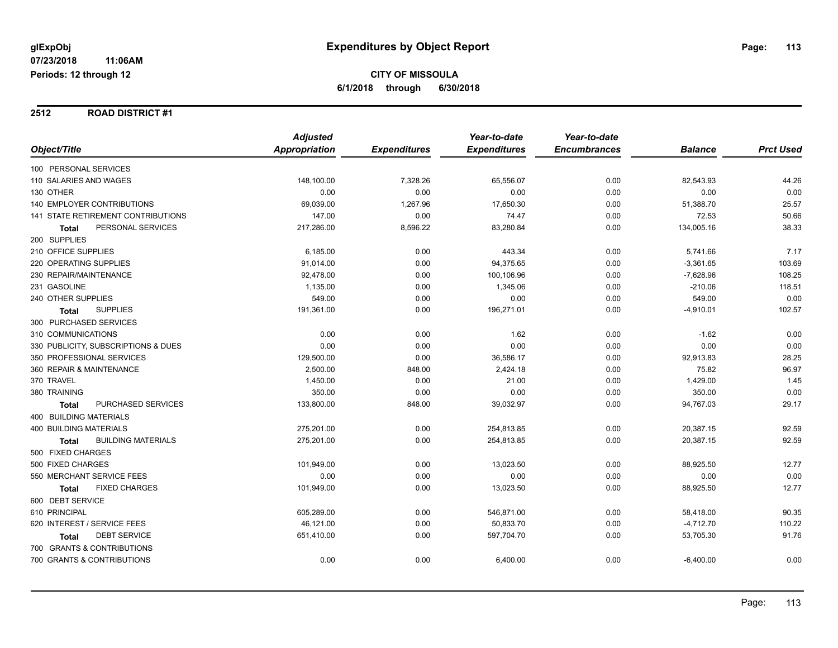#### **2512 ROAD DISTRICT #1**

|                                      | <b>Adjusted</b> |                     | Year-to-date        | Year-to-date        |                |                  |
|--------------------------------------|-----------------|---------------------|---------------------|---------------------|----------------|------------------|
| Object/Title                         | Appropriation   | <b>Expenditures</b> | <b>Expenditures</b> | <b>Encumbrances</b> | <b>Balance</b> | <b>Prct Used</b> |
| 100 PERSONAL SERVICES                |                 |                     |                     |                     |                |                  |
| 110 SALARIES AND WAGES               | 148,100.00      | 7,328.26            | 65,556.07           | 0.00                | 82,543.93      | 44.26            |
| 130 OTHER                            | 0.00            | 0.00                | 0.00                | 0.00                | 0.00           | 0.00             |
| 140 EMPLOYER CONTRIBUTIONS           | 69,039.00       | 1,267.96            | 17,650.30           | 0.00                | 51,388.70      | 25.57            |
| 141 STATE RETIREMENT CONTRIBUTIONS   | 147.00          | 0.00                | 74.47               | 0.00                | 72.53          | 50.66            |
| PERSONAL SERVICES<br>Total           | 217,286.00      | 8,596.22            | 83,280.84           | 0.00                | 134,005.16     | 38.33            |
| 200 SUPPLIES                         |                 |                     |                     |                     |                |                  |
| 210 OFFICE SUPPLIES                  | 6,185.00        | 0.00                | 443.34              | 0.00                | 5,741.66       | 7.17             |
| 220 OPERATING SUPPLIES               | 91,014.00       | 0.00                | 94,375.65           | 0.00                | $-3,361.65$    | 103.69           |
| 230 REPAIR/MAINTENANCE               | 92,478.00       | 0.00                | 100,106.96          | 0.00                | $-7,628.96$    | 108.25           |
| 231 GASOLINE                         | 1,135.00        | 0.00                | 1,345.06            | 0.00                | $-210.06$      | 118.51           |
| 240 OTHER SUPPLIES                   | 549.00          | 0.00                | 0.00                | 0.00                | 549.00         | 0.00             |
| <b>SUPPLIES</b><br><b>Total</b>      | 191,361.00      | 0.00                | 196,271.01          | 0.00                | $-4,910.01$    | 102.57           |
| 300 PURCHASED SERVICES               |                 |                     |                     |                     |                |                  |
| 310 COMMUNICATIONS                   | 0.00            | 0.00                | 1.62                | 0.00                | $-1.62$        | 0.00             |
| 330 PUBLICITY, SUBSCRIPTIONS & DUES  | 0.00            | 0.00                | 0.00                | 0.00                | 0.00           | 0.00             |
| 350 PROFESSIONAL SERVICES            | 129,500.00      | 0.00                | 36,586.17           | 0.00                | 92,913.83      | 28.25            |
| 360 REPAIR & MAINTENANCE             | 2,500.00        | 848.00              | 2,424.18            | 0.00                | 75.82          | 96.97            |
| 370 TRAVEL                           | 1,450.00        | 0.00                | 21.00               | 0.00                | 1,429.00       | 1.45             |
| 380 TRAINING                         | 350.00          | 0.00                | 0.00                | 0.00                | 350.00         | 0.00             |
| PURCHASED SERVICES<br><b>Total</b>   | 133,800.00      | 848.00              | 39,032.97           | 0.00                | 94,767.03      | 29.17            |
| <b>400 BUILDING MATERIALS</b>        |                 |                     |                     |                     |                |                  |
| <b>400 BUILDING MATERIALS</b>        | 275,201.00      | 0.00                | 254,813.85          | 0.00                | 20,387.15      | 92.59            |
| <b>BUILDING MATERIALS</b><br>Total   | 275,201.00      | 0.00                | 254,813.85          | 0.00                | 20,387.15      | 92.59            |
| 500 FIXED CHARGES                    |                 |                     |                     |                     |                |                  |
| 500 FIXED CHARGES                    | 101,949.00      | 0.00                | 13,023.50           | 0.00                | 88,925.50      | 12.77            |
| 550 MERCHANT SERVICE FEES            | 0.00            | 0.00                | 0.00                | 0.00                | 0.00           | 0.00             |
| <b>FIXED CHARGES</b><br><b>Total</b> | 101,949.00      | 0.00                | 13,023.50           | 0.00                | 88,925.50      | 12.77            |
| 600 DEBT SERVICE                     |                 |                     |                     |                     |                |                  |
| 610 PRINCIPAL                        | 605,289.00      | 0.00                | 546,871.00          | 0.00                | 58,418.00      | 90.35            |
| 620 INTEREST / SERVICE FEES          | 46,121.00       | 0.00                | 50,833.70           | 0.00                | $-4,712.70$    | 110.22           |
| <b>DEBT SERVICE</b><br><b>Total</b>  | 651,410.00      | 0.00                | 597,704.70          | 0.00                | 53,705.30      | 91.76            |
| 700 GRANTS & CONTRIBUTIONS           |                 |                     |                     |                     |                |                  |
| 700 GRANTS & CONTRIBUTIONS           | 0.00            | 0.00                | 6,400.00            | 0.00                | $-6,400.00$    | 0.00             |
|                                      |                 |                     |                     |                     |                |                  |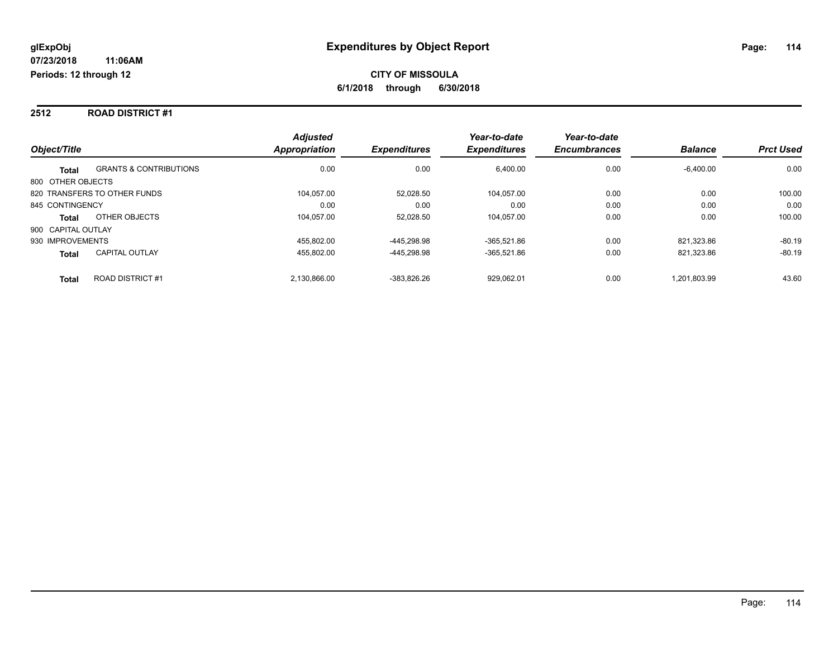#### **2512 ROAD DISTRICT #1**

|                                                   |  | <b>Adjusted</b>      |                     | Year-to-date        | Year-to-date        |                |                  |
|---------------------------------------------------|--|----------------------|---------------------|---------------------|---------------------|----------------|------------------|
| Object/Title                                      |  | <b>Appropriation</b> | <b>Expenditures</b> | <b>Expenditures</b> | <b>Encumbrances</b> | <b>Balance</b> | <b>Prct Used</b> |
| <b>GRANTS &amp; CONTRIBUTIONS</b><br><b>Total</b> |  | 0.00                 | 0.00                | 6,400.00            | 0.00                | $-6,400.00$    | 0.00             |
| 800 OTHER OBJECTS                                 |  |                      |                     |                     |                     |                |                  |
| 820 TRANSFERS TO OTHER FUNDS                      |  | 104.057.00           | 52.028.50           | 104.057.00          | 0.00                | 0.00           | 100.00           |
| 845 CONTINGENCY                                   |  | 0.00                 | 0.00                | 0.00                | 0.00                | 0.00           | 0.00             |
| OTHER OBJECTS<br>Total                            |  | 104.057.00           | 52.028.50           | 104.057.00          | 0.00                | 0.00           | 100.00           |
| 900 CAPITAL OUTLAY                                |  |                      |                     |                     |                     |                |                  |
| 930 IMPROVEMENTS                                  |  | 455.802.00           | -445.298.98         | $-365.521.86$       | 0.00                | 821.323.86     | $-80.19$         |
| <b>CAPITAL OUTLAY</b><br><b>Total</b>             |  | 455,802.00           | -445,298.98         | $-365,521.86$       | 0.00                | 821,323.86     | $-80.19$         |
| <b>ROAD DISTRICT #1</b><br><b>Total</b>           |  | 2.130.866.00         | -383.826.26         | 929.062.01          | 0.00                | 1.201.803.99   | 43.60            |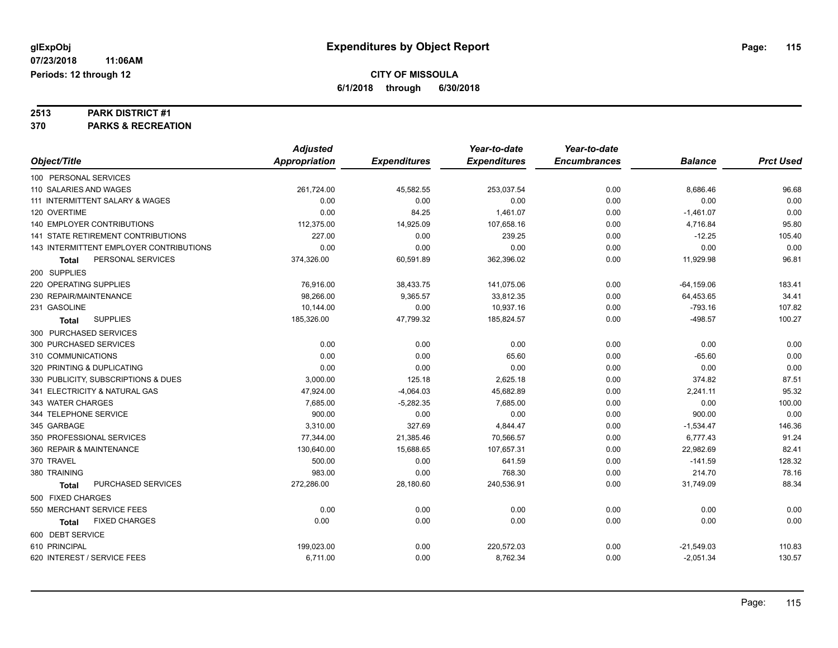## **2513 PARK DISTRICT #1**

**370 PARKS & RECREATION**

|                                           | <b>Adjusted</b> |                     | Year-to-date        | Year-to-date        |                |                  |
|-------------------------------------------|-----------------|---------------------|---------------------|---------------------|----------------|------------------|
| Object/Title                              | Appropriation   | <b>Expenditures</b> | <b>Expenditures</b> | <b>Encumbrances</b> | <b>Balance</b> | <b>Prct Used</b> |
| 100 PERSONAL SERVICES                     |                 |                     |                     |                     |                |                  |
| 110 SALARIES AND WAGES                    | 261,724.00      | 45,582.55           | 253,037.54          | 0.00                | 8,686.46       | 96.68            |
| 111 INTERMITTENT SALARY & WAGES           | 0.00            | 0.00                | 0.00                | 0.00                | 0.00           | 0.00             |
| 120 OVERTIME                              | 0.00            | 84.25               | 1,461.07            | 0.00                | $-1,461.07$    | 0.00             |
| 140 EMPLOYER CONTRIBUTIONS                | 112,375.00      | 14,925.09           | 107,658.16          | 0.00                | 4,716.84       | 95.80            |
| <b>141 STATE RETIREMENT CONTRIBUTIONS</b> | 227.00          | 0.00                | 239.25              | 0.00                | $-12.25$       | 105.40           |
| 143 INTERMITTENT EMPLOYER CONTRIBUTIONS   | 0.00            | 0.00                | 0.00                | 0.00                | 0.00           | 0.00             |
| PERSONAL SERVICES<br>Total                | 374,326.00      | 60,591.89           | 362,396.02          | 0.00                | 11,929.98      | 96.81            |
| 200 SUPPLIES                              |                 |                     |                     |                     |                |                  |
| 220 OPERATING SUPPLIES                    | 76,916.00       | 38,433.75           | 141,075.06          | 0.00                | $-64, 159.06$  | 183.41           |
| 230 REPAIR/MAINTENANCE                    | 98,266.00       | 9,365.57            | 33,812.35           | 0.00                | 64,453.65      | 34.41            |
| 231 GASOLINE                              | 10,144.00       | 0.00                | 10,937.16           | 0.00                | $-793.16$      | 107.82           |
| <b>SUPPLIES</b><br><b>Total</b>           | 185,326.00      | 47,799.32           | 185,824.57          | 0.00                | $-498.57$      | 100.27           |
| 300 PURCHASED SERVICES                    |                 |                     |                     |                     |                |                  |
| 300 PURCHASED SERVICES                    | 0.00            | 0.00                | 0.00                | 0.00                | 0.00           | 0.00             |
| 310 COMMUNICATIONS                        | 0.00            | 0.00                | 65.60               | 0.00                | $-65.60$       | 0.00             |
| 320 PRINTING & DUPLICATING                | 0.00            | 0.00                | 0.00                | 0.00                | 0.00           | 0.00             |
| 330 PUBLICITY, SUBSCRIPTIONS & DUES       | 3,000.00        | 125.18              | 2,625.18            | 0.00                | 374.82         | 87.51            |
| 341 ELECTRICITY & NATURAL GAS             | 47,924.00       | $-4,064.03$         | 45,682.89           | 0.00                | 2,241.11       | 95.32            |
| 343 WATER CHARGES                         | 7,685.00        | $-5,282.35$         | 7,685.00            | 0.00                | 0.00           | 100.00           |
| 344 TELEPHONE SERVICE                     | 900.00          | 0.00                | 0.00                | 0.00                | 900.00         | 0.00             |
| 345 GARBAGE                               | 3,310.00        | 327.69              | 4,844.47            | 0.00                | $-1,534.47$    | 146.36           |
| 350 PROFESSIONAL SERVICES                 | 77,344.00       | 21,385.46           | 70,566.57           | 0.00                | 6,777.43       | 91.24            |
| 360 REPAIR & MAINTENANCE                  | 130,640.00      | 15,688.65           | 107,657.31          | 0.00                | 22,982.69      | 82.41            |
| 370 TRAVEL                                | 500.00          | 0.00                | 641.59              | 0.00                | $-141.59$      | 128.32           |
| 380 TRAINING                              | 983.00          | 0.00                | 768.30              | 0.00                | 214.70         | 78.16            |
| PURCHASED SERVICES<br><b>Total</b>        | 272,286.00      | 28,180.60           | 240,536.91          | 0.00                | 31,749.09      | 88.34            |
| 500 FIXED CHARGES                         |                 |                     |                     |                     |                |                  |
| 550 MERCHANT SERVICE FEES                 | 0.00            | 0.00                | 0.00                | 0.00                | 0.00           | 0.00             |
| <b>FIXED CHARGES</b><br><b>Total</b>      | 0.00            | 0.00                | 0.00                | 0.00                | 0.00           | 0.00             |
| 600 DEBT SERVICE                          |                 |                     |                     |                     |                |                  |
| 610 PRINCIPAL                             | 199,023.00      | 0.00                | 220,572.03          | 0.00                | $-21,549.03$   | 110.83           |
| 620 INTEREST / SERVICE FEES               | 6,711.00        | 0.00                | 8,762.34            | 0.00                | $-2,051.34$    | 130.57           |
|                                           |                 |                     |                     |                     |                |                  |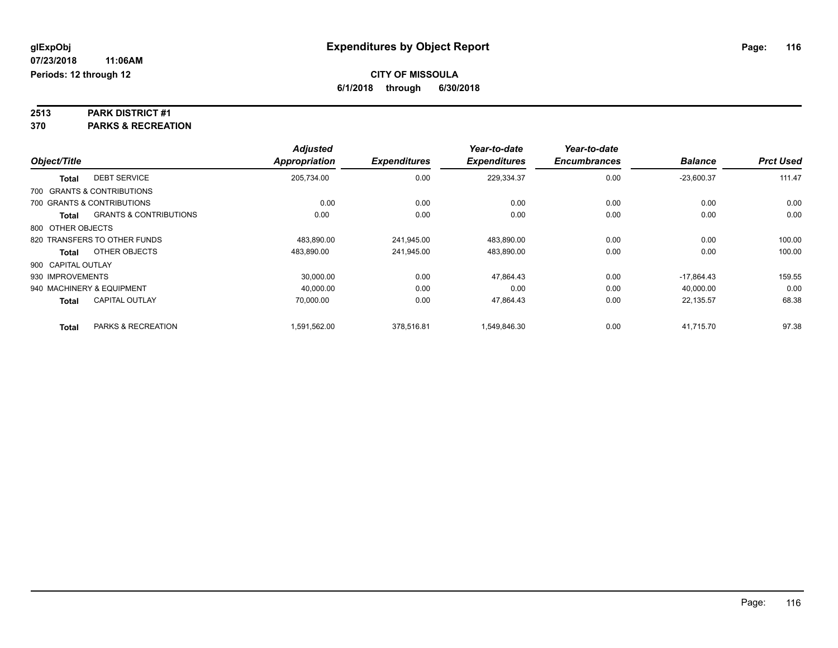## **2513 PARK DISTRICT #1**

**370 PARKS & RECREATION**

|                    |                                   | <b>Adjusted</b>      |                     | Year-to-date        | Year-to-date        |                |                  |
|--------------------|-----------------------------------|----------------------|---------------------|---------------------|---------------------|----------------|------------------|
| Object/Title       |                                   | <b>Appropriation</b> | <b>Expenditures</b> | <b>Expenditures</b> | <b>Encumbrances</b> | <b>Balance</b> | <b>Prct Used</b> |
| <b>Total</b>       | <b>DEBT SERVICE</b>               | 205,734.00           | 0.00                | 229,334.37          | 0.00                | $-23,600.37$   | 111.47           |
|                    | 700 GRANTS & CONTRIBUTIONS        |                      |                     |                     |                     |                |                  |
|                    | 700 GRANTS & CONTRIBUTIONS        | 0.00                 | 0.00                | 0.00                | 0.00                | 0.00           | 0.00             |
| Total              | <b>GRANTS &amp; CONTRIBUTIONS</b> | 0.00                 | 0.00                | 0.00                | 0.00                | 0.00           | 0.00             |
| 800 OTHER OBJECTS  |                                   |                      |                     |                     |                     |                |                  |
|                    | 820 TRANSFERS TO OTHER FUNDS      | 483,890.00           | 241,945.00          | 483,890.00          | 0.00                | 0.00           | 100.00           |
| <b>Total</b>       | OTHER OBJECTS                     | 483,890.00           | 241,945.00          | 483,890.00          | 0.00                | 0.00           | 100.00           |
| 900 CAPITAL OUTLAY |                                   |                      |                     |                     |                     |                |                  |
| 930 IMPROVEMENTS   |                                   | 30,000.00            | 0.00                | 47.864.43           | 0.00                | $-17.864.43$   | 159.55           |
|                    | 940 MACHINERY & EQUIPMENT         | 40.000.00            | 0.00                | 0.00                | 0.00                | 40.000.00      | 0.00             |
| <b>Total</b>       | <b>CAPITAL OUTLAY</b>             | 70.000.00            | 0.00                | 47,864.43           | 0.00                | 22,135.57      | 68.38            |
| <b>Total</b>       | PARKS & RECREATION                | 1,591,562.00         | 378.516.81          | 1,549,846.30        | 0.00                | 41.715.70      | 97.38            |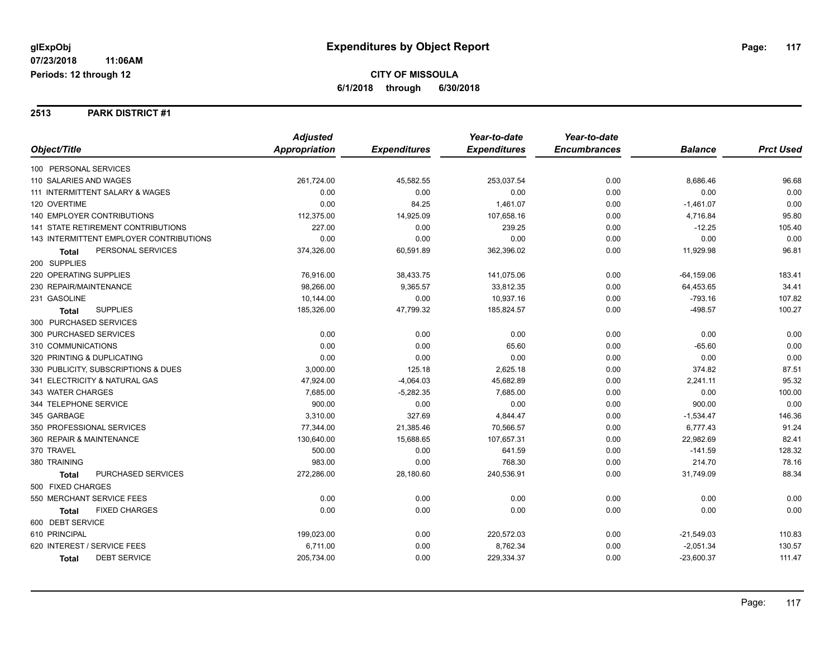**2513 PARK DISTRICT #1**

|                                         | <b>Adjusted</b> |                     | Year-to-date        | Year-to-date        |                |                  |
|-----------------------------------------|-----------------|---------------------|---------------------|---------------------|----------------|------------------|
| Object/Title                            | Appropriation   | <b>Expenditures</b> | <b>Expenditures</b> | <b>Encumbrances</b> | <b>Balance</b> | <b>Prct Used</b> |
| 100 PERSONAL SERVICES                   |                 |                     |                     |                     |                |                  |
| 110 SALARIES AND WAGES                  | 261,724.00      | 45,582.55           | 253,037.54          | 0.00                | 8,686.46       | 96.68            |
| 111 INTERMITTENT SALARY & WAGES         | 0.00            | 0.00                | 0.00                | 0.00                | 0.00           | 0.00             |
| 120 OVERTIME                            | 0.00            | 84.25               | 1,461.07            | 0.00                | $-1,461.07$    | 0.00             |
| 140 EMPLOYER CONTRIBUTIONS              | 112,375.00      | 14,925.09           | 107,658.16          | 0.00                | 4,716.84       | 95.80            |
| 141 STATE RETIREMENT CONTRIBUTIONS      | 227.00          | 0.00                | 239.25              | 0.00                | $-12.25$       | 105.40           |
| 143 INTERMITTENT EMPLOYER CONTRIBUTIONS | 0.00            | 0.00                | 0.00                | 0.00                | 0.00           | 0.00             |
| PERSONAL SERVICES<br><b>Total</b>       | 374,326.00      | 60,591.89           | 362,396.02          | 0.00                | 11,929.98      | 96.81            |
| 200 SUPPLIES                            |                 |                     |                     |                     |                |                  |
| 220 OPERATING SUPPLIES                  | 76,916.00       | 38,433.75           | 141,075.06          | 0.00                | $-64, 159.06$  | 183.41           |
| 230 REPAIR/MAINTENANCE                  | 98,266.00       | 9,365.57            | 33,812.35           | 0.00                | 64,453.65      | 34.41            |
| 231 GASOLINE                            | 10,144.00       | 0.00                | 10,937.16           | 0.00                | $-793.16$      | 107.82           |
| <b>SUPPLIES</b><br><b>Total</b>         | 185,326.00      | 47,799.32           | 185,824.57          | 0.00                | $-498.57$      | 100.27           |
| 300 PURCHASED SERVICES                  |                 |                     |                     |                     |                |                  |
| 300 PURCHASED SERVICES                  | 0.00            | 0.00                | 0.00                | 0.00                | 0.00           | 0.00             |
| 310 COMMUNICATIONS                      | 0.00            | 0.00                | 65.60               | 0.00                | $-65.60$       | 0.00             |
| 320 PRINTING & DUPLICATING              | 0.00            | 0.00                | 0.00                | 0.00                | 0.00           | 0.00             |
| 330 PUBLICITY, SUBSCRIPTIONS & DUES     | 3,000.00        | 125.18              | 2,625.18            | 0.00                | 374.82         | 87.51            |
| 341 ELECTRICITY & NATURAL GAS           | 47,924.00       | $-4,064.03$         | 45,682.89           | 0.00                | 2,241.11       | 95.32            |
| 343 WATER CHARGES                       | 7,685.00        | $-5,282.35$         | 7,685.00            | 0.00                | 0.00           | 100.00           |
| 344 TELEPHONE SERVICE                   | 900.00          | 0.00                | 0.00                | 0.00                | 900.00         | 0.00             |
| 345 GARBAGE                             | 3,310.00        | 327.69              | 4,844.47            | 0.00                | $-1,534.47$    | 146.36           |
| 350 PROFESSIONAL SERVICES               | 77,344.00       | 21,385.46           | 70,566.57           | 0.00                | 6,777.43       | 91.24            |
| 360 REPAIR & MAINTENANCE                | 130,640.00      | 15,688.65           | 107,657.31          | 0.00                | 22,982.69      | 82.41            |
| 370 TRAVEL                              | 500.00          | 0.00                | 641.59              | 0.00                | $-141.59$      | 128.32           |
| 380 TRAINING                            | 983.00          | 0.00                | 768.30              | 0.00                | 214.70         | 78.16            |
| PURCHASED SERVICES<br><b>Total</b>      | 272,286.00      | 28,180.60           | 240,536.91          | 0.00                | 31,749.09      | 88.34            |
| 500 FIXED CHARGES                       |                 |                     |                     |                     |                |                  |
| 550 MERCHANT SERVICE FEES               | 0.00            | 0.00                | 0.00                | 0.00                | 0.00           | 0.00             |
| <b>FIXED CHARGES</b><br>Total           | 0.00            | 0.00                | 0.00                | 0.00                | 0.00           | 0.00             |
| 600 DEBT SERVICE                        |                 |                     |                     |                     |                |                  |
| 610 PRINCIPAL                           | 199,023.00      | 0.00                | 220,572.03          | 0.00                | $-21,549.03$   | 110.83           |
| 620 INTEREST / SERVICE FEES             | 6,711.00        | 0.00                | 8,762.34            | 0.00                | $-2,051.34$    | 130.57           |
| <b>DEBT SERVICE</b><br><b>Total</b>     | 205,734.00      | 0.00                | 229,334.37          | 0.00                | $-23,600.37$   | 111.47           |
|                                         |                 |                     |                     |                     |                |                  |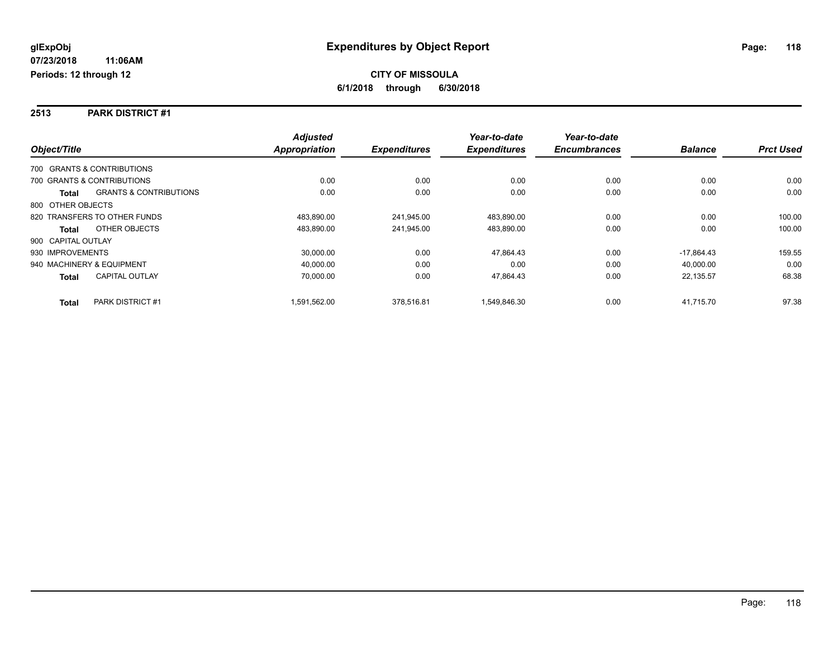#### **2513 PARK DISTRICT #1**

|                    |                                   | <b>Adjusted</b>      |                     | Year-to-date        | Year-to-date        |                |                  |
|--------------------|-----------------------------------|----------------------|---------------------|---------------------|---------------------|----------------|------------------|
| Object/Title       |                                   | <b>Appropriation</b> | <b>Expenditures</b> | <b>Expenditures</b> | <b>Encumbrances</b> | <b>Balance</b> | <b>Prct Used</b> |
|                    | 700 GRANTS & CONTRIBUTIONS        |                      |                     |                     |                     |                |                  |
|                    | 700 GRANTS & CONTRIBUTIONS        | 0.00                 | 0.00                | 0.00                | 0.00                | 0.00           | 0.00             |
| Total              | <b>GRANTS &amp; CONTRIBUTIONS</b> | 0.00                 | 0.00                | 0.00                | 0.00                | 0.00           | 0.00             |
| 800 OTHER OBJECTS  |                                   |                      |                     |                     |                     |                |                  |
|                    | 820 TRANSFERS TO OTHER FUNDS      | 483.890.00           | 241.945.00          | 483.890.00          | 0.00                | 0.00           | 100.00           |
| Total              | OTHER OBJECTS                     | 483,890.00           | 241,945.00          | 483,890.00          | 0.00                | 0.00           | 100.00           |
| 900 CAPITAL OUTLAY |                                   |                      |                     |                     |                     |                |                  |
| 930 IMPROVEMENTS   |                                   | 30,000.00            | 0.00                | 47,864.43           | 0.00                | $-17.864.43$   | 159.55           |
|                    | 940 MACHINERY & EQUIPMENT         | 40,000.00            | 0.00                | 0.00                | 0.00                | 40,000.00      | 0.00             |
| <b>Total</b>       | <b>CAPITAL OUTLAY</b>             | 70.000.00            | 0.00                | 47,864.43           | 0.00                | 22,135.57      | 68.38            |
| <b>Total</b>       | PARK DISTRICT #1                  | 1.591.562.00         | 378.516.81          | 1.549.846.30        | 0.00                | 41.715.70      | 97.38            |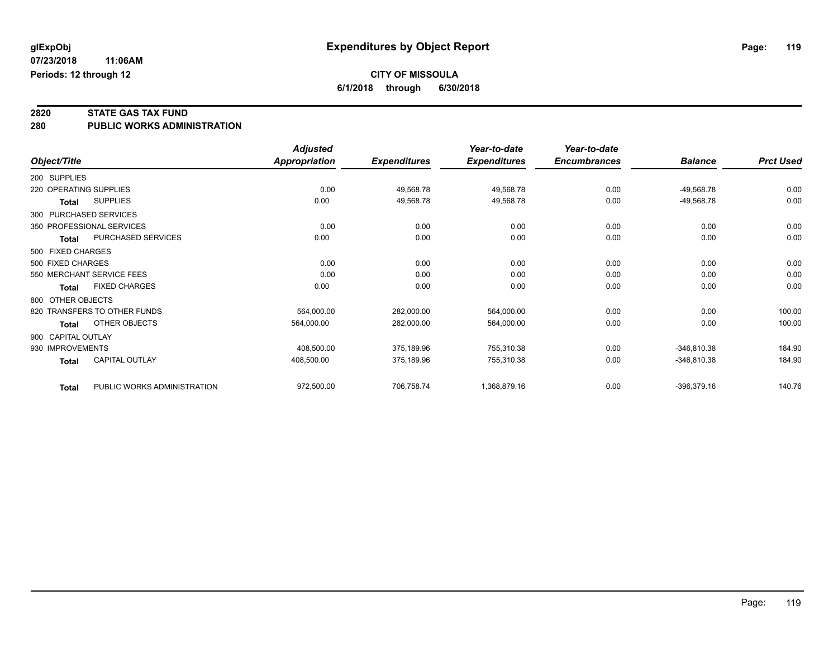## **2820 STATE GAS TAX FUND**

**280 PUBLIC WORKS ADMINISTRATION**

|                    |                              | <b>Adjusted</b>      |                     | Year-to-date        | Year-to-date        |                |                  |
|--------------------|------------------------------|----------------------|---------------------|---------------------|---------------------|----------------|------------------|
| Object/Title       |                              | <b>Appropriation</b> | <b>Expenditures</b> | <b>Expenditures</b> | <b>Encumbrances</b> | <b>Balance</b> | <b>Prct Used</b> |
| 200 SUPPLIES       |                              |                      |                     |                     |                     |                |                  |
|                    | 220 OPERATING SUPPLIES       | 0.00                 | 49,568.78           | 49,568.78           | 0.00                | $-49,568.78$   | 0.00             |
| <b>Total</b>       | <b>SUPPLIES</b>              | 0.00                 | 49,568.78           | 49,568.78           | 0.00                | $-49,568.78$   | 0.00             |
|                    | 300 PURCHASED SERVICES       |                      |                     |                     |                     |                |                  |
|                    | 350 PROFESSIONAL SERVICES    | 0.00                 | 0.00                | 0.00                | 0.00                | 0.00           | 0.00             |
| <b>Total</b>       | PURCHASED SERVICES           | 0.00                 | 0.00                | 0.00                | 0.00                | 0.00           | 0.00             |
| 500 FIXED CHARGES  |                              |                      |                     |                     |                     |                |                  |
| 500 FIXED CHARGES  |                              | 0.00                 | 0.00                | 0.00                | 0.00                | 0.00           | 0.00             |
|                    | 550 MERCHANT SERVICE FEES    | 0.00                 | 0.00                | 0.00                | 0.00                | 0.00           | 0.00             |
| <b>Total</b>       | <b>FIXED CHARGES</b>         | 0.00                 | 0.00                | 0.00                | 0.00                | 0.00           | 0.00             |
| 800 OTHER OBJECTS  |                              |                      |                     |                     |                     |                |                  |
|                    | 820 TRANSFERS TO OTHER FUNDS | 564,000.00           | 282,000.00          | 564,000.00          | 0.00                | 0.00           | 100.00           |
| <b>Total</b>       | OTHER OBJECTS                | 564,000.00           | 282,000.00          | 564,000.00          | 0.00                | 0.00           | 100.00           |
| 900 CAPITAL OUTLAY |                              |                      |                     |                     |                     |                |                  |
| 930 IMPROVEMENTS   |                              | 408,500.00           | 375,189.96          | 755,310.38          | 0.00                | $-346,810.38$  | 184.90           |
| <b>Total</b>       | <b>CAPITAL OUTLAY</b>        | 408,500.00           | 375,189.96          | 755,310.38          | 0.00                | $-346,810.38$  | 184.90           |
| <b>Total</b>       | PUBLIC WORKS ADMINISTRATION  | 972,500.00           | 706,758.74          | 1,368,879.16        | 0.00                | $-396,379.16$  | 140.76           |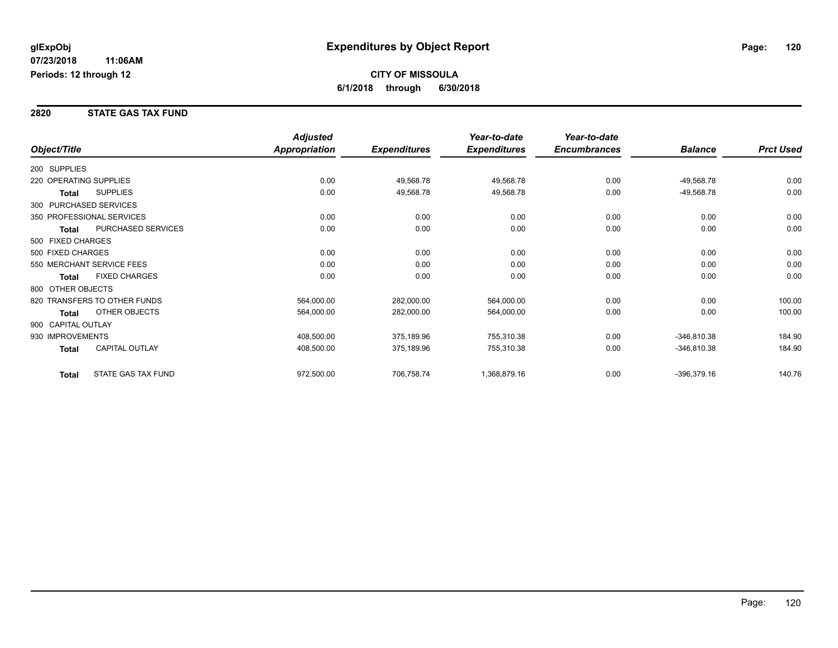#### **2820 STATE GAS TAX FUND**

|                        |                              | <b>Adjusted</b>      |                     | Year-to-date        | Year-to-date        |                |                  |
|------------------------|------------------------------|----------------------|---------------------|---------------------|---------------------|----------------|------------------|
| Object/Title           |                              | <b>Appropriation</b> | <b>Expenditures</b> | <b>Expenditures</b> | <b>Encumbrances</b> | <b>Balance</b> | <b>Prct Used</b> |
| 200 SUPPLIES           |                              |                      |                     |                     |                     |                |                  |
| 220 OPERATING SUPPLIES |                              | 0.00                 | 49,568.78           | 49,568.78           | 0.00                | $-49,568.78$   | 0.00             |
| Total                  | <b>SUPPLIES</b>              | 0.00                 | 49,568.78           | 49,568.78           | 0.00                | -49,568.78     | 0.00             |
| 300 PURCHASED SERVICES |                              |                      |                     |                     |                     |                |                  |
|                        | 350 PROFESSIONAL SERVICES    | 0.00                 | 0.00                | 0.00                | 0.00                | 0.00           | 0.00             |
| Total                  | PURCHASED SERVICES           | 0.00                 | 0.00                | 0.00                | 0.00                | 0.00           | 0.00             |
| 500 FIXED CHARGES      |                              |                      |                     |                     |                     |                |                  |
| 500 FIXED CHARGES      |                              | 0.00                 | 0.00                | 0.00                | 0.00                | 0.00           | 0.00             |
|                        | 550 MERCHANT SERVICE FEES    | 0.00                 | 0.00                | 0.00                | 0.00                | 0.00           | 0.00             |
| <b>Total</b>           | <b>FIXED CHARGES</b>         | 0.00                 | 0.00                | 0.00                | 0.00                | 0.00           | 0.00             |
| 800 OTHER OBJECTS      |                              |                      |                     |                     |                     |                |                  |
|                        | 820 TRANSFERS TO OTHER FUNDS | 564,000.00           | 282,000.00          | 564,000.00          | 0.00                | 0.00           | 100.00           |
| Total                  | OTHER OBJECTS                | 564,000.00           | 282,000.00          | 564,000.00          | 0.00                | 0.00           | 100.00           |
| 900 CAPITAL OUTLAY     |                              |                      |                     |                     |                     |                |                  |
| 930 IMPROVEMENTS       |                              | 408,500.00           | 375,189.96          | 755,310.38          | 0.00                | $-346,810.38$  | 184.90           |
| <b>Total</b>           | <b>CAPITAL OUTLAY</b>        | 408,500.00           | 375,189.96          | 755,310.38          | 0.00                | $-346,810.38$  | 184.90           |
| <b>Total</b>           | STATE GAS TAX FUND           | 972,500.00           | 706,758.74          | 1,368,879.16        | 0.00                | $-396,379.16$  | 140.76           |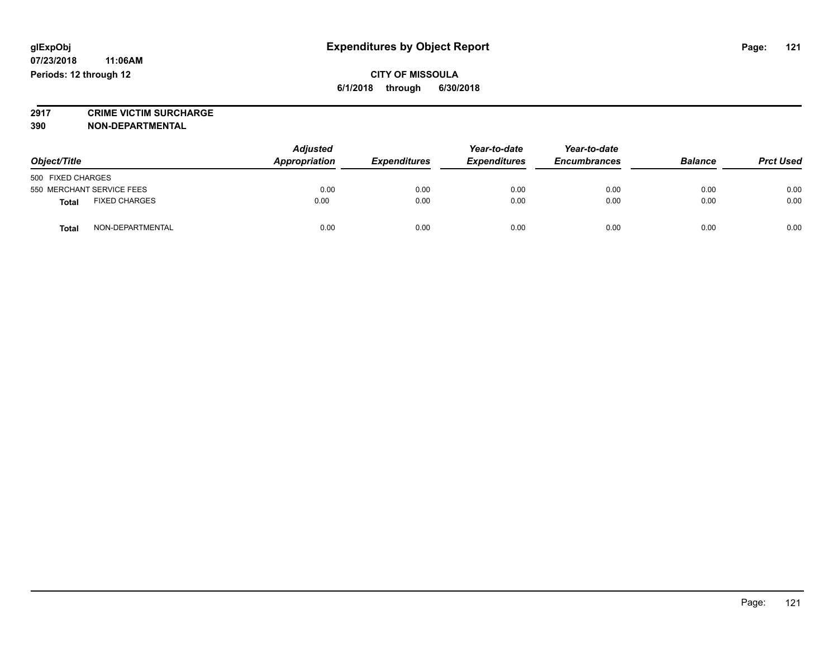## **2917 CRIME VICTIM SURCHARGE**

**390 NON-DEPARTMENTAL**

| Object/Title                         |                  | <b>Adjusted</b><br>Appropriation | <b>Expenditures</b> | Year-to-date<br><b>Expenditures</b> | Year-to-date<br><b>Encumbrances</b> | <b>Balance</b> | <b>Prct Used</b> |
|--------------------------------------|------------------|----------------------------------|---------------------|-------------------------------------|-------------------------------------|----------------|------------------|
| 500 FIXED CHARGES                    |                  |                                  |                     |                                     |                                     |                |                  |
| 550 MERCHANT SERVICE FEES            |                  | 0.00                             | 0.00                | 0.00                                | 0.00                                | 0.00           | 0.00             |
| <b>FIXED CHARGES</b><br><b>Total</b> |                  | 0.00                             | 0.00                | 0.00                                | 0.00                                | 0.00           | 0.00             |
| <b>Total</b>                         | NON-DEPARTMENTAL | 0.00                             | 0.00                | 0.00                                | 0.00                                | 0.00           | 0.00             |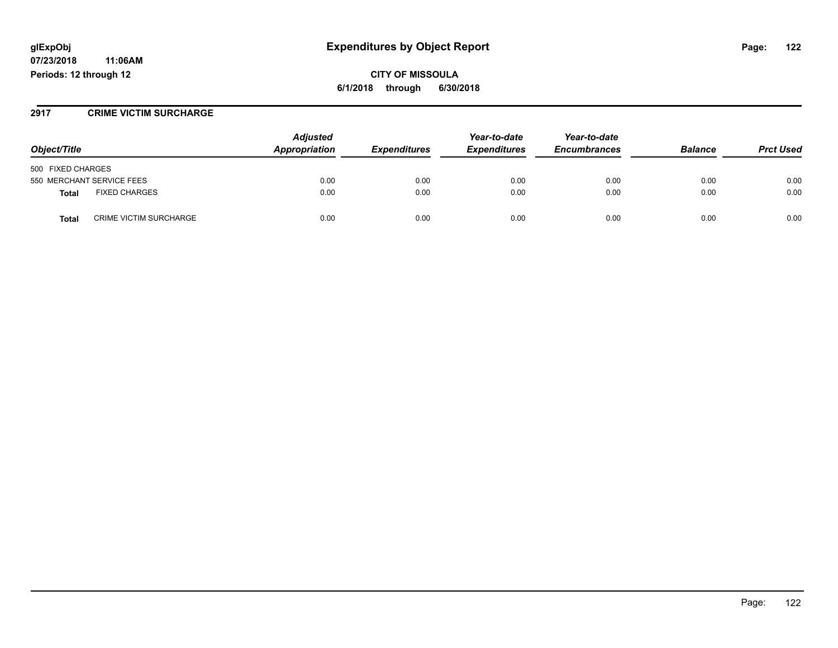#### **07/23/2018 11:06AM Periods: 12 through 12**

**CITY OF MISSOULA 6/1/2018 through 6/30/2018**

#### **2917 CRIME VICTIM SURCHARGE**

|                                               | <b>Adjusted</b> |                     | Year-to-date        | Year-to-date        |                |                  |
|-----------------------------------------------|-----------------|---------------------|---------------------|---------------------|----------------|------------------|
| Object/Title                                  | Appropriation   | <b>Expenditures</b> | <b>Expenditures</b> | <b>Encumbrances</b> | <b>Balance</b> | <b>Prct Used</b> |
| 500 FIXED CHARGES                             |                 |                     |                     |                     |                |                  |
| 550 MERCHANT SERVICE FEES                     | 0.00            | 0.00                | 0.00                | 0.00                | 0.00           | 0.00             |
| <b>FIXED CHARGES</b><br>Total                 | 0.00            | 0.00                | 0.00                | 0.00                | 0.00           | 0.00             |
| <b>CRIME VICTIM SURCHARGE</b><br><b>Total</b> | 0.00            | 0.00                | 0.00                | 0.00                | 0.00           | 0.00             |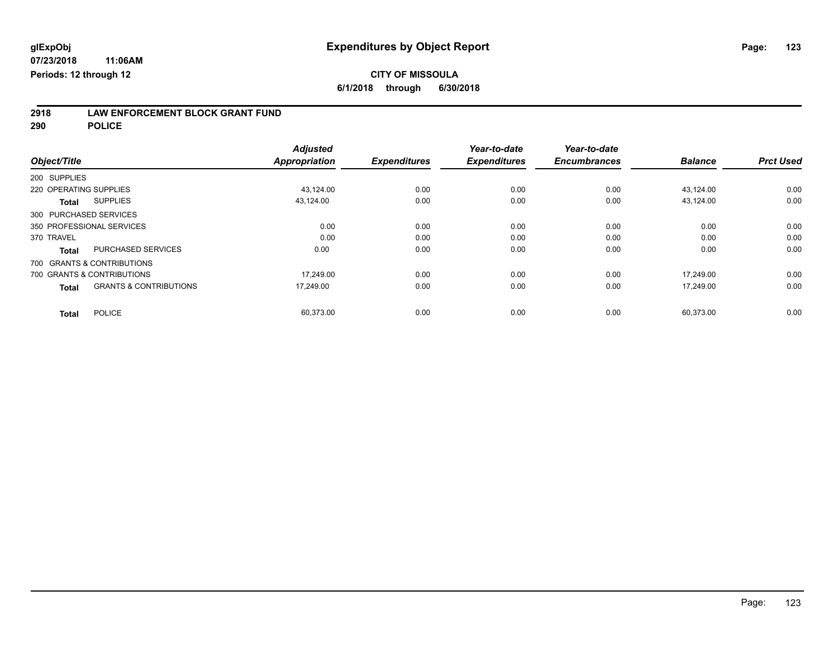## **2918 LAW ENFORCEMENT BLOCK GRANT FUND**

**290 POLICE**

|                                                   | <b>Adjusted</b>      |                     | Year-to-date        | Year-to-date        |                |                  |
|---------------------------------------------------|----------------------|---------------------|---------------------|---------------------|----------------|------------------|
| Object/Title                                      | <b>Appropriation</b> | <b>Expenditures</b> | <b>Expenditures</b> | <b>Encumbrances</b> | <b>Balance</b> | <b>Prct Used</b> |
| 200 SUPPLIES                                      |                      |                     |                     |                     |                |                  |
| 220 OPERATING SUPPLIES                            | 43,124.00            | 0.00                | 0.00                | 0.00                | 43,124.00      | 0.00             |
| <b>SUPPLIES</b><br><b>Total</b>                   | 43,124.00            | 0.00                | 0.00                | 0.00                | 43.124.00      | 0.00             |
| 300 PURCHASED SERVICES                            |                      |                     |                     |                     |                |                  |
| 350 PROFESSIONAL SERVICES                         | 0.00                 | 0.00                | 0.00                | 0.00                | 0.00           | 0.00             |
| 370 TRAVEL                                        | 0.00                 | 0.00                | 0.00                | 0.00                | 0.00           | 0.00             |
| <b>PURCHASED SERVICES</b><br><b>Total</b>         | 0.00                 | 0.00                | 0.00                | 0.00                | 0.00           | 0.00             |
| 700 GRANTS & CONTRIBUTIONS                        |                      |                     |                     |                     |                |                  |
| 700 GRANTS & CONTRIBUTIONS                        | 17.249.00            | 0.00                | 0.00                | 0.00                | 17.249.00      | 0.00             |
| <b>GRANTS &amp; CONTRIBUTIONS</b><br><b>Total</b> | 17,249.00            | 0.00                | 0.00                | 0.00                | 17,249.00      | 0.00             |
| <b>POLICE</b><br><b>Total</b>                     | 60,373.00            | 0.00                | 0.00                | 0.00                | 60,373.00      | 0.00             |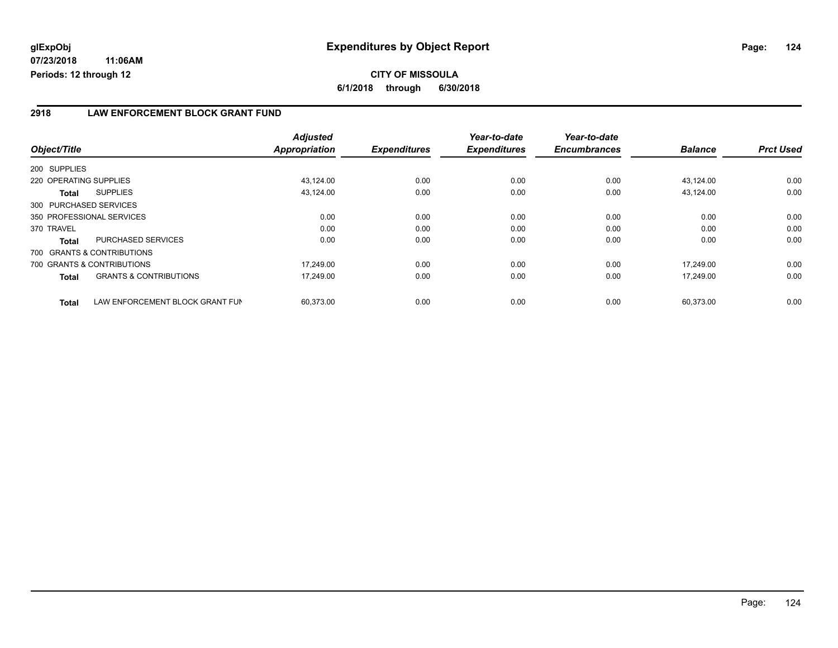#### **07/23/2018 11:06AM Periods: 12 through 12**

## **CITY OF MISSOULA 6/1/2018 through 6/30/2018**

#### **2918 LAW ENFORCEMENT BLOCK GRANT FUND**

|                                                   | <b>Adjusted</b> |                     | Year-to-date        | Year-to-date        |                |                  |
|---------------------------------------------------|-----------------|---------------------|---------------------|---------------------|----------------|------------------|
| Object/Title                                      | Appropriation   | <b>Expenditures</b> | <b>Expenditures</b> | <b>Encumbrances</b> | <b>Balance</b> | <b>Prct Used</b> |
| 200 SUPPLIES                                      |                 |                     |                     |                     |                |                  |
| 220 OPERATING SUPPLIES                            | 43,124.00       | 0.00                | 0.00                | 0.00                | 43,124.00      | 0.00             |
| <b>SUPPLIES</b><br>Total                          | 43,124.00       | 0.00                | 0.00                | 0.00                | 43,124.00      | 0.00             |
| 300 PURCHASED SERVICES                            |                 |                     |                     |                     |                |                  |
| 350 PROFESSIONAL SERVICES                         | 0.00            | 0.00                | 0.00                | 0.00                | 0.00           | 0.00             |
| 370 TRAVEL                                        | 0.00            | 0.00                | 0.00                | 0.00                | 0.00           | 0.00             |
| <b>PURCHASED SERVICES</b><br><b>Total</b>         | 0.00            | 0.00                | 0.00                | 0.00                | 0.00           | 0.00             |
| 700 GRANTS & CONTRIBUTIONS                        |                 |                     |                     |                     |                |                  |
| 700 GRANTS & CONTRIBUTIONS                        | 17.249.00       | 0.00                | 0.00                | 0.00                | 17.249.00      | 0.00             |
| <b>GRANTS &amp; CONTRIBUTIONS</b><br><b>Total</b> | 17,249.00       | 0.00                | 0.00                | 0.00                | 17,249.00      | 0.00             |
| LAW ENFORCEMENT BLOCK GRANT FUN<br><b>Total</b>   | 60.373.00       | 0.00                | 0.00                | 0.00                | 60.373.00      | 0.00             |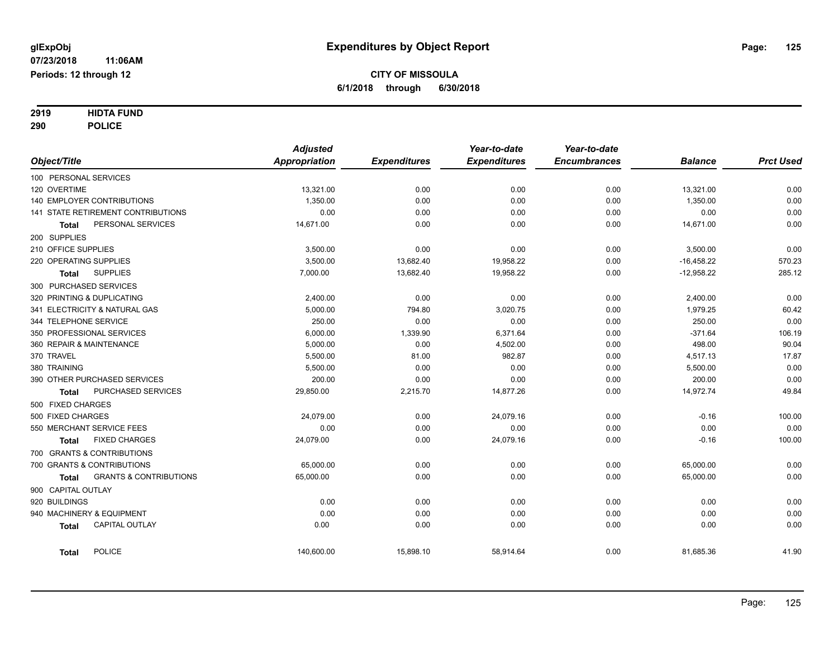# **2919 HIDTA FUND**

**290 POLICE**

|                                                   | <b>Adjusted</b>      |                     | Year-to-date        | Year-to-date        |                |                  |
|---------------------------------------------------|----------------------|---------------------|---------------------|---------------------|----------------|------------------|
| Object/Title                                      | <b>Appropriation</b> | <b>Expenditures</b> | <b>Expenditures</b> | <b>Encumbrances</b> | <b>Balance</b> | <b>Prct Used</b> |
| 100 PERSONAL SERVICES                             |                      |                     |                     |                     |                |                  |
| 120 OVERTIME                                      | 13,321.00            | 0.00                | 0.00                | 0.00                | 13,321.00      | 0.00             |
| <b>140 EMPLOYER CONTRIBUTIONS</b>                 | 1,350.00             | 0.00                | 0.00                | 0.00                | 1,350.00       | 0.00             |
| 141 STATE RETIREMENT CONTRIBUTIONS                | 0.00                 | 0.00                | 0.00                | 0.00                | 0.00           | 0.00             |
| PERSONAL SERVICES<br>Total                        | 14,671.00            | 0.00                | 0.00                | 0.00                | 14,671.00      | 0.00             |
| 200 SUPPLIES                                      |                      |                     |                     |                     |                |                  |
| 210 OFFICE SUPPLIES                               | 3,500.00             | 0.00                | 0.00                | 0.00                | 3,500.00       | 0.00             |
| 220 OPERATING SUPPLIES                            | 3,500.00             | 13,682.40           | 19,958.22           | 0.00                | $-16,458.22$   | 570.23           |
| <b>SUPPLIES</b><br><b>Total</b>                   | 7,000.00             | 13,682.40           | 19,958.22           | 0.00                | $-12,958.22$   | 285.12           |
| 300 PURCHASED SERVICES                            |                      |                     |                     |                     |                |                  |
| 320 PRINTING & DUPLICATING                        | 2,400.00             | 0.00                | 0.00                | 0.00                | 2,400.00       | 0.00             |
| 341 ELECTRICITY & NATURAL GAS                     | 5,000.00             | 794.80              | 3,020.75            | 0.00                | 1,979.25       | 60.42            |
| 344 TELEPHONE SERVICE                             | 250.00               | 0.00                | 0.00                | 0.00                | 250.00         | 0.00             |
| 350 PROFESSIONAL SERVICES                         | 6,000.00             | 1,339.90            | 6,371.64            | 0.00                | $-371.64$      | 106.19           |
| 360 REPAIR & MAINTENANCE                          | 5,000.00             | 0.00                | 4,502.00            | 0.00                | 498.00         | 90.04            |
| 370 TRAVEL                                        | 5,500.00             | 81.00               | 982.87              | 0.00                | 4,517.13       | 17.87            |
| 380 TRAINING                                      | 5,500.00             | 0.00                | 0.00                | 0.00                | 5,500.00       | 0.00             |
| 390 OTHER PURCHASED SERVICES                      | 200.00               | 0.00                | 0.00                | 0.00                | 200.00         | 0.00             |
| PURCHASED SERVICES<br>Total                       | 29,850.00            | 2,215.70            | 14,877.26           | 0.00                | 14,972.74      | 49.84            |
| 500 FIXED CHARGES                                 |                      |                     |                     |                     |                |                  |
| 500 FIXED CHARGES                                 | 24,079.00            | 0.00                | 24,079.16           | 0.00                | $-0.16$        | 100.00           |
| 550 MERCHANT SERVICE FEES                         | 0.00                 | 0.00                | 0.00                | 0.00                | 0.00           | 0.00             |
| <b>FIXED CHARGES</b><br><b>Total</b>              | 24,079.00            | 0.00                | 24,079.16           | 0.00                | $-0.16$        | 100.00           |
| 700 GRANTS & CONTRIBUTIONS                        |                      |                     |                     |                     |                |                  |
| 700 GRANTS & CONTRIBUTIONS                        | 65,000.00            | 0.00                | 0.00                | 0.00                | 65,000.00      | 0.00             |
| <b>GRANTS &amp; CONTRIBUTIONS</b><br><b>Total</b> | 65,000.00            | 0.00                | 0.00                | 0.00                | 65,000.00      | 0.00             |
| 900 CAPITAL OUTLAY                                |                      |                     |                     |                     |                |                  |
| 920 BUILDINGS                                     | 0.00                 | 0.00                | 0.00                | 0.00                | 0.00           | 0.00             |
| 940 MACHINERY & EQUIPMENT                         | 0.00                 | 0.00                | 0.00                | 0.00                | 0.00           | 0.00             |
| <b>CAPITAL OUTLAY</b><br><b>Total</b>             | 0.00                 | 0.00                | 0.00                | 0.00                | 0.00           | 0.00             |
| <b>POLICE</b><br><b>Total</b>                     | 140,600.00           | 15,898.10           | 58,914.64           | 0.00                | 81,685.36      | 41.90            |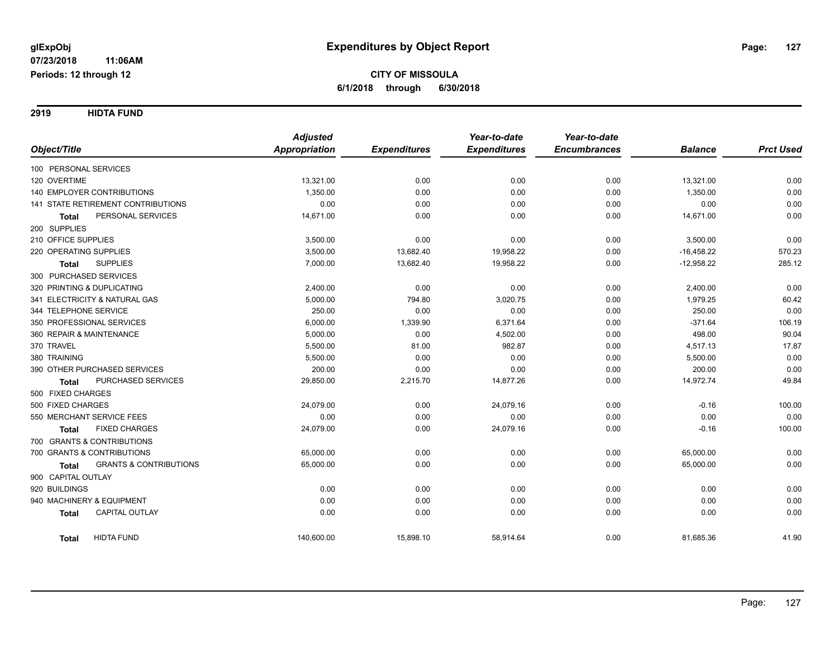**2919 HIDTA FUND**

|                                                   | <b>Adjusted</b>      |                     | Year-to-date        | Year-to-date        |                |                  |
|---------------------------------------------------|----------------------|---------------------|---------------------|---------------------|----------------|------------------|
| Object/Title                                      | <b>Appropriation</b> | <b>Expenditures</b> | <b>Expenditures</b> | <b>Encumbrances</b> | <b>Balance</b> | <b>Prct Used</b> |
| 100 PERSONAL SERVICES                             |                      |                     |                     |                     |                |                  |
| 120 OVERTIME                                      | 13,321.00            | 0.00                | 0.00                | 0.00                | 13,321.00      | 0.00             |
| <b>140 EMPLOYER CONTRIBUTIONS</b>                 | 1,350.00             | 0.00                | 0.00                | 0.00                | 1,350.00       | 0.00             |
| 141 STATE RETIREMENT CONTRIBUTIONS                | 0.00                 | 0.00                | 0.00                | 0.00                | 0.00           | 0.00             |
| PERSONAL SERVICES<br><b>Total</b>                 | 14,671.00            | 0.00                | 0.00                | 0.00                | 14,671.00      | 0.00             |
| 200 SUPPLIES                                      |                      |                     |                     |                     |                |                  |
| 210 OFFICE SUPPLIES                               | 3,500.00             | 0.00                | 0.00                | 0.00                | 3,500.00       | 0.00             |
| 220 OPERATING SUPPLIES                            | 3,500.00             | 13,682.40           | 19,958.22           | 0.00                | $-16,458.22$   | 570.23           |
| <b>SUPPLIES</b><br>Total                          | 7,000.00             | 13,682.40           | 19,958.22           | 0.00                | $-12,958.22$   | 285.12           |
| 300 PURCHASED SERVICES                            |                      |                     |                     |                     |                |                  |
| 320 PRINTING & DUPLICATING                        | 2,400.00             | 0.00                | 0.00                | 0.00                | 2,400.00       | 0.00             |
| 341 ELECTRICITY & NATURAL GAS                     | 5,000.00             | 794.80              | 3,020.75            | 0.00                | 1,979.25       | 60.42            |
| 344 TELEPHONE SERVICE                             | 250.00               | 0.00                | 0.00                | 0.00                | 250.00         | 0.00             |
| 350 PROFESSIONAL SERVICES                         | 6,000.00             | 1,339.90            | 6,371.64            | 0.00                | $-371.64$      | 106.19           |
| 360 REPAIR & MAINTENANCE                          | 5,000.00             | 0.00                | 4,502.00            | 0.00                | 498.00         | 90.04            |
| 370 TRAVEL                                        | 5,500.00             | 81.00               | 982.87              | 0.00                | 4,517.13       | 17.87            |
| 380 TRAINING                                      | 5,500.00             | 0.00                | 0.00                | 0.00                | 5,500.00       | 0.00             |
| 390 OTHER PURCHASED SERVICES                      | 200.00               | 0.00                | 0.00                | 0.00                | 200.00         | 0.00             |
| PURCHASED SERVICES<br><b>Total</b>                | 29,850.00            | 2,215.70            | 14,877.26           | 0.00                | 14,972.74      | 49.84            |
| 500 FIXED CHARGES                                 |                      |                     |                     |                     |                |                  |
| 500 FIXED CHARGES                                 | 24,079.00            | 0.00                | 24,079.16           | 0.00                | $-0.16$        | 100.00           |
| 550 MERCHANT SERVICE FEES                         | 0.00                 | 0.00                | 0.00                | 0.00                | 0.00           | 0.00             |
| <b>FIXED CHARGES</b><br>Total                     | 24,079.00            | 0.00                | 24,079.16           | 0.00                | $-0.16$        | 100.00           |
| 700 GRANTS & CONTRIBUTIONS                        |                      |                     |                     |                     |                |                  |
| 700 GRANTS & CONTRIBUTIONS                        | 65,000.00            | 0.00                | 0.00                | 0.00                | 65,000.00      | 0.00             |
| <b>GRANTS &amp; CONTRIBUTIONS</b><br><b>Total</b> | 65,000.00            | 0.00                | 0.00                | 0.00                | 65,000.00      | 0.00             |
| 900 CAPITAL OUTLAY                                |                      |                     |                     |                     |                |                  |
| 920 BUILDINGS                                     | 0.00                 | 0.00                | 0.00                | 0.00                | 0.00           | 0.00             |
| 940 MACHINERY & EQUIPMENT                         | 0.00                 | 0.00                | 0.00                | 0.00                | 0.00           | 0.00             |
| <b>CAPITAL OUTLAY</b><br><b>Total</b>             | 0.00                 | 0.00                | 0.00                | 0.00                | 0.00           | 0.00             |
| <b>HIDTA FUND</b><br><b>Total</b>                 | 140,600.00           | 15,898.10           | 58,914.64           | 0.00                | 81,685.36      | 41.90            |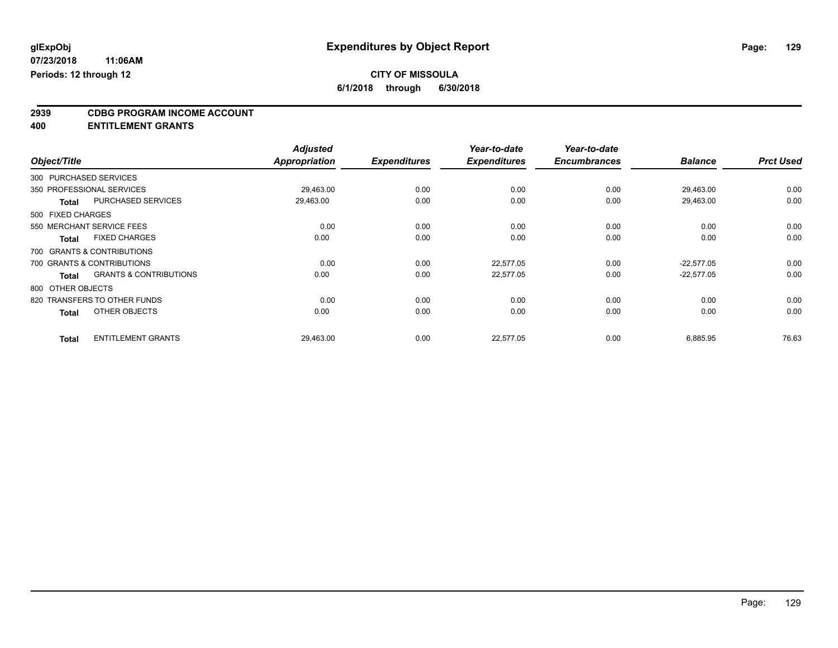## **2939 CDBG PROGRAM INCOME ACCOUNT**

**400 ENTITLEMENT GRANTS**

|                   |                                   | <b>Adjusted</b> |                     | Year-to-date        | Year-to-date        |                |                  |
|-------------------|-----------------------------------|-----------------|---------------------|---------------------|---------------------|----------------|------------------|
| Object/Title      |                                   | Appropriation   | <b>Expenditures</b> | <b>Expenditures</b> | <b>Encumbrances</b> | <b>Balance</b> | <b>Prct Used</b> |
|                   | 300 PURCHASED SERVICES            |                 |                     |                     |                     |                |                  |
|                   | 350 PROFESSIONAL SERVICES         | 29,463.00       | 0.00                | 0.00                | 0.00                | 29,463.00      | 0.00             |
| <b>Total</b>      | <b>PURCHASED SERVICES</b>         | 29,463.00       | 0.00                | 0.00                | 0.00                | 29,463.00      | 0.00             |
| 500 FIXED CHARGES |                                   |                 |                     |                     |                     |                |                  |
|                   | 550 MERCHANT SERVICE FEES         | 0.00            | 0.00                | 0.00                | 0.00                | 0.00           | 0.00             |
| <b>Total</b>      | <b>FIXED CHARGES</b>              | 0.00            | 0.00                | 0.00                | 0.00                | 0.00           | 0.00             |
|                   | 700 GRANTS & CONTRIBUTIONS        |                 |                     |                     |                     |                |                  |
|                   | 700 GRANTS & CONTRIBUTIONS        | 0.00            | 0.00                | 22,577.05           | 0.00                | $-22,577.05$   | 0.00             |
| <b>Total</b>      | <b>GRANTS &amp; CONTRIBUTIONS</b> | 0.00            | 0.00                | 22,577.05           | 0.00                | $-22,577.05$   | 0.00             |
| 800 OTHER OBJECTS |                                   |                 |                     |                     |                     |                |                  |
|                   | 820 TRANSFERS TO OTHER FUNDS      | 0.00            | 0.00                | 0.00                | 0.00                | 0.00           | 0.00             |
| <b>Total</b>      | OTHER OBJECTS                     | 0.00            | 0.00                | 0.00                | 0.00                | 0.00           | 0.00             |
| <b>Total</b>      | <b>ENTITLEMENT GRANTS</b>         | 29,463.00       | 0.00                | 22,577.05           | 0.00                | 6,885.95       | 76.63            |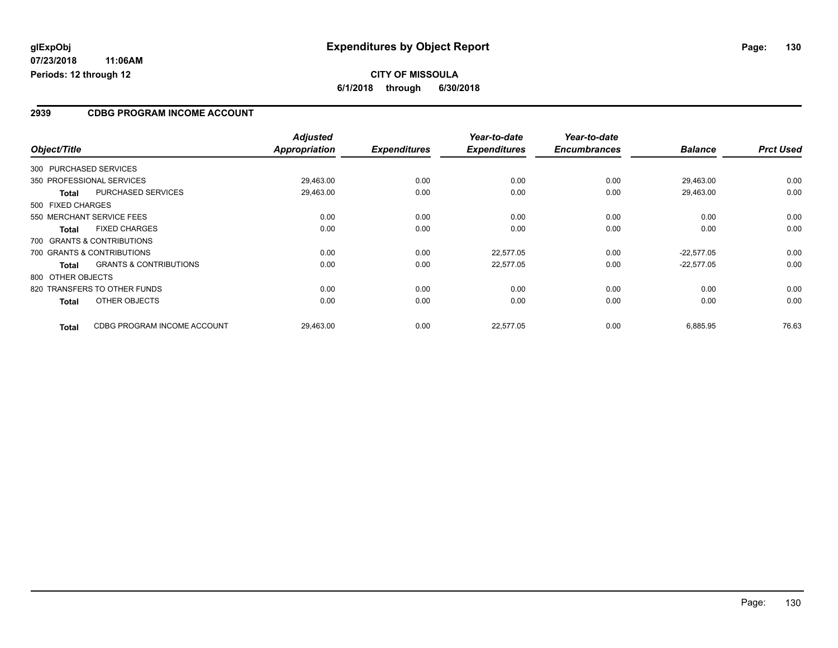#### **07/23/2018 11:06AM Periods: 12 through 12**

## **CITY OF MISSOULA 6/1/2018 through 6/30/2018**

#### **2939 CDBG PROGRAM INCOME ACCOUNT**

| Object/Title                                | <b>Adjusted</b><br>Appropriation | <b>Expenditures</b> | Year-to-date<br><b>Expenditures</b> | Year-to-date<br><b>Encumbrances</b> | <b>Balance</b> | <b>Prct Used</b> |
|---------------------------------------------|----------------------------------|---------------------|-------------------------------------|-------------------------------------|----------------|------------------|
|                                             |                                  |                     |                                     |                                     |                |                  |
| 300 PURCHASED SERVICES                      |                                  |                     |                                     |                                     |                |                  |
| 350 PROFESSIONAL SERVICES                   | 29,463.00                        | 0.00                | 0.00                                | 0.00                                | 29,463.00      | 0.00             |
| PURCHASED SERVICES<br><b>Total</b>          | 29,463.00                        | 0.00                | 0.00                                | 0.00                                | 29,463.00      | 0.00             |
| 500 FIXED CHARGES                           |                                  |                     |                                     |                                     |                |                  |
| 550 MERCHANT SERVICE FEES                   | 0.00                             | 0.00                | 0.00                                | 0.00                                | 0.00           | 0.00             |
| <b>FIXED CHARGES</b><br><b>Total</b>        | 0.00                             | 0.00                | 0.00                                | 0.00                                | 0.00           | 0.00             |
| 700 GRANTS & CONTRIBUTIONS                  |                                  |                     |                                     |                                     |                |                  |
| 700 GRANTS & CONTRIBUTIONS                  | 0.00                             | 0.00                | 22,577.05                           | 0.00                                | $-22,577.05$   | 0.00             |
| <b>GRANTS &amp; CONTRIBUTIONS</b><br>Total  | 0.00                             | 0.00                | 22,577.05                           | 0.00                                | $-22,577.05$   | 0.00             |
| 800 OTHER OBJECTS                           |                                  |                     |                                     |                                     |                |                  |
| 820 TRANSFERS TO OTHER FUNDS                | 0.00                             | 0.00                | 0.00                                | 0.00                                | 0.00           | 0.00             |
| OTHER OBJECTS<br><b>Total</b>               | 0.00                             | 0.00                | 0.00                                | 0.00                                | 0.00           | 0.00             |
|                                             |                                  |                     |                                     |                                     |                |                  |
| CDBG PROGRAM INCOME ACCOUNT<br><b>Total</b> | 29,463.00                        | 0.00                | 22,577.05                           | 0.00                                | 6,885.95       | 76.63            |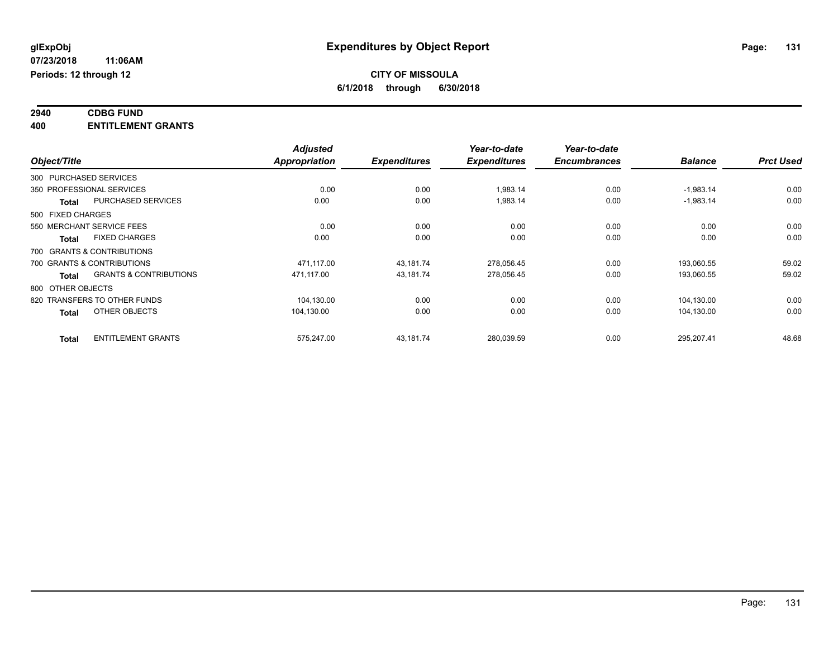#### **2940 CDBG FUND 400 ENTITLEMENT GRANTS**

|              |                                                   | <b>Adjusted</b> |                     | Year-to-date        | Year-to-date        |                |                  |
|--------------|---------------------------------------------------|-----------------|---------------------|---------------------|---------------------|----------------|------------------|
| Object/Title |                                                   | Appropriation   | <b>Expenditures</b> | <b>Expenditures</b> | <b>Encumbrances</b> | <b>Balance</b> | <b>Prct Used</b> |
|              | 300 PURCHASED SERVICES                            |                 |                     |                     |                     |                |                  |
|              | 350 PROFESSIONAL SERVICES                         | 0.00            | 0.00                | 1,983.14            | 0.00                | $-1,983.14$    | 0.00             |
|              | <b>PURCHASED SERVICES</b><br>Total                | 0.00            | 0.00                | 1,983.14            | 0.00                | $-1,983.14$    | 0.00             |
|              | 500 FIXED CHARGES                                 |                 |                     |                     |                     |                |                  |
|              | 550 MERCHANT SERVICE FEES                         | 0.00            | 0.00                | 0.00                | 0.00                | 0.00           | 0.00             |
|              | <b>FIXED CHARGES</b><br><b>Total</b>              | 0.00            | 0.00                | 0.00                | 0.00                | 0.00           | 0.00             |
|              | 700 GRANTS & CONTRIBUTIONS                        |                 |                     |                     |                     |                |                  |
|              | 700 GRANTS & CONTRIBUTIONS                        | 471,117.00      | 43,181.74           | 278,056.45          | 0.00                | 193,060.55     | 59.02            |
|              | <b>GRANTS &amp; CONTRIBUTIONS</b><br><b>Total</b> | 471.117.00      | 43,181.74           | 278,056.45          | 0.00                | 193.060.55     | 59.02            |
|              | 800 OTHER OBJECTS                                 |                 |                     |                     |                     |                |                  |
|              | 820 TRANSFERS TO OTHER FUNDS                      | 104,130.00      | 0.00                | 0.00                | 0.00                | 104,130.00     | 0.00             |
|              | OTHER OBJECTS<br><b>Total</b>                     | 104,130.00      | 0.00                | 0.00                | 0.00                | 104,130.00     | 0.00             |
|              | <b>ENTITLEMENT GRANTS</b><br><b>Total</b>         | 575,247.00      | 43,181.74           | 280,039.59          | 0.00                | 295,207.41     | 48.68            |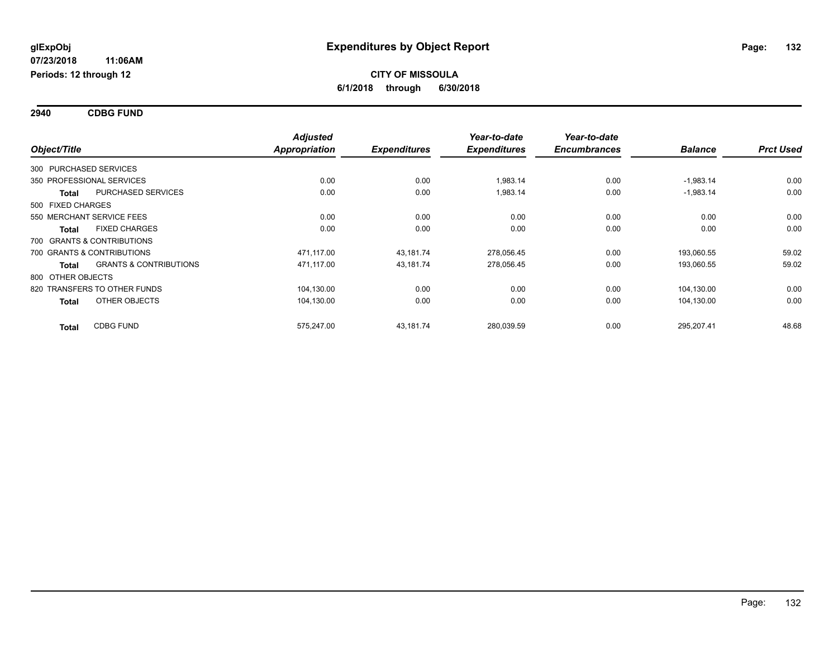**2940 CDBG FUND**

|                   |                                   | <b>Adjusted</b>      |                     | Year-to-date        | Year-to-date        |                |                  |
|-------------------|-----------------------------------|----------------------|---------------------|---------------------|---------------------|----------------|------------------|
| Object/Title      |                                   | <b>Appropriation</b> | <b>Expenditures</b> | <b>Expenditures</b> | <b>Encumbrances</b> | <b>Balance</b> | <b>Prct Used</b> |
|                   | 300 PURCHASED SERVICES            |                      |                     |                     |                     |                |                  |
|                   | 350 PROFESSIONAL SERVICES         | 0.00                 | 0.00                | 1,983.14            | 0.00                | $-1,983.14$    | 0.00             |
| <b>Total</b>      | <b>PURCHASED SERVICES</b>         | 0.00                 | 0.00                | 1,983.14            | 0.00                | $-1,983.14$    | 0.00             |
| 500 FIXED CHARGES |                                   |                      |                     |                     |                     |                |                  |
|                   | 550 MERCHANT SERVICE FEES         | 0.00                 | 0.00                | 0.00                | 0.00                | 0.00           | 0.00             |
| <b>Total</b>      | <b>FIXED CHARGES</b>              | 0.00                 | 0.00                | 0.00                | 0.00                | 0.00           | 0.00             |
|                   | 700 GRANTS & CONTRIBUTIONS        |                      |                     |                     |                     |                |                  |
|                   | 700 GRANTS & CONTRIBUTIONS        | 471,117.00           | 43,181.74           | 278,056.45          | 0.00                | 193,060.55     | 59.02            |
| <b>Total</b>      | <b>GRANTS &amp; CONTRIBUTIONS</b> | 471,117.00           | 43,181.74           | 278,056.45          | 0.00                | 193,060.55     | 59.02            |
| 800 OTHER OBJECTS |                                   |                      |                     |                     |                     |                |                  |
|                   | 820 TRANSFERS TO OTHER FUNDS      | 104,130.00           | 0.00                | 0.00                | 0.00                | 104,130.00     | 0.00             |
| <b>Total</b>      | OTHER OBJECTS                     | 104,130.00           | 0.00                | 0.00                | 0.00                | 104,130.00     | 0.00             |
| <b>Total</b>      | <b>CDBG FUND</b>                  | 575,247.00           | 43,181.74           | 280,039.59          | 0.00                | 295,207.41     | 48.68            |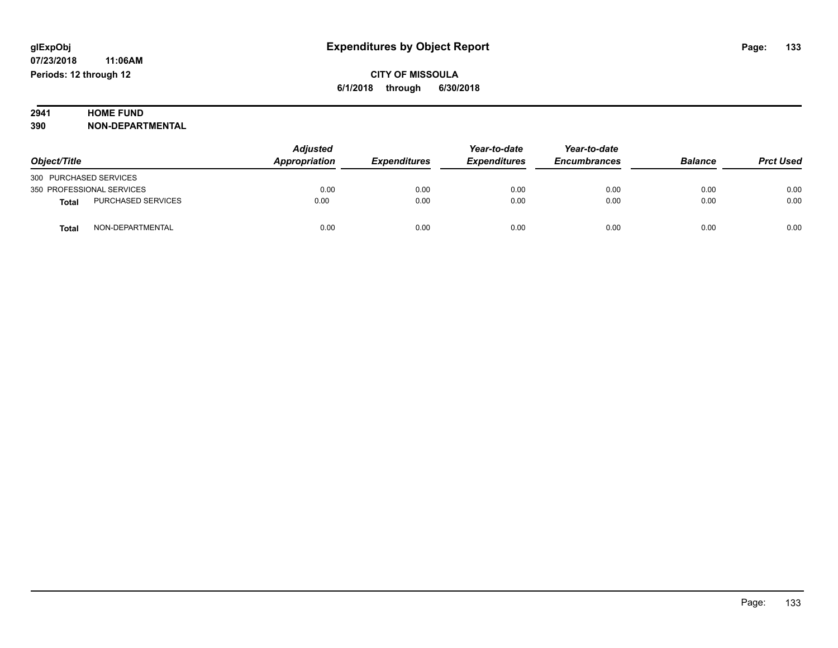# **2941 HOME FUND<br>390 NON-DEPART**

**390 NON-DEPARTMENTAL**

| Object/Title                              | <b>Adjusted</b><br>Appropriation | <b>Expenditures</b> | Year-to-date<br><b>Expenditures</b> | Year-to-date<br><b>Encumbrances</b> | <b>Balance</b> | <b>Prct Used</b> |
|-------------------------------------------|----------------------------------|---------------------|-------------------------------------|-------------------------------------|----------------|------------------|
|                                           |                                  |                     |                                     |                                     |                |                  |
| 300 PURCHASED SERVICES                    |                                  |                     |                                     |                                     |                |                  |
| 350 PROFESSIONAL SERVICES                 | 0.00                             | 0.00                | 0.00                                | 0.00                                | 0.00           | 0.00             |
| <b>PURCHASED SERVICES</b><br><b>Total</b> | 0.00                             | 0.00                | 0.00                                | 0.00                                | 0.00           | 0.00             |
| NON-DEPARTMENTAL<br>Total                 | 0.00                             | 0.00                | 0.00                                | 0.00                                | 0.00           | 0.00             |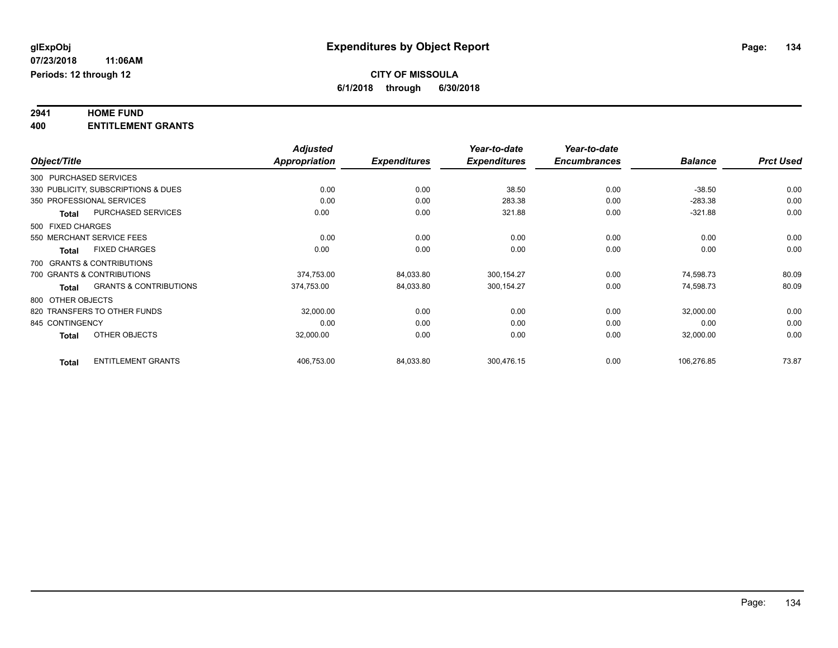## **2941 HOME FUND**

**400 ENTITLEMENT GRANTS**

|                   |                                     | <b>Adjusted</b>      |                     | Year-to-date        | Year-to-date        |                |                  |
|-------------------|-------------------------------------|----------------------|---------------------|---------------------|---------------------|----------------|------------------|
| Object/Title      |                                     | <b>Appropriation</b> | <b>Expenditures</b> | <b>Expenditures</b> | <b>Encumbrances</b> | <b>Balance</b> | <b>Prct Used</b> |
|                   | 300 PURCHASED SERVICES              |                      |                     |                     |                     |                |                  |
|                   | 330 PUBLICITY, SUBSCRIPTIONS & DUES | 0.00                 | 0.00                | 38.50               | 0.00                | $-38.50$       | 0.00             |
|                   | 350 PROFESSIONAL SERVICES           | 0.00                 | 0.00                | 283.38              | 0.00                | $-283.38$      | 0.00             |
| Total             | PURCHASED SERVICES                  | 0.00                 | 0.00                | 321.88              | 0.00                | $-321.88$      | 0.00             |
| 500 FIXED CHARGES |                                     |                      |                     |                     |                     |                |                  |
|                   | 550 MERCHANT SERVICE FEES           | 0.00                 | 0.00                | 0.00                | 0.00                | 0.00           | 0.00             |
| Total             | <b>FIXED CHARGES</b>                | 0.00                 | 0.00                | 0.00                | 0.00                | 0.00           | 0.00             |
|                   | 700 GRANTS & CONTRIBUTIONS          |                      |                     |                     |                     |                |                  |
|                   | 700 GRANTS & CONTRIBUTIONS          | 374,753.00           | 84,033.80           | 300,154.27          | 0.00                | 74,598.73      | 80.09            |
| <b>Total</b>      | <b>GRANTS &amp; CONTRIBUTIONS</b>   | 374,753.00           | 84,033.80           | 300,154.27          | 0.00                | 74,598.73      | 80.09            |
| 800 OTHER OBJECTS |                                     |                      |                     |                     |                     |                |                  |
|                   | 820 TRANSFERS TO OTHER FUNDS        | 32,000.00            | 0.00                | 0.00                | 0.00                | 32,000.00      | 0.00             |
| 845 CONTINGENCY   |                                     | 0.00                 | 0.00                | 0.00                | 0.00                | 0.00           | 0.00             |
| <b>Total</b>      | OTHER OBJECTS                       | 32,000.00            | 0.00                | 0.00                | 0.00                | 32,000.00      | 0.00             |
| <b>Total</b>      | <b>ENTITLEMENT GRANTS</b>           | 406,753.00           | 84,033.80           | 300,476.15          | 0.00                | 106,276.85     | 73.87            |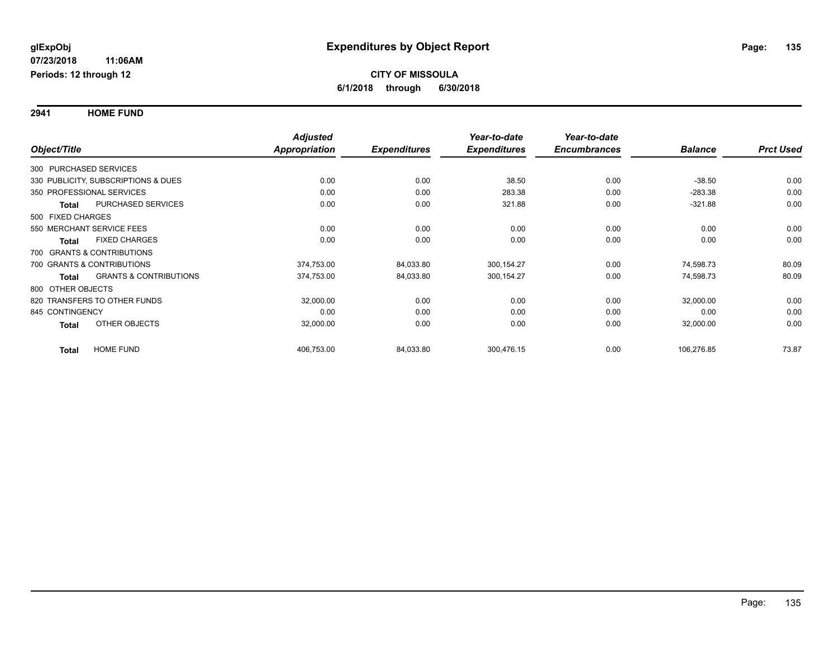**2941 HOME FUND**

|                        |                                     | <b>Adjusted</b> |                     | Year-to-date        | Year-to-date        |                |                  |
|------------------------|-------------------------------------|-----------------|---------------------|---------------------|---------------------|----------------|------------------|
| Object/Title           |                                     | Appropriation   | <b>Expenditures</b> | <b>Expenditures</b> | <b>Encumbrances</b> | <b>Balance</b> | <b>Prct Used</b> |
| 300 PURCHASED SERVICES |                                     |                 |                     |                     |                     |                |                  |
|                        | 330 PUBLICITY, SUBSCRIPTIONS & DUES | 0.00            | 0.00                | 38.50               | 0.00                | $-38.50$       | 0.00             |
|                        | 350 PROFESSIONAL SERVICES           | 0.00            | 0.00                | 283.38              | 0.00                | $-283.38$      | 0.00             |
| <b>Total</b>           | PURCHASED SERVICES                  | 0.00            | 0.00                | 321.88              | 0.00                | $-321.88$      | 0.00             |
| 500 FIXED CHARGES      |                                     |                 |                     |                     |                     |                |                  |
|                        | 550 MERCHANT SERVICE FEES           | 0.00            | 0.00                | 0.00                | 0.00                | 0.00           | 0.00             |
| <b>Total</b>           | <b>FIXED CHARGES</b>                | 0.00            | 0.00                | 0.00                | 0.00                | 0.00           | 0.00             |
|                        | 700 GRANTS & CONTRIBUTIONS          |                 |                     |                     |                     |                |                  |
|                        | 700 GRANTS & CONTRIBUTIONS          | 374,753.00      | 84,033.80           | 300,154.27          | 0.00                | 74,598.73      | 80.09            |
| <b>Total</b>           | <b>GRANTS &amp; CONTRIBUTIONS</b>   | 374,753.00      | 84,033.80           | 300,154.27          | 0.00                | 74,598.73      | 80.09            |
| 800 OTHER OBJECTS      |                                     |                 |                     |                     |                     |                |                  |
|                        | 820 TRANSFERS TO OTHER FUNDS        | 32,000.00       | 0.00                | 0.00                | 0.00                | 32,000.00      | 0.00             |
| 845 CONTINGENCY        |                                     | 0.00            | 0.00                | 0.00                | 0.00                | 0.00           | 0.00             |
| <b>Total</b>           | OTHER OBJECTS                       | 32,000.00       | 0.00                | 0.00                | 0.00                | 32,000.00      | 0.00             |
| <b>Total</b>           | <b>HOME FUND</b>                    | 406,753.00      | 84,033.80           | 300,476.15          | 0.00                | 106,276.85     | 73.87            |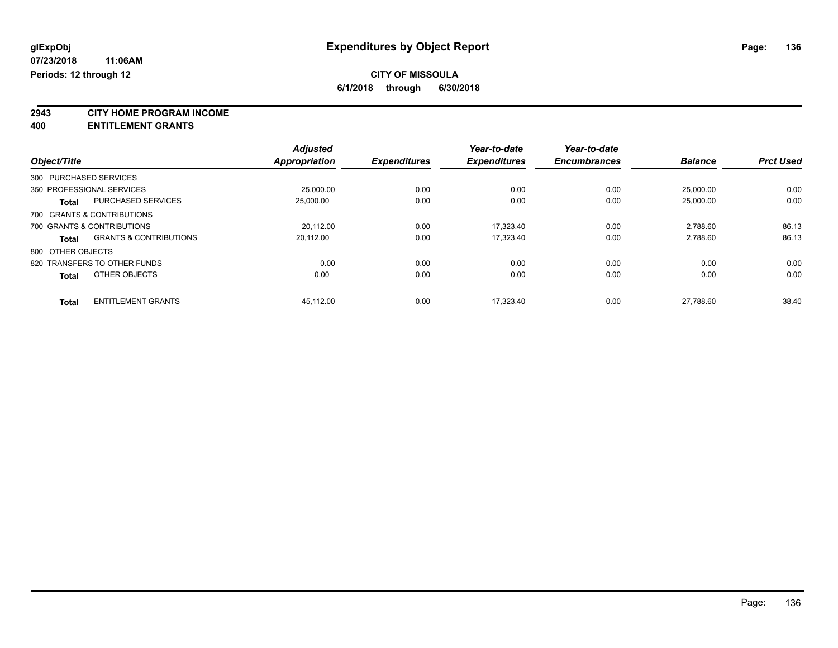**2943 CITY HOME PROGRAM INCOME**

**400 ENTITLEMENT GRANTS**

|                              |                                   | <b>Adjusted</b> |                     | Year-to-date        | Year-to-date        |                |                  |
|------------------------------|-----------------------------------|-----------------|---------------------|---------------------|---------------------|----------------|------------------|
| Object/Title                 |                                   | Appropriation   | <b>Expenditures</b> | <b>Expenditures</b> | <b>Encumbrances</b> | <b>Balance</b> | <b>Prct Used</b> |
| 300 PURCHASED SERVICES       |                                   |                 |                     |                     |                     |                |                  |
| 350 PROFESSIONAL SERVICES    |                                   | 25,000.00       | 0.00                | 0.00                | 0.00                | 25.000.00      | 0.00             |
| <b>Total</b>                 | <b>PURCHASED SERVICES</b>         | 25,000.00       | 0.00                | 0.00                | 0.00                | 25,000.00      | 0.00             |
| 700 GRANTS & CONTRIBUTIONS   |                                   |                 |                     |                     |                     |                |                  |
| 700 GRANTS & CONTRIBUTIONS   |                                   | 20.112.00       | 0.00                | 17.323.40           | 0.00                | 2.788.60       | 86.13            |
| <b>Total</b>                 | <b>GRANTS &amp; CONTRIBUTIONS</b> | 20,112.00       | 0.00                | 17,323.40           | 0.00                | 2,788.60       | 86.13            |
| 800 OTHER OBJECTS            |                                   |                 |                     |                     |                     |                |                  |
| 820 TRANSFERS TO OTHER FUNDS |                                   | 0.00            | 0.00                | 0.00                | 0.00                | 0.00           | 0.00             |
| <b>Total</b>                 | OTHER OBJECTS                     | 0.00            | 0.00                | 0.00                | 0.00                | 0.00           | 0.00             |
| <b>Total</b>                 | <b>ENTITLEMENT GRANTS</b>         | 45,112.00       | 0.00                | 17.323.40           | 0.00                | 27.788.60      | 38.40            |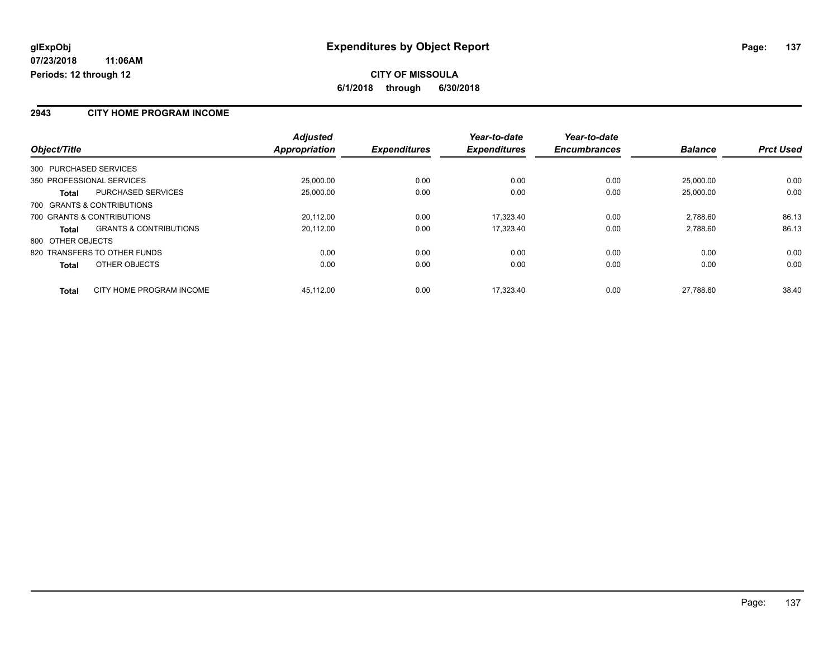#### **2943 CITY HOME PROGRAM INCOME**

|                                                   | <b>Adjusted</b>      |                     | Year-to-date        | Year-to-date        |                |                  |
|---------------------------------------------------|----------------------|---------------------|---------------------|---------------------|----------------|------------------|
| Object/Title                                      | <b>Appropriation</b> | <b>Expenditures</b> | <b>Expenditures</b> | <b>Encumbrances</b> | <b>Balance</b> | <b>Prct Used</b> |
| 300 PURCHASED SERVICES                            |                      |                     |                     |                     |                |                  |
| 350 PROFESSIONAL SERVICES                         | 25.000.00            | 0.00                | 0.00                | 0.00                | 25.000.00      | 0.00             |
| <b>PURCHASED SERVICES</b><br>Total                | 25,000.00            | 0.00                | 0.00                | 0.00                | 25,000.00      | 0.00             |
| 700 GRANTS & CONTRIBUTIONS                        |                      |                     |                     |                     |                |                  |
| 700 GRANTS & CONTRIBUTIONS                        | 20.112.00            | 0.00                | 17.323.40           | 0.00                | 2.788.60       | 86.13            |
| <b>GRANTS &amp; CONTRIBUTIONS</b><br><b>Total</b> | 20,112.00            | 0.00                | 17.323.40           | 0.00                | 2.788.60       | 86.13            |
| 800 OTHER OBJECTS                                 |                      |                     |                     |                     |                |                  |
| 820 TRANSFERS TO OTHER FUNDS                      | 0.00                 | 0.00                | 0.00                | 0.00                | 0.00           | 0.00             |
| OTHER OBJECTS<br><b>Total</b>                     | 0.00                 | 0.00                | 0.00                | 0.00                | 0.00           | 0.00             |
| CITY HOME PROGRAM INCOME<br><b>Total</b>          | 45.112.00            | 0.00                | 17.323.40           | 0.00                | 27.788.60      | 38.40            |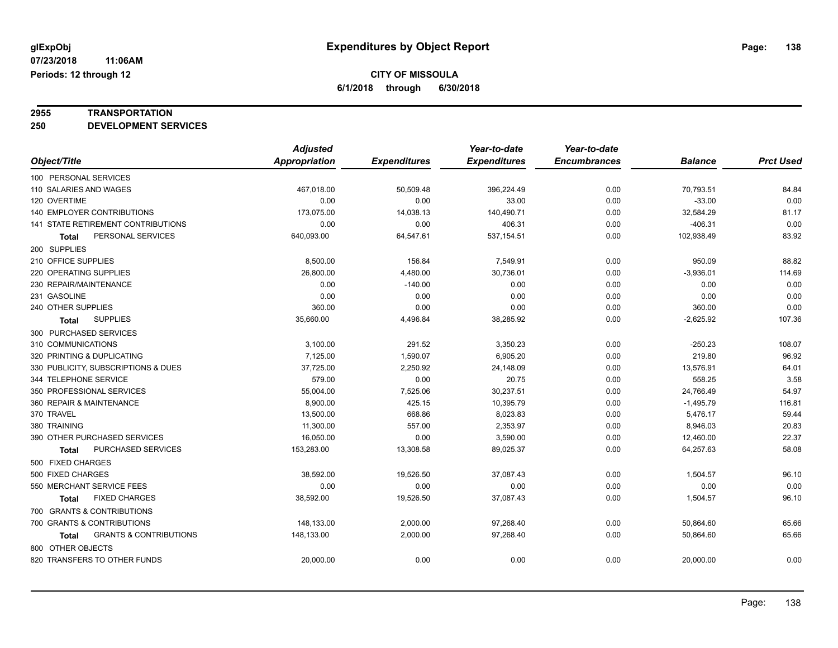## **2955 TRANSPORTATION**

**250 DEVELOPMENT SERVICES**

|                                            | <b>Adjusted</b>      |                     | Year-to-date        | Year-to-date        |                |                  |
|--------------------------------------------|----------------------|---------------------|---------------------|---------------------|----------------|------------------|
| Object/Title                               | <b>Appropriation</b> | <b>Expenditures</b> | <b>Expenditures</b> | <b>Encumbrances</b> | <b>Balance</b> | <b>Prct Used</b> |
| 100 PERSONAL SERVICES                      |                      |                     |                     |                     |                |                  |
| 110 SALARIES AND WAGES                     | 467,018.00           | 50,509.48           | 396,224.49          | 0.00                | 70,793.51      | 84.84            |
| 120 OVERTIME                               | 0.00                 | 0.00                | 33.00               | 0.00                | $-33.00$       | 0.00             |
| 140 EMPLOYER CONTRIBUTIONS                 | 173,075.00           | 14,038.13           | 140,490.71          | 0.00                | 32,584.29      | 81.17            |
| <b>141 STATE RETIREMENT CONTRIBUTIONS</b>  | 0.00                 | 0.00                | 406.31              | 0.00                | $-406.31$      | 0.00             |
| PERSONAL SERVICES<br>Total                 | 640,093.00           | 64,547.61           | 537, 154.51         | 0.00                | 102,938.49     | 83.92            |
| 200 SUPPLIES                               |                      |                     |                     |                     |                |                  |
| 210 OFFICE SUPPLIES                        | 8,500.00             | 156.84              | 7,549.91            | 0.00                | 950.09         | 88.82            |
| 220 OPERATING SUPPLIES                     | 26,800.00            | 4,480.00            | 30,736.01           | 0.00                | $-3,936.01$    | 114.69           |
| 230 REPAIR/MAINTENANCE                     | 0.00                 | $-140.00$           | 0.00                | 0.00                | 0.00           | 0.00             |
| 231 GASOLINE                               | 0.00                 | 0.00                | 0.00                | 0.00                | 0.00           | 0.00             |
| 240 OTHER SUPPLIES                         | 360.00               | 0.00                | 0.00                | 0.00                | 360.00         | 0.00             |
| <b>SUPPLIES</b><br>Total                   | 35,660.00            | 4,496.84            | 38,285.92           | 0.00                | $-2,625.92$    | 107.36           |
| 300 PURCHASED SERVICES                     |                      |                     |                     |                     |                |                  |
| 310 COMMUNICATIONS                         | 3,100.00             | 291.52              | 3,350.23            | 0.00                | $-250.23$      | 108.07           |
| 320 PRINTING & DUPLICATING                 | 7,125.00             | 1,590.07            | 6,905.20            | 0.00                | 219.80         | 96.92            |
| 330 PUBLICITY, SUBSCRIPTIONS & DUES        | 37,725.00            | 2,250.92            | 24,148.09           | 0.00                | 13,576.91      | 64.01            |
| 344 TELEPHONE SERVICE                      | 579.00               | 0.00                | 20.75               | 0.00                | 558.25         | 3.58             |
| 350 PROFESSIONAL SERVICES                  | 55,004.00            | 7,525.06            | 30,237.51           | 0.00                | 24,766.49      | 54.97            |
| 360 REPAIR & MAINTENANCE                   | 8,900.00             | 425.15              | 10,395.79           | 0.00                | $-1,495.79$    | 116.81           |
| 370 TRAVEL                                 | 13,500.00            | 668.86              | 8,023.83            | 0.00                | 5,476.17       | 59.44            |
| 380 TRAINING                               | 11,300.00            | 557.00              | 2,353.97            | 0.00                | 8,946.03       | 20.83            |
| 390 OTHER PURCHASED SERVICES               | 16,050.00            | 0.00                | 3,590.00            | 0.00                | 12,460.00      | 22.37            |
| PURCHASED SERVICES<br><b>Total</b>         | 153,283.00           | 13,308.58           | 89,025.37           | 0.00                | 64,257.63      | 58.08            |
| 500 FIXED CHARGES                          |                      |                     |                     |                     |                |                  |
| 500 FIXED CHARGES                          | 38,592.00            | 19,526.50           | 37,087.43           | 0.00                | 1,504.57       | 96.10            |
| 550 MERCHANT SERVICE FEES                  | 0.00                 | 0.00                | 0.00                | 0.00                | 0.00           | 0.00             |
| <b>FIXED CHARGES</b><br>Total              | 38,592.00            | 19,526.50           | 37,087.43           | 0.00                | 1,504.57       | 96.10            |
| 700 GRANTS & CONTRIBUTIONS                 |                      |                     |                     |                     |                |                  |
| 700 GRANTS & CONTRIBUTIONS                 | 148,133.00           | 2,000.00            | 97,268.40           | 0.00                | 50,864.60      | 65.66            |
| <b>GRANTS &amp; CONTRIBUTIONS</b><br>Total | 148,133.00           | 2,000.00            | 97,268.40           | 0.00                | 50,864.60      | 65.66            |
| 800 OTHER OBJECTS                          |                      |                     |                     |                     |                |                  |
| 820 TRANSFERS TO OTHER FUNDS               | 20,000.00            | 0.00                | 0.00                | 0.00                | 20,000.00      | 0.00             |
|                                            |                      |                     |                     |                     |                |                  |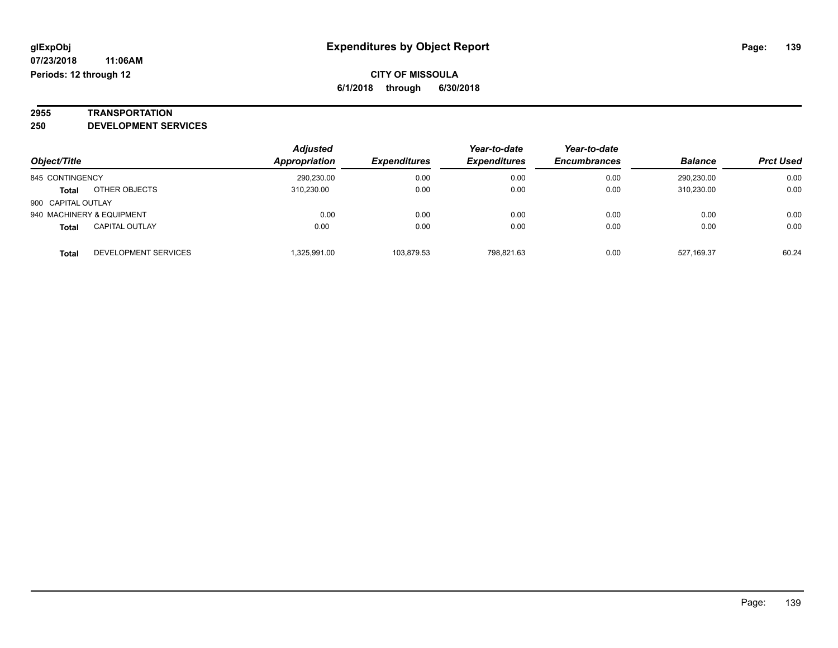## **2955 TRANSPORTATION**

**250 DEVELOPMENT SERVICES**

|                    |                           | <b>Adjusted</b> |                     | Year-to-date        | Year-to-date        |                |                  |
|--------------------|---------------------------|-----------------|---------------------|---------------------|---------------------|----------------|------------------|
| Object/Title       |                           | Appropriation   | <b>Expenditures</b> | <b>Expenditures</b> | <b>Encumbrances</b> | <b>Balance</b> | <b>Prct Used</b> |
| 845 CONTINGENCY    |                           | 290,230.00      | 0.00                | 0.00                | 0.00                | 290.230.00     | 0.00             |
| <b>Total</b>       | OTHER OBJECTS             | 310.230.00      | 0.00                | 0.00                | 0.00                | 310.230.00     | 0.00             |
| 900 CAPITAL OUTLAY |                           |                 |                     |                     |                     |                |                  |
|                    | 940 MACHINERY & EQUIPMENT | 0.00            | 0.00                | 0.00                | 0.00                | 0.00           | 0.00             |
| <b>Total</b>       | <b>CAPITAL OUTLAY</b>     | 0.00            | 0.00                | 0.00                | 0.00                | 0.00           | 0.00             |
| <b>Total</b>       | DEVELOPMENT SERVICES      | 1.325.991.00    | 103.879.53          | 798.821.63          | 0.00                | 527.169.37     | 60.24            |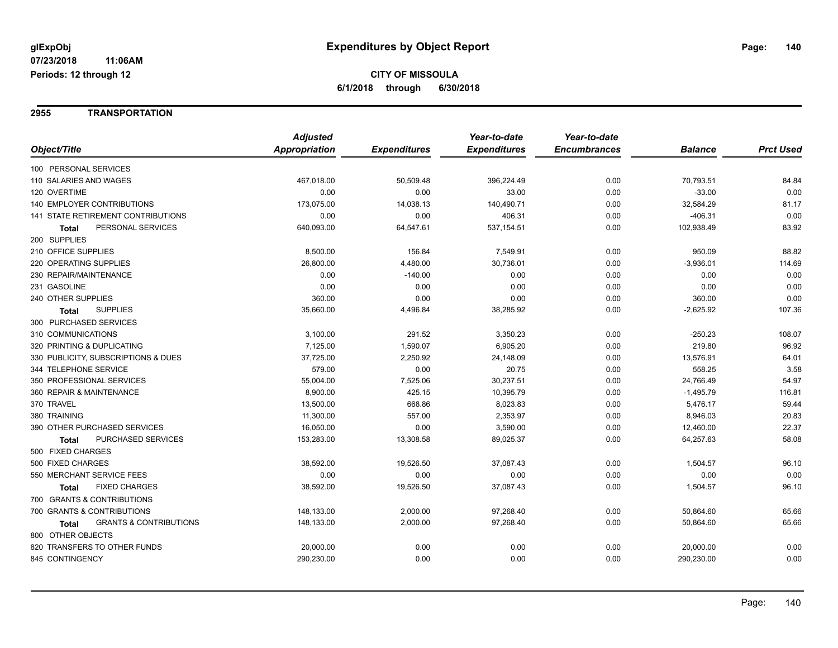**2955 TRANSPORTATION**

|                                                   | <b>Adjusted</b> |                     | Year-to-date        | Year-to-date        |                |                  |
|---------------------------------------------------|-----------------|---------------------|---------------------|---------------------|----------------|------------------|
| Object/Title                                      | Appropriation   | <b>Expenditures</b> | <b>Expenditures</b> | <b>Encumbrances</b> | <b>Balance</b> | <b>Prct Used</b> |
| 100 PERSONAL SERVICES                             |                 |                     |                     |                     |                |                  |
| 110 SALARIES AND WAGES                            | 467,018.00      | 50,509.48           | 396,224.49          | 0.00                | 70,793.51      | 84.84            |
| 120 OVERTIME                                      | 0.00            | 0.00                | 33.00               | 0.00                | $-33.00$       | 0.00             |
| <b>140 EMPLOYER CONTRIBUTIONS</b>                 | 173,075.00      | 14,038.13           | 140,490.71          | 0.00                | 32,584.29      | 81.17            |
| 141 STATE RETIREMENT CONTRIBUTIONS                | 0.00            | 0.00                | 406.31              | 0.00                | $-406.31$      | 0.00             |
| PERSONAL SERVICES<br>Total                        | 640,093.00      | 64,547.61           | 537, 154.51         | 0.00                | 102,938.49     | 83.92            |
| 200 SUPPLIES                                      |                 |                     |                     |                     |                |                  |
| 210 OFFICE SUPPLIES                               | 8,500.00        | 156.84              | 7,549.91            | 0.00                | 950.09         | 88.82            |
| 220 OPERATING SUPPLIES                            | 26,800.00       | 4,480.00            | 30,736.01           | 0.00                | $-3,936.01$    | 114.69           |
| 230 REPAIR/MAINTENANCE                            | 0.00            | $-140.00$           | 0.00                | 0.00                | 0.00           | 0.00             |
| 231 GASOLINE                                      | 0.00            | 0.00                | 0.00                | 0.00                | 0.00           | 0.00             |
| 240 OTHER SUPPLIES                                | 360.00          | 0.00                | 0.00                | 0.00                | 360.00         | 0.00             |
| <b>SUPPLIES</b><br><b>Total</b>                   | 35,660.00       | 4,496.84            | 38,285.92           | 0.00                | $-2,625.92$    | 107.36           |
| 300 PURCHASED SERVICES                            |                 |                     |                     |                     |                |                  |
| 310 COMMUNICATIONS                                | 3,100.00        | 291.52              | 3,350.23            | 0.00                | $-250.23$      | 108.07           |
| 320 PRINTING & DUPLICATING                        | 7,125.00        | 1,590.07            | 6,905.20            | 0.00                | 219.80         | 96.92            |
| 330 PUBLICITY, SUBSCRIPTIONS & DUES               | 37,725.00       | 2,250.92            | 24,148.09           | 0.00                | 13,576.91      | 64.01            |
| 344 TELEPHONE SERVICE                             | 579.00          | 0.00                | 20.75               | 0.00                | 558.25         | 3.58             |
| 350 PROFESSIONAL SERVICES                         | 55,004.00       | 7,525.06            | 30,237.51           | 0.00                | 24,766.49      | 54.97            |
| 360 REPAIR & MAINTENANCE                          | 8,900.00        | 425.15              | 10,395.79           | 0.00                | $-1,495.79$    | 116.81           |
| 370 TRAVEL                                        | 13,500.00       | 668.86              | 8,023.83            | 0.00                | 5,476.17       | 59.44            |
| 380 TRAINING                                      | 11,300.00       | 557.00              | 2,353.97            | 0.00                | 8,946.03       | 20.83            |
| 390 OTHER PURCHASED SERVICES                      | 16,050.00       | 0.00                | 3,590.00            | 0.00                | 12,460.00      | 22.37            |
| PURCHASED SERVICES<br>Total                       | 153,283.00      | 13,308.58           | 89,025.37           | 0.00                | 64,257.63      | 58.08            |
| 500 FIXED CHARGES                                 |                 |                     |                     |                     |                |                  |
| 500 FIXED CHARGES                                 | 38,592.00       | 19,526.50           | 37,087.43           | 0.00                | 1,504.57       | 96.10            |
| 550 MERCHANT SERVICE FEES                         | 0.00            | 0.00                | 0.00                | 0.00                | 0.00           | 0.00             |
| <b>FIXED CHARGES</b><br>Total                     | 38,592.00       | 19,526.50           | 37,087.43           | 0.00                | 1,504.57       | 96.10            |
| 700 GRANTS & CONTRIBUTIONS                        |                 |                     |                     |                     |                |                  |
| 700 GRANTS & CONTRIBUTIONS                        | 148,133.00      | 2,000.00            | 97,268.40           | 0.00                | 50,864.60      | 65.66            |
| <b>GRANTS &amp; CONTRIBUTIONS</b><br><b>Total</b> | 148,133.00      | 2,000.00            | 97,268.40           | 0.00                | 50,864.60      | 65.66            |
| 800 OTHER OBJECTS                                 |                 |                     |                     |                     |                |                  |
| 820 TRANSFERS TO OTHER FUNDS                      | 20,000.00       | 0.00                | 0.00                | 0.00                | 20,000.00      | 0.00             |
| 845 CONTINGENCY                                   | 290,230.00      | 0.00                | 0.00                | 0.00                | 290,230.00     | 0.00             |
|                                                   |                 |                     |                     |                     |                |                  |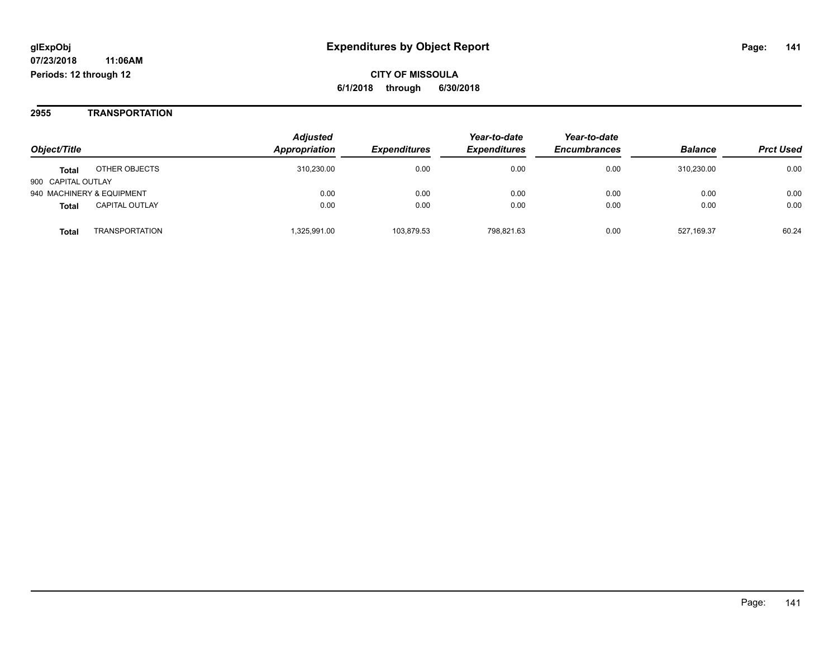#### **2955 TRANSPORTATION**

| Object/Title              |                       | <b>Adjusted</b> |                     | Year-to-date        | Year-to-date<br><b>Encumbrances</b> |                |                  |
|---------------------------|-----------------------|-----------------|---------------------|---------------------|-------------------------------------|----------------|------------------|
|                           |                       | Appropriation   | <b>Expenditures</b> | <b>Expenditures</b> |                                     | <b>Balance</b> | <b>Prct Used</b> |
| <b>Total</b>              | OTHER OBJECTS         | 310,230.00      | 0.00                | 0.00                | 0.00                                | 310.230.00     | 0.00             |
| 900 CAPITAL OUTLAY        |                       |                 |                     |                     |                                     |                |                  |
| 940 MACHINERY & EQUIPMENT |                       | 0.00            | 0.00                | 0.00                | 0.00                                | 0.00           | 0.00             |
| <b>Total</b>              | <b>CAPITAL OUTLAY</b> | 0.00            | 0.00                | 0.00                | 0.00                                | 0.00           | 0.00             |
| Total                     | TRANSPORTATION        | .325.991.00     | 103.879.53          | 798.821.63          | 0.00                                | 527.169.37     | 60.24            |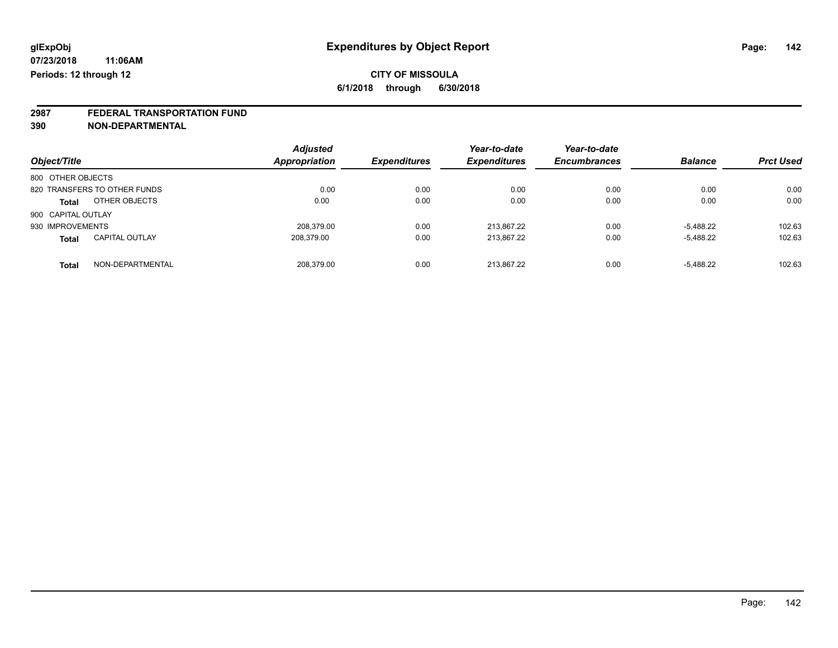## **2987 FEDERAL TRANSPORTATION FUND**

**390 NON-DEPARTMENTAL**

| Object/Title                          | <b>Adjusted</b><br>Appropriation | <b>Expenditures</b> | Year-to-date<br><b>Expenditures</b> | Year-to-date<br><b>Encumbrances</b> | <b>Balance</b> | <b>Prct Used</b> |
|---------------------------------------|----------------------------------|---------------------|-------------------------------------|-------------------------------------|----------------|------------------|
|                                       |                                  |                     |                                     |                                     |                |                  |
| 800 OTHER OBJECTS                     |                                  |                     |                                     |                                     |                |                  |
| 820 TRANSFERS TO OTHER FUNDS          | 0.00                             | 0.00                | 0.00                                | 0.00                                | 0.00           | 0.00             |
| OTHER OBJECTS<br><b>Total</b>         | 0.00                             | 0.00                | 0.00                                | 0.00                                | 0.00           | 0.00             |
| 900 CAPITAL OUTLAY                    |                                  |                     |                                     |                                     |                |                  |
| 930 IMPROVEMENTS                      | 208,379.00                       | 0.00                | 213,867.22                          | 0.00                                | $-5,488.22$    | 102.63           |
| <b>CAPITAL OUTLAY</b><br><b>Total</b> | 208.379.00                       | 0.00                | 213,867.22                          | 0.00                                | $-5,488.22$    | 102.63           |
| NON-DEPARTMENTAL<br><b>Total</b>      | 208,379.00                       | 0.00                | 213,867.22                          | 0.00                                | $-5,488.22$    | 102.63           |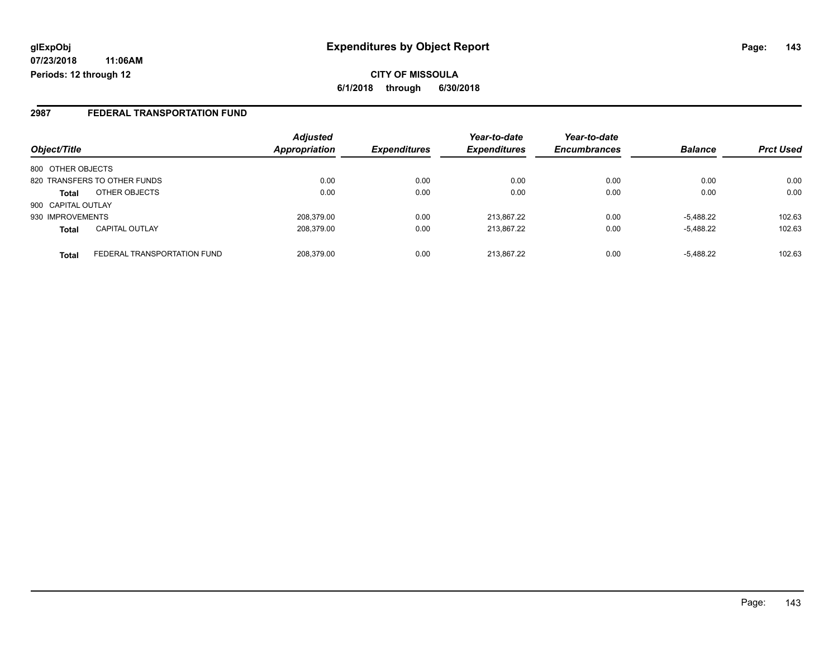#### **07/23/2018 11:06AM Periods: 12 through 12**

**CITY OF MISSOULA 6/1/2018 through 6/30/2018**

#### **2987 FEDERAL TRANSPORTATION FUND**

|                    |                              | <b>Adjusted</b> |                     | Year-to-date        | Year-to-date        |                |                  |
|--------------------|------------------------------|-----------------|---------------------|---------------------|---------------------|----------------|------------------|
| Object/Title       |                              | Appropriation   | <b>Expenditures</b> | <b>Expenditures</b> | <b>Encumbrances</b> | <b>Balance</b> | <b>Prct Used</b> |
| 800 OTHER OBJECTS  |                              |                 |                     |                     |                     |                |                  |
|                    | 820 TRANSFERS TO OTHER FUNDS | 0.00            | 0.00                | 0.00                | 0.00                | 0.00           | 0.00             |
| <b>Total</b>       | OTHER OBJECTS                | 0.00            | 0.00                | 0.00                | 0.00                | 0.00           | 0.00             |
| 900 CAPITAL OUTLAY |                              |                 |                     |                     |                     |                |                  |
| 930 IMPROVEMENTS   |                              | 208.379.00      | 0.00                | 213.867.22          | 0.00                | $-5.488.22$    | 102.63           |
| <b>Total</b>       | <b>CAPITAL OUTLAY</b>        | 208.379.00      | 0.00                | 213.867.22          | 0.00                | $-5.488.22$    | 102.63           |
| <b>Total</b>       | FEDERAL TRANSPORTATION FUND  | 208.379.00      | 0.00                | 213.867.22          | 0.00                | $-5,488.22$    | 102.63           |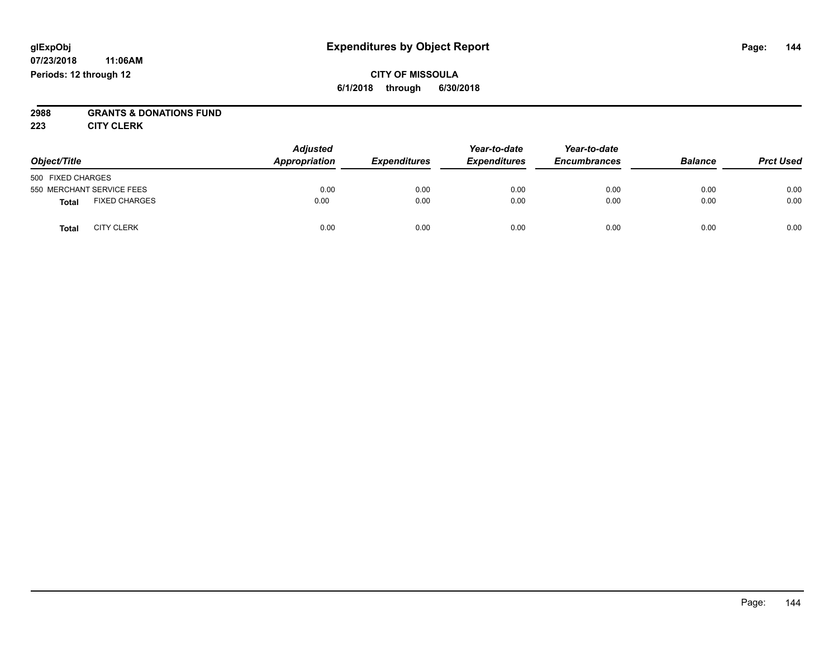#### **07/23/2018 11:06AM Periods: 12 through 12**

## **CITY OF MISSOULA 6/1/2018 through 6/30/2018**

## **2988 GRANTS & DONATIONS FUND**

**223 CITY CLERK**

| Object/Title                         | <b>Adjusted</b><br>Appropriation | <b>Expenditures</b> | Year-to-date<br><b>Expenditures</b> | Year-to-date<br><b>Encumbrances</b> | <b>Balance</b> | <b>Prct Used</b> |
|--------------------------------------|----------------------------------|---------------------|-------------------------------------|-------------------------------------|----------------|------------------|
| 500 FIXED CHARGES                    |                                  |                     |                                     |                                     |                |                  |
| 550 MERCHANT SERVICE FEES            | 0.00                             | 0.00                | 0.00                                | 0.00                                | 0.00           | 0.00             |
| <b>FIXED CHARGES</b><br><b>Total</b> | 0.00                             | 0.00                | 0.00                                | 0.00                                | 0.00           | 0.00             |
| <b>CITY CLERK</b><br>Total           | 0.00                             | 0.00                | 0.00                                | 0.00                                | 0.00           | 0.00             |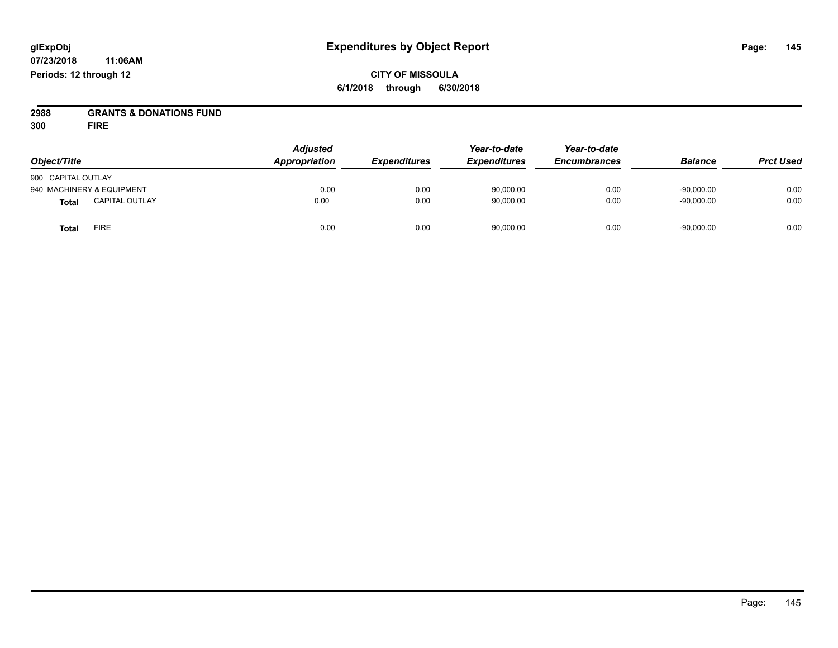# **CITY OF MISSOULA 6/1/2018 through 6/30/2018**

# **2988 GRANTS & DONATIONS FUND**

**300 FIRE**

| Object/Title              | <b>Adjusted</b><br>Appropriation |      | <b>Expenditures</b> | Year-to-date<br><b>Expenditures</b> | Year-to-date<br><b>Encumbrances</b> | <b>Balance</b> | <b>Prct Used</b> |
|---------------------------|----------------------------------|------|---------------------|-------------------------------------|-------------------------------------|----------------|------------------|
| 900 CAPITAL OUTLAY        |                                  |      |                     |                                     |                                     |                |                  |
| 940 MACHINERY & EQUIPMENT |                                  | 0.00 | 0.00                | 90,000.00                           | 0.00                                | $-90,000.00$   | 0.00             |
| CAPITAL OUTLAY<br>Total   |                                  | 0.00 | 0.00                | 90,000.00                           | 0.00                                | $-90,000.00$   | 0.00             |
| <b>FIRE</b><br>Total      |                                  | 0.00 | 0.00                | 90,000.00                           | 0.00                                | $-90,000.00$   | 0.00             |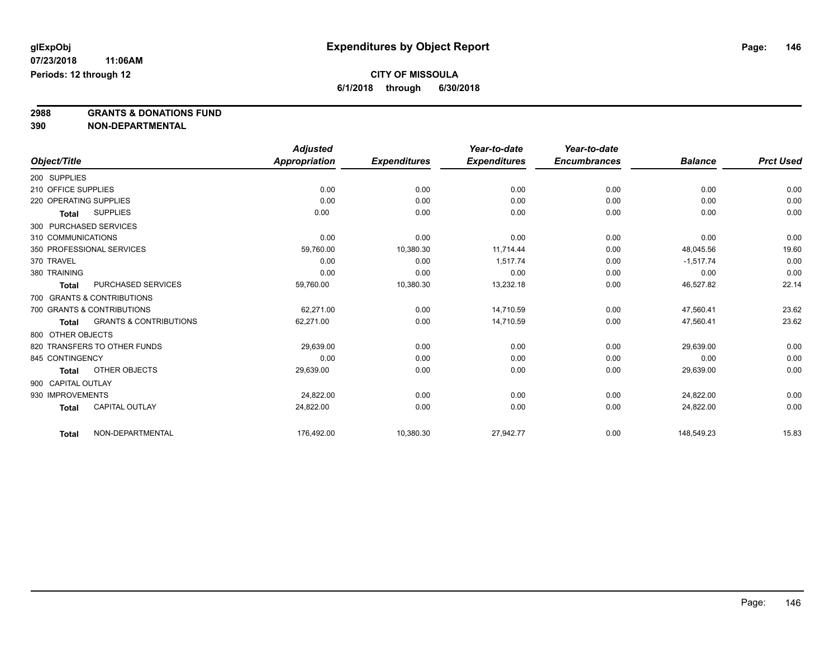**2988 GRANTS & DONATIONS FUND**

|                        |                                   | <b>Adjusted</b>      |                     | Year-to-date        | Year-to-date        |                |                  |
|------------------------|-----------------------------------|----------------------|---------------------|---------------------|---------------------|----------------|------------------|
| Object/Title           |                                   | <b>Appropriation</b> | <b>Expenditures</b> | <b>Expenditures</b> | <b>Encumbrances</b> | <b>Balance</b> | <b>Prct Used</b> |
| 200 SUPPLIES           |                                   |                      |                     |                     |                     |                |                  |
| 210 OFFICE SUPPLIES    |                                   | 0.00                 | 0.00                | 0.00                | 0.00                | 0.00           | 0.00             |
| 220 OPERATING SUPPLIES |                                   | 0.00                 | 0.00                | 0.00                | 0.00                | 0.00           | 0.00             |
| Total                  | <b>SUPPLIES</b>                   | 0.00                 | 0.00                | 0.00                | 0.00                | 0.00           | 0.00             |
| 300 PURCHASED SERVICES |                                   |                      |                     |                     |                     |                |                  |
| 310 COMMUNICATIONS     |                                   | 0.00                 | 0.00                | 0.00                | 0.00                | 0.00           | 0.00             |
|                        | 350 PROFESSIONAL SERVICES         | 59,760.00            | 10,380.30           | 11.714.44           | 0.00                | 48,045.56      | 19.60            |
| 370 TRAVEL             |                                   | 0.00                 | 0.00                | 1,517.74            | 0.00                | $-1,517.74$    | 0.00             |
| 380 TRAINING           |                                   | 0.00                 | 0.00                | 0.00                | 0.00                | 0.00           | 0.00             |
| <b>Total</b>           | <b>PURCHASED SERVICES</b>         | 59,760.00            | 10,380.30           | 13,232.18           | 0.00                | 46,527.82      | 22.14            |
|                        | 700 GRANTS & CONTRIBUTIONS        |                      |                     |                     |                     |                |                  |
|                        | 700 GRANTS & CONTRIBUTIONS        | 62.271.00            | 0.00                | 14,710.59           | 0.00                | 47,560.41      | 23.62            |
| Total                  | <b>GRANTS &amp; CONTRIBUTIONS</b> | 62,271.00            | 0.00                | 14,710.59           | 0.00                | 47,560.41      | 23.62            |
| 800 OTHER OBJECTS      |                                   |                      |                     |                     |                     |                |                  |
|                        | 820 TRANSFERS TO OTHER FUNDS      | 29,639.00            | 0.00                | 0.00                | 0.00                | 29,639.00      | 0.00             |
| 845 CONTINGENCY        |                                   | 0.00                 | 0.00                | 0.00                | 0.00                | 0.00           | 0.00             |
| Total                  | OTHER OBJECTS                     | 29,639.00            | 0.00                | 0.00                | 0.00                | 29,639.00      | 0.00             |
| 900 CAPITAL OUTLAY     |                                   |                      |                     |                     |                     |                |                  |
| 930 IMPROVEMENTS       |                                   | 24,822.00            | 0.00                | 0.00                | 0.00                | 24,822.00      | 0.00             |
| <b>Total</b>           | <b>CAPITAL OUTLAY</b>             | 24,822.00            | 0.00                | 0.00                | 0.00                | 24,822.00      | 0.00             |
| <b>Total</b>           | NON-DEPARTMENTAL                  | 176,492.00           | 10,380.30           | 27,942.77           | 0.00                | 148,549.23     | 15.83            |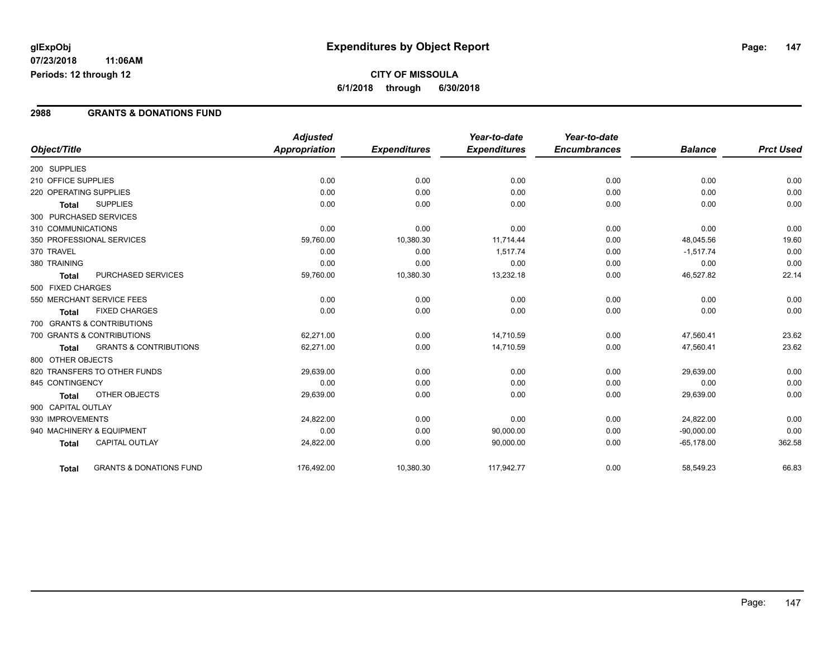#### **2988 GRANTS & DONATIONS FUND**

|                        |                                    | <b>Adjusted</b> |                     | Year-to-date        | Year-to-date        |                |                  |
|------------------------|------------------------------------|-----------------|---------------------|---------------------|---------------------|----------------|------------------|
| Object/Title           |                                    | Appropriation   | <b>Expenditures</b> | <b>Expenditures</b> | <b>Encumbrances</b> | <b>Balance</b> | <b>Prct Used</b> |
| 200 SUPPLIES           |                                    |                 |                     |                     |                     |                |                  |
| 210 OFFICE SUPPLIES    |                                    | 0.00            | 0.00                | 0.00                | 0.00                | 0.00           | 0.00             |
| 220 OPERATING SUPPLIES |                                    | 0.00            | 0.00                | 0.00                | 0.00                | 0.00           | 0.00             |
| <b>Total</b>           | <b>SUPPLIES</b>                    | 0.00            | 0.00                | 0.00                | 0.00                | 0.00           | 0.00             |
| 300 PURCHASED SERVICES |                                    |                 |                     |                     |                     |                |                  |
| 310 COMMUNICATIONS     |                                    | 0.00            | 0.00                | 0.00                | 0.00                | 0.00           | 0.00             |
|                        | 350 PROFESSIONAL SERVICES          | 59,760.00       | 10,380.30           | 11,714.44           | 0.00                | 48,045.56      | 19.60            |
| 370 TRAVEL             |                                    | 0.00            | 0.00                | 1.517.74            | 0.00                | $-1,517.74$    | 0.00             |
| 380 TRAINING           |                                    | 0.00            | 0.00                | 0.00                | 0.00                | 0.00           | 0.00             |
| <b>Total</b>           | PURCHASED SERVICES                 | 59,760.00       | 10,380.30           | 13,232.18           | 0.00                | 46,527.82      | 22.14            |
| 500 FIXED CHARGES      |                                    |                 |                     |                     |                     |                |                  |
|                        | 550 MERCHANT SERVICE FEES          | 0.00            | 0.00                | 0.00                | 0.00                | 0.00           | 0.00             |
| <b>Total</b>           | <b>FIXED CHARGES</b>               | 0.00            | 0.00                | 0.00                | 0.00                | 0.00           | 0.00             |
|                        | 700 GRANTS & CONTRIBUTIONS         |                 |                     |                     |                     |                |                  |
|                        | 700 GRANTS & CONTRIBUTIONS         | 62,271.00       | 0.00                | 14,710.59           | 0.00                | 47,560.41      | 23.62            |
| Total                  | <b>GRANTS &amp; CONTRIBUTIONS</b>  | 62,271.00       | 0.00                | 14,710.59           | 0.00                | 47,560.41      | 23.62            |
| 800 OTHER OBJECTS      |                                    |                 |                     |                     |                     |                |                  |
|                        | 820 TRANSFERS TO OTHER FUNDS       | 29,639.00       | 0.00                | 0.00                | 0.00                | 29,639.00      | 0.00             |
| 845 CONTINGENCY        |                                    | 0.00            | 0.00                | 0.00                | 0.00                | 0.00           | 0.00             |
| <b>Total</b>           | OTHER OBJECTS                      | 29,639.00       | 0.00                | 0.00                | 0.00                | 29,639.00      | 0.00             |
| 900 CAPITAL OUTLAY     |                                    |                 |                     |                     |                     |                |                  |
| 930 IMPROVEMENTS       |                                    | 24,822.00       | 0.00                | 0.00                | 0.00                | 24,822.00      | 0.00             |
|                        | 940 MACHINERY & EQUIPMENT          | 0.00            | 0.00                | 90,000.00           | 0.00                | $-90,000.00$   | 0.00             |
| <b>Total</b>           | CAPITAL OUTLAY                     | 24,822.00       | 0.00                | 90,000.00           | 0.00                | $-65,178.00$   | 362.58           |
| <b>Total</b>           | <b>GRANTS &amp; DONATIONS FUND</b> | 176,492.00      | 10,380.30           | 117,942.77          | 0.00                | 58,549.23      | 66.83            |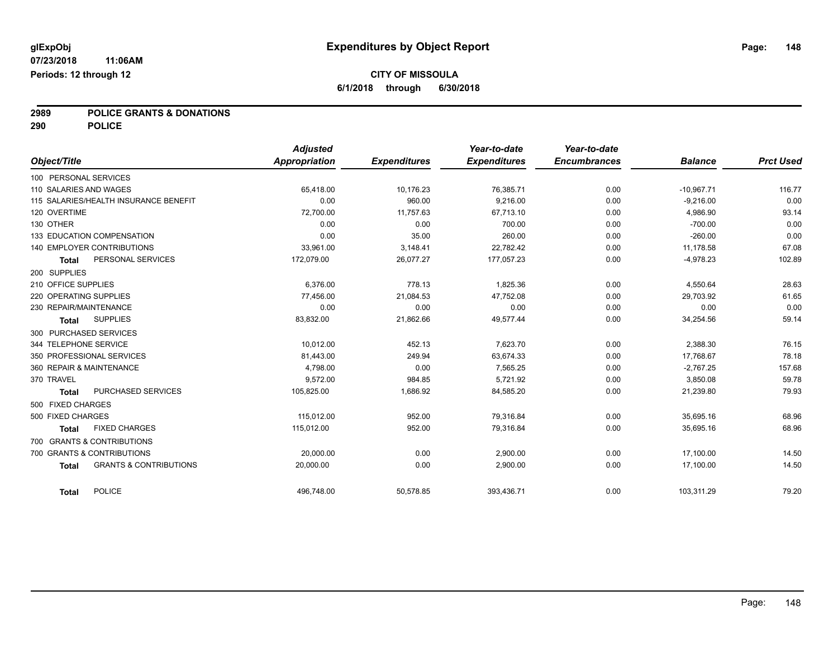# **2989 POLICE GRANTS & DONATIONS**

**290 POLICE**

| Object/Title                                      | <b>Adjusted</b><br>Appropriation | <b>Expenditures</b> | Year-to-date<br><b>Expenditures</b> | Year-to-date<br><b>Encumbrances</b> | <b>Balance</b> | <b>Prct Used</b> |
|---------------------------------------------------|----------------------------------|---------------------|-------------------------------------|-------------------------------------|----------------|------------------|
|                                                   |                                  |                     |                                     |                                     |                |                  |
| 100 PERSONAL SERVICES                             |                                  |                     |                                     |                                     |                |                  |
| 110 SALARIES AND WAGES                            | 65,418.00                        | 10,176.23           | 76,385.71                           | 0.00                                | $-10,967.71$   | 116.77           |
| 115 SALARIES/HEALTH INSURANCE BENEFIT             | 0.00                             | 960.00              | 9.216.00                            | 0.00                                | $-9,216.00$    | 0.00             |
| 120 OVERTIME                                      | 72,700.00                        | 11,757.63           | 67,713.10                           | 0.00                                | 4,986.90       | 93.14            |
| 130 OTHER                                         | 0.00                             | 0.00                | 700.00                              | 0.00                                | $-700.00$      | 0.00             |
| 133 EDUCATION COMPENSATION                        | 0.00                             | 35.00               | 260.00                              | 0.00                                | $-260.00$      | 0.00             |
| 140 EMPLOYER CONTRIBUTIONS                        | 33,961.00                        | 3,148.41            | 22,782.42                           | 0.00                                | 11,178.58      | 67.08            |
| PERSONAL SERVICES<br><b>Total</b>                 | 172,079.00                       | 26,077.27           | 177,057.23                          | 0.00                                | $-4,978.23$    | 102.89           |
| 200 SUPPLIES                                      |                                  |                     |                                     |                                     |                |                  |
| 210 OFFICE SUPPLIES                               | 6.376.00                         | 778.13              | 1,825.36                            | 0.00                                | 4,550.64       | 28.63            |
| 220 OPERATING SUPPLIES                            | 77,456.00                        | 21,084.53           | 47,752.08                           | 0.00                                | 29,703.92      | 61.65            |
| 230 REPAIR/MAINTENANCE                            | 0.00                             | 0.00                | 0.00                                | 0.00                                | 0.00           | 0.00             |
| <b>SUPPLIES</b><br><b>Total</b>                   | 83,832.00                        | 21,862.66           | 49,577.44                           | 0.00                                | 34,254.56      | 59.14            |
| 300 PURCHASED SERVICES                            |                                  |                     |                                     |                                     |                |                  |
| 344 TELEPHONE SERVICE                             | 10.012.00                        | 452.13              | 7,623.70                            | 0.00                                | 2,388.30       | 76.15            |
| 350 PROFESSIONAL SERVICES                         | 81,443.00                        | 249.94              | 63,674.33                           | 0.00                                | 17,768.67      | 78.18            |
| 360 REPAIR & MAINTENANCE                          | 4,798.00                         | 0.00                | 7,565.25                            | 0.00                                | $-2,767.25$    | 157.68           |
| 370 TRAVEL                                        | 9.572.00                         | 984.85              | 5,721.92                            | 0.00                                | 3,850.08       | 59.78            |
| PURCHASED SERVICES<br><b>Total</b>                | 105,825.00                       | 1,686.92            | 84,585.20                           | 0.00                                | 21,239.80      | 79.93            |
| 500 FIXED CHARGES                                 |                                  |                     |                                     |                                     |                |                  |
| 500 FIXED CHARGES                                 | 115,012.00                       | 952.00              | 79,316.84                           | 0.00                                | 35,695.16      | 68.96            |
| <b>FIXED CHARGES</b><br><b>Total</b>              | 115.012.00                       | 952.00              | 79,316.84                           | 0.00                                | 35,695.16      | 68.96            |
| 700 GRANTS & CONTRIBUTIONS                        |                                  |                     |                                     |                                     |                |                  |
| 700 GRANTS & CONTRIBUTIONS                        | 20,000.00                        | 0.00                | 2,900.00                            | 0.00                                | 17,100.00      | 14.50            |
| <b>GRANTS &amp; CONTRIBUTIONS</b><br><b>Total</b> | 20.000.00                        | 0.00                | 2,900.00                            | 0.00                                | 17.100.00      | 14.50            |
| <b>POLICE</b><br><b>Total</b>                     | 496,748.00                       | 50,578.85           | 393,436.71                          | 0.00                                | 103,311.29     | 79.20            |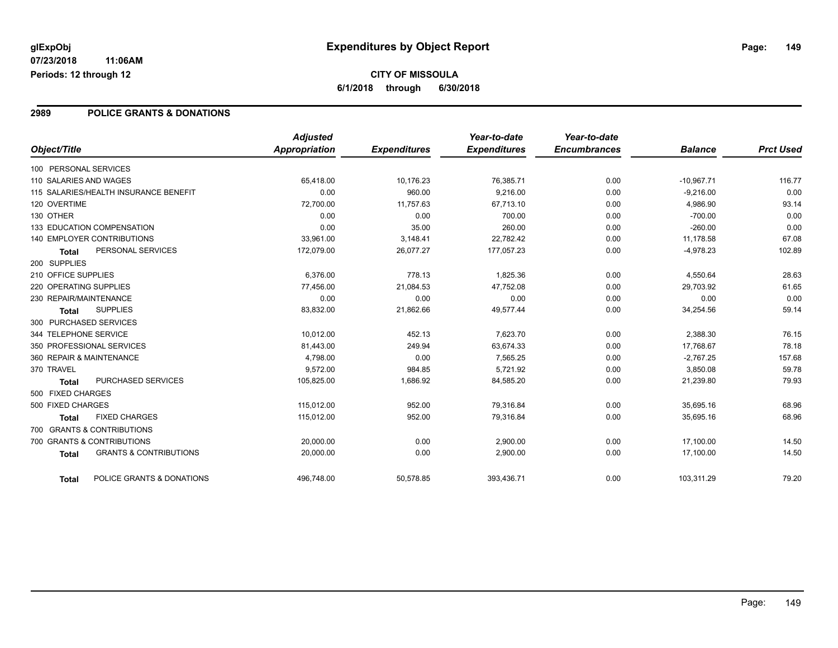#### **2989 POLICE GRANTS & DONATIONS**

|                                                   | <b>Adjusted</b> |                     | Year-to-date        | Year-to-date        |                |                  |
|---------------------------------------------------|-----------------|---------------------|---------------------|---------------------|----------------|------------------|
| Object/Title                                      | Appropriation   | <b>Expenditures</b> | <b>Expenditures</b> | <b>Encumbrances</b> | <b>Balance</b> | <b>Prct Used</b> |
| 100 PERSONAL SERVICES                             |                 |                     |                     |                     |                |                  |
| 110 SALARIES AND WAGES                            | 65,418.00       | 10,176.23           | 76,385.71           | 0.00                | $-10,967.71$   | 116.77           |
| 115 SALARIES/HEALTH INSURANCE BENEFIT             | 0.00            | 960.00              | 9,216.00            | 0.00                | $-9,216.00$    | 0.00             |
| 120 OVERTIME                                      | 72,700.00       | 11,757.63           | 67,713.10           | 0.00                | 4,986.90       | 93.14            |
| 130 OTHER                                         | 0.00            | 0.00                | 700.00              | 0.00                | $-700.00$      | 0.00             |
| 133 EDUCATION COMPENSATION                        | 0.00            | 35.00               | 260.00              | 0.00                | $-260.00$      | 0.00             |
| <b>140 EMPLOYER CONTRIBUTIONS</b>                 | 33,961.00       | 3,148.41            | 22,782.42           | 0.00                | 11,178.58      | 67.08            |
| PERSONAL SERVICES<br><b>Total</b>                 | 172,079.00      | 26,077.27           | 177,057.23          | 0.00                | $-4,978.23$    | 102.89           |
| 200 SUPPLIES                                      |                 |                     |                     |                     |                |                  |
| 210 OFFICE SUPPLIES                               | 6,376.00        | 778.13              | 1,825.36            | 0.00                | 4,550.64       | 28.63            |
| 220 OPERATING SUPPLIES                            | 77,456.00       | 21,084.53           | 47,752.08           | 0.00                | 29,703.92      | 61.65            |
| 230 REPAIR/MAINTENANCE                            | 0.00            | 0.00                | 0.00                | 0.00                | 0.00           | 0.00             |
| <b>SUPPLIES</b><br><b>Total</b>                   | 83,832.00       | 21,862.66           | 49,577.44           | 0.00                | 34,254.56      | 59.14            |
| 300 PURCHASED SERVICES                            |                 |                     |                     |                     |                |                  |
| 344 TELEPHONE SERVICE                             | 10,012.00       | 452.13              | 7,623.70            | 0.00                | 2,388.30       | 76.15            |
| 350 PROFESSIONAL SERVICES                         | 81,443.00       | 249.94              | 63.674.33           | 0.00                | 17.768.67      | 78.18            |
| 360 REPAIR & MAINTENANCE                          | 4,798.00        | 0.00                | 7,565.25            | 0.00                | $-2,767.25$    | 157.68           |
| 370 TRAVEL                                        | 9,572.00        | 984.85              | 5,721.92            | 0.00                | 3,850.08       | 59.78            |
| <b>PURCHASED SERVICES</b><br><b>Total</b>         | 105,825.00      | 1,686.92            | 84,585.20           | 0.00                | 21,239.80      | 79.93            |
| 500 FIXED CHARGES                                 |                 |                     |                     |                     |                |                  |
| 500 FIXED CHARGES                                 | 115,012.00      | 952.00              | 79,316.84           | 0.00                | 35,695.16      | 68.96            |
| <b>FIXED CHARGES</b><br><b>Total</b>              | 115,012.00      | 952.00              | 79,316.84           | 0.00                | 35,695.16      | 68.96            |
| 700 GRANTS & CONTRIBUTIONS                        |                 |                     |                     |                     |                |                  |
| 700 GRANTS & CONTRIBUTIONS                        | 20,000.00       | 0.00                | 2,900.00            | 0.00                | 17,100.00      | 14.50            |
| <b>GRANTS &amp; CONTRIBUTIONS</b><br><b>Total</b> | 20,000.00       | 0.00                | 2,900.00            | 0.00                | 17,100.00      | 14.50            |
| POLICE GRANTS & DONATIONS<br><b>Total</b>         | 496,748.00      | 50,578.85           | 393,436.71          | 0.00                | 103,311.29     | 79.20            |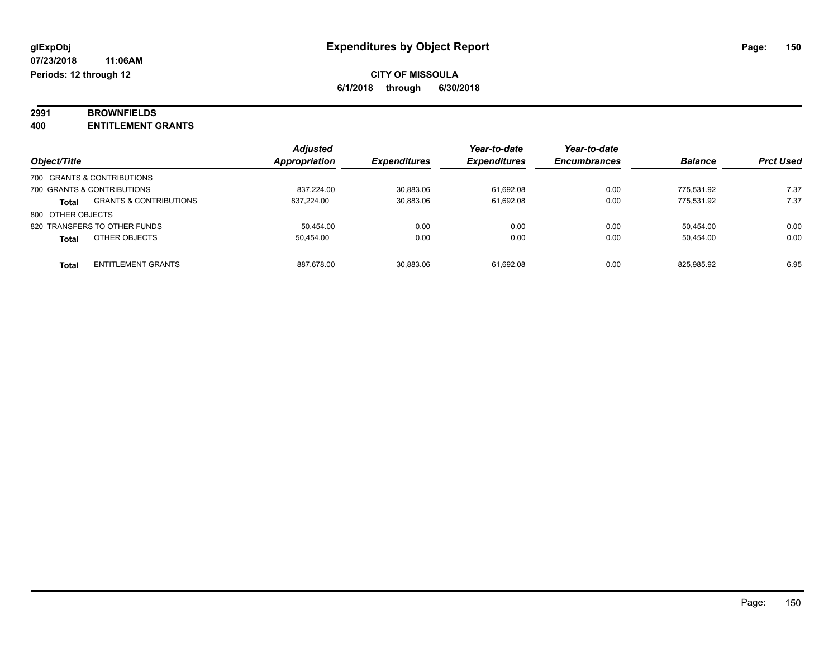# **2991 BROWNFIELDS**

**400 ENTITLEMENT GRANTS**

|                   |                                   | <b>Adjusted</b> |                     | Year-to-date        | Year-to-date        |                |                  |
|-------------------|-----------------------------------|-----------------|---------------------|---------------------|---------------------|----------------|------------------|
| Object/Title      |                                   | Appropriation   | <b>Expenditures</b> | <b>Expenditures</b> | <b>Encumbrances</b> | <b>Balance</b> | <b>Prct Used</b> |
|                   | 700 GRANTS & CONTRIBUTIONS        |                 |                     |                     |                     |                |                  |
|                   | 700 GRANTS & CONTRIBUTIONS        | 837.224.00      | 30,883.06           | 61.692.08           | 0.00                | 775.531.92     | 7.37             |
| <b>Total</b>      | <b>GRANTS &amp; CONTRIBUTIONS</b> | 837.224.00      | 30,883.06           | 61,692.08           | 0.00                | 775.531.92     | 7.37             |
| 800 OTHER OBJECTS |                                   |                 |                     |                     |                     |                |                  |
|                   | 820 TRANSFERS TO OTHER FUNDS      | 50.454.00       | 0.00                | 0.00                | 0.00                | 50.454.00      | 0.00             |
| <b>Total</b>      | OTHER OBJECTS                     | 50.454.00       | 0.00                | 0.00                | 0.00                | 50.454.00      | 0.00             |
| <b>Total</b>      | <b>ENTITLEMENT GRANTS</b>         | 887.678.00      | 30,883.06           | 61.692.08           | 0.00                | 825.985.92     | 6.95             |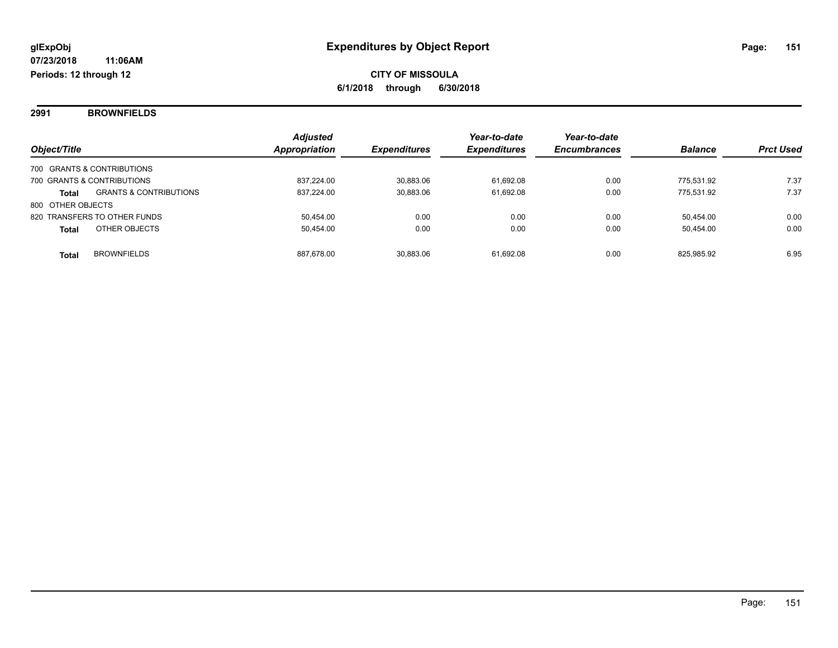**2991 BROWNFIELDS**

|                   |                                   | <b>Adjusted</b>      |                     | Year-to-date        | Year-to-date        |                |                  |
|-------------------|-----------------------------------|----------------------|---------------------|---------------------|---------------------|----------------|------------------|
| Object/Title      |                                   | <b>Appropriation</b> | <b>Expenditures</b> | <b>Expenditures</b> | <b>Encumbrances</b> | <b>Balance</b> | <b>Prct Used</b> |
|                   | 700 GRANTS & CONTRIBUTIONS        |                      |                     |                     |                     |                |                  |
|                   | 700 GRANTS & CONTRIBUTIONS        | 837.224.00           | 30,883.06           | 61,692.08           | 0.00                | 775.531.92     | 7.37             |
| <b>Total</b>      | <b>GRANTS &amp; CONTRIBUTIONS</b> | 837.224.00           | 30,883.06           | 61,692.08           | 0.00                | 775.531.92     | 7.37             |
| 800 OTHER OBJECTS |                                   |                      |                     |                     |                     |                |                  |
|                   | 820 TRANSFERS TO OTHER FUNDS      | 50,454.00            | 0.00                | 0.00                | 0.00                | 50.454.00      | 0.00             |
| <b>Total</b>      | OTHER OBJECTS                     | 50.454.00            | 0.00                | 0.00                | 0.00                | 50.454.00      | 0.00             |
| Total             | <b>BROWNFIELDS</b>                | 887.678.00           | 30,883.06           | 61.692.08           | 0.00                | 825.985.92     | 6.95             |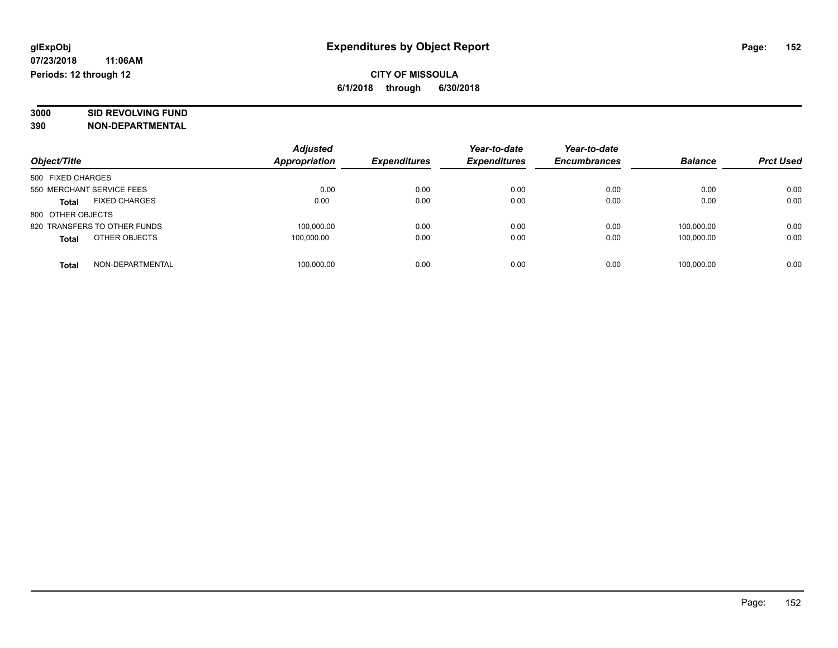# **3000 SID REVOLVING FUND**

|                                      | <b>Adjusted</b>      |                     | Year-to-date        | Year-to-date        |                |                  |
|--------------------------------------|----------------------|---------------------|---------------------|---------------------|----------------|------------------|
| Object/Title                         | <b>Appropriation</b> | <b>Expenditures</b> | <b>Expenditures</b> | <b>Encumbrances</b> | <b>Balance</b> | <b>Prct Used</b> |
| 500 FIXED CHARGES                    |                      |                     |                     |                     |                |                  |
| 550 MERCHANT SERVICE FEES            | 0.00                 | 0.00                | 0.00                | 0.00                | 0.00           | 0.00             |
| <b>FIXED CHARGES</b><br><b>Total</b> | 0.00                 | 0.00                | 0.00                | 0.00                | 0.00           | 0.00             |
| 800 OTHER OBJECTS                    |                      |                     |                     |                     |                |                  |
| 820 TRANSFERS TO OTHER FUNDS         | 100,000.00           | 0.00                | 0.00                | 0.00                | 100.000.00     | 0.00             |
| OTHER OBJECTS<br><b>Total</b>        | 100.000.00           | 0.00                | 0.00                | 0.00                | 100.000.00     | 0.00             |
| NON-DEPARTMENTAL<br>Total            | 100,000.00           | 0.00                | 0.00                | 0.00                | 100.000.00     | 0.00             |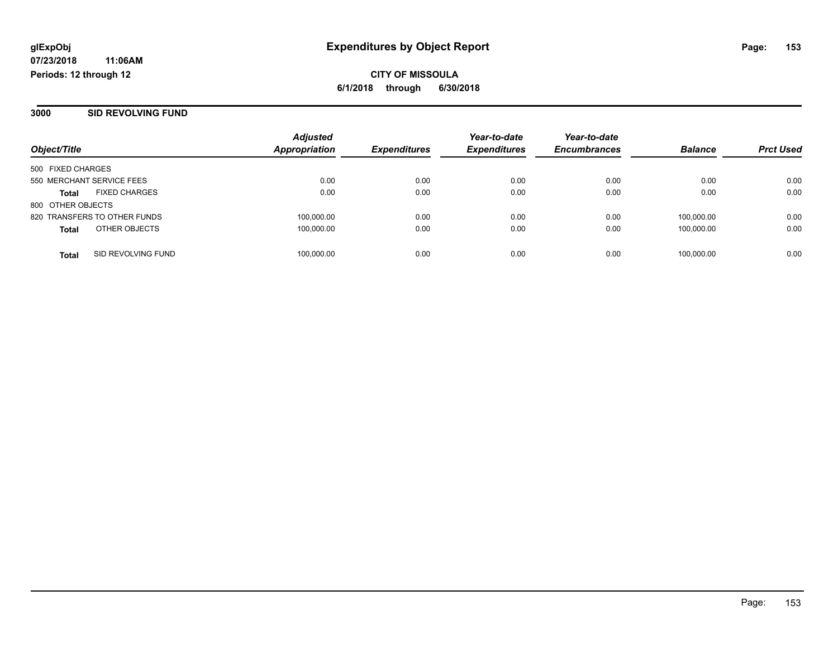**3000 SID REVOLVING FUND**

|                                      | <b>Adjusted</b><br><b>Appropriation</b> | <b>Expenditures</b> | Year-to-date<br><b>Expenditures</b> | Year-to-date<br><b>Encumbrances</b> | <b>Balance</b> | <b>Prct Used</b> |
|--------------------------------------|-----------------------------------------|---------------------|-------------------------------------|-------------------------------------|----------------|------------------|
| Object/Title                         |                                         |                     |                                     |                                     |                |                  |
| 500 FIXED CHARGES                    |                                         |                     |                                     |                                     |                |                  |
| 550 MERCHANT SERVICE FEES            | 0.00                                    | 0.00                | 0.00                                | 0.00                                | 0.00           | 0.00             |
| <b>FIXED CHARGES</b><br><b>Total</b> | 0.00                                    | 0.00                | 0.00                                | 0.00                                | 0.00           | 0.00             |
| 800 OTHER OBJECTS                    |                                         |                     |                                     |                                     |                |                  |
| 820 TRANSFERS TO OTHER FUNDS         | 100,000.00                              | 0.00                | 0.00                                | 0.00                                | 100.000.00     | 0.00             |
| OTHER OBJECTS<br><b>Total</b>        | 100,000.00                              | 0.00                | 0.00                                | 0.00                                | 100.000.00     | 0.00             |
|                                      |                                         |                     |                                     |                                     |                |                  |
| SID REVOLVING FUND<br><b>Total</b>   | 100,000.00                              | 0.00                | 0.00                                | 0.00                                | 100,000.00     | 0.00             |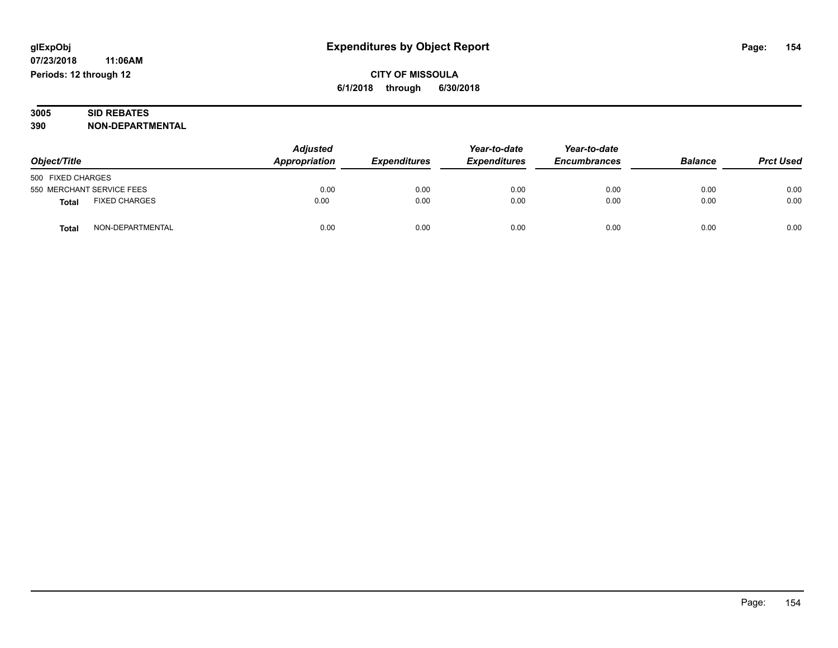| 3005 | <b>REBATES</b><br>SID   |
|------|-------------------------|
| 390  | <b>NON-DEPARTMENTAL</b> |

|                               | <b>Adjusted</b> | Year-to-date        |                     | Year-to-date        |                |                  |
|-------------------------------|-----------------|---------------------|---------------------|---------------------|----------------|------------------|
| Object/Title                  | Appropriation   | <b>Expenditures</b> | <b>Expenditures</b> | <b>Encumbrances</b> | <b>Balance</b> | <b>Prct Used</b> |
| 500 FIXED CHARGES             |                 |                     |                     |                     |                |                  |
| 550 MERCHANT SERVICE FEES     | 0.00            | 0.00                | 0.00                | 0.00                | 0.00           | 0.00             |
| <b>FIXED CHARGES</b><br>Total | 0.00            | 0.00                | 0.00                | 0.00                | 0.00           | 0.00             |
| NON-DEPARTMENTAL<br>Tota.     | 0.00            | 0.00                | 0.00                | 0.00                | 0.00           | 0.00             |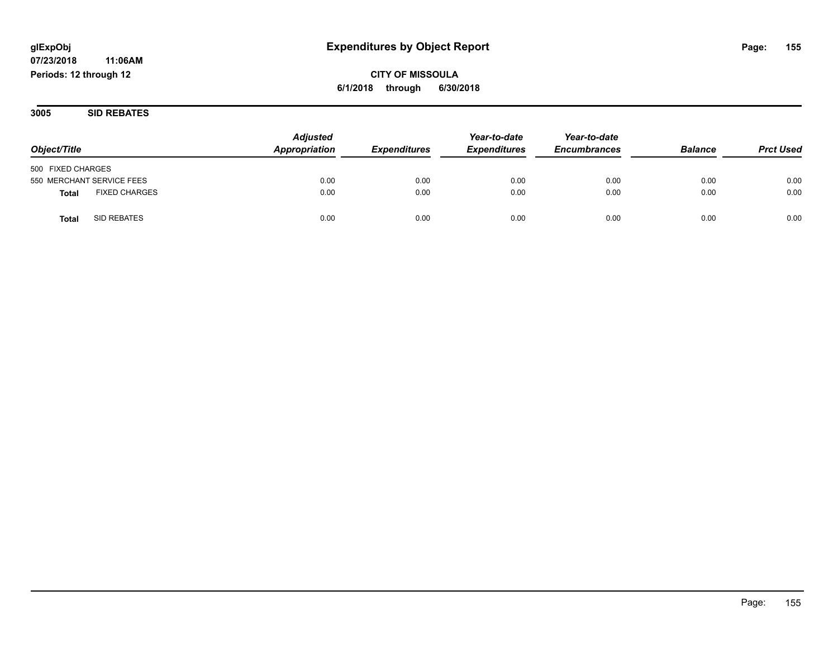**CITY OF MISSOULA 6/1/2018 through 6/30/2018**

**3005 SID REBATES**

|                                      | <b>Adjusted</b> | Year-to-date        |                     | Year-to-date        |                |                  |
|--------------------------------------|-----------------|---------------------|---------------------|---------------------|----------------|------------------|
| Object/Title                         | Appropriation   | <b>Expenditures</b> | <b>Expenditures</b> | <b>Encumbrances</b> | <b>Balance</b> | <b>Prct Used</b> |
| 500 FIXED CHARGES                    |                 |                     |                     |                     |                |                  |
| 550 MERCHANT SERVICE FEES            | 0.00            | 0.00                | 0.00                | 0.00                | 0.00           | 0.00             |
| <b>FIXED CHARGES</b><br><b>Total</b> | 0.00            | 0.00                | 0.00                | 0.00                | 0.00           | 0.00             |
| SID REBATES<br>Total                 | 0.00            | 0.00                | 0.00                | 0.00                | 0.00           | 0.00             |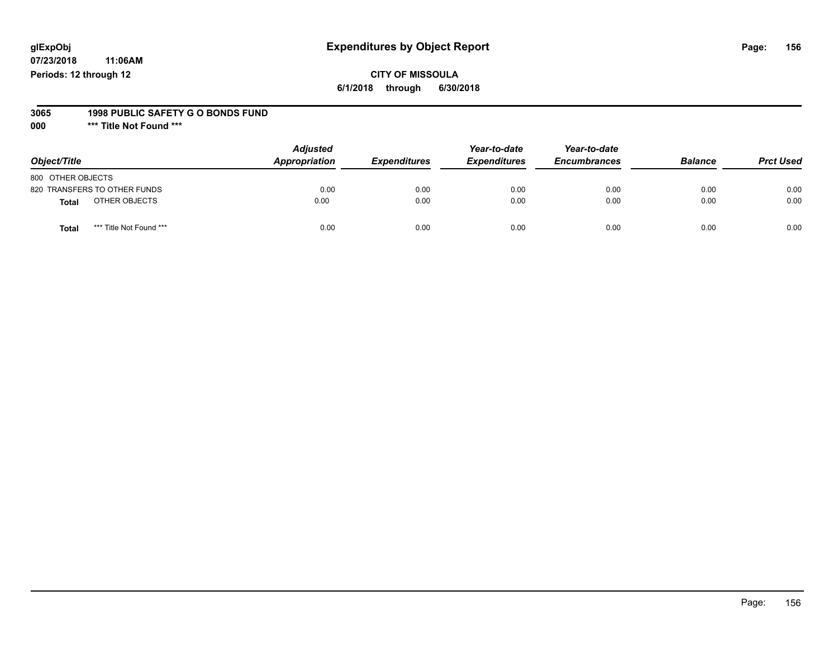# **glExpObj Expenditures by Object Report Page: 156**

**07/23/2018 11:06AM Periods: 12 through 12**

#### **3065 1998 PUBLIC SAFETY G O BONDS FUND**

**000 \*\*\* Title Not Found \*\*\***

| Object/Title                     | <b>Adjusted</b><br>Appropriation | <b>Expenditures</b> | Year-to-date<br><b>Expenditures</b> | Year-to-date<br><b>Encumbrances</b> | <b>Balance</b> | <b>Prct Used</b> |
|----------------------------------|----------------------------------|---------------------|-------------------------------------|-------------------------------------|----------------|------------------|
| 800 OTHER OBJECTS                |                                  |                     |                                     |                                     |                |                  |
| 820 TRANSFERS TO OTHER FUNDS     | 0.00                             | 0.00                | 0.00                                | 0.00                                | 0.00           | 0.00             |
| OTHER OBJECTS<br><b>Total</b>    | 0.00                             | 0.00                | 0.00                                | 0.00                                | 0.00           | 0.00             |
| *** Title Not Found ***<br>Total | 0.00                             | 0.00                | 0.00                                | 0.00                                | 0.00           | 0.00             |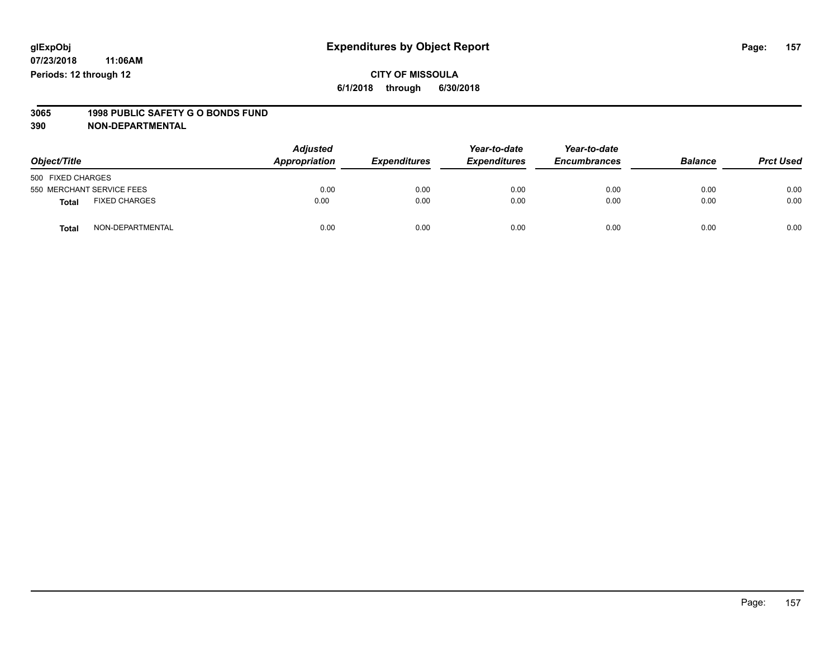# **CITY OF MISSOULA 6/1/2018 through 6/30/2018**

# **3065 1998 PUBLIC SAFETY G O BONDS FUND**

| Object/Title      |                           | <b>Adjusted</b><br>Appropriation | <b>Expenditures</b> | Year-to-date<br><b>Expenditures</b> | Year-to-date<br><b>Encumbrances</b> | <b>Balance</b> | <b>Prct Used</b> |
|-------------------|---------------------------|----------------------------------|---------------------|-------------------------------------|-------------------------------------|----------------|------------------|
| 500 FIXED CHARGES |                           |                                  |                     |                                     |                                     |                |                  |
|                   | 550 MERCHANT SERVICE FEES | 0.00                             | 0.00                | 0.00                                | 0.00                                | 0.00           | 0.00             |
| <b>Total</b>      | <b>FIXED CHARGES</b>      | 0.00                             | 0.00                | 0.00                                | 0.00                                | 0.00           | 0.00             |
| <b>Total</b>      | NON-DEPARTMENTAL          | 0.00                             | 0.00                | 0.00                                | 0.00                                | 0.00           | 0.00             |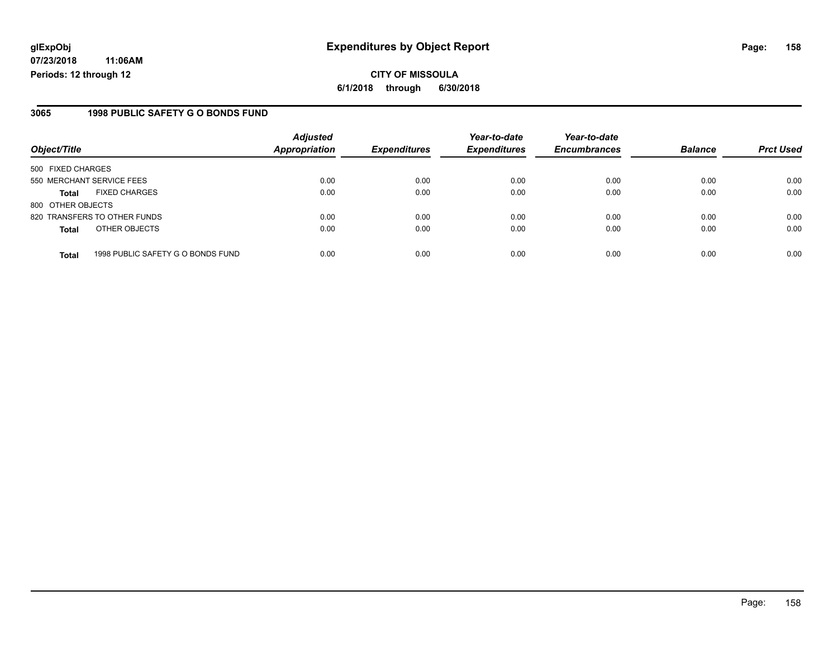**CITY OF MISSOULA 6/1/2018 through 6/30/2018**

#### **3065 1998 PUBLIC SAFETY G O BONDS FUND**

|                           |                                   | <b>Adjusted</b>      |                     | Year-to-date        | Year-to-date        |                |                  |
|---------------------------|-----------------------------------|----------------------|---------------------|---------------------|---------------------|----------------|------------------|
| Object/Title              |                                   | <b>Appropriation</b> | <b>Expenditures</b> | <b>Expenditures</b> | <b>Encumbrances</b> | <b>Balance</b> | <b>Prct Used</b> |
| 500 FIXED CHARGES         |                                   |                      |                     |                     |                     |                |                  |
| 550 MERCHANT SERVICE FEES |                                   | 0.00                 | 0.00                | 0.00                | 0.00                | 0.00           | 0.00             |
| <b>Total</b>              | <b>FIXED CHARGES</b>              | 0.00                 | 0.00                | 0.00                | 0.00                | 0.00           | 0.00             |
| 800 OTHER OBJECTS         |                                   |                      |                     |                     |                     |                |                  |
|                           | 820 TRANSFERS TO OTHER FUNDS      | 0.00                 | 0.00                | 0.00                | 0.00                | 0.00           | 0.00             |
| <b>Total</b>              | OTHER OBJECTS                     | 0.00                 | 0.00                | 0.00                | 0.00                | 0.00           | 0.00             |
| <b>Total</b>              | 1998 PUBLIC SAFETY G O BONDS FUND | 0.00                 | 0.00                | 0.00                | 0.00                | 0.00           | 0.00             |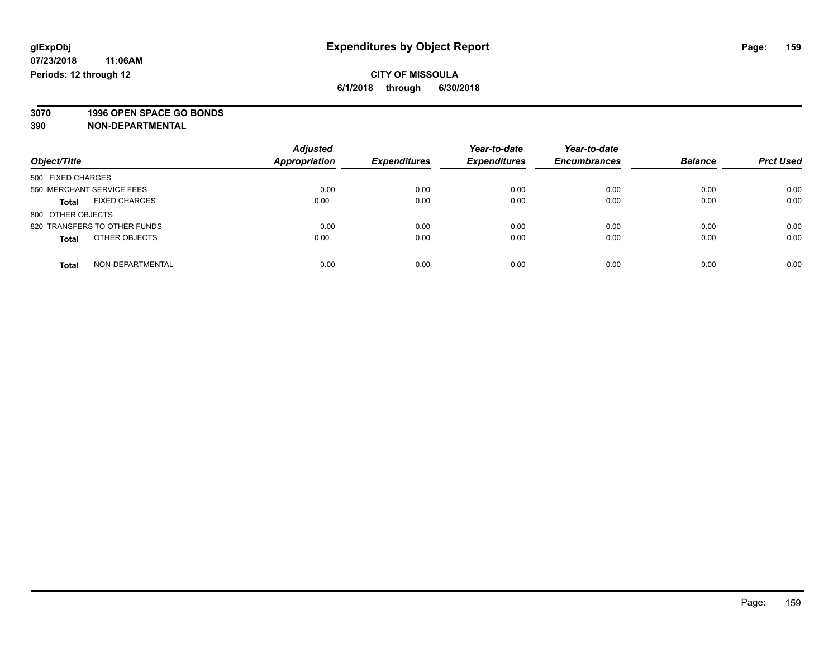**3070 1996 OPEN SPACE GO BONDS**

| Object/Title                         | <b>Adjusted</b><br><b>Appropriation</b> | <b>Expenditures</b> | Year-to-date<br><b>Expenditures</b> | Year-to-date<br><b>Encumbrances</b> | <b>Balance</b> | <b>Prct Used</b> |
|--------------------------------------|-----------------------------------------|---------------------|-------------------------------------|-------------------------------------|----------------|------------------|
| 500 FIXED CHARGES                    |                                         |                     |                                     |                                     |                |                  |
| 550 MERCHANT SERVICE FEES            | 0.00                                    | 0.00                | 0.00                                | 0.00                                | 0.00           | 0.00             |
| <b>FIXED CHARGES</b><br><b>Total</b> | 0.00                                    | 0.00                | 0.00                                | 0.00                                | 0.00           | 0.00             |
| 800 OTHER OBJECTS                    |                                         |                     |                                     |                                     |                |                  |
| 820 TRANSFERS TO OTHER FUNDS         | 0.00                                    | 0.00                | 0.00                                | 0.00                                | 0.00           | 0.00             |
| OTHER OBJECTS<br><b>Total</b>        | 0.00                                    | 0.00                | 0.00                                | 0.00                                | 0.00           | 0.00             |
| NON-DEPARTMENTAL<br><b>Total</b>     | 0.00                                    | 0.00                | 0.00                                | 0.00                                | 0.00           | 0.00             |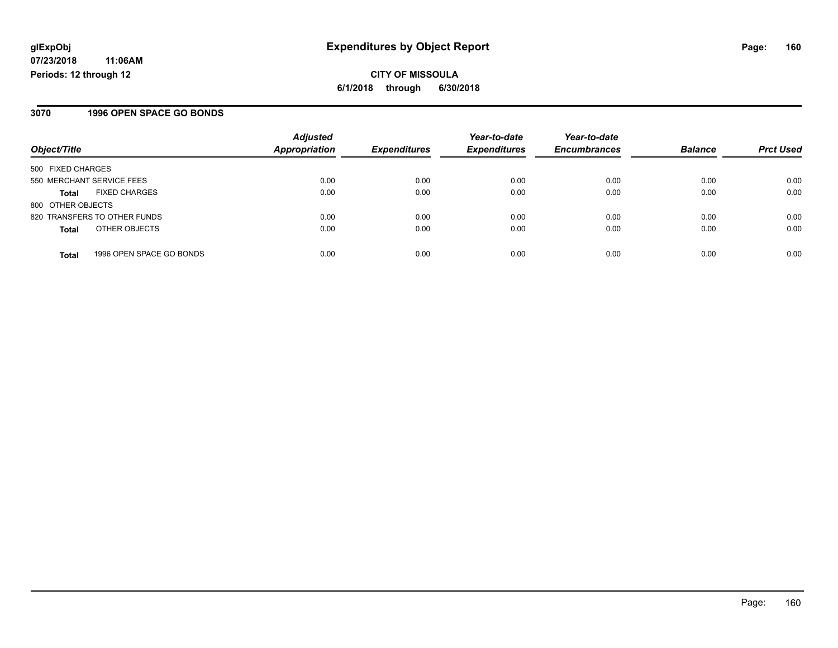**CITY OF MISSOULA 6/1/2018 through 6/30/2018**

#### **3070 1996 OPEN SPACE GO BONDS**

|                                          | <b>Adjusted</b>      |                     | Year-to-date        | Year-to-date        |                |                  |
|------------------------------------------|----------------------|---------------------|---------------------|---------------------|----------------|------------------|
| Object/Title                             | <b>Appropriation</b> | <b>Expenditures</b> | <b>Expenditures</b> | <b>Encumbrances</b> | <b>Balance</b> | <b>Prct Used</b> |
| 500 FIXED CHARGES                        |                      |                     |                     |                     |                |                  |
| 550 MERCHANT SERVICE FEES                | 0.00                 | 0.00                | 0.00                | 0.00                | 0.00           | 0.00             |
| <b>FIXED CHARGES</b><br><b>Total</b>     | 0.00                 | 0.00                | 0.00                | 0.00                | 0.00           | 0.00             |
| 800 OTHER OBJECTS                        |                      |                     |                     |                     |                |                  |
| 820 TRANSFERS TO OTHER FUNDS             | 0.00                 | 0.00                | 0.00                | 0.00                | 0.00           | 0.00             |
| OTHER OBJECTS<br><b>Total</b>            | 0.00                 | 0.00                | 0.00                | 0.00                | 0.00           | 0.00             |
| 1996 OPEN SPACE GO BONDS<br><b>Total</b> | 0.00                 | 0.00                | 0.00                | 0.00                | 0.00           | 0.00             |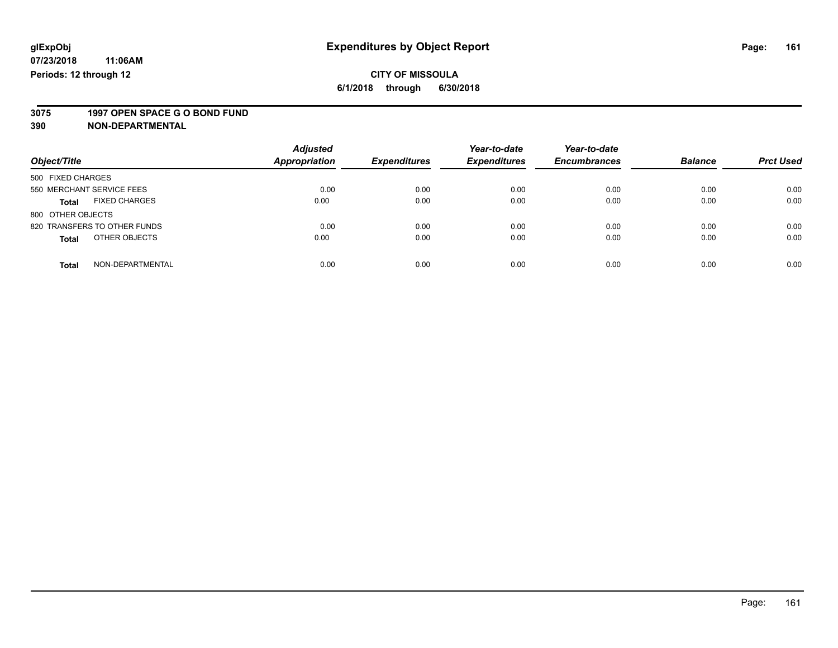# **3075 1997 OPEN SPACE G O BOND FUND**

|                                      | <b>Adjusted</b>      |                     | Year-to-date        | Year-to-date        |                |                  |
|--------------------------------------|----------------------|---------------------|---------------------|---------------------|----------------|------------------|
| Object/Title                         | <b>Appropriation</b> | <b>Expenditures</b> | <b>Expenditures</b> | <b>Encumbrances</b> | <b>Balance</b> | <b>Prct Used</b> |
| 500 FIXED CHARGES                    |                      |                     |                     |                     |                |                  |
| 550 MERCHANT SERVICE FEES            | 0.00                 | 0.00                | 0.00                | 0.00                | 0.00           | 0.00             |
| <b>FIXED CHARGES</b><br><b>Total</b> | 0.00                 | 0.00                | 0.00                | 0.00                | 0.00           | 0.00             |
| 800 OTHER OBJECTS                    |                      |                     |                     |                     |                |                  |
| 820 TRANSFERS TO OTHER FUNDS         | 0.00                 | 0.00                | 0.00                | 0.00                | 0.00           | 0.00             |
| OTHER OBJECTS<br><b>Total</b>        | 0.00                 | 0.00                | 0.00                | 0.00                | 0.00           | 0.00             |
| NON-DEPARTMENTAL<br><b>Total</b>     | 0.00                 | 0.00                | 0.00                | 0.00                | 0.00           | 0.00             |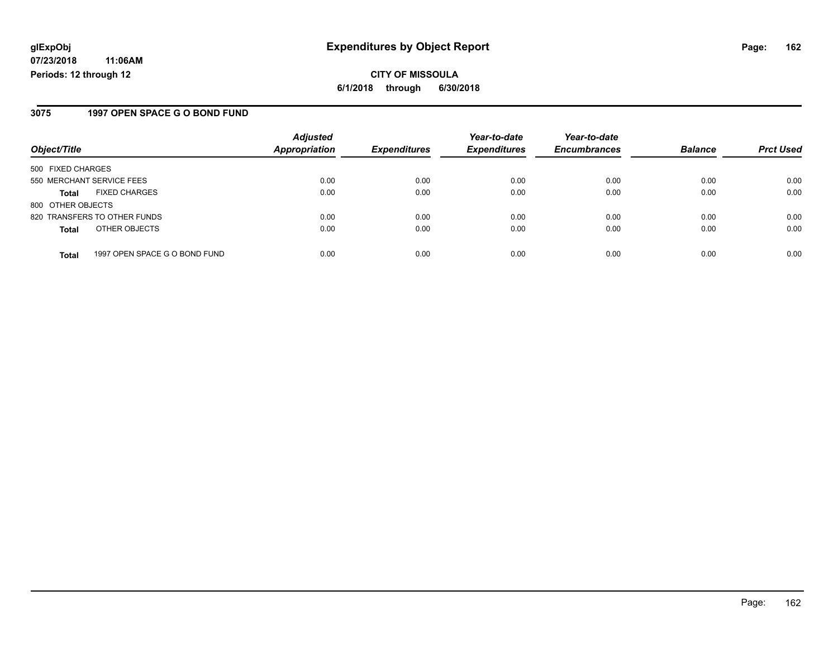**CITY OF MISSOULA 6/1/2018 through 6/30/2018**

#### **3075 1997 OPEN SPACE G O BOND FUND**

| Object/Title              |                               | <b>Adjusted</b>      | <b>Expenditures</b> | Year-to-date        | Year-to-date<br><b>Encumbrances</b> | <b>Balance</b> | <b>Prct Used</b> |
|---------------------------|-------------------------------|----------------------|---------------------|---------------------|-------------------------------------|----------------|------------------|
|                           |                               | <b>Appropriation</b> |                     | <b>Expenditures</b> |                                     |                |                  |
| 500 FIXED CHARGES         |                               |                      |                     |                     |                                     |                |                  |
| 550 MERCHANT SERVICE FEES |                               | 0.00                 | 0.00                | 0.00                | 0.00                                | 0.00           | 0.00             |
| <b>Total</b>              | <b>FIXED CHARGES</b>          | 0.00                 | 0.00                | 0.00                | 0.00                                | 0.00           | 0.00             |
| 800 OTHER OBJECTS         |                               |                      |                     |                     |                                     |                |                  |
|                           | 820 TRANSFERS TO OTHER FUNDS  | 0.00                 | 0.00                | 0.00                | 0.00                                | 0.00           | 0.00             |
| <b>Total</b>              | OTHER OBJECTS                 | 0.00                 | 0.00                | 0.00                | 0.00                                | 0.00           | 0.00             |
| <b>Total</b>              | 1997 OPEN SPACE G O BOND FUND | 0.00                 | 0.00                | 0.00                | 0.00                                | 0.00           | 0.00             |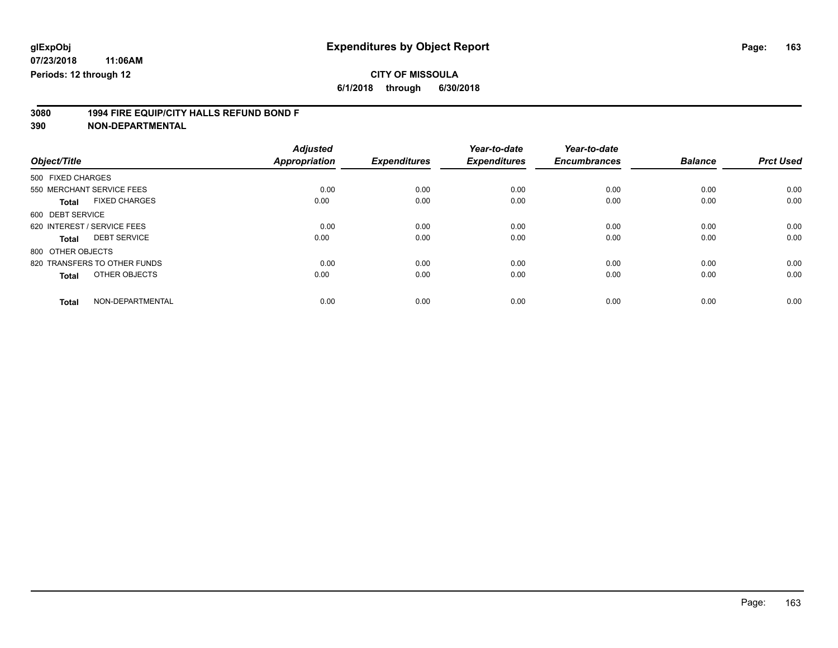# **3080 1994 FIRE EQUIP/CITY HALLS REFUND BOND F**

| Object/Title                         | <b>Adjusted</b><br><b>Appropriation</b> | <b>Expenditures</b> | Year-to-date<br><b>Expenditures</b> | Year-to-date<br><b>Encumbrances</b> | <b>Balance</b> | <b>Prct Used</b> |
|--------------------------------------|-----------------------------------------|---------------------|-------------------------------------|-------------------------------------|----------------|------------------|
|                                      |                                         |                     |                                     |                                     |                |                  |
| 500 FIXED CHARGES                    |                                         |                     |                                     |                                     |                |                  |
| 550 MERCHANT SERVICE FEES            | 0.00                                    | 0.00                | 0.00                                | 0.00                                | 0.00           | 0.00             |
| <b>FIXED CHARGES</b><br><b>Total</b> | 0.00                                    | 0.00                | 0.00                                | 0.00                                | 0.00           | 0.00             |
| 600 DEBT SERVICE                     |                                         |                     |                                     |                                     |                |                  |
| 620 INTEREST / SERVICE FEES          | 0.00                                    | 0.00                | 0.00                                | 0.00                                | 0.00           | 0.00             |
| <b>DEBT SERVICE</b><br>Total         | 0.00                                    | 0.00                | 0.00                                | 0.00                                | 0.00           | 0.00             |
| 800 OTHER OBJECTS                    |                                         |                     |                                     |                                     |                |                  |
| 820 TRANSFERS TO OTHER FUNDS         | 0.00                                    | 0.00                | 0.00                                | 0.00                                | 0.00           | 0.00             |
| OTHER OBJECTS<br><b>Total</b>        | 0.00                                    | 0.00                | 0.00                                | 0.00                                | 0.00           | 0.00             |
|                                      |                                         |                     |                                     |                                     |                | 0.00             |
| NON-DEPARTMENTAL<br><b>Total</b>     | 0.00                                    | 0.00                | 0.00                                | 0.00                                | 0.00           |                  |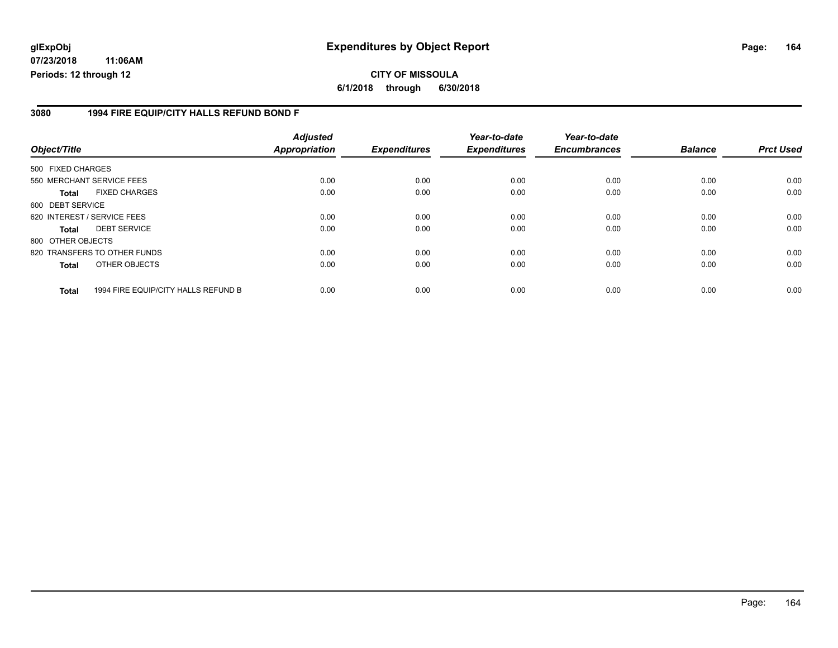### **glExpObj Expenditures by Object Report Page: 164**

**07/23/2018 11:06AM Periods: 12 through 12**

#### **3080 1994 FIRE EQUIP/CITY HALLS REFUND BOND F**

| Object/Title      |                                     | <b>Adjusted</b><br><b>Appropriation</b> | <b>Expenditures</b> | Year-to-date<br><b>Expenditures</b> | Year-to-date<br><b>Encumbrances</b> | <b>Balance</b> | <b>Prct Used</b> |
|-------------------|-------------------------------------|-----------------------------------------|---------------------|-------------------------------------|-------------------------------------|----------------|------------------|
| 500 FIXED CHARGES |                                     |                                         |                     |                                     |                                     |                |                  |
|                   | 550 MERCHANT SERVICE FEES           | 0.00                                    | 0.00                | 0.00                                | 0.00                                | 0.00           | 0.00             |
| <b>Total</b>      | <b>FIXED CHARGES</b>                | 0.00                                    | 0.00                | 0.00                                | 0.00                                | 0.00           | 0.00             |
| 600 DEBT SERVICE  |                                     |                                         |                     |                                     |                                     |                |                  |
|                   | 620 INTEREST / SERVICE FEES         | 0.00                                    | 0.00                | 0.00                                | 0.00                                | 0.00           | 0.00             |
| <b>Total</b>      | <b>DEBT SERVICE</b>                 | 0.00                                    | 0.00                | 0.00                                | 0.00                                | 0.00           | 0.00             |
| 800 OTHER OBJECTS |                                     |                                         |                     |                                     |                                     |                |                  |
|                   | 820 TRANSFERS TO OTHER FUNDS        | 0.00                                    | 0.00                | 0.00                                | 0.00                                | 0.00           | 0.00             |
| <b>Total</b>      | OTHER OBJECTS                       | 0.00                                    | 0.00                | 0.00                                | 0.00                                | 0.00           | 0.00             |
| <b>Total</b>      | 1994 FIRE EQUIP/CITY HALLS REFUND B | 0.00                                    | 0.00                | 0.00                                | 0.00                                | 0.00           | 0.00             |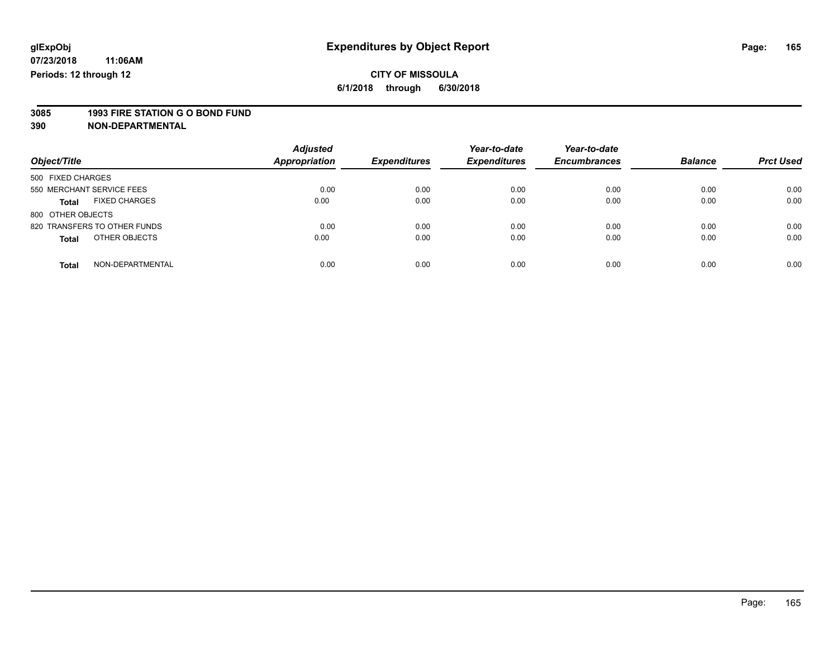# **3085 1993 FIRE STATION G O BOND FUND**

|                                      | <b>Adjusted</b>      |                     | Year-to-date        | Year-to-date        |                |                  |
|--------------------------------------|----------------------|---------------------|---------------------|---------------------|----------------|------------------|
| Object/Title                         | <b>Appropriation</b> | <b>Expenditures</b> | <b>Expenditures</b> | <b>Encumbrances</b> | <b>Balance</b> | <b>Prct Used</b> |
| 500 FIXED CHARGES                    |                      |                     |                     |                     |                |                  |
| 550 MERCHANT SERVICE FEES            | 0.00                 | 0.00                | 0.00                | 0.00                | 0.00           | 0.00             |
| <b>FIXED CHARGES</b><br><b>Total</b> | 0.00                 | 0.00                | 0.00                | 0.00                | 0.00           | 0.00             |
| 800 OTHER OBJECTS                    |                      |                     |                     |                     |                |                  |
| 820 TRANSFERS TO OTHER FUNDS         | 0.00                 | 0.00                | 0.00                | 0.00                | 0.00           | 0.00             |
| OTHER OBJECTS<br><b>Total</b>        | 0.00                 | 0.00                | 0.00                | 0.00                | 0.00           | 0.00             |
| NON-DEPARTMENTAL<br>Total            | 0.00                 | 0.00                | 0.00                | 0.00                | 0.00           | 0.00             |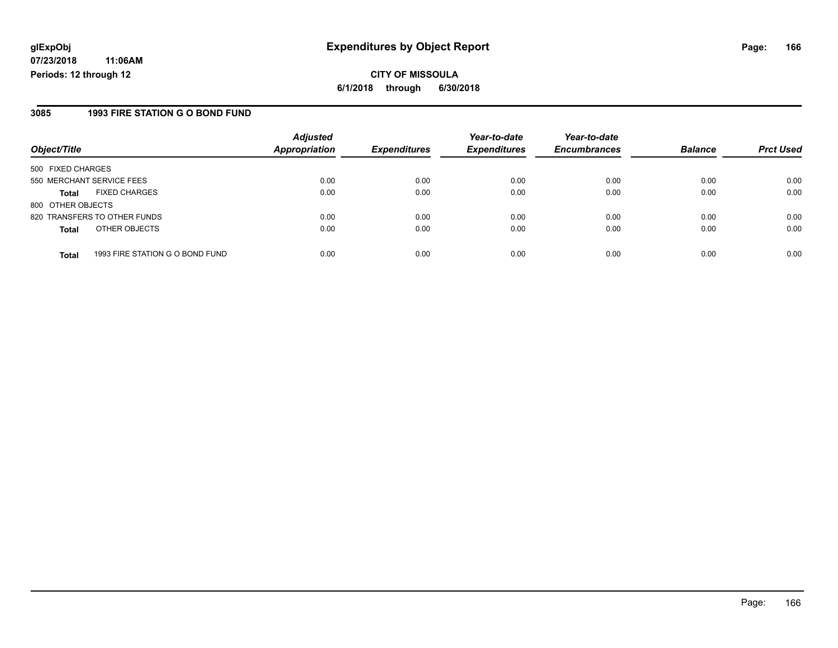# **CITY OF MISSOULA 6/1/2018 through 6/30/2018**

#### **3085 1993 FIRE STATION G O BOND FUND**

| Object/Title              |                                 | <b>Adjusted</b><br><b>Appropriation</b> | <b>Expenditures</b> | Year-to-date<br><b>Expenditures</b> | Year-to-date<br><b>Encumbrances</b> | <b>Balance</b> | <b>Prct Used</b> |
|---------------------------|---------------------------------|-----------------------------------------|---------------------|-------------------------------------|-------------------------------------|----------------|------------------|
| 500 FIXED CHARGES         |                                 |                                         |                     |                                     |                                     |                |                  |
| 550 MERCHANT SERVICE FEES |                                 | 0.00                                    | 0.00                | 0.00                                | 0.00                                | 0.00           | 0.00             |
| <b>Total</b>              | <b>FIXED CHARGES</b>            | 0.00                                    | 0.00                | 0.00                                | 0.00                                | 0.00           | 0.00             |
| 800 OTHER OBJECTS         |                                 |                                         |                     |                                     |                                     |                |                  |
|                           | 820 TRANSFERS TO OTHER FUNDS    | 0.00                                    | 0.00                | 0.00                                | 0.00                                | 0.00           | 0.00             |
| <b>Total</b>              | OTHER OBJECTS                   | 0.00                                    | 0.00                | 0.00                                | 0.00                                | 0.00           | 0.00             |
|                           |                                 |                                         |                     |                                     |                                     |                |                  |
| <b>Total</b>              | 1993 FIRE STATION G O BOND FUND | 0.00                                    | 0.00                | 0.00                                | 0.00                                | 0.00           | 0.00             |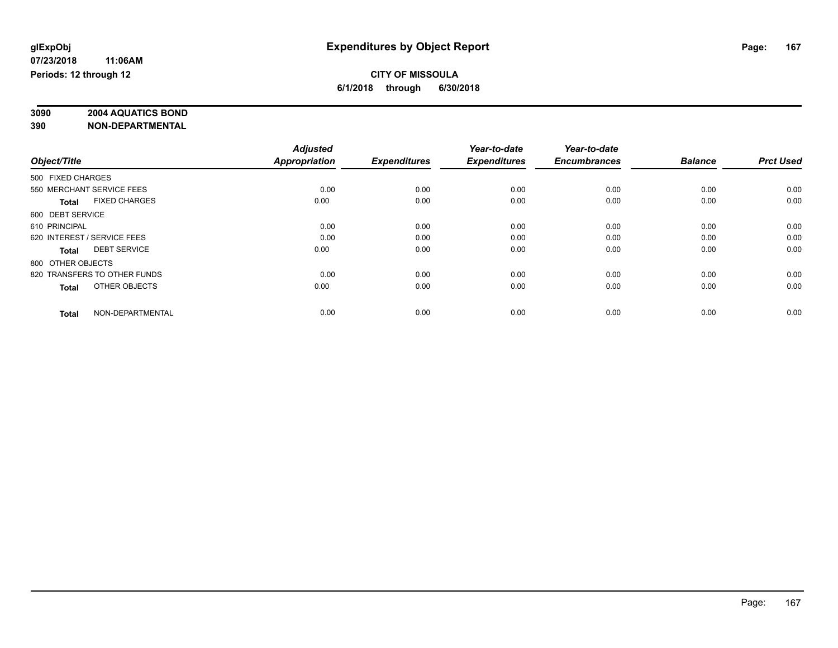# **3090 2004 AQUATICS BOND**

|                   |                              | <b>Adjusted</b>      |                     | Year-to-date        | Year-to-date        |                |                  |
|-------------------|------------------------------|----------------------|---------------------|---------------------|---------------------|----------------|------------------|
| Object/Title      |                              | <b>Appropriation</b> | <b>Expenditures</b> | <b>Expenditures</b> | <b>Encumbrances</b> | <b>Balance</b> | <b>Prct Used</b> |
| 500 FIXED CHARGES |                              |                      |                     |                     |                     |                |                  |
|                   | 550 MERCHANT SERVICE FEES    | 0.00                 | 0.00                | 0.00                | 0.00                | 0.00           | 0.00             |
| <b>Total</b>      | <b>FIXED CHARGES</b>         | 0.00                 | 0.00                | 0.00                | 0.00                | 0.00           | 0.00             |
| 600 DEBT SERVICE  |                              |                      |                     |                     |                     |                |                  |
| 610 PRINCIPAL     |                              | 0.00                 | 0.00                | 0.00                | 0.00                | 0.00           | 0.00             |
|                   | 620 INTEREST / SERVICE FEES  | 0.00                 | 0.00                | 0.00                | 0.00                | 0.00           | 0.00             |
| <b>Total</b>      | <b>DEBT SERVICE</b>          | 0.00                 | 0.00                | 0.00                | 0.00                | 0.00           | 0.00             |
| 800 OTHER OBJECTS |                              |                      |                     |                     |                     |                |                  |
|                   | 820 TRANSFERS TO OTHER FUNDS | 0.00                 | 0.00                | 0.00                | 0.00                | 0.00           | 0.00             |
| <b>Total</b>      | OTHER OBJECTS                | 0.00                 | 0.00                | 0.00                | 0.00                | 0.00           | 0.00             |
|                   |                              |                      |                     |                     |                     |                |                  |
| <b>Total</b>      | NON-DEPARTMENTAL             | 0.00                 | 0.00                | 0.00                | 0.00                | 0.00           | 0.00             |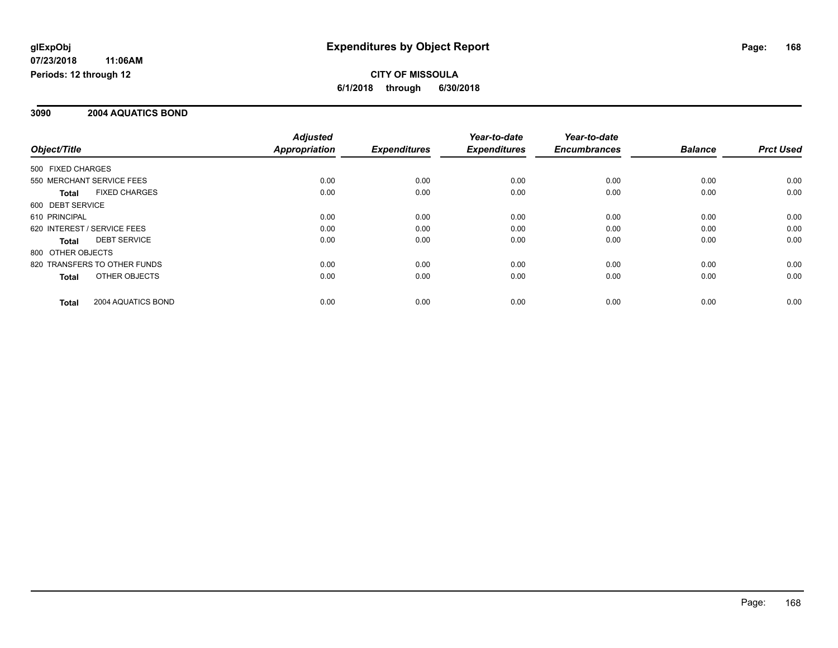#### **3090 2004 AQUATICS BOND**

|                                      | <b>Adjusted</b> |                     | Year-to-date        | Year-to-date        |                |                  |
|--------------------------------------|-----------------|---------------------|---------------------|---------------------|----------------|------------------|
| Object/Title                         | Appropriation   | <b>Expenditures</b> | <b>Expenditures</b> | <b>Encumbrances</b> | <b>Balance</b> | <b>Prct Used</b> |
| 500 FIXED CHARGES                    |                 |                     |                     |                     |                |                  |
| 550 MERCHANT SERVICE FEES            | 0.00            | 0.00                | 0.00                | 0.00                | 0.00           | 0.00             |
| <b>FIXED CHARGES</b><br><b>Total</b> | 0.00            | 0.00                | 0.00                | 0.00                | 0.00           | 0.00             |
| 600 DEBT SERVICE                     |                 |                     |                     |                     |                |                  |
| 610 PRINCIPAL                        | 0.00            | 0.00                | 0.00                | 0.00                | 0.00           | 0.00             |
| 620 INTEREST / SERVICE FEES          | 0.00            | 0.00                | 0.00                | 0.00                | 0.00           | 0.00             |
| <b>DEBT SERVICE</b><br><b>Total</b>  | 0.00            | 0.00                | 0.00                | 0.00                | 0.00           | 0.00             |
| 800 OTHER OBJECTS                    |                 |                     |                     |                     |                |                  |
| 820 TRANSFERS TO OTHER FUNDS         | 0.00            | 0.00                | 0.00                | 0.00                | 0.00           | 0.00             |
| OTHER OBJECTS<br><b>Total</b>        | 0.00            | 0.00                | 0.00                | 0.00                | 0.00           | 0.00             |
| 2004 AQUATICS BOND<br><b>Total</b>   | 0.00            | 0.00                | 0.00                | 0.00                | 0.00           | 0.00             |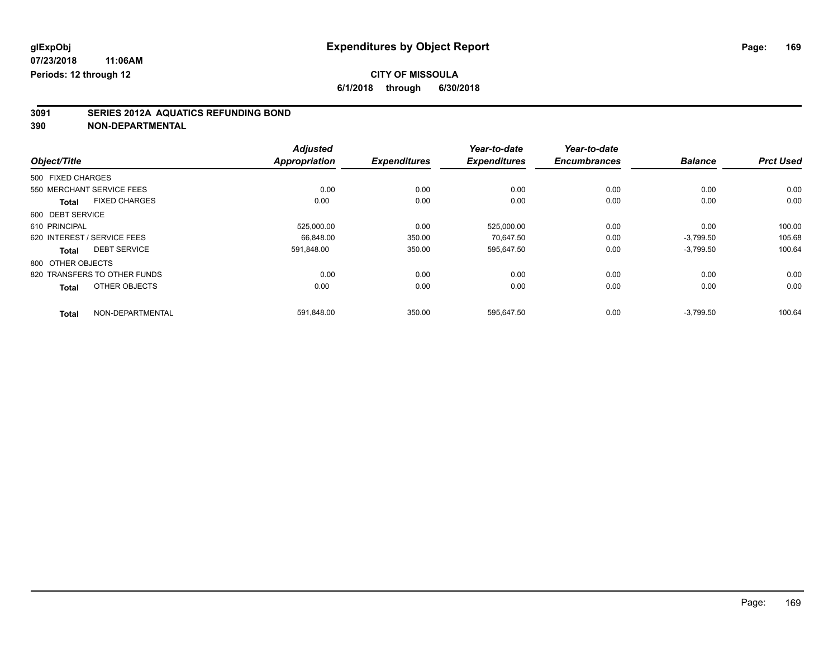# **3091 SERIES 2012A AQUATICS REFUNDING BOND**

|                                      |                  | <b>Adjusted</b>      |                     | Year-to-date        | Year-to-date        |                |                  |
|--------------------------------------|------------------|----------------------|---------------------|---------------------|---------------------|----------------|------------------|
| Object/Title                         |                  | <b>Appropriation</b> | <b>Expenditures</b> | <b>Expenditures</b> | <b>Encumbrances</b> | <b>Balance</b> | <b>Prct Used</b> |
| 500 FIXED CHARGES                    |                  |                      |                     |                     |                     |                |                  |
| 550 MERCHANT SERVICE FEES            |                  | 0.00                 | 0.00                | 0.00                | 0.00                | 0.00           | 0.00             |
| <b>FIXED CHARGES</b><br><b>Total</b> |                  | 0.00                 | 0.00                | 0.00                | 0.00                | 0.00           | 0.00             |
| 600 DEBT SERVICE                     |                  |                      |                     |                     |                     |                |                  |
| 610 PRINCIPAL                        |                  | 525,000.00           | 0.00                | 525,000.00          | 0.00                | 0.00           | 100.00           |
| 620 INTEREST / SERVICE FEES          |                  | 66.848.00            | 350.00              | 70.647.50           | 0.00                | $-3.799.50$    | 105.68           |
| <b>DEBT SERVICE</b><br><b>Total</b>  |                  | 591,848.00           | 350.00              | 595,647.50          | 0.00                | $-3,799.50$    | 100.64           |
| 800 OTHER OBJECTS                    |                  |                      |                     |                     |                     |                |                  |
| 820 TRANSFERS TO OTHER FUNDS         |                  | 0.00                 | 0.00                | 0.00                | 0.00                | 0.00           | 0.00             |
| OTHER OBJECTS<br><b>Total</b>        |                  | 0.00                 | 0.00                | 0.00                | 0.00                | 0.00           | 0.00             |
| <b>Total</b>                         | NON-DEPARTMENTAL | 591,848.00           | 350.00              | 595,647.50          | 0.00                | $-3,799.50$    | 100.64           |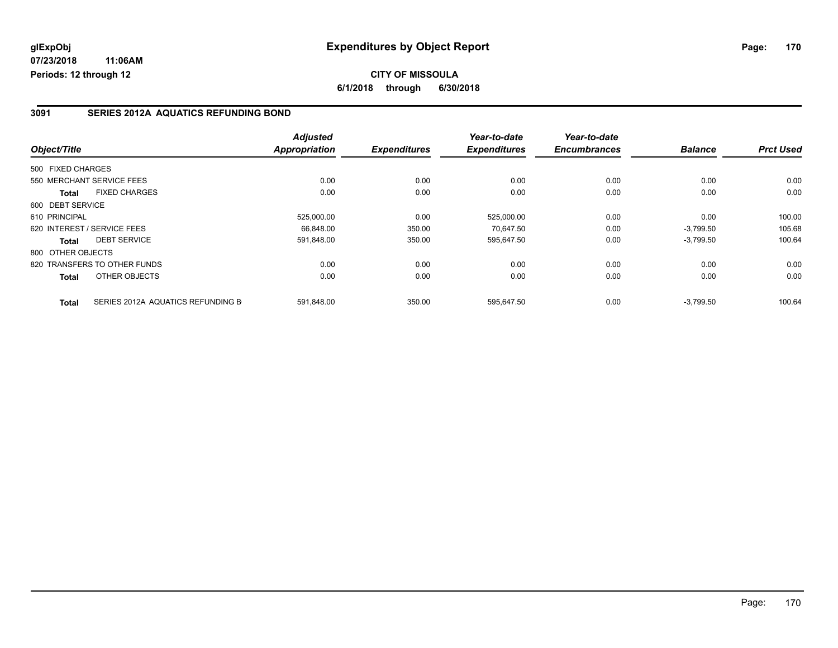**CITY OF MISSOULA 6/1/2018 through 6/30/2018**

#### **3091 SERIES 2012A AQUATICS REFUNDING BOND**

|                   |                                   | <b>Adjusted</b>      |                     | Year-to-date        | Year-to-date        |                |                  |
|-------------------|-----------------------------------|----------------------|---------------------|---------------------|---------------------|----------------|------------------|
| Object/Title      |                                   | <b>Appropriation</b> | <b>Expenditures</b> | <b>Expenditures</b> | <b>Encumbrances</b> | <b>Balance</b> | <b>Prct Used</b> |
| 500 FIXED CHARGES |                                   |                      |                     |                     |                     |                |                  |
|                   | 550 MERCHANT SERVICE FEES         | 0.00                 | 0.00                | 0.00                | 0.00                | 0.00           | 0.00             |
| <b>Total</b>      | <b>FIXED CHARGES</b>              | 0.00                 | 0.00                | 0.00                | 0.00                | 0.00           | 0.00             |
| 600 DEBT SERVICE  |                                   |                      |                     |                     |                     |                |                  |
| 610 PRINCIPAL     |                                   | 525.000.00           | 0.00                | 525.000.00          | 0.00                | 0.00           | 100.00           |
|                   | 620 INTEREST / SERVICE FEES       | 66,848.00            | 350.00              | 70,647.50           | 0.00                | $-3,799.50$    | 105.68           |
| <b>Total</b>      | <b>DEBT SERVICE</b>               | 591,848.00           | 350.00              | 595,647.50          | 0.00                | $-3,799.50$    | 100.64           |
| 800 OTHER OBJECTS |                                   |                      |                     |                     |                     |                |                  |
|                   | 820 TRANSFERS TO OTHER FUNDS      | 0.00                 | 0.00                | 0.00                | 0.00                | 0.00           | 0.00             |
| <b>Total</b>      | OTHER OBJECTS                     | 0.00                 | 0.00                | 0.00                | 0.00                | 0.00           | 0.00             |
| <b>Total</b>      | SERIES 2012A AQUATICS REFUNDING B | 591,848.00           | 350.00              | 595.647.50          | 0.00                | $-3.799.50$    | 100.64           |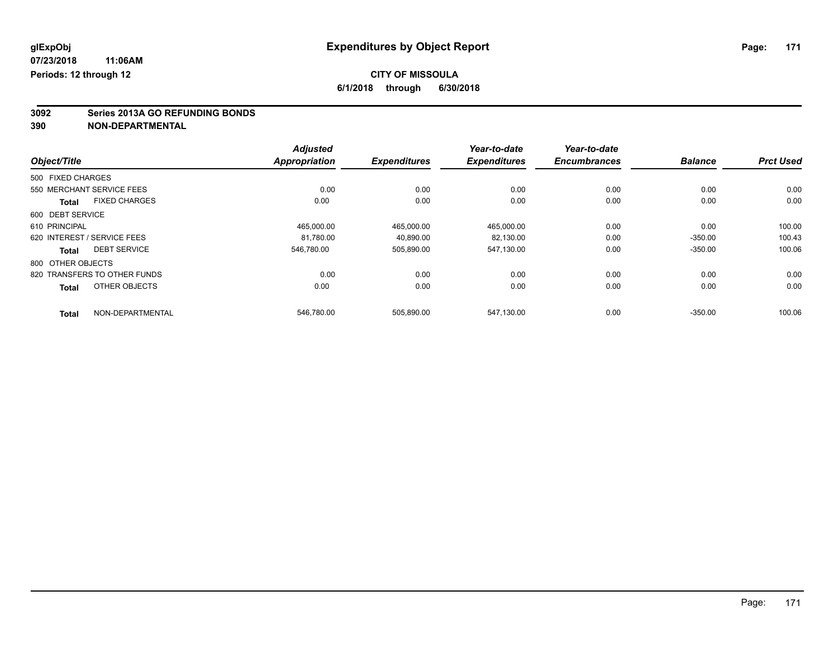# **3092 Series 2013A GO REFUNDING BONDS**

|                              |                      | <b>Adjusted</b>      |                     | Year-to-date        | Year-to-date        |                |                  |
|------------------------------|----------------------|----------------------|---------------------|---------------------|---------------------|----------------|------------------|
| Object/Title                 |                      | <b>Appropriation</b> | <b>Expenditures</b> | <b>Expenditures</b> | <b>Encumbrances</b> | <b>Balance</b> | <b>Prct Used</b> |
| 500 FIXED CHARGES            |                      |                      |                     |                     |                     |                |                  |
| 550 MERCHANT SERVICE FEES    |                      | 0.00                 | 0.00                | 0.00                | 0.00                | 0.00           | 0.00             |
| <b>Total</b>                 | <b>FIXED CHARGES</b> | 0.00                 | 0.00                | 0.00                | 0.00                | 0.00           | 0.00             |
| 600 DEBT SERVICE             |                      |                      |                     |                     |                     |                |                  |
| 610 PRINCIPAL                |                      | 465,000.00           | 465,000.00          | 465,000.00          | 0.00                | 0.00           | 100.00           |
| 620 INTEREST / SERVICE FEES  |                      | 81.780.00            | 40,890.00           | 82.130.00           | 0.00                | $-350.00$      | 100.43           |
| <b>Total</b>                 | <b>DEBT SERVICE</b>  | 546.780.00           | 505.890.00          | 547,130.00          | 0.00                | $-350.00$      | 100.06           |
| 800 OTHER OBJECTS            |                      |                      |                     |                     |                     |                |                  |
| 820 TRANSFERS TO OTHER FUNDS |                      | 0.00                 | 0.00                | 0.00                | 0.00                | 0.00           | 0.00             |
| <b>Total</b>                 | OTHER OBJECTS        | 0.00                 | 0.00                | 0.00                | 0.00                | 0.00           | 0.00             |
| <b>Total</b>                 | NON-DEPARTMENTAL     | 546.780.00           | 505.890.00          | 547.130.00          | 0.00                | $-350.00$      | 100.06           |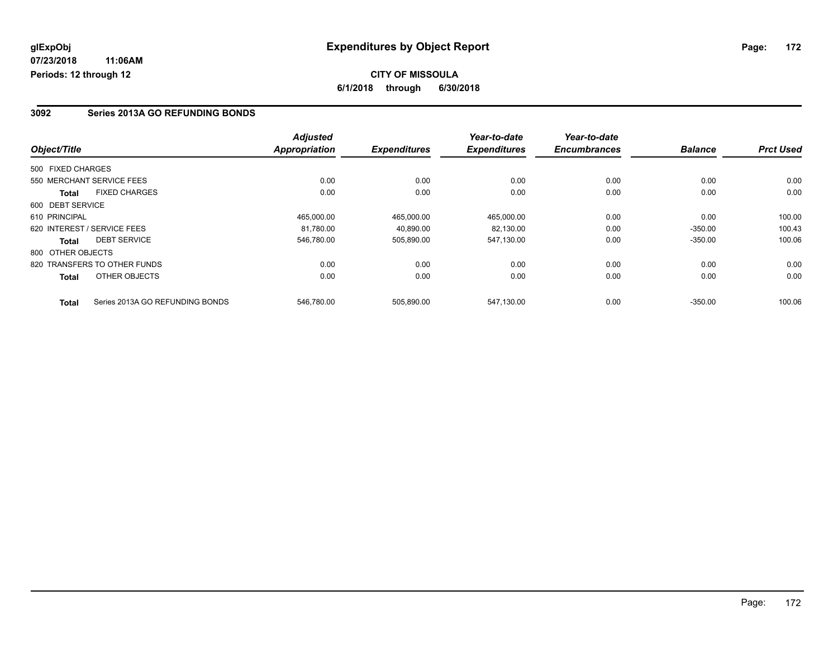# **CITY OF MISSOULA 6/1/2018 through 6/30/2018**

### **3092 Series 2013A GO REFUNDING BONDS**

|                   |                                 | <b>Adjusted</b>      |                     | Year-to-date        | Year-to-date        |                |                  |
|-------------------|---------------------------------|----------------------|---------------------|---------------------|---------------------|----------------|------------------|
| Object/Title      |                                 | <b>Appropriation</b> | <b>Expenditures</b> | <b>Expenditures</b> | <b>Encumbrances</b> | <b>Balance</b> | <b>Prct Used</b> |
| 500 FIXED CHARGES |                                 |                      |                     |                     |                     |                |                  |
|                   | 550 MERCHANT SERVICE FEES       | 0.00                 | 0.00                | 0.00                | 0.00                | 0.00           | 0.00             |
| <b>Total</b>      | <b>FIXED CHARGES</b>            | 0.00                 | 0.00                | 0.00                | 0.00                | 0.00           | 0.00             |
| 600 DEBT SERVICE  |                                 |                      |                     |                     |                     |                |                  |
| 610 PRINCIPAL     |                                 | 465,000.00           | 465.000.00          | 465,000.00          | 0.00                | 0.00           | 100.00           |
|                   | 620 INTEREST / SERVICE FEES     | 81.780.00            | 40,890.00           | 82,130.00           | 0.00                | $-350.00$      | 100.43           |
| <b>Total</b>      | <b>DEBT SERVICE</b>             | 546,780.00           | 505,890.00          | 547,130.00          | 0.00                | $-350.00$      | 100.06           |
| 800 OTHER OBJECTS |                                 |                      |                     |                     |                     |                |                  |
|                   | 820 TRANSFERS TO OTHER FUNDS    | 0.00                 | 0.00                | 0.00                | 0.00                | 0.00           | 0.00             |
| Total             | OTHER OBJECTS                   | 0.00                 | 0.00                | 0.00                | 0.00                | 0.00           | 0.00             |
| <b>Total</b>      | Series 2013A GO REFUNDING BONDS | 546,780.00           | 505.890.00          | 547.130.00          | 0.00                | $-350.00$      | 100.06           |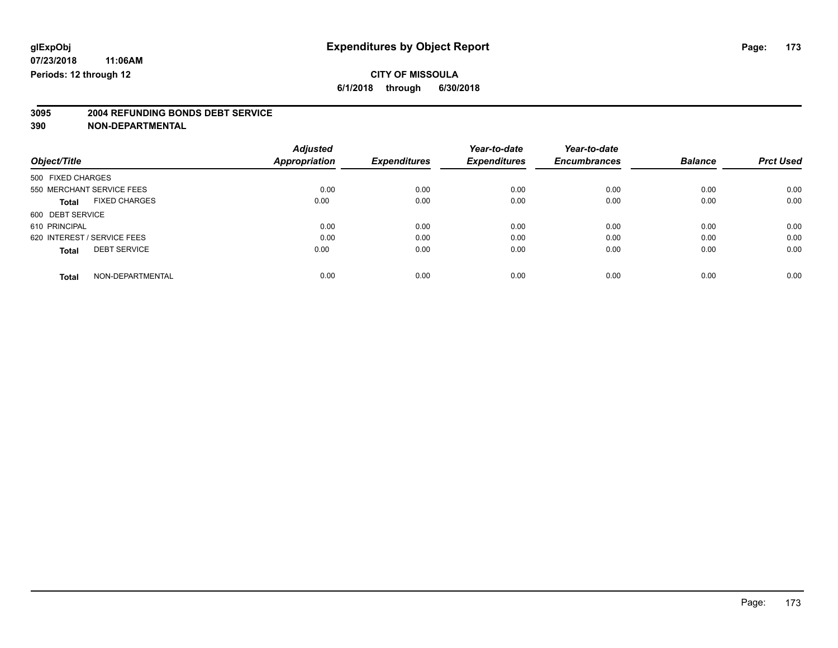# **3095 2004 REFUNDING BONDS DEBT SERVICE**

|                             |                      | <b>Adjusted</b>      |                     | Year-to-date        | Year-to-date        |                |                  |
|-----------------------------|----------------------|----------------------|---------------------|---------------------|---------------------|----------------|------------------|
| Object/Title                |                      | <b>Appropriation</b> | <b>Expenditures</b> | <b>Expenditures</b> | <b>Encumbrances</b> | <b>Balance</b> | <b>Prct Used</b> |
| 500 FIXED CHARGES           |                      |                      |                     |                     |                     |                |                  |
| 550 MERCHANT SERVICE FEES   |                      | 0.00                 | 0.00                | 0.00                | 0.00                | 0.00           | 0.00             |
| <b>Total</b>                | <b>FIXED CHARGES</b> | 0.00                 | 0.00                | 0.00                | 0.00                | 0.00           | 0.00             |
| 600 DEBT SERVICE            |                      |                      |                     |                     |                     |                |                  |
| 610 PRINCIPAL               |                      | 0.00                 | 0.00                | 0.00                | 0.00                | 0.00           | 0.00             |
| 620 INTEREST / SERVICE FEES |                      | 0.00                 | 0.00                | 0.00                | 0.00                | 0.00           | 0.00             |
| <b>Total</b>                | <b>DEBT SERVICE</b>  | 0.00                 | 0.00                | 0.00                | 0.00                | 0.00           | 0.00             |
| <b>Total</b>                | NON-DEPARTMENTAL     | 0.00                 | 0.00                | 0.00                | 0.00                | 0.00           | 0.00             |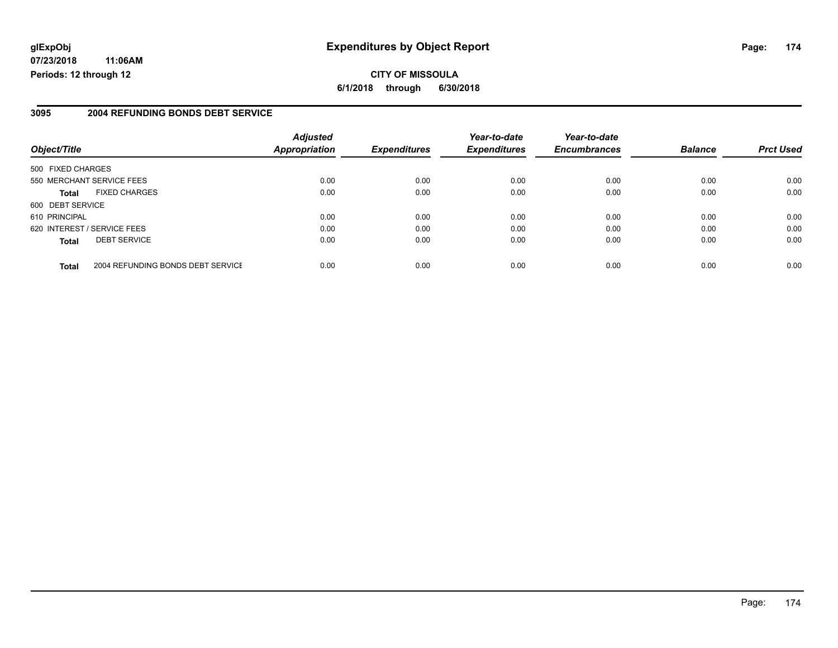# **glExpObj Expenditures by Object Report Page: 174**

**07/23/2018 11:06AM Periods: 12 through 12**

#### **3095 2004 REFUNDING BONDS DEBT SERVICE**

| Object/Title      |                                   | <b>Adjusted</b><br><b>Appropriation</b> | <b>Expenditures</b> | Year-to-date<br><b>Expenditures</b> | Year-to-date<br><b>Encumbrances</b> | <b>Balance</b> | <b>Prct Used</b> |
|-------------------|-----------------------------------|-----------------------------------------|---------------------|-------------------------------------|-------------------------------------|----------------|------------------|
|                   |                                   |                                         |                     |                                     |                                     |                |                  |
| 500 FIXED CHARGES |                                   |                                         |                     |                                     |                                     |                |                  |
|                   | 550 MERCHANT SERVICE FEES         | 0.00                                    | 0.00                | 0.00                                | 0.00                                | 0.00           | 0.00             |
| <b>Total</b>      | <b>FIXED CHARGES</b>              | 0.00                                    | 0.00                | 0.00                                | 0.00                                | 0.00           | 0.00             |
| 600 DEBT SERVICE  |                                   |                                         |                     |                                     |                                     |                |                  |
| 610 PRINCIPAL     |                                   | 0.00                                    | 0.00                | 0.00                                | 0.00                                | 0.00           | 0.00             |
|                   | 620 INTEREST / SERVICE FEES       | 0.00                                    | 0.00                | 0.00                                | 0.00                                | 0.00           | 0.00             |
| <b>Total</b>      | <b>DEBT SERVICE</b>               | 0.00                                    | 0.00                | 0.00                                | 0.00                                | 0.00           | 0.00             |
| <b>Total</b>      | 2004 REFUNDING BONDS DEBT SERVICE | 0.00                                    | 0.00                | 0.00                                | 0.00                                | 0.00           | 0.00             |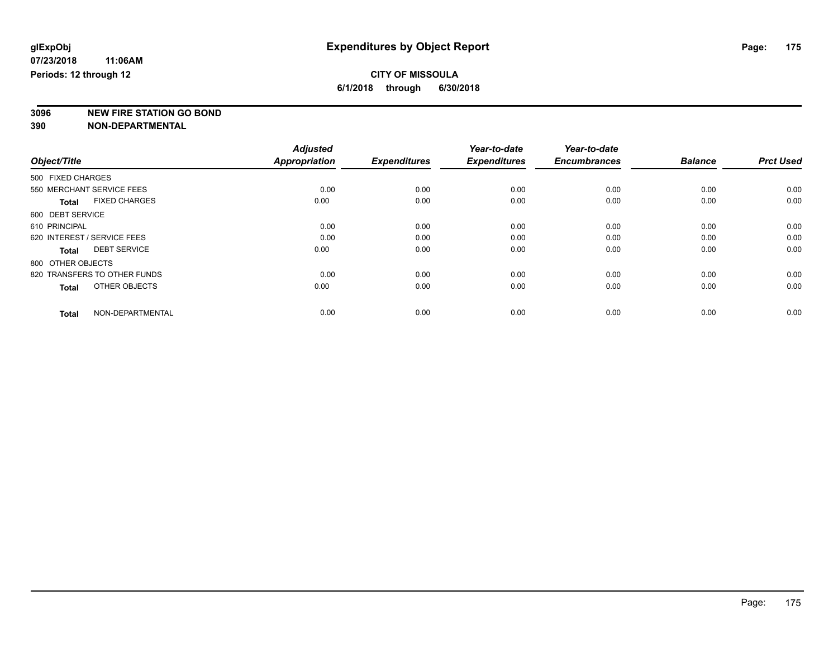**3096 NEW FIRE STATION GO BOND**

|                                      | <b>Adjusted</b>      |                     | Year-to-date        | Year-to-date        |                |                  |
|--------------------------------------|----------------------|---------------------|---------------------|---------------------|----------------|------------------|
| Object/Title                         | <b>Appropriation</b> | <b>Expenditures</b> | <b>Expenditures</b> | <b>Encumbrances</b> | <b>Balance</b> | <b>Prct Used</b> |
| 500 FIXED CHARGES                    |                      |                     |                     |                     |                |                  |
| 550 MERCHANT SERVICE FEES            | 0.00                 | 0.00                | 0.00                | 0.00                | 0.00           | 0.00             |
| <b>FIXED CHARGES</b><br><b>Total</b> | 0.00                 | 0.00                | 0.00                | 0.00                | 0.00           | 0.00             |
| 600 DEBT SERVICE                     |                      |                     |                     |                     |                |                  |
| 610 PRINCIPAL                        | 0.00                 | 0.00                | 0.00                | 0.00                | 0.00           | 0.00             |
| 620 INTEREST / SERVICE FEES          | 0.00                 | 0.00                | 0.00                | 0.00                | 0.00           | 0.00             |
| <b>DEBT SERVICE</b><br><b>Total</b>  | 0.00                 | 0.00                | 0.00                | 0.00                | 0.00           | 0.00             |
| 800 OTHER OBJECTS                    |                      |                     |                     |                     |                |                  |
| 820 TRANSFERS TO OTHER FUNDS         | 0.00                 | 0.00                | 0.00                | 0.00                | 0.00           | 0.00             |
| OTHER OBJECTS<br><b>Total</b>        | 0.00                 | 0.00                | 0.00                | 0.00                | 0.00           | 0.00             |
|                                      |                      |                     |                     |                     |                |                  |
| NON-DEPARTMENTAL<br><b>Total</b>     | 0.00                 | 0.00                | 0.00                | 0.00                | 0.00           | 0.00             |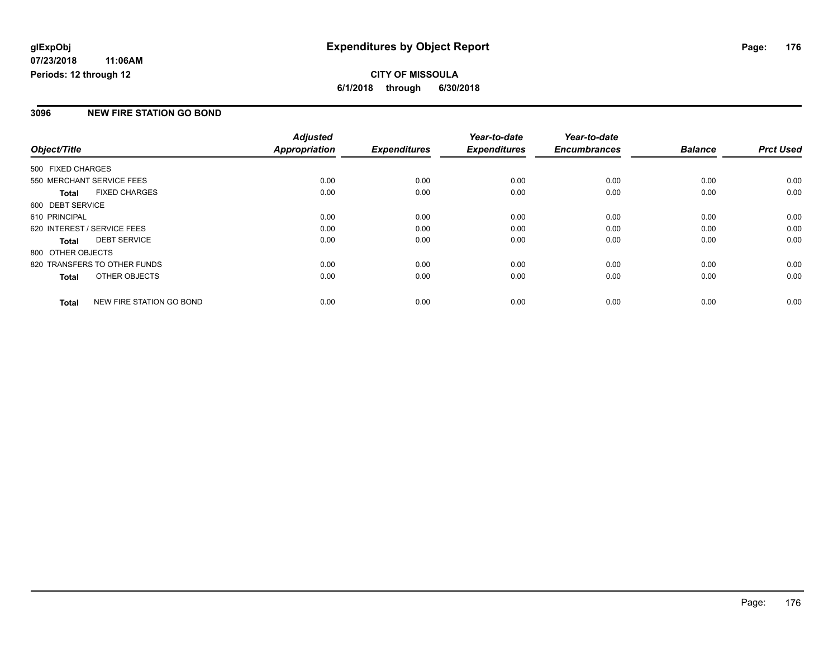# **CITY OF MISSOULA 6/1/2018 through 6/30/2018**

#### **3096 NEW FIRE STATION GO BOND**

|                   |                              | <b>Adjusted</b>      |                     | Year-to-date        | Year-to-date        |                |                  |
|-------------------|------------------------------|----------------------|---------------------|---------------------|---------------------|----------------|------------------|
| Object/Title      |                              | <b>Appropriation</b> | <b>Expenditures</b> | <b>Expenditures</b> | <b>Encumbrances</b> | <b>Balance</b> | <b>Prct Used</b> |
| 500 FIXED CHARGES |                              |                      |                     |                     |                     |                |                  |
|                   | 550 MERCHANT SERVICE FEES    | 0.00                 | 0.00                | 0.00                | 0.00                | 0.00           | 0.00             |
| <b>Total</b>      | <b>FIXED CHARGES</b>         | 0.00                 | 0.00                | 0.00                | 0.00                | 0.00           | 0.00             |
| 600 DEBT SERVICE  |                              |                      |                     |                     |                     |                |                  |
| 610 PRINCIPAL     |                              | 0.00                 | 0.00                | 0.00                | 0.00                | 0.00           | 0.00             |
|                   | 620 INTEREST / SERVICE FEES  | 0.00                 | 0.00                | 0.00                | 0.00                | 0.00           | 0.00             |
| <b>Total</b>      | <b>DEBT SERVICE</b>          | 0.00                 | 0.00                | 0.00                | 0.00                | 0.00           | 0.00             |
| 800 OTHER OBJECTS |                              |                      |                     |                     |                     |                |                  |
|                   | 820 TRANSFERS TO OTHER FUNDS | 0.00                 | 0.00                | 0.00                | 0.00                | 0.00           | 0.00             |
| <b>Total</b>      | OTHER OBJECTS                | 0.00                 | 0.00                | 0.00                | 0.00                | 0.00           | 0.00             |
| <b>Total</b>      | NEW FIRE STATION GO BOND     | 0.00                 | 0.00                | 0.00                | 0.00                | 0.00           | 0.00             |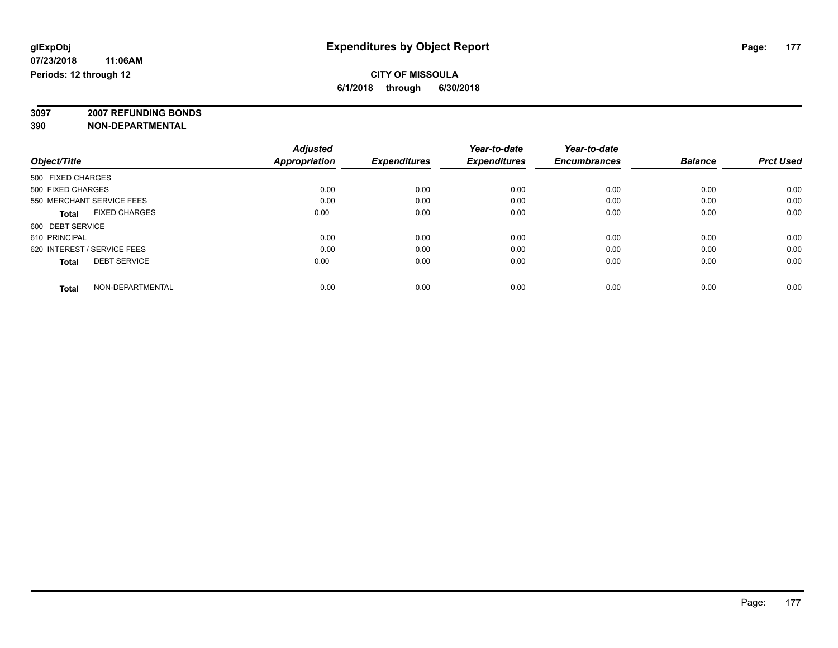**3097 2007 REFUNDING BONDS**

| Object/Title                         | <b>Adjusted</b><br><b>Appropriation</b> | <b>Expenditures</b> | Year-to-date<br><b>Expenditures</b> | Year-to-date<br><b>Encumbrances</b> | <b>Balance</b> | <b>Prct Used</b> |
|--------------------------------------|-----------------------------------------|---------------------|-------------------------------------|-------------------------------------|----------------|------------------|
| 500 FIXED CHARGES                    |                                         |                     |                                     |                                     |                |                  |
| 500 FIXED CHARGES                    | 0.00                                    | 0.00                | 0.00                                | 0.00                                | 0.00           | 0.00             |
| 550 MERCHANT SERVICE FEES            | 0.00                                    | 0.00                | 0.00                                | 0.00                                | 0.00           | 0.00             |
| <b>FIXED CHARGES</b><br><b>Total</b> | 0.00                                    | 0.00                | 0.00                                | 0.00                                | 0.00           | 0.00             |
| 600 DEBT SERVICE                     |                                         |                     |                                     |                                     |                |                  |
| 610 PRINCIPAL                        | 0.00                                    | 0.00                | 0.00                                | 0.00                                | 0.00           | 0.00             |
| 620 INTEREST / SERVICE FEES          | 0.00                                    | 0.00                | 0.00                                | 0.00                                | 0.00           | 0.00             |
| <b>DEBT SERVICE</b><br><b>Total</b>  | 0.00                                    | 0.00                | 0.00                                | 0.00                                | 0.00           | 0.00             |
| NON-DEPARTMENTAL<br><b>Total</b>     | 0.00                                    | 0.00                | 0.00                                | 0.00                                | 0.00           | 0.00             |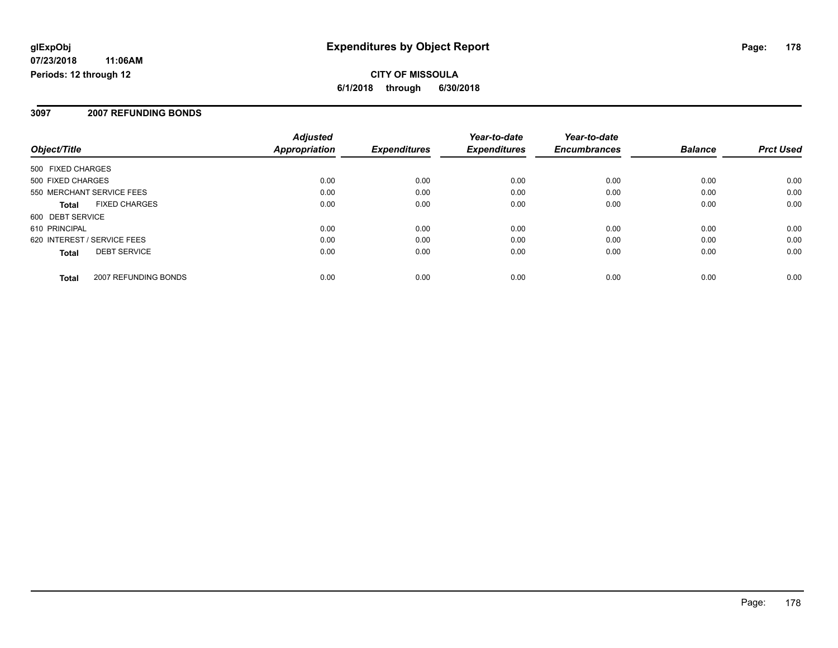#### **3097 2007 REFUNDING BONDS**

| Object/Title                |                      | <b>Adjusted</b><br><b>Appropriation</b> | <b>Expenditures</b> | Year-to-date<br><b>Expenditures</b> | Year-to-date<br><b>Encumbrances</b> | <b>Balance</b> | <b>Prct Used</b> |
|-----------------------------|----------------------|-----------------------------------------|---------------------|-------------------------------------|-------------------------------------|----------------|------------------|
| 500 FIXED CHARGES           |                      |                                         |                     |                                     |                                     |                |                  |
| 500 FIXED CHARGES           |                      | 0.00                                    | 0.00                | 0.00                                | 0.00                                | 0.00           | 0.00             |
| 550 MERCHANT SERVICE FEES   |                      | 0.00                                    | 0.00                | 0.00                                | 0.00                                | 0.00           | 0.00             |
| <b>Total</b>                | <b>FIXED CHARGES</b> | 0.00                                    | 0.00                | 0.00                                | 0.00                                | 0.00           | 0.00             |
| 600 DEBT SERVICE            |                      |                                         |                     |                                     |                                     |                |                  |
| 610 PRINCIPAL               |                      | 0.00                                    | 0.00                | 0.00                                | 0.00                                | 0.00           | 0.00             |
| 620 INTEREST / SERVICE FEES |                      | 0.00                                    | 0.00                | 0.00                                | 0.00                                | 0.00           | 0.00             |
| <b>Total</b>                | <b>DEBT SERVICE</b>  | 0.00                                    | 0.00                | 0.00                                | 0.00                                | 0.00           | 0.00             |
| <b>Total</b>                | 2007 REFUNDING BONDS | 0.00                                    | 0.00                | 0.00                                | 0.00                                | 0.00           | 0.00             |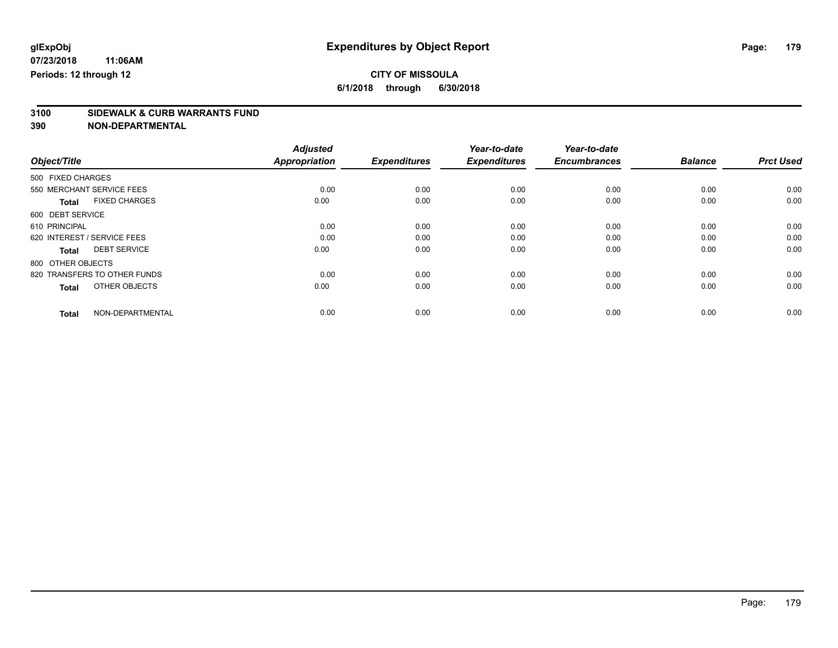# **3100 SIDEWALK & CURB WARRANTS FUND**

|                                      | <b>Adjusted</b>      |                     | Year-to-date        | Year-to-date        |                |                  |
|--------------------------------------|----------------------|---------------------|---------------------|---------------------|----------------|------------------|
| Object/Title                         | <b>Appropriation</b> | <b>Expenditures</b> | <b>Expenditures</b> | <b>Encumbrances</b> | <b>Balance</b> | <b>Prct Used</b> |
| 500 FIXED CHARGES                    |                      |                     |                     |                     |                |                  |
| 550 MERCHANT SERVICE FEES            | 0.00                 | 0.00                | 0.00                | 0.00                | 0.00           | 0.00             |
| <b>FIXED CHARGES</b><br><b>Total</b> | 0.00                 | 0.00                | 0.00                | 0.00                | 0.00           | 0.00             |
| 600 DEBT SERVICE                     |                      |                     |                     |                     |                |                  |
| 610 PRINCIPAL                        | 0.00                 | 0.00                | 0.00                | 0.00                | 0.00           | 0.00             |
| 620 INTEREST / SERVICE FEES          | 0.00                 | 0.00                | 0.00                | 0.00                | 0.00           | 0.00             |
| <b>DEBT SERVICE</b><br><b>Total</b>  | 0.00                 | 0.00                | 0.00                | 0.00                | 0.00           | 0.00             |
| 800 OTHER OBJECTS                    |                      |                     |                     |                     |                |                  |
| 820 TRANSFERS TO OTHER FUNDS         | 0.00                 | 0.00                | 0.00                | 0.00                | 0.00           | 0.00             |
| OTHER OBJECTS<br><b>Total</b>        | 0.00                 | 0.00                | 0.00                | 0.00                | 0.00           | 0.00             |
|                                      |                      |                     |                     |                     |                |                  |
| NON-DEPARTMENTAL<br><b>Total</b>     | 0.00                 | 0.00                | 0.00                | 0.00                | 0.00           | 0.00             |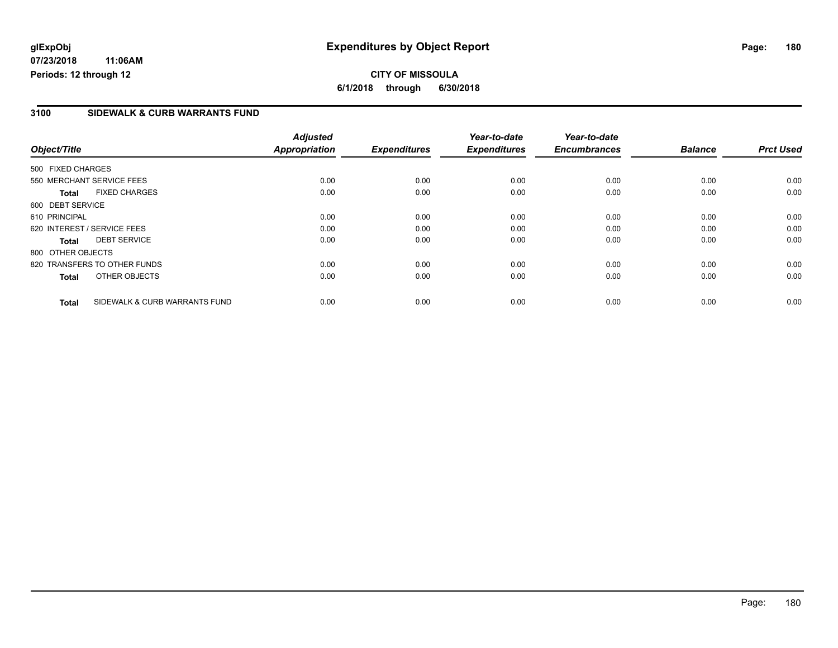# **CITY OF MISSOULA 6/1/2018 through 6/30/2018**

#### **3100 SIDEWALK & CURB WARRANTS FUND**

| Object/Title                 |                               | <b>Adjusted</b><br><b>Appropriation</b> | <b>Expenditures</b> | Year-to-date<br><b>Expenditures</b> | Year-to-date<br><b>Encumbrances</b> | <b>Balance</b> | <b>Prct Used</b> |
|------------------------------|-------------------------------|-----------------------------------------|---------------------|-------------------------------------|-------------------------------------|----------------|------------------|
|                              |                               |                                         |                     |                                     |                                     |                |                  |
| 550 MERCHANT SERVICE FEES    |                               | 0.00                                    | 0.00                | 0.00                                | 0.00                                | 0.00           | 0.00             |
| <b>Total</b>                 | <b>FIXED CHARGES</b>          | 0.00                                    | 0.00                | 0.00                                | 0.00                                | 0.00           | 0.00             |
| 600 DEBT SERVICE             |                               |                                         |                     |                                     |                                     |                |                  |
| 610 PRINCIPAL                |                               | 0.00                                    | 0.00                | 0.00                                | 0.00                                | 0.00           | 0.00             |
| 620 INTEREST / SERVICE FEES  |                               | 0.00                                    | 0.00                | 0.00                                | 0.00                                | 0.00           | 0.00             |
| <b>Total</b>                 | <b>DEBT SERVICE</b>           | 0.00                                    | 0.00                | 0.00                                | 0.00                                | 0.00           | 0.00             |
| 800 OTHER OBJECTS            |                               |                                         |                     |                                     |                                     |                |                  |
| 820 TRANSFERS TO OTHER FUNDS |                               | 0.00                                    | 0.00                | 0.00                                | 0.00                                | 0.00           | 0.00             |
| <b>Total</b>                 | OTHER OBJECTS                 | 0.00                                    | 0.00                | 0.00                                | 0.00                                | 0.00           | 0.00             |
| <b>Total</b>                 | SIDEWALK & CURB WARRANTS FUND | 0.00                                    | 0.00                | 0.00                                | 0.00                                | 0.00           | 0.00             |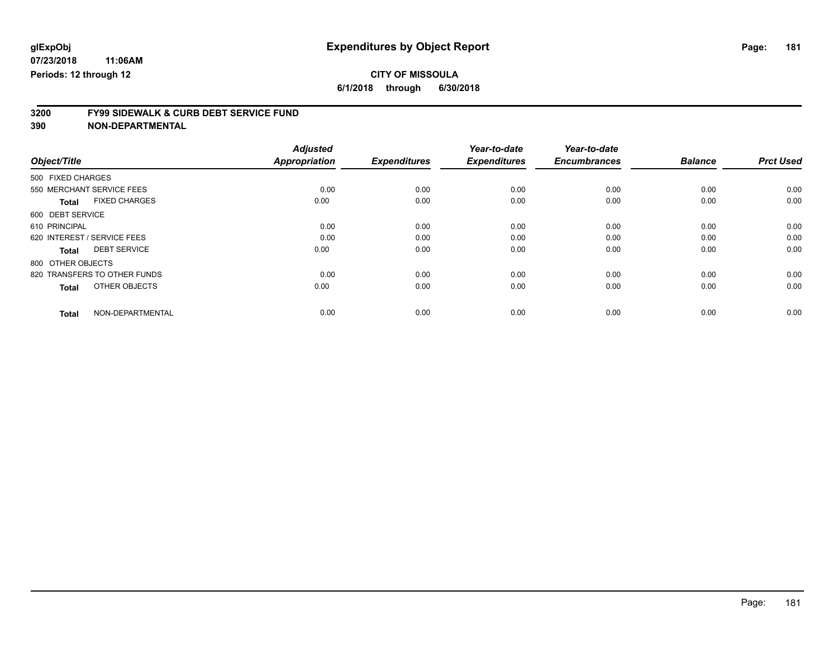# **3200 FY99 SIDEWALK & CURB DEBT SERVICE FUND**

|                                      | <b>Adjusted</b>      |                     | Year-to-date        | Year-to-date        |                |                  |
|--------------------------------------|----------------------|---------------------|---------------------|---------------------|----------------|------------------|
| Object/Title                         | <b>Appropriation</b> | <b>Expenditures</b> | <b>Expenditures</b> | <b>Encumbrances</b> | <b>Balance</b> | <b>Prct Used</b> |
| 500 FIXED CHARGES                    |                      |                     |                     |                     |                |                  |
| 550 MERCHANT SERVICE FEES            | 0.00                 | 0.00                | 0.00                | 0.00                | 0.00           | 0.00             |
| <b>FIXED CHARGES</b><br><b>Total</b> | 0.00                 | 0.00                | 0.00                | 0.00                | 0.00           | 0.00             |
| 600 DEBT SERVICE                     |                      |                     |                     |                     |                |                  |
| 610 PRINCIPAL                        | 0.00                 | 0.00                | 0.00                | 0.00                | 0.00           | 0.00             |
| 620 INTEREST / SERVICE FEES          | 0.00                 | 0.00                | 0.00                | 0.00                | 0.00           | 0.00             |
| <b>DEBT SERVICE</b><br><b>Total</b>  | 0.00                 | 0.00                | 0.00                | 0.00                | 0.00           | 0.00             |
| 800 OTHER OBJECTS                    |                      |                     |                     |                     |                |                  |
| 820 TRANSFERS TO OTHER FUNDS         | 0.00                 | 0.00                | 0.00                | 0.00                | 0.00           | 0.00             |
| OTHER OBJECTS<br><b>Total</b>        | 0.00                 | 0.00                | 0.00                | 0.00                | 0.00           | 0.00             |
| NON-DEPARTMENTAL<br><b>Total</b>     | 0.00                 | 0.00                | 0.00                | 0.00                | 0.00           | 0.00             |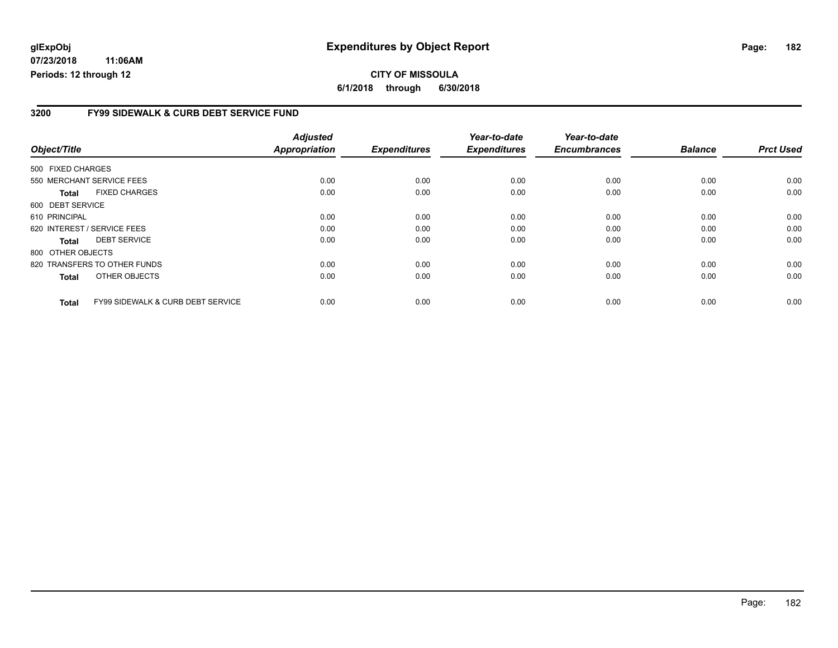**CITY OF MISSOULA 6/1/2018 through 6/30/2018**

#### **3200 FY99 SIDEWALK & CURB DEBT SERVICE FUND**

|                                                              | <b>Adjusted</b>      |                     | Year-to-date        | Year-to-date        |                |                  |
|--------------------------------------------------------------|----------------------|---------------------|---------------------|---------------------|----------------|------------------|
| Object/Title                                                 | <b>Appropriation</b> | <b>Expenditures</b> | <b>Expenditures</b> | <b>Encumbrances</b> | <b>Balance</b> | <b>Prct Used</b> |
| 500 FIXED CHARGES                                            |                      |                     |                     |                     |                |                  |
| 550 MERCHANT SERVICE FEES                                    | 0.00                 | 0.00                | 0.00                | 0.00                | 0.00           | 0.00             |
| <b>FIXED CHARGES</b><br><b>Total</b>                         | 0.00                 | 0.00                | 0.00                | 0.00                | 0.00           | 0.00             |
| 600 DEBT SERVICE                                             |                      |                     |                     |                     |                |                  |
| 610 PRINCIPAL                                                | 0.00                 | 0.00                | 0.00                | 0.00                | 0.00           | 0.00             |
| 620 INTEREST / SERVICE FEES                                  | 0.00                 | 0.00                | 0.00                | 0.00                | 0.00           | 0.00             |
| <b>DEBT SERVICE</b><br><b>Total</b>                          | 0.00                 | 0.00                | 0.00                | 0.00                | 0.00           | 0.00             |
| 800 OTHER OBJECTS                                            |                      |                     |                     |                     |                |                  |
| 820 TRANSFERS TO OTHER FUNDS                                 | 0.00                 | 0.00                | 0.00                | 0.00                | 0.00           | 0.00             |
| OTHER OBJECTS<br><b>Total</b>                                | 0.00                 | 0.00                | 0.00                | 0.00                | 0.00           | 0.00             |
| <b>FY99 SIDEWALK &amp; CURB DEBT SERVICE</b><br><b>Total</b> | 0.00                 | 0.00                | 0.00                | 0.00                | 0.00           | 0.00             |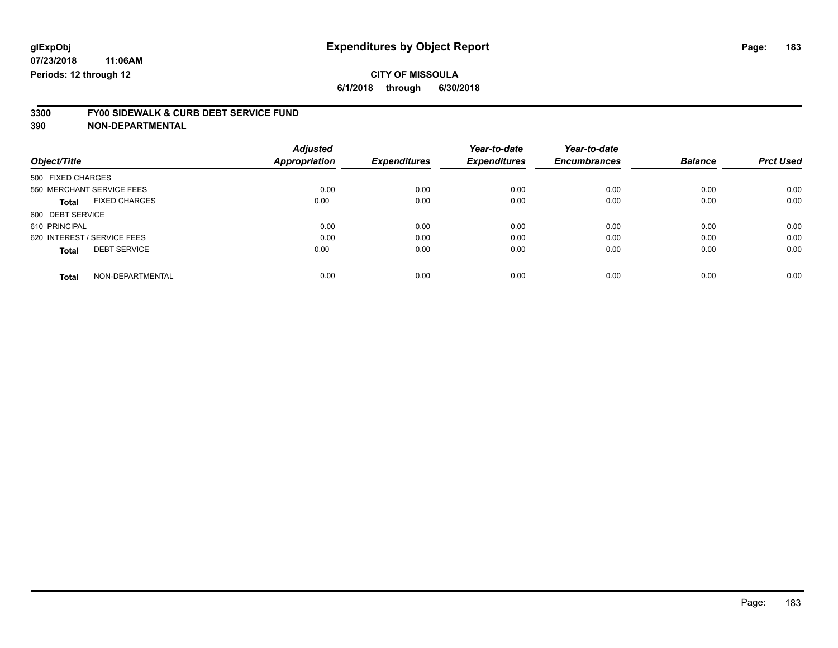### **CITY OF MISSOULA 6/1/2018 through 6/30/2018**

# **3300 FY00 SIDEWALK & CURB DEBT SERVICE FUND**

|                                      | <b>Adjusted</b>      |                     | Year-to-date        | Year-to-date        |                |                  |
|--------------------------------------|----------------------|---------------------|---------------------|---------------------|----------------|------------------|
| Object/Title                         | <b>Appropriation</b> | <b>Expenditures</b> | <b>Expenditures</b> | <b>Encumbrances</b> | <b>Balance</b> | <b>Prct Used</b> |
| 500 FIXED CHARGES                    |                      |                     |                     |                     |                |                  |
| 550 MERCHANT SERVICE FEES            | 0.00                 | 0.00                | 0.00                | 0.00                | 0.00           | 0.00             |
| <b>FIXED CHARGES</b><br><b>Total</b> | 0.00                 | 0.00                | 0.00                | 0.00                | 0.00           | 0.00             |
| 600 DEBT SERVICE                     |                      |                     |                     |                     |                |                  |
| 610 PRINCIPAL                        | 0.00                 | 0.00                | 0.00                | 0.00                | 0.00           | 0.00             |
| 620 INTEREST / SERVICE FEES          | 0.00                 | 0.00                | 0.00                | 0.00                | 0.00           | 0.00             |
| <b>DEBT SERVICE</b><br><b>Total</b>  | 0.00                 | 0.00                | 0.00                | 0.00                | 0.00           | 0.00             |
| NON-DEPARTMENTAL<br><b>Total</b>     | 0.00                 | 0.00                | 0.00                | 0.00                | 0.00           | 0.00             |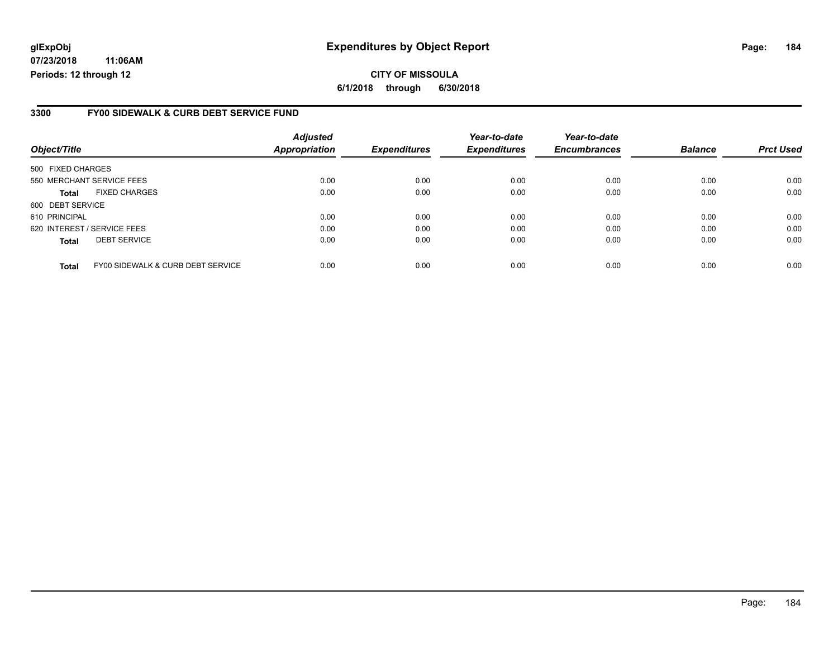## **glExpObj Expenditures by Object Report Page: 184**

**07/23/2018 11:06AM Periods: 12 through 12**

**CITY OF MISSOULA 6/1/2018 through 6/30/2018**

#### **3300 FY00 SIDEWALK & CURB DEBT SERVICE FUND**

| Object/Title                                      | <b>Adjusted</b><br><b>Appropriation</b> | <b>Expenditures</b> | Year-to-date<br><b>Expenditures</b> | Year-to-date<br><b>Encumbrances</b> | <b>Balance</b> | <b>Prct Used</b> |
|---------------------------------------------------|-----------------------------------------|---------------------|-------------------------------------|-------------------------------------|----------------|------------------|
| 500 FIXED CHARGES                                 |                                         |                     |                                     |                                     |                |                  |
| 550 MERCHANT SERVICE FEES                         | 0.00                                    | 0.00                | 0.00                                | 0.00                                | 0.00           | 0.00             |
| <b>FIXED CHARGES</b><br><b>Total</b>              | 0.00                                    | 0.00                | 0.00                                | 0.00                                | 0.00           | 0.00             |
| 600 DEBT SERVICE                                  |                                         |                     |                                     |                                     |                |                  |
| 610 PRINCIPAL                                     | 0.00                                    | 0.00                | 0.00                                | 0.00                                | 0.00           | 0.00             |
| 620 INTEREST / SERVICE FEES                       | 0.00                                    | 0.00                | 0.00                                | 0.00                                | 0.00           | 0.00             |
| <b>DEBT SERVICE</b><br><b>Total</b>               | 0.00                                    | 0.00                | 0.00                                | 0.00                                | 0.00           | 0.00             |
| FY00 SIDEWALK & CURB DEBT SERVICE<br><b>Total</b> | 0.00                                    | 0.00                | 0.00                                | 0.00                                | 0.00           | 0.00             |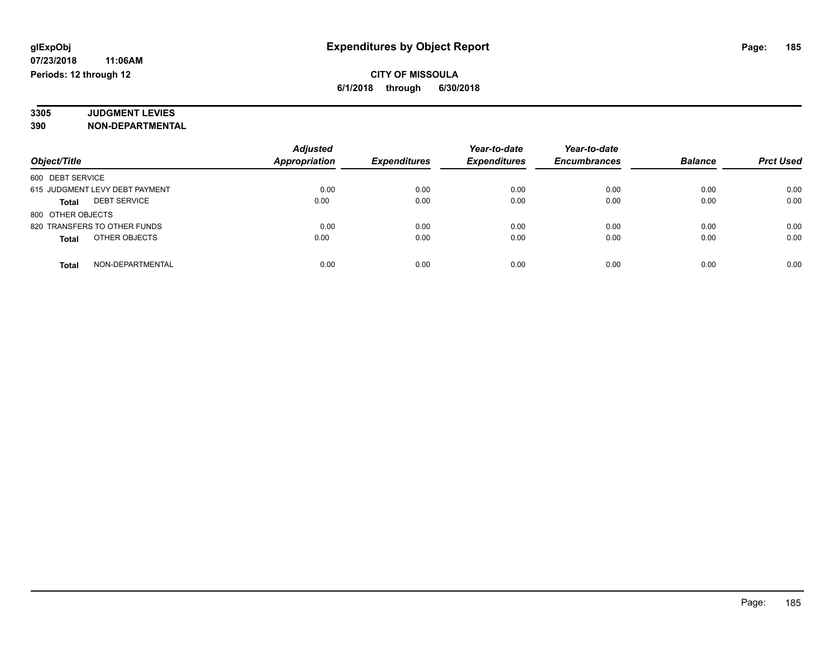#### **3305 JUDGMENT LEVIES 390 NON-DEPARTMENTAL**

|                                     | <b>Adjusted</b>      |                     | Year-to-date        | Year-to-date        |                |                  |
|-------------------------------------|----------------------|---------------------|---------------------|---------------------|----------------|------------------|
| Object/Title                        | <b>Appropriation</b> | <b>Expenditures</b> | <b>Expenditures</b> | <b>Encumbrances</b> | <b>Balance</b> | <b>Prct Used</b> |
| 600 DEBT SERVICE                    |                      |                     |                     |                     |                |                  |
| 615 JUDGMENT LEVY DEBT PAYMENT      | 0.00                 | 0.00                | 0.00                | 0.00                | 0.00           | 0.00             |
| <b>DEBT SERVICE</b><br><b>Total</b> | 0.00                 | 0.00                | 0.00                | 0.00                | 0.00           | 0.00             |
| 800 OTHER OBJECTS                   |                      |                     |                     |                     |                |                  |
| 820 TRANSFERS TO OTHER FUNDS        | 0.00                 | 0.00                | 0.00                | 0.00                | 0.00           | 0.00             |
| OTHER OBJECTS<br><b>Total</b>       | 0.00                 | 0.00                | 0.00                | 0.00                | 0.00           | 0.00             |
| NON-DEPARTMENTAL<br><b>Total</b>    | 0.00                 | 0.00                | 0.00                | 0.00                | 0.00           | 0.00             |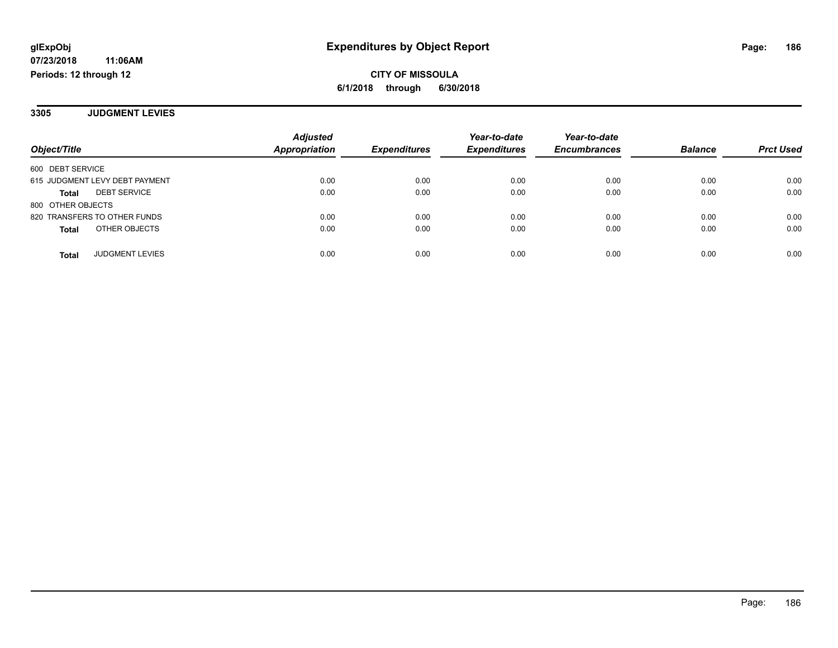**3305 JUDGMENT LEVIES**

|                                     | <b>Adjusted</b>      |                     | Year-to-date        | Year-to-date        |                |                  |
|-------------------------------------|----------------------|---------------------|---------------------|---------------------|----------------|------------------|
| Object/Title                        | <b>Appropriation</b> | <b>Expenditures</b> | <b>Expenditures</b> | <b>Encumbrances</b> | <b>Balance</b> | <b>Prct Used</b> |
| 600 DEBT SERVICE                    |                      |                     |                     |                     |                |                  |
| 615 JUDGMENT LEVY DEBT PAYMENT      | 0.00                 | 0.00                | 0.00                | 0.00                | 0.00           | 0.00             |
| <b>DEBT SERVICE</b><br><b>Total</b> | 0.00                 | 0.00                | 0.00                | 0.00                | 0.00           | 0.00             |
| 800 OTHER OBJECTS                   |                      |                     |                     |                     |                |                  |
| 820 TRANSFERS TO OTHER FUNDS        | 0.00                 | 0.00                | 0.00                | 0.00                | 0.00           | 0.00             |
| OTHER OBJECTS<br><b>Total</b>       | 0.00                 | 0.00                | 0.00                | 0.00                | 0.00           | 0.00             |
|                                     |                      |                     |                     |                     |                |                  |
| <b>JUDGMENT LEVIES</b><br>Total     | 0.00                 | 0.00                | 0.00                | 0.00                | 0.00           | 0.00             |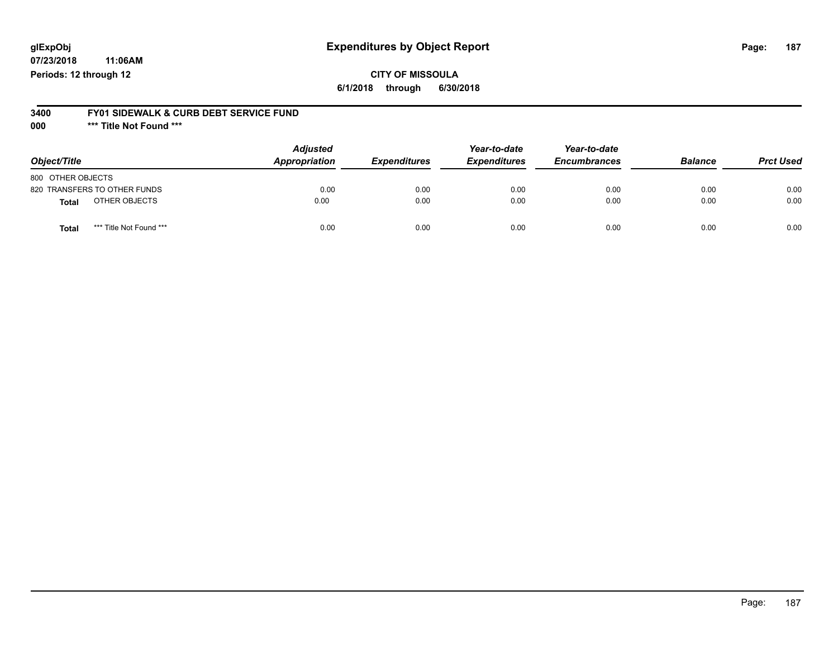## **glExpObj Expenditures by Object Report Page: 187**

**07/23/2018 11:06AM Periods: 12 through 12**

**6/1/2018 through 6/30/2018**

#### **3400 FY01 SIDEWALK & CURB DEBT SERVICE FUND**

**000 \*\*\* Title Not Found \*\*\***

| Object/Title                            | <b>Adjusted</b><br>Appropriation | <b>Expenditures</b> | Year-to-date<br><b>Expenditures</b> | Year-to-date<br><b>Encumbrances</b> | <b>Balance</b> | <b>Prct Used</b> |
|-----------------------------------------|----------------------------------|---------------------|-------------------------------------|-------------------------------------|----------------|------------------|
| 800 OTHER OBJECTS                       |                                  |                     |                                     |                                     |                |                  |
| 820 TRANSFERS TO OTHER FUNDS            | 0.00                             | 0.00                | 0.00                                | 0.00                                | 0.00           | 0.00             |
| OTHER OBJECTS<br><b>Total</b>           | 0.00                             | 0.00                | 0.00                                | 0.00                                | 0.00           | 0.00             |
| *** Title Not Found ***<br><b>Total</b> | 0.00                             | 0.00                | 0.00                                | 0.00                                | 0.00           | 0.00             |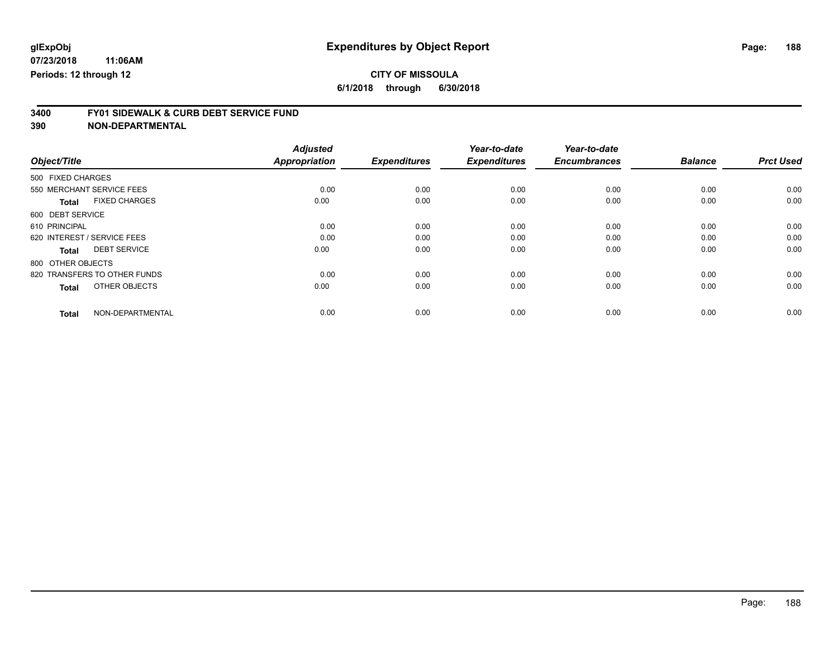# **3400 FY01 SIDEWALK & CURB DEBT SERVICE FUND**

|                                      | <b>Adjusted</b> |                     | Year-to-date        | Year-to-date        |                |                  |
|--------------------------------------|-----------------|---------------------|---------------------|---------------------|----------------|------------------|
| Object/Title                         | Appropriation   | <b>Expenditures</b> | <b>Expenditures</b> | <b>Encumbrances</b> | <b>Balance</b> | <b>Prct Used</b> |
| 500 FIXED CHARGES                    |                 |                     |                     |                     |                |                  |
| 550 MERCHANT SERVICE FEES            | 0.00            | 0.00                | 0.00                | 0.00                | 0.00           | 0.00             |
| <b>FIXED CHARGES</b><br><b>Total</b> | 0.00            | 0.00                | 0.00                | 0.00                | 0.00           | 0.00             |
| 600 DEBT SERVICE                     |                 |                     |                     |                     |                |                  |
| 610 PRINCIPAL                        | 0.00            | 0.00                | 0.00                | 0.00                | 0.00           | 0.00             |
| 620 INTEREST / SERVICE FEES          | 0.00            | 0.00                | 0.00                | 0.00                | 0.00           | 0.00             |
| <b>DEBT SERVICE</b><br><b>Total</b>  | 0.00            | 0.00                | 0.00                | 0.00                | 0.00           | 0.00             |
| 800 OTHER OBJECTS                    |                 |                     |                     |                     |                |                  |
| 820 TRANSFERS TO OTHER FUNDS         | 0.00            | 0.00                | 0.00                | 0.00                | 0.00           | 0.00             |
| OTHER OBJECTS<br><b>Total</b>        | 0.00            | 0.00                | 0.00                | 0.00                | 0.00           | 0.00             |
|                                      | 0.00            |                     |                     |                     | 0.00           | 0.00             |
| NON-DEPARTMENTAL<br><b>Total</b>     |                 | 0.00                | 0.00                | 0.00                |                |                  |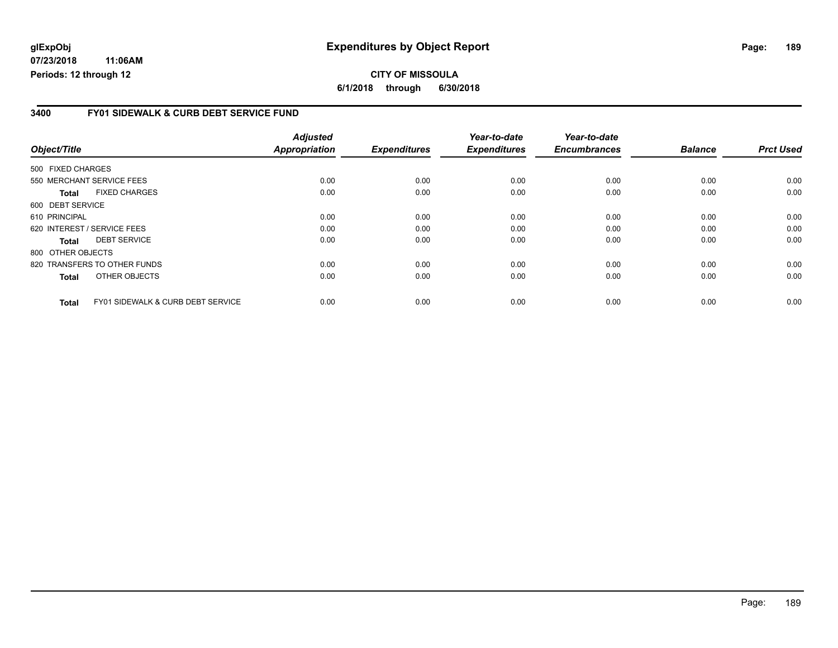**CITY OF MISSOULA 6/1/2018 through 6/30/2018**

#### **3400 FY01 SIDEWALK & CURB DEBT SERVICE FUND**

|                   |                                              | <b>Adjusted</b>      |                     | Year-to-date        | Year-to-date        |                |                  |
|-------------------|----------------------------------------------|----------------------|---------------------|---------------------|---------------------|----------------|------------------|
| Object/Title      |                                              | <b>Appropriation</b> | <b>Expenditures</b> | <b>Expenditures</b> | <b>Encumbrances</b> | <b>Balance</b> | <b>Prct Used</b> |
| 500 FIXED CHARGES |                                              |                      |                     |                     |                     |                |                  |
|                   | 550 MERCHANT SERVICE FEES                    | 0.00                 | 0.00                | 0.00                | 0.00                | 0.00           | 0.00             |
| <b>Total</b>      | <b>FIXED CHARGES</b>                         | 0.00                 | 0.00                | 0.00                | 0.00                | 0.00           | 0.00             |
| 600 DEBT SERVICE  |                                              |                      |                     |                     |                     |                |                  |
| 610 PRINCIPAL     |                                              | 0.00                 | 0.00                | 0.00                | 0.00                | 0.00           | 0.00             |
|                   | 620 INTEREST / SERVICE FEES                  | 0.00                 | 0.00                | 0.00                | 0.00                | 0.00           | 0.00             |
| <b>Total</b>      | <b>DEBT SERVICE</b>                          | 0.00                 | 0.00                | 0.00                | 0.00                | 0.00           | 0.00             |
| 800 OTHER OBJECTS |                                              |                      |                     |                     |                     |                |                  |
|                   | 820 TRANSFERS TO OTHER FUNDS                 | 0.00                 | 0.00                | 0.00                | 0.00                | 0.00           | 0.00             |
| <b>Total</b>      | OTHER OBJECTS                                | 0.00                 | 0.00                | 0.00                | 0.00                | 0.00           | 0.00             |
| <b>Total</b>      | <b>FY01 SIDEWALK &amp; CURB DEBT SERVICE</b> | 0.00                 | 0.00                | 0.00                | 0.00                | 0.00           | 0.00             |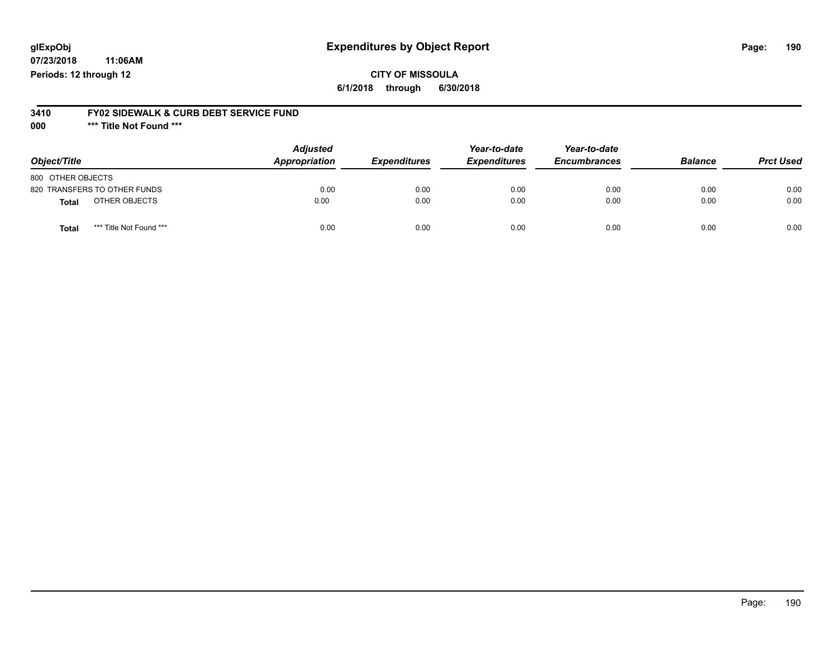## **glExpObj Expenditures by Object Report Page: 190**

**07/23/2018 11:06AM Periods: 12 through 12**

**6/1/2018 through 6/30/2018**

#### **3410 FY02 SIDEWALK & CURB DEBT SERVICE FUND**

**000 \*\*\* Title Not Found \*\*\***

| Object/Title                     | <b>Adjusted</b><br>Appropriation | <b>Expenditures</b> | Year-to-date<br><b>Expenditures</b> | Year-to-date<br><b>Encumbrances</b> | <b>Balance</b> | <b>Prct Used</b> |
|----------------------------------|----------------------------------|---------------------|-------------------------------------|-------------------------------------|----------------|------------------|
| 800 OTHER OBJECTS                |                                  |                     |                                     |                                     |                |                  |
| 820 TRANSFERS TO OTHER FUNDS     | 0.00                             | 0.00                | 0.00                                | 0.00                                | 0.00           | 0.00             |
| OTHER OBJECTS<br><b>Total</b>    | 0.00                             | 0.00                | 0.00                                | 0.00                                | 0.00           | 0.00             |
| *** Title Not Found ***<br>Total | 0.00                             | 0.00                | 0.00                                | 0.00                                | 0.00           | 0.00             |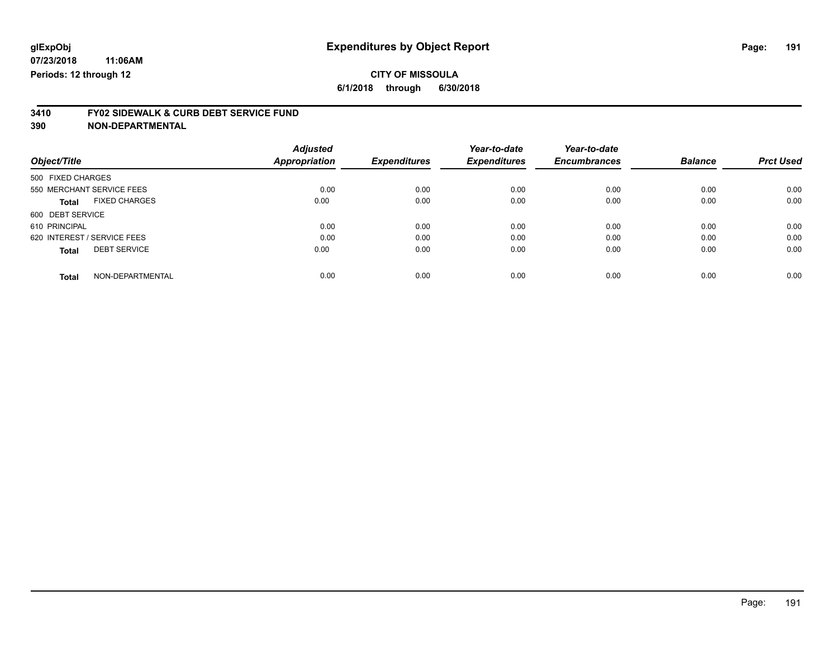### **CITY OF MISSOULA 6/1/2018 through 6/30/2018**

# **3410 FY02 SIDEWALK & CURB DEBT SERVICE FUND**

|                             |                      | <b>Adjusted</b> |                     | Year-to-date        | Year-to-date        |                |                  |
|-----------------------------|----------------------|-----------------|---------------------|---------------------|---------------------|----------------|------------------|
| Object/Title                |                      | Appropriation   | <b>Expenditures</b> | <b>Expenditures</b> | <b>Encumbrances</b> | <b>Balance</b> | <b>Prct Used</b> |
| 500 FIXED CHARGES           |                      |                 |                     |                     |                     |                |                  |
| 550 MERCHANT SERVICE FEES   |                      | 0.00            | 0.00                | 0.00                | 0.00                | 0.00           | 0.00             |
| <b>Total</b>                | <b>FIXED CHARGES</b> | 0.00            | 0.00                | 0.00                | 0.00                | 0.00           | 0.00             |
| 600 DEBT SERVICE            |                      |                 |                     |                     |                     |                |                  |
| 610 PRINCIPAL               |                      | 0.00            | 0.00                | 0.00                | 0.00                | 0.00           | 0.00             |
| 620 INTEREST / SERVICE FEES |                      | 0.00            | 0.00                | 0.00                | 0.00                | 0.00           | 0.00             |
| <b>Total</b>                | <b>DEBT SERVICE</b>  | 0.00            | 0.00                | 0.00                | 0.00                | 0.00           | 0.00             |
| <b>Total</b>                | NON-DEPARTMENTAL     | 0.00            | 0.00                | 0.00                | 0.00                | 0.00           | 0.00             |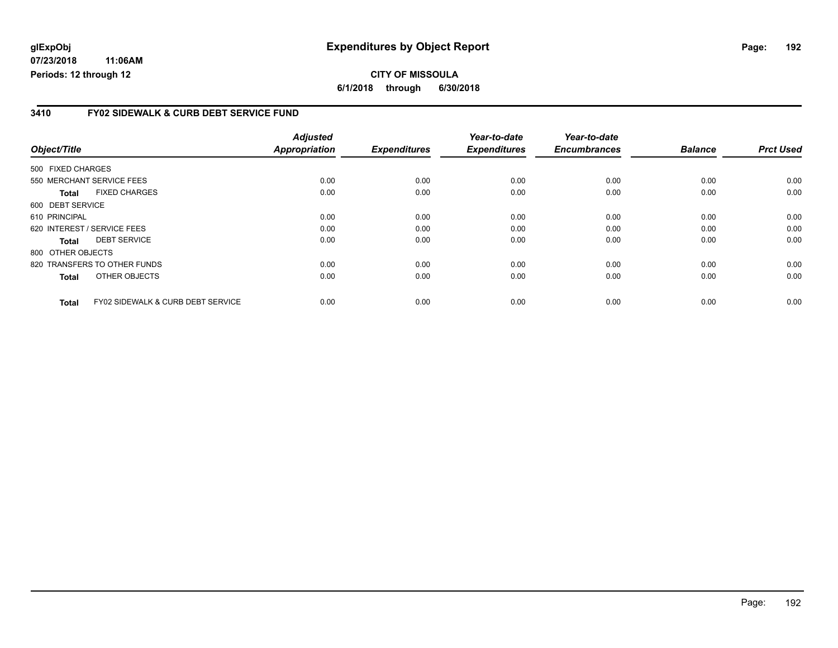**CITY OF MISSOULA 6/1/2018 through 6/30/2018**

#### **3410 FY02 SIDEWALK & CURB DEBT SERVICE FUND**

|                   |                                              | <b>Adjusted</b>      |                     | Year-to-date        | Year-to-date        |                |                  |
|-------------------|----------------------------------------------|----------------------|---------------------|---------------------|---------------------|----------------|------------------|
| Object/Title      |                                              | <b>Appropriation</b> | <b>Expenditures</b> | <b>Expenditures</b> | <b>Encumbrances</b> | <b>Balance</b> | <b>Prct Used</b> |
| 500 FIXED CHARGES |                                              |                      |                     |                     |                     |                |                  |
|                   | 550 MERCHANT SERVICE FEES                    | 0.00                 | 0.00                | 0.00                | 0.00                | 0.00           | 0.00             |
| <b>Total</b>      | <b>FIXED CHARGES</b>                         | 0.00                 | 0.00                | 0.00                | 0.00                | 0.00           | 0.00             |
| 600 DEBT SERVICE  |                                              |                      |                     |                     |                     |                |                  |
| 610 PRINCIPAL     |                                              | 0.00                 | 0.00                | 0.00                | 0.00                | 0.00           | 0.00             |
|                   | 620 INTEREST / SERVICE FEES                  | 0.00                 | 0.00                | 0.00                | 0.00                | 0.00           | 0.00             |
| <b>Total</b>      | <b>DEBT SERVICE</b>                          | 0.00                 | 0.00                | 0.00                | 0.00                | 0.00           | 0.00             |
| 800 OTHER OBJECTS |                                              |                      |                     |                     |                     |                |                  |
|                   | 820 TRANSFERS TO OTHER FUNDS                 | 0.00                 | 0.00                | 0.00                | 0.00                | 0.00           | 0.00             |
| <b>Total</b>      | OTHER OBJECTS                                | 0.00                 | 0.00                | 0.00                | 0.00                | 0.00           | 0.00             |
| <b>Total</b>      | <b>FY02 SIDEWALK &amp; CURB DEBT SERVICE</b> | 0.00                 | 0.00                | 0.00                | 0.00                | 0.00           | 0.00             |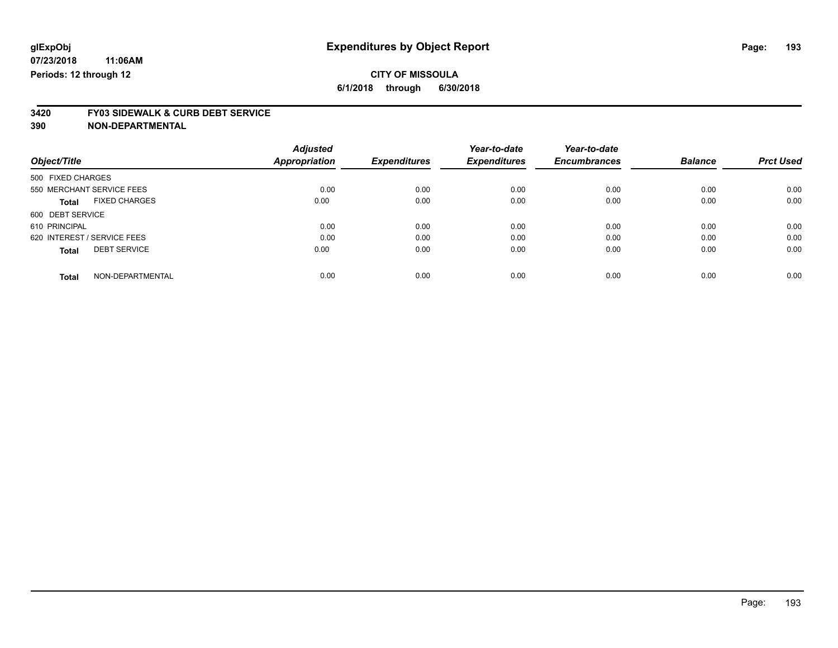# **3420 FY03 SIDEWALK & CURB DEBT SERVICE**

|                                      | <b>Adjusted</b>      | <b>Expenditures</b> | Year-to-date<br><b>Expenditures</b> | Year-to-date<br><b>Encumbrances</b> | <b>Balance</b> | <b>Prct Used</b> |
|--------------------------------------|----------------------|---------------------|-------------------------------------|-------------------------------------|----------------|------------------|
| Object/Title                         | <b>Appropriation</b> |                     |                                     |                                     |                |                  |
| 500 FIXED CHARGES                    |                      |                     |                                     |                                     |                |                  |
| 550 MERCHANT SERVICE FEES            | 0.00                 | 0.00                | 0.00                                | 0.00                                | 0.00           | 0.00             |
| <b>FIXED CHARGES</b><br><b>Total</b> | 0.00                 | 0.00                | 0.00                                | 0.00                                | 0.00           | 0.00             |
| 600 DEBT SERVICE                     |                      |                     |                                     |                                     |                |                  |
| 610 PRINCIPAL                        | 0.00                 | 0.00                | 0.00                                | 0.00                                | 0.00           | 0.00             |
| 620 INTEREST / SERVICE FEES          | 0.00                 | 0.00                | 0.00                                | 0.00                                | 0.00           | 0.00             |
| <b>DEBT SERVICE</b><br><b>Total</b>  | 0.00                 | 0.00                | 0.00                                | 0.00                                | 0.00           | 0.00             |
| NON-DEPARTMENTAL<br><b>Total</b>     | 0.00                 | 0.00                | 0.00                                | 0.00                                | 0.00           | 0.00             |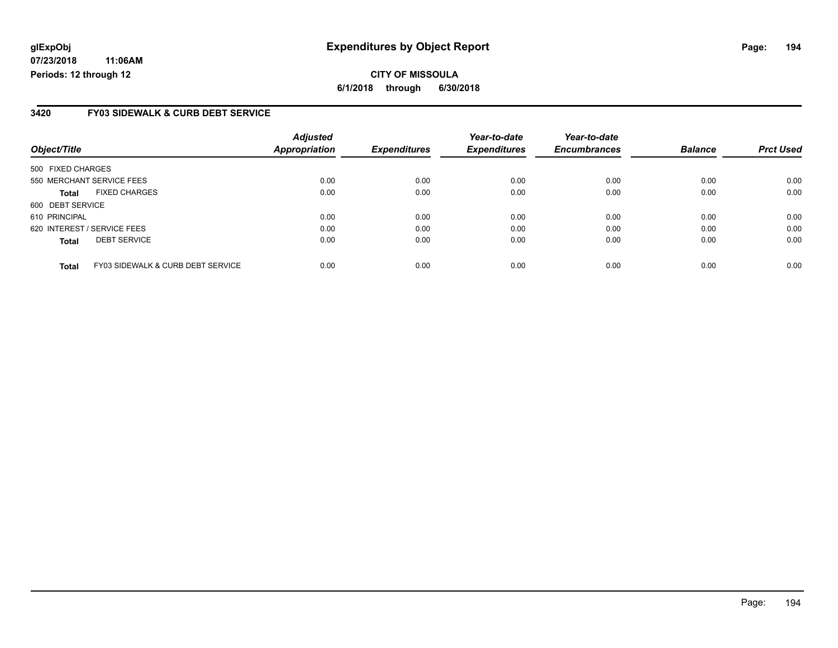## **CITY OF MISSOULA 6/1/2018 through 6/30/2018**

#### **3420 FY03 SIDEWALK & CURB DEBT SERVICE**

| Object/Title                |                                   | <b>Adjusted</b><br><b>Appropriation</b> | <b>Expenditures</b> | Year-to-date<br><b>Expenditures</b> | Year-to-date<br><b>Encumbrances</b> | <b>Balance</b> | <b>Prct Used</b> |
|-----------------------------|-----------------------------------|-----------------------------------------|---------------------|-------------------------------------|-------------------------------------|----------------|------------------|
| 500 FIXED CHARGES           |                                   |                                         |                     |                                     |                                     |                |                  |
| 550 MERCHANT SERVICE FEES   |                                   | 0.00                                    | 0.00                | 0.00                                | 0.00                                | 0.00           | 0.00             |
| <b>Total</b>                | <b>FIXED CHARGES</b>              | 0.00                                    | 0.00                | 0.00                                | 0.00                                | 0.00           | 0.00             |
| 600 DEBT SERVICE            |                                   |                                         |                     |                                     |                                     |                |                  |
| 610 PRINCIPAL               |                                   | 0.00                                    | 0.00                | 0.00                                | 0.00                                | 0.00           | 0.00             |
| 620 INTEREST / SERVICE FEES |                                   | 0.00                                    | 0.00                | 0.00                                | 0.00                                | 0.00           | 0.00             |
| <b>Total</b>                | <b>DEBT SERVICE</b>               | 0.00                                    | 0.00                | 0.00                                | 0.00                                | 0.00           | 0.00             |
| <b>Total</b>                | FY03 SIDEWALK & CURB DEBT SERVICE | 0.00                                    | 0.00                | 0.00                                | 0.00                                | 0.00           | 0.00             |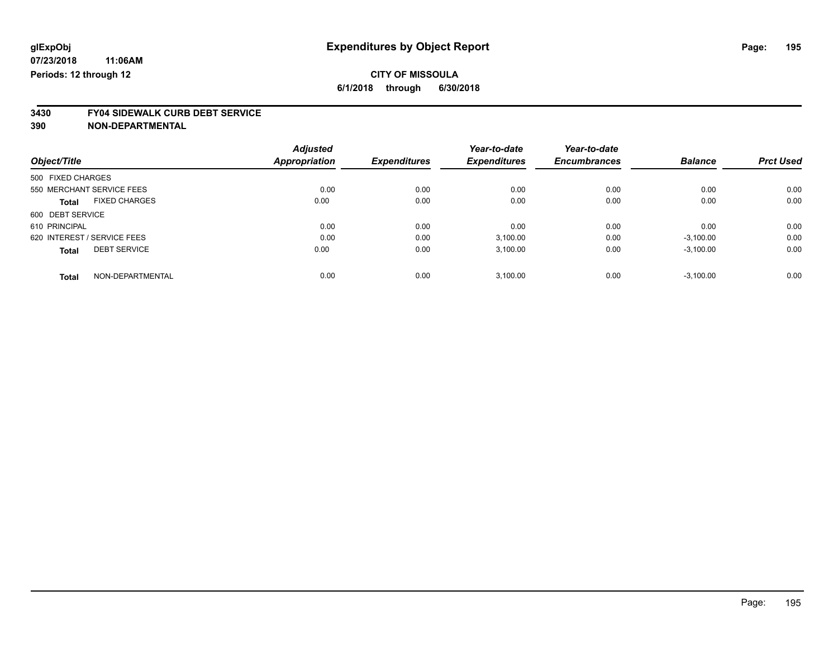# **3430 FY04 SIDEWALK CURB DEBT SERVICE**

|                                      | <b>Adjusted</b><br><b>Appropriation</b> | <b>Expenditures</b> | Year-to-date<br><b>Expenditures</b> | Year-to-date<br><b>Encumbrances</b> | <b>Balance</b> | <b>Prct Used</b> |
|--------------------------------------|-----------------------------------------|---------------------|-------------------------------------|-------------------------------------|----------------|------------------|
| Object/Title                         |                                         |                     |                                     |                                     |                |                  |
| 500 FIXED CHARGES                    |                                         |                     |                                     |                                     |                |                  |
| 550 MERCHANT SERVICE FEES            | 0.00                                    | 0.00                | 0.00                                | 0.00                                | 0.00           | 0.00             |
| <b>FIXED CHARGES</b><br><b>Total</b> | 0.00                                    | 0.00                | 0.00                                | 0.00                                | 0.00           | 0.00             |
| 600 DEBT SERVICE                     |                                         |                     |                                     |                                     |                |                  |
| 610 PRINCIPAL                        | 0.00                                    | 0.00                | 0.00                                | 0.00                                | 0.00           | 0.00             |
| 620 INTEREST / SERVICE FEES          | 0.00                                    | 0.00                | 3,100.00                            | 0.00                                | $-3,100.00$    | 0.00             |
| <b>DEBT SERVICE</b><br><b>Total</b>  | 0.00                                    | 0.00                | 3,100.00                            | 0.00                                | $-3,100.00$    | 0.00             |
| NON-DEPARTMENTAL<br><b>Total</b>     | 0.00                                    | 0.00                | 3.100.00                            | 0.00                                | $-3.100.00$    | 0.00             |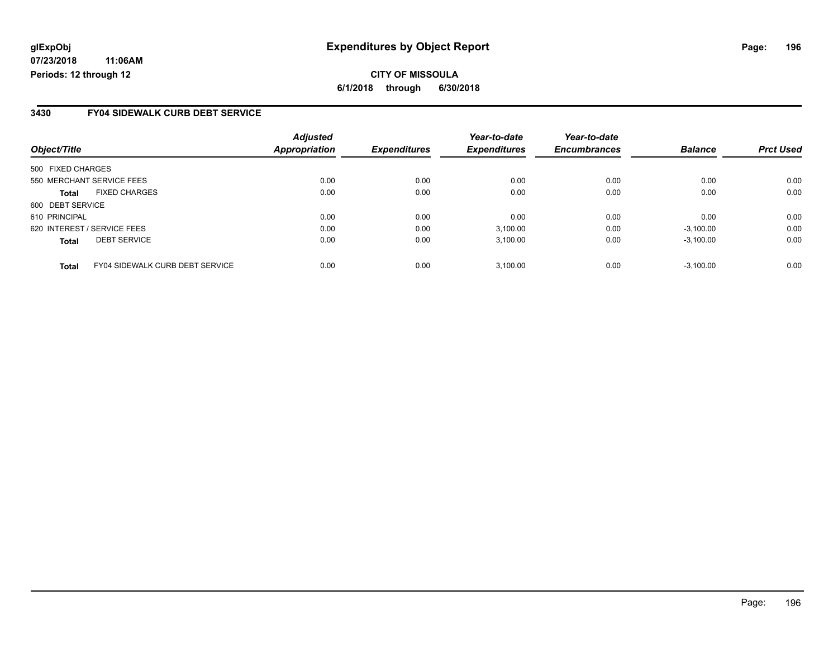## **CITY OF MISSOULA 6/1/2018 through 6/30/2018**

### **3430 FY04 SIDEWALK CURB DEBT SERVICE**

|                                                        | <b>Adjusted</b> | <b>Expenditures</b> | Year-to-date<br><b>Expenditures</b> | Year-to-date        | <b>Balance</b> |                  |
|--------------------------------------------------------|-----------------|---------------------|-------------------------------------|---------------------|----------------|------------------|
| Object/Title                                           | Appropriation   |                     |                                     | <b>Encumbrances</b> |                | <b>Prct Used</b> |
| 500 FIXED CHARGES                                      |                 |                     |                                     |                     |                |                  |
| 550 MERCHANT SERVICE FEES                              | 0.00            | 0.00                | 0.00                                | 0.00                | 0.00           | 0.00             |
| <b>FIXED CHARGES</b><br><b>Total</b>                   | 0.00            | 0.00                | 0.00                                | 0.00                | 0.00           | 0.00             |
| 600 DEBT SERVICE                                       |                 |                     |                                     |                     |                |                  |
| 610 PRINCIPAL                                          | 0.00            | 0.00                | 0.00                                | 0.00                | 0.00           | 0.00             |
| 620 INTEREST / SERVICE FEES                            | 0.00            | 0.00                | 3.100.00                            | 0.00                | $-3.100.00$    | 0.00             |
| <b>DEBT SERVICE</b><br><b>Total</b>                    | 0.00            | 0.00                | 3,100.00                            | 0.00                | $-3,100.00$    | 0.00             |
| <b>FY04 SIDEWALK CURB DEBT SERVICE</b><br><b>Total</b> | 0.00            | 0.00                | 3,100.00                            | 0.00                | $-3.100.00$    | 0.00             |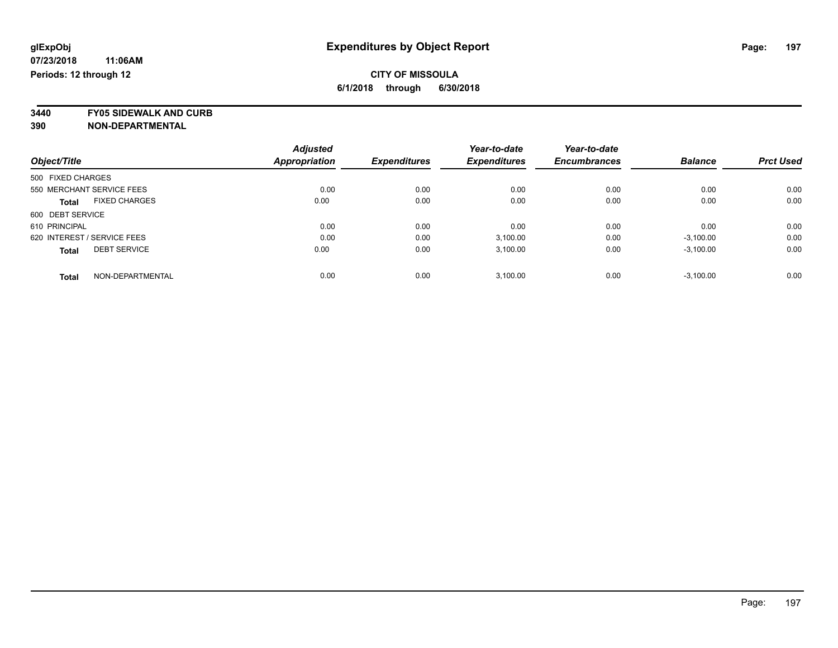**3440 FY05 SIDEWALK AND CURB**

|                                      | <b>Adjusted</b> | <b>Expenditures</b> | Year-to-date<br><b>Expenditures</b> | Year-to-date        | <b>Balance</b> | <b>Prct Used</b> |
|--------------------------------------|-----------------|---------------------|-------------------------------------|---------------------|----------------|------------------|
| Object/Title                         | Appropriation   |                     |                                     | <b>Encumbrances</b> |                |                  |
| 500 FIXED CHARGES                    |                 |                     |                                     |                     |                |                  |
| 550 MERCHANT SERVICE FEES            | 0.00            | 0.00                | 0.00                                | 0.00                | 0.00           | 0.00             |
| <b>FIXED CHARGES</b><br><b>Total</b> | 0.00            | 0.00                | 0.00                                | 0.00                | 0.00           | 0.00             |
| 600 DEBT SERVICE                     |                 |                     |                                     |                     |                |                  |
| 610 PRINCIPAL                        | 0.00            | 0.00                | 0.00                                | 0.00                | 0.00           | 0.00             |
| 620 INTEREST / SERVICE FEES          | 0.00            | 0.00                | 3,100.00                            | 0.00                | $-3,100.00$    | 0.00             |
| <b>DEBT SERVICE</b><br><b>Total</b>  | 0.00            | 0.00                | 3,100.00                            | 0.00                | $-3,100.00$    | 0.00             |
| NON-DEPARTMENTAL<br><b>Total</b>     | 0.00            | 0.00                | 3.100.00                            | 0.00                | $-3.100.00$    | 0.00             |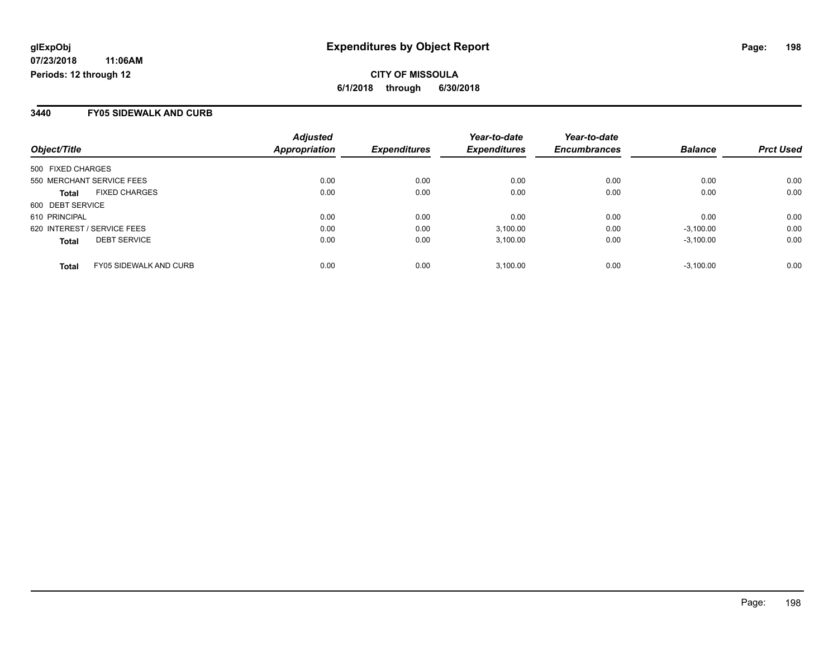**CITY OF MISSOULA 6/1/2018 through 6/30/2018**

#### **3440 FY05 SIDEWALK AND CURB**

| Object/Title                                  | <b>Adjusted</b><br><b>Appropriation</b> | <b>Expenditures</b> | Year-to-date<br><b>Expenditures</b> | Year-to-date<br><b>Encumbrances</b> | <b>Balance</b> | <b>Prct Used</b> |
|-----------------------------------------------|-----------------------------------------|---------------------|-------------------------------------|-------------------------------------|----------------|------------------|
| 500 FIXED CHARGES                             |                                         |                     |                                     |                                     |                |                  |
| 550 MERCHANT SERVICE FEES                     | 0.00                                    | 0.00                | 0.00                                | 0.00                                | 0.00           | 0.00             |
| <b>FIXED CHARGES</b><br><b>Total</b>          | 0.00                                    | 0.00                | 0.00                                | 0.00                                | 0.00           | 0.00             |
| 600 DEBT SERVICE                              |                                         |                     |                                     |                                     |                |                  |
| 610 PRINCIPAL                                 | 0.00                                    | 0.00                | 0.00                                | 0.00                                | 0.00           | 0.00             |
| 620 INTEREST / SERVICE FEES                   | 0.00                                    | 0.00                | 3.100.00                            | 0.00                                | $-3,100.00$    | 0.00             |
| <b>DEBT SERVICE</b><br><b>Total</b>           | 0.00                                    | 0.00                | 3.100.00                            | 0.00                                | $-3,100.00$    | 0.00             |
| <b>FY05 SIDEWALK AND CURB</b><br><b>Total</b> | 0.00                                    | 0.00                | 3.100.00                            | 0.00                                | $-3.100.00$    | 0.00             |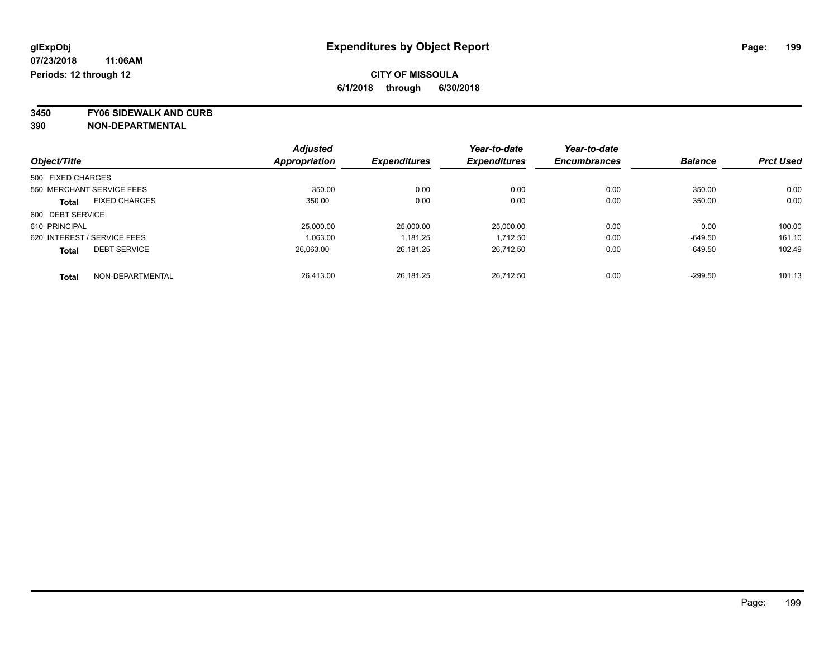**3450 FY06 SIDEWALK AND CURB**

| Object/Title                         |  | <b>Adjusted</b><br>Appropriation | <b>Expenditures</b> | Year-to-date<br><b>Expenditures</b> | Year-to-date<br><b>Encumbrances</b> | <b>Balance</b> | <b>Prct Used</b> |
|--------------------------------------|--|----------------------------------|---------------------|-------------------------------------|-------------------------------------|----------------|------------------|
|                                      |  |                                  |                     |                                     |                                     |                |                  |
| 550 MERCHANT SERVICE FEES            |  | 350.00                           | 0.00                | 0.00                                | 0.00                                | 350.00         | 0.00             |
| <b>FIXED CHARGES</b><br><b>Total</b> |  | 350.00                           | 0.00                | 0.00                                | 0.00                                | 350.00         | 0.00             |
| 600 DEBT SERVICE                     |  |                                  |                     |                                     |                                     |                |                  |
| 610 PRINCIPAL                        |  | 25,000.00                        | 25,000.00           | 25,000.00                           | 0.00                                | 0.00           | 100.00           |
| 620 INTEREST / SERVICE FEES          |  | 1,063.00                         | 1,181.25            | 1.712.50                            | 0.00                                | $-649.50$      | 161.10           |
| <b>DEBT SERVICE</b><br><b>Total</b>  |  | 26,063.00                        | 26,181.25           | 26.712.50                           | 0.00                                | $-649.50$      | 102.49           |
| NON-DEPARTMENTAL<br><b>Total</b>     |  | 26.413.00                        | 26.181.25           | 26.712.50                           | 0.00                                | $-299.50$      | 101.13           |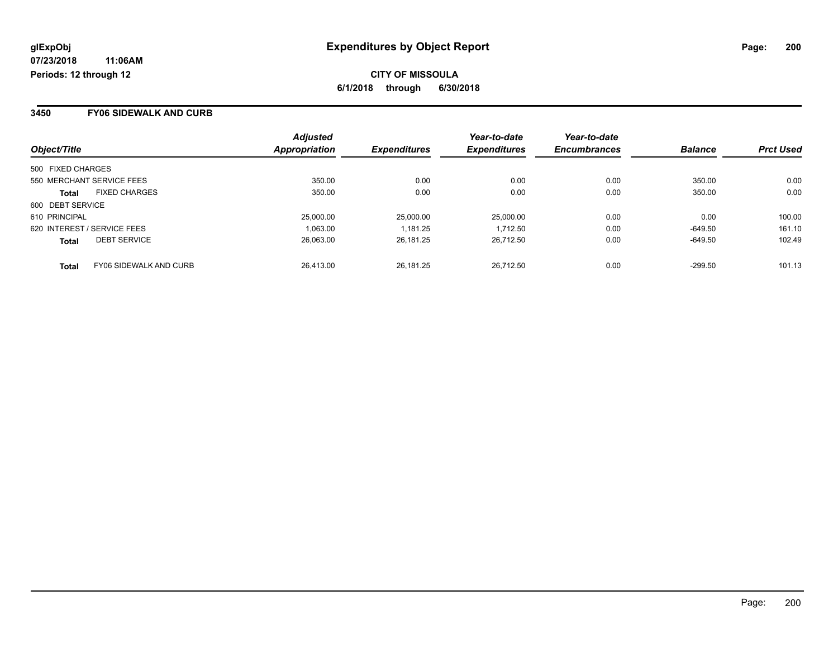#### **3450 FY06 SIDEWALK AND CURB**

| Object/Title                         |                               | <b>Adjusted</b>      | <b>Expenditures</b> | Year-to-date<br><b>Expenditures</b> | Year-to-date<br><b>Encumbrances</b> |                | <b>Prct Used</b> |
|--------------------------------------|-------------------------------|----------------------|---------------------|-------------------------------------|-------------------------------------|----------------|------------------|
|                                      |                               | <b>Appropriation</b> |                     |                                     |                                     | <b>Balance</b> |                  |
| 500 FIXED CHARGES                    |                               |                      |                     |                                     |                                     |                |                  |
| 550 MERCHANT SERVICE FEES            |                               | 350.00               | 0.00                | 0.00                                | 0.00                                | 350.00         | 0.00             |
| <b>FIXED CHARGES</b><br><b>Total</b> |                               | 350.00               | 0.00                | 0.00                                | 0.00                                | 350.00         | 0.00             |
| 600 DEBT SERVICE                     |                               |                      |                     |                                     |                                     |                |                  |
| 610 PRINCIPAL                        |                               | 25,000.00            | 25,000.00           | 25.000.00                           | 0.00                                | 0.00           | 100.00           |
| 620 INTEREST / SERVICE FEES          |                               | 1.063.00             | 1.181.25            | 1.712.50                            | 0.00                                | $-649.50$      | 161.10           |
| <b>DEBT SERVICE</b><br><b>Total</b>  |                               | 26.063.00            | 26.181.25           | 26.712.50                           | 0.00                                | $-649.50$      | 102.49           |
| <b>Total</b>                         | <b>FY06 SIDEWALK AND CURB</b> | 26.413.00            | 26.181.25           | 26.712.50                           | 0.00                                | $-299.50$      | 101.13           |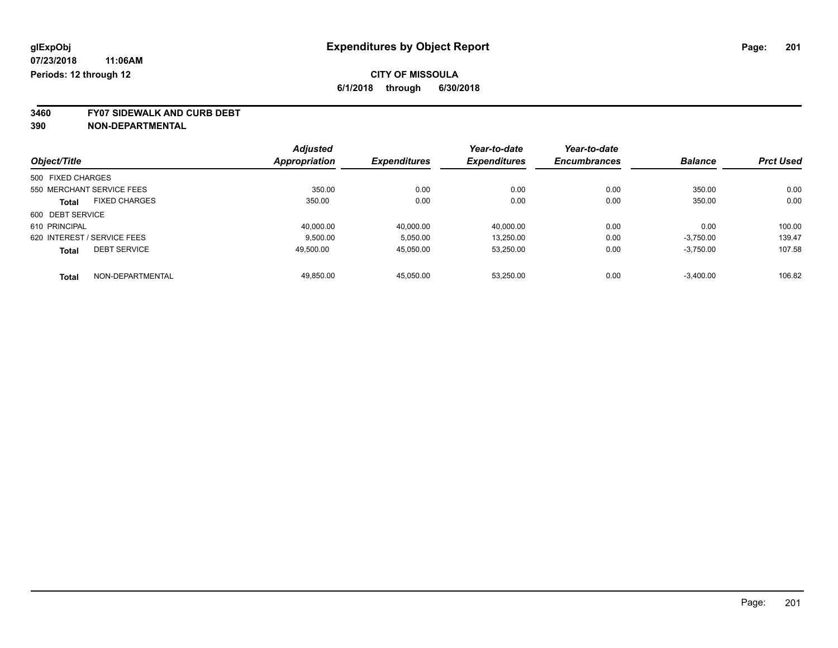**3460 FY07 SIDEWALK AND CURB DEBT**

|                             |                      | <b>Adjusted</b>     | <b>Expenditures</b> | Year-to-date<br><b>Expenditures</b> | Year-to-date | <b>Balance</b> | <b>Prct Used</b> |
|-----------------------------|----------------------|---------------------|---------------------|-------------------------------------|--------------|----------------|------------------|
| Object/Title                | Appropriation        | <b>Encumbrances</b> |                     |                                     |              |                |                  |
| 500 FIXED CHARGES           |                      |                     |                     |                                     |              |                |                  |
| 550 MERCHANT SERVICE FEES   |                      | 350.00              | 0.00                | 0.00                                | 0.00         | 350.00         | 0.00             |
| <b>Total</b>                | <b>FIXED CHARGES</b> | 350.00              | 0.00                | 0.00                                | 0.00         | 350.00         | 0.00             |
| 600 DEBT SERVICE            |                      |                     |                     |                                     |              |                |                  |
| 610 PRINCIPAL               |                      | 40,000.00           | 40,000.00           | 40,000.00                           | 0.00         | 0.00           | 100.00           |
| 620 INTEREST / SERVICE FEES |                      | 9.500.00            | 5.050.00            | 13.250.00                           | 0.00         | $-3.750.00$    | 139.47           |
| <b>Total</b>                | <b>DEBT SERVICE</b>  | 49.500.00           | 45.050.00           | 53,250.00                           | 0.00         | $-3,750.00$    | 107.58           |
| <b>Total</b>                | NON-DEPARTMENTAL     | 49.850.00           | 45.050.00           | 53.250.00                           | 0.00         | $-3.400.00$    | 106.82           |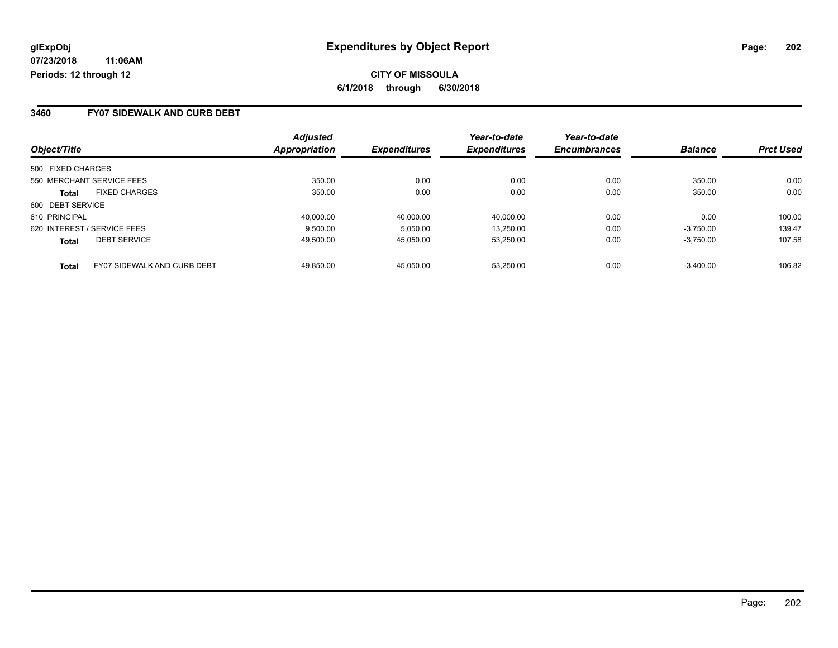#### **3460 FY07 SIDEWALK AND CURB DEBT**

|                                                    | <b>Adjusted</b> | <b>Expenditures</b> | Year-to-date<br><b>Expenditures</b> | Year-to-date<br><b>Encumbrances</b> | <b>Balance</b> | <b>Prct Used</b> |
|----------------------------------------------------|-----------------|---------------------|-------------------------------------|-------------------------------------|----------------|------------------|
| Object/Title                                       | Appropriation   |                     |                                     |                                     |                |                  |
| 500 FIXED CHARGES                                  |                 |                     |                                     |                                     |                |                  |
| 550 MERCHANT SERVICE FEES                          | 350.00          | 0.00                | 0.00                                | 0.00                                | 350.00         | 0.00             |
| <b>FIXED CHARGES</b><br>Total                      | 350.00          | 0.00                | 0.00                                | 0.00                                | 350.00         | 0.00             |
| 600 DEBT SERVICE                                   |                 |                     |                                     |                                     |                |                  |
| 610 PRINCIPAL                                      | 40,000.00       | 40.000.00           | 40.000.00                           | 0.00                                | 0.00           | 100.00           |
| 620 INTEREST / SERVICE FEES                        | 9.500.00        | 5,050.00            | 13,250.00                           | 0.00                                | $-3.750.00$    | 139.47           |
| <b>DEBT SERVICE</b><br><b>Total</b>                | 49.500.00       | 45.050.00           | 53,250.00                           | 0.00                                | $-3.750.00$    | 107.58           |
| <b>FY07 SIDEWALK AND CURB DEBT</b><br><b>Total</b> | 49.850.00       | 45.050.00           | 53.250.00                           | 0.00                                | $-3.400.00$    | 106.82           |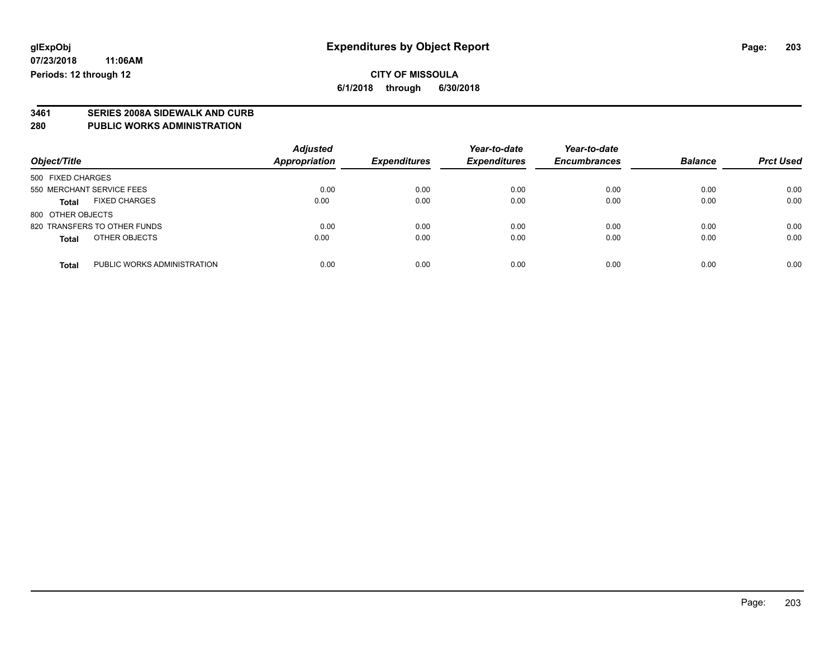## **CITY OF MISSOULA 6/1/2018 through 6/30/2018**

# **3461 SERIES 2008A SIDEWALK AND CURB**

#### **280 PUBLIC WORKS ADMINISTRATION**

| Object/Title                                | <b>Adjusted</b><br><b>Appropriation</b> | <b>Expenditures</b> | Year-to-date<br><b>Expenditures</b> | Year-to-date<br><b>Encumbrances</b> | <b>Balance</b> | <b>Prct Used</b> |
|---------------------------------------------|-----------------------------------------|---------------------|-------------------------------------|-------------------------------------|----------------|------------------|
| 500 FIXED CHARGES                           |                                         |                     |                                     |                                     |                |                  |
| 550 MERCHANT SERVICE FEES                   | 0.00                                    | 0.00                | 0.00                                | 0.00                                | 0.00           | 0.00             |
| <b>FIXED CHARGES</b><br><b>Total</b>        | 0.00                                    | 0.00                | 0.00                                | 0.00                                | 0.00           | 0.00             |
| 800 OTHER OBJECTS                           |                                         |                     |                                     |                                     |                |                  |
| 820 TRANSFERS TO OTHER FUNDS                | 0.00                                    | 0.00                | 0.00                                | 0.00                                | 0.00           | 0.00             |
| OTHER OBJECTS<br><b>Total</b>               | 0.00                                    | 0.00                | 0.00                                | 0.00                                | 0.00           | 0.00             |
| PUBLIC WORKS ADMINISTRATION<br><b>Total</b> | 0.00                                    | 0.00                | 0.00                                | 0.00                                | 0.00           | 0.00             |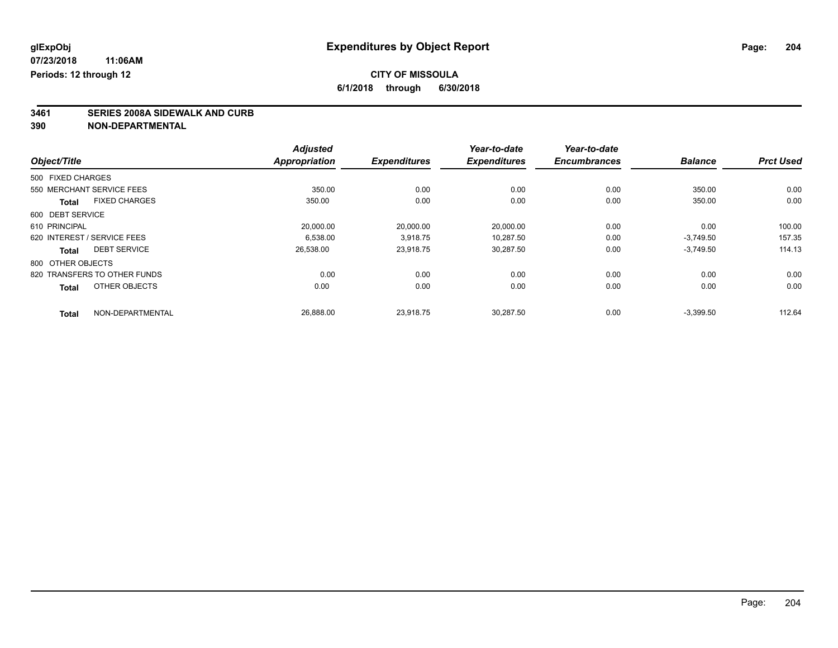## **3461 SERIES 2008A SIDEWALK AND CURB**

|                                      | <b>Adjusted</b>      |                     | Year-to-date<br><b>Expenditures</b> | Year-to-date<br><b>Encumbrances</b> |                |                  |
|--------------------------------------|----------------------|---------------------|-------------------------------------|-------------------------------------|----------------|------------------|
| Object/Title                         | <b>Appropriation</b> | <b>Expenditures</b> |                                     |                                     | <b>Balance</b> | <b>Prct Used</b> |
| 500 FIXED CHARGES                    |                      |                     |                                     |                                     |                |                  |
| 550 MERCHANT SERVICE FEES            | 350.00               | 0.00                | 0.00                                | 0.00                                | 350.00         | 0.00             |
| <b>FIXED CHARGES</b><br><b>Total</b> | 350.00               | 0.00                | 0.00                                | 0.00                                | 350.00         | 0.00             |
| 600 DEBT SERVICE                     |                      |                     |                                     |                                     |                |                  |
| 610 PRINCIPAL                        | 20,000.00            | 20,000.00           | 20,000.00                           | 0.00                                | 0.00           | 100.00           |
| 620 INTEREST / SERVICE FEES          | 6.538.00             | 3,918.75            | 10,287.50                           | 0.00                                | $-3.749.50$    | 157.35           |
| <b>DEBT SERVICE</b><br><b>Total</b>  | 26,538.00            | 23,918.75           | 30,287.50                           | 0.00                                | $-3,749.50$    | 114.13           |
| 800 OTHER OBJECTS                    |                      |                     |                                     |                                     |                |                  |
| 820 TRANSFERS TO OTHER FUNDS         | 0.00                 | 0.00                | 0.00                                | 0.00                                | 0.00           | 0.00             |
| OTHER OBJECTS<br><b>Total</b>        | 0.00                 | 0.00                | 0.00                                | 0.00                                | 0.00           | 0.00             |
| NON-DEPARTMENTAL<br><b>Total</b>     | 26,888.00            | 23,918.75           | 30,287.50                           | 0.00                                | $-3,399.50$    | 112.64           |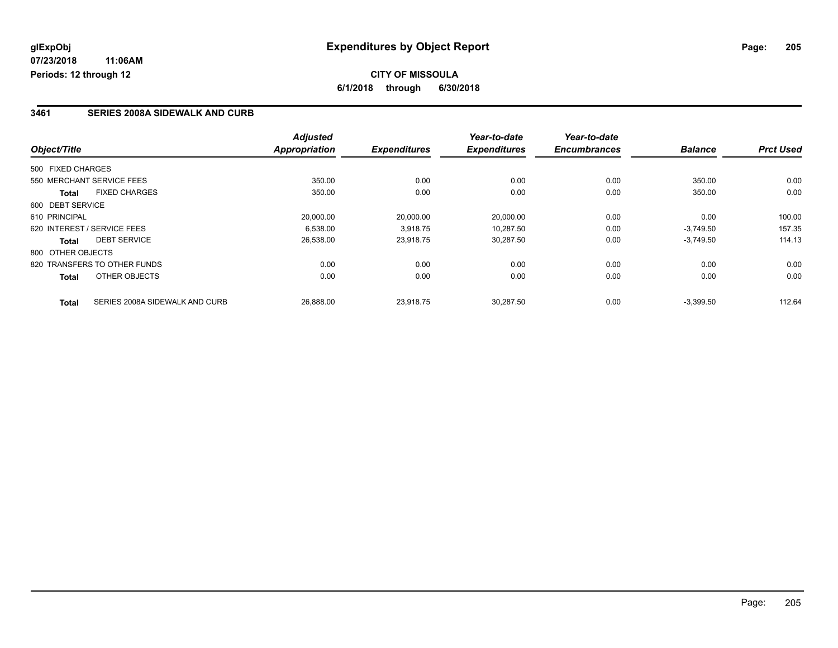## **CITY OF MISSOULA 6/1/2018 through 6/30/2018**

### **3461 SERIES 2008A SIDEWALK AND CURB**

|                   |                                | <b>Adjusted</b> |                     | Year-to-date        | Year-to-date        |                |                  |
|-------------------|--------------------------------|-----------------|---------------------|---------------------|---------------------|----------------|------------------|
| Object/Title      |                                | Appropriation   | <b>Expenditures</b> | <b>Expenditures</b> | <b>Encumbrances</b> | <b>Balance</b> | <b>Prct Used</b> |
| 500 FIXED CHARGES |                                |                 |                     |                     |                     |                |                  |
|                   | 550 MERCHANT SERVICE FEES      | 350.00          | 0.00                | 0.00                | 0.00                | 350.00         | 0.00             |
| <b>Total</b>      | <b>FIXED CHARGES</b>           | 350.00          | 0.00                | 0.00                | 0.00                | 350.00         | 0.00             |
| 600 DEBT SERVICE  |                                |                 |                     |                     |                     |                |                  |
| 610 PRINCIPAL     |                                | 20,000.00       | 20,000.00           | 20,000.00           | 0.00                | 0.00           | 100.00           |
|                   | 620 INTEREST / SERVICE FEES    | 6,538.00        | 3,918.75            | 10,287.50           | 0.00                | $-3.749.50$    | 157.35           |
| <b>Total</b>      | <b>DEBT SERVICE</b>            | 26,538.00       | 23,918.75           | 30,287.50           | 0.00                | $-3.749.50$    | 114.13           |
| 800 OTHER OBJECTS |                                |                 |                     |                     |                     |                |                  |
|                   | 820 TRANSFERS TO OTHER FUNDS   | 0.00            | 0.00                | 0.00                | 0.00                | 0.00           | 0.00             |
| Total             | OTHER OBJECTS                  | 0.00            | 0.00                | 0.00                | 0.00                | 0.00           | 0.00             |
| <b>Total</b>      | SERIES 2008A SIDEWALK AND CURB | 26,888.00       | 23.918.75           | 30.287.50           | 0.00                | $-3,399.50$    | 112.64           |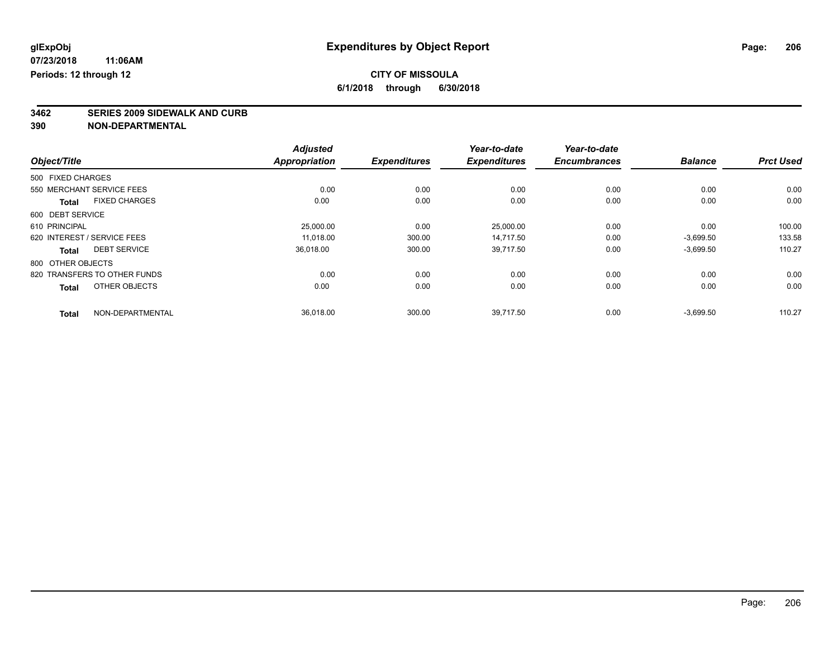## **3462 SERIES 2009 SIDEWALK AND CURB**

|                                      | <b>Adjusted</b>      |                     | Year-to-date        | Year-to-date        |                |                  |
|--------------------------------------|----------------------|---------------------|---------------------|---------------------|----------------|------------------|
| Object/Title                         | <b>Appropriation</b> | <b>Expenditures</b> | <b>Expenditures</b> | <b>Encumbrances</b> | <b>Balance</b> | <b>Prct Used</b> |
| 500 FIXED CHARGES                    |                      |                     |                     |                     |                |                  |
| 550 MERCHANT SERVICE FEES            | 0.00                 | 0.00                | 0.00                | 0.00                | 0.00           | 0.00             |
| <b>FIXED CHARGES</b><br><b>Total</b> | 0.00                 | 0.00                | 0.00                | 0.00                | 0.00           | 0.00             |
| 600 DEBT SERVICE                     |                      |                     |                     |                     |                |                  |
| 610 PRINCIPAL                        | 25,000.00            | 0.00                | 25,000.00           | 0.00                | 0.00           | 100.00           |
| 620 INTEREST / SERVICE FEES          | 11,018.00            | 300.00              | 14.717.50           | 0.00                | $-3,699.50$    | 133.58           |
| <b>DEBT SERVICE</b><br><b>Total</b>  | 36,018.00            | 300.00              | 39,717.50           | 0.00                | $-3,699.50$    | 110.27           |
| 800 OTHER OBJECTS                    |                      |                     |                     |                     |                |                  |
| 820 TRANSFERS TO OTHER FUNDS         | 0.00                 | 0.00                | 0.00                | 0.00                | 0.00           | 0.00             |
| OTHER OBJECTS<br><b>Total</b>        | 0.00                 | 0.00                | 0.00                | 0.00                | 0.00           | 0.00             |
| NON-DEPARTMENTAL<br><b>Total</b>     | 36,018.00            | 300.00              | 39,717.50           | 0.00                | $-3,699.50$    | 110.27           |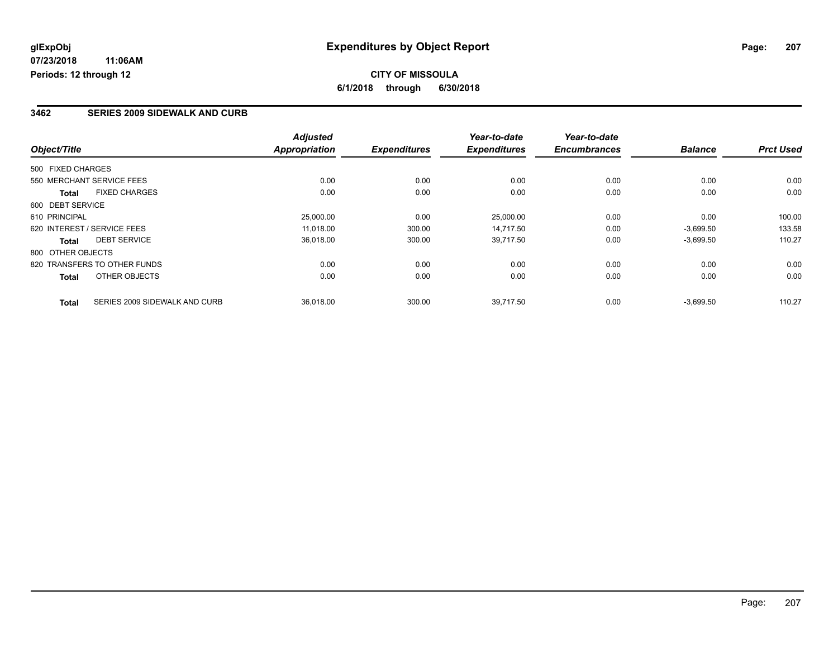## **CITY OF MISSOULA 6/1/2018 through 6/30/2018**

### **3462 SERIES 2009 SIDEWALK AND CURB**

|                   |                               | <b>Adjusted</b> |                     | Year-to-date        | Year-to-date        |                |                  |
|-------------------|-------------------------------|-----------------|---------------------|---------------------|---------------------|----------------|------------------|
| Object/Title      |                               | Appropriation   | <b>Expenditures</b> | <b>Expenditures</b> | <b>Encumbrances</b> | <b>Balance</b> | <b>Prct Used</b> |
| 500 FIXED CHARGES |                               |                 |                     |                     |                     |                |                  |
|                   | 550 MERCHANT SERVICE FEES     | 0.00            | 0.00                | 0.00                | 0.00                | 0.00           | 0.00             |
| <b>Total</b>      | <b>FIXED CHARGES</b>          | 0.00            | 0.00                | 0.00                | 0.00                | 0.00           | 0.00             |
| 600 DEBT SERVICE  |                               |                 |                     |                     |                     |                |                  |
| 610 PRINCIPAL     |                               | 25.000.00       | 0.00                | 25.000.00           | 0.00                | 0.00           | 100.00           |
|                   | 620 INTEREST / SERVICE FEES   | 11,018.00       | 300.00              | 14,717.50           | 0.00                | $-3,699.50$    | 133.58           |
| <b>Total</b>      | <b>DEBT SERVICE</b>           | 36,018.00       | 300.00              | 39,717.50           | 0.00                | $-3,699.50$    | 110.27           |
| 800 OTHER OBJECTS |                               |                 |                     |                     |                     |                |                  |
|                   | 820 TRANSFERS TO OTHER FUNDS  | 0.00            | 0.00                | 0.00                | 0.00                | 0.00           | 0.00             |
| <b>Total</b>      | OTHER OBJECTS                 | 0.00            | 0.00                | 0.00                | 0.00                | 0.00           | 0.00             |
| <b>Total</b>      | SERIES 2009 SIDEWALK AND CURB | 36,018.00       | 300.00              | 39,717.50           | 0.00                | $-3,699.50$    | 110.27           |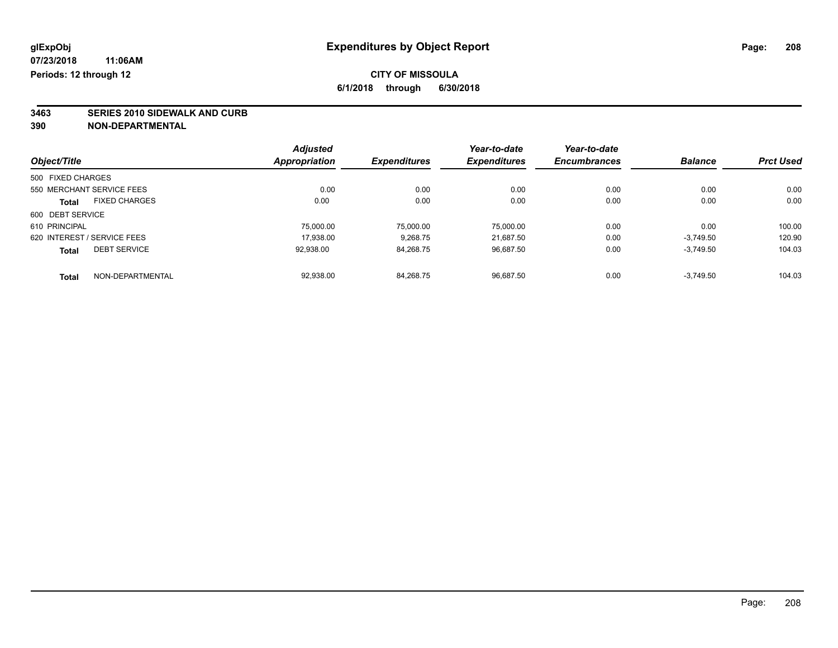# **3463 SERIES 2010 SIDEWALK AND CURB**

|                             |                      | <b>Adjusted</b> |                     | Year-to-date        | Year-to-date        |                |                  |
|-----------------------------|----------------------|-----------------|---------------------|---------------------|---------------------|----------------|------------------|
| Object/Title                |                      | Appropriation   | <b>Expenditures</b> | <b>Expenditures</b> | <b>Encumbrances</b> | <b>Balance</b> | <b>Prct Used</b> |
| 500 FIXED CHARGES           |                      |                 |                     |                     |                     |                |                  |
| 550 MERCHANT SERVICE FEES   |                      | 0.00            | 0.00                | 0.00                | 0.00                | 0.00           | 0.00             |
| <b>Total</b>                | <b>FIXED CHARGES</b> | 0.00            | 0.00                | 0.00                | 0.00                | 0.00           | 0.00             |
| 600 DEBT SERVICE            |                      |                 |                     |                     |                     |                |                  |
| 610 PRINCIPAL               |                      | 75.000.00       | 75.000.00           | 75,000.00           | 0.00                | 0.00           | 100.00           |
| 620 INTEREST / SERVICE FEES |                      | 17.938.00       | 9,268.75            | 21.687.50           | 0.00                | $-3.749.50$    | 120.90           |
| <b>Total</b>                | <b>DEBT SERVICE</b>  | 92.938.00       | 84.268.75           | 96.687.50           | 0.00                | $-3.749.50$    | 104.03           |
| <b>Total</b>                | NON-DEPARTMENTAL     | 92.938.00       | 84.268.75           | 96.687.50           | 0.00                | $-3.749.50$    | 104.03           |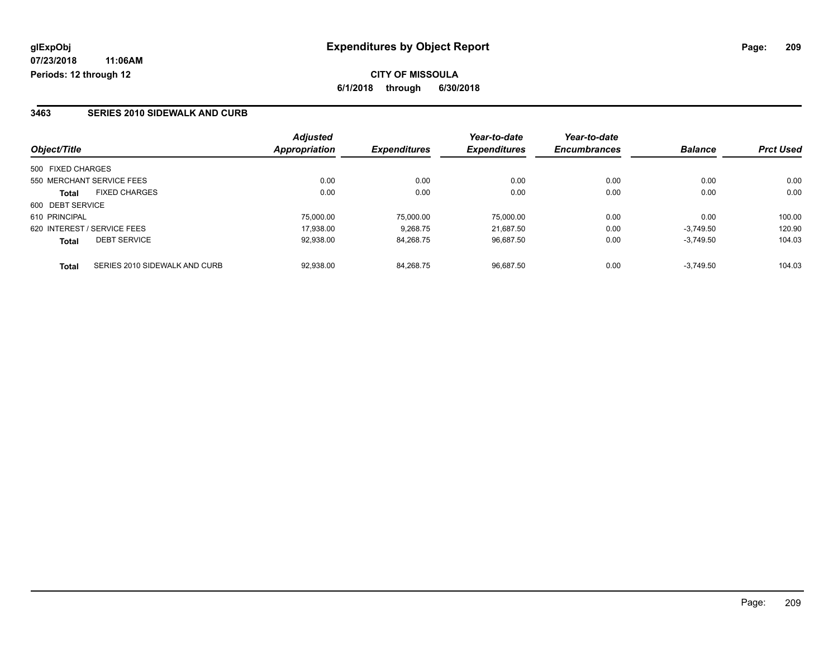**CITY OF MISSOULA 6/1/2018 through 6/30/2018**

#### **3463 SERIES 2010 SIDEWALK AND CURB**

|                             |                               | <b>Adjusted</b>      |                     | Year-to-date        | Year-to-date<br><b>Encumbrances</b> | <b>Balance</b> | <b>Prct Used</b> |
|-----------------------------|-------------------------------|----------------------|---------------------|---------------------|-------------------------------------|----------------|------------------|
| Object/Title                |                               | <b>Appropriation</b> | <b>Expenditures</b> | <b>Expenditures</b> |                                     |                |                  |
| 500 FIXED CHARGES           |                               |                      |                     |                     |                                     |                |                  |
|                             | 550 MERCHANT SERVICE FEES     | 0.00                 | 0.00                | 0.00                | 0.00                                | 0.00           | 0.00             |
| <b>Total</b>                | <b>FIXED CHARGES</b>          | 0.00                 | 0.00                | 0.00                | 0.00                                | 0.00           | 0.00             |
| 600 DEBT SERVICE            |                               |                      |                     |                     |                                     |                |                  |
| 610 PRINCIPAL               |                               | 75,000.00            | 75.000.00           | 75.000.00           | 0.00                                | 0.00           | 100.00           |
| 620 INTEREST / SERVICE FEES |                               | 17.938.00            | 9.268.75            | 21.687.50           | 0.00                                | $-3.749.50$    | 120.90           |
| <b>Total</b>                | <b>DEBT SERVICE</b>           | 92.938.00            | 84,268.75           | 96.687.50           | 0.00                                | $-3.749.50$    | 104.03           |
| <b>Total</b>                | SERIES 2010 SIDEWALK AND CURB | 92.938.00            | 84.268.75           | 96.687.50           | 0.00                                | $-3.749.50$    | 104.03           |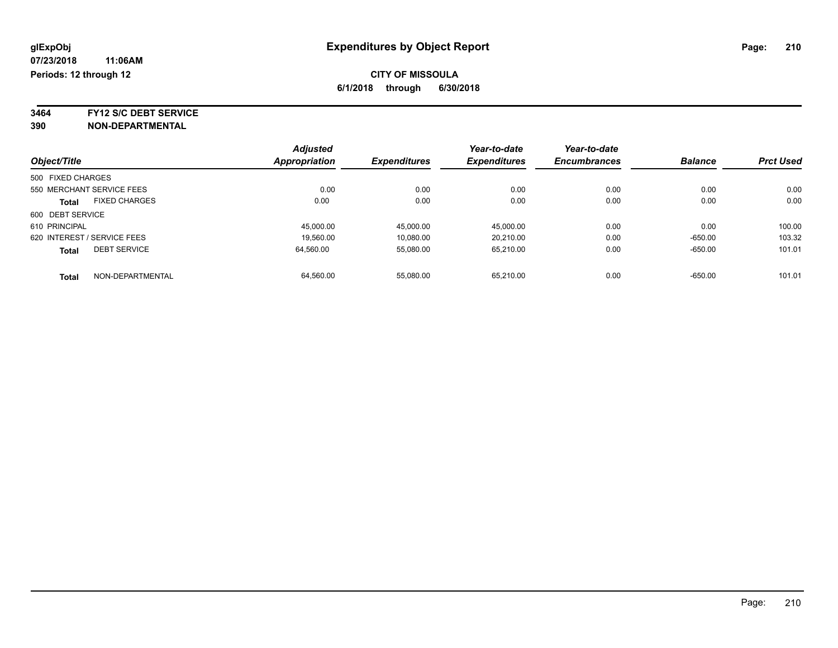**3464 FY12 S/C DEBT SERVICE**

|                                      | <b>Adjusted</b> |                     | Year-to-date        | Year-to-date        |                |                  |
|--------------------------------------|-----------------|---------------------|---------------------|---------------------|----------------|------------------|
| Object/Title                         | Appropriation   | <b>Expenditures</b> | <b>Expenditures</b> | <b>Encumbrances</b> | <b>Balance</b> | <b>Prct Used</b> |
| 500 FIXED CHARGES                    |                 |                     |                     |                     |                |                  |
| 550 MERCHANT SERVICE FEES            | 0.00            | 0.00                | 0.00                | 0.00                | 0.00           | 0.00             |
| <b>FIXED CHARGES</b><br><b>Total</b> | 0.00            | 0.00                | 0.00                | 0.00                | 0.00           | 0.00             |
| 600 DEBT SERVICE                     |                 |                     |                     |                     |                |                  |
| 610 PRINCIPAL                        | 45.000.00       | 45.000.00           | 45.000.00           | 0.00                | 0.00           | 100.00           |
| 620 INTEREST / SERVICE FEES          | 19.560.00       | 10,080.00           | 20,210.00           | 0.00                | $-650.00$      | 103.32           |
| <b>DEBT SERVICE</b><br><b>Total</b>  | 64,560.00       | 55,080.00           | 65,210.00           | 0.00                | $-650.00$      | 101.01           |
| NON-DEPARTMENTAL<br><b>Total</b>     | 64.560.00       | 55.080.00           | 65.210.00           | 0.00                | $-650.00$      | 101.01           |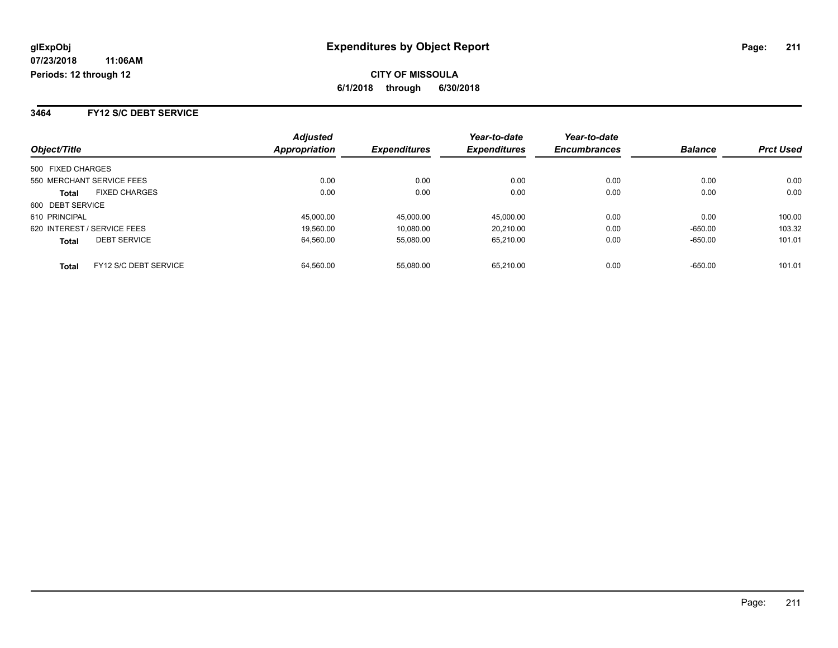**3464 FY12 S/C DEBT SERVICE**

| Object/Title                          | <b>Adjusted</b><br>Appropriation | <b>Expenditures</b> | Year-to-date<br><b>Expenditures</b> | Year-to-date<br><b>Encumbrances</b> | <b>Balance</b> | <b>Prct Used</b> |
|---------------------------------------|----------------------------------|---------------------|-------------------------------------|-------------------------------------|----------------|------------------|
| 500 FIXED CHARGES                     |                                  |                     |                                     |                                     |                |                  |
| 550 MERCHANT SERVICE FEES             | 0.00                             | 0.00                | 0.00                                | 0.00                                | 0.00           | 0.00             |
| <b>FIXED CHARGES</b><br><b>Total</b>  | 0.00                             | 0.00                | 0.00                                | 0.00                                | 0.00           | 0.00             |
| 600 DEBT SERVICE                      |                                  |                     |                                     |                                     |                |                  |
| 610 PRINCIPAL                         | 45.000.00                        | 45,000.00           | 45.000.00                           | 0.00                                | 0.00           | 100.00           |
| 620 INTEREST / SERVICE FEES           | 19,560.00                        | 10,080.00           | 20.210.00                           | 0.00                                | $-650.00$      | 103.32           |
| <b>DEBT SERVICE</b><br><b>Total</b>   | 64,560.00                        | 55,080.00           | 65.210.00                           | 0.00                                | $-650.00$      | 101.01           |
| FY12 S/C DEBT SERVICE<br><b>Total</b> | 64.560.00                        | 55,080.00           | 65.210.00                           | 0.00                                | $-650.00$      | 101.01           |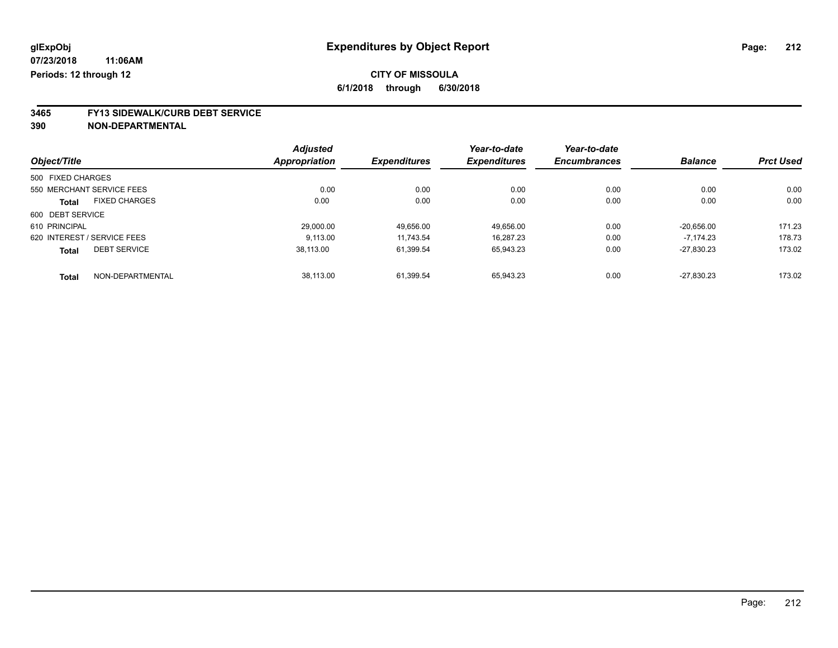# **3465 FY13 SIDEWALK/CURB DEBT SERVICE**

|                                      | <b>Adjusted</b> |                     | Year-to-date        | Year-to-date        |                |                  |
|--------------------------------------|-----------------|---------------------|---------------------|---------------------|----------------|------------------|
| Object/Title                         | Appropriation   | <b>Expenditures</b> | <b>Expenditures</b> | <b>Encumbrances</b> | <b>Balance</b> | <b>Prct Used</b> |
| 500 FIXED CHARGES                    |                 |                     |                     |                     |                |                  |
| 550 MERCHANT SERVICE FEES            | 0.00            | 0.00                | 0.00                | 0.00                | 0.00           | 0.00             |
| <b>FIXED CHARGES</b><br><b>Total</b> | 0.00            | 0.00                | 0.00                | 0.00                | 0.00           | 0.00             |
| 600 DEBT SERVICE                     |                 |                     |                     |                     |                |                  |
| 610 PRINCIPAL                        | 29.000.00       | 49,656.00           | 49.656.00           | 0.00                | $-20.656.00$   | 171.23           |
| 620 INTEREST / SERVICE FEES          | 9.113.00        | 11.743.54           | 16.287.23           | 0.00                | $-7.174.23$    | 178.73           |
| <b>DEBT SERVICE</b><br><b>Total</b>  | 38.113.00       | 61,399.54           | 65.943.23           | 0.00                | $-27.830.23$   | 173.02           |
| NON-DEPARTMENTAL<br><b>Total</b>     | 38.113.00       | 61.399.54           | 65.943.23           | 0.00                | $-27.830.23$   | 173.02           |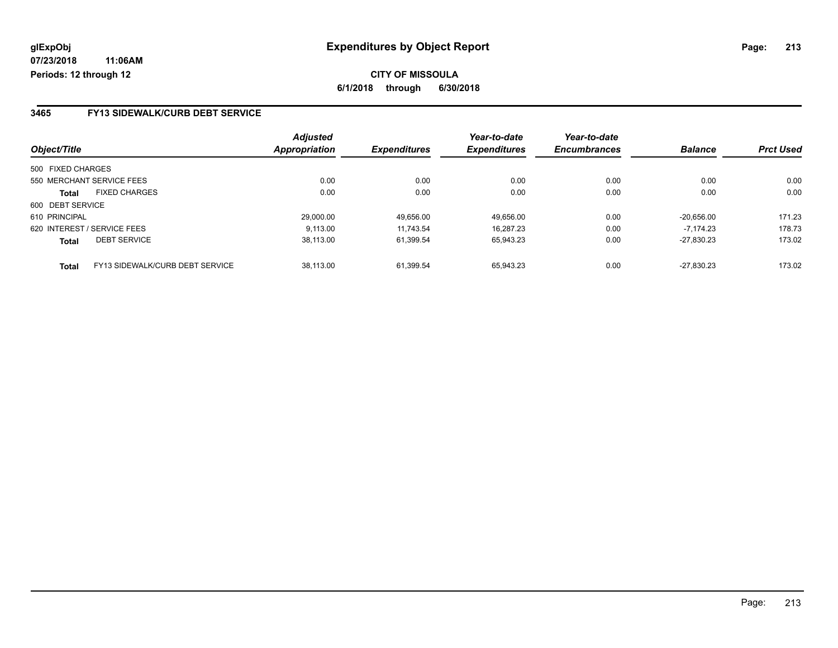### **3465 FY13 SIDEWALK/CURB DEBT SERVICE**

|                   |                                 | <b>Adjusted</b> |                     | Year-to-date        | Year-to-date        |                |                  |
|-------------------|---------------------------------|-----------------|---------------------|---------------------|---------------------|----------------|------------------|
| Object/Title      |                                 | Appropriation   | <b>Expenditures</b> | <b>Expenditures</b> | <b>Encumbrances</b> | <b>Balance</b> | <b>Prct Used</b> |
| 500 FIXED CHARGES |                                 |                 |                     |                     |                     |                |                  |
|                   | 550 MERCHANT SERVICE FEES       | 0.00            | 0.00                | 0.00                | 0.00                | 0.00           | 0.00             |
| <b>Total</b>      | <b>FIXED CHARGES</b>            | 0.00            | 0.00                | 0.00                | 0.00                | 0.00           | 0.00             |
| 600 DEBT SERVICE  |                                 |                 |                     |                     |                     |                |                  |
| 610 PRINCIPAL     |                                 | 29,000.00       | 49,656.00           | 49.656.00           | 0.00                | $-20.656.00$   | 171.23           |
|                   | 620 INTEREST / SERVICE FEES     | 9.113.00        | 11.743.54           | 16.287.23           | 0.00                | $-7.174.23$    | 178.73           |
| <b>Total</b>      | <b>DEBT SERVICE</b>             | 38.113.00       | 61.399.54           | 65.943.23           | 0.00                | $-27.830.23$   | 173.02           |
| <b>Total</b>      | FY13 SIDEWALK/CURB DEBT SERVICE | 38.113.00       | 61.399.54           | 65.943.23           | 0.00                | $-27.830.23$   | 173.02           |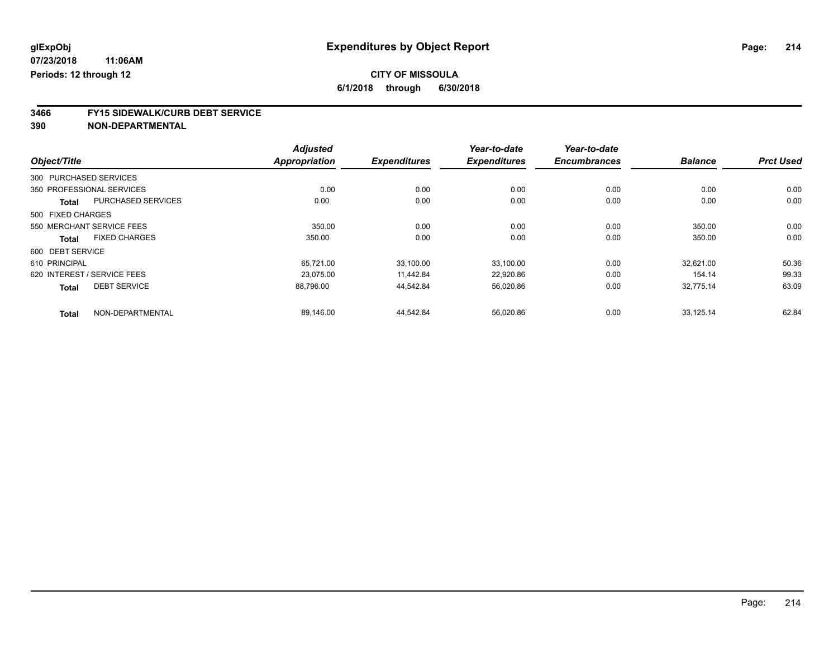# **3466 FY15 SIDEWALK/CURB DEBT SERVICE**

|                             |                      | <b>Adjusted</b>      |                     | Year-to-date        | Year-to-date        |                |                  |
|-----------------------------|----------------------|----------------------|---------------------|---------------------|---------------------|----------------|------------------|
| Object/Title                |                      | <b>Appropriation</b> | <b>Expenditures</b> | <b>Expenditures</b> | <b>Encumbrances</b> | <b>Balance</b> | <b>Prct Used</b> |
| 300 PURCHASED SERVICES      |                      |                      |                     |                     |                     |                |                  |
| 350 PROFESSIONAL SERVICES   |                      | 0.00                 | 0.00                | 0.00                | 0.00                | 0.00           | 0.00             |
| <b>Total</b>                | PURCHASED SERVICES   | 0.00                 | 0.00                | 0.00                | 0.00                | 0.00           | 0.00             |
| 500 FIXED CHARGES           |                      |                      |                     |                     |                     |                |                  |
| 550 MERCHANT SERVICE FEES   |                      | 350.00               | 0.00                | 0.00                | 0.00                | 350.00         | 0.00             |
| <b>Total</b>                | <b>FIXED CHARGES</b> | 350.00               | 0.00                | 0.00                | 0.00                | 350.00         | 0.00             |
| 600 DEBT SERVICE            |                      |                      |                     |                     |                     |                |                  |
| 610 PRINCIPAL               |                      | 65,721.00            | 33,100.00           | 33,100.00           | 0.00                | 32.621.00      | 50.36            |
| 620 INTEREST / SERVICE FEES |                      | 23.075.00            | 11.442.84           | 22,920.86           | 0.00                | 154.14         | 99.33            |
| <b>Total</b>                | <b>DEBT SERVICE</b>  | 88.796.00            | 44,542.84           | 56,020.86           | 0.00                | 32.775.14      | 63.09            |
| <b>Total</b>                | NON-DEPARTMENTAL     | 89,146.00            | 44,542.84           | 56,020.86           | 0.00                | 33,125.14      | 62.84            |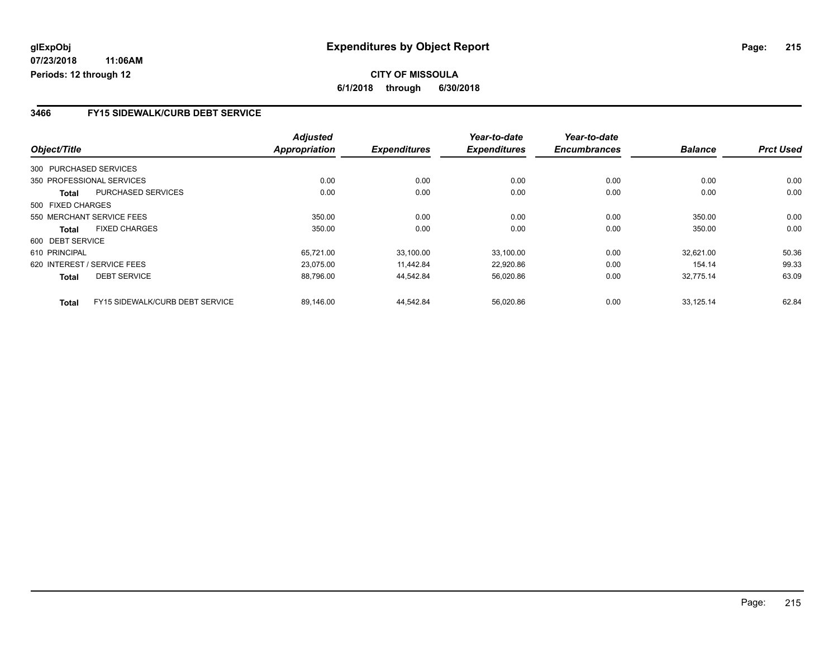### **3466 FY15 SIDEWALK/CURB DEBT SERVICE**

|                   |                                 | <b>Adjusted</b> |                     | Year-to-date        | Year-to-date        |                |                  |
|-------------------|---------------------------------|-----------------|---------------------|---------------------|---------------------|----------------|------------------|
| Object/Title      |                                 | Appropriation   | <b>Expenditures</b> | <b>Expenditures</b> | <b>Encumbrances</b> | <b>Balance</b> | <b>Prct Used</b> |
|                   | 300 PURCHASED SERVICES          |                 |                     |                     |                     |                |                  |
|                   | 350 PROFESSIONAL SERVICES       | 0.00            | 0.00                | 0.00                | 0.00                | 0.00           | 0.00             |
| Total             | <b>PURCHASED SERVICES</b>       | 0.00            | 0.00                | 0.00                | 0.00                | 0.00           | 0.00             |
| 500 FIXED CHARGES |                                 |                 |                     |                     |                     |                |                  |
|                   | 550 MERCHANT SERVICE FEES       | 350.00          | 0.00                | 0.00                | 0.00                | 350.00         | 0.00             |
| Total             | <b>FIXED CHARGES</b>            | 350.00          | 0.00                | 0.00                | 0.00                | 350.00         | 0.00             |
| 600 DEBT SERVICE  |                                 |                 |                     |                     |                     |                |                  |
| 610 PRINCIPAL     |                                 | 65.721.00       | 33,100.00           | 33,100.00           | 0.00                | 32.621.00      | 50.36            |
|                   | 620 INTEREST / SERVICE FEES     | 23.075.00       | 11.442.84           | 22.920.86           | 0.00                | 154.14         | 99.33            |
| <b>Total</b>      | <b>DEBT SERVICE</b>             | 88,796.00       | 44,542.84           | 56.020.86           | 0.00                | 32.775.14      | 63.09            |
| <b>Total</b>      | FY15 SIDEWALK/CURB DEBT SERVICE | 89,146.00       | 44.542.84           | 56,020.86           | 0.00                | 33.125.14      | 62.84            |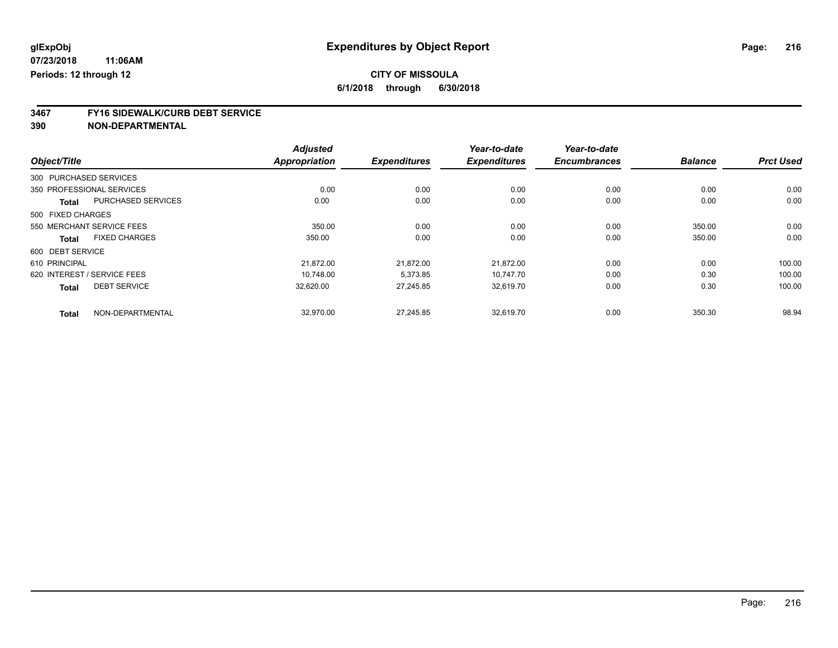# **3467 FY16 SIDEWALK/CURB DEBT SERVICE**

|                             |                      | <b>Adjusted</b>      |                     | Year-to-date        | Year-to-date        |                |                  |
|-----------------------------|----------------------|----------------------|---------------------|---------------------|---------------------|----------------|------------------|
| Object/Title                |                      | <b>Appropriation</b> | <b>Expenditures</b> | <b>Expenditures</b> | <b>Encumbrances</b> | <b>Balance</b> | <b>Prct Used</b> |
| 300 PURCHASED SERVICES      |                      |                      |                     |                     |                     |                |                  |
| 350 PROFESSIONAL SERVICES   |                      | 0.00                 | 0.00                | 0.00                | 0.00                | 0.00           | 0.00             |
| <b>Total</b>                | PURCHASED SERVICES   | 0.00                 | 0.00                | 0.00                | 0.00                | 0.00           | 0.00             |
| 500 FIXED CHARGES           |                      |                      |                     |                     |                     |                |                  |
| 550 MERCHANT SERVICE FEES   |                      | 350.00               | 0.00                | 0.00                | 0.00                | 350.00         | 0.00             |
| <b>Total</b>                | <b>FIXED CHARGES</b> | 350.00               | 0.00                | 0.00                | 0.00                | 350.00         | 0.00             |
| 600 DEBT SERVICE            |                      |                      |                     |                     |                     |                |                  |
| 610 PRINCIPAL               |                      | 21,872.00            | 21,872.00           | 21,872.00           | 0.00                | 0.00           | 100.00           |
| 620 INTEREST / SERVICE FEES |                      | 10.748.00            | 5,373.85            | 10,747.70           | 0.00                | 0.30           | 100.00           |
| <b>Total</b>                | <b>DEBT SERVICE</b>  | 32.620.00            | 27.245.85           | 32.619.70           | 0.00                | 0.30           | 100.00           |
| <b>Total</b>                | NON-DEPARTMENTAL     | 32,970.00            | 27,245.85           | 32,619.70           | 0.00                | 350.30         | 98.94            |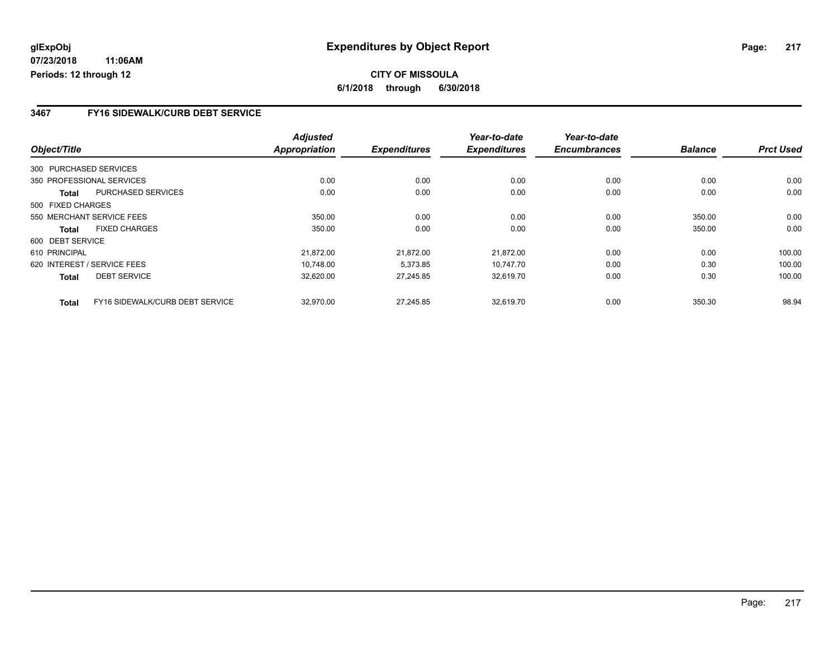### **3467 FY16 SIDEWALK/CURB DEBT SERVICE**

|                   |                                 | <b>Adjusted</b>      |                     | Year-to-date        | Year-to-date        |                |                  |
|-------------------|---------------------------------|----------------------|---------------------|---------------------|---------------------|----------------|------------------|
| Object/Title      |                                 | <b>Appropriation</b> | <b>Expenditures</b> | <b>Expenditures</b> | <b>Encumbrances</b> | <b>Balance</b> | <b>Prct Used</b> |
|                   | 300 PURCHASED SERVICES          |                      |                     |                     |                     |                |                  |
|                   | 350 PROFESSIONAL SERVICES       | 0.00                 | 0.00                | 0.00                | 0.00                | 0.00           | 0.00             |
| Total             | PURCHASED SERVICES              | 0.00                 | 0.00                | 0.00                | 0.00                | 0.00           | 0.00             |
| 500 FIXED CHARGES |                                 |                      |                     |                     |                     |                |                  |
|                   | 550 MERCHANT SERVICE FEES       | 350.00               | 0.00                | 0.00                | 0.00                | 350.00         | 0.00             |
| Total             | <b>FIXED CHARGES</b>            | 350.00               | 0.00                | 0.00                | 0.00                | 350.00         | 0.00             |
| 600 DEBT SERVICE  |                                 |                      |                     |                     |                     |                |                  |
| 610 PRINCIPAL     |                                 | 21.872.00            | 21.872.00           | 21.872.00           | 0.00                | 0.00           | 100.00           |
|                   | 620 INTEREST / SERVICE FEES     | 10.748.00            | 5,373.85            | 10.747.70           | 0.00                | 0.30           | 100.00           |
| Total             | <b>DEBT SERVICE</b>             | 32,620.00            | 27,245.85           | 32,619.70           | 0.00                | 0.30           | 100.00           |
| <b>Total</b>      | FY16 SIDEWALK/CURB DEBT SERVICE | 32,970.00            | 27.245.85           | 32.619.70           | 0.00                | 350.30         | 98.94            |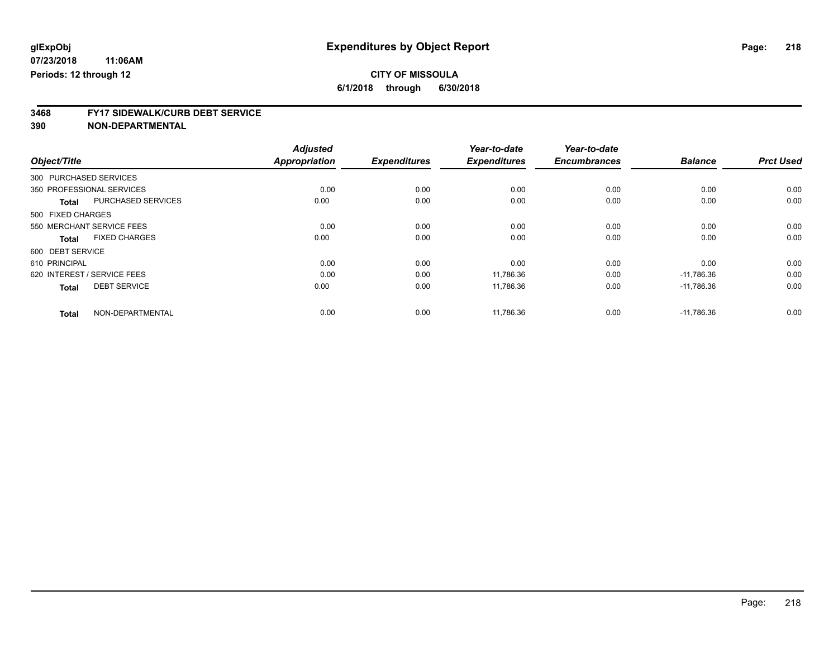# **3468 FY17 SIDEWALK/CURB DEBT SERVICE**

|                             |                      | <b>Adjusted</b>      |                     | Year-to-date        | Year-to-date        |                |                  |
|-----------------------------|----------------------|----------------------|---------------------|---------------------|---------------------|----------------|------------------|
| Object/Title                |                      | <b>Appropriation</b> | <b>Expenditures</b> | <b>Expenditures</b> | <b>Encumbrances</b> | <b>Balance</b> | <b>Prct Used</b> |
| 300 PURCHASED SERVICES      |                      |                      |                     |                     |                     |                |                  |
| 350 PROFESSIONAL SERVICES   |                      | 0.00                 | 0.00                | 0.00                | 0.00                | 0.00           | 0.00             |
| <b>Total</b>                | PURCHASED SERVICES   | 0.00                 | 0.00                | 0.00                | 0.00                | 0.00           | 0.00             |
| 500 FIXED CHARGES           |                      |                      |                     |                     |                     |                |                  |
| 550 MERCHANT SERVICE FEES   |                      | 0.00                 | 0.00                | 0.00                | 0.00                | 0.00           | 0.00             |
| <b>Total</b>                | <b>FIXED CHARGES</b> | 0.00                 | 0.00                | 0.00                | 0.00                | 0.00           | 0.00             |
| 600 DEBT SERVICE            |                      |                      |                     |                     |                     |                |                  |
| 610 PRINCIPAL               |                      | 0.00                 | 0.00                | 0.00                | 0.00                | 0.00           | 0.00             |
| 620 INTEREST / SERVICE FEES |                      | 0.00                 | 0.00                | 11,786.36           | 0.00                | $-11.786.36$   | 0.00             |
| <b>Total</b>                | <b>DEBT SERVICE</b>  | 0.00                 | 0.00                | 11,786.36           | 0.00                | $-11,786.36$   | 0.00             |
| <b>Total</b>                | NON-DEPARTMENTAL     | 0.00                 | 0.00                | 11,786.36           | 0.00                | $-11.786.36$   | 0.00             |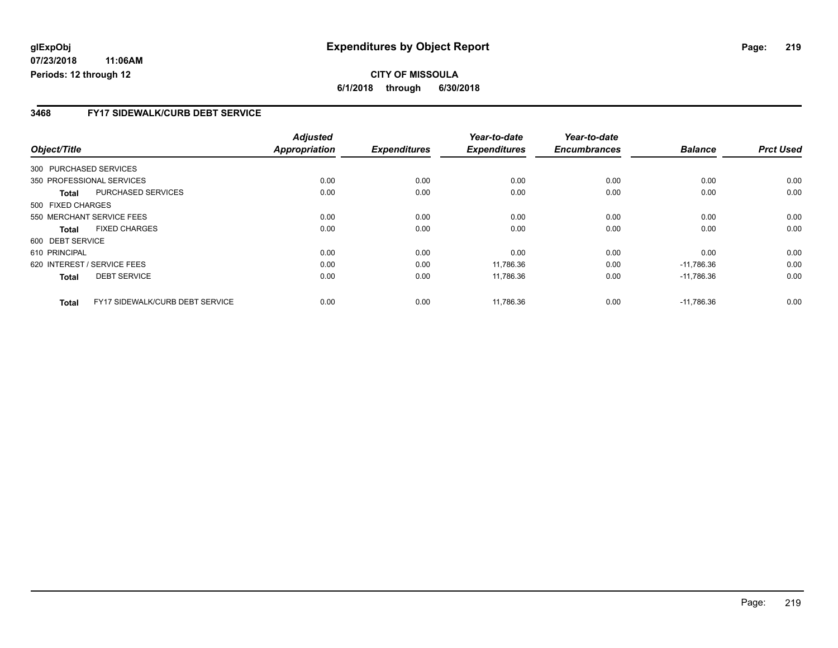# **CITY OF MISSOULA 6/1/2018 through 6/30/2018**

### **3468 FY17 SIDEWALK/CURB DEBT SERVICE**

|                   |                                        | <b>Adjusted</b> |                     | Year-to-date        | Year-to-date        |                |                  |
|-------------------|----------------------------------------|-----------------|---------------------|---------------------|---------------------|----------------|------------------|
| Object/Title      |                                        | Appropriation   | <b>Expenditures</b> | <b>Expenditures</b> | <b>Encumbrances</b> | <b>Balance</b> | <b>Prct Used</b> |
|                   | 300 PURCHASED SERVICES                 |                 |                     |                     |                     |                |                  |
|                   | 350 PROFESSIONAL SERVICES              | 0.00            | 0.00                | 0.00                | 0.00                | 0.00           | 0.00             |
| Total             | <b>PURCHASED SERVICES</b>              | 0.00            | 0.00                | 0.00                | 0.00                | 0.00           | 0.00             |
| 500 FIXED CHARGES |                                        |                 |                     |                     |                     |                |                  |
|                   | 550 MERCHANT SERVICE FEES              | 0.00            | 0.00                | 0.00                | 0.00                | 0.00           | 0.00             |
| <b>Total</b>      | <b>FIXED CHARGES</b>                   | 0.00            | 0.00                | 0.00                | 0.00                | 0.00           | 0.00             |
| 600 DEBT SERVICE  |                                        |                 |                     |                     |                     |                |                  |
| 610 PRINCIPAL     |                                        | 0.00            | 0.00                | 0.00                | 0.00                | 0.00           | 0.00             |
|                   | 620 INTEREST / SERVICE FEES            | 0.00            | 0.00                | 11,786.36           | 0.00                | $-11,786.36$   | 0.00             |
| <b>Total</b>      | <b>DEBT SERVICE</b>                    | 0.00            | 0.00                | 11,786.36           | 0.00                | $-11,786.36$   | 0.00             |
| Total             | <b>FY17 SIDEWALK/CURB DEBT SERVICE</b> | 0.00            | 0.00                | 11,786.36           | 0.00                | $-11,786.36$   | 0.00             |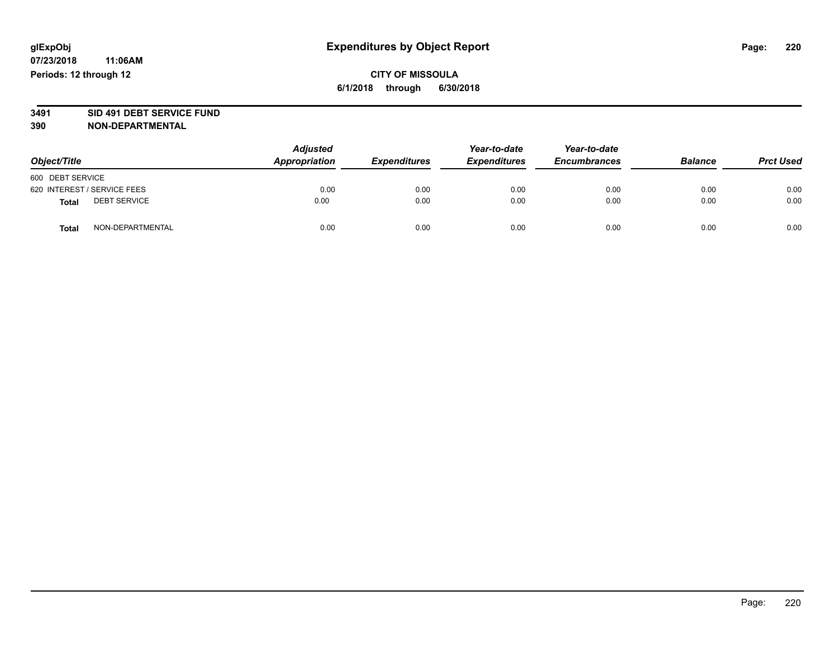# **3491 SID 491 DEBT SERVICE FUND**

| Object/Title                |                     | <b>Adjusted</b><br>Appropriation | <b>Expenditures</b> | Year-to-date<br><b>Expenditures</b> | Year-to-date<br><b>Encumbrances</b> | <b>Balance</b> | <b>Prct Used</b> |
|-----------------------------|---------------------|----------------------------------|---------------------|-------------------------------------|-------------------------------------|----------------|------------------|
| 600 DEBT SERVICE            |                     |                                  |                     |                                     |                                     |                |                  |
| 620 INTEREST / SERVICE FEES |                     | 0.00                             | 0.00                | 0.00                                | 0.00                                | 0.00           | 0.00             |
| <b>Total</b>                | <b>DEBT SERVICE</b> | 0.00                             | 0.00                | 0.00                                | 0.00                                | 0.00           | 0.00             |
| <b>Total</b>                | NON-DEPARTMENTAL    | 0.00                             | 0.00                | 0.00                                | 0.00                                | 0.00           | 0.00             |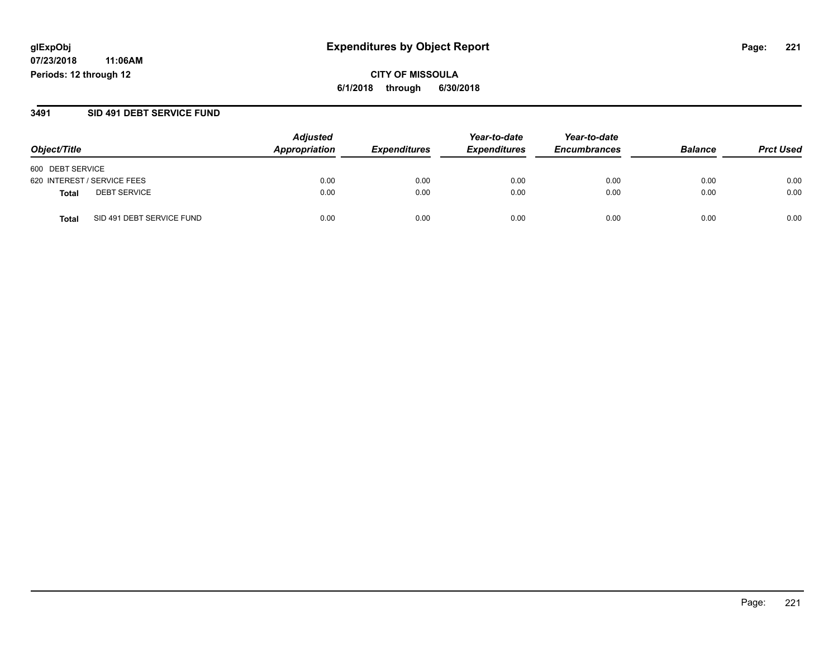**CITY OF MISSOULA 6/1/2018 through 6/30/2018**

#### **3491 SID 491 DEBT SERVICE FUND**

| Object/Title                       | <b>Adjusted</b><br>Appropriation | <i><b>Expenditures</b></i> | Year-to-date<br><b>Expenditures</b> | Year-to-date<br><b>Encumbrances</b> | <b>Balance</b> | <b>Prct Used</b> |
|------------------------------------|----------------------------------|----------------------------|-------------------------------------|-------------------------------------|----------------|------------------|
|                                    |                                  |                            |                                     |                                     |                |                  |
| 600 DEBT SERVICE                   |                                  |                            |                                     |                                     |                |                  |
| 620 INTEREST / SERVICE FEES        | 0.00                             | 0.00                       | 0.00                                | 0.00                                | 0.00           | 0.00             |
| <b>DEBT SERVICE</b><br>Total       | 0.00                             | 0.00                       | 0.00                                | 0.00                                | 0.00           | 0.00             |
| SID 491 DEBT SERVICE FUND<br>Total | 0.00                             | 0.00                       | 0.00                                | 0.00                                | 0.00           | 0.00             |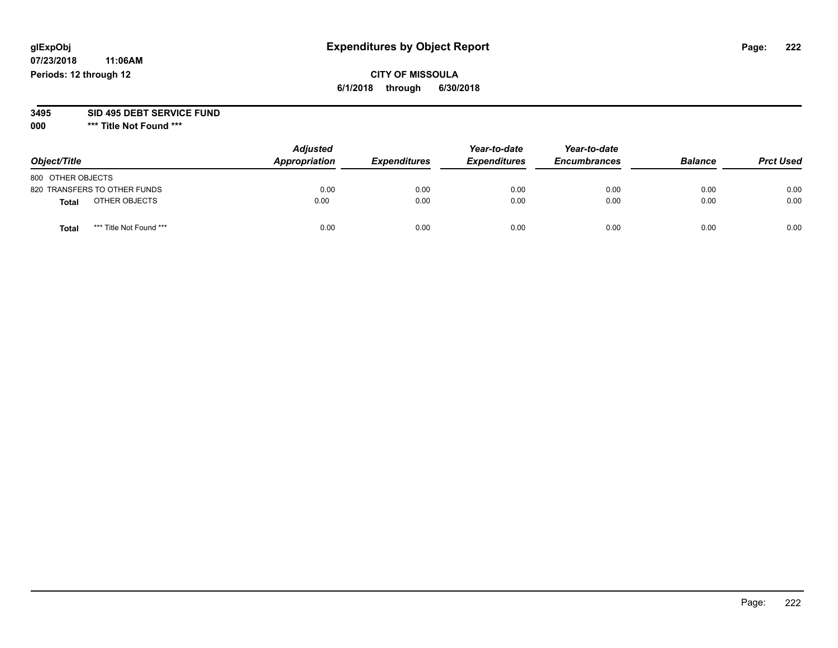#### **07/23/2018 11:06AM Periods: 12 through 12**

# **CITY OF MISSOULA 6/1/2018 through 6/30/2018**

#### **3495 SID 495 DEBT SERVICE FUND**

| Object/Title                    | <b>Adjusted</b><br>Appropriation | <b>Expenditures</b> | Year-to-date<br><b>Expenditures</b> | Year-to-date<br><b>Encumbrances</b> | <b>Balance</b> | <b>Prct Used</b> |
|---------------------------------|----------------------------------|---------------------|-------------------------------------|-------------------------------------|----------------|------------------|
| 800 OTHER OBJECTS               |                                  |                     |                                     |                                     |                |                  |
| 820 TRANSFERS TO OTHER FUNDS    | 0.00                             | 0.00                | 0.00                                | 0.00                                | 0.00           | 0.00             |
| OTHER OBJECTS<br>Total          | 0.00                             | 0.00                | 0.00                                | 0.00                                | 0.00           | 0.00             |
| *** Title Not Found ***<br>Tota | 0.00                             | 0.00                | 0.00                                | 0.00                                | 0.00           | 0.00             |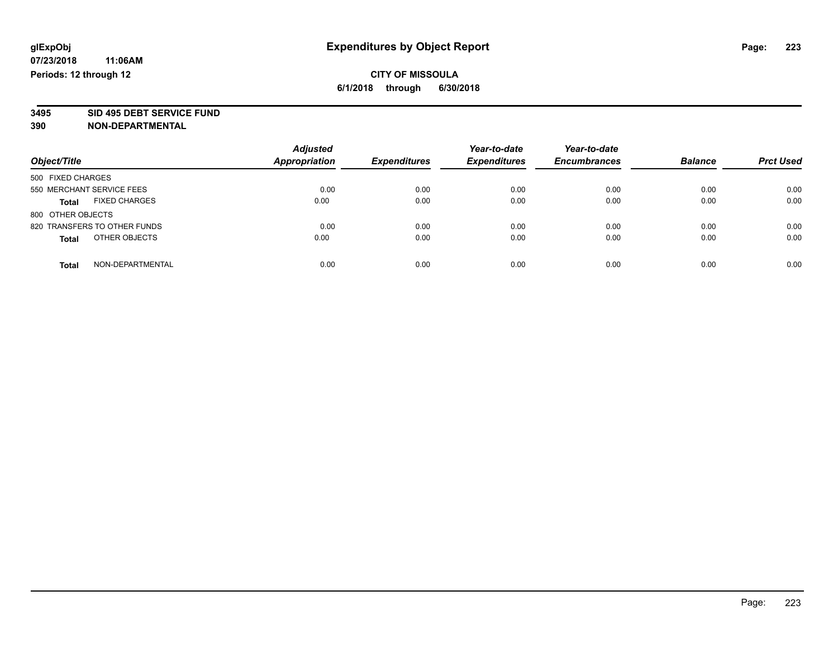**3495 SID 495 DEBT SERVICE FUND**

| Object/Title                         | <b>Adjusted</b><br><b>Appropriation</b> | <b>Expenditures</b> | Year-to-date<br><b>Expenditures</b> | Year-to-date<br><b>Encumbrances</b> | <b>Balance</b> | <b>Prct Used</b> |
|--------------------------------------|-----------------------------------------|---------------------|-------------------------------------|-------------------------------------|----------------|------------------|
| 500 FIXED CHARGES                    |                                         |                     |                                     |                                     |                |                  |
| 550 MERCHANT SERVICE FEES            | 0.00                                    | 0.00                | 0.00                                | 0.00                                | 0.00           | 0.00             |
| <b>FIXED CHARGES</b><br><b>Total</b> | 0.00                                    | 0.00                | 0.00                                | 0.00                                | 0.00           | 0.00             |
| 800 OTHER OBJECTS                    |                                         |                     |                                     |                                     |                |                  |
| 820 TRANSFERS TO OTHER FUNDS         | 0.00                                    | 0.00                | 0.00                                | 0.00                                | 0.00           | 0.00             |
| OTHER OBJECTS<br><b>Total</b>        | 0.00                                    | 0.00                | 0.00                                | 0.00                                | 0.00           | 0.00             |
| NON-DEPARTMENTAL<br><b>Total</b>     | 0.00                                    | 0.00                | 0.00                                | 0.00                                | 0.00           | 0.00             |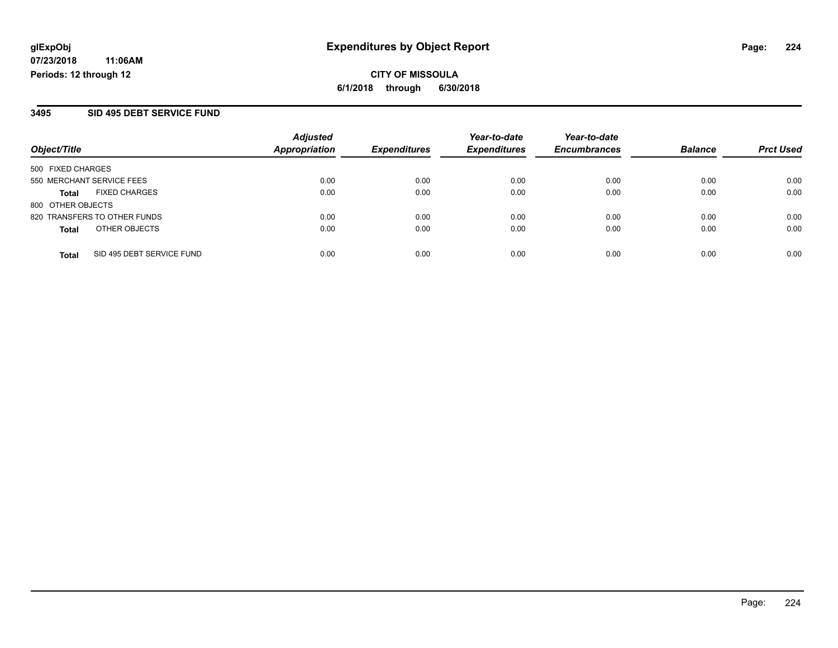**CITY OF MISSOULA 6/1/2018 through 6/30/2018**

#### **3495 SID 495 DEBT SERVICE FUND**

| Object/Title                              | <b>Adjusted</b><br><b>Appropriation</b> | <b>Expenditures</b> | Year-to-date<br><b>Expenditures</b> | Year-to-date<br><b>Encumbrances</b> | <b>Balance</b> | <b>Prct Used</b> |
|-------------------------------------------|-----------------------------------------|---------------------|-------------------------------------|-------------------------------------|----------------|------------------|
|                                           |                                         |                     |                                     |                                     |                |                  |
| 500 FIXED CHARGES                         |                                         |                     |                                     |                                     |                |                  |
| 550 MERCHANT SERVICE FEES                 | 0.00                                    | 0.00                | 0.00                                | 0.00                                | 0.00           | 0.00             |
| <b>FIXED CHARGES</b><br><b>Total</b>      | 0.00                                    | 0.00                | 0.00                                | 0.00                                | 0.00           | 0.00             |
| 800 OTHER OBJECTS                         |                                         |                     |                                     |                                     |                |                  |
| 820 TRANSFERS TO OTHER FUNDS              | 0.00                                    | 0.00                | 0.00                                | 0.00                                | 0.00           | 0.00             |
| OTHER OBJECTS<br><b>Total</b>             | 0.00                                    | 0.00                | 0.00                                | 0.00                                | 0.00           | 0.00             |
|                                           |                                         |                     |                                     |                                     |                |                  |
| SID 495 DEBT SERVICE FUND<br><b>Total</b> | 0.00                                    | 0.00                | 0.00                                | 0.00                                | 0.00           | 0.00             |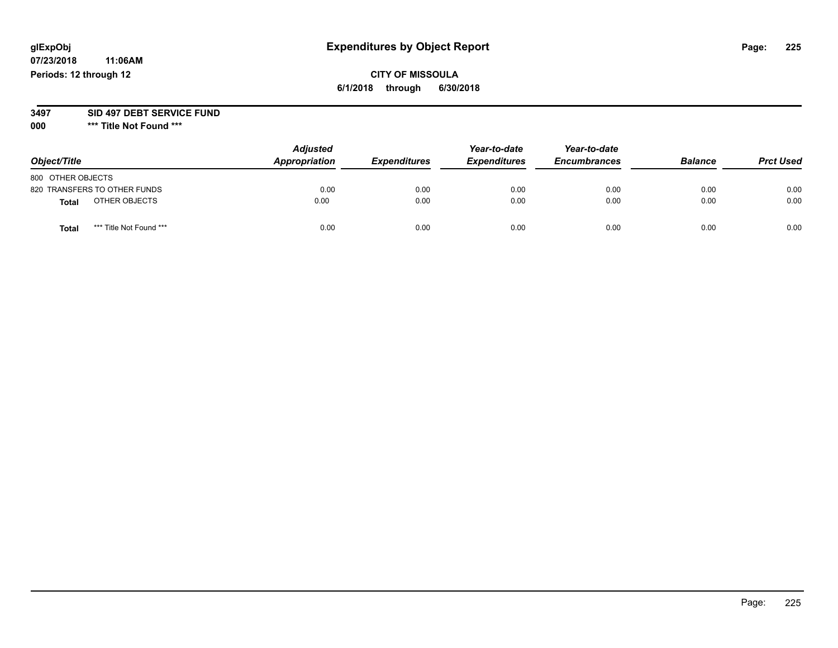#### **07/23/2018 11:06AM Periods: 12 through 12**

# **CITY OF MISSOULA 6/1/2018 through 6/30/2018**

#### **3497 SID 497 DEBT SERVICE FUND**

| Object/Title                     | <b>Adjusted</b><br>Appropriation | <b>Expenditures</b> | Year-to-date<br><b>Expenditures</b> | Year-to-date<br><b>Encumbrances</b> | <b>Balance</b> | <b>Prct Used</b> |
|----------------------------------|----------------------------------|---------------------|-------------------------------------|-------------------------------------|----------------|------------------|
| 800 OTHER OBJECTS                |                                  |                     |                                     |                                     |                |                  |
| 820 TRANSFERS TO OTHER FUNDS     | 0.00                             | 0.00                | 0.00                                | 0.00                                | 0.00           | 0.00             |
| OTHER OBJECTS<br><b>Total</b>    | 0.00                             | 0.00                | 0.00                                | 0.00                                | 0.00           | 0.00             |
| *** Title Not Found ***<br>Total | 0.00                             | 0.00                | 0.00                                | 0.00                                | 0.00           | 0.00             |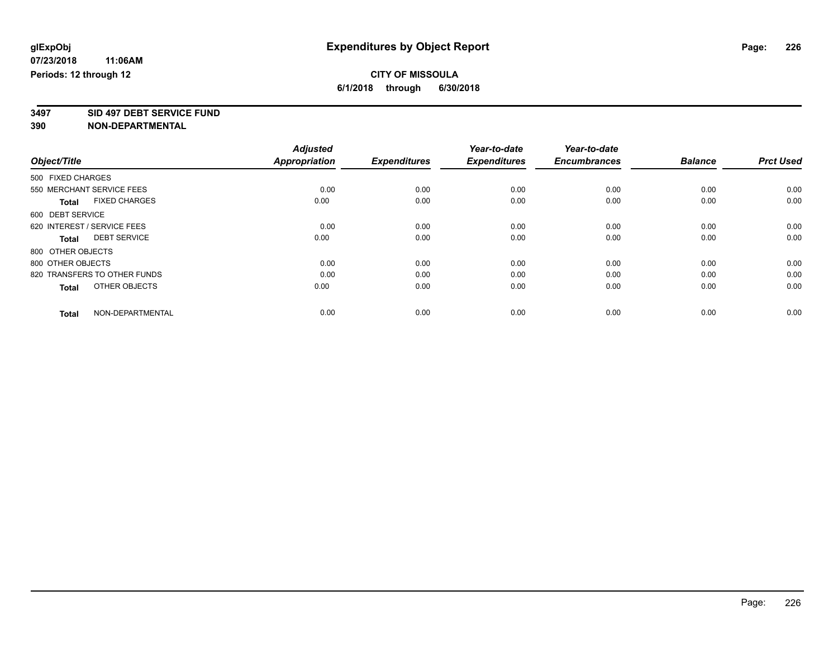**3497 SID 497 DEBT SERVICE FUND**

|                                      | <b>Adjusted</b>      |                     | Year-to-date        | Year-to-date        |                |                  |
|--------------------------------------|----------------------|---------------------|---------------------|---------------------|----------------|------------------|
| Object/Title                         | <b>Appropriation</b> | <b>Expenditures</b> | <b>Expenditures</b> | <b>Encumbrances</b> | <b>Balance</b> | <b>Prct Used</b> |
| 500 FIXED CHARGES                    |                      |                     |                     |                     |                |                  |
| 550 MERCHANT SERVICE FEES            | 0.00                 | 0.00                | 0.00                | 0.00                | 0.00           | 0.00             |
| <b>FIXED CHARGES</b><br><b>Total</b> | 0.00                 | 0.00                | 0.00                | 0.00                | 0.00           | 0.00             |
| 600 DEBT SERVICE                     |                      |                     |                     |                     |                |                  |
| 620 INTEREST / SERVICE FEES          | 0.00                 | 0.00                | 0.00                | 0.00                | 0.00           | 0.00             |
| <b>DEBT SERVICE</b><br><b>Total</b>  | 0.00                 | 0.00                | 0.00                | 0.00                | 0.00           | 0.00             |
| 800 OTHER OBJECTS                    |                      |                     |                     |                     |                |                  |
| 800 OTHER OBJECTS                    | 0.00                 | 0.00                | 0.00                | 0.00                | 0.00           | 0.00             |
| 820 TRANSFERS TO OTHER FUNDS         | 0.00                 | 0.00                | 0.00                | 0.00                | 0.00           | 0.00             |
| OTHER OBJECTS<br><b>Total</b>        | 0.00                 | 0.00                | 0.00                | 0.00                | 0.00           | 0.00             |
|                                      |                      |                     |                     |                     |                |                  |
| NON-DEPARTMENTAL<br><b>Total</b>     | 0.00                 | 0.00                | 0.00                | 0.00                | 0.00           | 0.00             |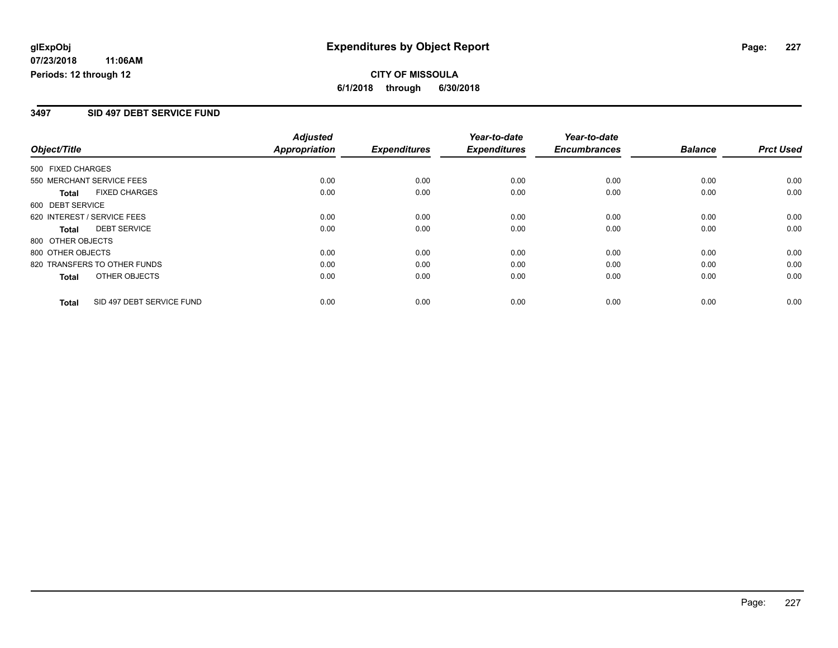**CITY OF MISSOULA 6/1/2018 through 6/30/2018**

#### **3497 SID 497 DEBT SERVICE FUND**

|                                           | <b>Adjusted</b> |                     | Year-to-date        | Year-to-date        |                |                  |
|-------------------------------------------|-----------------|---------------------|---------------------|---------------------|----------------|------------------|
| Object/Title                              | Appropriation   | <b>Expenditures</b> | <b>Expenditures</b> | <b>Encumbrances</b> | <b>Balance</b> | <b>Prct Used</b> |
| 500 FIXED CHARGES                         |                 |                     |                     |                     |                |                  |
| 550 MERCHANT SERVICE FEES                 | 0.00            | 0.00                | 0.00                | 0.00                | 0.00           | 0.00             |
| <b>FIXED CHARGES</b><br><b>Total</b>      | 0.00            | 0.00                | 0.00                | 0.00                | 0.00           | 0.00             |
| 600 DEBT SERVICE                          |                 |                     |                     |                     |                |                  |
| 620 INTEREST / SERVICE FEES               | 0.00            | 0.00                | 0.00                | 0.00                | 0.00           | 0.00             |
| <b>DEBT SERVICE</b><br><b>Total</b>       | 0.00            | 0.00                | 0.00                | 0.00                | 0.00           | 0.00             |
| 800 OTHER OBJECTS                         |                 |                     |                     |                     |                |                  |
| 800 OTHER OBJECTS                         | 0.00            | 0.00                | 0.00                | 0.00                | 0.00           | 0.00             |
| 820 TRANSFERS TO OTHER FUNDS              | 0.00            | 0.00                | 0.00                | 0.00                | 0.00           | 0.00             |
| OTHER OBJECTS<br><b>Total</b>             | 0.00            | 0.00                | 0.00                | 0.00                | 0.00           | 0.00             |
| SID 497 DEBT SERVICE FUND<br><b>Total</b> | 0.00            | 0.00                | 0.00                | 0.00                | 0.00           | 0.00             |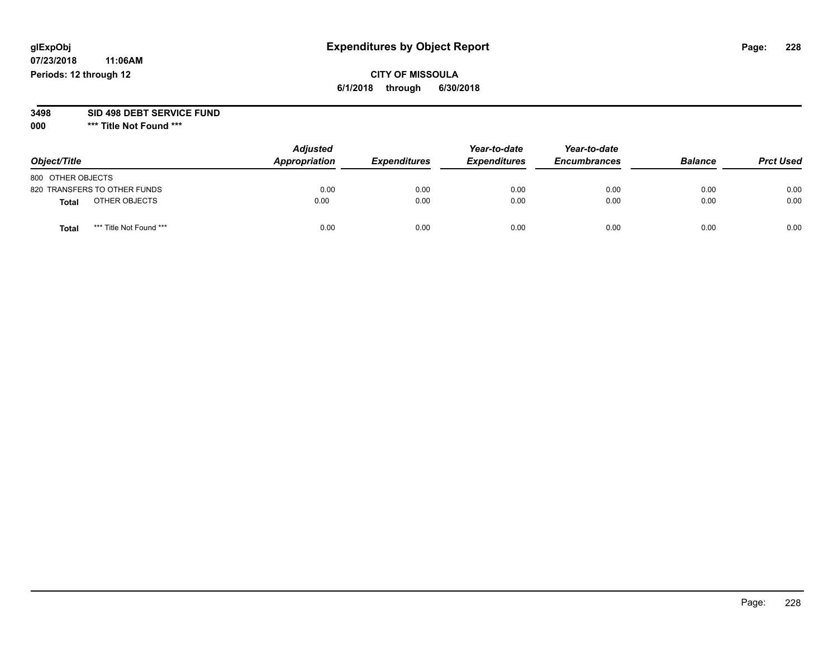# **11:06AM**

**Periods: 12 through 12**

**07/23/2018**

**CITY OF MISSOULA 6/1/2018 through 6/30/2018**

#### **3498 SID 498 DEBT SERVICE FUND**

| Object/Title                     |  | <b>Adjusted</b><br>Appropriation | <b>Expenditures</b> | Year-to-date<br><b>Expenditures</b> | Year-to-date<br><b>Encumbrances</b> | <b>Balance</b> | <b>Prct Used</b> |
|----------------------------------|--|----------------------------------|---------------------|-------------------------------------|-------------------------------------|----------------|------------------|
| 800 OTHER OBJECTS                |  |                                  |                     |                                     |                                     |                |                  |
| 820 TRANSFERS TO OTHER FUNDS     |  | 0.00                             | 0.00                | 0.00                                | 0.00                                | 0.00           | 0.00             |
| OTHER OBJECTS<br><b>Total</b>    |  | 0.00                             | 0.00                | 0.00                                | 0.00                                | 0.00           | 0.00             |
| *** Title Not Found ***<br>Total |  | 0.00                             | 0.00                | 0.00                                | 0.00                                | 0.00           | 0.00             |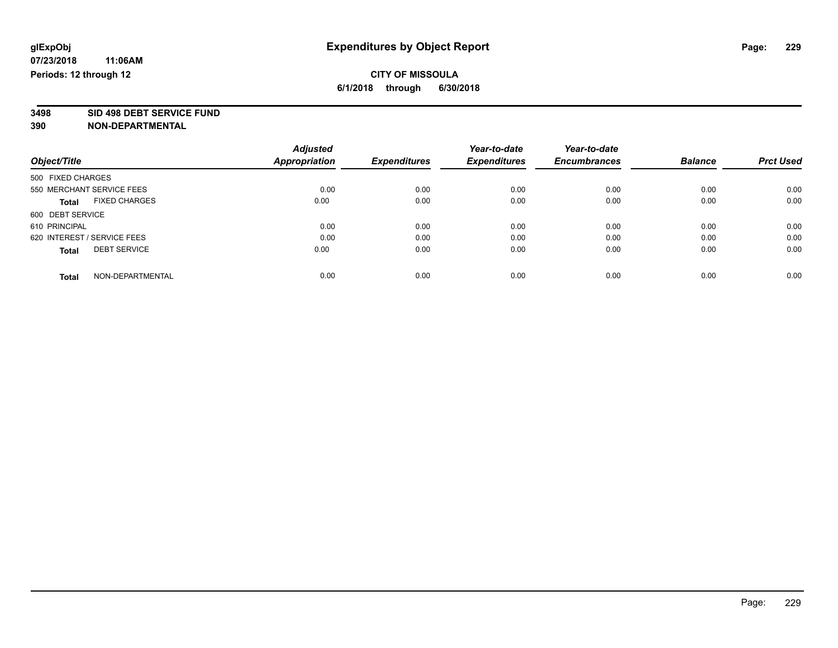**3498 SID 498 DEBT SERVICE FUND**

|                                      | <b>Adjusted</b>      |                     | Year-to-date        | Year-to-date        |                |                  |
|--------------------------------------|----------------------|---------------------|---------------------|---------------------|----------------|------------------|
| Object/Title                         | <b>Appropriation</b> | <b>Expenditures</b> | <b>Expenditures</b> | <b>Encumbrances</b> | <b>Balance</b> | <b>Prct Used</b> |
| 500 FIXED CHARGES                    |                      |                     |                     |                     |                |                  |
| 550 MERCHANT SERVICE FEES            | 0.00                 | 0.00                | 0.00                | 0.00                | 0.00           | 0.00             |
| <b>FIXED CHARGES</b><br><b>Total</b> | 0.00                 | 0.00                | 0.00                | 0.00                | 0.00           | 0.00             |
| 600 DEBT SERVICE                     |                      |                     |                     |                     |                |                  |
| 610 PRINCIPAL                        | 0.00                 | 0.00                | 0.00                | 0.00                | 0.00           | 0.00             |
| 620 INTEREST / SERVICE FEES          | 0.00                 | 0.00                | 0.00                | 0.00                | 0.00           | 0.00             |
| <b>DEBT SERVICE</b><br><b>Total</b>  | 0.00                 | 0.00                | 0.00                | 0.00                | 0.00           | 0.00             |
| NON-DEPARTMENTAL<br><b>Total</b>     | 0.00                 | 0.00                | 0.00                | 0.00                | 0.00           | 0.00             |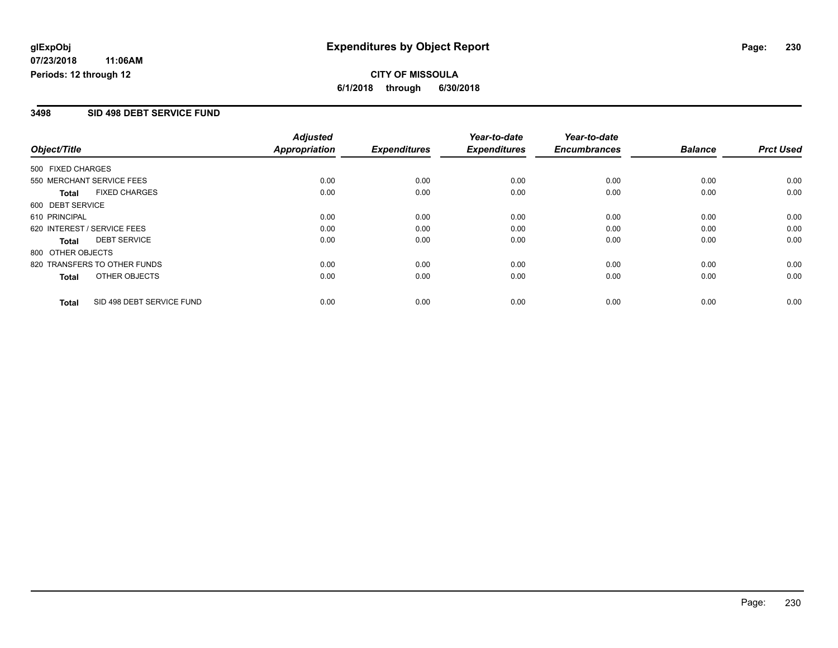# **CITY OF MISSOULA 6/1/2018 through 6/30/2018**

#### **3498 SID 498 DEBT SERVICE FUND**

|                              |                           | <b>Adjusted</b>      |                     | Year-to-date        | Year-to-date        |                |                  |
|------------------------------|---------------------------|----------------------|---------------------|---------------------|---------------------|----------------|------------------|
| Object/Title                 |                           | <b>Appropriation</b> | <b>Expenditures</b> | <b>Expenditures</b> | <b>Encumbrances</b> | <b>Balance</b> | <b>Prct Used</b> |
| 500 FIXED CHARGES            |                           |                      |                     |                     |                     |                |                  |
| 550 MERCHANT SERVICE FEES    |                           | 0.00                 | 0.00                | 0.00                | 0.00                | 0.00           | 0.00             |
| <b>Total</b>                 | <b>FIXED CHARGES</b>      | 0.00                 | 0.00                | 0.00                | 0.00                | 0.00           | 0.00             |
| 600 DEBT SERVICE             |                           |                      |                     |                     |                     |                |                  |
| 610 PRINCIPAL                |                           | 0.00                 | 0.00                | 0.00                | 0.00                | 0.00           | 0.00             |
| 620 INTEREST / SERVICE FEES  |                           | 0.00                 | 0.00                | 0.00                | 0.00                | 0.00           | 0.00             |
| <b>Total</b>                 | <b>DEBT SERVICE</b>       | 0.00                 | 0.00                | 0.00                | 0.00                | 0.00           | 0.00             |
| 800 OTHER OBJECTS            |                           |                      |                     |                     |                     |                |                  |
| 820 TRANSFERS TO OTHER FUNDS |                           | 0.00                 | 0.00                | 0.00                | 0.00                | 0.00           | 0.00             |
| <b>Total</b>                 | OTHER OBJECTS             | 0.00                 | 0.00                | 0.00                | 0.00                | 0.00           | 0.00             |
| <b>Total</b>                 | SID 498 DEBT SERVICE FUND | 0.00                 | 0.00                | 0.00                | 0.00                | 0.00           | 0.00             |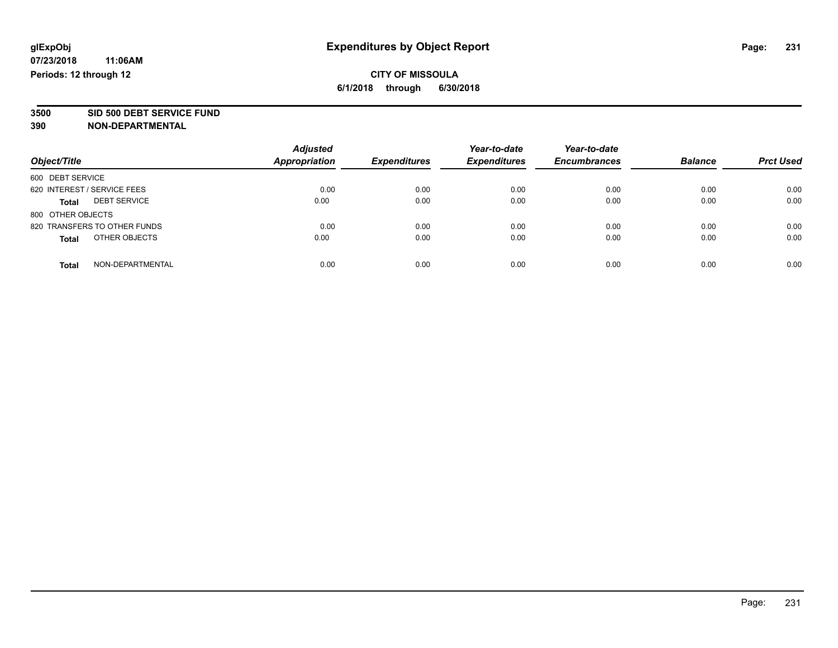**3500 SID 500 DEBT SERVICE FUND**

| Object/Title                        | <b>Adjusted</b><br><b>Appropriation</b> | <b>Expenditures</b> | Year-to-date<br><b>Expenditures</b> | Year-to-date<br><b>Encumbrances</b> | <b>Balance</b> | <b>Prct Used</b> |
|-------------------------------------|-----------------------------------------|---------------------|-------------------------------------|-------------------------------------|----------------|------------------|
| 600 DEBT SERVICE                    |                                         |                     |                                     |                                     |                |                  |
| 620 INTEREST / SERVICE FEES         | 0.00                                    | 0.00                | 0.00                                | 0.00                                | 0.00           | 0.00             |
| <b>DEBT SERVICE</b><br><b>Total</b> | 0.00                                    | 0.00                | 0.00                                | 0.00                                | 0.00           | 0.00             |
| 800 OTHER OBJECTS                   |                                         |                     |                                     |                                     |                |                  |
| 820 TRANSFERS TO OTHER FUNDS        | 0.00                                    | 0.00                | 0.00                                | 0.00                                | 0.00           | 0.00             |
| OTHER OBJECTS<br><b>Total</b>       | 0.00                                    | 0.00                | 0.00                                | 0.00                                | 0.00           | 0.00             |
| NON-DEPARTMENTAL<br><b>Total</b>    | 0.00                                    | 0.00                | 0.00                                | 0.00                                | 0.00           | 0.00             |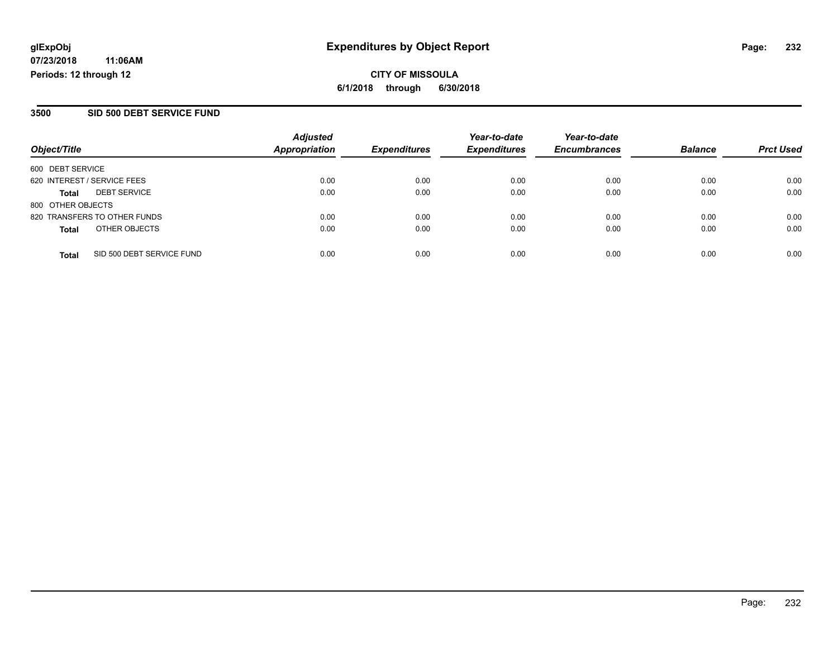**CITY OF MISSOULA 6/1/2018 through 6/30/2018**

#### **3500 SID 500 DEBT SERVICE FUND**

| Object/Title                |                              | <b>Adjusted</b><br>Appropriation | <b>Expenditures</b> | Year-to-date<br><b>Expenditures</b> | Year-to-date<br><b>Encumbrances</b> | <b>Balance</b> | <b>Prct Used</b> |
|-----------------------------|------------------------------|----------------------------------|---------------------|-------------------------------------|-------------------------------------|----------------|------------------|
| 600 DEBT SERVICE            |                              |                                  |                     |                                     |                                     |                |                  |
| 620 INTEREST / SERVICE FEES |                              | 0.00                             | 0.00                | 0.00                                | 0.00                                | 0.00           | 0.00             |
| <b>Total</b>                | <b>DEBT SERVICE</b>          | 0.00                             | 0.00                | 0.00                                | 0.00                                | 0.00           | 0.00             |
| 800 OTHER OBJECTS           |                              |                                  |                     |                                     |                                     |                |                  |
|                             | 820 TRANSFERS TO OTHER FUNDS | 0.00                             | 0.00                | 0.00                                | 0.00                                | 0.00           | 0.00             |
| <b>Total</b>                | OTHER OBJECTS                | 0.00                             | 0.00                | 0.00                                | 0.00                                | 0.00           | 0.00             |
| <b>Total</b>                | SID 500 DEBT SERVICE FUND    | 0.00                             | 0.00                | 0.00                                | 0.00                                | 0.00           | 0.00             |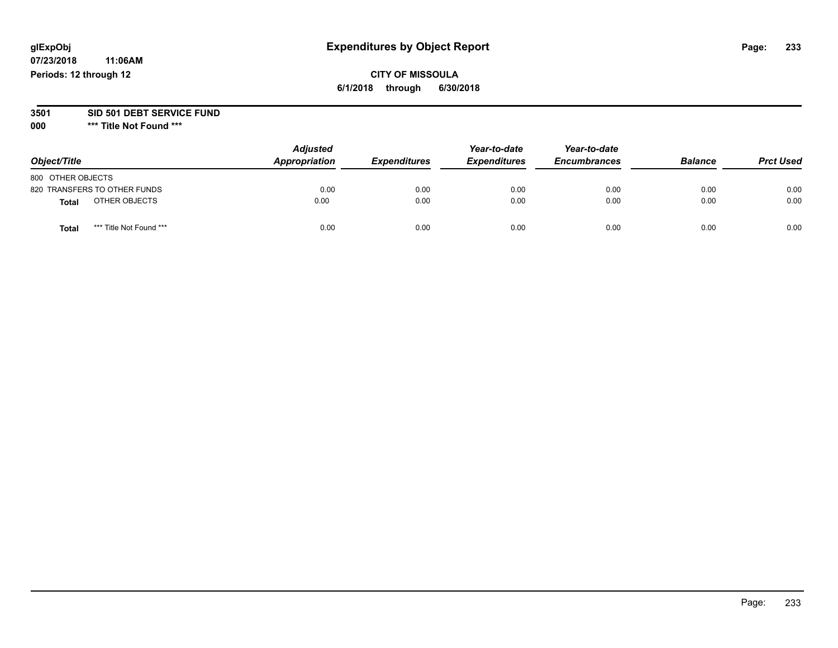#### **07/23/2018 11:06AM Periods: 12 through 12**

# **CITY OF MISSOULA 6/1/2018 through 6/30/2018**

#### **3501 SID 501 DEBT SERVICE FUND**

| Object/Title                            | <b>Adjusted</b><br>Appropriation | <b>Expenditures</b> | Year-to-date<br><b>Expenditures</b> | Year-to-date<br><b>Encumbrances</b> | <b>Balance</b> | <b>Prct Used</b> |
|-----------------------------------------|----------------------------------|---------------------|-------------------------------------|-------------------------------------|----------------|------------------|
| 800 OTHER OBJECTS                       |                                  |                     |                                     |                                     |                |                  |
| 820 TRANSFERS TO OTHER FUNDS            | 0.00                             | 0.00                | 0.00                                | 0.00                                | 0.00           | 0.00             |
| OTHER OBJECTS<br><b>Total</b>           | 0.00                             | 0.00                | 0.00                                | 0.00                                | 0.00           | 0.00             |
| *** Title Not Found ***<br><b>Total</b> | 0.00                             | 0.00                | 0.00                                | 0.00                                | 0.00           | 0.00             |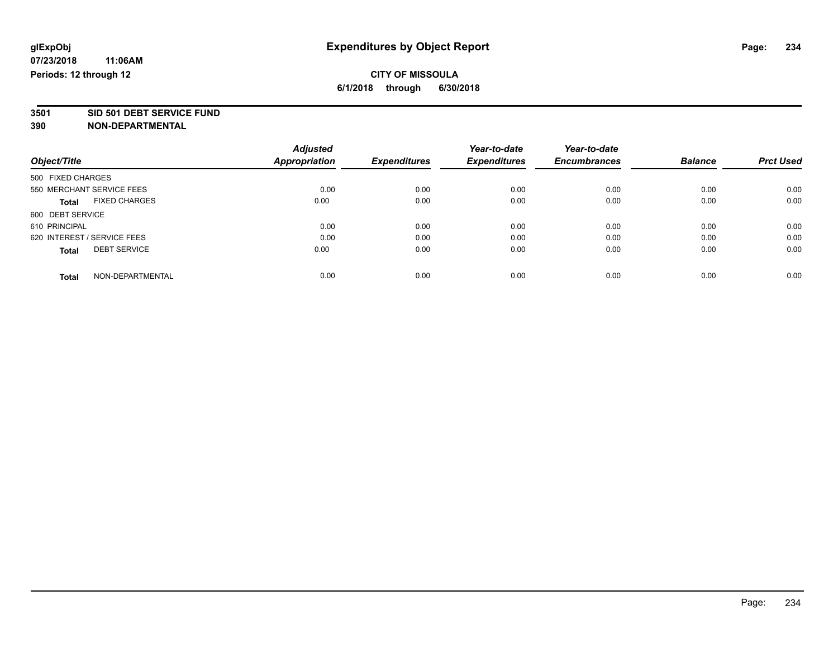# **3501 SID 501 DEBT SERVICE FUND**

|                                      | <b>Adjusted</b>      |                     | Year-to-date        | Year-to-date        |                |                  |
|--------------------------------------|----------------------|---------------------|---------------------|---------------------|----------------|------------------|
| Object/Title                         | <b>Appropriation</b> | <b>Expenditures</b> | <b>Expenditures</b> | <b>Encumbrances</b> | <b>Balance</b> | <b>Prct Used</b> |
| 500 FIXED CHARGES                    |                      |                     |                     |                     |                |                  |
| 550 MERCHANT SERVICE FEES            | 0.00                 | 0.00                | 0.00                | 0.00                | 0.00           | 0.00             |
| <b>FIXED CHARGES</b><br><b>Total</b> | 0.00                 | 0.00                | 0.00                | 0.00                | 0.00           | 0.00             |
| 600 DEBT SERVICE                     |                      |                     |                     |                     |                |                  |
| 610 PRINCIPAL                        | 0.00                 | 0.00                | 0.00                | 0.00                | 0.00           | 0.00             |
| 620 INTEREST / SERVICE FEES          | 0.00                 | 0.00                | 0.00                | 0.00                | 0.00           | 0.00             |
| <b>DEBT SERVICE</b><br><b>Total</b>  | 0.00                 | 0.00                | 0.00                | 0.00                | 0.00           | 0.00             |
| NON-DEPARTMENTAL<br><b>Total</b>     | 0.00                 | 0.00                | 0.00                | 0.00                | 0.00           | 0.00             |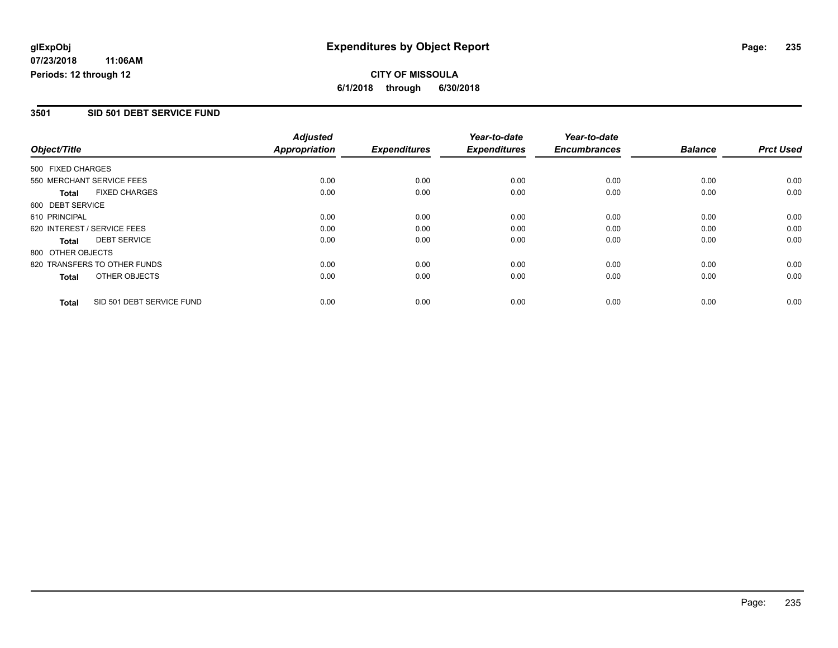**CITY OF MISSOULA 6/1/2018 through 6/30/2018**

#### **3501 SID 501 DEBT SERVICE FUND**

|                   |                              | <b>Adjusted</b>      |                     | Year-to-date        | Year-to-date        |                |                  |
|-------------------|------------------------------|----------------------|---------------------|---------------------|---------------------|----------------|------------------|
| Object/Title      |                              | <b>Appropriation</b> | <b>Expenditures</b> | <b>Expenditures</b> | <b>Encumbrances</b> | <b>Balance</b> | <b>Prct Used</b> |
| 500 FIXED CHARGES |                              |                      |                     |                     |                     |                |                  |
|                   | 550 MERCHANT SERVICE FEES    | 0.00                 | 0.00                | 0.00                | 0.00                | 0.00           | 0.00             |
| <b>Total</b>      | <b>FIXED CHARGES</b>         | 0.00                 | 0.00                | 0.00                | 0.00                | 0.00           | 0.00             |
| 600 DEBT SERVICE  |                              |                      |                     |                     |                     |                |                  |
| 610 PRINCIPAL     |                              | 0.00                 | 0.00                | 0.00                | 0.00                | 0.00           | 0.00             |
|                   | 620 INTEREST / SERVICE FEES  | 0.00                 | 0.00                | 0.00                | 0.00                | 0.00           | 0.00             |
| Total             | <b>DEBT SERVICE</b>          | 0.00                 | 0.00                | 0.00                | 0.00                | 0.00           | 0.00             |
| 800 OTHER OBJECTS |                              |                      |                     |                     |                     |                |                  |
|                   | 820 TRANSFERS TO OTHER FUNDS | 0.00                 | 0.00                | 0.00                | 0.00                | 0.00           | 0.00             |
| Total             | OTHER OBJECTS                | 0.00                 | 0.00                | 0.00                | 0.00                | 0.00           | 0.00             |
| <b>Total</b>      | SID 501 DEBT SERVICE FUND    | 0.00                 | 0.00                | 0.00                | 0.00                | 0.00           | 0.00             |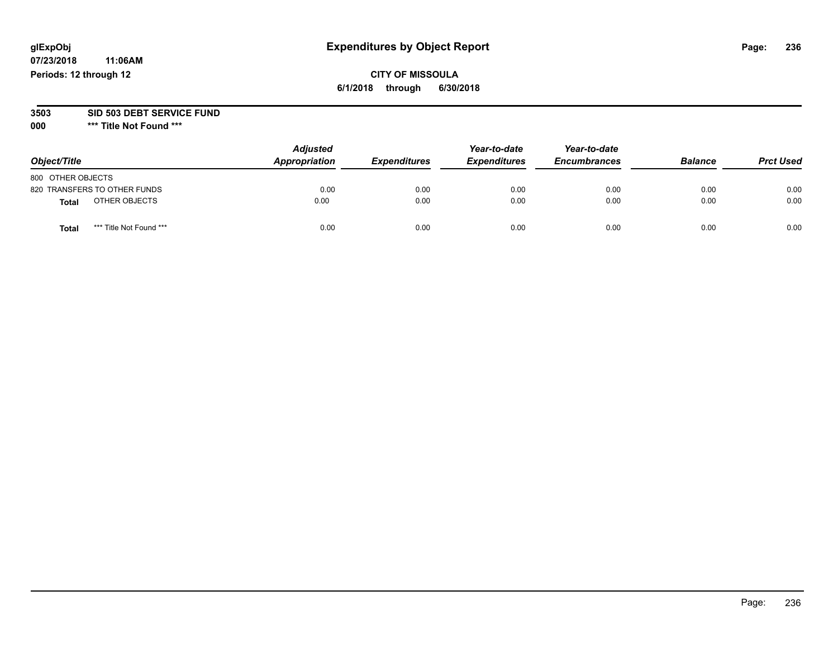#### **07/23/2018 11:06AM Periods: 12 through 12**

# **CITY OF MISSOULA 6/1/2018 through 6/30/2018**

#### **3503 SID 503 DEBT SERVICE FUND**

| Object/Title                     | <b>Adjusted</b><br>Appropriation | <b>Expenditures</b> | Year-to-date<br><b>Expenditures</b> | Year-to-date<br><b>Encumbrances</b> | <b>Balance</b> | <b>Prct Used</b> |
|----------------------------------|----------------------------------|---------------------|-------------------------------------|-------------------------------------|----------------|------------------|
| 800 OTHER OBJECTS                |                                  |                     |                                     |                                     |                |                  |
| 820 TRANSFERS TO OTHER FUNDS     | 0.00                             | 0.00                | 0.00                                | 0.00                                | 0.00           | 0.00             |
| OTHER OBJECTS<br><b>Total</b>    | 0.00                             | 0.00                | 0.00                                | 0.00                                | 0.00           | 0.00             |
| *** Title Not Found ***<br>Total | 0.00                             | 0.00                | 0.00                                | 0.00                                | 0.00           | 0.00             |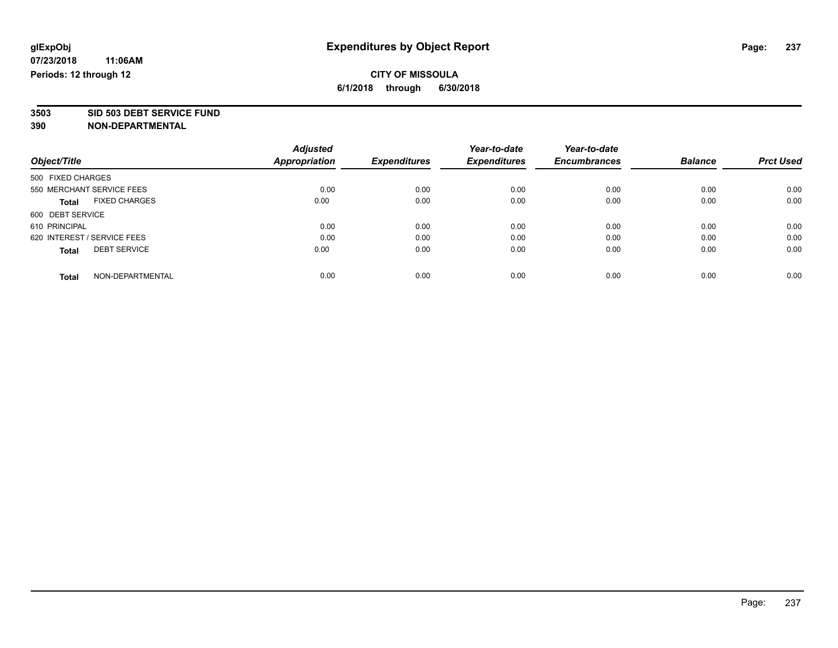**3503 SID 503 DEBT SERVICE FUND**

|                                      | <b>Adjusted</b>      |                     | Year-to-date        | Year-to-date        |                |                  |
|--------------------------------------|----------------------|---------------------|---------------------|---------------------|----------------|------------------|
| Object/Title                         | <b>Appropriation</b> | <b>Expenditures</b> | <b>Expenditures</b> | <b>Encumbrances</b> | <b>Balance</b> | <b>Prct Used</b> |
| 500 FIXED CHARGES                    |                      |                     |                     |                     |                |                  |
| 550 MERCHANT SERVICE FEES            | 0.00                 | 0.00                | 0.00                | 0.00                | 0.00           | 0.00             |
| <b>FIXED CHARGES</b><br><b>Total</b> | 0.00                 | 0.00                | 0.00                | 0.00                | 0.00           | 0.00             |
| 600 DEBT SERVICE                     |                      |                     |                     |                     |                |                  |
| 610 PRINCIPAL                        | 0.00                 | 0.00                | 0.00                | 0.00                | 0.00           | 0.00             |
| 620 INTEREST / SERVICE FEES          | 0.00                 | 0.00                | 0.00                | 0.00                | 0.00           | 0.00             |
| <b>DEBT SERVICE</b><br><b>Total</b>  | 0.00                 | 0.00                | 0.00                | 0.00                | 0.00           | 0.00             |
| NON-DEPARTMENTAL<br><b>Total</b>     | 0.00                 | 0.00                | 0.00                | 0.00                | 0.00           | 0.00             |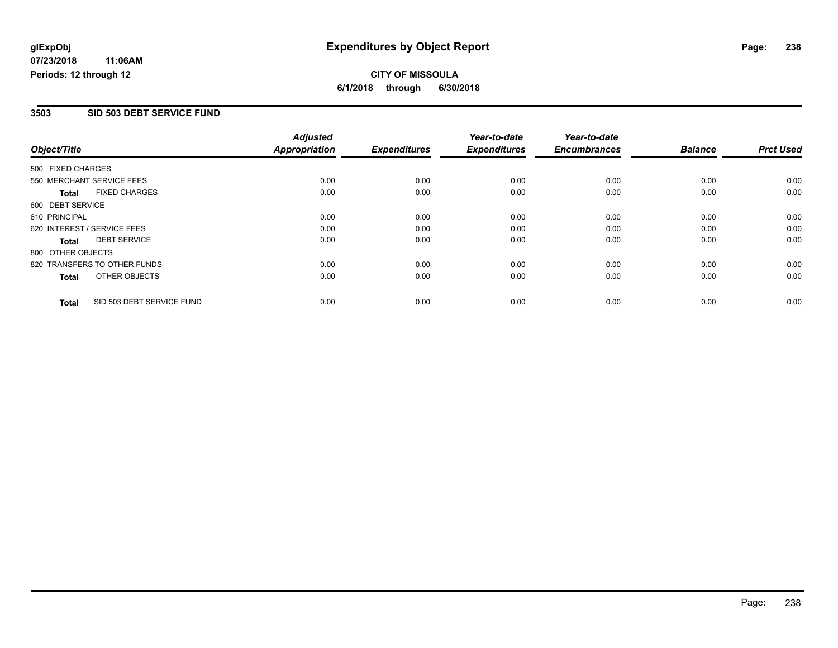# **CITY OF MISSOULA 6/1/2018 through 6/30/2018**

### **3503 SID 503 DEBT SERVICE FUND**

|                   |                              | <b>Adjusted</b>      |                     | Year-to-date        | Year-to-date        |                |                  |
|-------------------|------------------------------|----------------------|---------------------|---------------------|---------------------|----------------|------------------|
| Object/Title      |                              | <b>Appropriation</b> | <b>Expenditures</b> | <b>Expenditures</b> | <b>Encumbrances</b> | <b>Balance</b> | <b>Prct Used</b> |
| 500 FIXED CHARGES |                              |                      |                     |                     |                     |                |                  |
|                   | 550 MERCHANT SERVICE FEES    | 0.00                 | 0.00                | 0.00                | 0.00                | 0.00           | 0.00             |
| <b>Total</b>      | <b>FIXED CHARGES</b>         | 0.00                 | 0.00                | 0.00                | 0.00                | 0.00           | 0.00             |
| 600 DEBT SERVICE  |                              |                      |                     |                     |                     |                |                  |
| 610 PRINCIPAL     |                              | 0.00                 | 0.00                | 0.00                | 0.00                | 0.00           | 0.00             |
|                   | 620 INTEREST / SERVICE FEES  | 0.00                 | 0.00                | 0.00                | 0.00                | 0.00           | 0.00             |
| <b>Total</b>      | <b>DEBT SERVICE</b>          | 0.00                 | 0.00                | 0.00                | 0.00                | 0.00           | 0.00             |
| 800 OTHER OBJECTS |                              |                      |                     |                     |                     |                |                  |
|                   | 820 TRANSFERS TO OTHER FUNDS | 0.00                 | 0.00                | 0.00                | 0.00                | 0.00           | 0.00             |
| <b>Total</b>      | OTHER OBJECTS                | 0.00                 | 0.00                | 0.00                | 0.00                | 0.00           | 0.00             |
| <b>Total</b>      | SID 503 DEBT SERVICE FUND    | 0.00                 | 0.00                | 0.00                | 0.00                | 0.00           | 0.00             |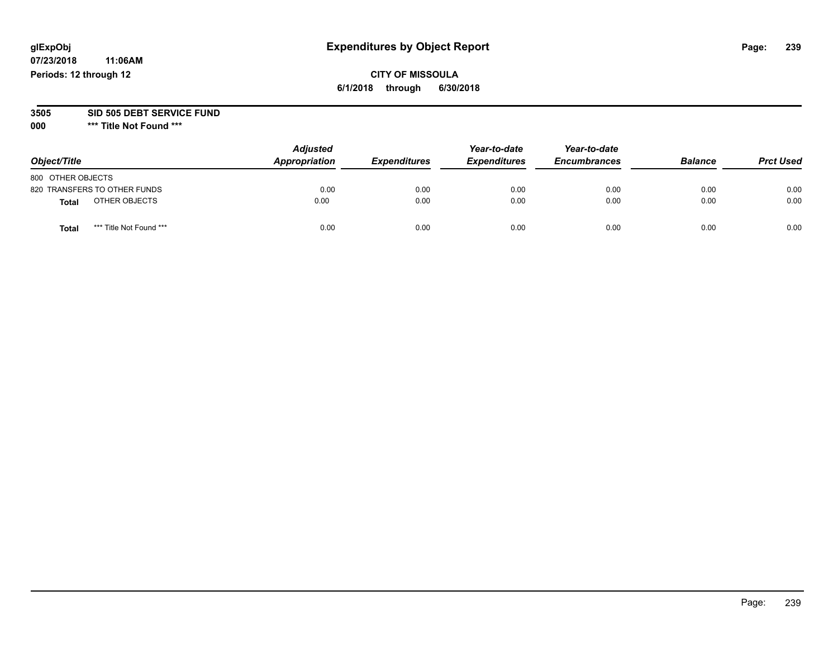#### **07/23/2018 11:06AM Periods: 12 through 12**

# **CITY OF MISSOULA 6/1/2018 through 6/30/2018**

#### **3505 SID 505 DEBT SERVICE FUND**

| Object/Title                            | <b>Adjusted</b><br>Appropriation | <b>Expenditures</b> | Year-to-date<br><b>Expenditures</b> | Year-to-date<br><b>Encumbrances</b> | <b>Balance</b> | <b>Prct Used</b> |
|-----------------------------------------|----------------------------------|---------------------|-------------------------------------|-------------------------------------|----------------|------------------|
| 800 OTHER OBJECTS                       |                                  |                     |                                     |                                     |                |                  |
| 820 TRANSFERS TO OTHER FUNDS            | 0.00                             | 0.00                | 0.00                                | 0.00                                | 0.00           | 0.00             |
| OTHER OBJECTS<br>Total                  | 0.00                             | 0.00                | 0.00                                | 0.00                                | 0.00           | 0.00             |
| *** Title Not Found ***<br><b>Total</b> | 0.00                             | 0.00                | 0.00                                | 0.00                                | 0.00           | 0.00             |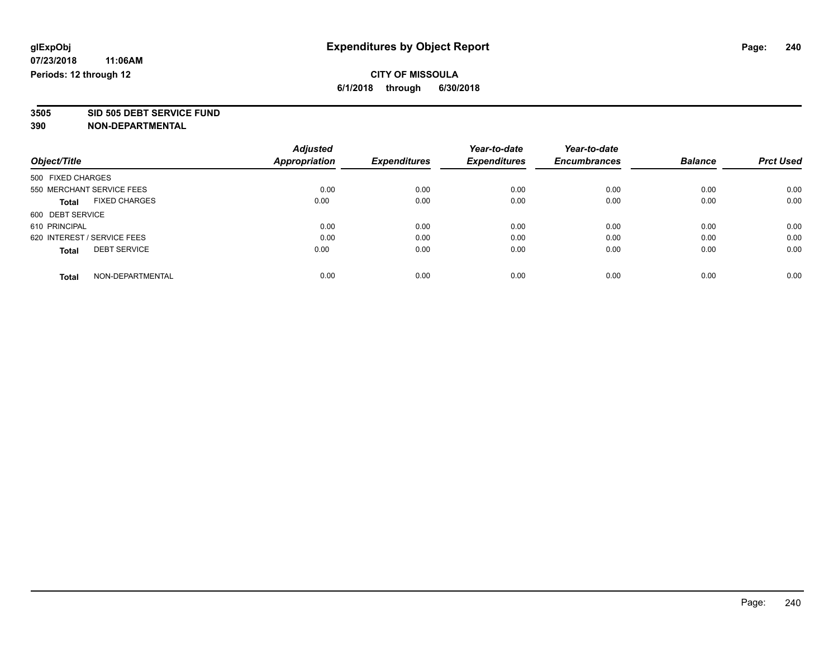# **3505 SID 505 DEBT SERVICE FUND**

|                                      | <b>Adjusted</b>      |                     | Year-to-date        | Year-to-date        |                |                  |
|--------------------------------------|----------------------|---------------------|---------------------|---------------------|----------------|------------------|
| Object/Title                         | <b>Appropriation</b> | <b>Expenditures</b> | <b>Expenditures</b> | <b>Encumbrances</b> | <b>Balance</b> | <b>Prct Used</b> |
| 500 FIXED CHARGES                    |                      |                     |                     |                     |                |                  |
| 550 MERCHANT SERVICE FEES            | 0.00                 | 0.00                | 0.00                | 0.00                | 0.00           | 0.00             |
| <b>FIXED CHARGES</b><br><b>Total</b> | 0.00                 | 0.00                | 0.00                | 0.00                | 0.00           | 0.00             |
| 600 DEBT SERVICE                     |                      |                     |                     |                     |                |                  |
| 610 PRINCIPAL                        | 0.00                 | 0.00                | 0.00                | 0.00                | 0.00           | 0.00             |
| 620 INTEREST / SERVICE FEES          | 0.00                 | 0.00                | 0.00                | 0.00                | 0.00           | 0.00             |
| <b>DEBT SERVICE</b><br><b>Total</b>  | 0.00                 | 0.00                | 0.00                | 0.00                | 0.00           | 0.00             |
| NON-DEPARTMENTAL<br><b>Total</b>     | 0.00                 | 0.00                | 0.00                | 0.00                | 0.00           | 0.00             |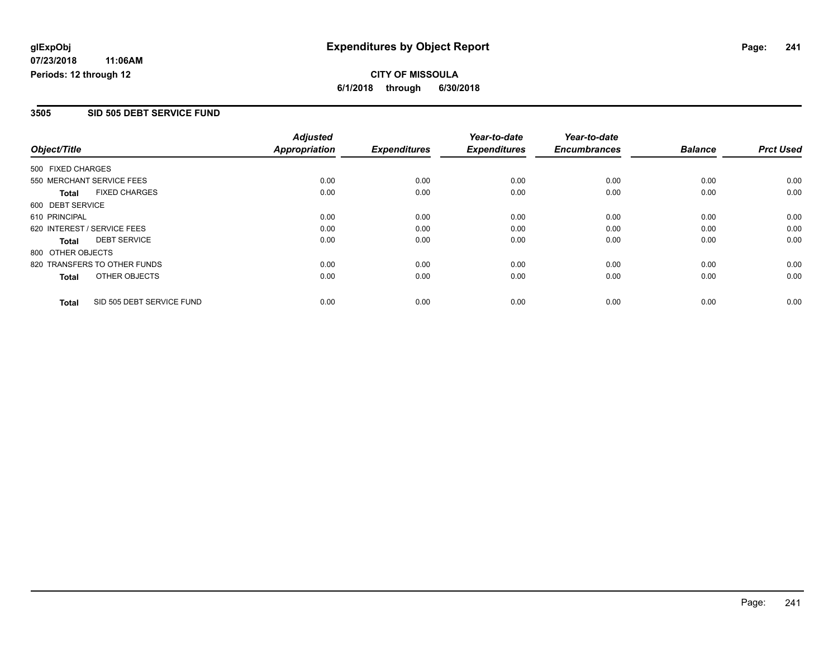**CITY OF MISSOULA 6/1/2018 through 6/30/2018**

### **3505 SID 505 DEBT SERVICE FUND**

|                   |                              | <b>Adjusted</b>      |                     | Year-to-date        | Year-to-date        |                |                  |
|-------------------|------------------------------|----------------------|---------------------|---------------------|---------------------|----------------|------------------|
| Object/Title      |                              | <b>Appropriation</b> | <b>Expenditures</b> | <b>Expenditures</b> | <b>Encumbrances</b> | <b>Balance</b> | <b>Prct Used</b> |
| 500 FIXED CHARGES |                              |                      |                     |                     |                     |                |                  |
|                   | 550 MERCHANT SERVICE FEES    | 0.00                 | 0.00                | 0.00                | 0.00                | 0.00           | 0.00             |
| <b>Total</b>      | <b>FIXED CHARGES</b>         | 0.00                 | 0.00                | 0.00                | 0.00                | 0.00           | 0.00             |
| 600 DEBT SERVICE  |                              |                      |                     |                     |                     |                |                  |
| 610 PRINCIPAL     |                              | 0.00                 | 0.00                | 0.00                | 0.00                | 0.00           | 0.00             |
|                   | 620 INTEREST / SERVICE FEES  | 0.00                 | 0.00                | 0.00                | 0.00                | 0.00           | 0.00             |
| Total             | <b>DEBT SERVICE</b>          | 0.00                 | 0.00                | 0.00                | 0.00                | 0.00           | 0.00             |
| 800 OTHER OBJECTS |                              |                      |                     |                     |                     |                |                  |
|                   | 820 TRANSFERS TO OTHER FUNDS | 0.00                 | 0.00                | 0.00                | 0.00                | 0.00           | 0.00             |
| Total             | OTHER OBJECTS                | 0.00                 | 0.00                | 0.00                | 0.00                | 0.00           | 0.00             |
| <b>Total</b>      | SID 505 DEBT SERVICE FUND    | 0.00                 | 0.00                | 0.00                | 0.00                | 0.00           | 0.00             |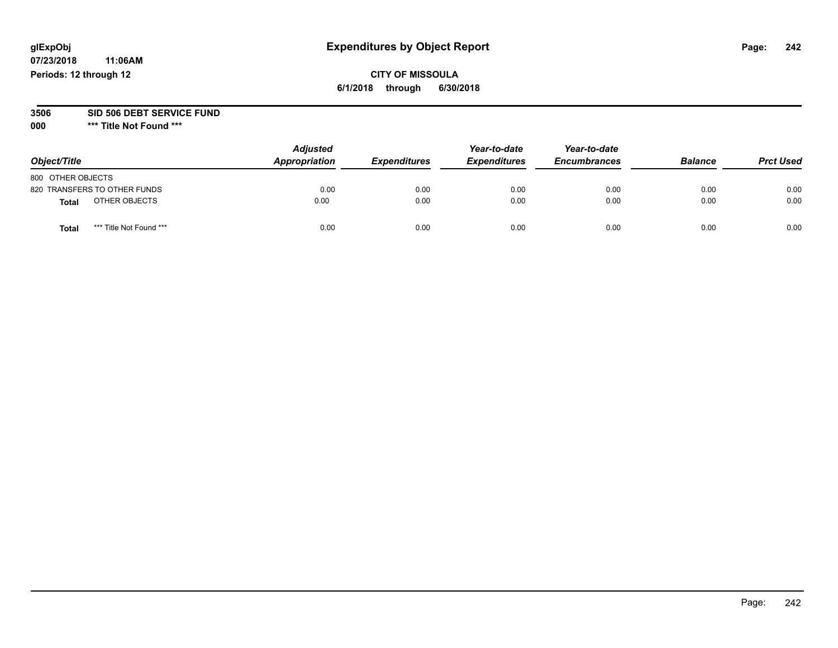#### **07/23/2018 11:06AM Periods: 12 through 12**

# **CITY OF MISSOULA 6/1/2018 through 6/30/2018**

#### **3506 SID 506 DEBT SERVICE FUND**

| Object/Title                            | <b>Adjusted</b><br>Appropriation | <b>Expenditures</b> | Year-to-date<br><b>Expenditures</b> | Year-to-date<br><b>Encumbrances</b> | <b>Balance</b> | <b>Prct Used</b> |
|-----------------------------------------|----------------------------------|---------------------|-------------------------------------|-------------------------------------|----------------|------------------|
| 800 OTHER OBJECTS                       |                                  |                     |                                     |                                     |                |                  |
| 820 TRANSFERS TO OTHER FUNDS            | 0.00                             | 0.00                | 0.00                                | 0.00                                | 0.00           | 0.00             |
| OTHER OBJECTS<br><b>Total</b>           | 0.00                             | 0.00                | 0.00                                | 0.00                                | 0.00           | 0.00             |
| *** Title Not Found ***<br><b>Total</b> | 0.00                             | 0.00                | 0.00                                | 0.00                                | 0.00           | 0.00             |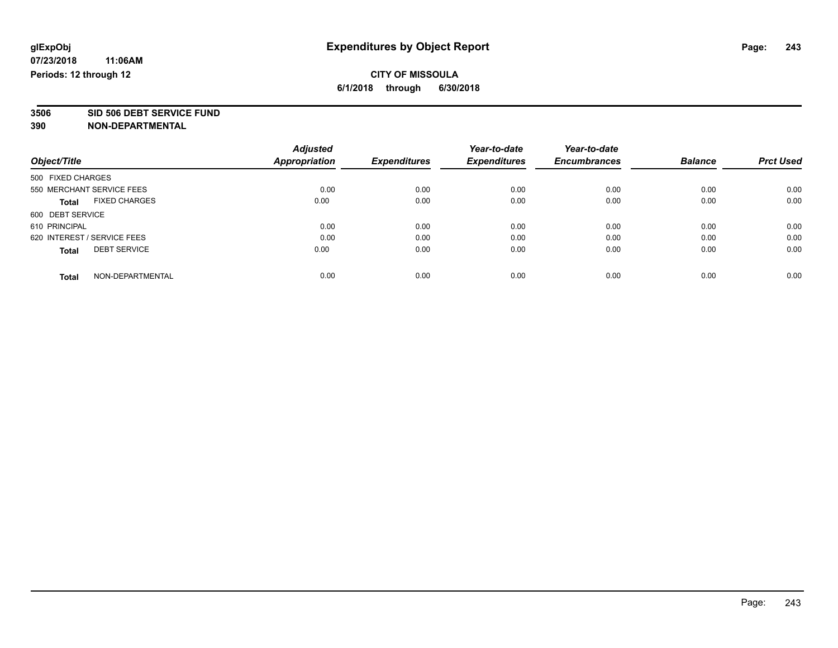**3506 SID 506 DEBT SERVICE FUND**

|                                      | <b>Adjusted</b>      |                     | Year-to-date        | Year-to-date        |                |                  |
|--------------------------------------|----------------------|---------------------|---------------------|---------------------|----------------|------------------|
| Object/Title                         | <b>Appropriation</b> | <b>Expenditures</b> | <b>Expenditures</b> | <b>Encumbrances</b> | <b>Balance</b> | <b>Prct Used</b> |
| 500 FIXED CHARGES                    |                      |                     |                     |                     |                |                  |
| 550 MERCHANT SERVICE FEES            | 0.00                 | 0.00                | 0.00                | 0.00                | 0.00           | 0.00             |
| <b>FIXED CHARGES</b><br><b>Total</b> | 0.00                 | 0.00                | 0.00                | 0.00                | 0.00           | 0.00             |
| 600 DEBT SERVICE                     |                      |                     |                     |                     |                |                  |
| 610 PRINCIPAL                        | 0.00                 | 0.00                | 0.00                | 0.00                | 0.00           | 0.00             |
| 620 INTEREST / SERVICE FEES          | 0.00                 | 0.00                | 0.00                | 0.00                | 0.00           | 0.00             |
| <b>DEBT SERVICE</b><br><b>Total</b>  | 0.00                 | 0.00                | 0.00                | 0.00                | 0.00           | 0.00             |
| NON-DEPARTMENTAL<br><b>Total</b>     | 0.00                 | 0.00                | 0.00                | 0.00                | 0.00           | 0.00             |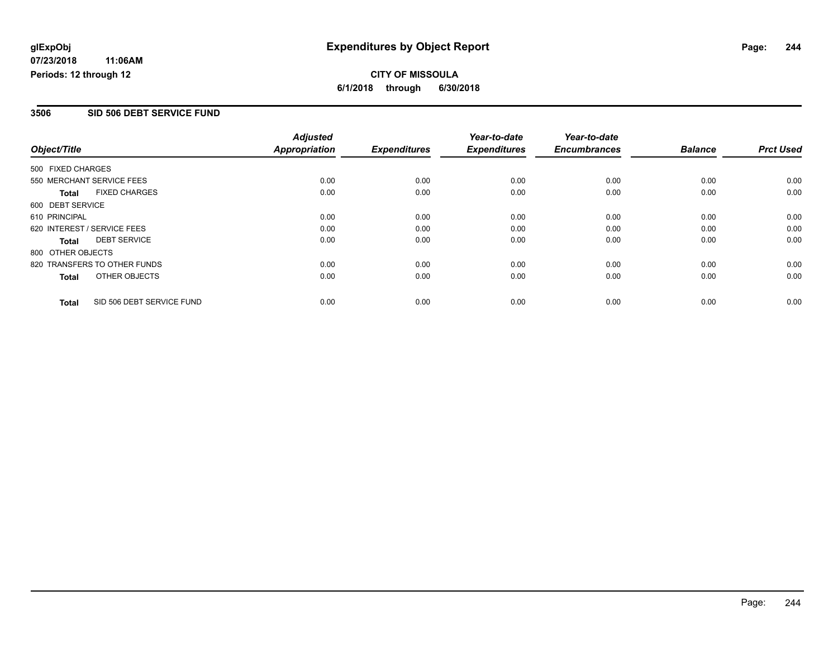**CITY OF MISSOULA 6/1/2018 through 6/30/2018**

#### **3506 SID 506 DEBT SERVICE FUND**

|                                           | <b>Adjusted</b>      |                     | Year-to-date        | Year-to-date        |                |                  |
|-------------------------------------------|----------------------|---------------------|---------------------|---------------------|----------------|------------------|
| Object/Title                              | <b>Appropriation</b> | <b>Expenditures</b> | <b>Expenditures</b> | <b>Encumbrances</b> | <b>Balance</b> | <b>Prct Used</b> |
| 500 FIXED CHARGES                         |                      |                     |                     |                     |                |                  |
| 550 MERCHANT SERVICE FEES                 | 0.00                 | 0.00                | 0.00                | 0.00                | 0.00           | 0.00             |
| <b>FIXED CHARGES</b><br><b>Total</b>      | 0.00                 | 0.00                | 0.00                | 0.00                | 0.00           | 0.00             |
| 600 DEBT SERVICE                          |                      |                     |                     |                     |                |                  |
| 610 PRINCIPAL                             | 0.00                 | 0.00                | 0.00                | 0.00                | 0.00           | 0.00             |
| 620 INTEREST / SERVICE FEES               | 0.00                 | 0.00                | 0.00                | 0.00                | 0.00           | 0.00             |
| <b>DEBT SERVICE</b><br><b>Total</b>       | 0.00                 | 0.00                | 0.00                | 0.00                | 0.00           | 0.00             |
| 800 OTHER OBJECTS                         |                      |                     |                     |                     |                |                  |
| 820 TRANSFERS TO OTHER FUNDS              | 0.00                 | 0.00                | 0.00                | 0.00                | 0.00           | 0.00             |
| OTHER OBJECTS<br><b>Total</b>             | 0.00                 | 0.00                | 0.00                | 0.00                | 0.00           | 0.00             |
| SID 506 DEBT SERVICE FUND<br><b>Total</b> | 0.00                 | 0.00                | 0.00                | 0.00                | 0.00           | 0.00             |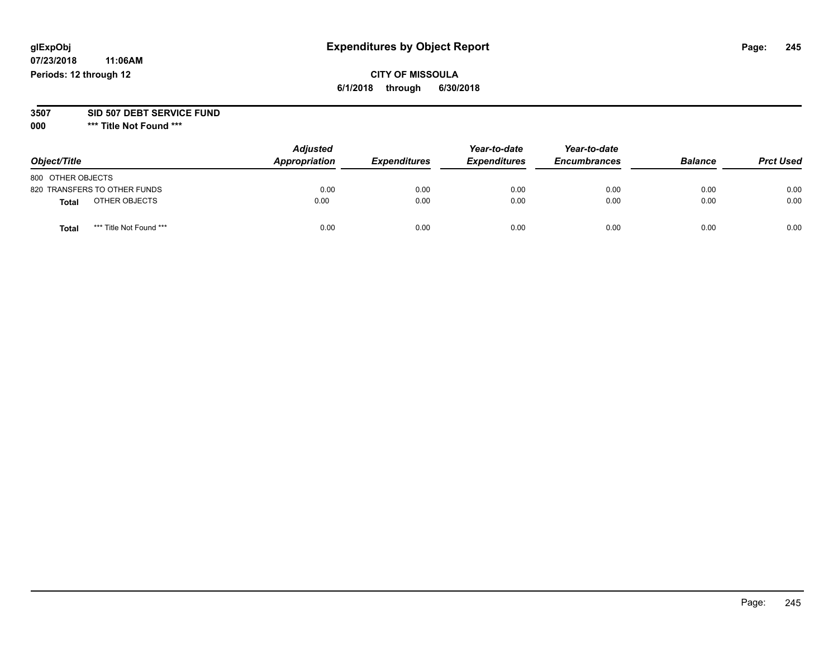# **CITY OF MISSOULA 6/1/2018 through 6/30/2018**

#### **3507 SID 507 DEBT SERVICE FUND**

| Object/Title                     | <b>Adjusted</b><br>Appropriation | <b>Expenditures</b> | Year-to-date<br><b>Expenditures</b> | Year-to-date<br><b>Encumbrances</b> | <b>Balance</b> | <b>Prct Used</b> |
|----------------------------------|----------------------------------|---------------------|-------------------------------------|-------------------------------------|----------------|------------------|
| 800 OTHER OBJECTS                |                                  |                     |                                     |                                     |                |                  |
| 820 TRANSFERS TO OTHER FUNDS     | 0.00                             | 0.00                | 0.00                                | 0.00                                | 0.00           | 0.00             |
| OTHER OBJECTS<br><b>Total</b>    | 0.00                             | 0.00                | 0.00                                | 0.00                                | 0.00           | 0.00             |
| *** Title Not Found ***<br>Total | 0.00                             | 0.00                | 0.00                                | 0.00                                | 0.00           | 0.00             |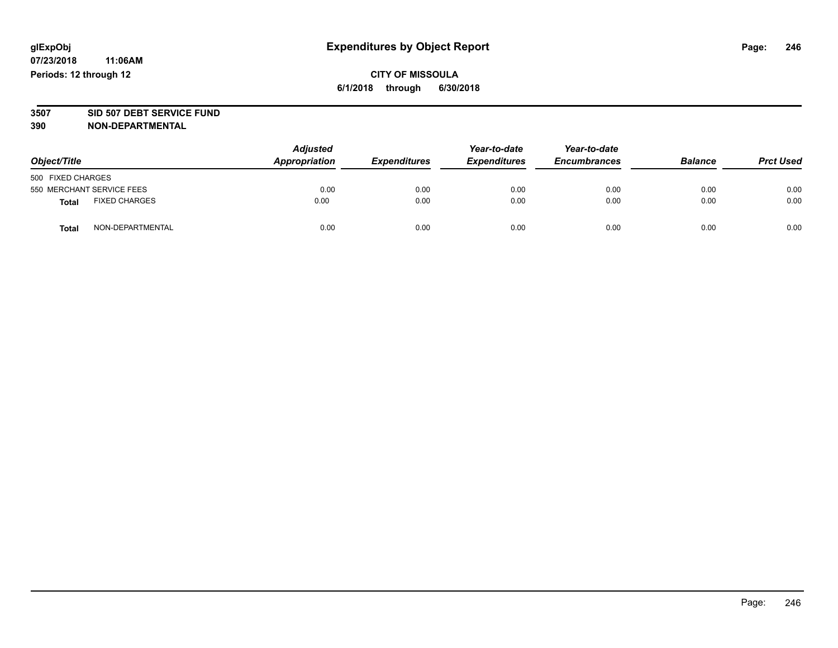# **3507 SID 507 DEBT SERVICE FUND**

| Object/Title                         |                  | <b>Adjusted</b><br>Appropriation | <b>Expenditures</b> | Year-to-date<br><b>Expenditures</b> | Year-to-date<br><b>Encumbrances</b> | <b>Balance</b> | <b>Prct Used</b> |
|--------------------------------------|------------------|----------------------------------|---------------------|-------------------------------------|-------------------------------------|----------------|------------------|
| 500 FIXED CHARGES                    |                  |                                  |                     |                                     |                                     |                |                  |
| 550 MERCHANT SERVICE FEES            |                  | 0.00                             | 0.00                | 0.00                                | 0.00                                | 0.00           | 0.00             |
| <b>FIXED CHARGES</b><br><b>Total</b> |                  | 0.00                             | 0.00                | 0.00                                | 0.00                                | 0.00           | 0.00             |
| <b>Total</b>                         | NON-DEPARTMENTAL | 0.00                             | 0.00                | 0.00                                | 0.00                                | 0.00           | 0.00             |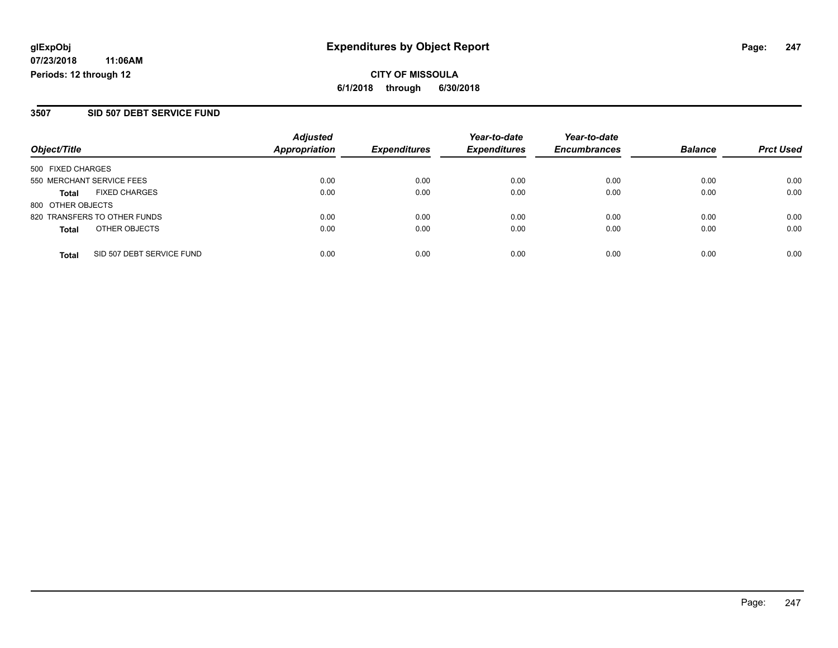**CITY OF MISSOULA 6/1/2018 through 6/30/2018**

### **3507 SID 507 DEBT SERVICE FUND**

|                           |                              | <b>Adjusted</b>      |                     | Year-to-date        | Year-to-date        |                |                  |
|---------------------------|------------------------------|----------------------|---------------------|---------------------|---------------------|----------------|------------------|
| Object/Title              |                              | <b>Appropriation</b> | <b>Expenditures</b> | <b>Expenditures</b> | <b>Encumbrances</b> | <b>Balance</b> | <b>Prct Used</b> |
| 500 FIXED CHARGES         |                              |                      |                     |                     |                     |                |                  |
| 550 MERCHANT SERVICE FEES |                              | 0.00                 | 0.00                | 0.00                | 0.00                | 0.00           | 0.00             |
| <b>Total</b>              | <b>FIXED CHARGES</b>         | 0.00                 | 0.00                | 0.00                | 0.00                | 0.00           | 0.00             |
| 800 OTHER OBJECTS         |                              |                      |                     |                     |                     |                |                  |
|                           | 820 TRANSFERS TO OTHER FUNDS | 0.00                 | 0.00                | 0.00                | 0.00                | 0.00           | 0.00             |
| <b>Total</b>              | OTHER OBJECTS                | 0.00                 | 0.00                | 0.00                | 0.00                | 0.00           | 0.00             |
| <b>Total</b>              | SID 507 DEBT SERVICE FUND    | 0.00                 | 0.00                | 0.00                | 0.00                | 0.00           | 0.00             |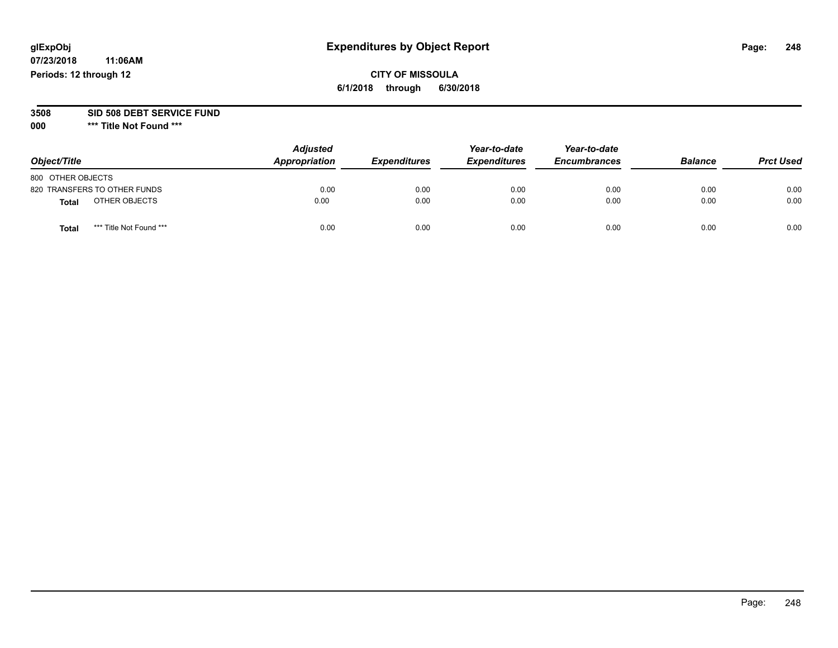#### **07/23/2018 11:06AM Periods: 12 through 12**

# **CITY OF MISSOULA 6/1/2018 through 6/30/2018**

#### **3508 SID 508 DEBT SERVICE FUND**

| Object/Title                            | <b>Adjusted</b><br>Appropriation | <b>Expenditures</b> | Year-to-date<br><b>Expenditures</b> | Year-to-date<br><b>Encumbrances</b> | <b>Balance</b> | <b>Prct Used</b> |
|-----------------------------------------|----------------------------------|---------------------|-------------------------------------|-------------------------------------|----------------|------------------|
| 800 OTHER OBJECTS                       |                                  |                     |                                     |                                     |                |                  |
| 820 TRANSFERS TO OTHER FUNDS            | 0.00                             | 0.00                | 0.00                                | 0.00                                | 0.00           | 0.00             |
| OTHER OBJECTS<br><b>Total</b>           | 0.00                             | 0.00                | 0.00                                | 0.00                                | 0.00           | 0.00             |
| *** Title Not Found ***<br><b>Total</b> | 0.00                             | 0.00                | 0.00                                | 0.00                                | 0.00           | 0.00             |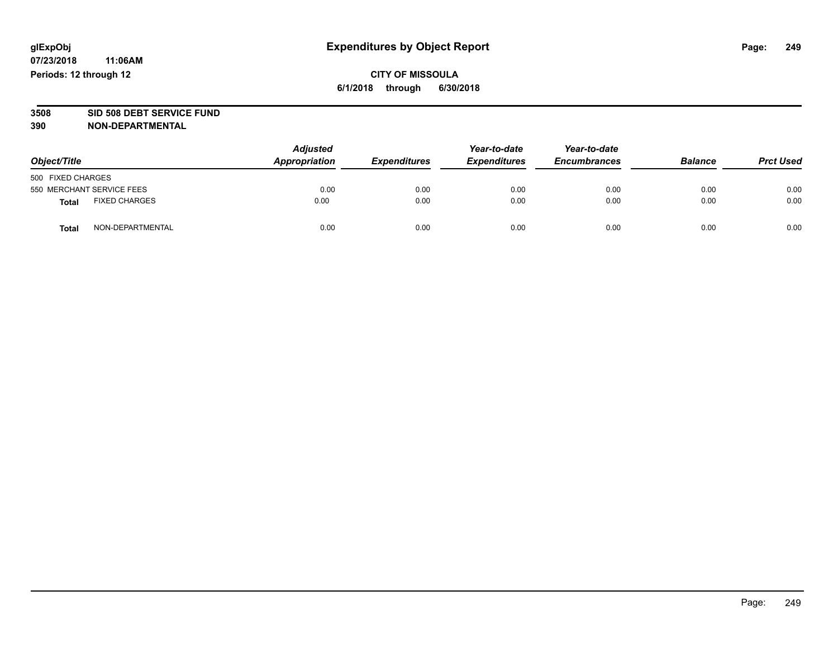# **3508 SID 508 DEBT SERVICE FUND**

| Object/Title                         |                  | <b>Adjusted</b><br>Appropriation | <b>Expenditures</b> | Year-to-date<br><b>Expenditures</b> | Year-to-date<br><b>Encumbrances</b> | <b>Balance</b> | <b>Prct Used</b> |
|--------------------------------------|------------------|----------------------------------|---------------------|-------------------------------------|-------------------------------------|----------------|------------------|
| 500 FIXED CHARGES                    |                  |                                  |                     |                                     |                                     |                |                  |
| 550 MERCHANT SERVICE FEES            |                  | 0.00                             | 0.00                | 0.00                                | 0.00                                | 0.00           | 0.00             |
| <b>FIXED CHARGES</b><br><b>Total</b> |                  | 0.00                             | 0.00                | 0.00                                | 0.00                                | 0.00           | 0.00             |
| <b>Total</b>                         | NON-DEPARTMENTAL | 0.00                             | 0.00                | 0.00                                | 0.00                                | 0.00           | 0.00             |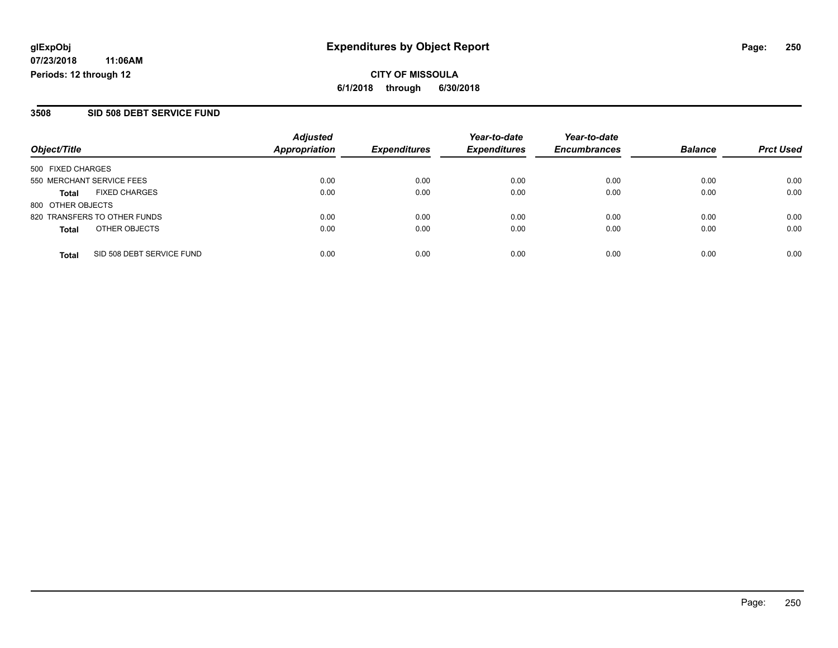**CITY OF MISSOULA 6/1/2018 through 6/30/2018**

#### **3508 SID 508 DEBT SERVICE FUND**

|      | <b>Expenditures</b>   | <b>Expenditures</b> | <b>Encumbrances</b> | <b>Balance</b> | <b>Prct Used</b> |
|------|-----------------------|---------------------|---------------------|----------------|------------------|
|      |                       |                     |                     |                |                  |
|      |                       |                     |                     |                |                  |
| 0.00 | 0.00                  | 0.00                | 0.00                | 0.00           | 0.00             |
| 0.00 | 0.00                  | 0.00                | 0.00                | 0.00           | 0.00             |
|      |                       |                     |                     |                |                  |
| 0.00 | 0.00                  | 0.00                | 0.00                | 0.00           | 0.00             |
| 0.00 | 0.00                  | 0.00                | 0.00                | 0.00           | 0.00             |
|      |                       |                     |                     |                | 0.00             |
|      | Appropriation<br>0.00 | 0.00                | 0.00                | 0.00           | 0.00             |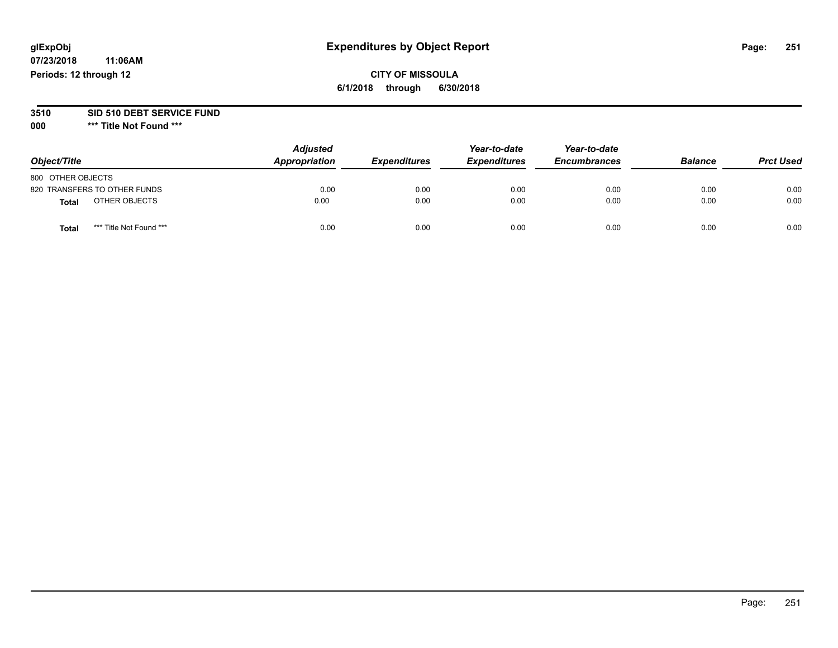#### **07/23/2018 11:06AM Periods: 12 through 12**

# **CITY OF MISSOULA 6/1/2018 through 6/30/2018**

# **3510 SID 510 DEBT SERVICE FUND**

| Object/Title                            | <b>Adjusted</b><br>Appropriation | <b>Expenditures</b> | Year-to-date<br><b>Expenditures</b> | Year-to-date<br><b>Encumbrances</b> | <b>Balance</b> | <b>Prct Used</b> |
|-----------------------------------------|----------------------------------|---------------------|-------------------------------------|-------------------------------------|----------------|------------------|
| 800 OTHER OBJECTS                       |                                  |                     |                                     |                                     |                |                  |
| 820 TRANSFERS TO OTHER FUNDS            | 0.00                             | 0.00                | 0.00                                | 0.00                                | 0.00           | 0.00             |
| OTHER OBJECTS<br><b>Total</b>           | 0.00                             | 0.00                | 0.00                                | 0.00                                | 0.00           | 0.00             |
| *** Title Not Found ***<br><b>Total</b> | 0.00                             | 0.00                | 0.00                                | 0.00                                | 0.00           | 0.00             |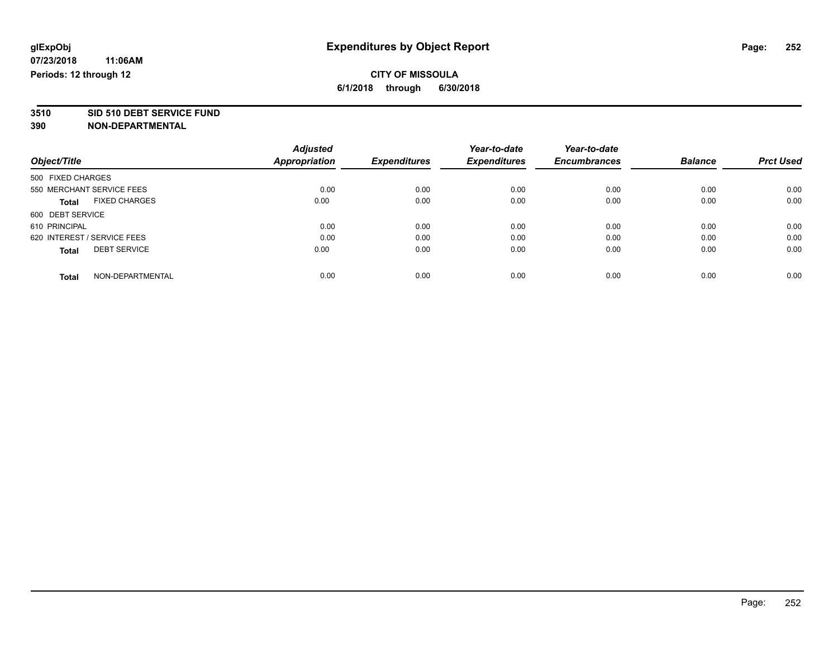# **3510 SID 510 DEBT SERVICE FUND**

|                                      | <b>Adjusted</b>      |                     | Year-to-date        | Year-to-date        |                |                  |
|--------------------------------------|----------------------|---------------------|---------------------|---------------------|----------------|------------------|
| Object/Title                         | <b>Appropriation</b> | <b>Expenditures</b> | <b>Expenditures</b> | <b>Encumbrances</b> | <b>Balance</b> | <b>Prct Used</b> |
| 500 FIXED CHARGES                    |                      |                     |                     |                     |                |                  |
| 550 MERCHANT SERVICE FEES            | 0.00                 | 0.00                | 0.00                | 0.00                | 0.00           | 0.00             |
| <b>FIXED CHARGES</b><br><b>Total</b> | 0.00                 | 0.00                | 0.00                | 0.00                | 0.00           | 0.00             |
| 600 DEBT SERVICE                     |                      |                     |                     |                     |                |                  |
| 610 PRINCIPAL                        | 0.00                 | 0.00                | 0.00                | 0.00                | 0.00           | 0.00             |
| 620 INTEREST / SERVICE FEES          | 0.00                 | 0.00                | 0.00                | 0.00                | 0.00           | 0.00             |
| <b>DEBT SERVICE</b><br><b>Total</b>  | 0.00                 | 0.00                | 0.00                | 0.00                | 0.00           | 0.00             |
| NON-DEPARTMENTAL<br>Total            | 0.00                 | 0.00                | 0.00                | 0.00                | 0.00           | 0.00             |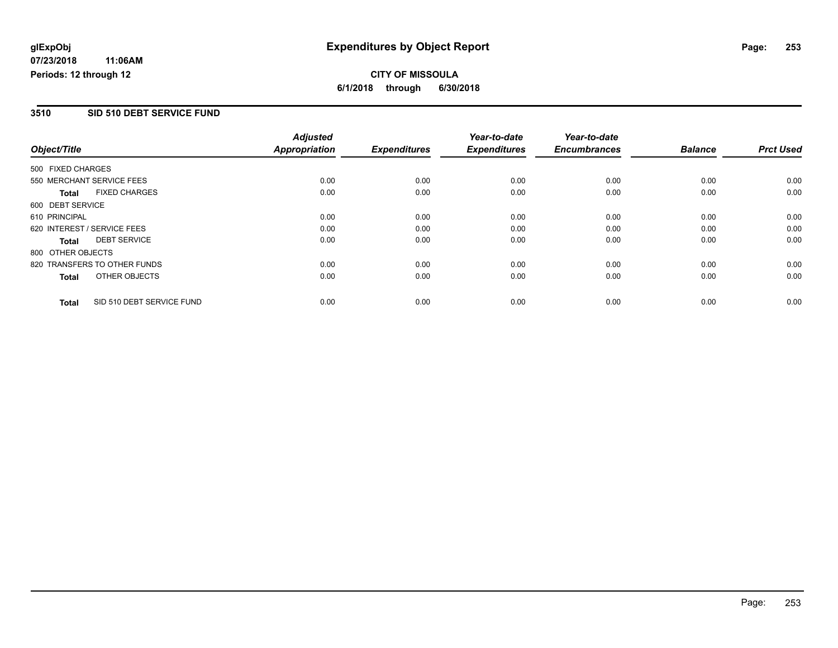**CITY OF MISSOULA 6/1/2018 through 6/30/2018**

#### **3510 SID 510 DEBT SERVICE FUND**

|                   |                              | <b>Adjusted</b>      |                     | Year-to-date        | Year-to-date        |                |                  |
|-------------------|------------------------------|----------------------|---------------------|---------------------|---------------------|----------------|------------------|
| Object/Title      |                              | <b>Appropriation</b> | <b>Expenditures</b> | <b>Expenditures</b> | <b>Encumbrances</b> | <b>Balance</b> | <b>Prct Used</b> |
| 500 FIXED CHARGES |                              |                      |                     |                     |                     |                |                  |
|                   | 550 MERCHANT SERVICE FEES    | 0.00                 | 0.00                | 0.00                | 0.00                | 0.00           | 0.00             |
| <b>Total</b>      | <b>FIXED CHARGES</b>         | 0.00                 | 0.00                | 0.00                | 0.00                | 0.00           | 0.00             |
| 600 DEBT SERVICE  |                              |                      |                     |                     |                     |                |                  |
| 610 PRINCIPAL     |                              | 0.00                 | 0.00                | 0.00                | 0.00                | 0.00           | 0.00             |
|                   | 620 INTEREST / SERVICE FEES  | 0.00                 | 0.00                | 0.00                | 0.00                | 0.00           | 0.00             |
| Total             | <b>DEBT SERVICE</b>          | 0.00                 | 0.00                | 0.00                | 0.00                | 0.00           | 0.00             |
| 800 OTHER OBJECTS |                              |                      |                     |                     |                     |                |                  |
|                   | 820 TRANSFERS TO OTHER FUNDS | 0.00                 | 0.00                | 0.00                | 0.00                | 0.00           | 0.00             |
| Total             | OTHER OBJECTS                | 0.00                 | 0.00                | 0.00                | 0.00                | 0.00           | 0.00             |
| <b>Total</b>      | SID 510 DEBT SERVICE FUND    | 0.00                 | 0.00                | 0.00                | 0.00                | 0.00           | 0.00             |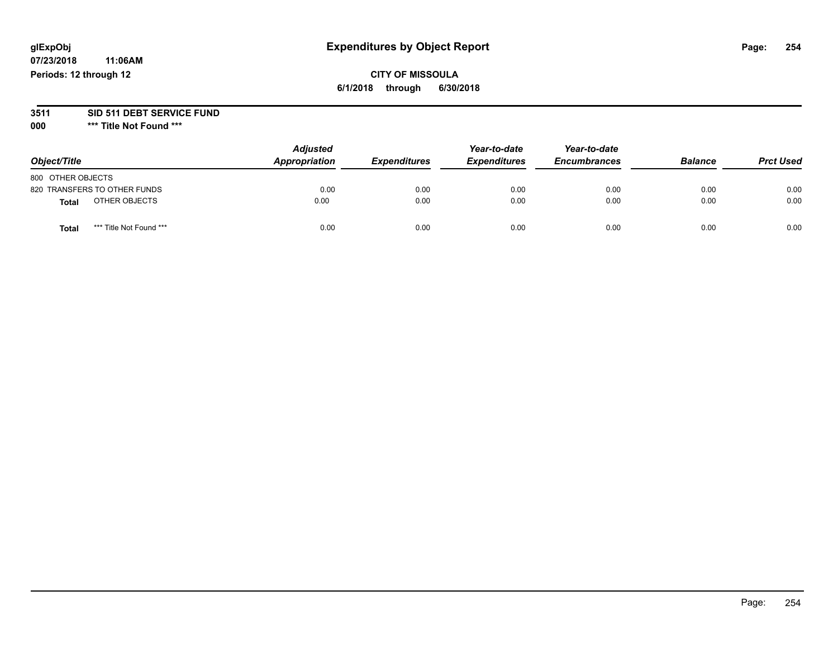# **glExpObj Expenditures by Object Report Page: 254**

# **CITY OF MISSOULA 6/1/2018 through 6/30/2018**

# **3511 SID 511 DEBT SERVICE FUND**

**000 \*\*\* Title Not Found \*\*\***

| Object/Title                            | <b>Adjusted</b><br>Appropriation | <b>Expenditures</b> | Year-to-date<br><b>Expenditures</b> | Year-to-date<br><b>Encumbrances</b> | <b>Balance</b> | <b>Prct Used</b> |
|-----------------------------------------|----------------------------------|---------------------|-------------------------------------|-------------------------------------|----------------|------------------|
| 800 OTHER OBJECTS                       |                                  |                     |                                     |                                     |                |                  |
| 820 TRANSFERS TO OTHER FUNDS            | 0.00                             | 0.00                | 0.00                                | 0.00                                | 0.00           | 0.00             |
| OTHER OBJECTS<br>Total                  | 0.00                             | 0.00                | 0.00                                | 0.00                                | 0.00           | 0.00             |
| *** Title Not Found ***<br><b>Total</b> | 0.00                             | 0.00                | 0.00                                | 0.00                                | 0.00           | 0.00             |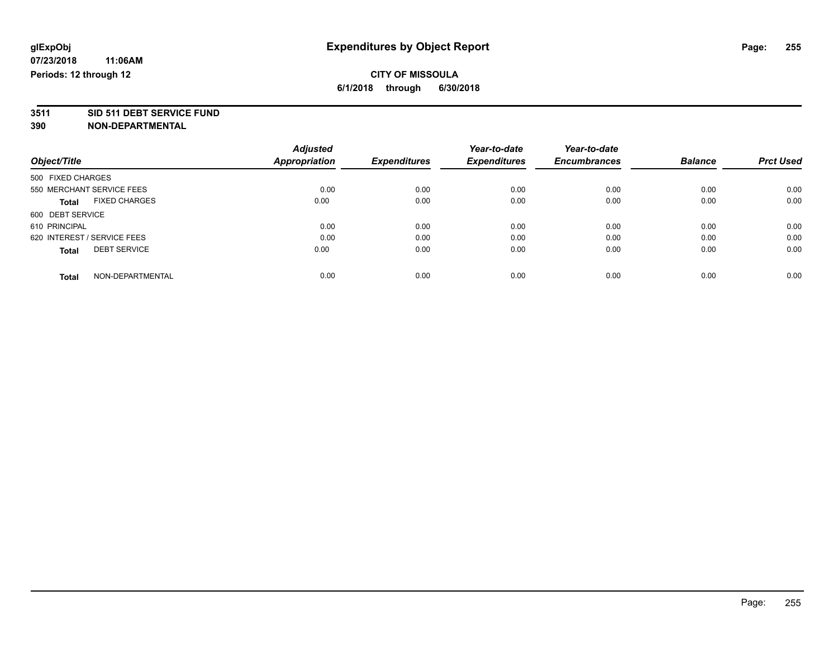# **3511 SID 511 DEBT SERVICE FUND**

|                                      | <b>Adjusted</b>      |                     | Year-to-date        | Year-to-date        |                |                  |
|--------------------------------------|----------------------|---------------------|---------------------|---------------------|----------------|------------------|
| Object/Title                         | <b>Appropriation</b> | <b>Expenditures</b> | <b>Expenditures</b> | <b>Encumbrances</b> | <b>Balance</b> | <b>Prct Used</b> |
| 500 FIXED CHARGES                    |                      |                     |                     |                     |                |                  |
| 550 MERCHANT SERVICE FEES            | 0.00                 | 0.00                | 0.00                | 0.00                | 0.00           | 0.00             |
| <b>FIXED CHARGES</b><br><b>Total</b> | 0.00                 | 0.00                | 0.00                | 0.00                | 0.00           | 0.00             |
| 600 DEBT SERVICE                     |                      |                     |                     |                     |                |                  |
| 610 PRINCIPAL                        | 0.00                 | 0.00                | 0.00                | 0.00                | 0.00           | 0.00             |
| 620 INTEREST / SERVICE FEES          | 0.00                 | 0.00                | 0.00                | 0.00                | 0.00           | 0.00             |
| <b>DEBT SERVICE</b><br><b>Total</b>  | 0.00                 | 0.00                | 0.00                | 0.00                | 0.00           | 0.00             |
| NON-DEPARTMENTAL<br><b>Total</b>     | 0.00                 | 0.00                | 0.00                | 0.00                | 0.00           | 0.00             |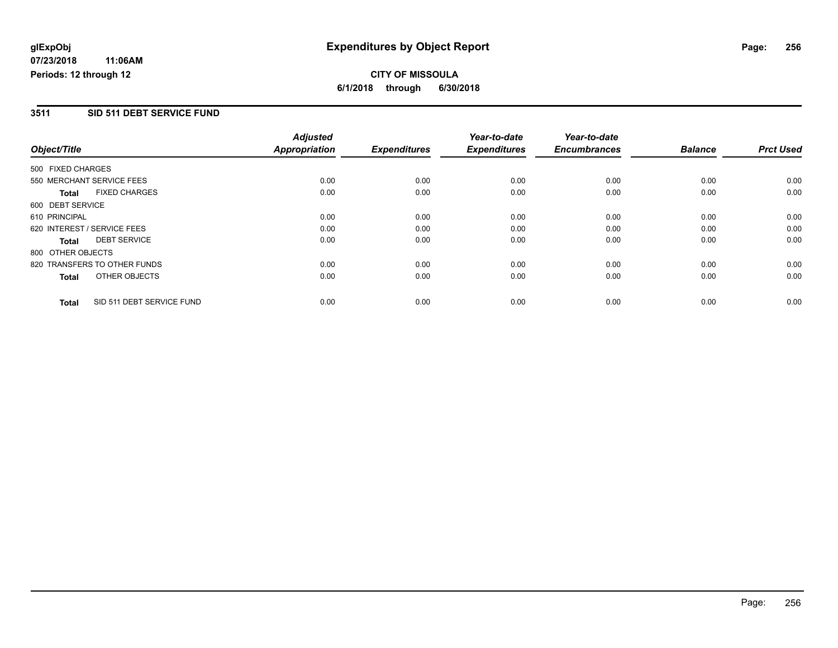**CITY OF MISSOULA 6/1/2018 through 6/30/2018**

#### **3511 SID 511 DEBT SERVICE FUND**

|                             |                              | <b>Adjusted</b>      |                     | Year-to-date        | Year-to-date        |                |                  |
|-----------------------------|------------------------------|----------------------|---------------------|---------------------|---------------------|----------------|------------------|
| Object/Title                |                              | <b>Appropriation</b> | <b>Expenditures</b> | <b>Expenditures</b> | <b>Encumbrances</b> | <b>Balance</b> | <b>Prct Used</b> |
| 500 FIXED CHARGES           |                              |                      |                     |                     |                     |                |                  |
|                             | 550 MERCHANT SERVICE FEES    | 0.00                 | 0.00                | 0.00                | 0.00                | 0.00           | 0.00             |
| <b>Total</b>                | <b>FIXED CHARGES</b>         | 0.00                 | 0.00                | 0.00                | 0.00                | 0.00           | 0.00             |
| 600 DEBT SERVICE            |                              |                      |                     |                     |                     |                |                  |
| 610 PRINCIPAL               |                              | 0.00                 | 0.00                | 0.00                | 0.00                | 0.00           | 0.00             |
| 620 INTEREST / SERVICE FEES |                              | 0.00                 | 0.00                | 0.00                | 0.00                | 0.00           | 0.00             |
| Total                       | <b>DEBT SERVICE</b>          | 0.00                 | 0.00                | 0.00                | 0.00                | 0.00           | 0.00             |
| 800 OTHER OBJECTS           |                              |                      |                     |                     |                     |                |                  |
|                             | 820 TRANSFERS TO OTHER FUNDS | 0.00                 | 0.00                | 0.00                | 0.00                | 0.00           | 0.00             |
| Total                       | OTHER OBJECTS                | 0.00                 | 0.00                | 0.00                | 0.00                | 0.00           | 0.00             |
| <b>Total</b>                | SID 511 DEBT SERVICE FUND    | 0.00                 | 0.00                | 0.00                | 0.00                | 0.00           | 0.00             |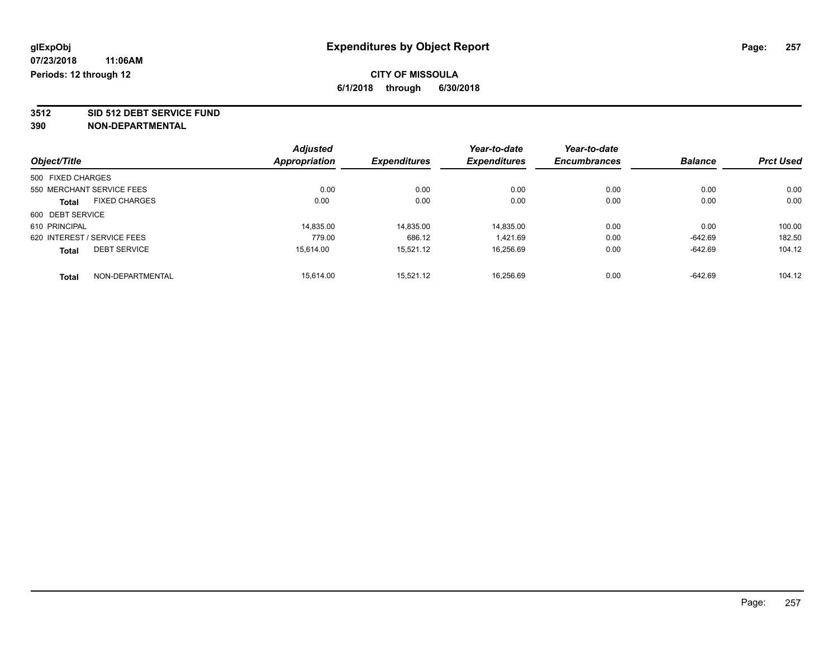**3512 SID 512 DEBT SERVICE FUND**

|                                      | <b>Adjusted</b><br>Appropriation | <b>Expenditures</b> | Year-to-date<br><b>Expenditures</b> | Year-to-date<br><b>Encumbrances</b> | <b>Balance</b> | <b>Prct Used</b> |
|--------------------------------------|----------------------------------|---------------------|-------------------------------------|-------------------------------------|----------------|------------------|
| Object/Title                         |                                  |                     |                                     |                                     |                |                  |
| 500 FIXED CHARGES                    |                                  |                     |                                     |                                     |                |                  |
| 550 MERCHANT SERVICE FEES            | 0.00                             | 0.00                | 0.00                                | 0.00                                | 0.00           | 0.00             |
| <b>FIXED CHARGES</b><br><b>Total</b> | 0.00                             | 0.00                | 0.00                                | 0.00                                | 0.00           | 0.00             |
| 600 DEBT SERVICE                     |                                  |                     |                                     |                                     |                |                  |
| 610 PRINCIPAL                        | 14,835.00                        | 14,835.00           | 14,835.00                           | 0.00                                | 0.00           | 100.00           |
| 620 INTEREST / SERVICE FEES          | 779.00                           | 686.12              | 1.421.69                            | 0.00                                | $-642.69$      | 182.50           |
| <b>DEBT SERVICE</b><br><b>Total</b>  | 15.614.00                        | 15.521.12           | 16,256.69                           | 0.00                                | $-642.69$      | 104.12           |
| NON-DEPARTMENTAL<br><b>Total</b>     | 15.614.00                        | 15.521.12           | 16.256.69                           | 0.00                                | $-642.69$      | 104.12           |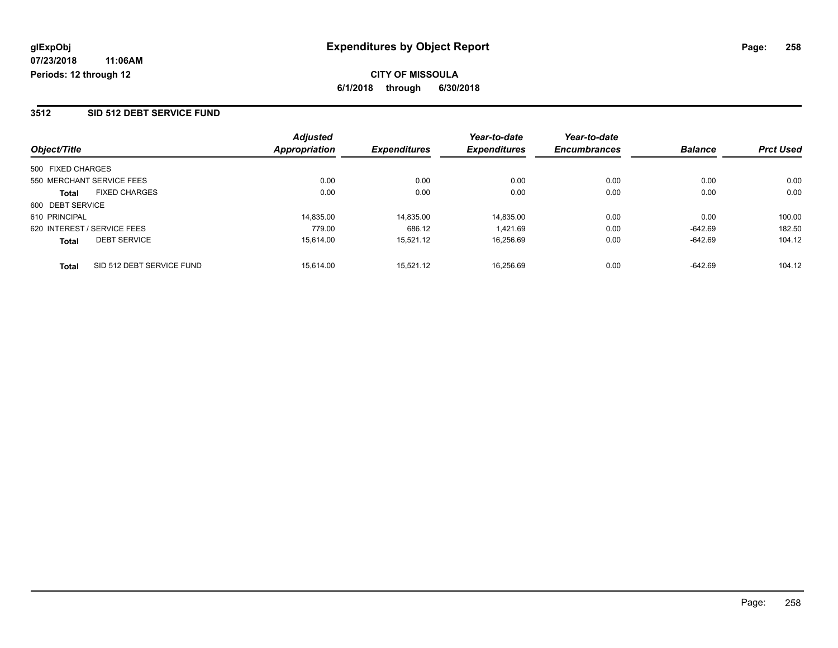### **3512 SID 512 DEBT SERVICE FUND**

|                                           | <b>Adjusted</b>      |                     | Year-to-date        | Year-to-date        |                |                  |
|-------------------------------------------|----------------------|---------------------|---------------------|---------------------|----------------|------------------|
| Object/Title                              | <b>Appropriation</b> | <b>Expenditures</b> | <b>Expenditures</b> | <b>Encumbrances</b> | <b>Balance</b> | <b>Prct Used</b> |
| 500 FIXED CHARGES                         |                      |                     |                     |                     |                |                  |
| 550 MERCHANT SERVICE FEES                 | 0.00                 | 0.00                | 0.00                | 0.00                | 0.00           | 0.00             |
| <b>FIXED CHARGES</b><br><b>Total</b>      | 0.00                 | 0.00                | 0.00                | 0.00                | 0.00           | 0.00             |
| 600 DEBT SERVICE                          |                      |                     |                     |                     |                |                  |
| 610 PRINCIPAL                             | 14.835.00            | 14,835.00           | 14.835.00           | 0.00                | 0.00           | 100.00           |
| 620 INTEREST / SERVICE FEES               | 779.00               | 686.12              | 1.421.69            | 0.00                | $-642.69$      | 182.50           |
| <b>DEBT SERVICE</b><br><b>Total</b>       | 15.614.00            | 15.521.12           | 16.256.69           | 0.00                | $-642.69$      | 104.12           |
| SID 512 DEBT SERVICE FUND<br><b>Total</b> | 15.614.00            | 15.521.12           | 16.256.69           | 0.00                | $-642.69$      | 104.12           |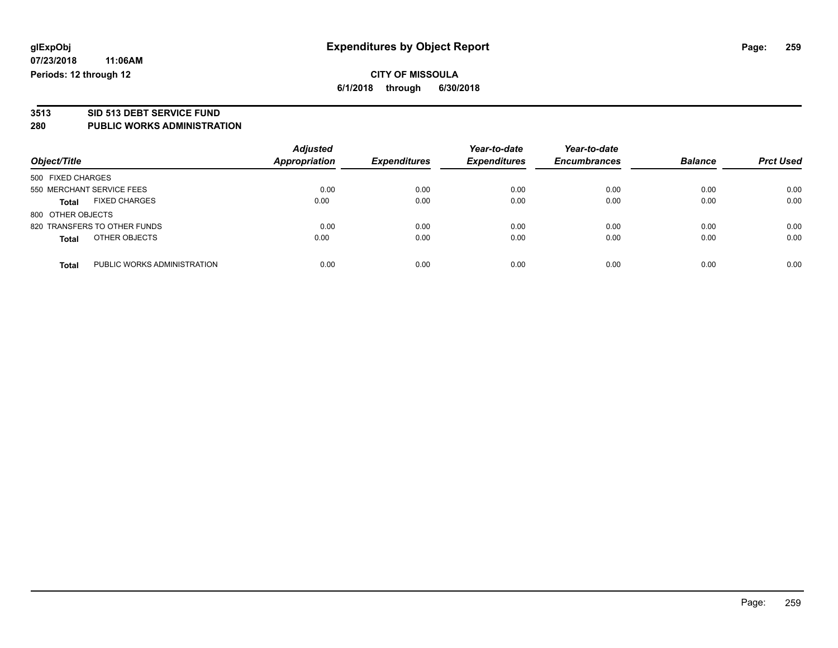# **3513 SID 513 DEBT SERVICE FUND**

#### **280 PUBLIC WORKS ADMINISTRATION**

| Object/Title                                | <b>Adjusted</b><br><b>Appropriation</b> | <b>Expenditures</b> | Year-to-date<br><b>Expenditures</b> | Year-to-date<br><b>Encumbrances</b> | <b>Balance</b> | <b>Prct Used</b> |
|---------------------------------------------|-----------------------------------------|---------------------|-------------------------------------|-------------------------------------|----------------|------------------|
| 500 FIXED CHARGES                           |                                         |                     |                                     |                                     |                |                  |
| 550 MERCHANT SERVICE FEES                   | 0.00                                    | 0.00                | 0.00                                | 0.00                                | 0.00           | 0.00             |
| <b>FIXED CHARGES</b><br><b>Total</b>        | 0.00                                    | 0.00                | 0.00                                | 0.00                                | 0.00           | 0.00             |
| 800 OTHER OBJECTS                           |                                         |                     |                                     |                                     |                |                  |
| 820 TRANSFERS TO OTHER FUNDS                | 0.00                                    | 0.00                | 0.00                                | 0.00                                | 0.00           | 0.00             |
| OTHER OBJECTS<br><b>Total</b>               | 0.00                                    | 0.00                | 0.00                                | 0.00                                | 0.00           | 0.00             |
| PUBLIC WORKS ADMINISTRATION<br><b>Total</b> | 0.00                                    | 0.00                | 0.00                                | 0.00                                | 0.00           | 0.00             |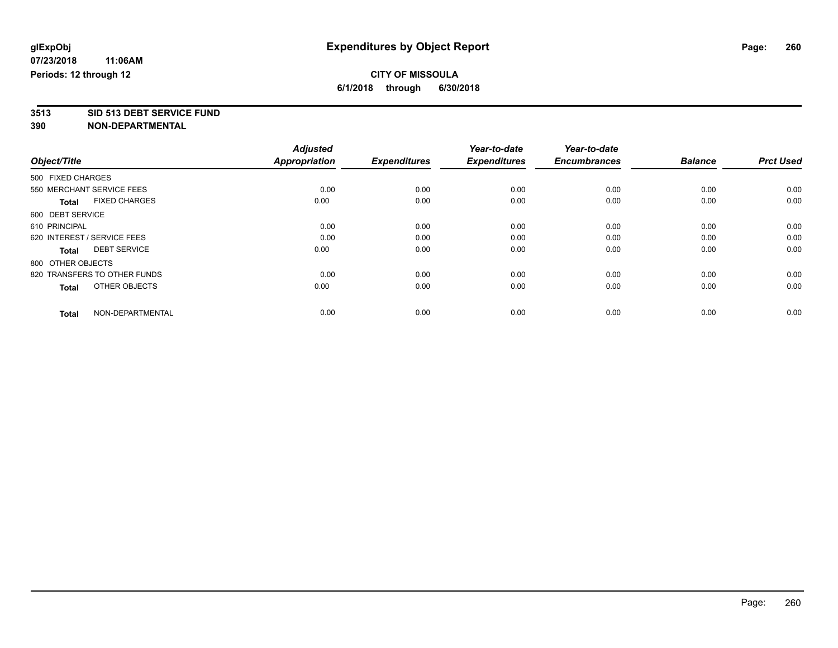# **3513 SID 513 DEBT SERVICE FUND**

|                                      | <b>Adjusted</b>      |                     | Year-to-date        | Year-to-date        |                |                  |
|--------------------------------------|----------------------|---------------------|---------------------|---------------------|----------------|------------------|
| Object/Title                         | <b>Appropriation</b> | <b>Expenditures</b> | <b>Expenditures</b> | <b>Encumbrances</b> | <b>Balance</b> | <b>Prct Used</b> |
| 500 FIXED CHARGES                    |                      |                     |                     |                     |                |                  |
| 550 MERCHANT SERVICE FEES            | 0.00                 | 0.00                | 0.00                | 0.00                | 0.00           | 0.00             |
| <b>FIXED CHARGES</b><br><b>Total</b> | 0.00                 | 0.00                | 0.00                | 0.00                | 0.00           | 0.00             |
| 600 DEBT SERVICE                     |                      |                     |                     |                     |                |                  |
| 610 PRINCIPAL                        | 0.00                 | 0.00                | 0.00                | 0.00                | 0.00           | 0.00             |
| 620 INTEREST / SERVICE FEES          | 0.00                 | 0.00                | 0.00                | 0.00                | 0.00           | 0.00             |
| <b>DEBT SERVICE</b><br><b>Total</b>  | 0.00                 | 0.00                | 0.00                | 0.00                | 0.00           | 0.00             |
| 800 OTHER OBJECTS                    |                      |                     |                     |                     |                |                  |
| 820 TRANSFERS TO OTHER FUNDS         | 0.00                 | 0.00                | 0.00                | 0.00                | 0.00           | 0.00             |
| OTHER OBJECTS<br><b>Total</b>        | 0.00                 | 0.00                | 0.00                | 0.00                | 0.00           | 0.00             |
|                                      |                      |                     |                     |                     |                |                  |
| NON-DEPARTMENTAL<br><b>Total</b>     | 0.00                 | 0.00                | 0.00                | 0.00                | 0.00           | 0.00             |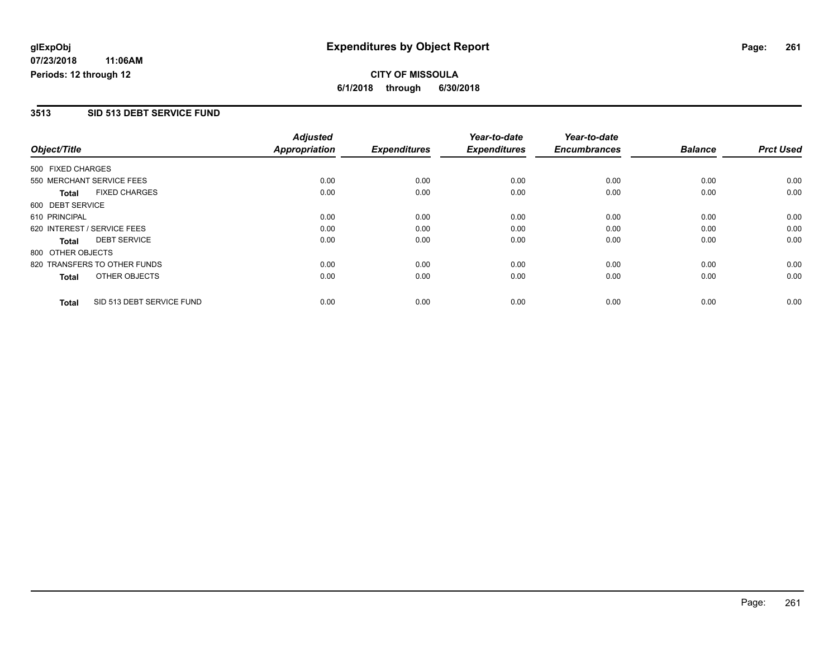# **CITY OF MISSOULA 6/1/2018 through 6/30/2018**

### **3513 SID 513 DEBT SERVICE FUND**

|                   |                              | <b>Adjusted</b>      |                     | Year-to-date        | Year-to-date        |                |                  |
|-------------------|------------------------------|----------------------|---------------------|---------------------|---------------------|----------------|------------------|
| Object/Title      |                              | <b>Appropriation</b> | <b>Expenditures</b> | <b>Expenditures</b> | <b>Encumbrances</b> | <b>Balance</b> | <b>Prct Used</b> |
| 500 FIXED CHARGES |                              |                      |                     |                     |                     |                |                  |
|                   | 550 MERCHANT SERVICE FEES    | 0.00                 | 0.00                | 0.00                | 0.00                | 0.00           | 0.00             |
| Total             | <b>FIXED CHARGES</b>         | 0.00                 | 0.00                | 0.00                | 0.00                | 0.00           | 0.00             |
| 600 DEBT SERVICE  |                              |                      |                     |                     |                     |                |                  |
| 610 PRINCIPAL     |                              | 0.00                 | 0.00                | 0.00                | 0.00                | 0.00           | 0.00             |
|                   | 620 INTEREST / SERVICE FEES  | 0.00                 | 0.00                | 0.00                | 0.00                | 0.00           | 0.00             |
| Total             | <b>DEBT SERVICE</b>          | 0.00                 | 0.00                | 0.00                | 0.00                | 0.00           | 0.00             |
| 800 OTHER OBJECTS |                              |                      |                     |                     |                     |                |                  |
|                   | 820 TRANSFERS TO OTHER FUNDS | 0.00                 | 0.00                | 0.00                | 0.00                | 0.00           | 0.00             |
| Total             | OTHER OBJECTS                | 0.00                 | 0.00                | 0.00                | 0.00                | 0.00           | 0.00             |
| <b>Total</b>      | SID 513 DEBT SERVICE FUND    | 0.00                 | 0.00                | 0.00                | 0.00                | 0.00           | 0.00             |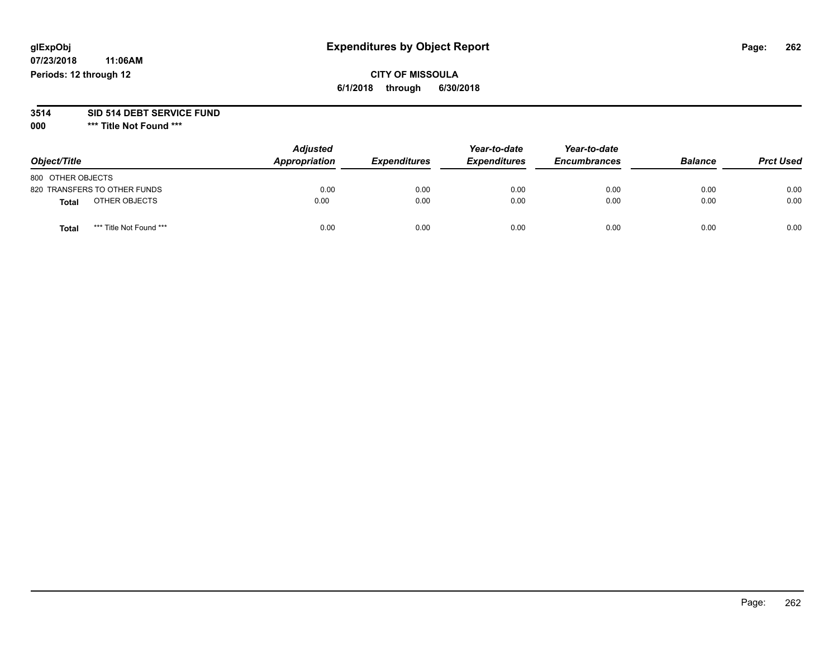# **CITY OF MISSOULA 6/1/2018 through 6/30/2018**

#### **3514 SID 514 DEBT SERVICE FUND**

**000 \*\*\* Title Not Found \*\*\***

| Object/Title                     | <b>Adjusted</b><br>Appropriation | <b>Expenditures</b> | Year-to-date<br><b>Expenditures</b> | Year-to-date<br><b>Encumbrances</b> | <b>Balance</b> | <b>Prct Used</b> |
|----------------------------------|----------------------------------|---------------------|-------------------------------------|-------------------------------------|----------------|------------------|
| 800 OTHER OBJECTS                |                                  |                     |                                     |                                     |                |                  |
| 820 TRANSFERS TO OTHER FUNDS     | 0.00                             | 0.00                | 0.00                                | 0.00                                | 0.00           | 0.00             |
| OTHER OBJECTS<br><b>Total</b>    | 0.00                             | 0.00                | 0.00                                | 0.00                                | 0.00           | 0.00             |
| *** Title Not Found ***<br>Total | 0.00                             | 0.00                | 0.00                                | 0.00                                | 0.00           | 0.00             |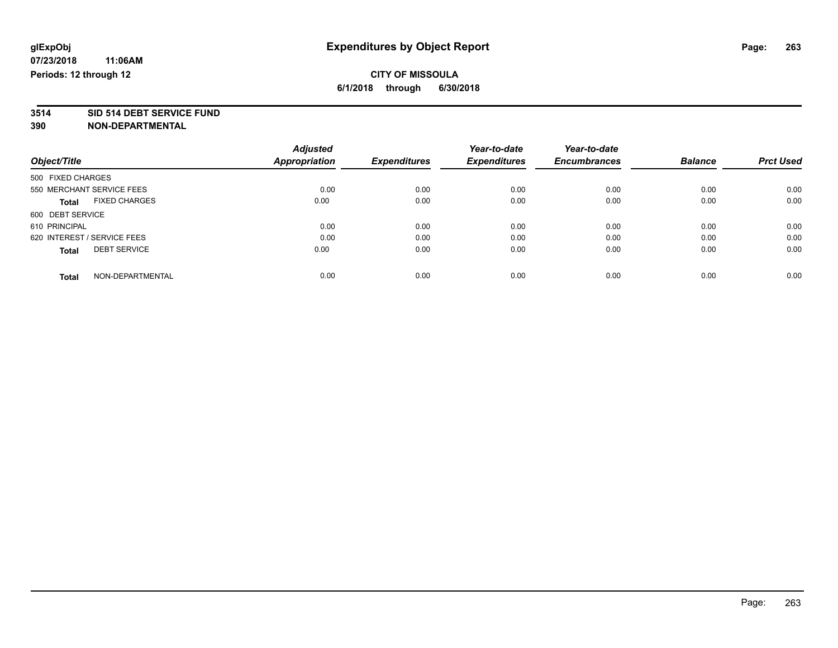# **3514 SID 514 DEBT SERVICE FUND**

|                                      | <b>Adjusted</b>      |                     | Year-to-date        | Year-to-date        |                |                  |
|--------------------------------------|----------------------|---------------------|---------------------|---------------------|----------------|------------------|
| Object/Title                         | <b>Appropriation</b> | <b>Expenditures</b> | <b>Expenditures</b> | <b>Encumbrances</b> | <b>Balance</b> | <b>Prct Used</b> |
| 500 FIXED CHARGES                    |                      |                     |                     |                     |                |                  |
| 550 MERCHANT SERVICE FEES            | 0.00                 | 0.00                | 0.00                | 0.00                | 0.00           | 0.00             |
| <b>FIXED CHARGES</b><br><b>Total</b> | 0.00                 | 0.00                | 0.00                | 0.00                | 0.00           | 0.00             |
| 600 DEBT SERVICE                     |                      |                     |                     |                     |                |                  |
| 610 PRINCIPAL                        | 0.00                 | 0.00                | 0.00                | 0.00                | 0.00           | 0.00             |
| 620 INTEREST / SERVICE FEES          | 0.00                 | 0.00                | 0.00                | 0.00                | 0.00           | 0.00             |
| <b>DEBT SERVICE</b><br><b>Total</b>  | 0.00                 | 0.00                | 0.00                | 0.00                | 0.00           | 0.00             |
| NON-DEPARTMENTAL<br><b>Total</b>     | 0.00                 | 0.00                | 0.00                | 0.00                | 0.00           | 0.00             |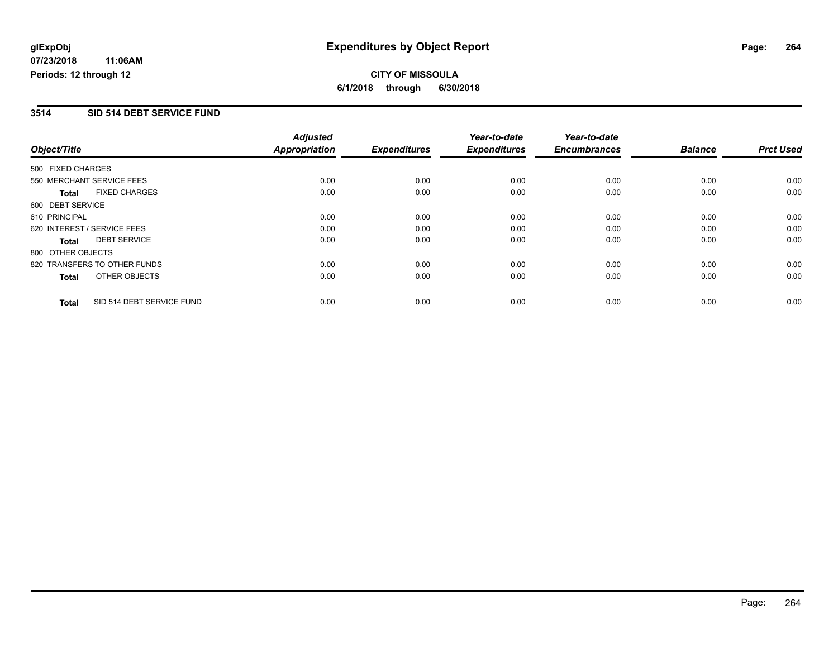# **CITY OF MISSOULA 6/1/2018 through 6/30/2018**

### **3514 SID 514 DEBT SERVICE FUND**

|                   |                              | <b>Adjusted</b>      |                     | Year-to-date        | Year-to-date        |                |                  |
|-------------------|------------------------------|----------------------|---------------------|---------------------|---------------------|----------------|------------------|
| Object/Title      |                              | <b>Appropriation</b> | <b>Expenditures</b> | <b>Expenditures</b> | <b>Encumbrances</b> | <b>Balance</b> | <b>Prct Used</b> |
| 500 FIXED CHARGES |                              |                      |                     |                     |                     |                |                  |
|                   | 550 MERCHANT SERVICE FEES    | 0.00                 | 0.00                | 0.00                | 0.00                | 0.00           | 0.00             |
| <b>Total</b>      | <b>FIXED CHARGES</b>         | 0.00                 | 0.00                | 0.00                | 0.00                | 0.00           | 0.00             |
| 600 DEBT SERVICE  |                              |                      |                     |                     |                     |                |                  |
| 610 PRINCIPAL     |                              | 0.00                 | 0.00                | 0.00                | 0.00                | 0.00           | 0.00             |
|                   | 620 INTEREST / SERVICE FEES  | 0.00                 | 0.00                | 0.00                | 0.00                | 0.00           | 0.00             |
| <b>Total</b>      | <b>DEBT SERVICE</b>          | 0.00                 | 0.00                | 0.00                | 0.00                | 0.00           | 0.00             |
| 800 OTHER OBJECTS |                              |                      |                     |                     |                     |                |                  |
|                   | 820 TRANSFERS TO OTHER FUNDS | 0.00                 | 0.00                | 0.00                | 0.00                | 0.00           | 0.00             |
| <b>Total</b>      | OTHER OBJECTS                | 0.00                 | 0.00                | 0.00                | 0.00                | 0.00           | 0.00             |
| <b>Total</b>      | SID 514 DEBT SERVICE FUND    | 0.00                 | 0.00                | 0.00                | 0.00                | 0.00           | 0.00             |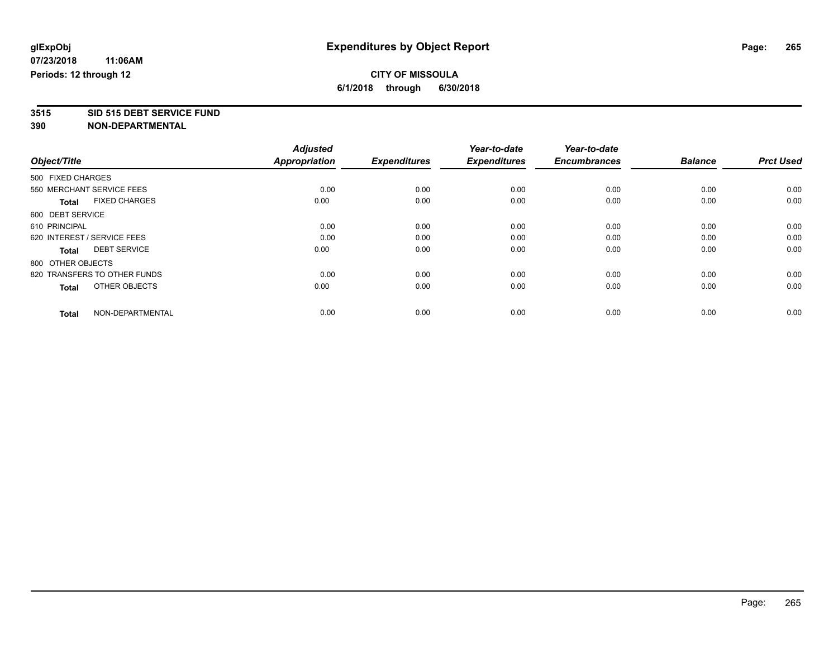# **3515 SID 515 DEBT SERVICE FUND**

|                                      | <b>Adjusted</b>      |                     | Year-to-date        | Year-to-date        |                |                  |
|--------------------------------------|----------------------|---------------------|---------------------|---------------------|----------------|------------------|
| Object/Title                         | <b>Appropriation</b> | <b>Expenditures</b> | <b>Expenditures</b> | <b>Encumbrances</b> | <b>Balance</b> | <b>Prct Used</b> |
| 500 FIXED CHARGES                    |                      |                     |                     |                     |                |                  |
| 550 MERCHANT SERVICE FEES            | 0.00                 | 0.00                | 0.00                | 0.00                | 0.00           | 0.00             |
| <b>FIXED CHARGES</b><br><b>Total</b> | 0.00                 | 0.00                | 0.00                | 0.00                | 0.00           | 0.00             |
| 600 DEBT SERVICE                     |                      |                     |                     |                     |                |                  |
| 610 PRINCIPAL                        | 0.00                 | 0.00                | 0.00                | 0.00                | 0.00           | 0.00             |
| 620 INTEREST / SERVICE FEES          | 0.00                 | 0.00                | 0.00                | 0.00                | 0.00           | 0.00             |
| <b>DEBT SERVICE</b><br><b>Total</b>  | 0.00                 | 0.00                | 0.00                | 0.00                | 0.00           | 0.00             |
| 800 OTHER OBJECTS                    |                      |                     |                     |                     |                |                  |
| 820 TRANSFERS TO OTHER FUNDS         | 0.00                 | 0.00                | 0.00                | 0.00                | 0.00           | 0.00             |
| OTHER OBJECTS<br><b>Total</b>        | 0.00                 | 0.00                | 0.00                | 0.00                | 0.00           | 0.00             |
|                                      |                      |                     |                     |                     |                |                  |
| NON-DEPARTMENTAL<br><b>Total</b>     | 0.00                 | 0.00                | 0.00                | 0.00                | 0.00           | 0.00             |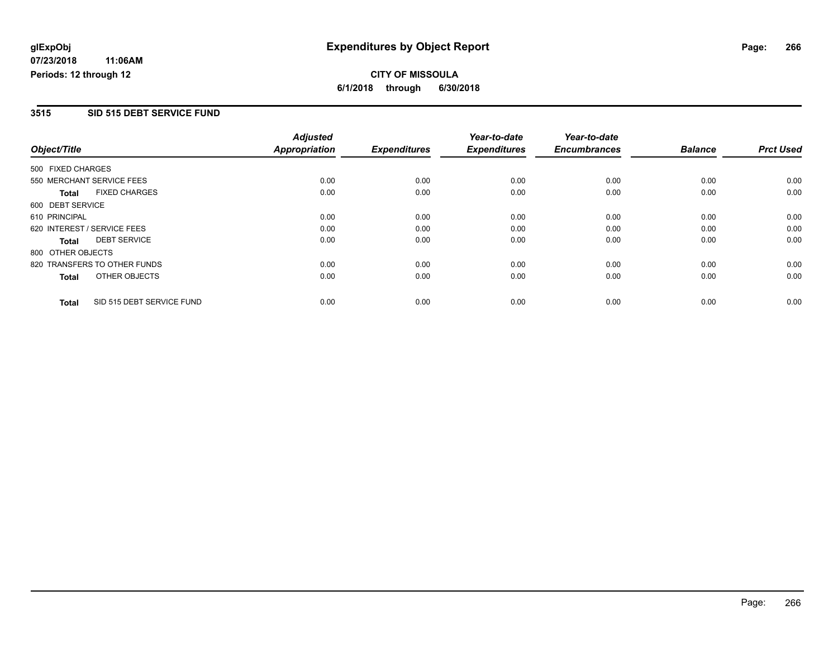# **CITY OF MISSOULA 6/1/2018 through 6/30/2018**

### **3515 SID 515 DEBT SERVICE FUND**

|                   |                              | <b>Adjusted</b>      |                     | Year-to-date        | Year-to-date        |                |                  |
|-------------------|------------------------------|----------------------|---------------------|---------------------|---------------------|----------------|------------------|
| Object/Title      |                              | <b>Appropriation</b> | <b>Expenditures</b> | <b>Expenditures</b> | <b>Encumbrances</b> | <b>Balance</b> | <b>Prct Used</b> |
| 500 FIXED CHARGES |                              |                      |                     |                     |                     |                |                  |
|                   | 550 MERCHANT SERVICE FEES    | 0.00                 | 0.00                | 0.00                | 0.00                | 0.00           | 0.00             |
| <b>Total</b>      | <b>FIXED CHARGES</b>         | 0.00                 | 0.00                | 0.00                | 0.00                | 0.00           | 0.00             |
| 600 DEBT SERVICE  |                              |                      |                     |                     |                     |                |                  |
| 610 PRINCIPAL     |                              | 0.00                 | 0.00                | 0.00                | 0.00                | 0.00           | 0.00             |
|                   | 620 INTEREST / SERVICE FEES  | 0.00                 | 0.00                | 0.00                | 0.00                | 0.00           | 0.00             |
| Total             | <b>DEBT SERVICE</b>          | 0.00                 | 0.00                | 0.00                | 0.00                | 0.00           | 0.00             |
| 800 OTHER OBJECTS |                              |                      |                     |                     |                     |                |                  |
|                   | 820 TRANSFERS TO OTHER FUNDS | 0.00                 | 0.00                | 0.00                | 0.00                | 0.00           | 0.00             |
| <b>Total</b>      | OTHER OBJECTS                | 0.00                 | 0.00                | 0.00                | 0.00                | 0.00           | 0.00             |
| <b>Total</b>      | SID 515 DEBT SERVICE FUND    | 0.00                 | 0.00                | 0.00                | 0.00                | 0.00           | 0.00             |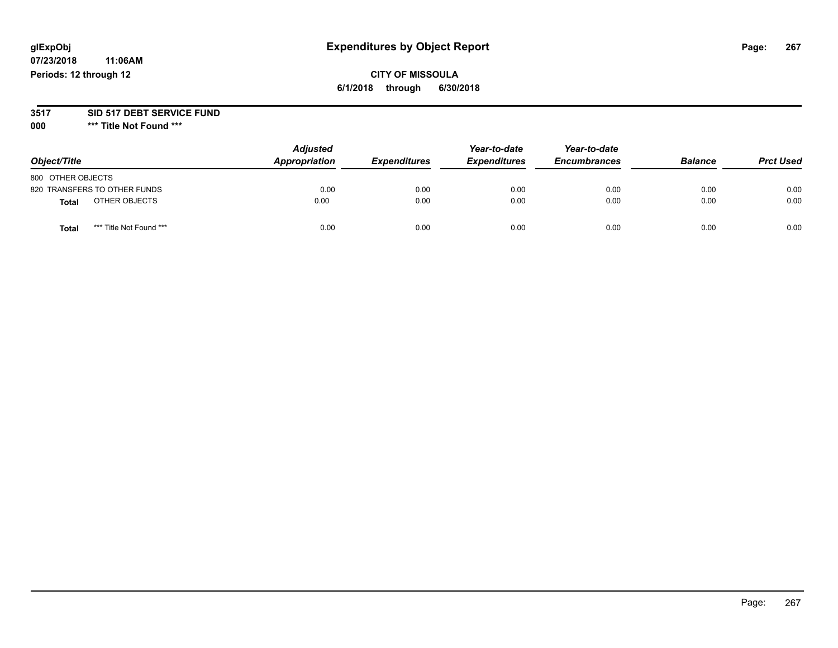# **glExpObj Expenditures by Object Report Page: 267**

# **CITY OF MISSOULA 6/1/2018 through 6/30/2018**

#### **3517 SID 517 DEBT SERVICE FUND**

**000 \*\*\* Title Not Found \*\*\***

| Object/Title                    | <b>Adjusted</b><br>Appropriation | <b>Expenditures</b> | Year-to-date<br><b>Expenditures</b> | Year-to-date<br><b>Encumbrances</b> | <b>Balance</b> | <b>Prct Used</b> |
|---------------------------------|----------------------------------|---------------------|-------------------------------------|-------------------------------------|----------------|------------------|
| 800 OTHER OBJECTS               |                                  |                     |                                     |                                     |                |                  |
| 820 TRANSFERS TO OTHER FUNDS    | 0.00                             | 0.00                | 0.00                                | 0.00                                | 0.00           | 0.00             |
| OTHER OBJECTS<br>Total          | 0.00                             | 0.00                | 0.00                                | 0.00                                | 0.00           | 0.00             |
| *** Title Not Found ***<br>Tota | 0.00                             | 0.00                | 0.00                                | 0.00                                | 0.00           | 0.00             |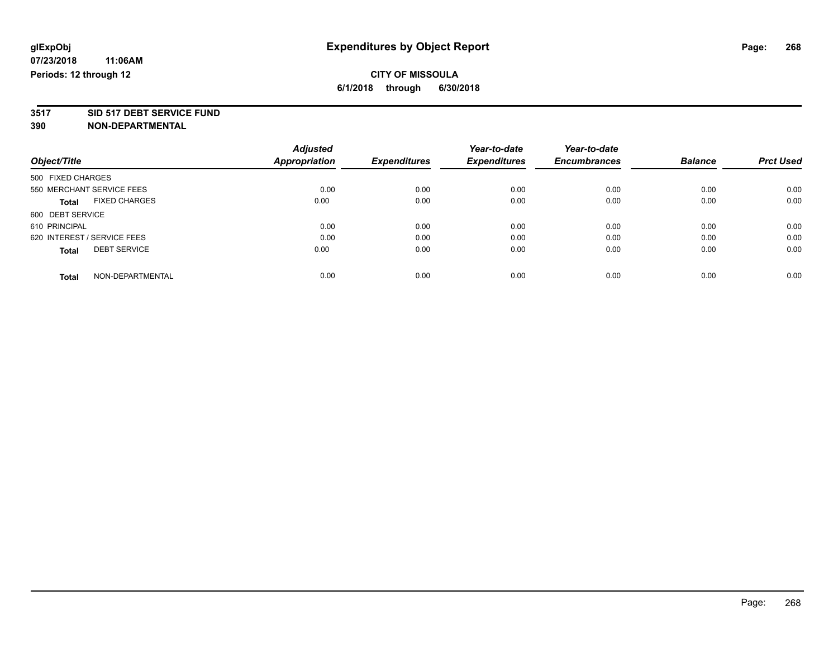# **3517 SID 517 DEBT SERVICE FUND**

|                                      | <b>Adjusted</b>      |                     | Year-to-date        | Year-to-date        |                |                  |
|--------------------------------------|----------------------|---------------------|---------------------|---------------------|----------------|------------------|
| Object/Title                         | <b>Appropriation</b> | <b>Expenditures</b> | <b>Expenditures</b> | <b>Encumbrances</b> | <b>Balance</b> | <b>Prct Used</b> |
| 500 FIXED CHARGES                    |                      |                     |                     |                     |                |                  |
| 550 MERCHANT SERVICE FEES            | 0.00                 | 0.00                | 0.00                | 0.00                | 0.00           | 0.00             |
| <b>FIXED CHARGES</b><br><b>Total</b> | 0.00                 | 0.00                | 0.00                | 0.00                | 0.00           | 0.00             |
| 600 DEBT SERVICE                     |                      |                     |                     |                     |                |                  |
| 610 PRINCIPAL                        | 0.00                 | 0.00                | 0.00                | 0.00                | 0.00           | 0.00             |
| 620 INTEREST / SERVICE FEES          | 0.00                 | 0.00                | 0.00                | 0.00                | 0.00           | 0.00             |
| <b>DEBT SERVICE</b><br><b>Total</b>  | 0.00                 | 0.00                | 0.00                | 0.00                | 0.00           | 0.00             |
| NON-DEPARTMENTAL<br><b>Total</b>     | 0.00                 | 0.00                | 0.00                | 0.00                | 0.00           | 0.00             |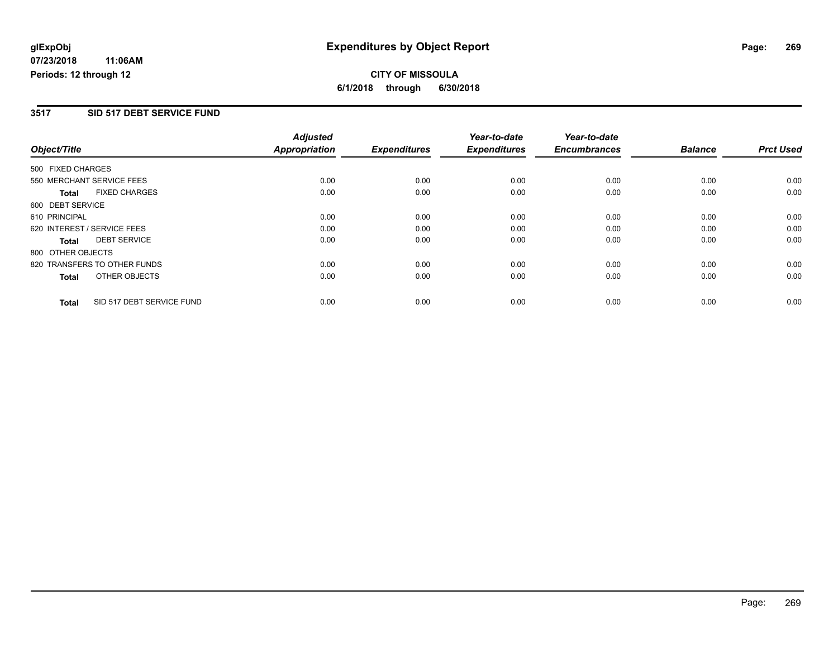**CITY OF MISSOULA 6/1/2018 through 6/30/2018**

#### **3517 SID 517 DEBT SERVICE FUND**

|                   |                              | <b>Adjusted</b>      |                     | Year-to-date        | Year-to-date        |                |                  |
|-------------------|------------------------------|----------------------|---------------------|---------------------|---------------------|----------------|------------------|
| Object/Title      |                              | <b>Appropriation</b> | <b>Expenditures</b> | <b>Expenditures</b> | <b>Encumbrances</b> | <b>Balance</b> | <b>Prct Used</b> |
| 500 FIXED CHARGES |                              |                      |                     |                     |                     |                |                  |
|                   | 550 MERCHANT SERVICE FEES    | 0.00                 | 0.00                | 0.00                | 0.00                | 0.00           | 0.00             |
| <b>Total</b>      | <b>FIXED CHARGES</b>         | 0.00                 | 0.00                | 0.00                | 0.00                | 0.00           | 0.00             |
| 600 DEBT SERVICE  |                              |                      |                     |                     |                     |                |                  |
| 610 PRINCIPAL     |                              | 0.00                 | 0.00                | 0.00                | 0.00                | 0.00           | 0.00             |
|                   | 620 INTEREST / SERVICE FEES  | 0.00                 | 0.00                | 0.00                | 0.00                | 0.00           | 0.00             |
| Total             | <b>DEBT SERVICE</b>          | 0.00                 | 0.00                | 0.00                | 0.00                | 0.00           | 0.00             |
| 800 OTHER OBJECTS |                              |                      |                     |                     |                     |                |                  |
|                   | 820 TRANSFERS TO OTHER FUNDS | 0.00                 | 0.00                | 0.00                | 0.00                | 0.00           | 0.00             |
| Total             | OTHER OBJECTS                | 0.00                 | 0.00                | 0.00                | 0.00                | 0.00           | 0.00             |
| <b>Total</b>      | SID 517 DEBT SERVICE FUND    | 0.00                 | 0.00                | 0.00                | 0.00                | 0.00           | 0.00             |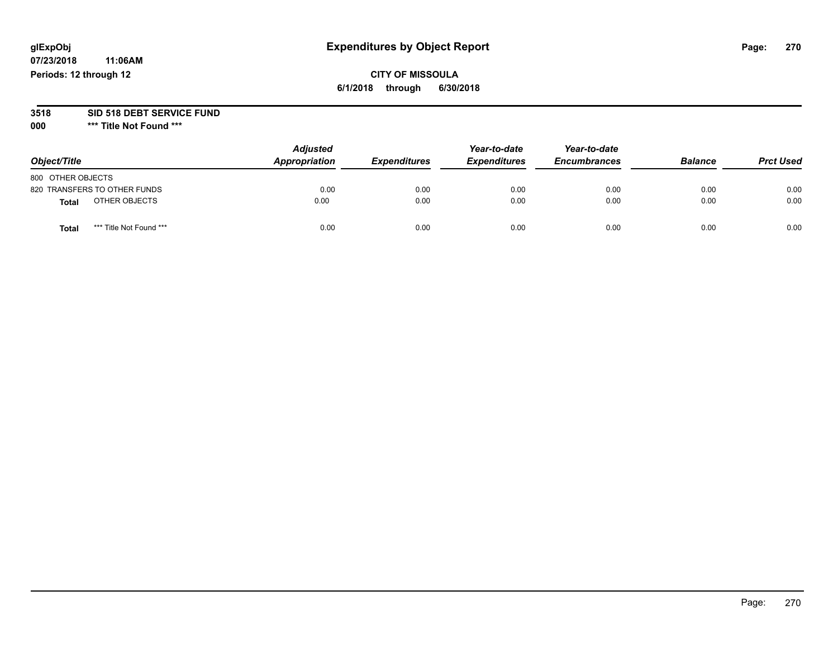# **CITY OF MISSOULA 6/1/2018 through 6/30/2018**

# **3518 SID 518 DEBT SERVICE FUND**

**000 \*\*\* Title Not Found \*\*\***

| Object/Title                     | <b>Adjusted</b><br>Appropriation | <b>Expenditures</b> | Year-to-date<br><b>Expenditures</b> | Year-to-date<br><b>Encumbrances</b> | <b>Balance</b> | <b>Prct Used</b> |
|----------------------------------|----------------------------------|---------------------|-------------------------------------|-------------------------------------|----------------|------------------|
| 800 OTHER OBJECTS                |                                  |                     |                                     |                                     |                |                  |
| 820 TRANSFERS TO OTHER FUNDS     | 0.00                             | 0.00                | 0.00                                | 0.00                                | 0.00           | 0.00             |
| OTHER OBJECTS<br><b>Total</b>    | 0.00                             | 0.00                | 0.00                                | 0.00                                | 0.00           | 0.00             |
| *** Title Not Found ***<br>Total | 0.00                             | 0.00                | 0.00                                | 0.00                                | 0.00           | 0.00             |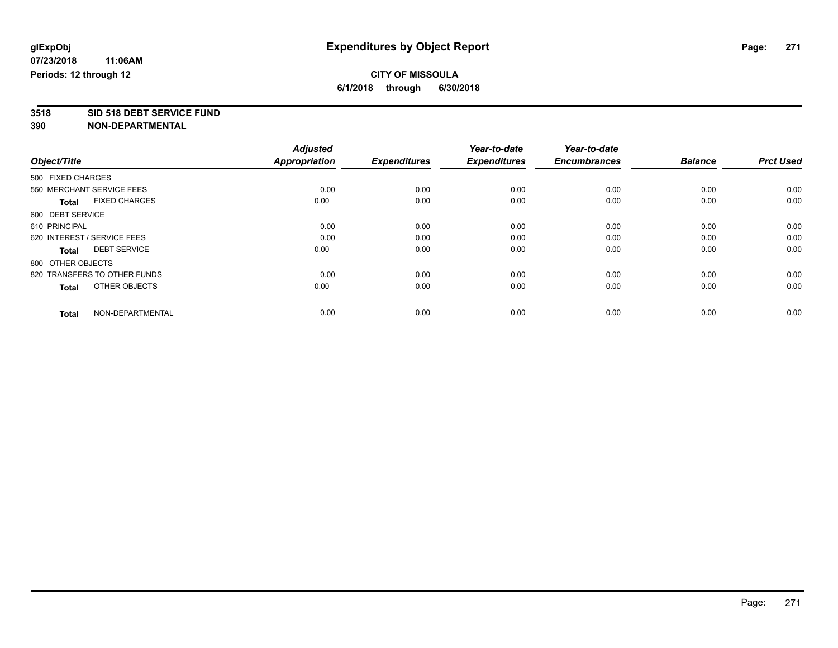# **3518 SID 518 DEBT SERVICE FUND**

|                                      | <b>Adjusted</b>      |                     | Year-to-date        | Year-to-date        |                |                  |
|--------------------------------------|----------------------|---------------------|---------------------|---------------------|----------------|------------------|
| Object/Title                         | <b>Appropriation</b> | <b>Expenditures</b> | <b>Expenditures</b> | <b>Encumbrances</b> | <b>Balance</b> | <b>Prct Used</b> |
| 500 FIXED CHARGES                    |                      |                     |                     |                     |                |                  |
| 550 MERCHANT SERVICE FEES            | 0.00                 | 0.00                | 0.00                | 0.00                | 0.00           | 0.00             |
| <b>FIXED CHARGES</b><br><b>Total</b> | 0.00                 | 0.00                | 0.00                | 0.00                | 0.00           | 0.00             |
| 600 DEBT SERVICE                     |                      |                     |                     |                     |                |                  |
| 610 PRINCIPAL                        | 0.00                 | 0.00                | 0.00                | 0.00                | 0.00           | 0.00             |
| 620 INTEREST / SERVICE FEES          | 0.00                 | 0.00                | 0.00                | 0.00                | 0.00           | 0.00             |
| <b>DEBT SERVICE</b><br><b>Total</b>  | 0.00                 | 0.00                | 0.00                | 0.00                | 0.00           | 0.00             |
| 800 OTHER OBJECTS                    |                      |                     |                     |                     |                |                  |
| 820 TRANSFERS TO OTHER FUNDS         | 0.00                 | 0.00                | 0.00                | 0.00                | 0.00           | 0.00             |
| OTHER OBJECTS<br><b>Total</b>        | 0.00                 | 0.00                | 0.00                | 0.00                | 0.00           | 0.00             |
|                                      |                      |                     |                     |                     |                |                  |
| NON-DEPARTMENTAL<br><b>Total</b>     | 0.00                 | 0.00                | 0.00                | 0.00                | 0.00           | 0.00             |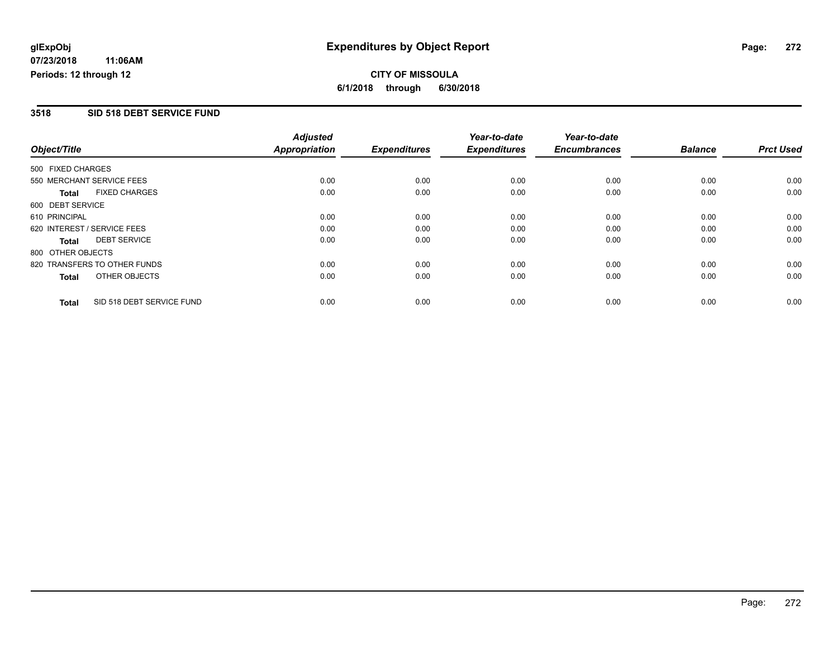**CITY OF MISSOULA 6/1/2018 through 6/30/2018**

#### **3518 SID 518 DEBT SERVICE FUND**

|                                           | <b>Adjusted</b>      |                     | Year-to-date        | Year-to-date        |                |                  |
|-------------------------------------------|----------------------|---------------------|---------------------|---------------------|----------------|------------------|
| Object/Title                              | <b>Appropriation</b> | <b>Expenditures</b> | <b>Expenditures</b> | <b>Encumbrances</b> | <b>Balance</b> | <b>Prct Used</b> |
| 500 FIXED CHARGES                         |                      |                     |                     |                     |                |                  |
| 550 MERCHANT SERVICE FEES                 | 0.00                 | 0.00                | 0.00                | 0.00                | 0.00           | 0.00             |
| <b>FIXED CHARGES</b><br><b>Total</b>      | 0.00                 | 0.00                | 0.00                | 0.00                | 0.00           | 0.00             |
| 600 DEBT SERVICE                          |                      |                     |                     |                     |                |                  |
| 610 PRINCIPAL                             | 0.00                 | 0.00                | 0.00                | 0.00                | 0.00           | 0.00             |
| 620 INTEREST / SERVICE FEES               | 0.00                 | 0.00                | 0.00                | 0.00                | 0.00           | 0.00             |
| <b>DEBT SERVICE</b><br><b>Total</b>       | 0.00                 | 0.00                | 0.00                | 0.00                | 0.00           | 0.00             |
| 800 OTHER OBJECTS                         |                      |                     |                     |                     |                |                  |
| 820 TRANSFERS TO OTHER FUNDS              | 0.00                 | 0.00                | 0.00                | 0.00                | 0.00           | 0.00             |
| OTHER OBJECTS<br><b>Total</b>             | 0.00                 | 0.00                | 0.00                | 0.00                | 0.00           | 0.00             |
| SID 518 DEBT SERVICE FUND<br><b>Total</b> | 0.00                 | 0.00                | 0.00                | 0.00                | 0.00           | 0.00             |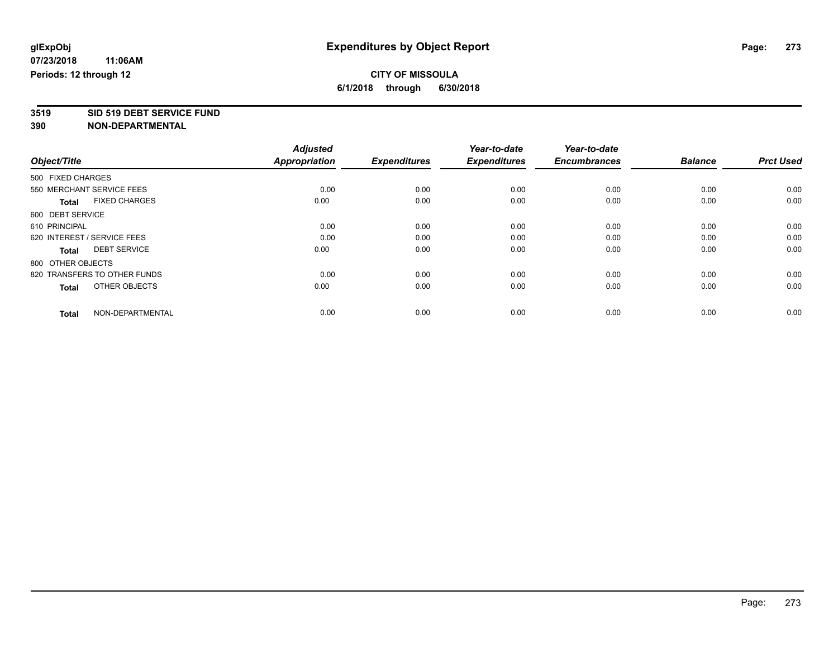# **3519 SID 519 DEBT SERVICE FUND**

|                                      | <b>Adjusted</b>      |                     | Year-to-date        | Year-to-date        |                |                  |
|--------------------------------------|----------------------|---------------------|---------------------|---------------------|----------------|------------------|
| Object/Title                         | <b>Appropriation</b> | <b>Expenditures</b> | <b>Expenditures</b> | <b>Encumbrances</b> | <b>Balance</b> | <b>Prct Used</b> |
| 500 FIXED CHARGES                    |                      |                     |                     |                     |                |                  |
| 550 MERCHANT SERVICE FEES            | 0.00                 | 0.00                | 0.00                | 0.00                | 0.00           | 0.00             |
| <b>FIXED CHARGES</b><br><b>Total</b> | 0.00                 | 0.00                | 0.00                | 0.00                | 0.00           | 0.00             |
| 600 DEBT SERVICE                     |                      |                     |                     |                     |                |                  |
| 610 PRINCIPAL                        | 0.00                 | 0.00                | 0.00                | 0.00                | 0.00           | 0.00             |
| 620 INTEREST / SERVICE FEES          | 0.00                 | 0.00                | 0.00                | 0.00                | 0.00           | 0.00             |
| <b>DEBT SERVICE</b><br><b>Total</b>  | 0.00                 | 0.00                | 0.00                | 0.00                | 0.00           | 0.00             |
| 800 OTHER OBJECTS                    |                      |                     |                     |                     |                |                  |
| 820 TRANSFERS TO OTHER FUNDS         | 0.00                 | 0.00                | 0.00                | 0.00                | 0.00           | 0.00             |
| OTHER OBJECTS<br><b>Total</b>        | 0.00                 | 0.00                | 0.00                | 0.00                | 0.00           | 0.00             |
|                                      |                      |                     |                     |                     |                |                  |
| NON-DEPARTMENTAL<br><b>Total</b>     | 0.00                 | 0.00                | 0.00                | 0.00                | 0.00           | 0.00             |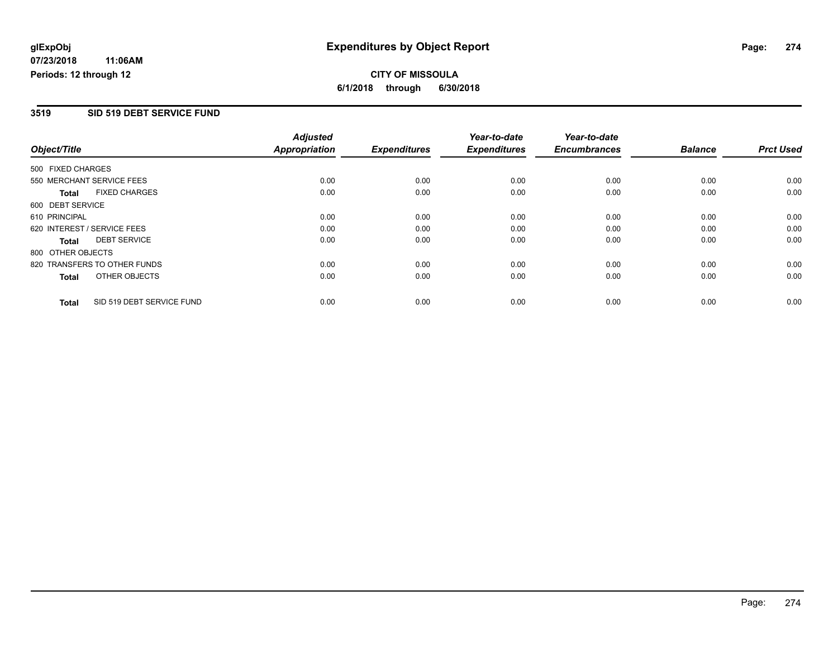#### **3519 SID 519 DEBT SERVICE FUND**

|                             |                              | <b>Adjusted</b>      |                     | Year-to-date        | Year-to-date        |                |                  |
|-----------------------------|------------------------------|----------------------|---------------------|---------------------|---------------------|----------------|------------------|
| Object/Title                |                              | <b>Appropriation</b> | <b>Expenditures</b> | <b>Expenditures</b> | <b>Encumbrances</b> | <b>Balance</b> | <b>Prct Used</b> |
| 500 FIXED CHARGES           |                              |                      |                     |                     |                     |                |                  |
| 550 MERCHANT SERVICE FEES   |                              | 0.00                 | 0.00                | 0.00                | 0.00                | 0.00           | 0.00             |
| <b>Total</b>                | <b>FIXED CHARGES</b>         | 0.00                 | 0.00                | 0.00                | 0.00                | 0.00           | 0.00             |
| 600 DEBT SERVICE            |                              |                      |                     |                     |                     |                |                  |
| 610 PRINCIPAL               |                              | 0.00                 | 0.00                | 0.00                | 0.00                | 0.00           | 0.00             |
| 620 INTEREST / SERVICE FEES |                              | 0.00                 | 0.00                | 0.00                | 0.00                | 0.00           | 0.00             |
| Total                       | <b>DEBT SERVICE</b>          | 0.00                 | 0.00                | 0.00                | 0.00                | 0.00           | 0.00             |
| 800 OTHER OBJECTS           |                              |                      |                     |                     |                     |                |                  |
|                             | 820 TRANSFERS TO OTHER FUNDS | 0.00                 | 0.00                | 0.00                | 0.00                | 0.00           | 0.00             |
| Total                       | OTHER OBJECTS                | 0.00                 | 0.00                | 0.00                | 0.00                | 0.00           | 0.00             |
| <b>Total</b>                | SID 519 DEBT SERVICE FUND    | 0.00                 | 0.00                | 0.00                | 0.00                | 0.00           | 0.00             |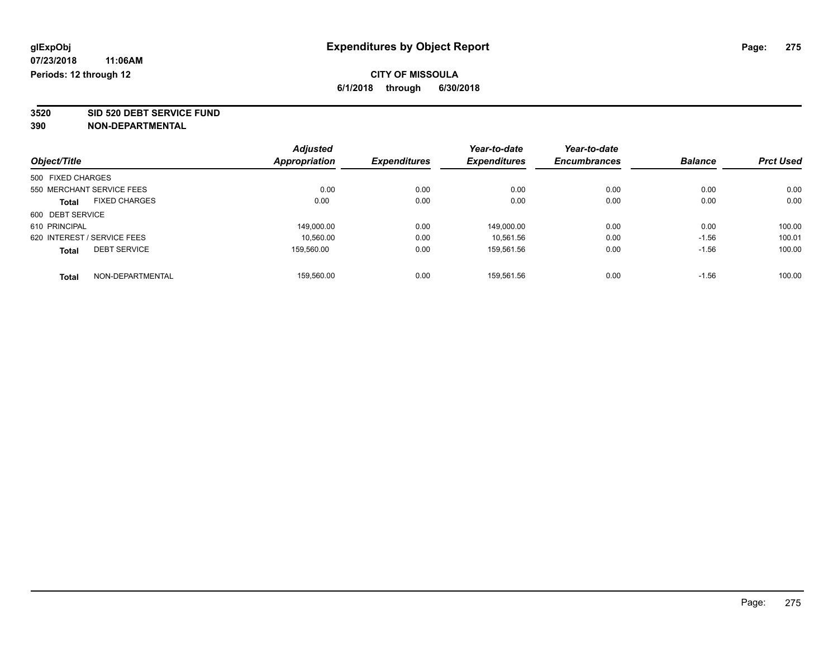**3520 SID 520 DEBT SERVICE FUND**

|                                      | <b>Adjusted</b>      |                     | Year-to-date        | Year-to-date        |                |                  |
|--------------------------------------|----------------------|---------------------|---------------------|---------------------|----------------|------------------|
| Object/Title                         | <b>Appropriation</b> | <b>Expenditures</b> | <b>Expenditures</b> | <b>Encumbrances</b> | <b>Balance</b> | <b>Prct Used</b> |
| 500 FIXED CHARGES                    |                      |                     |                     |                     |                |                  |
| 550 MERCHANT SERVICE FEES            | 0.00                 | 0.00                | 0.00                | 0.00                | 0.00           | 0.00             |
| <b>FIXED CHARGES</b><br><b>Total</b> | 0.00                 | 0.00                | 0.00                | 0.00                | 0.00           | 0.00             |
| 600 DEBT SERVICE                     |                      |                     |                     |                     |                |                  |
| 610 PRINCIPAL                        | 149,000.00           | 0.00                | 149.000.00          | 0.00                | 0.00           | 100.00           |
| 620 INTEREST / SERVICE FEES          | 10,560.00            | 0.00                | 10.561.56           | 0.00                | $-1.56$        | 100.01           |
| <b>DEBT SERVICE</b><br><b>Total</b>  | 159,560.00           | 0.00                | 159.561.56          | 0.00                | $-1.56$        | 100.00           |
| NON-DEPARTMENTAL<br><b>Total</b>     | 159,560.00           | 0.00                | 159.561.56          | 0.00                | $-1.56$        | 100.00           |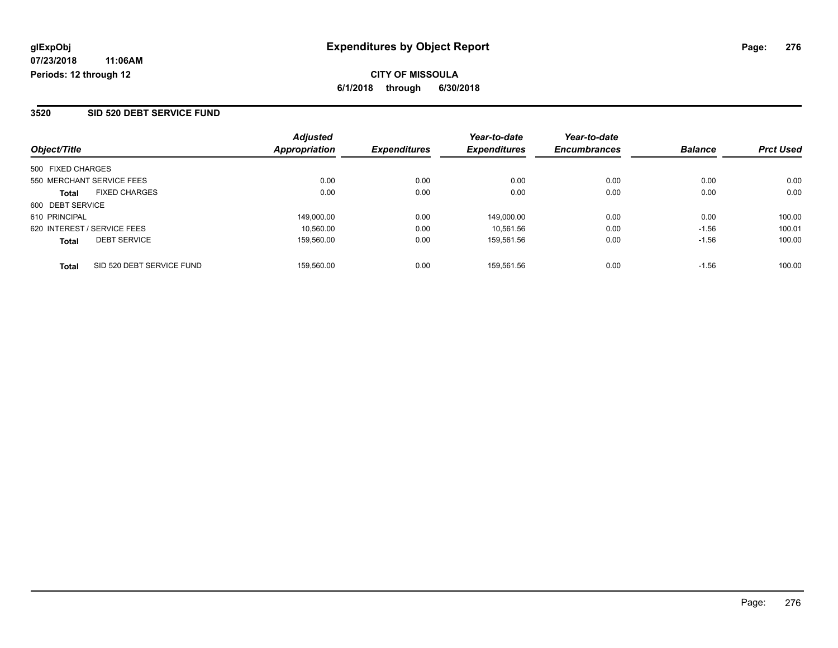#### **3520 SID 520 DEBT SERVICE FUND**

|                                           | <b>Adjusted</b>      |                     | Year-to-date        | Year-to-date        |                |                  |
|-------------------------------------------|----------------------|---------------------|---------------------|---------------------|----------------|------------------|
| Object/Title                              | <b>Appropriation</b> | <b>Expenditures</b> | <b>Expenditures</b> | <b>Encumbrances</b> | <b>Balance</b> | <b>Prct Used</b> |
| 500 FIXED CHARGES                         |                      |                     |                     |                     |                |                  |
| 550 MERCHANT SERVICE FEES                 | 0.00                 | 0.00                | 0.00                | 0.00                | 0.00           | 0.00             |
| <b>FIXED CHARGES</b><br><b>Total</b>      | 0.00                 | 0.00                | 0.00                | 0.00                | 0.00           | 0.00             |
| 600 DEBT SERVICE                          |                      |                     |                     |                     |                |                  |
| 610 PRINCIPAL                             | 149.000.00           | 0.00                | 149.000.00          | 0.00                | 0.00           | 100.00           |
| 620 INTEREST / SERVICE FEES               | 10.560.00            | 0.00                | 10.561.56           | 0.00                | $-1.56$        | 100.01           |
| <b>DEBT SERVICE</b><br><b>Total</b>       | 159.560.00           | 0.00                | 159.561.56          | 0.00                | $-1.56$        | 100.00           |
| SID 520 DEBT SERVICE FUND<br><b>Total</b> | 159.560.00           | 0.00                | 159.561.56          | 0.00                | $-1.56$        | 100.00           |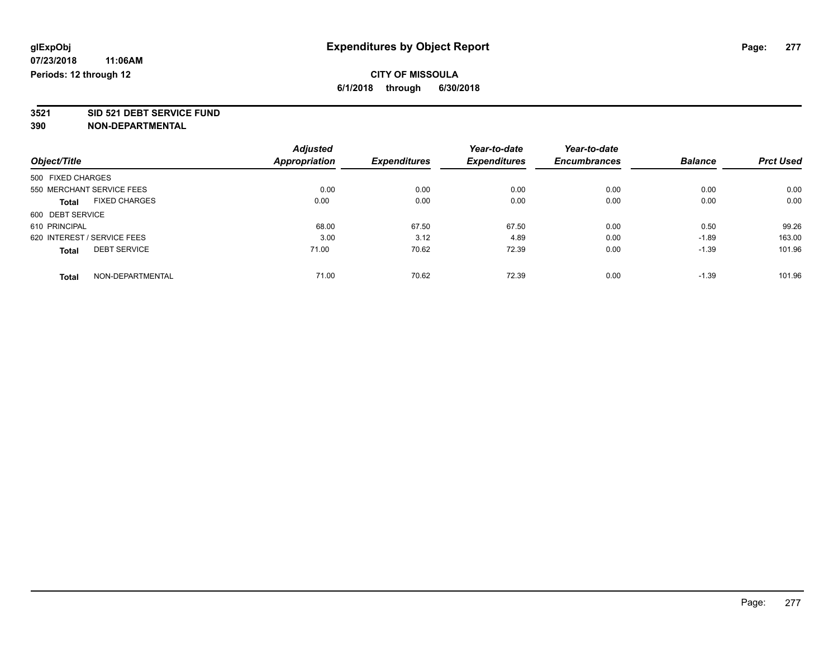# **3521 SID 521 DEBT SERVICE FUND**

|                                      | <b>Adjusted</b> |                     | Year-to-date        | Year-to-date<br><b>Encumbrances</b> | <b>Balance</b> |                  |
|--------------------------------------|-----------------|---------------------|---------------------|-------------------------------------|----------------|------------------|
| Object/Title                         | Appropriation   | <b>Expenditures</b> | <b>Expenditures</b> |                                     |                | <b>Prct Used</b> |
| 500 FIXED CHARGES                    |                 |                     |                     |                                     |                |                  |
| 550 MERCHANT SERVICE FEES            | 0.00            | 0.00                | 0.00                | 0.00                                | 0.00           | 0.00             |
| <b>FIXED CHARGES</b><br><b>Total</b> | 0.00            | 0.00                | 0.00                | 0.00                                | 0.00           | 0.00             |
| 600 DEBT SERVICE                     |                 |                     |                     |                                     |                |                  |
| 610 PRINCIPAL                        | 68.00           | 67.50               | 67.50               | 0.00                                | 0.50           | 99.26            |
| 620 INTEREST / SERVICE FEES          | 3.00            | 3.12                | 4.89                | 0.00                                | $-1.89$        | 163.00           |
| <b>DEBT SERVICE</b><br><b>Total</b>  | 71.00           | 70.62               | 72.39               | 0.00                                | $-1.39$        | 101.96           |
| NON-DEPARTMENTAL<br><b>Total</b>     | 71.00           | 70.62               | 72.39               | 0.00                                | $-1.39$        | 101.96           |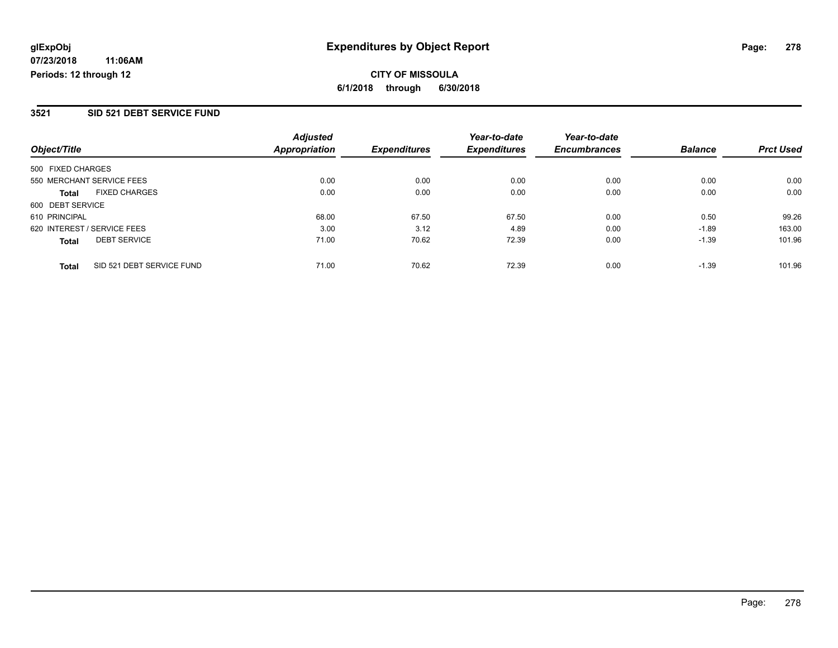### **3521 SID 521 DEBT SERVICE FUND**

|                                           | <b>Adjusted</b>      |                     | Year-to-date        | Year-to-date        |                |                  |
|-------------------------------------------|----------------------|---------------------|---------------------|---------------------|----------------|------------------|
| Object/Title                              | <b>Appropriation</b> | <b>Expenditures</b> | <b>Expenditures</b> | <b>Encumbrances</b> | <b>Balance</b> | <b>Prct Used</b> |
| 500 FIXED CHARGES                         |                      |                     |                     |                     |                |                  |
| 550 MERCHANT SERVICE FEES                 | 0.00                 | 0.00                | 0.00                | 0.00                | 0.00           | 0.00             |
| <b>FIXED CHARGES</b><br><b>Total</b>      | 0.00                 | 0.00                | 0.00                | 0.00                | 0.00           | 0.00             |
| 600 DEBT SERVICE                          |                      |                     |                     |                     |                |                  |
| 610 PRINCIPAL                             | 68.00                | 67.50               | 67.50               | 0.00                | 0.50           | 99.26            |
| 620 INTEREST / SERVICE FEES               | 3.00                 | 3.12                | 4.89                | 0.00                | $-1.89$        | 163.00           |
| <b>DEBT SERVICE</b><br><b>Total</b>       | 71.00                | 70.62               | 72.39               | 0.00                | $-1.39$        | 101.96           |
| SID 521 DEBT SERVICE FUND<br><b>Total</b> | 71.00                | 70.62               | 72.39               | 0.00                | $-1.39$        | 101.96           |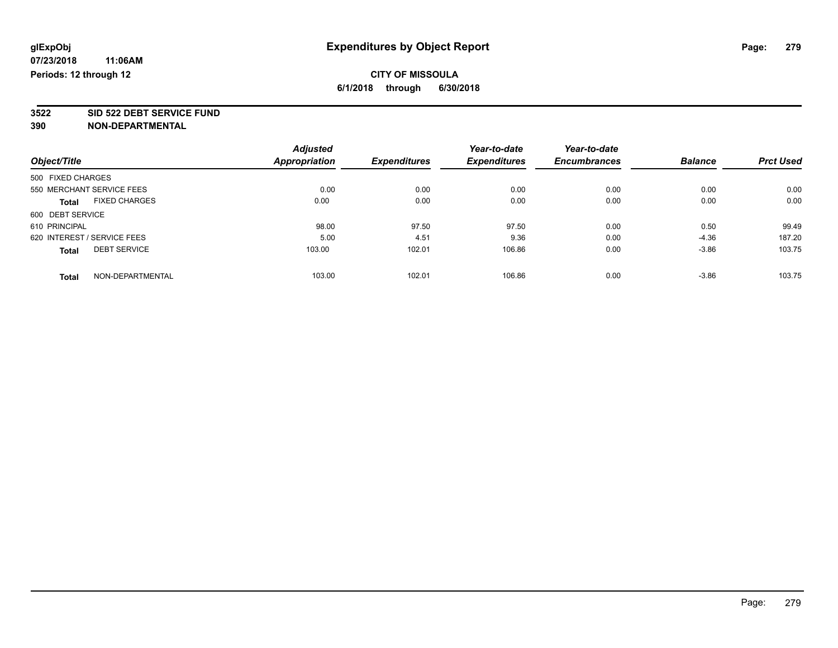# **3522 SID 522 DEBT SERVICE FUND**

|                                      | <b>Adjusted</b>      |                     | Year-to-date        | Year-to-date        |                |                  |
|--------------------------------------|----------------------|---------------------|---------------------|---------------------|----------------|------------------|
| Object/Title                         | <b>Appropriation</b> | <b>Expenditures</b> | <b>Expenditures</b> | <b>Encumbrances</b> | <b>Balance</b> | <b>Prct Used</b> |
| 500 FIXED CHARGES                    |                      |                     |                     |                     |                |                  |
| 550 MERCHANT SERVICE FEES            | 0.00                 | 0.00                | 0.00                | 0.00                | 0.00           | 0.00             |
| <b>FIXED CHARGES</b><br><b>Total</b> | 0.00                 | 0.00                | 0.00                | 0.00                | 0.00           | 0.00             |
| 600 DEBT SERVICE                     |                      |                     |                     |                     |                |                  |
| 610 PRINCIPAL                        | 98.00                | 97.50               | 97.50               | 0.00                | 0.50           | 99.49            |
| 620 INTEREST / SERVICE FEES          | 5.00                 | 4.51                | 9.36                | 0.00                | $-4.36$        | 187.20           |
| <b>DEBT SERVICE</b><br><b>Total</b>  | 103.00               | 102.01              | 106.86              | 0.00                | $-3.86$        | 103.75           |
| NON-DEPARTMENTAL<br>Total            | 103.00               | 102.01              | 106.86              | 0.00                | $-3.86$        | 103.75           |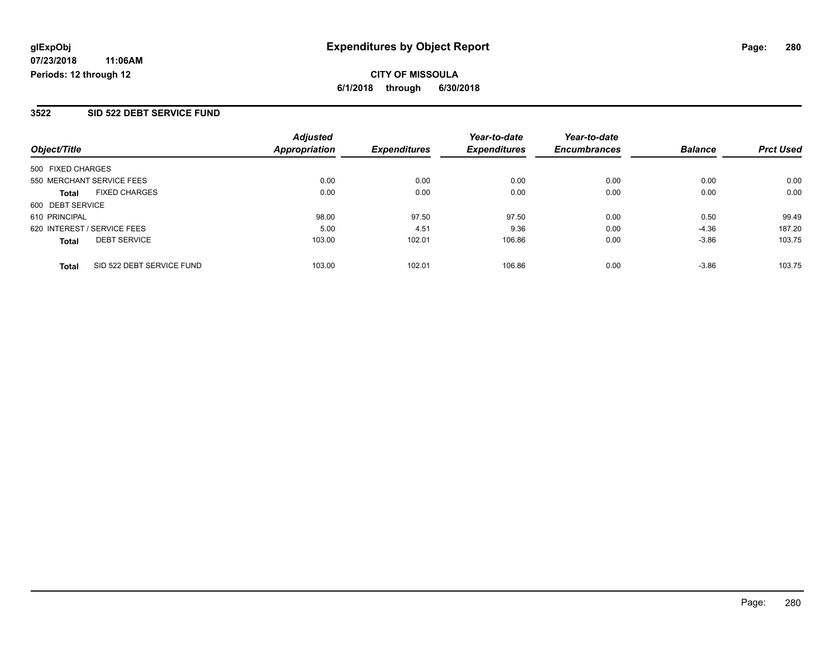# **3522 SID 522 DEBT SERVICE FUND**

|                                           | <b>Adjusted</b>      |                     | Year-to-date        | Year-to-date        |                |                  |
|-------------------------------------------|----------------------|---------------------|---------------------|---------------------|----------------|------------------|
| Object/Title                              | <b>Appropriation</b> | <b>Expenditures</b> | <b>Expenditures</b> | <b>Encumbrances</b> | <b>Balance</b> | <b>Prct Used</b> |
| 500 FIXED CHARGES                         |                      |                     |                     |                     |                |                  |
| 550 MERCHANT SERVICE FEES                 | 0.00                 | 0.00                | 0.00                | 0.00                | 0.00           | 0.00             |
| <b>FIXED CHARGES</b><br><b>Total</b>      | 0.00                 | 0.00                | 0.00                | 0.00                | 0.00           | 0.00             |
| 600 DEBT SERVICE                          |                      |                     |                     |                     |                |                  |
| 610 PRINCIPAL                             | 98.00                | 97.50               | 97.50               | 0.00                | 0.50           | 99.49            |
| 620 INTEREST / SERVICE FEES               | 5.00                 | 4.51                | 9.36                | 0.00                | $-4.36$        | 187.20           |
| <b>DEBT SERVICE</b><br><b>Total</b>       | 103.00               | 102.01              | 106.86              | 0.00                | $-3.86$        | 103.75           |
| SID 522 DEBT SERVICE FUND<br><b>Total</b> | 103.00               | 102.01              | 106.86              | 0.00                | $-3.86$        | 103.75           |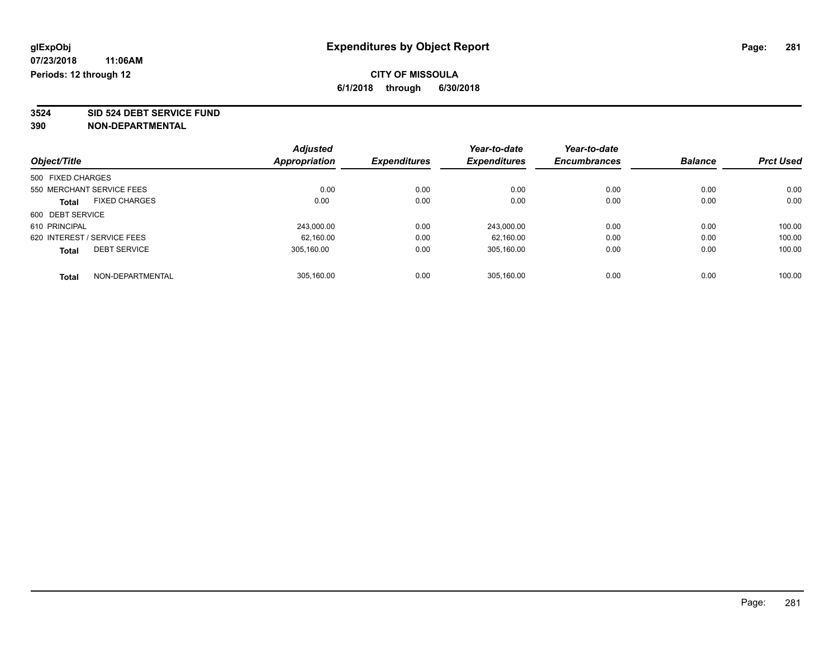**3524 SID 524 DEBT SERVICE FUND**

|                                     |                      | <b>Adjusted</b>     |                     | Year-to-date        | Year-to-date   |                  |        |
|-------------------------------------|----------------------|---------------------|---------------------|---------------------|----------------|------------------|--------|
| Object/Title                        | <b>Appropriation</b> | <b>Expenditures</b> | <b>Expenditures</b> | <b>Encumbrances</b> | <b>Balance</b> | <b>Prct Used</b> |        |
| 500 FIXED CHARGES                   |                      |                     |                     |                     |                |                  |        |
| 550 MERCHANT SERVICE FEES           |                      | 0.00                | 0.00                | 0.00                | 0.00           | 0.00             | 0.00   |
| <b>Total</b>                        | <b>FIXED CHARGES</b> | 0.00                | 0.00                | 0.00                | 0.00           | 0.00             | 0.00   |
| 600 DEBT SERVICE                    |                      |                     |                     |                     |                |                  |        |
| 610 PRINCIPAL                       |                      | 243,000.00          | 0.00                | 243,000.00          | 0.00           | 0.00             | 100.00 |
| 620 INTEREST / SERVICE FEES         |                      | 62.160.00           | 0.00                | 62.160.00           | 0.00           | 0.00             | 100.00 |
| <b>DEBT SERVICE</b><br><b>Total</b> |                      | 305.160.00          | 0.00                | 305,160.00          | 0.00           | 0.00             | 100.00 |
| <b>Total</b>                        | NON-DEPARTMENTAL     | 305.160.00          | 0.00                | 305.160.00          | 0.00           | 0.00             | 100.00 |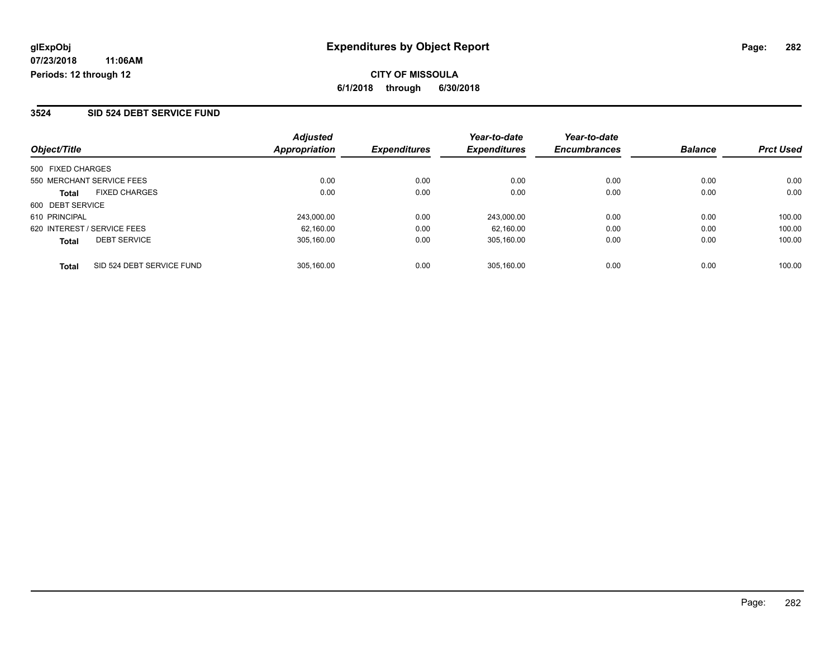#### **3524 SID 524 DEBT SERVICE FUND**

|                                           | <b>Adjusted</b>      |                     | Year-to-date        | Year-to-date        |                |                  |
|-------------------------------------------|----------------------|---------------------|---------------------|---------------------|----------------|------------------|
| Object/Title                              | <b>Appropriation</b> | <b>Expenditures</b> | <b>Expenditures</b> | <b>Encumbrances</b> | <b>Balance</b> | <b>Prct Used</b> |
| 500 FIXED CHARGES                         |                      |                     |                     |                     |                |                  |
| 550 MERCHANT SERVICE FEES                 | 0.00                 | 0.00                | 0.00                | 0.00                | 0.00           | 0.00             |
| <b>FIXED CHARGES</b><br><b>Total</b>      | 0.00                 | 0.00                | 0.00                | 0.00                | 0.00           | 0.00             |
| 600 DEBT SERVICE                          |                      |                     |                     |                     |                |                  |
| 610 PRINCIPAL                             | 243,000.00           | 0.00                | 243,000.00          | 0.00                | 0.00           | 100.00           |
| 620 INTEREST / SERVICE FEES               | 62.160.00            | 0.00                | 62.160.00           | 0.00                | 0.00           | 100.00           |
| <b>DEBT SERVICE</b><br><b>Total</b>       | 305.160.00           | 0.00                | 305.160.00          | 0.00                | 0.00           | 100.00           |
| SID 524 DEBT SERVICE FUND<br><b>Total</b> | 305.160.00           | 0.00                | 305.160.00          | 0.00                | 0.00           | 100.00           |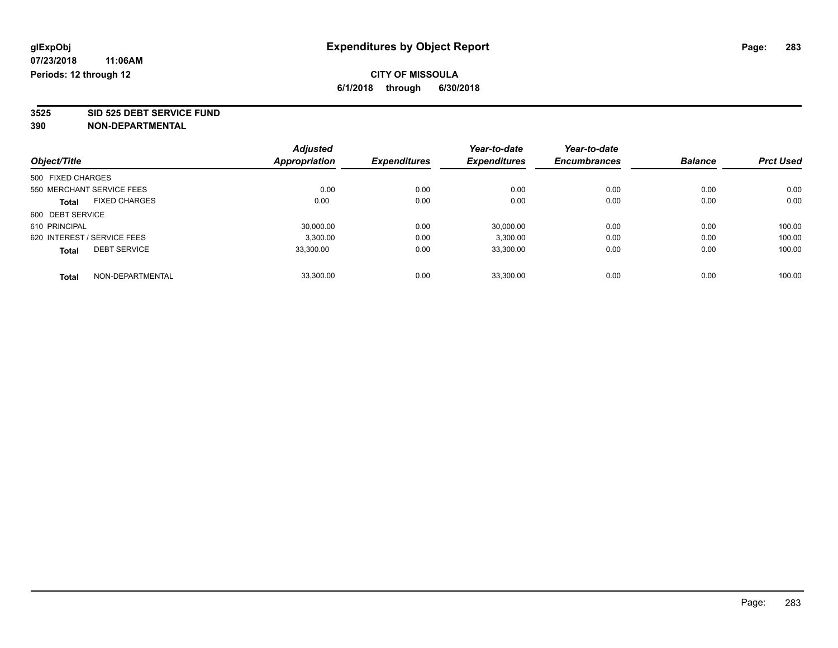**3525 SID 525 DEBT SERVICE FUND**

|                                      | <b>Adjusted</b>      |                     | Year-to-date        | Year-to-date        |                |                  |
|--------------------------------------|----------------------|---------------------|---------------------|---------------------|----------------|------------------|
| Object/Title                         | <b>Appropriation</b> | <b>Expenditures</b> | <b>Expenditures</b> | <b>Encumbrances</b> | <b>Balance</b> | <b>Prct Used</b> |
| 500 FIXED CHARGES                    |                      |                     |                     |                     |                |                  |
| 550 MERCHANT SERVICE FEES            | 0.00                 | 0.00                | 0.00                | 0.00                | 0.00           | 0.00             |
| <b>FIXED CHARGES</b><br><b>Total</b> | 0.00                 | 0.00                | 0.00                | 0.00                | 0.00           | 0.00             |
| 600 DEBT SERVICE                     |                      |                     |                     |                     |                |                  |
| 610 PRINCIPAL                        | 30,000.00            | 0.00                | 30,000.00           | 0.00                | 0.00           | 100.00           |
| 620 INTEREST / SERVICE FEES          | 3.300.00             | 0.00                | 3,300.00            | 0.00                | 0.00           | 100.00           |
| <b>DEBT SERVICE</b><br><b>Total</b>  | 33.300.00            | 0.00                | 33,300.00           | 0.00                | 0.00           | 100.00           |
| NON-DEPARTMENTAL<br><b>Total</b>     | 33.300.00            | 0.00                | 33.300.00           | 0.00                | 0.00           | 100.00           |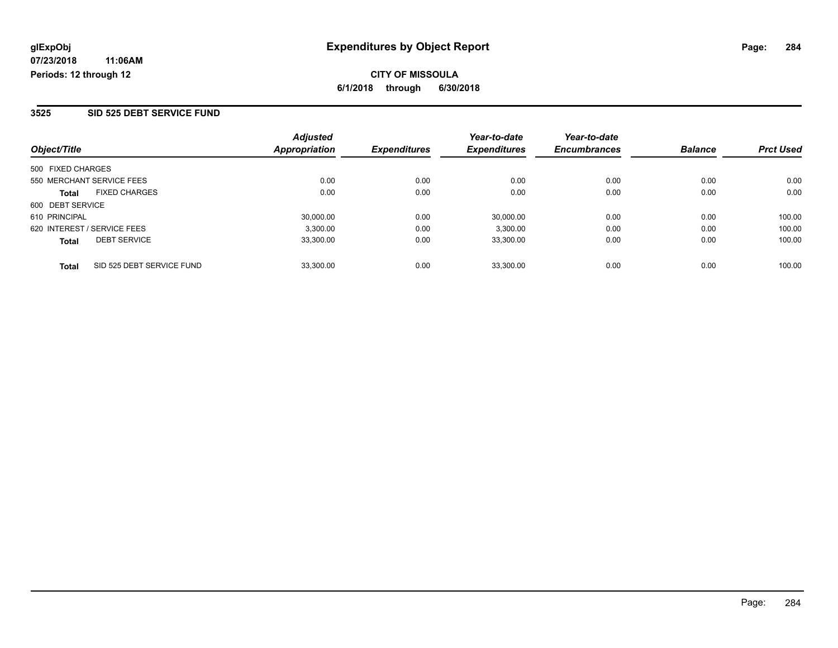#### **3525 SID 525 DEBT SERVICE FUND**

| Object/Title                              | <b>Adjusted</b><br><b>Appropriation</b> | <b>Expenditures</b> | Year-to-date<br><b>Expenditures</b> | Year-to-date<br><b>Encumbrances</b> | <b>Balance</b> | <b>Prct Used</b> |
|-------------------------------------------|-----------------------------------------|---------------------|-------------------------------------|-------------------------------------|----------------|------------------|
|                                           |                                         |                     |                                     |                                     |                |                  |
| 500 FIXED CHARGES                         |                                         |                     |                                     |                                     |                |                  |
| 550 MERCHANT SERVICE FEES                 | 0.00                                    | 0.00                | 0.00                                | 0.00                                | 0.00           | 0.00             |
| <b>FIXED CHARGES</b><br><b>Total</b>      | 0.00                                    | 0.00                | 0.00                                | 0.00                                | 0.00           | 0.00             |
| 600 DEBT SERVICE                          |                                         |                     |                                     |                                     |                |                  |
| 610 PRINCIPAL                             | 30.000.00                               | 0.00                | 30.000.00                           | 0.00                                | 0.00           | 100.00           |
| 620 INTEREST / SERVICE FEES               | 3.300.00                                | 0.00                | 3,300.00                            | 0.00                                | 0.00           | 100.00           |
| <b>DEBT SERVICE</b><br><b>Total</b>       | 33.300.00                               | 0.00                | 33.300.00                           | 0.00                                | 0.00           | 100.00           |
| SID 525 DEBT SERVICE FUND<br><b>Total</b> | 33.300.00                               | 0.00                | 33.300.00                           | 0.00                                | 0.00           | 100.00           |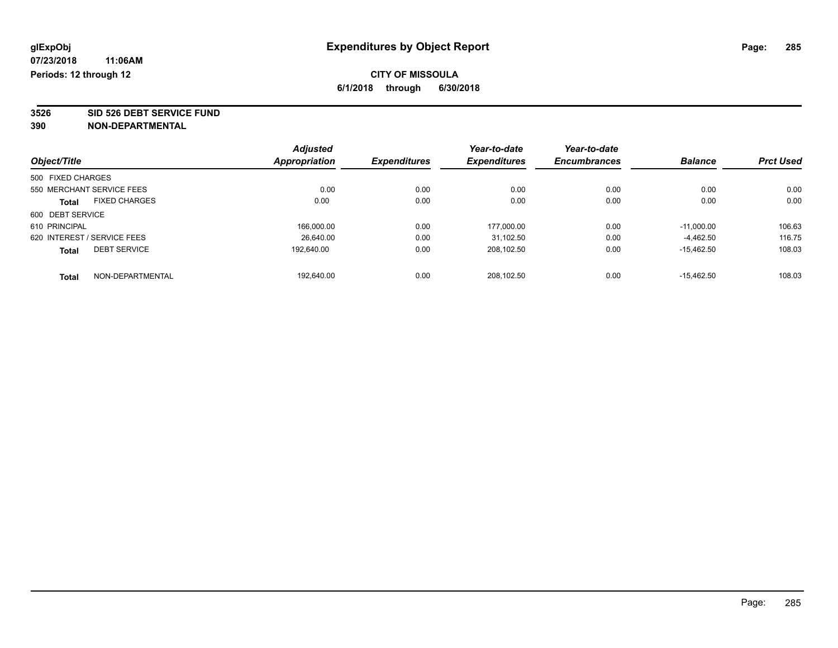**3526 SID 526 DEBT SERVICE FUND**

|                                      |  | <b>Adjusted</b>      |                     | Year-to-date        | Year-to-date        |                |                  |
|--------------------------------------|--|----------------------|---------------------|---------------------|---------------------|----------------|------------------|
| Object/Title                         |  | <b>Appropriation</b> | <b>Expenditures</b> | <b>Expenditures</b> | <b>Encumbrances</b> | <b>Balance</b> | <b>Prct Used</b> |
| 500 FIXED CHARGES                    |  |                      |                     |                     |                     |                |                  |
| 550 MERCHANT SERVICE FEES            |  | 0.00                 | 0.00                | 0.00                | 0.00                | 0.00           | 0.00             |
| <b>FIXED CHARGES</b><br><b>Total</b> |  | 0.00                 | 0.00                | 0.00                | 0.00                | 0.00           | 0.00             |
| 600 DEBT SERVICE                     |  |                      |                     |                     |                     |                |                  |
| 610 PRINCIPAL                        |  | 166,000.00           | 0.00                | 177,000.00          | 0.00                | $-11,000.00$   | 106.63           |
| 620 INTEREST / SERVICE FEES          |  | 26.640.00            | 0.00                | 31.102.50           | 0.00                | $-4.462.50$    | 116.75           |
| <b>DEBT SERVICE</b><br><b>Total</b>  |  | 192.640.00           | 0.00                | 208,102.50          | 0.00                | $-15.462.50$   | 108.03           |
| NON-DEPARTMENTAL<br><b>Total</b>     |  | 192.640.00           | 0.00                | 208.102.50          | 0.00                | $-15.462.50$   | 108.03           |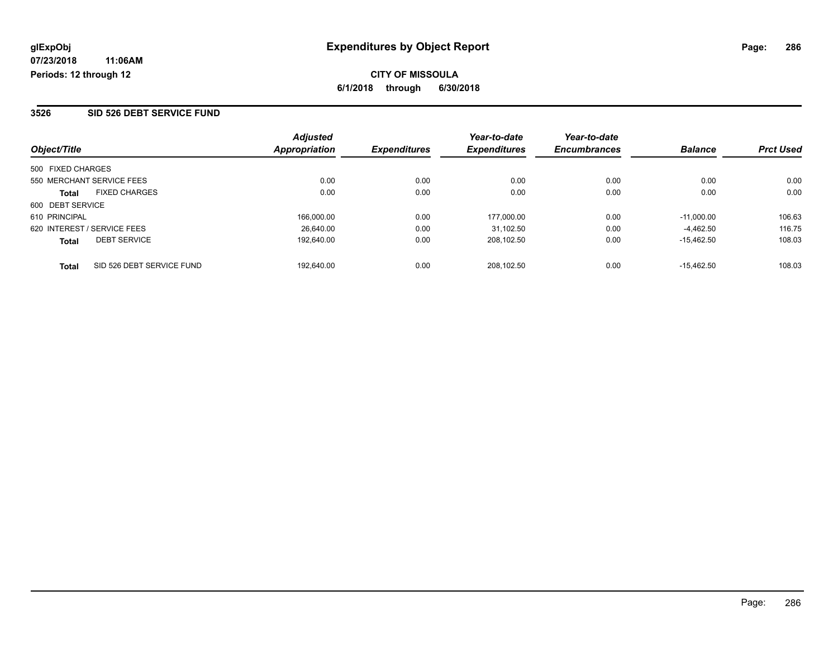#### **3526 SID 526 DEBT SERVICE FUND**

| Object/Title                              | <b>Adjusted</b><br>Appropriation | <b>Expenditures</b> | Year-to-date<br><b>Expenditures</b> | Year-to-date<br><b>Encumbrances</b> | <b>Balance</b> | <b>Prct Used</b> |
|-------------------------------------------|----------------------------------|---------------------|-------------------------------------|-------------------------------------|----------------|------------------|
| 500 FIXED CHARGES                         |                                  |                     |                                     |                                     |                |                  |
| 550 MERCHANT SERVICE FEES                 | 0.00                             | 0.00                | 0.00                                | 0.00                                | 0.00           | 0.00             |
| <b>FIXED CHARGES</b><br><b>Total</b>      | 0.00                             | 0.00                | 0.00                                | 0.00                                | 0.00           | 0.00             |
| 600 DEBT SERVICE                          |                                  |                     |                                     |                                     |                |                  |
| 610 PRINCIPAL                             | 166.000.00                       | 0.00                | 177.000.00                          | 0.00                                | $-11.000.00$   | 106.63           |
| 620 INTEREST / SERVICE FEES               | 26.640.00                        | 0.00                | 31.102.50                           | 0.00                                | $-4.462.50$    | 116.75           |
| <b>DEBT SERVICE</b><br><b>Total</b>       | 192.640.00                       | 0.00                | 208.102.50                          | 0.00                                | $-15.462.50$   | 108.03           |
| SID 526 DEBT SERVICE FUND<br><b>Total</b> | 192.640.00                       | 0.00                | 208.102.50                          | 0.00                                | $-15.462.50$   | 108.03           |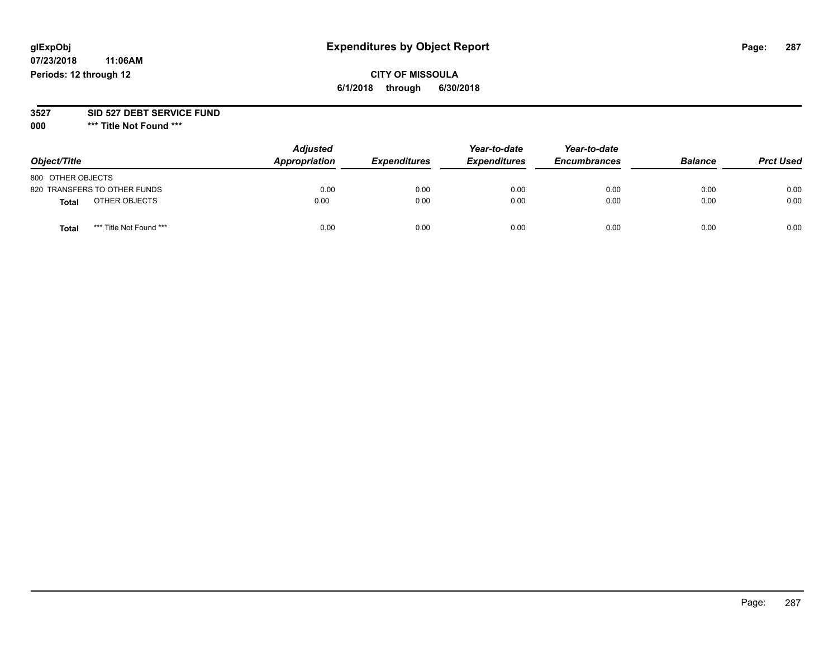# **glExpObj Expenditures by Object Report Page: 287**

# **CITY OF MISSOULA 6/1/2018 through 6/30/2018**

#### **3527 SID 527 DEBT SERVICE FUND**

**000 \*\*\* Title Not Found \*\*\***

| Object/Title                            | <b>Adjusted</b><br>Appropriation | <b>Expenditures</b> | Year-to-date<br><b>Expenditures</b> | Year-to-date<br><b>Encumbrances</b> | <b>Balance</b> | <b>Prct Used</b> |
|-----------------------------------------|----------------------------------|---------------------|-------------------------------------|-------------------------------------|----------------|------------------|
| 800 OTHER OBJECTS                       |                                  |                     |                                     |                                     |                |                  |
| 820 TRANSFERS TO OTHER FUNDS            | 0.00                             | 0.00                | 0.00                                | 0.00                                | 0.00           | 0.00             |
| OTHER OBJECTS<br>Total                  | 0.00                             | 0.00                | 0.00                                | 0.00                                | 0.00           | 0.00             |
| *** Title Not Found ***<br><b>Total</b> | 0.00                             | 0.00                | 0.00                                | 0.00                                | 0.00           | 0.00             |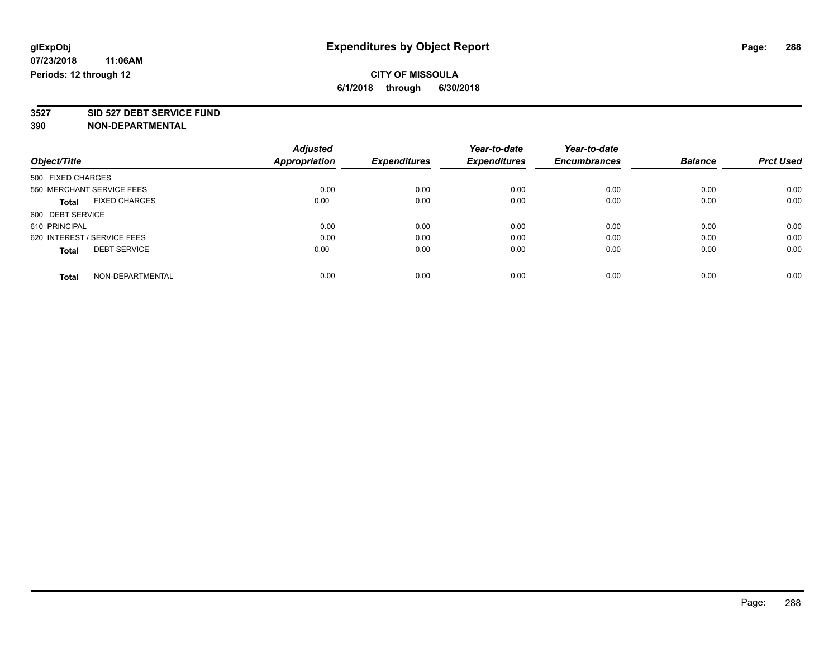**3527 SID 527 DEBT SERVICE FUND**

|                                      | <b>Adjusted</b>      |                     | Year-to-date        | Year-to-date        |                |                  |
|--------------------------------------|----------------------|---------------------|---------------------|---------------------|----------------|------------------|
| Object/Title                         | <b>Appropriation</b> | <b>Expenditures</b> | <b>Expenditures</b> | <b>Encumbrances</b> | <b>Balance</b> | <b>Prct Used</b> |
| 500 FIXED CHARGES                    |                      |                     |                     |                     |                |                  |
| 550 MERCHANT SERVICE FEES            | 0.00                 | 0.00                | 0.00                | 0.00                | 0.00           | 0.00             |
| <b>FIXED CHARGES</b><br><b>Total</b> | 0.00                 | 0.00                | 0.00                | 0.00                | 0.00           | 0.00             |
| 600 DEBT SERVICE                     |                      |                     |                     |                     |                |                  |
| 610 PRINCIPAL                        | 0.00                 | 0.00                | 0.00                | 0.00                | 0.00           | 0.00             |
| 620 INTEREST / SERVICE FEES          | 0.00                 | 0.00                | 0.00                | 0.00                | 0.00           | 0.00             |
| <b>DEBT SERVICE</b><br><b>Total</b>  | 0.00                 | 0.00                | 0.00                | 0.00                | 0.00           | 0.00             |
| NON-DEPARTMENTAL<br><b>Total</b>     | 0.00                 | 0.00                | 0.00                | 0.00                | 0.00           | 0.00             |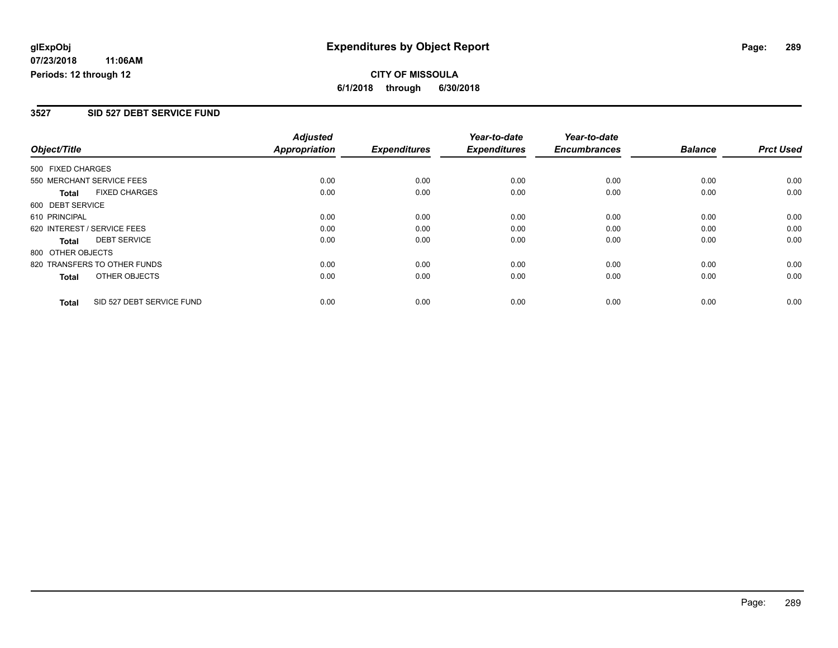**CITY OF MISSOULA 6/1/2018 through 6/30/2018**

#### **3527 SID 527 DEBT SERVICE FUND**

|                   |                              | <b>Adjusted</b>      |                     | Year-to-date        | Year-to-date        |                |                  |
|-------------------|------------------------------|----------------------|---------------------|---------------------|---------------------|----------------|------------------|
| Object/Title      |                              | <b>Appropriation</b> | <b>Expenditures</b> | <b>Expenditures</b> | <b>Encumbrances</b> | <b>Balance</b> | <b>Prct Used</b> |
| 500 FIXED CHARGES |                              |                      |                     |                     |                     |                |                  |
|                   | 550 MERCHANT SERVICE FEES    | 0.00                 | 0.00                | 0.00                | 0.00                | 0.00           | 0.00             |
| <b>Total</b>      | <b>FIXED CHARGES</b>         | 0.00                 | 0.00                | 0.00                | 0.00                | 0.00           | 0.00             |
| 600 DEBT SERVICE  |                              |                      |                     |                     |                     |                |                  |
| 610 PRINCIPAL     |                              | 0.00                 | 0.00                | 0.00                | 0.00                | 0.00           | 0.00             |
|                   | 620 INTEREST / SERVICE FEES  | 0.00                 | 0.00                | 0.00                | 0.00                | 0.00           | 0.00             |
| Total             | <b>DEBT SERVICE</b>          | 0.00                 | 0.00                | 0.00                | 0.00                | 0.00           | 0.00             |
| 800 OTHER OBJECTS |                              |                      |                     |                     |                     |                |                  |
|                   | 820 TRANSFERS TO OTHER FUNDS | 0.00                 | 0.00                | 0.00                | 0.00                | 0.00           | 0.00             |
| Total             | OTHER OBJECTS                | 0.00                 | 0.00                | 0.00                | 0.00                | 0.00           | 0.00             |
| <b>Total</b>      | SID 527 DEBT SERVICE FUND    | 0.00                 | 0.00                | 0.00                | 0.00                | 0.00           | 0.00             |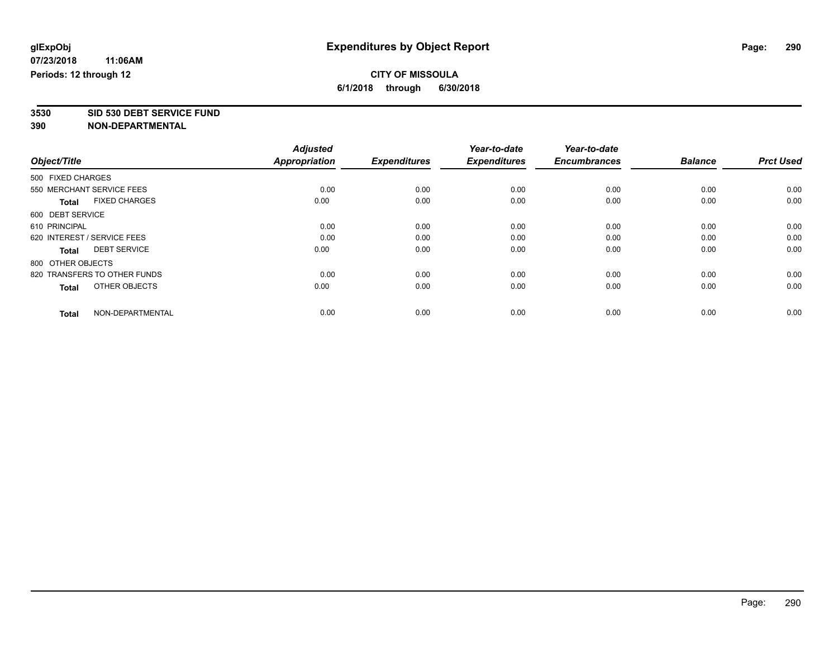**3530 SID 530 DEBT SERVICE FUND**

|                                      | <b>Adjusted</b><br><b>Appropriation</b> | <b>Expenditures</b> | Year-to-date<br><b>Expenditures</b> | Year-to-date<br><b>Encumbrances</b> | <b>Balance</b> | <b>Prct Used</b> |
|--------------------------------------|-----------------------------------------|---------------------|-------------------------------------|-------------------------------------|----------------|------------------|
| Object/Title                         |                                         |                     |                                     |                                     |                |                  |
| 500 FIXED CHARGES                    |                                         |                     |                                     |                                     |                |                  |
| 550 MERCHANT SERVICE FEES            | 0.00                                    | 0.00                | 0.00                                | 0.00                                | 0.00           | 0.00             |
| <b>FIXED CHARGES</b><br><b>Total</b> | 0.00                                    | 0.00                | 0.00                                | 0.00                                | 0.00           | 0.00             |
| 600 DEBT SERVICE                     |                                         |                     |                                     |                                     |                |                  |
| 610 PRINCIPAL                        | 0.00                                    | 0.00                | 0.00                                | 0.00                                | 0.00           | 0.00             |
| 620 INTEREST / SERVICE FEES          | 0.00                                    | 0.00                | 0.00                                | 0.00                                | 0.00           | 0.00             |
| <b>DEBT SERVICE</b><br><b>Total</b>  | 0.00                                    | 0.00                | 0.00                                | 0.00                                | 0.00           | 0.00             |
| 800 OTHER OBJECTS                    |                                         |                     |                                     |                                     |                |                  |
| 820 TRANSFERS TO OTHER FUNDS         | 0.00                                    | 0.00                | 0.00                                | 0.00                                | 0.00           | 0.00             |
| OTHER OBJECTS<br><b>Total</b>        | 0.00                                    | 0.00                | 0.00                                | 0.00                                | 0.00           | 0.00             |
|                                      |                                         |                     |                                     |                                     |                |                  |
| NON-DEPARTMENTAL<br><b>Total</b>     | 0.00                                    | 0.00                | 0.00                                | 0.00                                | 0.00           | 0.00             |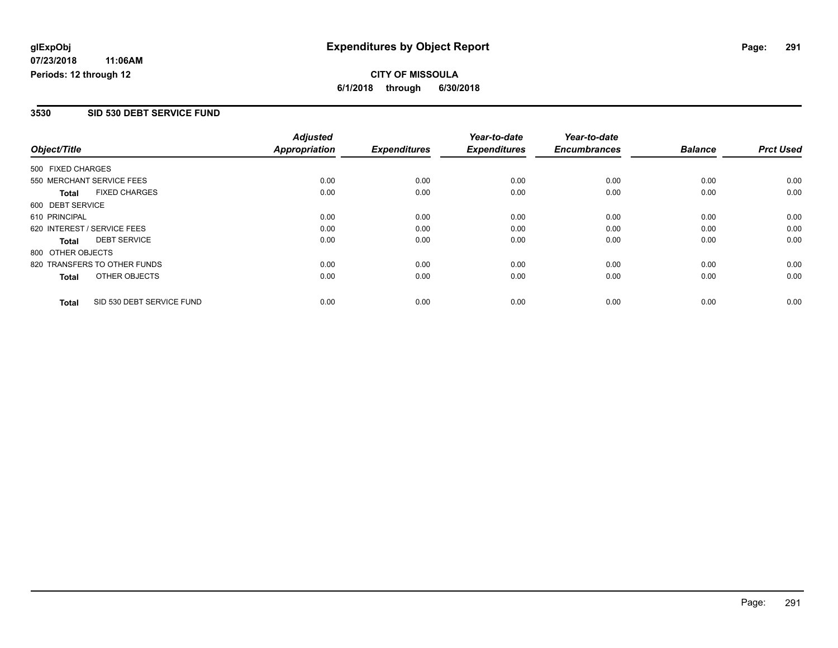**CITY OF MISSOULA 6/1/2018 through 6/30/2018**

#### **3530 SID 530 DEBT SERVICE FUND**

|                   |                              | <b>Adjusted</b>      |                     | Year-to-date        | Year-to-date        |                |                  |
|-------------------|------------------------------|----------------------|---------------------|---------------------|---------------------|----------------|------------------|
| Object/Title      |                              | <b>Appropriation</b> | <b>Expenditures</b> | <b>Expenditures</b> | <b>Encumbrances</b> | <b>Balance</b> | <b>Prct Used</b> |
| 500 FIXED CHARGES |                              |                      |                     |                     |                     |                |                  |
|                   | 550 MERCHANT SERVICE FEES    | 0.00                 | 0.00                | 0.00                | 0.00                | 0.00           | 0.00             |
| <b>Total</b>      | <b>FIXED CHARGES</b>         | 0.00                 | 0.00                | 0.00                | 0.00                | 0.00           | 0.00             |
| 600 DEBT SERVICE  |                              |                      |                     |                     |                     |                |                  |
| 610 PRINCIPAL     |                              | 0.00                 | 0.00                | 0.00                | 0.00                | 0.00           | 0.00             |
|                   | 620 INTEREST / SERVICE FEES  | 0.00                 | 0.00                | 0.00                | 0.00                | 0.00           | 0.00             |
| Total             | <b>DEBT SERVICE</b>          | 0.00                 | 0.00                | 0.00                | 0.00                | 0.00           | 0.00             |
| 800 OTHER OBJECTS |                              |                      |                     |                     |                     |                |                  |
|                   | 820 TRANSFERS TO OTHER FUNDS | 0.00                 | 0.00                | 0.00                | 0.00                | 0.00           | 0.00             |
| Total             | OTHER OBJECTS                | 0.00                 | 0.00                | 0.00                | 0.00                | 0.00           | 0.00             |
| <b>Total</b>      | SID 530 DEBT SERVICE FUND    | 0.00                 | 0.00                | 0.00                | 0.00                | 0.00           | 0.00             |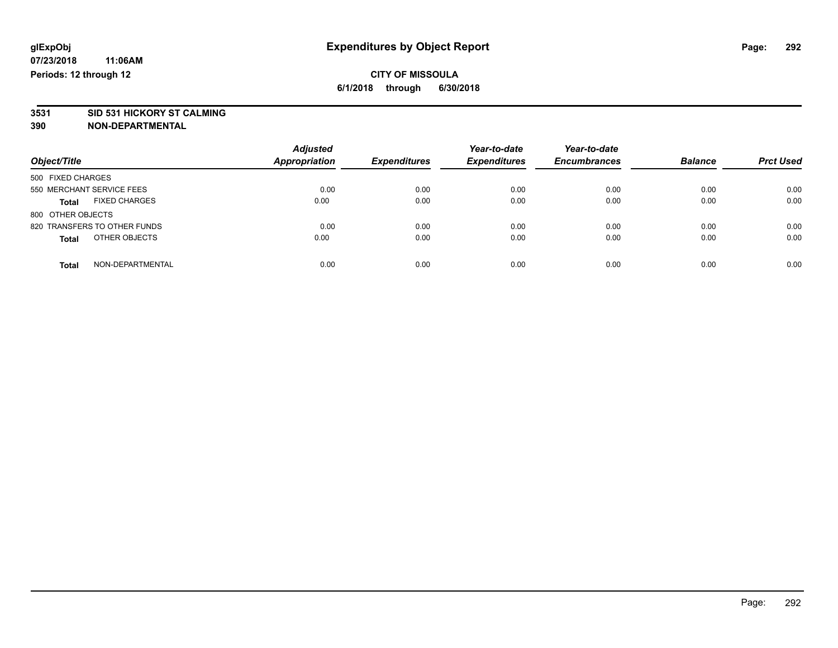# **3531 SID 531 HICKORY ST CALMING**

|                                      | <b>Adjusted</b>      |                     | Year-to-date        | Year-to-date        |                |                  |
|--------------------------------------|----------------------|---------------------|---------------------|---------------------|----------------|------------------|
| Object/Title                         | <b>Appropriation</b> | <b>Expenditures</b> | <b>Expenditures</b> | <b>Encumbrances</b> | <b>Balance</b> | <b>Prct Used</b> |
| 500 FIXED CHARGES                    |                      |                     |                     |                     |                |                  |
| 550 MERCHANT SERVICE FEES            | 0.00                 | 0.00                | 0.00                | 0.00                | 0.00           | 0.00             |
| <b>FIXED CHARGES</b><br><b>Total</b> | 0.00                 | 0.00                | 0.00                | 0.00                | 0.00           | 0.00             |
| 800 OTHER OBJECTS                    |                      |                     |                     |                     |                |                  |
| 820 TRANSFERS TO OTHER FUNDS         | 0.00                 | 0.00                | 0.00                | 0.00                | 0.00           | 0.00             |
| OTHER OBJECTS<br><b>Total</b>        | 0.00                 | 0.00                | 0.00                | 0.00                | 0.00           | 0.00             |
| NON-DEPARTMENTAL<br>Total            | 0.00                 | 0.00                | 0.00                | 0.00                | 0.00           | 0.00             |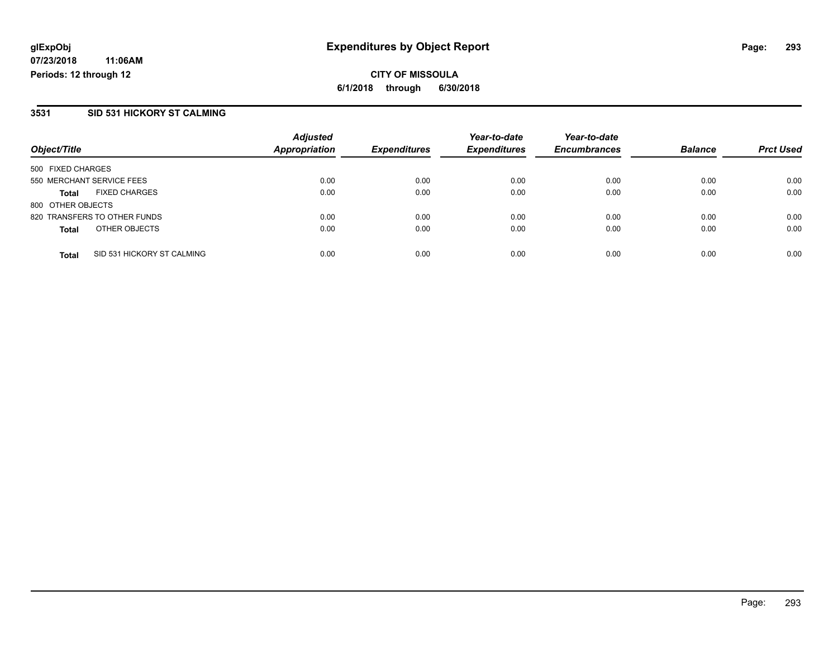**CITY OF MISSOULA 6/1/2018 through 6/30/2018**

#### **3531 SID 531 HICKORY ST CALMING**

|                                            | <b>Adjusted</b>      |                     | Year-to-date        | Year-to-date        |                |                  |
|--------------------------------------------|----------------------|---------------------|---------------------|---------------------|----------------|------------------|
| Object/Title                               | <b>Appropriation</b> | <b>Expenditures</b> | <b>Expenditures</b> | <b>Encumbrances</b> | <b>Balance</b> | <b>Prct Used</b> |
| 500 FIXED CHARGES                          |                      |                     |                     |                     |                |                  |
| 550 MERCHANT SERVICE FEES                  | 0.00                 | 0.00                | 0.00                | 0.00                | 0.00           | 0.00             |
| <b>FIXED CHARGES</b><br><b>Total</b>       | 0.00                 | 0.00                | 0.00                | 0.00                | 0.00           | 0.00             |
| 800 OTHER OBJECTS                          |                      |                     |                     |                     |                |                  |
| 820 TRANSFERS TO OTHER FUNDS               | 0.00                 | 0.00                | 0.00                | 0.00                | 0.00           | 0.00             |
| OTHER OBJECTS<br><b>Total</b>              | 0.00                 | 0.00                | 0.00                | 0.00                | 0.00           | 0.00             |
| SID 531 HICKORY ST CALMING<br><b>Total</b> | 0.00                 | 0.00                | 0.00                | 0.00                | 0.00           | 0.00             |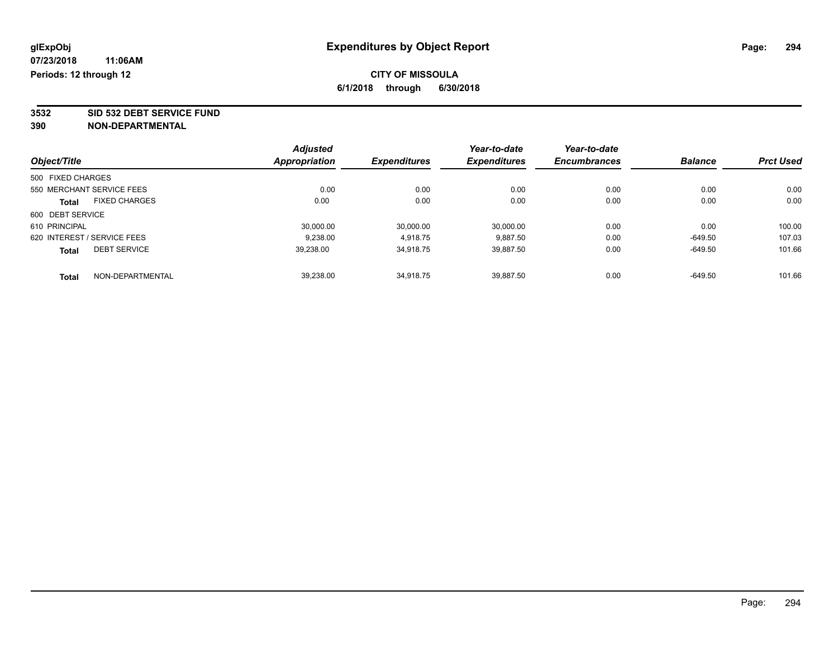**3532 SID 532 DEBT SERVICE FUND**

|                                      |  | <b>Adjusted</b> |                     | Year-to-date        | Year-to-date        |                |                  |
|--------------------------------------|--|-----------------|---------------------|---------------------|---------------------|----------------|------------------|
| Object/Title                         |  | Appropriation   | <b>Expenditures</b> | <b>Expenditures</b> | <b>Encumbrances</b> | <b>Balance</b> | <b>Prct Used</b> |
| 500 FIXED CHARGES                    |  |                 |                     |                     |                     |                |                  |
| 550 MERCHANT SERVICE FEES            |  | 0.00            | 0.00                | 0.00                | 0.00                | 0.00           | 0.00             |
| <b>FIXED CHARGES</b><br><b>Total</b> |  | 0.00            | 0.00                | 0.00                | 0.00                | 0.00           | 0.00             |
| 600 DEBT SERVICE                     |  |                 |                     |                     |                     |                |                  |
| 610 PRINCIPAL                        |  | 30.000.00       | 30,000.00           | 30,000.00           | 0.00                | 0.00           | 100.00           |
| 620 INTEREST / SERVICE FEES          |  | 9.238.00        | 4,918.75            | 9,887.50            | 0.00                | $-649.50$      | 107.03           |
| <b>DEBT SERVICE</b><br><b>Total</b>  |  | 39.238.00       | 34.918.75           | 39.887.50           | 0.00                | $-649.50$      | 101.66           |
| NON-DEPARTMENTAL<br><b>Total</b>     |  | 39.238.00       | 34.918.75           | 39.887.50           | 0.00                | $-649.50$      | 101.66           |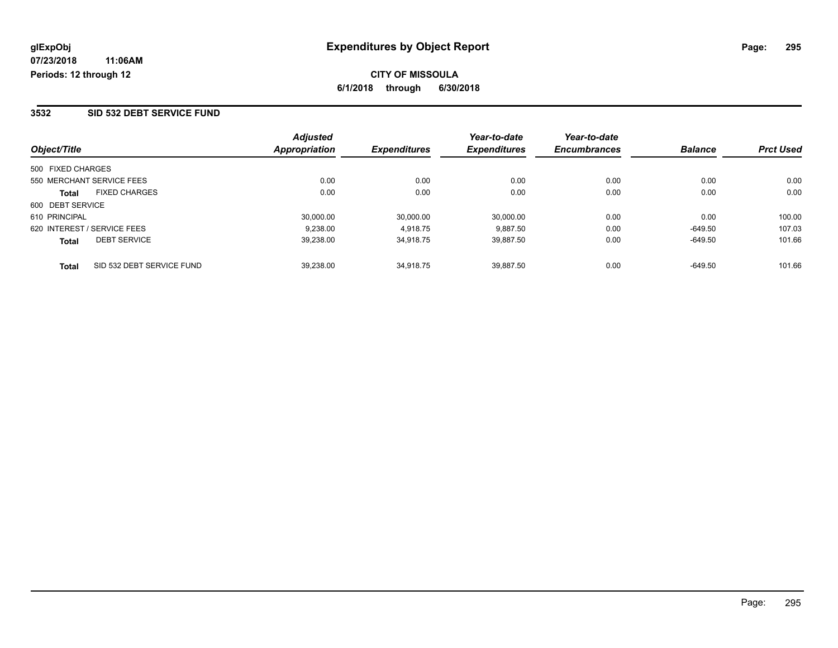### **3532 SID 532 DEBT SERVICE FUND**

|                             |                           | <b>Adjusted</b> |                     | Year-to-date        | Year-to-date        |                |                  |
|-----------------------------|---------------------------|-----------------|---------------------|---------------------|---------------------|----------------|------------------|
| Object/Title                |                           | Appropriation   | <b>Expenditures</b> | <b>Expenditures</b> | <b>Encumbrances</b> | <b>Balance</b> | <b>Prct Used</b> |
| 500 FIXED CHARGES           |                           |                 |                     |                     |                     |                |                  |
| 550 MERCHANT SERVICE FEES   |                           | 0.00            | 0.00                | 0.00                | 0.00                | 0.00           | 0.00             |
| <b>Total</b>                | <b>FIXED CHARGES</b>      | 0.00            | 0.00                | 0.00                | 0.00                | 0.00           | 0.00             |
| 600 DEBT SERVICE            |                           |                 |                     |                     |                     |                |                  |
| 610 PRINCIPAL               |                           | 30.000.00       | 30,000.00           | 30.000.00           | 0.00                | 0.00           | 100.00           |
| 620 INTEREST / SERVICE FEES |                           | 9.238.00        | 4.918.75            | 9.887.50            | 0.00                | $-649.50$      | 107.03           |
| <b>Total</b>                | <b>DEBT SERVICE</b>       | 39.238.00       | 34.918.75           | 39.887.50           | 0.00                | $-649.50$      | 101.66           |
| <b>Total</b>                | SID 532 DEBT SERVICE FUND | 39,238.00       | 34.918.75           | 39.887.50           | 0.00                | $-649.50$      | 101.66           |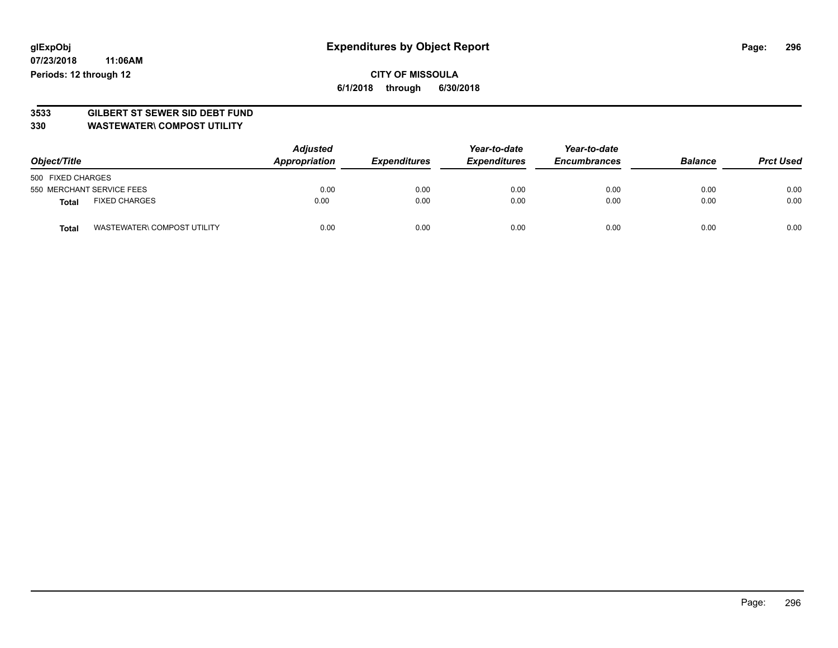**CITY OF MISSOULA 6/1/2018 through 6/30/2018**

**3533 GILBERT ST SEWER SID DEBT FUND**

# **330 WASTEWATER\ COMPOST UTILITY**

| Object/Title                                       | <b>Adjusted</b><br><b>Appropriation</b> | <b>Expenditures</b> | Year-to-date<br><b>Expenditures</b> | Year-to-date<br><b>Encumbrances</b> | <b>Balance</b> | <b>Prct Used</b> |
|----------------------------------------------------|-----------------------------------------|---------------------|-------------------------------------|-------------------------------------|----------------|------------------|
| 500 FIXED CHARGES                                  |                                         |                     |                                     |                                     |                |                  |
| 550 MERCHANT SERVICE FEES                          | 0.00                                    | 0.00                | 0.00                                | 0.00                                | 0.00           | 0.00             |
| <b>FIXED CHARGES</b><br><b>Total</b>               | 0.00                                    | 0.00                | 0.00                                | 0.00                                | 0.00           | 0.00             |
| <b>WASTEWATER\ COMPOST UTILITY</b><br><b>Total</b> | 0.00                                    | 0.00                | 0.00                                | 0.00                                | 0.00           | 0.00             |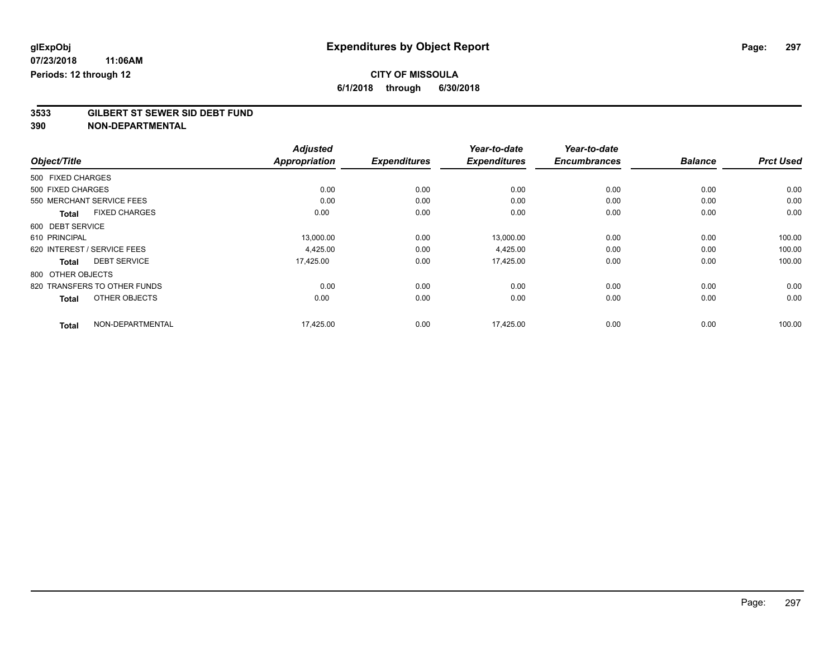# **3533 GILBERT ST SEWER SID DEBT FUND**

|                                      | <b>Adjusted</b>      | <b>Expenditures</b> | Year-to-date<br><b>Expenditures</b> | Year-to-date<br><b>Encumbrances</b> | <b>Balance</b> | <b>Prct Used</b> |
|--------------------------------------|----------------------|---------------------|-------------------------------------|-------------------------------------|----------------|------------------|
| Object/Title                         | <b>Appropriation</b> |                     |                                     |                                     |                |                  |
| 500 FIXED CHARGES                    |                      |                     |                                     |                                     |                |                  |
| 500 FIXED CHARGES                    | 0.00                 | 0.00                | 0.00                                | 0.00                                | 0.00           | 0.00             |
| 550 MERCHANT SERVICE FEES            | 0.00                 | 0.00                | 0.00                                | 0.00                                | 0.00           | 0.00             |
| <b>FIXED CHARGES</b><br><b>Total</b> | 0.00                 | 0.00                | 0.00                                | 0.00                                | 0.00           | 0.00             |
| 600 DEBT SERVICE                     |                      |                     |                                     |                                     |                |                  |
| 610 PRINCIPAL                        | 13,000.00            | 0.00                | 13,000.00                           | 0.00                                | 0.00           | 100.00           |
| 620 INTEREST / SERVICE FEES          | 4,425.00             | 0.00                | 4,425.00                            | 0.00                                | 0.00           | 100.00           |
| <b>DEBT SERVICE</b><br><b>Total</b>  | 17,425.00            | 0.00                | 17,425.00                           | 0.00                                | 0.00           | 100.00           |
| 800 OTHER OBJECTS                    |                      |                     |                                     |                                     |                |                  |
| 820 TRANSFERS TO OTHER FUNDS         | 0.00                 | 0.00                | 0.00                                | 0.00                                | 0.00           | 0.00             |
| OTHER OBJECTS<br><b>Total</b>        | 0.00                 | 0.00                | 0.00                                | 0.00                                | 0.00           | 0.00             |
| NON-DEPARTMENTAL<br><b>Total</b>     | 17,425.00            | 0.00                | 17,425.00                           | 0.00                                | 0.00           | 100.00           |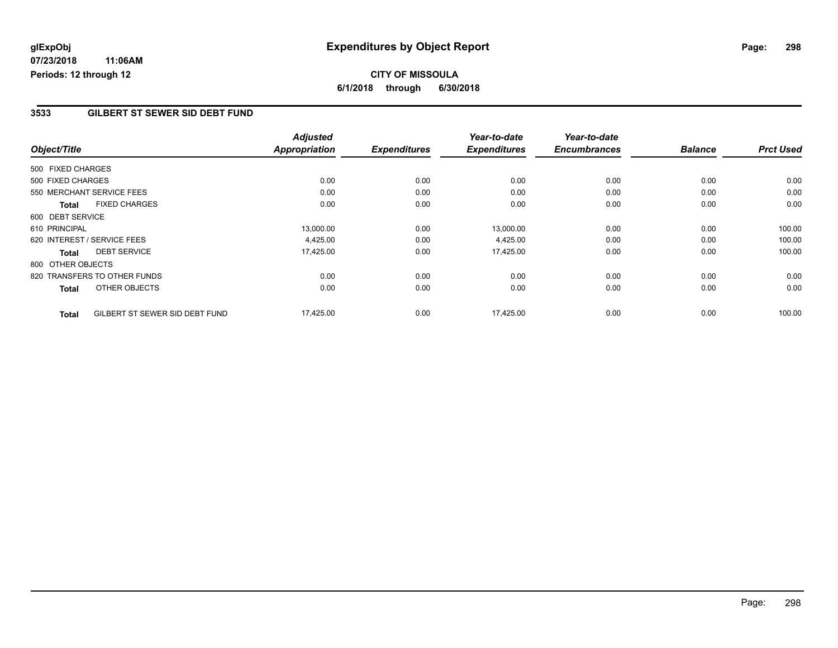# **CITY OF MISSOULA 6/1/2018 through 6/30/2018**

#### **3533 GILBERT ST SEWER SID DEBT FUND**

| Object/Title      |                                | <b>Adjusted</b><br><b>Appropriation</b> | <b>Expenditures</b> | Year-to-date<br><b>Expenditures</b> | Year-to-date<br><b>Encumbrances</b> | <b>Balance</b> | <b>Prct Used</b> |
|-------------------|--------------------------------|-----------------------------------------|---------------------|-------------------------------------|-------------------------------------|----------------|------------------|
|                   |                                |                                         |                     |                                     |                                     |                |                  |
| 500 FIXED CHARGES |                                | 0.00                                    | 0.00                | 0.00                                | 0.00                                | 0.00           | 0.00             |
|                   | 550 MERCHANT SERVICE FEES      | 0.00                                    | 0.00                | 0.00                                | 0.00                                | 0.00           | 0.00             |
| <b>Total</b>      | <b>FIXED CHARGES</b>           | 0.00                                    | 0.00                | 0.00                                | 0.00                                | 0.00           | 0.00             |
| 600 DEBT SERVICE  |                                |                                         |                     |                                     |                                     |                |                  |
| 610 PRINCIPAL     |                                | 13,000.00                               | 0.00                | 13,000.00                           | 0.00                                | 0.00           | 100.00           |
|                   | 620 INTEREST / SERVICE FEES    | 4,425.00                                | 0.00                | 4,425.00                            | 0.00                                | 0.00           | 100.00           |
| <b>Total</b>      | <b>DEBT SERVICE</b>            | 17,425.00                               | 0.00                | 17,425.00                           | 0.00                                | 0.00           | 100.00           |
| 800 OTHER OBJECTS |                                |                                         |                     |                                     |                                     |                |                  |
|                   | 820 TRANSFERS TO OTHER FUNDS   | 0.00                                    | 0.00                | 0.00                                | 0.00                                | 0.00           | 0.00             |
| <b>Total</b>      | OTHER OBJECTS                  | 0.00                                    | 0.00                | 0.00                                | 0.00                                | 0.00           | 0.00             |
| <b>Total</b>      | GILBERT ST SEWER SID DEBT FUND | 17,425.00                               | 0.00                | 17,425.00                           | 0.00                                | 0.00           | 100.00           |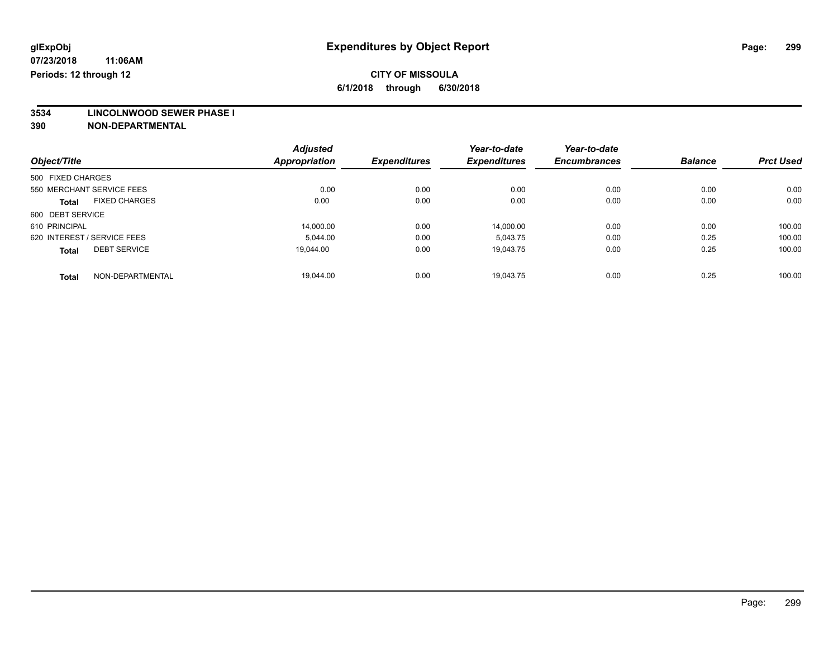**3534 LINCOLNWOOD SEWER PHASE I**

|                                      | <b>Adjusted</b>      |                     | Year-to-date        | Year-to-date        |                |                  |
|--------------------------------------|----------------------|---------------------|---------------------|---------------------|----------------|------------------|
| Object/Title                         | <b>Appropriation</b> | <b>Expenditures</b> | <b>Expenditures</b> | <b>Encumbrances</b> | <b>Balance</b> | <b>Prct Used</b> |
| 500 FIXED CHARGES                    |                      |                     |                     |                     |                |                  |
| 550 MERCHANT SERVICE FEES            | 0.00                 | 0.00                | 0.00                | 0.00                | 0.00           | 0.00             |
| <b>FIXED CHARGES</b><br><b>Total</b> | 0.00                 | 0.00                | 0.00                | 0.00                | 0.00           | 0.00             |
| 600 DEBT SERVICE                     |                      |                     |                     |                     |                |                  |
| 610 PRINCIPAL                        | 14.000.00            | 0.00                | 14.000.00           | 0.00                | 0.00           | 100.00           |
| 620 INTEREST / SERVICE FEES          | 5.044.00             | 0.00                | 5,043.75            | 0.00                | 0.25           | 100.00           |
| <b>DEBT SERVICE</b><br><b>Total</b>  | 19.044.00            | 0.00                | 19,043.75           | 0.00                | 0.25           | 100.00           |
| NON-DEPARTMENTAL<br><b>Total</b>     | 19.044.00            | 0.00                | 19.043.75           | 0.00                | 0.25           | 100.00           |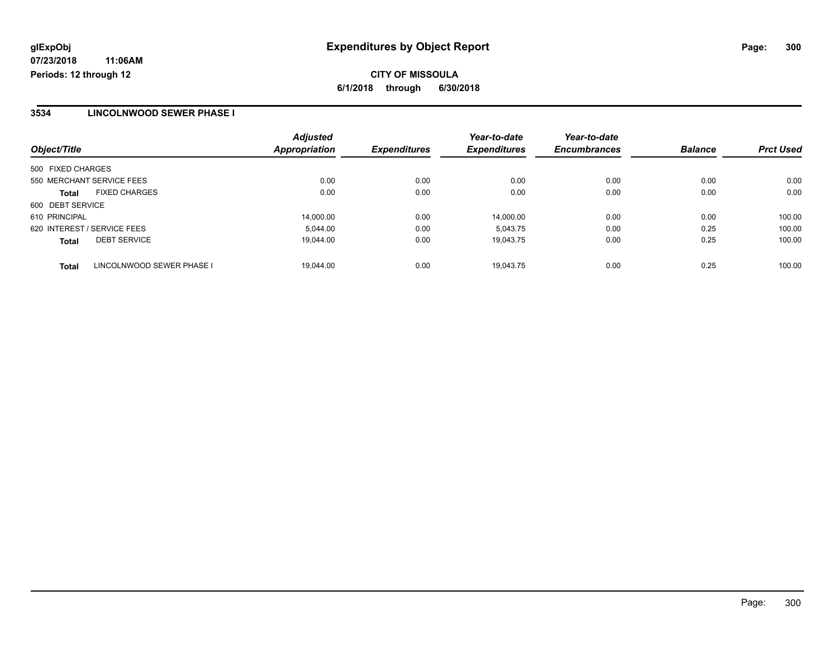**CITY OF MISSOULA 6/1/2018 through 6/30/2018**

#### **3534 LINCOLNWOOD SEWER PHASE I**

| Object/Title                              | <b>Adjusted</b><br><b>Appropriation</b> | <b>Expenditures</b> | Year-to-date<br><b>Expenditures</b> | Year-to-date<br><b>Encumbrances</b> | <b>Balance</b> | <b>Prct Used</b> |
|-------------------------------------------|-----------------------------------------|---------------------|-------------------------------------|-------------------------------------|----------------|------------------|
| 500 FIXED CHARGES                         |                                         |                     |                                     |                                     |                |                  |
| 550 MERCHANT SERVICE FEES                 | 0.00                                    | 0.00                | 0.00                                | 0.00                                | 0.00           | 0.00             |
| <b>FIXED CHARGES</b><br><b>Total</b>      | 0.00                                    | 0.00                | 0.00                                | 0.00                                | 0.00           | 0.00             |
| 600 DEBT SERVICE                          |                                         |                     |                                     |                                     |                |                  |
| 610 PRINCIPAL                             | 14,000.00                               | 0.00                | 14.000.00                           | 0.00                                | 0.00           | 100.00           |
| 620 INTEREST / SERVICE FEES               | 5.044.00                                | 0.00                | 5.043.75                            | 0.00                                | 0.25           | 100.00           |
| <b>DEBT SERVICE</b><br><b>Total</b>       | 19.044.00                               | 0.00                | 19.043.75                           | 0.00                                | 0.25           | 100.00           |
| LINCOLNWOOD SEWER PHASE I<br><b>Total</b> | 19.044.00                               | 0.00                | 19.043.75                           | 0.00                                | 0.25           | 100.00           |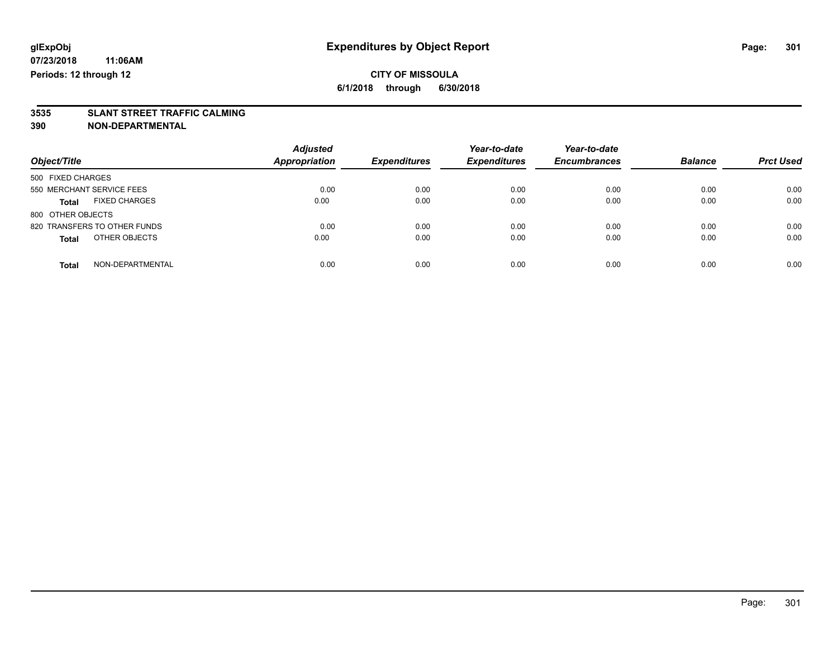# **3535 SLANT STREET TRAFFIC CALMING**

|                                      | <b>Adjusted</b>      |                     | Year-to-date        | Year-to-date        |                |                  |
|--------------------------------------|----------------------|---------------------|---------------------|---------------------|----------------|------------------|
| Object/Title                         | <b>Appropriation</b> | <b>Expenditures</b> | <b>Expenditures</b> | <b>Encumbrances</b> | <b>Balance</b> | <b>Prct Used</b> |
| 500 FIXED CHARGES                    |                      |                     |                     |                     |                |                  |
| 550 MERCHANT SERVICE FEES            | 0.00                 | 0.00                | 0.00                | 0.00                | 0.00           | 0.00             |
| <b>FIXED CHARGES</b><br><b>Total</b> | 0.00                 | 0.00                | 0.00                | 0.00                | 0.00           | 0.00             |
| 800 OTHER OBJECTS                    |                      |                     |                     |                     |                |                  |
| 820 TRANSFERS TO OTHER FUNDS         | 0.00                 | 0.00                | 0.00                | 0.00                | 0.00           | 0.00             |
| OTHER OBJECTS<br><b>Total</b>        | 0.00                 | 0.00                | 0.00                | 0.00                | 0.00           | 0.00             |
| NON-DEPARTMENTAL<br>Total            | 0.00                 | 0.00                | 0.00                | 0.00                | 0.00           | 0.00             |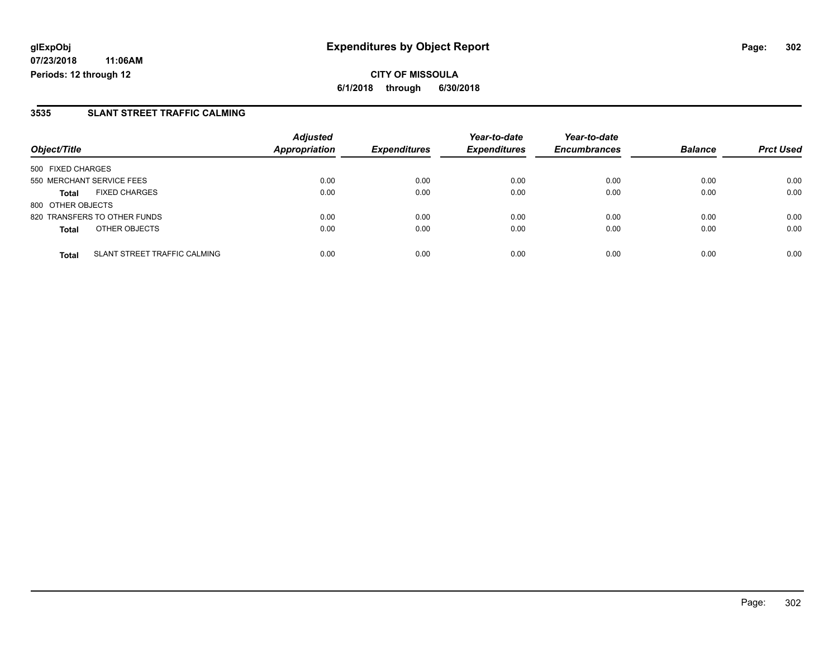**CITY OF MISSOULA 6/1/2018 through 6/30/2018**

### **3535 SLANT STREET TRAFFIC CALMING**

| Object/Title      |                              | <b>Adjusted</b><br><b>Appropriation</b> | <b>Expenditures</b> | Year-to-date<br><b>Expenditures</b> | Year-to-date<br><b>Encumbrances</b> | <b>Balance</b> | <b>Prct Used</b> |
|-------------------|------------------------------|-----------------------------------------|---------------------|-------------------------------------|-------------------------------------|----------------|------------------|
|                   |                              |                                         |                     |                                     |                                     |                |                  |
| 500 FIXED CHARGES |                              |                                         |                     |                                     |                                     |                |                  |
|                   | 550 MERCHANT SERVICE FEES    | 0.00                                    | 0.00                | 0.00                                | 0.00                                | 0.00           | 0.00             |
| <b>Total</b>      | <b>FIXED CHARGES</b>         | 0.00                                    | 0.00                | 0.00                                | 0.00                                | 0.00           | 0.00             |
| 800 OTHER OBJECTS |                              |                                         |                     |                                     |                                     |                |                  |
|                   | 820 TRANSFERS TO OTHER FUNDS | 0.00                                    | 0.00                | 0.00                                | 0.00                                | 0.00           | 0.00             |
| <b>Total</b>      | OTHER OBJECTS                | 0.00                                    | 0.00                | 0.00                                | 0.00                                | 0.00           | 0.00             |
| <b>Total</b>      | SLANT STREET TRAFFIC CALMING | 0.00                                    | 0.00                | 0.00                                | 0.00                                | 0.00           | 0.00             |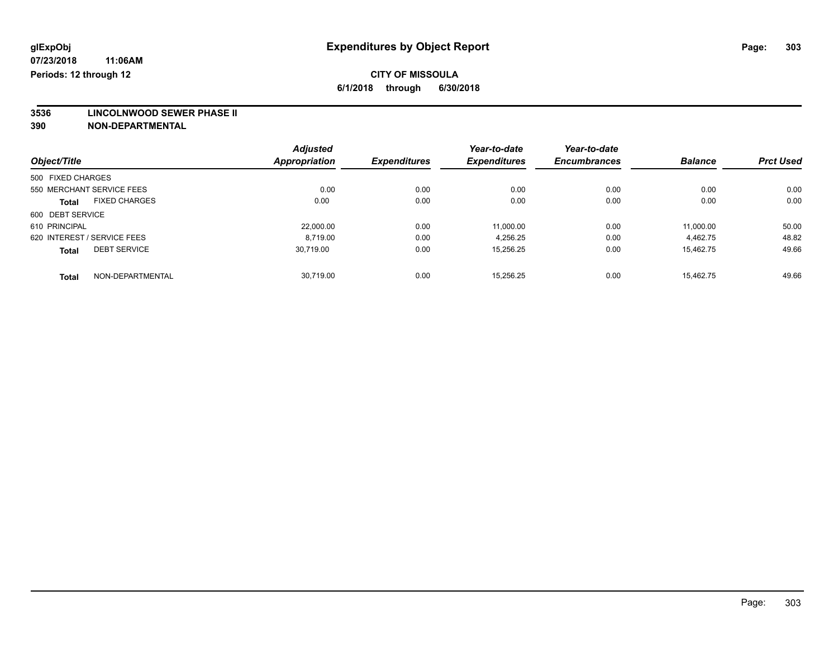**3536 LINCOLNWOOD SEWER PHASE II**

|                                      | <b>Adjusted</b>      |                     | Year-to-date        | Year-to-date        |                |                  |
|--------------------------------------|----------------------|---------------------|---------------------|---------------------|----------------|------------------|
| Object/Title                         | <b>Appropriation</b> | <b>Expenditures</b> | <b>Expenditures</b> | <b>Encumbrances</b> | <b>Balance</b> | <b>Prct Used</b> |
| 500 FIXED CHARGES                    |                      |                     |                     |                     |                |                  |
| 550 MERCHANT SERVICE FEES            | 0.00                 | 0.00                | 0.00                | 0.00                | 0.00           | 0.00             |
| <b>FIXED CHARGES</b><br><b>Total</b> | 0.00                 | 0.00                | 0.00                | 0.00                | 0.00           | 0.00             |
| 600 DEBT SERVICE                     |                      |                     |                     |                     |                |                  |
| 610 PRINCIPAL                        | 22.000.00            | 0.00                | 11.000.00           | 0.00                | 11.000.00      | 50.00            |
| 620 INTEREST / SERVICE FEES          | 8.719.00             | 0.00                | 4,256.25            | 0.00                | 4,462.75       | 48.82            |
| <b>DEBT SERVICE</b><br><b>Total</b>  | 30.719.00            | 0.00                | 15,256.25           | 0.00                | 15,462.75      | 49.66            |
| NON-DEPARTMENTAL<br><b>Total</b>     | 30.719.00            | 0.00                | 15.256.25           | 0.00                | 15.462.75      | 49.66            |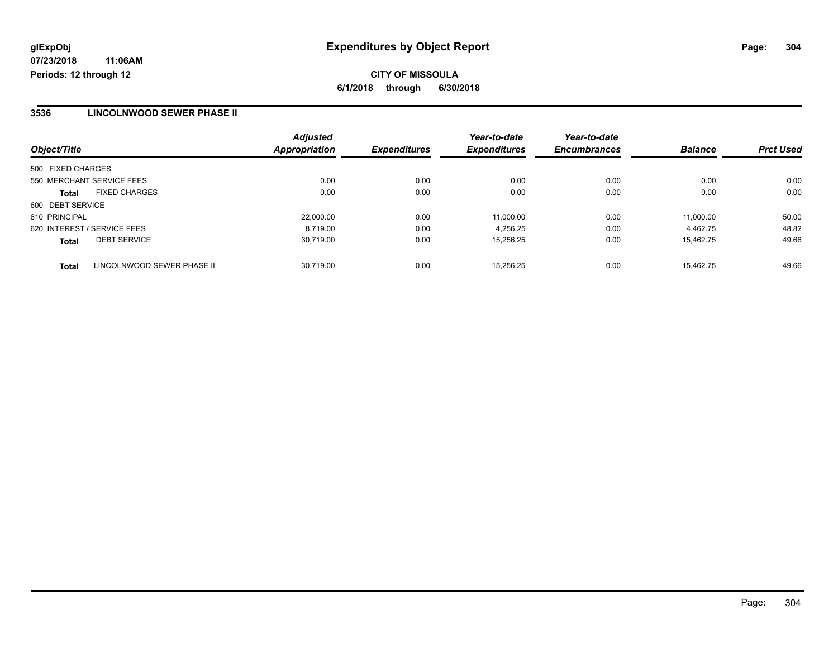# **CITY OF MISSOULA 6/1/2018 through 6/30/2018**

### **3536 LINCOLNWOOD SEWER PHASE II**

| Object/Title                               | <b>Adjusted</b><br>Appropriation | <b>Expenditures</b> | Year-to-date<br><b>Expenditures</b> | Year-to-date<br><b>Encumbrances</b> | <b>Balance</b> | <b>Prct Used</b> |
|--------------------------------------------|----------------------------------|---------------------|-------------------------------------|-------------------------------------|----------------|------------------|
|                                            |                                  |                     |                                     |                                     |                |                  |
| 500 FIXED CHARGES                          |                                  |                     |                                     |                                     |                |                  |
| 550 MERCHANT SERVICE FEES                  | 0.00                             | 0.00                | 0.00                                | 0.00                                | 0.00           | 0.00             |
| <b>FIXED CHARGES</b><br><b>Total</b>       | 0.00                             | 0.00                | 0.00                                | 0.00                                | 0.00           | 0.00             |
| 600 DEBT SERVICE                           |                                  |                     |                                     |                                     |                |                  |
| 610 PRINCIPAL                              | 22.000.00                        | 0.00                | 11.000.00                           | 0.00                                | 11.000.00      | 50.00            |
| 620 INTEREST / SERVICE FEES                | 8.719.00                         | 0.00                | 4.256.25                            | 0.00                                | 4,462.75       | 48.82            |
| <b>DEBT SERVICE</b><br><b>Total</b>        | 30.719.00                        | 0.00                | 15.256.25                           | 0.00                                | 15.462.75      | 49.66            |
| LINCOLNWOOD SEWER PHASE II<br><b>Total</b> | 30.719.00                        | 0.00                | 15.256.25                           | 0.00                                | 15.462.75      | 49.66            |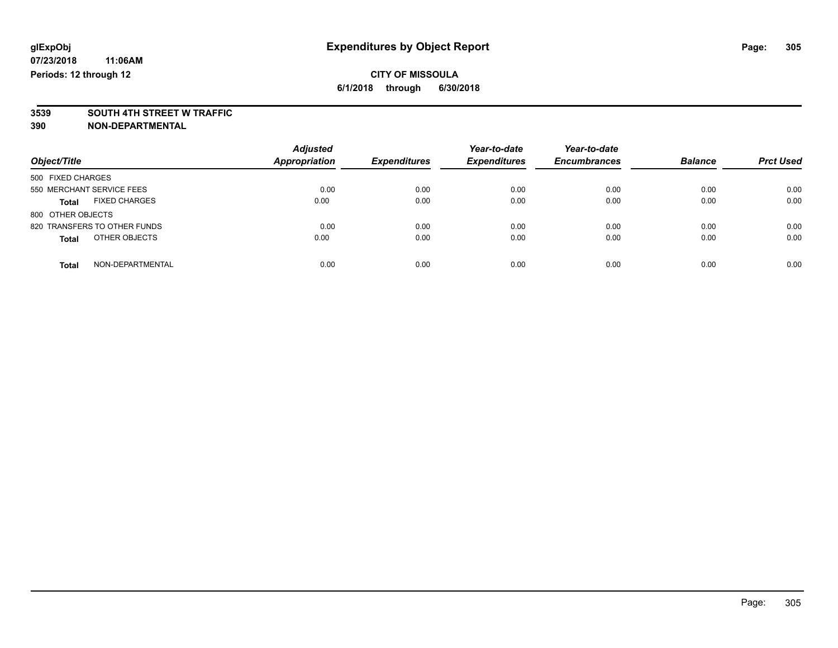# **3539 SOUTH 4TH STREET W TRAFFIC**

| Object/Title                         | <b>Adjusted</b><br><b>Appropriation</b> | <b>Expenditures</b> | Year-to-date<br><b>Expenditures</b> | Year-to-date<br><b>Encumbrances</b> | <b>Balance</b> | <b>Prct Used</b> |
|--------------------------------------|-----------------------------------------|---------------------|-------------------------------------|-------------------------------------|----------------|------------------|
| 500 FIXED CHARGES                    |                                         |                     |                                     |                                     |                |                  |
| 550 MERCHANT SERVICE FEES            | 0.00                                    | 0.00                | 0.00                                | 0.00                                | 0.00           | 0.00             |
| <b>FIXED CHARGES</b><br><b>Total</b> | 0.00                                    | 0.00                | 0.00                                | 0.00                                | 0.00           | 0.00             |
| 800 OTHER OBJECTS                    |                                         |                     |                                     |                                     |                |                  |
| 820 TRANSFERS TO OTHER FUNDS         | 0.00                                    | 0.00                | 0.00                                | 0.00                                | 0.00           | 0.00             |
| OTHER OBJECTS<br><b>Total</b>        | 0.00                                    | 0.00                | 0.00                                | 0.00                                | 0.00           | 0.00             |
| NON-DEPARTMENTAL<br>Total            | 0.00                                    | 0.00                | 0.00                                | 0.00                                | 0.00           | 0.00             |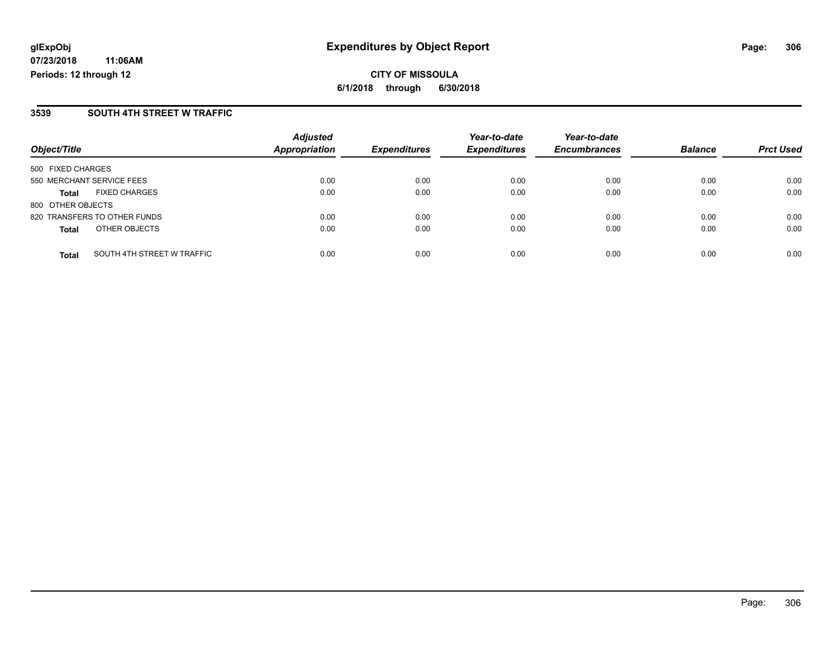**CITY OF MISSOULA 6/1/2018 through 6/30/2018**

#### **3539 SOUTH 4TH STREET W TRAFFIC**

|                              |                            | <b>Adjusted</b>      |                     | Year-to-date        | Year-to-date        |                |                  |
|------------------------------|----------------------------|----------------------|---------------------|---------------------|---------------------|----------------|------------------|
| Object/Title                 |                            | <b>Appropriation</b> | <b>Expenditures</b> | <b>Expenditures</b> | <b>Encumbrances</b> | <b>Balance</b> | <b>Prct Used</b> |
| 500 FIXED CHARGES            |                            |                      |                     |                     |                     |                |                  |
| 550 MERCHANT SERVICE FEES    |                            | 0.00                 | 0.00                | 0.00                | 0.00                | 0.00           | 0.00             |
| <b>Total</b>                 | <b>FIXED CHARGES</b>       | 0.00                 | 0.00                | 0.00                | 0.00                | 0.00           | 0.00             |
| 800 OTHER OBJECTS            |                            |                      |                     |                     |                     |                |                  |
| 820 TRANSFERS TO OTHER FUNDS |                            | 0.00                 | 0.00                | 0.00                | 0.00                | 0.00           | 0.00             |
| <b>Total</b>                 | OTHER OBJECTS              | 0.00                 | 0.00                | 0.00                | 0.00                | 0.00           | 0.00             |
| <b>Total</b>                 | SOUTH 4TH STREET W TRAFFIC | 0.00                 | 0.00                | 0.00                | 0.00                | 0.00           | 0.00             |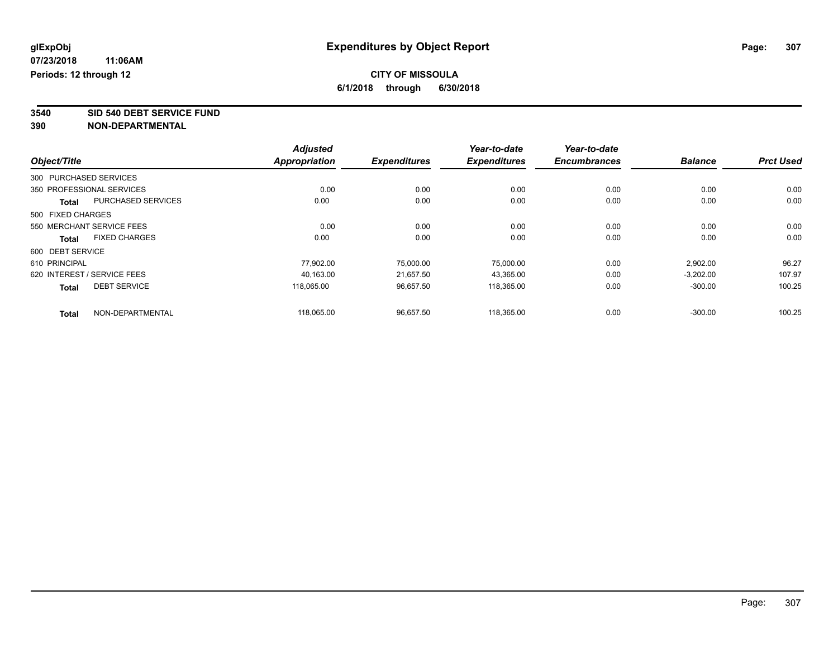**3540 SID 540 DEBT SERVICE FUND**

|                                      | <b>Adjusted</b>      |                     | Year-to-date        | Year-to-date        |                |                  |
|--------------------------------------|----------------------|---------------------|---------------------|---------------------|----------------|------------------|
| Object/Title                         | <b>Appropriation</b> | <b>Expenditures</b> | <b>Expenditures</b> | <b>Encumbrances</b> | <b>Balance</b> | <b>Prct Used</b> |
| 300 PURCHASED SERVICES               |                      |                     |                     |                     |                |                  |
| 350 PROFESSIONAL SERVICES            | 0.00                 | 0.00                | 0.00                | 0.00                | 0.00           | 0.00             |
| PURCHASED SERVICES<br><b>Total</b>   | 0.00                 | 0.00                | 0.00                | 0.00                | 0.00           | 0.00             |
| 500 FIXED CHARGES                    |                      |                     |                     |                     |                |                  |
| 550 MERCHANT SERVICE FEES            | 0.00                 | 0.00                | 0.00                | 0.00                | 0.00           | 0.00             |
| <b>FIXED CHARGES</b><br><b>Total</b> | 0.00                 | 0.00                | 0.00                | 0.00                | 0.00           | 0.00             |
| 600 DEBT SERVICE                     |                      |                     |                     |                     |                |                  |
| 610 PRINCIPAL                        | 77,902.00            | 75,000.00           | 75,000.00           | 0.00                | 2,902.00       | 96.27            |
| 620 INTEREST / SERVICE FEES          | 40.163.00            | 21,657.50           | 43,365.00           | 0.00                | $-3,202.00$    | 107.97           |
| <b>DEBT SERVICE</b><br><b>Total</b>  | 118.065.00           | 96,657.50           | 118,365.00          | 0.00                | $-300.00$      | 100.25           |
| NON-DEPARTMENTAL<br><b>Total</b>     | 118,065.00           | 96,657.50           | 118,365.00          | 0.00                | $-300.00$      | 100.25           |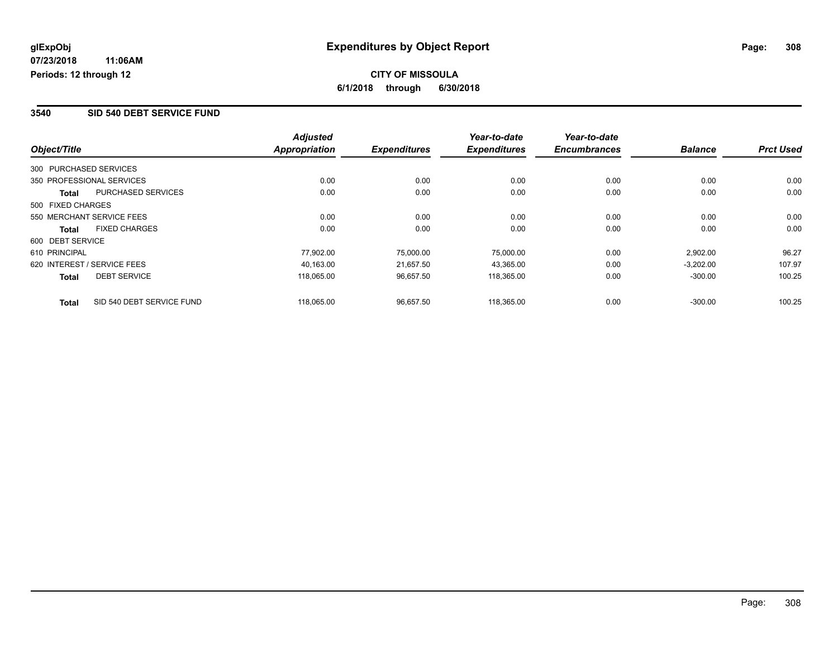#### **3540 SID 540 DEBT SERVICE FUND**

|                             |                           | <b>Adjusted</b>      |                     | Year-to-date        | Year-to-date        |                |                  |
|-----------------------------|---------------------------|----------------------|---------------------|---------------------|---------------------|----------------|------------------|
| Object/Title                |                           | <b>Appropriation</b> | <b>Expenditures</b> | <b>Expenditures</b> | <b>Encumbrances</b> | <b>Balance</b> | <b>Prct Used</b> |
| 300 PURCHASED SERVICES      |                           |                      |                     |                     |                     |                |                  |
|                             | 350 PROFESSIONAL SERVICES | 0.00                 | 0.00                | 0.00                | 0.00                | 0.00           | 0.00             |
| Total                       | <b>PURCHASED SERVICES</b> | 0.00                 | 0.00                | 0.00                | 0.00                | 0.00           | 0.00             |
| 500 FIXED CHARGES           |                           |                      |                     |                     |                     |                |                  |
|                             | 550 MERCHANT SERVICE FEES | 0.00                 | 0.00                | 0.00                | 0.00                | 0.00           | 0.00             |
| Total                       | <b>FIXED CHARGES</b>      | 0.00                 | 0.00                | 0.00                | 0.00                | 0.00           | 0.00             |
| 600 DEBT SERVICE            |                           |                      |                     |                     |                     |                |                  |
| 610 PRINCIPAL               |                           | 77.902.00            | 75,000.00           | 75,000.00           | 0.00                | 2,902.00       | 96.27            |
| 620 INTEREST / SERVICE FEES |                           | 40.163.00            | 21.657.50           | 43,365.00           | 0.00                | $-3.202.00$    | 107.97           |
| <b>Total</b>                | <b>DEBT SERVICE</b>       | 118.065.00           | 96,657.50           | 118,365.00          | 0.00                | $-300.00$      | 100.25           |
| <b>Total</b>                | SID 540 DEBT SERVICE FUND | 118,065.00           | 96,657.50           | 118,365.00          | 0.00                | $-300.00$      | 100.25           |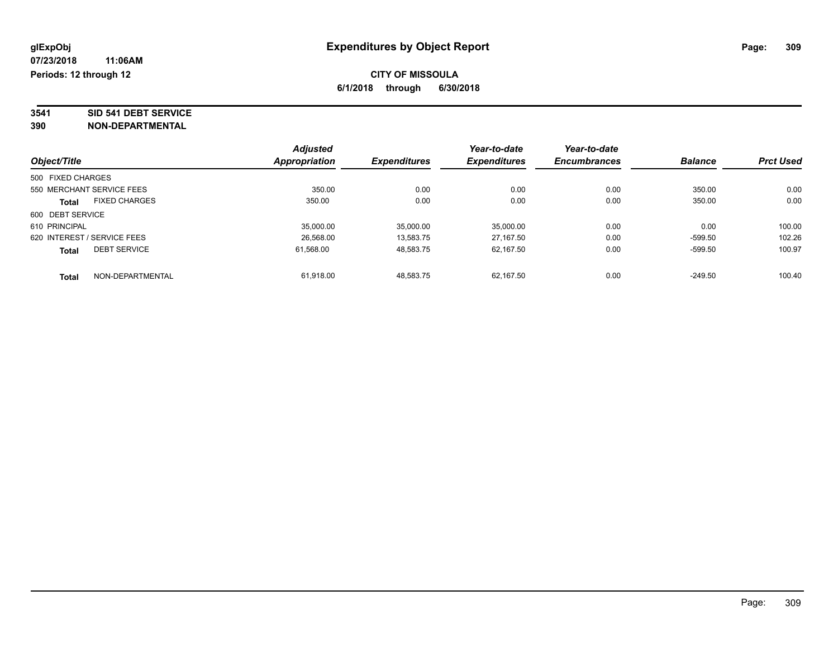# **3541 SID 541 DEBT SERVICE**

| Object/Title     |                             | <b>Adjusted</b><br>Appropriation | <b>Expenditures</b> | Year-to-date<br><b>Expenditures</b> | Year-to-date<br><b>Encumbrances</b> | <b>Balance</b> | <b>Prct Used</b> |
|------------------|-----------------------------|----------------------------------|---------------------|-------------------------------------|-------------------------------------|----------------|------------------|
|                  |                             |                                  |                     |                                     |                                     |                |                  |
|                  | 550 MERCHANT SERVICE FEES   | 350.00                           | 0.00                | 0.00                                | 0.00                                | 350.00         | 0.00             |
| <b>Total</b>     | <b>FIXED CHARGES</b>        | 350.00                           | 0.00                | 0.00                                | 0.00                                | 350.00         | 0.00             |
| 600 DEBT SERVICE |                             |                                  |                     |                                     |                                     |                |                  |
| 610 PRINCIPAL    |                             | 35.000.00                        | 35,000.00           | 35,000.00                           | 0.00                                | 0.00           | 100.00           |
|                  | 620 INTEREST / SERVICE FEES | 26,568.00                        | 13,583.75           | 27.167.50                           | 0.00                                | $-599.50$      | 102.26           |
| <b>Total</b>     | <b>DEBT SERVICE</b>         | 61,568.00                        | 48,583.75           | 62.167.50                           | 0.00                                | $-599.50$      | 100.97           |
| <b>Total</b>     | NON-DEPARTMENTAL            | 61.918.00                        | 48.583.75           | 62.167.50                           | 0.00                                | $-249.50$      | 100.40           |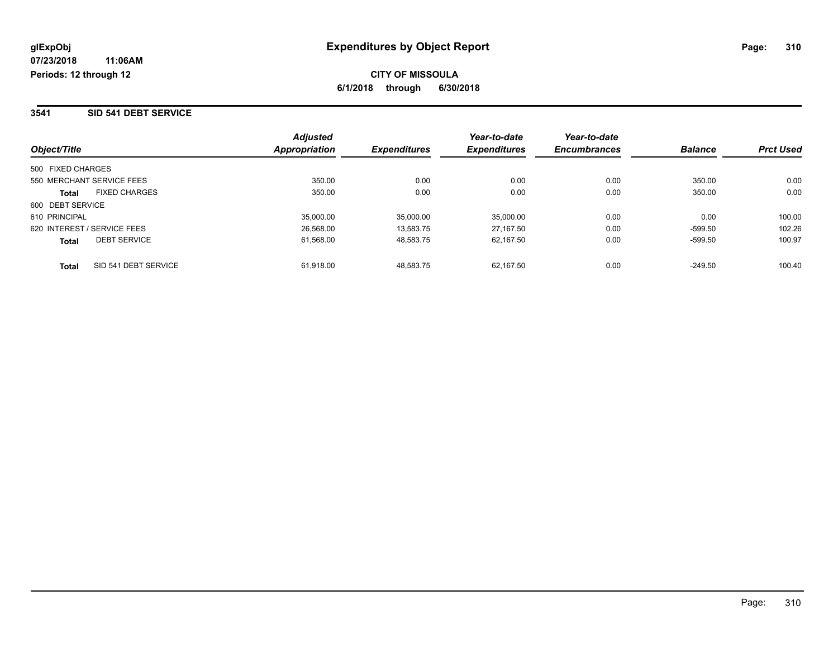#### **3541 SID 541 DEBT SERVICE**

|                                      | <b>Adjusted</b>      |                     | Year-to-date        | Year-to-date        |                |                  |
|--------------------------------------|----------------------|---------------------|---------------------|---------------------|----------------|------------------|
| Object/Title                         | <b>Appropriation</b> | <b>Expenditures</b> | <b>Expenditures</b> | <b>Encumbrances</b> | <b>Balance</b> | <b>Prct Used</b> |
| 500 FIXED CHARGES                    |                      |                     |                     |                     |                |                  |
| 550 MERCHANT SERVICE FEES            | 350.00               | 0.00                | 0.00                | 0.00                | 350.00         | 0.00             |
| <b>FIXED CHARGES</b><br><b>Total</b> | 350.00               | 0.00                | 0.00                | 0.00                | 350.00         | 0.00             |
| 600 DEBT SERVICE                     |                      |                     |                     |                     |                |                  |
| 610 PRINCIPAL                        | 35,000.00            | 35,000.00           | 35,000.00           | 0.00                | 0.00           | 100.00           |
| 620 INTEREST / SERVICE FEES          | 26.568.00            | 13.583.75           | 27.167.50           | 0.00                | $-599.50$      | 102.26           |
| <b>DEBT SERVICE</b><br><b>Total</b>  | 61.568.00            | 48.583.75           | 62.167.50           | 0.00                | $-599.50$      | 100.97           |
| SID 541 DEBT SERVICE<br><b>Total</b> | 61.918.00            | 48.583.75           | 62.167.50           | 0.00                | $-249.50$      | 100.40           |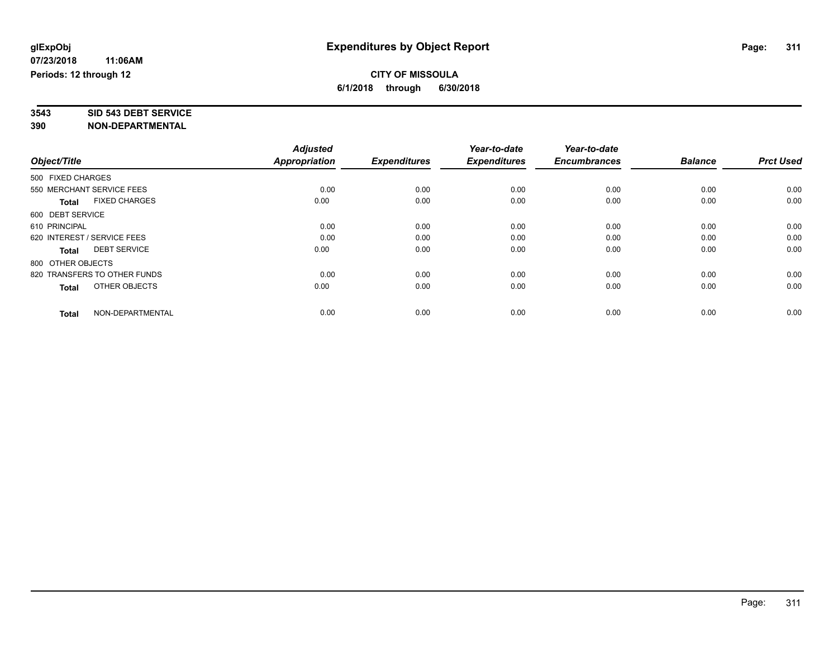# **3543 SID 543 DEBT SERVICE**

|                                     |                      | <b>Adjusted</b>      |                     | Year-to-date        | Year-to-date        |                |                  |
|-------------------------------------|----------------------|----------------------|---------------------|---------------------|---------------------|----------------|------------------|
| Object/Title                        |                      | <b>Appropriation</b> | <b>Expenditures</b> | <b>Expenditures</b> | <b>Encumbrances</b> | <b>Balance</b> | <b>Prct Used</b> |
| 500 FIXED CHARGES                   |                      |                      |                     |                     |                     |                |                  |
| 550 MERCHANT SERVICE FEES           |                      | 0.00                 | 0.00                | 0.00                | 0.00                | 0.00           | 0.00             |
| <b>Total</b>                        | <b>FIXED CHARGES</b> | 0.00                 | 0.00                | 0.00                | 0.00                | 0.00           | 0.00             |
| 600 DEBT SERVICE                    |                      |                      |                     |                     |                     |                |                  |
| 610 PRINCIPAL                       |                      | 0.00                 | 0.00                | 0.00                | 0.00                | 0.00           | 0.00             |
| 620 INTEREST / SERVICE FEES         |                      | 0.00                 | 0.00                | 0.00                | 0.00                | 0.00           | 0.00             |
| <b>DEBT SERVICE</b><br><b>Total</b> |                      | 0.00                 | 0.00                | 0.00                | 0.00                | 0.00           | 0.00             |
| 800 OTHER OBJECTS                   |                      |                      |                     |                     |                     |                |                  |
| 820 TRANSFERS TO OTHER FUNDS        |                      | 0.00                 | 0.00                | 0.00                | 0.00                | 0.00           | 0.00             |
| Total                               | OTHER OBJECTS        | 0.00                 | 0.00                | 0.00                | 0.00                | 0.00           | 0.00             |
|                                     |                      |                      |                     |                     |                     |                |                  |
| <b>Total</b>                        | NON-DEPARTMENTAL     | 0.00                 | 0.00                | 0.00                | 0.00                | 0.00           | 0.00             |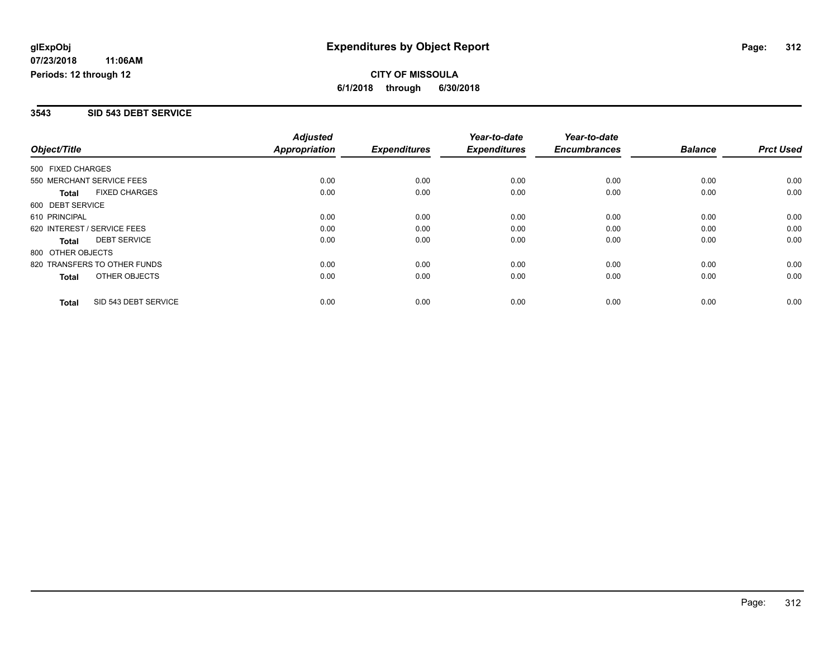#### **3543 SID 543 DEBT SERVICE**

|                                      | <b>Adjusted</b>      |                     | Year-to-date        | Year-to-date        |                |                  |
|--------------------------------------|----------------------|---------------------|---------------------|---------------------|----------------|------------------|
| Object/Title                         | <b>Appropriation</b> | <b>Expenditures</b> | <b>Expenditures</b> | <b>Encumbrances</b> | <b>Balance</b> | <b>Prct Used</b> |
| 500 FIXED CHARGES                    |                      |                     |                     |                     |                |                  |
| 550 MERCHANT SERVICE FEES            | 0.00                 | 0.00                | 0.00                | 0.00                | 0.00           | 0.00             |
| <b>FIXED CHARGES</b><br><b>Total</b> | 0.00                 | 0.00                | 0.00                | 0.00                | 0.00           | 0.00             |
| 600 DEBT SERVICE                     |                      |                     |                     |                     |                |                  |
| 610 PRINCIPAL                        | 0.00                 | 0.00                | 0.00                | 0.00                | 0.00           | 0.00             |
| 620 INTEREST / SERVICE FEES          | 0.00                 | 0.00                | 0.00                | 0.00                | 0.00           | 0.00             |
| <b>DEBT SERVICE</b><br><b>Total</b>  | 0.00                 | 0.00                | 0.00                | 0.00                | 0.00           | 0.00             |
| 800 OTHER OBJECTS                    |                      |                     |                     |                     |                |                  |
| 820 TRANSFERS TO OTHER FUNDS         | 0.00                 | 0.00                | 0.00                | 0.00                | 0.00           | 0.00             |
| OTHER OBJECTS<br><b>Total</b>        | 0.00                 | 0.00                | 0.00                | 0.00                | 0.00           | 0.00             |
| SID 543 DEBT SERVICE<br><b>Total</b> | 0.00                 | 0.00                | 0.00                | 0.00                | 0.00           | 0.00             |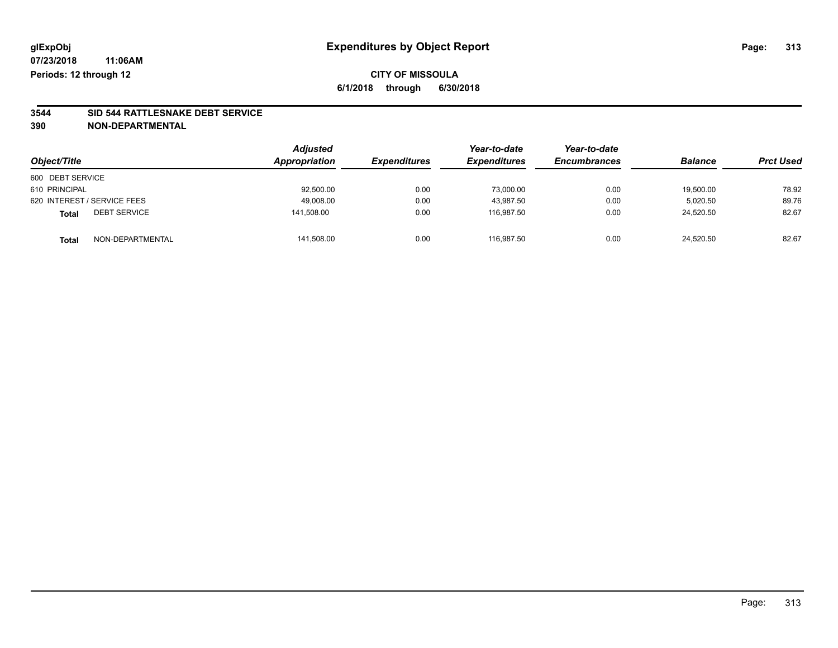# **3544 SID 544 RATTLESNAKE DEBT SERVICE**

| Object/Title                        | <b>Adjusted</b><br>Appropriation | <b>Expenditures</b> | Year-to-date<br><b>Expenditures</b> | Year-to-date<br><b>Encumbrances</b> | <b>Balance</b> | <b>Prct Used</b> |
|-------------------------------------|----------------------------------|---------------------|-------------------------------------|-------------------------------------|----------------|------------------|
| 600 DEBT SERVICE                    |                                  |                     |                                     |                                     |                |                  |
| 610 PRINCIPAL                       | 92,500.00                        | 0.00                | 73.000.00                           | 0.00                                | 19,500.00      | 78.92            |
| 620 INTEREST / SERVICE FEES         | 49,008.00                        | 0.00                | 43,987.50                           | 0.00                                | 5,020.50       | 89.76            |
| <b>DEBT SERVICE</b><br><b>Total</b> | 141,508.00                       | 0.00                | 116.987.50                          | 0.00                                | 24,520.50      | 82.67            |
| NON-DEPARTMENTAL<br><b>Total</b>    | 141,508.00                       | 0.00                | 116,987.50                          | 0.00                                | 24,520.50      | 82.67            |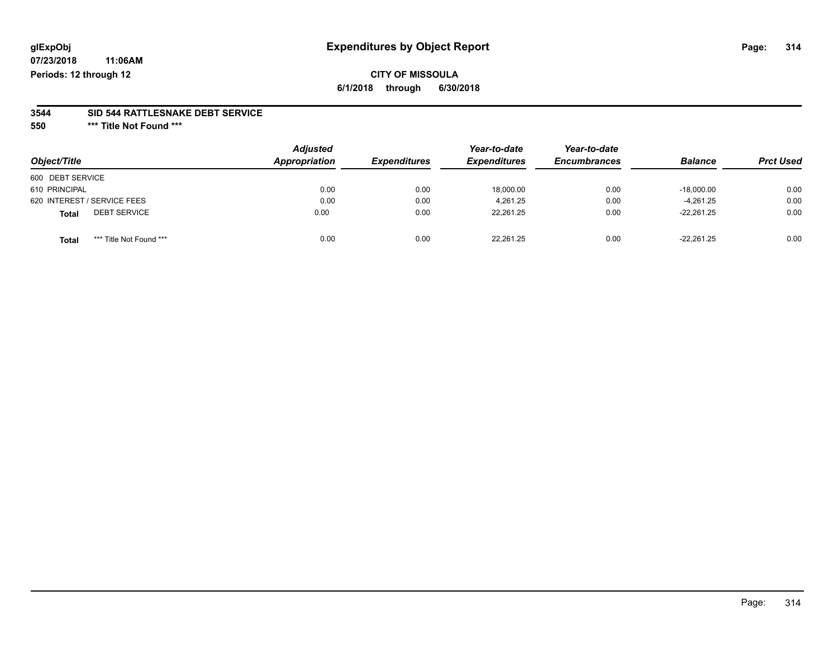# **CITY OF MISSOULA 6/1/2018 through 6/30/2018**

#### **3544 SID 544 RATTLESNAKE DEBT SERVICE**

**550 \*\*\* Title Not Found \*\*\***

| Object/Title                            | <b>Adjusted</b><br>Appropriation | <b>Expenditures</b> | Year-to-date<br><b>Expenditures</b> | Year-to-date<br><b>Encumbrances</b> | <b>Balance</b> | <b>Prct Used</b> |
|-----------------------------------------|----------------------------------|---------------------|-------------------------------------|-------------------------------------|----------------|------------------|
| 600 DEBT SERVICE                        |                                  |                     |                                     |                                     |                |                  |
| 610 PRINCIPAL                           | 0.00                             | 0.00                | 18,000.00                           | 0.00                                | $-18,000.00$   | 0.00             |
| 620 INTEREST / SERVICE FEES             | 0.00                             | 0.00                | 4,261.25                            | 0.00                                | $-4,261.25$    | 0.00             |
| <b>DEBT SERVICE</b><br><b>Total</b>     | 0.00                             | 0.00                | 22,261.25                           | 0.00                                | $-22.261.25$   | 0.00             |
| *** Title Not Found ***<br><b>Total</b> | 0.00                             | 0.00                | 22,261.25                           | 0.00                                | $-22,261.25$   | 0.00             |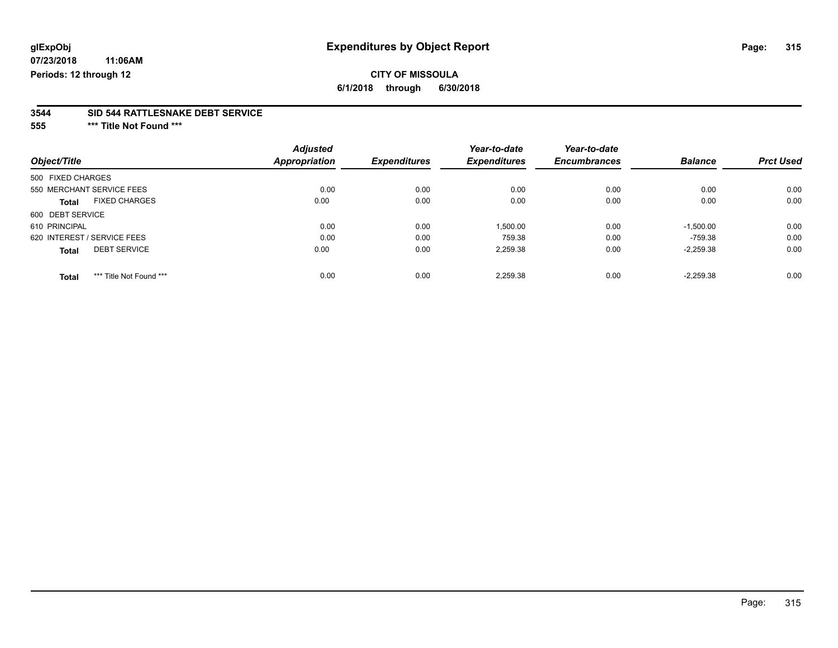### **CITY OF MISSOULA 6/1/2018 through 6/30/2018**

#### **3544 SID 544 RATTLESNAKE DEBT SERVICE**

**555 \*\*\* Title Not Found \*\*\***

| Object/Title                            | <b>Adjusted</b><br><b>Appropriation</b> | <b>Expenditures</b> | Year-to-date<br><b>Expenditures</b> | Year-to-date<br><b>Encumbrances</b> | <b>Balance</b> | <b>Prct Used</b> |
|-----------------------------------------|-----------------------------------------|---------------------|-------------------------------------|-------------------------------------|----------------|------------------|
|                                         |                                         |                     |                                     |                                     |                |                  |
| 500 FIXED CHARGES                       |                                         |                     |                                     |                                     |                |                  |
| 550 MERCHANT SERVICE FEES               | 0.00                                    | 0.00                | 0.00                                | 0.00                                | 0.00           | 0.00             |
| <b>FIXED CHARGES</b><br><b>Total</b>    | 0.00                                    | 0.00                | 0.00                                | 0.00                                | 0.00           | 0.00             |
| 600 DEBT SERVICE                        |                                         |                     |                                     |                                     |                |                  |
| 610 PRINCIPAL                           | 0.00                                    | 0.00                | 1,500.00                            | 0.00                                | $-1.500.00$    | 0.00             |
| 620 INTEREST / SERVICE FEES             | 0.00                                    | 0.00                | 759.38                              | 0.00                                | -759.38        | 0.00             |
| <b>DEBT SERVICE</b><br><b>Total</b>     | 0.00                                    | 0.00                | 2,259.38                            | 0.00                                | $-2,259.38$    | 0.00             |
| *** Title Not Found ***<br><b>Total</b> | 0.00                                    | 0.00                | 2,259.38                            | 0.00                                | $-2.259.38$    | 0.00             |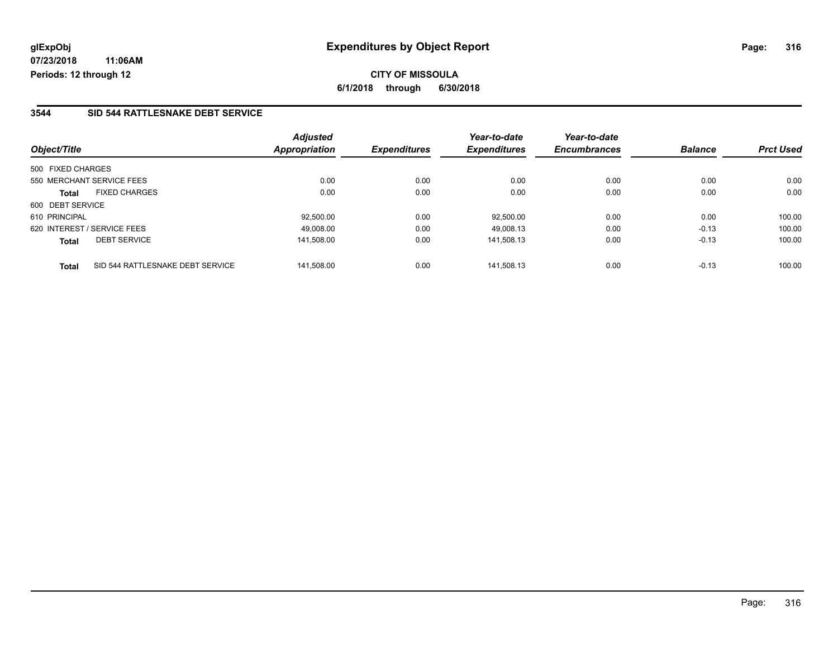**CITY OF MISSOULA 6/1/2018 through 6/30/2018**

#### **3544 SID 544 RATTLESNAKE DEBT SERVICE**

| Object/Title                |                                  | <b>Adjusted</b><br>Appropriation | <b>Expenditures</b> | Year-to-date<br><b>Expenditures</b> | Year-to-date<br><b>Encumbrances</b> | <b>Balance</b> | <b>Prct Used</b> |
|-----------------------------|----------------------------------|----------------------------------|---------------------|-------------------------------------|-------------------------------------|----------------|------------------|
| 500 FIXED CHARGES           |                                  |                                  |                     |                                     |                                     |                |                  |
| 550 MERCHANT SERVICE FEES   |                                  | 0.00                             | 0.00                | 0.00                                | 0.00                                | 0.00           | 0.00             |
| <b>Total</b>                | <b>FIXED CHARGES</b>             | 0.00                             | 0.00                | 0.00                                | 0.00                                | 0.00           | 0.00             |
| 600 DEBT SERVICE            |                                  |                                  |                     |                                     |                                     |                |                  |
| 610 PRINCIPAL               |                                  | 92,500.00                        | 0.00                | 92.500.00                           | 0.00                                | 0.00           | 100.00           |
| 620 INTEREST / SERVICE FEES |                                  | 49.008.00                        | 0.00                | 49.008.13                           | 0.00                                | $-0.13$        | 100.00           |
| <b>Total</b>                | <b>DEBT SERVICE</b>              | 141.508.00                       | 0.00                | 141,508.13                          | 0.00                                | $-0.13$        | 100.00           |
| <b>Total</b>                | SID 544 RATTLESNAKE DEBT SERVICE | 141.508.00                       | 0.00                | 141.508.13                          | 0.00                                | $-0.13$        | 100.00           |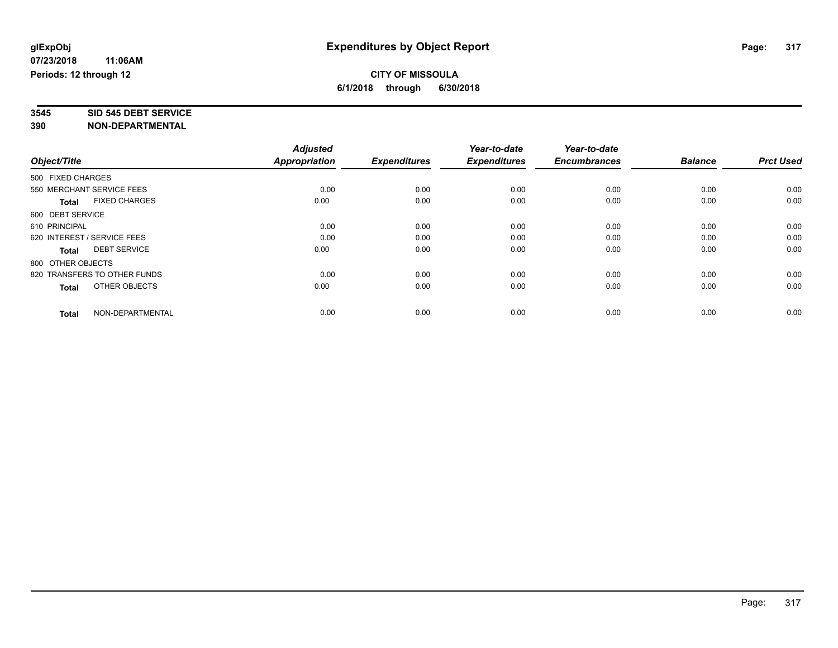# **3545 SID 545 DEBT SERVICE**

|                                     |                      | <b>Adjusted</b>      |                     | Year-to-date        | Year-to-date        |                |                  |
|-------------------------------------|----------------------|----------------------|---------------------|---------------------|---------------------|----------------|------------------|
| Object/Title                        |                      | <b>Appropriation</b> | <b>Expenditures</b> | <b>Expenditures</b> | <b>Encumbrances</b> | <b>Balance</b> | <b>Prct Used</b> |
| 500 FIXED CHARGES                   |                      |                      |                     |                     |                     |                |                  |
| 550 MERCHANT SERVICE FEES           |                      | 0.00                 | 0.00                | 0.00                | 0.00                | 0.00           | 0.00             |
| <b>Total</b>                        | <b>FIXED CHARGES</b> | 0.00                 | 0.00                | 0.00                | 0.00                | 0.00           | 0.00             |
| 600 DEBT SERVICE                    |                      |                      |                     |                     |                     |                |                  |
| 610 PRINCIPAL                       |                      | 0.00                 | 0.00                | 0.00                | 0.00                | 0.00           | 0.00             |
| 620 INTEREST / SERVICE FEES         |                      | 0.00                 | 0.00                | 0.00                | 0.00                | 0.00           | 0.00             |
| <b>DEBT SERVICE</b><br><b>Total</b> |                      | 0.00                 | 0.00                | 0.00                | 0.00                | 0.00           | 0.00             |
| 800 OTHER OBJECTS                   |                      |                      |                     |                     |                     |                |                  |
| 820 TRANSFERS TO OTHER FUNDS        |                      | 0.00                 | 0.00                | 0.00                | 0.00                | 0.00           | 0.00             |
| Total                               | OTHER OBJECTS        | 0.00                 | 0.00                | 0.00                | 0.00                | 0.00           | 0.00             |
|                                     |                      |                      |                     |                     |                     |                |                  |
| <b>Total</b>                        | NON-DEPARTMENTAL     | 0.00                 | 0.00                | 0.00                | 0.00                | 0.00           | 0.00             |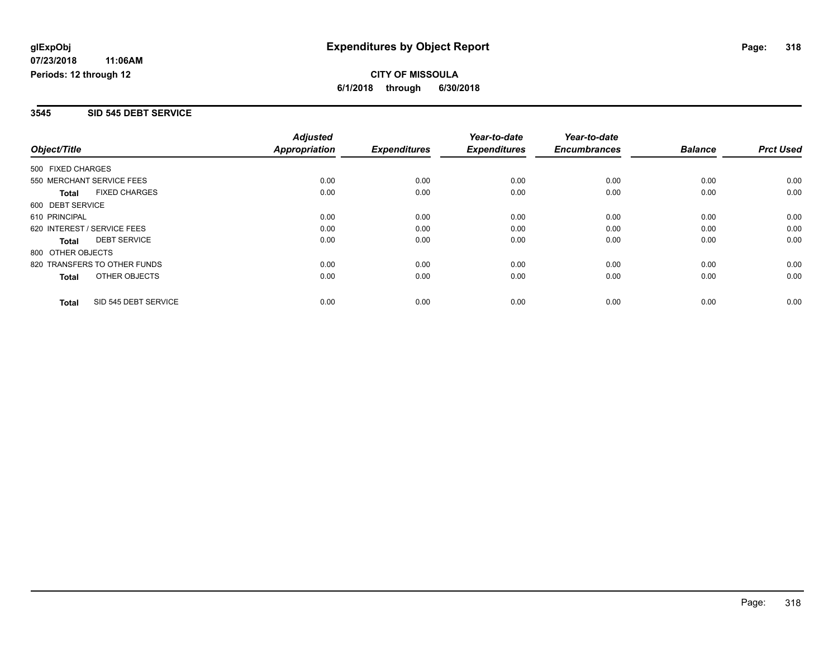#### **3545 SID 545 DEBT SERVICE**

|                              |                      | <b>Adjusted</b>      |                     | Year-to-date        | Year-to-date        |                |                  |
|------------------------------|----------------------|----------------------|---------------------|---------------------|---------------------|----------------|------------------|
| Object/Title                 |                      | <b>Appropriation</b> | <b>Expenditures</b> | <b>Expenditures</b> | <b>Encumbrances</b> | <b>Balance</b> | <b>Prct Used</b> |
| 500 FIXED CHARGES            |                      |                      |                     |                     |                     |                |                  |
| 550 MERCHANT SERVICE FEES    |                      | 0.00                 | 0.00                | 0.00                | 0.00                | 0.00           | 0.00             |
| <b>Total</b>                 | <b>FIXED CHARGES</b> | 0.00                 | 0.00                | 0.00                | 0.00                | 0.00           | 0.00             |
| 600 DEBT SERVICE             |                      |                      |                     |                     |                     |                |                  |
| 610 PRINCIPAL                |                      | 0.00                 | 0.00                | 0.00                | 0.00                | 0.00           | 0.00             |
| 620 INTEREST / SERVICE FEES  |                      | 0.00                 | 0.00                | 0.00                | 0.00                | 0.00           | 0.00             |
| Total                        | <b>DEBT SERVICE</b>  | 0.00                 | 0.00                | 0.00                | 0.00                | 0.00           | 0.00             |
| 800 OTHER OBJECTS            |                      |                      |                     |                     |                     |                |                  |
| 820 TRANSFERS TO OTHER FUNDS |                      | 0.00                 | 0.00                | 0.00                | 0.00                | 0.00           | 0.00             |
| Total                        | OTHER OBJECTS        | 0.00                 | 0.00                | 0.00                | 0.00                | 0.00           | 0.00             |
| <b>Total</b>                 | SID 545 DEBT SERVICE | 0.00                 | 0.00                | 0.00                | 0.00                | 0.00           | 0.00             |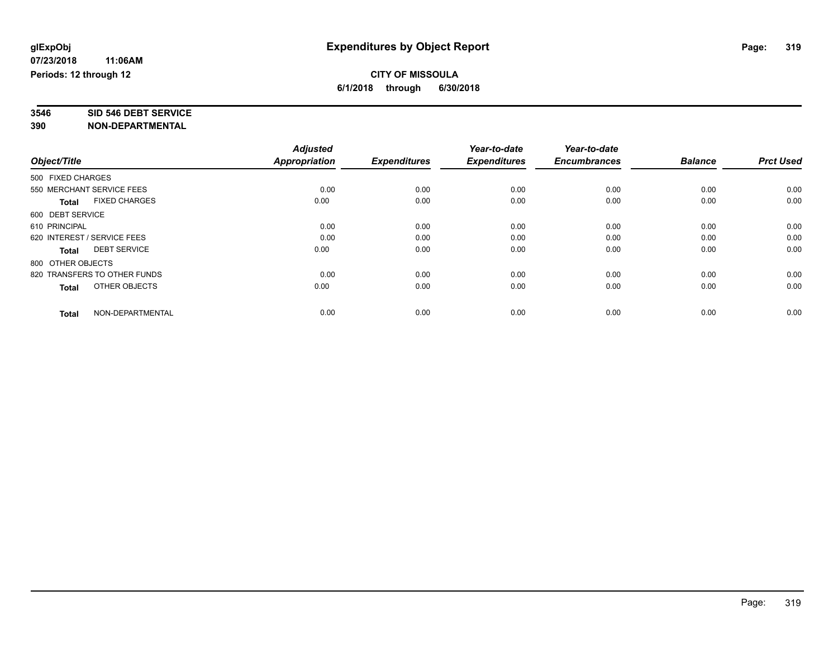# **3546 SID 546 DEBT SERVICE**

|                                      | <b>Adjusted</b>      |                     | Year-to-date        | Year-to-date        |                |                  |
|--------------------------------------|----------------------|---------------------|---------------------|---------------------|----------------|------------------|
| Object/Title                         | <b>Appropriation</b> | <b>Expenditures</b> | <b>Expenditures</b> | <b>Encumbrances</b> | <b>Balance</b> | <b>Prct Used</b> |
| 500 FIXED CHARGES                    |                      |                     |                     |                     |                |                  |
| 550 MERCHANT SERVICE FEES            | 0.00                 | 0.00                | 0.00                | 0.00                | 0.00           | 0.00             |
| <b>FIXED CHARGES</b><br><b>Total</b> | 0.00                 | 0.00                | 0.00                | 0.00                | 0.00           | 0.00             |
| 600 DEBT SERVICE                     |                      |                     |                     |                     |                |                  |
| 610 PRINCIPAL                        | 0.00                 | 0.00                | 0.00                | 0.00                | 0.00           | 0.00             |
| 620 INTEREST / SERVICE FEES          | 0.00                 | 0.00                | 0.00                | 0.00                | 0.00           | 0.00             |
| <b>DEBT SERVICE</b><br><b>Total</b>  | 0.00                 | 0.00                | 0.00                | 0.00                | 0.00           | 0.00             |
| 800 OTHER OBJECTS                    |                      |                     |                     |                     |                |                  |
| 820 TRANSFERS TO OTHER FUNDS         | 0.00                 | 0.00                | 0.00                | 0.00                | 0.00           | 0.00             |
| OTHER OBJECTS<br><b>Total</b>        | 0.00                 | 0.00                | 0.00                | 0.00                | 0.00           | 0.00             |
|                                      |                      |                     |                     |                     |                |                  |
| NON-DEPARTMENTAL<br><b>Total</b>     | 0.00                 | 0.00                | 0.00                | 0.00                | 0.00           | 0.00             |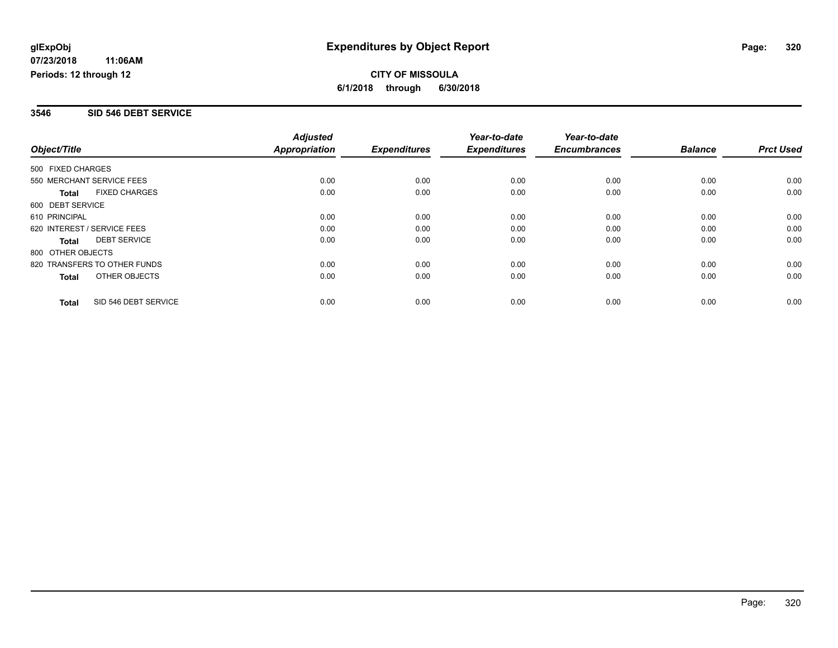#### **3546 SID 546 DEBT SERVICE**

|                                      | <b>Adjusted</b>      |                     | Year-to-date        | Year-to-date        |                |                  |
|--------------------------------------|----------------------|---------------------|---------------------|---------------------|----------------|------------------|
| Object/Title                         | <b>Appropriation</b> | <b>Expenditures</b> | <b>Expenditures</b> | <b>Encumbrances</b> | <b>Balance</b> | <b>Prct Used</b> |
| 500 FIXED CHARGES                    |                      |                     |                     |                     |                |                  |
| 550 MERCHANT SERVICE FEES            | 0.00                 | 0.00                | 0.00                | 0.00                | 0.00           | 0.00             |
| <b>FIXED CHARGES</b><br><b>Total</b> | 0.00                 | 0.00                | 0.00                | 0.00                | 0.00           | 0.00             |
| 600 DEBT SERVICE                     |                      |                     |                     |                     |                |                  |
| 610 PRINCIPAL                        | 0.00                 | 0.00                | 0.00                | 0.00                | 0.00           | 0.00             |
| 620 INTEREST / SERVICE FEES          | 0.00                 | 0.00                | 0.00                | 0.00                | 0.00           | 0.00             |
| <b>DEBT SERVICE</b><br><b>Total</b>  | 0.00                 | 0.00                | 0.00                | 0.00                | 0.00           | 0.00             |
| 800 OTHER OBJECTS                    |                      |                     |                     |                     |                |                  |
| 820 TRANSFERS TO OTHER FUNDS         | 0.00                 | 0.00                | 0.00                | 0.00                | 0.00           | 0.00             |
| OTHER OBJECTS<br><b>Total</b>        | 0.00                 | 0.00                | 0.00                | 0.00                | 0.00           | 0.00             |
| SID 546 DEBT SERVICE<br><b>Total</b> | 0.00                 | 0.00                | 0.00                | 0.00                | 0.00           | 0.00             |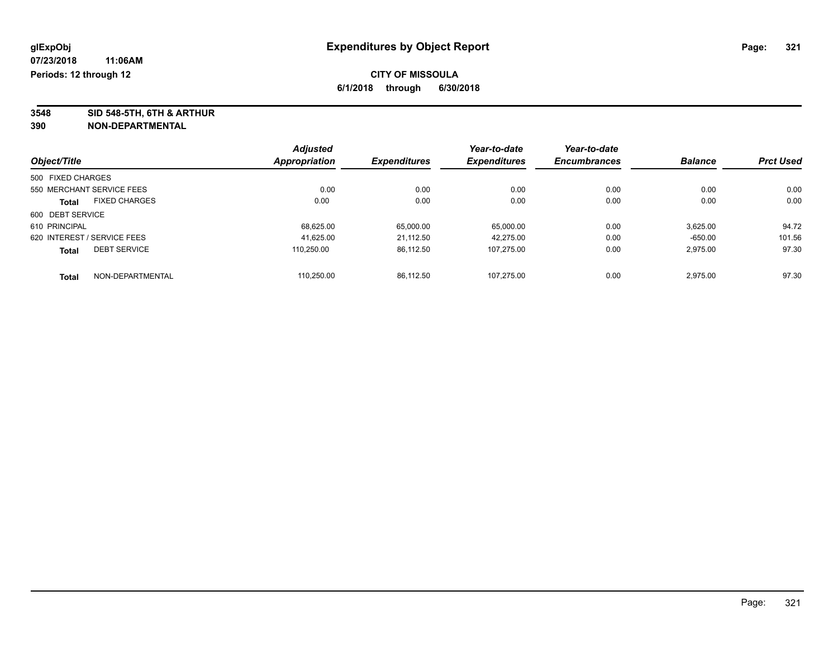**3548 SID 548-5TH, 6TH & ARTHUR**

|                                      | <b>Adjusted</b> |                         | Year-to-date        | Year-to-date        |                |                  |
|--------------------------------------|-----------------|-------------------------|---------------------|---------------------|----------------|------------------|
| Object/Title                         | Appropriation   | <b>Expenditures</b>     | <b>Expenditures</b> | <b>Encumbrances</b> | <b>Balance</b> | <b>Prct Used</b> |
| 500 FIXED CHARGES                    |                 |                         |                     |                     |                |                  |
| 550 MERCHANT SERVICE FEES            |                 | 0.00                    | 0.00<br>0.00        | 0.00                | 0.00           | 0.00             |
| <b>FIXED CHARGES</b><br><b>Total</b> |                 | 0.00                    | 0.00<br>0.00        | 0.00                | 0.00           | 0.00             |
| 600 DEBT SERVICE                     |                 |                         |                     |                     |                |                  |
| 610 PRINCIPAL                        |                 | 68,625.00<br>65,000.00  | 65,000.00           | 0.00                | 3,625.00       | 94.72            |
| 620 INTEREST / SERVICE FEES          |                 | 21.112.50<br>41.625.00  | 42.275.00           | 0.00                | $-650.00$      | 101.56           |
| <b>DEBT SERVICE</b><br><b>Total</b>  | 110.250.00      | 86.112.50               | 107.275.00          | 0.00                | 2,975.00       | 97.30            |
| NON-DEPARTMENTAL<br><b>Total</b>     |                 | 110.250.00<br>86.112.50 | 107.275.00          | 0.00                | 2.975.00       | 97.30            |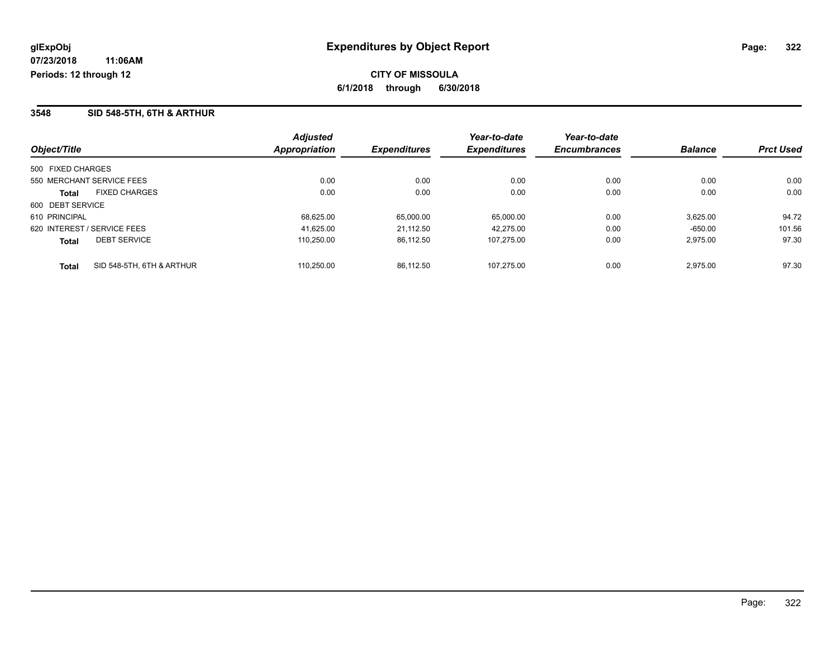#### **3548 SID 548-5TH, 6TH & ARTHUR**

|                             |                           | <b>Adjusted</b> |                     | Year-to-date        | Year-to-date        |                |                  |
|-----------------------------|---------------------------|-----------------|---------------------|---------------------|---------------------|----------------|------------------|
| Object/Title                |                           | Appropriation   | <b>Expenditures</b> | <b>Expenditures</b> | <b>Encumbrances</b> | <b>Balance</b> | <b>Prct Used</b> |
| 500 FIXED CHARGES           |                           |                 |                     |                     |                     |                |                  |
| 550 MERCHANT SERVICE FEES   |                           | 0.00            | 0.00                | 0.00                | 0.00                | 0.00           | 0.00             |
| <b>Total</b>                | <b>FIXED CHARGES</b>      | 0.00            | 0.00                | 0.00                | 0.00                | 0.00           | 0.00             |
| 600 DEBT SERVICE            |                           |                 |                     |                     |                     |                |                  |
| 610 PRINCIPAL               |                           | 68.625.00       | 65,000.00           | 65.000.00           | 0.00                | 3.625.00       | 94.72            |
| 620 INTEREST / SERVICE FEES |                           | 41.625.00       | 21.112.50           | 42.275.00           | 0.00                | $-650.00$      | 101.56           |
| <b>Total</b>                | <b>DEBT SERVICE</b>       | 110.250.00      | 86.112.50           | 107.275.00          | 0.00                | 2.975.00       | 97.30            |
| <b>Total</b>                | SID 548-5TH, 6TH & ARTHUR | 110.250.00      | 86.112.50           | 107.275.00          | 0.00                | 2.975.00       | 97.30            |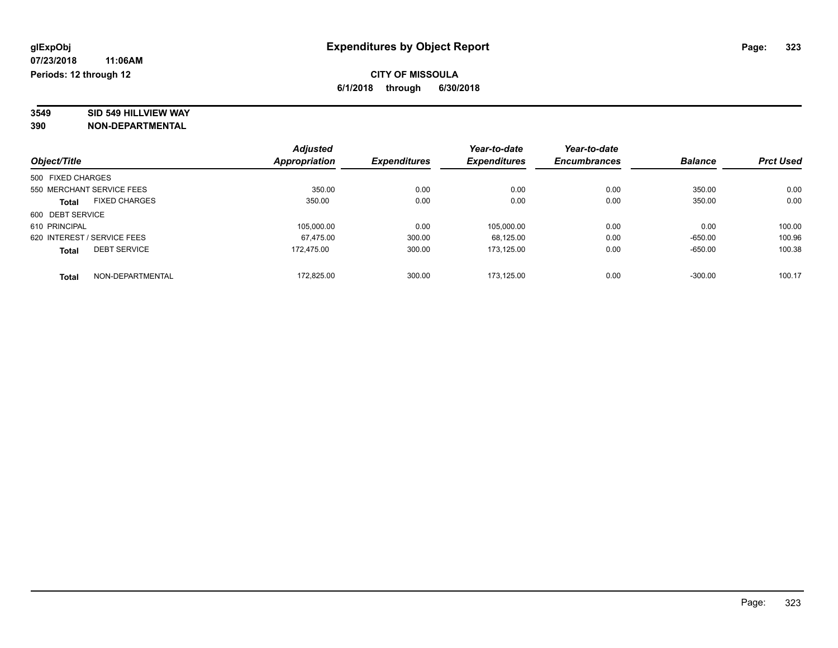# **3549 SID 549 HILLVIEW WAY**

|                             |                      | <b>Adjusted</b> |                     | Year-to-date        | Year-to-date        |                |                  |
|-----------------------------|----------------------|-----------------|---------------------|---------------------|---------------------|----------------|------------------|
| Object/Title                |                      | Appropriation   | <b>Expenditures</b> | <b>Expenditures</b> | <b>Encumbrances</b> | <b>Balance</b> | <b>Prct Used</b> |
| 500 FIXED CHARGES           |                      |                 |                     |                     |                     |                |                  |
| 550 MERCHANT SERVICE FEES   |                      | 350.00          | 0.00                | 0.00                | 0.00                | 350.00         | 0.00             |
| <b>Total</b>                | <b>FIXED CHARGES</b> | 350.00          | 0.00                | 0.00                | 0.00                | 350.00         | 0.00             |
| 600 DEBT SERVICE            |                      |                 |                     |                     |                     |                |                  |
| 610 PRINCIPAL               |                      | 105,000.00      | 0.00                | 105,000.00          | 0.00                | 0.00           | 100.00           |
| 620 INTEREST / SERVICE FEES |                      | 67,475.00       | 300.00              | 68.125.00           | 0.00                | $-650.00$      | 100.96           |
| <b>Total</b>                | <b>DEBT SERVICE</b>  | 172.475.00      | 300.00              | 173.125.00          | 0.00                | $-650.00$      | 100.38           |
| <b>Total</b>                | NON-DEPARTMENTAL     | 172.825.00      | 300.00              | 173.125.00          | 0.00                | $-300.00$      | 100.17           |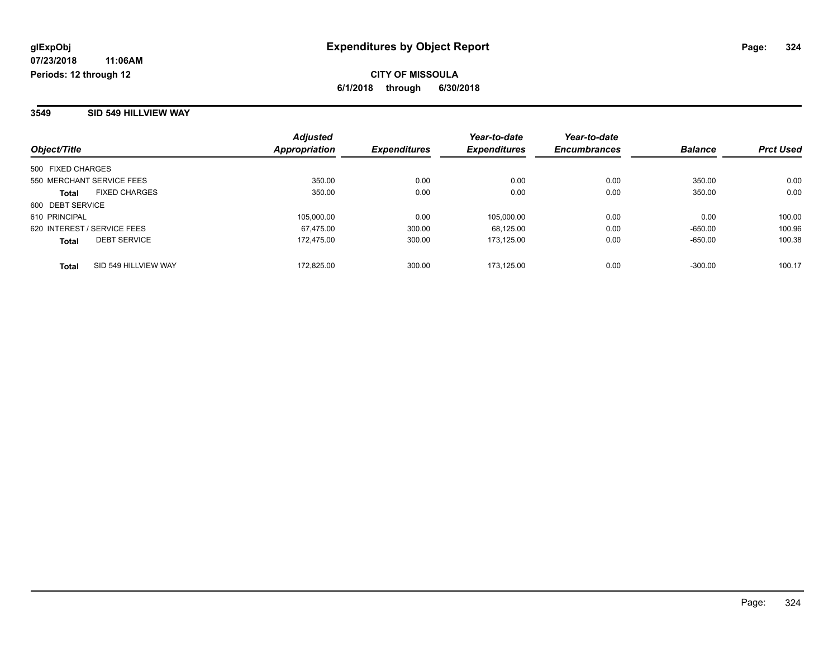#### **3549 SID 549 HILLVIEW WAY**

| Object/Title                         | <b>Adjusted</b><br>Appropriation | <b>Expenditures</b> | Year-to-date<br><b>Expenditures</b> | Year-to-date<br><b>Encumbrances</b> | <b>Balance</b> | <b>Prct Used</b> |
|--------------------------------------|----------------------------------|---------------------|-------------------------------------|-------------------------------------|----------------|------------------|
|                                      |                                  |                     |                                     |                                     |                |                  |
| 500 FIXED CHARGES                    |                                  |                     |                                     |                                     |                |                  |
| 550 MERCHANT SERVICE FEES            | 350.00                           | 0.00                | 0.00                                | 0.00                                | 350.00         | 0.00             |
| <b>FIXED CHARGES</b><br><b>Total</b> | 350.00                           | 0.00                | 0.00                                | 0.00                                | 350.00         | 0.00             |
| 600 DEBT SERVICE                     |                                  |                     |                                     |                                     |                |                  |
| 610 PRINCIPAL                        | 105.000.00                       | 0.00                | 105.000.00                          | 0.00                                | 0.00           | 100.00           |
| 620 INTEREST / SERVICE FEES          | 67.475.00                        | 300.00              | 68.125.00                           | 0.00                                | $-650.00$      | 100.96           |
| <b>DEBT SERVICE</b><br><b>Total</b>  | 172.475.00                       | 300.00              | 173.125.00                          | 0.00                                | $-650.00$      | 100.38           |
| SID 549 HILLVIEW WAY<br><b>Total</b> | 172.825.00                       | 300.00              | 173.125.00                          | 0.00                                | $-300.00$      | 100.17           |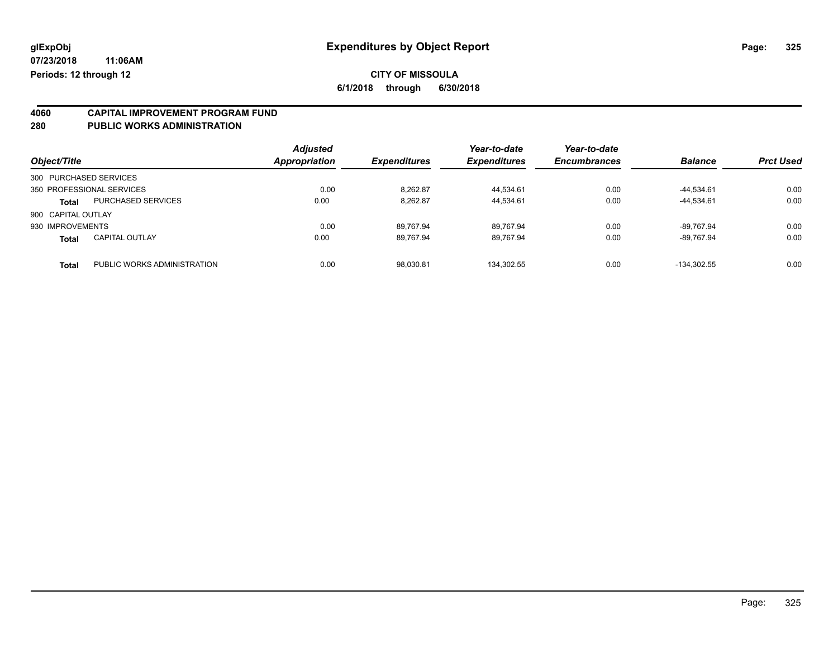### **4060 CAPITAL IMPROVEMENT PROGRAM FUND**

| Object/Title           |                             | <b>Adjusted</b><br>Appropriation | <i><b>Expenditures</b></i> | Year-to-date<br><b>Expenditures</b> | Year-to-date<br><b>Encumbrances</b> | <b>Balance</b> | <b>Prct Used</b> |
|------------------------|-----------------------------|----------------------------------|----------------------------|-------------------------------------|-------------------------------------|----------------|------------------|
| 300 PURCHASED SERVICES |                             |                                  |                            |                                     |                                     |                |                  |
|                        | 350 PROFESSIONAL SERVICES   | 0.00                             | 8.262.87                   | 44,534.61                           | 0.00                                | $-44.534.61$   | 0.00             |
| <b>Total</b>           | <b>PURCHASED SERVICES</b>   | 0.00                             | 8,262.87                   | 44,534.61                           | 0.00                                | $-44,534.61$   | 0.00             |
| 900 CAPITAL OUTLAY     |                             |                                  |                            |                                     |                                     |                |                  |
| 930 IMPROVEMENTS       |                             | 0.00                             | 89,767.94                  | 89.767.94                           | 0.00                                | -89.767.94     | 0.00             |
| <b>Total</b>           | <b>CAPITAL OUTLAY</b>       | 0.00                             | 89.767.94                  | 89.767.94                           | 0.00                                | -89.767.94     | 0.00             |
| <b>Total</b>           | PUBLIC WORKS ADMINISTRATION | 0.00                             | 98,030.81                  | 134.302.55                          | 0.00                                | $-134.302.55$  | 0.00             |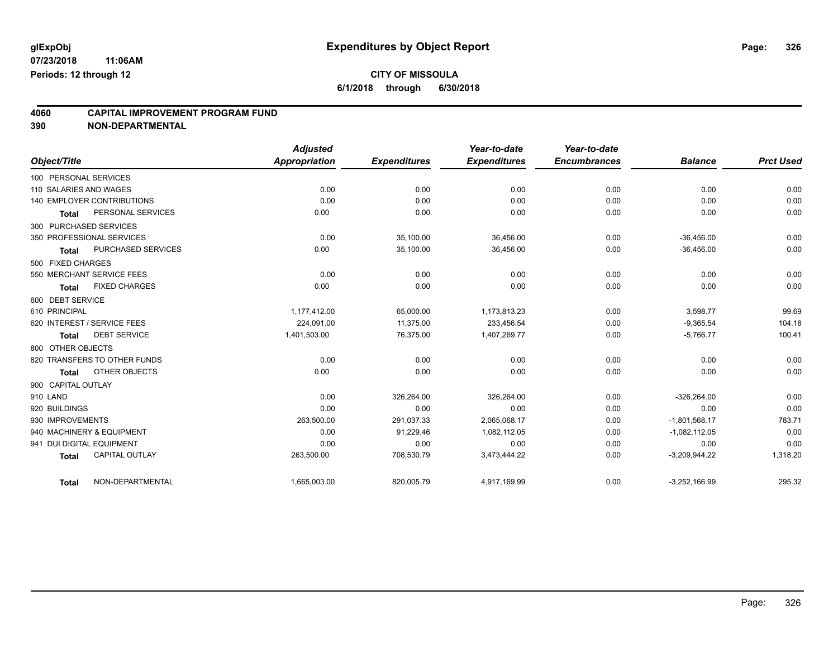### **CITY OF MISSOULA 6/1/2018 through 6/30/2018**

### **4060 CAPITAL IMPROVEMENT PROGRAM FUND**

**390 NON-DEPARTMENTAL**

|                                      | <b>Adjusted</b> |                     | Year-to-date        | Year-to-date        |                 |                  |
|--------------------------------------|-----------------|---------------------|---------------------|---------------------|-----------------|------------------|
| Object/Title                         | Appropriation   | <b>Expenditures</b> | <b>Expenditures</b> | <b>Encumbrances</b> | <b>Balance</b>  | <b>Prct Used</b> |
| 100 PERSONAL SERVICES                |                 |                     |                     |                     |                 |                  |
| 110 SALARIES AND WAGES               | 0.00            | 0.00                | 0.00                | 0.00                | 0.00            | 0.00             |
| 140 EMPLOYER CONTRIBUTIONS           | 0.00            | 0.00                | 0.00                | 0.00                | 0.00            | 0.00             |
| PERSONAL SERVICES<br><b>Total</b>    | 0.00            | 0.00                | 0.00                | 0.00                | 0.00            | 0.00             |
| 300 PURCHASED SERVICES               |                 |                     |                     |                     |                 |                  |
| 350 PROFESSIONAL SERVICES            | 0.00            | 35,100.00           | 36,456.00           | 0.00                | $-36,456.00$    | 0.00             |
| PURCHASED SERVICES<br><b>Total</b>   | 0.00            | 35,100.00           | 36,456.00           | 0.00                | $-36,456.00$    | 0.00             |
| 500 FIXED CHARGES                    |                 |                     |                     |                     |                 |                  |
| 550 MERCHANT SERVICE FEES            | 0.00            | 0.00                | 0.00                | 0.00                | 0.00            | 0.00             |
| <b>FIXED CHARGES</b><br><b>Total</b> | 0.00            | 0.00                | 0.00                | 0.00                | 0.00            | 0.00             |
| 600 DEBT SERVICE                     |                 |                     |                     |                     |                 |                  |
| 610 PRINCIPAL                        | 1,177,412.00    | 65,000.00           | 1,173,813.23        | 0.00                | 3,598.77        | 99.69            |
| 620 INTEREST / SERVICE FEES          | 224,091.00      | 11,375.00           | 233,456.54          | 0.00                | $-9,365.54$     | 104.18           |
| <b>DEBT SERVICE</b><br><b>Total</b>  | 1,401,503.00    | 76,375.00           | 1,407,269.77        | 0.00                | $-5,766.77$     | 100.41           |
| 800 OTHER OBJECTS                    |                 |                     |                     |                     |                 |                  |
| 820 TRANSFERS TO OTHER FUNDS         | 0.00            | 0.00                | 0.00                | 0.00                | 0.00            | 0.00             |
| OTHER OBJECTS<br><b>Total</b>        | 0.00            | 0.00                | 0.00                | 0.00                | 0.00            | 0.00             |
| 900 CAPITAL OUTLAY                   |                 |                     |                     |                     |                 |                  |
| 910 LAND                             | 0.00            | 326,264.00          | 326,264.00          | 0.00                | $-326,264.00$   | 0.00             |
| 920 BUILDINGS                        | 0.00            | 0.00                | 0.00                | 0.00                | 0.00            | 0.00             |
| 930 IMPROVEMENTS                     | 263,500.00      | 291,037.33          | 2,065,068.17        | 0.00                | $-1,801,568.17$ | 783.71           |
| 940 MACHINERY & EQUIPMENT            | 0.00            | 91,229.46           | 1,082,112.05        | 0.00                | $-1,082,112.05$ | 0.00             |
| 941 DUI DIGITAL EQUIPMENT            | 0.00            | 0.00                | 0.00                | 0.00                | 0.00            | 0.00             |
| CAPITAL OUTLAY<br><b>Total</b>       | 263,500.00      | 708,530.79          | 3,473,444.22        | 0.00                | $-3,209,944.22$ | 1,318.20         |
| NON-DEPARTMENTAL<br><b>Total</b>     | 1,665,003.00    | 820,005.79          | 4,917,169.99        | 0.00                | $-3,252,166.99$ | 295.32           |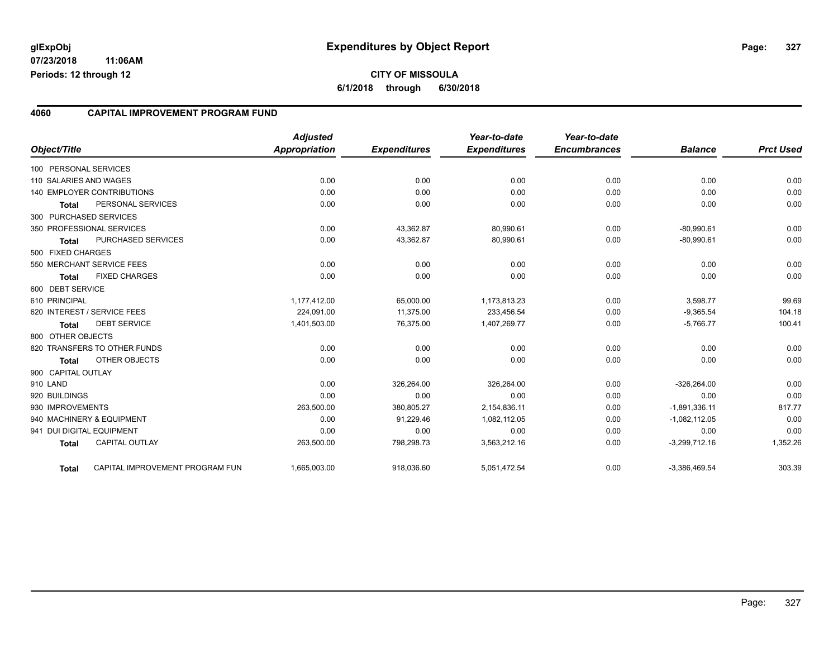#### **4060 CAPITAL IMPROVEMENT PROGRAM FUND**

|                           |                                   | <b>Adjusted</b>      |                     | Year-to-date        | Year-to-date        |                 |                  |
|---------------------------|-----------------------------------|----------------------|---------------------|---------------------|---------------------|-----------------|------------------|
| Object/Title              |                                   | <b>Appropriation</b> | <b>Expenditures</b> | <b>Expenditures</b> | <b>Encumbrances</b> | <b>Balance</b>  | <b>Prct Used</b> |
| 100 PERSONAL SERVICES     |                                   |                      |                     |                     |                     |                 |                  |
| 110 SALARIES AND WAGES    |                                   | 0.00                 | 0.00                | 0.00                | 0.00                | 0.00            | 0.00             |
|                           | <b>140 EMPLOYER CONTRIBUTIONS</b> | 0.00                 | 0.00                | 0.00                | 0.00                | 0.00            | 0.00             |
| <b>Total</b>              | PERSONAL SERVICES                 | 0.00                 | 0.00                | 0.00                | 0.00                | 0.00            | 0.00             |
| 300 PURCHASED SERVICES    |                                   |                      |                     |                     |                     |                 |                  |
|                           | 350 PROFESSIONAL SERVICES         | 0.00                 | 43,362.87           | 80,990.61           | 0.00                | $-80,990.61$    | 0.00             |
| <b>Total</b>              | PURCHASED SERVICES                | 0.00                 | 43,362.87           | 80,990.61           | 0.00                | $-80,990.61$    | 0.00             |
| 500 FIXED CHARGES         |                                   |                      |                     |                     |                     |                 |                  |
|                           | 550 MERCHANT SERVICE FEES         | 0.00                 | 0.00                | 0.00                | 0.00                | 0.00            | 0.00             |
| <b>Total</b>              | <b>FIXED CHARGES</b>              | 0.00                 | 0.00                | 0.00                | 0.00                | 0.00            | 0.00             |
| 600 DEBT SERVICE          |                                   |                      |                     |                     |                     |                 |                  |
| 610 PRINCIPAL             |                                   | 1,177,412.00         | 65,000.00           | 1,173,813.23        | 0.00                | 3,598.77        | 99.69            |
|                           | 620 INTEREST / SERVICE FEES       | 224.091.00           | 11,375.00           | 233,456.54          | 0.00                | $-9,365.54$     | 104.18           |
| <b>Total</b>              | <b>DEBT SERVICE</b>               | 1,401,503.00         | 76,375.00           | 1,407,269.77        | 0.00                | $-5,766.77$     | 100.41           |
| 800 OTHER OBJECTS         |                                   |                      |                     |                     |                     |                 |                  |
|                           | 820 TRANSFERS TO OTHER FUNDS      | 0.00                 | 0.00                | 0.00                | 0.00                | 0.00            | 0.00             |
| <b>Total</b>              | OTHER OBJECTS                     | 0.00                 | 0.00                | 0.00                | 0.00                | 0.00            | 0.00             |
| 900 CAPITAL OUTLAY        |                                   |                      |                     |                     |                     |                 |                  |
| 910 LAND                  |                                   | 0.00                 | 326,264.00          | 326.264.00          | 0.00                | $-326.264.00$   | 0.00             |
| 920 BUILDINGS             |                                   | 0.00                 | 0.00                | 0.00                | 0.00                | 0.00            | 0.00             |
| 930 IMPROVEMENTS          |                                   | 263,500.00           | 380,805.27          | 2,154,836.11        | 0.00                | $-1,891,336.11$ | 817.77           |
|                           | 940 MACHINERY & EQUIPMENT         | 0.00                 | 91,229.46           | 1,082,112.05        | 0.00                | $-1,082,112.05$ | 0.00             |
| 941 DUI DIGITAL EQUIPMENT |                                   | 0.00                 | 0.00                | 0.00                | 0.00                | 0.00            | 0.00             |
| <b>Total</b>              | <b>CAPITAL OUTLAY</b>             | 263,500.00           | 798,298.73          | 3,563,212.16        | 0.00                | $-3,299,712.16$ | 1,352.26         |
| <b>Total</b>              | CAPITAL IMPROVEMENT PROGRAM FUN   | 1,665,003.00         | 918,036.60          | 5,051,472.54        | 0.00                | $-3,386,469.54$ | 303.39           |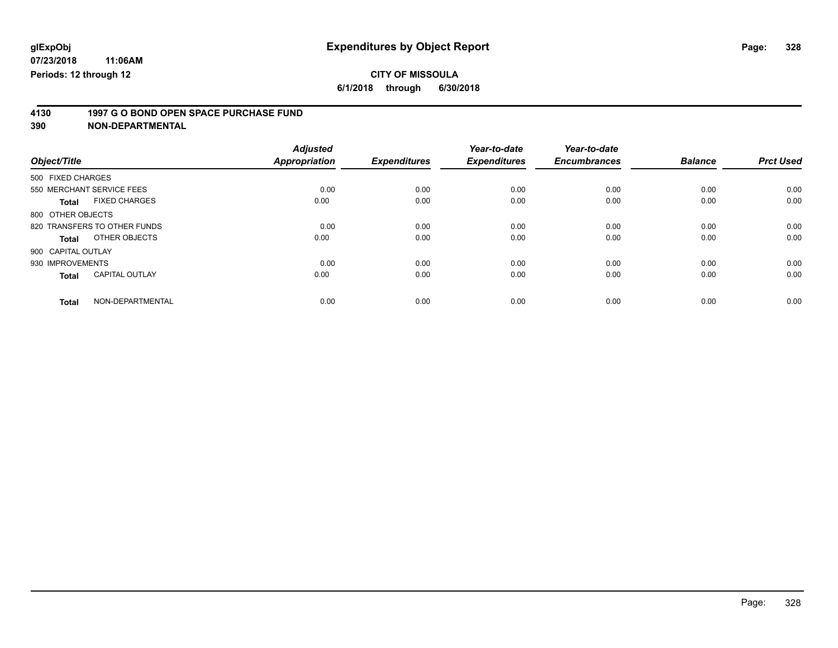**6/1/2018 through 6/30/2018**

# **4130 1997 G O BOND OPEN SPACE PURCHASE FUND**

**390 NON-DEPARTMENTAL**

| Object/Title                          | <b>Adjusted</b><br><b>Appropriation</b> | <b>Expenditures</b> | Year-to-date<br><b>Expenditures</b> | Year-to-date<br><b>Encumbrances</b> | <b>Balance</b> | <b>Prct Used</b> |
|---------------------------------------|-----------------------------------------|---------------------|-------------------------------------|-------------------------------------|----------------|------------------|
| 500 FIXED CHARGES                     |                                         |                     |                                     |                                     |                |                  |
|                                       |                                         |                     |                                     |                                     |                |                  |
| 550 MERCHANT SERVICE FEES             | 0.00                                    | 0.00                | 0.00                                | 0.00                                | 0.00           | 0.00             |
| <b>FIXED CHARGES</b><br><b>Total</b>  | 0.00                                    | 0.00                | 0.00                                | 0.00                                | 0.00           | 0.00             |
| 800 OTHER OBJECTS                     |                                         |                     |                                     |                                     |                |                  |
| 820 TRANSFERS TO OTHER FUNDS          | 0.00                                    | 0.00                | 0.00                                | 0.00                                | 0.00           | 0.00             |
| OTHER OBJECTS<br>Total                | 0.00                                    | 0.00                | 0.00                                | 0.00                                | 0.00           | 0.00             |
| 900 CAPITAL OUTLAY                    |                                         |                     |                                     |                                     |                |                  |
| 930 IMPROVEMENTS                      | 0.00                                    | 0.00                | 0.00                                | 0.00                                | 0.00           | 0.00             |
| <b>CAPITAL OUTLAY</b><br><b>Total</b> | 0.00                                    | 0.00                | 0.00                                | 0.00                                | 0.00           | 0.00             |
| NON-DEPARTMENTAL<br><b>Total</b>      | 0.00                                    | 0.00                | 0.00                                | 0.00                                | 0.00           | 0.00             |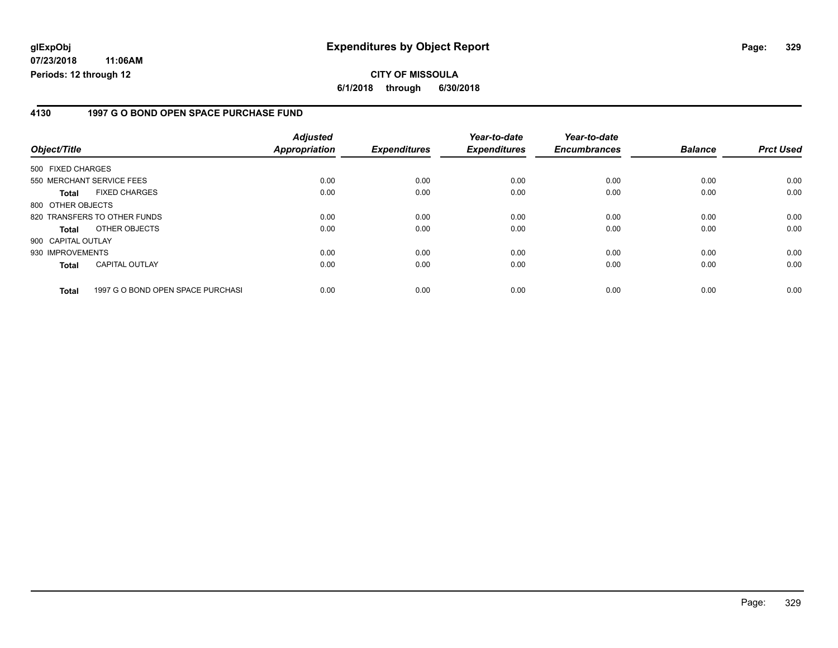**CITY OF MISSOULA 6/1/2018 through 6/30/2018**

### **4130 1997 G O BOND OPEN SPACE PURCHASE FUND**

| Object/Title       |                                   | <b>Adjusted</b><br>Appropriation | <b>Expenditures</b> | Year-to-date<br><b>Expenditures</b> | Year-to-date<br><b>Encumbrances</b> | <b>Balance</b> | <b>Prct Used</b> |
|--------------------|-----------------------------------|----------------------------------|---------------------|-------------------------------------|-------------------------------------|----------------|------------------|
|                    |                                   |                                  |                     |                                     |                                     |                |                  |
| 500 FIXED CHARGES  |                                   |                                  |                     |                                     |                                     |                |                  |
|                    | 550 MERCHANT SERVICE FEES         | 0.00                             | 0.00                | 0.00                                | 0.00                                | 0.00           | 0.00             |
| Total              | <b>FIXED CHARGES</b>              | 0.00                             | 0.00                | 0.00                                | 0.00                                | 0.00           | 0.00             |
| 800 OTHER OBJECTS  |                                   |                                  |                     |                                     |                                     |                |                  |
|                    | 820 TRANSFERS TO OTHER FUNDS      | 0.00                             | 0.00                | 0.00                                | 0.00                                | 0.00           | 0.00             |
| Total              | OTHER OBJECTS                     | 0.00                             | 0.00                | 0.00                                | 0.00                                | 0.00           | 0.00             |
| 900 CAPITAL OUTLAY |                                   |                                  |                     |                                     |                                     |                |                  |
| 930 IMPROVEMENTS   |                                   | 0.00                             | 0.00                | 0.00                                | 0.00                                | 0.00           | 0.00             |
| <b>Total</b>       | <b>CAPITAL OUTLAY</b>             | 0.00                             | 0.00                | 0.00                                | 0.00                                | 0.00           | 0.00             |
| <b>Total</b>       | 1997 G O BOND OPEN SPACE PURCHASI | 0.00                             | 0.00                | 0.00                                | 0.00                                | 0.00           | 0.00             |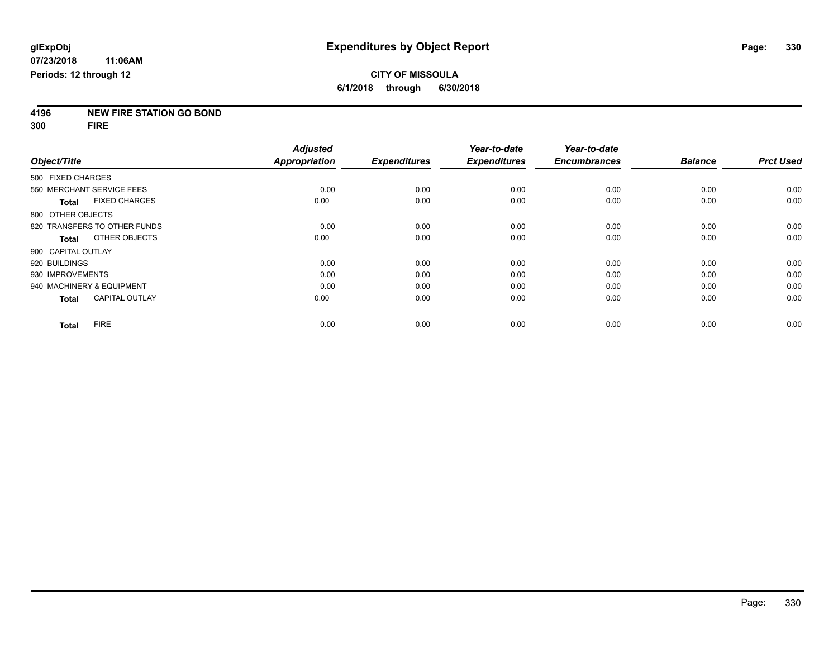### **CITY OF MISSOULA 6/1/2018 through 6/30/2018**

# **4196 NEW FIRE STATION GO BOND**

**300 FIRE**

|                                | <b>Adjusted</b><br><b>Appropriation</b> | <b>Expenditures</b> | Year-to-date<br><b>Expenditures</b> | Year-to-date<br><b>Encumbrances</b> | <b>Balance</b> | <b>Prct Used</b> |
|--------------------------------|-----------------------------------------|---------------------|-------------------------------------|-------------------------------------|----------------|------------------|
| Object/Title                   |                                         |                     |                                     |                                     |                |                  |
| 500 FIXED CHARGES              |                                         |                     |                                     |                                     |                |                  |
| 550 MERCHANT SERVICE FEES      | 0.00                                    | 0.00                | 0.00                                | 0.00                                | 0.00           | 0.00             |
| <b>FIXED CHARGES</b><br>Total  | 0.00                                    | 0.00                | 0.00                                | 0.00                                | 0.00           | 0.00             |
| 800 OTHER OBJECTS              |                                         |                     |                                     |                                     |                |                  |
| 820 TRANSFERS TO OTHER FUNDS   | 0.00                                    | 0.00                | 0.00                                | 0.00                                | 0.00           | 0.00             |
| OTHER OBJECTS<br>Total         | 0.00                                    | 0.00                | 0.00                                | 0.00                                | 0.00           | 0.00             |
| 900 CAPITAL OUTLAY             |                                         |                     |                                     |                                     |                |                  |
| 920 BUILDINGS                  | 0.00                                    | 0.00                | 0.00                                | 0.00                                | 0.00           | 0.00             |
| 930 IMPROVEMENTS               | 0.00                                    | 0.00                | 0.00                                | 0.00                                | 0.00           | 0.00             |
| 940 MACHINERY & EQUIPMENT      | 0.00                                    | 0.00                | 0.00                                | 0.00                                | 0.00           | 0.00             |
| CAPITAL OUTLAY<br><b>Total</b> | 0.00                                    | 0.00                | 0.00                                | 0.00                                | 0.00           | 0.00             |
| <b>FIRE</b><br>Total           | 0.00                                    | 0.00                | 0.00                                | 0.00                                | 0.00           | 0.00             |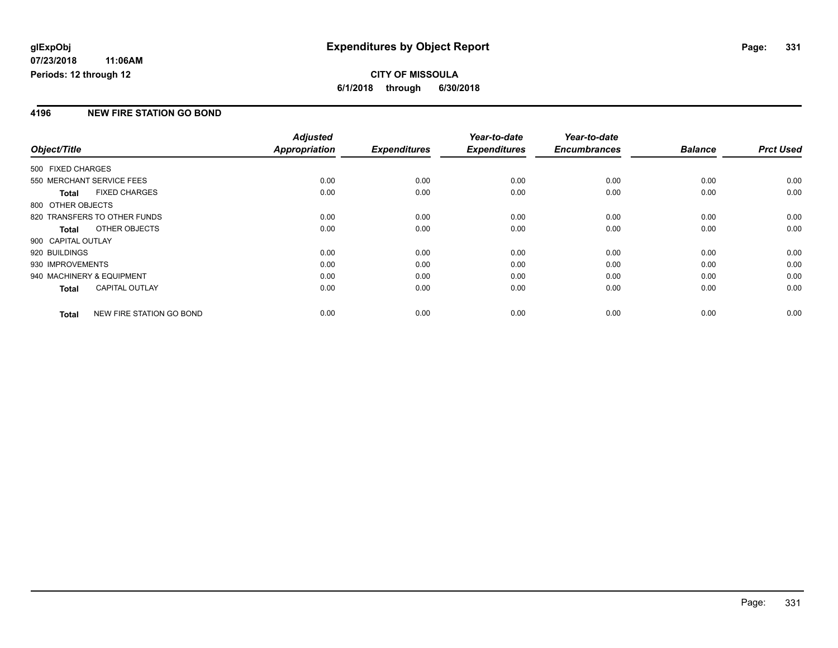### **CITY OF MISSOULA 6/1/2018 through 6/30/2018**

### **4196 NEW FIRE STATION GO BOND**

|                           |                              | <b>Adjusted</b>      |                     | Year-to-date        | Year-to-date        |                |                  |
|---------------------------|------------------------------|----------------------|---------------------|---------------------|---------------------|----------------|------------------|
| Object/Title              |                              | <b>Appropriation</b> | <b>Expenditures</b> | <b>Expenditures</b> | <b>Encumbrances</b> | <b>Balance</b> | <b>Prct Used</b> |
| 500 FIXED CHARGES         |                              |                      |                     |                     |                     |                |                  |
| 550 MERCHANT SERVICE FEES |                              | 0.00                 | 0.00                | 0.00                | 0.00                | 0.00           | 0.00             |
| <b>Total</b>              | <b>FIXED CHARGES</b>         | 0.00                 | 0.00                | 0.00                | 0.00                | 0.00           | 0.00             |
| 800 OTHER OBJECTS         |                              |                      |                     |                     |                     |                |                  |
|                           | 820 TRANSFERS TO OTHER FUNDS | 0.00                 | 0.00                | 0.00                | 0.00                | 0.00           | 0.00             |
| <b>Total</b>              | OTHER OBJECTS                | 0.00                 | 0.00                | 0.00                | 0.00                | 0.00           | 0.00             |
| 900 CAPITAL OUTLAY        |                              |                      |                     |                     |                     |                |                  |
| 920 BUILDINGS             |                              | 0.00                 | 0.00                | 0.00                | 0.00                | 0.00           | 0.00             |
| 930 IMPROVEMENTS          |                              | 0.00                 | 0.00                | 0.00                | 0.00                | 0.00           | 0.00             |
| 940 MACHINERY & EQUIPMENT |                              | 0.00                 | 0.00                | 0.00                | 0.00                | 0.00           | 0.00             |
| <b>Total</b>              | <b>CAPITAL OUTLAY</b>        | 0.00                 | 0.00                | 0.00                | 0.00                | 0.00           | 0.00             |
| <b>Total</b>              | NEW FIRE STATION GO BOND     | 0.00                 | 0.00                | 0.00                | 0.00                | 0.00           | 0.00             |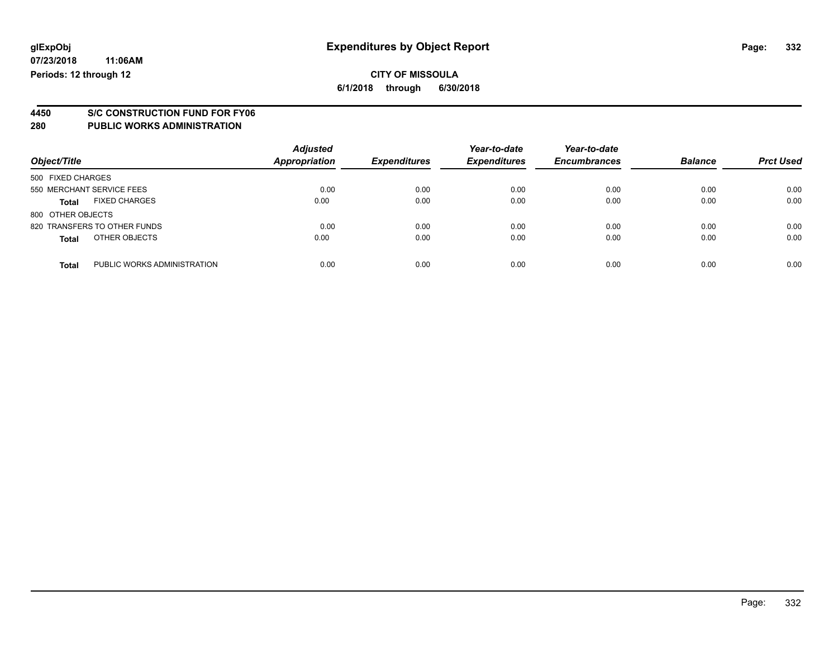### **CITY OF MISSOULA 6/1/2018 through 6/30/2018**

# **4450 S/C CONSTRUCTION FUND FOR FY06**

| Object/Title                                | <b>Adjusted</b><br><b>Appropriation</b> | <b>Expenditures</b> | Year-to-date<br><b>Expenditures</b> | Year-to-date<br><b>Encumbrances</b> | <b>Balance</b> | <b>Prct Used</b> |
|---------------------------------------------|-----------------------------------------|---------------------|-------------------------------------|-------------------------------------|----------------|------------------|
| 500 FIXED CHARGES                           |                                         |                     |                                     |                                     |                |                  |
| 550 MERCHANT SERVICE FEES                   | 0.00                                    | 0.00                | 0.00                                | 0.00                                | 0.00           | 0.00             |
| <b>FIXED CHARGES</b><br><b>Total</b>        | 0.00                                    | 0.00                | 0.00                                | 0.00                                | 0.00           | 0.00             |
| 800 OTHER OBJECTS                           |                                         |                     |                                     |                                     |                |                  |
| 820 TRANSFERS TO OTHER FUNDS                | 0.00                                    | 0.00                | 0.00                                | 0.00                                | 0.00           | 0.00             |
| OTHER OBJECTS<br><b>Total</b>               | 0.00                                    | 0.00                | 0.00                                | 0.00                                | 0.00           | 0.00             |
| PUBLIC WORKS ADMINISTRATION<br><b>Total</b> | 0.00                                    | 0.00                | 0.00                                | 0.00                                | 0.00           | 0.00             |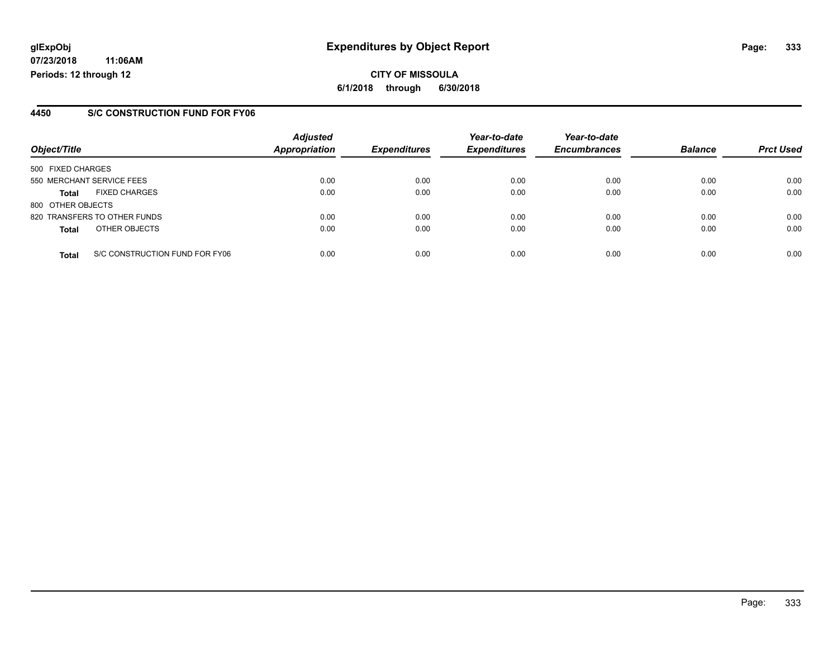**CITY OF MISSOULA 6/1/2018 through 6/30/2018**

### **4450 S/C CONSTRUCTION FUND FOR FY06**

| Object/Title      |                                | <b>Adjusted</b><br>Appropriation | <b>Expenditures</b> | Year-to-date<br><b>Expenditures</b> | Year-to-date<br><b>Encumbrances</b> | <b>Balance</b> | <b>Prct Used</b> |
|-------------------|--------------------------------|----------------------------------|---------------------|-------------------------------------|-------------------------------------|----------------|------------------|
|                   |                                |                                  |                     |                                     |                                     |                |                  |
|                   | 550 MERCHANT SERVICE FEES      | 0.00                             | 0.00                | 0.00                                | 0.00                                | 0.00           | 0.00             |
| <b>Total</b>      | <b>FIXED CHARGES</b>           | 0.00                             | 0.00                | 0.00                                | 0.00                                | 0.00           | 0.00             |
| 800 OTHER OBJECTS |                                |                                  |                     |                                     |                                     |                |                  |
|                   | 820 TRANSFERS TO OTHER FUNDS   | 0.00                             | 0.00                | 0.00                                | 0.00                                | 0.00           | 0.00             |
| <b>Total</b>      | OTHER OBJECTS                  | 0.00                             | 0.00                | 0.00                                | 0.00                                | 0.00           | 0.00             |
| <b>Total</b>      | S/C CONSTRUCTION FUND FOR FY06 | 0.00                             | 0.00                | 0.00                                | 0.00                                | 0.00           | 0.00             |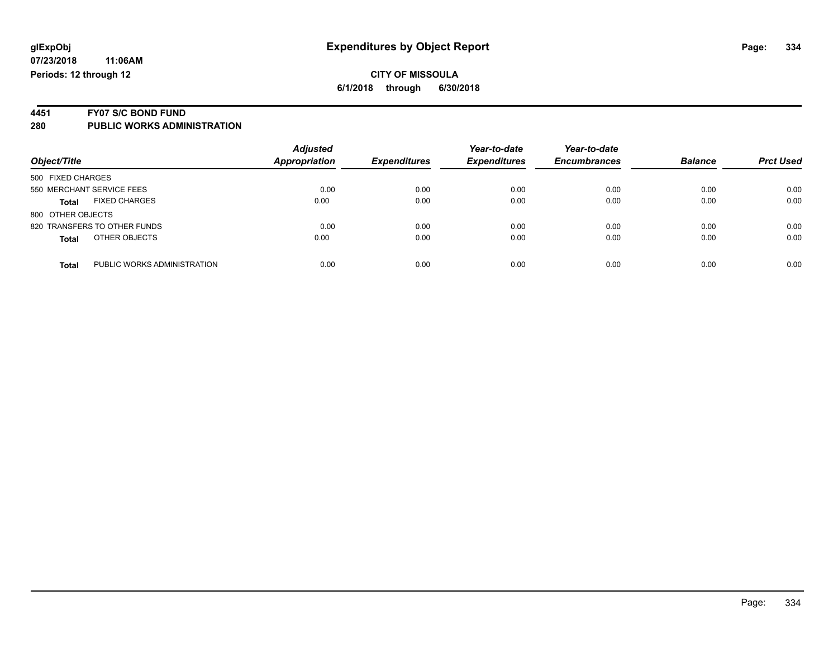**4451 FY07 S/C BOND FUND 280 PUBLIC WORKS ADMINISTRATION**

| Object/Title                                | <b>Adjusted</b><br><b>Appropriation</b> | <b>Expenditures</b> | Year-to-date<br><b>Expenditures</b> | Year-to-date<br><b>Encumbrances</b> | <b>Balance</b> | <b>Prct Used</b> |
|---------------------------------------------|-----------------------------------------|---------------------|-------------------------------------|-------------------------------------|----------------|------------------|
| 500 FIXED CHARGES                           |                                         |                     |                                     |                                     |                |                  |
| 550 MERCHANT SERVICE FEES                   | 0.00                                    | 0.00                | 0.00                                | 0.00                                | 0.00           | 0.00             |
| <b>FIXED CHARGES</b><br><b>Total</b>        | 0.00                                    | 0.00                | 0.00                                | 0.00                                | 0.00           | 0.00             |
| 800 OTHER OBJECTS                           |                                         |                     |                                     |                                     |                |                  |
| 820 TRANSFERS TO OTHER FUNDS                | 0.00                                    | 0.00                | 0.00                                | 0.00                                | 0.00           | 0.00             |
| OTHER OBJECTS<br><b>Total</b>               | 0.00                                    | 0.00                | 0.00                                | 0.00                                | 0.00           | 0.00             |
| PUBLIC WORKS ADMINISTRATION<br><b>Total</b> | 0.00                                    | 0.00                | 0.00                                | 0.00                                | 0.00           | 0.00             |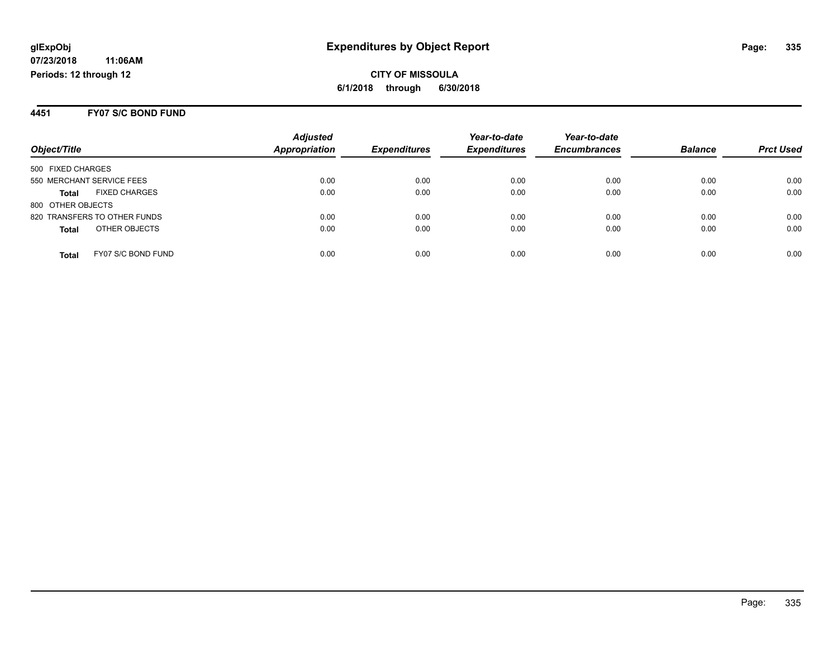**CITY OF MISSOULA 6/1/2018 through 6/30/2018**

### **4451 FY07 S/C BOND FUND**

|                                      | <b>Adjusted</b>      |                     | Year-to-date        | Year-to-date        |                |                  |
|--------------------------------------|----------------------|---------------------|---------------------|---------------------|----------------|------------------|
| Object/Title                         | <b>Appropriation</b> | <b>Expenditures</b> | <b>Expenditures</b> | <b>Encumbrances</b> | <b>Balance</b> | <b>Prct Used</b> |
| 500 FIXED CHARGES                    |                      |                     |                     |                     |                |                  |
| 550 MERCHANT SERVICE FEES            | 0.00                 | 0.00                | 0.00                | 0.00                | 0.00           | 0.00             |
| <b>FIXED CHARGES</b><br><b>Total</b> | 0.00                 | 0.00                | 0.00                | 0.00                | 0.00           | 0.00             |
| 800 OTHER OBJECTS                    |                      |                     |                     |                     |                |                  |
| 820 TRANSFERS TO OTHER FUNDS         | 0.00                 | 0.00                | 0.00                | 0.00                | 0.00           | 0.00             |
| OTHER OBJECTS<br><b>Total</b>        | 0.00                 | 0.00                | 0.00                | 0.00                | 0.00           | 0.00             |
| FY07 S/C BOND FUND<br><b>Total</b>   | 0.00                 | 0.00                | 0.00                | 0.00                | 0.00           | 0.00             |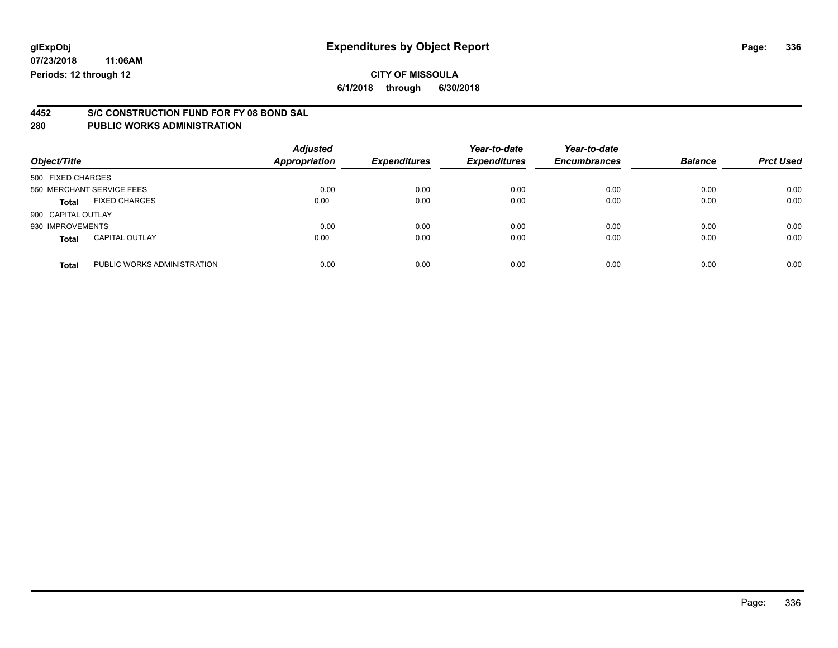### **CITY OF MISSOULA 6/1/2018 through 6/30/2018**

# **4452 S/C CONSTRUCTION FUND FOR FY 08 BOND SAL**

| Object/Title              |                             | <b>Adjusted</b><br>Appropriation | <b>Expenditures</b> | Year-to-date<br><b>Expenditures</b> | Year-to-date<br><b>Encumbrances</b> | <b>Balance</b> | <b>Prct Used</b> |
|---------------------------|-----------------------------|----------------------------------|---------------------|-------------------------------------|-------------------------------------|----------------|------------------|
| 500 FIXED CHARGES         |                             |                                  |                     |                                     |                                     |                |                  |
| 550 MERCHANT SERVICE FEES |                             | 0.00                             | 0.00                | 0.00                                | 0.00                                | 0.00           | 0.00             |
| <b>Total</b>              | <b>FIXED CHARGES</b>        | 0.00                             | 0.00                | 0.00                                | 0.00                                | 0.00           | 0.00             |
| 900 CAPITAL OUTLAY        |                             |                                  |                     |                                     |                                     |                |                  |
| 930 IMPROVEMENTS          |                             | 0.00                             | 0.00                | 0.00                                | 0.00                                | 0.00           | 0.00             |
| <b>Total</b>              | <b>CAPITAL OUTLAY</b>       | 0.00                             | 0.00                | 0.00                                | 0.00                                | 0.00           | 0.00             |
| <b>Total</b>              | PUBLIC WORKS ADMINISTRATION | 0.00                             | 0.00                | 0.00                                | 0.00                                | 0.00           | 0.00             |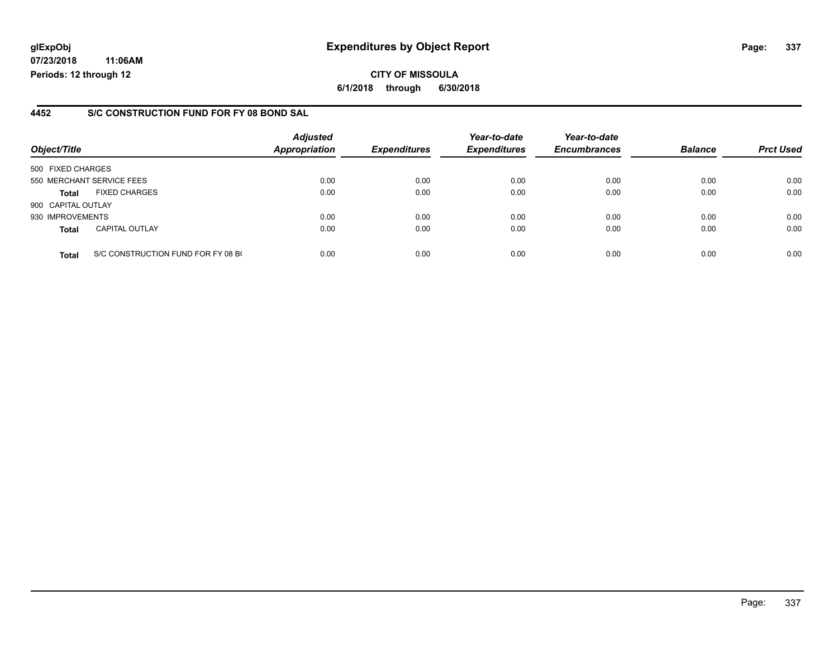### **glExpObj Expenditures by Object Report Page: 337**

**07/23/2018 11:06AM Periods: 12 through 12**

**CITY OF MISSOULA 6/1/2018 through 6/30/2018**

### **4452 S/C CONSTRUCTION FUND FOR FY 08 BOND SAL**

| Object/Title       |                                    | <b>Adjusted</b><br><b>Appropriation</b> | <b>Expenditures</b> | Year-to-date<br><b>Expenditures</b> | Year-to-date<br><b>Encumbrances</b> | <b>Balance</b> | <b>Prct Used</b> |
|--------------------|------------------------------------|-----------------------------------------|---------------------|-------------------------------------|-------------------------------------|----------------|------------------|
| 500 FIXED CHARGES  |                                    |                                         |                     |                                     |                                     |                |                  |
|                    | 550 MERCHANT SERVICE FEES          | 0.00                                    | 0.00                | 0.00                                | 0.00                                | 0.00           | 0.00             |
| <b>Total</b>       | <b>FIXED CHARGES</b>               | 0.00                                    | 0.00                | 0.00                                | 0.00                                | 0.00           | 0.00             |
| 900 CAPITAL OUTLAY |                                    |                                         |                     |                                     |                                     |                |                  |
| 930 IMPROVEMENTS   |                                    | 0.00                                    | 0.00                | 0.00                                | 0.00                                | 0.00           | 0.00             |
| <b>Total</b>       | <b>CAPITAL OUTLAY</b>              | 0.00                                    | 0.00                | 0.00                                | 0.00                                | 0.00           | 0.00             |
| <b>Total</b>       | S/C CONSTRUCTION FUND FOR FY 08 BO | 0.00                                    | 0.00                | 0.00                                | 0.00                                | 0.00           | 0.00             |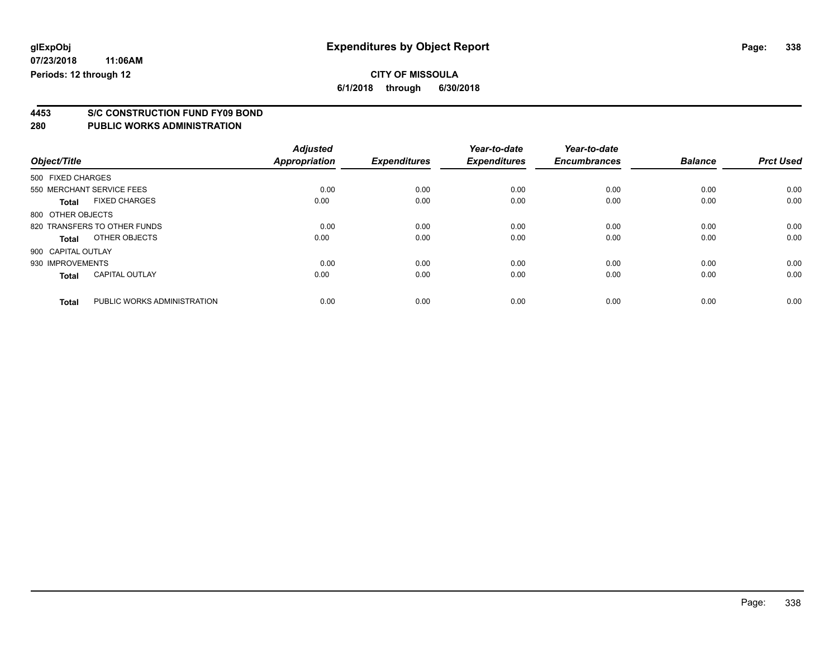# **4453 S/C CONSTRUCTION FUND FY09 BOND**

| Object/Title       |                              | <b>Adjusted</b><br><b>Appropriation</b> | <b>Expenditures</b> | Year-to-date<br><b>Expenditures</b> | Year-to-date<br><b>Encumbrances</b> | <b>Balance</b> | <b>Prct Used</b> |
|--------------------|------------------------------|-----------------------------------------|---------------------|-------------------------------------|-------------------------------------|----------------|------------------|
| 500 FIXED CHARGES  |                              |                                         |                     |                                     |                                     |                |                  |
|                    | 550 MERCHANT SERVICE FEES    | 0.00                                    | 0.00                | 0.00                                | 0.00                                | 0.00           | 0.00             |
| <b>Total</b>       | <b>FIXED CHARGES</b>         | 0.00                                    | 0.00                | 0.00                                | 0.00                                | 0.00           | 0.00             |
| 800 OTHER OBJECTS  |                              |                                         |                     |                                     |                                     |                |                  |
|                    | 820 TRANSFERS TO OTHER FUNDS | 0.00                                    | 0.00                | 0.00                                | 0.00                                | 0.00           | 0.00             |
| Total              | OTHER OBJECTS                | 0.00                                    | 0.00                | 0.00                                | 0.00                                | 0.00           | 0.00             |
| 900 CAPITAL OUTLAY |                              |                                         |                     |                                     |                                     |                |                  |
| 930 IMPROVEMENTS   |                              | 0.00                                    | 0.00                | 0.00                                | 0.00                                | 0.00           | 0.00             |
| <b>Total</b>       | <b>CAPITAL OUTLAY</b>        | 0.00                                    | 0.00                | 0.00                                | 0.00                                | 0.00           | 0.00             |
| <b>Total</b>       | PUBLIC WORKS ADMINISTRATION  | 0.00                                    | 0.00                | 0.00                                | 0.00                                | 0.00           | 0.00             |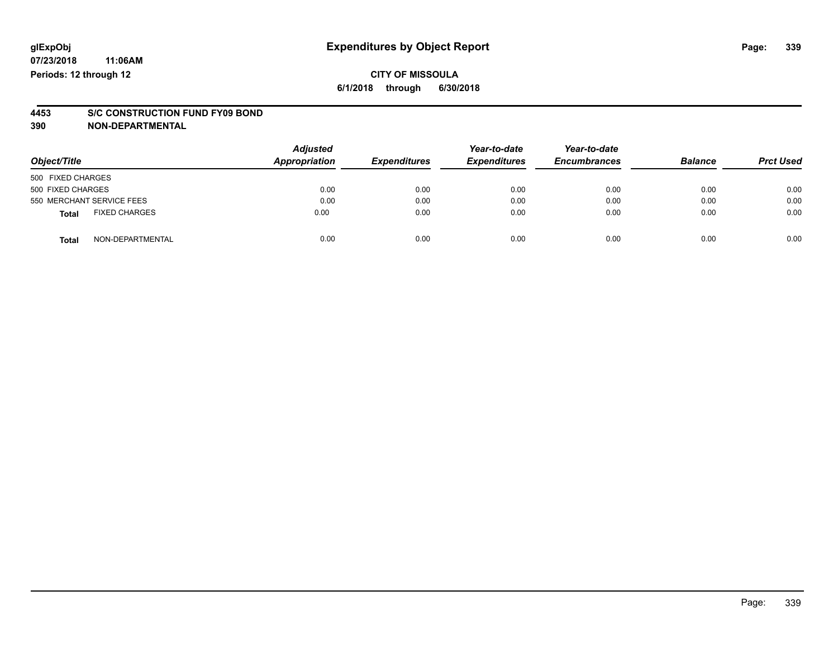### **CITY OF MISSOULA 6/1/2018 through 6/30/2018**

# **4453 S/C CONSTRUCTION FUND FY09 BOND**

**390 NON-DEPARTMENTAL**

| Object/Title      |                           | <b>Adjusted</b><br><b>Appropriation</b> | <b>Expenditures</b> | Year-to-date<br><b>Expenditures</b> | Year-to-date<br><b>Encumbrances</b> | <b>Balance</b> | <b>Prct Used</b> |
|-------------------|---------------------------|-----------------------------------------|---------------------|-------------------------------------|-------------------------------------|----------------|------------------|
| 500 FIXED CHARGES |                           |                                         |                     |                                     |                                     |                |                  |
| 500 FIXED CHARGES |                           | 0.00                                    | 0.00                | 0.00                                | 0.00                                | 0.00           | 0.00             |
|                   | 550 MERCHANT SERVICE FEES | 0.00                                    | 0.00                | 0.00                                | 0.00                                | 0.00           | 0.00             |
| <b>Total</b>      | <b>FIXED CHARGES</b>      | 0.00                                    | 0.00                | 0.00                                | 0.00                                | 0.00           | 0.00             |
| <b>Total</b>      | NON-DEPARTMENTAL          | 0.00                                    | 0.00                | 0.00                                | 0.00                                | 0.00           | 0.00             |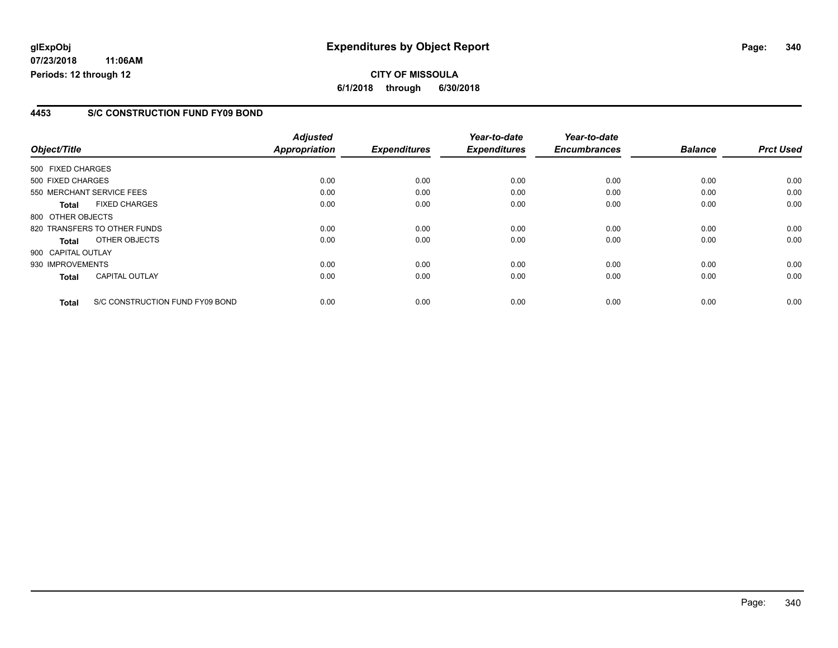**CITY OF MISSOULA 6/1/2018 through 6/30/2018**

### **4453 S/C CONSTRUCTION FUND FY09 BOND**

|                    |                                 | <b>Adjusted</b> |                     | Year-to-date        | Year-to-date        |                |                  |
|--------------------|---------------------------------|-----------------|---------------------|---------------------|---------------------|----------------|------------------|
| Object/Title       |                                 | Appropriation   | <b>Expenditures</b> | <b>Expenditures</b> | <b>Encumbrances</b> | <b>Balance</b> | <b>Prct Used</b> |
| 500 FIXED CHARGES  |                                 |                 |                     |                     |                     |                |                  |
| 500 FIXED CHARGES  |                                 | 0.00            | 0.00                | 0.00                | 0.00                | 0.00           | 0.00             |
|                    | 550 MERCHANT SERVICE FEES       | 0.00            | 0.00                | 0.00                | 0.00                | 0.00           | 0.00             |
| <b>Total</b>       | <b>FIXED CHARGES</b>            | 0.00            | 0.00                | 0.00                | 0.00                | 0.00           | 0.00             |
| 800 OTHER OBJECTS  |                                 |                 |                     |                     |                     |                |                  |
|                    | 820 TRANSFERS TO OTHER FUNDS    | 0.00            | 0.00                | 0.00                | 0.00                | 0.00           | 0.00             |
| Total              | OTHER OBJECTS                   | 0.00            | 0.00                | 0.00                | 0.00                | 0.00           | 0.00             |
| 900 CAPITAL OUTLAY |                                 |                 |                     |                     |                     |                |                  |
| 930 IMPROVEMENTS   |                                 | 0.00            | 0.00                | 0.00                | 0.00                | 0.00           | 0.00             |
| <b>Total</b>       | <b>CAPITAL OUTLAY</b>           | 0.00            | 0.00                | 0.00                | 0.00                | 0.00           | 0.00             |
| <b>Total</b>       | S/C CONSTRUCTION FUND FY09 BOND | 0.00            | 0.00                | 0.00                | 0.00                | 0.00           | 0.00             |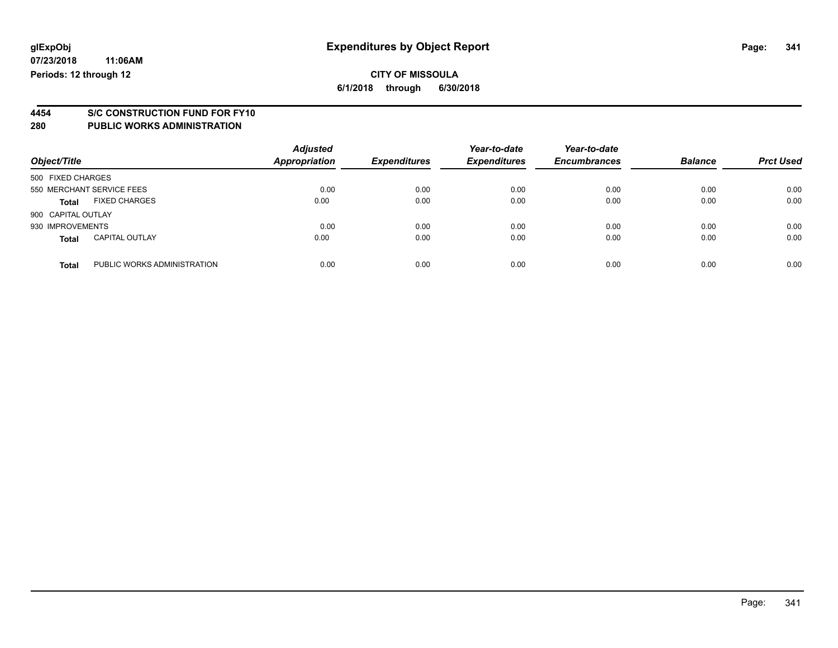### **CITY OF MISSOULA 6/1/2018 through 6/30/2018**

# **4454 S/C CONSTRUCTION FUND FOR FY10**

| Object/Title                                | <b>Adjusted</b><br><b>Appropriation</b> | <b>Expenditures</b> | Year-to-date<br><b>Expenditures</b> | Year-to-date<br><b>Encumbrances</b> | <b>Balance</b> | <b>Prct Used</b> |
|---------------------------------------------|-----------------------------------------|---------------------|-------------------------------------|-------------------------------------|----------------|------------------|
| 500 FIXED CHARGES                           |                                         |                     |                                     |                                     |                |                  |
| 550 MERCHANT SERVICE FEES                   | 0.00                                    | 0.00                | 0.00                                | 0.00                                | 0.00           | 0.00             |
| <b>FIXED CHARGES</b><br><b>Total</b>        | 0.00                                    | 0.00                | 0.00                                | 0.00                                | 0.00           | 0.00             |
| 900 CAPITAL OUTLAY                          |                                         |                     |                                     |                                     |                |                  |
| 930 IMPROVEMENTS                            | 0.00                                    | 0.00                | 0.00                                | 0.00                                | 0.00           | 0.00             |
| <b>CAPITAL OUTLAY</b><br><b>Total</b>       | 0.00                                    | 0.00                | 0.00                                | 0.00                                | 0.00           | 0.00             |
| PUBLIC WORKS ADMINISTRATION<br><b>Total</b> | 0.00                                    | 0.00                | 0.00                                | 0.00                                | 0.00           | 0.00             |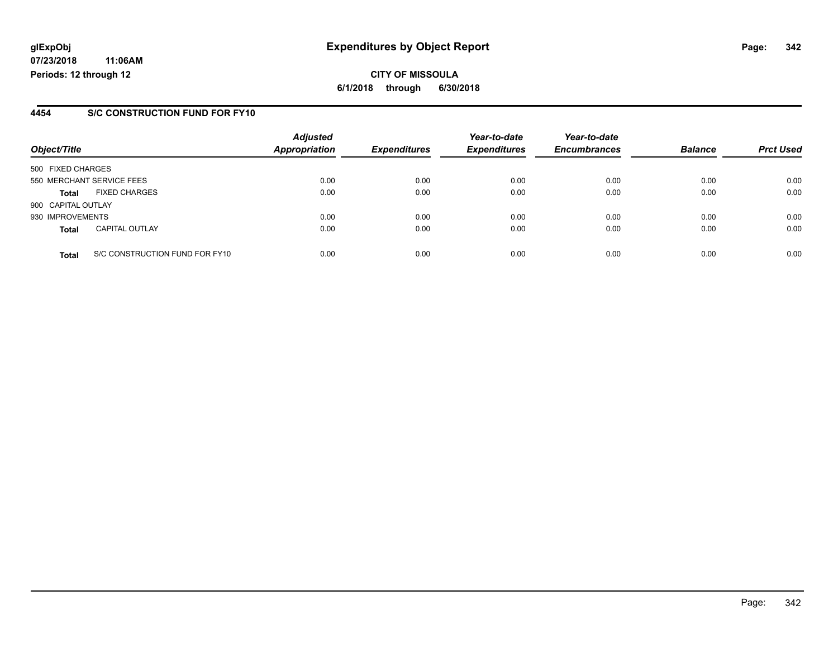**CITY OF MISSOULA 6/1/2018 through 6/30/2018**

### **4454 S/C CONSTRUCTION FUND FOR FY10**

|                           |                                | <b>Adjusted</b>      |                     | Year-to-date        | Year-to-date        |                |                  |
|---------------------------|--------------------------------|----------------------|---------------------|---------------------|---------------------|----------------|------------------|
| Object/Title              |                                | <b>Appropriation</b> | <b>Expenditures</b> | <b>Expenditures</b> | <b>Encumbrances</b> | <b>Balance</b> | <b>Prct Used</b> |
| 500 FIXED CHARGES         |                                |                      |                     |                     |                     |                |                  |
| 550 MERCHANT SERVICE FEES |                                | 0.00                 | 0.00                | 0.00                | 0.00                | 0.00           | 0.00             |
| <b>Total</b>              | <b>FIXED CHARGES</b>           | 0.00                 | 0.00                | 0.00                | 0.00                | 0.00           | 0.00             |
| 900 CAPITAL OUTLAY        |                                |                      |                     |                     |                     |                |                  |
| 930 IMPROVEMENTS          |                                | 0.00                 | 0.00                | 0.00                | 0.00                | 0.00           | 0.00             |
| <b>Total</b>              | <b>CAPITAL OUTLAY</b>          | 0.00                 | 0.00                | 0.00                | 0.00                | 0.00           | 0.00             |
| <b>Total</b>              | S/C CONSTRUCTION FUND FOR FY10 | 0.00                 | 0.00                | 0.00                | 0.00                | 0.00           | 0.00             |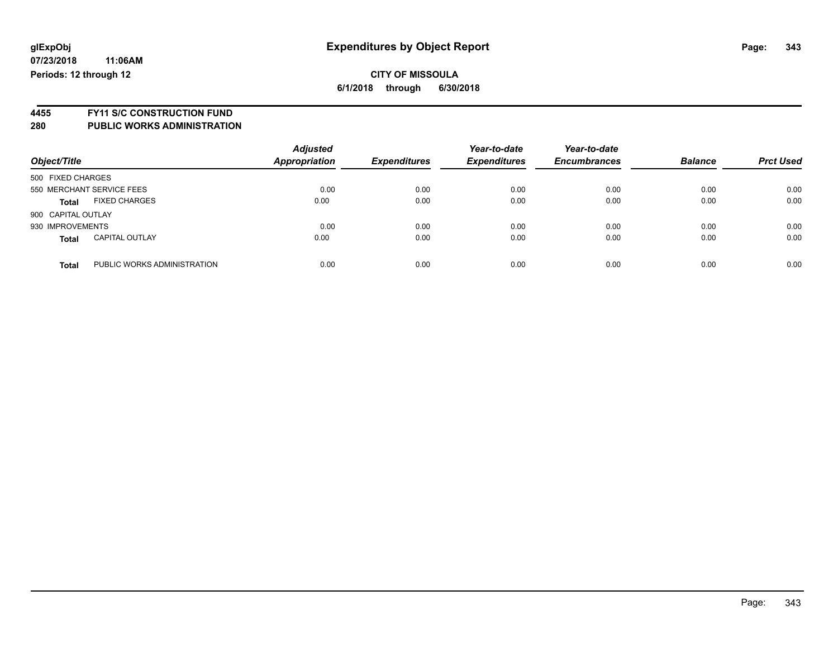### **CITY OF MISSOULA 6/1/2018 through 6/30/2018**

# **4455 FY11 S/C CONSTRUCTION FUND**

| Object/Title                                | <b>Adjusted</b><br>Appropriation | <b>Expenditures</b> | Year-to-date<br><b>Expenditures</b> | Year-to-date<br><b>Encumbrances</b> | <b>Balance</b> | <b>Prct Used</b> |
|---------------------------------------------|----------------------------------|---------------------|-------------------------------------|-------------------------------------|----------------|------------------|
| 500 FIXED CHARGES                           |                                  |                     |                                     |                                     |                |                  |
| 550 MERCHANT SERVICE FEES                   | 0.00                             | 0.00                | 0.00                                | 0.00                                | 0.00           | 0.00             |
| <b>FIXED CHARGES</b><br><b>Total</b>        | 0.00                             | 0.00                | 0.00                                | 0.00                                | 0.00           | 0.00             |
| 900 CAPITAL OUTLAY                          |                                  |                     |                                     |                                     |                |                  |
| 930 IMPROVEMENTS                            | 0.00                             | 0.00                | 0.00                                | 0.00                                | 0.00           | 0.00             |
| <b>CAPITAL OUTLAY</b><br><b>Total</b>       | 0.00                             | 0.00                | 0.00                                | 0.00                                | 0.00           | 0.00             |
| PUBLIC WORKS ADMINISTRATION<br><b>Total</b> | 0.00                             | 0.00                | 0.00                                | 0.00                                | 0.00           | 0.00             |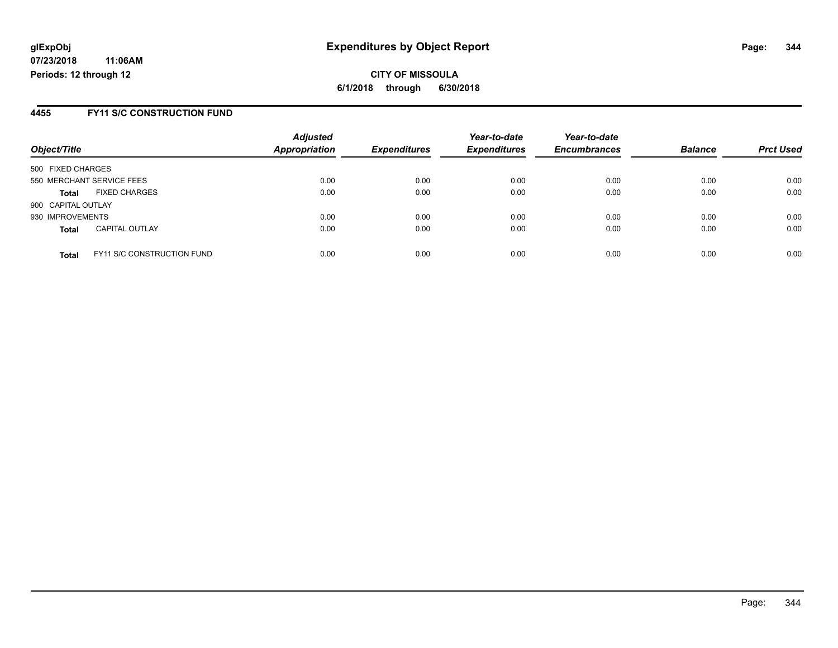**CITY OF MISSOULA 6/1/2018 through 6/30/2018**

### **4455 FY11 S/C CONSTRUCTION FUND**

|                                       |                                   | <b>Adjusted</b>      |                     | Year-to-date        | Year-to-date        |                |                  |
|---------------------------------------|-----------------------------------|----------------------|---------------------|---------------------|---------------------|----------------|------------------|
| Object/Title                          |                                   | <b>Appropriation</b> | <b>Expenditures</b> | <b>Expenditures</b> | <b>Encumbrances</b> | <b>Balance</b> | <b>Prct Used</b> |
| 500 FIXED CHARGES                     |                                   |                      |                     |                     |                     |                |                  |
| 550 MERCHANT SERVICE FEES             |                                   | 0.00                 | 0.00                | 0.00                | 0.00                | 0.00           | 0.00             |
| <b>FIXED CHARGES</b><br><b>Total</b>  |                                   | 0.00                 | 0.00                | 0.00                | 0.00                | 0.00           | 0.00             |
| 900 CAPITAL OUTLAY                    |                                   |                      |                     |                     |                     |                |                  |
| 930 IMPROVEMENTS                      |                                   | 0.00                 | 0.00                | 0.00                | 0.00                | 0.00           | 0.00             |
| <b>CAPITAL OUTLAY</b><br><b>Total</b> |                                   | 0.00                 | 0.00                | 0.00                | 0.00                | 0.00           | 0.00             |
| <b>Total</b>                          | <b>FY11 S/C CONSTRUCTION FUND</b> | 0.00                 | 0.00                | 0.00                | 0.00                | 0.00           | 0.00             |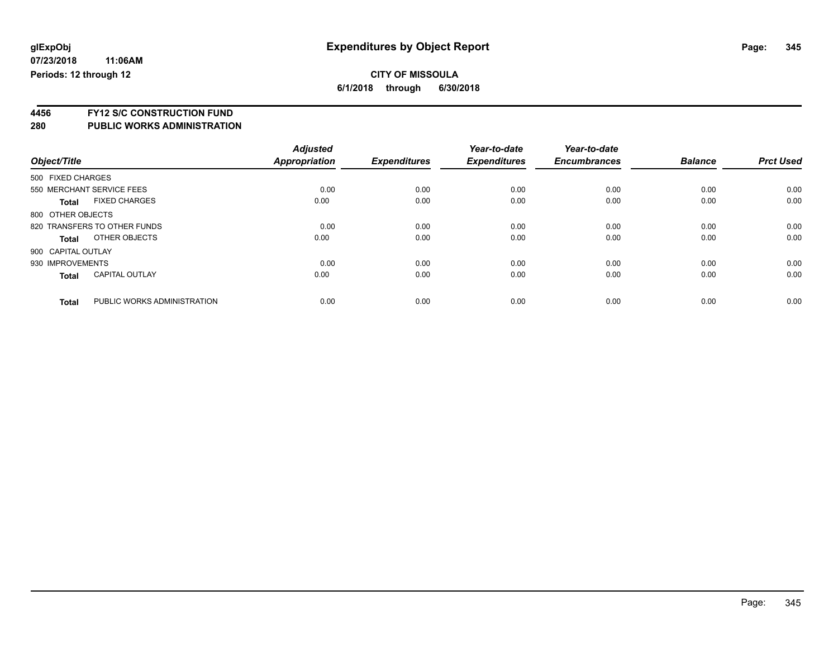### **CITY OF MISSOULA 6/1/2018 through 6/30/2018**

# **4456 FY12 S/C CONSTRUCTION FUND**

| Object/Title                                | <b>Adjusted</b><br><b>Appropriation</b> | <b>Expenditures</b> | Year-to-date<br><b>Expenditures</b> | Year-to-date<br><b>Encumbrances</b> | <b>Balance</b> | <b>Prct Used</b> |
|---------------------------------------------|-----------------------------------------|---------------------|-------------------------------------|-------------------------------------|----------------|------------------|
| 500 FIXED CHARGES                           |                                         |                     |                                     |                                     |                |                  |
| 550 MERCHANT SERVICE FEES                   | 0.00                                    | 0.00                | 0.00                                | 0.00                                | 0.00           | 0.00             |
| <b>FIXED CHARGES</b><br><b>Total</b>        | 0.00                                    | 0.00                | 0.00                                | 0.00                                | 0.00           | 0.00             |
| 800 OTHER OBJECTS                           |                                         |                     |                                     |                                     |                |                  |
| 820 TRANSFERS TO OTHER FUNDS                | 0.00                                    | 0.00                | 0.00                                | 0.00                                | 0.00           | 0.00             |
| OTHER OBJECTS<br>Total                      | 0.00                                    | 0.00                | 0.00                                | 0.00                                | 0.00           | 0.00             |
| 900 CAPITAL OUTLAY                          |                                         |                     |                                     |                                     |                |                  |
| 930 IMPROVEMENTS                            | 0.00                                    | 0.00                | 0.00                                | 0.00                                | 0.00           | 0.00             |
| <b>CAPITAL OUTLAY</b><br><b>Total</b>       | 0.00                                    | 0.00                | 0.00                                | 0.00                                | 0.00           | 0.00             |
|                                             |                                         |                     |                                     |                                     |                |                  |
| PUBLIC WORKS ADMINISTRATION<br><b>Total</b> | 0.00                                    | 0.00                | 0.00                                | 0.00                                | 0.00           | 0.00             |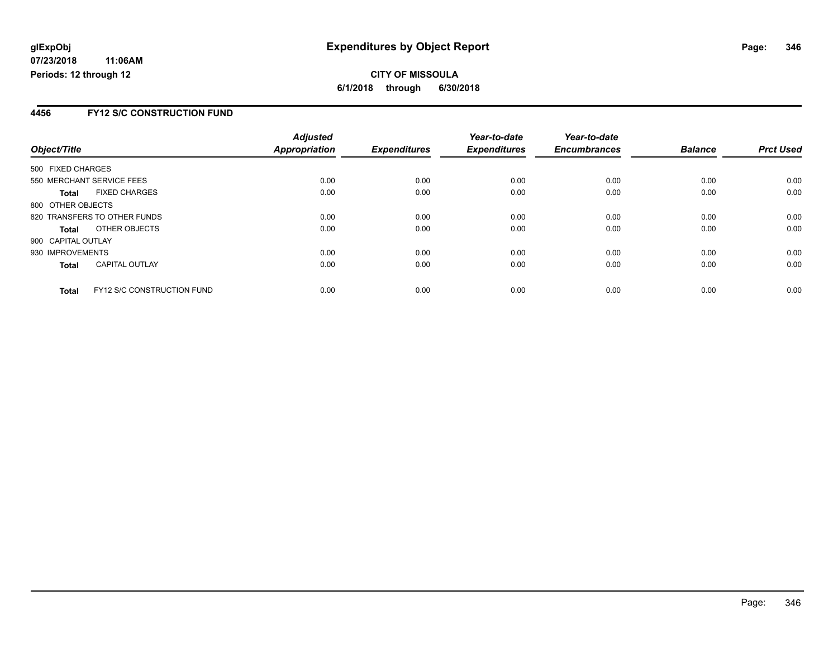### **CITY OF MISSOULA 6/1/2018 through 6/30/2018**

### **4456 FY12 S/C CONSTRUCTION FUND**

| Object/Title       |                                   | <b>Adjusted</b><br>Appropriation | <b>Expenditures</b> | Year-to-date<br><b>Expenditures</b> | Year-to-date<br><b>Encumbrances</b> | <b>Balance</b> | <b>Prct Used</b> |
|--------------------|-----------------------------------|----------------------------------|---------------------|-------------------------------------|-------------------------------------|----------------|------------------|
| 500 FIXED CHARGES  |                                   |                                  |                     |                                     |                                     |                |                  |
|                    |                                   |                                  |                     |                                     |                                     |                |                  |
|                    | 550 MERCHANT SERVICE FEES         | 0.00                             | 0.00                | 0.00                                | 0.00                                | 0.00           | 0.00             |
| Total              | <b>FIXED CHARGES</b>              | 0.00                             | 0.00                | 0.00                                | 0.00                                | 0.00           | 0.00             |
| 800 OTHER OBJECTS  |                                   |                                  |                     |                                     |                                     |                |                  |
|                    | 820 TRANSFERS TO OTHER FUNDS      | 0.00                             | 0.00                | 0.00                                | 0.00                                | 0.00           | 0.00             |
| Total              | OTHER OBJECTS                     | 0.00                             | 0.00                | 0.00                                | 0.00                                | 0.00           | 0.00             |
| 900 CAPITAL OUTLAY |                                   |                                  |                     |                                     |                                     |                |                  |
| 930 IMPROVEMENTS   |                                   | 0.00                             | 0.00                | 0.00                                | 0.00                                | 0.00           | 0.00             |
| <b>Total</b>       | <b>CAPITAL OUTLAY</b>             | 0.00                             | 0.00                | 0.00                                | 0.00                                | 0.00           | 0.00             |
| <b>Total</b>       | <b>FY12 S/C CONSTRUCTION FUND</b> | 0.00                             | 0.00                | 0.00                                | 0.00                                | 0.00           | 0.00             |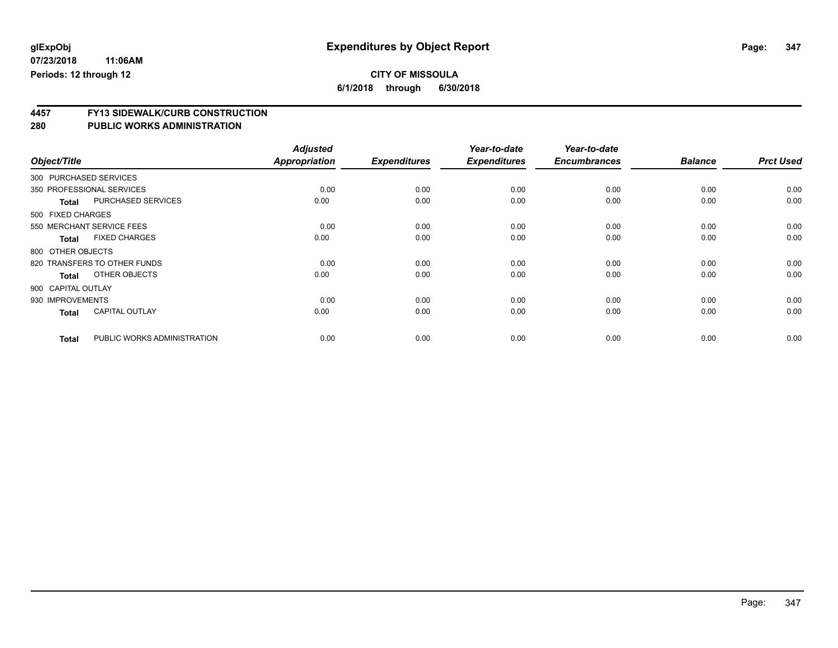# **4457 FY13 SIDEWALK/CURB CONSTRUCTION**

| Object/Title       |                              | <b>Adjusted</b><br><b>Appropriation</b> | <b>Expenditures</b> | Year-to-date<br><b>Expenditures</b> | Year-to-date<br><b>Encumbrances</b> | <b>Balance</b> | <b>Prct Used</b> |
|--------------------|------------------------------|-----------------------------------------|---------------------|-------------------------------------|-------------------------------------|----------------|------------------|
|                    | 300 PURCHASED SERVICES       |                                         |                     |                                     |                                     |                |                  |
|                    | 350 PROFESSIONAL SERVICES    | 0.00                                    | 0.00                | 0.00                                | 0.00                                | 0.00           | 0.00             |
| <b>Total</b>       | PURCHASED SERVICES           | 0.00                                    | 0.00                | 0.00                                | 0.00                                | 0.00           | 0.00             |
| 500 FIXED CHARGES  |                              |                                         |                     |                                     |                                     |                |                  |
|                    | 550 MERCHANT SERVICE FEES    | 0.00                                    | 0.00                | 0.00                                | 0.00                                | 0.00           | 0.00             |
| Total              | <b>FIXED CHARGES</b>         | 0.00                                    | 0.00                | 0.00                                | 0.00                                | 0.00           | 0.00             |
| 800 OTHER OBJECTS  |                              |                                         |                     |                                     |                                     |                |                  |
|                    | 820 TRANSFERS TO OTHER FUNDS | 0.00                                    | 0.00                | 0.00                                | 0.00                                | 0.00           | 0.00             |
| Total              | OTHER OBJECTS                | 0.00                                    | 0.00                | 0.00                                | 0.00                                | 0.00           | 0.00             |
| 900 CAPITAL OUTLAY |                              |                                         |                     |                                     |                                     |                |                  |
| 930 IMPROVEMENTS   |                              | 0.00                                    | 0.00                | 0.00                                | 0.00                                | 0.00           | 0.00             |
| <b>Total</b>       | <b>CAPITAL OUTLAY</b>        | 0.00                                    | 0.00                | 0.00                                | 0.00                                | 0.00           | 0.00             |
| <b>Total</b>       | PUBLIC WORKS ADMINISTRATION  | 0.00                                    | 0.00                | 0.00                                | 0.00                                | 0.00           | 0.00             |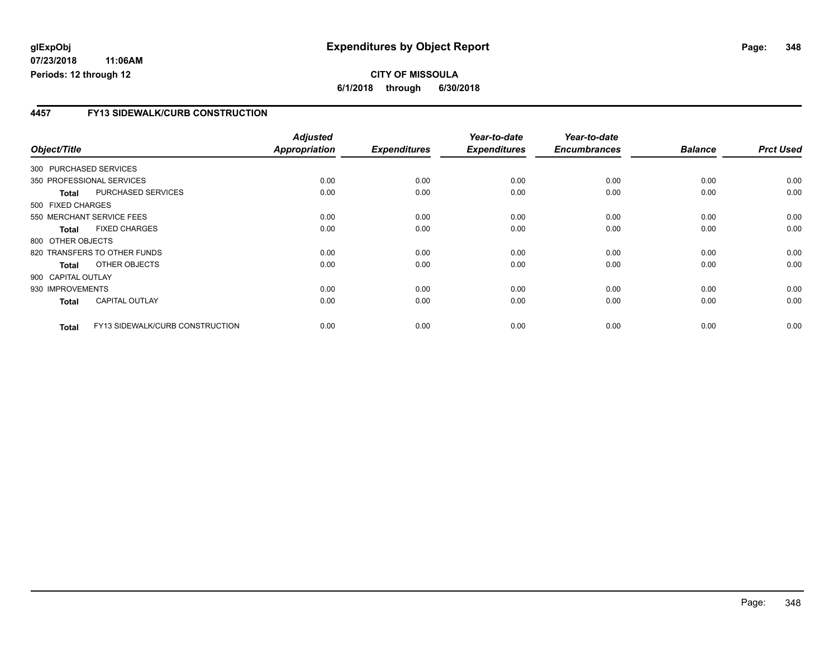### **CITY OF MISSOULA 6/1/2018 through 6/30/2018**

### **4457 FY13 SIDEWALK/CURB CONSTRUCTION**

|                    |                                 | <b>Adjusted</b> |                     | Year-to-date        | Year-to-date        |                |                  |
|--------------------|---------------------------------|-----------------|---------------------|---------------------|---------------------|----------------|------------------|
| Object/Title       |                                 | Appropriation   | <b>Expenditures</b> | <b>Expenditures</b> | <b>Encumbrances</b> | <b>Balance</b> | <b>Prct Used</b> |
|                    | 300 PURCHASED SERVICES          |                 |                     |                     |                     |                |                  |
|                    | 350 PROFESSIONAL SERVICES       | 0.00            | 0.00                | 0.00                | 0.00                | 0.00           | 0.00             |
| <b>Total</b>       | PURCHASED SERVICES              | 0.00            | 0.00                | 0.00                | 0.00                | 0.00           | 0.00             |
| 500 FIXED CHARGES  |                                 |                 |                     |                     |                     |                |                  |
|                    | 550 MERCHANT SERVICE FEES       | 0.00            | 0.00                | 0.00                | 0.00                | 0.00           | 0.00             |
| <b>Total</b>       | <b>FIXED CHARGES</b>            | 0.00            | 0.00                | 0.00                | 0.00                | 0.00           | 0.00             |
| 800 OTHER OBJECTS  |                                 |                 |                     |                     |                     |                |                  |
|                    | 820 TRANSFERS TO OTHER FUNDS    | 0.00            | 0.00                | 0.00                | 0.00                | 0.00           | 0.00             |
| Total              | OTHER OBJECTS                   | 0.00            | 0.00                | 0.00                | 0.00                | 0.00           | 0.00             |
| 900 CAPITAL OUTLAY |                                 |                 |                     |                     |                     |                |                  |
| 930 IMPROVEMENTS   |                                 | 0.00            | 0.00                | 0.00                | 0.00                | 0.00           | 0.00             |
| <b>Total</b>       | <b>CAPITAL OUTLAY</b>           | 0.00            | 0.00                | 0.00                | 0.00                | 0.00           | 0.00             |
| <b>Total</b>       | FY13 SIDEWALK/CURB CONSTRUCTION | 0.00            | 0.00                | 0.00                | 0.00                | 0.00           | 0.00             |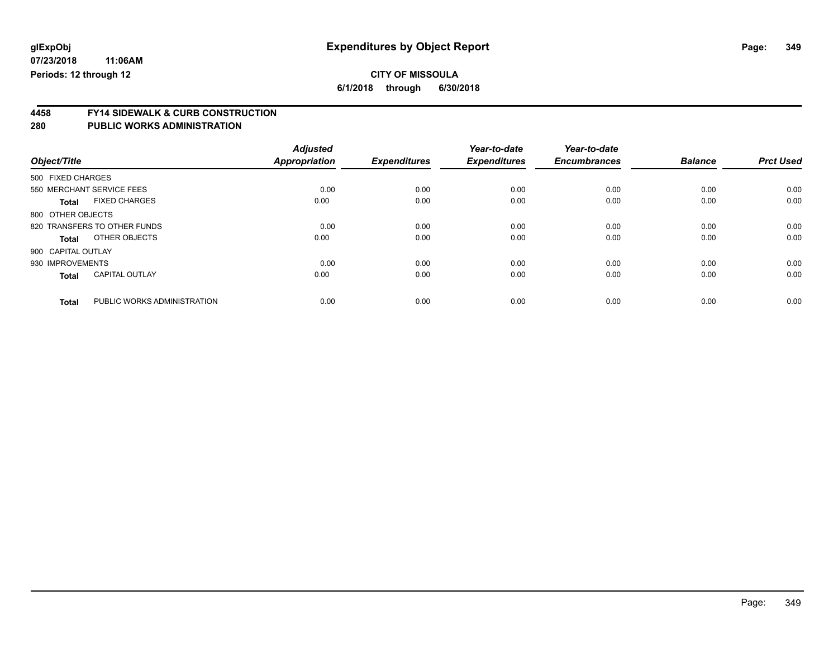### **CITY OF MISSOULA 6/1/2018 through 6/30/2018**

# **4458 FY14 SIDEWALK & CURB CONSTRUCTION**

| Object/Title       |                              | <b>Adjusted</b><br><b>Appropriation</b> | <b>Expenditures</b> | Year-to-date<br><b>Expenditures</b> | Year-to-date<br><b>Encumbrances</b> | <b>Balance</b> | <b>Prct Used</b> |
|--------------------|------------------------------|-----------------------------------------|---------------------|-------------------------------------|-------------------------------------|----------------|------------------|
| 500 FIXED CHARGES  |                              |                                         |                     |                                     |                                     |                |                  |
|                    | 550 MERCHANT SERVICE FEES    | 0.00                                    | 0.00                | 0.00                                | 0.00                                | 0.00           | 0.00             |
| <b>Total</b>       | <b>FIXED CHARGES</b>         | 0.00                                    | 0.00                | 0.00                                | 0.00                                | 0.00           | 0.00             |
| 800 OTHER OBJECTS  |                              |                                         |                     |                                     |                                     |                |                  |
|                    | 820 TRANSFERS TO OTHER FUNDS | 0.00                                    | 0.00                | 0.00                                | 0.00                                | 0.00           | 0.00             |
| Total              | OTHER OBJECTS                | 0.00                                    | 0.00                | 0.00                                | 0.00                                | 0.00           | 0.00             |
| 900 CAPITAL OUTLAY |                              |                                         |                     |                                     |                                     |                |                  |
| 930 IMPROVEMENTS   |                              | 0.00                                    | 0.00                | 0.00                                | 0.00                                | 0.00           | 0.00             |
| <b>Total</b>       | <b>CAPITAL OUTLAY</b>        | 0.00                                    | 0.00                | 0.00                                | 0.00                                | 0.00           | 0.00             |
| <b>Total</b>       | PUBLIC WORKS ADMINISTRATION  | 0.00                                    | 0.00                | 0.00                                | 0.00                                | 0.00           | 0.00             |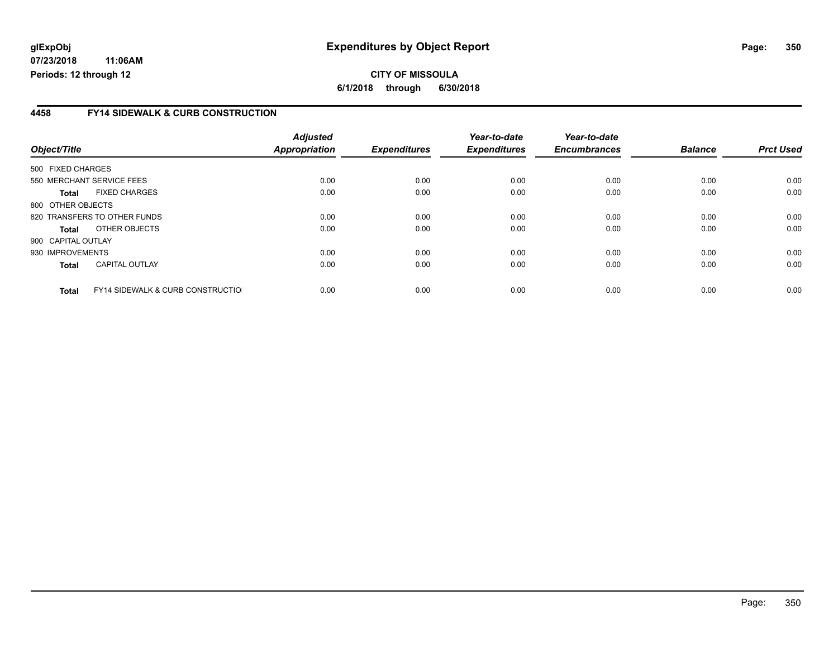**CITY OF MISSOULA 6/1/2018 through 6/30/2018**

### **4458 FY14 SIDEWALK & CURB CONSTRUCTION**

|                    |                                              | <b>Adjusted</b> |                     | Year-to-date        | Year-to-date        |                |                  |
|--------------------|----------------------------------------------|-----------------|---------------------|---------------------|---------------------|----------------|------------------|
| Object/Title       |                                              | Appropriation   | <b>Expenditures</b> | <b>Expenditures</b> | <b>Encumbrances</b> | <b>Balance</b> | <b>Prct Used</b> |
| 500 FIXED CHARGES  |                                              |                 |                     |                     |                     |                |                  |
|                    | 550 MERCHANT SERVICE FEES                    | 0.00            | 0.00                | 0.00                | 0.00                | 0.00           | 0.00             |
| <b>Total</b>       | <b>FIXED CHARGES</b>                         | 0.00            | 0.00                | 0.00                | 0.00                | 0.00           | 0.00             |
| 800 OTHER OBJECTS  |                                              |                 |                     |                     |                     |                |                  |
|                    | 820 TRANSFERS TO OTHER FUNDS                 | 0.00            | 0.00                | 0.00                | 0.00                | 0.00           | 0.00             |
| Total              | OTHER OBJECTS                                | 0.00            | 0.00                | 0.00                | 0.00                | 0.00           | 0.00             |
| 900 CAPITAL OUTLAY |                                              |                 |                     |                     |                     |                |                  |
| 930 IMPROVEMENTS   |                                              | 0.00            | 0.00                | 0.00                | 0.00                | 0.00           | 0.00             |
| <b>Total</b>       | <b>CAPITAL OUTLAY</b>                        | 0.00            | 0.00                | 0.00                | 0.00                | 0.00           | 0.00             |
| <b>Total</b>       | <b>FY14 SIDEWALK &amp; CURB CONSTRUCTIOL</b> | 0.00            | 0.00                | 0.00                | 0.00                | 0.00           | 0.00             |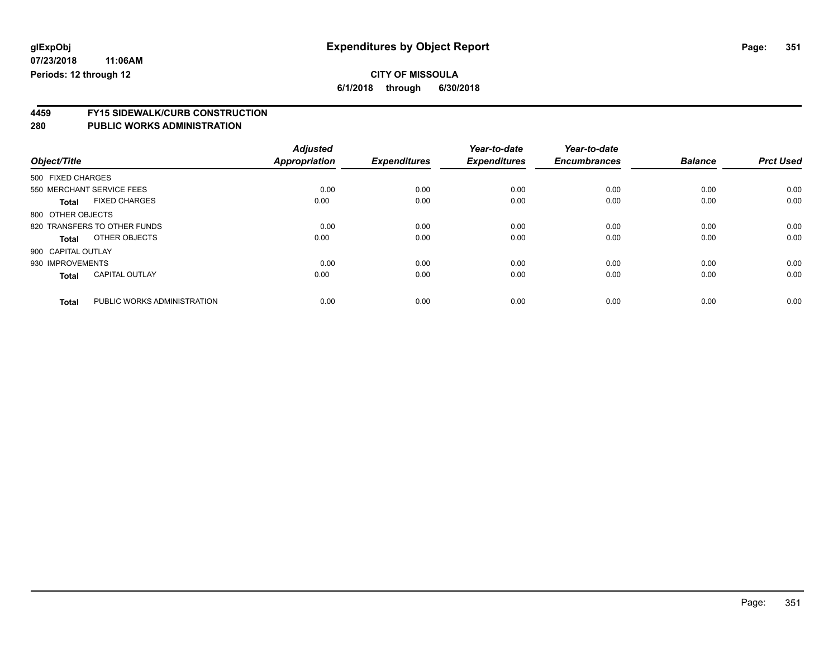# **4459 FY15 SIDEWALK/CURB CONSTRUCTION**

#### **280 PUBLIC WORKS ADMINISTRATION**

| Object/Title       |                              | <b>Adjusted</b><br>Appropriation | <b>Expenditures</b> | Year-to-date<br><b>Expenditures</b> | Year-to-date<br><b>Encumbrances</b> | <b>Balance</b> | <b>Prct Used</b> |
|--------------------|------------------------------|----------------------------------|---------------------|-------------------------------------|-------------------------------------|----------------|------------------|
| 500 FIXED CHARGES  |                              |                                  |                     |                                     |                                     |                |                  |
|                    | 550 MERCHANT SERVICE FEES    | 0.00                             | 0.00                | 0.00                                | 0.00                                | 0.00           | 0.00             |
| <b>Total</b>       | <b>FIXED CHARGES</b>         | 0.00                             | 0.00                | 0.00                                | 0.00                                | 0.00           | 0.00             |
| 800 OTHER OBJECTS  |                              |                                  |                     |                                     |                                     |                |                  |
|                    | 820 TRANSFERS TO OTHER FUNDS | 0.00                             | 0.00                | 0.00                                | 0.00                                | 0.00           | 0.00             |
| Total              | OTHER OBJECTS                | 0.00                             | 0.00                | 0.00                                | 0.00                                | 0.00           | 0.00             |
| 900 CAPITAL OUTLAY |                              |                                  |                     |                                     |                                     |                |                  |
| 930 IMPROVEMENTS   |                              | 0.00                             | 0.00                | 0.00                                | 0.00                                | 0.00           | 0.00             |
| <b>Total</b>       | <b>CAPITAL OUTLAY</b>        | 0.00                             | 0.00                | 0.00                                | 0.00                                | 0.00           | 0.00             |
| <b>Total</b>       | PUBLIC WORKS ADMINISTRATION  | 0.00                             | 0.00                | 0.00                                | 0.00                                | 0.00           | 0.00             |

Page: 351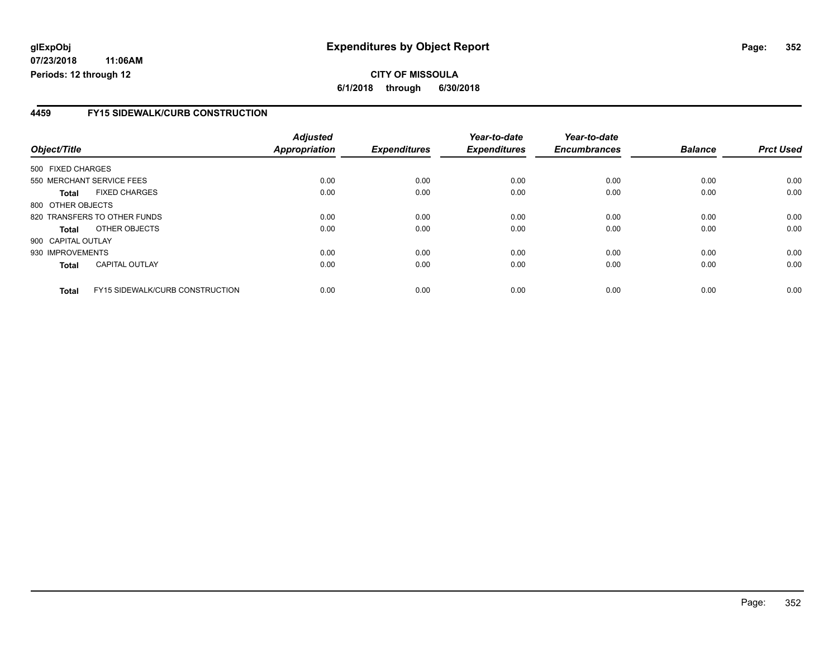**CITY OF MISSOULA 6/1/2018 through 6/30/2018**

### **4459 FY15 SIDEWALK/CURB CONSTRUCTION**

|                    |                                        | <b>Adjusted</b> |                     | Year-to-date        | Year-to-date        |                |                  |
|--------------------|----------------------------------------|-----------------|---------------------|---------------------|---------------------|----------------|------------------|
| Object/Title       |                                        | Appropriation   | <b>Expenditures</b> | <b>Expenditures</b> | <b>Encumbrances</b> | <b>Balance</b> | <b>Prct Used</b> |
| 500 FIXED CHARGES  |                                        |                 |                     |                     |                     |                |                  |
|                    | 550 MERCHANT SERVICE FEES              | 0.00            | 0.00                | 0.00                | 0.00                | 0.00           | 0.00             |
| <b>Total</b>       | <b>FIXED CHARGES</b>                   | 0.00            | 0.00                | 0.00                | 0.00                | 0.00           | 0.00             |
| 800 OTHER OBJECTS  |                                        |                 |                     |                     |                     |                |                  |
|                    | 820 TRANSFERS TO OTHER FUNDS           | 0.00            | 0.00                | 0.00                | 0.00                | 0.00           | 0.00             |
| Total              | OTHER OBJECTS                          | 0.00            | 0.00                | 0.00                | 0.00                | 0.00           | 0.00             |
| 900 CAPITAL OUTLAY |                                        |                 |                     |                     |                     |                |                  |
| 930 IMPROVEMENTS   |                                        | 0.00            | 0.00                | 0.00                | 0.00                | 0.00           | 0.00             |
| <b>Total</b>       | <b>CAPITAL OUTLAY</b>                  | 0.00            | 0.00                | 0.00                | 0.00                | 0.00           | 0.00             |
| <b>Total</b>       | <b>FY15 SIDEWALK/CURB CONSTRUCTION</b> | 0.00            | 0.00                | 0.00                | 0.00                | 0.00           | 0.00             |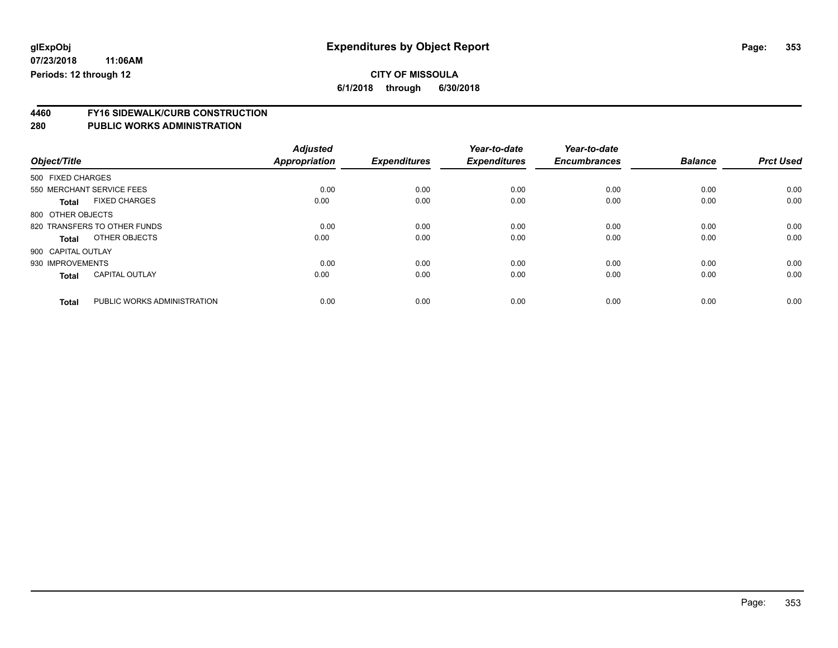# **4460 FY16 SIDEWALK/CURB CONSTRUCTION**

| Object/Title       |                              | <b>Adjusted</b><br><b>Appropriation</b> | <b>Expenditures</b> | Year-to-date<br><b>Expenditures</b> | Year-to-date<br><b>Encumbrances</b> | <b>Balance</b> | <b>Prct Used</b> |
|--------------------|------------------------------|-----------------------------------------|---------------------|-------------------------------------|-------------------------------------|----------------|------------------|
| 500 FIXED CHARGES  |                              |                                         |                     |                                     |                                     |                |                  |
|                    | 550 MERCHANT SERVICE FEES    | 0.00                                    | 0.00                | 0.00                                | 0.00                                | 0.00           | 0.00             |
| <b>Total</b>       | <b>FIXED CHARGES</b>         | 0.00                                    | 0.00                | 0.00                                | 0.00                                | 0.00           | 0.00             |
| 800 OTHER OBJECTS  |                              |                                         |                     |                                     |                                     |                |                  |
|                    | 820 TRANSFERS TO OTHER FUNDS | 0.00                                    | 0.00                | 0.00                                | 0.00                                | 0.00           | 0.00             |
| <b>Total</b>       | OTHER OBJECTS                | 0.00                                    | 0.00                | 0.00                                | 0.00                                | 0.00           | 0.00             |
| 900 CAPITAL OUTLAY |                              |                                         |                     |                                     |                                     |                |                  |
| 930 IMPROVEMENTS   |                              | 0.00                                    | 0.00                | 0.00                                | 0.00                                | 0.00           | 0.00             |
| <b>Total</b>       | <b>CAPITAL OUTLAY</b>        | 0.00                                    | 0.00                | 0.00                                | 0.00                                | 0.00           | 0.00             |
| <b>Total</b>       | PUBLIC WORKS ADMINISTRATION  | 0.00                                    | 0.00                | 0.00                                | 0.00                                | 0.00           | 0.00             |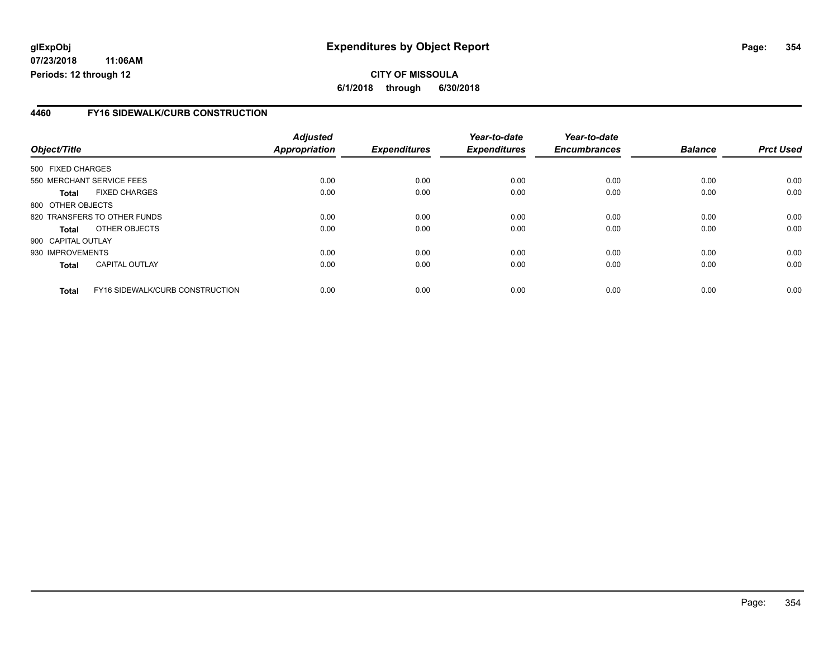**CITY OF MISSOULA 6/1/2018 through 6/30/2018**

### **4460 FY16 SIDEWALK/CURB CONSTRUCTION**

|                    |                                 | <b>Adjusted</b> |                     | Year-to-date        | Year-to-date        |                |                  |
|--------------------|---------------------------------|-----------------|---------------------|---------------------|---------------------|----------------|------------------|
| Object/Title       |                                 | Appropriation   | <b>Expenditures</b> | <b>Expenditures</b> | <b>Encumbrances</b> | <b>Balance</b> | <b>Prct Used</b> |
| 500 FIXED CHARGES  |                                 |                 |                     |                     |                     |                |                  |
|                    | 550 MERCHANT SERVICE FEES       | 0.00            | 0.00                | 0.00                | 0.00                | 0.00           | 0.00             |
| <b>Total</b>       | <b>FIXED CHARGES</b>            | 0.00            | 0.00                | 0.00                | 0.00                | 0.00           | 0.00             |
| 800 OTHER OBJECTS  |                                 |                 |                     |                     |                     |                |                  |
|                    | 820 TRANSFERS TO OTHER FUNDS    | 0.00            | 0.00                | 0.00                | 0.00                | 0.00           | 0.00             |
| Total              | OTHER OBJECTS                   | 0.00            | 0.00                | 0.00                | 0.00                | 0.00           | 0.00             |
| 900 CAPITAL OUTLAY |                                 |                 |                     |                     |                     |                |                  |
| 930 IMPROVEMENTS   |                                 | 0.00            | 0.00                | 0.00                | 0.00                | 0.00           | 0.00             |
| <b>Total</b>       | <b>CAPITAL OUTLAY</b>           | 0.00            | 0.00                | 0.00                | 0.00                | 0.00           | 0.00             |
| <b>Total</b>       | FY16 SIDEWALK/CURB CONSTRUCTION | 0.00            | 0.00                | 0.00                | 0.00                | 0.00           | 0.00             |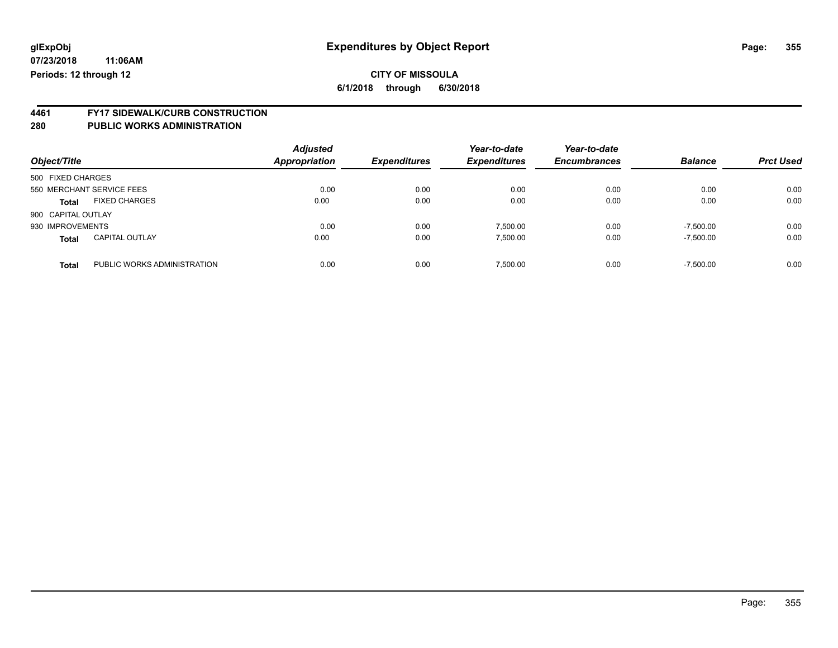### **CITY OF MISSOULA 6/1/2018 through 6/30/2018**

# **4461 FY17 SIDEWALK/CURB CONSTRUCTION**

| Object/Title       |                             | <b>Adjusted</b><br><b>Appropriation</b> | <b>Expenditures</b> | Year-to-date<br><b>Expenditures</b> | Year-to-date<br><b>Encumbrances</b> | <b>Balance</b> | <b>Prct Used</b> |
|--------------------|-----------------------------|-----------------------------------------|---------------------|-------------------------------------|-------------------------------------|----------------|------------------|
| 500 FIXED CHARGES  |                             |                                         |                     |                                     |                                     |                |                  |
|                    | 550 MERCHANT SERVICE FEES   | 0.00                                    | 0.00                | 0.00                                | 0.00                                | 0.00           | 0.00             |
| <b>Total</b>       | <b>FIXED CHARGES</b>        | 0.00                                    | 0.00                | 0.00                                | 0.00                                | 0.00           | 0.00             |
| 900 CAPITAL OUTLAY |                             |                                         |                     |                                     |                                     |                |                  |
| 930 IMPROVEMENTS   |                             | 0.00                                    | 0.00                | 7.500.00                            | 0.00                                | $-7.500.00$    | 0.00             |
| <b>Total</b>       | <b>CAPITAL OUTLAY</b>       | 0.00                                    | 0.00                | 7,500.00                            | 0.00                                | $-7,500.00$    | 0.00             |
| <b>Total</b>       | PUBLIC WORKS ADMINISTRATION | 0.00                                    | 0.00                | 7.500.00                            | 0.00                                | $-7.500.00$    | 0.00             |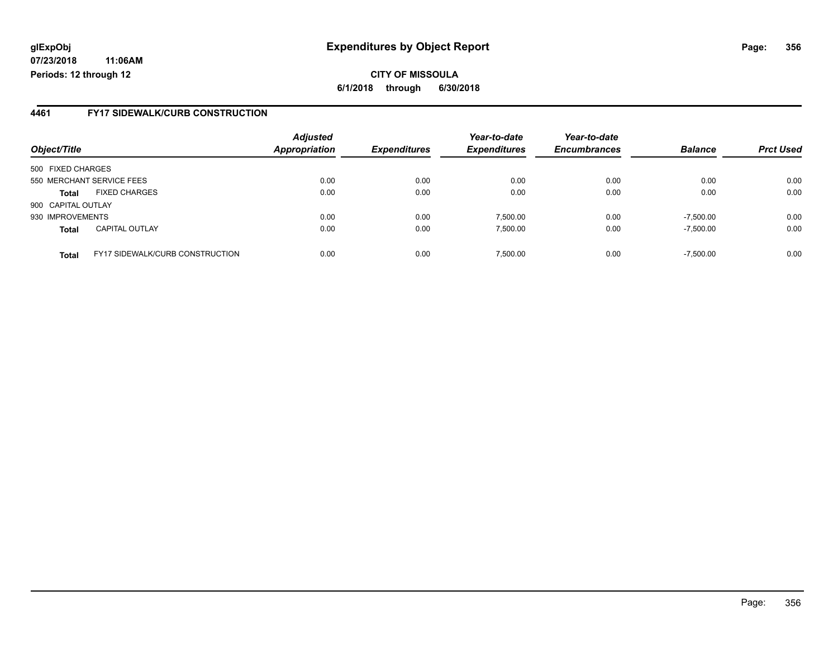**CITY OF MISSOULA 6/1/2018 through 6/30/2018**

### **4461 FY17 SIDEWALK/CURB CONSTRUCTION**

|                    |                                        | <b>Adjusted</b>      |                     | Year-to-date        | Year-to-date        |                |                  |
|--------------------|----------------------------------------|----------------------|---------------------|---------------------|---------------------|----------------|------------------|
| Object/Title       |                                        | <b>Appropriation</b> | <b>Expenditures</b> | <b>Expenditures</b> | <b>Encumbrances</b> | <b>Balance</b> | <b>Prct Used</b> |
| 500 FIXED CHARGES  |                                        |                      |                     |                     |                     |                |                  |
|                    | 550 MERCHANT SERVICE FEES              | 0.00                 | 0.00                | 0.00                | 0.00                | 0.00           | 0.00             |
| <b>Total</b>       | <b>FIXED CHARGES</b>                   | 0.00                 | 0.00                | 0.00                | 0.00                | 0.00           | 0.00             |
| 900 CAPITAL OUTLAY |                                        |                      |                     |                     |                     |                |                  |
| 930 IMPROVEMENTS   |                                        | 0.00                 | 0.00                | 7,500.00            | 0.00                | $-7,500.00$    | 0.00             |
| <b>Total</b>       | <b>CAPITAL OUTLAY</b>                  | 0.00                 | 0.00                | 7.500.00            | 0.00                | $-7,500.00$    | 0.00             |
| <b>Total</b>       | <b>FY17 SIDEWALK/CURB CONSTRUCTION</b> | 0.00                 | 0.00                | 7,500.00            | 0.00                | $-7,500.00$    | 0.00             |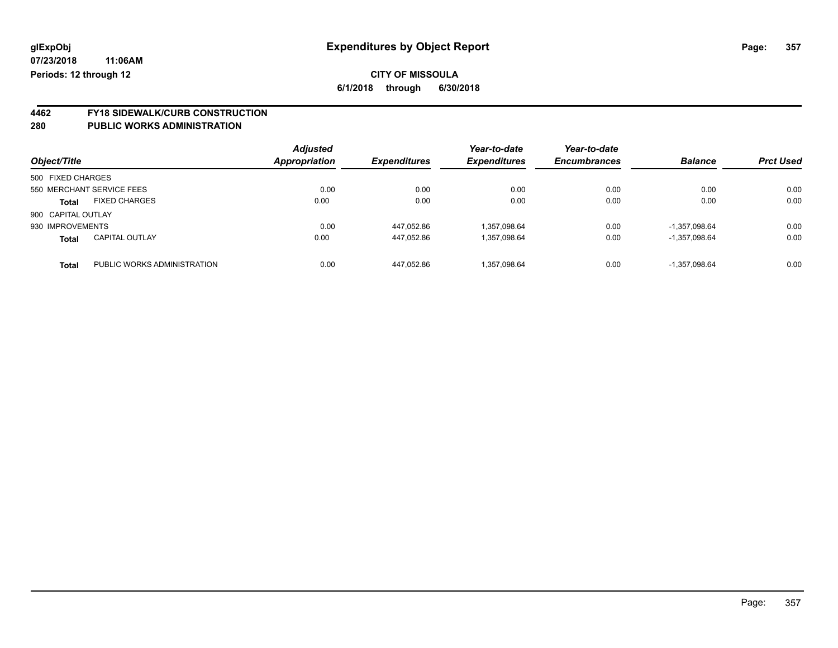### **CITY OF MISSOULA 6/1/2018 through 6/30/2018**

# **4462 FY18 SIDEWALK/CURB CONSTRUCTION**

| Object/Title       |                             | <b>Adjusted</b><br><b>Appropriation</b> | <b>Expenditures</b> | Year-to-date<br><b>Expenditures</b> | Year-to-date<br><b>Encumbrances</b> | <b>Balance</b>  | <b>Prct Used</b> |
|--------------------|-----------------------------|-----------------------------------------|---------------------|-------------------------------------|-------------------------------------|-----------------|------------------|
| 500 FIXED CHARGES  |                             |                                         |                     |                                     |                                     |                 |                  |
|                    | 550 MERCHANT SERVICE FEES   | 0.00                                    | 0.00                | 0.00                                | 0.00                                | 0.00            | 0.00             |
| <b>Total</b>       | <b>FIXED CHARGES</b>        | 0.00                                    | 0.00                | 0.00                                | 0.00                                | 0.00            | 0.00             |
| 900 CAPITAL OUTLAY |                             |                                         |                     |                                     |                                     |                 |                  |
| 930 IMPROVEMENTS   |                             | 0.00                                    | 447.052.86          | 1,357,098.64                        | 0.00                                | $-1.357.098.64$ | 0.00             |
| <b>Total</b>       | <b>CAPITAL OUTLAY</b>       | 0.00                                    | 447.052.86          | 1,357,098.64                        | 0.00                                | $-1,357,098.64$ | 0.00             |
| <b>Total</b>       | PUBLIC WORKS ADMINISTRATION | 0.00                                    | 447.052.86          | 1.357.098.64                        | 0.00                                | $-1.357.098.64$ | 0.00             |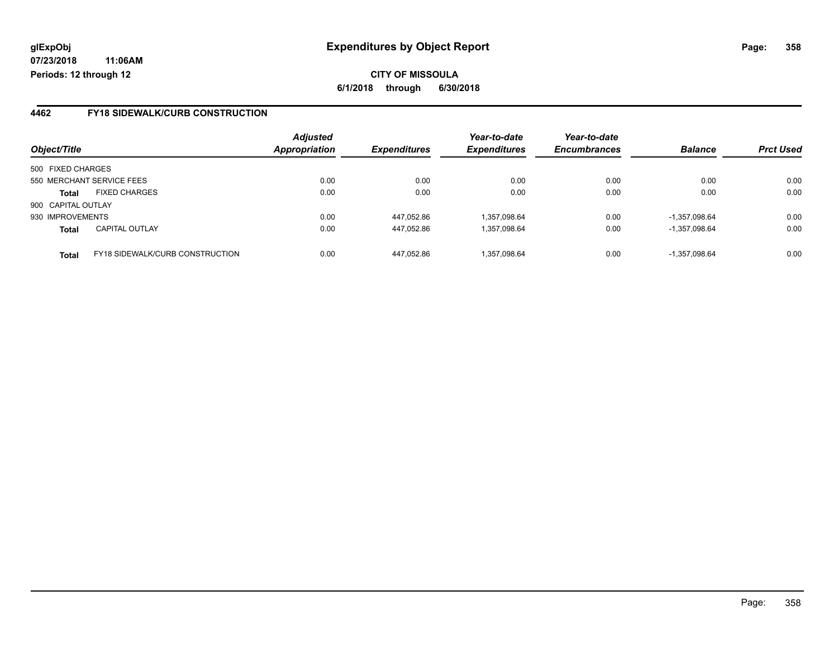**CITY OF MISSOULA 6/1/2018 through 6/30/2018**

### **4462 FY18 SIDEWALK/CURB CONSTRUCTION**

|                    |                                        | <b>Adjusted</b>      |                     | Year-to-date        | Year-to-date        |                 |                  |
|--------------------|----------------------------------------|----------------------|---------------------|---------------------|---------------------|-----------------|------------------|
| Object/Title       |                                        | <b>Appropriation</b> | <b>Expenditures</b> | <b>Expenditures</b> | <b>Encumbrances</b> | <b>Balance</b>  | <b>Prct Used</b> |
| 500 FIXED CHARGES  |                                        |                      |                     |                     |                     |                 |                  |
|                    | 550 MERCHANT SERVICE FEES              | 0.00                 | 0.00                | 0.00                | 0.00                | 0.00            | 0.00             |
| <b>Total</b>       | <b>FIXED CHARGES</b>                   | 0.00                 | 0.00                | 0.00                | 0.00                | 0.00            | 0.00             |
| 900 CAPITAL OUTLAY |                                        |                      |                     |                     |                     |                 |                  |
| 930 IMPROVEMENTS   |                                        | 0.00                 | 447,052.86          | 1,357,098.64        | 0.00                | $-1,357,098.64$ | 0.00             |
| <b>Total</b>       | <b>CAPITAL OUTLAY</b>                  | 0.00                 | 447,052.86          | 1,357,098.64        | 0.00                | $-1,357,098.64$ | 0.00             |
| <b>Total</b>       | <b>FY18 SIDEWALK/CURB CONSTRUCTION</b> | 0.00                 | 447.052.86          | 1.357.098.64        | 0.00                | $-1.357.098.64$ | 0.00             |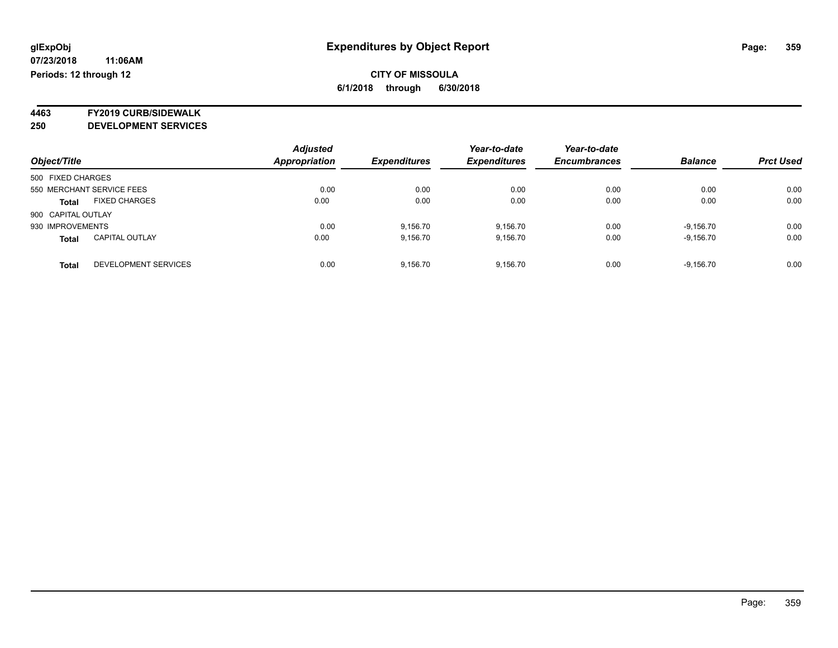### **CITY OF MISSOULA 6/1/2018 through 6/30/2018**

# **4463 FY2019 CURB/SIDEWALK**

**250 DEVELOPMENT SERVICES**

| Object/Title                          | <b>Adjusted</b><br><b>Appropriation</b> | <b>Expenditures</b> | Year-to-date<br><b>Expenditures</b> | Year-to-date<br><b>Encumbrances</b> | <b>Balance</b> | <b>Prct Used</b> |
|---------------------------------------|-----------------------------------------|---------------------|-------------------------------------|-------------------------------------|----------------|------------------|
| 500 FIXED CHARGES                     |                                         |                     |                                     |                                     |                |                  |
| 550 MERCHANT SERVICE FEES             | 0.00                                    | 0.00                | 0.00                                | 0.00                                | 0.00           | 0.00             |
| <b>FIXED CHARGES</b><br><b>Total</b>  | 0.00                                    | 0.00                | 0.00                                | 0.00                                | 0.00           | 0.00             |
| 900 CAPITAL OUTLAY                    |                                         |                     |                                     |                                     |                |                  |
| 930 IMPROVEMENTS                      | 0.00                                    | 9.156.70            | 9.156.70                            | 0.00                                | $-9,156.70$    | 0.00             |
| <b>CAPITAL OUTLAY</b><br><b>Total</b> | 0.00                                    | 9.156.70            | 9.156.70                            | 0.00                                | $-9,156.70$    | 0.00             |
| DEVELOPMENT SERVICES<br><b>Total</b>  | 0.00                                    | 9.156.70            | 9.156.70                            | 0.00                                | $-9,156.70$    | 0.00             |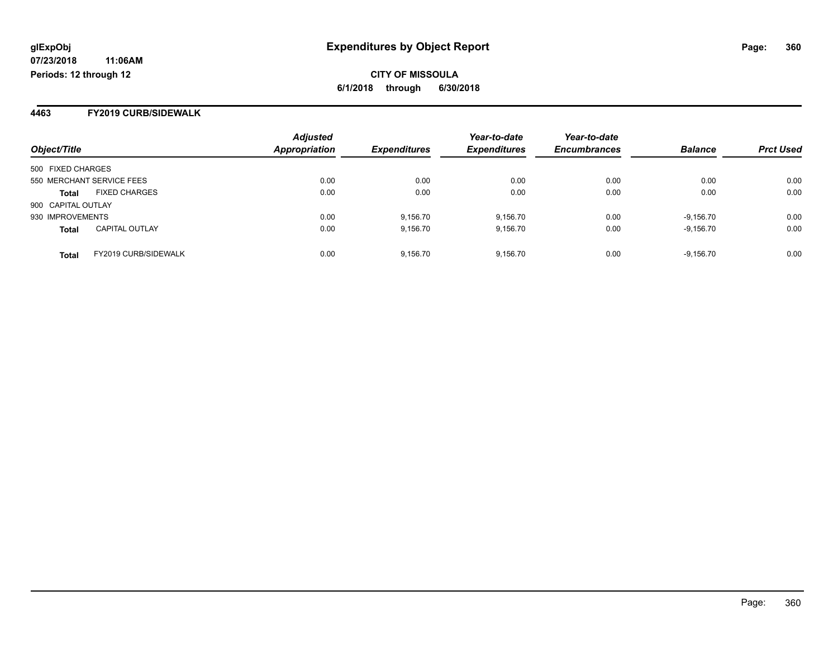**CITY OF MISSOULA 6/1/2018 through 6/30/2018**

### **4463 FY2019 CURB/SIDEWALK**

|                    |                             | <b>Adjusted</b>      |                     | Year-to-date        | Year-to-date        |                |                  |
|--------------------|-----------------------------|----------------------|---------------------|---------------------|---------------------|----------------|------------------|
| Object/Title       |                             | <b>Appropriation</b> | <b>Expenditures</b> | <b>Expenditures</b> | <b>Encumbrances</b> | <b>Balance</b> | <b>Prct Used</b> |
| 500 FIXED CHARGES  |                             |                      |                     |                     |                     |                |                  |
|                    | 550 MERCHANT SERVICE FEES   | 0.00                 | 0.00                | 0.00                | 0.00                | 0.00           | 0.00             |
| Total              | <b>FIXED CHARGES</b>        | 0.00                 | 0.00                | 0.00                | 0.00                | 0.00           | 0.00             |
| 900 CAPITAL OUTLAY |                             |                      |                     |                     |                     |                |                  |
| 930 IMPROVEMENTS   |                             | 0.00                 | 9.156.70            | 9.156.70            | 0.00                | $-9,156.70$    | 0.00             |
| <b>Total</b>       | <b>CAPITAL OUTLAY</b>       | 0.00                 | 9.156.70            | 9.156.70            | 0.00                | $-9,156.70$    | 0.00             |
| <b>Total</b>       | <b>FY2019 CURB/SIDEWALK</b> | 0.00                 | 9.156.70            | 9.156.70            | 0.00                | $-9,156.70$    | 0.00             |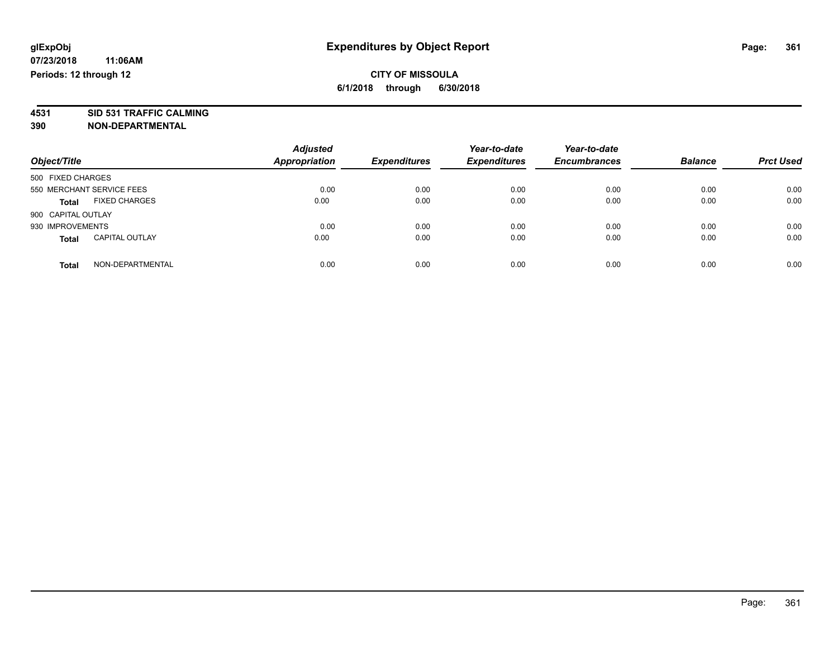**4531 SID 531 TRAFFIC CALMING 390 NON-DEPARTMENTAL**

| Object/Title                          | <b>Adjusted</b><br><b>Appropriation</b> | <b>Expenditures</b> | Year-to-date<br><b>Expenditures</b> | Year-to-date<br><b>Encumbrances</b> | <b>Balance</b> | <b>Prct Used</b> |
|---------------------------------------|-----------------------------------------|---------------------|-------------------------------------|-------------------------------------|----------------|------------------|
| 500 FIXED CHARGES                     |                                         |                     |                                     |                                     |                |                  |
| 550 MERCHANT SERVICE FEES             | 0.00                                    | 0.00                | 0.00                                | 0.00                                | 0.00           | 0.00             |
| <b>FIXED CHARGES</b><br><b>Total</b>  | 0.00                                    | 0.00                | 0.00                                | 0.00                                | 0.00           | 0.00             |
| 900 CAPITAL OUTLAY                    |                                         |                     |                                     |                                     |                |                  |
| 930 IMPROVEMENTS                      | 0.00                                    | 0.00                | 0.00                                | 0.00                                | 0.00           | 0.00             |
| <b>CAPITAL OUTLAY</b><br><b>Total</b> | 0.00                                    | 0.00                | 0.00                                | 0.00                                | 0.00           | 0.00             |
| NON-DEPARTMENTAL<br>Total             | 0.00                                    | 0.00                | 0.00                                | 0.00                                | 0.00           | 0.00             |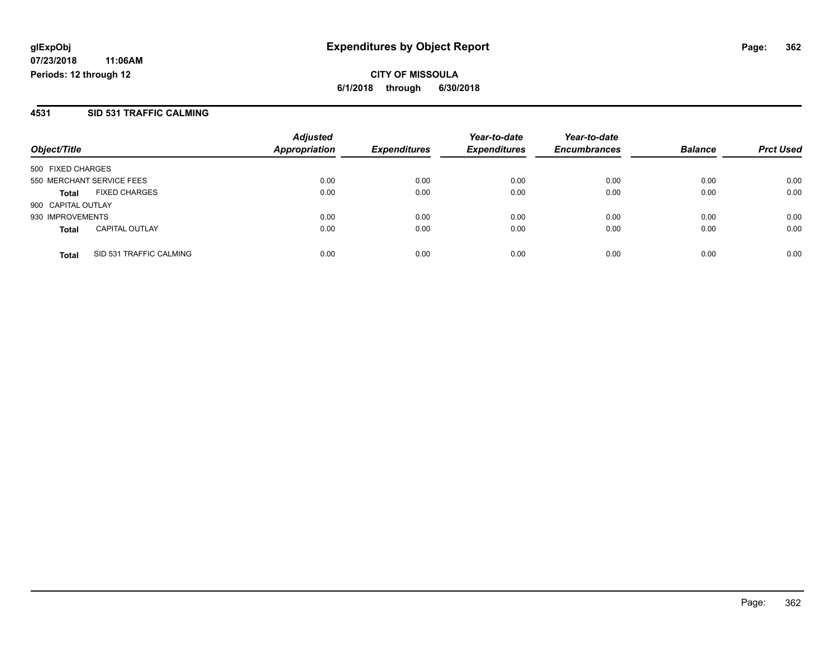#### **4531 SID 531 TRAFFIC CALMING**

|                    |                           | <b>Adjusted</b>      |                     | Year-to-date        | Year-to-date        |                |                  |
|--------------------|---------------------------|----------------------|---------------------|---------------------|---------------------|----------------|------------------|
| Object/Title       |                           | <b>Appropriation</b> | <b>Expenditures</b> | <b>Expenditures</b> | <b>Encumbrances</b> | <b>Balance</b> | <b>Prct Used</b> |
| 500 FIXED CHARGES  |                           |                      |                     |                     |                     |                |                  |
|                    | 550 MERCHANT SERVICE FEES | 0.00                 | 0.00                | 0.00                | 0.00                | 0.00           | 0.00             |
| <b>Total</b>       | <b>FIXED CHARGES</b>      | 0.00                 | 0.00                | 0.00                | 0.00                | 0.00           | 0.00             |
| 900 CAPITAL OUTLAY |                           |                      |                     |                     |                     |                |                  |
| 930 IMPROVEMENTS   |                           | 0.00                 | 0.00                | 0.00                | 0.00                | 0.00           | 0.00             |
| <b>Total</b>       | <b>CAPITAL OUTLAY</b>     | 0.00                 | 0.00                | 0.00                | 0.00                | 0.00           | 0.00             |
| <b>Total</b>       | SID 531 TRAFFIC CALMING   | 0.00                 | 0.00                | 0.00                | 0.00                | 0.00           | 0.00             |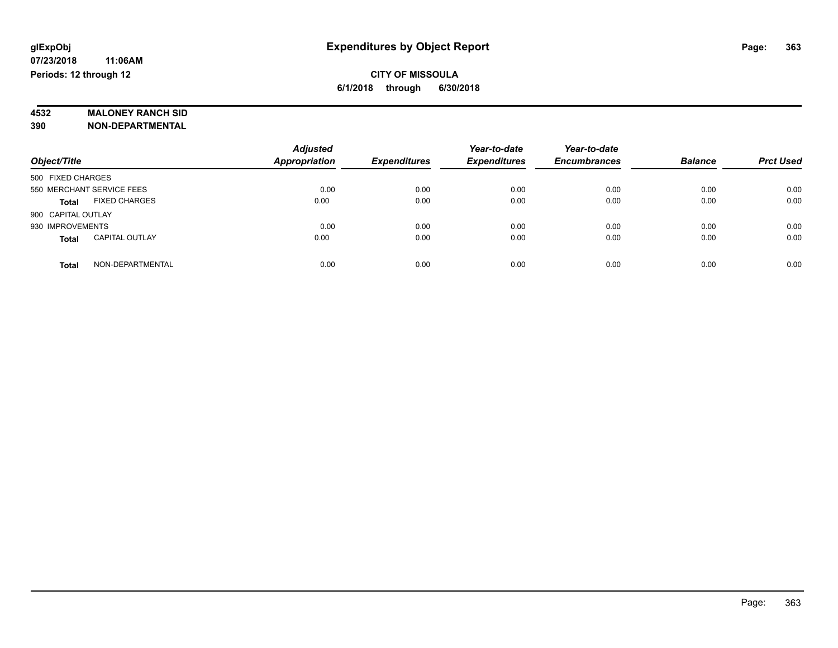# **4532 MALONEY RANCH SID**

|                                       | <b>Adjusted</b>      |                     | Year-to-date        | Year-to-date        |                |                  |
|---------------------------------------|----------------------|---------------------|---------------------|---------------------|----------------|------------------|
| Object/Title                          | <b>Appropriation</b> | <b>Expenditures</b> | <b>Expenditures</b> | <b>Encumbrances</b> | <b>Balance</b> | <b>Prct Used</b> |
| 500 FIXED CHARGES                     |                      |                     |                     |                     |                |                  |
| 550 MERCHANT SERVICE FEES             | 0.00                 | 0.00                | 0.00                | 0.00                | 0.00           | 0.00             |
| <b>FIXED CHARGES</b><br><b>Total</b>  | 0.00                 | 0.00                | 0.00                | 0.00                | 0.00           | 0.00             |
| 900 CAPITAL OUTLAY                    |                      |                     |                     |                     |                |                  |
| 930 IMPROVEMENTS                      | 0.00                 | 0.00                | 0.00                | 0.00                | 0.00           | 0.00             |
| <b>CAPITAL OUTLAY</b><br><b>Total</b> | 0.00                 | 0.00                | 0.00                | 0.00                | 0.00           | 0.00             |
| NON-DEPARTMENTAL<br><b>Total</b>      | 0.00                 | 0.00                | 0.00                | 0.00                | 0.00           | 0.00             |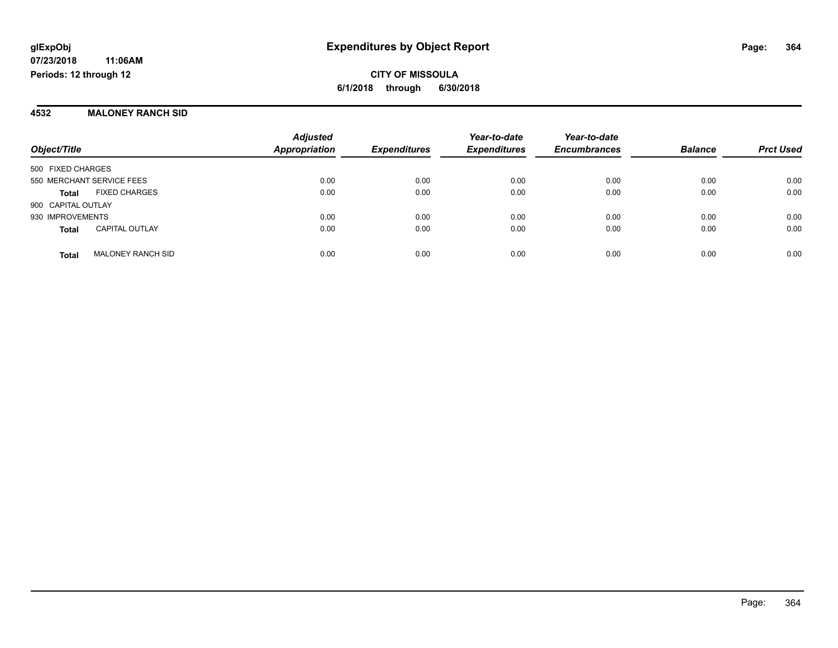#### **4532 MALONEY RANCH SID**

|                           |                          | <b>Adjusted</b><br><b>Appropriation</b> | <b>Expenditures</b> | Year-to-date<br><b>Expenditures</b> | Year-to-date<br><b>Encumbrances</b> | <b>Balance</b> | <b>Prct Used</b> |
|---------------------------|--------------------------|-----------------------------------------|---------------------|-------------------------------------|-------------------------------------|----------------|------------------|
| Object/Title              |                          |                                         |                     |                                     |                                     |                |                  |
| 500 FIXED CHARGES         |                          |                                         |                     |                                     |                                     |                |                  |
| 550 MERCHANT SERVICE FEES |                          | 0.00                                    | 0.00                | 0.00                                | 0.00                                | 0.00           | 0.00             |
| <b>Total</b>              | <b>FIXED CHARGES</b>     | 0.00                                    | 0.00                | 0.00                                | 0.00                                | 0.00           | 0.00             |
| 900 CAPITAL OUTLAY        |                          |                                         |                     |                                     |                                     |                |                  |
| 930 IMPROVEMENTS          |                          | 0.00                                    | 0.00                | 0.00                                | 0.00                                | 0.00           | 0.00             |
| <b>Total</b>              | <b>CAPITAL OUTLAY</b>    | 0.00                                    | 0.00                | 0.00                                | 0.00                                | 0.00           | 0.00             |
| <b>Total</b>              | <b>MALONEY RANCH SID</b> | 0.00                                    | 0.00                | 0.00                                | 0.00                                | 0.00           | 0.00             |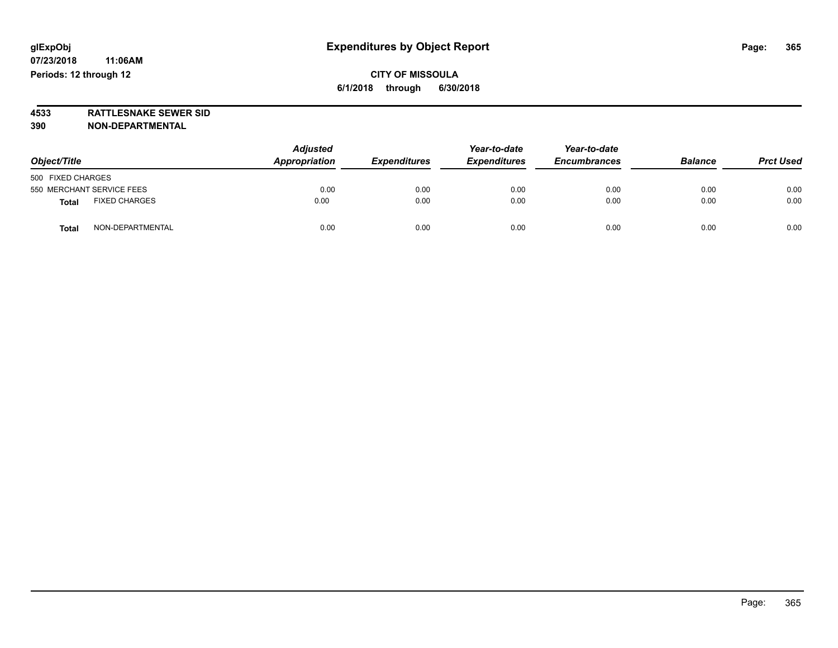**4533 RATTLESNAKE SEWER SID 390 NON-DEPARTMENTAL**

| Object/Title                  | <b>Adjusted</b><br>Appropriation | <b>Expenditures</b> | Year-to-date<br><b>Expenditures</b> | Year-to-date<br><b>Encumbrances</b> | <b>Balance</b> | <b>Prct Used</b> |
|-------------------------------|----------------------------------|---------------------|-------------------------------------|-------------------------------------|----------------|------------------|
| 500 FIXED CHARGES             |                                  |                     |                                     |                                     |                |                  |
| 550 MERCHANT SERVICE FEES     | 0.00                             | 0.00                | 0.00                                | 0.00                                | 0.00           | 0.00             |
| <b>FIXED CHARGES</b><br>Total | 0.00                             | 0.00                | 0.00                                | 0.00                                | 0.00           | 0.00             |
| NON-DEPARTMENTAL<br>Tota      | 0.00                             | 0.00                | 0.00                                | 0.00                                | 0.00           | 0.00             |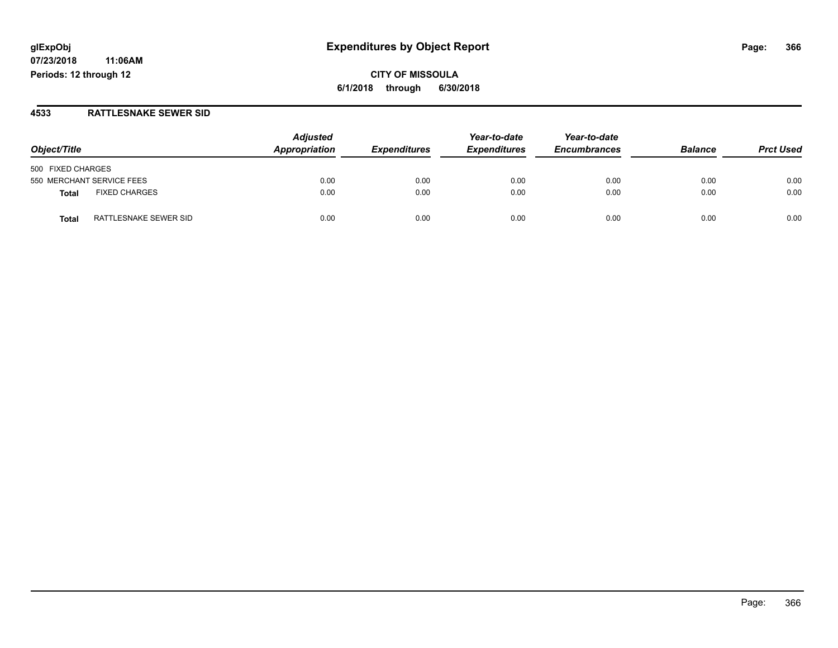### **glExpObj Expenditures by Object Report Page: 366**

**07/23/2018 11:06AM Periods: 12 through 12**

**CITY OF MISSOULA 6/1/2018 through 6/30/2018**

#### **4533 RATTLESNAKE SEWER SID**

| Object/Title                   | <b>Adjusted</b><br>Appropriation | <b>Expenditures</b> | Year-to-date<br><b>Expenditures</b> | Year-to-date<br><b>Encumbrances</b> | <b>Balance</b> | <b>Prct Used</b> |
|--------------------------------|----------------------------------|---------------------|-------------------------------------|-------------------------------------|----------------|------------------|
|                                |                                  |                     |                                     |                                     |                |                  |
| 500 FIXED CHARGES              |                                  |                     |                                     |                                     |                |                  |
| 550 MERCHANT SERVICE FEES      | 0.00                             | 0.00                | 0.00                                | 0.00                                | 0.00           | 0.00             |
| <b>FIXED CHARGES</b><br>Total  | 0.00                             | 0.00                | 0.00                                | 0.00                                | 0.00           | 0.00             |
| RATTLESNAKE SEWER SID<br>Total | 0.00                             | 0.00                | 0.00                                | 0.00                                | 0.00           | 0.00             |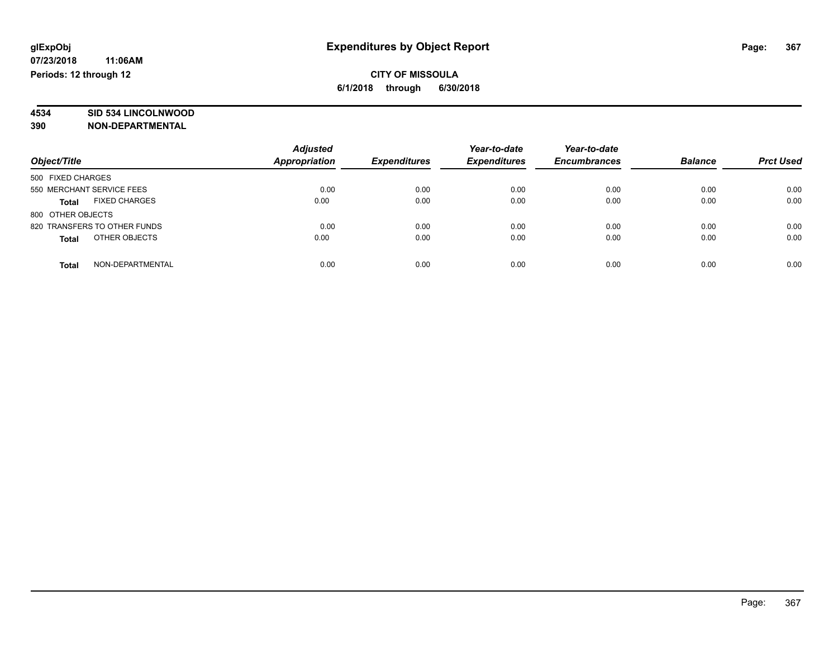# **4534 SID 534 LINCOLNWOOD**

| Object/Title                  | <b>Adjusted</b><br>Appropriation | <b>Expenditures</b> | Year-to-date<br><b>Expenditures</b> | Year-to-date<br><b>Encumbrances</b> | <b>Balance</b> | <b>Prct Used</b> |
|-------------------------------|----------------------------------|---------------------|-------------------------------------|-------------------------------------|----------------|------------------|
| 500 FIXED CHARGES             |                                  |                     |                                     |                                     |                |                  |
| 550 MERCHANT SERVICE FEES     | 0.00                             | 0.00                | 0.00                                | 0.00                                | 0.00           | 0.00             |
| <b>FIXED CHARGES</b><br>Total | 0.00                             | 0.00                | 0.00                                | 0.00                                | 0.00           | 0.00             |
| 800 OTHER OBJECTS             |                                  |                     |                                     |                                     |                |                  |
| 820 TRANSFERS TO OTHER FUNDS  | 0.00                             | 0.00                | 0.00                                | 0.00                                | 0.00           | 0.00             |
| OTHER OBJECTS<br><b>Total</b> | 0.00                             | 0.00                | 0.00                                | 0.00                                | 0.00           | 0.00             |
| NON-DEPARTMENTAL<br>Total     | 0.00                             | 0.00                | 0.00                                | 0.00                                | 0.00           | 0.00             |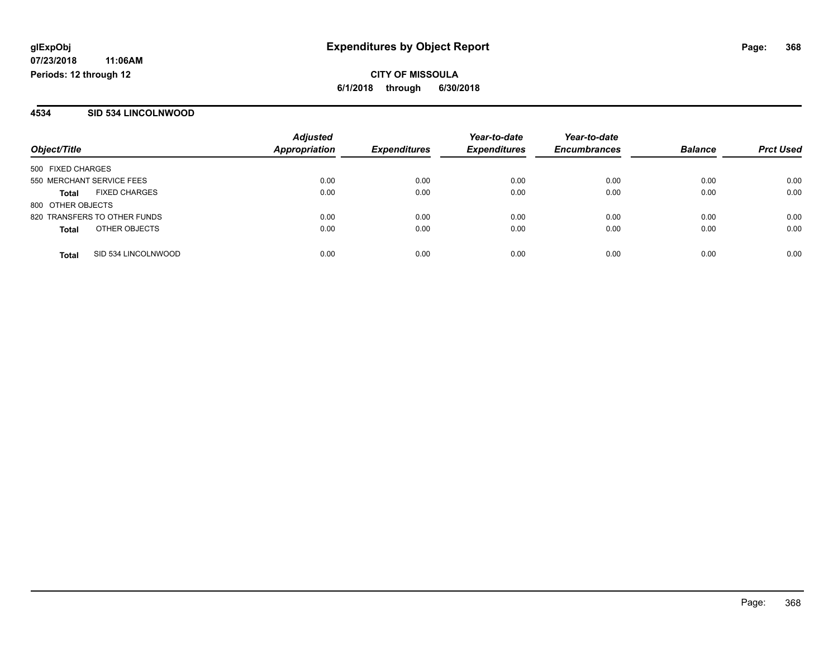#### **4534 SID 534 LINCOLNWOOD**

|                                      | <b>Adjusted</b>      |                     | Year-to-date        | Year-to-date        |                |                  |
|--------------------------------------|----------------------|---------------------|---------------------|---------------------|----------------|------------------|
| Object/Title                         | <b>Appropriation</b> | <b>Expenditures</b> | <b>Expenditures</b> | <b>Encumbrances</b> | <b>Balance</b> | <b>Prct Used</b> |
| 500 FIXED CHARGES                    |                      |                     |                     |                     |                |                  |
| 550 MERCHANT SERVICE FEES            | 0.00                 | 0.00                | 0.00                | 0.00                | 0.00           | 0.00             |
| <b>FIXED CHARGES</b><br><b>Total</b> | 0.00                 | 0.00                | 0.00                | 0.00                | 0.00           | 0.00             |
| 800 OTHER OBJECTS                    |                      |                     |                     |                     |                |                  |
| 820 TRANSFERS TO OTHER FUNDS         | 0.00                 | 0.00                | 0.00                | 0.00                | 0.00           | 0.00             |
| OTHER OBJECTS<br><b>Total</b>        | 0.00                 | 0.00                | 0.00                | 0.00                | 0.00           | 0.00             |
| SID 534 LINCOLNWOOD<br><b>Total</b>  | 0.00                 | 0.00                | 0.00                | 0.00                | 0.00           | 0.00             |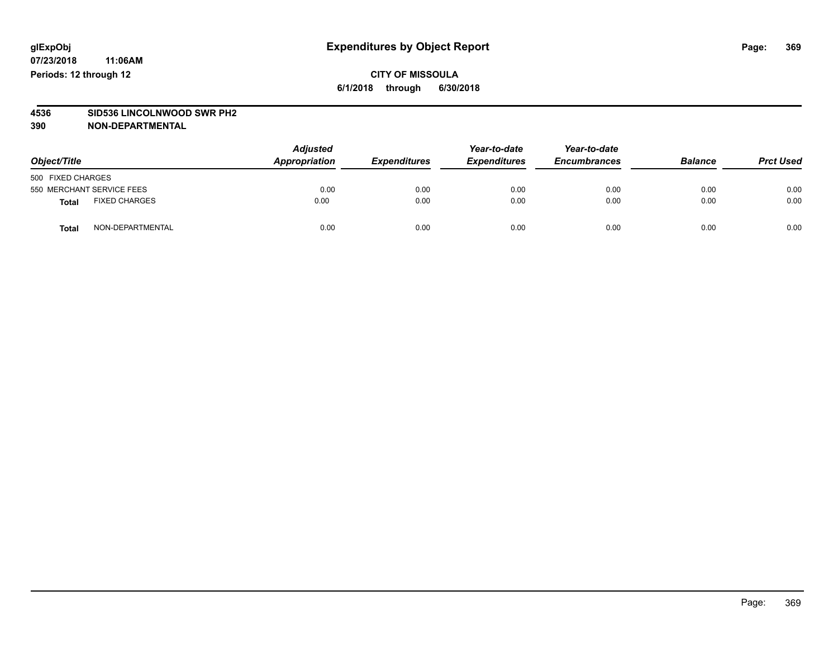# **4536 SID536 LINCOLNWOOD SWR PH2**

| Object/Title      |                           | <b>Adjusted</b><br>Appropriation | <b>Expenditures</b> | Year-to-date<br><b>Expenditures</b> | Year-to-date<br><b>Encumbrances</b> | <b>Balance</b> | <b>Prct Used</b> |
|-------------------|---------------------------|----------------------------------|---------------------|-------------------------------------|-------------------------------------|----------------|------------------|
| 500 FIXED CHARGES |                           |                                  |                     |                                     |                                     |                |                  |
|                   | 550 MERCHANT SERVICE FEES | 0.00                             | 0.00                | 0.00                                | 0.00                                | 0.00           | 0.00             |
| <b>Total</b>      | <b>FIXED CHARGES</b>      | 0.00                             | 0.00                | 0.00                                | 0.00                                | 0.00           | 0.00             |
| <b>Total</b>      | NON-DEPARTMENTAL          | 0.00                             | 0.00                | 0.00                                | 0.00                                | 0.00           | 0.00             |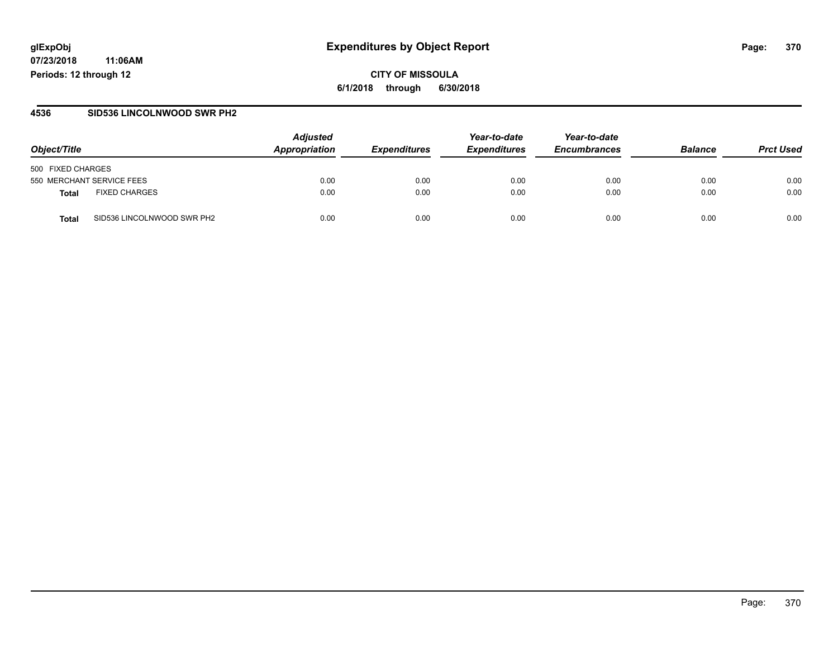**CITY OF MISSOULA 6/1/2018 through 6/30/2018**

#### **4536 SID536 LINCOLNWOOD SWR PH2**

|                                     | <b>Adjusted</b> |                     | Year-to-date        | Year-to-date        | <b>Balance</b> | <b>Prct Used</b> |
|-------------------------------------|-----------------|---------------------|---------------------|---------------------|----------------|------------------|
| Object/Title                        | Appropriation   | <b>Expenditures</b> | <b>Expenditures</b> | <b>Encumbrances</b> |                |                  |
| 500 FIXED CHARGES                   |                 |                     |                     |                     |                |                  |
| 550 MERCHANT SERVICE FEES           | 0.00            | 0.00                | 0.00                | 0.00                | 0.00           | 0.00             |
| <b>FIXED CHARGES</b><br>Total       | 0.00            | 0.00                | 0.00                | 0.00                | 0.00           | 0.00             |
| SID536 LINCOLNWOOD SWR PH2<br>Total | 0.00            | 0.00                | 0.00                | 0.00                | 0.00           | 0.00             |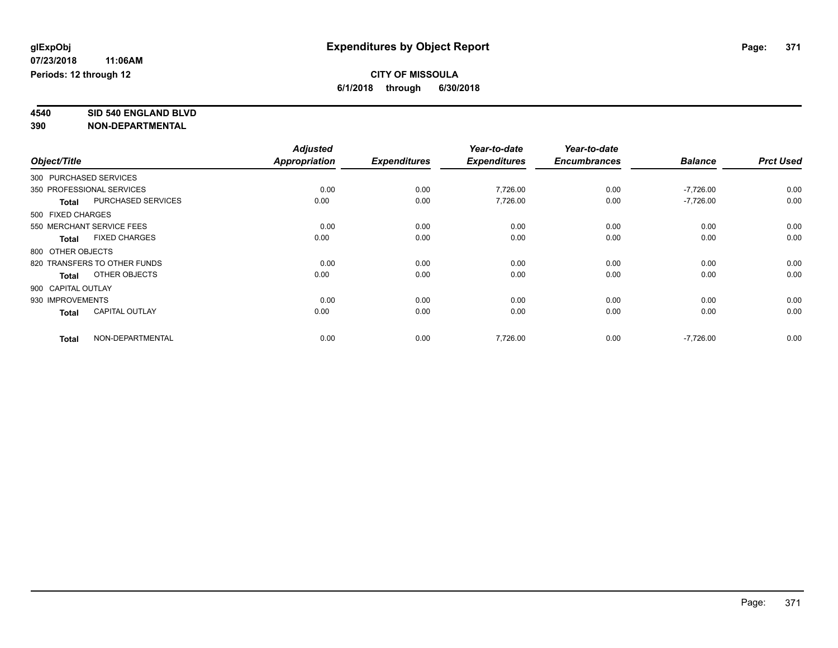**4540 SID 540 ENGLAND BLVD**

|                        |                              | <b>Adjusted</b>      |                     | Year-to-date        | Year-to-date        |                |                  |
|------------------------|------------------------------|----------------------|---------------------|---------------------|---------------------|----------------|------------------|
| Object/Title           |                              | <b>Appropriation</b> | <b>Expenditures</b> | <b>Expenditures</b> | <b>Encumbrances</b> | <b>Balance</b> | <b>Prct Used</b> |
| 300 PURCHASED SERVICES |                              |                      |                     |                     |                     |                |                  |
|                        | 350 PROFESSIONAL SERVICES    | 0.00                 | 0.00                | 7,726.00            | 0.00                | $-7,726.00$    | 0.00             |
| <b>Total</b>           | <b>PURCHASED SERVICES</b>    | 0.00                 | 0.00                | 7,726.00            | 0.00                | $-7,726.00$    | 0.00             |
| 500 FIXED CHARGES      |                              |                      |                     |                     |                     |                |                  |
|                        | 550 MERCHANT SERVICE FEES    | 0.00                 | 0.00                | 0.00                | 0.00                | 0.00           | 0.00             |
| <b>Total</b>           | <b>FIXED CHARGES</b>         | 0.00                 | 0.00                | 0.00                | 0.00                | 0.00           | 0.00             |
| 800 OTHER OBJECTS      |                              |                      |                     |                     |                     |                |                  |
|                        | 820 TRANSFERS TO OTHER FUNDS | 0.00                 | 0.00                | 0.00                | 0.00                | 0.00           | 0.00             |
| <b>Total</b>           | OTHER OBJECTS                | 0.00                 | 0.00                | 0.00                | 0.00                | 0.00           | 0.00             |
| 900 CAPITAL OUTLAY     |                              |                      |                     |                     |                     |                |                  |
| 930 IMPROVEMENTS       |                              | 0.00                 | 0.00                | 0.00                | 0.00                | 0.00           | 0.00             |
| <b>Total</b>           | <b>CAPITAL OUTLAY</b>        | 0.00                 | 0.00                | 0.00                | 0.00                | 0.00           | 0.00             |
| <b>Total</b>           | NON-DEPARTMENTAL             | 0.00                 | 0.00                | 7,726.00            | 0.00                | $-7,726.00$    | 0.00             |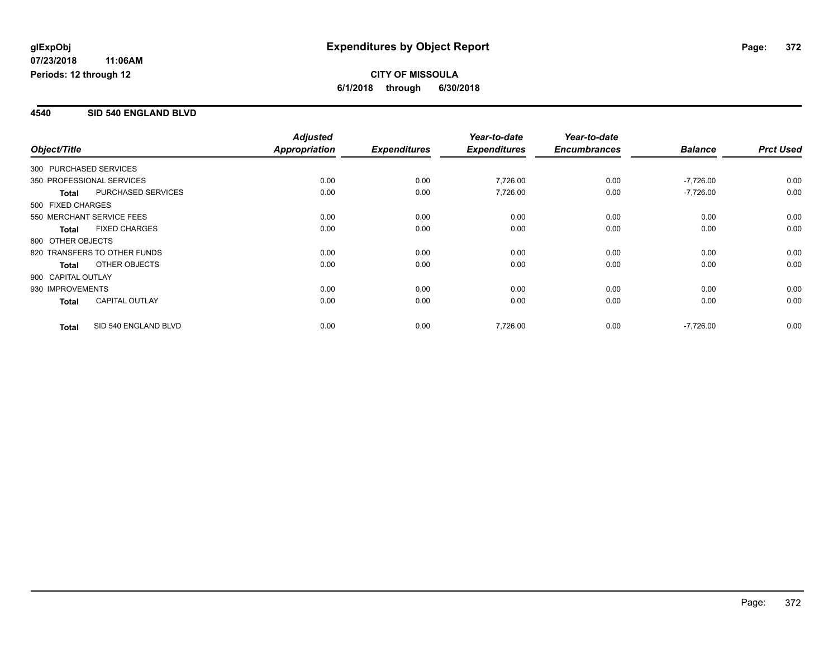#### **4540 SID 540 ENGLAND BLVD**

|                           |                              | <b>Adjusted</b>      |                     | Year-to-date        | Year-to-date        |                |                  |
|---------------------------|------------------------------|----------------------|---------------------|---------------------|---------------------|----------------|------------------|
| Object/Title              |                              | <b>Appropriation</b> | <b>Expenditures</b> | <b>Expenditures</b> | <b>Encumbrances</b> | <b>Balance</b> | <b>Prct Used</b> |
| 300 PURCHASED SERVICES    |                              |                      |                     |                     |                     |                |                  |
| 350 PROFESSIONAL SERVICES |                              | 0.00                 | 0.00                | 7,726.00            | 0.00                | $-7,726.00$    | 0.00             |
| <b>Total</b>              | PURCHASED SERVICES           | 0.00                 | 0.00                | 7,726.00            | 0.00                | $-7,726.00$    | 0.00             |
| 500 FIXED CHARGES         |                              |                      |                     |                     |                     |                |                  |
| 550 MERCHANT SERVICE FEES |                              | 0.00                 | 0.00                | 0.00                | 0.00                | 0.00           | 0.00             |
| <b>Total</b>              | <b>FIXED CHARGES</b>         | 0.00                 | 0.00                | 0.00                | 0.00                | 0.00           | 0.00             |
| 800 OTHER OBJECTS         |                              |                      |                     |                     |                     |                |                  |
|                           | 820 TRANSFERS TO OTHER FUNDS | 0.00                 | 0.00                | 0.00                | 0.00                | 0.00           | 0.00             |
| <b>Total</b>              | OTHER OBJECTS                | 0.00                 | 0.00                | 0.00                | 0.00                | 0.00           | 0.00             |
| 900 CAPITAL OUTLAY        |                              |                      |                     |                     |                     |                |                  |
| 930 IMPROVEMENTS          |                              | 0.00                 | 0.00                | 0.00                | 0.00                | 0.00           | 0.00             |
| <b>Total</b>              | <b>CAPITAL OUTLAY</b>        | 0.00                 | 0.00                | 0.00                | 0.00                | 0.00           | 0.00             |
| <b>Total</b>              | SID 540 ENGLAND BLVD         | 0.00                 | 0.00                | 7,726.00            | 0.00                | $-7,726.00$    | 0.00             |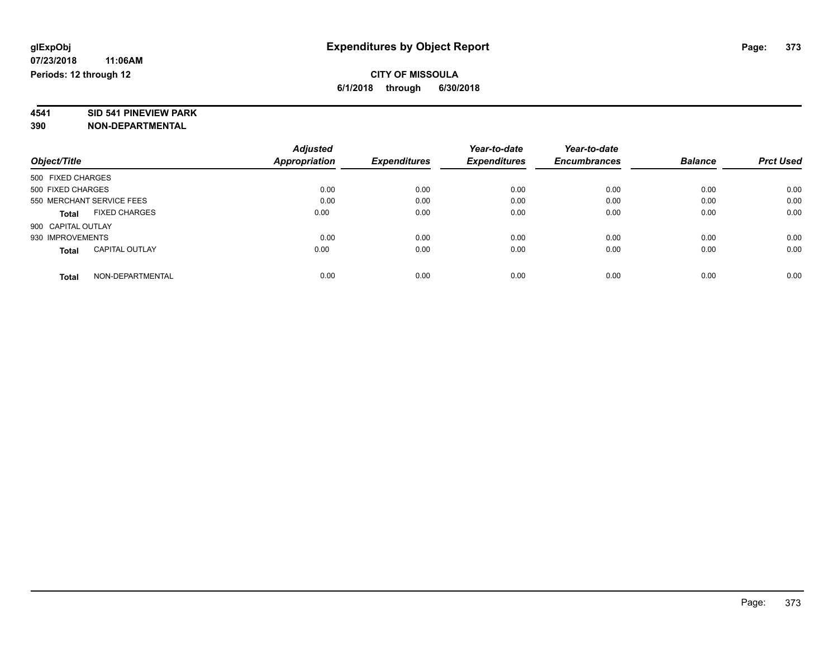# **4541 SID 541 PINEVIEW PARK**

|                                       | <b>Adjusted</b> |                     | Year-to-date        | Year-to-date        |                |                  |
|---------------------------------------|-----------------|---------------------|---------------------|---------------------|----------------|------------------|
| Object/Title                          | Appropriation   | <b>Expenditures</b> | <b>Expenditures</b> | <b>Encumbrances</b> | <b>Balance</b> | <b>Prct Used</b> |
| 500 FIXED CHARGES                     |                 |                     |                     |                     |                |                  |
| 500 FIXED CHARGES                     | 0.00            | 0.00                | 0.00                | 0.00                | 0.00           | 0.00             |
| 550 MERCHANT SERVICE FEES             | 0.00            | 0.00                | 0.00                | 0.00                | 0.00           | 0.00             |
| <b>FIXED CHARGES</b><br><b>Total</b>  | 0.00            | 0.00                | 0.00                | 0.00                | 0.00           | 0.00             |
| 900 CAPITAL OUTLAY                    |                 |                     |                     |                     |                |                  |
| 930 IMPROVEMENTS                      | 0.00            | 0.00                | 0.00                | 0.00                | 0.00           | 0.00             |
| <b>CAPITAL OUTLAY</b><br><b>Total</b> | 0.00            | 0.00                | 0.00                | 0.00                | 0.00           | 0.00             |
| NON-DEPARTMENTAL<br><b>Total</b>      | 0.00            | 0.00                | 0.00                | 0.00                | 0.00           | 0.00             |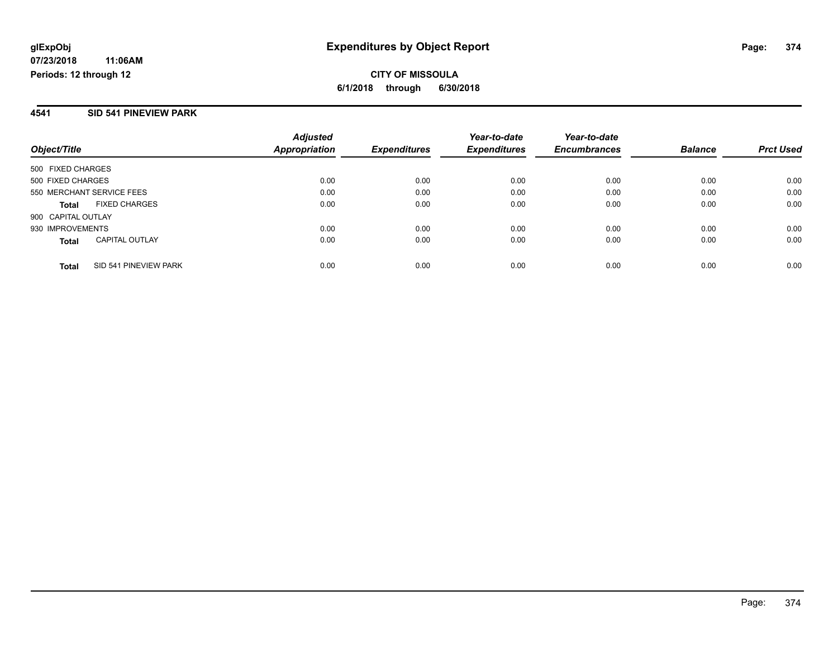#### **4541 SID 541 PINEVIEW PARK**

| Object/Title                          | <b>Adjusted</b><br><b>Appropriation</b> | <b>Expenditures</b> | Year-to-date<br><b>Expenditures</b> | Year-to-date<br><b>Encumbrances</b> | <b>Balance</b> | <b>Prct Used</b> |
|---------------------------------------|-----------------------------------------|---------------------|-------------------------------------|-------------------------------------|----------------|------------------|
| 500 FIXED CHARGES                     |                                         |                     |                                     |                                     |                |                  |
| 500 FIXED CHARGES                     | 0.00                                    | 0.00                | 0.00                                | 0.00                                | 0.00           | 0.00             |
| 550 MERCHANT SERVICE FEES             | 0.00                                    | 0.00                | 0.00                                | 0.00                                | 0.00           | 0.00             |
| <b>FIXED CHARGES</b><br><b>Total</b>  | 0.00                                    | 0.00                | 0.00                                | 0.00                                | 0.00           | 0.00             |
| 900 CAPITAL OUTLAY                    |                                         |                     |                                     |                                     |                |                  |
| 930 IMPROVEMENTS                      | 0.00                                    | 0.00                | 0.00                                | 0.00                                | 0.00           | 0.00             |
| <b>CAPITAL OUTLAY</b><br><b>Total</b> | 0.00                                    | 0.00                | 0.00                                | 0.00                                | 0.00           | 0.00             |
| SID 541 PINEVIEW PARK<br><b>Total</b> | 0.00                                    | 0.00                | 0.00                                | 0.00                                | 0.00           | 0.00             |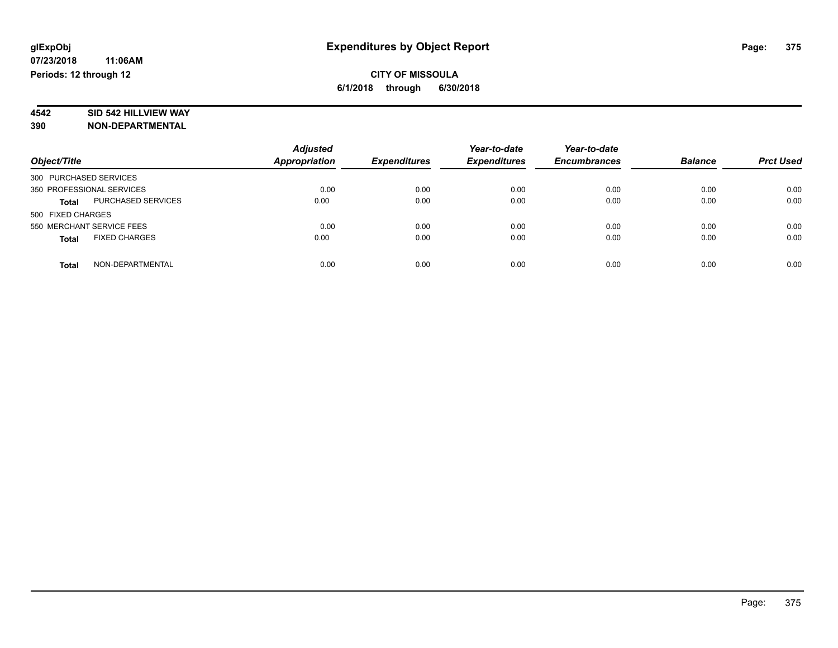# **4542 SID 542 HILLVIEW WAY**

|                                      | <b>Adjusted</b>      |                     | Year-to-date        | Year-to-date        |                |                  |
|--------------------------------------|----------------------|---------------------|---------------------|---------------------|----------------|------------------|
| Object/Title                         | <b>Appropriation</b> | <b>Expenditures</b> | <b>Expenditures</b> | <b>Encumbrances</b> | <b>Balance</b> | <b>Prct Used</b> |
| 300 PURCHASED SERVICES               |                      |                     |                     |                     |                |                  |
| 350 PROFESSIONAL SERVICES            | 0.00                 | 0.00                | 0.00                | 0.00                | 0.00           | 0.00             |
| PURCHASED SERVICES<br>Total          | 0.00                 | 0.00                | 0.00                | 0.00                | 0.00           | 0.00             |
| 500 FIXED CHARGES                    |                      |                     |                     |                     |                |                  |
| 550 MERCHANT SERVICE FEES            | 0.00                 | 0.00                | 0.00                | 0.00                | 0.00           | 0.00             |
| <b>FIXED CHARGES</b><br><b>Total</b> | 0.00                 | 0.00                | 0.00                | 0.00                | 0.00           | 0.00             |
| NON-DEPARTMENTAL<br><b>Total</b>     | 0.00                 | 0.00                | 0.00                | 0.00                | 0.00           | 0.00             |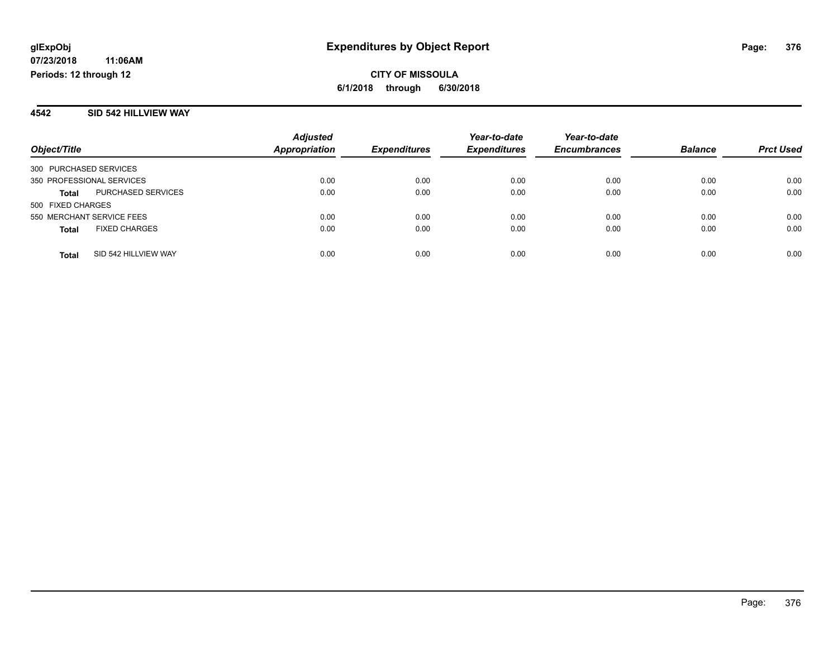#### **4542 SID 542 HILLVIEW WAY**

|                           |                           | <b>Adjusted</b>      |                     | Year-to-date        | Year-to-date        |                |                  |
|---------------------------|---------------------------|----------------------|---------------------|---------------------|---------------------|----------------|------------------|
| Object/Title              |                           | <b>Appropriation</b> | <b>Expenditures</b> | <b>Expenditures</b> | <b>Encumbrances</b> | <b>Balance</b> | <b>Prct Used</b> |
| 300 PURCHASED SERVICES    |                           |                      |                     |                     |                     |                |                  |
| 350 PROFESSIONAL SERVICES |                           | 0.00                 | 0.00                | 0.00                | 0.00                | 0.00           | 0.00             |
| <b>Total</b>              | <b>PURCHASED SERVICES</b> | 0.00                 | 0.00                | 0.00                | 0.00                | 0.00           | 0.00             |
| 500 FIXED CHARGES         |                           |                      |                     |                     |                     |                |                  |
| 550 MERCHANT SERVICE FEES |                           | 0.00                 | 0.00                | 0.00                | 0.00                | 0.00           | 0.00             |
| <b>Total</b>              | <b>FIXED CHARGES</b>      | 0.00                 | 0.00                | 0.00                | 0.00                | 0.00           | 0.00             |
| <b>Total</b>              | SID 542 HILLVIEW WAY      | 0.00                 | 0.00                | 0.00                | 0.00                | 0.00           | 0.00             |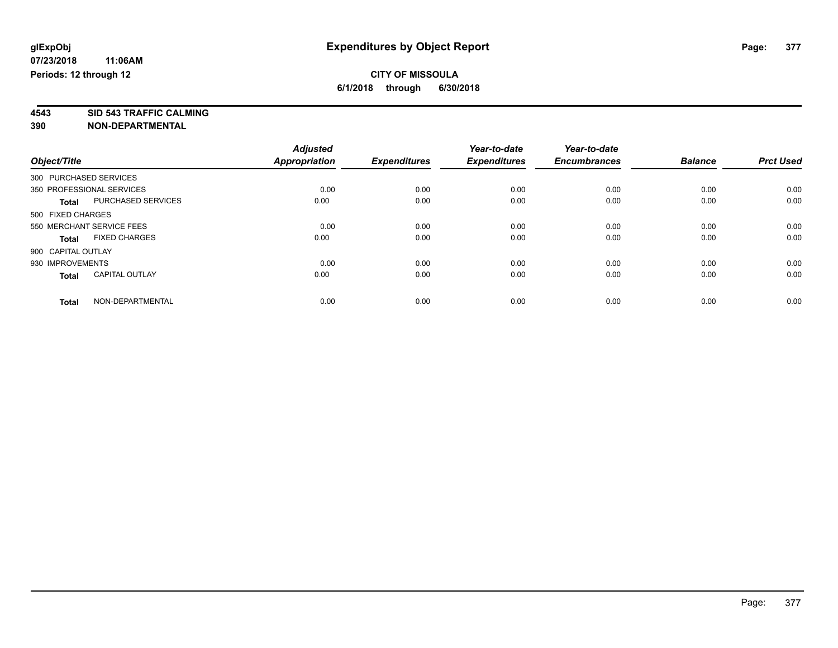**4543 SID 543 TRAFFIC CALMING**

|                        |                           | <b>Adjusted</b> |                     | Year-to-date        | Year-to-date        |                |                  |
|------------------------|---------------------------|-----------------|---------------------|---------------------|---------------------|----------------|------------------|
| Object/Title           |                           | Appropriation   | <b>Expenditures</b> | <b>Expenditures</b> | <b>Encumbrances</b> | <b>Balance</b> | <b>Prct Used</b> |
| 300 PURCHASED SERVICES |                           |                 |                     |                     |                     |                |                  |
|                        | 350 PROFESSIONAL SERVICES | 0.00            | 0.00                | 0.00                | 0.00                | 0.00           | 0.00             |
| Total                  | PURCHASED SERVICES        | 0.00            | 0.00                | 0.00                | 0.00                | 0.00           | 0.00             |
| 500 FIXED CHARGES      |                           |                 |                     |                     |                     |                |                  |
|                        | 550 MERCHANT SERVICE FEES | 0.00            | 0.00                | 0.00                | 0.00                | 0.00           | 0.00             |
| <b>Total</b>           | <b>FIXED CHARGES</b>      | 0.00            | 0.00                | 0.00                | 0.00                | 0.00           | 0.00             |
| 900 CAPITAL OUTLAY     |                           |                 |                     |                     |                     |                |                  |
| 930 IMPROVEMENTS       |                           | 0.00            | 0.00                | 0.00                | 0.00                | 0.00           | 0.00             |
| <b>Total</b>           | <b>CAPITAL OUTLAY</b>     | 0.00            | 0.00                | 0.00                | 0.00                | 0.00           | 0.00             |
| Total                  | NON-DEPARTMENTAL          | 0.00            | 0.00                | 0.00                | 0.00                | 0.00           | 0.00             |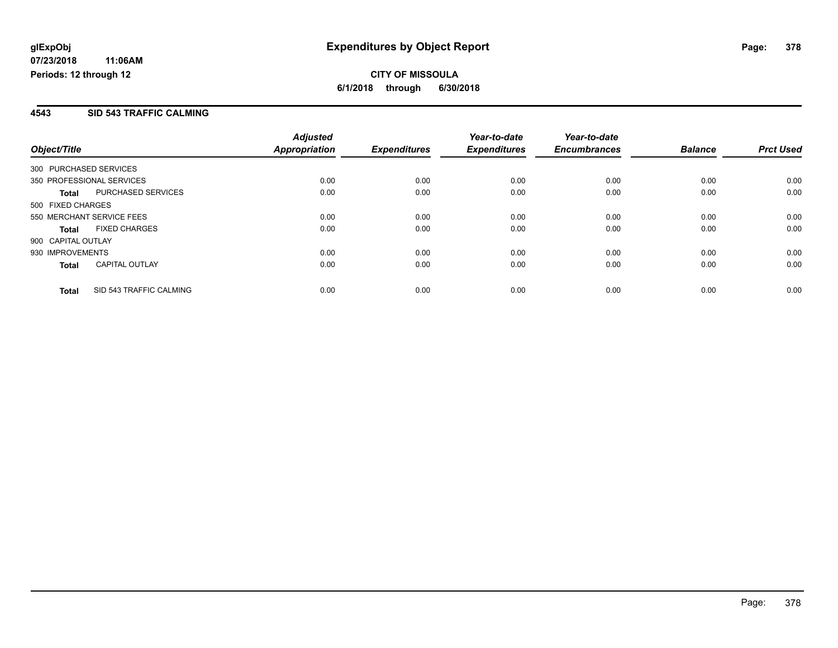#### **4543 SID 543 TRAFFIC CALMING**

|                           |                           | <b>Adjusted</b> |                     | Year-to-date        | Year-to-date        |                |                  |
|---------------------------|---------------------------|-----------------|---------------------|---------------------|---------------------|----------------|------------------|
| Object/Title              |                           | Appropriation   | <b>Expenditures</b> | <b>Expenditures</b> | <b>Encumbrances</b> | <b>Balance</b> | <b>Prct Used</b> |
| 300 PURCHASED SERVICES    |                           |                 |                     |                     |                     |                |                  |
| 350 PROFESSIONAL SERVICES |                           | 0.00            | 0.00                | 0.00                | 0.00                | 0.00           | 0.00             |
| <b>Total</b>              | <b>PURCHASED SERVICES</b> | 0.00            | 0.00                | 0.00                | 0.00                | 0.00           | 0.00             |
| 500 FIXED CHARGES         |                           |                 |                     |                     |                     |                |                  |
| 550 MERCHANT SERVICE FEES |                           | 0.00            | 0.00                | 0.00                | 0.00                | 0.00           | 0.00             |
| <b>Total</b>              | <b>FIXED CHARGES</b>      | 0.00            | 0.00                | 0.00                | 0.00                | 0.00           | 0.00             |
| 900 CAPITAL OUTLAY        |                           |                 |                     |                     |                     |                |                  |
| 930 IMPROVEMENTS          |                           | 0.00            | 0.00                | 0.00                | 0.00                | 0.00           | 0.00             |
| <b>Total</b>              | <b>CAPITAL OUTLAY</b>     | 0.00            | 0.00                | 0.00                | 0.00                | 0.00           | 0.00             |
| <b>Total</b>              | SID 543 TRAFFIC CALMING   | 0.00            | 0.00                | 0.00                | 0.00                | 0.00           | 0.00             |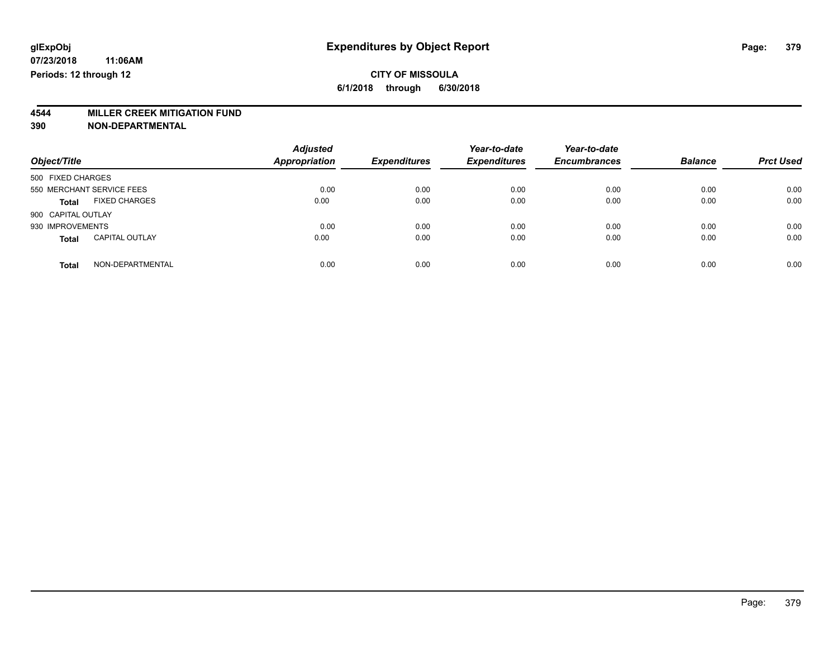## **4544 MILLER CREEK MITIGATION FUND**

| Object/Title                          | <b>Adjusted</b><br><b>Appropriation</b> | <b>Expenditures</b> | Year-to-date<br><b>Expenditures</b> | Year-to-date<br><b>Encumbrances</b> | <b>Balance</b> | <b>Prct Used</b> |
|---------------------------------------|-----------------------------------------|---------------------|-------------------------------------|-------------------------------------|----------------|------------------|
| 500 FIXED CHARGES                     |                                         |                     |                                     |                                     |                |                  |
| 550 MERCHANT SERVICE FEES             | 0.00                                    | 0.00                | 0.00                                | 0.00                                | 0.00           | 0.00             |
| <b>FIXED CHARGES</b><br><b>Total</b>  | 0.00                                    | 0.00                | 0.00                                | 0.00                                | 0.00           | 0.00             |
| 900 CAPITAL OUTLAY                    |                                         |                     |                                     |                                     |                |                  |
| 930 IMPROVEMENTS                      | 0.00                                    | 0.00                | 0.00                                | 0.00                                | 0.00           | 0.00             |
| <b>CAPITAL OUTLAY</b><br><b>Total</b> | 0.00                                    | 0.00                | 0.00                                | 0.00                                | 0.00           | 0.00             |
| NON-DEPARTMENTAL<br>Total             | 0.00                                    | 0.00                | 0.00                                | 0.00                                | 0.00           | 0.00             |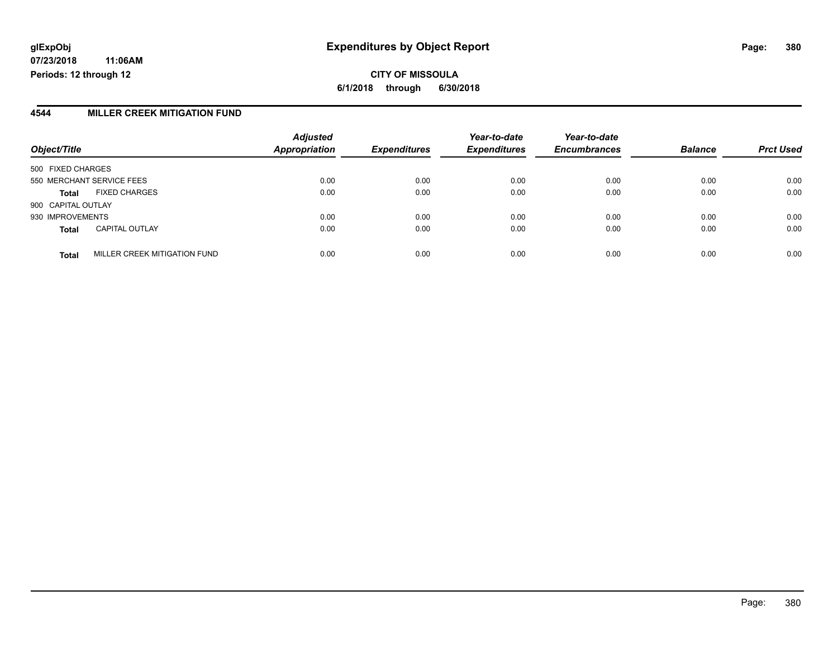**CITY OF MISSOULA 6/1/2018 through 6/30/2018**

#### **4544 MILLER CREEK MITIGATION FUND**

|                    |                              | <b>Adjusted</b>      |                     | Year-to-date        | Year-to-date        |                |                  |
|--------------------|------------------------------|----------------------|---------------------|---------------------|---------------------|----------------|------------------|
| Object/Title       |                              | <b>Appropriation</b> | <b>Expenditures</b> | <b>Expenditures</b> | <b>Encumbrances</b> | <b>Balance</b> | <b>Prct Used</b> |
| 500 FIXED CHARGES  |                              |                      |                     |                     |                     |                |                  |
|                    | 550 MERCHANT SERVICE FEES    | 0.00                 | 0.00                | 0.00                | 0.00                | 0.00           | 0.00             |
| <b>Total</b>       | <b>FIXED CHARGES</b>         | 0.00                 | 0.00                | 0.00                | 0.00                | 0.00           | 0.00             |
| 900 CAPITAL OUTLAY |                              |                      |                     |                     |                     |                |                  |
| 930 IMPROVEMENTS   |                              | 0.00                 | 0.00                | 0.00                | 0.00                | 0.00           | 0.00             |
| <b>Total</b>       | <b>CAPITAL OUTLAY</b>        | 0.00                 | 0.00                | 0.00                | 0.00                | 0.00           | 0.00             |
| <b>Total</b>       | MILLER CREEK MITIGATION FUND | 0.00                 | 0.00                | 0.00                | 0.00                | 0.00           | 0.00             |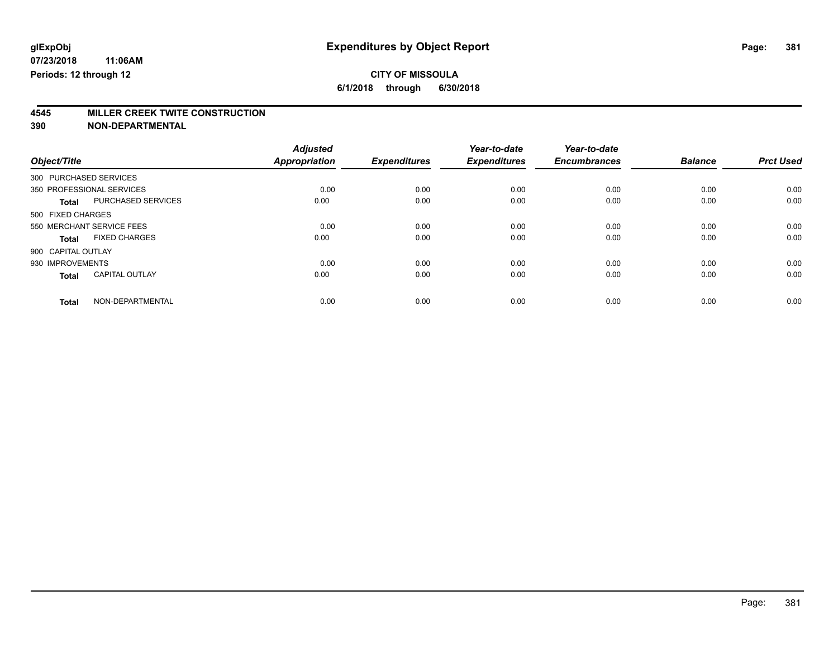## **4545 MILLER CREEK TWITE CONSTRUCTION**

|                        |                           | <b>Adjusted</b>      |                     | Year-to-date        | Year-to-date        |                |                  |
|------------------------|---------------------------|----------------------|---------------------|---------------------|---------------------|----------------|------------------|
| Object/Title           |                           | <b>Appropriation</b> | <b>Expenditures</b> | <b>Expenditures</b> | <b>Encumbrances</b> | <b>Balance</b> | <b>Prct Used</b> |
| 300 PURCHASED SERVICES |                           |                      |                     |                     |                     |                |                  |
|                        | 350 PROFESSIONAL SERVICES | 0.00                 | 0.00                | 0.00                | 0.00                | 0.00           | 0.00             |
| <b>Total</b>           | PURCHASED SERVICES        | 0.00                 | 0.00                | 0.00                | 0.00                | 0.00           | 0.00             |
| 500 FIXED CHARGES      |                           |                      |                     |                     |                     |                |                  |
|                        | 550 MERCHANT SERVICE FEES | 0.00                 | 0.00                | 0.00                | 0.00                | 0.00           | 0.00             |
| <b>Total</b>           | <b>FIXED CHARGES</b>      | 0.00                 | 0.00                | 0.00                | 0.00                | 0.00           | 0.00             |
| 900 CAPITAL OUTLAY     |                           |                      |                     |                     |                     |                |                  |
| 930 IMPROVEMENTS       |                           | 0.00                 | 0.00                | 0.00                | 0.00                | 0.00           | 0.00             |
| <b>Total</b>           | <b>CAPITAL OUTLAY</b>     | 0.00                 | 0.00                | 0.00                | 0.00                | 0.00           | 0.00             |
| <b>Total</b>           | NON-DEPARTMENTAL          | 0.00                 | 0.00                | 0.00                | 0.00                | 0.00           | 0.00             |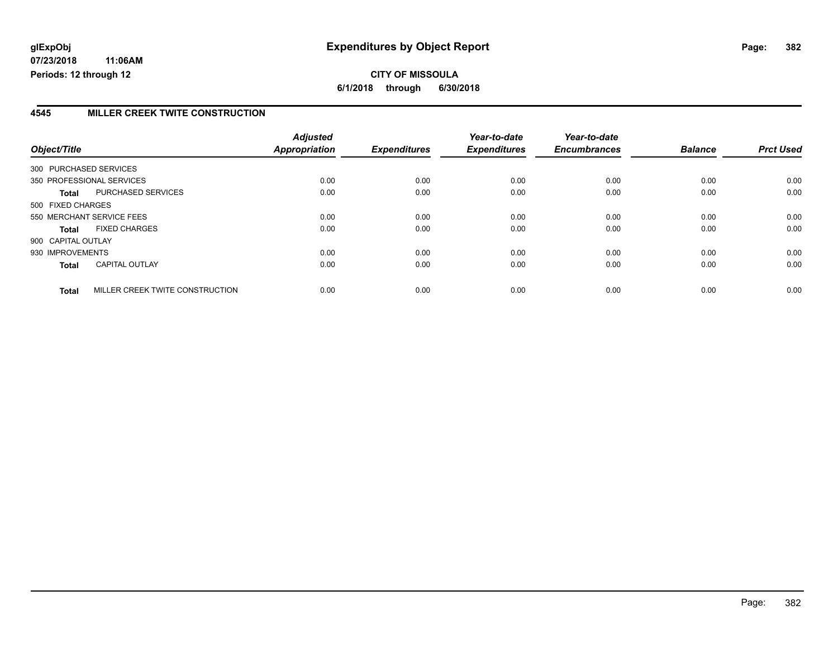**CITY OF MISSOULA 6/1/2018 through 6/30/2018**

#### **4545 MILLER CREEK TWITE CONSTRUCTION**

|                        |                                 | <b>Adjusted</b> |                     | Year-to-date        | Year-to-date        |                |                  |
|------------------------|---------------------------------|-----------------|---------------------|---------------------|---------------------|----------------|------------------|
| Object/Title           |                                 | Appropriation   | <b>Expenditures</b> | <b>Expenditures</b> | <b>Encumbrances</b> | <b>Balance</b> | <b>Prct Used</b> |
| 300 PURCHASED SERVICES |                                 |                 |                     |                     |                     |                |                  |
|                        | 350 PROFESSIONAL SERVICES       | 0.00            | 0.00                | 0.00                | 0.00                | 0.00           | 0.00             |
| <b>Total</b>           | <b>PURCHASED SERVICES</b>       | 0.00            | 0.00                | 0.00                | 0.00                | 0.00           | 0.00             |
| 500 FIXED CHARGES      |                                 |                 |                     |                     |                     |                |                  |
|                        | 550 MERCHANT SERVICE FEES       | 0.00            | 0.00                | 0.00                | 0.00                | 0.00           | 0.00             |
| <b>Total</b>           | <b>FIXED CHARGES</b>            | 0.00            | 0.00                | 0.00                | 0.00                | 0.00           | 0.00             |
| 900 CAPITAL OUTLAY     |                                 |                 |                     |                     |                     |                |                  |
| 930 IMPROVEMENTS       |                                 | 0.00            | 0.00                | 0.00                | 0.00                | 0.00           | 0.00             |
| <b>Total</b>           | <b>CAPITAL OUTLAY</b>           | 0.00            | 0.00                | 0.00                | 0.00                | 0.00           | 0.00             |
| <b>Total</b>           | MILLER CREEK TWITE CONSTRUCTION | 0.00            | 0.00                | 0.00                | 0.00                | 0.00           | 0.00             |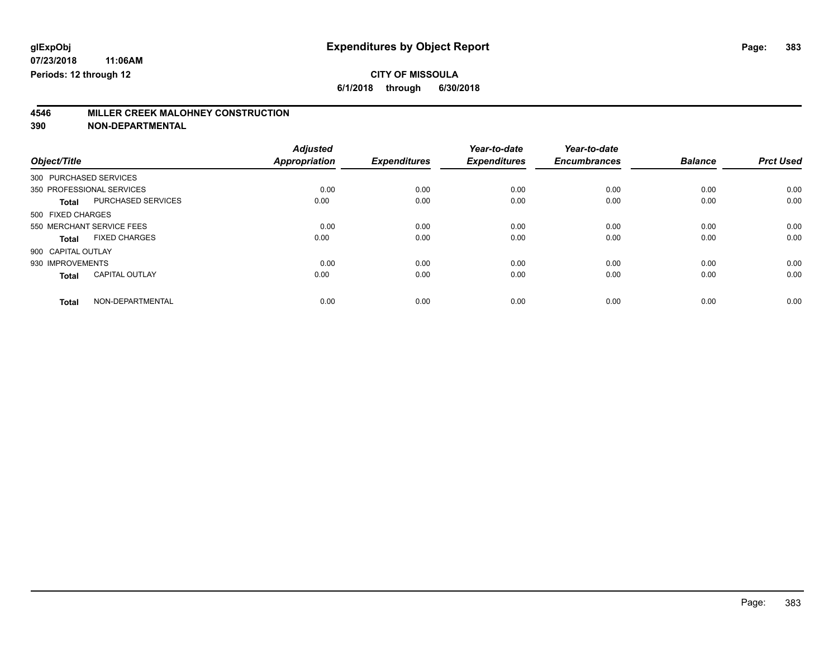#### **CITY OF MISSOULA 6/1/2018 through 6/30/2018**

# **4546 MILLER CREEK MALOHNEY CONSTRUCTION**

| Object/Title           |                           | <b>Adjusted</b><br><b>Appropriation</b> | <b>Expenditures</b> | Year-to-date<br><b>Expenditures</b> | Year-to-date<br><b>Encumbrances</b> | <b>Balance</b> | <b>Prct Used</b> |
|------------------------|---------------------------|-----------------------------------------|---------------------|-------------------------------------|-------------------------------------|----------------|------------------|
|                        |                           |                                         |                     |                                     |                                     |                |                  |
| 300 PURCHASED SERVICES |                           |                                         |                     |                                     |                                     |                |                  |
|                        | 350 PROFESSIONAL SERVICES | 0.00                                    | 0.00                | 0.00                                | 0.00                                | 0.00           | 0.00             |
| <b>Total</b>           | PURCHASED SERVICES        | 0.00                                    | 0.00                | 0.00                                | 0.00                                | 0.00           | 0.00             |
| 500 FIXED CHARGES      |                           |                                         |                     |                                     |                                     |                |                  |
|                        | 550 MERCHANT SERVICE FEES | 0.00                                    | 0.00                | 0.00                                | 0.00                                | 0.00           | 0.00             |
| Total                  | <b>FIXED CHARGES</b>      | 0.00                                    | 0.00                | 0.00                                | 0.00                                | 0.00           | 0.00             |
| 900 CAPITAL OUTLAY     |                           |                                         |                     |                                     |                                     |                |                  |
| 930 IMPROVEMENTS       |                           | 0.00                                    | 0.00                | 0.00                                | 0.00                                | 0.00           | 0.00             |
| Total                  | <b>CAPITAL OUTLAY</b>     | 0.00                                    | 0.00                | 0.00                                | 0.00                                | 0.00           | 0.00             |
| <b>Total</b>           | NON-DEPARTMENTAL          | 0.00                                    | 0.00                | 0.00                                | 0.00                                | 0.00           | 0.00             |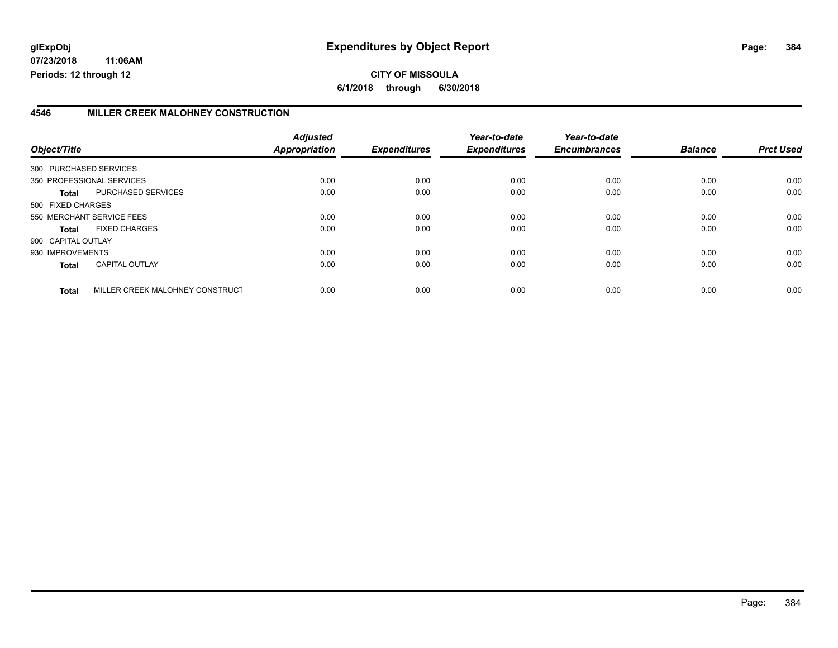**CITY OF MISSOULA 6/1/2018 through 6/30/2018**

#### **4546 MILLER CREEK MALOHNEY CONSTRUCTION**

| Object/Title       |                                 | <b>Adjusted</b><br>Appropriation | <b>Expenditures</b> | Year-to-date<br><b>Expenditures</b> | Year-to-date<br><b>Encumbrances</b> | <b>Balance</b> | <b>Prct Used</b> |
|--------------------|---------------------------------|----------------------------------|---------------------|-------------------------------------|-------------------------------------|----------------|------------------|
|                    |                                 |                                  |                     |                                     |                                     |                |                  |
|                    | 300 PURCHASED SERVICES          |                                  |                     |                                     |                                     |                |                  |
|                    | 350 PROFESSIONAL SERVICES       | 0.00                             | 0.00                | 0.00                                | 0.00                                | 0.00           | 0.00             |
| <b>Total</b>       | PURCHASED SERVICES              | 0.00                             | 0.00                | 0.00                                | 0.00                                | 0.00           | 0.00             |
| 500 FIXED CHARGES  |                                 |                                  |                     |                                     |                                     |                |                  |
|                    | 550 MERCHANT SERVICE FEES       | 0.00                             | 0.00                | 0.00                                | 0.00                                | 0.00           | 0.00             |
| Total              | <b>FIXED CHARGES</b>            | 0.00                             | 0.00                | 0.00                                | 0.00                                | 0.00           | 0.00             |
| 900 CAPITAL OUTLAY |                                 |                                  |                     |                                     |                                     |                |                  |
| 930 IMPROVEMENTS   |                                 | 0.00                             | 0.00                | 0.00                                | 0.00                                | 0.00           | 0.00             |
| <b>Total</b>       | <b>CAPITAL OUTLAY</b>           | 0.00                             | 0.00                | 0.00                                | 0.00                                | 0.00           | 0.00             |
| <b>Total</b>       | MILLER CREEK MALOHNEY CONSTRUCT | 0.00                             | 0.00                | 0.00                                | 0.00                                | 0.00           | 0.00             |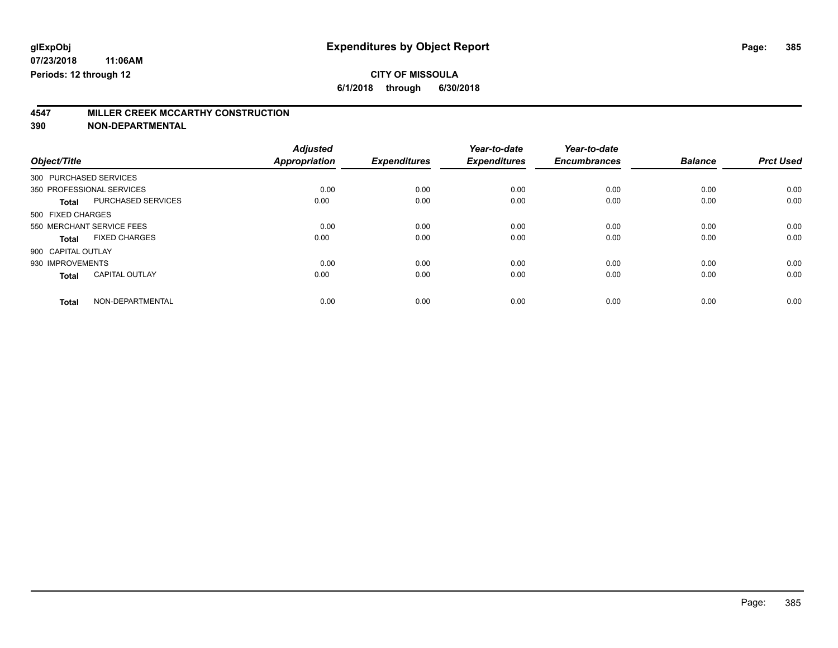#### **CITY OF MISSOULA 6/1/2018 through 6/30/2018**

## **4547 MILLER CREEK MCCARTHY CONSTRUCTION**

|                                       | <b>Adjusted</b>      |                     | Year-to-date        | Year-to-date        |                |                  |
|---------------------------------------|----------------------|---------------------|---------------------|---------------------|----------------|------------------|
| Object/Title                          | <b>Appropriation</b> | <b>Expenditures</b> | <b>Expenditures</b> | <b>Encumbrances</b> | <b>Balance</b> | <b>Prct Used</b> |
| 300 PURCHASED SERVICES                |                      |                     |                     |                     |                |                  |
| 350 PROFESSIONAL SERVICES             | 0.00                 | 0.00                | 0.00                | 0.00                | 0.00           | 0.00             |
| PURCHASED SERVICES<br><b>Total</b>    | 0.00                 | 0.00                | 0.00                | 0.00                | 0.00           | 0.00             |
| 500 FIXED CHARGES                     |                      |                     |                     |                     |                |                  |
| 550 MERCHANT SERVICE FEES             | 0.00                 | 0.00                | 0.00                | 0.00                | 0.00           | 0.00             |
| <b>FIXED CHARGES</b><br>Total         | 0.00                 | 0.00                | 0.00                | 0.00                | 0.00           | 0.00             |
| 900 CAPITAL OUTLAY                    |                      |                     |                     |                     |                |                  |
| 930 IMPROVEMENTS                      | 0.00                 | 0.00                | 0.00                | 0.00                | 0.00           | 0.00             |
| <b>CAPITAL OUTLAY</b><br><b>Total</b> | 0.00                 | 0.00                | 0.00                | 0.00                | 0.00           | 0.00             |
| NON-DEPARTMENTAL<br><b>Total</b>      | 0.00                 | 0.00                | 0.00                | 0.00                | 0.00           | 0.00             |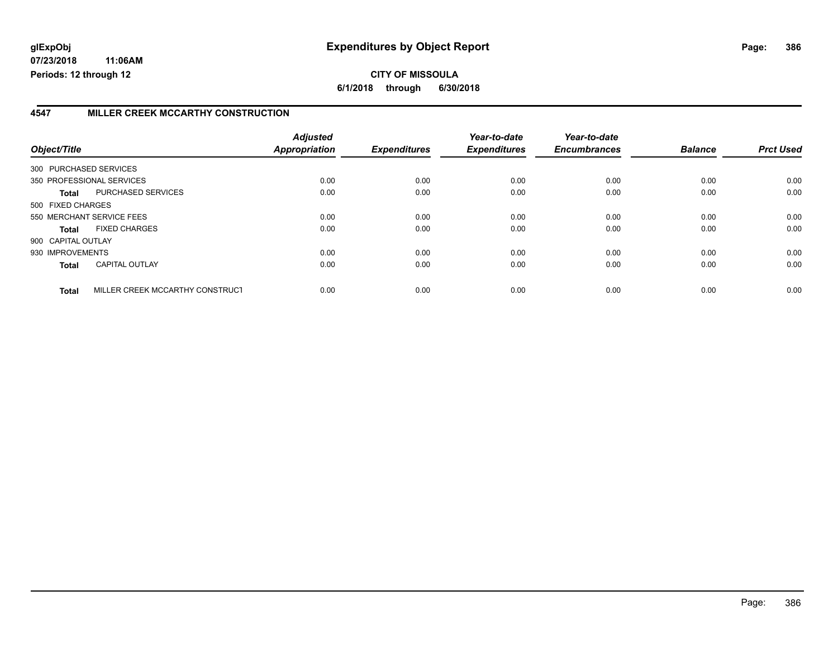**CITY OF MISSOULA 6/1/2018 through 6/30/2018**

#### **4547 MILLER CREEK MCCARTHY CONSTRUCTION**

| Object/Title       |                                 | <b>Adjusted</b><br>Appropriation | <b>Expenditures</b> | Year-to-date<br><b>Expenditures</b> | Year-to-date<br><b>Encumbrances</b> | <b>Balance</b> | <b>Prct Used</b> |
|--------------------|---------------------------------|----------------------------------|---------------------|-------------------------------------|-------------------------------------|----------------|------------------|
|                    |                                 |                                  |                     |                                     |                                     |                |                  |
|                    | 300 PURCHASED SERVICES          |                                  |                     |                                     |                                     |                |                  |
|                    | 350 PROFESSIONAL SERVICES       | 0.00                             | 0.00                | 0.00                                | 0.00                                | 0.00           | 0.00             |
| Total              | PURCHASED SERVICES              | 0.00                             | 0.00                | 0.00                                | 0.00                                | 0.00           | 0.00             |
| 500 FIXED CHARGES  |                                 |                                  |                     |                                     |                                     |                |                  |
|                    | 550 MERCHANT SERVICE FEES       | 0.00                             | 0.00                | 0.00                                | 0.00                                | 0.00           | 0.00             |
| <b>Total</b>       | <b>FIXED CHARGES</b>            | 0.00                             | 0.00                | 0.00                                | 0.00                                | 0.00           | 0.00             |
| 900 CAPITAL OUTLAY |                                 |                                  |                     |                                     |                                     |                |                  |
| 930 IMPROVEMENTS   |                                 | 0.00                             | 0.00                | 0.00                                | 0.00                                | 0.00           | 0.00             |
| <b>Total</b>       | <b>CAPITAL OUTLAY</b>           | 0.00                             | 0.00                | 0.00                                | 0.00                                | 0.00           | 0.00             |
| <b>Total</b>       | MILLER CREEK MCCARTHY CONSTRUCT | 0.00                             | 0.00                | 0.00                                | 0.00                                | 0.00           | 0.00             |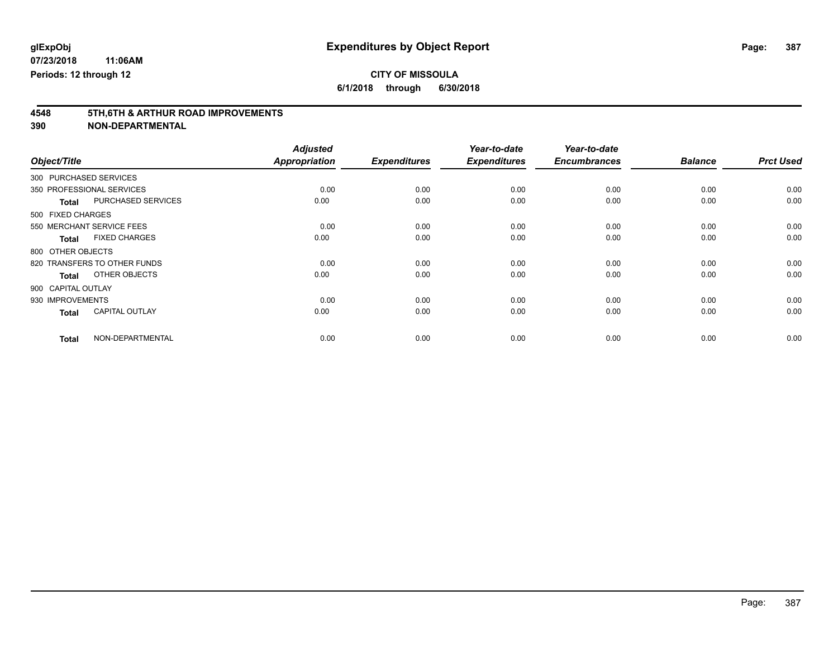## **4548 5TH,6TH & ARTHUR ROAD IMPROVEMENTS**

|                                       | <b>Adjusted</b>      |                     | Year-to-date        | Year-to-date        |                |                  |
|---------------------------------------|----------------------|---------------------|---------------------|---------------------|----------------|------------------|
| Object/Title                          | <b>Appropriation</b> | <b>Expenditures</b> | <b>Expenditures</b> | <b>Encumbrances</b> | <b>Balance</b> | <b>Prct Used</b> |
| 300 PURCHASED SERVICES                |                      |                     |                     |                     |                |                  |
| 350 PROFESSIONAL SERVICES             | 0.00                 | 0.00                | 0.00                | 0.00                | 0.00           | 0.00             |
| PURCHASED SERVICES<br>Total           | 0.00                 | 0.00                | 0.00                | 0.00                | 0.00           | 0.00             |
| 500 FIXED CHARGES                     |                      |                     |                     |                     |                |                  |
| 550 MERCHANT SERVICE FEES             | 0.00                 | 0.00                | 0.00                | 0.00                | 0.00           | 0.00             |
| <b>FIXED CHARGES</b><br><b>Total</b>  | 0.00                 | 0.00                | 0.00                | 0.00                | 0.00           | 0.00             |
| 800 OTHER OBJECTS                     |                      |                     |                     |                     |                |                  |
| 820 TRANSFERS TO OTHER FUNDS          | 0.00                 | 0.00                | 0.00                | 0.00                | 0.00           | 0.00             |
| OTHER OBJECTS<br><b>Total</b>         | 0.00                 | 0.00                | 0.00                | 0.00                | 0.00           | 0.00             |
| 900 CAPITAL OUTLAY                    |                      |                     |                     |                     |                |                  |
| 930 IMPROVEMENTS                      | 0.00                 | 0.00                | 0.00                | 0.00                | 0.00           | 0.00             |
| <b>CAPITAL OUTLAY</b><br><b>Total</b> | 0.00                 | 0.00                | 0.00                | 0.00                | 0.00           | 0.00             |
| NON-DEPARTMENTAL<br><b>Total</b>      | 0.00                 | 0.00                | 0.00                | 0.00                | 0.00           | 0.00             |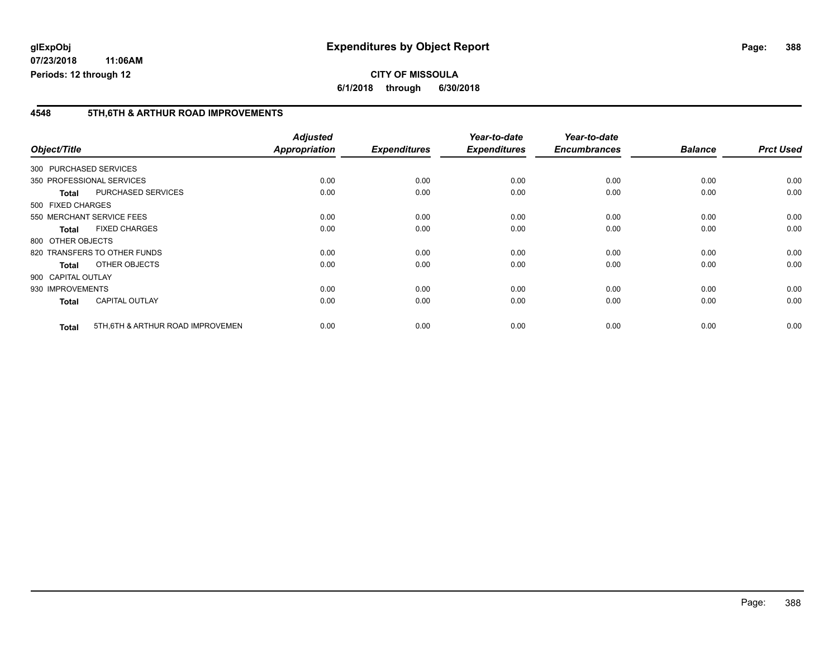**CITY OF MISSOULA 6/1/2018 through 6/30/2018**

#### **4548 5TH,6TH & ARTHUR ROAD IMPROVEMENTS**

|                        |                                   | <b>Adjusted</b>      |                     | Year-to-date        | Year-to-date        |                |                  |
|------------------------|-----------------------------------|----------------------|---------------------|---------------------|---------------------|----------------|------------------|
| Object/Title           |                                   | <b>Appropriation</b> | <b>Expenditures</b> | <b>Expenditures</b> | <b>Encumbrances</b> | <b>Balance</b> | <b>Prct Used</b> |
| 300 PURCHASED SERVICES |                                   |                      |                     |                     |                     |                |                  |
|                        | 350 PROFESSIONAL SERVICES         | 0.00                 | 0.00                | 0.00                | 0.00                | 0.00           | 0.00             |
| <b>Total</b>           | <b>PURCHASED SERVICES</b>         | 0.00                 | 0.00                | 0.00                | 0.00                | 0.00           | 0.00             |
| 500 FIXED CHARGES      |                                   |                      |                     |                     |                     |                |                  |
|                        | 550 MERCHANT SERVICE FEES         | 0.00                 | 0.00                | 0.00                | 0.00                | 0.00           | 0.00             |
| <b>Total</b>           | <b>FIXED CHARGES</b>              | 0.00                 | 0.00                | 0.00                | 0.00                | 0.00           | 0.00             |
| 800 OTHER OBJECTS      |                                   |                      |                     |                     |                     |                |                  |
|                        | 820 TRANSFERS TO OTHER FUNDS      | 0.00                 | 0.00                | 0.00                | 0.00                | 0.00           | 0.00             |
| <b>Total</b>           | OTHER OBJECTS                     | 0.00                 | 0.00                | 0.00                | 0.00                | 0.00           | 0.00             |
| 900 CAPITAL OUTLAY     |                                   |                      |                     |                     |                     |                |                  |
| 930 IMPROVEMENTS       |                                   | 0.00                 | 0.00                | 0.00                | 0.00                | 0.00           | 0.00             |
| <b>Total</b>           | <b>CAPITAL OUTLAY</b>             | 0.00                 | 0.00                | 0.00                | 0.00                | 0.00           | 0.00             |
| <b>Total</b>           | 5TH, 6TH & ARTHUR ROAD IMPROVEMEN | 0.00                 | 0.00                | 0.00                | 0.00                | 0.00           | 0.00             |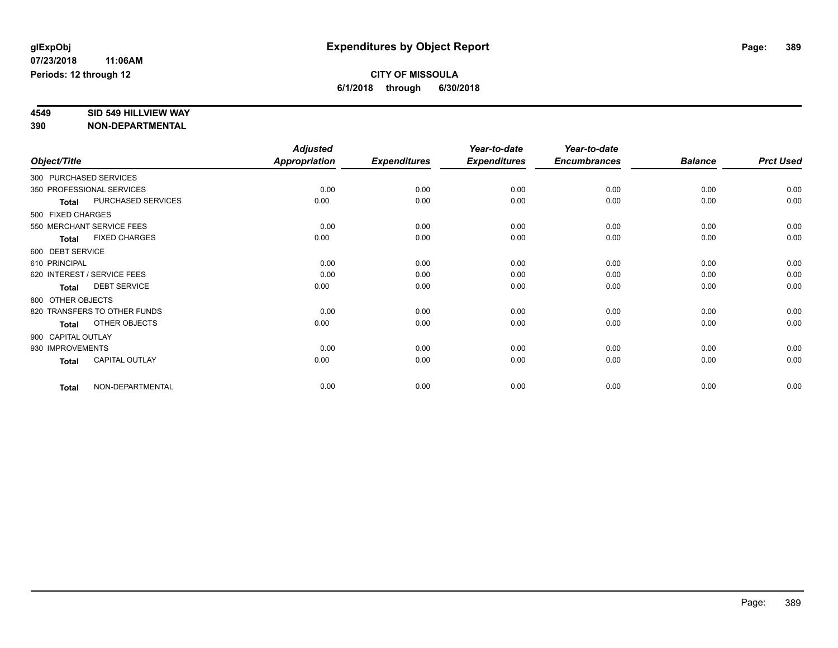# **4549 SID 549 HILLVIEW WAY**

|                        |                              | <b>Adjusted</b>      |                     | Year-to-date        | Year-to-date        |                |                  |
|------------------------|------------------------------|----------------------|---------------------|---------------------|---------------------|----------------|------------------|
| Object/Title           |                              | <b>Appropriation</b> | <b>Expenditures</b> | <b>Expenditures</b> | <b>Encumbrances</b> | <b>Balance</b> | <b>Prct Used</b> |
| 300 PURCHASED SERVICES |                              |                      |                     |                     |                     |                |                  |
|                        | 350 PROFESSIONAL SERVICES    | 0.00                 | 0.00                | 0.00                | 0.00                | 0.00           | 0.00             |
| <b>Total</b>           | PURCHASED SERVICES           | 0.00                 | 0.00                | 0.00                | 0.00                | 0.00           | 0.00             |
| 500 FIXED CHARGES      |                              |                      |                     |                     |                     |                |                  |
|                        | 550 MERCHANT SERVICE FEES    | 0.00                 | 0.00                | 0.00                | 0.00                | 0.00           | 0.00             |
| <b>Total</b>           | <b>FIXED CHARGES</b>         | 0.00                 | 0.00                | 0.00                | 0.00                | 0.00           | 0.00             |
| 600 DEBT SERVICE       |                              |                      |                     |                     |                     |                |                  |
| 610 PRINCIPAL          |                              | 0.00                 | 0.00                | 0.00                | 0.00                | 0.00           | 0.00             |
|                        | 620 INTEREST / SERVICE FEES  | 0.00                 | 0.00                | 0.00                | 0.00                | 0.00           | 0.00             |
| <b>Total</b>           | <b>DEBT SERVICE</b>          | 0.00                 | 0.00                | 0.00                | 0.00                | 0.00           | 0.00             |
| 800 OTHER OBJECTS      |                              |                      |                     |                     |                     |                |                  |
|                        | 820 TRANSFERS TO OTHER FUNDS | 0.00                 | 0.00                | 0.00                | 0.00                | 0.00           | 0.00             |
| <b>Total</b>           | OTHER OBJECTS                | 0.00                 | 0.00                | 0.00                | 0.00                | 0.00           | 0.00             |
| 900 CAPITAL OUTLAY     |                              |                      |                     |                     |                     |                |                  |
| 930 IMPROVEMENTS       |                              | 0.00                 | 0.00                | 0.00                | 0.00                | 0.00           | 0.00             |
| <b>Total</b>           | <b>CAPITAL OUTLAY</b>        | 0.00                 | 0.00                | 0.00                | 0.00                | 0.00           | 0.00             |
| <b>Total</b>           | NON-DEPARTMENTAL             | 0.00                 | 0.00                | 0.00                | 0.00                | 0.00           | 0.00             |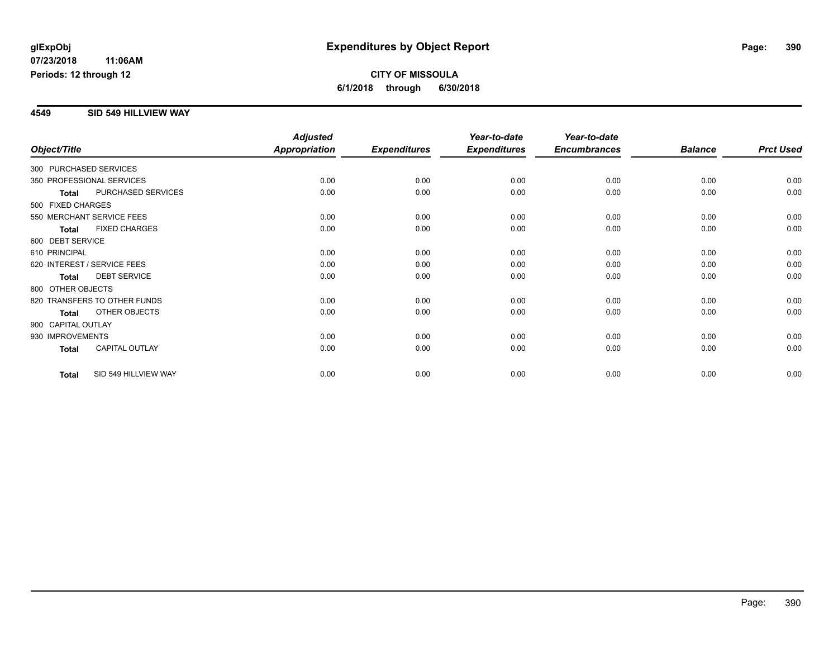#### **4549 SID 549 HILLVIEW WAY**

|                        |                              | <b>Adjusted</b>      |                     | Year-to-date        | Year-to-date        |                |                  |
|------------------------|------------------------------|----------------------|---------------------|---------------------|---------------------|----------------|------------------|
| Object/Title           |                              | <b>Appropriation</b> | <b>Expenditures</b> | <b>Expenditures</b> | <b>Encumbrances</b> | <b>Balance</b> | <b>Prct Used</b> |
| 300 PURCHASED SERVICES |                              |                      |                     |                     |                     |                |                  |
|                        | 350 PROFESSIONAL SERVICES    | 0.00                 | 0.00                | 0.00                | 0.00                | 0.00           | 0.00             |
| <b>Total</b>           | PURCHASED SERVICES           | 0.00                 | 0.00                | 0.00                | 0.00                | 0.00           | 0.00             |
| 500 FIXED CHARGES      |                              |                      |                     |                     |                     |                |                  |
|                        | 550 MERCHANT SERVICE FEES    | 0.00                 | 0.00                | 0.00                | 0.00                | 0.00           | 0.00             |
| <b>Total</b>           | <b>FIXED CHARGES</b>         | 0.00                 | 0.00                | 0.00                | 0.00                | 0.00           | 0.00             |
| 600 DEBT SERVICE       |                              |                      |                     |                     |                     |                |                  |
| 610 PRINCIPAL          |                              | 0.00                 | 0.00                | 0.00                | 0.00                | 0.00           | 0.00             |
|                        | 620 INTEREST / SERVICE FEES  | 0.00                 | 0.00                | 0.00                | 0.00                | 0.00           | 0.00             |
| <b>Total</b>           | <b>DEBT SERVICE</b>          | 0.00                 | 0.00                | 0.00                | 0.00                | 0.00           | 0.00             |
| 800 OTHER OBJECTS      |                              |                      |                     |                     |                     |                |                  |
|                        | 820 TRANSFERS TO OTHER FUNDS | 0.00                 | 0.00                | 0.00                | 0.00                | 0.00           | 0.00             |
| <b>Total</b>           | OTHER OBJECTS                | 0.00                 | 0.00                | 0.00                | 0.00                | 0.00           | 0.00             |
| 900 CAPITAL OUTLAY     |                              |                      |                     |                     |                     |                |                  |
| 930 IMPROVEMENTS       |                              | 0.00                 | 0.00                | 0.00                | 0.00                | 0.00           | 0.00             |
| <b>Total</b>           | <b>CAPITAL OUTLAY</b>        | 0.00                 | 0.00                | 0.00                | 0.00                | 0.00           | 0.00             |
| <b>Total</b>           | SID 549 HILLVIEW WAY         | 0.00                 | 0.00                | 0.00                | 0.00                | 0.00           | 0.00             |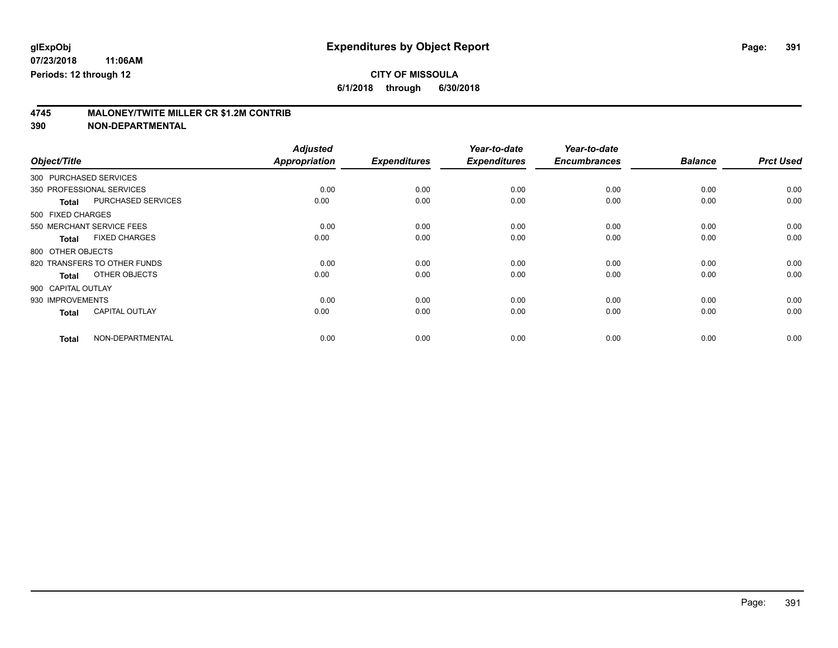# **4745 MALONEY/TWITE MILLER CR \$1.2M CONTRIB**

|                                       | <b>Adjusted</b>      |                     | Year-to-date        | Year-to-date        |                |                  |
|---------------------------------------|----------------------|---------------------|---------------------|---------------------|----------------|------------------|
| Object/Title                          | <b>Appropriation</b> | <b>Expenditures</b> | <b>Expenditures</b> | <b>Encumbrances</b> | <b>Balance</b> | <b>Prct Used</b> |
| 300 PURCHASED SERVICES                |                      |                     |                     |                     |                |                  |
| 350 PROFESSIONAL SERVICES             | 0.00                 | 0.00                | 0.00                | 0.00                | 0.00           | 0.00             |
| PURCHASED SERVICES<br>Total           | 0.00                 | 0.00                | 0.00                | 0.00                | 0.00           | 0.00             |
| 500 FIXED CHARGES                     |                      |                     |                     |                     |                |                  |
| 550 MERCHANT SERVICE FEES             | 0.00                 | 0.00                | 0.00                | 0.00                | 0.00           | 0.00             |
| <b>FIXED CHARGES</b><br><b>Total</b>  | 0.00                 | 0.00                | 0.00                | 0.00                | 0.00           | 0.00             |
| 800 OTHER OBJECTS                     |                      |                     |                     |                     |                |                  |
| 820 TRANSFERS TO OTHER FUNDS          | 0.00                 | 0.00                | 0.00                | 0.00                | 0.00           | 0.00             |
| OTHER OBJECTS<br><b>Total</b>         | 0.00                 | 0.00                | 0.00                | 0.00                | 0.00           | 0.00             |
| 900 CAPITAL OUTLAY                    |                      |                     |                     |                     |                |                  |
| 930 IMPROVEMENTS                      | 0.00                 | 0.00                | 0.00                | 0.00                | 0.00           | 0.00             |
| <b>CAPITAL OUTLAY</b><br><b>Total</b> | 0.00                 | 0.00                | 0.00                | 0.00                | 0.00           | 0.00             |
| NON-DEPARTMENTAL<br><b>Total</b>      | 0.00                 | 0.00                | 0.00                | 0.00                | 0.00           | 0.00             |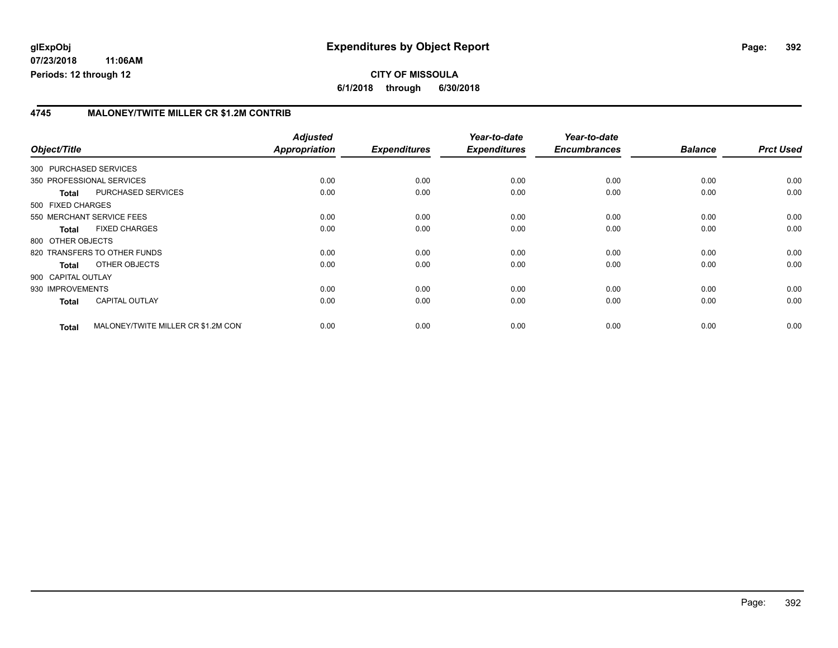#### **4745 MALONEY/TWITE MILLER CR \$1.2M CONTRIB**

|                    |                                     | <b>Adjusted</b>      |                     | Year-to-date        | Year-to-date        |                |                  |
|--------------------|-------------------------------------|----------------------|---------------------|---------------------|---------------------|----------------|------------------|
| Object/Title       |                                     | <b>Appropriation</b> | <b>Expenditures</b> | <b>Expenditures</b> | <b>Encumbrances</b> | <b>Balance</b> | <b>Prct Used</b> |
|                    | 300 PURCHASED SERVICES              |                      |                     |                     |                     |                |                  |
|                    | 350 PROFESSIONAL SERVICES           | 0.00                 | 0.00                | 0.00                | 0.00                | 0.00           | 0.00             |
| <b>Total</b>       | PURCHASED SERVICES                  | 0.00                 | 0.00                | 0.00                | 0.00                | 0.00           | 0.00             |
| 500 FIXED CHARGES  |                                     |                      |                     |                     |                     |                |                  |
|                    | 550 MERCHANT SERVICE FEES           | 0.00                 | 0.00                | 0.00                | 0.00                | 0.00           | 0.00             |
| <b>Total</b>       | <b>FIXED CHARGES</b>                | 0.00                 | 0.00                | 0.00                | 0.00                | 0.00           | 0.00             |
| 800 OTHER OBJECTS  |                                     |                      |                     |                     |                     |                |                  |
|                    | 820 TRANSFERS TO OTHER FUNDS        | 0.00                 | 0.00                | 0.00                | 0.00                | 0.00           | 0.00             |
| Total              | OTHER OBJECTS                       | 0.00                 | 0.00                | 0.00                | 0.00                | 0.00           | 0.00             |
| 900 CAPITAL OUTLAY |                                     |                      |                     |                     |                     |                |                  |
| 930 IMPROVEMENTS   |                                     | 0.00                 | 0.00                | 0.00                | 0.00                | 0.00           | 0.00             |
| <b>Total</b>       | <b>CAPITAL OUTLAY</b>               | 0.00                 | 0.00                | 0.00                | 0.00                | 0.00           | 0.00             |
| <b>Total</b>       | MALONEY/TWITE MILLER CR \$1.2M CONT | 0.00                 | 0.00                | 0.00                | 0.00                | 0.00           | 0.00             |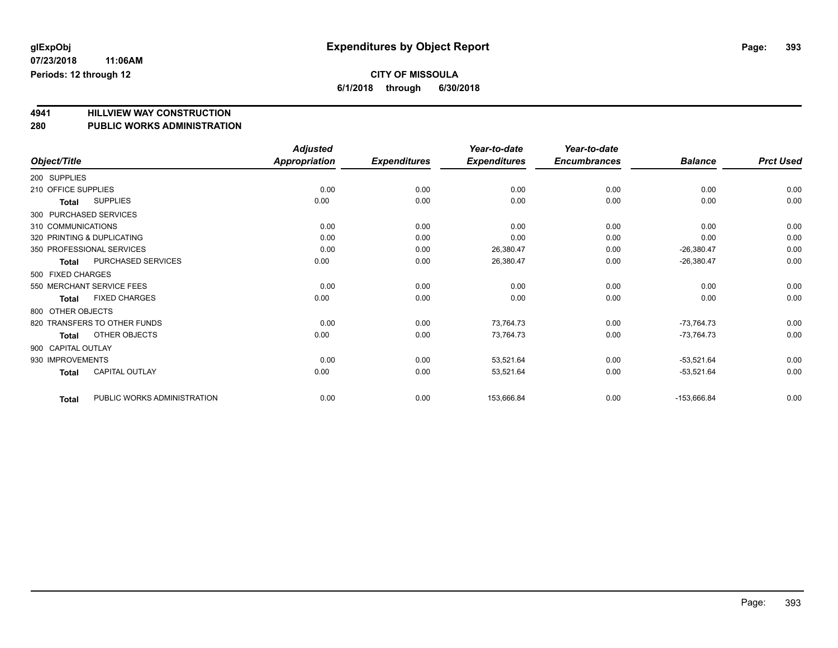# **4941 HILLVIEW WAY CONSTRUCTION**

#### **280 PUBLIC WORKS ADMINISTRATION**

| Object/Title               |                              | <b>Adjusted</b><br><b>Appropriation</b> | <b>Expenditures</b> | Year-to-date<br><b>Expenditures</b> | Year-to-date<br><b>Encumbrances</b> | <b>Balance</b> | <b>Prct Used</b> |
|----------------------------|------------------------------|-----------------------------------------|---------------------|-------------------------------------|-------------------------------------|----------------|------------------|
|                            |                              |                                         |                     |                                     |                                     |                |                  |
| 200 SUPPLIES               |                              |                                         |                     |                                     |                                     |                |                  |
| 210 OFFICE SUPPLIES        |                              | 0.00                                    | 0.00                | 0.00                                | 0.00                                | 0.00           | 0.00             |
| Total                      | <b>SUPPLIES</b>              | 0.00                                    | 0.00                | 0.00                                | 0.00                                | 0.00           | 0.00             |
| 300 PURCHASED SERVICES     |                              |                                         |                     |                                     |                                     |                |                  |
| 310 COMMUNICATIONS         |                              | 0.00                                    | 0.00                | 0.00                                | 0.00                                | 0.00           | 0.00             |
| 320 PRINTING & DUPLICATING |                              | 0.00                                    | 0.00                | 0.00                                | 0.00                                | 0.00           | 0.00             |
|                            | 350 PROFESSIONAL SERVICES    | 0.00                                    | 0.00                | 26,380.47                           | 0.00                                | $-26,380.47$   | 0.00             |
| <b>Total</b>               | PURCHASED SERVICES           | 0.00                                    | 0.00                | 26,380.47                           | 0.00                                | $-26,380.47$   | 0.00             |
| 500 FIXED CHARGES          |                              |                                         |                     |                                     |                                     |                |                  |
|                            | 550 MERCHANT SERVICE FEES    | 0.00                                    | 0.00                | 0.00                                | 0.00                                | 0.00           | 0.00             |
| <b>Total</b>               | <b>FIXED CHARGES</b>         | 0.00                                    | 0.00                | 0.00                                | 0.00                                | 0.00           | 0.00             |
| 800 OTHER OBJECTS          |                              |                                         |                     |                                     |                                     |                |                  |
|                            | 820 TRANSFERS TO OTHER FUNDS | 0.00                                    | 0.00                | 73,764.73                           | 0.00                                | $-73,764.73$   | 0.00             |
| <b>Total</b>               | OTHER OBJECTS                | 0.00                                    | 0.00                | 73,764.73                           | 0.00                                | $-73,764.73$   | 0.00             |
| 900 CAPITAL OUTLAY         |                              |                                         |                     |                                     |                                     |                |                  |
| 930 IMPROVEMENTS           |                              | 0.00                                    | 0.00                | 53,521.64                           | 0.00                                | $-53,521.64$   | 0.00             |
| <b>Total</b>               | <b>CAPITAL OUTLAY</b>        | 0.00                                    | 0.00                | 53,521.64                           | 0.00                                | $-53,521.64$   | 0.00             |
| Total                      | PUBLIC WORKS ADMINISTRATION  | 0.00                                    | 0.00                | 153,666.84                          | 0.00                                | $-153,666.84$  | 0.00             |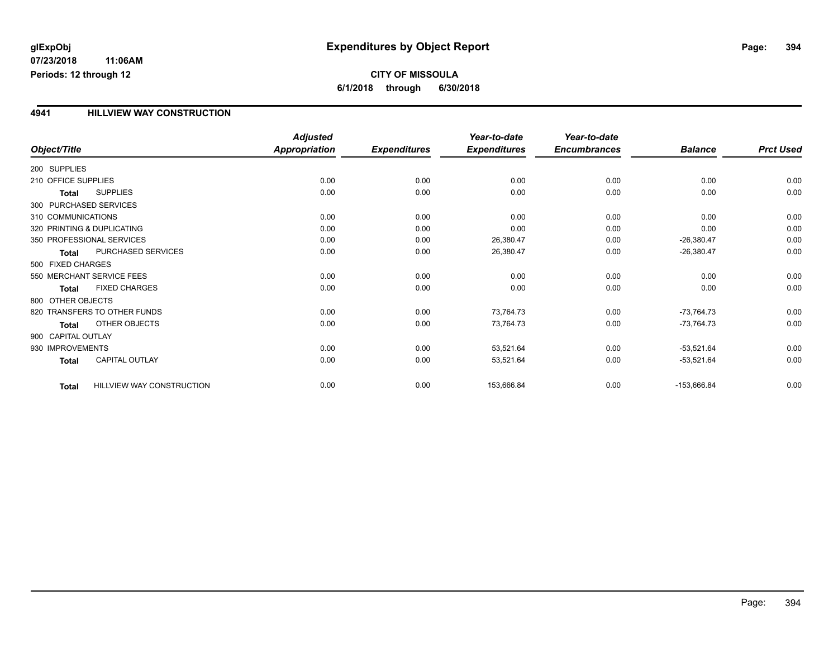## **CITY OF MISSOULA 6/1/2018 through 6/30/2018**

#### **4941 HILLVIEW WAY CONSTRUCTION**

|                                           | <b>Adjusted</b> |                     | Year-to-date        | Year-to-date        |                |                  |
|-------------------------------------------|-----------------|---------------------|---------------------|---------------------|----------------|------------------|
| Object/Title                              | Appropriation   | <b>Expenditures</b> | <b>Expenditures</b> | <b>Encumbrances</b> | <b>Balance</b> | <b>Prct Used</b> |
| 200 SUPPLIES                              |                 |                     |                     |                     |                |                  |
| 210 OFFICE SUPPLIES                       | 0.00            | 0.00                | 0.00                | 0.00                | 0.00           | 0.00             |
| <b>SUPPLIES</b><br><b>Total</b>           | 0.00            | 0.00                | 0.00                | 0.00                | 0.00           | 0.00             |
| 300 PURCHASED SERVICES                    |                 |                     |                     |                     |                |                  |
| 310 COMMUNICATIONS                        | 0.00            | 0.00                | 0.00                | 0.00                | 0.00           | 0.00             |
| 320 PRINTING & DUPLICATING                | 0.00            | 0.00                | 0.00                | 0.00                | 0.00           | 0.00             |
| 350 PROFESSIONAL SERVICES                 | 0.00            | 0.00                | 26,380.47           | 0.00                | $-26,380.47$   | 0.00             |
| PURCHASED SERVICES<br><b>Total</b>        | 0.00            | 0.00                | 26,380.47           | 0.00                | $-26,380.47$   | 0.00             |
| 500 FIXED CHARGES                         |                 |                     |                     |                     |                |                  |
| 550 MERCHANT SERVICE FEES                 | 0.00            | 0.00                | 0.00                | 0.00                | 0.00           | 0.00             |
| <b>FIXED CHARGES</b><br><b>Total</b>      | 0.00            | 0.00                | 0.00                | 0.00                | 0.00           | 0.00             |
| 800 OTHER OBJECTS                         |                 |                     |                     |                     |                |                  |
| 820 TRANSFERS TO OTHER FUNDS              | 0.00            | 0.00                | 73,764.73           | 0.00                | $-73,764.73$   | 0.00             |
| <b>OTHER OBJECTS</b><br><b>Total</b>      | 0.00            | 0.00                | 73,764.73           | 0.00                | $-73,764.73$   | 0.00             |
| 900 CAPITAL OUTLAY                        |                 |                     |                     |                     |                |                  |
| 930 IMPROVEMENTS                          | 0.00            | 0.00                | 53,521.64           | 0.00                | $-53,521.64$   | 0.00             |
| <b>CAPITAL OUTLAY</b><br><b>Total</b>     | 0.00            | 0.00                | 53,521.64           | 0.00                | $-53,521.64$   | 0.00             |
| HILLVIEW WAY CONSTRUCTION<br><b>Total</b> | 0.00            | 0.00                | 153,666.84          | 0.00                | $-153,666.84$  | 0.00             |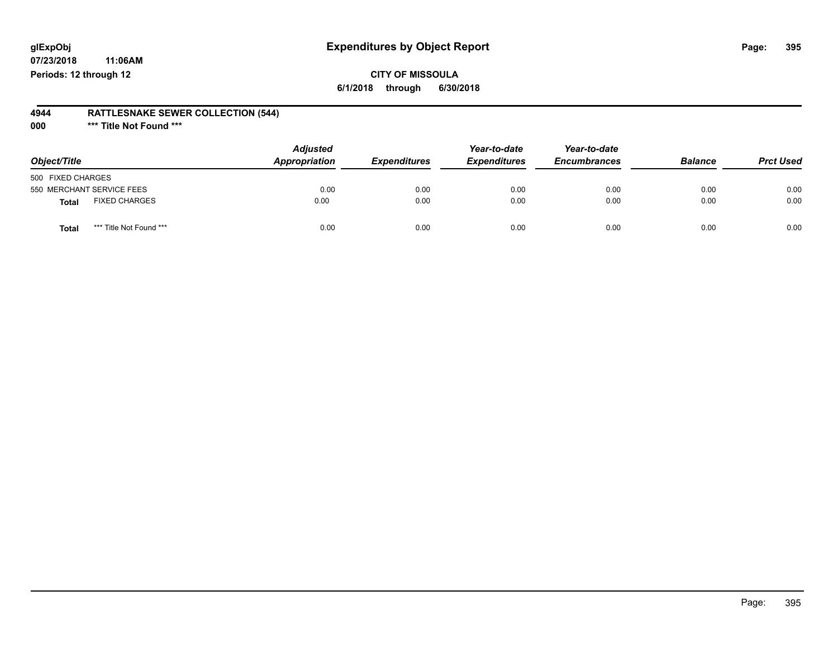### **glExpObj Expenditures by Object Report Page: 395**

**07/23/2018 11:06AM Periods: 12 through 12**

### **CITY OF MISSOULA 6/1/2018 through 6/30/2018**

#### **4944 RATTLESNAKE SEWER COLLECTION (544)**

**000 \*\*\* Title Not Found \*\*\***

| Object/Title                         | <b>Adjusted</b><br>Appropriation | <b>Expenditures</b> | Year-to-date<br><b>Expenditures</b> | Year-to-date<br><b>Encumbrances</b> | <b>Balance</b> | <b>Prct Used</b> |
|--------------------------------------|----------------------------------|---------------------|-------------------------------------|-------------------------------------|----------------|------------------|
| 500 FIXED CHARGES                    |                                  |                     |                                     |                                     |                |                  |
| 550 MERCHANT SERVICE FEES            | 0.00                             | 0.00                | 0.00                                | 0.00                                | 0.00           | 0.00             |
| <b>FIXED CHARGES</b><br><b>Total</b> | 0.00                             | 0.00                | 0.00                                | 0.00                                | 0.00           | 0.00             |
| *** Title Not Found ***<br>Total     | 0.00                             | 0.00                | 0.00                                | 0.00                                | 0.00           | 0.00             |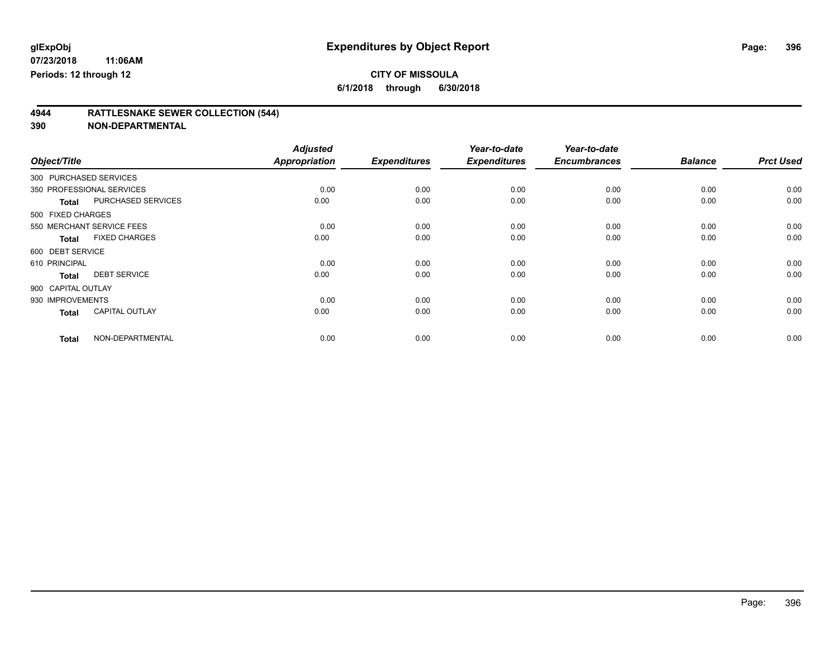## **4944 RATTLESNAKE SEWER COLLECTION (544)**

|                        |                           | <b>Adjusted</b>      |                     | Year-to-date        | Year-to-date        |                |                  |
|------------------------|---------------------------|----------------------|---------------------|---------------------|---------------------|----------------|------------------|
| Object/Title           |                           | <b>Appropriation</b> | <b>Expenditures</b> | <b>Expenditures</b> | <b>Encumbrances</b> | <b>Balance</b> | <b>Prct Used</b> |
| 300 PURCHASED SERVICES |                           |                      |                     |                     |                     |                |                  |
|                        | 350 PROFESSIONAL SERVICES | 0.00                 | 0.00                | 0.00                | 0.00                | 0.00           | 0.00             |
| Total                  | PURCHASED SERVICES        | 0.00                 | 0.00                | 0.00                | 0.00                | 0.00           | 0.00             |
| 500 FIXED CHARGES      |                           |                      |                     |                     |                     |                |                  |
|                        | 550 MERCHANT SERVICE FEES | 0.00                 | 0.00                | 0.00                | 0.00                | 0.00           | 0.00             |
| <b>Total</b>           | <b>FIXED CHARGES</b>      | 0.00                 | 0.00                | 0.00                | 0.00                | 0.00           | 0.00             |
| 600 DEBT SERVICE       |                           |                      |                     |                     |                     |                |                  |
| 610 PRINCIPAL          |                           | 0.00                 | 0.00                | 0.00                | 0.00                | 0.00           | 0.00             |
| <b>Total</b>           | <b>DEBT SERVICE</b>       | 0.00                 | 0.00                | 0.00                | 0.00                | 0.00           | 0.00             |
| 900 CAPITAL OUTLAY     |                           |                      |                     |                     |                     |                |                  |
| 930 IMPROVEMENTS       |                           | 0.00                 | 0.00                | 0.00                | 0.00                | 0.00           | 0.00             |
| <b>Total</b>           | <b>CAPITAL OUTLAY</b>     | 0.00                 | 0.00                | 0.00                | 0.00                | 0.00           | 0.00             |
| <b>Total</b>           | NON-DEPARTMENTAL          | 0.00                 | 0.00                | 0.00                | 0.00                | 0.00           | 0.00             |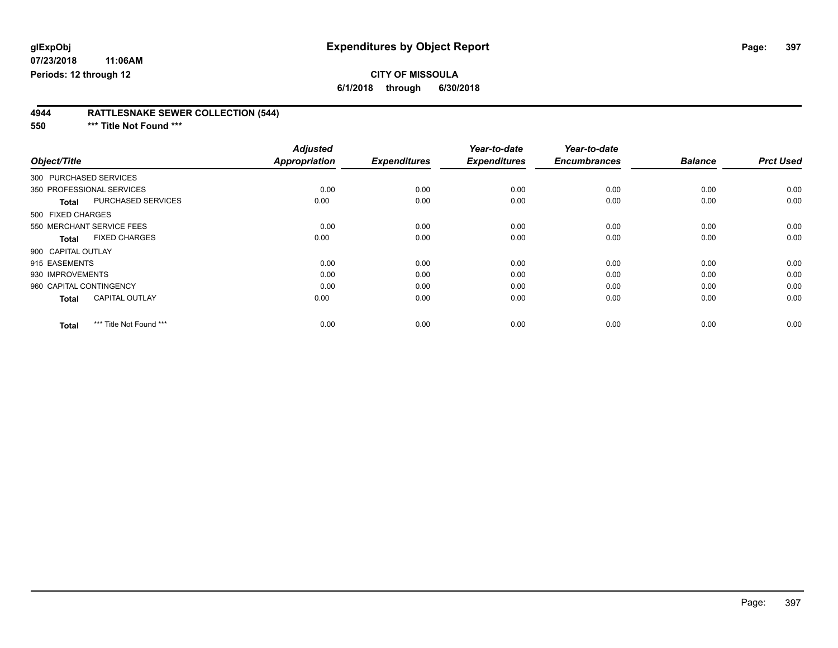#### **4944 RATTLESNAKE SEWER COLLECTION (544)**

| Object/Title              |                           | <b>Adjusted</b><br><b>Appropriation</b> | <b>Expenditures</b> | Year-to-date<br><b>Expenditures</b> | Year-to-date<br><b>Encumbrances</b> | <b>Balance</b> | <b>Prct Used</b> |
|---------------------------|---------------------------|-----------------------------------------|---------------------|-------------------------------------|-------------------------------------|----------------|------------------|
|                           |                           |                                         |                     |                                     |                                     |                |                  |
| 350 PROFESSIONAL SERVICES |                           | 0.00                                    | 0.00                | 0.00                                | 0.00                                | 0.00           | 0.00             |
| <b>Total</b>              | PURCHASED SERVICES        | 0.00                                    | 0.00                | 0.00                                | 0.00                                | 0.00           | 0.00             |
| 500 FIXED CHARGES         |                           |                                         |                     |                                     |                                     |                |                  |
|                           | 550 MERCHANT SERVICE FEES | 0.00                                    | 0.00                | 0.00                                | 0.00                                | 0.00           | 0.00             |
| <b>Total</b>              | <b>FIXED CHARGES</b>      | 0.00                                    | 0.00                | 0.00                                | 0.00                                | 0.00           | 0.00             |
| 900 CAPITAL OUTLAY        |                           |                                         |                     |                                     |                                     |                |                  |
| 915 EASEMENTS             |                           | 0.00                                    | 0.00                | 0.00                                | 0.00                                | 0.00           | 0.00             |
| 930 IMPROVEMENTS          |                           | 0.00                                    | 0.00                | 0.00                                | 0.00                                | 0.00           | 0.00             |
| 960 CAPITAL CONTINGENCY   |                           | 0.00                                    | 0.00                | 0.00                                | 0.00                                | 0.00           | 0.00             |
| <b>Total</b>              | <b>CAPITAL OUTLAY</b>     | 0.00                                    | 0.00                | 0.00                                | 0.00                                | 0.00           | 0.00             |
| <b>Total</b>              | *** Title Not Found ***   | 0.00                                    | 0.00                | 0.00                                | 0.00                                | 0.00           | 0.00             |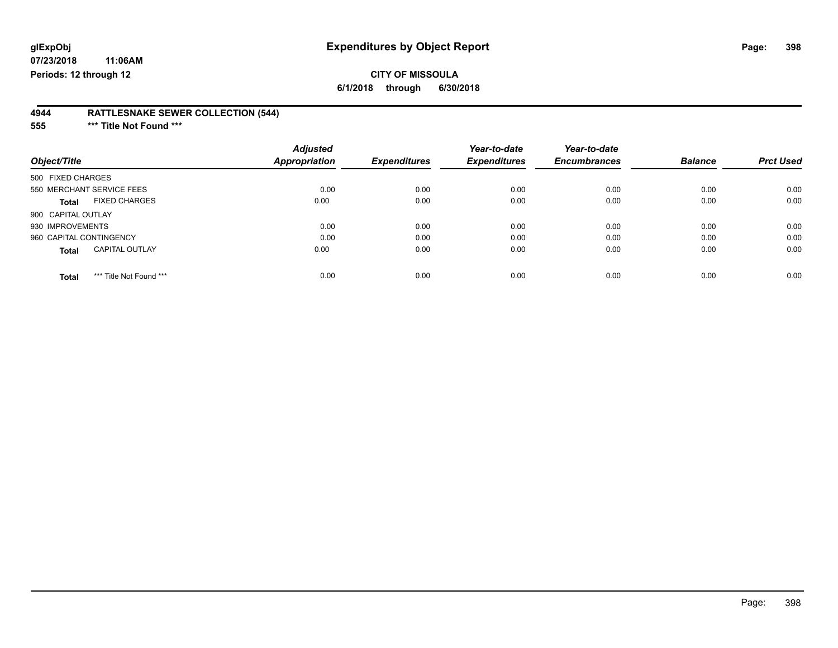## **CITY OF MISSOULA 6/1/2018 through 6/30/2018**

#### **4944 RATTLESNAKE SEWER COLLECTION (544)**

|                                         | <b>Adjusted</b> |                     | Year-to-date        | Year-to-date        |                |                  |
|-----------------------------------------|-----------------|---------------------|---------------------|---------------------|----------------|------------------|
| Object/Title                            | Appropriation   | <b>Expenditures</b> | <b>Expenditures</b> | <b>Encumbrances</b> | <b>Balance</b> | <b>Prct Used</b> |
| 500 FIXED CHARGES                       |                 |                     |                     |                     |                |                  |
| 550 MERCHANT SERVICE FEES               | 0.00            | 0.00                | 0.00                | 0.00                | 0.00           | 0.00             |
| <b>FIXED CHARGES</b><br><b>Total</b>    | 0.00            | 0.00                | 0.00                | 0.00                | 0.00           | 0.00             |
| 900 CAPITAL OUTLAY                      |                 |                     |                     |                     |                |                  |
| 930 IMPROVEMENTS                        | 0.00            | 0.00                | 0.00                | 0.00                | 0.00           | 0.00             |
| 960 CAPITAL CONTINGENCY                 | 0.00            | 0.00                | 0.00                | 0.00                | 0.00           | 0.00             |
| <b>CAPITAL OUTLAY</b><br><b>Total</b>   | 0.00            | 0.00                | 0.00                | 0.00                | 0.00           | 0.00             |
| *** Title Not Found ***<br><b>Total</b> | 0.00            | 0.00                | 0.00                | 0.00                | 0.00           | 0.00             |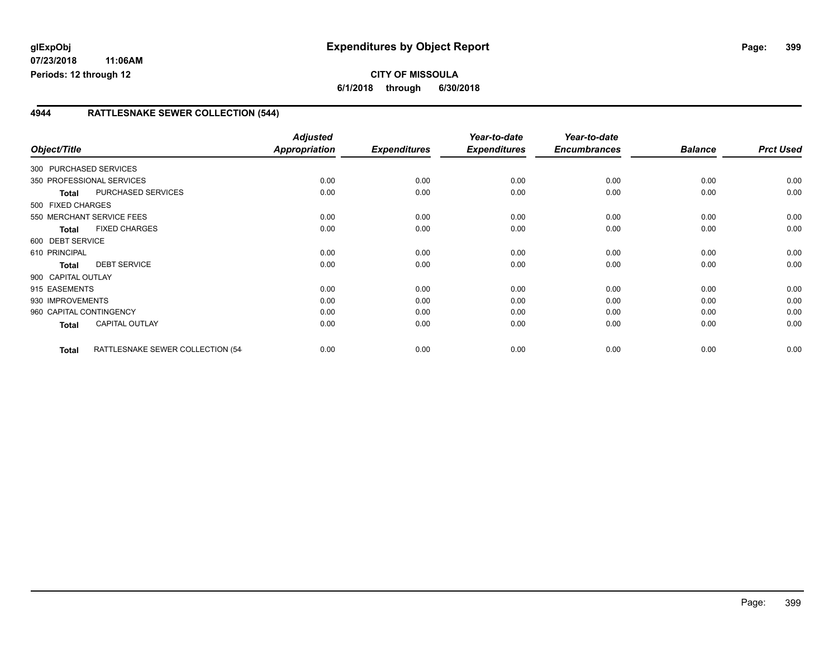**CITY OF MISSOULA 6/1/2018 through 6/30/2018**

## **4944 RATTLESNAKE SEWER COLLECTION (544)**

|                         |                                  | <b>Adjusted</b>      |                     | Year-to-date        | Year-to-date        |                |                  |
|-------------------------|----------------------------------|----------------------|---------------------|---------------------|---------------------|----------------|------------------|
| Object/Title            |                                  | <b>Appropriation</b> | <b>Expenditures</b> | <b>Expenditures</b> | <b>Encumbrances</b> | <b>Balance</b> | <b>Prct Used</b> |
| 300 PURCHASED SERVICES  |                                  |                      |                     |                     |                     |                |                  |
|                         | 350 PROFESSIONAL SERVICES        | 0.00                 | 0.00                | 0.00                | 0.00                | 0.00           | 0.00             |
| Total                   | PURCHASED SERVICES               | 0.00                 | 0.00                | 0.00                | 0.00                | 0.00           | 0.00             |
| 500 FIXED CHARGES       |                                  |                      |                     |                     |                     |                |                  |
|                         | 550 MERCHANT SERVICE FEES        | 0.00                 | 0.00                | 0.00                | 0.00                | 0.00           | 0.00             |
| <b>Total</b>            | <b>FIXED CHARGES</b>             | 0.00                 | 0.00                | 0.00                | 0.00                | 0.00           | 0.00             |
| 600 DEBT SERVICE        |                                  |                      |                     |                     |                     |                |                  |
| 610 PRINCIPAL           |                                  | 0.00                 | 0.00                | 0.00                | 0.00                | 0.00           | 0.00             |
| Total                   | <b>DEBT SERVICE</b>              | 0.00                 | 0.00                | 0.00                | 0.00                | 0.00           | 0.00             |
| 900 CAPITAL OUTLAY      |                                  |                      |                     |                     |                     |                |                  |
| 915 EASEMENTS           |                                  | 0.00                 | 0.00                | 0.00                | 0.00                | 0.00           | 0.00             |
| 930 IMPROVEMENTS        |                                  | 0.00                 | 0.00                | 0.00                | 0.00                | 0.00           | 0.00             |
| 960 CAPITAL CONTINGENCY |                                  | 0.00                 | 0.00                | 0.00                | 0.00                | 0.00           | 0.00             |
| <b>Total</b>            | <b>CAPITAL OUTLAY</b>            | 0.00                 | 0.00                | 0.00                | 0.00                | 0.00           | 0.00             |
|                         |                                  |                      |                     |                     |                     |                |                  |
| <b>Total</b>            | RATTLESNAKE SEWER COLLECTION (54 | 0.00                 | 0.00                | 0.00                | 0.00                | 0.00           | 0.00             |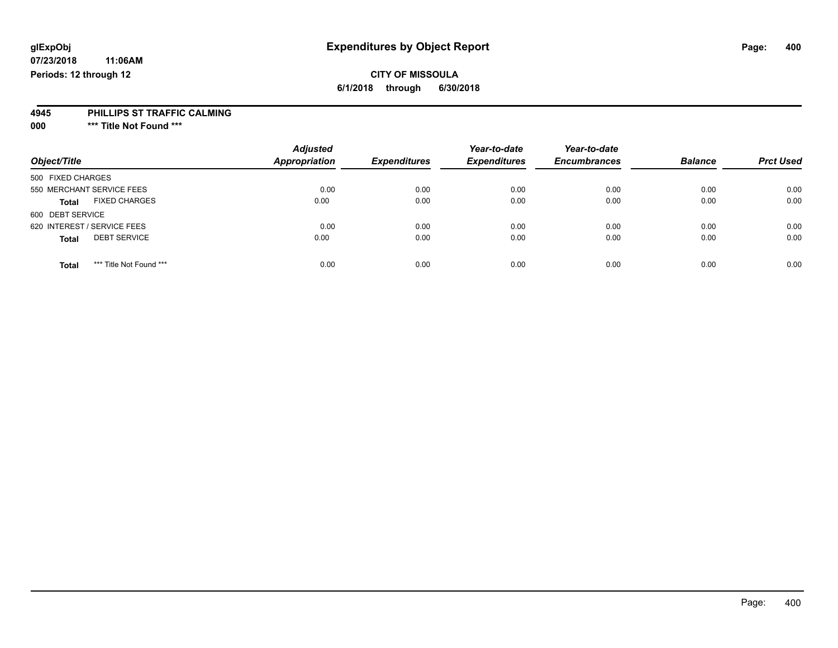## **CITY OF MISSOULA 6/1/2018 through 6/30/2018**

### **4945 PHILLIPS ST TRAFFIC CALMING**

| Object/Title                            | <b>Adjusted</b><br><b>Appropriation</b> | <b>Expenditures</b> | Year-to-date<br><b>Expenditures</b> | Year-to-date<br><b>Encumbrances</b> | <b>Balance</b> | <b>Prct Used</b> |
|-----------------------------------------|-----------------------------------------|---------------------|-------------------------------------|-------------------------------------|----------------|------------------|
| 500 FIXED CHARGES                       |                                         |                     |                                     |                                     |                |                  |
| 550 MERCHANT SERVICE FEES               | 0.00                                    | 0.00                | 0.00                                | 0.00                                | 0.00           | 0.00             |
| <b>FIXED CHARGES</b><br><b>Total</b>    | 0.00                                    | 0.00                | 0.00                                | 0.00                                | 0.00           | 0.00             |
| 600 DEBT SERVICE                        |                                         |                     |                                     |                                     |                |                  |
| 620 INTEREST / SERVICE FEES             | 0.00                                    | 0.00                | 0.00                                | 0.00                                | 0.00           | 0.00             |
| <b>DEBT SERVICE</b><br><b>Total</b>     | 0.00                                    | 0.00                | 0.00                                | 0.00                                | 0.00           | 0.00             |
| *** Title Not Found ***<br><b>Total</b> | 0.00                                    | 0.00                | 0.00                                | 0.00                                | 0.00           | 0.00             |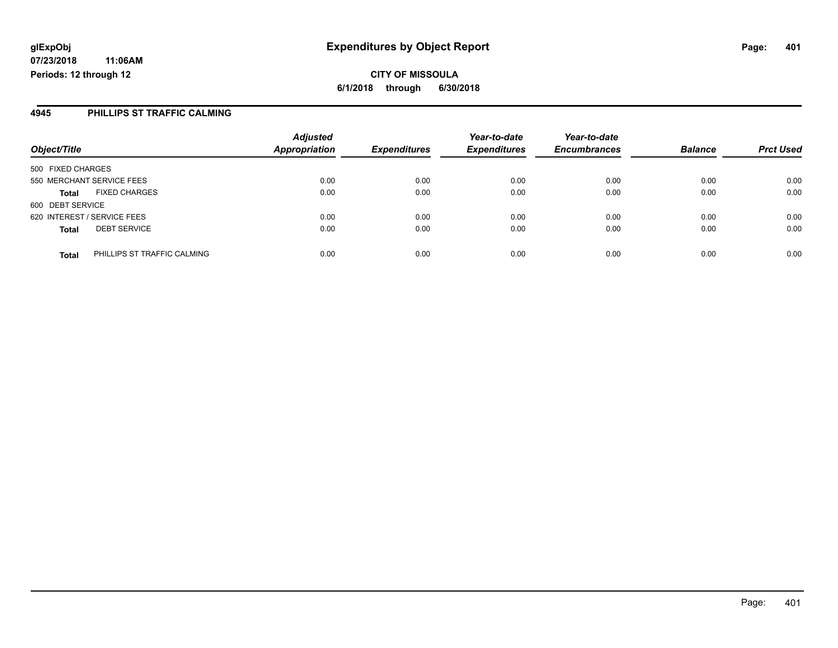**CITY OF MISSOULA 6/1/2018 through 6/30/2018**

## **4945 PHILLIPS ST TRAFFIC CALMING**

|                                             | <b>Adjusted</b><br><b>Appropriation</b> |                     | Year-to-date        | Year-to-date        | <b>Balance</b> |                  |
|---------------------------------------------|-----------------------------------------|---------------------|---------------------|---------------------|----------------|------------------|
| Object/Title                                |                                         | <b>Expenditures</b> | <b>Expenditures</b> | <b>Encumbrances</b> |                | <b>Prct Used</b> |
| 500 FIXED CHARGES                           |                                         |                     |                     |                     |                |                  |
| 550 MERCHANT SERVICE FEES                   | 0.00                                    | 0.00                | 0.00                | 0.00                | 0.00           | 0.00             |
| <b>FIXED CHARGES</b><br><b>Total</b>        | 0.00                                    | 0.00                | 0.00                | 0.00                | 0.00           | 0.00             |
| 600 DEBT SERVICE                            |                                         |                     |                     |                     |                |                  |
| 620 INTEREST / SERVICE FEES                 | 0.00                                    | 0.00                | 0.00                | 0.00                | 0.00           | 0.00             |
| <b>DEBT SERVICE</b><br><b>Total</b>         | 0.00                                    | 0.00                | 0.00                | 0.00                | 0.00           | 0.00             |
| PHILLIPS ST TRAFFIC CALMING<br><b>Total</b> | 0.00                                    | 0.00                | 0.00                | 0.00                | 0.00           | 0.00             |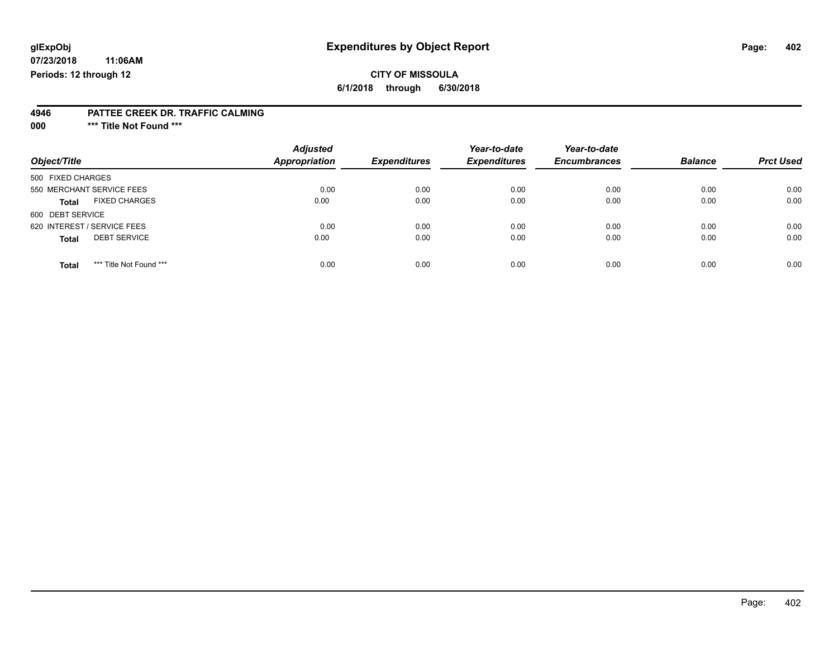## **CITY OF MISSOULA 6/1/2018 through 6/30/2018**

#### **4946 PATTEE CREEK DR. TRAFFIC CALMING**

| Object/Title                            | <b>Adjusted</b><br><b>Appropriation</b> | <b>Expenditures</b> | Year-to-date<br><b>Expenditures</b> | Year-to-date<br><b>Encumbrances</b> | <b>Balance</b> | <b>Prct Used</b> |
|-----------------------------------------|-----------------------------------------|---------------------|-------------------------------------|-------------------------------------|----------------|------------------|
| 500 FIXED CHARGES                       |                                         |                     |                                     |                                     |                |                  |
| 550 MERCHANT SERVICE FEES               | 0.00                                    | 0.00                | 0.00                                | 0.00                                | 0.00           | 0.00             |
| <b>FIXED CHARGES</b><br><b>Total</b>    | 0.00                                    | 0.00                | 0.00                                | 0.00                                | 0.00           | 0.00             |
| 600 DEBT SERVICE                        |                                         |                     |                                     |                                     |                |                  |
| 620 INTEREST / SERVICE FEES             | 0.00                                    | 0.00                | 0.00                                | 0.00                                | 0.00           | 0.00             |
| <b>DEBT SERVICE</b><br><b>Total</b>     | 0.00                                    | 0.00                | 0.00                                | 0.00                                | 0.00           | 0.00             |
| *** Title Not Found ***<br><b>Total</b> | 0.00                                    | 0.00                | 0.00                                | 0.00                                | 0.00           | 0.00             |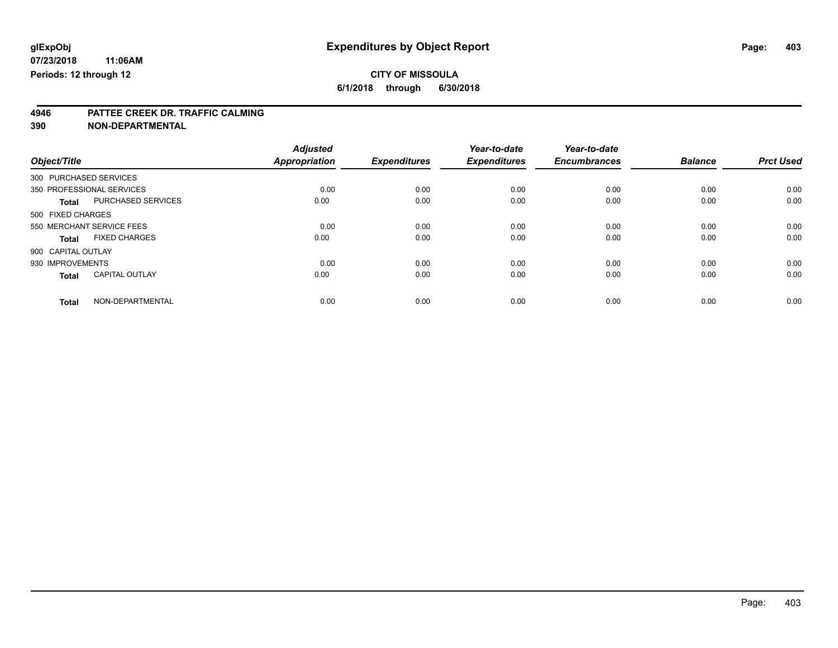# **4946 PATTEE CREEK DR. TRAFFIC CALMING**

**390 NON-DEPARTMENTAL**

|                                       | <b>Adjusted</b><br><b>Appropriation</b> | <b>Expenditures</b> | Year-to-date<br><b>Expenditures</b> | Year-to-date        | <b>Balance</b> | <b>Prct Used</b> |
|---------------------------------------|-----------------------------------------|---------------------|-------------------------------------|---------------------|----------------|------------------|
| Object/Title                          |                                         |                     |                                     | <b>Encumbrances</b> |                |                  |
| 300 PURCHASED SERVICES                |                                         |                     |                                     |                     |                |                  |
| 350 PROFESSIONAL SERVICES             | 0.00                                    | 0.00                | 0.00                                | 0.00                | 0.00           | 0.00             |
| PURCHASED SERVICES<br><b>Total</b>    | 0.00                                    | 0.00                | 0.00                                | 0.00                | 0.00           | 0.00             |
| 500 FIXED CHARGES                     |                                         |                     |                                     |                     |                |                  |
| 550 MERCHANT SERVICE FEES             | 0.00                                    | 0.00                | 0.00                                | 0.00                | 0.00           | 0.00             |
| <b>FIXED CHARGES</b><br>Total         | 0.00                                    | 0.00                | 0.00                                | 0.00                | 0.00           | 0.00             |
| 900 CAPITAL OUTLAY                    |                                         |                     |                                     |                     |                |                  |
| 930 IMPROVEMENTS                      | 0.00                                    | 0.00                | 0.00                                | 0.00                | 0.00           | 0.00             |
| <b>CAPITAL OUTLAY</b><br><b>Total</b> | 0.00                                    | 0.00                | 0.00                                | 0.00                | 0.00           | 0.00             |
| NON-DEPARTMENTAL<br><b>Total</b>      | 0.00                                    | 0.00                | 0.00                                | 0.00                | 0.00           | 0.00             |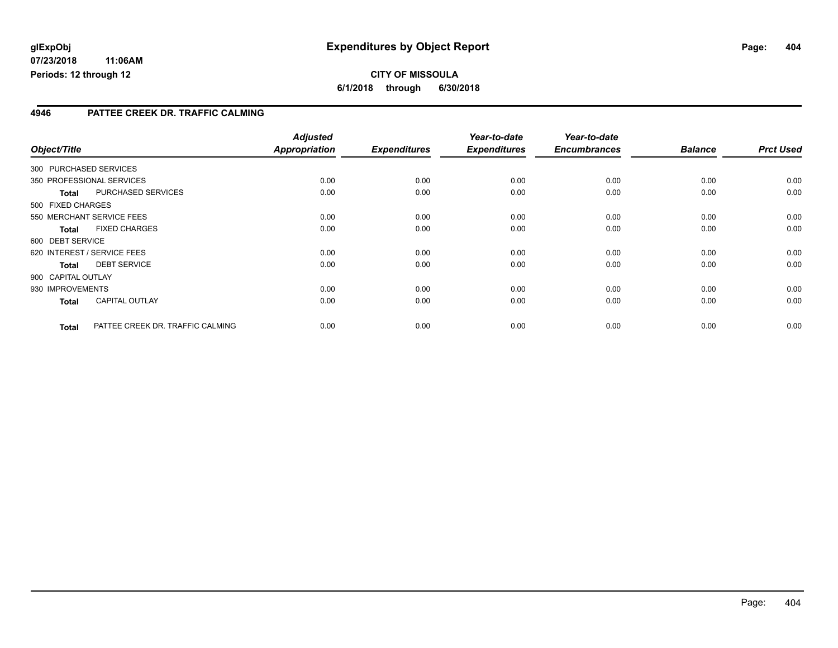# **CITY OF MISSOULA 6/1/2018 through 6/30/2018**

## **4946 PATTEE CREEK DR. TRAFFIC CALMING**

|                  |                                  | <b>Adjusted</b> |                     | Year-to-date        | Year-to-date        |                |                  |
|------------------|----------------------------------|-----------------|---------------------|---------------------|---------------------|----------------|------------------|
| Object/Title     |                                  | Appropriation   | <b>Expenditures</b> | <b>Expenditures</b> | <b>Encumbrances</b> | <b>Balance</b> | <b>Prct Used</b> |
|                  | 300 PURCHASED SERVICES           |                 |                     |                     |                     |                |                  |
|                  | 350 PROFESSIONAL SERVICES        | 0.00            | 0.00                | 0.00                | 0.00                | 0.00           | 0.00             |
| <b>Total</b>     | PURCHASED SERVICES               | 0.00            | 0.00                | 0.00                | 0.00                | 0.00           | 0.00             |
|                  | 500 FIXED CHARGES                |                 |                     |                     |                     |                |                  |
|                  | 550 MERCHANT SERVICE FEES        | 0.00            | 0.00                | 0.00                | 0.00                | 0.00           | 0.00             |
| <b>Total</b>     | <b>FIXED CHARGES</b>             | 0.00            | 0.00                | 0.00                | 0.00                | 0.00           | 0.00             |
| 600 DEBT SERVICE |                                  |                 |                     |                     |                     |                |                  |
|                  | 620 INTEREST / SERVICE FEES      | 0.00            | 0.00                | 0.00                | 0.00                | 0.00           | 0.00             |
| <b>Total</b>     | <b>DEBT SERVICE</b>              | 0.00            | 0.00                | 0.00                | 0.00                | 0.00           | 0.00             |
|                  | 900 CAPITAL OUTLAY               |                 |                     |                     |                     |                |                  |
| 930 IMPROVEMENTS |                                  | 0.00            | 0.00                | 0.00                | 0.00                | 0.00           | 0.00             |
| <b>Total</b>     | <b>CAPITAL OUTLAY</b>            | 0.00            | 0.00                | 0.00                | 0.00                | 0.00           | 0.00             |
| <b>Total</b>     | PATTEE CREEK DR. TRAFFIC CALMING | 0.00            | 0.00                | 0.00                | 0.00                | 0.00           | 0.00             |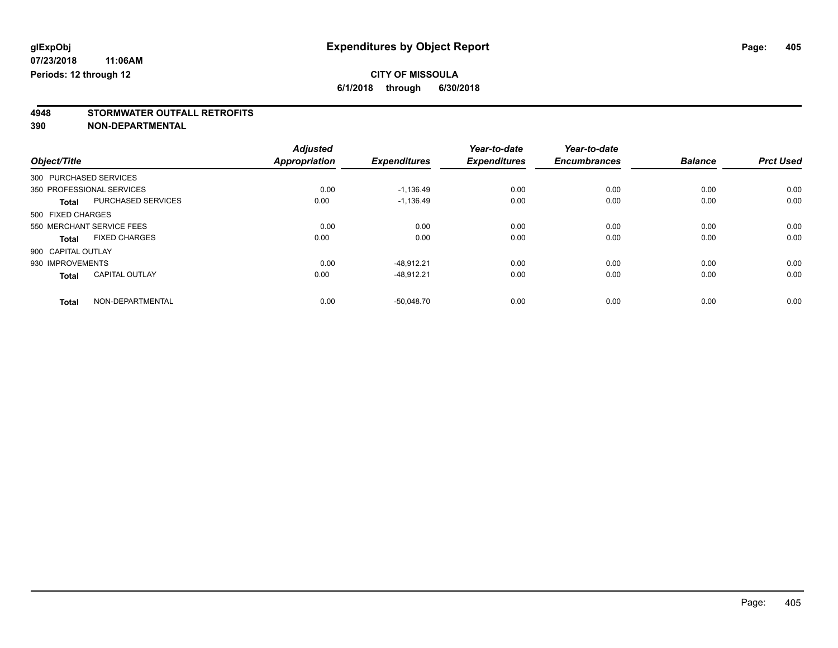# **4948 STORMWATER OUTFALL RETROFITS**

**390 NON-DEPARTMENTAL**

|                                       | <b>Adjusted</b><br><b>Appropriation</b> | <b>Expenditures</b> | Year-to-date<br><b>Expenditures</b> | Year-to-date<br><b>Encumbrances</b> | <b>Balance</b> | <b>Prct Used</b> |
|---------------------------------------|-----------------------------------------|---------------------|-------------------------------------|-------------------------------------|----------------|------------------|
| Object/Title                          |                                         |                     |                                     |                                     |                |                  |
| 300 PURCHASED SERVICES                |                                         |                     |                                     |                                     |                |                  |
| 350 PROFESSIONAL SERVICES             | 0.00                                    | $-1,136.49$         | 0.00                                | 0.00                                | 0.00           | 0.00             |
| PURCHASED SERVICES<br><b>Total</b>    | 0.00                                    | $-1,136.49$         | 0.00                                | 0.00                                | 0.00           | 0.00             |
| 500 FIXED CHARGES                     |                                         |                     |                                     |                                     |                |                  |
| 550 MERCHANT SERVICE FEES             | 0.00                                    | 0.00                | 0.00                                | 0.00                                | 0.00           | 0.00             |
| <b>FIXED CHARGES</b><br><b>Total</b>  | 0.00                                    | 0.00                | 0.00                                | 0.00                                | 0.00           | 0.00             |
| 900 CAPITAL OUTLAY                    |                                         |                     |                                     |                                     |                |                  |
| 930 IMPROVEMENTS                      | 0.00                                    | $-48.912.21$        | 0.00                                | 0.00                                | 0.00           | 0.00             |
| <b>CAPITAL OUTLAY</b><br><b>Total</b> | 0.00                                    | $-48,912.21$        | 0.00                                | 0.00                                | 0.00           | 0.00             |
| NON-DEPARTMENTAL<br><b>Total</b>      | 0.00                                    | $-50.048.70$        | 0.00                                | 0.00                                | 0.00           | 0.00             |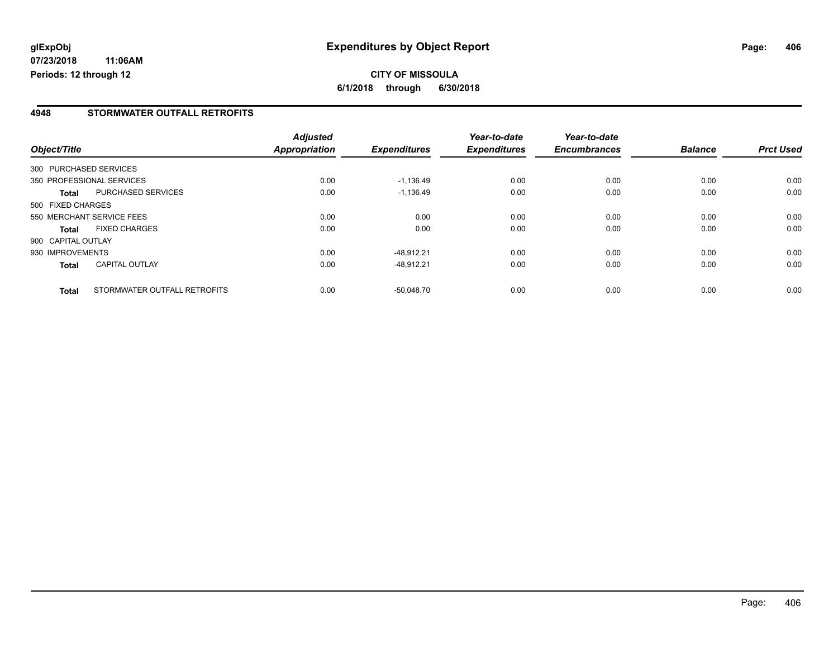# **CITY OF MISSOULA 6/1/2018 through 6/30/2018**

## **4948 STORMWATER OUTFALL RETROFITS**

|                        |                              | <b>Adjusted</b>      |                     | Year-to-date        | Year-to-date        |                |                  |
|------------------------|------------------------------|----------------------|---------------------|---------------------|---------------------|----------------|------------------|
| Object/Title           |                              | <b>Appropriation</b> | <b>Expenditures</b> | <b>Expenditures</b> | <b>Encumbrances</b> | <b>Balance</b> | <b>Prct Used</b> |
| 300 PURCHASED SERVICES |                              |                      |                     |                     |                     |                |                  |
|                        | 350 PROFESSIONAL SERVICES    | 0.00                 | $-1,136.49$         | 0.00                | 0.00                | 0.00           | 0.00             |
| <b>Total</b>           | PURCHASED SERVICES           | 0.00                 | $-1,136.49$         | 0.00                | 0.00                | 0.00           | 0.00             |
| 500 FIXED CHARGES      |                              |                      |                     |                     |                     |                |                  |
|                        | 550 MERCHANT SERVICE FEES    | 0.00                 | 0.00                | 0.00                | 0.00                | 0.00           | 0.00             |
| Total                  | <b>FIXED CHARGES</b>         | 0.00                 | 0.00                | 0.00                | 0.00                | 0.00           | 0.00             |
| 900 CAPITAL OUTLAY     |                              |                      |                     |                     |                     |                |                  |
| 930 IMPROVEMENTS       |                              | 0.00                 | -48.912.21          | 0.00                | 0.00                | 0.00           | 0.00             |
| <b>Total</b>           | <b>CAPITAL OUTLAY</b>        | 0.00                 | $-48.912.21$        | 0.00                | 0.00                | 0.00           | 0.00             |
| <b>Total</b>           | STORMWATER OUTFALL RETROFITS | 0.00                 | $-50.048.70$        | 0.00                | 0.00                | 0.00           | 0.00             |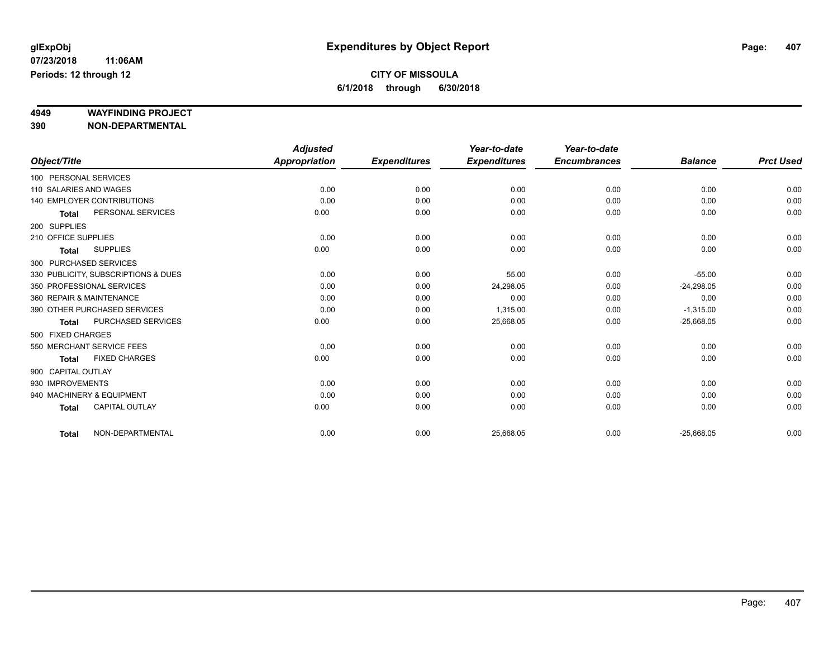# **4949 WAYFINDING PROJECT**

**390 NON-DEPARTMENTAL**

|                           |                                     | <b>Adjusted</b>      |                     | Year-to-date        | Year-to-date        |                |                  |
|---------------------------|-------------------------------------|----------------------|---------------------|---------------------|---------------------|----------------|------------------|
| Object/Title              |                                     | <b>Appropriation</b> | <b>Expenditures</b> | <b>Expenditures</b> | <b>Encumbrances</b> | <b>Balance</b> | <b>Prct Used</b> |
| 100 PERSONAL SERVICES     |                                     |                      |                     |                     |                     |                |                  |
| 110 SALARIES AND WAGES    |                                     | 0.00                 | 0.00                | 0.00                | 0.00                | 0.00           | 0.00             |
|                           | <b>140 EMPLOYER CONTRIBUTIONS</b>   | 0.00                 | 0.00                | 0.00                | 0.00                | 0.00           | 0.00             |
| <b>Total</b>              | PERSONAL SERVICES                   | 0.00                 | 0.00                | 0.00                | 0.00                | 0.00           | 0.00             |
| 200 SUPPLIES              |                                     |                      |                     |                     |                     |                |                  |
| 210 OFFICE SUPPLIES       |                                     | 0.00                 | 0.00                | 0.00                | 0.00                | 0.00           | 0.00             |
| <b>Total</b>              | <b>SUPPLIES</b>                     | 0.00                 | 0.00                | 0.00                | 0.00                | 0.00           | 0.00             |
| 300 PURCHASED SERVICES    |                                     |                      |                     |                     |                     |                |                  |
|                           | 330 PUBLICITY, SUBSCRIPTIONS & DUES | 0.00                 | 0.00                | 55.00               | 0.00                | $-55.00$       | 0.00             |
| 350 PROFESSIONAL SERVICES |                                     | 0.00                 | 0.00                | 24,298.05           | 0.00                | $-24,298.05$   | 0.00             |
| 360 REPAIR & MAINTENANCE  |                                     | 0.00                 | 0.00                | 0.00                | 0.00                | 0.00           | 0.00             |
|                           | 390 OTHER PURCHASED SERVICES        | 0.00                 | 0.00                | 1,315.00            | 0.00                | $-1,315.00$    | 0.00             |
| <b>Total</b>              | PURCHASED SERVICES                  | 0.00                 | 0.00                | 25,668.05           | 0.00                | $-25,668.05$   | 0.00             |
| 500 FIXED CHARGES         |                                     |                      |                     |                     |                     |                |                  |
| 550 MERCHANT SERVICE FEES |                                     | 0.00                 | 0.00                | 0.00                | 0.00                | 0.00           | 0.00             |
| <b>Total</b>              | <b>FIXED CHARGES</b>                | 0.00                 | 0.00                | 0.00                | 0.00                | 0.00           | 0.00             |
| 900 CAPITAL OUTLAY        |                                     |                      |                     |                     |                     |                |                  |
| 930 IMPROVEMENTS          |                                     | 0.00                 | 0.00                | 0.00                | 0.00                | 0.00           | 0.00             |
| 940 MACHINERY & EQUIPMENT |                                     | 0.00                 | 0.00                | 0.00                | 0.00                | 0.00           | 0.00             |
| <b>Total</b>              | <b>CAPITAL OUTLAY</b>               | 0.00                 | 0.00                | 0.00                | 0.00                | 0.00           | 0.00             |
| <b>Total</b>              | NON-DEPARTMENTAL                    | 0.00                 | 0.00                | 25,668.05           | 0.00                | $-25,668.05$   | 0.00             |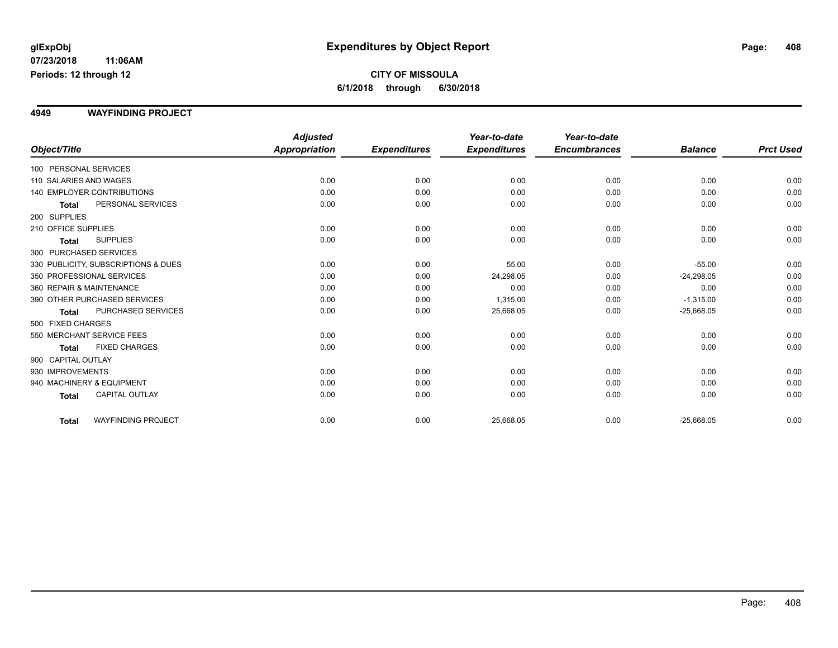### **4949 WAYFINDING PROJECT**

|                                           | <b>Adjusted</b>      |                     | Year-to-date        | Year-to-date        |                |                  |
|-------------------------------------------|----------------------|---------------------|---------------------|---------------------|----------------|------------------|
| Object/Title                              | <b>Appropriation</b> | <b>Expenditures</b> | <b>Expenditures</b> | <b>Encumbrances</b> | <b>Balance</b> | <b>Prct Used</b> |
| 100 PERSONAL SERVICES                     |                      |                     |                     |                     |                |                  |
| 110 SALARIES AND WAGES                    | 0.00                 | 0.00                | 0.00                | 0.00                | 0.00           | 0.00             |
| <b>140 EMPLOYER CONTRIBUTIONS</b>         | 0.00                 | 0.00                | 0.00                | 0.00                | 0.00           | 0.00             |
| PERSONAL SERVICES<br><b>Total</b>         | 0.00                 | 0.00                | 0.00                | 0.00                | 0.00           | 0.00             |
| 200 SUPPLIES                              |                      |                     |                     |                     |                |                  |
| 210 OFFICE SUPPLIES                       | 0.00                 | 0.00                | 0.00                | 0.00                | 0.00           | 0.00             |
| <b>SUPPLIES</b><br><b>Total</b>           | 0.00                 | 0.00                | 0.00                | 0.00                | 0.00           | 0.00             |
| 300 PURCHASED SERVICES                    |                      |                     |                     |                     |                |                  |
| 330 PUBLICITY, SUBSCRIPTIONS & DUES       | 0.00                 | 0.00                | 55.00               | 0.00                | $-55.00$       | 0.00             |
| 350 PROFESSIONAL SERVICES                 | 0.00                 | 0.00                | 24,298.05           | 0.00                | $-24,298.05$   | 0.00             |
| 360 REPAIR & MAINTENANCE                  | 0.00                 | 0.00                | 0.00                | 0.00                | 0.00           | 0.00             |
| 390 OTHER PURCHASED SERVICES              | 0.00                 | 0.00                | 1,315.00            | 0.00                | $-1,315.00$    | 0.00             |
| <b>PURCHASED SERVICES</b><br><b>Total</b> | 0.00                 | 0.00                | 25,668.05           | 0.00                | $-25,668.05$   | 0.00             |
| 500 FIXED CHARGES                         |                      |                     |                     |                     |                |                  |
| 550 MERCHANT SERVICE FEES                 | 0.00                 | 0.00                | 0.00                | 0.00                | 0.00           | 0.00             |
| <b>FIXED CHARGES</b><br><b>Total</b>      | 0.00                 | 0.00                | 0.00                | 0.00                | 0.00           | 0.00             |
| 900 CAPITAL OUTLAY                        |                      |                     |                     |                     |                |                  |
| 930 IMPROVEMENTS                          | 0.00                 | 0.00                | 0.00                | 0.00                | 0.00           | 0.00             |
| 940 MACHINERY & EQUIPMENT                 | 0.00                 | 0.00                | 0.00                | 0.00                | 0.00           | 0.00             |
| CAPITAL OUTLAY<br><b>Total</b>            | 0.00                 | 0.00                | 0.00                | 0.00                | 0.00           | 0.00             |
| <b>WAYFINDING PROJECT</b><br><b>Total</b> | 0.00                 | 0.00                | 25,668.05           | 0.00                | $-25,668.05$   | 0.00             |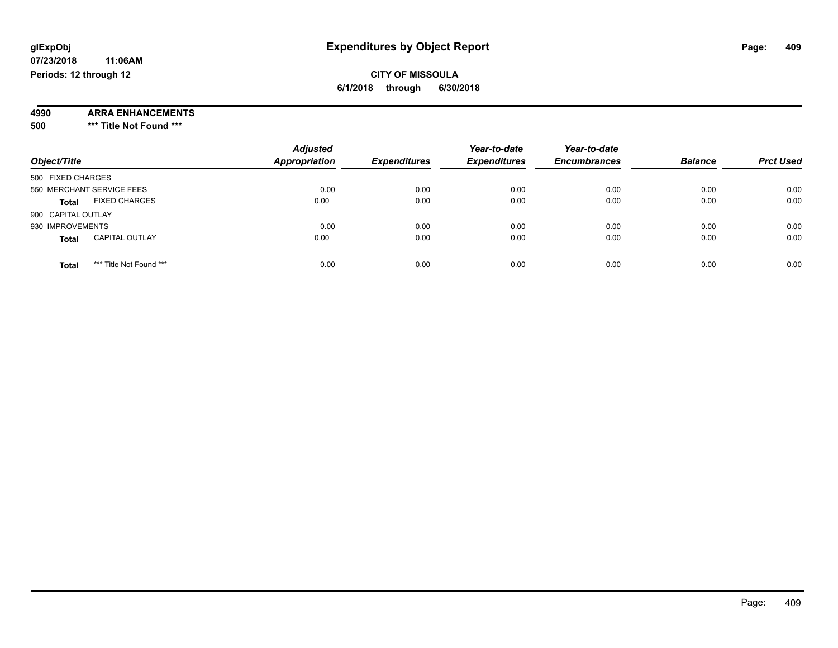# **CITY OF MISSOULA 6/1/2018 through 6/30/2018**

#### **4990 ARRA ENHANCEMENTS**

| Object/Title                            | <b>Adjusted</b><br><b>Appropriation</b> | <b>Expenditures</b> | Year-to-date<br><b>Expenditures</b> | Year-to-date<br><b>Encumbrances</b> | <b>Balance</b> | <b>Prct Used</b> |
|-----------------------------------------|-----------------------------------------|---------------------|-------------------------------------|-------------------------------------|----------------|------------------|
| 500 FIXED CHARGES                       |                                         |                     |                                     |                                     |                |                  |
| 550 MERCHANT SERVICE FEES               | 0.00                                    | 0.00                | 0.00                                | 0.00                                | 0.00           | 0.00             |
| <b>FIXED CHARGES</b><br><b>Total</b>    | 0.00                                    | 0.00                | 0.00                                | 0.00                                | 0.00           | 0.00             |
| 900 CAPITAL OUTLAY                      |                                         |                     |                                     |                                     |                |                  |
| 930 IMPROVEMENTS                        | 0.00                                    | 0.00                | 0.00                                | 0.00                                | 0.00           | 0.00             |
| <b>CAPITAL OUTLAY</b><br><b>Total</b>   | 0.00                                    | 0.00                | 0.00                                | 0.00                                | 0.00           | 0.00             |
| *** Title Not Found ***<br><b>Total</b> | 0.00                                    | 0.00                | 0.00                                | 0.00                                | 0.00           | 0.00             |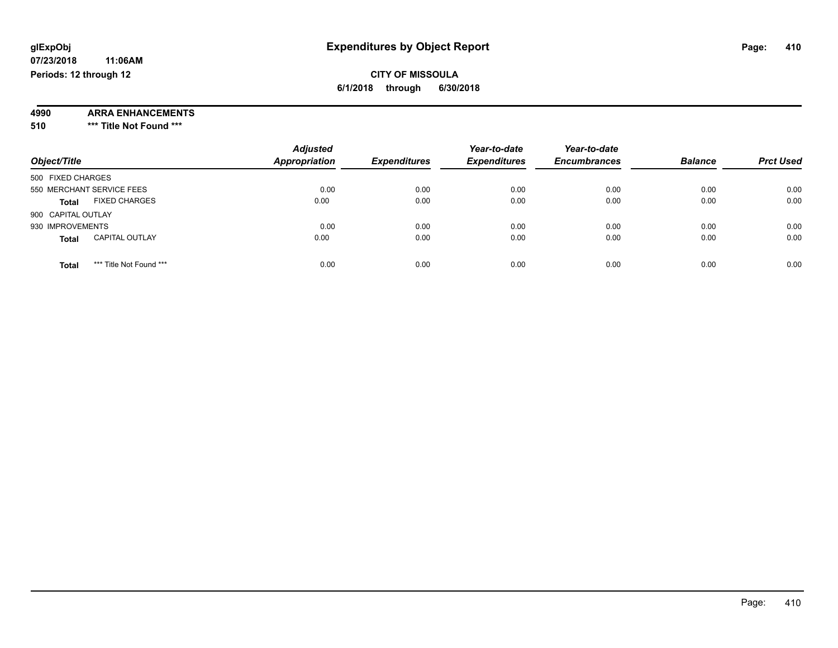# **CITY OF MISSOULA 6/1/2018 through 6/30/2018**

# **4990 ARRA ENHANCEMENTS**

| Object/Title                            | <b>Adjusted</b><br><b>Appropriation</b> | <b>Expenditures</b> | Year-to-date<br><b>Expenditures</b> | Year-to-date<br><b>Encumbrances</b> | <b>Balance</b> | <b>Prct Used</b> |
|-----------------------------------------|-----------------------------------------|---------------------|-------------------------------------|-------------------------------------|----------------|------------------|
| 500 FIXED CHARGES                       |                                         |                     |                                     |                                     |                |                  |
| 550 MERCHANT SERVICE FEES               | 0.00                                    | 0.00                | 0.00                                | 0.00                                | 0.00           | 0.00             |
| <b>FIXED CHARGES</b><br><b>Total</b>    | 0.00                                    | 0.00                | 0.00                                | 0.00                                | 0.00           | 0.00             |
| 900 CAPITAL OUTLAY                      |                                         |                     |                                     |                                     |                |                  |
| 930 IMPROVEMENTS                        | 0.00                                    | 0.00                | 0.00                                | 0.00                                | 0.00           | 0.00             |
| <b>CAPITAL OUTLAY</b><br><b>Total</b>   | 0.00                                    | 0.00                | 0.00                                | 0.00                                | 0.00           | 0.00             |
| *** Title Not Found ***<br><b>Total</b> | 0.00                                    | 0.00                | 0.00                                | 0.00                                | 0.00           | 0.00             |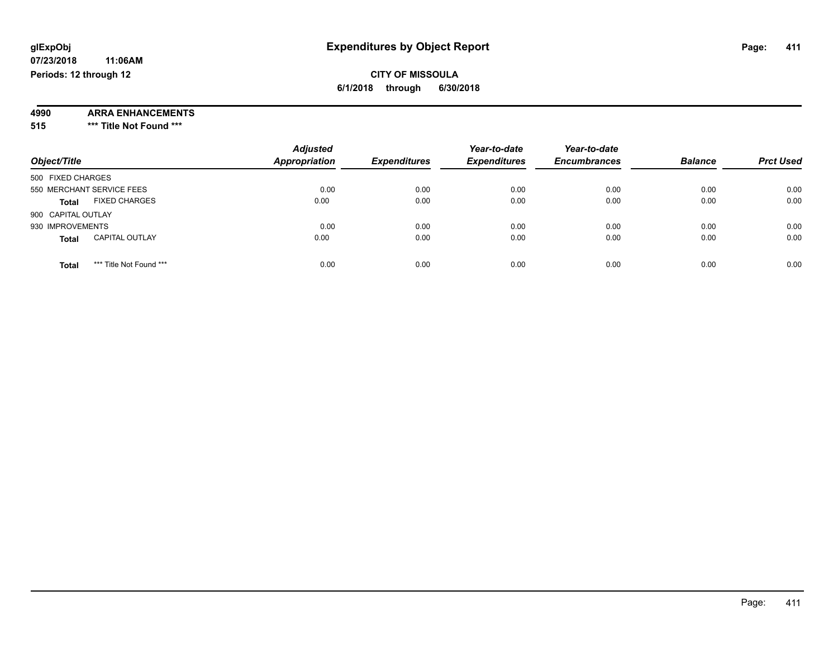# **CITY OF MISSOULA 6/1/2018 through 6/30/2018**

# **4990 ARRA ENHANCEMENTS**

| Object/Title                            | <b>Adjusted</b><br>Appropriation | <b>Expenditures</b> | Year-to-date<br><b>Expenditures</b> | Year-to-date<br><b>Encumbrances</b> | <b>Balance</b> | <b>Prct Used</b> |
|-----------------------------------------|----------------------------------|---------------------|-------------------------------------|-------------------------------------|----------------|------------------|
| 500 FIXED CHARGES                       |                                  |                     |                                     |                                     |                |                  |
| 550 MERCHANT SERVICE FEES               | 0.00                             | 0.00                | 0.00                                | 0.00                                | 0.00           | 0.00             |
| <b>FIXED CHARGES</b><br><b>Total</b>    | 0.00                             | 0.00                | 0.00                                | 0.00                                | 0.00           | 0.00             |
| 900 CAPITAL OUTLAY                      |                                  |                     |                                     |                                     |                |                  |
| 930 IMPROVEMENTS                        | 0.00                             | 0.00                | 0.00                                | 0.00                                | 0.00           | 0.00             |
| <b>CAPITAL OUTLAY</b><br><b>Total</b>   | 0.00                             | 0.00                | 0.00                                | 0.00                                | 0.00           | 0.00             |
| *** Title Not Found ***<br><b>Total</b> | 0.00                             | 0.00                | 0.00                                | 0.00                                | 0.00           | 0.00             |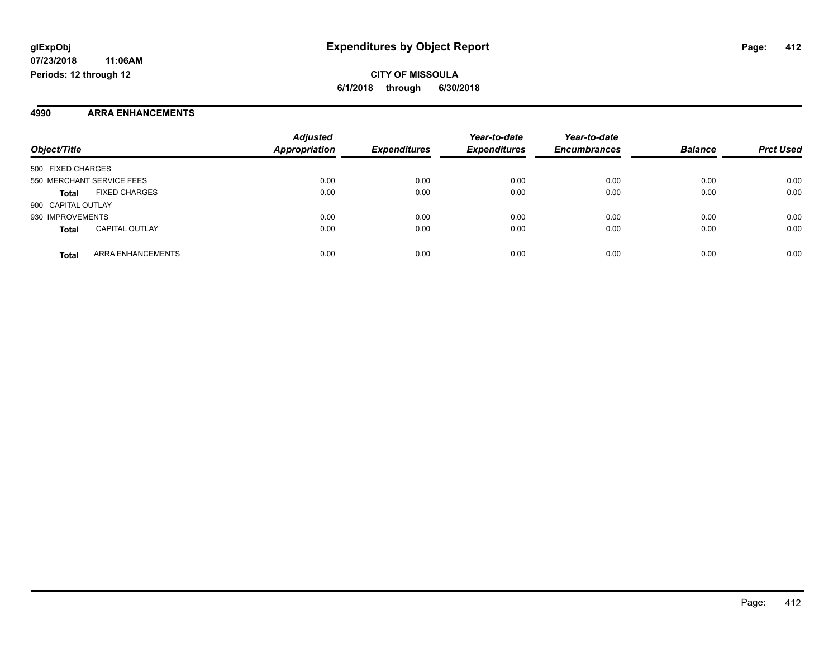### **4990 ARRA ENHANCEMENTS**

|                                       | <b>Adjusted</b>      |                     | Year-to-date        | Year-to-date        |                |                  |
|---------------------------------------|----------------------|---------------------|---------------------|---------------------|----------------|------------------|
| Object/Title                          | <b>Appropriation</b> | <b>Expenditures</b> | <b>Expenditures</b> | <b>Encumbrances</b> | <b>Balance</b> | <b>Prct Used</b> |
| 500 FIXED CHARGES                     |                      |                     |                     |                     |                |                  |
| 550 MERCHANT SERVICE FEES             | 0.00                 | 0.00                | 0.00                | 0.00                | 0.00           | 0.00             |
| <b>FIXED CHARGES</b><br><b>Total</b>  | 0.00                 | 0.00                | 0.00                | 0.00                | 0.00           | 0.00             |
| 900 CAPITAL OUTLAY                    |                      |                     |                     |                     |                |                  |
| 930 IMPROVEMENTS                      | 0.00                 | 0.00                | 0.00                | 0.00                | 0.00           | 0.00             |
| <b>CAPITAL OUTLAY</b><br><b>Total</b> | 0.00                 | 0.00                | 0.00                | 0.00                | 0.00           | 0.00             |
| ARRA ENHANCEMENTS<br><b>Total</b>     | 0.00                 | 0.00                | 0.00                | 0.00                | 0.00           | 0.00             |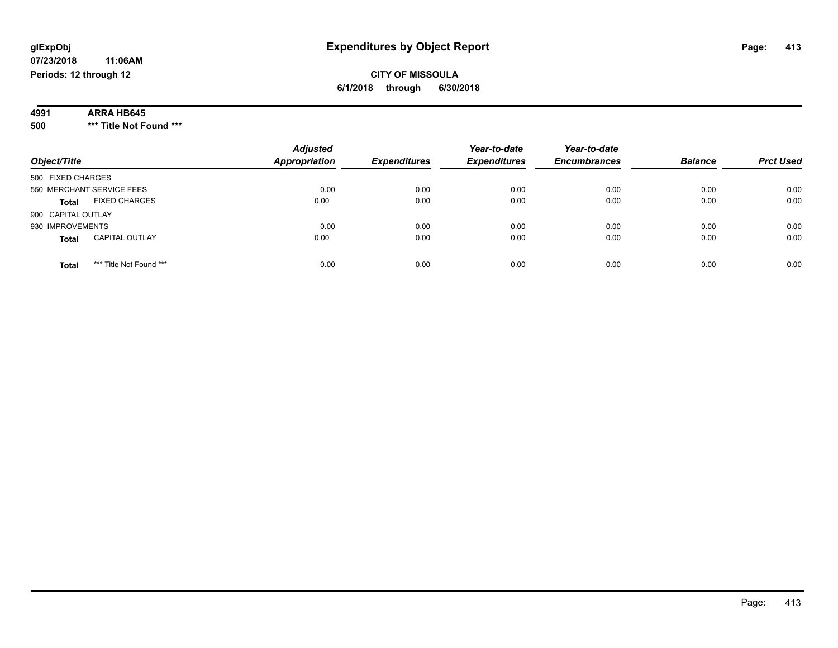# **CITY OF MISSOULA 6/1/2018 through 6/30/2018**

## **4991 ARRA HB645**

| Object/Title                            | <b>Adjusted</b><br><b>Appropriation</b> | <b>Expenditures</b> | Year-to-date<br><b>Expenditures</b> | Year-to-date<br><b>Encumbrances</b> | <b>Balance</b> | <b>Prct Used</b> |
|-----------------------------------------|-----------------------------------------|---------------------|-------------------------------------|-------------------------------------|----------------|------------------|
|                                         |                                         |                     |                                     |                                     |                |                  |
| 500 FIXED CHARGES                       |                                         |                     |                                     |                                     |                |                  |
| 550 MERCHANT SERVICE FEES               | 0.00                                    | 0.00                | 0.00                                | 0.00                                | 0.00           | 0.00             |
| <b>FIXED CHARGES</b><br><b>Total</b>    | 0.00                                    | 0.00                | 0.00                                | 0.00                                | 0.00           | 0.00             |
| 900 CAPITAL OUTLAY                      |                                         |                     |                                     |                                     |                |                  |
| 930 IMPROVEMENTS                        | 0.00                                    | 0.00                | 0.00                                | 0.00                                | 0.00           | 0.00             |
| <b>CAPITAL OUTLAY</b><br><b>Total</b>   | 0.00                                    | 0.00                | 0.00                                | 0.00                                | 0.00           | 0.00             |
| *** Title Not Found ***<br><b>Total</b> | 0.00                                    | 0.00                | 0.00                                | 0.00                                | 0.00           | 0.00             |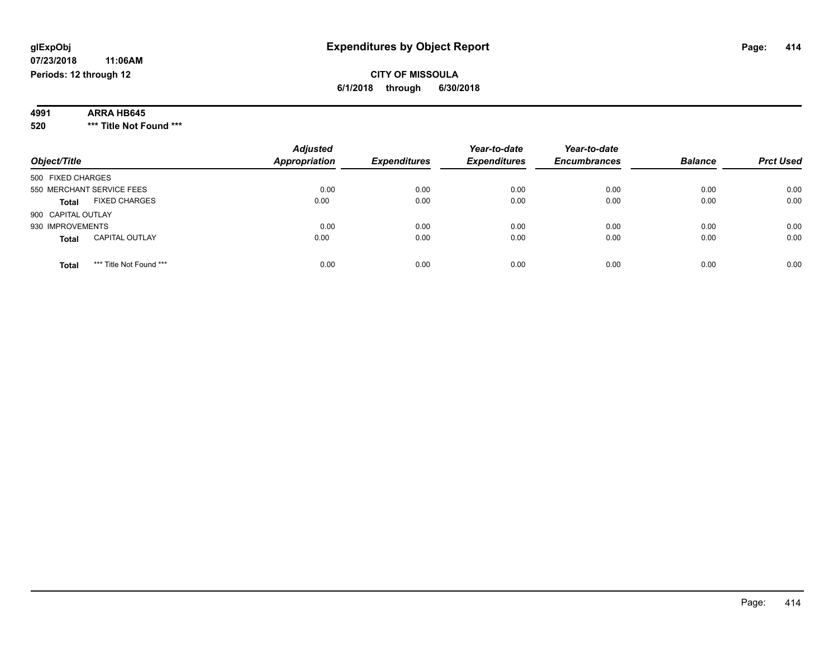# **CITY OF MISSOULA 6/1/2018 through 6/30/2018**

## **4991 ARRA HB645**

| Object/Title                            | <b>Adjusted</b><br><b>Appropriation</b> | <b>Expenditures</b> | Year-to-date<br><b>Expenditures</b> | Year-to-date<br><b>Encumbrances</b> | <b>Balance</b> | <b>Prct Used</b> |
|-----------------------------------------|-----------------------------------------|---------------------|-------------------------------------|-------------------------------------|----------------|------------------|
| 500 FIXED CHARGES                       |                                         |                     |                                     |                                     |                |                  |
| 550 MERCHANT SERVICE FEES               | 0.00                                    | 0.00                | 0.00                                | 0.00                                | 0.00           | 0.00             |
| <b>FIXED CHARGES</b><br><b>Total</b>    | 0.00                                    | 0.00                | 0.00                                | 0.00                                | 0.00           | 0.00             |
| 900 CAPITAL OUTLAY                      |                                         |                     |                                     |                                     |                |                  |
| 930 IMPROVEMENTS                        | 0.00                                    | 0.00                | 0.00                                | 0.00                                | 0.00           | 0.00             |
| <b>CAPITAL OUTLAY</b><br><b>Total</b>   | 0.00                                    | 0.00                | 0.00                                | 0.00                                | 0.00           | 0.00             |
| *** Title Not Found ***<br><b>Total</b> | 0.00                                    | 0.00                | 0.00                                | 0.00                                | 0.00           | 0.00             |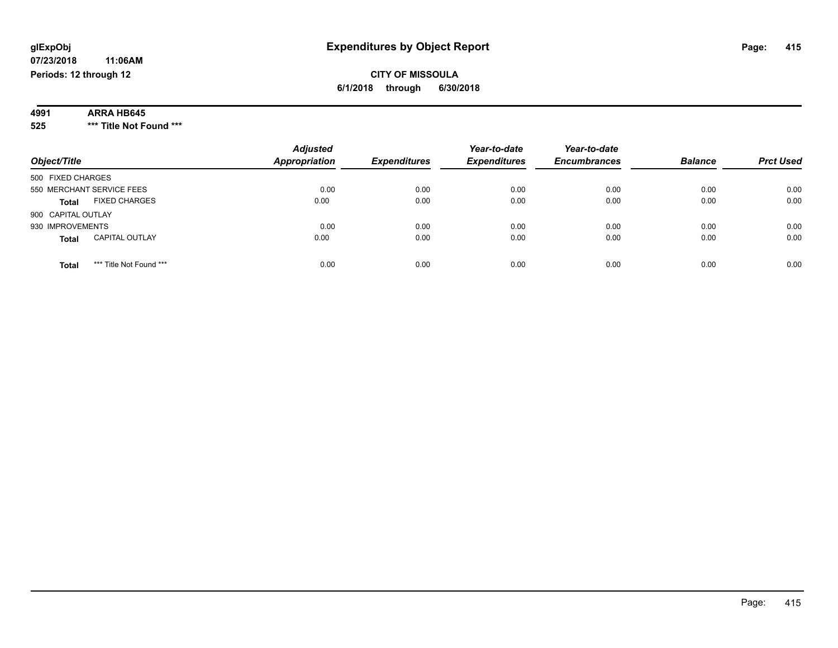# **CITY OF MISSOULA 6/1/2018 through 6/30/2018**

# **4991 ARRA HB645**

| Object/Title                            | <b>Adjusted</b><br><b>Appropriation</b> | <b>Expenditures</b> | Year-to-date<br><b>Expenditures</b> | Year-to-date<br><b>Encumbrances</b> | <b>Balance</b> | <b>Prct Used</b> |
|-----------------------------------------|-----------------------------------------|---------------------|-------------------------------------|-------------------------------------|----------------|------------------|
| 500 FIXED CHARGES                       |                                         |                     |                                     |                                     |                |                  |
| 550 MERCHANT SERVICE FEES               | 0.00                                    | 0.00                | 0.00                                | 0.00                                | 0.00           | 0.00             |
| <b>FIXED CHARGES</b><br><b>Total</b>    | 0.00                                    | 0.00                | 0.00                                | 0.00                                | 0.00           | 0.00             |
| 900 CAPITAL OUTLAY                      |                                         |                     |                                     |                                     |                |                  |
| 930 IMPROVEMENTS                        | 0.00                                    | 0.00                | 0.00                                | 0.00                                | 0.00           | 0.00             |
| <b>CAPITAL OUTLAY</b><br><b>Total</b>   | 0.00                                    | 0.00                | 0.00                                | 0.00                                | 0.00           | 0.00             |
| *** Title Not Found ***<br><b>Total</b> | 0.00                                    | 0.00                | 0.00                                | 0.00                                | 0.00           | 0.00             |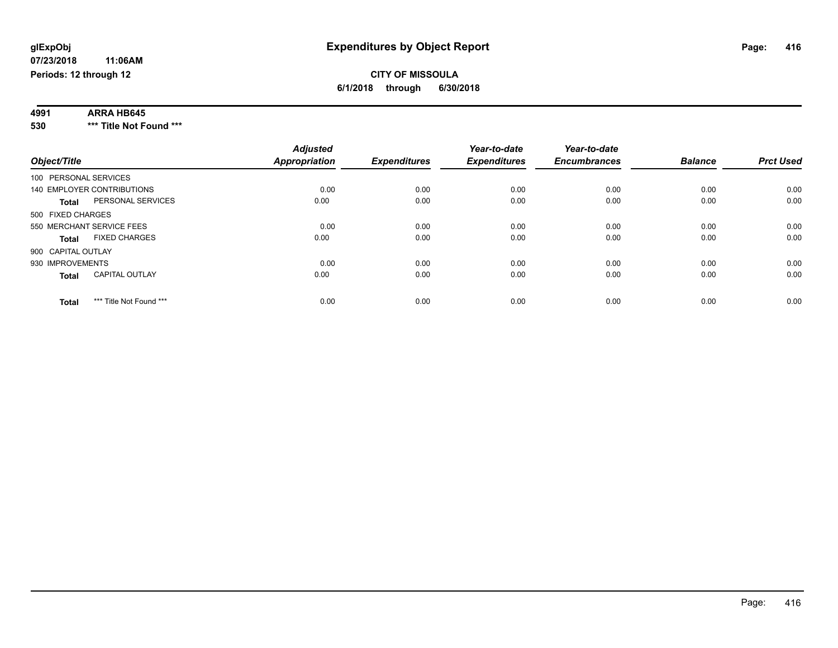# **4991 ARRA HB645**

|                            |                         | <b>Adjusted</b><br><b>Appropriation</b> | <b>Expenditures</b> | Year-to-date<br><b>Expenditures</b> | Year-to-date<br><b>Encumbrances</b> | <b>Balance</b> |      |
|----------------------------|-------------------------|-----------------------------------------|---------------------|-------------------------------------|-------------------------------------|----------------|------|
| Object/Title               | <b>Prct Used</b>        |                                         |                     |                                     |                                     |                |      |
| 100 PERSONAL SERVICES      |                         |                                         |                     |                                     |                                     |                |      |
| 140 EMPLOYER CONTRIBUTIONS |                         | 0.00                                    | 0.00                | 0.00                                | 0.00                                | 0.00           | 0.00 |
| <b>Total</b>               | PERSONAL SERVICES       | 0.00                                    | 0.00                | 0.00                                | 0.00                                | 0.00           | 0.00 |
| 500 FIXED CHARGES          |                         |                                         |                     |                                     |                                     |                |      |
| 550 MERCHANT SERVICE FEES  |                         | 0.00                                    | 0.00                | 0.00                                | 0.00                                | 0.00           | 0.00 |
| <b>Total</b>               | <b>FIXED CHARGES</b>    | 0.00                                    | 0.00                | 0.00                                | 0.00                                | 0.00           | 0.00 |
| 900 CAPITAL OUTLAY         |                         |                                         |                     |                                     |                                     |                |      |
| 930 IMPROVEMENTS           |                         | 0.00                                    | 0.00                | 0.00                                | 0.00                                | 0.00           | 0.00 |
| <b>Total</b>               | <b>CAPITAL OUTLAY</b>   | 0.00                                    | 0.00                | 0.00                                | 0.00                                | 0.00           | 0.00 |
| <b>Total</b>               | *** Title Not Found *** | 0.00                                    | 0.00                | 0.00                                | 0.00                                | 0.00           | 0.00 |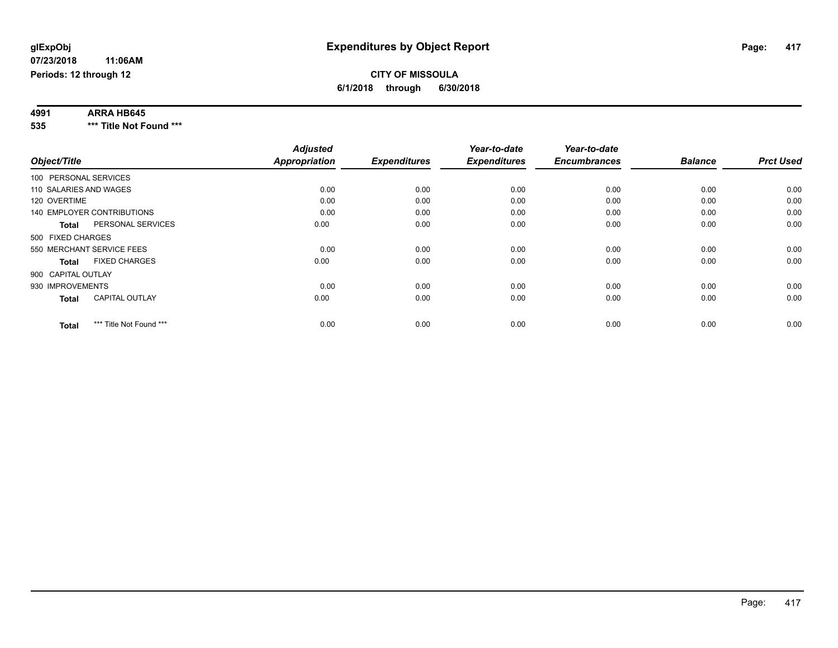# **4991 ARRA HB645**

|                                         | <b>Adjusted</b>      |                     | Year-to-date        | Year-to-date        |                |                  |
|-----------------------------------------|----------------------|---------------------|---------------------|---------------------|----------------|------------------|
| Object/Title                            | <b>Appropriation</b> | <b>Expenditures</b> | <b>Expenditures</b> | <b>Encumbrances</b> | <b>Balance</b> | <b>Prct Used</b> |
| 100 PERSONAL SERVICES                   |                      |                     |                     |                     |                |                  |
| 110 SALARIES AND WAGES                  | 0.00                 | 0.00                | 0.00                | 0.00                | 0.00           | 0.00             |
| 120 OVERTIME                            | 0.00                 | 0.00                | 0.00                | 0.00                | 0.00           | 0.00             |
| 140 EMPLOYER CONTRIBUTIONS              | 0.00                 | 0.00                | 0.00                | 0.00                | 0.00           | 0.00             |
| PERSONAL SERVICES<br><b>Total</b>       | 0.00                 | 0.00                | 0.00                | 0.00                | 0.00           | 0.00             |
| 500 FIXED CHARGES                       |                      |                     |                     |                     |                |                  |
| 550 MERCHANT SERVICE FEES               | 0.00                 | 0.00                | 0.00                | 0.00                | 0.00           | 0.00             |
| <b>FIXED CHARGES</b><br><b>Total</b>    | 0.00                 | 0.00                | 0.00                | 0.00                | 0.00           | 0.00             |
| 900 CAPITAL OUTLAY                      |                      |                     |                     |                     |                |                  |
| 930 IMPROVEMENTS                        | 0.00                 | 0.00                | 0.00                | 0.00                | 0.00           | 0.00             |
| CAPITAL OUTLAY<br><b>Total</b>          | 0.00                 | 0.00                | 0.00                | 0.00                | 0.00           | 0.00             |
| *** Title Not Found ***<br><b>Total</b> | 0.00                 | 0.00                | 0.00                | 0.00                | 0.00           | 0.00             |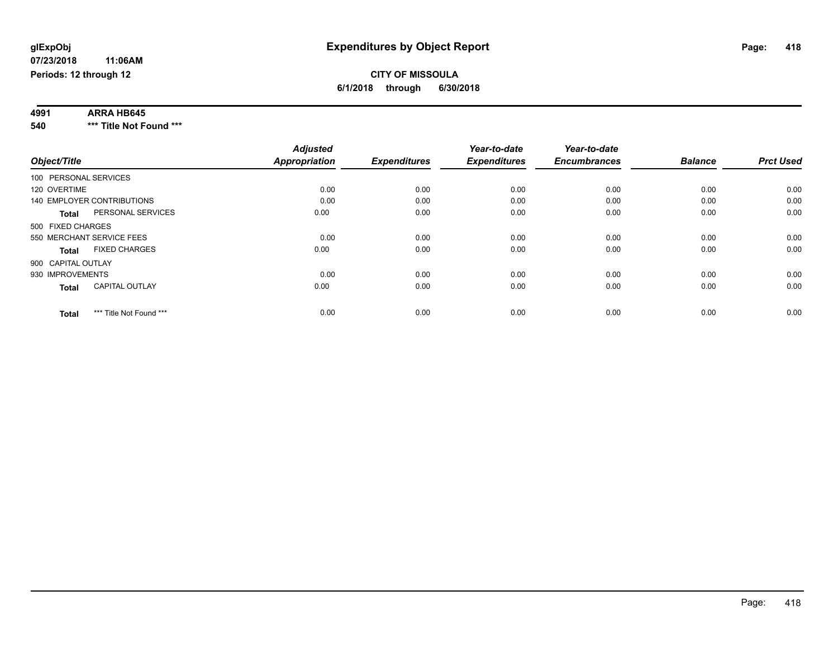# **4991 ARRA HB645**

|                            |                         | <b>Adjusted</b>      |                     | Year-to-date        | Year-to-date        |                |                  |
|----------------------------|-------------------------|----------------------|---------------------|---------------------|---------------------|----------------|------------------|
| Object/Title               |                         | <b>Appropriation</b> | <b>Expenditures</b> | <b>Expenditures</b> | <b>Encumbrances</b> | <b>Balance</b> | <b>Prct Used</b> |
| 100 PERSONAL SERVICES      |                         |                      |                     |                     |                     |                |                  |
| 120 OVERTIME               |                         | 0.00                 | 0.00                | 0.00                | 0.00                | 0.00           | 0.00             |
| 140 EMPLOYER CONTRIBUTIONS |                         | 0.00                 | 0.00                | 0.00                | 0.00                | 0.00           | 0.00             |
| Total                      | PERSONAL SERVICES       | 0.00                 | 0.00                | 0.00                | 0.00                | 0.00           | 0.00             |
| 500 FIXED CHARGES          |                         |                      |                     |                     |                     |                |                  |
| 550 MERCHANT SERVICE FEES  |                         | 0.00                 | 0.00                | 0.00                | 0.00                | 0.00           | 0.00             |
| <b>Total</b>               | <b>FIXED CHARGES</b>    | 0.00                 | 0.00                | 0.00                | 0.00                | 0.00           | 0.00             |
| 900 CAPITAL OUTLAY         |                         |                      |                     |                     |                     |                |                  |
| 930 IMPROVEMENTS           |                         | 0.00                 | 0.00                | 0.00                | 0.00                | 0.00           | 0.00             |
| <b>Total</b>               | <b>CAPITAL OUTLAY</b>   | 0.00                 | 0.00                | 0.00                | 0.00                | 0.00           | 0.00             |
|                            |                         |                      |                     |                     |                     |                |                  |
| <b>Total</b>               | *** Title Not Found *** | 0.00                 | 0.00                | 0.00                | 0.00                | 0.00           | 0.00             |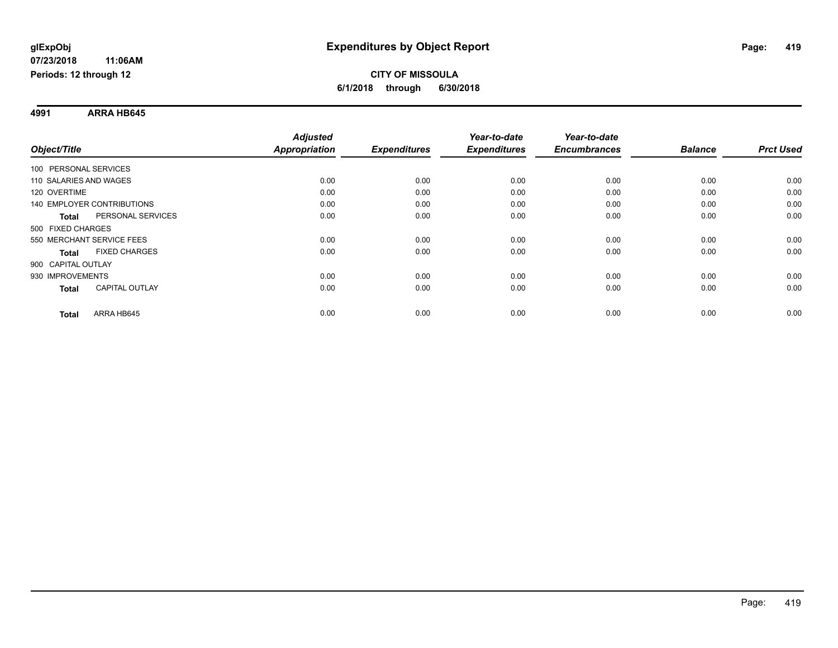**4991 ARRA HB645**

|                                       | <b>Adjusted</b>      |                     | Year-to-date        | Year-to-date        |                |                  |
|---------------------------------------|----------------------|---------------------|---------------------|---------------------|----------------|------------------|
| Object/Title                          | <b>Appropriation</b> | <b>Expenditures</b> | <b>Expenditures</b> | <b>Encumbrances</b> | <b>Balance</b> | <b>Prct Used</b> |
| 100 PERSONAL SERVICES                 |                      |                     |                     |                     |                |                  |
| 110 SALARIES AND WAGES                | 0.00                 | 0.00                | 0.00                | 0.00                | 0.00           | 0.00             |
| 120 OVERTIME                          | 0.00                 | 0.00                | 0.00                | 0.00                | 0.00           | 0.00             |
| <b>140 EMPLOYER CONTRIBUTIONS</b>     | 0.00                 | 0.00                | 0.00                | 0.00                | 0.00           | 0.00             |
| PERSONAL SERVICES<br><b>Total</b>     | 0.00                 | 0.00                | 0.00                | 0.00                | 0.00           | 0.00             |
| 500 FIXED CHARGES                     |                      |                     |                     |                     |                |                  |
| 550 MERCHANT SERVICE FEES             | 0.00                 | 0.00                | 0.00                | 0.00                | 0.00           | 0.00             |
| <b>FIXED CHARGES</b><br><b>Total</b>  | 0.00                 | 0.00                | 0.00                | 0.00                | 0.00           | 0.00             |
| 900 CAPITAL OUTLAY                    |                      |                     |                     |                     |                |                  |
| 930 IMPROVEMENTS                      | 0.00                 | 0.00                | 0.00                | 0.00                | 0.00           | 0.00             |
| <b>CAPITAL OUTLAY</b><br><b>Total</b> | 0.00                 | 0.00                | 0.00                | 0.00                | 0.00           | 0.00             |
| ARRA HB645<br><b>Total</b>            | 0.00                 | 0.00                | 0.00                | 0.00                | 0.00           | 0.00             |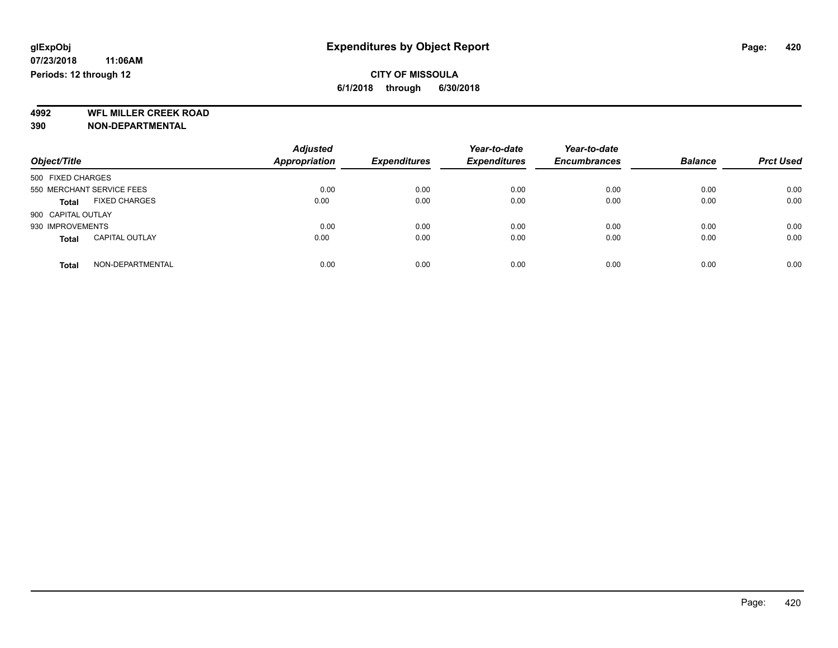**4992 WFL MILLER CREEK ROAD 390 NON-DEPARTMENTAL**

| Object/Title                          | <b>Adjusted</b><br><b>Appropriation</b> | <b>Expenditures</b> | Year-to-date<br><b>Expenditures</b> | Year-to-date<br><b>Encumbrances</b> | <b>Balance</b> | <b>Prct Used</b> |
|---------------------------------------|-----------------------------------------|---------------------|-------------------------------------|-------------------------------------|----------------|------------------|
| 500 FIXED CHARGES                     |                                         |                     |                                     |                                     |                |                  |
| 550 MERCHANT SERVICE FEES             | 0.00                                    | 0.00                | 0.00                                | 0.00                                | 0.00           | 0.00             |
| <b>FIXED CHARGES</b><br><b>Total</b>  | 0.00                                    | 0.00                | 0.00                                | 0.00                                | 0.00           | 0.00             |
| 900 CAPITAL OUTLAY                    |                                         |                     |                                     |                                     |                |                  |
| 930 IMPROVEMENTS                      | 0.00                                    | 0.00                | 0.00                                | 0.00                                | 0.00           | 0.00             |
| <b>CAPITAL OUTLAY</b><br><b>Total</b> | 0.00                                    | 0.00                | 0.00                                | 0.00                                | 0.00           | 0.00             |
| NON-DEPARTMENTAL<br>Total             | 0.00                                    | 0.00                | 0.00                                | 0.00                                | 0.00           | 0.00             |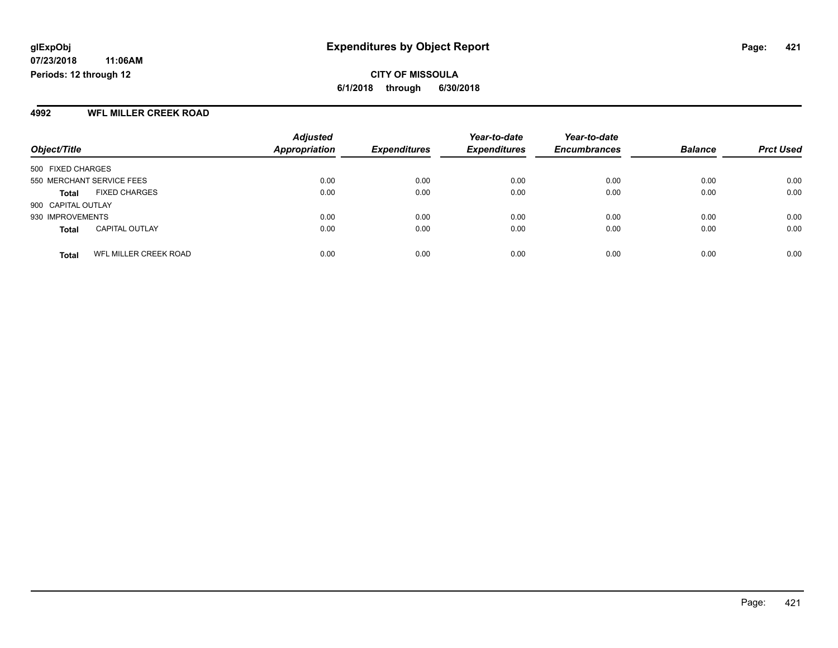## **4992 WFL MILLER CREEK ROAD**

|                    |                           | <b>Adjusted</b>      |                     | Year-to-date        | Year-to-date        |                |                  |
|--------------------|---------------------------|----------------------|---------------------|---------------------|---------------------|----------------|------------------|
| Object/Title       |                           | <b>Appropriation</b> | <b>Expenditures</b> | <b>Expenditures</b> | <b>Encumbrances</b> | <b>Balance</b> | <b>Prct Used</b> |
| 500 FIXED CHARGES  |                           |                      |                     |                     |                     |                |                  |
|                    | 550 MERCHANT SERVICE FEES | 0.00                 | 0.00                | 0.00                | 0.00                | 0.00           | 0.00             |
| <b>Total</b>       | <b>FIXED CHARGES</b>      | 0.00                 | 0.00                | 0.00                | 0.00                | 0.00           | 0.00             |
| 900 CAPITAL OUTLAY |                           |                      |                     |                     |                     |                |                  |
| 930 IMPROVEMENTS   |                           | 0.00                 | 0.00                | 0.00                | 0.00                | 0.00           | 0.00             |
| <b>Total</b>       | <b>CAPITAL OUTLAY</b>     | 0.00                 | 0.00                | 0.00                | 0.00                | 0.00           | 0.00             |
| <b>Total</b>       | WFL MILLER CREEK ROAD     | 0.00                 | 0.00                | 0.00                | 0.00                | 0.00           | 0.00             |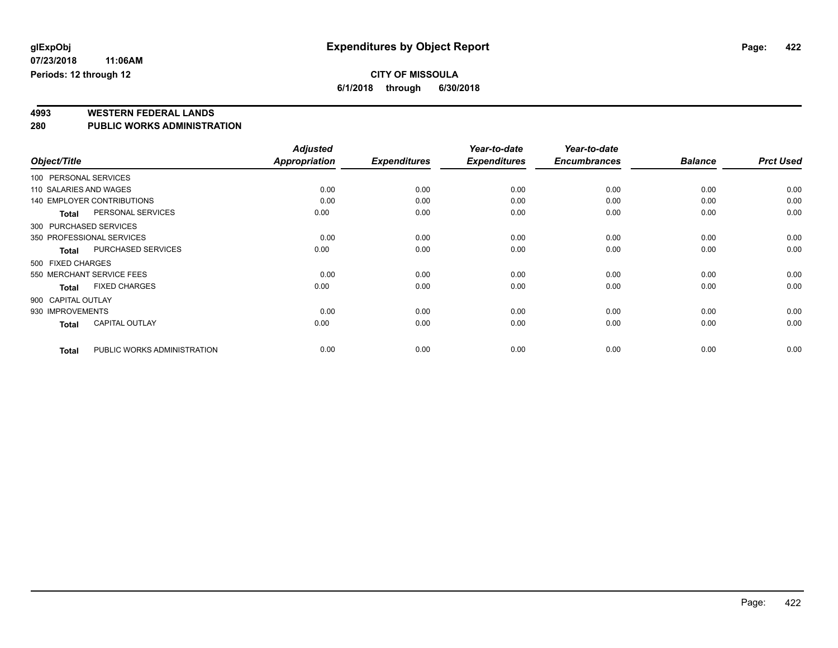# **4993 WESTERN FEDERAL LANDS**

#### **280 PUBLIC WORKS ADMINISTRATION**

| Object/Title       |                                   | <b>Adjusted</b><br>Appropriation | <b>Expenditures</b> | Year-to-date<br><b>Expenditures</b> | Year-to-date<br><b>Encumbrances</b> | <b>Balance</b> | <b>Prct Used</b> |
|--------------------|-----------------------------------|----------------------------------|---------------------|-------------------------------------|-------------------------------------|----------------|------------------|
|                    |                                   |                                  |                     |                                     |                                     |                |                  |
|                    | 100 PERSONAL SERVICES             |                                  |                     |                                     |                                     |                |                  |
|                    | 110 SALARIES AND WAGES            | 0.00                             | 0.00                | 0.00                                | 0.00                                | 0.00           | 0.00             |
|                    | <b>140 EMPLOYER CONTRIBUTIONS</b> | 0.00                             | 0.00                | 0.00                                | 0.00                                | 0.00           | 0.00             |
| <b>Total</b>       | PERSONAL SERVICES                 | 0.00                             | 0.00                | 0.00                                | 0.00                                | 0.00           | 0.00             |
|                    | 300 PURCHASED SERVICES            |                                  |                     |                                     |                                     |                |                  |
|                    | 350 PROFESSIONAL SERVICES         | 0.00                             | 0.00                | 0.00                                | 0.00                                | 0.00           | 0.00             |
| Total              | PURCHASED SERVICES                | 0.00                             | 0.00                | 0.00                                | 0.00                                | 0.00           | 0.00             |
| 500 FIXED CHARGES  |                                   |                                  |                     |                                     |                                     |                |                  |
|                    | 550 MERCHANT SERVICE FEES         | 0.00                             | 0.00                | 0.00                                | 0.00                                | 0.00           | 0.00             |
| <b>Total</b>       | <b>FIXED CHARGES</b>              | 0.00                             | 0.00                | 0.00                                | 0.00                                | 0.00           | 0.00             |
| 900 CAPITAL OUTLAY |                                   |                                  |                     |                                     |                                     |                |                  |
| 930 IMPROVEMENTS   |                                   | 0.00                             | 0.00                | 0.00                                | 0.00                                | 0.00           | 0.00             |
| Total              | CAPITAL OUTLAY                    | 0.00                             | 0.00                | 0.00                                | 0.00                                | 0.00           | 0.00             |
| <b>Total</b>       | PUBLIC WORKS ADMINISTRATION       | 0.00                             | 0.00                | 0.00                                | 0.00                                | 0.00           | 0.00             |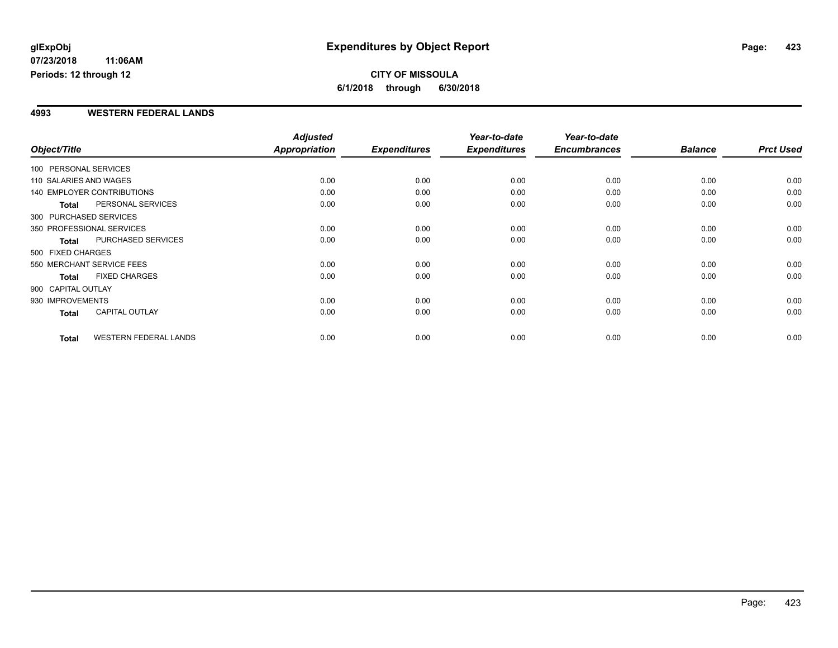## **4993 WESTERN FEDERAL LANDS**

|                        |                                   | <b>Adjusted</b> |                     | Year-to-date        | Year-to-date        |                |                  |
|------------------------|-----------------------------------|-----------------|---------------------|---------------------|---------------------|----------------|------------------|
| Object/Title           |                                   | Appropriation   | <b>Expenditures</b> | <b>Expenditures</b> | <b>Encumbrances</b> | <b>Balance</b> | <b>Prct Used</b> |
| 100 PERSONAL SERVICES  |                                   |                 |                     |                     |                     |                |                  |
| 110 SALARIES AND WAGES |                                   | 0.00            | 0.00                | 0.00                | 0.00                | 0.00           | 0.00             |
|                        | <b>140 EMPLOYER CONTRIBUTIONS</b> | 0.00            | 0.00                | 0.00                | 0.00                | 0.00           | 0.00             |
| <b>Total</b>           | PERSONAL SERVICES                 | 0.00            | 0.00                | 0.00                | 0.00                | 0.00           | 0.00             |
|                        | 300 PURCHASED SERVICES            |                 |                     |                     |                     |                |                  |
|                        | 350 PROFESSIONAL SERVICES         | 0.00            | 0.00                | 0.00                | 0.00                | 0.00           | 0.00             |
| <b>Total</b>           | PURCHASED SERVICES                | 0.00            | 0.00                | 0.00                | 0.00                | 0.00           | 0.00             |
| 500 FIXED CHARGES      |                                   |                 |                     |                     |                     |                |                  |
|                        | 550 MERCHANT SERVICE FEES         | 0.00            | 0.00                | 0.00                | 0.00                | 0.00           | 0.00             |
| <b>Total</b>           | <b>FIXED CHARGES</b>              | 0.00            | 0.00                | 0.00                | 0.00                | 0.00           | 0.00             |
| 900 CAPITAL OUTLAY     |                                   |                 |                     |                     |                     |                |                  |
| 930 IMPROVEMENTS       |                                   | 0.00            | 0.00                | 0.00                | 0.00                | 0.00           | 0.00             |
| <b>Total</b>           | <b>CAPITAL OUTLAY</b>             | 0.00            | 0.00                | 0.00                | 0.00                | 0.00           | 0.00             |
| <b>Total</b>           | <b>WESTERN FEDERAL LANDS</b>      | 0.00            | 0.00                | 0.00                | 0.00                | 0.00           | 0.00             |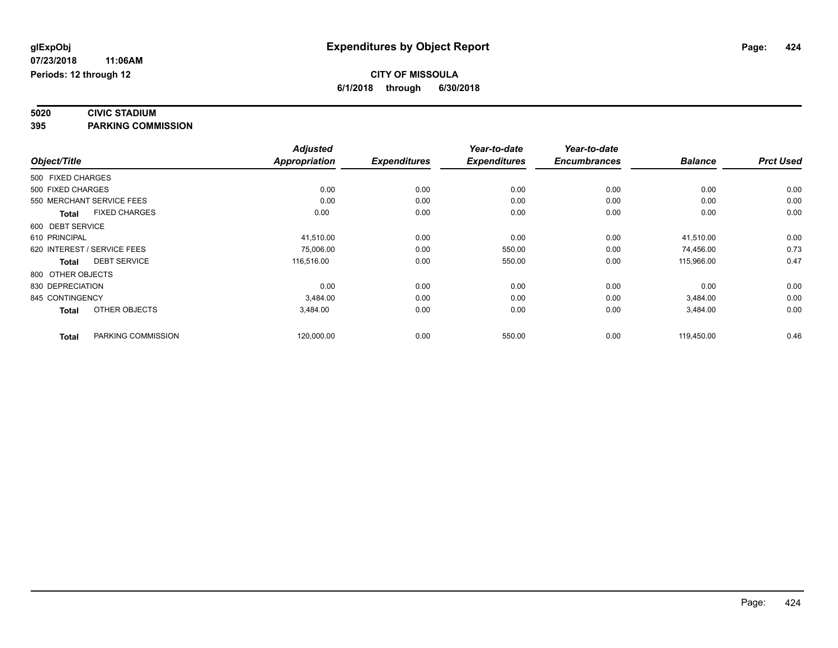# **5020 CIVIC STADIUM**

**395 PARKING COMMISSION**

|                   |                             | <b>Adjusted</b>      |                     | Year-to-date        | Year-to-date        |                |                  |
|-------------------|-----------------------------|----------------------|---------------------|---------------------|---------------------|----------------|------------------|
| Object/Title      |                             | <b>Appropriation</b> | <b>Expenditures</b> | <b>Expenditures</b> | <b>Encumbrances</b> | <b>Balance</b> | <b>Prct Used</b> |
| 500 FIXED CHARGES |                             |                      |                     |                     |                     |                |                  |
| 500 FIXED CHARGES |                             | 0.00                 | 0.00                | 0.00                | 0.00                | 0.00           | 0.00             |
|                   | 550 MERCHANT SERVICE FEES   | 0.00                 | 0.00                | 0.00                | 0.00                | 0.00           | 0.00             |
| <b>Total</b>      | <b>FIXED CHARGES</b>        | 0.00                 | 0.00                | 0.00                | 0.00                | 0.00           | 0.00             |
| 600 DEBT SERVICE  |                             |                      |                     |                     |                     |                |                  |
| 610 PRINCIPAL     |                             | 41,510.00            | 0.00                | 0.00                | 0.00                | 41,510.00      | 0.00             |
|                   | 620 INTEREST / SERVICE FEES | 75,006.00            | 0.00                | 550.00              | 0.00                | 74,456.00      | 0.73             |
| <b>Total</b>      | <b>DEBT SERVICE</b>         | 116,516.00           | 0.00                | 550.00              | 0.00                | 115,966.00     | 0.47             |
| 800 OTHER OBJECTS |                             |                      |                     |                     |                     |                |                  |
| 830 DEPRECIATION  |                             | 0.00                 | 0.00                | 0.00                | 0.00                | 0.00           | 0.00             |
| 845 CONTINGENCY   |                             | 3.484.00             | 0.00                | 0.00                | 0.00                | 3,484.00       | 0.00             |
| <b>Total</b>      | OTHER OBJECTS               | 3,484.00             | 0.00                | 0.00                | 0.00                | 3,484.00       | 0.00             |
| <b>Total</b>      | PARKING COMMISSION          | 120,000.00           | 0.00                | 550.00              | 0.00                | 119,450.00     | 0.46             |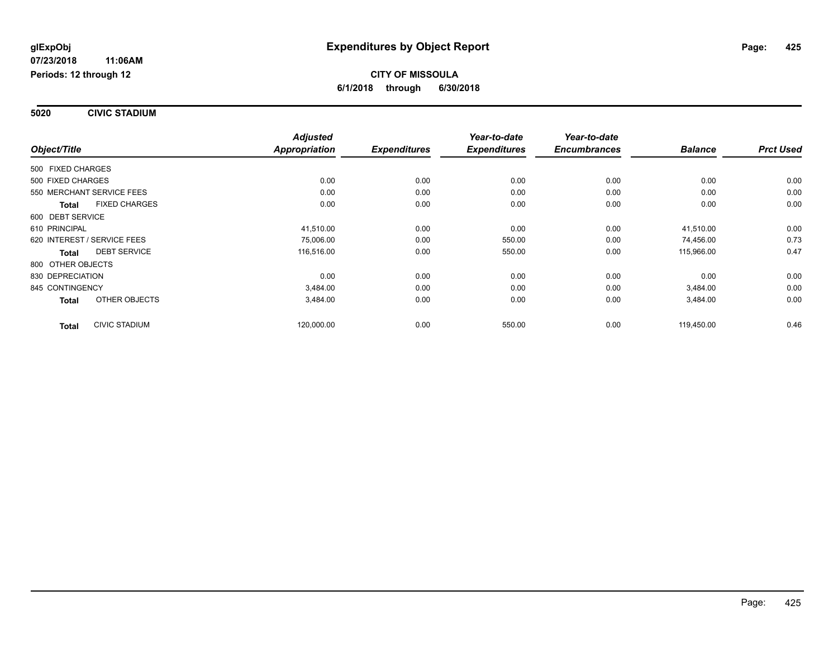### **5020 CIVIC STADIUM**

|                             |                      | <b>Adjusted</b> |                     | Year-to-date        | Year-to-date        |                |                  |
|-----------------------------|----------------------|-----------------|---------------------|---------------------|---------------------|----------------|------------------|
| Object/Title                |                      | Appropriation   | <b>Expenditures</b> | <b>Expenditures</b> | <b>Encumbrances</b> | <b>Balance</b> | <b>Prct Used</b> |
| 500 FIXED CHARGES           |                      |                 |                     |                     |                     |                |                  |
| 500 FIXED CHARGES           |                      | 0.00            | 0.00                | 0.00                | 0.00                | 0.00           | 0.00             |
| 550 MERCHANT SERVICE FEES   |                      | 0.00            | 0.00                | 0.00                | 0.00                | 0.00           | 0.00             |
| <b>Total</b>                | <b>FIXED CHARGES</b> | 0.00            | 0.00                | 0.00                | 0.00                | 0.00           | 0.00             |
| 600 DEBT SERVICE            |                      |                 |                     |                     |                     |                |                  |
| 610 PRINCIPAL               |                      | 41,510.00       | 0.00                | 0.00                | 0.00                | 41,510.00      | 0.00             |
| 620 INTEREST / SERVICE FEES |                      | 75,006.00       | 0.00                | 550.00              | 0.00                | 74,456.00      | 0.73             |
| <b>Total</b>                | <b>DEBT SERVICE</b>  | 116,516.00      | 0.00                | 550.00              | 0.00                | 115,966.00     | 0.47             |
| 800 OTHER OBJECTS           |                      |                 |                     |                     |                     |                |                  |
| 830 DEPRECIATION            |                      | 0.00            | 0.00                | 0.00                | 0.00                | 0.00           | 0.00             |
| 845 CONTINGENCY             |                      | 3.484.00        | 0.00                | 0.00                | 0.00                | 3,484.00       | 0.00             |
| <b>Total</b>                | OTHER OBJECTS        | 3,484.00        | 0.00                | 0.00                | 0.00                | 3,484.00       | 0.00             |
| <b>Total</b>                | <b>CIVIC STADIUM</b> | 120,000.00      | 0.00                | 550.00              | 0.00                | 119,450.00     | 0.46             |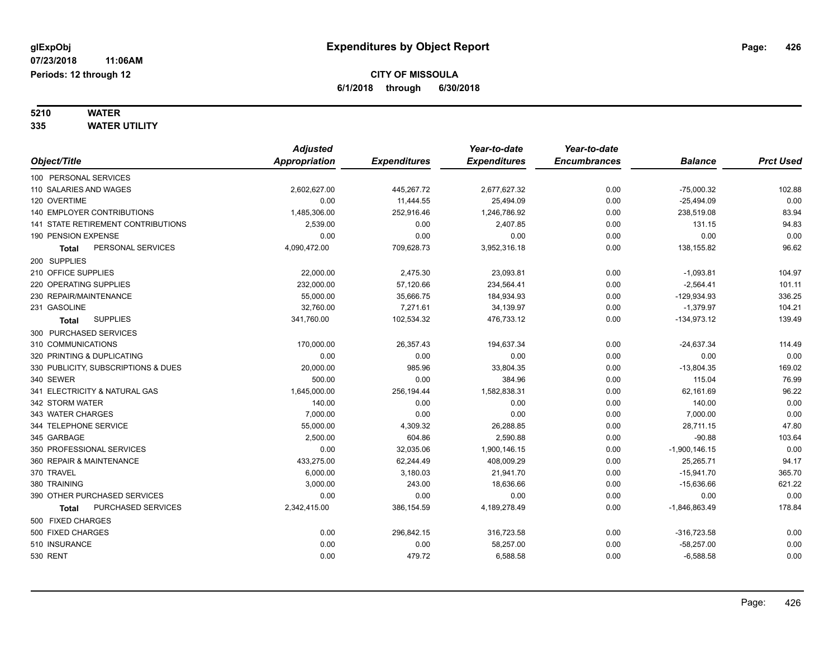# **5210 WATER**

**335 WATER UTILITY**

|                                           | <b>Adjusted</b>      |                     | Year-to-date        | Year-to-date        |                 |                  |
|-------------------------------------------|----------------------|---------------------|---------------------|---------------------|-----------------|------------------|
| Object/Title                              | <b>Appropriation</b> | <b>Expenditures</b> | <b>Expenditures</b> | <b>Encumbrances</b> | <b>Balance</b>  | <b>Prct Used</b> |
| 100 PERSONAL SERVICES                     |                      |                     |                     |                     |                 |                  |
| 110 SALARIES AND WAGES                    | 2,602,627.00         | 445,267.72          | 2,677,627.32        | 0.00                | $-75,000.32$    | 102.88           |
| 120 OVERTIME                              | 0.00                 | 11,444.55           | 25,494.09           | 0.00                | $-25,494.09$    | 0.00             |
| <b>140 EMPLOYER CONTRIBUTIONS</b>         | 1,485,306.00         | 252,916.46          | 1,246,786.92        | 0.00                | 238,519.08      | 83.94            |
| <b>141 STATE RETIREMENT CONTRIBUTIONS</b> | 2,539.00             | 0.00                | 2,407.85            | 0.00                | 131.15          | 94.83            |
| 190 PENSION EXPENSE                       | 0.00                 | 0.00                | 0.00                | 0.00                | 0.00            | 0.00             |
| PERSONAL SERVICES<br>Total                | 4,090,472.00         | 709,628.73          | 3,952,316.18        | 0.00                | 138,155.82      | 96.62            |
| 200 SUPPLIES                              |                      |                     |                     |                     |                 |                  |
| 210 OFFICE SUPPLIES                       | 22,000.00            | 2,475.30            | 23,093.81           | 0.00                | $-1,093.81$     | 104.97           |
| 220 OPERATING SUPPLIES                    | 232,000.00           | 57,120.66           | 234,564.41          | 0.00                | $-2,564.41$     | 101.11           |
| 230 REPAIR/MAINTENANCE                    | 55,000.00            | 35,666.75           | 184,934.93          | 0.00                | $-129,934.93$   | 336.25           |
| 231 GASOLINE                              | 32,760.00            | 7,271.61            | 34,139.97           | 0.00                | $-1,379.97$     | 104.21           |
| <b>SUPPLIES</b><br><b>Total</b>           | 341,760.00           | 102,534.32          | 476,733.12          | 0.00                | $-134,973.12$   | 139.49           |
| 300 PURCHASED SERVICES                    |                      |                     |                     |                     |                 |                  |
| 310 COMMUNICATIONS                        | 170,000.00           | 26,357.43           | 194,637.34          | 0.00                | $-24,637.34$    | 114.49           |
| 320 PRINTING & DUPLICATING                | 0.00                 | 0.00                | 0.00                | 0.00                | 0.00            | 0.00             |
| 330 PUBLICITY, SUBSCRIPTIONS & DUES       | 20,000.00            | 985.96              | 33,804.35           | 0.00                | $-13,804.35$    | 169.02           |
| 340 SEWER                                 | 500.00               | 0.00                | 384.96              | 0.00                | 115.04          | 76.99            |
| 341 ELECTRICITY & NATURAL GAS             | 1,645,000.00         | 256,194.44          | 1,582,838.31        | 0.00                | 62,161.69       | 96.22            |
| 342 STORM WATER                           | 140.00               | 0.00                | 0.00                | 0.00                | 140.00          | 0.00             |
| 343 WATER CHARGES                         | 7,000.00             | 0.00                | 0.00                | 0.00                | 7,000.00        | 0.00             |
| 344 TELEPHONE SERVICE                     | 55,000.00            | 4,309.32            | 26,288.85           | 0.00                | 28,711.15       | 47.80            |
| 345 GARBAGE                               | 2,500.00             | 604.86              | 2,590.88            | 0.00                | $-90.88$        | 103.64           |
| 350 PROFESSIONAL SERVICES                 | 0.00                 | 32,035.06           | 1,900,146.15        | 0.00                | $-1,900,146.15$ | 0.00             |
| 360 REPAIR & MAINTENANCE                  | 433,275.00           | 62,244.49           | 408,009.29          | 0.00                | 25,265.71       | 94.17            |
| 370 TRAVEL                                | 6,000.00             | 3,180.03            | 21,941.70           | 0.00                | $-15,941.70$    | 365.70           |
| 380 TRAINING                              | 3,000.00             | 243.00              | 18,636.66           | 0.00                | $-15,636.66$    | 621.22           |
| 390 OTHER PURCHASED SERVICES              | 0.00                 | 0.00                | 0.00                | 0.00                | 0.00            | 0.00             |
| PURCHASED SERVICES<br>Total               | 2,342,415.00         | 386,154.59          | 4,189,278.49        | 0.00                | $-1,846,863.49$ | 178.84           |
| 500 FIXED CHARGES                         |                      |                     |                     |                     |                 |                  |
| 500 FIXED CHARGES                         | 0.00                 | 296,842.15          | 316,723.58          | 0.00                | $-316,723.58$   | 0.00             |
| 510 INSURANCE                             | 0.00                 | 0.00                | 58,257.00           | 0.00                | $-58,257.00$    | 0.00             |
| <b>530 RENT</b>                           | 0.00                 | 479.72              | 6,588.58            | 0.00                | $-6,588.58$     | 0.00             |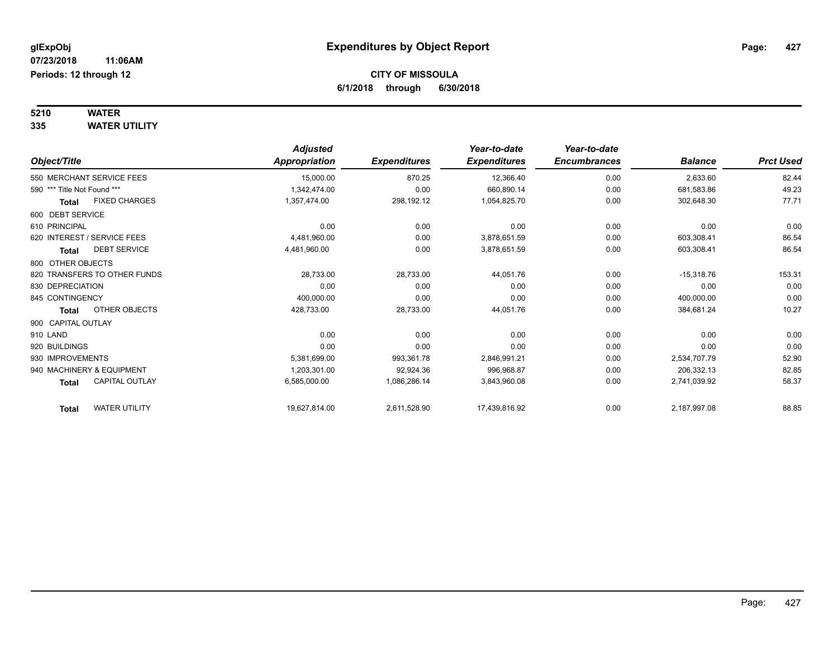# **5210 WATER**

**335 WATER UTILITY**

|                                       | <b>Adjusted</b> |                     | Year-to-date        | Year-to-date        |                |                  |
|---------------------------------------|-----------------|---------------------|---------------------|---------------------|----------------|------------------|
| Object/Title                          | Appropriation   | <b>Expenditures</b> | <b>Expenditures</b> | <b>Encumbrances</b> | <b>Balance</b> | <b>Prct Used</b> |
| 550 MERCHANT SERVICE FEES             | 15,000.00       | 870.25              | 12,366.40           | 0.00                | 2,633.60       | 82.44            |
| 590 *** Title Not Found ***           | 1.342.474.00    | 0.00                | 660,890.14          | 0.00                | 681,583.86     | 49.23            |
| <b>FIXED CHARGES</b><br><b>Total</b>  | 1,357,474.00    | 298,192.12          | 1,054,825.70        | 0.00                | 302,648.30     | 77.71            |
| 600 DEBT SERVICE                      |                 |                     |                     |                     |                |                  |
| 610 PRINCIPAL                         | 0.00            | 0.00                | 0.00                | 0.00                | 0.00           | 0.00             |
| 620 INTEREST / SERVICE FEES           | 4,481,960.00    | 0.00                | 3,878,651.59        | 0.00                | 603,308.41     | 86.54            |
| <b>DEBT SERVICE</b><br><b>Total</b>   | 4,481,960.00    | 0.00                | 3,878,651.59        | 0.00                | 603,308.41     | 86.54            |
| 800 OTHER OBJECTS                     |                 |                     |                     |                     |                |                  |
| 820 TRANSFERS TO OTHER FUNDS          | 28,733.00       | 28,733.00           | 44,051.76           | 0.00                | $-15,318.76$   | 153.31           |
| 830 DEPRECIATION                      | 0.00            | 0.00                | 0.00                | 0.00                | 0.00           | 0.00             |
| 845 CONTINGENCY                       | 400,000.00      | 0.00                | 0.00                | 0.00                | 400,000.00     | 0.00             |
| OTHER OBJECTS<br><b>Total</b>         | 428,733.00      | 28,733.00           | 44,051.76           | 0.00                | 384,681.24     | 10.27            |
| 900 CAPITAL OUTLAY                    |                 |                     |                     |                     |                |                  |
| 910 LAND                              | 0.00            | 0.00                | 0.00                | 0.00                | 0.00           | 0.00             |
| 920 BUILDINGS                         | 0.00            | 0.00                | 0.00                | 0.00                | 0.00           | 0.00             |
| 930 IMPROVEMENTS                      | 5,381,699.00    | 993,361.78          | 2,846,991.21        | 0.00                | 2,534,707.79   | 52.90            |
| 940 MACHINERY & EQUIPMENT             | 1.203.301.00    | 92,924.36           | 996,968.87          | 0.00                | 206,332.13     | 82.85            |
| <b>CAPITAL OUTLAY</b><br><b>Total</b> | 6,585,000.00    | 1,086,286.14        | 3,843,960.08        | 0.00                | 2,741,039.92   | 58.37            |
| <b>WATER UTILITY</b><br><b>Total</b>  | 19,627,814.00   | 2,611,528.90        | 17,439,816.92       | 0.00                | 2,187,997.08   | 88.85            |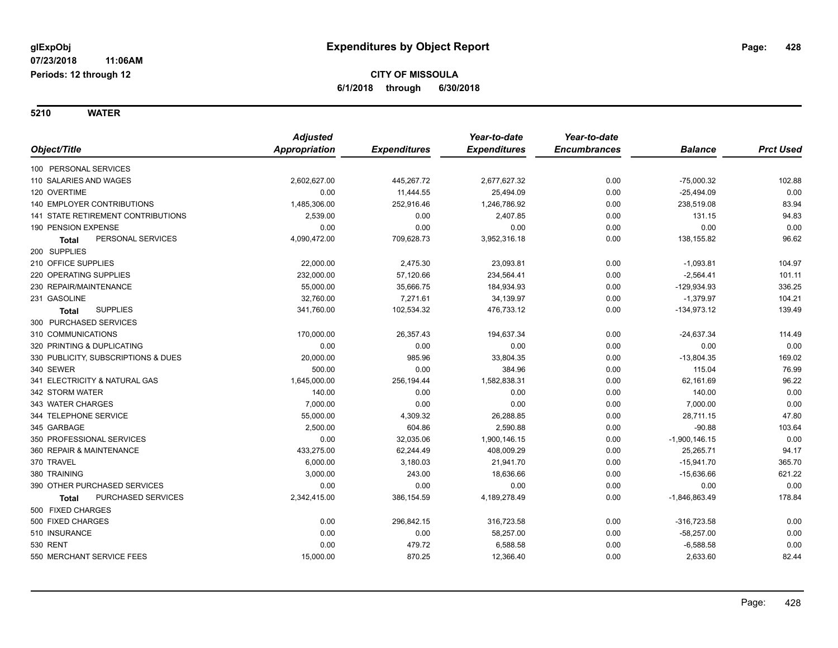**5210 WATER**

|                                     | <b>Adjusted</b> |                     | Year-to-date        | Year-to-date        |                 |                  |
|-------------------------------------|-----------------|---------------------|---------------------|---------------------|-----------------|------------------|
| Object/Title                        | Appropriation   | <b>Expenditures</b> | <b>Expenditures</b> | <b>Encumbrances</b> | <b>Balance</b>  | <b>Prct Used</b> |
| 100 PERSONAL SERVICES               |                 |                     |                     |                     |                 |                  |
| 110 SALARIES AND WAGES              | 2,602,627.00    | 445,267.72          | 2,677,627.32        | 0.00                | $-75,000.32$    | 102.88           |
| 120 OVERTIME                        | 0.00            | 11,444.55           | 25,494.09           | 0.00                | $-25,494.09$    | 0.00             |
| <b>140 EMPLOYER CONTRIBUTIONS</b>   | 1,485,306.00    | 252,916.46          | 1,246,786.92        | 0.00                | 238,519.08      | 83.94            |
| 141 STATE RETIREMENT CONTRIBUTIONS  | 2,539.00        | 0.00                | 2,407.85            | 0.00                | 131.15          | 94.83            |
| 190 PENSION EXPENSE                 | 0.00            | 0.00                | 0.00                | 0.00                | 0.00            | 0.00             |
| PERSONAL SERVICES<br><b>Total</b>   | 4,090,472.00    | 709,628.73          | 3,952,316.18        | 0.00                | 138,155.82      | 96.62            |
| 200 SUPPLIES                        |                 |                     |                     |                     |                 |                  |
| 210 OFFICE SUPPLIES                 | 22,000.00       | 2,475.30            | 23,093.81           | 0.00                | $-1,093.81$     | 104.97           |
| 220 OPERATING SUPPLIES              | 232,000.00      | 57,120.66           | 234,564.41          | 0.00                | $-2,564.41$     | 101.11           |
| 230 REPAIR/MAINTENANCE              | 55,000.00       | 35,666.75           | 184,934.93          | 0.00                | $-129,934.93$   | 336.25           |
| 231 GASOLINE                        | 32,760.00       | 7,271.61            | 34,139.97           | 0.00                | $-1,379.97$     | 104.21           |
| <b>SUPPLIES</b><br><b>Total</b>     | 341,760.00      | 102,534.32          | 476,733.12          | 0.00                | $-134,973.12$   | 139.49           |
| 300 PURCHASED SERVICES              |                 |                     |                     |                     |                 |                  |
| 310 COMMUNICATIONS                  | 170,000.00      | 26,357.43           | 194,637.34          | 0.00                | $-24,637.34$    | 114.49           |
| 320 PRINTING & DUPLICATING          | 0.00            | 0.00                | 0.00                | 0.00                | 0.00            | 0.00             |
| 330 PUBLICITY, SUBSCRIPTIONS & DUES | 20,000.00       | 985.96              | 33,804.35           | 0.00                | $-13,804.35$    | 169.02           |
| 340 SEWER                           | 500.00          | 0.00                | 384.96              | 0.00                | 115.04          | 76.99            |
| 341 ELECTRICITY & NATURAL GAS       | 1,645,000.00    | 256,194.44          | 1,582,838.31        | 0.00                | 62,161.69       | 96.22            |
| 342 STORM WATER                     | 140.00          | 0.00                | 0.00                | 0.00                | 140.00          | 0.00             |
| 343 WATER CHARGES                   | 7,000.00        | 0.00                | 0.00                | 0.00                | 7,000.00        | 0.00             |
| 344 TELEPHONE SERVICE               | 55,000.00       | 4,309.32            | 26,288.85           | 0.00                | 28,711.15       | 47.80            |
| 345 GARBAGE                         | 2,500.00        | 604.86              | 2,590.88            | 0.00                | $-90.88$        | 103.64           |
| 350 PROFESSIONAL SERVICES           | 0.00            | 32,035.06           | 1,900,146.15        | 0.00                | $-1,900,146.15$ | 0.00             |
| 360 REPAIR & MAINTENANCE            | 433,275.00      | 62,244.49           | 408,009.29          | 0.00                | 25,265.71       | 94.17            |
| 370 TRAVEL                          | 6,000.00        | 3,180.03            | 21,941.70           | 0.00                | $-15,941.70$    | 365.70           |
| 380 TRAINING                        | 3,000.00        | 243.00              | 18,636.66           | 0.00                | $-15,636.66$    | 621.22           |
| 390 OTHER PURCHASED SERVICES        | 0.00            | 0.00                | 0.00                | 0.00                | 0.00            | 0.00             |
| PURCHASED SERVICES<br>Total         | 2,342,415.00    | 386,154.59          | 4,189,278.49        | 0.00                | $-1,846,863.49$ | 178.84           |
| 500 FIXED CHARGES                   |                 |                     |                     |                     |                 |                  |
| 500 FIXED CHARGES                   | 0.00            | 296,842.15          | 316,723.58          | 0.00                | $-316,723.58$   | 0.00             |
| 510 INSURANCE                       | 0.00            | 0.00                | 58,257.00           | 0.00                | $-58,257.00$    | 0.00             |
| 530 RENT                            | 0.00            | 479.72              | 6,588.58            | 0.00                | $-6,588.58$     | 0.00             |
| 550 MERCHANT SERVICE FEES           | 15,000.00       | 870.25              | 12,366.40           | 0.00                | 2,633.60        | 82.44            |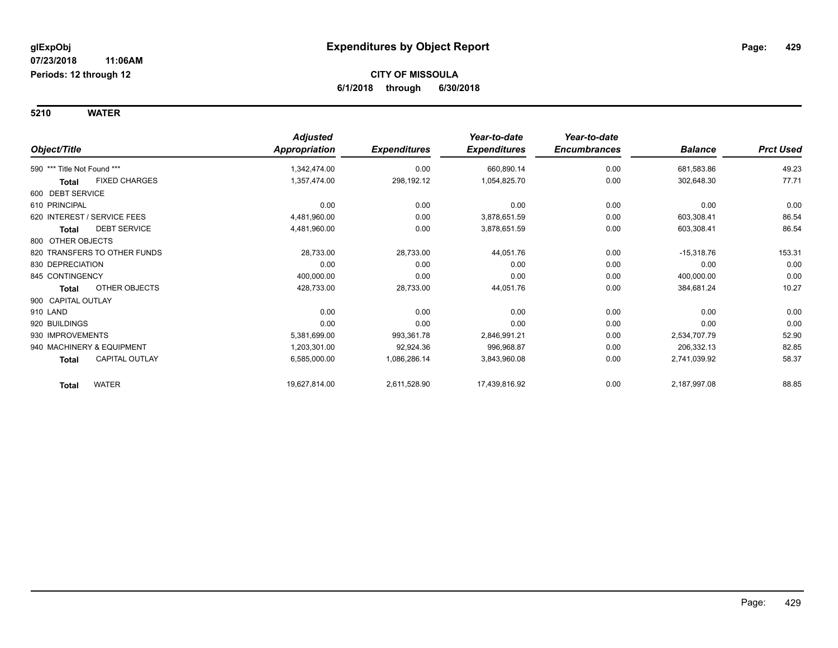#### **5210 WATER**

|                                | <b>Adjusted</b> |                     | Year-to-date        | Year-to-date        |                |                  |
|--------------------------------|-----------------|---------------------|---------------------|---------------------|----------------|------------------|
| Object/Title                   | Appropriation   | <b>Expenditures</b> | <b>Expenditures</b> | <b>Encumbrances</b> | <b>Balance</b> | <b>Prct Used</b> |
| 590 *** Title Not Found ***    | 1,342,474.00    | 0.00                | 660,890.14          | 0.00                | 681,583.86     | 49.23            |
| <b>FIXED CHARGES</b><br>Total  | 1,357,474.00    | 298,192.12          | 1,054,825.70        | 0.00                | 302,648.30     | 77.71            |
| 600 DEBT SERVICE               |                 |                     |                     |                     |                |                  |
| 610 PRINCIPAL                  | 0.00            | 0.00                | 0.00                | 0.00                | 0.00           | 0.00             |
| 620 INTEREST / SERVICE FEES    | 4,481,960.00    | 0.00                | 3,878,651.59        | 0.00                | 603,308.41     | 86.54            |
| <b>DEBT SERVICE</b><br>Total   | 4,481,960.00    | 0.00                | 3,878,651.59        | 0.00                | 603,308.41     | 86.54            |
| 800 OTHER OBJECTS              |                 |                     |                     |                     |                |                  |
| 820 TRANSFERS TO OTHER FUNDS   | 28,733.00       | 28,733.00           | 44,051.76           | 0.00                | $-15,318.76$   | 153.31           |
| 830 DEPRECIATION               | 0.00            | 0.00                | 0.00                | 0.00                | 0.00           | 0.00             |
| 845 CONTINGENCY                | 400,000.00      | 0.00                | 0.00                | 0.00                | 400,000.00     | 0.00             |
| OTHER OBJECTS<br>Total         | 428,733.00      | 28,733.00           | 44,051.76           | 0.00                | 384,681.24     | 10.27            |
| 900 CAPITAL OUTLAY             |                 |                     |                     |                     |                |                  |
| 910 LAND                       | 0.00            | 0.00                | 0.00                | 0.00                | 0.00           | 0.00             |
| 920 BUILDINGS                  | 0.00            | 0.00                | 0.00                | 0.00                | 0.00           | 0.00             |
| 930 IMPROVEMENTS               | 5,381,699.00    | 993,361.78          | 2,846,991.21        | 0.00                | 2,534,707.79   | 52.90            |
| 940 MACHINERY & EQUIPMENT      | 1,203,301.00    | 92,924.36           | 996,968.87          | 0.00                | 206,332.13     | 82.85            |
| <b>CAPITAL OUTLAY</b><br>Total | 6,585,000.00    | 1,086,286.14        | 3,843,960.08        | 0.00                | 2,741,039.92   | 58.37            |
| <b>WATER</b><br><b>Total</b>   | 19,627,814.00   | 2,611,528.90        | 17,439,816.92       | 0.00                | 2,187,997.08   | 88.85            |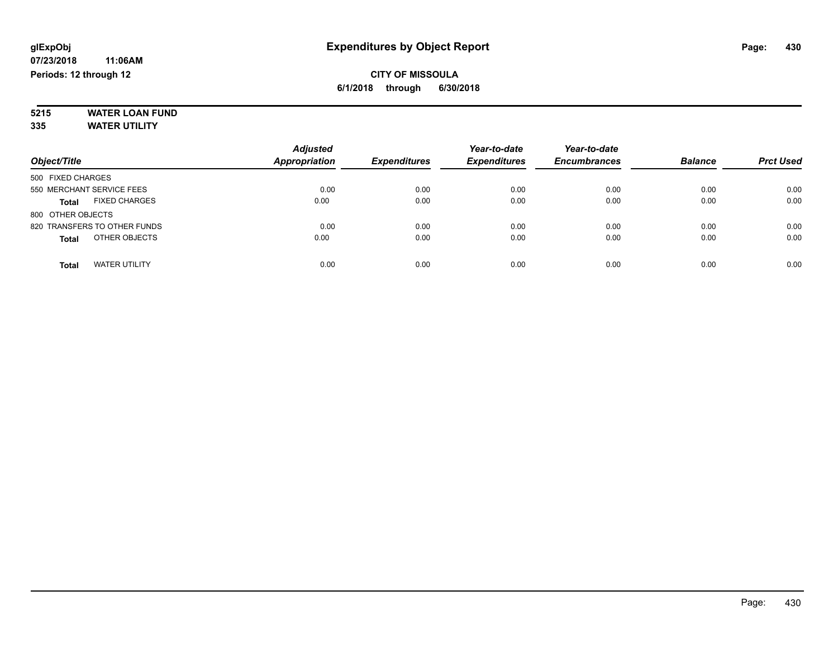# **5215 WATER LOAN FUND**

**335 WATER UTILITY**

|                                      | <b>Adjusted</b>      |                     | Year-to-date        | Year-to-date        |                |                  |
|--------------------------------------|----------------------|---------------------|---------------------|---------------------|----------------|------------------|
| Object/Title                         | <b>Appropriation</b> | <b>Expenditures</b> | <b>Expenditures</b> | <b>Encumbrances</b> | <b>Balance</b> | <b>Prct Used</b> |
| 500 FIXED CHARGES                    |                      |                     |                     |                     |                |                  |
| 550 MERCHANT SERVICE FEES            | 0.00                 | 0.00                | 0.00                | 0.00                | 0.00           | 0.00             |
| <b>FIXED CHARGES</b><br><b>Total</b> | 0.00                 | 0.00                | 0.00                | 0.00                | 0.00           | 0.00             |
| 800 OTHER OBJECTS                    |                      |                     |                     |                     |                |                  |
| 820 TRANSFERS TO OTHER FUNDS         | 0.00                 | 0.00                | 0.00                | 0.00                | 0.00           | 0.00             |
| OTHER OBJECTS<br><b>Total</b>        | 0.00                 | 0.00                | 0.00                | 0.00                | 0.00           | 0.00             |
| <b>WATER UTILITY</b><br><b>Total</b> | 0.00                 | 0.00                | 0.00                | 0.00                | 0.00           | 0.00             |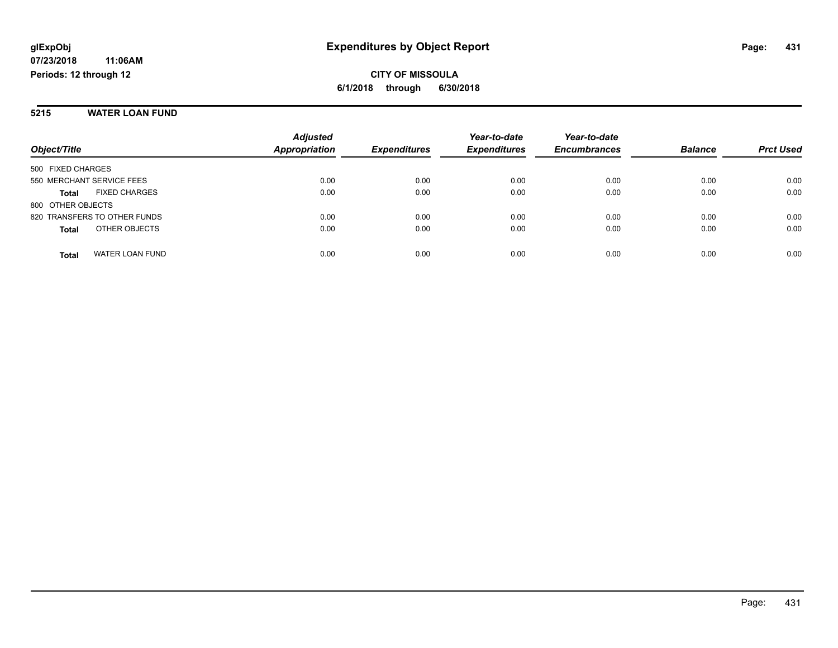### **5215 WATER LOAN FUND**

|                                      | <b>Adjusted</b>      |                     | Year-to-date        | Year-to-date        |                |                  |
|--------------------------------------|----------------------|---------------------|---------------------|---------------------|----------------|------------------|
| Object/Title                         | <b>Appropriation</b> | <b>Expenditures</b> | <b>Expenditures</b> | <b>Encumbrances</b> | <b>Balance</b> | <b>Prct Used</b> |
| 500 FIXED CHARGES                    |                      |                     |                     |                     |                |                  |
| 550 MERCHANT SERVICE FEES            | 0.00                 | 0.00                | 0.00                | 0.00                | 0.00           | 0.00             |
| <b>FIXED CHARGES</b><br><b>Total</b> | 0.00                 | 0.00                | 0.00                | 0.00                | 0.00           | 0.00             |
| 800 OTHER OBJECTS                    |                      |                     |                     |                     |                |                  |
| 820 TRANSFERS TO OTHER FUNDS         | 0.00                 | 0.00                | 0.00                | 0.00                | 0.00           | 0.00             |
| OTHER OBJECTS<br><b>Total</b>        | 0.00                 | 0.00                | 0.00                | 0.00                | 0.00           | 0.00             |
| WATER LOAN FUND<br>Total             | 0.00                 | 0.00                | 0.00                | 0.00                | 0.00           | 0.00             |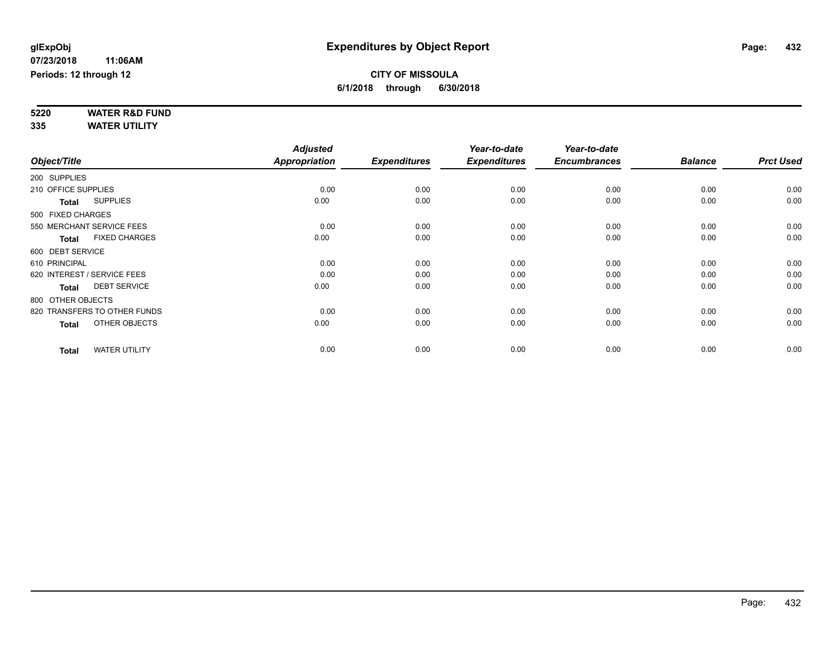| 5220 | <b>WATER R&amp;D FUND</b> |
|------|---------------------------|
|      |                           |

**335 WATER UTILITY**

|                              |                           | <b>Adjusted</b> |                     | Year-to-date        | Year-to-date        |                |                  |
|------------------------------|---------------------------|-----------------|---------------------|---------------------|---------------------|----------------|------------------|
| Object/Title                 |                           | Appropriation   | <b>Expenditures</b> | <b>Expenditures</b> | <b>Encumbrances</b> | <b>Balance</b> | <b>Prct Used</b> |
| 200 SUPPLIES                 |                           |                 |                     |                     |                     |                |                  |
| 210 OFFICE SUPPLIES          |                           | 0.00            | 0.00                | 0.00                | 0.00                | 0.00           | 0.00             |
| <b>Total</b>                 | <b>SUPPLIES</b>           | 0.00            | 0.00                | 0.00                | 0.00                | 0.00           | 0.00             |
| 500 FIXED CHARGES            |                           |                 |                     |                     |                     |                |                  |
|                              | 550 MERCHANT SERVICE FEES | 0.00            | 0.00                | 0.00                | 0.00                | 0.00           | 0.00             |
| <b>Total</b>                 | <b>FIXED CHARGES</b>      | 0.00            | 0.00                | 0.00                | 0.00                | 0.00           | 0.00             |
| 600 DEBT SERVICE             |                           |                 |                     |                     |                     |                |                  |
| 610 PRINCIPAL                |                           | 0.00            | 0.00                | 0.00                | 0.00                | 0.00           | 0.00             |
| 620 INTEREST / SERVICE FEES  |                           | 0.00            | 0.00                | 0.00                | 0.00                | 0.00           | 0.00             |
| <b>Total</b>                 | <b>DEBT SERVICE</b>       | 0.00            | 0.00                | 0.00                | 0.00                | 0.00           | 0.00             |
| 800 OTHER OBJECTS            |                           |                 |                     |                     |                     |                |                  |
| 820 TRANSFERS TO OTHER FUNDS |                           | 0.00            | 0.00                | 0.00                | 0.00                | 0.00           | 0.00             |
| <b>Total</b>                 | OTHER OBJECTS             | 0.00            | 0.00                | 0.00                | 0.00                | 0.00           | 0.00             |
| <b>Total</b>                 | <b>WATER UTILITY</b>      | 0.00            | 0.00                | 0.00                | 0.00                | 0.00           | 0.00             |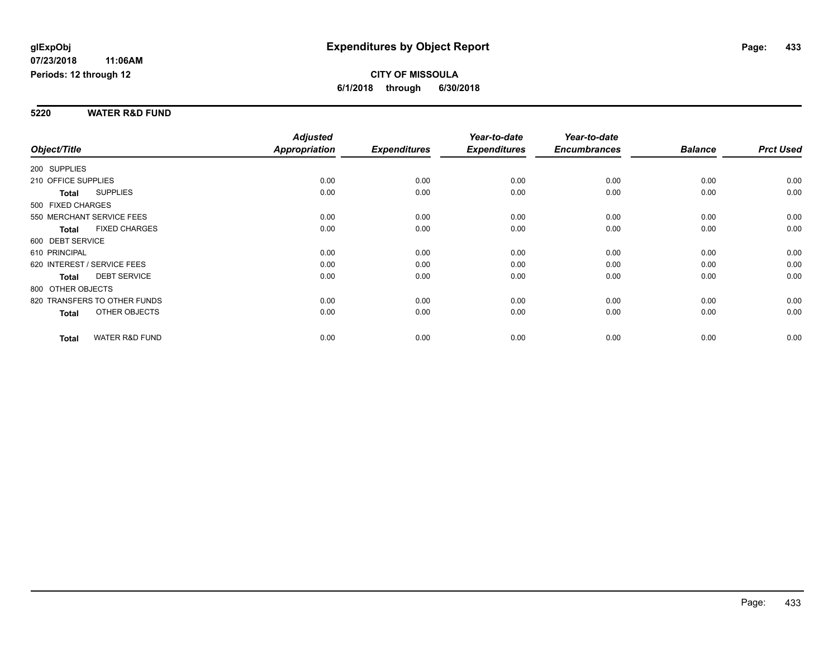#### **5220 WATER R&D FUND**

|                                           | <b>Adjusted</b> |                     | Year-to-date        | Year-to-date        |                |                  |
|-------------------------------------------|-----------------|---------------------|---------------------|---------------------|----------------|------------------|
| Object/Title                              | Appropriation   | <b>Expenditures</b> | <b>Expenditures</b> | <b>Encumbrances</b> | <b>Balance</b> | <b>Prct Used</b> |
| 200 SUPPLIES                              |                 |                     |                     |                     |                |                  |
| 210 OFFICE SUPPLIES                       | 0.00            | 0.00                | 0.00                | 0.00                | 0.00           | 0.00             |
| <b>SUPPLIES</b><br>Total                  | 0.00            | 0.00                | 0.00                | 0.00                | 0.00           | 0.00             |
| 500 FIXED CHARGES                         |                 |                     |                     |                     |                |                  |
| 550 MERCHANT SERVICE FEES                 | 0.00            | 0.00                | 0.00                | 0.00                | 0.00           | 0.00             |
| <b>FIXED CHARGES</b><br><b>Total</b>      | 0.00            | 0.00                | 0.00                | 0.00                | 0.00           | 0.00             |
| 600 DEBT SERVICE                          |                 |                     |                     |                     |                |                  |
| 610 PRINCIPAL                             | 0.00            | 0.00                | 0.00                | 0.00                | 0.00           | 0.00             |
| 620 INTEREST / SERVICE FEES               | 0.00            | 0.00                | 0.00                | 0.00                | 0.00           | 0.00             |
| <b>DEBT SERVICE</b><br><b>Total</b>       | 0.00            | 0.00                | 0.00                | 0.00                | 0.00           | 0.00             |
| 800 OTHER OBJECTS                         |                 |                     |                     |                     |                |                  |
| 820 TRANSFERS TO OTHER FUNDS              | 0.00            | 0.00                | 0.00                | 0.00                | 0.00           | 0.00             |
| OTHER OBJECTS<br>Total                    | 0.00            | 0.00                | 0.00                | 0.00                | 0.00           | 0.00             |
| <b>WATER R&amp;D FUND</b><br><b>Total</b> | 0.00            | 0.00                | 0.00                | 0.00                | 0.00           | 0.00             |
|                                           |                 |                     |                     |                     |                |                  |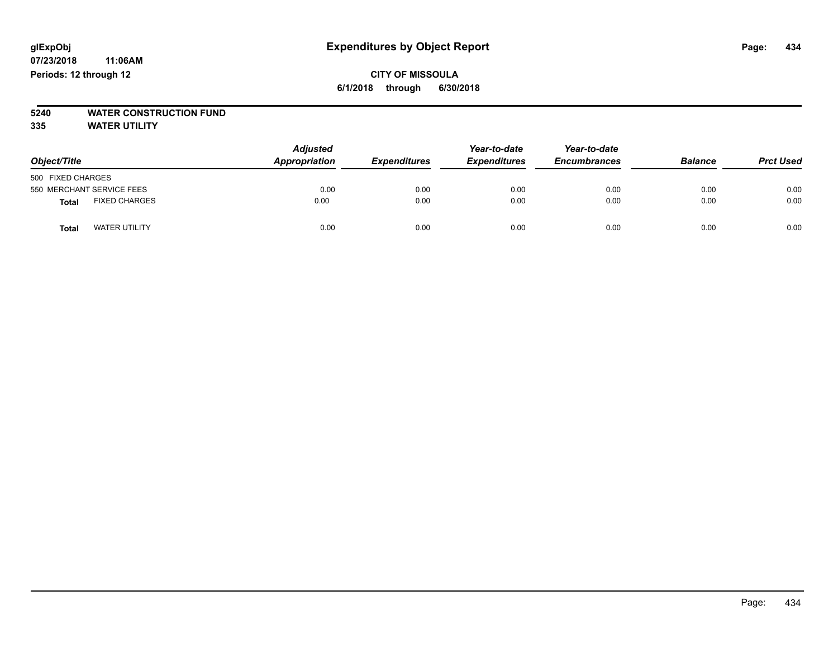# **5240 WATER CONSTRUCTION FUND**

**335 WATER UTILITY**

| Object/Title                         | <b>Adjusted</b><br><b>Appropriation</b> | <b>Expenditures</b> | Year-to-date<br><b>Expenditures</b> | Year-to-date<br><b>Encumbrances</b> | <b>Balance</b> | <b>Prct Used</b> |
|--------------------------------------|-----------------------------------------|---------------------|-------------------------------------|-------------------------------------|----------------|------------------|
| 500 FIXED CHARGES                    |                                         |                     |                                     |                                     |                |                  |
| 550 MERCHANT SERVICE FEES            | 0.00                                    | 0.00                | 0.00                                | 0.00                                | 0.00           | 0.00             |
| <b>FIXED CHARGES</b><br><b>Total</b> | 0.00                                    | 0.00                | 0.00                                | 0.00                                | 0.00           | 0.00             |
| <b>WATER UTILITY</b><br><b>Total</b> | 0.00                                    | 0.00                | 0.00                                | 0.00                                | 0.00           | 0.00             |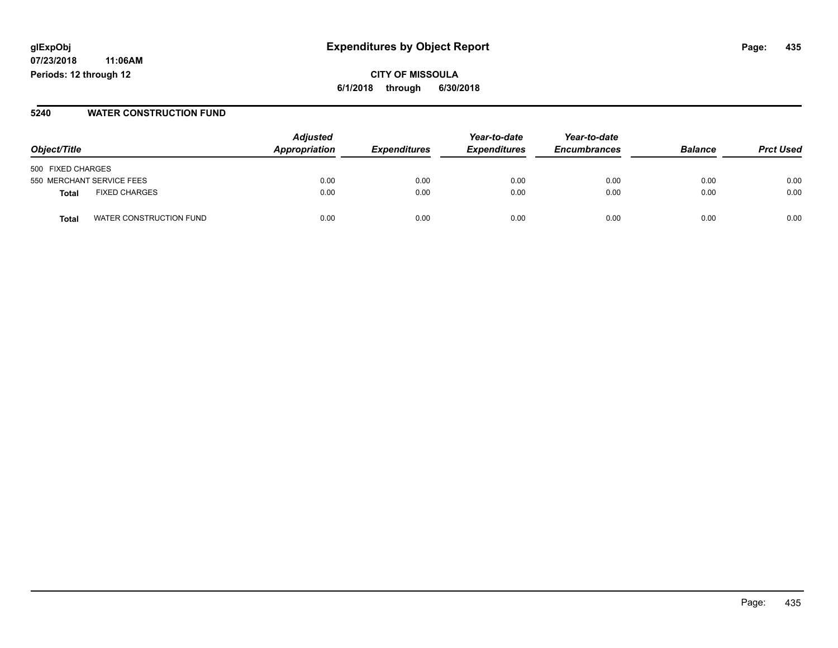**CITY OF MISSOULA 6/1/2018 through 6/30/2018**

### **5240 WATER CONSTRUCTION FUND**

| Object/Title                     | <b>Adjusted</b><br>Appropriation | <b>Expenditures</b> | Year-to-date<br><b>Expenditures</b> | Year-to-date<br><b>Encumbrances</b> | <b>Balance</b> | <b>Prct Used</b> |
|----------------------------------|----------------------------------|---------------------|-------------------------------------|-------------------------------------|----------------|------------------|
| 500 FIXED CHARGES                |                                  |                     |                                     |                                     |                |                  |
| 550 MERCHANT SERVICE FEES        | 0.00                             | 0.00                | 0.00                                | 0.00                                | 0.00           | 0.00             |
| <b>FIXED CHARGES</b><br>Total    | 0.00                             | 0.00                | 0.00                                | 0.00                                | 0.00           | 0.00             |
| WATER CONSTRUCTION FUND<br>Total | 0.00                             | 0.00                | 0.00                                | 0.00                                | 0.00           | 0.00             |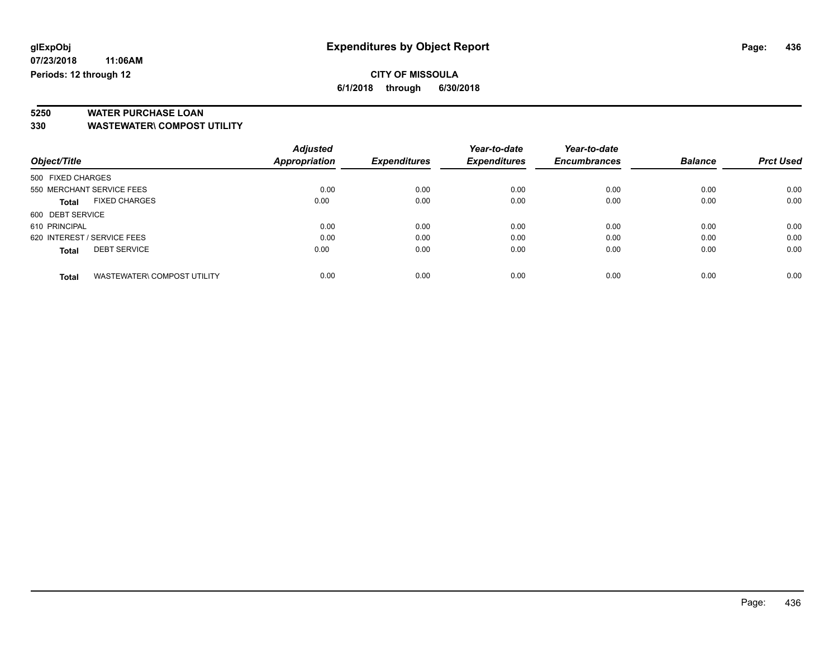**6/1/2018 through 6/30/2018**

# **5250 WATER PURCHASE LOAN**

|                                                    | <b>Adjusted</b>      |                     | Year-to-date        | Year-to-date        |                |                  |
|----------------------------------------------------|----------------------|---------------------|---------------------|---------------------|----------------|------------------|
| Object/Title                                       | <b>Appropriation</b> | <b>Expenditures</b> | <b>Expenditures</b> | <b>Encumbrances</b> | <b>Balance</b> | <b>Prct Used</b> |
| 500 FIXED CHARGES                                  |                      |                     |                     |                     |                |                  |
| 550 MERCHANT SERVICE FEES                          | 0.00                 | 0.00                | 0.00                | 0.00                | 0.00           | 0.00             |
| <b>FIXED CHARGES</b><br><b>Total</b>               | 0.00                 | 0.00                | 0.00                | 0.00                | 0.00           | 0.00             |
| 600 DEBT SERVICE                                   |                      |                     |                     |                     |                |                  |
| 610 PRINCIPAL                                      | 0.00                 | 0.00                | 0.00                | 0.00                | 0.00           | 0.00             |
| 620 INTEREST / SERVICE FEES                        | 0.00                 | 0.00                | 0.00                | 0.00                | 0.00           | 0.00             |
| <b>DEBT SERVICE</b><br><b>Total</b>                | 0.00                 | 0.00                | 0.00                | 0.00                | 0.00           | 0.00             |
| <b>WASTEWATER\ COMPOST UTILITY</b><br><b>Total</b> | 0.00                 | 0.00                | 0.00                | 0.00                | 0.00           | 0.00             |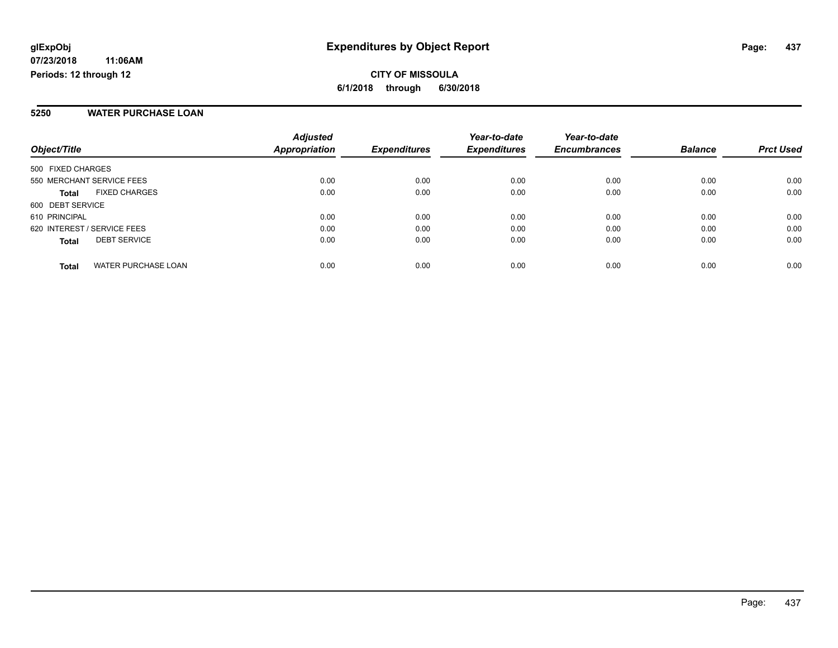### **5250 WATER PURCHASE LOAN**

| Object/Title                               | <b>Adjusted</b><br><b>Appropriation</b> | <b>Expenditures</b> | Year-to-date<br><b>Expenditures</b> | Year-to-date<br><b>Encumbrances</b> | <b>Balance</b> | <b>Prct Used</b> |
|--------------------------------------------|-----------------------------------------|---------------------|-------------------------------------|-------------------------------------|----------------|------------------|
|                                            |                                         |                     |                                     |                                     |                |                  |
| 500 FIXED CHARGES                          |                                         |                     |                                     |                                     |                |                  |
| 550 MERCHANT SERVICE FEES                  | 0.00                                    | 0.00                | 0.00                                | 0.00                                | 0.00           | 0.00             |
| <b>FIXED CHARGES</b><br><b>Total</b>       | 0.00                                    | 0.00                | 0.00                                | 0.00                                | 0.00           | 0.00             |
| 600 DEBT SERVICE                           |                                         |                     |                                     |                                     |                |                  |
| 610 PRINCIPAL                              | 0.00                                    | 0.00                | 0.00                                | 0.00                                | 0.00           | 0.00             |
| 620 INTEREST / SERVICE FEES                | 0.00                                    | 0.00                | 0.00                                | 0.00                                | 0.00           | 0.00             |
| <b>DEBT SERVICE</b><br><b>Total</b>        | 0.00                                    | 0.00                | 0.00                                | 0.00                                | 0.00           | 0.00             |
| <b>WATER PURCHASE LOAN</b><br><b>Total</b> | 0.00                                    | 0.00                | 0.00                                | 0.00                                | 0.00           | 0.00             |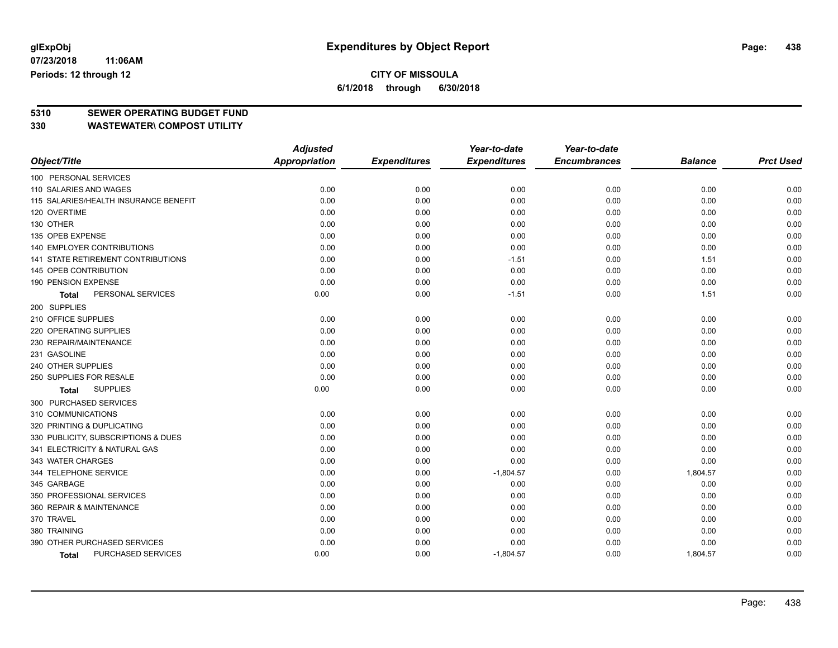**CITY OF MISSOULA 6/1/2018 through 6/30/2018**

# **5310 SEWER OPERATING BUDGET FUND<br>330 WASTEWATER\ COMPOST UTILITY**

### **330 WASTEWATER\ COMPOST UTILITY**

|                                           | <b>Adjusted</b>      |                     | Year-to-date        | Year-to-date        |                |                  |
|-------------------------------------------|----------------------|---------------------|---------------------|---------------------|----------------|------------------|
| Object/Title                              | <b>Appropriation</b> | <b>Expenditures</b> | <b>Expenditures</b> | <b>Encumbrances</b> | <b>Balance</b> | <b>Prct Used</b> |
| 100 PERSONAL SERVICES                     |                      |                     |                     |                     |                |                  |
| 110 SALARIES AND WAGES                    | 0.00                 | 0.00                | 0.00                | 0.00                | 0.00           | 0.00             |
| 115 SALARIES/HEALTH INSURANCE BENEFIT     | 0.00                 | 0.00                | 0.00                | 0.00                | 0.00           | 0.00             |
| 120 OVERTIME                              | 0.00                 | 0.00                | 0.00                | 0.00                | 0.00           | 0.00             |
| 130 OTHER                                 | 0.00                 | 0.00                | 0.00                | 0.00                | 0.00           | 0.00             |
| 135 OPEB EXPENSE                          | 0.00                 | 0.00                | 0.00                | 0.00                | 0.00           | 0.00             |
| 140 EMPLOYER CONTRIBUTIONS                | 0.00                 | 0.00                | 0.00                | 0.00                | 0.00           | 0.00             |
| <b>141 STATE RETIREMENT CONTRIBUTIONS</b> | 0.00                 | 0.00                | $-1.51$             | 0.00                | 1.51           | 0.00             |
| 145 OPEB CONTRIBUTION                     | 0.00                 | 0.00                | 0.00                | 0.00                | 0.00           | 0.00             |
| 190 PENSION EXPENSE                       | 0.00                 | 0.00                | 0.00                | 0.00                | 0.00           | 0.00             |
| PERSONAL SERVICES<br>Total                | 0.00                 | 0.00                | $-1.51$             | 0.00                | 1.51           | 0.00             |
| 200 SUPPLIES                              |                      |                     |                     |                     |                |                  |
| 210 OFFICE SUPPLIES                       | 0.00                 | 0.00                | 0.00                | 0.00                | 0.00           | 0.00             |
| 220 OPERATING SUPPLIES                    | 0.00                 | 0.00                | 0.00                | 0.00                | 0.00           | 0.00             |
| 230 REPAIR/MAINTENANCE                    | 0.00                 | 0.00                | 0.00                | 0.00                | 0.00           | 0.00             |
| 231 GASOLINE                              | 0.00                 | 0.00                | 0.00                | 0.00                | 0.00           | 0.00             |
| 240 OTHER SUPPLIES                        | 0.00                 | 0.00                | 0.00                | 0.00                | 0.00           | 0.00             |
| 250 SUPPLIES FOR RESALE                   | 0.00                 | 0.00                | 0.00                | 0.00                | 0.00           | 0.00             |
| <b>SUPPLIES</b><br>Total                  | 0.00                 | 0.00                | 0.00                | 0.00                | 0.00           | 0.00             |
| 300 PURCHASED SERVICES                    |                      |                     |                     |                     |                |                  |
| 310 COMMUNICATIONS                        | 0.00                 | 0.00                | 0.00                | 0.00                | 0.00           | 0.00             |
| 320 PRINTING & DUPLICATING                | 0.00                 | 0.00                | 0.00                | 0.00                | 0.00           | 0.00             |
| 330 PUBLICITY, SUBSCRIPTIONS & DUES       | 0.00                 | 0.00                | 0.00                | 0.00                | 0.00           | 0.00             |
| 341 ELECTRICITY & NATURAL GAS             | 0.00                 | 0.00                | 0.00                | 0.00                | 0.00           | 0.00             |
| 343 WATER CHARGES                         | 0.00                 | 0.00                | 0.00                | 0.00                | 0.00           | 0.00             |
| 344 TELEPHONE SERVICE                     | 0.00                 | 0.00                | $-1,804.57$         | 0.00                | 1,804.57       | 0.00             |
| 345 GARBAGE                               | 0.00                 | 0.00                | 0.00                | 0.00                | 0.00           | 0.00             |
| 350 PROFESSIONAL SERVICES                 | 0.00                 | 0.00                | 0.00                | 0.00                | 0.00           | 0.00             |
| 360 REPAIR & MAINTENANCE                  | 0.00                 | 0.00                | 0.00                | 0.00                | 0.00           | 0.00             |
| 370 TRAVEL                                | 0.00                 | 0.00                | 0.00                | 0.00                | 0.00           | 0.00             |
| 380 TRAINING                              | 0.00                 | 0.00                | 0.00                | 0.00                | 0.00           | 0.00             |
| 390 OTHER PURCHASED SERVICES              | 0.00                 | 0.00                | 0.00                | 0.00                | 0.00           | 0.00             |
| PURCHASED SERVICES<br><b>Total</b>        | 0.00                 | 0.00                | $-1,804.57$         | 0.00                | 1,804.57       | 0.00             |

Page: 438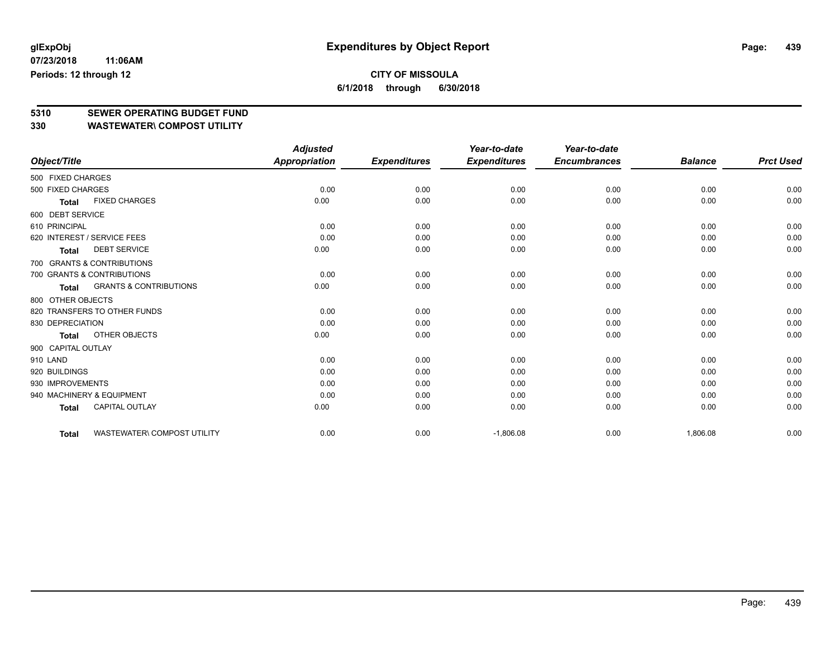# **5310 SEWER OPERATING BUDGET FUND<br>330 WASTEWATER\ COMPOST UTILITY**

|                    |                                    | <b>Adjusted</b>      |                     | Year-to-date        | Year-to-date        |                |                  |
|--------------------|------------------------------------|----------------------|---------------------|---------------------|---------------------|----------------|------------------|
| Object/Title       |                                    | <b>Appropriation</b> | <b>Expenditures</b> | <b>Expenditures</b> | <b>Encumbrances</b> | <b>Balance</b> | <b>Prct Used</b> |
| 500 FIXED CHARGES  |                                    |                      |                     |                     |                     |                |                  |
| 500 FIXED CHARGES  |                                    | 0.00                 | 0.00                | 0.00                | 0.00                | 0.00           | 0.00             |
| <b>Total</b>       | <b>FIXED CHARGES</b>               | 0.00                 | 0.00                | 0.00                | 0.00                | 0.00           | 0.00             |
| 600 DEBT SERVICE   |                                    |                      |                     |                     |                     |                |                  |
| 610 PRINCIPAL      |                                    | 0.00                 | 0.00                | 0.00                | 0.00                | 0.00           | 0.00             |
|                    | 620 INTEREST / SERVICE FEES        | 0.00                 | 0.00                | 0.00                | 0.00                | 0.00           | 0.00             |
| <b>Total</b>       | <b>DEBT SERVICE</b>                | 0.00                 | 0.00                | 0.00                | 0.00                | 0.00           | 0.00             |
|                    | 700 GRANTS & CONTRIBUTIONS         |                      |                     |                     |                     |                |                  |
|                    | 700 GRANTS & CONTRIBUTIONS         | 0.00                 | 0.00                | 0.00                | 0.00                | 0.00           | 0.00             |
| <b>Total</b>       | <b>GRANTS &amp; CONTRIBUTIONS</b>  | 0.00                 | 0.00                | 0.00                | 0.00                | 0.00           | 0.00             |
| 800 OTHER OBJECTS  |                                    |                      |                     |                     |                     |                |                  |
|                    | 820 TRANSFERS TO OTHER FUNDS       | 0.00                 | 0.00                | 0.00                | 0.00                | 0.00           | 0.00             |
| 830 DEPRECIATION   |                                    | 0.00                 | 0.00                | 0.00                | 0.00                | 0.00           | 0.00             |
| <b>Total</b>       | OTHER OBJECTS                      | 0.00                 | 0.00                | 0.00                | 0.00                | 0.00           | 0.00             |
| 900 CAPITAL OUTLAY |                                    |                      |                     |                     |                     |                |                  |
| 910 LAND           |                                    | 0.00                 | 0.00                | 0.00                | 0.00                | 0.00           | 0.00             |
| 920 BUILDINGS      |                                    | 0.00                 | 0.00                | 0.00                | 0.00                | 0.00           | 0.00             |
| 930 IMPROVEMENTS   |                                    | 0.00                 | 0.00                | 0.00                | 0.00                | 0.00           | 0.00             |
|                    | 940 MACHINERY & EQUIPMENT          | 0.00                 | 0.00                | 0.00                | 0.00                | 0.00           | 0.00             |
| <b>Total</b>       | <b>CAPITAL OUTLAY</b>              | 0.00                 | 0.00                | 0.00                | 0.00                | 0.00           | 0.00             |
| <b>Total</b>       | <b>WASTEWATER\ COMPOST UTILITY</b> | 0.00                 | 0.00                | $-1,806.08$         | 0.00                | 1,806.08       | 0.00             |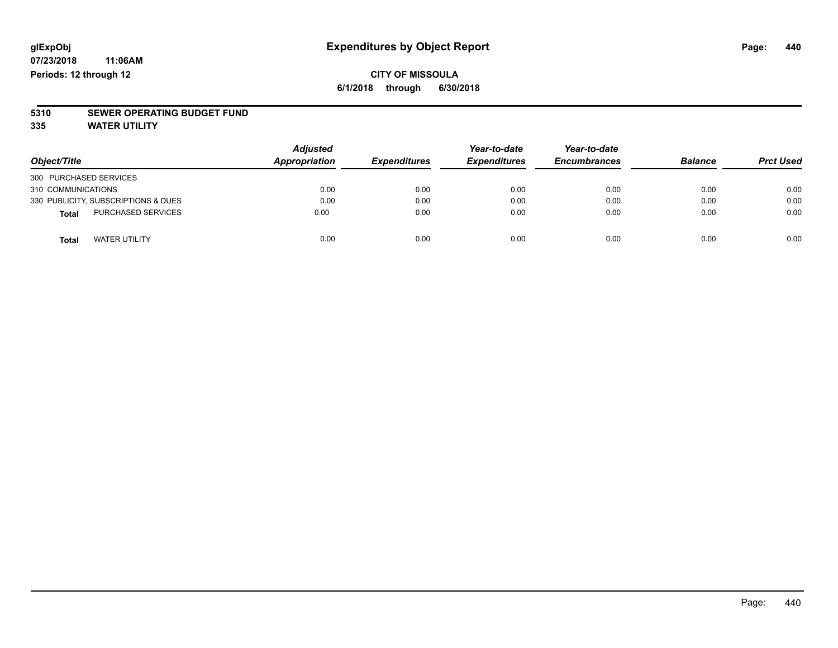### **CITY OF MISSOULA 6/1/2018 through 6/30/2018**

# **5310 SEWER OPERATING BUDGET FUND**

**335 WATER UTILITY**

| Object/Title                              | <b>Adjusted</b><br><b>Appropriation</b> | <b>Expenditures</b> | Year-to-date<br><b>Expenditures</b> | Year-to-date<br><b>Encumbrances</b> | <b>Balance</b> | <b>Prct Used</b> |
|-------------------------------------------|-----------------------------------------|---------------------|-------------------------------------|-------------------------------------|----------------|------------------|
| 300 PURCHASED SERVICES                    |                                         |                     |                                     |                                     |                |                  |
| 310 COMMUNICATIONS                        | 0.00                                    | 0.00                | 0.00                                | 0.00                                | 0.00           | 0.00             |
| 330 PUBLICITY, SUBSCRIPTIONS & DUES       | 0.00                                    | 0.00                | 0.00                                | 0.00                                | 0.00           | 0.00             |
| <b>PURCHASED SERVICES</b><br><b>Total</b> | 0.00                                    | 0.00                | 0.00                                | 0.00                                | 0.00           | 0.00             |
| <b>WATER UTILITY</b><br><b>Total</b>      | 0.00                                    | 0.00                | 0.00                                | 0.00                                | 0.00           | 0.00             |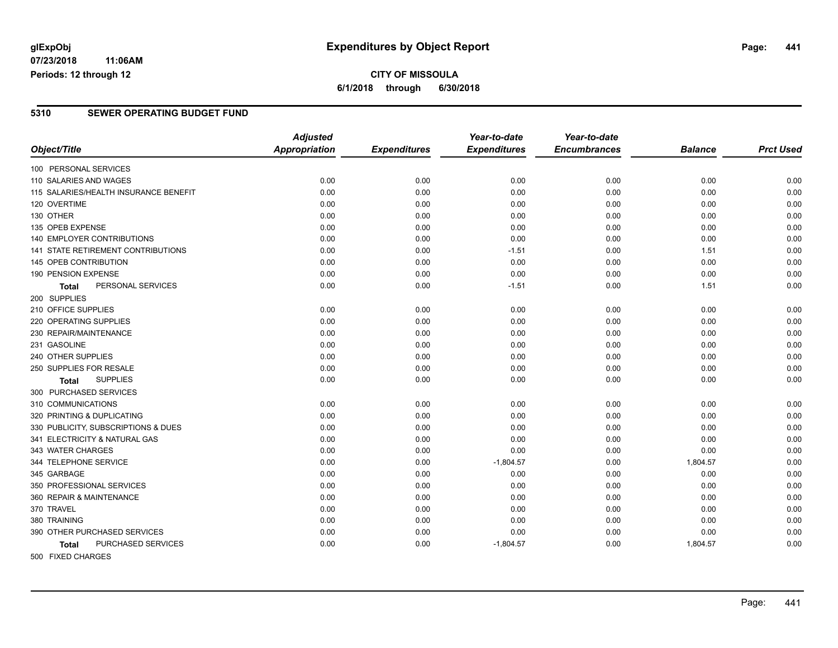### **glExpObj Expenditures by Object Report Page: 441**

#### **07/23/2018 11:06AM Periods: 12 through 12**

#### **5310 SEWER OPERATING BUDGET FUND**

|                                           | <b>Adjusted</b>      |                     | Year-to-date        | Year-to-date        |                |                  |
|-------------------------------------------|----------------------|---------------------|---------------------|---------------------|----------------|------------------|
| Object/Title                              | <b>Appropriation</b> | <b>Expenditures</b> | <b>Expenditures</b> | <b>Encumbrances</b> | <b>Balance</b> | <b>Prct Used</b> |
| 100 PERSONAL SERVICES                     |                      |                     |                     |                     |                |                  |
| 110 SALARIES AND WAGES                    | 0.00                 | 0.00                | 0.00                | 0.00                | 0.00           | 0.00             |
| 115 SALARIES/HEALTH INSURANCE BENEFIT     | 0.00                 | 0.00                | 0.00                | 0.00                | 0.00           | 0.00             |
| 120 OVERTIME                              | 0.00                 | 0.00                | 0.00                | 0.00                | 0.00           | 0.00             |
| 130 OTHER                                 | 0.00                 | 0.00                | 0.00                | 0.00                | 0.00           | 0.00             |
| 135 OPEB EXPENSE                          | 0.00                 | 0.00                | 0.00                | 0.00                | 0.00           | 0.00             |
| 140 EMPLOYER CONTRIBUTIONS                | 0.00                 | 0.00                | 0.00                | 0.00                | 0.00           | 0.00             |
| <b>141 STATE RETIREMENT CONTRIBUTIONS</b> | 0.00                 | 0.00                | $-1.51$             | 0.00                | 1.51           | 0.00             |
| 145 OPEB CONTRIBUTION                     | 0.00                 | 0.00                | 0.00                | 0.00                | 0.00           | 0.00             |
| 190 PENSION EXPENSE                       | 0.00                 | 0.00                | 0.00                | 0.00                | 0.00           | 0.00             |
| PERSONAL SERVICES<br><b>Total</b>         | 0.00                 | 0.00                | $-1.51$             | 0.00                | 1.51           | 0.00             |
| 200 SUPPLIES                              |                      |                     |                     |                     |                |                  |
| 210 OFFICE SUPPLIES                       | 0.00                 | 0.00                | 0.00                | 0.00                | 0.00           | 0.00             |
| 220 OPERATING SUPPLIES                    | 0.00                 | 0.00                | 0.00                | 0.00                | 0.00           | 0.00             |
| 230 REPAIR/MAINTENANCE                    | 0.00                 | 0.00                | 0.00                | 0.00                | 0.00           | 0.00             |
| 231 GASOLINE                              | 0.00                 | 0.00                | 0.00                | 0.00                | 0.00           | 0.00             |
| 240 OTHER SUPPLIES                        | 0.00                 | 0.00                | 0.00                | 0.00                | 0.00           | 0.00             |
| 250 SUPPLIES FOR RESALE                   | 0.00                 | 0.00                | 0.00                | 0.00                | 0.00           | 0.00             |
| <b>SUPPLIES</b><br><b>Total</b>           | 0.00                 | 0.00                | 0.00                | 0.00                | 0.00           | 0.00             |
| 300 PURCHASED SERVICES                    |                      |                     |                     |                     |                |                  |
| 310 COMMUNICATIONS                        | 0.00                 | 0.00                | 0.00                | 0.00                | 0.00           | 0.00             |
| 320 PRINTING & DUPLICATING                | 0.00                 | 0.00                | 0.00                | 0.00                | 0.00           | 0.00             |
| 330 PUBLICITY, SUBSCRIPTIONS & DUES       | 0.00                 | 0.00                | 0.00                | 0.00                | 0.00           | 0.00             |
| 341 ELECTRICITY & NATURAL GAS             | 0.00                 | 0.00                | 0.00                | 0.00                | 0.00           | 0.00             |
| 343 WATER CHARGES                         | 0.00                 | 0.00                | 0.00                | 0.00                | 0.00           | 0.00             |
| 344 TELEPHONE SERVICE                     | 0.00                 | 0.00                | $-1,804.57$         | 0.00                | 1,804.57       | 0.00             |
| 345 GARBAGE                               | 0.00                 | 0.00                | 0.00                | 0.00                | 0.00           | 0.00             |
| 350 PROFESSIONAL SERVICES                 | 0.00                 | 0.00                | 0.00                | 0.00                | 0.00           | 0.00             |
| 360 REPAIR & MAINTENANCE                  | 0.00                 | 0.00                | 0.00                | 0.00                | 0.00           | 0.00             |
| 370 TRAVEL                                | 0.00                 | 0.00                | 0.00                | 0.00                | 0.00           | 0.00             |
| 380 TRAINING                              | 0.00                 | 0.00                | 0.00                | 0.00                | 0.00           | 0.00             |
| 390 OTHER PURCHASED SERVICES              | 0.00                 | 0.00                | 0.00                | 0.00                | 0.00           | 0.00             |
| <b>PURCHASED SERVICES</b><br>Total        | 0.00                 | 0.00                | $-1,804.57$         | 0.00                | 1,804.57       | 0.00             |
| FOR FIVED OUADOFO                         |                      |                     |                     |                     |                |                  |

500 FIXED CHARGES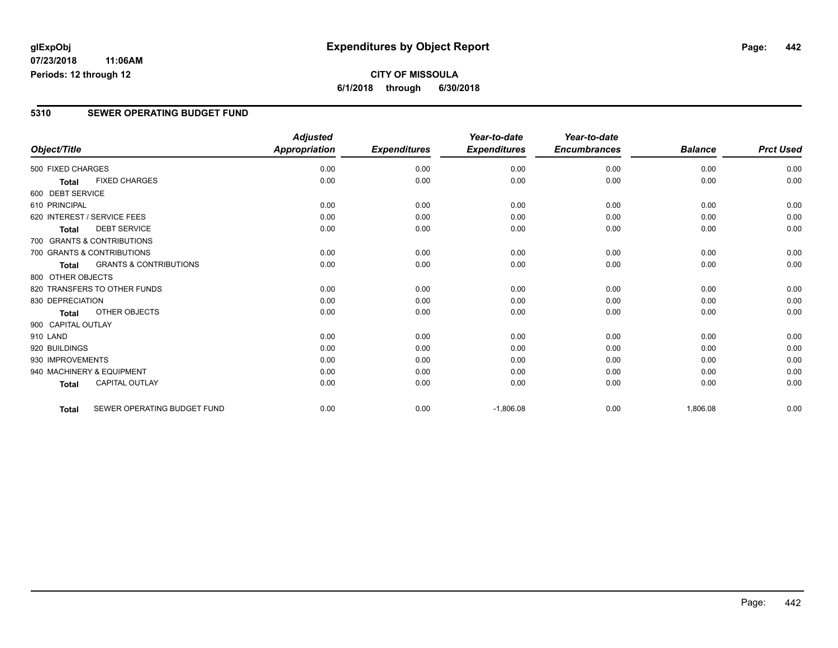### **glExpObj Expenditures by Object Report Page: 442**

#### **07/23/2018 11:06AM Periods: 12 through 12**

**CITY OF MISSOULA 6/1/2018 through 6/30/2018**

### **5310 SEWER OPERATING BUDGET FUND**

|                    |                                   | <b>Adjusted</b>      |                     | Year-to-date        | Year-to-date        |                |                  |
|--------------------|-----------------------------------|----------------------|---------------------|---------------------|---------------------|----------------|------------------|
| Object/Title       |                                   | <b>Appropriation</b> | <b>Expenditures</b> | <b>Expenditures</b> | <b>Encumbrances</b> | <b>Balance</b> | <b>Prct Used</b> |
| 500 FIXED CHARGES  |                                   | 0.00                 | 0.00                | 0.00                | 0.00                | 0.00           | 0.00             |
| <b>Total</b>       | <b>FIXED CHARGES</b>              | 0.00                 | 0.00                | 0.00                | 0.00                | 0.00           | 0.00             |
| 600 DEBT SERVICE   |                                   |                      |                     |                     |                     |                |                  |
| 610 PRINCIPAL      |                                   | 0.00                 | 0.00                | 0.00                | 0.00                | 0.00           | 0.00             |
|                    | 620 INTEREST / SERVICE FEES       | 0.00                 | 0.00                | 0.00                | 0.00                | 0.00           | 0.00             |
| <b>Total</b>       | <b>DEBT SERVICE</b>               | 0.00                 | 0.00                | 0.00                | 0.00                | 0.00           | 0.00             |
|                    | 700 GRANTS & CONTRIBUTIONS        |                      |                     |                     |                     |                |                  |
|                    | 700 GRANTS & CONTRIBUTIONS        | 0.00                 | 0.00                | 0.00                | 0.00                | 0.00           | 0.00             |
| <b>Total</b>       | <b>GRANTS &amp; CONTRIBUTIONS</b> | 0.00                 | 0.00                | 0.00                | 0.00                | 0.00           | 0.00             |
| 800 OTHER OBJECTS  |                                   |                      |                     |                     |                     |                |                  |
|                    | 820 TRANSFERS TO OTHER FUNDS      | 0.00                 | 0.00                | 0.00                | 0.00                | 0.00           | 0.00             |
| 830 DEPRECIATION   |                                   | 0.00                 | 0.00                | 0.00                | 0.00                | 0.00           | 0.00             |
| <b>Total</b>       | <b>OTHER OBJECTS</b>              | 0.00                 | 0.00                | 0.00                | 0.00                | 0.00           | 0.00             |
| 900 CAPITAL OUTLAY |                                   |                      |                     |                     |                     |                |                  |
| 910 LAND           |                                   | 0.00                 | 0.00                | 0.00                | 0.00                | 0.00           | 0.00             |
| 920 BUILDINGS      |                                   | 0.00                 | 0.00                | 0.00                | 0.00                | 0.00           | 0.00             |
| 930 IMPROVEMENTS   |                                   | 0.00                 | 0.00                | 0.00                | 0.00                | 0.00           | 0.00             |
|                    | 940 MACHINERY & EQUIPMENT         | 0.00                 | 0.00                | 0.00                | 0.00                | 0.00           | 0.00             |
| <b>Total</b>       | <b>CAPITAL OUTLAY</b>             | 0.00                 | 0.00                | 0.00                | 0.00                | 0.00           | 0.00             |
| <b>Total</b>       | SEWER OPERATING BUDGET FUND       | 0.00                 | 0.00                | $-1,806.08$         | 0.00                | 1,806.08       | 0.00             |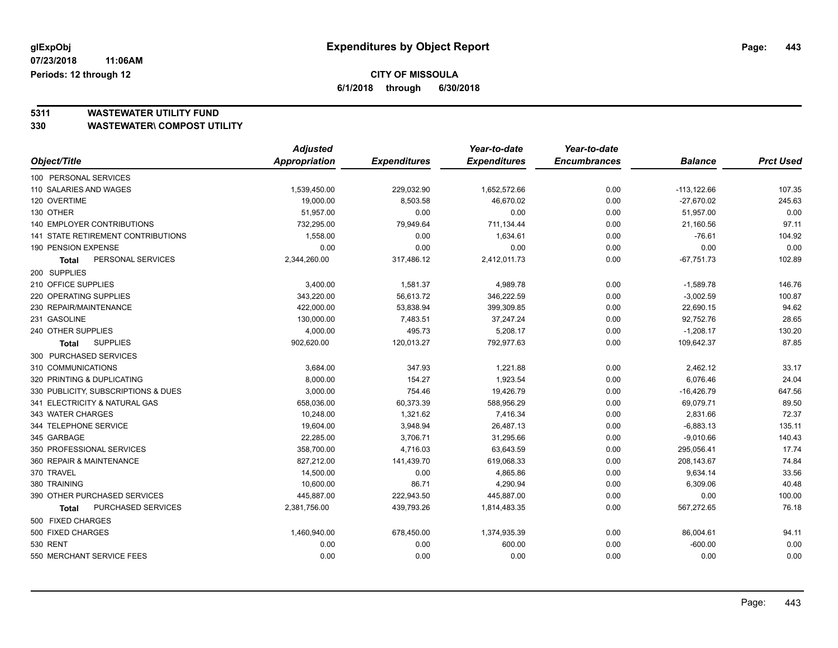# **5311 WASTEWATER UTILITY FUND**<br>330 WASTEWATER\ COMPOST UTI

|                                           | <b>Adjusted</b> |                     | Year-to-date        | Year-to-date        |                |                  |
|-------------------------------------------|-----------------|---------------------|---------------------|---------------------|----------------|------------------|
| Object/Title                              | Appropriation   | <b>Expenditures</b> | <b>Expenditures</b> | <b>Encumbrances</b> | <b>Balance</b> | <b>Prct Used</b> |
| 100 PERSONAL SERVICES                     |                 |                     |                     |                     |                |                  |
| 110 SALARIES AND WAGES                    | 1,539,450.00    | 229,032.90          | 1,652,572.66        | 0.00                | $-113, 122.66$ | 107.35           |
| 120 OVERTIME                              | 19,000.00       | 8,503.58            | 46,670.02           | 0.00                | $-27,670.02$   | 245.63           |
| 130 OTHER                                 | 51,957.00       | 0.00                | 0.00                | 0.00                | 51,957.00      | 0.00             |
| 140 EMPLOYER CONTRIBUTIONS                | 732,295.00      | 79,949.64           | 711,134.44          | 0.00                | 21,160.56      | 97.11            |
| 141 STATE RETIREMENT CONTRIBUTIONS        | 1,558.00        | 0.00                | 1,634.61            | 0.00                | $-76.61$       | 104.92           |
| 190 PENSION EXPENSE                       | 0.00            | 0.00                | 0.00                | 0.00                | 0.00           | 0.00             |
| PERSONAL SERVICES<br>Total                | 2,344,260.00    | 317,486.12          | 2,412,011.73        | 0.00                | $-67,751.73$   | 102.89           |
| 200 SUPPLIES                              |                 |                     |                     |                     |                |                  |
| 210 OFFICE SUPPLIES                       | 3,400.00        | 1,581.37            | 4,989.78            | 0.00                | $-1,589.78$    | 146.76           |
| <b>220 OPERATING SUPPLIES</b>             | 343,220.00      | 56,613.72           | 346,222.59          | 0.00                | $-3,002.59$    | 100.87           |
| 230 REPAIR/MAINTENANCE                    | 422,000.00      | 53,838.94           | 399,309.85          | 0.00                | 22,690.15      | 94.62            |
| 231 GASOLINE                              | 130,000.00      | 7,483.51            | 37,247.24           | 0.00                | 92,752.76      | 28.65            |
| 240 OTHER SUPPLIES                        | 4,000.00        | 495.73              | 5,208.17            | 0.00                | $-1,208.17$    | 130.20           |
| <b>SUPPLIES</b><br>Total                  | 902,620.00      | 120,013.27          | 792,977.63          | 0.00                | 109,642.37     | 87.85            |
| 300 PURCHASED SERVICES                    |                 |                     |                     |                     |                |                  |
| 310 COMMUNICATIONS                        | 3,684.00        | 347.93              | 1,221.88            | 0.00                | 2,462.12       | 33.17            |
| 320 PRINTING & DUPLICATING                | 8,000.00        | 154.27              | 1,923.54            | 0.00                | 6,076.46       | 24.04            |
| 330 PUBLICITY, SUBSCRIPTIONS & DUES       | 3,000.00        | 754.46              | 19,426.79           | 0.00                | $-16,426.79$   | 647.56           |
| 341 ELECTRICITY & NATURAL GAS             | 658,036.00      | 60,373.39           | 588,956.29          | 0.00                | 69,079.71      | 89.50            |
| 343 WATER CHARGES                         | 10,248.00       | 1,321.62            | 7,416.34            | 0.00                | 2,831.66       | 72.37            |
| 344 TELEPHONE SERVICE                     | 19,604.00       | 3,948.94            | 26,487.13           | 0.00                | $-6,883.13$    | 135.11           |
| 345 GARBAGE                               | 22,285.00       | 3,706.71            | 31,295.66           | 0.00                | $-9,010.66$    | 140.43           |
| 350 PROFESSIONAL SERVICES                 | 358,700.00      | 4,716.03            | 63,643.59           | 0.00                | 295,056.41     | 17.74            |
| 360 REPAIR & MAINTENANCE                  | 827,212.00      | 141,439.70          | 619,068.33          | 0.00                | 208,143.67     | 74.84            |
| 370 TRAVEL                                | 14,500.00       | 0.00                | 4,865.86            | 0.00                | 9,634.14       | 33.56            |
| 380 TRAINING                              | 10,600.00       | 86.71               | 4,290.94            | 0.00                | 6,309.06       | 40.48            |
| 390 OTHER PURCHASED SERVICES              | 445,887.00      | 222,943.50          | 445,887.00          | 0.00                | 0.00           | 100.00           |
| <b>PURCHASED SERVICES</b><br><b>Total</b> | 2,381,756.00    | 439,793.26          | 1,814,483.35        | 0.00                | 567,272.65     | 76.18            |
| 500 FIXED CHARGES                         |                 |                     |                     |                     |                |                  |
| 500 FIXED CHARGES                         | 1,460,940.00    | 678,450.00          | 1,374,935.39        | 0.00                | 86,004.61      | 94.11            |
| <b>530 RENT</b>                           | 0.00            | 0.00                | 600.00              | 0.00                | $-600.00$      | 0.00             |
| 550 MERCHANT SERVICE FEES                 | 0.00            | 0.00                | 0.00                | 0.00                | 0.00           | 0.00             |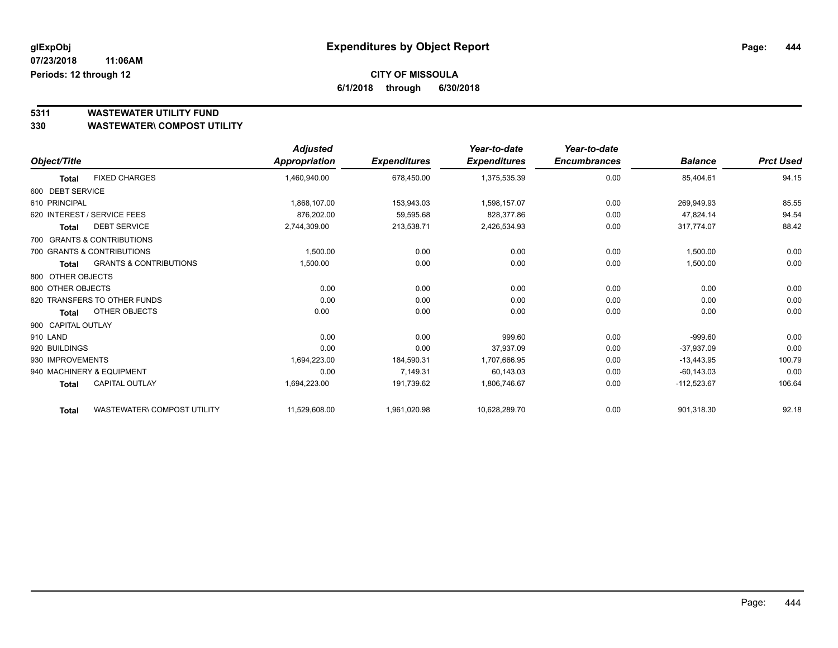# **5311 WASTEWATER UTILITY FUND**<br>330 WASTEWATER\ COMPOST UTI

|                    |                                    | <b>Adjusted</b> |                     | Year-to-date        | Year-to-date        |                |                  |
|--------------------|------------------------------------|-----------------|---------------------|---------------------|---------------------|----------------|------------------|
| Object/Title       |                                    | Appropriation   | <b>Expenditures</b> | <b>Expenditures</b> | <b>Encumbrances</b> | <b>Balance</b> | <b>Prct Used</b> |
| <b>Total</b>       | <b>FIXED CHARGES</b>               | 1,460,940.00    | 678,450.00          | 1,375,535.39        | 0.00                | 85,404.61      | 94.15            |
| 600 DEBT SERVICE   |                                    |                 |                     |                     |                     |                |                  |
| 610 PRINCIPAL      |                                    | 1,868,107.00    | 153,943.03          | 1,598,157.07        | 0.00                | 269,949.93     | 85.55            |
|                    | 620 INTEREST / SERVICE FEES        | 876.202.00      | 59,595.68           | 828,377.86          | 0.00                | 47,824.14      | 94.54            |
| <b>Total</b>       | <b>DEBT SERVICE</b>                | 2,744,309.00    | 213,538.71          | 2,426,534.93        | 0.00                | 317,774.07     | 88.42            |
|                    | 700 GRANTS & CONTRIBUTIONS         |                 |                     |                     |                     |                |                  |
|                    | 700 GRANTS & CONTRIBUTIONS         | 1,500.00        | 0.00                | 0.00                | 0.00                | 1,500.00       | 0.00             |
| <b>Total</b>       | <b>GRANTS &amp; CONTRIBUTIONS</b>  | 1,500.00        | 0.00                | 0.00                | 0.00                | 1,500.00       | 0.00             |
| 800 OTHER OBJECTS  |                                    |                 |                     |                     |                     |                |                  |
| 800 OTHER OBJECTS  |                                    | 0.00            | 0.00                | 0.00                | 0.00                | 0.00           | 0.00             |
|                    | 820 TRANSFERS TO OTHER FUNDS       | 0.00            | 0.00                | 0.00                | 0.00                | 0.00           | 0.00             |
| <b>Total</b>       | OTHER OBJECTS                      | 0.00            | 0.00                | 0.00                | 0.00                | 0.00           | 0.00             |
| 900 CAPITAL OUTLAY |                                    |                 |                     |                     |                     |                |                  |
| 910 LAND           |                                    | 0.00            | 0.00                | 999.60              | 0.00                | $-999.60$      | 0.00             |
| 920 BUILDINGS      |                                    | 0.00            | 0.00                | 37.937.09           | 0.00                | $-37.937.09$   | 0.00             |
| 930 IMPROVEMENTS   |                                    | 1,694,223.00    | 184,590.31          | 1,707,666.95        | 0.00                | $-13,443.95$   | 100.79           |
|                    | 940 MACHINERY & EQUIPMENT          | 0.00            | 7,149.31            | 60,143.03           | 0.00                | $-60, 143.03$  | 0.00             |
| <b>Total</b>       | <b>CAPITAL OUTLAY</b>              | 1,694,223.00    | 191,739.62          | 1,806,746.67        | 0.00                | $-112,523.67$  | 106.64           |
| <b>Total</b>       | <b>WASTEWATER\ COMPOST UTILITY</b> | 11,529,608.00   | 1,961,020.98        | 10,628,289.70       | 0.00                | 901,318.30     | 92.18            |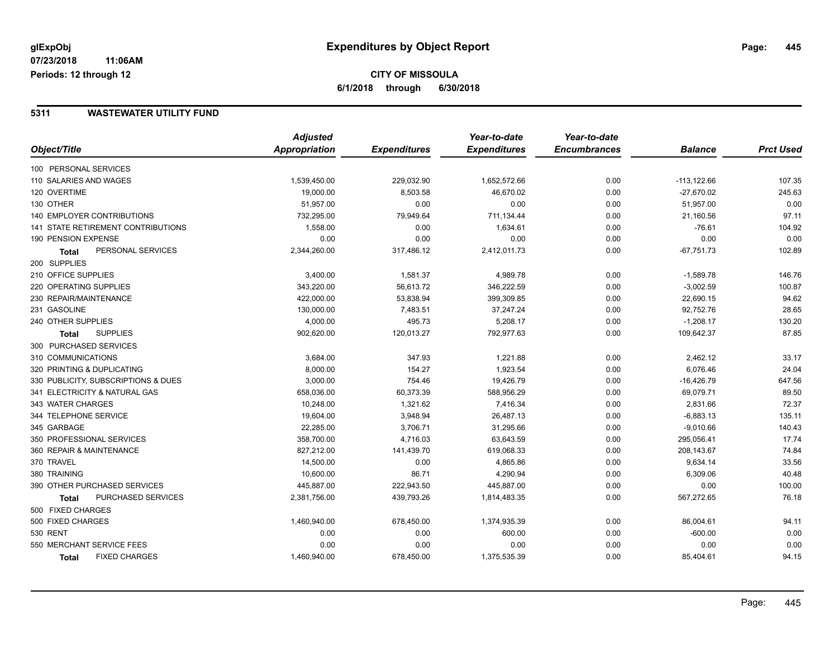### **5311 WASTEWATER UTILITY FUND**

|                                     | <b>Adjusted</b> |                     | Year-to-date        | Year-to-date        |                |                  |
|-------------------------------------|-----------------|---------------------|---------------------|---------------------|----------------|------------------|
| Object/Title                        | Appropriation   | <b>Expenditures</b> | <b>Expenditures</b> | <b>Encumbrances</b> | <b>Balance</b> | <b>Prct Used</b> |
| 100 PERSONAL SERVICES               |                 |                     |                     |                     |                |                  |
| 110 SALARIES AND WAGES              | 1,539,450.00    | 229,032.90          | 1,652,572.66        | 0.00                | $-113, 122.66$ | 107.35           |
| 120 OVERTIME                        | 19,000.00       | 8,503.58            | 46,670.02           | 0.00                | $-27,670.02$   | 245.63           |
| 130 OTHER                           | 51,957.00       | 0.00                | 0.00                | 0.00                | 51,957.00      | 0.00             |
| <b>140 EMPLOYER CONTRIBUTIONS</b>   | 732,295.00      | 79,949.64           | 711,134.44          | 0.00                | 21,160.56      | 97.11            |
| 141 STATE RETIREMENT CONTRIBUTIONS  | 1,558.00        | 0.00                | 1,634.61            | 0.00                | $-76.61$       | 104.92           |
| <b>190 PENSION EXPENSE</b>          | 0.00            | 0.00                | 0.00                | 0.00                | 0.00           | 0.00             |
| PERSONAL SERVICES<br>Total          | 2,344,260.00    | 317,486.12          | 2,412,011.73        | 0.00                | $-67,751.73$   | 102.89           |
| 200 SUPPLIES                        |                 |                     |                     |                     |                |                  |
| 210 OFFICE SUPPLIES                 | 3,400.00        | 1,581.37            | 4,989.78            | 0.00                | $-1,589.78$    | 146.76           |
| 220 OPERATING SUPPLIES              | 343,220.00      | 56,613.72           | 346,222.59          | 0.00                | $-3,002.59$    | 100.87           |
| 230 REPAIR/MAINTENANCE              | 422,000.00      | 53,838.94           | 399,309.85          | 0.00                | 22,690.15      | 94.62            |
| 231 GASOLINE                        | 130,000.00      | 7,483.51            | 37,247.24           | 0.00                | 92,752.76      | 28.65            |
| 240 OTHER SUPPLIES                  | 4,000.00        | 495.73              | 5,208.17            | 0.00                | $-1,208.17$    | 130.20           |
| <b>SUPPLIES</b><br><b>Total</b>     | 902,620.00      | 120,013.27          | 792,977.63          | 0.00                | 109,642.37     | 87.85            |
| 300 PURCHASED SERVICES              |                 |                     |                     |                     |                |                  |
| 310 COMMUNICATIONS                  | 3,684.00        | 347.93              | 1,221.88            | 0.00                | 2,462.12       | 33.17            |
| 320 PRINTING & DUPLICATING          | 8,000.00        | 154.27              | 1,923.54            | 0.00                | 6,076.46       | 24.04            |
| 330 PUBLICITY, SUBSCRIPTIONS & DUES | 3,000.00        | 754.46              | 19,426.79           | 0.00                | $-16,426.79$   | 647.56           |
| 341 ELECTRICITY & NATURAL GAS       | 658,036.00      | 60,373.39           | 588,956.29          | 0.00                | 69,079.71      | 89.50            |
| 343 WATER CHARGES                   | 10,248.00       | 1,321.62            | 7,416.34            | 0.00                | 2,831.66       | 72.37            |
| 344 TELEPHONE SERVICE               | 19,604.00       | 3,948.94            | 26,487.13           | 0.00                | $-6,883.13$    | 135.11           |
| 345 GARBAGE                         | 22,285.00       | 3,706.71            | 31,295.66           | 0.00                | $-9,010.66$    | 140.43           |
| 350 PROFESSIONAL SERVICES           | 358,700.00      | 4,716.03            | 63,643.59           | 0.00                | 295,056.41     | 17.74            |
| 360 REPAIR & MAINTENANCE            | 827,212.00      | 141,439.70          | 619,068.33          | 0.00                | 208,143.67     | 74.84            |
| 370 TRAVEL                          | 14,500.00       | 0.00                | 4,865.86            | 0.00                | 9,634.14       | 33.56            |
| 380 TRAINING                        | 10,600.00       | 86.71               | 4,290.94            | 0.00                | 6,309.06       | 40.48            |
| 390 OTHER PURCHASED SERVICES        | 445,887.00      | 222,943.50          | 445,887.00          | 0.00                | 0.00           | 100.00           |
| PURCHASED SERVICES<br><b>Total</b>  | 2,381,756.00    | 439,793.26          | 1,814,483.35        | 0.00                | 567,272.65     | 76.18            |
| 500 FIXED CHARGES                   |                 |                     |                     |                     |                |                  |
| 500 FIXED CHARGES                   | 1,460,940.00    | 678,450.00          | 1,374,935.39        | 0.00                | 86,004.61      | 94.11            |
| <b>530 RENT</b>                     | 0.00            | 0.00                | 600.00              | 0.00                | $-600.00$      | 0.00             |
| 550 MERCHANT SERVICE FEES           | 0.00            | 0.00                | 0.00                | 0.00                | 0.00           | 0.00             |
| <b>FIXED CHARGES</b><br>Total       | 1,460,940.00    | 678,450.00          | 1,375,535.39        | 0.00                | 85,404.61      | 94.15            |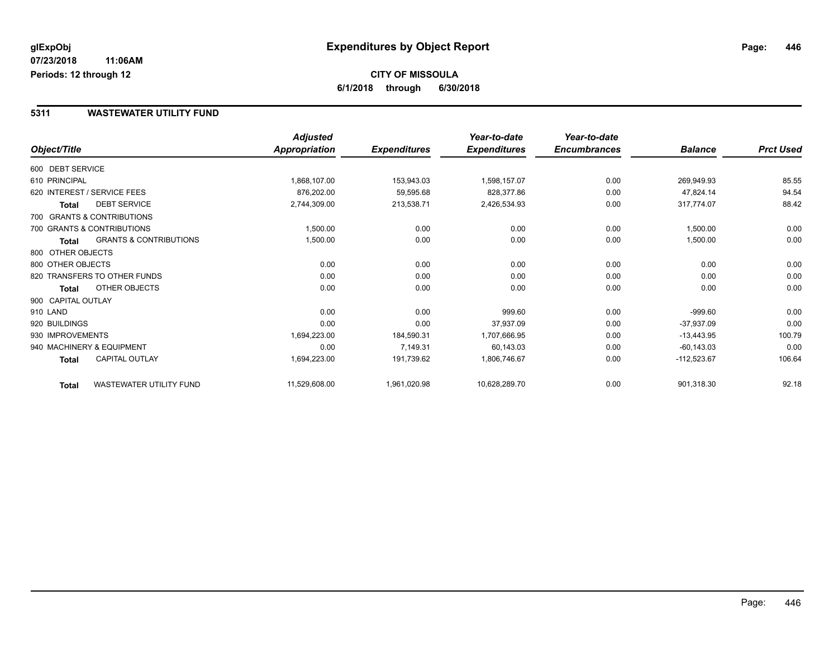### **5311 WASTEWATER UTILITY FUND**

|                    |                                   | <b>Adjusted</b> |                     | Year-to-date        | Year-to-date        |                |                  |
|--------------------|-----------------------------------|-----------------|---------------------|---------------------|---------------------|----------------|------------------|
| Object/Title       |                                   | Appropriation   | <b>Expenditures</b> | <b>Expenditures</b> | <b>Encumbrances</b> | <b>Balance</b> | <b>Prct Used</b> |
| 600 DEBT SERVICE   |                                   |                 |                     |                     |                     |                |                  |
| 610 PRINCIPAL      |                                   | 1,868,107.00    | 153,943.03          | 1,598,157.07        | 0.00                | 269,949.93     | 85.55            |
|                    | 620 INTEREST / SERVICE FEES       | 876,202.00      | 59,595.68           | 828,377.86          | 0.00                | 47,824.14      | 94.54            |
| <b>Total</b>       | <b>DEBT SERVICE</b>               | 2,744,309.00    | 213,538.71          | 2,426,534.93        | 0.00                | 317,774.07     | 88.42            |
|                    | 700 GRANTS & CONTRIBUTIONS        |                 |                     |                     |                     |                |                  |
|                    | 700 GRANTS & CONTRIBUTIONS        | 1,500.00        | 0.00                | 0.00                | 0.00                | 1,500.00       | 0.00             |
| <b>Total</b>       | <b>GRANTS &amp; CONTRIBUTIONS</b> | 1,500.00        | 0.00                | 0.00                | 0.00                | 1,500.00       | 0.00             |
| 800 OTHER OBJECTS  |                                   |                 |                     |                     |                     |                |                  |
| 800 OTHER OBJECTS  |                                   | 0.00            | 0.00                | 0.00                | 0.00                | 0.00           | 0.00             |
|                    | 820 TRANSFERS TO OTHER FUNDS      | 0.00            | 0.00                | 0.00                | 0.00                | 0.00           | 0.00             |
| Total              | <b>OTHER OBJECTS</b>              | 0.00            | 0.00                | 0.00                | 0.00                | 0.00           | 0.00             |
| 900 CAPITAL OUTLAY |                                   |                 |                     |                     |                     |                |                  |
| 910 LAND           |                                   | 0.00            | 0.00                | 999.60              | 0.00                | $-999.60$      | 0.00             |
| 920 BUILDINGS      |                                   | 0.00            | 0.00                | 37,937.09           | 0.00                | $-37,937.09$   | 0.00             |
| 930 IMPROVEMENTS   |                                   | 1,694,223.00    | 184,590.31          | 1,707,666.95        | 0.00                | $-13,443.95$   | 100.79           |
|                    | 940 MACHINERY & EQUIPMENT         | 0.00            | 7,149.31            | 60,143.03           | 0.00                | $-60, 143.03$  | 0.00             |
| Total              | <b>CAPITAL OUTLAY</b>             | 1,694,223.00    | 191,739.62          | 1,806,746.67        | 0.00                | $-112,523.67$  | 106.64           |
| <b>Total</b>       | WASTEWATER UTILITY FUND           | 11,529,608.00   | 1,961,020.98        | 10,628,289.70       | 0.00                | 901,318.30     | 92.18            |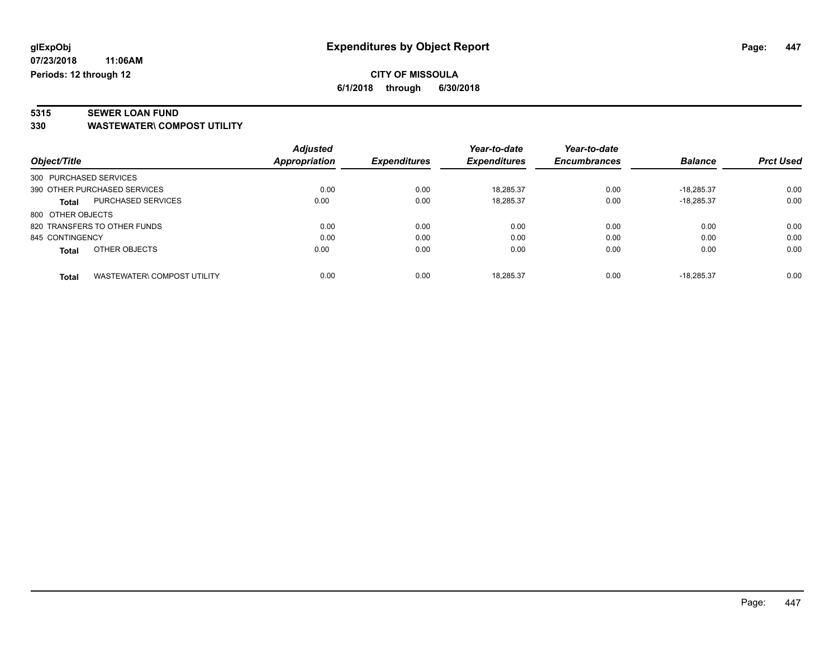**CITY OF MISSOULA 6/1/2018 through 6/30/2018**

# **5315 SEWER LOAN FUND**

|                        |                                    | <b>Adjusted</b>      |                     | Year-to-date        | Year-to-date        |                |                  |
|------------------------|------------------------------------|----------------------|---------------------|---------------------|---------------------|----------------|------------------|
| Object/Title           |                                    | <b>Appropriation</b> | <b>Expenditures</b> | <b>Expenditures</b> | <b>Encumbrances</b> | <b>Balance</b> | <b>Prct Used</b> |
| 300 PURCHASED SERVICES |                                    |                      |                     |                     |                     |                |                  |
|                        | 390 OTHER PURCHASED SERVICES       | 0.00                 | 0.00                | 18.285.37           | 0.00                | $-18.285.37$   | 0.00             |
| <b>Total</b>           | <b>PURCHASED SERVICES</b>          | 0.00                 | 0.00                | 18,285.37           | 0.00                | $-18.285.37$   | 0.00             |
| 800 OTHER OBJECTS      |                                    |                      |                     |                     |                     |                |                  |
|                        | 820 TRANSFERS TO OTHER FUNDS       | 0.00                 | 0.00                | 0.00                | 0.00                | 0.00           | 0.00             |
| 845 CONTINGENCY        |                                    | 0.00                 | 0.00                | 0.00                | 0.00                | 0.00           | 0.00             |
| <b>Total</b>           | OTHER OBJECTS                      | 0.00                 | 0.00                | 0.00                | 0.00                | 0.00           | 0.00             |
| <b>Total</b>           | <b>WASTEWATER\ COMPOST UTILITY</b> | 0.00                 | 0.00                | 18.285.37           | 0.00                | $-18.285.37$   | 0.00             |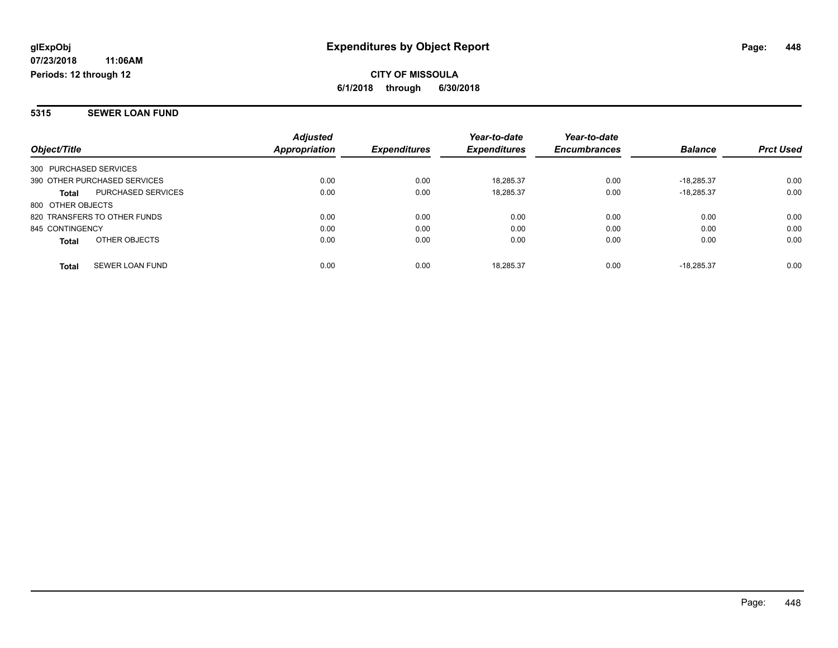#### **5315 SEWER LOAN FUND**

|                                    | <b>Adjusted</b> |                     | Year-to-date        | Year-to-date        |                |                  |
|------------------------------------|-----------------|---------------------|---------------------|---------------------|----------------|------------------|
| Object/Title                       | Appropriation   | <b>Expenditures</b> | <b>Expenditures</b> | <b>Encumbrances</b> | <b>Balance</b> | <b>Prct Used</b> |
| 300 PURCHASED SERVICES             |                 |                     |                     |                     |                |                  |
| 390 OTHER PURCHASED SERVICES       | 0.00            | 0.00                | 18.285.37           | 0.00                | $-18.285.37$   | 0.00             |
| PURCHASED SERVICES<br><b>Total</b> | 0.00            | 0.00                | 18,285.37           | 0.00                | $-18.285.37$   | 0.00             |
| 800 OTHER OBJECTS                  |                 |                     |                     |                     |                |                  |
| 820 TRANSFERS TO OTHER FUNDS       | 0.00            | 0.00                | 0.00                | 0.00                | 0.00           | 0.00             |
| 845 CONTINGENCY                    | 0.00            | 0.00                | 0.00                | 0.00                | 0.00           | 0.00             |
| OTHER OBJECTS<br><b>Total</b>      | 0.00            | 0.00                | 0.00                | 0.00                | 0.00           | 0.00             |
| SEWER LOAN FUND<br><b>Total</b>    | 0.00            | 0.00                | 18.285.37           | 0.00                | $-18.285.37$   | 0.00             |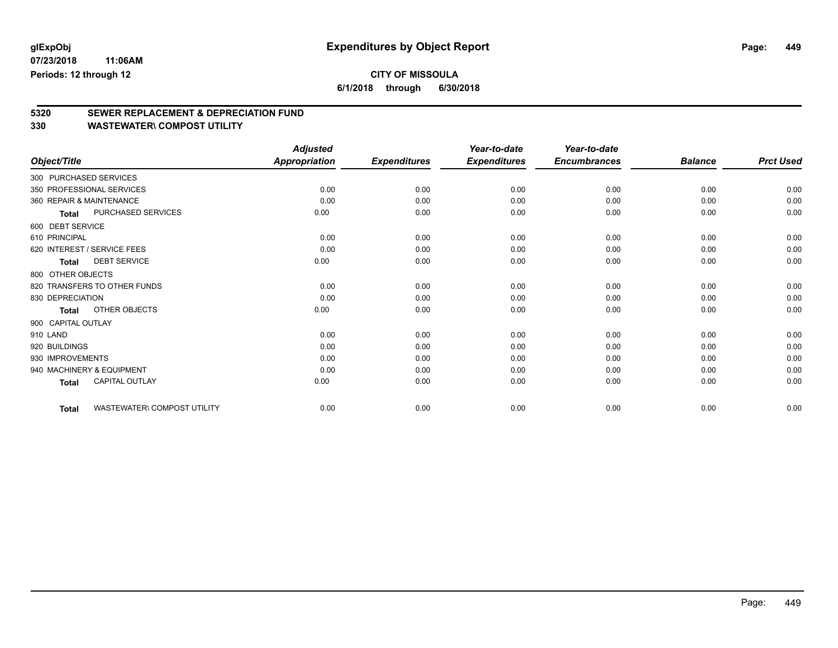# **5320 SEWER REPLACEMENT & DEPRECIATION FUND**

|                          |                                    | <b>Adjusted</b>      |                     | Year-to-date        | Year-to-date        |                |                  |
|--------------------------|------------------------------------|----------------------|---------------------|---------------------|---------------------|----------------|------------------|
| Object/Title             |                                    | <b>Appropriation</b> | <b>Expenditures</b> | <b>Expenditures</b> | <b>Encumbrances</b> | <b>Balance</b> | <b>Prct Used</b> |
| 300 PURCHASED SERVICES   |                                    |                      |                     |                     |                     |                |                  |
|                          | 350 PROFESSIONAL SERVICES          | 0.00                 | 0.00                | 0.00                | 0.00                | 0.00           | 0.00             |
| 360 REPAIR & MAINTENANCE |                                    | 0.00                 | 0.00                | 0.00                | 0.00                | 0.00           | 0.00             |
| <b>Total</b>             | PURCHASED SERVICES                 | 0.00                 | 0.00                | 0.00                | 0.00                | 0.00           | 0.00             |
| 600 DEBT SERVICE         |                                    |                      |                     |                     |                     |                |                  |
| 610 PRINCIPAL            |                                    | 0.00                 | 0.00                | 0.00                | 0.00                | 0.00           | 0.00             |
|                          | 620 INTEREST / SERVICE FEES        | 0.00                 | 0.00                | 0.00                | 0.00                | 0.00           | 0.00             |
| <b>Total</b>             | <b>DEBT SERVICE</b>                | 0.00                 | 0.00                | 0.00                | 0.00                | 0.00           | 0.00             |
| 800 OTHER OBJECTS        |                                    |                      |                     |                     |                     |                |                  |
|                          | 820 TRANSFERS TO OTHER FUNDS       | 0.00                 | 0.00                | 0.00                | 0.00                | 0.00           | 0.00             |
| 830 DEPRECIATION         |                                    | 0.00                 | 0.00                | 0.00                | 0.00                | 0.00           | 0.00             |
| <b>Total</b>             | OTHER OBJECTS                      | 0.00                 | 0.00                | 0.00                | 0.00                | 0.00           | 0.00             |
| 900 CAPITAL OUTLAY       |                                    |                      |                     |                     |                     |                |                  |
| 910 LAND                 |                                    | 0.00                 | 0.00                | 0.00                | 0.00                | 0.00           | 0.00             |
| 920 BUILDINGS            |                                    | 0.00                 | 0.00                | 0.00                | 0.00                | 0.00           | 0.00             |
| 930 IMPROVEMENTS         |                                    | 0.00                 | 0.00                | 0.00                | 0.00                | 0.00           | 0.00             |
|                          | 940 MACHINERY & EQUIPMENT          | 0.00                 | 0.00                | 0.00                | 0.00                | 0.00           | 0.00             |
| <b>Total</b>             | <b>CAPITAL OUTLAY</b>              | 0.00                 | 0.00                | 0.00                | 0.00                | 0.00           | 0.00             |
| <b>Total</b>             | <b>WASTEWATER\ COMPOST UTILITY</b> | 0.00                 | 0.00                | 0.00                | 0.00                | 0.00           | 0.00             |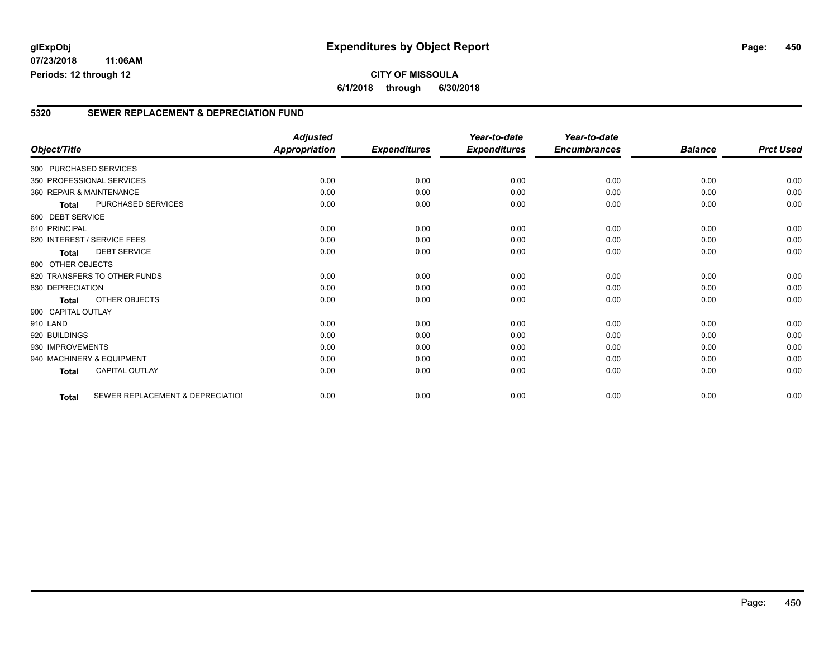#### **5320 SEWER REPLACEMENT & DEPRECIATION FUND**

|                        |                                  | <b>Adjusted</b>      |                     | Year-to-date        | Year-to-date        |                |                  |
|------------------------|----------------------------------|----------------------|---------------------|---------------------|---------------------|----------------|------------------|
| Object/Title           |                                  | <b>Appropriation</b> | <b>Expenditures</b> | <b>Expenditures</b> | <b>Encumbrances</b> | <b>Balance</b> | <b>Prct Used</b> |
| 300 PURCHASED SERVICES |                                  |                      |                     |                     |                     |                |                  |
|                        | 350 PROFESSIONAL SERVICES        | 0.00                 | 0.00                | 0.00                | 0.00                | 0.00           | 0.00             |
|                        | 360 REPAIR & MAINTENANCE         | 0.00                 | 0.00                | 0.00                | 0.00                | 0.00           | 0.00             |
| Total                  | PURCHASED SERVICES               | 0.00                 | 0.00                | 0.00                | 0.00                | 0.00           | 0.00             |
| 600 DEBT SERVICE       |                                  |                      |                     |                     |                     |                |                  |
| 610 PRINCIPAL          |                                  | 0.00                 | 0.00                | 0.00                | 0.00                | 0.00           | 0.00             |
|                        | 620 INTEREST / SERVICE FEES      | 0.00                 | 0.00                | 0.00                | 0.00                | 0.00           | 0.00             |
| <b>Total</b>           | <b>DEBT SERVICE</b>              | 0.00                 | 0.00                | 0.00                | 0.00                | 0.00           | 0.00             |
| 800 OTHER OBJECTS      |                                  |                      |                     |                     |                     |                |                  |
|                        | 820 TRANSFERS TO OTHER FUNDS     | 0.00                 | 0.00                | 0.00                | 0.00                | 0.00           | 0.00             |
| 830 DEPRECIATION       |                                  | 0.00                 | 0.00                | 0.00                | 0.00                | 0.00           | 0.00             |
| Total                  | OTHER OBJECTS                    | 0.00                 | 0.00                | 0.00                | 0.00                | 0.00           | 0.00             |
| 900 CAPITAL OUTLAY     |                                  |                      |                     |                     |                     |                |                  |
| 910 LAND               |                                  | 0.00                 | 0.00                | 0.00                | 0.00                | 0.00           | 0.00             |
| 920 BUILDINGS          |                                  | 0.00                 | 0.00                | 0.00                | 0.00                | 0.00           | 0.00             |
| 930 IMPROVEMENTS       |                                  | 0.00                 | 0.00                | 0.00                | 0.00                | 0.00           | 0.00             |
|                        | 940 MACHINERY & EQUIPMENT        | 0.00                 | 0.00                | 0.00                | 0.00                | 0.00           | 0.00             |
| <b>Total</b>           | CAPITAL OUTLAY                   | 0.00                 | 0.00                | 0.00                | 0.00                | 0.00           | 0.00             |
| Total                  | SEWER REPLACEMENT & DEPRECIATION | 0.00                 | 0.00                | 0.00                | 0.00                | 0.00           | 0.00             |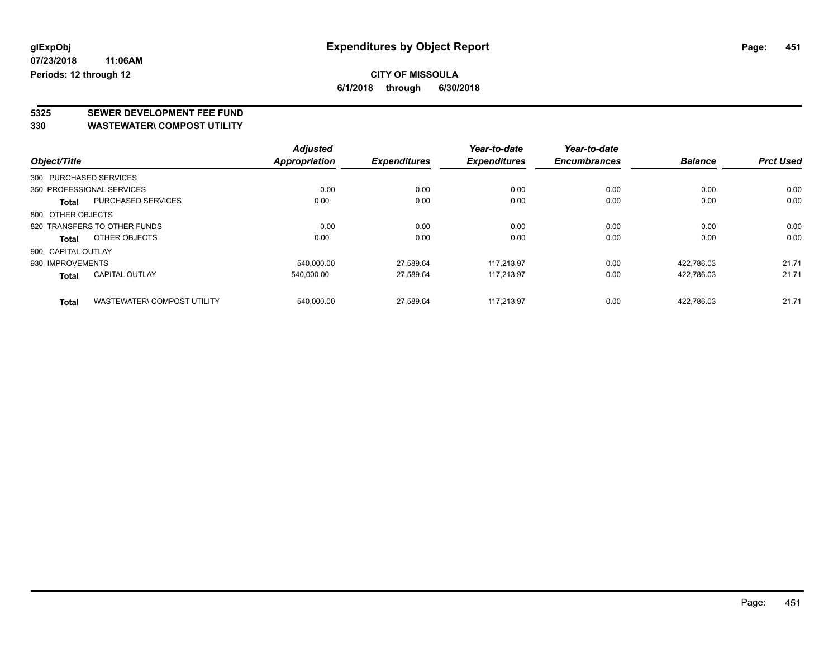# **5325 SEWER DEVELOPMENT FEE FUND<br>330 WASTEWATER\ COMPOST UTILITY**

| Object/Title       |                                    | <b>Adjusted</b><br>Appropriation | <b>Expenditures</b> | Year-to-date<br><b>Expenditures</b> | Year-to-date<br><b>Encumbrances</b> | <b>Balance</b> | <b>Prct Used</b> |
|--------------------|------------------------------------|----------------------------------|---------------------|-------------------------------------|-------------------------------------|----------------|------------------|
|                    |                                    |                                  |                     |                                     |                                     |                |                  |
|                    | 300 PURCHASED SERVICES             |                                  |                     |                                     |                                     |                |                  |
|                    | 350 PROFESSIONAL SERVICES          | 0.00                             | 0.00                | 0.00                                | 0.00                                | 0.00           | 0.00             |
| <b>Total</b>       | <b>PURCHASED SERVICES</b>          | 0.00                             | 0.00                | 0.00                                | 0.00                                | 0.00           | 0.00             |
| 800 OTHER OBJECTS  |                                    |                                  |                     |                                     |                                     |                |                  |
|                    | 820 TRANSFERS TO OTHER FUNDS       | 0.00                             | 0.00                | 0.00                                | 0.00                                | 0.00           | 0.00             |
| <b>Total</b>       | OTHER OBJECTS                      | 0.00                             | 0.00                | 0.00                                | 0.00                                | 0.00           | 0.00             |
| 900 CAPITAL OUTLAY |                                    |                                  |                     |                                     |                                     |                |                  |
| 930 IMPROVEMENTS   |                                    | 540.000.00                       | 27.589.64           | 117.213.97                          | 0.00                                | 422.786.03     | 21.71            |
| <b>Total</b>       | <b>CAPITAL OUTLAY</b>              | 540.000.00                       | 27.589.64           | 117.213.97                          | 0.00                                | 422.786.03     | 21.71            |
| <b>Total</b>       | <b>WASTEWATER\ COMPOST UTILITY</b> | 540.000.00                       | 27.589.64           | 117.213.97                          | 0.00                                | 422.786.03     | 21.71            |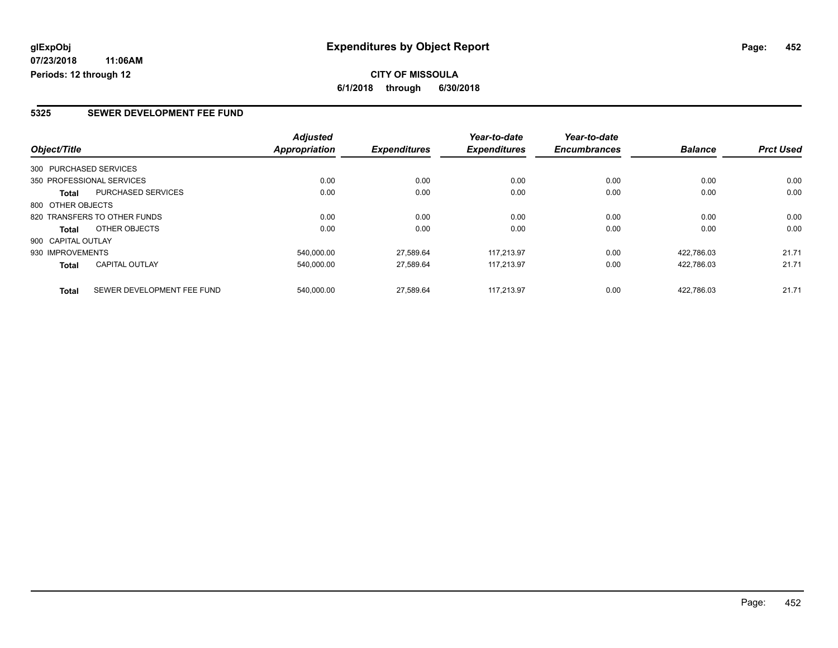**CITY OF MISSOULA 6/1/2018 through 6/30/2018**

### **5325 SEWER DEVELOPMENT FEE FUND**

|                    |                              | <b>Adjusted</b>      |                     | Year-to-date        | Year-to-date        |                |                  |
|--------------------|------------------------------|----------------------|---------------------|---------------------|---------------------|----------------|------------------|
| Object/Title       |                              | <b>Appropriation</b> | <b>Expenditures</b> | <b>Expenditures</b> | <b>Encumbrances</b> | <b>Balance</b> | <b>Prct Used</b> |
|                    | 300 PURCHASED SERVICES       |                      |                     |                     |                     |                |                  |
|                    | 350 PROFESSIONAL SERVICES    | 0.00                 | 0.00                | 0.00                | 0.00                | 0.00           | 0.00             |
| Total              | PURCHASED SERVICES           | 0.00                 | 0.00                | 0.00                | 0.00                | 0.00           | 0.00             |
| 800 OTHER OBJECTS  |                              |                      |                     |                     |                     |                |                  |
|                    | 820 TRANSFERS TO OTHER FUNDS | 0.00                 | 0.00                | 0.00                | 0.00                | 0.00           | 0.00             |
| Total              | OTHER OBJECTS                | 0.00                 | 0.00                | 0.00                | 0.00                | 0.00           | 0.00             |
| 900 CAPITAL OUTLAY |                              |                      |                     |                     |                     |                |                  |
| 930 IMPROVEMENTS   |                              | 540.000.00           | 27,589.64           | 117.213.97          | 0.00                | 422.786.03     | 21.71            |
| <b>Total</b>       | <b>CAPITAL OUTLAY</b>        | 540.000.00           | 27,589.64           | 117.213.97          | 0.00                | 422.786.03     | 21.71            |
| <b>Total</b>       | SEWER DEVELOPMENT FEE FUND   | 540.000.00           | 27.589.64           | 117.213.97          | 0.00                | 422.786.03     | 21.71            |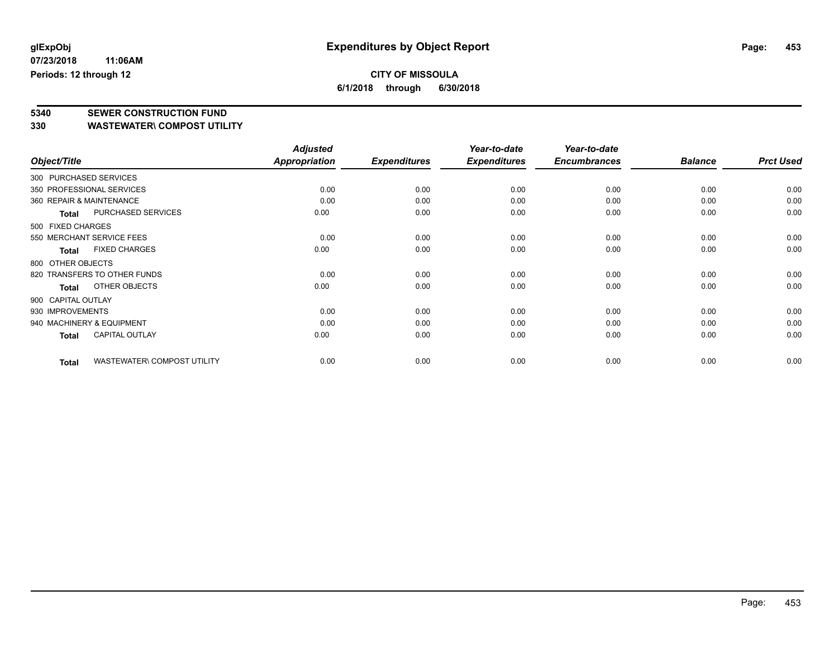### **CITY OF MISSOULA 6/1/2018 through 6/30/2018**

# **5340 SEWER CONSTRUCTION FUND<br>330 WASTEWATER\ COMPOST UTILI**

|                    |                                    | <b>Adjusted</b> |                     | Year-to-date        | Year-to-date        |                |                  |
|--------------------|------------------------------------|-----------------|---------------------|---------------------|---------------------|----------------|------------------|
| Object/Title       |                                    | Appropriation   | <b>Expenditures</b> | <b>Expenditures</b> | <b>Encumbrances</b> | <b>Balance</b> | <b>Prct Used</b> |
|                    | 300 PURCHASED SERVICES             |                 |                     |                     |                     |                |                  |
|                    | 350 PROFESSIONAL SERVICES          | 0.00            | 0.00                | 0.00                | 0.00                | 0.00           | 0.00             |
|                    | 360 REPAIR & MAINTENANCE           | 0.00            | 0.00                | 0.00                | 0.00                | 0.00           | 0.00             |
| <b>Total</b>       | PURCHASED SERVICES                 | 0.00            | 0.00                | 0.00                | 0.00                | 0.00           | 0.00             |
| 500 FIXED CHARGES  |                                    |                 |                     |                     |                     |                |                  |
|                    | 550 MERCHANT SERVICE FEES          | 0.00            | 0.00                | 0.00                | 0.00                | 0.00           | 0.00             |
| <b>Total</b>       | <b>FIXED CHARGES</b>               | 0.00            | 0.00                | 0.00                | 0.00                | 0.00           | 0.00             |
| 800 OTHER OBJECTS  |                                    |                 |                     |                     |                     |                |                  |
|                    | 820 TRANSFERS TO OTHER FUNDS       | 0.00            | 0.00                | 0.00                | 0.00                | 0.00           | 0.00             |
| Total              | OTHER OBJECTS                      | 0.00            | 0.00                | 0.00                | 0.00                | 0.00           | 0.00             |
| 900 CAPITAL OUTLAY |                                    |                 |                     |                     |                     |                |                  |
| 930 IMPROVEMENTS   |                                    | 0.00            | 0.00                | 0.00                | 0.00                | 0.00           | 0.00             |
|                    | 940 MACHINERY & EQUIPMENT          | 0.00            | 0.00                | 0.00                | 0.00                | 0.00           | 0.00             |
| <b>Total</b>       | <b>CAPITAL OUTLAY</b>              | 0.00            | 0.00                | 0.00                | 0.00                | 0.00           | 0.00             |
| <b>Total</b>       | <b>WASTEWATER\ COMPOST UTILITY</b> | 0.00            | 0.00                | 0.00                | 0.00                | 0.00           | 0.00             |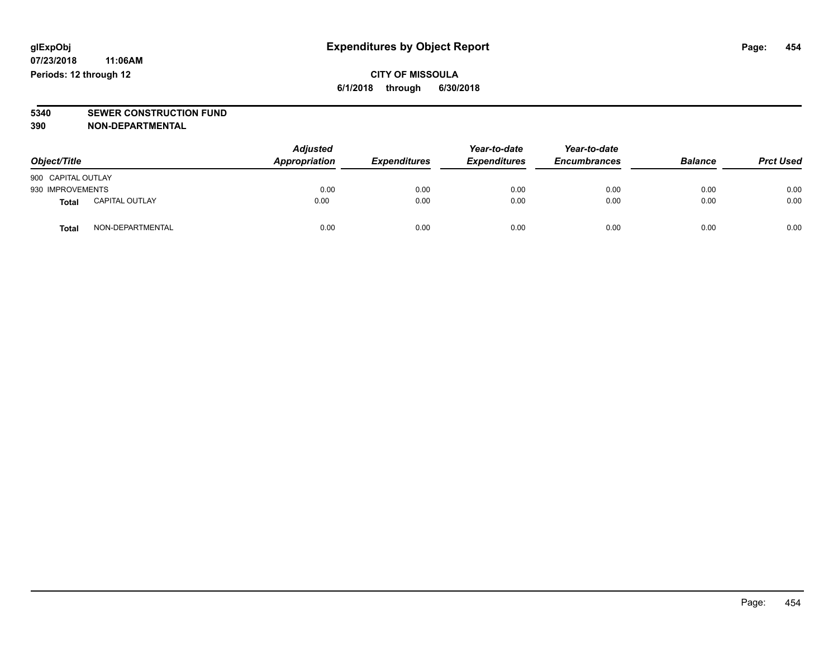# **5340 SEWER CONSTRUCTION FUND**

**390 NON-DEPARTMENTAL**

| Object/Title       |                       | <b>Adjusted</b><br><b>Appropriation</b> | <b>Expenditures</b> | Year-to-date<br><b>Expenditures</b> | Year-to-date<br><b>Encumbrances</b> | <b>Balance</b> | <b>Prct Used</b> |
|--------------------|-----------------------|-----------------------------------------|---------------------|-------------------------------------|-------------------------------------|----------------|------------------|
| 900 CAPITAL OUTLAY |                       |                                         |                     |                                     |                                     |                |                  |
| 930 IMPROVEMENTS   |                       | 0.00                                    | 0.00                | 0.00                                | 0.00                                | 0.00           | 0.00             |
| Total              | <b>CAPITAL OUTLAY</b> | 0.00                                    | 0.00                | 0.00                                | 0.00                                | 0.00           | 0.00             |
| <b>Total</b>       | NON-DEPARTMENTAL      | 0.00                                    | 0.00                | 0.00                                | 0.00                                | 0.00           | 0.00             |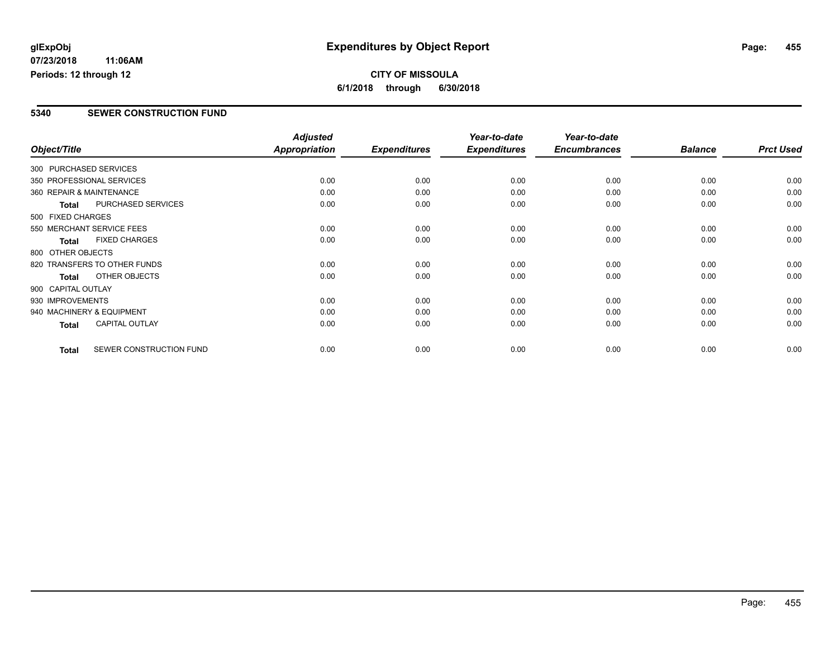### **CITY OF MISSOULA 6/1/2018 through 6/30/2018**

### **5340 SEWER CONSTRUCTION FUND**

| Object/Title             |                              | <b>Adjusted</b><br><b>Appropriation</b> | <b>Expenditures</b> | Year-to-date<br><b>Expenditures</b> | Year-to-date<br><b>Encumbrances</b> | <b>Balance</b> | <b>Prct Used</b> |
|--------------------------|------------------------------|-----------------------------------------|---------------------|-------------------------------------|-------------------------------------|----------------|------------------|
| 300 PURCHASED SERVICES   |                              |                                         |                     |                                     |                                     |                |                  |
|                          | 350 PROFESSIONAL SERVICES    | 0.00                                    | 0.00                | 0.00                                | 0.00                                | 0.00           | 0.00             |
| 360 REPAIR & MAINTENANCE |                              | 0.00                                    | 0.00                | 0.00                                | 0.00                                | 0.00           | 0.00             |
| <b>Total</b>             | PURCHASED SERVICES           | 0.00                                    | 0.00                | 0.00                                | 0.00                                | 0.00           | 0.00             |
| 500 FIXED CHARGES        |                              |                                         |                     |                                     |                                     |                |                  |
|                          | 550 MERCHANT SERVICE FEES    | 0.00                                    | 0.00                | 0.00                                | 0.00                                | 0.00           | 0.00             |
| Total                    | <b>FIXED CHARGES</b>         | 0.00                                    | 0.00                | 0.00                                | 0.00                                | 0.00           | 0.00             |
| 800 OTHER OBJECTS        |                              |                                         |                     |                                     |                                     |                |                  |
|                          | 820 TRANSFERS TO OTHER FUNDS | 0.00                                    | 0.00                | 0.00                                | 0.00                                | 0.00           | 0.00             |
| <b>Total</b>             | OTHER OBJECTS                | 0.00                                    | 0.00                | 0.00                                | 0.00                                | 0.00           | 0.00             |
| 900 CAPITAL OUTLAY       |                              |                                         |                     |                                     |                                     |                |                  |
| 930 IMPROVEMENTS         |                              | 0.00                                    | 0.00                | 0.00                                | 0.00                                | 0.00           | 0.00             |
|                          | 940 MACHINERY & EQUIPMENT    | 0.00                                    | 0.00                | 0.00                                | 0.00                                | 0.00           | 0.00             |
| <b>Total</b>             | <b>CAPITAL OUTLAY</b>        | 0.00                                    | 0.00                | 0.00                                | 0.00                                | 0.00           | 0.00             |
| <b>Total</b>             | SEWER CONSTRUCTION FUND      | 0.00                                    | 0.00                | 0.00                                | 0.00                                | 0.00           | 0.00             |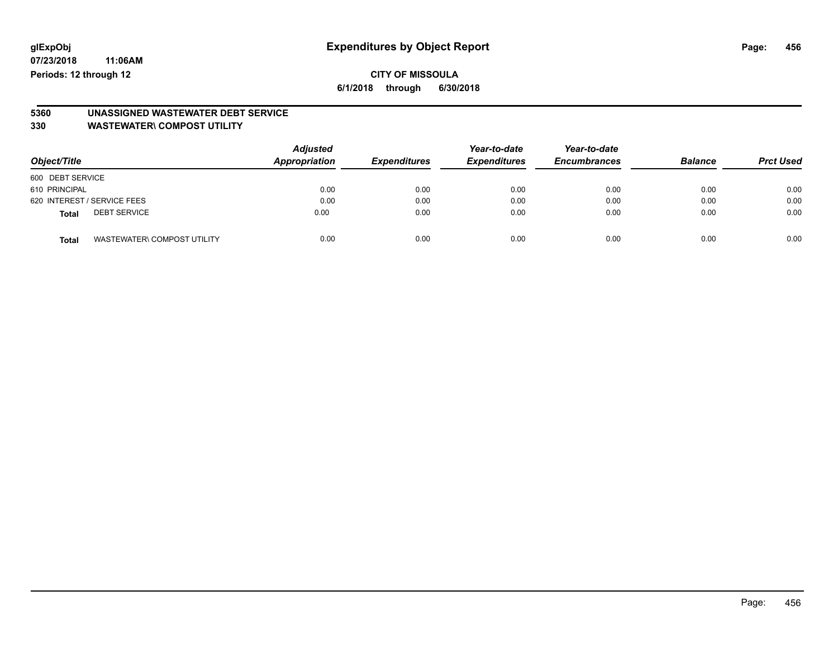# **5360 UNASSIGNED WASTEWATER DEBT SERVICE**

| Object/Title                         | <b>Adjusted</b><br>Appropriation | <b>Expenditures</b> | Year-to-date<br><b>Expenditures</b> | Year-to-date<br><b>Encumbrances</b> | <b>Balance</b> | <b>Prct Used</b> |
|--------------------------------------|----------------------------------|---------------------|-------------------------------------|-------------------------------------|----------------|------------------|
| 600 DEBT SERVICE                     |                                  |                     |                                     |                                     |                |                  |
| 610 PRINCIPAL                        | 0.00                             | 0.00                | 0.00                                | 0.00                                | 0.00           | 0.00             |
| 620 INTEREST / SERVICE FEES          | 0.00                             | 0.00                | 0.00                                | 0.00                                | 0.00           | 0.00             |
| <b>DEBT SERVICE</b><br>Total         | 0.00                             | 0.00                | 0.00                                | 0.00                                | 0.00           | 0.00             |
| WASTEWATER\ COMPOST UTILITY<br>Total | 0.00                             | 0.00                | 0.00                                | 0.00                                | 0.00           | 0.00             |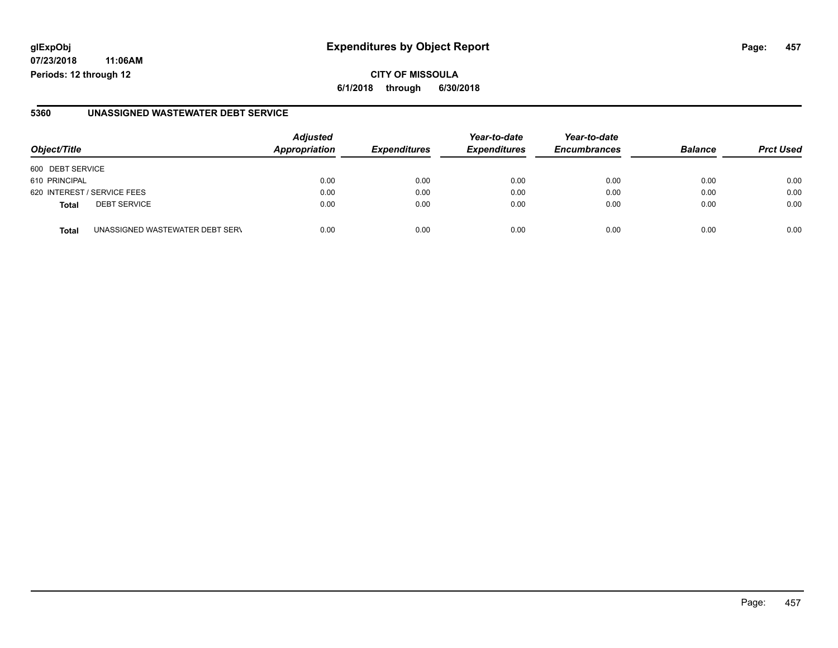### **glExpObj Expenditures by Object Report Page: 457**

**07/23/2018 11:06AM Periods: 12 through 12**

**CITY OF MISSOULA 6/1/2018 through 6/30/2018**

### **5360 UNASSIGNED WASTEWATER DEBT SERVICE**

| Object/Title     |                                 | <b>Adjusted</b><br>Appropriation | <b>Expenditures</b> | Year-to-date<br><b>Expenditures</b> | Year-to-date<br><b>Encumbrances</b> | <b>Balance</b> | <b>Prct Used</b> |
|------------------|---------------------------------|----------------------------------|---------------------|-------------------------------------|-------------------------------------|----------------|------------------|
| 600 DEBT SERVICE |                                 |                                  |                     |                                     |                                     |                |                  |
| 610 PRINCIPAL    |                                 | 0.00                             | 0.00                | 0.00                                | 0.00                                | 0.00           | 0.00             |
|                  | 620 INTEREST / SERVICE FEES     | 0.00                             | 0.00                | 0.00                                | 0.00                                | 0.00           | 0.00             |
| <b>Total</b>     | <b>DEBT SERVICE</b>             | 0.00                             | 0.00                | 0.00                                | 0.00                                | 0.00           | 0.00             |
| <b>Total</b>     | UNASSIGNED WASTEWATER DEBT SERV | 0.00                             | 0.00                | 0.00                                | 0.00                                | 0.00           | 0.00             |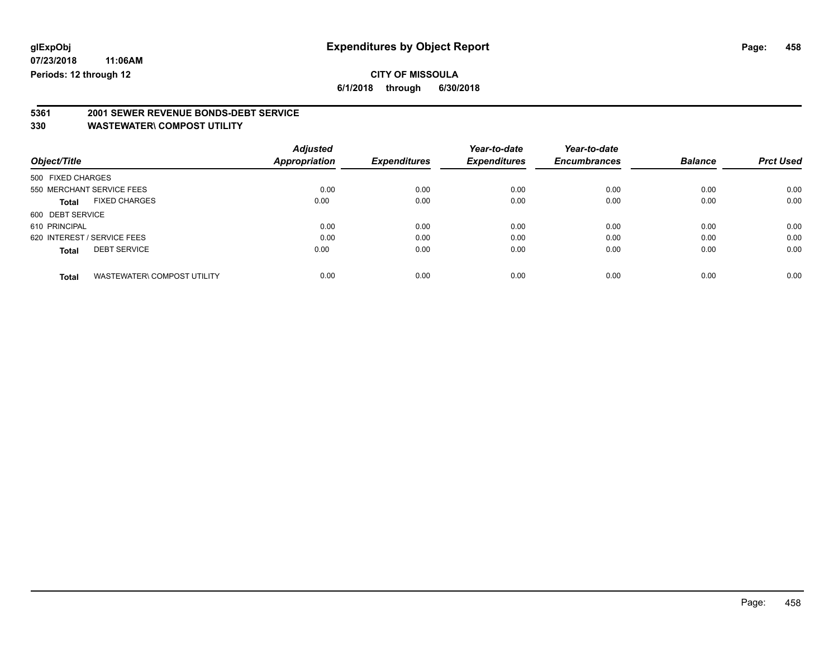# **5361 2001 SEWER REVENUE BONDS-DEBT SERVICE**

| Object/Title                |                                    | <b>Adjusted</b><br><b>Appropriation</b> | <b>Expenditures</b> | Year-to-date<br><b>Expenditures</b> | Year-to-date<br><b>Encumbrances</b> | <b>Balance</b> | <b>Prct Used</b> |
|-----------------------------|------------------------------------|-----------------------------------------|---------------------|-------------------------------------|-------------------------------------|----------------|------------------|
| 500 FIXED CHARGES           |                                    |                                         |                     |                                     |                                     |                |                  |
| 550 MERCHANT SERVICE FEES   |                                    | 0.00                                    | 0.00                | 0.00                                | 0.00                                | 0.00           | 0.00             |
| <b>Total</b>                | <b>FIXED CHARGES</b>               | 0.00                                    | 0.00                | 0.00                                | 0.00                                | 0.00           | 0.00             |
| 600 DEBT SERVICE            |                                    |                                         |                     |                                     |                                     |                |                  |
| 610 PRINCIPAL               |                                    | 0.00                                    | 0.00                | 0.00                                | 0.00                                | 0.00           | 0.00             |
| 620 INTEREST / SERVICE FEES |                                    | 0.00                                    | 0.00                | 0.00                                | 0.00                                | 0.00           | 0.00             |
| <b>Total</b>                | <b>DEBT SERVICE</b>                | 0.00                                    | 0.00                | 0.00                                | 0.00                                | 0.00           | 0.00             |
| <b>Total</b>                | <b>WASTEWATER\ COMPOST UTILITY</b> | 0.00                                    | 0.00                | 0.00                                | 0.00                                | 0.00           | 0.00             |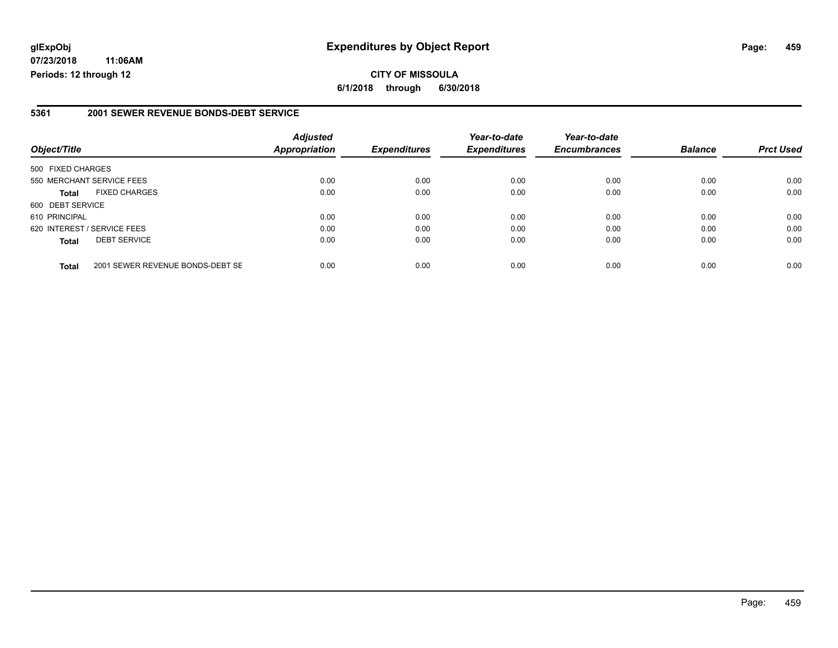### **glExpObj Expenditures by Object Report Page: 459**

**07/23/2018 11:06AM Periods: 12 through 12**

**CITY OF MISSOULA 6/1/2018 through 6/30/2018**

#### **5361 2001 SEWER REVENUE BONDS-DEBT SERVICE**

| Object/Title                                     | <b>Adjusted</b><br>Appropriation | <b>Expenditures</b> | Year-to-date<br><b>Expenditures</b> | Year-to-date<br><b>Encumbrances</b> | <b>Balance</b> | <b>Prct Used</b> |
|--------------------------------------------------|----------------------------------|---------------------|-------------------------------------|-------------------------------------|----------------|------------------|
| 500 FIXED CHARGES                                |                                  |                     |                                     |                                     |                |                  |
| 550 MERCHANT SERVICE FEES                        | 0.00                             | 0.00                | 0.00                                | 0.00                                | 0.00           | 0.00             |
| <b>FIXED CHARGES</b><br><b>Total</b>             | 0.00                             | 0.00                | 0.00                                | 0.00                                | 0.00           | 0.00             |
| 600 DEBT SERVICE                                 |                                  |                     |                                     |                                     |                |                  |
| 610 PRINCIPAL                                    | 0.00                             | 0.00                | 0.00                                | 0.00                                | 0.00           | 0.00             |
| 620 INTEREST / SERVICE FEES                      | 0.00                             | 0.00                | 0.00                                | 0.00                                | 0.00           | 0.00             |
| <b>DEBT SERVICE</b><br><b>Total</b>              | 0.00                             | 0.00                | 0.00                                | 0.00                                | 0.00           | 0.00             |
| 2001 SEWER REVENUE BONDS-DEBT SE<br><b>Total</b> | 0.00                             | 0.00                | 0.00                                | 0.00                                | 0.00           | 0.00             |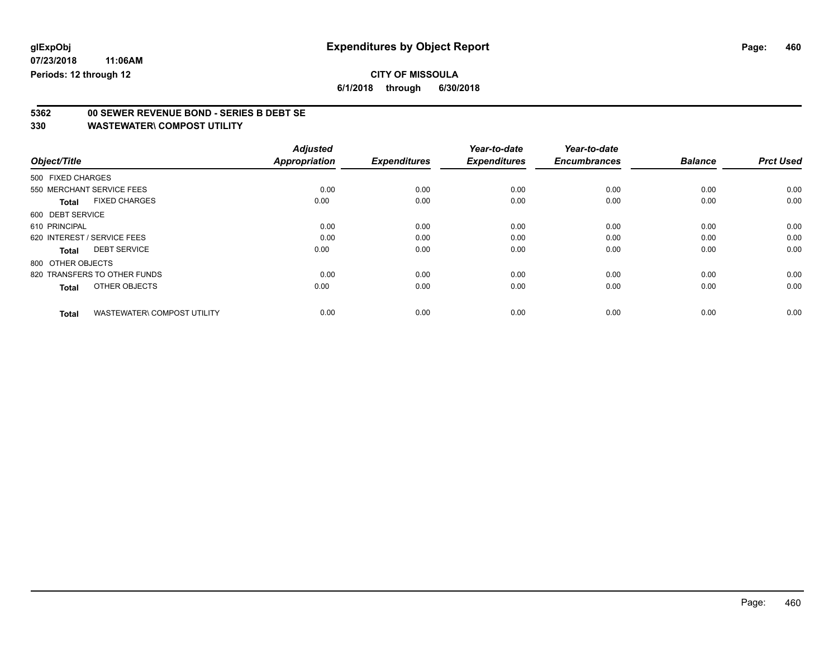# **5362 00 SEWER REVENUE BOND - SERIES B DEBT SE**

| Object/Title                                       | <b>Adjusted</b><br><b>Appropriation</b> | <b>Expenditures</b> | Year-to-date<br><b>Expenditures</b> | Year-to-date<br><b>Encumbrances</b> | <b>Balance</b> | <b>Prct Used</b> |
|----------------------------------------------------|-----------------------------------------|---------------------|-------------------------------------|-------------------------------------|----------------|------------------|
|                                                    |                                         |                     |                                     |                                     |                |                  |
| 500 FIXED CHARGES                                  |                                         |                     |                                     |                                     |                |                  |
| 550 MERCHANT SERVICE FEES                          | 0.00                                    | 0.00                | 0.00                                | 0.00                                | 0.00           | 0.00             |
| <b>FIXED CHARGES</b><br><b>Total</b>               | 0.00                                    | 0.00                | 0.00                                | 0.00                                | 0.00           | 0.00             |
| 600 DEBT SERVICE                                   |                                         |                     |                                     |                                     |                |                  |
| 610 PRINCIPAL                                      | 0.00                                    | 0.00                | 0.00                                | 0.00                                | 0.00           | 0.00             |
| 620 INTEREST / SERVICE FEES                        | 0.00                                    | 0.00                | 0.00                                | 0.00                                | 0.00           | 0.00             |
| <b>DEBT SERVICE</b><br><b>Total</b>                | 0.00                                    | 0.00                | 0.00                                | 0.00                                | 0.00           | 0.00             |
| 800 OTHER OBJECTS                                  |                                         |                     |                                     |                                     |                |                  |
| 820 TRANSFERS TO OTHER FUNDS                       | 0.00                                    | 0.00                | 0.00                                | 0.00                                | 0.00           | 0.00             |
| OTHER OBJECTS<br><b>Total</b>                      | 0.00                                    | 0.00                | 0.00                                | 0.00                                | 0.00           | 0.00             |
| <b>WASTEWATER\ COMPOST UTILITY</b><br><b>Total</b> | 0.00                                    | 0.00                | 0.00                                | 0.00                                | 0.00           | 0.00             |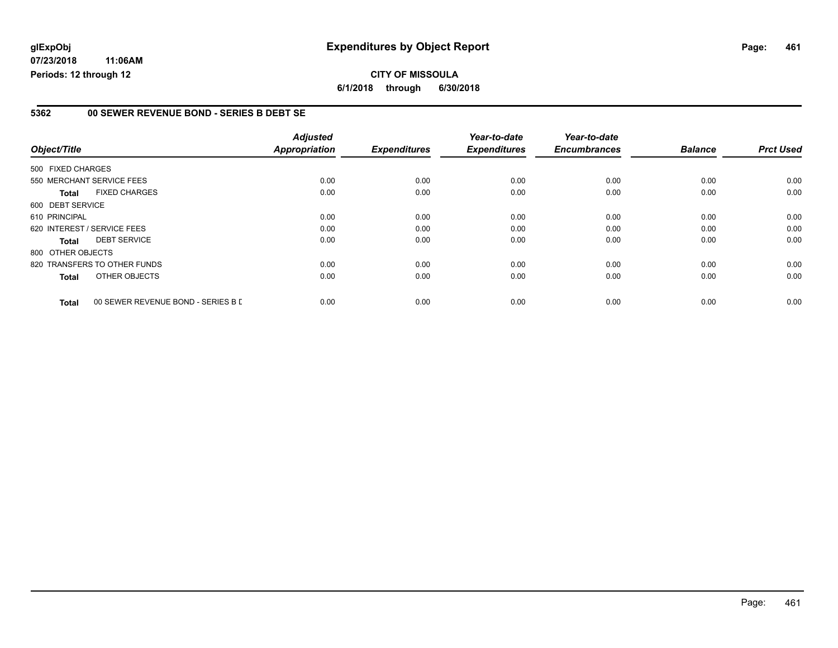### **5362 00 SEWER REVENUE BOND - SERIES B DEBT SE**

|                              |                                    | <b>Adjusted</b>      |                     | Year-to-date        | Year-to-date        |                |                  |
|------------------------------|------------------------------------|----------------------|---------------------|---------------------|---------------------|----------------|------------------|
| Object/Title                 |                                    | <b>Appropriation</b> | <b>Expenditures</b> | <b>Expenditures</b> | <b>Encumbrances</b> | <b>Balance</b> | <b>Prct Used</b> |
| 500 FIXED CHARGES            |                                    |                      |                     |                     |                     |                |                  |
| 550 MERCHANT SERVICE FEES    |                                    | 0.00                 | 0.00                | 0.00                | 0.00                | 0.00           | 0.00             |
| <b>Total</b>                 | <b>FIXED CHARGES</b>               | 0.00                 | 0.00                | 0.00                | 0.00                | 0.00           | 0.00             |
| 600 DEBT SERVICE             |                                    |                      |                     |                     |                     |                |                  |
| 610 PRINCIPAL                |                                    | 0.00                 | 0.00                | 0.00                | 0.00                | 0.00           | 0.00             |
| 620 INTEREST / SERVICE FEES  |                                    | 0.00                 | 0.00                | 0.00                | 0.00                | 0.00           | 0.00             |
| Total                        | <b>DEBT SERVICE</b>                | 0.00                 | 0.00                | 0.00                | 0.00                | 0.00           | 0.00             |
| 800 OTHER OBJECTS            |                                    |                      |                     |                     |                     |                |                  |
| 820 TRANSFERS TO OTHER FUNDS |                                    | 0.00                 | 0.00                | 0.00                | 0.00                | 0.00           | 0.00             |
| Total                        | OTHER OBJECTS                      | 0.00                 | 0.00                | 0.00                | 0.00                | 0.00           | 0.00             |
| <b>Total</b>                 | 00 SEWER REVENUE BOND - SERIES B D | 0.00                 | 0.00                | 0.00                | 0.00                | 0.00           | 0.00             |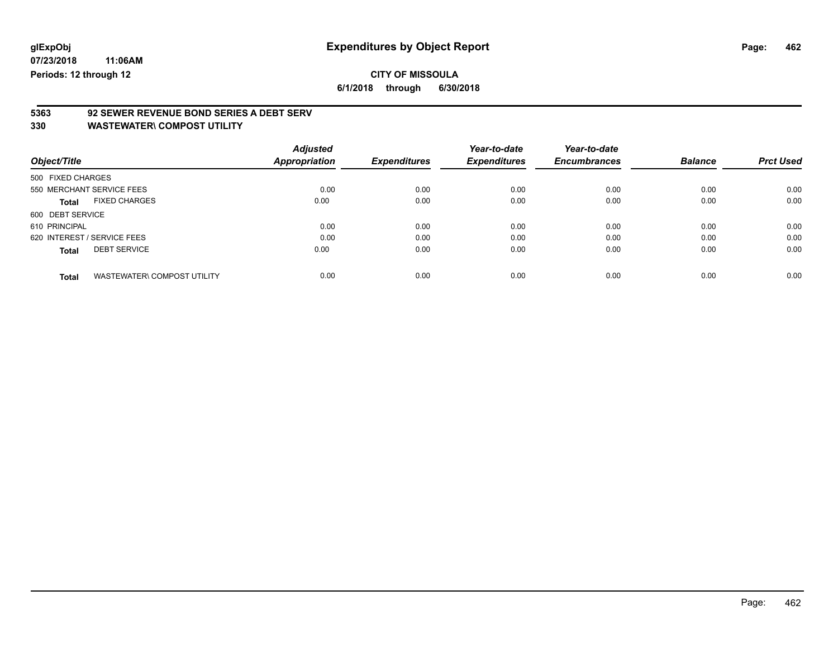### **CITY OF MISSOULA 6/1/2018 through 6/30/2018**

# **5363 92 SEWER REVENUE BOND SERIES A DEBT SERV**

| Object/Title                |                                    | <b>Adjusted</b><br><b>Appropriation</b> | <b>Expenditures</b> | Year-to-date<br><b>Expenditures</b> | Year-to-date<br><b>Encumbrances</b> | <b>Balance</b> | <b>Prct Used</b> |
|-----------------------------|------------------------------------|-----------------------------------------|---------------------|-------------------------------------|-------------------------------------|----------------|------------------|
| 500 FIXED CHARGES           |                                    |                                         |                     |                                     |                                     |                |                  |
| 550 MERCHANT SERVICE FEES   |                                    | 0.00                                    | 0.00                | 0.00                                | 0.00                                | 0.00           | 0.00             |
| <b>Total</b>                | <b>FIXED CHARGES</b>               | 0.00                                    | 0.00                | 0.00                                | 0.00                                | 0.00           | 0.00             |
| 600 DEBT SERVICE            |                                    |                                         |                     |                                     |                                     |                |                  |
| 610 PRINCIPAL               |                                    | 0.00                                    | 0.00                | 0.00                                | 0.00                                | 0.00           | 0.00             |
| 620 INTEREST / SERVICE FEES |                                    | 0.00                                    | 0.00                | 0.00                                | 0.00                                | 0.00           | 0.00             |
| <b>Total</b>                | <b>DEBT SERVICE</b>                | 0.00                                    | 0.00                | 0.00                                | 0.00                                | 0.00           | 0.00             |
| <b>Total</b>                | <b>WASTEWATER\ COMPOST UTILITY</b> | 0.00                                    | 0.00                | 0.00                                | 0.00                                | 0.00           | 0.00             |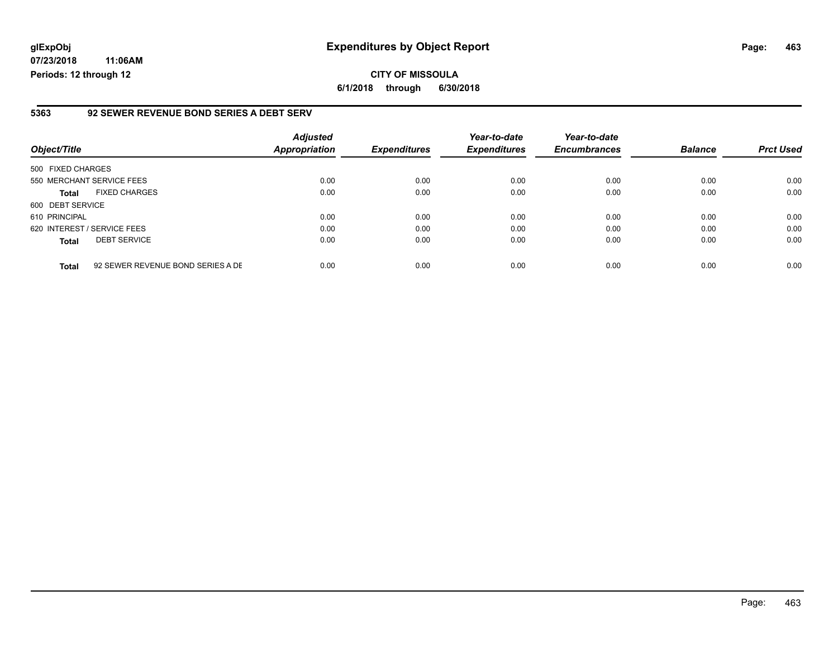## **glExpObj Expenditures by Object Report Page: 463**

**07/23/2018 11:06AM Periods: 12 through 12**

**CITY OF MISSOULA 6/1/2018 through 6/30/2018**

#### **5363 92 SEWER REVENUE BOND SERIES A DEBT SERV**

| Object/Title      |                                   | <b>Adjusted</b><br><b>Appropriation</b> | <b>Expenditures</b> | Year-to-date<br><b>Expenditures</b> | Year-to-date<br><b>Encumbrances</b> | <b>Balance</b> | <b>Prct Used</b> |
|-------------------|-----------------------------------|-----------------------------------------|---------------------|-------------------------------------|-------------------------------------|----------------|------------------|
|                   |                                   |                                         |                     |                                     |                                     |                |                  |
| 500 FIXED CHARGES |                                   |                                         |                     |                                     |                                     |                |                  |
|                   | 550 MERCHANT SERVICE FEES         | 0.00                                    | 0.00                | 0.00                                | 0.00                                | 0.00           | 0.00             |
| <b>Total</b>      | <b>FIXED CHARGES</b>              | 0.00                                    | 0.00                | 0.00                                | 0.00                                | 0.00           | 0.00             |
| 600 DEBT SERVICE  |                                   |                                         |                     |                                     |                                     |                |                  |
| 610 PRINCIPAL     |                                   | 0.00                                    | 0.00                | 0.00                                | 0.00                                | 0.00           | 0.00             |
|                   | 620 INTEREST / SERVICE FEES       | 0.00                                    | 0.00                | 0.00                                | 0.00                                | 0.00           | 0.00             |
| <b>Total</b>      | <b>DEBT SERVICE</b>               | 0.00                                    | 0.00                | 0.00                                | 0.00                                | 0.00           | 0.00             |
| <b>Total</b>      | 92 SEWER REVENUE BOND SERIES A DE | 0.00                                    | 0.00                | 0.00                                | 0.00                                | 0.00           | 0.00             |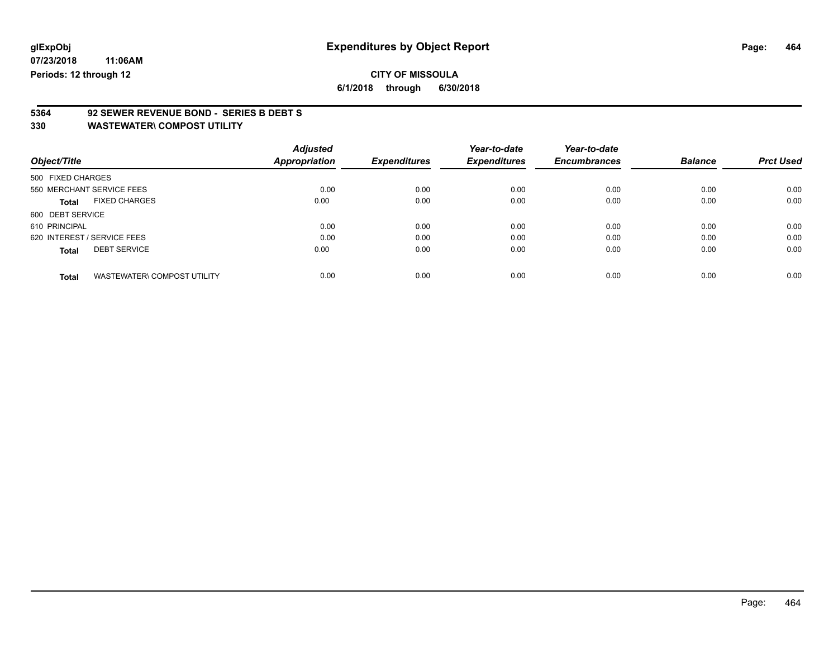# **5364 92 SEWER REVENUE BOND - SERIES B DEBT S**

| Object/Title      |                                    | <b>Adjusted</b><br><b>Appropriation</b> | <b>Expenditures</b> | Year-to-date<br><b>Expenditures</b> | Year-to-date<br><b>Encumbrances</b> | <b>Balance</b> | <b>Prct Used</b> |
|-------------------|------------------------------------|-----------------------------------------|---------------------|-------------------------------------|-------------------------------------|----------------|------------------|
| 500 FIXED CHARGES |                                    |                                         |                     |                                     |                                     |                |                  |
|                   | 550 MERCHANT SERVICE FEES          | 0.00                                    | 0.00                | 0.00                                | 0.00                                | 0.00           | 0.00             |
| <b>Total</b>      | <b>FIXED CHARGES</b>               | 0.00                                    | 0.00                | 0.00                                | 0.00                                | 0.00           | 0.00             |
| 600 DEBT SERVICE  |                                    |                                         |                     |                                     |                                     |                |                  |
| 610 PRINCIPAL     |                                    | 0.00                                    | 0.00                | 0.00                                | 0.00                                | 0.00           | 0.00             |
|                   | 620 INTEREST / SERVICE FEES        | 0.00                                    | 0.00                | 0.00                                | 0.00                                | 0.00           | 0.00             |
| <b>Total</b>      | <b>DEBT SERVICE</b>                | 0.00                                    | 0.00                | 0.00                                | 0.00                                | 0.00           | 0.00             |
| <b>Total</b>      | <b>WASTEWATER\ COMPOST UTILITY</b> | 0.00                                    | 0.00                | 0.00                                | 0.00                                | 0.00           | 0.00             |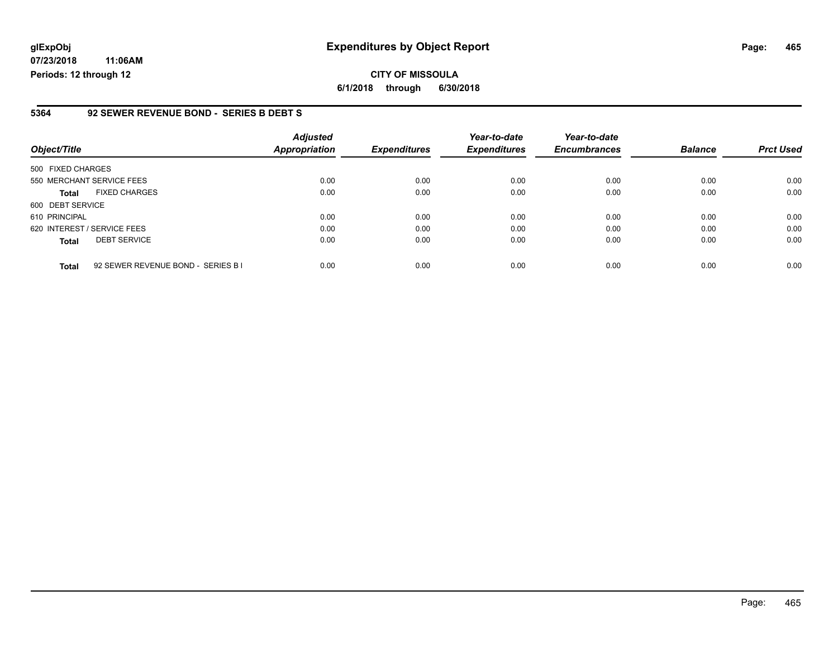### **5364 92 SEWER REVENUE BOND - SERIES B DEBT S**

| Object/Title                |                                    | <b>Adjusted</b><br>Appropriation | <b>Expenditures</b> | Year-to-date<br><b>Expenditures</b> | Year-to-date<br><b>Encumbrances</b> | <b>Balance</b> | <b>Prct Used</b> |
|-----------------------------|------------------------------------|----------------------------------|---------------------|-------------------------------------|-------------------------------------|----------------|------------------|
| 500 FIXED CHARGES           |                                    |                                  |                     |                                     |                                     |                |                  |
| 550 MERCHANT SERVICE FEES   |                                    | 0.00                             | 0.00                | 0.00                                | 0.00                                | 0.00           | 0.00             |
| <b>Total</b>                | <b>FIXED CHARGES</b>               | 0.00                             | 0.00                | 0.00                                | 0.00                                | 0.00           | 0.00             |
| 600 DEBT SERVICE            |                                    |                                  |                     |                                     |                                     |                |                  |
| 610 PRINCIPAL               |                                    | 0.00                             | 0.00                | 0.00                                | 0.00                                | 0.00           | 0.00             |
| 620 INTEREST / SERVICE FEES |                                    | 0.00                             | 0.00                | 0.00                                | 0.00                                | 0.00           | 0.00             |
| <b>Total</b>                | <b>DEBT SERVICE</b>                | 0.00                             | 0.00                | 0.00                                | 0.00                                | 0.00           | 0.00             |
| <b>Total</b>                | 92 SEWER REVENUE BOND - SERIES B I | 0.00                             | 0.00                | 0.00                                | 0.00                                | 0.00           | 0.00             |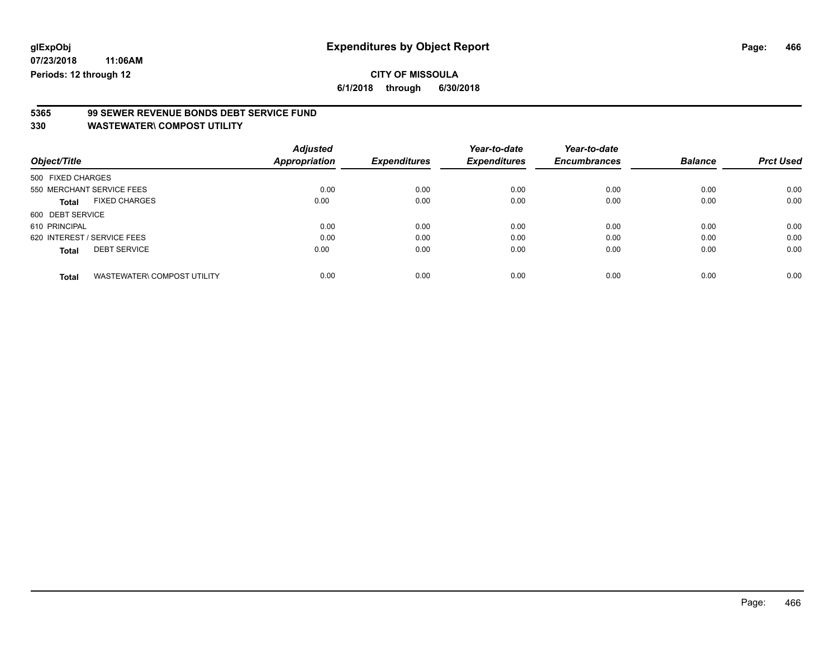# **5365 99 SEWER REVENUE BONDS DEBT SERVICE FUND**

| Object/Title      |                                    | <b>Adjusted</b><br><b>Appropriation</b> | <b>Expenditures</b> | Year-to-date<br><b>Expenditures</b> | Year-to-date<br><b>Encumbrances</b> | <b>Balance</b> | <b>Prct Used</b> |
|-------------------|------------------------------------|-----------------------------------------|---------------------|-------------------------------------|-------------------------------------|----------------|------------------|
| 500 FIXED CHARGES |                                    |                                         |                     |                                     |                                     |                |                  |
|                   | 550 MERCHANT SERVICE FEES          | 0.00                                    | 0.00                | 0.00                                | 0.00                                | 0.00           | 0.00             |
| <b>Total</b>      | <b>FIXED CHARGES</b>               | 0.00                                    | 0.00                | 0.00                                | 0.00                                | 0.00           | 0.00             |
| 600 DEBT SERVICE  |                                    |                                         |                     |                                     |                                     |                |                  |
| 610 PRINCIPAL     |                                    | 0.00                                    | 0.00                | 0.00                                | 0.00                                | 0.00           | 0.00             |
|                   | 620 INTEREST / SERVICE FEES        | 0.00                                    | 0.00                | 0.00                                | 0.00                                | 0.00           | 0.00             |
| <b>Total</b>      | <b>DEBT SERVICE</b>                | 0.00                                    | 0.00                | 0.00                                | 0.00                                | 0.00           | 0.00             |
| <b>Total</b>      | <b>WASTEWATER\ COMPOST UTILITY</b> | 0.00                                    | 0.00                | 0.00                                | 0.00                                | 0.00           | 0.00             |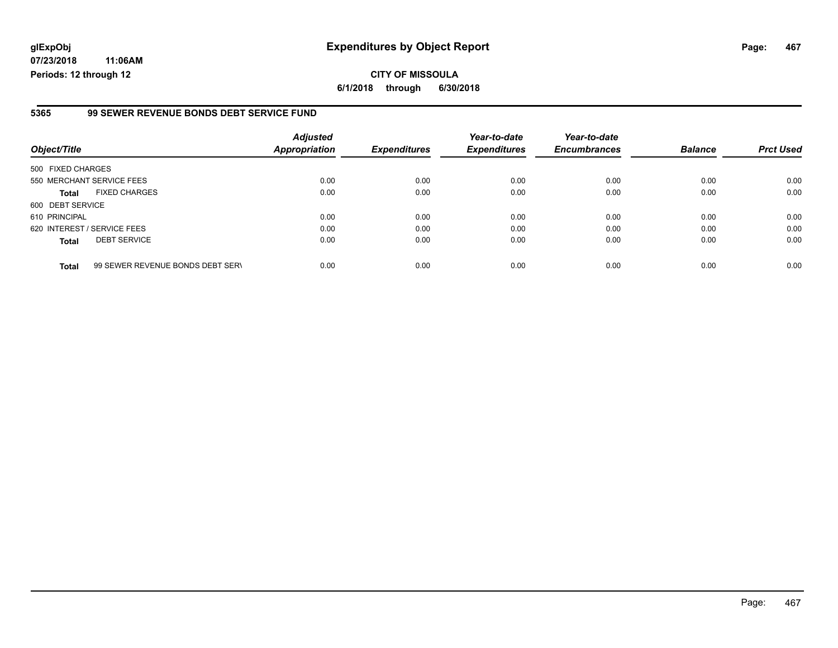## **glExpObj Expenditures by Object Report Page: 467**

**07/23/2018 11:06AM Periods: 12 through 12**

#### **5365 99 SEWER REVENUE BONDS DEBT SERVICE FUND**

| Object/Title                         |                                  | <b>Adjusted</b><br><b>Appropriation</b> | <b>Expenditures</b> | Year-to-date<br><b>Expenditures</b> | Year-to-date<br><b>Encumbrances</b> | <b>Balance</b> | <b>Prct Used</b> |
|--------------------------------------|----------------------------------|-----------------------------------------|---------------------|-------------------------------------|-------------------------------------|----------------|------------------|
| 500 FIXED CHARGES                    |                                  |                                         |                     |                                     |                                     |                |                  |
| 550 MERCHANT SERVICE FEES            |                                  | 0.00                                    | 0.00                | 0.00                                | 0.00                                | 0.00           | 0.00             |
| <b>FIXED CHARGES</b><br><b>Total</b> |                                  | 0.00                                    | 0.00                | 0.00                                | 0.00                                | 0.00           | 0.00             |
| 600 DEBT SERVICE                     |                                  |                                         |                     |                                     |                                     |                |                  |
| 610 PRINCIPAL                        |                                  | 0.00                                    | 0.00                | 0.00                                | 0.00                                | 0.00           | 0.00             |
| 620 INTEREST / SERVICE FEES          |                                  | 0.00                                    | 0.00                | 0.00                                | 0.00                                | 0.00           | 0.00             |
| <b>DEBT SERVICE</b><br><b>Total</b>  |                                  | 0.00                                    | 0.00                | 0.00                                | 0.00                                | 0.00           | 0.00             |
| <b>Total</b>                         | 99 SEWER REVENUE BONDS DEBT SERV | 0.00                                    | 0.00                | 0.00                                | 0.00                                | 0.00           | 0.00             |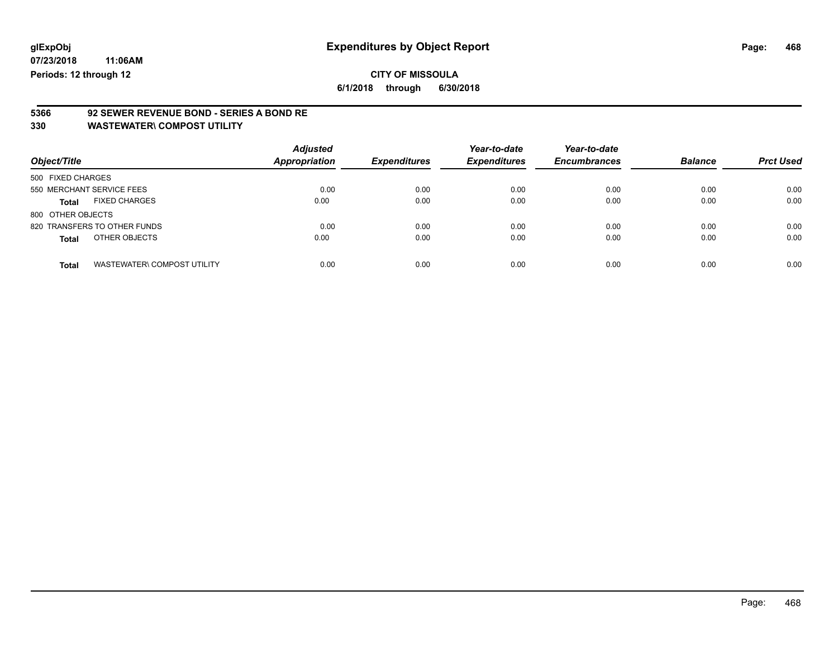# **5366 92 SEWER REVENUE BOND - SERIES A BOND RE**

| Object/Title                                | <b>Adjusted</b><br><b>Appropriation</b> | <b>Expenditures</b> | Year-to-date<br><b>Expenditures</b> | Year-to-date<br><b>Encumbrances</b> | <b>Balance</b> | <b>Prct Used</b> |
|---------------------------------------------|-----------------------------------------|---------------------|-------------------------------------|-------------------------------------|----------------|------------------|
| 500 FIXED CHARGES                           |                                         |                     |                                     |                                     |                |                  |
| 550 MERCHANT SERVICE FEES                   | 0.00                                    | 0.00                | 0.00                                | 0.00                                | 0.00           | 0.00             |
| <b>FIXED CHARGES</b><br><b>Total</b>        | 0.00                                    | 0.00                | 0.00                                | 0.00                                | 0.00           | 0.00             |
| 800 OTHER OBJECTS                           |                                         |                     |                                     |                                     |                |                  |
| 820 TRANSFERS TO OTHER FUNDS                | 0.00                                    | 0.00                | 0.00                                | 0.00                                | 0.00           | 0.00             |
| OTHER OBJECTS<br><b>Total</b>               | 0.00                                    | 0.00                | 0.00                                | 0.00                                | 0.00           | 0.00             |
| WASTEWATER\ COMPOST UTILITY<br><b>Total</b> | 0.00                                    | 0.00                | 0.00                                | 0.00                                | 0.00           | 0.00             |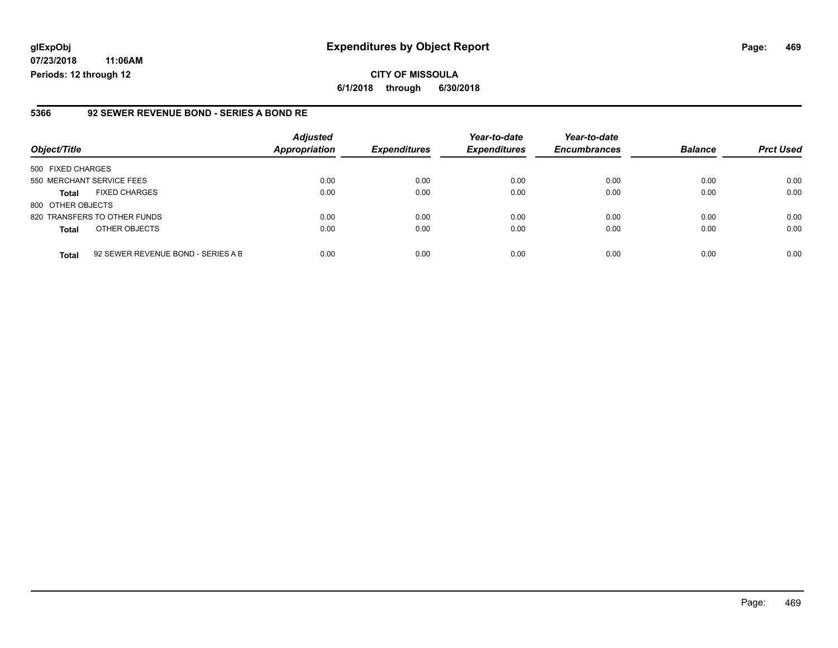# **glExpObj Expenditures by Object Report Page: 469**

**07/23/2018 11:06AM Periods: 12 through 12**

#### **5366 92 SEWER REVENUE BOND - SERIES A BOND RE**

| Object/Title              |                                    | <b>Adjusted</b><br><b>Appropriation</b> | <b>Expenditures</b> | Year-to-date<br><b>Expenditures</b> | Year-to-date<br><b>Encumbrances</b> | <b>Balance</b> | <b>Prct Used</b> |
|---------------------------|------------------------------------|-----------------------------------------|---------------------|-------------------------------------|-------------------------------------|----------------|------------------|
| 500 FIXED CHARGES         |                                    |                                         |                     |                                     |                                     |                |                  |
| 550 MERCHANT SERVICE FEES |                                    | 0.00                                    | 0.00                | 0.00                                | 0.00                                | 0.00           | 0.00             |
| <b>Total</b>              | <b>FIXED CHARGES</b>               | 0.00                                    | 0.00                | 0.00                                | 0.00                                | 0.00           | 0.00             |
| 800 OTHER OBJECTS         |                                    |                                         |                     |                                     |                                     |                |                  |
|                           | 820 TRANSFERS TO OTHER FUNDS       | 0.00                                    | 0.00                | 0.00                                | 0.00                                | 0.00           | 0.00             |
| <b>Total</b>              | OTHER OBJECTS                      | 0.00                                    | 0.00                | 0.00                                | 0.00                                | 0.00           | 0.00             |
| <b>Total</b>              | 92 SEWER REVENUE BOND - SERIES A B | 0.00                                    | 0.00                | 0.00                                | 0.00                                | 0.00           | 0.00             |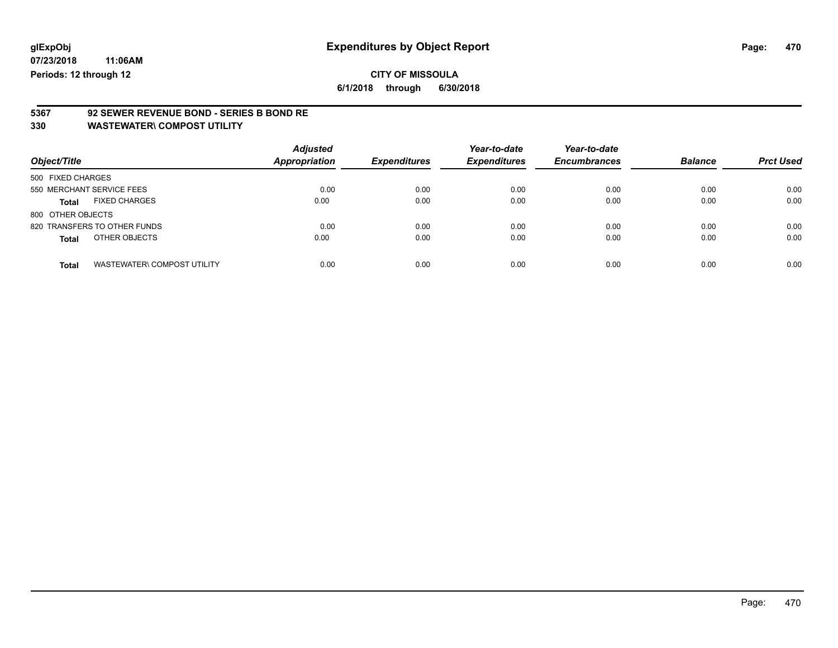# **5367 92 SEWER REVENUE BOND - SERIES B BOND RE**

| Object/Title                                       | <b>Adjusted</b><br><b>Appropriation</b> | <b>Expenditures</b> | Year-to-date<br><b>Expenditures</b> | Year-to-date<br><b>Encumbrances</b> | <b>Balance</b> | <b>Prct Used</b> |
|----------------------------------------------------|-----------------------------------------|---------------------|-------------------------------------|-------------------------------------|----------------|------------------|
| 500 FIXED CHARGES                                  |                                         |                     |                                     |                                     |                |                  |
| 550 MERCHANT SERVICE FEES                          | 0.00                                    | 0.00                | 0.00                                | 0.00                                | 0.00           | 0.00             |
| <b>FIXED CHARGES</b><br><b>Total</b>               | 0.00                                    | 0.00                | 0.00                                | 0.00                                | 0.00           | 0.00             |
| 800 OTHER OBJECTS                                  |                                         |                     |                                     |                                     |                |                  |
| 820 TRANSFERS TO OTHER FUNDS                       | 0.00                                    | 0.00                | 0.00                                | 0.00                                | 0.00           | 0.00             |
| OTHER OBJECTS<br><b>Total</b>                      | 0.00                                    | 0.00                | 0.00                                | 0.00                                | 0.00           | 0.00             |
| <b>WASTEWATER\ COMPOST UTILITY</b><br><b>Total</b> | 0.00                                    | 0.00                | 0.00                                | 0.00                                | 0.00           | 0.00             |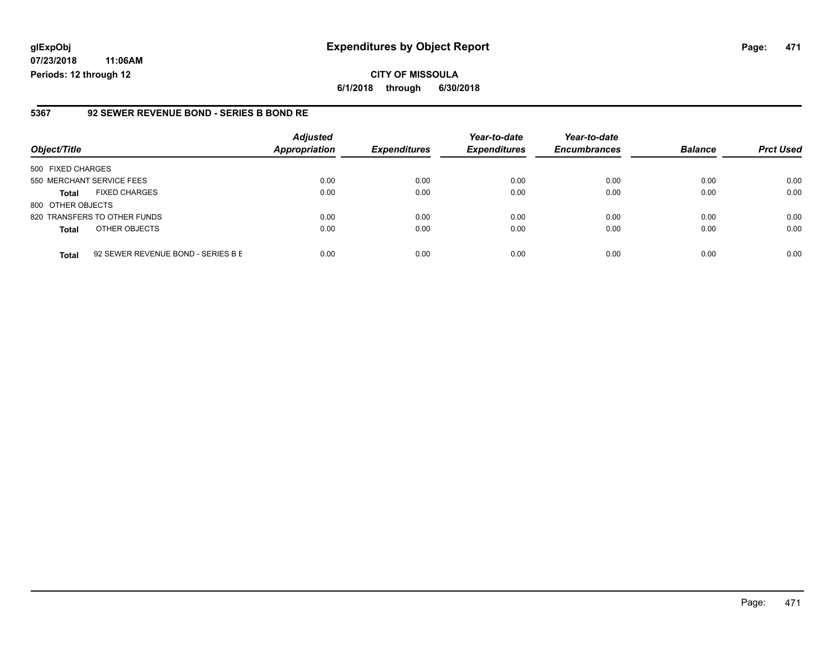### **glExpObj Expenditures by Object Report Page: 471**

**07/23/2018 11:06AM Periods: 12 through 12**

#### **5367 92 SEWER REVENUE BOND - SERIES B BOND RE**

| Object/Title              |                                    | <b>Adjusted</b><br><b>Appropriation</b> | <b>Expenditures</b> | Year-to-date<br><b>Expenditures</b> | Year-to-date<br><b>Encumbrances</b> | <b>Balance</b> | <b>Prct Used</b> |
|---------------------------|------------------------------------|-----------------------------------------|---------------------|-------------------------------------|-------------------------------------|----------------|------------------|
| 500 FIXED CHARGES         |                                    |                                         |                     |                                     |                                     |                |                  |
| 550 MERCHANT SERVICE FEES |                                    | 0.00                                    | 0.00                | 0.00                                | 0.00                                | 0.00           | 0.00             |
| <b>Total</b>              | <b>FIXED CHARGES</b>               | 0.00                                    | 0.00                | 0.00                                | 0.00                                | 0.00           | 0.00             |
| 800 OTHER OBJECTS         |                                    |                                         |                     |                                     |                                     |                |                  |
|                           | 820 TRANSFERS TO OTHER FUNDS       | 0.00                                    | 0.00                | 0.00                                | 0.00                                | 0.00           | 0.00             |
| <b>Total</b>              | OTHER OBJECTS                      | 0.00                                    | 0.00                | 0.00                                | 0.00                                | 0.00           | 0.00             |
| <b>Total</b>              | 92 SEWER REVENUE BOND - SERIES B E | 0.00                                    | 0.00                | 0.00                                | 0.00                                | 0.00           | 0.00             |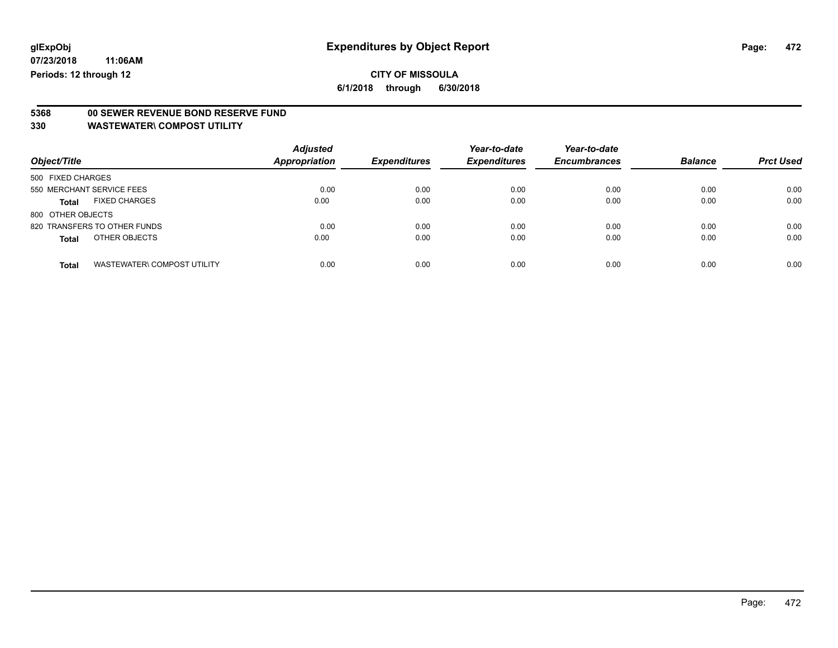# **5368 00 SEWER REVENUE BOND RESERVE FUND**

| Object/Title                                       | <b>Adjusted</b><br><b>Appropriation</b> | <b>Expenditures</b> | Year-to-date<br><b>Expenditures</b> | Year-to-date<br><b>Encumbrances</b> | <b>Balance</b> | <b>Prct Used</b> |
|----------------------------------------------------|-----------------------------------------|---------------------|-------------------------------------|-------------------------------------|----------------|------------------|
| 500 FIXED CHARGES                                  |                                         |                     |                                     |                                     |                |                  |
| 550 MERCHANT SERVICE FEES                          | 0.00                                    | 0.00                | 0.00                                | 0.00                                | 0.00           | 0.00             |
| <b>FIXED CHARGES</b><br><b>Total</b>               | 0.00                                    | 0.00                | 0.00                                | 0.00                                | 0.00           | 0.00             |
| 800 OTHER OBJECTS                                  |                                         |                     |                                     |                                     |                |                  |
| 820 TRANSFERS TO OTHER FUNDS                       | 0.00                                    | 0.00                | 0.00                                | 0.00                                | 0.00           | 0.00             |
| OTHER OBJECTS<br><b>Total</b>                      | 0.00                                    | 0.00                | 0.00                                | 0.00                                | 0.00           | 0.00             |
| <b>WASTEWATER\ COMPOST UTILITY</b><br><b>Total</b> | 0.00                                    | 0.00                | 0.00                                | 0.00                                | 0.00           | 0.00             |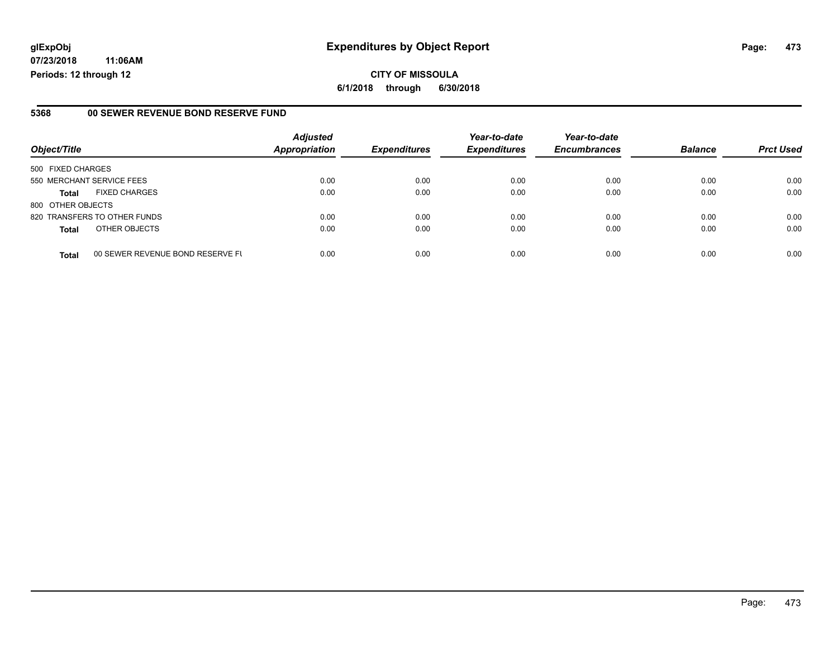**CITY OF MISSOULA 6/1/2018 through 6/30/2018**

#### **5368 00 SEWER REVENUE BOND RESERVE FUND**

| Object/Title                 |                                  | <b>Adjusted</b><br><b>Appropriation</b> | <b>Expenditures</b> | Year-to-date<br><b>Expenditures</b> | Year-to-date        | <b>Balance</b> |                  |
|------------------------------|----------------------------------|-----------------------------------------|---------------------|-------------------------------------|---------------------|----------------|------------------|
|                              |                                  |                                         |                     |                                     | <b>Encumbrances</b> |                | <b>Prct Used</b> |
| 500 FIXED CHARGES            |                                  |                                         |                     |                                     |                     |                |                  |
| 550 MERCHANT SERVICE FEES    |                                  | 0.00                                    | 0.00                | 0.00                                | 0.00                | 0.00           | 0.00             |
| <b>Total</b>                 | <b>FIXED CHARGES</b>             | 0.00                                    | 0.00                | 0.00                                | 0.00                | 0.00           | 0.00             |
| 800 OTHER OBJECTS            |                                  |                                         |                     |                                     |                     |                |                  |
| 820 TRANSFERS TO OTHER FUNDS |                                  | 0.00                                    | 0.00                | 0.00                                | 0.00                | 0.00           | 0.00             |
| <b>Total</b>                 | OTHER OBJECTS                    | 0.00                                    | 0.00                | 0.00                                | 0.00                | 0.00           | 0.00             |
| <b>Total</b>                 | 00 SEWER REVENUE BOND RESERVE FL | 0.00                                    | 0.00                | 0.00                                | 0.00                | 0.00           | 0.00             |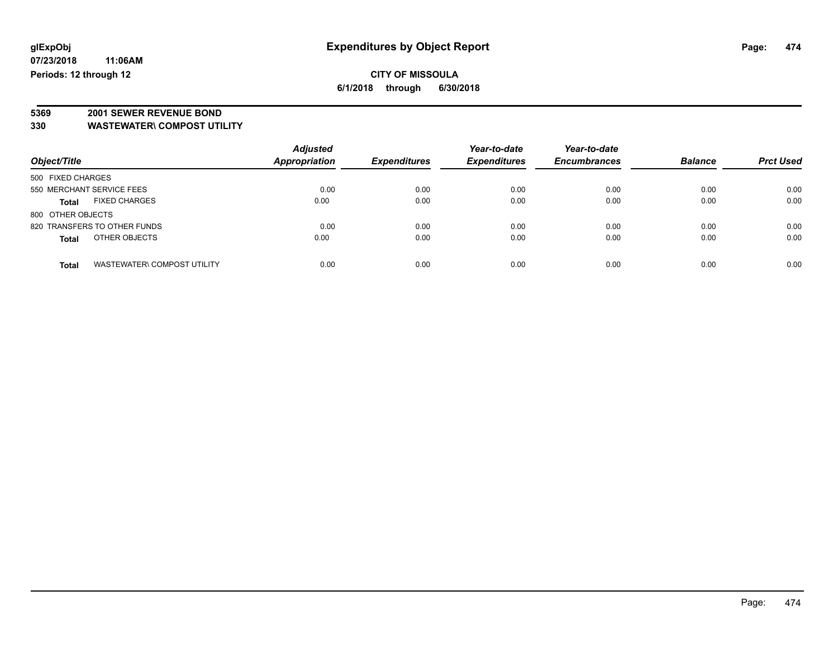### **CITY OF MISSOULA 6/1/2018 through 6/30/2018**

# **5369 2001 SEWER REVENUE BOND<br>330 WASTEWATER\ COMPOST UTIL**

| Object/Title                                       | <b>Adjusted</b><br><b>Appropriation</b> | <b>Expenditures</b> | Year-to-date<br><b>Expenditures</b> | Year-to-date<br><b>Encumbrances</b> | <b>Balance</b> | <b>Prct Used</b> |
|----------------------------------------------------|-----------------------------------------|---------------------|-------------------------------------|-------------------------------------|----------------|------------------|
| 500 FIXED CHARGES                                  |                                         |                     |                                     |                                     |                |                  |
| 550 MERCHANT SERVICE FEES                          | 0.00                                    | 0.00                | 0.00                                | 0.00                                | 0.00           | 0.00             |
| <b>FIXED CHARGES</b><br><b>Total</b>               | 0.00                                    | 0.00                | 0.00                                | 0.00                                | 0.00           | 0.00             |
| 800 OTHER OBJECTS                                  |                                         |                     |                                     |                                     |                |                  |
| 820 TRANSFERS TO OTHER FUNDS                       | 0.00                                    | 0.00                | 0.00                                | 0.00                                | 0.00           | 0.00             |
| OTHER OBJECTS<br><b>Total</b>                      | 0.00                                    | 0.00                | 0.00                                | 0.00                                | 0.00           | 0.00             |
|                                                    |                                         |                     |                                     |                                     |                |                  |
| <b>WASTEWATER\ COMPOST UTILITY</b><br><b>Total</b> | 0.00                                    | 0.00                | 0.00                                | 0.00                                | 0.00           | 0.00             |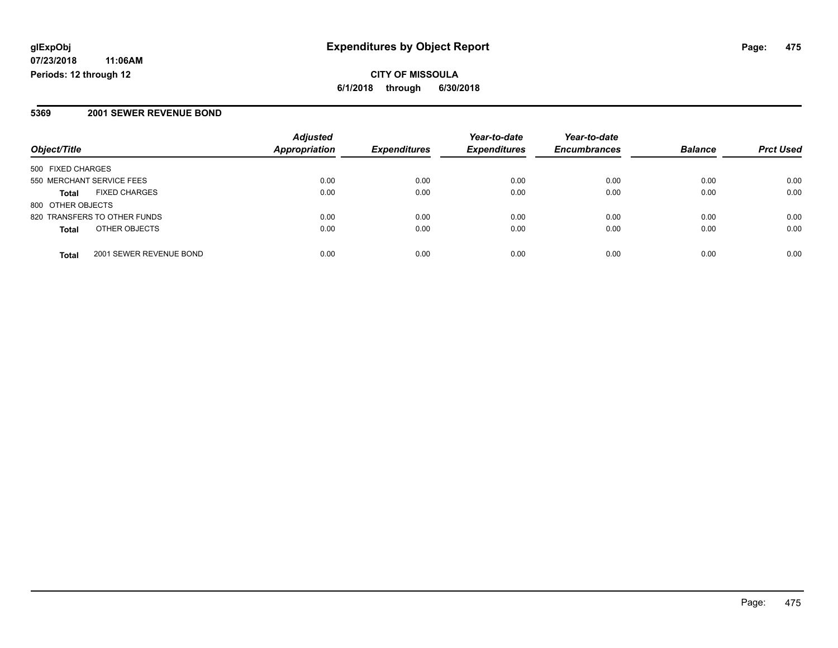**CITY OF MISSOULA 6/1/2018 through 6/30/2018**

#### **5369 2001 SEWER REVENUE BOND**

|                                         | <b>Adjusted</b><br><b>Appropriation</b> |                     | Year-to-date        | Year-to-date        |                |                  |
|-----------------------------------------|-----------------------------------------|---------------------|---------------------|---------------------|----------------|------------------|
| Object/Title                            |                                         | <b>Expenditures</b> | <b>Expenditures</b> | <b>Encumbrances</b> | <b>Balance</b> | <b>Prct Used</b> |
| 500 FIXED CHARGES                       |                                         |                     |                     |                     |                |                  |
| 550 MERCHANT SERVICE FEES               | 0.00                                    | 0.00                | 0.00                | 0.00                | 0.00           | 0.00             |
| <b>FIXED CHARGES</b><br>Total           | 0.00                                    | 0.00                | 0.00                | 0.00                | 0.00           | 0.00             |
| 800 OTHER OBJECTS                       |                                         |                     |                     |                     |                |                  |
| 820 TRANSFERS TO OTHER FUNDS            | 0.00                                    | 0.00                | 0.00                | 0.00                | 0.00           | 0.00             |
| OTHER OBJECTS<br><b>Total</b>           | 0.00                                    | 0.00                | 0.00                | 0.00                | 0.00           | 0.00             |
| 2001 SEWER REVENUE BOND<br><b>Total</b> | 0.00                                    | 0.00                | 0.00                | 0.00                | 0.00           | 0.00             |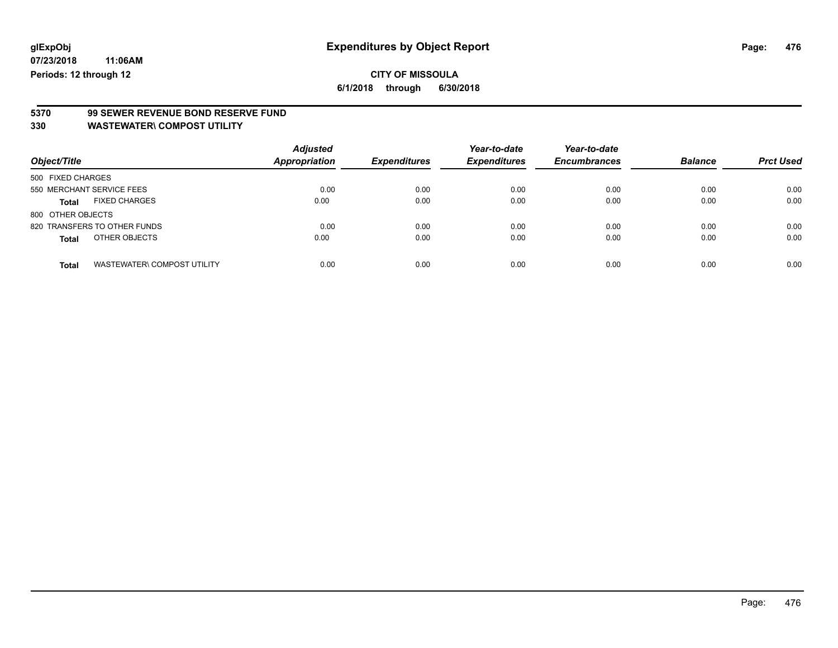# **5370 99 SEWER REVENUE BOND RESERVE FUND**

| Object/Title                                       | <b>Adjusted</b><br><b>Appropriation</b> | <b>Expenditures</b> | Year-to-date<br><b>Expenditures</b> | Year-to-date<br><b>Encumbrances</b> | <b>Balance</b> | <b>Prct Used</b> |
|----------------------------------------------------|-----------------------------------------|---------------------|-------------------------------------|-------------------------------------|----------------|------------------|
| 500 FIXED CHARGES                                  |                                         |                     |                                     |                                     |                |                  |
| 550 MERCHANT SERVICE FEES                          | 0.00                                    | 0.00                | 0.00                                | 0.00                                | 0.00           | 0.00             |
| <b>FIXED CHARGES</b><br><b>Total</b>               | 0.00                                    | 0.00                | 0.00                                | 0.00                                | 0.00           | 0.00             |
| 800 OTHER OBJECTS                                  |                                         |                     |                                     |                                     |                |                  |
| 820 TRANSFERS TO OTHER FUNDS                       | 0.00                                    | 0.00                | 0.00                                | 0.00                                | 0.00           | 0.00             |
| OTHER OBJECTS<br><b>Total</b>                      | 0.00                                    | 0.00                | 0.00                                | 0.00                                | 0.00           | 0.00             |
| <b>WASTEWATER\ COMPOST UTILITY</b><br><b>Total</b> | 0.00                                    | 0.00                | 0.00                                | 0.00                                | 0.00           | 0.00             |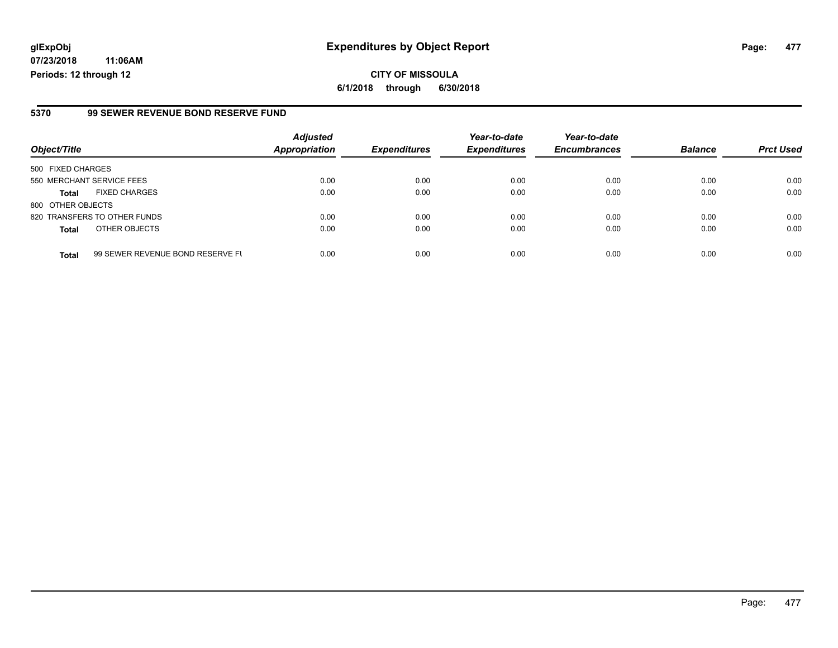**CITY OF MISSOULA 6/1/2018 through 6/30/2018**

### **5370 99 SEWER REVENUE BOND RESERVE FUND**

|                   |                                  | <b>Adjusted</b>      |                     | Year-to-date        | Year-to-date        |                |                  |
|-------------------|----------------------------------|----------------------|---------------------|---------------------|---------------------|----------------|------------------|
| Object/Title      |                                  | <b>Appropriation</b> | <b>Expenditures</b> | <b>Expenditures</b> | <b>Encumbrances</b> | <b>Balance</b> | <b>Prct Used</b> |
| 500 FIXED CHARGES |                                  |                      |                     |                     |                     |                |                  |
|                   | 550 MERCHANT SERVICE FEES        | 0.00                 | 0.00                | 0.00                | 0.00                | 0.00           | 0.00             |
| <b>Total</b>      | <b>FIXED CHARGES</b>             | 0.00                 | 0.00                | 0.00                | 0.00                | 0.00           | 0.00             |
| 800 OTHER OBJECTS |                                  |                      |                     |                     |                     |                |                  |
|                   | 820 TRANSFERS TO OTHER FUNDS     | 0.00                 | 0.00                | 0.00                | 0.00                | 0.00           | 0.00             |
| <b>Total</b>      | OTHER OBJECTS                    | 0.00                 | 0.00                | 0.00                | 0.00                | 0.00           | 0.00             |
| <b>Total</b>      | 99 SEWER REVENUE BOND RESERVE FL | 0.00                 | 0.00                | 0.00                | 0.00                | 0.00           | 0.00             |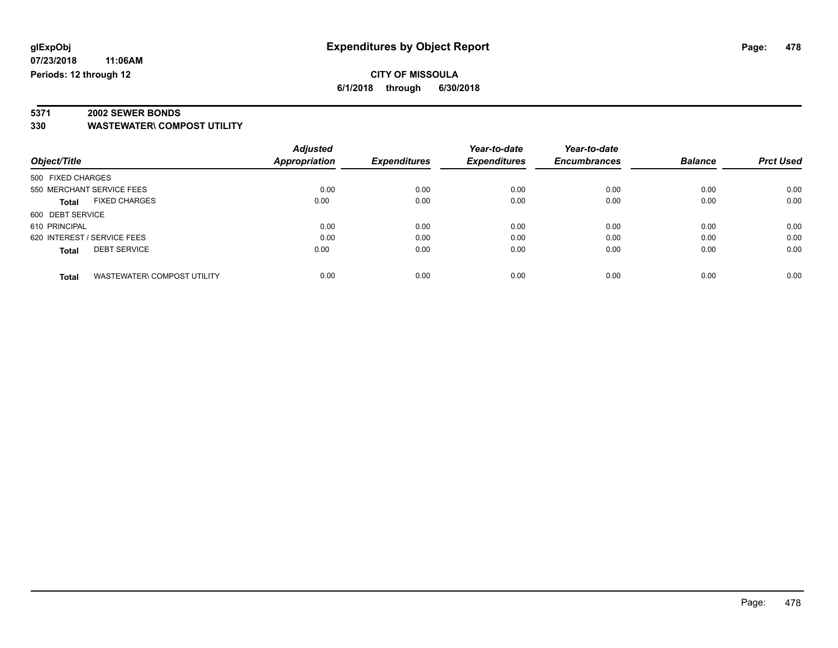**CITY OF MISSOULA 6/1/2018 through 6/30/2018**

**5371 2002 SEWER BONDS 330 WASTEWATER\ COMPOST UTILITY**

| Object/Title      |                                    | <b>Adjusted</b> | <b>Expenditures</b> | Year-to-date<br><b>Expenditures</b> | Year-to-date        | <b>Balance</b> | <b>Prct Used</b> |
|-------------------|------------------------------------|-----------------|---------------------|-------------------------------------|---------------------|----------------|------------------|
|                   |                                    | Appropriation   |                     |                                     | <b>Encumbrances</b> |                |                  |
| 500 FIXED CHARGES |                                    |                 |                     |                                     |                     |                |                  |
|                   | 550 MERCHANT SERVICE FEES          | 0.00            | 0.00                | 0.00                                | 0.00                | 0.00           | 0.00             |
| <b>Total</b>      | <b>FIXED CHARGES</b>               | 0.00            | 0.00                | 0.00                                | 0.00                | 0.00           | 0.00             |
| 600 DEBT SERVICE  |                                    |                 |                     |                                     |                     |                |                  |
| 610 PRINCIPAL     |                                    | 0.00            | 0.00                | 0.00                                | 0.00                | 0.00           | 0.00             |
|                   | 620 INTEREST / SERVICE FEES        | 0.00            | 0.00                | 0.00                                | 0.00                | 0.00           | 0.00             |
| <b>Total</b>      | <b>DEBT SERVICE</b>                | 0.00            | 0.00                | 0.00                                | 0.00                | 0.00           | 0.00             |
| <b>Total</b>      | <b>WASTEWATER\ COMPOST UTILITY</b> | 0.00            | 0.00                | 0.00                                | 0.00                | 0.00           | 0.00             |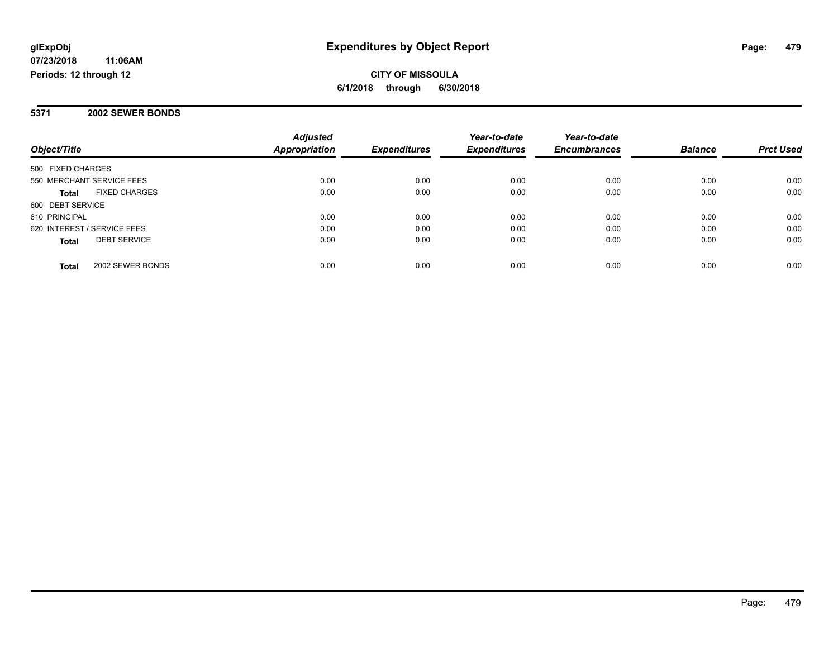**CITY OF MISSOULA 6/1/2018 through 6/30/2018**

### **5371 2002 SEWER BONDS**

|                                      | <b>Adjusted</b>      |                     | Year-to-date        | Year-to-date        |                |                  |
|--------------------------------------|----------------------|---------------------|---------------------|---------------------|----------------|------------------|
| Object/Title                         | <b>Appropriation</b> | <b>Expenditures</b> | <b>Expenditures</b> | <b>Encumbrances</b> | <b>Balance</b> | <b>Prct Used</b> |
| 500 FIXED CHARGES                    |                      |                     |                     |                     |                |                  |
| 550 MERCHANT SERVICE FEES            | 0.00                 | 0.00                | 0.00                | 0.00                | 0.00           | 0.00             |
| <b>FIXED CHARGES</b><br><b>Total</b> | 0.00                 | 0.00                | 0.00                | 0.00                | 0.00           | 0.00             |
| 600 DEBT SERVICE                     |                      |                     |                     |                     |                |                  |
| 610 PRINCIPAL                        | 0.00                 | 0.00                | 0.00                | 0.00                | 0.00           | 0.00             |
| 620 INTEREST / SERVICE FEES          | 0.00                 | 0.00                | 0.00                | 0.00                | 0.00           | 0.00             |
| <b>DEBT SERVICE</b><br><b>Total</b>  | 0.00                 | 0.00                | 0.00                | 0.00                | 0.00           | 0.00             |
| 2002 SEWER BONDS<br><b>Total</b>     | 0.00                 | 0.00                | 0.00                | 0.00                | 0.00           | 0.00             |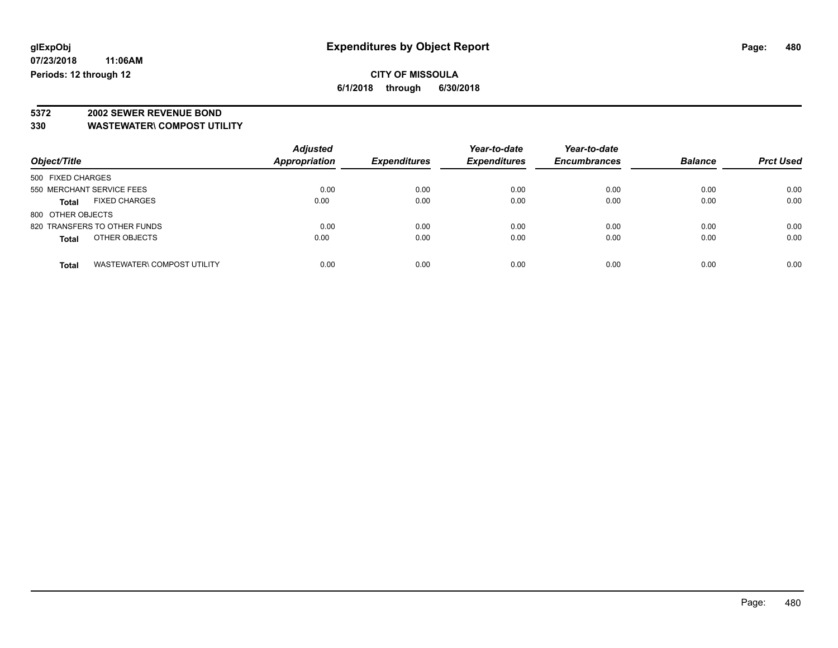## **CITY OF MISSOULA 6/1/2018 through 6/30/2018**

# **5372 2002 SEWER REVENUE BOND**<br>**330 WASTEWATER\ COMPOST UTIL**

| Object/Title                                       | <b>Adjusted</b><br><b>Appropriation</b> | <b>Expenditures</b> | Year-to-date<br><b>Expenditures</b> | Year-to-date<br><b>Encumbrances</b> | <b>Balance</b> | <b>Prct Used</b> |
|----------------------------------------------------|-----------------------------------------|---------------------|-------------------------------------|-------------------------------------|----------------|------------------|
| 500 FIXED CHARGES                                  |                                         |                     |                                     |                                     |                |                  |
| 550 MERCHANT SERVICE FEES                          | 0.00                                    | 0.00                | 0.00                                | 0.00                                | 0.00           | 0.00             |
| <b>FIXED CHARGES</b><br><b>Total</b>               | 0.00                                    | 0.00                | 0.00                                | 0.00                                | 0.00           | 0.00             |
| 800 OTHER OBJECTS                                  |                                         |                     |                                     |                                     |                |                  |
| 820 TRANSFERS TO OTHER FUNDS                       | 0.00                                    | 0.00                | 0.00                                | 0.00                                | 0.00           | 0.00             |
| OTHER OBJECTS<br><b>Total</b>                      | 0.00                                    | 0.00                | 0.00                                | 0.00                                | 0.00           | 0.00             |
| <b>WASTEWATER\ COMPOST UTILITY</b><br><b>Total</b> | 0.00                                    | 0.00                | 0.00                                | 0.00                                | 0.00           | 0.00             |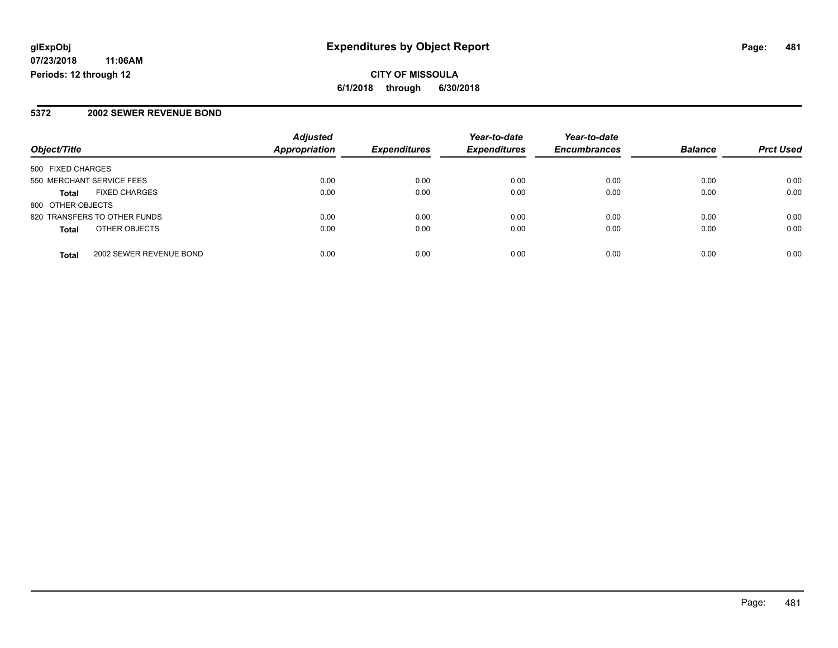**CITY OF MISSOULA 6/1/2018 through 6/30/2018**

#### **5372 2002 SEWER REVENUE BOND**

|                                         | <b>Adjusted</b>      |                     | Year-to-date        | Year-to-date        |                |                  |
|-----------------------------------------|----------------------|---------------------|---------------------|---------------------|----------------|------------------|
| Object/Title                            | <b>Appropriation</b> | <b>Expenditures</b> | <b>Expenditures</b> | <b>Encumbrances</b> | <b>Balance</b> | <b>Prct Used</b> |
| 500 FIXED CHARGES                       |                      |                     |                     |                     |                |                  |
| 550 MERCHANT SERVICE FEES               | 0.00                 | 0.00                | 0.00                | 0.00                | 0.00           | 0.00             |
| <b>FIXED CHARGES</b><br>Total           | 0.00                 | 0.00                | 0.00                | 0.00                | 0.00           | 0.00             |
| 800 OTHER OBJECTS                       |                      |                     |                     |                     |                |                  |
| 820 TRANSFERS TO OTHER FUNDS            | 0.00                 | 0.00                | 0.00                | 0.00                | 0.00           | 0.00             |
| OTHER OBJECTS<br><b>Total</b>           | 0.00                 | 0.00                | 0.00                | 0.00                | 0.00           | 0.00             |
| 2002 SEWER REVENUE BOND<br><b>Total</b> | 0.00                 | 0.00                | 0.00                | 0.00                | 0.00           | 0.00             |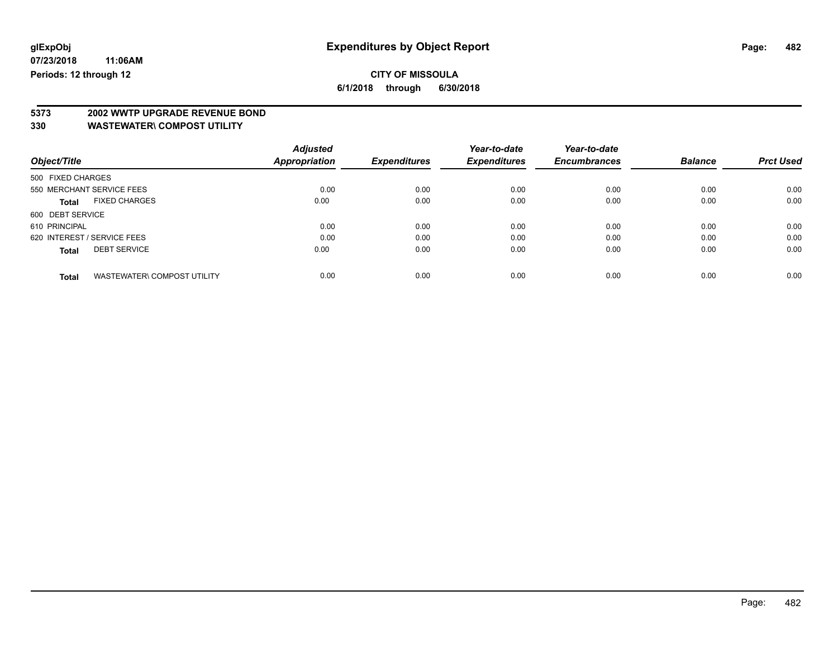### **CITY OF MISSOULA 6/1/2018 through 6/30/2018**

# **5373 2002 WWTP UPGRADE REVENUE BOND**

| Object/Title                |                                    | <b>Adjusted</b><br><b>Appropriation</b> | <b>Expenditures</b> | Year-to-date<br><b>Expenditures</b> | Year-to-date<br><b>Encumbrances</b> | <b>Balance</b> | <b>Prct Used</b> |
|-----------------------------|------------------------------------|-----------------------------------------|---------------------|-------------------------------------|-------------------------------------|----------------|------------------|
| 500 FIXED CHARGES           |                                    |                                         |                     |                                     |                                     |                |                  |
|                             | 550 MERCHANT SERVICE FEES          | 0.00                                    | 0.00                | 0.00                                | 0.00                                | 0.00           | 0.00             |
| <b>Total</b>                | <b>FIXED CHARGES</b>               | 0.00                                    | 0.00                | 0.00                                | 0.00                                | 0.00           | 0.00             |
| 600 DEBT SERVICE            |                                    |                                         |                     |                                     |                                     |                |                  |
| 610 PRINCIPAL               |                                    | 0.00                                    | 0.00                | 0.00                                | 0.00                                | 0.00           | 0.00             |
| 620 INTEREST / SERVICE FEES |                                    | 0.00                                    | 0.00                | 0.00                                | 0.00                                | 0.00           | 0.00             |
| <b>Total</b>                | <b>DEBT SERVICE</b>                | 0.00                                    | 0.00                | 0.00                                | 0.00                                | 0.00           | 0.00             |
| <b>Total</b>                | <b>WASTEWATER\ COMPOST UTILITY</b> | 0.00                                    | 0.00                | 0.00                                | 0.00                                | 0.00           | 0.00             |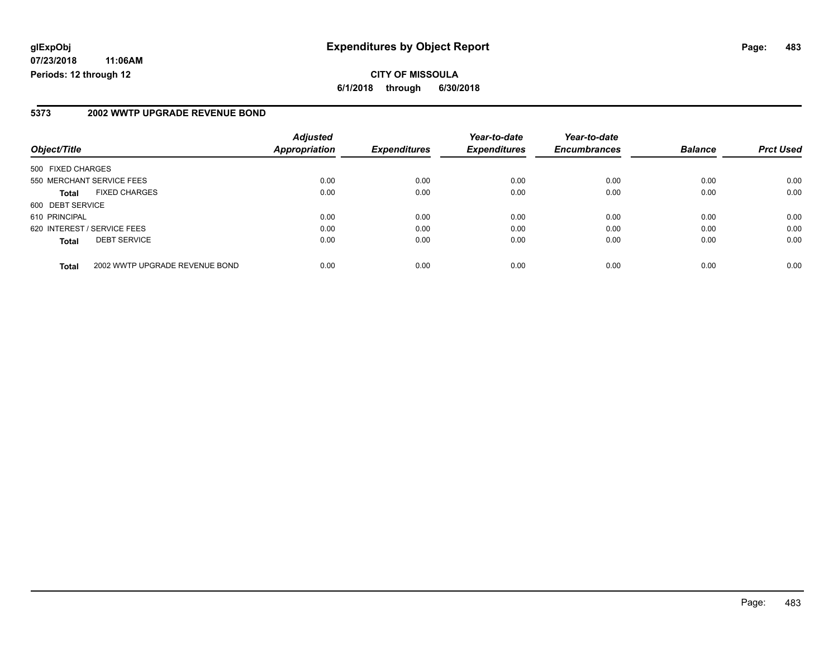# **CITY OF MISSOULA 6/1/2018 through 6/30/2018**

### **5373 2002 WWTP UPGRADE REVENUE BOND**

| Object/Title                |                                | <b>Adjusted</b><br><b>Appropriation</b> | <b>Expenditures</b> | Year-to-date<br><b>Expenditures</b> | Year-to-date<br><b>Encumbrances</b> | <b>Balance</b> | <b>Prct Used</b> |
|-----------------------------|--------------------------------|-----------------------------------------|---------------------|-------------------------------------|-------------------------------------|----------------|------------------|
| 500 FIXED CHARGES           |                                |                                         |                     |                                     |                                     |                |                  |
| 550 MERCHANT SERVICE FEES   |                                | 0.00                                    | 0.00                | 0.00                                | 0.00                                | 0.00           | 0.00             |
| <b>Total</b>                | <b>FIXED CHARGES</b>           | 0.00                                    | 0.00                | 0.00                                | 0.00                                | 0.00           | 0.00             |
| 600 DEBT SERVICE            |                                |                                         |                     |                                     |                                     |                |                  |
| 610 PRINCIPAL               |                                | 0.00                                    | 0.00                | 0.00                                | 0.00                                | 0.00           | 0.00             |
| 620 INTEREST / SERVICE FEES |                                | 0.00                                    | 0.00                | 0.00                                | 0.00                                | 0.00           | 0.00             |
| <b>Total</b>                | <b>DEBT SERVICE</b>            | 0.00                                    | 0.00                | 0.00                                | 0.00                                | 0.00           | 0.00             |
| <b>Total</b>                | 2002 WWTP UPGRADE REVENUE BOND | 0.00                                    | 0.00                | 0.00                                | 0.00                                | 0.00           | 0.00             |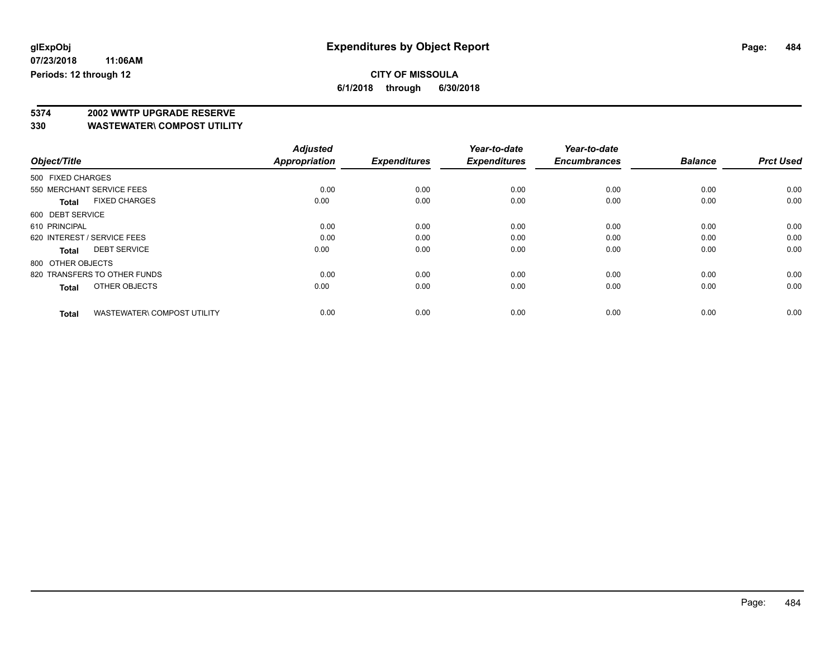### **CITY OF MISSOULA 6/1/2018 through 6/30/2018**

# **5374 2002 WWTP UPGRADE RESERVE**

| Object/Title                                       | <b>Adjusted</b><br><b>Appropriation</b> | <b>Expenditures</b> | Year-to-date<br><b>Expenditures</b> | Year-to-date<br><b>Encumbrances</b> | <b>Balance</b> | <b>Prct Used</b> |
|----------------------------------------------------|-----------------------------------------|---------------------|-------------------------------------|-------------------------------------|----------------|------------------|
| 500 FIXED CHARGES                                  |                                         |                     |                                     |                                     |                |                  |
| 550 MERCHANT SERVICE FEES                          | 0.00                                    | 0.00                | 0.00                                | 0.00                                | 0.00           | 0.00             |
| <b>FIXED CHARGES</b><br><b>Total</b>               | 0.00                                    | 0.00                | 0.00                                | 0.00                                | 0.00           | 0.00             |
| 600 DEBT SERVICE                                   |                                         |                     |                                     |                                     |                |                  |
| 610 PRINCIPAL                                      | 0.00                                    | 0.00                | 0.00                                | 0.00                                | 0.00           | 0.00             |
| 620 INTEREST / SERVICE FEES                        | 0.00                                    | 0.00                | 0.00                                | 0.00                                | 0.00           | 0.00             |
| <b>DEBT SERVICE</b><br><b>Total</b>                | 0.00                                    | 0.00                | 0.00                                | 0.00                                | 0.00           | 0.00             |
| 800 OTHER OBJECTS                                  |                                         |                     |                                     |                                     |                |                  |
| 820 TRANSFERS TO OTHER FUNDS                       | 0.00                                    | 0.00                | 0.00                                | 0.00                                | 0.00           | 0.00             |
| OTHER OBJECTS<br><b>Total</b>                      | 0.00                                    | 0.00                | 0.00                                | 0.00                                | 0.00           | 0.00             |
| <b>WASTEWATER\ COMPOST UTILITY</b><br><b>Total</b> | 0.00                                    | 0.00                | 0.00                                | 0.00                                | 0.00           | 0.00             |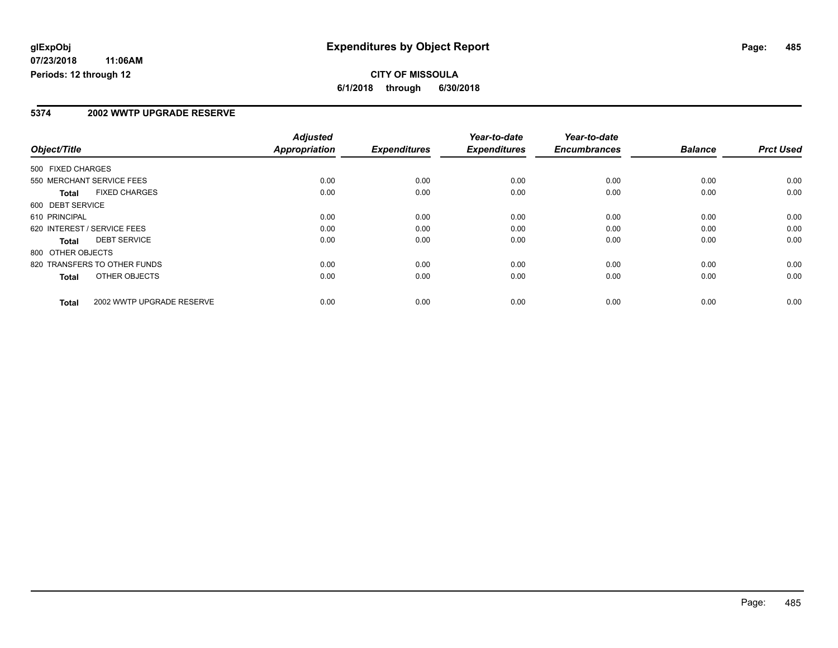## **CITY OF MISSOULA 6/1/2018 through 6/30/2018**

### **5374 2002 WWTP UPGRADE RESERVE**

|                                           | <b>Adjusted</b> |                     | Year-to-date        | Year-to-date<br><b>Encumbrances</b> | <b>Balance</b> | <b>Prct Used</b> |
|-------------------------------------------|-----------------|---------------------|---------------------|-------------------------------------|----------------|------------------|
| Object/Title                              | Appropriation   | <b>Expenditures</b> | <b>Expenditures</b> |                                     |                |                  |
| 500 FIXED CHARGES                         |                 |                     |                     |                                     |                |                  |
| 550 MERCHANT SERVICE FEES                 | 0.00            | 0.00                | 0.00                | 0.00                                | 0.00           | 0.00             |
| <b>FIXED CHARGES</b><br>Total             | 0.00            | 0.00                | 0.00                | 0.00                                | 0.00           | 0.00             |
| 600 DEBT SERVICE                          |                 |                     |                     |                                     |                |                  |
| 610 PRINCIPAL                             | 0.00            | 0.00                | 0.00                | 0.00                                | 0.00           | 0.00             |
| 620 INTEREST / SERVICE FEES               | 0.00            | 0.00                | 0.00                | 0.00                                | 0.00           | 0.00             |
| <b>DEBT SERVICE</b><br>Total              | 0.00            | 0.00                | 0.00                | 0.00                                | 0.00           | 0.00             |
| 800 OTHER OBJECTS                         |                 |                     |                     |                                     |                |                  |
| 820 TRANSFERS TO OTHER FUNDS              | 0.00            | 0.00                | 0.00                | 0.00                                | 0.00           | 0.00             |
| OTHER OBJECTS<br><b>Total</b>             | 0.00            | 0.00                | 0.00                | 0.00                                | 0.00           | 0.00             |
| 2002 WWTP UPGRADE RESERVE<br><b>Total</b> | 0.00            | 0.00                | 0.00                | 0.00                                | 0.00           | 0.00             |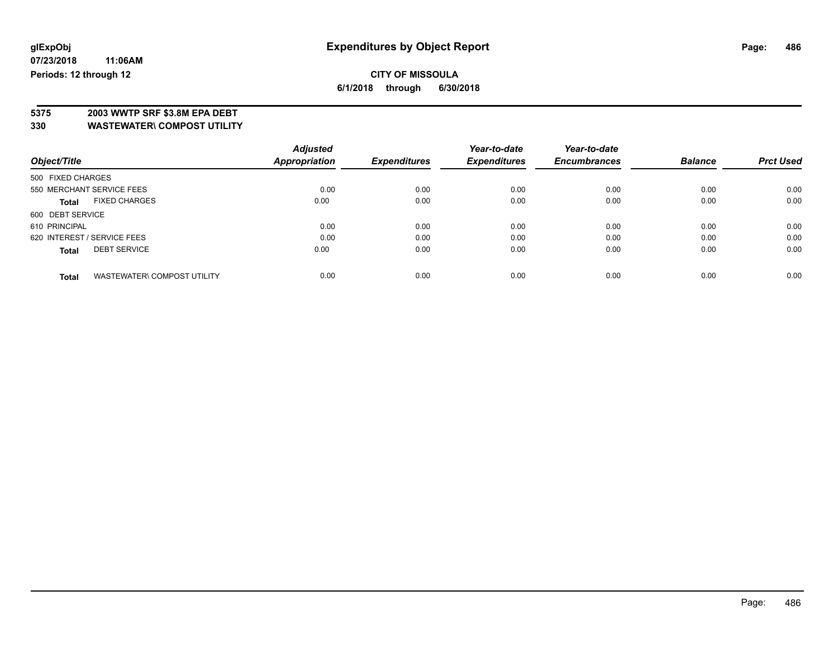## **CITY OF MISSOULA 6/1/2018 through 6/30/2018**

# **5375 2003 WWTP SRF \$3.8M EPA DEBT**

|                             |                                    | <b>Adjusted</b> | <b>Expenditures</b> | Year-to-date<br><b>Expenditures</b> | Year-to-date<br><b>Encumbrances</b> | <b>Balance</b> | <b>Prct Used</b> |
|-----------------------------|------------------------------------|-----------------|---------------------|-------------------------------------|-------------------------------------|----------------|------------------|
| Object/Title                |                                    | Appropriation   |                     |                                     |                                     |                |                  |
| 500 FIXED CHARGES           |                                    |                 |                     |                                     |                                     |                |                  |
| 550 MERCHANT SERVICE FEES   |                                    | 0.00            | 0.00                | 0.00                                | 0.00                                | 0.00           | 0.00             |
| <b>Total</b>                | <b>FIXED CHARGES</b>               | 0.00            | 0.00                | 0.00                                | 0.00                                | 0.00           | 0.00             |
| 600 DEBT SERVICE            |                                    |                 |                     |                                     |                                     |                |                  |
| 610 PRINCIPAL               |                                    | 0.00            | 0.00                | 0.00                                | 0.00                                | 0.00           | 0.00             |
| 620 INTEREST / SERVICE FEES |                                    | 0.00            | 0.00                | 0.00                                | 0.00                                | 0.00           | 0.00             |
| <b>Total</b>                | <b>DEBT SERVICE</b>                | 0.00            | 0.00                | 0.00                                | 0.00                                | 0.00           | 0.00             |
| <b>Total</b>                | <b>WASTEWATER\ COMPOST UTILITY</b> | 0.00            | 0.00                | 0.00                                | 0.00                                | 0.00           | 0.00             |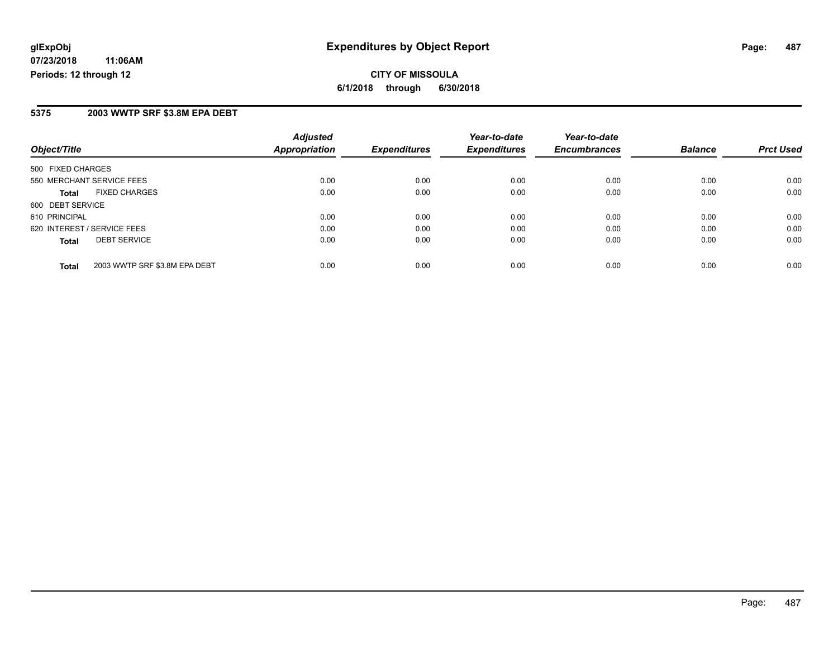**CITY OF MISSOULA 6/1/2018 through 6/30/2018**

#### **5375 2003 WWTP SRF \$3.8M EPA DEBT**

| Object/Title                                  | <b>Adjusted</b><br>Appropriation | <b>Expenditures</b> | Year-to-date<br><b>Expenditures</b> | Year-to-date<br><b>Encumbrances</b> | <b>Balance</b> | <b>Prct Used</b> |
|-----------------------------------------------|----------------------------------|---------------------|-------------------------------------|-------------------------------------|----------------|------------------|
| 500 FIXED CHARGES                             |                                  |                     |                                     |                                     |                |                  |
| 550 MERCHANT SERVICE FEES                     | 0.00                             | 0.00                | 0.00                                | 0.00                                | 0.00           | 0.00             |
| <b>FIXED CHARGES</b><br><b>Total</b>          | 0.00                             | 0.00                | 0.00                                | 0.00                                | 0.00           | 0.00             |
| 600 DEBT SERVICE                              |                                  |                     |                                     |                                     |                |                  |
| 610 PRINCIPAL                                 | 0.00                             | 0.00                | 0.00                                | 0.00                                | 0.00           | 0.00             |
| 620 INTEREST / SERVICE FEES                   | 0.00                             | 0.00                | 0.00                                | 0.00                                | 0.00           | 0.00             |
| <b>DEBT SERVICE</b><br><b>Total</b>           | 0.00                             | 0.00                | 0.00                                | 0.00                                | 0.00           | 0.00             |
| 2003 WWTP SRF \$3.8M EPA DEBT<br><b>Total</b> | 0.00                             | 0.00                | 0.00                                | 0.00                                | 0.00           | 0.00             |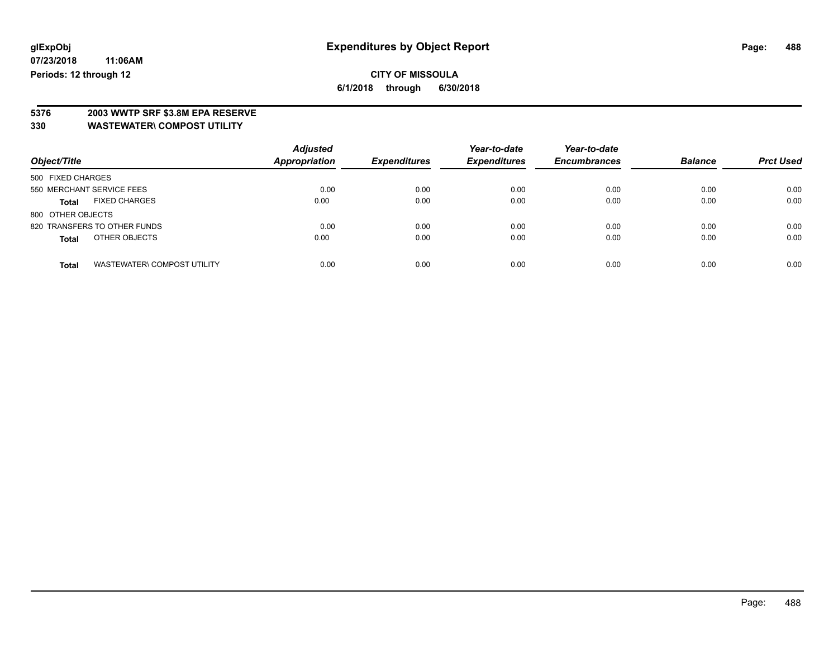### **CITY OF MISSOULA 6/1/2018 through 6/30/2018**

# **5376 2003 WWTP SRF \$3.8M EPA RESERVE**

| Object/Title                                       | <b>Adjusted</b><br>Appropriation | <b>Expenditures</b> | Year-to-date<br><b>Expenditures</b> | Year-to-date<br><b>Encumbrances</b> | <b>Balance</b> | <b>Prct Used</b> |
|----------------------------------------------------|----------------------------------|---------------------|-------------------------------------|-------------------------------------|----------------|------------------|
| 500 FIXED CHARGES                                  |                                  |                     |                                     |                                     |                |                  |
| 550 MERCHANT SERVICE FEES                          | 0.00                             | 0.00                | 0.00                                | 0.00                                | 0.00           | 0.00             |
| <b>FIXED CHARGES</b><br><b>Total</b>               | 0.00                             | 0.00                | 0.00                                | 0.00                                | 0.00           | 0.00             |
| 800 OTHER OBJECTS                                  |                                  |                     |                                     |                                     |                |                  |
| 820 TRANSFERS TO OTHER FUNDS                       | 0.00                             | 0.00                | 0.00                                | 0.00                                | 0.00           | 0.00             |
| OTHER OBJECTS<br><b>Total</b>                      | 0.00                             | 0.00                | 0.00                                | 0.00                                | 0.00           | 0.00             |
| <b>WASTEWATER\ COMPOST UTILITY</b><br><b>Total</b> | 0.00                             | 0.00                | 0.00                                | 0.00                                | 0.00           | 0.00             |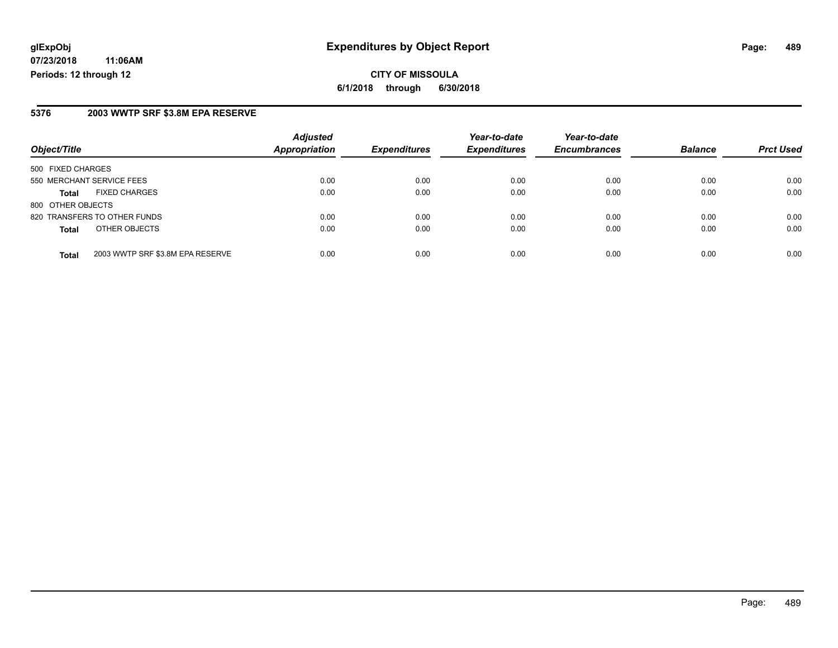**CITY OF MISSOULA 6/1/2018 through 6/30/2018**

#### **5376 2003 WWTP SRF \$3.8M EPA RESERVE**

|                                      |                                  | <b>Adjusted</b> |                     | Year-to-date        | Year-to-date        |                |                  |
|--------------------------------------|----------------------------------|-----------------|---------------------|---------------------|---------------------|----------------|------------------|
| Object/Title                         |                                  | Appropriation   | <b>Expenditures</b> | <b>Expenditures</b> | <b>Encumbrances</b> | <b>Balance</b> | <b>Prct Used</b> |
| 500 FIXED CHARGES                    |                                  |                 |                     |                     |                     |                |                  |
| 550 MERCHANT SERVICE FEES            |                                  | 0.00            | 0.00                | 0.00                | 0.00                | 0.00           | 0.00             |
| <b>FIXED CHARGES</b><br><b>Total</b> |                                  | 0.00            | 0.00                | 0.00                | 0.00                | 0.00           | 0.00             |
| 800 OTHER OBJECTS                    |                                  |                 |                     |                     |                     |                |                  |
| 820 TRANSFERS TO OTHER FUNDS         |                                  | 0.00            | 0.00                | 0.00                | 0.00                | 0.00           | 0.00             |
| OTHER OBJECTS<br><b>Total</b>        |                                  | 0.00            | 0.00                | 0.00                | 0.00                | 0.00           | 0.00             |
| <b>Total</b>                         | 2003 WWTP SRF \$3.8M EPA RESERVE | 0.00            | 0.00                | 0.00                | 0.00                | 0.00           | 0.00             |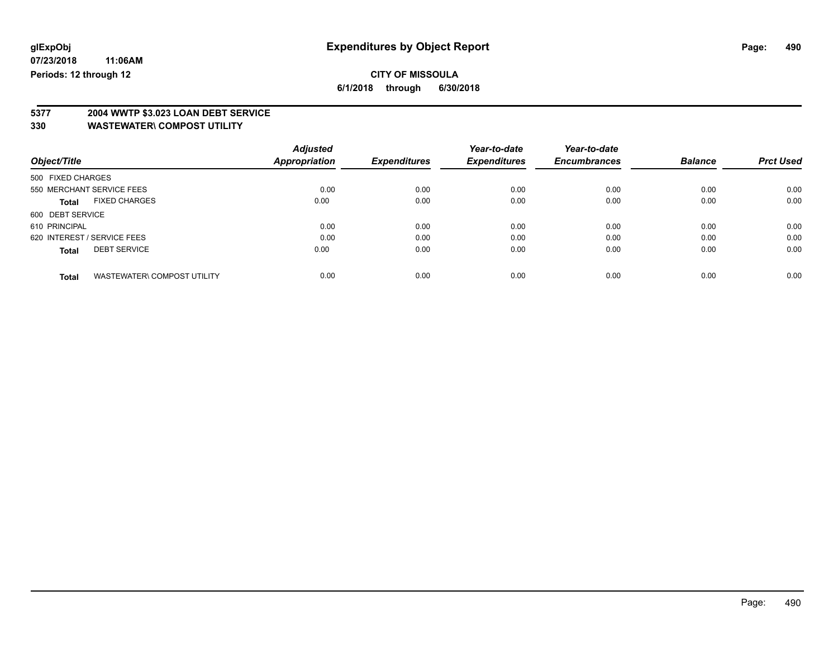# **5377 2004 WWTP \$3.023 LOAN DEBT SERVICE**

| Object/Title                |                                    | <b>Adjusted</b><br><b>Appropriation</b> | <b>Expenditures</b> | Year-to-date<br><b>Expenditures</b> | Year-to-date<br><b>Encumbrances</b> | <b>Balance</b> | <b>Prct Used</b> |
|-----------------------------|------------------------------------|-----------------------------------------|---------------------|-------------------------------------|-------------------------------------|----------------|------------------|
| 500 FIXED CHARGES           |                                    |                                         |                     |                                     |                                     |                |                  |
| 550 MERCHANT SERVICE FEES   |                                    | 0.00                                    | 0.00                | 0.00                                | 0.00                                | 0.00           | 0.00             |
| <b>Total</b>                | <b>FIXED CHARGES</b>               | 0.00                                    | 0.00                | 0.00                                | 0.00                                | 0.00           | 0.00             |
| 600 DEBT SERVICE            |                                    |                                         |                     |                                     |                                     |                |                  |
| 610 PRINCIPAL               |                                    | 0.00                                    | 0.00                | 0.00                                | 0.00                                | 0.00           | 0.00             |
| 620 INTEREST / SERVICE FEES |                                    | 0.00                                    | 0.00                | 0.00                                | 0.00                                | 0.00           | 0.00             |
| <b>Total</b>                | <b>DEBT SERVICE</b>                | 0.00                                    | 0.00                | 0.00                                | 0.00                                | 0.00           | 0.00             |
| <b>Total</b>                | <b>WASTEWATER\ COMPOST UTILITY</b> | 0.00                                    | 0.00                | 0.00                                | 0.00                                | 0.00           | 0.00             |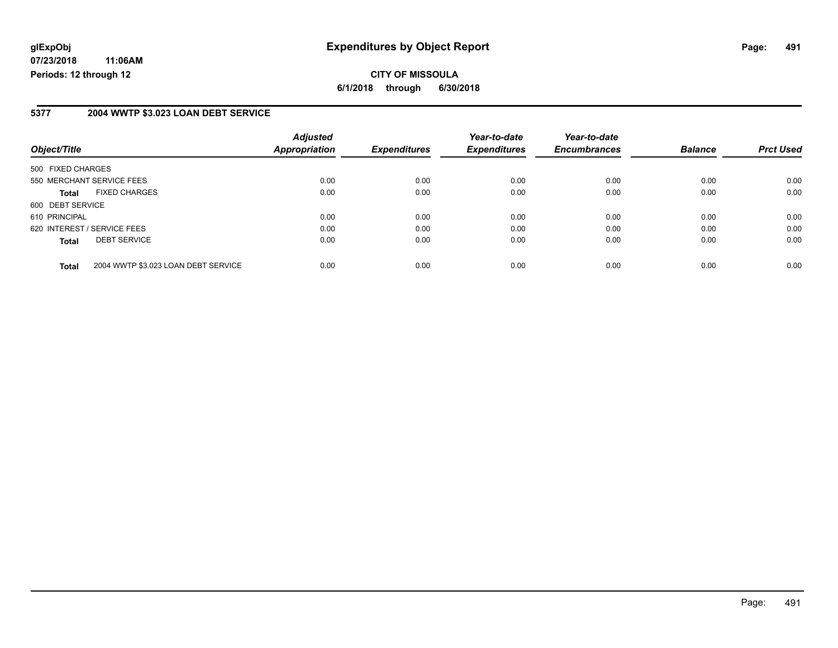**CITY OF MISSOULA 6/1/2018 through 6/30/2018**

### **5377 2004 WWTP \$3.023 LOAN DEBT SERVICE**

| Object/Title                                        | <b>Adjusted</b><br><b>Appropriation</b> | <b>Expenditures</b> | Year-to-date<br><b>Expenditures</b> | Year-to-date<br><b>Encumbrances</b> | <b>Balance</b> | <b>Prct Used</b> |
|-----------------------------------------------------|-----------------------------------------|---------------------|-------------------------------------|-------------------------------------|----------------|------------------|
|                                                     |                                         |                     |                                     |                                     |                |                  |
| 500 FIXED CHARGES                                   |                                         |                     |                                     |                                     |                |                  |
| 550 MERCHANT SERVICE FEES                           | 0.00                                    | 0.00                | 0.00                                | 0.00                                | 0.00           | 0.00             |
| <b>FIXED CHARGES</b><br><b>Total</b>                | 0.00                                    | 0.00                | 0.00                                | 0.00                                | 0.00           | 0.00             |
| 600 DEBT SERVICE                                    |                                         |                     |                                     |                                     |                |                  |
| 610 PRINCIPAL                                       | 0.00                                    | 0.00                | 0.00                                | 0.00                                | 0.00           | 0.00             |
| 620 INTEREST / SERVICE FEES                         | 0.00                                    | 0.00                | 0.00                                | 0.00                                | 0.00           | 0.00             |
| <b>DEBT SERVICE</b><br><b>Total</b>                 | 0.00                                    | 0.00                | 0.00                                | 0.00                                | 0.00           | 0.00             |
| 2004 WWTP \$3.023 LOAN DEBT SERVICE<br><b>Total</b> | 0.00                                    | 0.00                | 0.00                                | 0.00                                | 0.00           | 0.00             |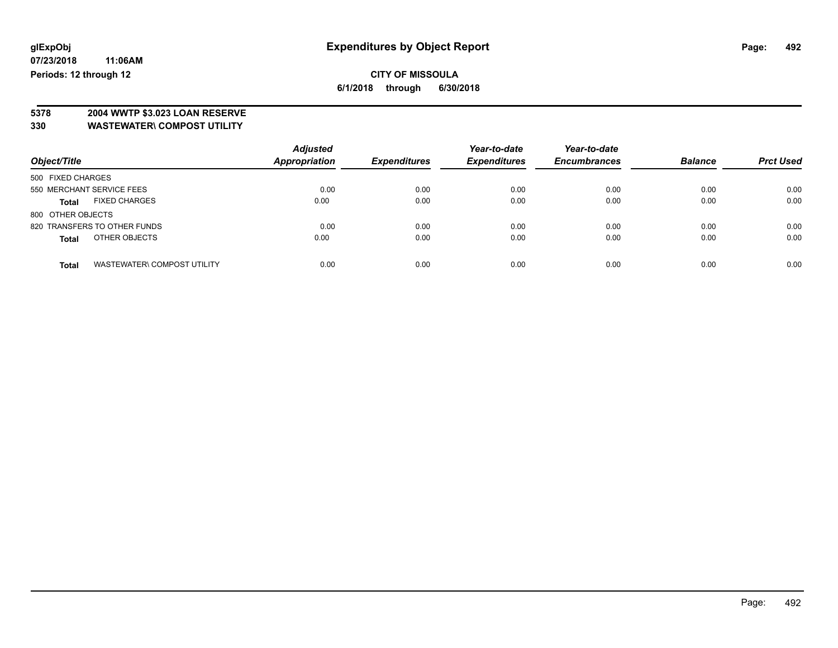### **CITY OF MISSOULA 6/1/2018 through 6/30/2018**

# **5378 2004 WWTP \$3.023 LOAN RESERVE**

| Object/Title                                       | <b>Adjusted</b><br><b>Appropriation</b> | <b>Expenditures</b> | Year-to-date<br><b>Expenditures</b> | Year-to-date<br><b>Encumbrances</b> | <b>Balance</b> | <b>Prct Used</b> |
|----------------------------------------------------|-----------------------------------------|---------------------|-------------------------------------|-------------------------------------|----------------|------------------|
| 500 FIXED CHARGES                                  |                                         |                     |                                     |                                     |                |                  |
| 550 MERCHANT SERVICE FEES                          | 0.00                                    | 0.00                | 0.00                                | 0.00                                | 0.00           | 0.00             |
| <b>FIXED CHARGES</b><br><b>Total</b>               | 0.00                                    | 0.00                | 0.00                                | 0.00                                | 0.00           | 0.00             |
| 800 OTHER OBJECTS                                  |                                         |                     |                                     |                                     |                |                  |
| 820 TRANSFERS TO OTHER FUNDS                       | 0.00                                    | 0.00                | 0.00                                | 0.00                                | 0.00           | 0.00             |
| OTHER OBJECTS<br><b>Total</b>                      | 0.00                                    | 0.00                | 0.00                                | 0.00                                | 0.00           | 0.00             |
|                                                    |                                         |                     |                                     |                                     |                |                  |
| <b>WASTEWATER\ COMPOST UTILITY</b><br><b>Total</b> | 0.00                                    | 0.00                | 0.00                                | 0.00                                | 0.00           | 0.00             |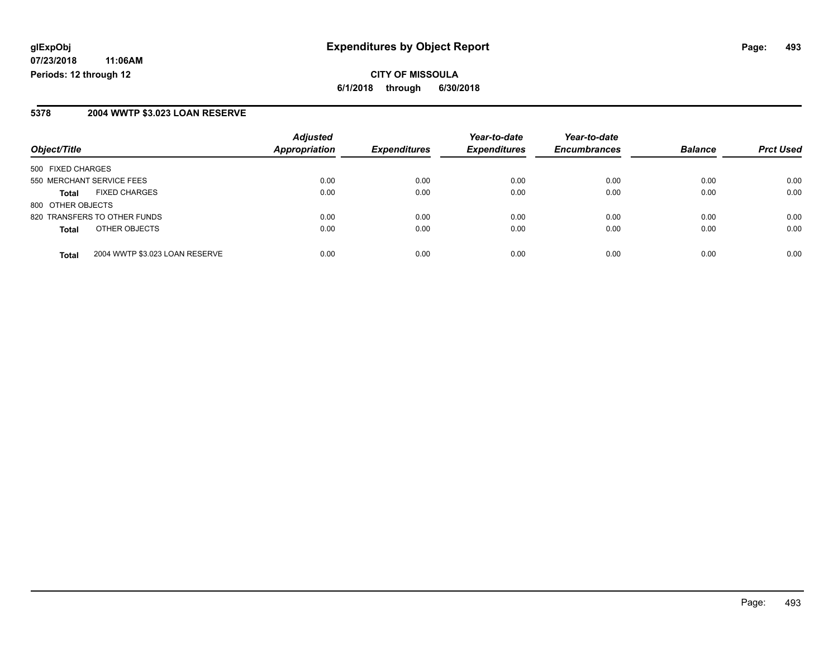**CITY OF MISSOULA 6/1/2018 through 6/30/2018**

### **5378 2004 WWTP \$3.023 LOAN RESERVE**

| Object/Title              |                                | <b>Adjusted</b><br><b>Appropriation</b> | <b>Expenditures</b> | Year-to-date<br><b>Expenditures</b> | Year-to-date<br><b>Encumbrances</b> | <b>Balance</b> | <b>Prct Used</b> |
|---------------------------|--------------------------------|-----------------------------------------|---------------------|-------------------------------------|-------------------------------------|----------------|------------------|
| 500 FIXED CHARGES         |                                |                                         |                     |                                     |                                     |                |                  |
| 550 MERCHANT SERVICE FEES |                                | 0.00                                    | 0.00                | 0.00                                | 0.00                                | 0.00           | 0.00             |
| Total                     | <b>FIXED CHARGES</b>           | 0.00                                    | 0.00                | 0.00                                | 0.00                                | 0.00           | 0.00             |
| 800 OTHER OBJECTS         |                                |                                         |                     |                                     |                                     |                |                  |
|                           | 820 TRANSFERS TO OTHER FUNDS   | 0.00                                    | 0.00                | 0.00                                | 0.00                                | 0.00           | 0.00             |
| Total                     | OTHER OBJECTS                  | 0.00                                    | 0.00                | 0.00                                | 0.00                                | 0.00           | 0.00             |
| <b>Total</b>              | 2004 WWTP \$3.023 LOAN RESERVE | 0.00                                    | 0.00                | 0.00                                | 0.00                                | 0.00           | 0.00             |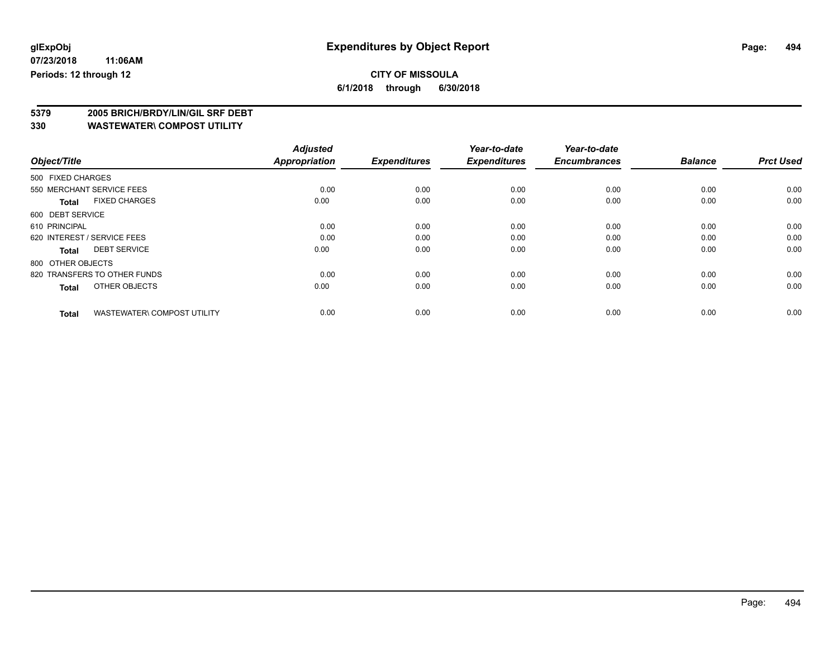# **5379 2005 BRICH/BRDY/LIN/GIL SRF DEBT**

| Object/Title                 |                                    | <b>Adjusted</b><br>Appropriation | <b>Expenditures</b> | Year-to-date<br><b>Expenditures</b> | Year-to-date<br><b>Encumbrances</b> | <b>Balance</b> | <b>Prct Used</b> |
|------------------------------|------------------------------------|----------------------------------|---------------------|-------------------------------------|-------------------------------------|----------------|------------------|
| 500 FIXED CHARGES            |                                    |                                  |                     |                                     |                                     |                |                  |
| 550 MERCHANT SERVICE FEES    |                                    | 0.00                             | 0.00                | 0.00                                | 0.00                                | 0.00           | 0.00             |
| <b>Total</b>                 | <b>FIXED CHARGES</b>               | 0.00                             | 0.00                | 0.00                                | 0.00                                | 0.00           | 0.00             |
| 600 DEBT SERVICE             |                                    |                                  |                     |                                     |                                     |                |                  |
| 610 PRINCIPAL                |                                    | 0.00                             | 0.00                | 0.00                                | 0.00                                | 0.00           | 0.00             |
| 620 INTEREST / SERVICE FEES  |                                    | 0.00                             | 0.00                | 0.00                                | 0.00                                | 0.00           | 0.00             |
| Total                        | <b>DEBT SERVICE</b>                | 0.00                             | 0.00                | 0.00                                | 0.00                                | 0.00           | 0.00             |
| 800 OTHER OBJECTS            |                                    |                                  |                     |                                     |                                     |                |                  |
| 820 TRANSFERS TO OTHER FUNDS |                                    | 0.00                             | 0.00                | 0.00                                | 0.00                                | 0.00           | 0.00             |
| <b>Total</b>                 | OTHER OBJECTS                      | 0.00                             | 0.00                | 0.00                                | 0.00                                | 0.00           | 0.00             |
| <b>Total</b>                 | <b>WASTEWATER\ COMPOST UTILITY</b> | 0.00                             | 0.00                | 0.00                                | 0.00                                | 0.00           | 0.00             |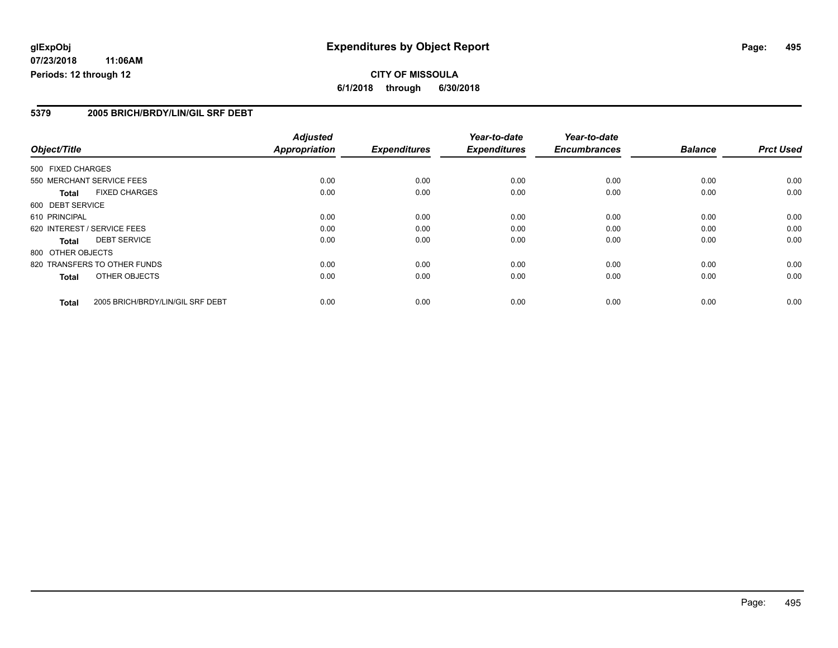# **CITY OF MISSOULA 6/1/2018 through 6/30/2018**

### **5379 2005 BRICH/BRDY/LIN/GIL SRF DEBT**

|                   |                                  | <b>Adjusted</b>      |                     | Year-to-date        | Year-to-date        |                |                  |
|-------------------|----------------------------------|----------------------|---------------------|---------------------|---------------------|----------------|------------------|
| Object/Title      |                                  | <b>Appropriation</b> | <b>Expenditures</b> | <b>Expenditures</b> | <b>Encumbrances</b> | <b>Balance</b> | <b>Prct Used</b> |
| 500 FIXED CHARGES |                                  |                      |                     |                     |                     |                |                  |
|                   | 550 MERCHANT SERVICE FEES        | 0.00                 | 0.00                | 0.00                | 0.00                | 0.00           | 0.00             |
| <b>Total</b>      | <b>FIXED CHARGES</b>             | 0.00                 | 0.00                | 0.00                | 0.00                | 0.00           | 0.00             |
| 600 DEBT SERVICE  |                                  |                      |                     |                     |                     |                |                  |
| 610 PRINCIPAL     |                                  | 0.00                 | 0.00                | 0.00                | 0.00                | 0.00           | 0.00             |
|                   | 620 INTEREST / SERVICE FEES      | 0.00                 | 0.00                | 0.00                | 0.00                | 0.00           | 0.00             |
| Total             | <b>DEBT SERVICE</b>              | 0.00                 | 0.00                | 0.00                | 0.00                | 0.00           | 0.00             |
| 800 OTHER OBJECTS |                                  |                      |                     |                     |                     |                |                  |
|                   | 820 TRANSFERS TO OTHER FUNDS     | 0.00                 | 0.00                | 0.00                | 0.00                | 0.00           | 0.00             |
| <b>Total</b>      | OTHER OBJECTS                    | 0.00                 | 0.00                | 0.00                | 0.00                | 0.00           | 0.00             |
| Total             | 2005 BRICH/BRDY/LIN/GIL SRF DEBT | 0.00                 | 0.00                | 0.00                | 0.00                | 0.00           | 0.00             |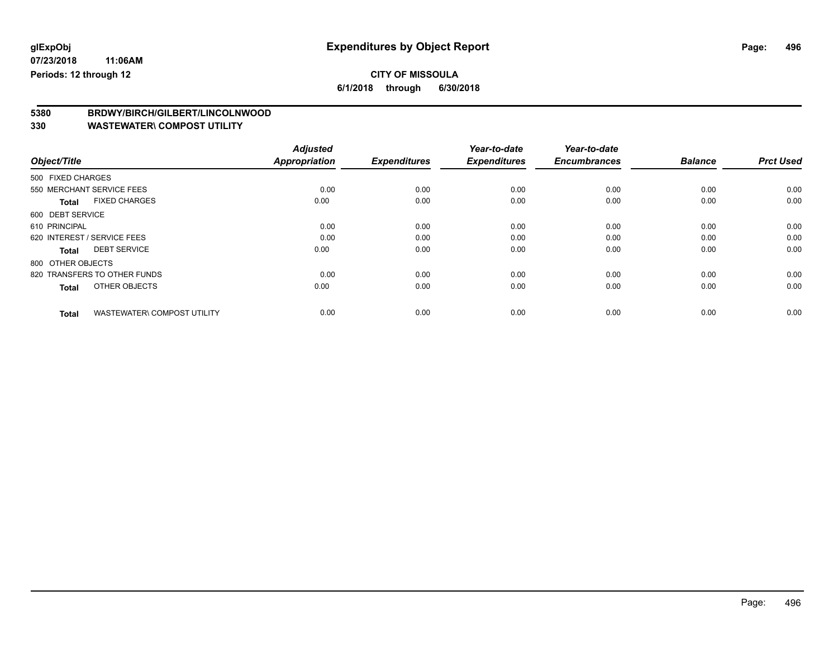# **5380 BRDWY/BIRCH/GILBERT/LINCOLNWOOD**

|                                                    | <b>Adjusted</b>      |                     | Year-to-date        | Year-to-date        |                |                  |
|----------------------------------------------------|----------------------|---------------------|---------------------|---------------------|----------------|------------------|
| Object/Title                                       | <b>Appropriation</b> | <b>Expenditures</b> | <b>Expenditures</b> | <b>Encumbrances</b> | <b>Balance</b> | <b>Prct Used</b> |
| 500 FIXED CHARGES                                  |                      |                     |                     |                     |                |                  |
| 550 MERCHANT SERVICE FEES                          | 0.00                 | 0.00                | 0.00                | 0.00                | 0.00           | 0.00             |
| <b>FIXED CHARGES</b><br>Total                      | 0.00                 | 0.00                | 0.00                | 0.00                | 0.00           | 0.00             |
| 600 DEBT SERVICE                                   |                      |                     |                     |                     |                |                  |
| 610 PRINCIPAL                                      | 0.00                 | 0.00                | 0.00                | 0.00                | 0.00           | 0.00             |
| 620 INTEREST / SERVICE FEES                        | 0.00                 | 0.00                | 0.00                | 0.00                | 0.00           | 0.00             |
| <b>DEBT SERVICE</b><br>Total                       | 0.00                 | 0.00                | 0.00                | 0.00                | 0.00           | 0.00             |
| 800 OTHER OBJECTS                                  |                      |                     |                     |                     |                |                  |
| 820 TRANSFERS TO OTHER FUNDS                       | 0.00                 | 0.00                | 0.00                | 0.00                | 0.00           | 0.00             |
| OTHER OBJECTS<br><b>Total</b>                      | 0.00                 | 0.00                | 0.00                | 0.00                | 0.00           | 0.00             |
|                                                    |                      |                     |                     |                     |                |                  |
| <b>WASTEWATER\ COMPOST UTILITY</b><br><b>Total</b> | 0.00                 | 0.00                | 0.00                | 0.00                | 0.00           | 0.00             |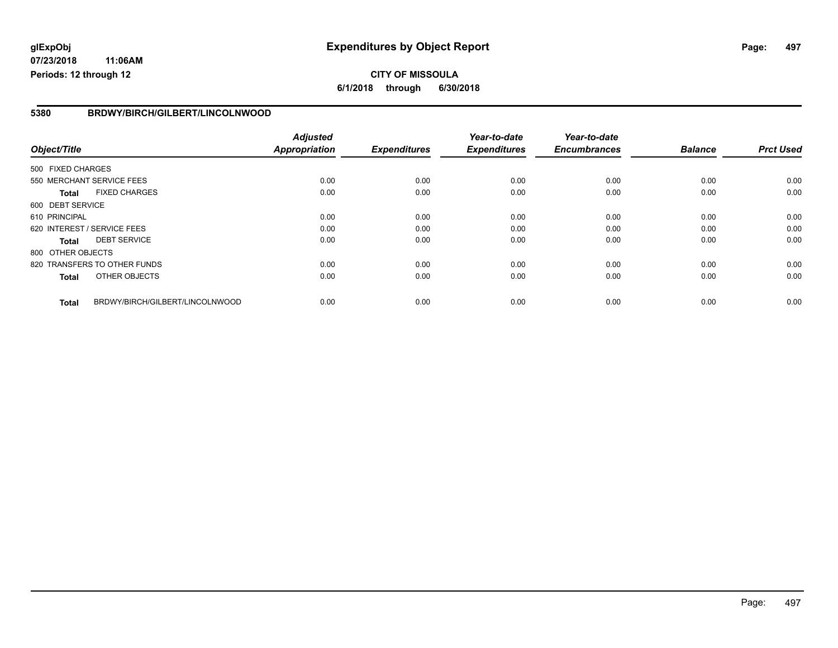# **CITY OF MISSOULA 6/1/2018 through 6/30/2018**

#### **5380 BRDWY/BIRCH/GILBERT/LINCOLNWOOD**

|                   |                                 | <b>Adjusted</b> |                     | Year-to-date        | Year-to-date        |                |                  |
|-------------------|---------------------------------|-----------------|---------------------|---------------------|---------------------|----------------|------------------|
| Object/Title      |                                 | Appropriation   | <b>Expenditures</b> | <b>Expenditures</b> | <b>Encumbrances</b> | <b>Balance</b> | <b>Prct Used</b> |
| 500 FIXED CHARGES |                                 |                 |                     |                     |                     |                |                  |
|                   | 550 MERCHANT SERVICE FEES       | 0.00            | 0.00                | 0.00                | 0.00                | 0.00           | 0.00             |
| <b>Total</b>      | <b>FIXED CHARGES</b>            | 0.00            | 0.00                | 0.00                | 0.00                | 0.00           | 0.00             |
| 600 DEBT SERVICE  |                                 |                 |                     |                     |                     |                |                  |
| 610 PRINCIPAL     |                                 | 0.00            | 0.00                | 0.00                | 0.00                | 0.00           | 0.00             |
|                   | 620 INTEREST / SERVICE FEES     | 0.00            | 0.00                | 0.00                | 0.00                | 0.00           | 0.00             |
| <b>Total</b>      | <b>DEBT SERVICE</b>             | 0.00            | 0.00                | 0.00                | 0.00                | 0.00           | 0.00             |
| 800 OTHER OBJECTS |                                 |                 |                     |                     |                     |                |                  |
|                   | 820 TRANSFERS TO OTHER FUNDS    | 0.00            | 0.00                | 0.00                | 0.00                | 0.00           | 0.00             |
| <b>Total</b>      | OTHER OBJECTS                   | 0.00            | 0.00                | 0.00                | 0.00                | 0.00           | 0.00             |
| <b>Total</b>      | BRDWY/BIRCH/GILBERT/LINCOLNWOOD | 0.00            | 0.00                | 0.00                | 0.00                | 0.00           | 0.00             |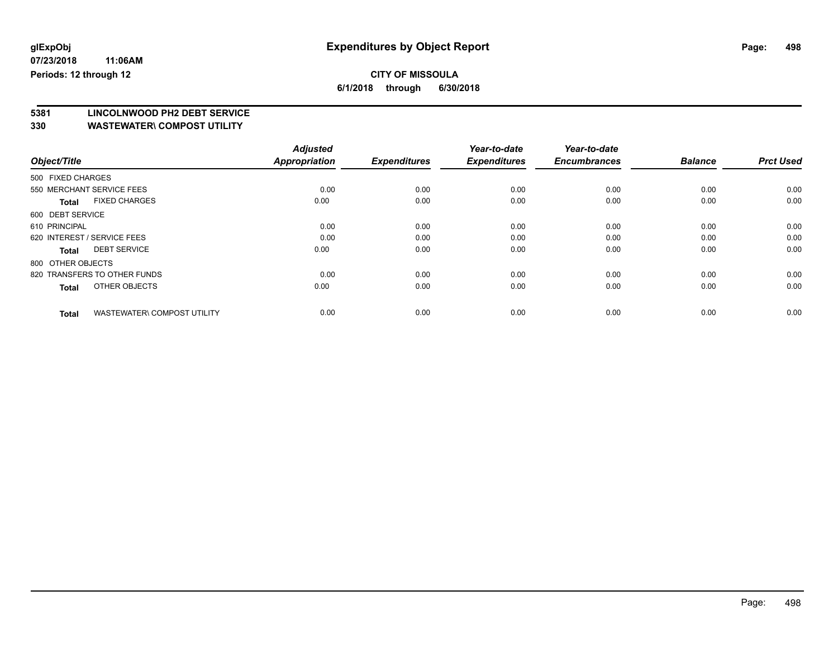**5381 LINCOLNWOOD PH2 DEBT SERVICE 330 WASTEWATER\ COMPOST UTILITY**

| Object/Title                                       | <b>Adjusted</b><br>Appropriation | <b>Expenditures</b> | Year-to-date<br><b>Expenditures</b> | Year-to-date<br><b>Encumbrances</b> | <b>Balance</b> | <b>Prct Used</b> |
|----------------------------------------------------|----------------------------------|---------------------|-------------------------------------|-------------------------------------|----------------|------------------|
|                                                    |                                  |                     |                                     |                                     |                |                  |
| 500 FIXED CHARGES                                  |                                  |                     |                                     |                                     |                |                  |
| 550 MERCHANT SERVICE FEES                          | 0.00                             | 0.00                | 0.00                                | 0.00                                | 0.00           | 0.00             |
| <b>FIXED CHARGES</b><br><b>Total</b>               | 0.00                             | 0.00                | 0.00                                | 0.00                                | 0.00           | 0.00             |
| 600 DEBT SERVICE                                   |                                  |                     |                                     |                                     |                |                  |
| 610 PRINCIPAL                                      | 0.00                             | 0.00                | 0.00                                | 0.00                                | 0.00           | 0.00             |
| 620 INTEREST / SERVICE FEES                        | 0.00                             | 0.00                | 0.00                                | 0.00                                | 0.00           | 0.00             |
| <b>DEBT SERVICE</b><br><b>Total</b>                | 0.00                             | 0.00                | 0.00                                | 0.00                                | 0.00           | 0.00             |
| 800 OTHER OBJECTS                                  |                                  |                     |                                     |                                     |                |                  |
| 820 TRANSFERS TO OTHER FUNDS                       | 0.00                             | 0.00                | 0.00                                | 0.00                                | 0.00           | 0.00             |
| OTHER OBJECTS<br><b>Total</b>                      | 0.00                             | 0.00                | 0.00                                | 0.00                                | 0.00           | 0.00             |
| <b>WASTEWATER\ COMPOST UTILITY</b><br><b>Total</b> | 0.00                             | 0.00                | 0.00                                | 0.00                                | 0.00           | 0.00             |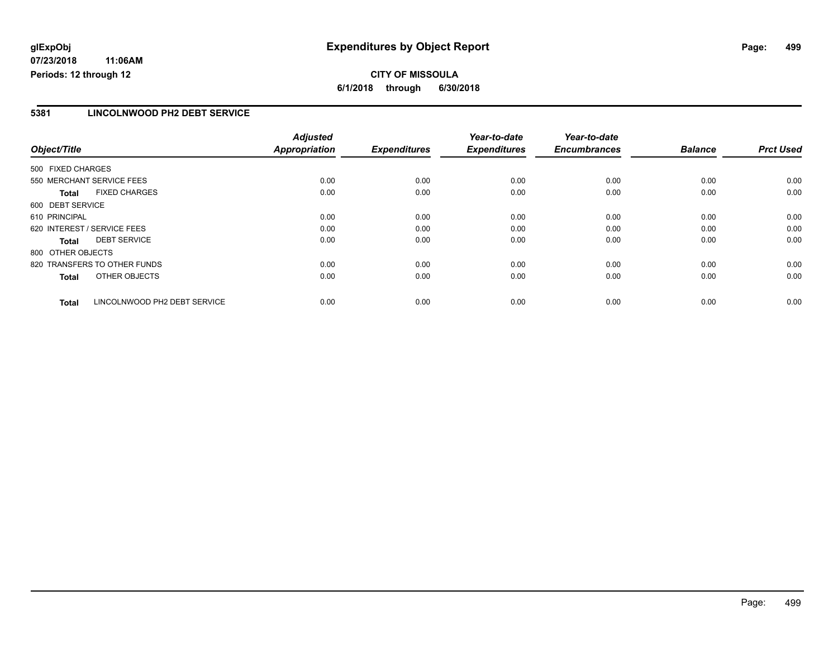**CITY OF MISSOULA 6/1/2018 through 6/30/2018**

### **5381 LINCOLNWOOD PH2 DEBT SERVICE**

|                   |                              | <b>Adjusted</b>      |                     | Year-to-date        | Year-to-date        |                |                  |
|-------------------|------------------------------|----------------------|---------------------|---------------------|---------------------|----------------|------------------|
| Object/Title      |                              | <b>Appropriation</b> | <b>Expenditures</b> | <b>Expenditures</b> | <b>Encumbrances</b> | <b>Balance</b> | <b>Prct Used</b> |
| 500 FIXED CHARGES |                              |                      |                     |                     |                     |                |                  |
|                   | 550 MERCHANT SERVICE FEES    | 0.00                 | 0.00                | 0.00                | 0.00                | 0.00           | 0.00             |
| <b>Total</b>      | <b>FIXED CHARGES</b>         | 0.00                 | 0.00                | 0.00                | 0.00                | 0.00           | 0.00             |
| 600 DEBT SERVICE  |                              |                      |                     |                     |                     |                |                  |
| 610 PRINCIPAL     |                              | 0.00                 | 0.00                | 0.00                | 0.00                | 0.00           | 0.00             |
|                   | 620 INTEREST / SERVICE FEES  | 0.00                 | 0.00                | 0.00                | 0.00                | 0.00           | 0.00             |
| Total             | <b>DEBT SERVICE</b>          | 0.00                 | 0.00                | 0.00                | 0.00                | 0.00           | 0.00             |
| 800 OTHER OBJECTS |                              |                      |                     |                     |                     |                |                  |
|                   | 820 TRANSFERS TO OTHER FUNDS | 0.00                 | 0.00                | 0.00                | 0.00                | 0.00           | 0.00             |
| <b>Total</b>      | OTHER OBJECTS                | 0.00                 | 0.00                | 0.00                | 0.00                | 0.00           | 0.00             |
| <b>Total</b>      | LINCOLNWOOD PH2 DEBT SERVICE | 0.00                 | 0.00                | 0.00                | 0.00                | 0.00           | 0.00             |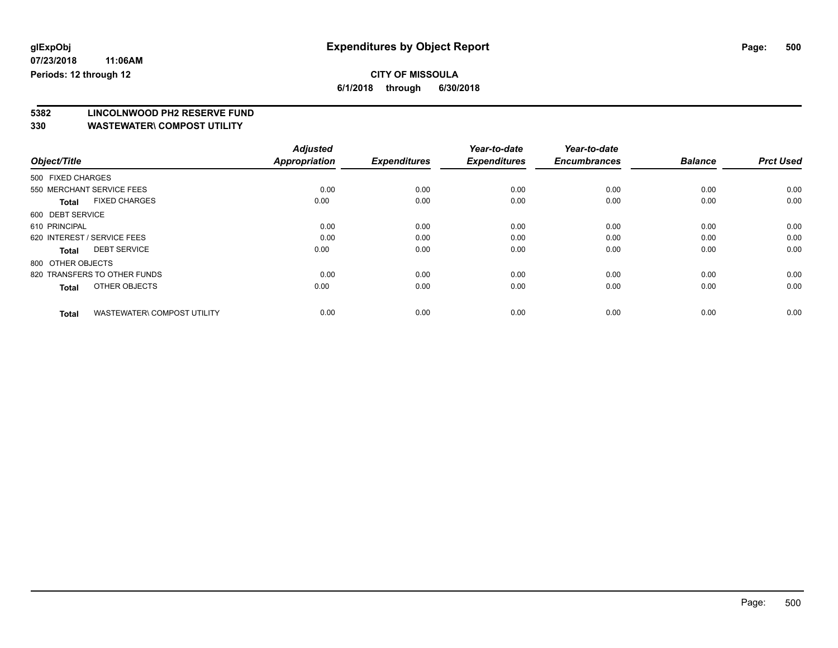#### **5382 LINCOLNWOOD PH2 RESERVE FUND**<br>330 WASTEWATER\ COMPOST UTILITY **330 WASTEWATER\ COMPOST UTILITY**

| Object/Title      |                                    | <b>Adjusted</b><br>Appropriation | <b>Expenditures</b> | Year-to-date<br><b>Expenditures</b> | Year-to-date<br><b>Encumbrances</b> | <b>Balance</b> | <b>Prct Used</b> |
|-------------------|------------------------------------|----------------------------------|---------------------|-------------------------------------|-------------------------------------|----------------|------------------|
|                   |                                    |                                  |                     |                                     |                                     |                |                  |
| 500 FIXED CHARGES |                                    |                                  |                     |                                     |                                     |                |                  |
|                   | 550 MERCHANT SERVICE FEES          | 0.00                             | 0.00                | 0.00                                | 0.00                                | 0.00           | 0.00             |
| <b>Total</b>      | <b>FIXED CHARGES</b>               | 0.00                             | 0.00                | 0.00                                | 0.00                                | 0.00           | 0.00             |
| 600 DEBT SERVICE  |                                    |                                  |                     |                                     |                                     |                |                  |
| 610 PRINCIPAL     |                                    | 0.00                             | 0.00                | 0.00                                | 0.00                                | 0.00           | 0.00             |
|                   | 620 INTEREST / SERVICE FEES        | 0.00                             | 0.00                | 0.00                                | 0.00                                | 0.00           | 0.00             |
| <b>Total</b>      | <b>DEBT SERVICE</b>                | 0.00                             | 0.00                | 0.00                                | 0.00                                | 0.00           | 0.00             |
| 800 OTHER OBJECTS |                                    |                                  |                     |                                     |                                     |                |                  |
|                   | 820 TRANSFERS TO OTHER FUNDS       | 0.00                             | 0.00                | 0.00                                | 0.00                                | 0.00           | 0.00             |
| <b>Total</b>      | OTHER OBJECTS                      | 0.00                             | 0.00                | 0.00                                | 0.00                                | 0.00           | 0.00             |
| <b>Total</b>      | <b>WASTEWATER\ COMPOST UTILITY</b> | 0.00                             | 0.00                | 0.00                                | 0.00                                | 0.00           | 0.00             |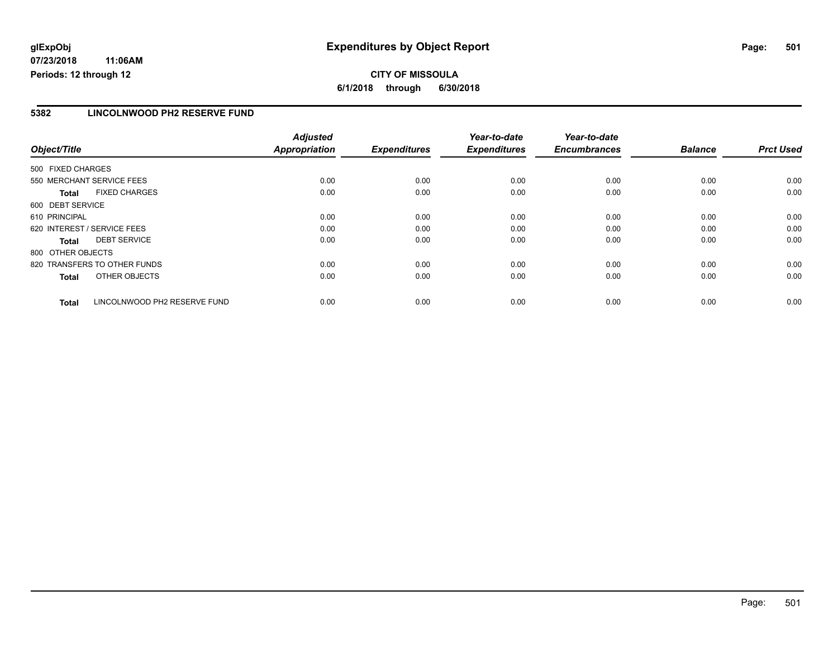# **CITY OF MISSOULA 6/1/2018 through 6/30/2018**

### **5382 LINCOLNWOOD PH2 RESERVE FUND**

|                   |                              | <b>Adjusted</b>      |                     | Year-to-date        | Year-to-date        |                |                  |
|-------------------|------------------------------|----------------------|---------------------|---------------------|---------------------|----------------|------------------|
| Object/Title      |                              | <b>Appropriation</b> | <b>Expenditures</b> | <b>Expenditures</b> | <b>Encumbrances</b> | <b>Balance</b> | <b>Prct Used</b> |
| 500 FIXED CHARGES |                              |                      |                     |                     |                     |                |                  |
|                   | 550 MERCHANT SERVICE FEES    | 0.00                 | 0.00                | 0.00                | 0.00                | 0.00           | 0.00             |
| <b>Total</b>      | <b>FIXED CHARGES</b>         | 0.00                 | 0.00                | 0.00                | 0.00                | 0.00           | 0.00             |
| 600 DEBT SERVICE  |                              |                      |                     |                     |                     |                |                  |
| 610 PRINCIPAL     |                              | 0.00                 | 0.00                | 0.00                | 0.00                | 0.00           | 0.00             |
|                   | 620 INTEREST / SERVICE FEES  | 0.00                 | 0.00                | 0.00                | 0.00                | 0.00           | 0.00             |
| <b>Total</b>      | <b>DEBT SERVICE</b>          | 0.00                 | 0.00                | 0.00                | 0.00                | 0.00           | 0.00             |
| 800 OTHER OBJECTS |                              |                      |                     |                     |                     |                |                  |
|                   | 820 TRANSFERS TO OTHER FUNDS | 0.00                 | 0.00                | 0.00                | 0.00                | 0.00           | 0.00             |
| <b>Total</b>      | OTHER OBJECTS                | 0.00                 | 0.00                | 0.00                | 0.00                | 0.00           | 0.00             |
| <b>Total</b>      | LINCOLNWOOD PH2 RESERVE FUND | 0.00                 | 0.00                | 0.00                | 0.00                | 0.00           | 0.00             |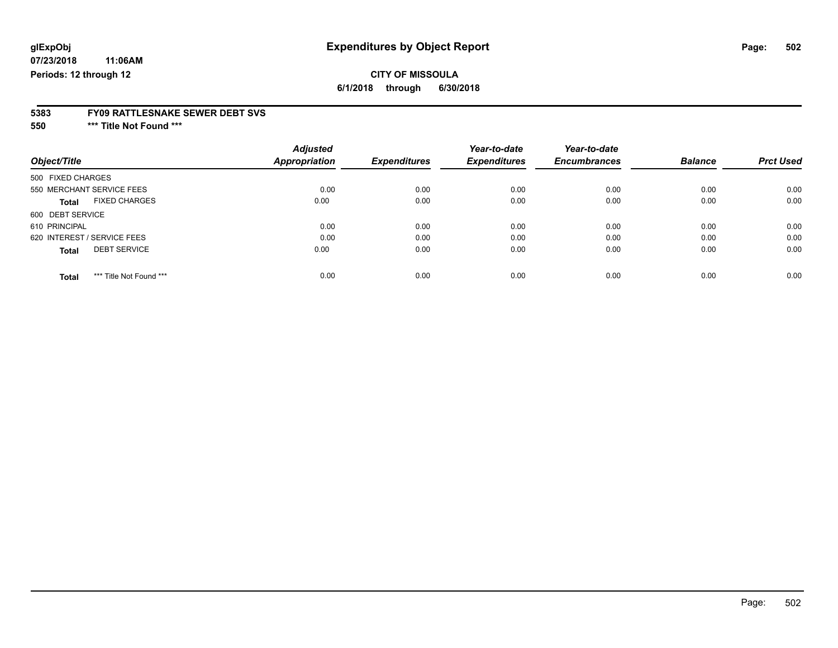### **CITY OF MISSOULA 6/1/2018 through 6/30/2018**

#### **5383 FY09 RATTLESNAKE SEWER DEBT SVS**

**550 \*\*\* Title Not Found \*\*\***

|                                         | <b>Adjusted</b> |                     | Year-to-date        | Year-to-date<br><b>Encumbrances</b> |                | <b>Prct Used</b> |
|-----------------------------------------|-----------------|---------------------|---------------------|-------------------------------------|----------------|------------------|
| Object/Title                            | Appropriation   | <b>Expenditures</b> | <b>Expenditures</b> |                                     | <b>Balance</b> |                  |
| 500 FIXED CHARGES                       |                 |                     |                     |                                     |                |                  |
| 550 MERCHANT SERVICE FEES               | 0.00            | 0.00                | 0.00                | 0.00                                | 0.00           | 0.00             |
| <b>FIXED CHARGES</b><br><b>Total</b>    | 0.00            | 0.00                | 0.00                | 0.00                                | 0.00           | 0.00             |
| 600 DEBT SERVICE                        |                 |                     |                     |                                     |                |                  |
| 610 PRINCIPAL                           | 0.00            | 0.00                | 0.00                | 0.00                                | 0.00           | 0.00             |
| 620 INTEREST / SERVICE FEES             | 0.00            | 0.00                | 0.00                | 0.00                                | 0.00           | 0.00             |
| <b>DEBT SERVICE</b><br><b>Total</b>     | 0.00            | 0.00                | 0.00                | 0.00                                | 0.00           | 0.00             |
| *** Title Not Found ***<br><b>Total</b> | 0.00            | 0.00                | 0.00                | 0.00                                | 0.00           | 0.00             |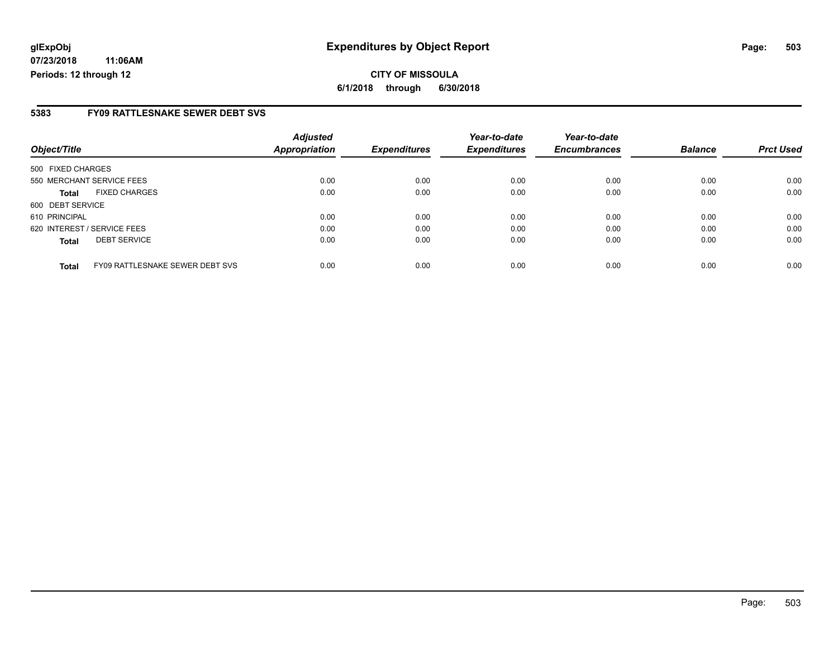# **CITY OF MISSOULA 6/1/2018 through 6/30/2018**

### **5383 FY09 RATTLESNAKE SEWER DEBT SVS**

| Object/Title                                    | <b>Adjusted</b><br>Appropriation | <b>Expenditures</b> | Year-to-date<br><b>Expenditures</b> | Year-to-date<br><b>Encumbrances</b> | <b>Balance</b> | <b>Prct Used</b> |
|-------------------------------------------------|----------------------------------|---------------------|-------------------------------------|-------------------------------------|----------------|------------------|
| 500 FIXED CHARGES                               |                                  |                     |                                     |                                     |                |                  |
| 550 MERCHANT SERVICE FEES                       | 0.00                             | 0.00                | 0.00                                | 0.00                                | 0.00           | 0.00             |
| <b>FIXED CHARGES</b><br><b>Total</b>            | 0.00                             | 0.00                | 0.00                                | 0.00                                | 0.00           | 0.00             |
| 600 DEBT SERVICE                                |                                  |                     |                                     |                                     |                |                  |
| 610 PRINCIPAL                                   | 0.00                             | 0.00                | 0.00                                | 0.00                                | 0.00           | 0.00             |
| 620 INTEREST / SERVICE FEES                     | 0.00                             | 0.00                | 0.00                                | 0.00                                | 0.00           | 0.00             |
| <b>DEBT SERVICE</b><br><b>Total</b>             | 0.00                             | 0.00                | 0.00                                | 0.00                                | 0.00           | 0.00             |
| FY09 RATTLESNAKE SEWER DEBT SVS<br><b>Total</b> | 0.00                             | 0.00                | 0.00                                | 0.00                                | 0.00           | 0.00             |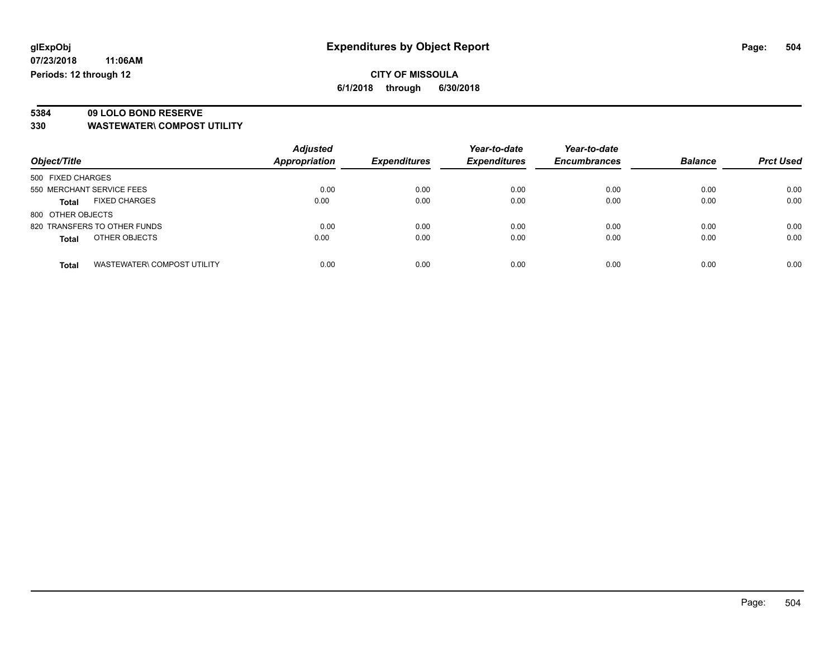# **CITY OF MISSOULA 6/1/2018 through 6/30/2018**

# **5384 09 LOLO BOND RESERVE**

| Object/Title                                | <b>Adjusted</b><br><b>Appropriation</b> | <b>Expenditures</b> | Year-to-date<br><b>Expenditures</b> | Year-to-date<br><b>Encumbrances</b> | <b>Balance</b> | <b>Prct Used</b> |
|---------------------------------------------|-----------------------------------------|---------------------|-------------------------------------|-------------------------------------|----------------|------------------|
|                                             |                                         |                     |                                     |                                     |                |                  |
| 500 FIXED CHARGES                           |                                         |                     |                                     |                                     |                |                  |
| 550 MERCHANT SERVICE FEES                   | 0.00                                    | 0.00                | 0.00                                | 0.00                                | 0.00           | 0.00             |
| <b>FIXED CHARGES</b><br><b>Total</b>        | 0.00                                    | 0.00                | 0.00                                | 0.00                                | 0.00           | 0.00             |
| 800 OTHER OBJECTS                           |                                         |                     |                                     |                                     |                |                  |
| 820 TRANSFERS TO OTHER FUNDS                | 0.00                                    | 0.00                | 0.00                                | 0.00                                | 0.00           | 0.00             |
| OTHER OBJECTS<br><b>Total</b>               | 0.00                                    | 0.00                | 0.00                                | 0.00                                | 0.00           | 0.00             |
|                                             |                                         |                     |                                     |                                     |                |                  |
| <b>WASTEWATER\ COMPOST UTILITY</b><br>Total | 0.00                                    | 0.00                | 0.00                                | 0.00                                | 0.00           | 0.00             |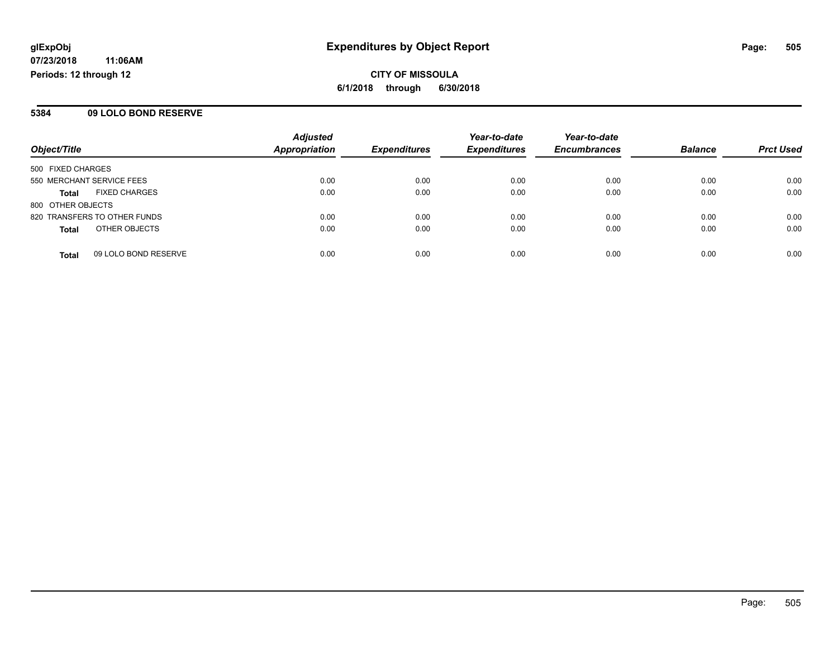### **5384 09 LOLO BOND RESERVE**

| Object/Title              |                              | <b>Adjusted</b>      | <b>Expenditures</b> | Year-to-date<br><b>Expenditures</b> | Year-to-date<br><b>Encumbrances</b> | <b>Balance</b> |                  |
|---------------------------|------------------------------|----------------------|---------------------|-------------------------------------|-------------------------------------|----------------|------------------|
|                           |                              | <b>Appropriation</b> |                     |                                     |                                     |                | <b>Prct Used</b> |
| 500 FIXED CHARGES         |                              |                      |                     |                                     |                                     |                |                  |
| 550 MERCHANT SERVICE FEES |                              | 0.00                 | 0.00                | 0.00                                | 0.00                                | 0.00           | 0.00             |
| <b>Total</b>              | <b>FIXED CHARGES</b>         | 0.00                 | 0.00                | 0.00                                | 0.00                                | 0.00           | 0.00             |
| 800 OTHER OBJECTS         |                              |                      |                     |                                     |                                     |                |                  |
|                           | 820 TRANSFERS TO OTHER FUNDS | 0.00                 | 0.00                | 0.00                                | 0.00                                | 0.00           | 0.00             |
| <b>Total</b>              | OTHER OBJECTS                | 0.00                 | 0.00                | 0.00                                | 0.00                                | 0.00           | 0.00             |
| <b>Total</b>              | 09 LOLO BOND RESERVE         | 0.00                 | 0.00                | 0.00                                | 0.00                                | 0.00           | 0.00             |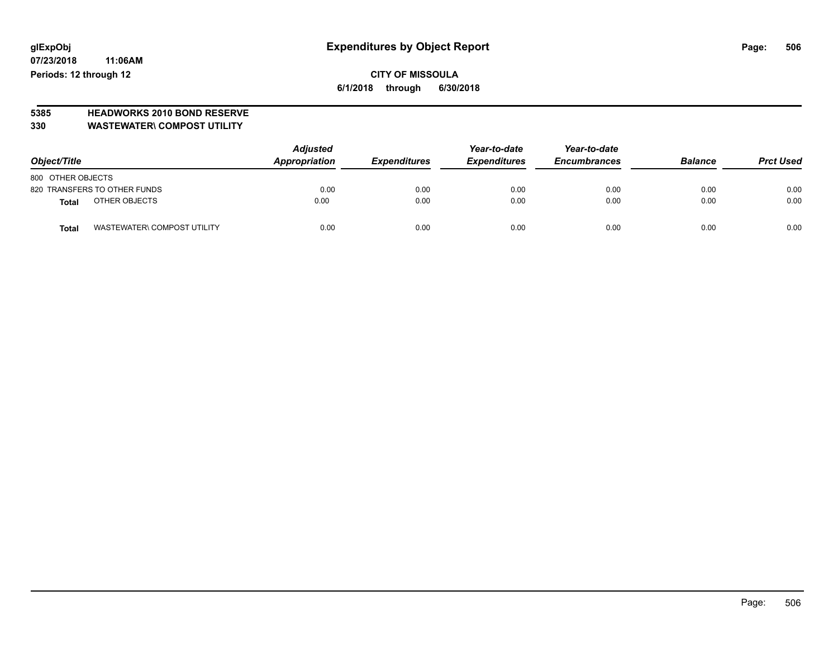# **5385 HEADWORKS 2010 BOND RESERVE**

# **330 WASTEWATER\ COMPOST UTILITY**

| Object/Title                                | <b>Adjusted</b><br>Appropriation | <b>Expenditures</b> | Year-to-date<br><b>Expenditures</b> | Year-to-date<br><b>Encumbrances</b> | <b>Balance</b> | <b>Prct Used</b> |
|---------------------------------------------|----------------------------------|---------------------|-------------------------------------|-------------------------------------|----------------|------------------|
| 800 OTHER OBJECTS                           |                                  |                     |                                     |                                     |                |                  |
| 820 TRANSFERS TO OTHER FUNDS                | 0.00                             | 0.00                | 0.00                                | 0.00                                | 0.00           | 0.00             |
| OTHER OBJECTS<br><b>Total</b>               | 0.00                             | 0.00                | 0.00                                | 0.00                                | 0.00           | 0.00             |
| WASTEWATER\ COMPOST UTILITY<br><b>Total</b> | 0.00                             | 0.00                | 0.00                                | 0.00                                | 0.00           | 0.00             |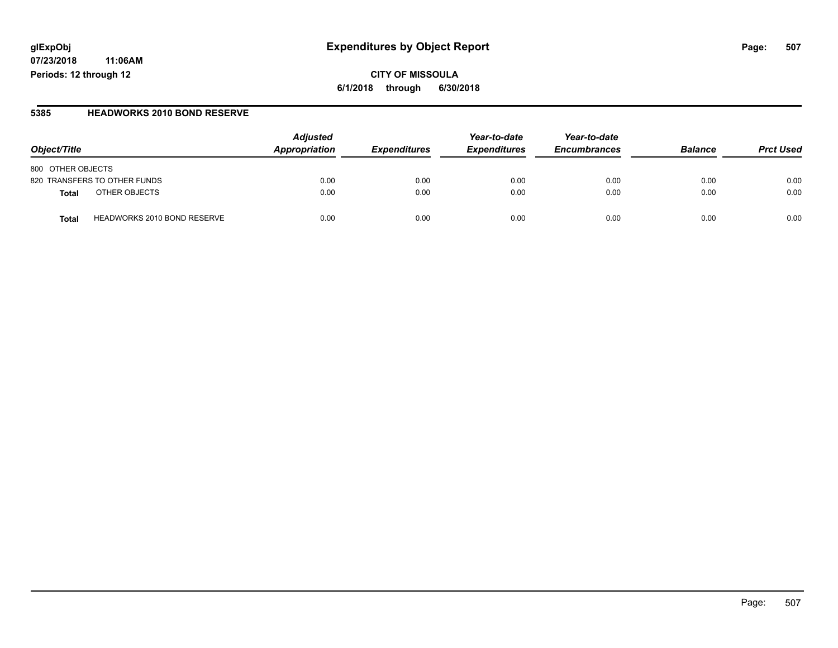# **glExpObj Expenditures by Object Report Page: 507**

**07/23/2018 11:06AM Periods: 12 through 12**

**CITY OF MISSOULA 6/1/2018 through 6/30/2018**

### **5385 HEADWORKS 2010 BOND RESERVE**

| Object/Title                                | <b>Adjusted</b><br>Appropriation | <b>Expenditures</b> | Year-to-date<br><b>Expenditures</b> | Year-to-date<br><b>Encumbrances</b> | <b>Balance</b> | <b>Prct Used</b> |
|---------------------------------------------|----------------------------------|---------------------|-------------------------------------|-------------------------------------|----------------|------------------|
| 800 OTHER OBJECTS                           |                                  |                     |                                     |                                     |                |                  |
| 820 TRANSFERS TO OTHER FUNDS                | 0.00                             | 0.00                | 0.00                                | 0.00                                | 0.00           | 0.00             |
| OTHER OBJECTS<br>Total                      | 0.00                             | 0.00                | 0.00                                | 0.00                                | 0.00           | 0.00             |
| <b>HEADWORKS 2010 BOND RESERVE</b><br>Total | 0.00                             | 0.00                | 0.00                                | 0.00                                | 0.00           | 0.00             |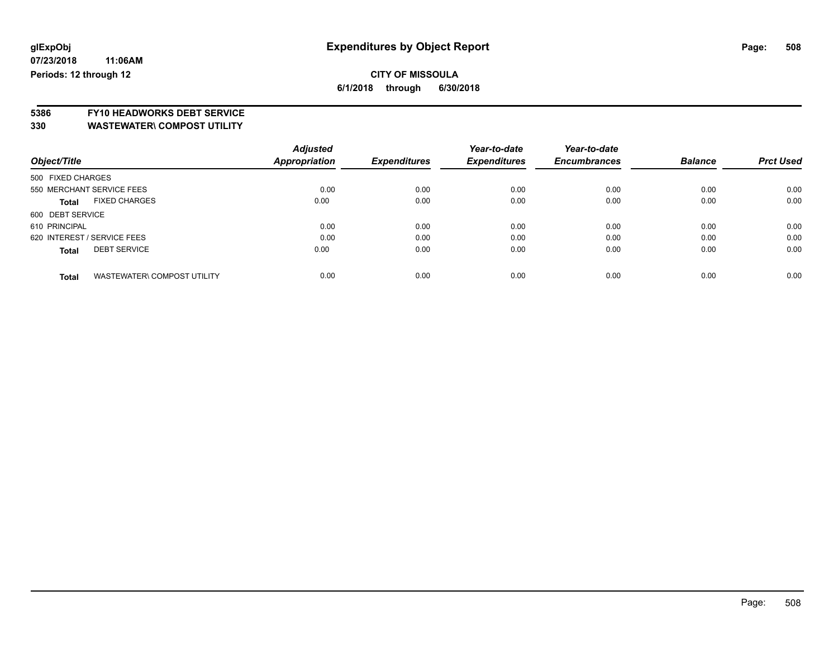**5386 FY10 HEADWORKS DEBT SERVICE 330 WASTEWATER\ COMPOST UTILITY**

| Object/Title      |                                    | <b>Adjusted</b><br>Appropriation | <b>Expenditures</b> | Year-to-date<br><b>Expenditures</b> | Year-to-date<br><b>Encumbrances</b> | <b>Balance</b> | <b>Prct Used</b> |
|-------------------|------------------------------------|----------------------------------|---------------------|-------------------------------------|-------------------------------------|----------------|------------------|
| 500 FIXED CHARGES |                                    |                                  |                     |                                     |                                     |                |                  |
|                   | 550 MERCHANT SERVICE FEES          | 0.00                             | 0.00                | 0.00                                | 0.00                                | 0.00           | 0.00             |
| <b>Total</b>      | <b>FIXED CHARGES</b>               | 0.00                             | 0.00                | 0.00                                | 0.00                                | 0.00           | 0.00             |
| 600 DEBT SERVICE  |                                    |                                  |                     |                                     |                                     |                |                  |
| 610 PRINCIPAL     |                                    | 0.00                             | 0.00                | 0.00                                | 0.00                                | 0.00           | 0.00             |
|                   | 620 INTEREST / SERVICE FEES        | 0.00                             | 0.00                | 0.00                                | 0.00                                | 0.00           | 0.00             |
| <b>Total</b>      | <b>DEBT SERVICE</b>                | 0.00                             | 0.00                | 0.00                                | 0.00                                | 0.00           | 0.00             |
| <b>Total</b>      | <b>WASTEWATER\ COMPOST UTILITY</b> | 0.00                             | 0.00                | 0.00                                | 0.00                                | 0.00           | 0.00             |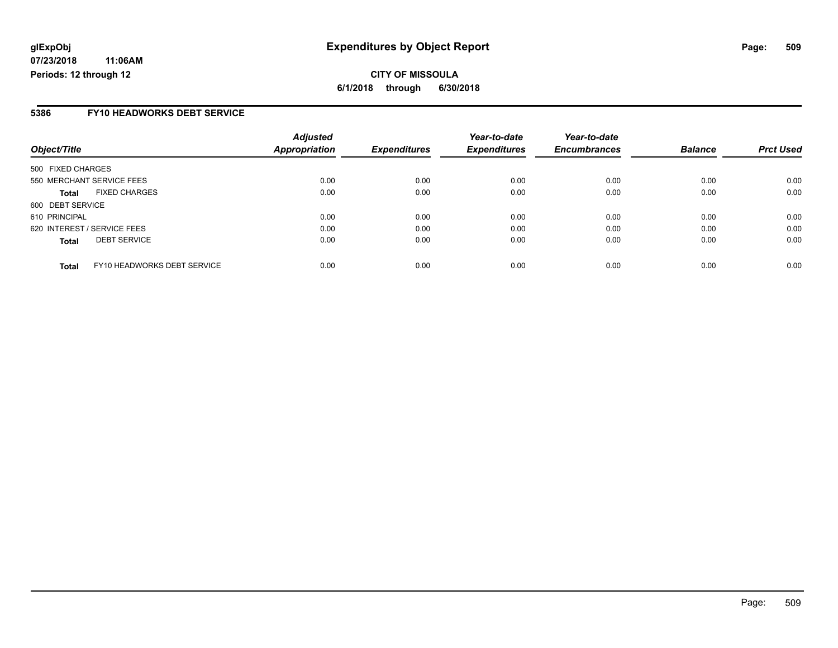# **CITY OF MISSOULA 6/1/2018 through 6/30/2018**

### **5386 FY10 HEADWORKS DEBT SERVICE**

| Object/Title                |                             | <b>Adjusted</b><br><b>Appropriation</b> | <b>Expenditures</b> | Year-to-date<br><b>Expenditures</b> | Year-to-date<br><b>Encumbrances</b> | <b>Balance</b> | <b>Prct Used</b> |
|-----------------------------|-----------------------------|-----------------------------------------|---------------------|-------------------------------------|-------------------------------------|----------------|------------------|
|                             |                             |                                         |                     |                                     |                                     |                |                  |
| 500 FIXED CHARGES           |                             |                                         |                     |                                     |                                     |                |                  |
| 550 MERCHANT SERVICE FEES   |                             | 0.00                                    | 0.00                | 0.00                                | 0.00                                | 0.00           | 0.00             |
| <b>Total</b>                | <b>FIXED CHARGES</b>        | 0.00                                    | 0.00                | 0.00                                | 0.00                                | 0.00           | 0.00             |
| 600 DEBT SERVICE            |                             |                                         |                     |                                     |                                     |                |                  |
| 610 PRINCIPAL               |                             | 0.00                                    | 0.00                | 0.00                                | 0.00                                | 0.00           | 0.00             |
| 620 INTEREST / SERVICE FEES |                             | 0.00                                    | 0.00                | 0.00                                | 0.00                                | 0.00           | 0.00             |
| <b>Total</b>                | <b>DEBT SERVICE</b>         | 0.00                                    | 0.00                | 0.00                                | 0.00                                | 0.00           | 0.00             |
| <b>Total</b>                | FY10 HEADWORKS DEBT SERVICE | 0.00                                    | 0.00                | 0.00                                | 0.00                                | 0.00           | 0.00             |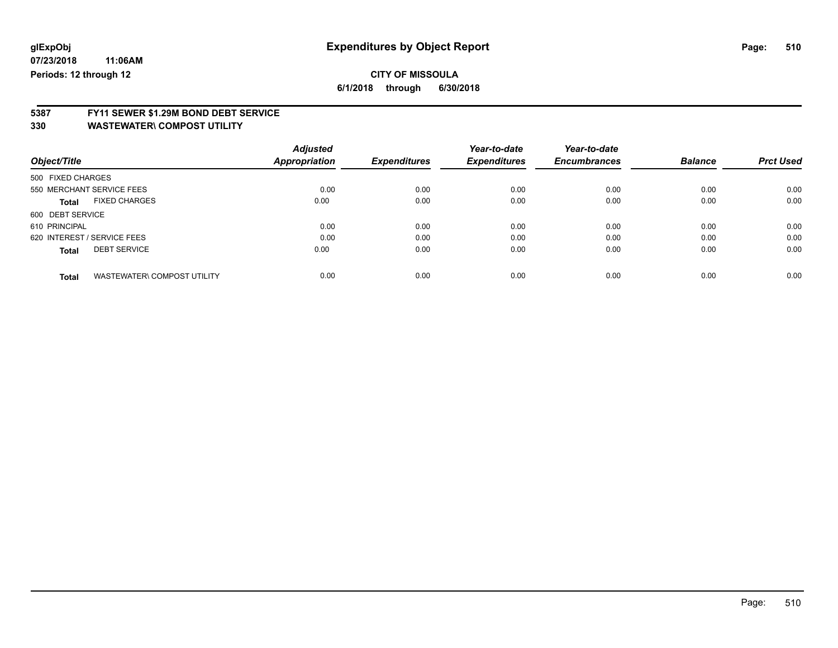# **5387 FY11 SEWER \$1.29M BOND DEBT SERVICE**

**330 WASTEWATER\ COMPOST UTILITY**

| Object/Title                        |                                    | <b>Adjusted</b><br>Appropriation | <b>Expenditures</b> | Year-to-date<br><b>Expenditures</b> | Year-to-date<br><b>Encumbrances</b> | <b>Balance</b> | <b>Prct Used</b> |
|-------------------------------------|------------------------------------|----------------------------------|---------------------|-------------------------------------|-------------------------------------|----------------|------------------|
| 500 FIXED CHARGES                   |                                    |                                  |                     |                                     |                                     |                |                  |
| 550 MERCHANT SERVICE FEES           |                                    | 0.00                             | 0.00                | 0.00                                | 0.00                                | 0.00           | 0.00             |
| <b>FIXED CHARGES</b><br>Total       |                                    | 0.00                             | 0.00                | 0.00                                | 0.00                                | 0.00           | 0.00             |
| 600 DEBT SERVICE                    |                                    |                                  |                     |                                     |                                     |                |                  |
| 610 PRINCIPAL                       |                                    | 0.00                             | 0.00                | 0.00                                | 0.00                                | 0.00           | 0.00             |
| 620 INTEREST / SERVICE FEES         |                                    | 0.00                             | 0.00                | 0.00                                | 0.00                                | 0.00           | 0.00             |
| <b>DEBT SERVICE</b><br><b>Total</b> |                                    | 0.00                             | 0.00                | 0.00                                | 0.00                                | 0.00           | 0.00             |
| <b>Total</b>                        | <b>WASTEWATER\ COMPOST UTILITY</b> | 0.00                             | 0.00                | 0.00                                | 0.00                                | 0.00           | 0.00             |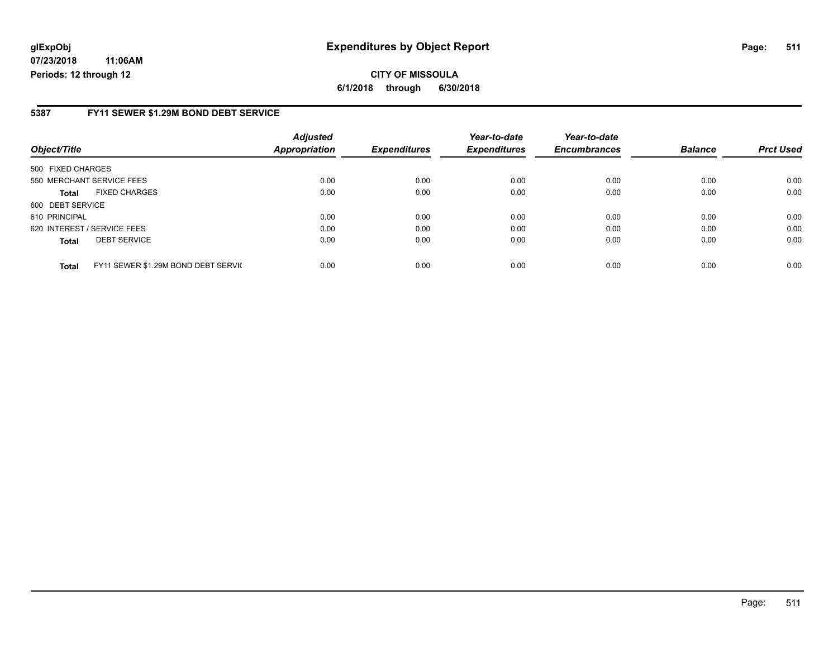**CITY OF MISSOULA 6/1/2018 through 6/30/2018**

### **5387 FY11 SEWER \$1.29M BOND DEBT SERVICE**

| Object/Title                |                                     | <b>Adjusted</b><br><b>Appropriation</b> | <b>Expenditures</b> | Year-to-date<br><b>Expenditures</b> | Year-to-date<br><b>Encumbrances</b> | <b>Balance</b> | <b>Prct Used</b> |
|-----------------------------|-------------------------------------|-----------------------------------------|---------------------|-------------------------------------|-------------------------------------|----------------|------------------|
| 500 FIXED CHARGES           |                                     |                                         |                     |                                     |                                     |                |                  |
| 550 MERCHANT SERVICE FEES   |                                     | 0.00                                    | 0.00                | 0.00                                | 0.00                                | 0.00           | 0.00             |
| Total                       | <b>FIXED CHARGES</b>                | 0.00                                    | 0.00                | 0.00                                | 0.00                                | 0.00           | 0.00             |
| 600 DEBT SERVICE            |                                     |                                         |                     |                                     |                                     |                |                  |
| 610 PRINCIPAL               |                                     | 0.00                                    | 0.00                | 0.00                                | 0.00                                | 0.00           | 0.00             |
| 620 INTEREST / SERVICE FEES |                                     | 0.00                                    | 0.00                | 0.00                                | 0.00                                | 0.00           | 0.00             |
| <b>Total</b>                | <b>DEBT SERVICE</b>                 | 0.00                                    | 0.00                | 0.00                                | 0.00                                | 0.00           | 0.00             |
| <b>Total</b>                | FY11 SEWER \$1.29M BOND DEBT SERVIC | 0.00                                    | 0.00                | 0.00                                | 0.00                                | 0.00           | 0.00             |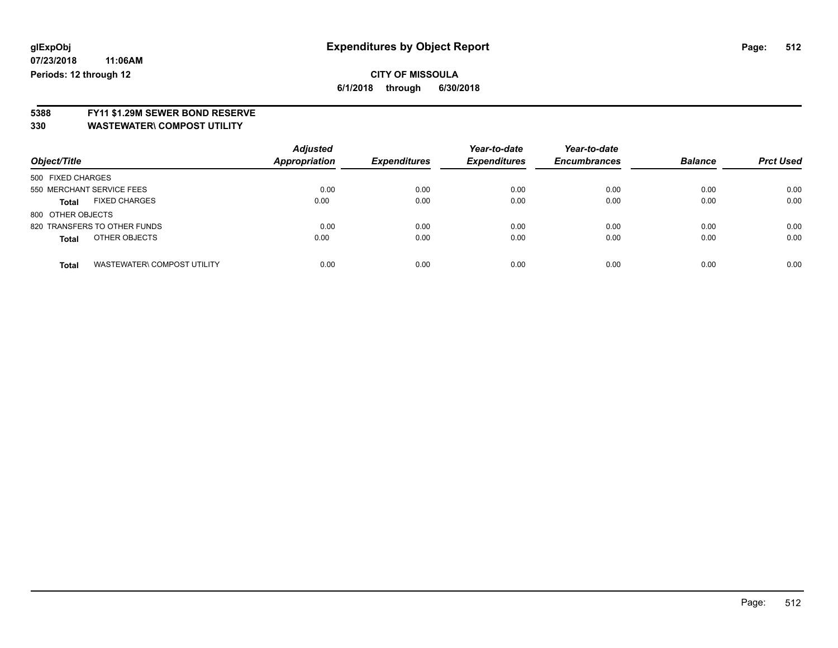## **CITY OF MISSOULA 6/1/2018 through 6/30/2018**

# **5388 FY11 \$1.29M SEWER BOND RESERVE**

### **330 WASTEWATER\ COMPOST UTILITY**

| Object/Title                                       | <b>Adjusted</b><br>Appropriation | <b>Expenditures</b> | Year-to-date<br><b>Expenditures</b> | Year-to-date<br><b>Encumbrances</b> | <b>Balance</b> | <b>Prct Used</b> |
|----------------------------------------------------|----------------------------------|---------------------|-------------------------------------|-------------------------------------|----------------|------------------|
| 500 FIXED CHARGES                                  |                                  |                     |                                     |                                     |                |                  |
| 550 MERCHANT SERVICE FEES                          | 0.00                             | 0.00                | 0.00                                | 0.00                                | 0.00           | 0.00             |
| <b>FIXED CHARGES</b><br><b>Total</b>               | 0.00                             | 0.00                | 0.00                                | 0.00                                | 0.00           | 0.00             |
| 800 OTHER OBJECTS                                  |                                  |                     |                                     |                                     |                |                  |
| 820 TRANSFERS TO OTHER FUNDS                       | 0.00                             | 0.00                | 0.00                                | 0.00                                | 0.00           | 0.00             |
| OTHER OBJECTS<br><b>Total</b>                      | 0.00                             | 0.00                | 0.00                                | 0.00                                | 0.00           | 0.00             |
| <b>WASTEWATER\ COMPOST UTILITY</b><br><b>Total</b> | 0.00                             | 0.00                | 0.00                                | 0.00                                | 0.00           | 0.00             |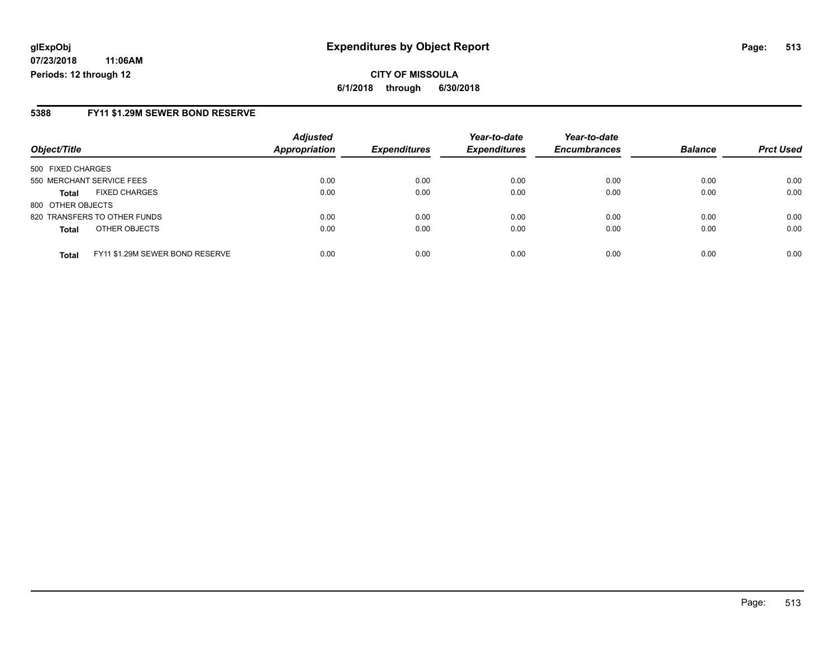**CITY OF MISSOULA 6/1/2018 through 6/30/2018**

### **5388 FY11 \$1.29M SEWER BOND RESERVE**

|                                                 | <b>Adjusted</b><br>Appropriation | <b>Expenditures</b> | Year-to-date<br><b>Expenditures</b> | Year-to-date        | <b>Balance</b> |                  |
|-------------------------------------------------|----------------------------------|---------------------|-------------------------------------|---------------------|----------------|------------------|
| Object/Title                                    |                                  |                     |                                     | <b>Encumbrances</b> |                | <b>Prct Used</b> |
| 500 FIXED CHARGES                               |                                  |                     |                                     |                     |                |                  |
| 550 MERCHANT SERVICE FEES                       | 0.00                             | 0.00                | 0.00                                | 0.00                | 0.00           | 0.00             |
| <b>FIXED CHARGES</b><br><b>Total</b>            | 0.00                             | 0.00                | 0.00                                | 0.00                | 0.00           | 0.00             |
| 800 OTHER OBJECTS                               |                                  |                     |                                     |                     |                |                  |
| 820 TRANSFERS TO OTHER FUNDS                    | 0.00                             | 0.00                | 0.00                                | 0.00                | 0.00           | 0.00             |
| OTHER OBJECTS<br><b>Total</b>                   | 0.00                             | 0.00                | 0.00                                | 0.00                | 0.00           | 0.00             |
| FY11 \$1.29M SEWER BOND RESERVE<br><b>Total</b> | 0.00                             | 0.00                | 0.00                                | 0.00                | 0.00           | 0.00             |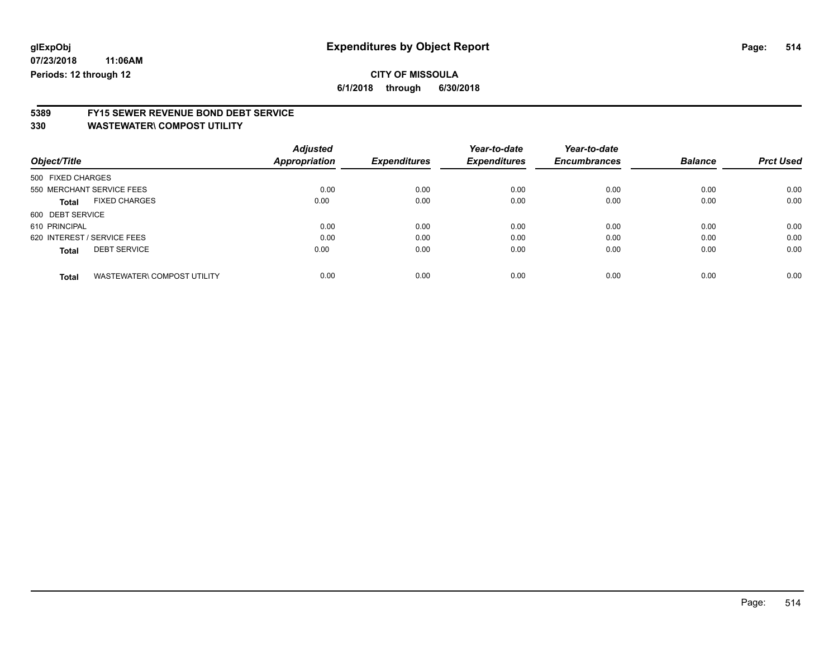## **CITY OF MISSOULA 6/1/2018 through 6/30/2018**

# **5389 FY15 SEWER REVENUE BOND DEBT SERVICE**

### **330 WASTEWATER\ COMPOST UTILITY**

| Object/Title      |                                    | <b>Adjusted</b><br>Appropriation | <b>Expenditures</b> | Year-to-date<br><b>Expenditures</b> | Year-to-date<br><b>Encumbrances</b> | <b>Balance</b> | <b>Prct Used</b> |
|-------------------|------------------------------------|----------------------------------|---------------------|-------------------------------------|-------------------------------------|----------------|------------------|
| 500 FIXED CHARGES |                                    |                                  |                     |                                     |                                     |                |                  |
|                   | 550 MERCHANT SERVICE FEES          | 0.00                             | 0.00                | 0.00                                | 0.00                                | 0.00           | 0.00             |
| <b>Total</b>      | <b>FIXED CHARGES</b>               | 0.00                             | 0.00                | 0.00                                | 0.00                                | 0.00           | 0.00             |
| 600 DEBT SERVICE  |                                    |                                  |                     |                                     |                                     |                |                  |
| 610 PRINCIPAL     |                                    | 0.00                             | 0.00                | 0.00                                | 0.00                                | 0.00           | 0.00             |
|                   | 620 INTEREST / SERVICE FEES        | 0.00                             | 0.00                | 0.00                                | 0.00                                | 0.00           | 0.00             |
| <b>Total</b>      | <b>DEBT SERVICE</b>                | 0.00                             | 0.00                | 0.00                                | 0.00                                | 0.00           | 0.00             |
| <b>Total</b>      | <b>WASTEWATER\ COMPOST UTILITY</b> | 0.00                             | 0.00                | 0.00                                | 0.00                                | 0.00           | 0.00             |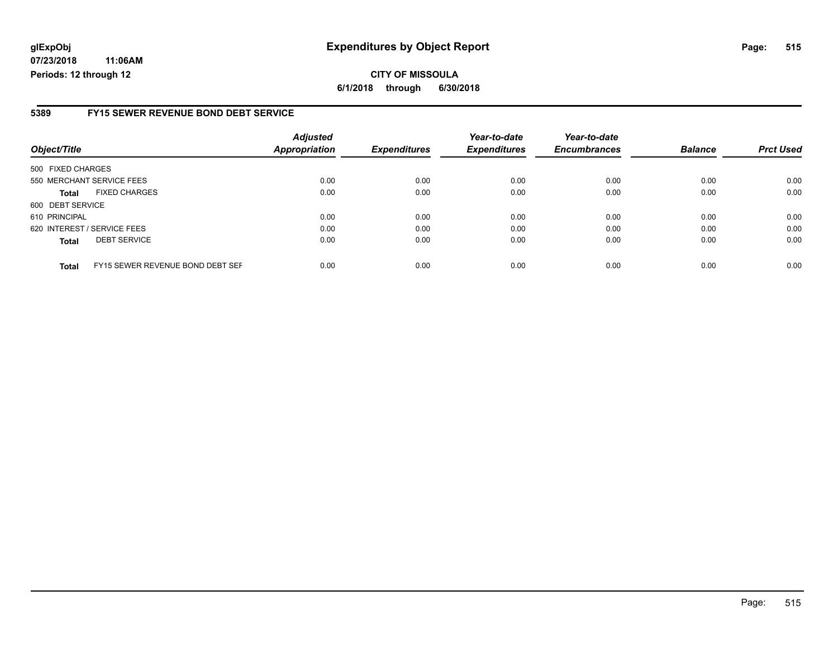## **glExpObj Expenditures by Object Report Page: 515**

**07/23/2018 11:06AM Periods: 12 through 12**

### **5389 FY15 SEWER REVENUE BOND DEBT SERVICE**

| Object/Title                                     | <b>Adjusted</b><br>Appropriation | <b>Expenditures</b> | Year-to-date<br><b>Expenditures</b> | Year-to-date<br><b>Encumbrances</b> | <b>Balance</b> | <b>Prct Used</b> |
|--------------------------------------------------|----------------------------------|---------------------|-------------------------------------|-------------------------------------|----------------|------------------|
| 500 FIXED CHARGES                                |                                  |                     |                                     |                                     |                |                  |
| 550 MERCHANT SERVICE FEES                        | 0.00                             | 0.00                | 0.00                                | 0.00                                | 0.00           | 0.00             |
| <b>FIXED CHARGES</b><br><b>Total</b>             | 0.00                             | 0.00                | 0.00                                | 0.00                                | 0.00           | 0.00             |
| 600 DEBT SERVICE                                 |                                  |                     |                                     |                                     |                |                  |
| 610 PRINCIPAL                                    | 0.00                             | 0.00                | 0.00                                | 0.00                                | 0.00           | 0.00             |
| 620 INTEREST / SERVICE FEES                      | 0.00                             | 0.00                | 0.00                                | 0.00                                | 0.00           | 0.00             |
| <b>DEBT SERVICE</b><br><b>Total</b>              | 0.00                             | 0.00                | 0.00                                | 0.00                                | 0.00           | 0.00             |
| FY15 SEWER REVENUE BOND DEBT SEF<br><b>Total</b> | 0.00                             | 0.00                | 0.00                                | 0.00                                | 0.00           | 0.00             |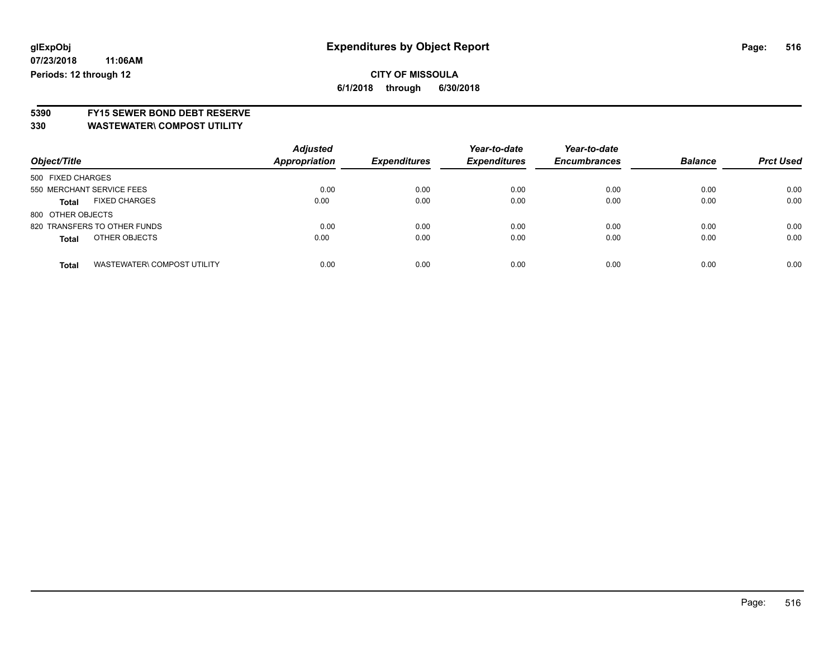# **CITY OF MISSOULA 6/1/2018 through 6/30/2018**

# **5390 FY15 SEWER BOND DEBT RESERVE**

**330 WASTEWATER\ COMPOST UTILITY**

| Object/Title                                       | <b>Adjusted</b><br><b>Appropriation</b> | <b>Expenditures</b> | Year-to-date<br><b>Expenditures</b> | Year-to-date<br><b>Encumbrances</b> | <b>Balance</b> | <b>Prct Used</b> |
|----------------------------------------------------|-----------------------------------------|---------------------|-------------------------------------|-------------------------------------|----------------|------------------|
| 500 FIXED CHARGES                                  |                                         |                     |                                     |                                     |                |                  |
| 550 MERCHANT SERVICE FEES                          | 0.00                                    | 0.00                | 0.00                                | 0.00                                | 0.00           | 0.00             |
| <b>FIXED CHARGES</b><br><b>Total</b>               | 0.00                                    | 0.00                | 0.00                                | 0.00                                | 0.00           | 0.00             |
| 800 OTHER OBJECTS                                  |                                         |                     |                                     |                                     |                |                  |
| 820 TRANSFERS TO OTHER FUNDS                       | 0.00                                    | 0.00                | 0.00                                | 0.00                                | 0.00           | 0.00             |
| OTHER OBJECTS<br><b>Total</b>                      | 0.00                                    | 0.00                | 0.00                                | 0.00                                | 0.00           | 0.00             |
| <b>WASTEWATER\ COMPOST UTILITY</b><br><b>Total</b> | 0.00                                    | 0.00                | 0.00                                | 0.00                                | 0.00           | 0.00             |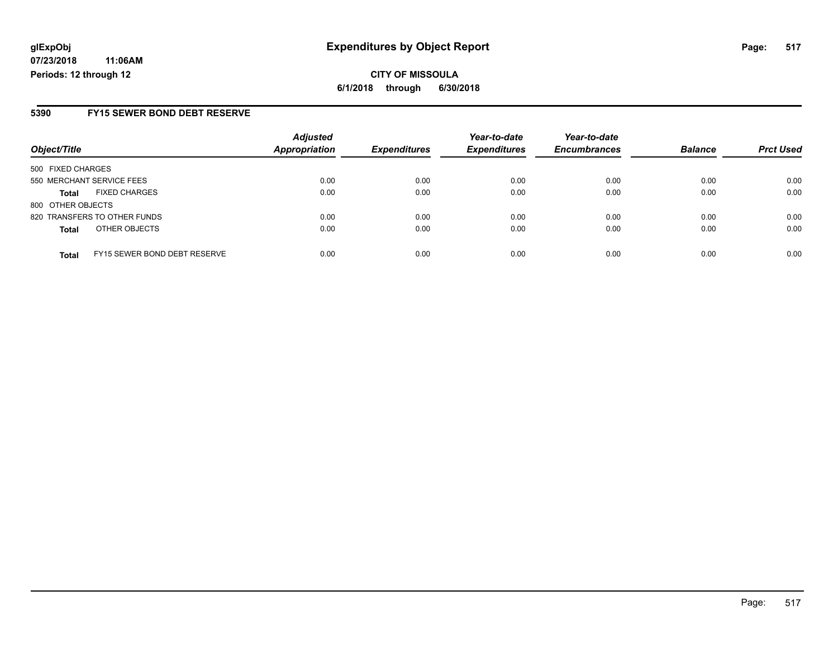**CITY OF MISSOULA 6/1/2018 through 6/30/2018**

### **5390 FY15 SEWER BOND DEBT RESERVE**

|                                              | <b>Adjusted</b>      |                     | Year-to-date        | Year-to-date        |                |                  |
|----------------------------------------------|----------------------|---------------------|---------------------|---------------------|----------------|------------------|
| Object/Title                                 | <b>Appropriation</b> | <b>Expenditures</b> | <b>Expenditures</b> | <b>Encumbrances</b> | <b>Balance</b> | <b>Prct Used</b> |
| 500 FIXED CHARGES                            |                      |                     |                     |                     |                |                  |
| 550 MERCHANT SERVICE FEES                    | 0.00                 | 0.00                | 0.00                | 0.00                | 0.00           | 0.00             |
| <b>FIXED CHARGES</b><br>Total                | 0.00                 | 0.00                | 0.00                | 0.00                | 0.00           | 0.00             |
| 800 OTHER OBJECTS                            |                      |                     |                     |                     |                |                  |
| 820 TRANSFERS TO OTHER FUNDS                 | 0.00                 | 0.00                | 0.00                | 0.00                | 0.00           | 0.00             |
| OTHER OBJECTS<br>Total                       | 0.00                 | 0.00                | 0.00                | 0.00                | 0.00           | 0.00             |
| FY15 SEWER BOND DEBT RESERVE<br><b>Total</b> | 0.00                 | 0.00                | 0.00                | 0.00                | 0.00           | 0.00             |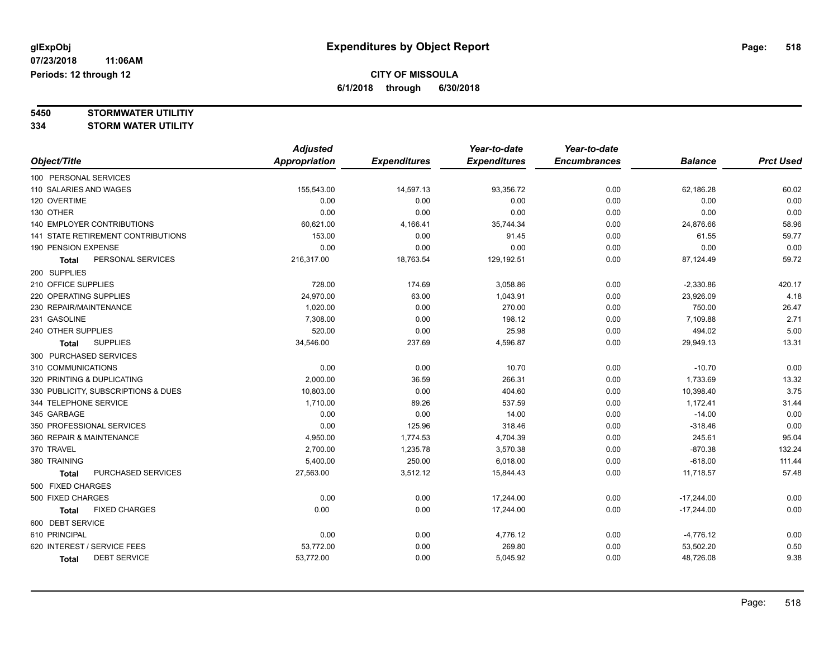# **5450 STORMWATER UTILITIY**

**334 STORM WATER UTILITY**

|                                           | <b>Adjusted</b> |                     | Year-to-date        | Year-to-date        |                |                  |
|-------------------------------------------|-----------------|---------------------|---------------------|---------------------|----------------|------------------|
| Object/Title                              | Appropriation   | <b>Expenditures</b> | <b>Expenditures</b> | <b>Encumbrances</b> | <b>Balance</b> | <b>Prct Used</b> |
| 100 PERSONAL SERVICES                     |                 |                     |                     |                     |                |                  |
| 110 SALARIES AND WAGES                    | 155,543.00      | 14,597.13           | 93,356.72           | 0.00                | 62,186.28      | 60.02            |
| 120 OVERTIME                              | 0.00            | 0.00                | 0.00                | 0.00                | 0.00           | 0.00             |
| 130 OTHER                                 | 0.00            | 0.00                | 0.00                | 0.00                | 0.00           | 0.00             |
| 140 EMPLOYER CONTRIBUTIONS                | 60,621.00       | 4,166.41            | 35,744.34           | 0.00                | 24,876.66      | 58.96            |
| <b>141 STATE RETIREMENT CONTRIBUTIONS</b> | 153.00          | 0.00                | 91.45               | 0.00                | 61.55          | 59.77            |
| 190 PENSION EXPENSE                       | 0.00            | 0.00                | 0.00                | 0.00                | 0.00           | 0.00             |
| PERSONAL SERVICES<br>Total                | 216,317.00      | 18,763.54           | 129,192.51          | 0.00                | 87,124.49      | 59.72            |
| 200 SUPPLIES                              |                 |                     |                     |                     |                |                  |
| 210 OFFICE SUPPLIES                       | 728.00          | 174.69              | 3,058.86            | 0.00                | $-2,330.86$    | 420.17           |
| 220 OPERATING SUPPLIES                    | 24,970.00       | 63.00               | 1,043.91            | 0.00                | 23,926.09      | 4.18             |
| 230 REPAIR/MAINTENANCE                    | 1,020.00        | 0.00                | 270.00              | 0.00                | 750.00         | 26.47            |
| 231 GASOLINE                              | 7,308.00        | 0.00                | 198.12              | 0.00                | 7,109.88       | 2.71             |
| 240 OTHER SUPPLIES                        | 520.00          | 0.00                | 25.98               | 0.00                | 494.02         | 5.00             |
| <b>SUPPLIES</b><br>Total                  | 34,546.00       | 237.69              | 4,596.87            | 0.00                | 29,949.13      | 13.31            |
| 300 PURCHASED SERVICES                    |                 |                     |                     |                     |                |                  |
| 310 COMMUNICATIONS                        | 0.00            | 0.00                | 10.70               | 0.00                | $-10.70$       | 0.00             |
| 320 PRINTING & DUPLICATING                | 2,000.00        | 36.59               | 266.31              | 0.00                | 1,733.69       | 13.32            |
| 330 PUBLICITY, SUBSCRIPTIONS & DUES       | 10,803.00       | 0.00                | 404.60              | 0.00                | 10,398.40      | 3.75             |
| 344 TELEPHONE SERVICE                     | 1,710.00        | 89.26               | 537.59              | 0.00                | 1,172.41       | 31.44            |
| 345 GARBAGE                               | 0.00            | 0.00                | 14.00               | 0.00                | $-14.00$       | 0.00             |
| 350 PROFESSIONAL SERVICES                 | 0.00            | 125.96              | 318.46              | 0.00                | $-318.46$      | 0.00             |
| 360 REPAIR & MAINTENANCE                  | 4,950.00        | 1,774.53            | 4,704.39            | 0.00                | 245.61         | 95.04            |
| 370 TRAVEL                                | 2,700.00        | 1,235.78            | 3,570.38            | 0.00                | $-870.38$      | 132.24           |
| 380 TRAINING                              | 5,400.00        | 250.00              | 6,018.00            | 0.00                | $-618.00$      | 111.44           |
| PURCHASED SERVICES<br><b>Total</b>        | 27,563.00       | 3,512.12            | 15,844.43           | 0.00                | 11,718.57      | 57.48            |
| 500 FIXED CHARGES                         |                 |                     |                     |                     |                |                  |
| 500 FIXED CHARGES                         | 0.00            | 0.00                | 17,244.00           | 0.00                | $-17,244.00$   | 0.00             |
| <b>FIXED CHARGES</b><br><b>Total</b>      | 0.00            | 0.00                | 17,244.00           | 0.00                | $-17,244.00$   | 0.00             |
| 600 DEBT SERVICE                          |                 |                     |                     |                     |                |                  |
| 610 PRINCIPAL                             | 0.00            | 0.00                | 4,776.12            | 0.00                | $-4,776.12$    | 0.00             |
| 620 INTEREST / SERVICE FEES               | 53,772.00       | 0.00                | 269.80              | 0.00                | 53,502.20      | 0.50             |
| <b>DEBT SERVICE</b><br><b>Total</b>       | 53,772.00       | 0.00                | 5,045.92            | 0.00                | 48,726.08      | 9.38             |
|                                           |                 |                     |                     |                     |                |                  |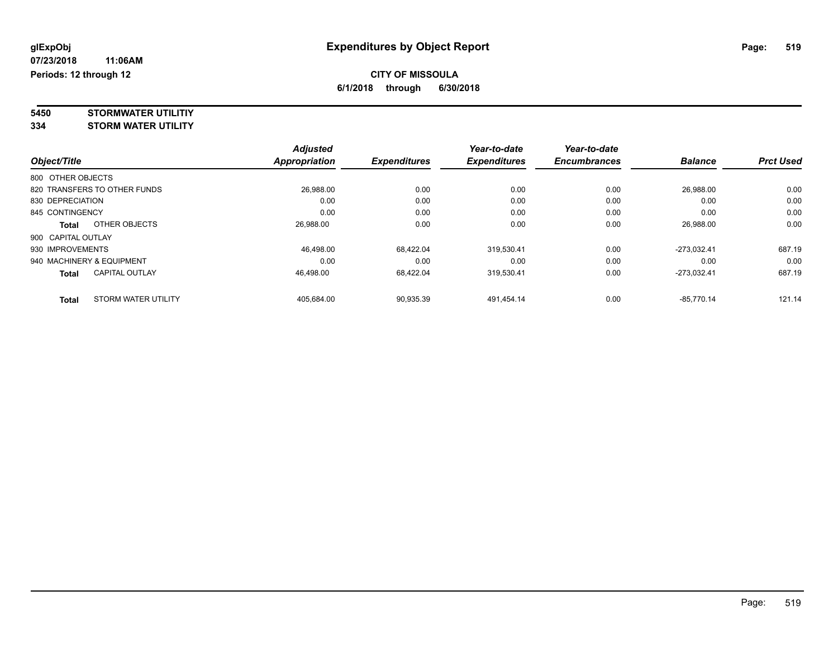# **5450 STORMWATER UTILITIY**

**334 STORM WATER UTILITY**

|                              |                            | <b>Adjusted</b> |                     | Year-to-date        | Year-to-date        |                |                  |
|------------------------------|----------------------------|-----------------|---------------------|---------------------|---------------------|----------------|------------------|
| Object/Title                 |                            | Appropriation   | <b>Expenditures</b> | <b>Expenditures</b> | <b>Encumbrances</b> | <b>Balance</b> | <b>Prct Used</b> |
| 800 OTHER OBJECTS            |                            |                 |                     |                     |                     |                |                  |
| 820 TRANSFERS TO OTHER FUNDS |                            | 26,988.00       | 0.00                | 0.00                | 0.00                | 26,988.00      | 0.00             |
| 830 DEPRECIATION             |                            | 0.00            | 0.00                | 0.00                | 0.00                | 0.00           | 0.00             |
| 845 CONTINGENCY              |                            | 0.00            | 0.00                | 0.00                | 0.00                | 0.00           | 0.00             |
| Total                        | OTHER OBJECTS              | 26,988.00       | 0.00                | 0.00                | 0.00                | 26,988.00      | 0.00             |
| 900 CAPITAL OUTLAY           |                            |                 |                     |                     |                     |                |                  |
| 930 IMPROVEMENTS             |                            | 46,498.00       | 68,422.04           | 319,530.41          | 0.00                | $-273.032.41$  | 687.19           |
| 940 MACHINERY & EQUIPMENT    |                            | 0.00            | 0.00                | 0.00                | 0.00                | 0.00           | 0.00             |
| <b>Total</b>                 | <b>CAPITAL OUTLAY</b>      | 46.498.00       | 68,422.04           | 319.530.41          | 0.00                | $-273.032.41$  | 687.19           |
| <b>Total</b>                 | <b>STORM WATER UTILITY</b> | 405.684.00      | 90,935.39           | 491.454.14          | 0.00                | $-85.770.14$   | 121.14           |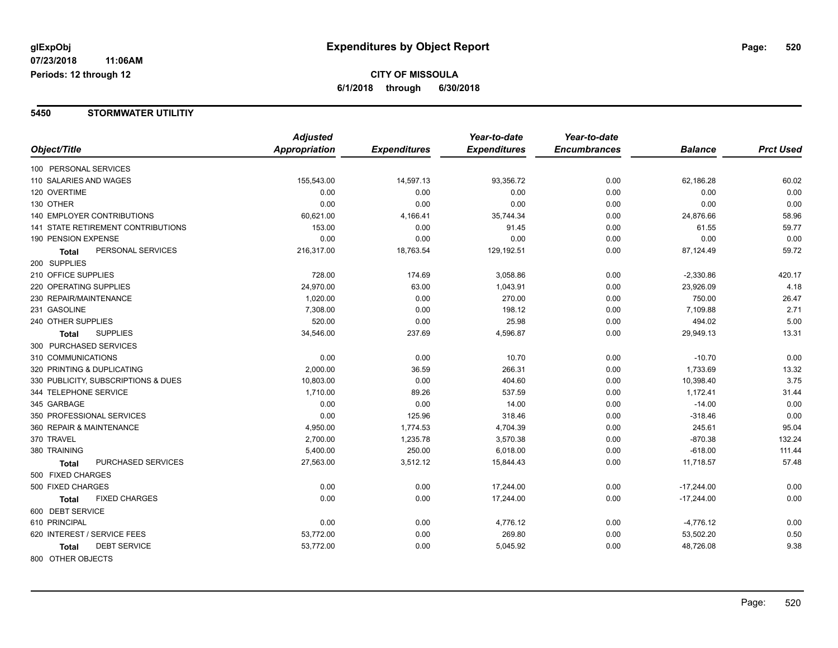### **5450 STORMWATER UTILITIY**

|                                     | <b>Adjusted</b> |                     | Year-to-date        | Year-to-date        |                |                  |
|-------------------------------------|-----------------|---------------------|---------------------|---------------------|----------------|------------------|
| Object/Title                        | Appropriation   | <b>Expenditures</b> | <b>Expenditures</b> | <b>Encumbrances</b> | <b>Balance</b> | <b>Prct Used</b> |
| 100 PERSONAL SERVICES               |                 |                     |                     |                     |                |                  |
| 110 SALARIES AND WAGES              | 155,543.00      | 14,597.13           | 93,356.72           | 0.00                | 62,186.28      | 60.02            |
| 120 OVERTIME                        | 0.00            | 0.00                | 0.00                | 0.00                | 0.00           | 0.00             |
| 130 OTHER                           | 0.00            | 0.00                | 0.00                | 0.00                | 0.00           | 0.00             |
| <b>140 EMPLOYER CONTRIBUTIONS</b>   | 60,621.00       | 4,166.41            | 35,744.34           | 0.00                | 24,876.66      | 58.96            |
| 141 STATE RETIREMENT CONTRIBUTIONS  | 153.00          | 0.00                | 91.45               | 0.00                | 61.55          | 59.77            |
| 190 PENSION EXPENSE                 | 0.00            | 0.00                | 0.00                | 0.00                | 0.00           | 0.00             |
| PERSONAL SERVICES<br><b>Total</b>   | 216,317.00      | 18,763.54           | 129,192.51          | 0.00                | 87,124.49      | 59.72            |
| 200 SUPPLIES                        |                 |                     |                     |                     |                |                  |
| 210 OFFICE SUPPLIES                 | 728.00          | 174.69              | 3,058.86            | 0.00                | $-2,330.86$    | 420.17           |
| 220 OPERATING SUPPLIES              | 24,970.00       | 63.00               | 1,043.91            | 0.00                | 23,926.09      | 4.18             |
| 230 REPAIR/MAINTENANCE              | 1,020.00        | 0.00                | 270.00              | 0.00                | 750.00         | 26.47            |
| 231 GASOLINE                        | 7,308.00        | 0.00                | 198.12              | 0.00                | 7,109.88       | 2.71             |
| 240 OTHER SUPPLIES                  | 520.00          | 0.00                | 25.98               | 0.00                | 494.02         | 5.00             |
| <b>SUPPLIES</b><br><b>Total</b>     | 34,546.00       | 237.69              | 4,596.87            | 0.00                | 29,949.13      | 13.31            |
| 300 PURCHASED SERVICES              |                 |                     |                     |                     |                |                  |
| 310 COMMUNICATIONS                  | 0.00            | 0.00                | 10.70               | 0.00                | $-10.70$       | 0.00             |
| 320 PRINTING & DUPLICATING          | 2,000.00        | 36.59               | 266.31              | 0.00                | 1,733.69       | 13.32            |
| 330 PUBLICITY, SUBSCRIPTIONS & DUES | 10,803.00       | 0.00                | 404.60              | 0.00                | 10,398.40      | 3.75             |
| 344 TELEPHONE SERVICE               | 1,710.00        | 89.26               | 537.59              | 0.00                | 1,172.41       | 31.44            |
| 345 GARBAGE                         | 0.00            | 0.00                | 14.00               | 0.00                | $-14.00$       | 0.00             |
| 350 PROFESSIONAL SERVICES           | 0.00            | 125.96              | 318.46              | 0.00                | $-318.46$      | 0.00             |
| 360 REPAIR & MAINTENANCE            | 4,950.00        | 1,774.53            | 4,704.39            | 0.00                | 245.61         | 95.04            |
| 370 TRAVEL                          | 2,700.00        | 1,235.78            | 3,570.38            | 0.00                | $-870.38$      | 132.24           |
| 380 TRAINING                        | 5,400.00        | 250.00              | 6,018.00            | 0.00                | $-618.00$      | 111.44           |
| PURCHASED SERVICES<br><b>Total</b>  | 27,563.00       | 3,512.12            | 15,844.43           | 0.00                | 11,718.57      | 57.48            |
| 500 FIXED CHARGES                   |                 |                     |                     |                     |                |                  |
| 500 FIXED CHARGES                   | 0.00            | 0.00                | 17,244.00           | 0.00                | $-17,244.00$   | 0.00             |
| <b>FIXED CHARGES</b><br>Total       | 0.00            | 0.00                | 17,244.00           | 0.00                | $-17,244.00$   | 0.00             |
| 600 DEBT SERVICE                    |                 |                     |                     |                     |                |                  |
| 610 PRINCIPAL                       | 0.00            | 0.00                | 4,776.12            | 0.00                | $-4,776.12$    | 0.00             |
| 620 INTEREST / SERVICE FEES         | 53,772.00       | 0.00                | 269.80              | 0.00                | 53,502.20      | 0.50             |
| <b>DEBT SERVICE</b><br>Total        | 53,772.00       | 0.00                | 5,045.92            | 0.00                | 48,726.08      | 9.38             |
| 800 OTHER OBJECTS                   |                 |                     |                     |                     |                |                  |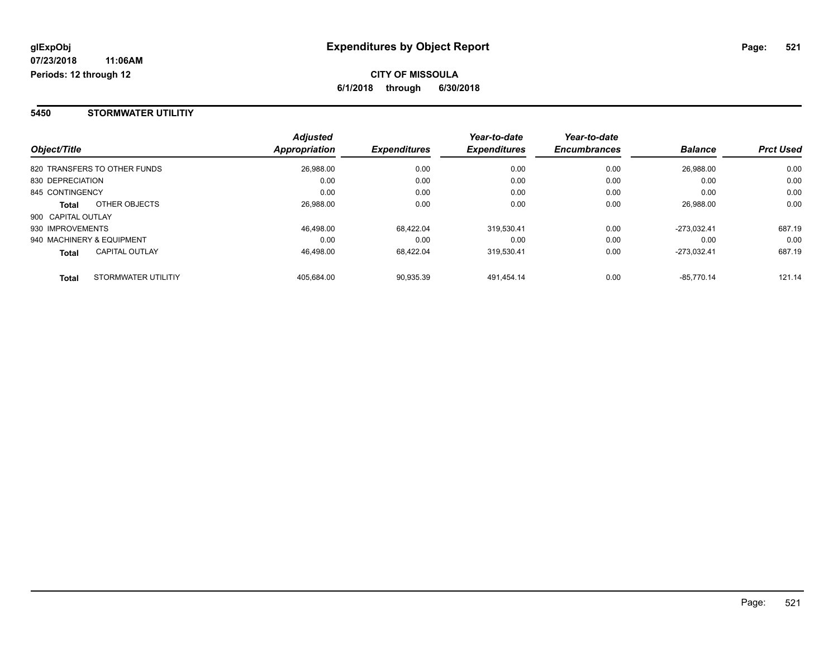### **5450 STORMWATER UTILITIY**

|                           |                              | <b>Adjusted</b> |                     | Year-to-date        | Year-to-date        |                |                  |
|---------------------------|------------------------------|-----------------|---------------------|---------------------|---------------------|----------------|------------------|
| Object/Title              |                              | Appropriation   | <b>Expenditures</b> | <b>Expenditures</b> | <b>Encumbrances</b> | <b>Balance</b> | <b>Prct Used</b> |
|                           | 820 TRANSFERS TO OTHER FUNDS | 26,988.00       | 0.00                | 0.00                | 0.00                | 26,988.00      | 0.00             |
| 830 DEPRECIATION          |                              | 0.00            | 0.00                | 0.00                | 0.00                | 0.00           | 0.00             |
| 845 CONTINGENCY           |                              | 0.00            | 0.00                | 0.00                | 0.00                | 0.00           | 0.00             |
| Total                     | OTHER OBJECTS                | 26,988.00       | 0.00                | 0.00                | 0.00                | 26,988.00      | 0.00             |
| 900 CAPITAL OUTLAY        |                              |                 |                     |                     |                     |                |                  |
| 930 IMPROVEMENTS          |                              | 46.498.00       | 68,422.04           | 319.530.41          | 0.00                | -273.032.41    | 687.19           |
| 940 MACHINERY & EQUIPMENT |                              | 0.00            | 0.00                | 0.00                | 0.00                | 0.00           | 0.00             |
| <b>Total</b>              | <b>CAPITAL OUTLAY</b>        | 46,498.00       | 68,422.04           | 319,530.41          | 0.00                | $-273,032.41$  | 687.19           |
| <b>Total</b>              | STORMWATER UTILITIY          | 405.684.00      | 90.935.39           | 491.454.14          | 0.00                | $-85.770.14$   | 121.14           |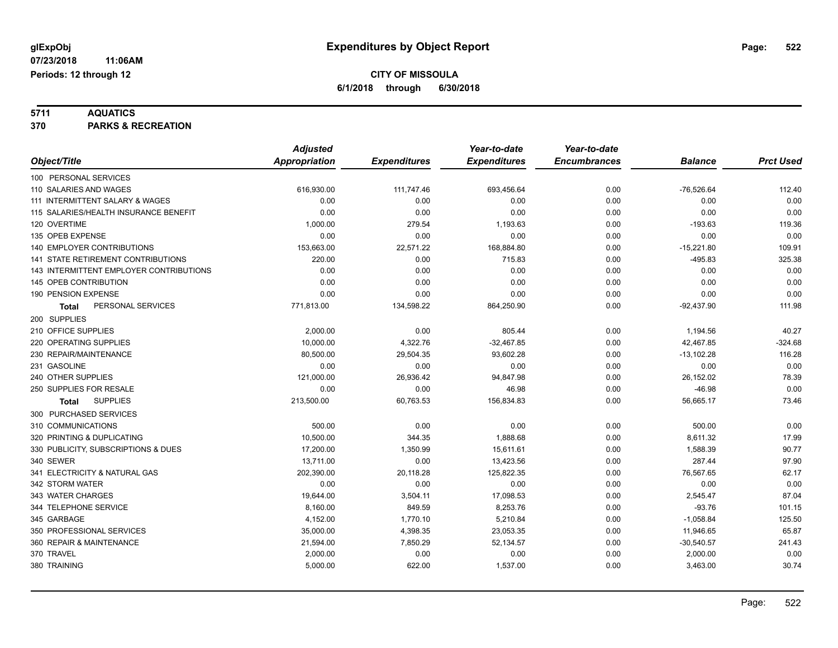**5711 AQUATICS 370 PARKS & RECREATION**

|                                         | <b>Adjusted</b>      |                     | Year-to-date        | Year-to-date        |                |                  |
|-----------------------------------------|----------------------|---------------------|---------------------|---------------------|----------------|------------------|
| Object/Title                            | <b>Appropriation</b> | <b>Expenditures</b> | <b>Expenditures</b> | <b>Encumbrances</b> | <b>Balance</b> | <b>Prct Used</b> |
| 100 PERSONAL SERVICES                   |                      |                     |                     |                     |                |                  |
| 110 SALARIES AND WAGES                  | 616,930.00           | 111,747.46          | 693,456.64          | 0.00                | $-76,526.64$   | 112.40           |
| 111 INTERMITTENT SALARY & WAGES         | 0.00                 | 0.00                | 0.00                | 0.00                | 0.00           | 0.00             |
| 115 SALARIES/HEALTH INSURANCE BENEFIT   | 0.00                 | 0.00                | 0.00                | 0.00                | 0.00           | 0.00             |
| 120 OVERTIME                            | 1,000.00             | 279.54              | 1,193.63            | 0.00                | $-193.63$      | 119.36           |
| 135 OPEB EXPENSE                        | 0.00                 | 0.00                | 0.00                | 0.00                | 0.00           | 0.00             |
| 140 EMPLOYER CONTRIBUTIONS              | 153,663.00           | 22,571.22           | 168,884.80          | 0.00                | $-15,221.80$   | 109.91           |
| 141 STATE RETIREMENT CONTRIBUTIONS      | 220.00               | 0.00                | 715.83              | 0.00                | $-495.83$      | 325.38           |
| 143 INTERMITTENT EMPLOYER CONTRIBUTIONS | 0.00                 | 0.00                | 0.00                | 0.00                | 0.00           | 0.00             |
| 145 OPEB CONTRIBUTION                   | 0.00                 | 0.00                | 0.00                | 0.00                | 0.00           | 0.00             |
| 190 PENSION EXPENSE                     | 0.00                 | 0.00                | 0.00                | 0.00                | 0.00           | 0.00             |
| PERSONAL SERVICES<br><b>Total</b>       | 771,813.00           | 134,598.22          | 864,250.90          | 0.00                | $-92,437.90$   | 111.98           |
| 200 SUPPLIES                            |                      |                     |                     |                     |                |                  |
| 210 OFFICE SUPPLIES                     | 2,000.00             | 0.00                | 805.44              | 0.00                | 1,194.56       | 40.27            |
| 220 OPERATING SUPPLIES                  | 10,000.00            | 4,322.76            | $-32,467.85$        | 0.00                | 42,467.85      | $-324.68$        |
| 230 REPAIR/MAINTENANCE                  | 80,500.00            | 29,504.35           | 93,602.28           | 0.00                | $-13,102.28$   | 116.28           |
| 231 GASOLINE                            | 0.00                 | 0.00                | 0.00                | 0.00                | 0.00           | 0.00             |
| 240 OTHER SUPPLIES                      | 121,000.00           | 26,936.42           | 94,847.98           | 0.00                | 26,152.02      | 78.39            |
| 250 SUPPLIES FOR RESALE                 | 0.00                 | 0.00                | 46.98               | 0.00                | $-46.98$       | 0.00             |
| <b>SUPPLIES</b><br><b>Total</b>         | 213,500.00           | 60,763.53           | 156,834.83          | 0.00                | 56,665.17      | 73.46            |
| 300 PURCHASED SERVICES                  |                      |                     |                     |                     |                |                  |
| 310 COMMUNICATIONS                      | 500.00               | 0.00                | 0.00                | 0.00                | 500.00         | 0.00             |
| 320 PRINTING & DUPLICATING              | 10,500.00            | 344.35              | 1,888.68            | 0.00                | 8,611.32       | 17.99            |
| 330 PUBLICITY, SUBSCRIPTIONS & DUES     | 17,200.00            | 1,350.99            | 15,611.61           | 0.00                | 1,588.39       | 90.77            |
| 340 SEWER                               | 13,711.00            | 0.00                | 13,423.56           | 0.00                | 287.44         | 97.90            |
| 341 ELECTRICITY & NATURAL GAS           | 202,390.00           | 20,118.28           | 125,822.35          | 0.00                | 76,567.65      | 62.17            |
| 342 STORM WATER                         | 0.00                 | 0.00                | 0.00                | 0.00                | 0.00           | 0.00             |
| 343 WATER CHARGES                       | 19,644.00            | 3,504.11            | 17,098.53           | 0.00                | 2,545.47       | 87.04            |
| 344 TELEPHONE SERVICE                   | 8,160.00             | 849.59              | 8,253.76            | 0.00                | $-93.76$       | 101.15           |
| 345 GARBAGE                             | 4,152.00             | 1,770.10            | 5,210.84            | 0.00                | $-1,058.84$    | 125.50           |
| 350 PROFESSIONAL SERVICES               | 35,000.00            | 4,398.35            | 23,053.35           | 0.00                | 11,946.65      | 65.87            |
| 360 REPAIR & MAINTENANCE                | 21,594.00            | 7,850.29            | 52,134.57           | 0.00                | $-30,540.57$   | 241.43           |
| 370 TRAVEL                              | 2,000.00             | 0.00                | 0.00                | 0.00                | 2,000.00       | 0.00             |
| 380 TRAINING                            | 5,000.00             | 622.00              | 1,537.00            | 0.00                | 3,463.00       | 30.74            |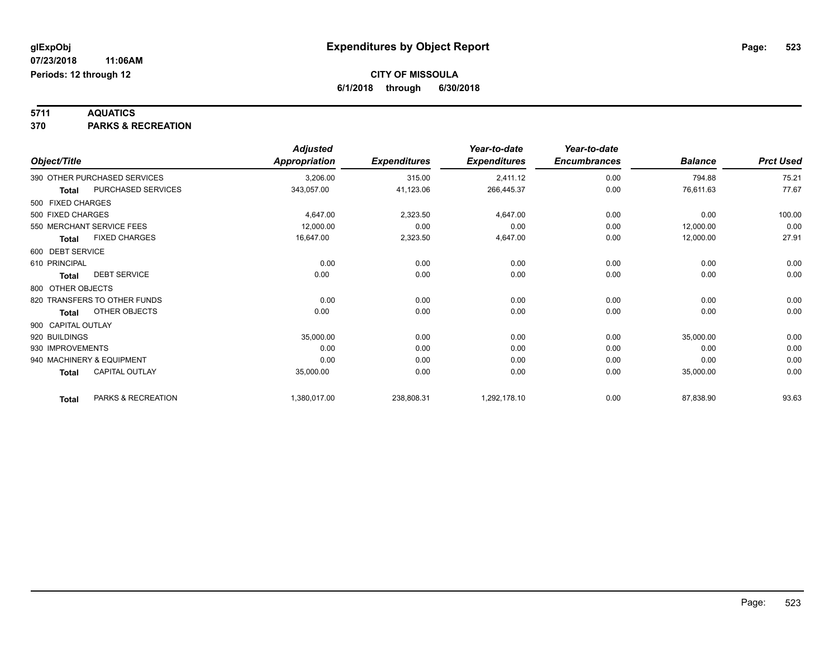**5711 AQUATICS 370 PARKS & RECREATION**

|                    |                              | <b>Adjusted</b>      |                     | Year-to-date        | Year-to-date        |                |                  |
|--------------------|------------------------------|----------------------|---------------------|---------------------|---------------------|----------------|------------------|
| Object/Title       |                              | <b>Appropriation</b> | <b>Expenditures</b> | <b>Expenditures</b> | <b>Encumbrances</b> | <b>Balance</b> | <b>Prct Used</b> |
|                    | 390 OTHER PURCHASED SERVICES | 3,206.00             | 315.00              | 2,411.12            | 0.00                | 794.88         | 75.21            |
| Total              | PURCHASED SERVICES           | 343,057.00           | 41,123.06           | 266,445.37          | 0.00                | 76,611.63      | 77.67            |
| 500 FIXED CHARGES  |                              |                      |                     |                     |                     |                |                  |
| 500 FIXED CHARGES  |                              | 4,647.00             | 2,323.50            | 4,647.00            | 0.00                | 0.00           | 100.00           |
|                    | 550 MERCHANT SERVICE FEES    | 12,000.00            | 0.00                | 0.00                | 0.00                | 12,000.00      | 0.00             |
| Total              | <b>FIXED CHARGES</b>         | 16,647.00            | 2,323.50            | 4,647.00            | 0.00                | 12,000.00      | 27.91            |
| 600 DEBT SERVICE   |                              |                      |                     |                     |                     |                |                  |
| 610 PRINCIPAL      |                              | 0.00                 | 0.00                | 0.00                | 0.00                | 0.00           | 0.00             |
| <b>Total</b>       | <b>DEBT SERVICE</b>          | 0.00                 | 0.00                | 0.00                | 0.00                | 0.00           | 0.00             |
| 800 OTHER OBJECTS  |                              |                      |                     |                     |                     |                |                  |
|                    | 820 TRANSFERS TO OTHER FUNDS | 0.00                 | 0.00                | 0.00                | 0.00                | 0.00           | 0.00             |
| Total              | <b>OTHER OBJECTS</b>         | 0.00                 | 0.00                | 0.00                | 0.00                | 0.00           | 0.00             |
| 900 CAPITAL OUTLAY |                              |                      |                     |                     |                     |                |                  |
| 920 BUILDINGS      |                              | 35,000.00            | 0.00                | 0.00                | 0.00                | 35,000.00      | 0.00             |
| 930 IMPROVEMENTS   |                              | 0.00                 | 0.00                | 0.00                | 0.00                | 0.00           | 0.00             |
|                    | 940 MACHINERY & EQUIPMENT    | 0.00                 | 0.00                | 0.00                | 0.00                | 0.00           | 0.00             |
| <b>Total</b>       | <b>CAPITAL OUTLAY</b>        | 35,000.00            | 0.00                | 0.00                | 0.00                | 35,000.00      | 0.00             |
| <b>Total</b>       | PARKS & RECREATION           | 1,380,017.00         | 238,808.31          | 1,292,178.10        | 0.00                | 87,838.90      | 93.63            |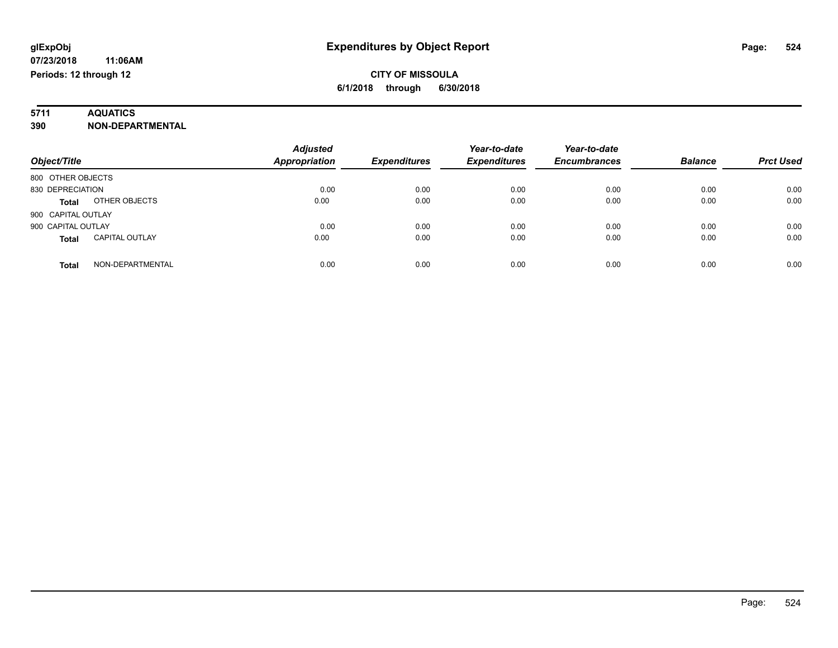# **5711 AQUATICS**

**390 NON-DEPARTMENTAL**

|                                       | <b>Adjusted</b>      |                     | Year-to-date        | Year-to-date        |                |                  |
|---------------------------------------|----------------------|---------------------|---------------------|---------------------|----------------|------------------|
| Object/Title                          | <b>Appropriation</b> | <b>Expenditures</b> | <b>Expenditures</b> | <b>Encumbrances</b> | <b>Balance</b> | <b>Prct Used</b> |
| 800 OTHER OBJECTS                     |                      |                     |                     |                     |                |                  |
| 830 DEPRECIATION                      | 0.00                 | 0.00                | 0.00                | 0.00                | 0.00           | 0.00             |
| OTHER OBJECTS<br><b>Total</b>         | 0.00                 | 0.00                | 0.00                | 0.00                | 0.00           | 0.00             |
| 900 CAPITAL OUTLAY                    |                      |                     |                     |                     |                |                  |
| 900 CAPITAL OUTLAY                    | 0.00                 | 0.00                | 0.00                | 0.00                | 0.00           | 0.00             |
| <b>CAPITAL OUTLAY</b><br><b>Total</b> | 0.00                 | 0.00                | 0.00                | 0.00                | 0.00           | 0.00             |
| NON-DEPARTMENTAL<br>Total             | 0.00                 | 0.00                | 0.00                | 0.00                | 0.00           | 0.00             |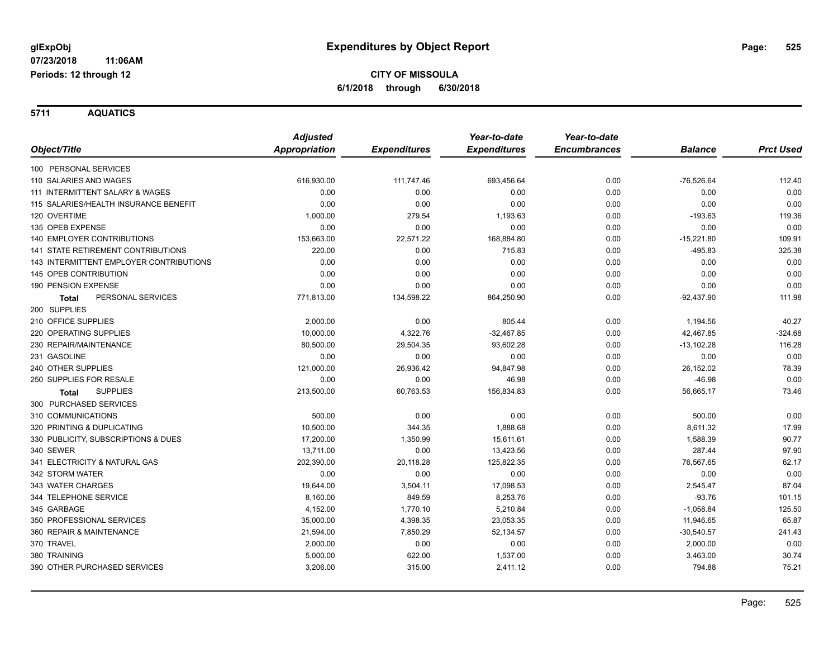**5711 AQUATICS**

|                                           | <b>Adjusted</b>      |                     | Year-to-date        | Year-to-date        |                |                  |
|-------------------------------------------|----------------------|---------------------|---------------------|---------------------|----------------|------------------|
| Object/Title                              | <b>Appropriation</b> | <b>Expenditures</b> | <b>Expenditures</b> | <b>Encumbrances</b> | <b>Balance</b> | <b>Prct Used</b> |
| 100 PERSONAL SERVICES                     |                      |                     |                     |                     |                |                  |
| 110 SALARIES AND WAGES                    | 616,930.00           | 111,747.46          | 693,456.64          | 0.00                | $-76,526.64$   | 112.40           |
| 111 INTERMITTENT SALARY & WAGES           | 0.00                 | 0.00                | 0.00                | 0.00                | 0.00           | 0.00             |
| 115 SALARIES/HEALTH INSURANCE BENEFIT     | 0.00                 | 0.00                | 0.00                | 0.00                | 0.00           | 0.00             |
| 120 OVERTIME                              | 1,000.00             | 279.54              | 1,193.63            | 0.00                | $-193.63$      | 119.36           |
| 135 OPEB EXPENSE                          | 0.00                 | 0.00                | 0.00                | 0.00                | 0.00           | 0.00             |
| <b>140 EMPLOYER CONTRIBUTIONS</b>         | 153,663.00           | 22,571.22           | 168,884.80          | 0.00                | $-15,221.80$   | 109.91           |
| <b>141 STATE RETIREMENT CONTRIBUTIONS</b> | 220.00               | 0.00                | 715.83              | 0.00                | $-495.83$      | 325.38           |
| 143 INTERMITTENT EMPLOYER CONTRIBUTIONS   | 0.00                 | 0.00                | 0.00                | 0.00                | 0.00           | 0.00             |
| 145 OPEB CONTRIBUTION                     | 0.00                 | 0.00                | 0.00                | 0.00                | 0.00           | 0.00             |
| 190 PENSION EXPENSE                       | 0.00                 | 0.00                | 0.00                | 0.00                | 0.00           | 0.00             |
| PERSONAL SERVICES<br>Total                | 771,813.00           | 134,598.22          | 864,250.90          | 0.00                | $-92,437.90$   | 111.98           |
| 200 SUPPLIES                              |                      |                     |                     |                     |                |                  |
| 210 OFFICE SUPPLIES                       | 2,000.00             | 0.00                | 805.44              | 0.00                | 1,194.56       | 40.27            |
| 220 OPERATING SUPPLIES                    | 10,000.00            | 4,322.76            | $-32,467.85$        | 0.00                | 42,467.85      | $-324.68$        |
| 230 REPAIR/MAINTENANCE                    | 80,500.00            | 29,504.35           | 93,602.28           | 0.00                | $-13,102.28$   | 116.28           |
| 231 GASOLINE                              | 0.00                 | 0.00                | 0.00                | 0.00                | 0.00           | 0.00             |
| 240 OTHER SUPPLIES                        | 121,000.00           | 26,936.42           | 94,847.98           | 0.00                | 26,152.02      | 78.39            |
| 250 SUPPLIES FOR RESALE                   | 0.00                 | 0.00                | 46.98               | 0.00                | $-46.98$       | 0.00             |
| <b>SUPPLIES</b><br>Total                  | 213,500.00           | 60,763.53           | 156,834.83          | 0.00                | 56,665.17      | 73.46            |
| 300 PURCHASED SERVICES                    |                      |                     |                     |                     |                |                  |
| 310 COMMUNICATIONS                        | 500.00               | 0.00                | 0.00                | 0.00                | 500.00         | 0.00             |
| 320 PRINTING & DUPLICATING                | 10,500.00            | 344.35              | 1,888.68            | 0.00                | 8,611.32       | 17.99            |
| 330 PUBLICITY, SUBSCRIPTIONS & DUES       | 17,200.00            | 1,350.99            | 15,611.61           | 0.00                | 1,588.39       | 90.77            |
| 340 SEWER                                 | 13,711.00            | 0.00                | 13,423.56           | 0.00                | 287.44         | 97.90            |
| 341 ELECTRICITY & NATURAL GAS             | 202,390.00           | 20,118.28           | 125,822.35          | 0.00                | 76,567.65      | 62.17            |
| 342 STORM WATER                           | 0.00                 | 0.00                | 0.00                | 0.00                | 0.00           | 0.00             |
| 343 WATER CHARGES                         | 19,644.00            | 3,504.11            | 17,098.53           | 0.00                | 2,545.47       | 87.04            |
| 344 TELEPHONE SERVICE                     | 8,160.00             | 849.59              | 8,253.76            | 0.00                | $-93.76$       | 101.15           |
| 345 GARBAGE                               | 4,152.00             | 1,770.10            | 5,210.84            | 0.00                | $-1,058.84$    | 125.50           |
| 350 PROFESSIONAL SERVICES                 | 35,000.00            | 4,398.35            | 23,053.35           | 0.00                | 11,946.65      | 65.87            |
| 360 REPAIR & MAINTENANCE                  | 21,594.00            | 7,850.29            | 52,134.57           | 0.00                | $-30,540.57$   | 241.43           |
| 370 TRAVEL                                | 2,000.00             | 0.00                | 0.00                | 0.00                | 2,000.00       | 0.00             |
| 380 TRAINING                              | 5,000.00             | 622.00              | 1,537.00            | 0.00                | 3,463.00       | 30.74            |
| 390 OTHER PURCHASED SERVICES              | 3,206.00             | 315.00              | 2,411.12            | 0.00                | 794.88         | 75.21            |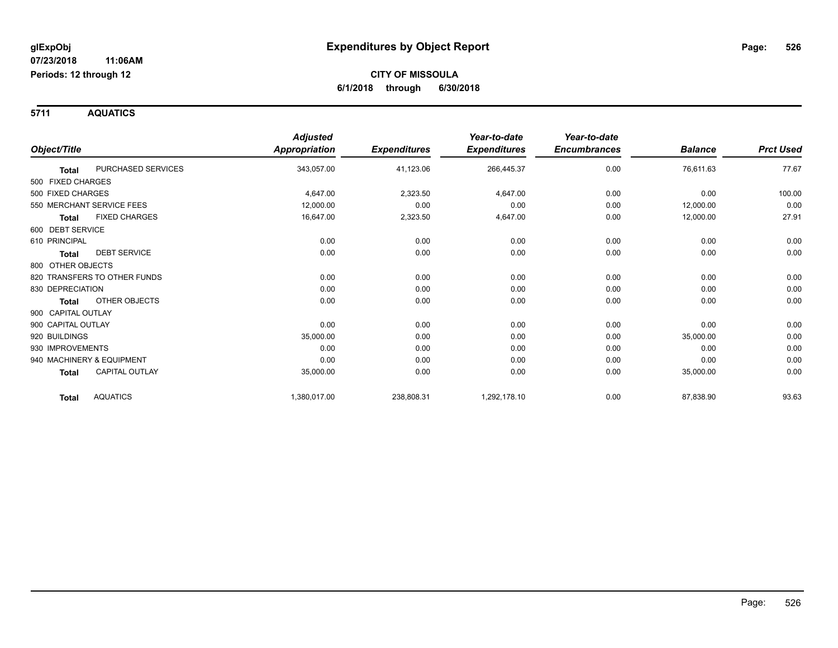**5711 AQUATICS**

|                                       | <b>Adjusted</b> |                     | Year-to-date        | Year-to-date        |                |                  |
|---------------------------------------|-----------------|---------------------|---------------------|---------------------|----------------|------------------|
| Object/Title                          | Appropriation   | <b>Expenditures</b> | <b>Expenditures</b> | <b>Encumbrances</b> | <b>Balance</b> | <b>Prct Used</b> |
| PURCHASED SERVICES<br><b>Total</b>    | 343,057.00      | 41,123.06           | 266,445.37          | 0.00                | 76,611.63      | 77.67            |
| 500 FIXED CHARGES                     |                 |                     |                     |                     |                |                  |
| 500 FIXED CHARGES                     | 4,647.00        | 2,323.50            | 4,647.00            | 0.00                | 0.00           | 100.00           |
| 550 MERCHANT SERVICE FEES             | 12,000.00       | 0.00                | 0.00                | 0.00                | 12,000.00      | 0.00             |
| <b>FIXED CHARGES</b><br><b>Total</b>  | 16,647.00       | 2,323.50            | 4,647.00            | 0.00                | 12,000.00      | 27.91            |
| 600 DEBT SERVICE                      |                 |                     |                     |                     |                |                  |
| 610 PRINCIPAL                         | 0.00            | 0.00                | 0.00                | 0.00                | 0.00           | 0.00             |
| <b>DEBT SERVICE</b><br><b>Total</b>   | 0.00            | 0.00                | 0.00                | 0.00                | 0.00           | 0.00             |
| 800 OTHER OBJECTS                     |                 |                     |                     |                     |                |                  |
| 820 TRANSFERS TO OTHER FUNDS          | 0.00            | 0.00                | 0.00                | 0.00                | 0.00           | 0.00             |
| 830 DEPRECIATION                      | 0.00            | 0.00                | 0.00                | 0.00                | 0.00           | 0.00             |
| OTHER OBJECTS<br><b>Total</b>         | 0.00            | 0.00                | 0.00                | 0.00                | 0.00           | 0.00             |
| 900 CAPITAL OUTLAY                    |                 |                     |                     |                     |                |                  |
| 900 CAPITAL OUTLAY                    | 0.00            | 0.00                | 0.00                | 0.00                | 0.00           | 0.00             |
| 920 BUILDINGS                         | 35,000.00       | 0.00                | 0.00                | 0.00                | 35,000.00      | 0.00             |
| 930 IMPROVEMENTS                      | 0.00            | 0.00                | 0.00                | 0.00                | 0.00           | 0.00             |
| 940 MACHINERY & EQUIPMENT             | 0.00            | 0.00                | 0.00                | 0.00                | 0.00           | 0.00             |
| <b>CAPITAL OUTLAY</b><br><b>Total</b> | 35,000.00       | 0.00                | 0.00                | 0.00                | 35,000.00      | 0.00             |
| <b>AQUATICS</b><br><b>Total</b>       | 1,380,017.00    | 238,808.31          | 1,292,178.10        | 0.00                | 87,838.90      | 93.63            |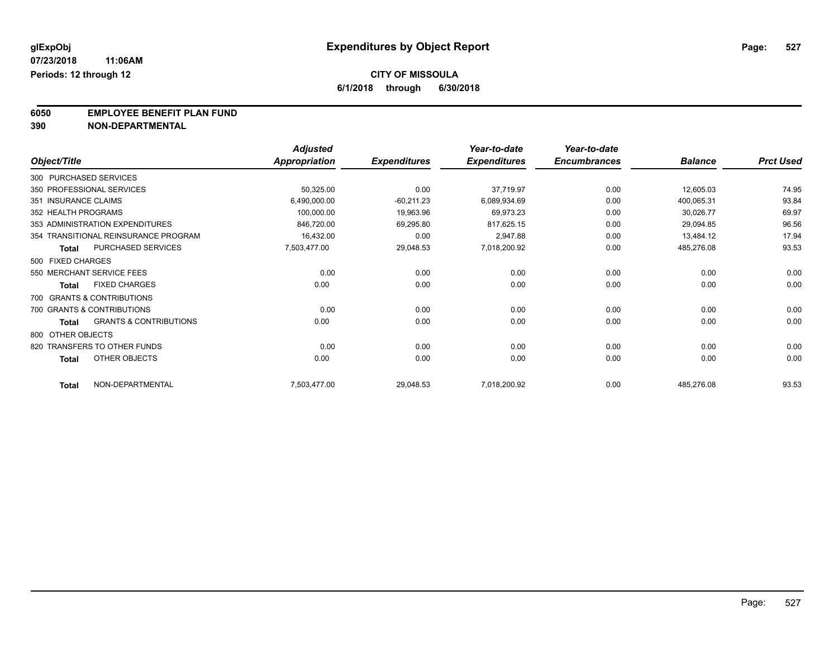**6050 EMPLOYEE BENEFIT PLAN FUND**<br>390 NON-DEPARTMENTAL

**390 NON-DEPARTMENTAL**

|                      |                                      | <b>Adjusted</b>      |                     | Year-to-date        | Year-to-date        |                |                  |
|----------------------|--------------------------------------|----------------------|---------------------|---------------------|---------------------|----------------|------------------|
| Object/Title         |                                      | <b>Appropriation</b> | <b>Expenditures</b> | <b>Expenditures</b> | <b>Encumbrances</b> | <b>Balance</b> | <b>Prct Used</b> |
|                      | 300 PURCHASED SERVICES               |                      |                     |                     |                     |                |                  |
|                      | 350 PROFESSIONAL SERVICES            | 50,325.00            | 0.00                | 37,719.97           | 0.00                | 12,605.03      | 74.95            |
| 351 INSURANCE CLAIMS |                                      | 6,490,000.00         | $-60,211.23$        | 6,089,934.69        | 0.00                | 400,065.31     | 93.84            |
| 352 HEALTH PROGRAMS  |                                      | 100,000.00           | 19,963.96           | 69,973.23           | 0.00                | 30,026.77      | 69.97            |
|                      | 353 ADMINISTRATION EXPENDITURES      | 846,720.00           | 69,295.80           | 817,625.15          | 0.00                | 29,094.85      | 96.56            |
|                      | 354 TRANSITIONAL REINSURANCE PROGRAM | 16,432.00            | 0.00                | 2,947.88            | 0.00                | 13,484.12      | 17.94            |
| <b>Total</b>         | PURCHASED SERVICES                   | 7,503,477.00         | 29,048.53           | 7,018,200.92        | 0.00                | 485,276.08     | 93.53            |
| 500 FIXED CHARGES    |                                      |                      |                     |                     |                     |                |                  |
|                      | 550 MERCHANT SERVICE FEES            | 0.00                 | 0.00                | 0.00                | 0.00                | 0.00           | 0.00             |
| <b>Total</b>         | <b>FIXED CHARGES</b>                 | 0.00                 | 0.00                | 0.00                | 0.00                | 0.00           | 0.00             |
|                      | 700 GRANTS & CONTRIBUTIONS           |                      |                     |                     |                     |                |                  |
|                      | 700 GRANTS & CONTRIBUTIONS           | 0.00                 | 0.00                | 0.00                | 0.00                | 0.00           | 0.00             |
| <b>Total</b>         | <b>GRANTS &amp; CONTRIBUTIONS</b>    | 0.00                 | 0.00                | 0.00                | 0.00                | 0.00           | 0.00             |
| 800 OTHER OBJECTS    |                                      |                      |                     |                     |                     |                |                  |
|                      | 820 TRANSFERS TO OTHER FUNDS         | 0.00                 | 0.00                | 0.00                | 0.00                | 0.00           | 0.00             |
| <b>Total</b>         | OTHER OBJECTS                        | 0.00                 | 0.00                | 0.00                | 0.00                | 0.00           | 0.00             |
| <b>Total</b>         | NON-DEPARTMENTAL                     | 7,503,477.00         | 29,048.53           | 7,018,200.92        | 0.00                | 485,276.08     | 93.53            |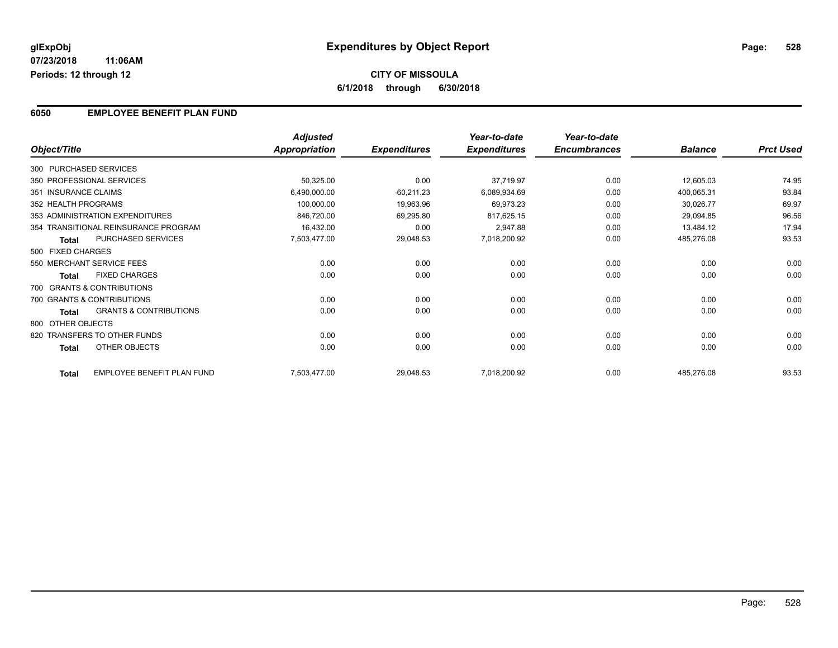### **6050 EMPLOYEE BENEFIT PLAN FUND**

|              |                                            | <b>Adjusted</b> |                     | Year-to-date        | Year-to-date        |                |                  |
|--------------|--------------------------------------------|-----------------|---------------------|---------------------|---------------------|----------------|------------------|
| Object/Title |                                            | Appropriation   | <b>Expenditures</b> | <b>Expenditures</b> | <b>Encumbrances</b> | <b>Balance</b> | <b>Prct Used</b> |
|              | 300 PURCHASED SERVICES                     |                 |                     |                     |                     |                |                  |
|              | 350 PROFESSIONAL SERVICES                  | 50,325.00       | 0.00                | 37,719.97           | 0.00                | 12,605.03      | 74.95            |
|              | 351 INSURANCE CLAIMS                       | 6,490,000.00    | $-60,211.23$        | 6,089,934.69        | 0.00                | 400,065.31     | 93.84            |
|              | 352 HEALTH PROGRAMS                        | 100,000.00      | 19,963.96           | 69,973.23           | 0.00                | 30,026.77      | 69.97            |
|              | 353 ADMINISTRATION EXPENDITURES            | 846,720.00      | 69,295.80           | 817,625.15          | 0.00                | 29,094.85      | 96.56            |
|              | 354 TRANSITIONAL REINSURANCE PROGRAM       | 16,432.00       | 0.00                | 2,947.88            | 0.00                | 13,484.12      | 17.94            |
|              | PURCHASED SERVICES<br><b>Total</b>         | 7,503,477.00    | 29,048.53           | 7,018,200.92        | 0.00                | 485,276.08     | 93.53            |
|              | 500 FIXED CHARGES                          |                 |                     |                     |                     |                |                  |
|              | 550 MERCHANT SERVICE FEES                  | 0.00            | 0.00                | 0.00                | 0.00                | 0.00           | 0.00             |
|              | <b>FIXED CHARGES</b><br><b>Total</b>       | 0.00            | 0.00                | 0.00                | 0.00                | 0.00           | 0.00             |
|              | 700 GRANTS & CONTRIBUTIONS                 |                 |                     |                     |                     |                |                  |
|              | 700 GRANTS & CONTRIBUTIONS                 | 0.00            | 0.00                | 0.00                | 0.00                | 0.00           | 0.00             |
|              | <b>GRANTS &amp; CONTRIBUTIONS</b><br>Total | 0.00            | 0.00                | 0.00                | 0.00                | 0.00           | 0.00             |
|              | 800 OTHER OBJECTS                          |                 |                     |                     |                     |                |                  |
|              | 820 TRANSFERS TO OTHER FUNDS               | 0.00            | 0.00                | 0.00                | 0.00                | 0.00           | 0.00             |
|              | OTHER OBJECTS<br><b>Total</b>              | 0.00            | 0.00                | 0.00                | 0.00                | 0.00           | 0.00             |
|              | EMPLOYEE BENEFIT PLAN FUND<br><b>Total</b> | 7,503,477.00    | 29,048.53           | 7,018,200.92        | 0.00                | 485,276.08     | 93.53            |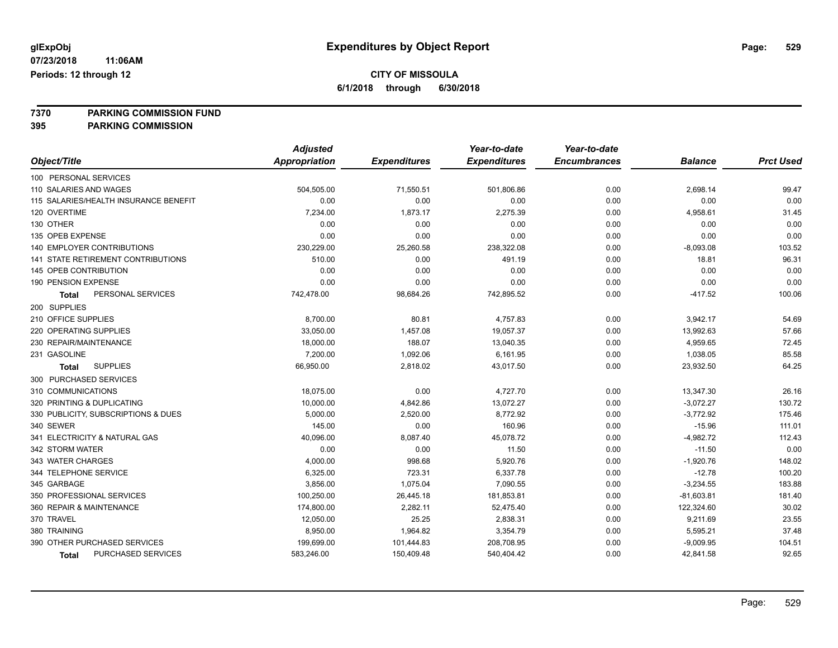**7370 PARKING COMMISSION FUND**

**395 PARKING COMMISSION**

|                                           | <b>Adjusted</b>      |                     | Year-to-date        | Year-to-date        |                |                  |
|-------------------------------------------|----------------------|---------------------|---------------------|---------------------|----------------|------------------|
| Object/Title                              | <b>Appropriation</b> | <b>Expenditures</b> | <b>Expenditures</b> | <b>Encumbrances</b> | <b>Balance</b> | <b>Prct Used</b> |
| 100 PERSONAL SERVICES                     |                      |                     |                     |                     |                |                  |
| 110 SALARIES AND WAGES                    | 504,505.00           | 71,550.51           | 501,806.86          | 0.00                | 2,698.14       | 99.47            |
| 115 SALARIES/HEALTH INSURANCE BENEFIT     | 0.00                 | 0.00                | 0.00                | 0.00                | 0.00           | 0.00             |
| 120 OVERTIME                              | 7,234.00             | 1,873.17            | 2,275.39            | 0.00                | 4,958.61       | 31.45            |
| 130 OTHER                                 | 0.00                 | 0.00                | 0.00                | 0.00                | 0.00           | 0.00             |
| 135 OPEB EXPENSE                          | 0.00                 | 0.00                | 0.00                | 0.00                | 0.00           | 0.00             |
| 140 EMPLOYER CONTRIBUTIONS                | 230,229.00           | 25,260.58           | 238,322.08          | 0.00                | $-8,093.08$    | 103.52           |
| <b>141 STATE RETIREMENT CONTRIBUTIONS</b> | 510.00               | 0.00                | 491.19              | 0.00                | 18.81          | 96.31            |
| <b>145 OPEB CONTRIBUTION</b>              | 0.00                 | 0.00                | 0.00                | 0.00                | 0.00           | 0.00             |
| 190 PENSION EXPENSE                       | 0.00                 | 0.00                | 0.00                | 0.00                | 0.00           | 0.00             |
| PERSONAL SERVICES<br><b>Total</b>         | 742,478.00           | 98,684.26           | 742,895.52          | 0.00                | $-417.52$      | 100.06           |
| 200 SUPPLIES                              |                      |                     |                     |                     |                |                  |
| 210 OFFICE SUPPLIES                       | 8,700.00             | 80.81               | 4,757.83            | 0.00                | 3,942.17       | 54.69            |
| 220 OPERATING SUPPLIES                    | 33,050.00            | 1,457.08            | 19,057.37           | 0.00                | 13,992.63      | 57.66            |
| 230 REPAIR/MAINTENANCE                    | 18,000.00            | 188.07              | 13,040.35           | 0.00                | 4,959.65       | 72.45            |
| 231 GASOLINE                              | 7,200.00             | 1,092.06            | 6,161.95            | 0.00                | 1,038.05       | 85.58            |
| <b>SUPPLIES</b><br><b>Total</b>           | 66,950.00            | 2,818.02            | 43,017.50           | 0.00                | 23,932.50      | 64.25            |
| 300 PURCHASED SERVICES                    |                      |                     |                     |                     |                |                  |
| 310 COMMUNICATIONS                        | 18,075.00            | 0.00                | 4,727.70            | 0.00                | 13,347.30      | 26.16            |
| 320 PRINTING & DUPLICATING                | 10,000.00            | 4,842.86            | 13,072.27           | 0.00                | $-3,072.27$    | 130.72           |
| 330 PUBLICITY, SUBSCRIPTIONS & DUES       | 5,000.00             | 2,520.00            | 8,772.92            | 0.00                | $-3,772.92$    | 175.46           |
| 340 SEWER                                 | 145.00               | 0.00                | 160.96              | 0.00                | $-15.96$       | 111.01           |
| 341 ELECTRICITY & NATURAL GAS             | 40,096.00            | 8,087.40            | 45,078.72           | 0.00                | $-4,982.72$    | 112.43           |
| 342 STORM WATER                           | 0.00                 | 0.00                | 11.50               | 0.00                | $-11.50$       | 0.00             |
| 343 WATER CHARGES                         | 4,000.00             | 998.68              | 5,920.76            | 0.00                | $-1,920.76$    | 148.02           |
| 344 TELEPHONE SERVICE                     | 6,325.00             | 723.31              | 6,337.78            | 0.00                | $-12.78$       | 100.20           |
| 345 GARBAGE                               | 3,856.00             | 1,075.04            | 7,090.55            | 0.00                | $-3,234.55$    | 183.88           |
| 350 PROFESSIONAL SERVICES                 | 100,250.00           | 26,445.18           | 181,853.81          | 0.00                | $-81,603.81$   | 181.40           |
| 360 REPAIR & MAINTENANCE                  | 174,800.00           | 2,282.11            | 52,475.40           | 0.00                | 122,324.60     | 30.02            |
| 370 TRAVEL                                | 12,050.00            | 25.25               | 2,838.31            | 0.00                | 9,211.69       | 23.55            |
| 380 TRAINING                              | 8,950.00             | 1,964.82            | 3,354.79            | 0.00                | 5,595.21       | 37.48            |
| 390 OTHER PURCHASED SERVICES              | 199,699.00           | 101,444.83          | 208,708.95          | 0.00                | $-9,009.95$    | 104.51           |
| PURCHASED SERVICES<br>Total               | 583,246.00           | 150,409.48          | 540,404.42          | 0.00                | 42,841.58      | 92.65            |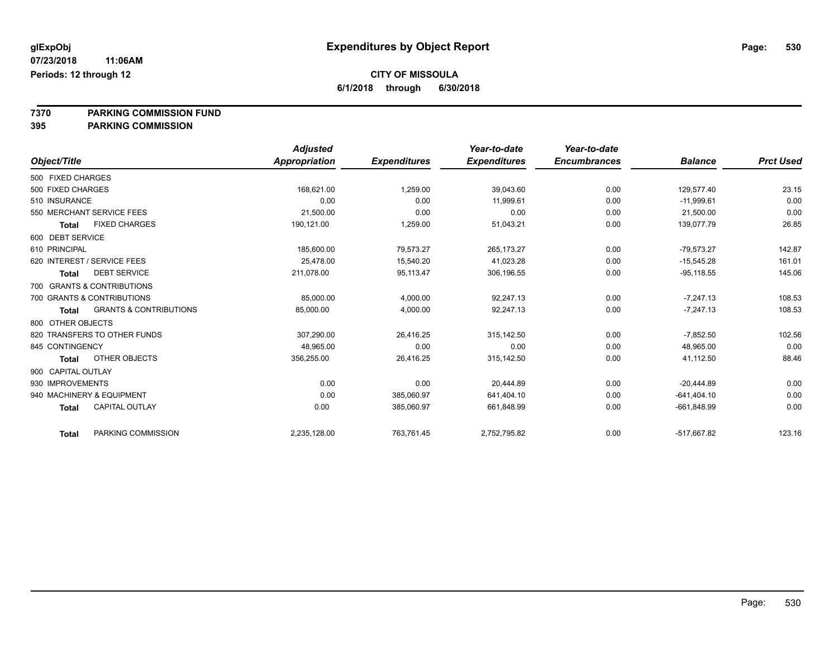**7370 PARKING COMMISSION FUND**

**395 PARKING COMMISSION**

|                    |                                   | Adjusted      |                     | Year-to-date        | Year-to-date        |                |                  |
|--------------------|-----------------------------------|---------------|---------------------|---------------------|---------------------|----------------|------------------|
| Object/Title       |                                   | Appropriation | <b>Expenditures</b> | <b>Expenditures</b> | <b>Encumbrances</b> | <b>Balance</b> | <b>Prct Used</b> |
| 500 FIXED CHARGES  |                                   |               |                     |                     |                     |                |                  |
| 500 FIXED CHARGES  |                                   | 168,621.00    | 1,259.00            | 39,043.60           | 0.00                | 129,577.40     | 23.15            |
| 510 INSURANCE      |                                   | 0.00          | 0.00                | 11,999.61           | 0.00                | $-11,999.61$   | 0.00             |
|                    | 550 MERCHANT SERVICE FEES         | 21,500.00     | 0.00                | 0.00                | 0.00                | 21,500.00      | 0.00             |
| <b>Total</b>       | <b>FIXED CHARGES</b>              | 190,121.00    | 1,259.00            | 51,043.21           | 0.00                | 139,077.79     | 26.85            |
| 600 DEBT SERVICE   |                                   |               |                     |                     |                     |                |                  |
| 610 PRINCIPAL      |                                   | 185,600.00    | 79,573.27           | 265, 173. 27        | 0.00                | $-79,573.27$   | 142.87           |
|                    | 620 INTEREST / SERVICE FEES       | 25,478.00     | 15,540.20           | 41,023.28           | 0.00                | $-15,545.28$   | 161.01           |
| <b>Total</b>       | <b>DEBT SERVICE</b>               | 211,078.00    | 95,113.47           | 306,196.55          | 0.00                | $-95,118.55$   | 145.06           |
|                    | 700 GRANTS & CONTRIBUTIONS        |               |                     |                     |                     |                |                  |
|                    | 700 GRANTS & CONTRIBUTIONS        | 85,000.00     | 4,000.00            | 92,247.13           | 0.00                | $-7,247.13$    | 108.53           |
| Total              | <b>GRANTS &amp; CONTRIBUTIONS</b> | 85,000.00     | 4,000.00            | 92,247.13           | 0.00                | $-7,247.13$    | 108.53           |
| 800 OTHER OBJECTS  |                                   |               |                     |                     |                     |                |                  |
|                    | 820 TRANSFERS TO OTHER FUNDS      | 307,290.00    | 26,416.25           | 315,142.50          | 0.00                | $-7,852.50$    | 102.56           |
| 845 CONTINGENCY    |                                   | 48,965.00     | 0.00                | 0.00                | 0.00                | 48,965.00      | 0.00             |
| <b>Total</b>       | OTHER OBJECTS                     | 356,255.00    | 26,416.25           | 315,142.50          | 0.00                | 41,112.50      | 88.46            |
| 900 CAPITAL OUTLAY |                                   |               |                     |                     |                     |                |                  |
| 930 IMPROVEMENTS   |                                   | 0.00          | 0.00                | 20,444.89           | 0.00                | $-20.444.89$   | 0.00             |
|                    | 940 MACHINERY & EQUIPMENT         | 0.00          | 385,060.97          | 641,404.10          | 0.00                | $-641,404.10$  | 0.00             |
| <b>Total</b>       | <b>CAPITAL OUTLAY</b>             | 0.00          | 385,060.97          | 661,848.99          | 0.00                | $-661,848.99$  | 0.00             |
| <b>Total</b>       | PARKING COMMISSION                | 2,235,128.00  | 763,761.45          | 2,752,795.82        | 0.00                | $-517,667.82$  | 123.16           |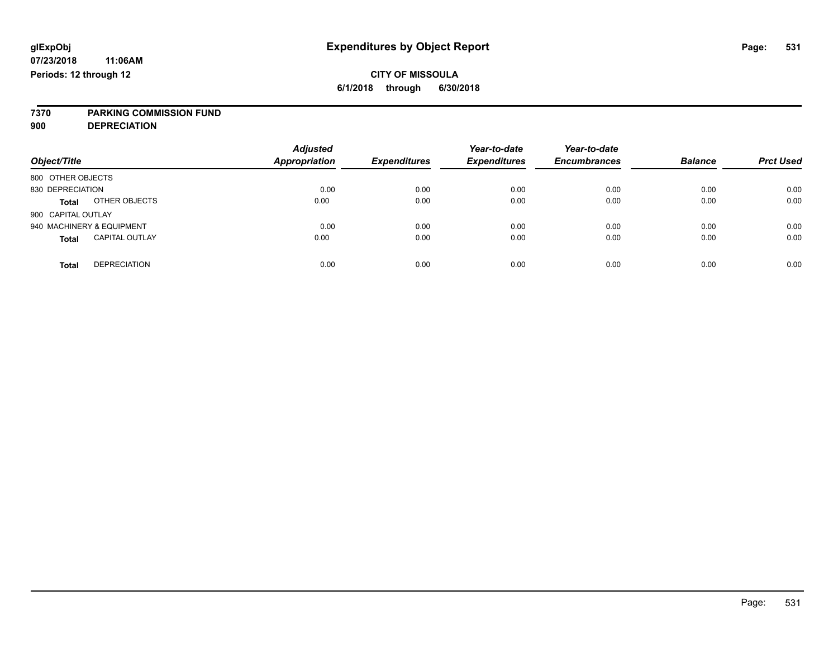# **7370 PARKING COMMISSION FUND**

**900 DEPRECIATION**

| Object/Title                          | <b>Adjusted</b><br><b>Appropriation</b> | <b>Expenditures</b> | Year-to-date<br><b>Expenditures</b> | Year-to-date<br><b>Encumbrances</b> | <b>Balance</b> | <b>Prct Used</b> |
|---------------------------------------|-----------------------------------------|---------------------|-------------------------------------|-------------------------------------|----------------|------------------|
| 800 OTHER OBJECTS                     |                                         |                     |                                     |                                     |                |                  |
| 830 DEPRECIATION                      | 0.00                                    | 0.00                | 0.00                                | 0.00                                | 0.00           | 0.00             |
| OTHER OBJECTS<br><b>Total</b>         | 0.00                                    | 0.00                | 0.00                                | 0.00                                | 0.00           | 0.00             |
| 900 CAPITAL OUTLAY                    |                                         |                     |                                     |                                     |                |                  |
| 940 MACHINERY & EQUIPMENT             | 0.00                                    | 0.00                | 0.00                                | 0.00                                | 0.00           | 0.00             |
| <b>CAPITAL OUTLAY</b><br><b>Total</b> | 0.00                                    | 0.00                | 0.00                                | 0.00                                | 0.00           | 0.00             |
|                                       |                                         |                     |                                     |                                     |                |                  |
| <b>DEPRECIATION</b><br>Total          | 0.00                                    | 0.00                | 0.00                                | 0.00                                | 0.00           | 0.00             |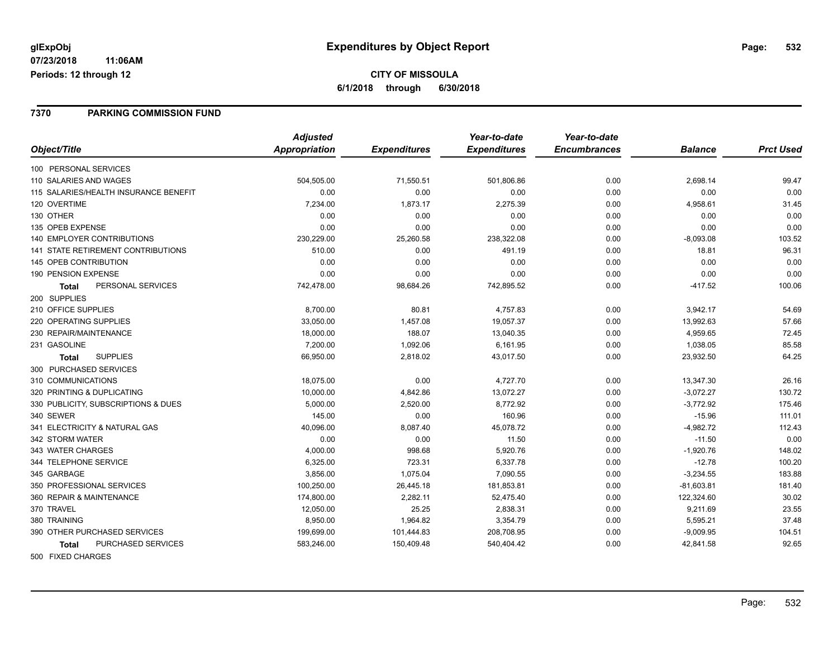### **7370 PARKING COMMISSION FUND**

|                                           | <b>Adjusted</b> |                     | Year-to-date        | Year-to-date        |                |                  |
|-------------------------------------------|-----------------|---------------------|---------------------|---------------------|----------------|------------------|
| Object/Title                              | Appropriation   | <b>Expenditures</b> | <b>Expenditures</b> | <b>Encumbrances</b> | <b>Balance</b> | <b>Prct Used</b> |
| 100 PERSONAL SERVICES                     |                 |                     |                     |                     |                |                  |
| 110 SALARIES AND WAGES                    | 504,505.00      | 71,550.51           | 501,806.86          | 0.00                | 2,698.14       | 99.47            |
| 115 SALARIES/HEALTH INSURANCE BENEFIT     | 0.00            | 0.00                | 0.00                | 0.00                | 0.00           | 0.00             |
| 120 OVERTIME                              | 7,234.00        | 1,873.17            | 2,275.39            | 0.00                | 4,958.61       | 31.45            |
| 130 OTHER                                 | 0.00            | 0.00                | 0.00                | 0.00                | 0.00           | 0.00             |
| 135 OPEB EXPENSE                          | 0.00            | 0.00                | 0.00                | 0.00                | 0.00           | 0.00             |
| 140 EMPLOYER CONTRIBUTIONS                | 230,229.00      | 25,260.58           | 238,322.08          | 0.00                | $-8,093.08$    | 103.52           |
| <b>141 STATE RETIREMENT CONTRIBUTIONS</b> | 510.00          | 0.00                | 491.19              | 0.00                | 18.81          | 96.31            |
| <b>145 OPEB CONTRIBUTION</b>              | 0.00            | 0.00                | 0.00                | 0.00                | 0.00           | 0.00             |
| 190 PENSION EXPENSE                       | 0.00            | 0.00                | 0.00                | 0.00                | 0.00           | 0.00             |
| PERSONAL SERVICES<br><b>Total</b>         | 742,478.00      | 98,684.26           | 742,895.52          | 0.00                | $-417.52$      | 100.06           |
| 200 SUPPLIES                              |                 |                     |                     |                     |                |                  |
| 210 OFFICE SUPPLIES                       | 8,700.00        | 80.81               | 4,757.83            | 0.00                | 3,942.17       | 54.69            |
| 220 OPERATING SUPPLIES                    | 33,050.00       | 1,457.08            | 19,057.37           | 0.00                | 13,992.63      | 57.66            |
| 230 REPAIR/MAINTENANCE                    | 18,000.00       | 188.07              | 13,040.35           | 0.00                | 4,959.65       | 72.45            |
| 231 GASOLINE                              | 7,200.00        | 1,092.06            | 6,161.95            | 0.00                | 1,038.05       | 85.58            |
| <b>SUPPLIES</b><br>Total                  | 66,950.00       | 2,818.02            | 43,017.50           | 0.00                | 23,932.50      | 64.25            |
| 300 PURCHASED SERVICES                    |                 |                     |                     |                     |                |                  |
| 310 COMMUNICATIONS                        | 18,075.00       | 0.00                | 4,727.70            | 0.00                | 13,347.30      | 26.16            |
| 320 PRINTING & DUPLICATING                | 10,000.00       | 4,842.86            | 13,072.27           | 0.00                | $-3,072.27$    | 130.72           |
| 330 PUBLICITY, SUBSCRIPTIONS & DUES       | 5,000.00        | 2,520.00            | 8,772.92            | 0.00                | $-3,772.92$    | 175.46           |
| 340 SEWER                                 | 145.00          | 0.00                | 160.96              | 0.00                | $-15.96$       | 111.01           |
| 341 ELECTRICITY & NATURAL GAS             | 40,096.00       | 8,087.40            | 45,078.72           | 0.00                | $-4,982.72$    | 112.43           |
| 342 STORM WATER                           | 0.00            | 0.00                | 11.50               | 0.00                | $-11.50$       | 0.00             |
| 343 WATER CHARGES                         | 4,000.00        | 998.68              | 5,920.76            | 0.00                | $-1,920.76$    | 148.02           |
| 344 TELEPHONE SERVICE                     | 6,325.00        | 723.31              | 6,337.78            | 0.00                | $-12.78$       | 100.20           |
| 345 GARBAGE                               | 3,856.00        | 1,075.04            | 7,090.55            | 0.00                | $-3,234.55$    | 183.88           |
| 350 PROFESSIONAL SERVICES                 | 100,250.00      | 26,445.18           | 181,853.81          | 0.00                | $-81,603.81$   | 181.40           |
| 360 REPAIR & MAINTENANCE                  | 174,800.00      | 2,282.11            | 52,475.40           | 0.00                | 122,324.60     | 30.02            |
| 370 TRAVEL                                | 12,050.00       | 25.25               | 2,838.31            | 0.00                | 9,211.69       | 23.55            |
| 380 TRAINING                              | 8,950.00        | 1,964.82            | 3,354.79            | 0.00                | 5,595.21       | 37.48            |
| 390 OTHER PURCHASED SERVICES              | 199,699.00      | 101,444.83          | 208,708.95          | 0.00                | $-9,009.95$    | 104.51           |
| <b>PURCHASED SERVICES</b><br><b>Total</b> | 583,246.00      | 150,409.48          | 540,404.42          | 0.00                | 42,841.58      | 92.65            |
|                                           |                 |                     |                     |                     |                |                  |

500 FIXED CHARGES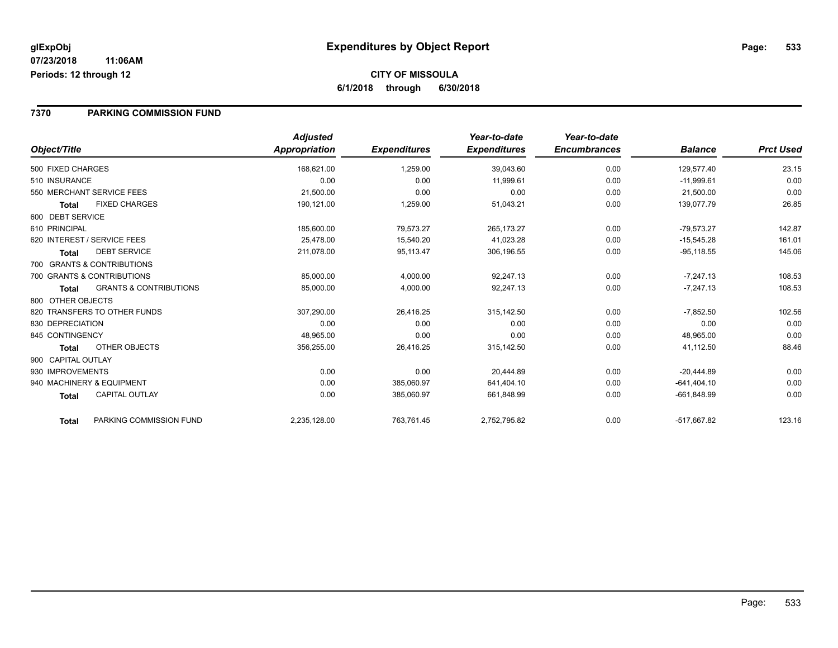### **7370 PARKING COMMISSION FUND**

|                             |                                   | <b>Adjusted</b> |                     | Year-to-date        | Year-to-date        |                |                  |
|-----------------------------|-----------------------------------|-----------------|---------------------|---------------------|---------------------|----------------|------------------|
| Object/Title                |                                   | Appropriation   | <b>Expenditures</b> | <b>Expenditures</b> | <b>Encumbrances</b> | <b>Balance</b> | <b>Prct Used</b> |
| 500 FIXED CHARGES           |                                   | 168,621.00      | 1,259.00            | 39,043.60           | 0.00                | 129,577.40     | 23.15            |
| 510 INSURANCE               |                                   | 0.00            | 0.00                | 11,999.61           | 0.00                | $-11,999.61$   | 0.00             |
| 550 MERCHANT SERVICE FEES   |                                   | 21,500.00       | 0.00                | 0.00                | 0.00                | 21,500.00      | 0.00             |
| Total                       | <b>FIXED CHARGES</b>              | 190,121.00      | 1,259.00            | 51,043.21           | 0.00                | 139,077.79     | 26.85            |
| 600 DEBT SERVICE            |                                   |                 |                     |                     |                     |                |                  |
| 610 PRINCIPAL               |                                   | 185,600.00      | 79,573.27           | 265,173.27          | 0.00                | $-79,573.27$   | 142.87           |
| 620 INTEREST / SERVICE FEES |                                   | 25,478.00       | 15,540.20           | 41,023.28           | 0.00                | $-15,545.28$   | 161.01           |
| <b>Total</b>                | <b>DEBT SERVICE</b>               | 211,078.00      | 95,113.47           | 306,196.55          | 0.00                | $-95,118.55$   | 145.06           |
| 700 GRANTS & CONTRIBUTIONS  |                                   |                 |                     |                     |                     |                |                  |
| 700 GRANTS & CONTRIBUTIONS  |                                   | 85,000.00       | 4,000.00            | 92,247.13           | 0.00                | $-7,247.13$    | 108.53           |
| <b>Total</b>                | <b>GRANTS &amp; CONTRIBUTIONS</b> | 85,000.00       | 4,000.00            | 92,247.13           | 0.00                | $-7,247.13$    | 108.53           |
| 800 OTHER OBJECTS           |                                   |                 |                     |                     |                     |                |                  |
|                             | 820 TRANSFERS TO OTHER FUNDS      | 307,290.00      | 26,416.25           | 315,142.50          | 0.00                | $-7,852.50$    | 102.56           |
| 830 DEPRECIATION            |                                   | 0.00            | 0.00                | 0.00                | 0.00                | 0.00           | 0.00             |
| 845 CONTINGENCY             |                                   | 48,965.00       | 0.00                | 0.00                | 0.00                | 48,965.00      | 0.00             |
| <b>Total</b>                | OTHER OBJECTS                     | 356,255.00      | 26,416.25           | 315,142.50          | 0.00                | 41,112.50      | 88.46            |
| 900 CAPITAL OUTLAY          |                                   |                 |                     |                     |                     |                |                  |
| 930 IMPROVEMENTS            |                                   | 0.00            | 0.00                | 20,444.89           | 0.00                | $-20,444.89$   | 0.00             |
| 940 MACHINERY & EQUIPMENT   |                                   | 0.00            | 385,060.97          | 641,404.10          | 0.00                | $-641,404.10$  | 0.00             |
| <b>Total</b>                | <b>CAPITAL OUTLAY</b>             | 0.00            | 385,060.97          | 661,848.99          | 0.00                | $-661,848.99$  | 0.00             |
| <b>Total</b>                | PARKING COMMISSION FUND           | 2,235,128.00    | 763,761.45          | 2,752,795.82        | 0.00                | $-517,667.82$  | 123.16           |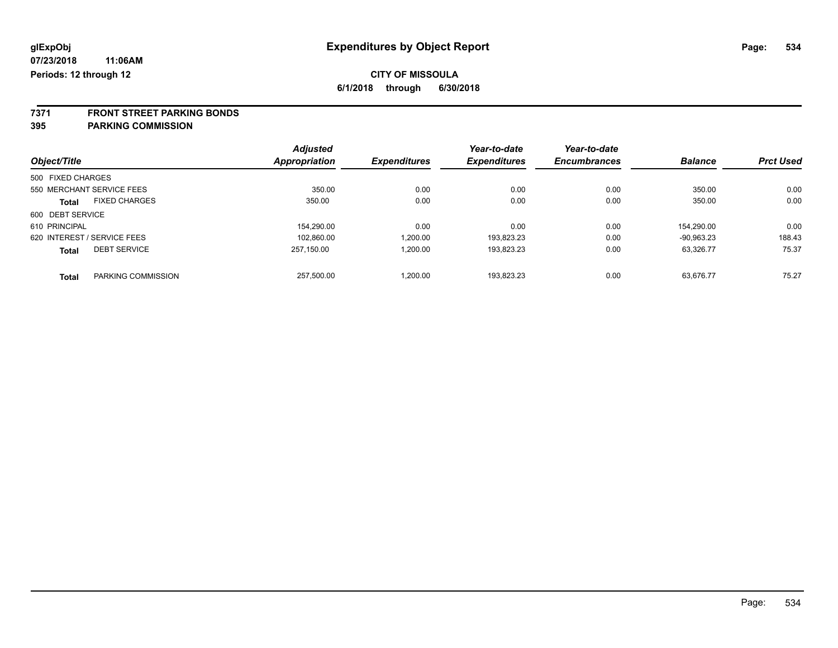# **7371 FRONT STREET PARKING BONDS**

### **395 PARKING COMMISSION**

|                             |                      | <b>Adjusted</b> |                     | Year-to-date        | Year-to-date        |                |                  |
|-----------------------------|----------------------|-----------------|---------------------|---------------------|---------------------|----------------|------------------|
| Object/Title                |                      | Appropriation   | <b>Expenditures</b> | <b>Expenditures</b> | <b>Encumbrances</b> | <b>Balance</b> | <b>Prct Used</b> |
| 500 FIXED CHARGES           |                      |                 |                     |                     |                     |                |                  |
| 550 MERCHANT SERVICE FEES   |                      | 350.00          | 0.00                | 0.00                | 0.00                | 350.00         | 0.00             |
| <b>Total</b>                | <b>FIXED CHARGES</b> | 350.00          | 0.00                | 0.00                | 0.00                | 350.00         | 0.00             |
| 600 DEBT SERVICE            |                      |                 |                     |                     |                     |                |                  |
| 610 PRINCIPAL               |                      | 154.290.00      | 0.00                | 0.00                | 0.00                | 154.290.00     | 0.00             |
| 620 INTEREST / SERVICE FEES |                      | 102.860.00      | 1,200.00            | 193,823.23          | 0.00                | $-90.963.23$   | 188.43           |
| <b>Total</b>                | <b>DEBT SERVICE</b>  | 257.150.00      | 1,200.00            | 193,823.23          | 0.00                | 63,326.77      | 75.37            |
| <b>Total</b>                | PARKING COMMISSION   | 257.500.00      | 1.200.00            | 193.823.23          | 0.00                | 63.676.77      | 75.27            |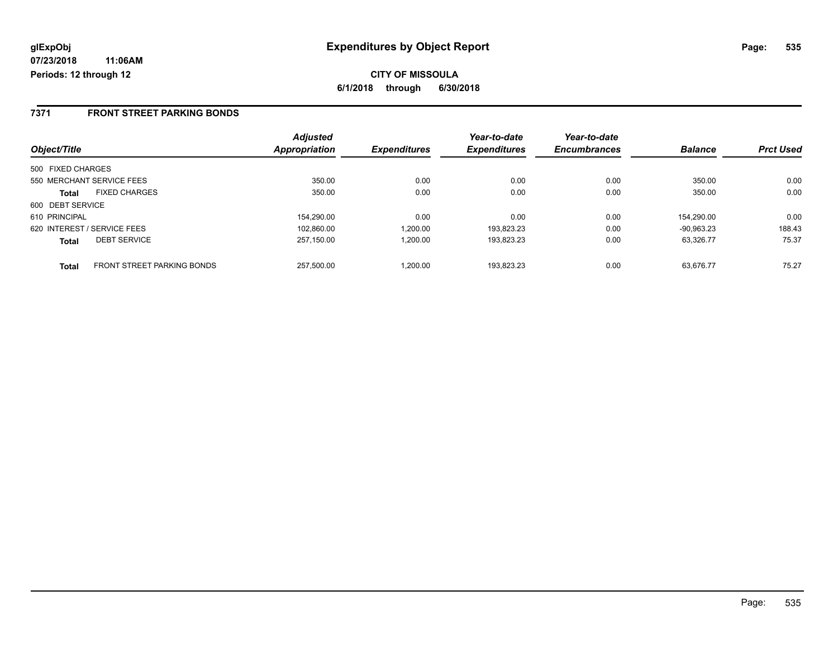### **7371 FRONT STREET PARKING BONDS**

| Object/Title                                      | <b>Adjusted</b><br>Appropriation | <b>Expenditures</b> | Year-to-date<br><b>Expenditures</b> | Year-to-date<br><b>Encumbrances</b> | <b>Balance</b> | <b>Prct Used</b> |
|---------------------------------------------------|----------------------------------|---------------------|-------------------------------------|-------------------------------------|----------------|------------------|
|                                                   |                                  |                     |                                     |                                     |                |                  |
| 500 FIXED CHARGES                                 |                                  |                     |                                     |                                     |                |                  |
| 550 MERCHANT SERVICE FEES                         | 350.00                           | 0.00                | 0.00                                | 0.00                                | 350.00         | 0.00             |
| <b>FIXED CHARGES</b><br><b>Total</b>              | 350.00                           | 0.00                | 0.00                                | 0.00                                | 350.00         | 0.00             |
| 600 DEBT SERVICE                                  |                                  |                     |                                     |                                     |                |                  |
| 610 PRINCIPAL                                     | 154.290.00                       | 0.00                | 0.00                                | 0.00                                | 154.290.00     | 0.00             |
| 620 INTEREST / SERVICE FEES                       | 102,860.00                       | 1.200.00            | 193.823.23                          | 0.00                                | $-90.963.23$   | 188.43           |
| <b>DEBT SERVICE</b><br><b>Total</b>               | 257.150.00                       | 1.200.00            | 193.823.23                          | 0.00                                | 63.326.77      | 75.37            |
| <b>FRONT STREET PARKING BONDS</b><br><b>Total</b> | 257.500.00                       | 1.200.00            | 193.823.23                          | 0.00                                | 63.676.77      | 75.27            |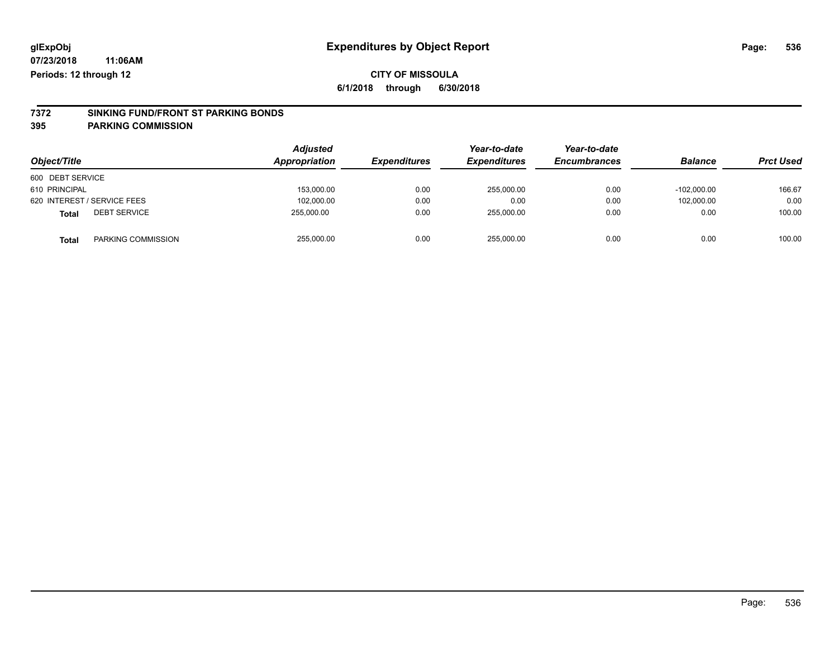# **7372 SINKING FUND/FRONT ST PARKING BONDS**

**395 PARKING COMMISSION**

| Object/Title                        | <b>Adjusted</b><br>Appropriation | <b>Expenditures</b> | Year-to-date<br><b>Expenditures</b> | Year-to-date<br><b>Encumbrances</b> | <b>Balance</b> | <b>Prct Used</b> |
|-------------------------------------|----------------------------------|---------------------|-------------------------------------|-------------------------------------|----------------|------------------|
| 600 DEBT SERVICE                    |                                  |                     |                                     |                                     |                |                  |
| 610 PRINCIPAL                       | 153,000.00                       | 0.00                | 255.000.00                          | 0.00                                | $-102.000.00$  | 166.67           |
| 620 INTEREST / SERVICE FEES         | 102,000.00                       | 0.00                | 0.00                                | 0.00                                | 102.000.00     | 0.00             |
| <b>DEBT SERVICE</b><br><b>Total</b> | 255,000.00                       | 0.00                | 255,000.00                          | 0.00                                | 0.00           | 100.00           |
| PARKING COMMISSION<br>Total         | 255,000.00                       | 0.00                | 255.000.00                          | 0.00                                | 0.00           | 100.00           |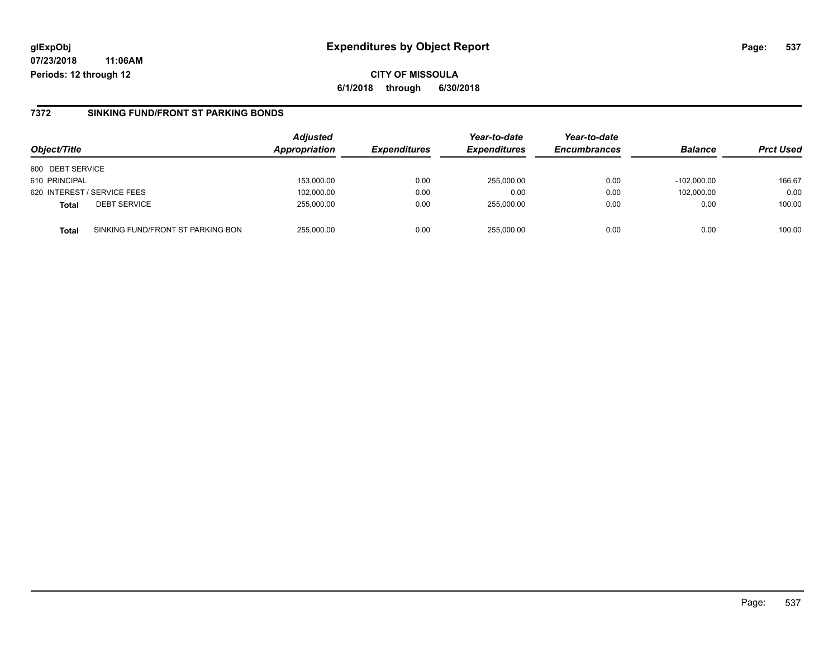## **glExpObj Expenditures by Object Report Page: 537**

**07/23/2018 11:06AM Periods: 12 through 12**

**CITY OF MISSOULA 6/1/2018 through 6/30/2018**

### **7372 SINKING FUND/FRONT ST PARKING BONDS**

| Object/Title                        |                                   | <b>Adjusted</b><br>Appropriation | <b>Expenditures</b> | Year-to-date<br><b>Expenditures</b> | Year-to-date<br><b>Encumbrances</b> | <b>Balance</b> | <b>Prct Used</b> |
|-------------------------------------|-----------------------------------|----------------------------------|---------------------|-------------------------------------|-------------------------------------|----------------|------------------|
| 600 DEBT SERVICE                    |                                   |                                  |                     |                                     |                                     |                |                  |
| 610 PRINCIPAL                       |                                   | 153,000.00                       | 0.00                | 255,000.00                          | 0.00                                | $-102.000.00$  | 166.67           |
| 620 INTEREST / SERVICE FEES         |                                   | 102,000.00                       | 0.00                | 0.00                                | 0.00                                | 102.000.00     | 0.00             |
| <b>DEBT SERVICE</b><br><b>Total</b> |                                   | 255,000.00                       | 0.00                | 255,000.00                          | 0.00                                | 0.00           | 100.00           |
| <b>Total</b>                        | SINKING FUND/FRONT ST PARKING BON | 255,000.00                       | 0.00                | 255.000.00                          | 0.00                                | 0.00           | 100.00           |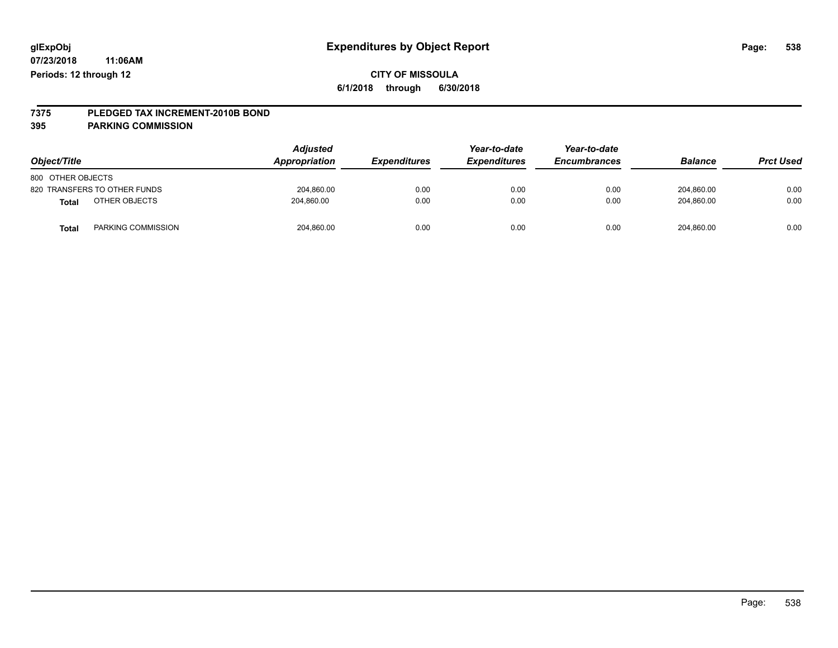# **7375 PLEDGED TAX INCREMENT-2010B BOND**

### **395 PARKING COMMISSION**

| Object/Title                       | <b>Adjusted</b><br><b>Appropriation</b> | <b>Expenditures</b> | Year-to-date<br><b>Expenditures</b> | Year-to-date<br><b>Encumbrances</b> | <b>Balance</b> | <b>Prct Used</b> |
|------------------------------------|-----------------------------------------|---------------------|-------------------------------------|-------------------------------------|----------------|------------------|
| 800 OTHER OBJECTS                  |                                         |                     |                                     |                                     |                |                  |
| 820 TRANSFERS TO OTHER FUNDS       | 204,860.00                              | 0.00                | 0.00                                | 0.00                                | 204.860.00     | 0.00             |
| OTHER OBJECTS<br><b>Total</b>      | 204.860.00                              | 0.00                | 0.00                                | 0.00                                | 204.860.00     | 0.00             |
| PARKING COMMISSION<br><b>Total</b> | 204,860.00                              | 0.00                | 0.00                                | 0.00                                | 204.860.00     | 0.00             |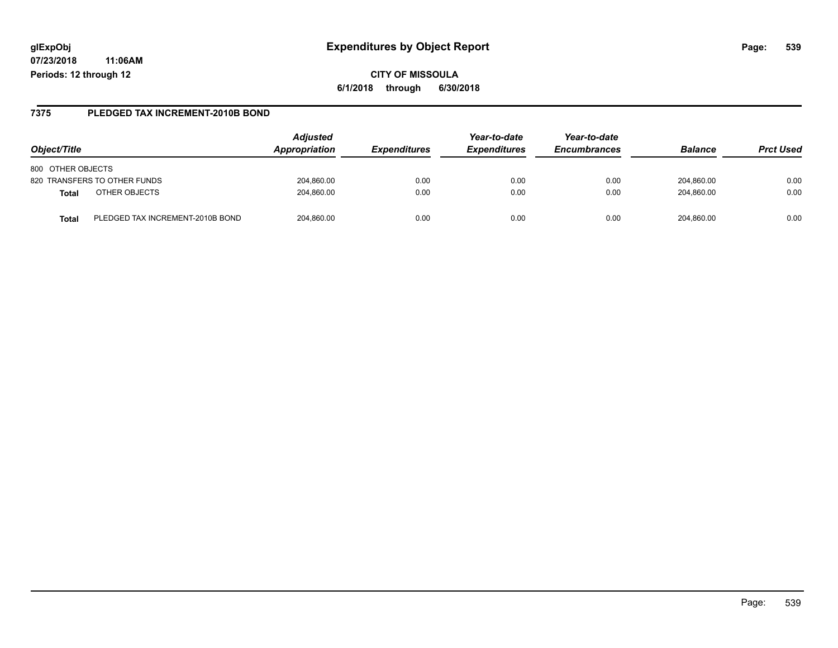**CITY OF MISSOULA 6/1/2018 through 6/30/2018**

### **7375 PLEDGED TAX INCREMENT-2010B BOND**

| Object/Title                              | <b>Adjusted</b><br>Appropriation | <b>Expenditures</b> | Year-to-date<br><b>Expenditures</b> | Year-to-date<br><b>Encumbrances</b> | <b>Balance</b> | <b>Prct Used</b> |
|-------------------------------------------|----------------------------------|---------------------|-------------------------------------|-------------------------------------|----------------|------------------|
| 800 OTHER OBJECTS                         |                                  |                     |                                     |                                     |                |                  |
| 820 TRANSFERS TO OTHER FUNDS              | 204,860.00                       | 0.00                | 0.00                                | 0.00                                | 204.860.00     | 0.00             |
| OTHER OBJECTS<br>Total                    | 204,860.00                       | 0.00                | 0.00                                | 0.00                                | 204.860.00     | 0.00             |
| PLEDGED TAX INCREMENT-2010B BOND<br>Total | 204.860.00                       | 0.00                | 0.00                                | 0.00                                | 204.860.00     | 0.00             |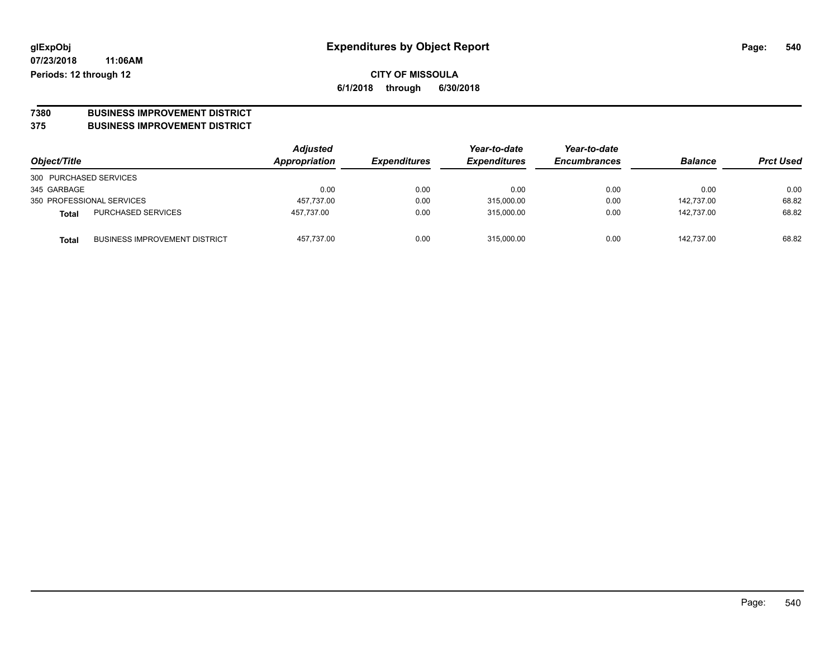# **7380 BUSINESS IMPROVEMENT DISTRICT**

## **375 BUSINESS IMPROVEMENT DISTRICT**

| Object/Title           |                                      | <b>Adjusted</b><br>Appropriation | <b>Expenditures</b> | Year-to-date<br><b>Expenditures</b> | Year-to-date<br><b>Encumbrances</b> | <b>Balance</b> | <b>Prct Used</b> |
|------------------------|--------------------------------------|----------------------------------|---------------------|-------------------------------------|-------------------------------------|----------------|------------------|
| 300 PURCHASED SERVICES |                                      |                                  |                     |                                     |                                     |                |                  |
| 345 GARBAGE            |                                      | 0.00                             | 0.00                | 0.00                                | 0.00                                | 0.00           | 0.00             |
|                        | 350 PROFESSIONAL SERVICES            | 457.737.00                       | 0.00                | 315.000.00                          | 0.00                                | 142.737.00     | 68.82            |
| <b>Total</b>           | <b>PURCHASED SERVICES</b>            | 457.737.00                       | 0.00                | 315,000.00                          | 0.00                                | 142.737.00     | 68.82            |
| <b>Total</b>           | <b>BUSINESS IMPROVEMENT DISTRICT</b> | 457,737.00                       | 0.00                | 315,000.00                          | 0.00                                | 142.737.00     | 68.82            |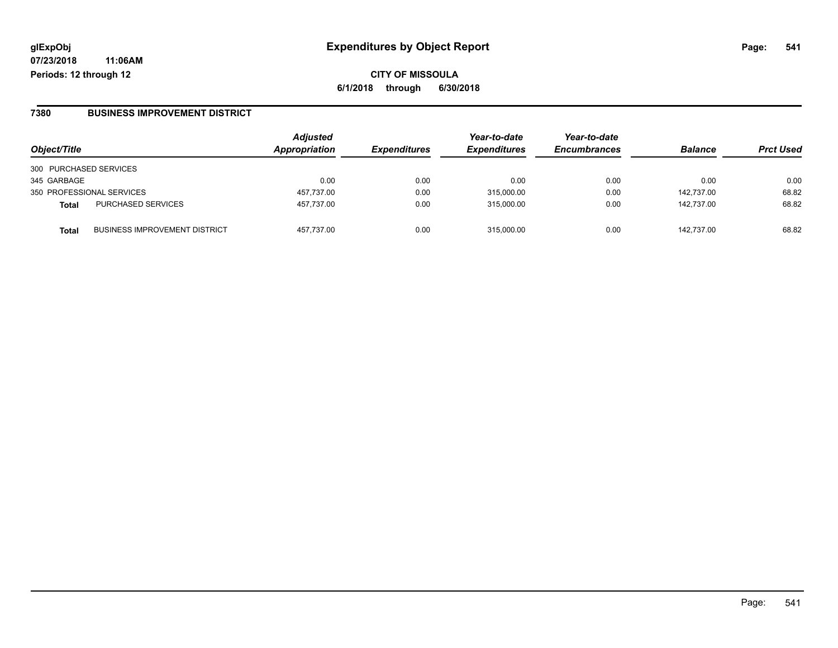**CITY OF MISSOULA 6/1/2018 through 6/30/2018**

#### **7380 BUSINESS IMPROVEMENT DISTRICT**

| Object/Title           |                                      | <b>Adjusted</b><br>Appropriation | <b>Expenditures</b> | Year-to-date<br><b>Expenditures</b> | Year-to-date<br><b>Encumbrances</b> | <b>Balance</b> | <b>Prct Used</b> |
|------------------------|--------------------------------------|----------------------------------|---------------------|-------------------------------------|-------------------------------------|----------------|------------------|
| 300 PURCHASED SERVICES |                                      |                                  |                     |                                     |                                     |                |                  |
| 345 GARBAGE            |                                      | 0.00                             | 0.00                | 0.00                                | 0.00                                | 0.00           | 0.00             |
|                        | 350 PROFESSIONAL SERVICES            | 457,737.00                       | 0.00                | 315,000.00                          | 0.00                                | 142.737.00     | 68.82            |
| <b>Total</b>           | <b>PURCHASED SERVICES</b>            | 457,737.00                       | 0.00                | 315,000.00                          | 0.00                                | 142.737.00     | 68.82            |
| <b>Total</b>           | <b>BUSINESS IMPROVEMENT DISTRICT</b> | 457.737.00                       | 0.00                | 315,000.00                          | 0.00                                | 142.737.00     | 68.82            |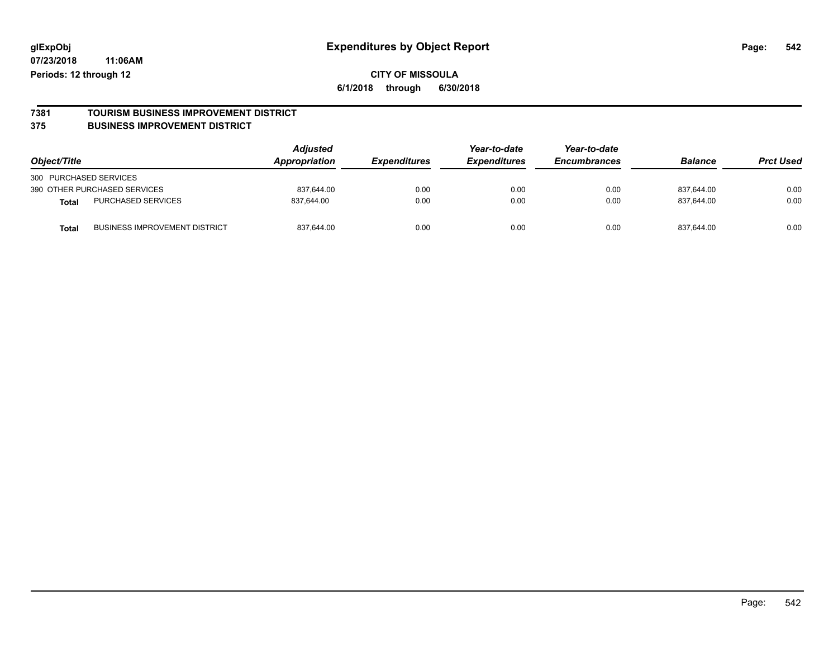# **7381 TOURISM BUSINESS IMPROVEMENT DISTRICT**

### **375 BUSINESS IMPROVEMENT DISTRICT**

| Object/Title                                         | Adjusted<br>Appropriation | <b>Expenditures</b> | Year-to-date<br><b>Expenditures</b> | Year-to-date<br><b>Encumbrances</b> | <b>Balance</b> | <b>Prct Used</b> |
|------------------------------------------------------|---------------------------|---------------------|-------------------------------------|-------------------------------------|----------------|------------------|
| 300 PURCHASED SERVICES                               |                           |                     |                                     |                                     |                |                  |
| 390 OTHER PURCHASED SERVICES                         | 837,644.00                | 0.00                | 0.00                                | 0.00                                | 837.644.00     | 0.00             |
| <b>PURCHASED SERVICES</b><br><b>Total</b>            | 837.644.00                | 0.00                | 0.00                                | 0.00                                | 837.644.00     | 0.00             |
| <b>BUSINESS IMPROVEMENT DISTRICT</b><br><b>Total</b> | 837,644.00                | 0.00                | 0.00                                | 0.00                                | 837.644.00     | 0.00             |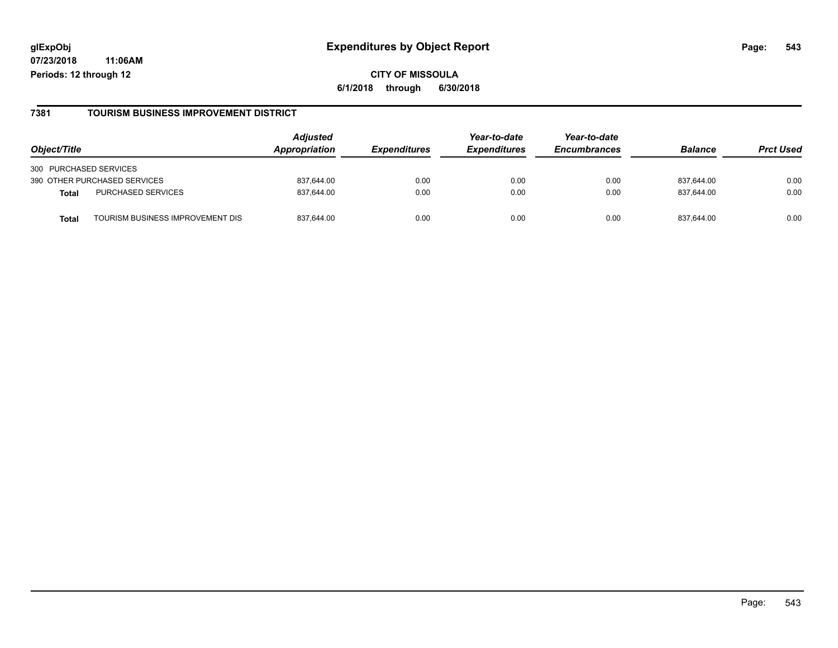**CITY OF MISSOULA 6/1/2018 through 6/30/2018**

#### **7381 TOURISM BUSINESS IMPROVEMENT DISTRICT**

| Object/Title                             | <b>Adjusted</b><br>Appropriation | <i><b>Expenditures</b></i> | Year-to-date<br><b>Expenditures</b> | Year-to-date<br><b>Encumbrances</b> | <b>Balance</b> | <b>Prct Used</b> |
|------------------------------------------|----------------------------------|----------------------------|-------------------------------------|-------------------------------------|----------------|------------------|
| 300 PURCHASED SERVICES                   |                                  |                            |                                     |                                     |                |                  |
| 390 OTHER PURCHASED SERVICES             | 837.644.00                       | 0.00                       | 0.00                                | 0.00                                | 837.644.00     | 0.00             |
| PURCHASED SERVICES<br><b>Total</b>       | 837.644.00                       | 0.00                       | 0.00                                | 0.00                                | 837.644.00     | 0.00             |
| TOURISM BUSINESS IMPROVEMENT DIS<br>Tota | 837.644.00                       | 0.00                       | 0.00                                | 0.00                                | 837.644.00     | 0.00             |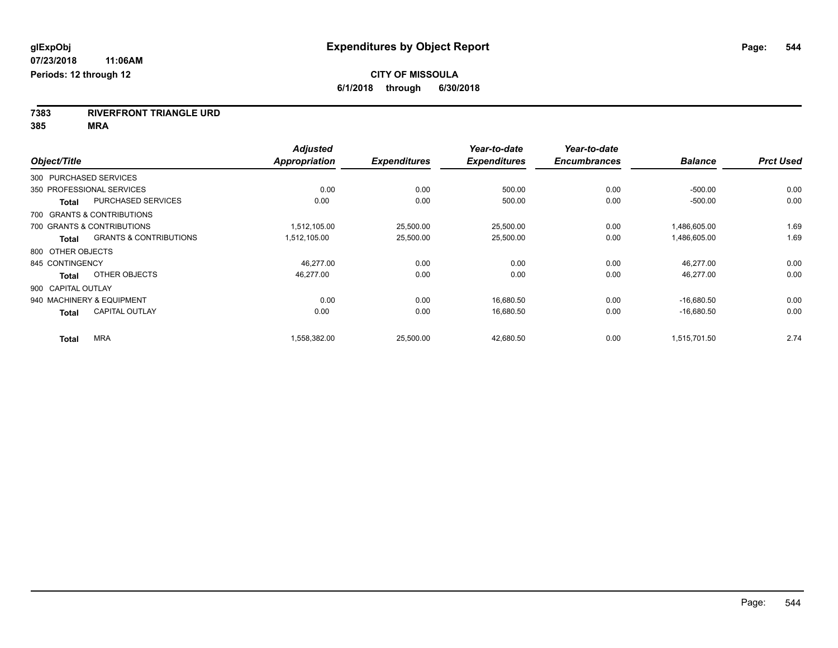**7383 RIVERFRONT TRIANGLE URD**

|                 |                                   | <b>Adjusted</b> |                     | Year-to-date        | Year-to-date        |                |                  |
|-----------------|-----------------------------------|-----------------|---------------------|---------------------|---------------------|----------------|------------------|
| Object/Title    |                                   | Appropriation   | <b>Expenditures</b> | <b>Expenditures</b> | <b>Encumbrances</b> | <b>Balance</b> | <b>Prct Used</b> |
|                 | 300 PURCHASED SERVICES            |                 |                     |                     |                     |                |                  |
|                 | 350 PROFESSIONAL SERVICES         | 0.00            | 0.00                | 500.00              | 0.00                | $-500.00$      | 0.00             |
| <b>Total</b>    | <b>PURCHASED SERVICES</b>         | 0.00            | 0.00                | 500.00              | 0.00                | $-500.00$      | 0.00             |
|                 | 700 GRANTS & CONTRIBUTIONS        |                 |                     |                     |                     |                |                  |
|                 | 700 GRANTS & CONTRIBUTIONS        | 1,512,105.00    | 25,500.00           | 25,500.00           | 0.00                | 1,486,605.00   | 1.69             |
| Total           | <b>GRANTS &amp; CONTRIBUTIONS</b> | 1,512,105.00    | 25,500.00           | 25,500.00           | 0.00                | 1,486,605.00   | 1.69             |
|                 | 800 OTHER OBJECTS                 |                 |                     |                     |                     |                |                  |
| 845 CONTINGENCY |                                   | 46,277.00       | 0.00                | 0.00                | 0.00                | 46,277.00      | 0.00             |
| <b>Total</b>    | OTHER OBJECTS                     | 46,277.00       | 0.00                | 0.00                | 0.00                | 46,277.00      | 0.00             |
|                 | 900 CAPITAL OUTLAY                |                 |                     |                     |                     |                |                  |
|                 | 940 MACHINERY & EQUIPMENT         | 0.00            | 0.00                | 16,680.50           | 0.00                | $-16,680.50$   | 0.00             |
| <b>Total</b>    | <b>CAPITAL OUTLAY</b>             | 0.00            | 0.00                | 16,680.50           | 0.00                | $-16,680.50$   | 0.00             |
| <b>Total</b>    | <b>MRA</b>                        | 1,558,382.00    | 25,500.00           | 42,680.50           | 0.00                | 1,515,701.50   | 2.74             |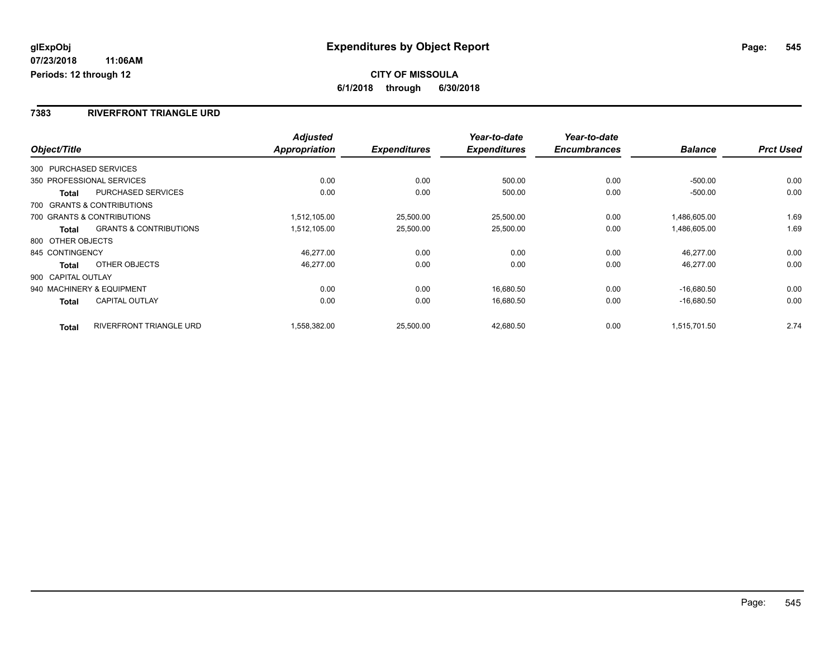### **7383 RIVERFRONT TRIANGLE URD**

|                    |                                   | <b>Adjusted</b> |                     | Year-to-date        | Year-to-date        |                |                  |
|--------------------|-----------------------------------|-----------------|---------------------|---------------------|---------------------|----------------|------------------|
| Object/Title       |                                   | Appropriation   | <b>Expenditures</b> | <b>Expenditures</b> | <b>Encumbrances</b> | <b>Balance</b> | <b>Prct Used</b> |
|                    | 300 PURCHASED SERVICES            |                 |                     |                     |                     |                |                  |
|                    | 350 PROFESSIONAL SERVICES         | 0.00            | 0.00                | 500.00              | 0.00                | $-500.00$      | 0.00             |
| Total              | <b>PURCHASED SERVICES</b>         | 0.00            | 0.00                | 500.00              | 0.00                | $-500.00$      | 0.00             |
|                    | 700 GRANTS & CONTRIBUTIONS        |                 |                     |                     |                     |                |                  |
|                    | 700 GRANTS & CONTRIBUTIONS        | 1,512,105.00    | 25,500.00           | 25,500.00           | 0.00                | 1,486,605.00   | 1.69             |
| <b>Total</b>       | <b>GRANTS &amp; CONTRIBUTIONS</b> | 1,512,105.00    | 25,500.00           | 25,500.00           | 0.00                | 1,486,605.00   | 1.69             |
| 800 OTHER OBJECTS  |                                   |                 |                     |                     |                     |                |                  |
| 845 CONTINGENCY    |                                   | 46,277.00       | 0.00                | 0.00                | 0.00                | 46,277.00      | 0.00             |
| Total              | <b>OTHER OBJECTS</b>              | 46,277.00       | 0.00                | 0.00                | 0.00                | 46,277.00      | 0.00             |
| 900 CAPITAL OUTLAY |                                   |                 |                     |                     |                     |                |                  |
|                    | 940 MACHINERY & EQUIPMENT         | 0.00            | 0.00                | 16,680.50           | 0.00                | $-16,680.50$   | 0.00             |
| Total              | <b>CAPITAL OUTLAY</b>             | 0.00            | 0.00                | 16,680.50           | 0.00                | $-16,680.50$   | 0.00             |
| <b>Total</b>       | RIVERFRONT TRIANGLE URD           | 1,558,382.00    | 25,500.00           | 42,680.50           | 0.00                | 1,515,701.50   | 2.74             |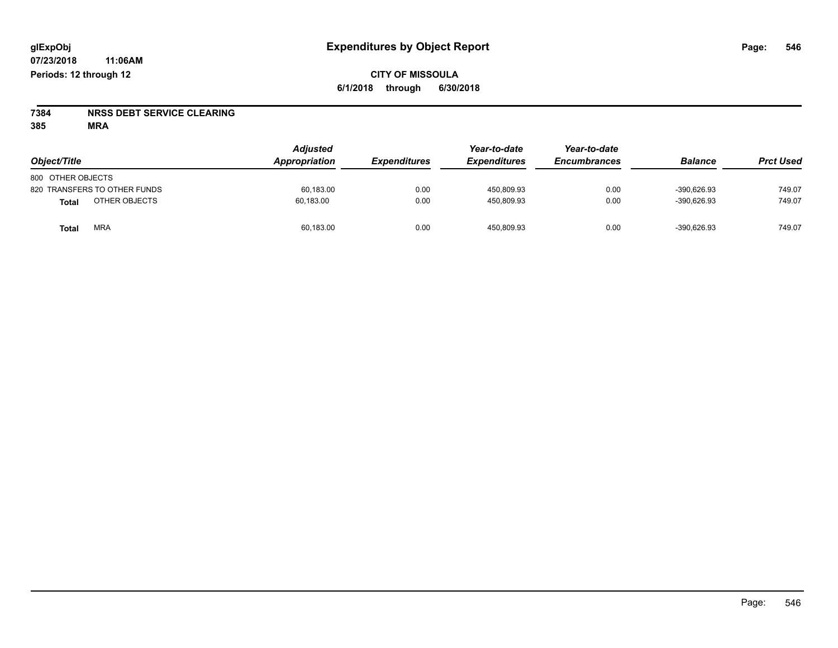## **CITY OF MISSOULA 6/1/2018 through 6/30/2018**

# **7384 NRSS DEBT SERVICE CLEARING**

| Object/Title                  | <b>Adjusted</b><br>Appropriation | <b>Expenditures</b> | Year-to-date<br><b>Expenditures</b> | Year-to-date<br><b>Encumbrances</b> | <b>Balance</b> | <b>Prct Used</b> |
|-------------------------------|----------------------------------|---------------------|-------------------------------------|-------------------------------------|----------------|------------------|
|                               |                                  |                     |                                     |                                     |                |                  |
| 800 OTHER OBJECTS             |                                  |                     |                                     |                                     |                |                  |
| 820 TRANSFERS TO OTHER FUNDS  | 60,183.00                        | 0.00                | 450,809.93                          | 0.00                                | -390.626.93    | 749.07           |
| OTHER OBJECTS<br><b>Total</b> | 60,183.00                        | 0.00                | 450.809.93                          | 0.00                                | $-390.626.93$  | 749.07           |
| MRA<br>Total                  | 60,183.00                        | 0.00                | 450,809.93                          | 0.00                                | $-390.626.93$  | 749.07           |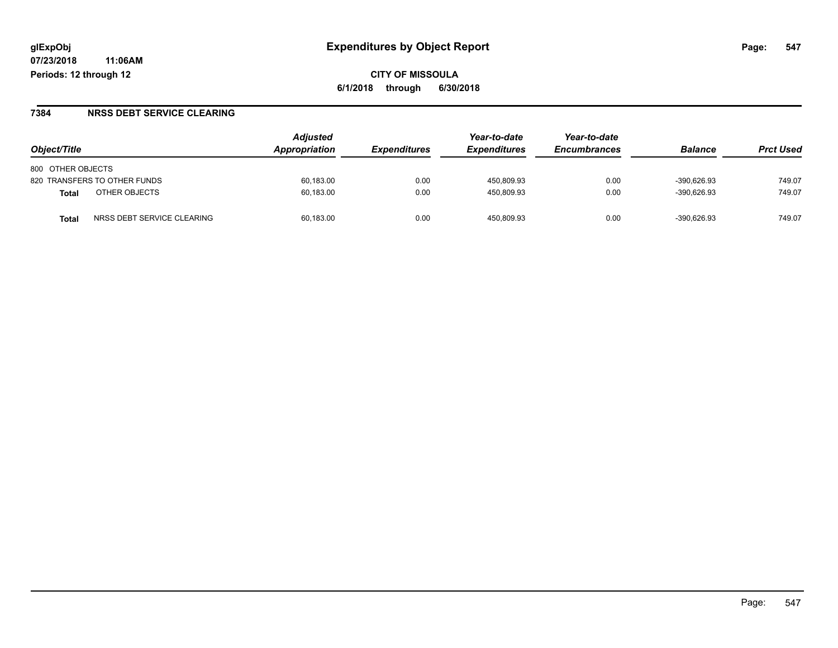**CITY OF MISSOULA 6/1/2018 through 6/30/2018**

#### **7384 NRSS DEBT SERVICE CLEARING**

|                                            | <b>Adjusted</b> |                     | Year-to-date        | Year-to-date        |                |                  |
|--------------------------------------------|-----------------|---------------------|---------------------|---------------------|----------------|------------------|
| Object/Title                               | Appropriation   | <b>Expenditures</b> | <b>Expenditures</b> | <b>Encumbrances</b> | <b>Balance</b> | <b>Prct Used</b> |
| 800 OTHER OBJECTS                          |                 |                     |                     |                     |                |                  |
| 820 TRANSFERS TO OTHER FUNDS               | 60.183.00       | 0.00                | 450.809.93          | 0.00                | $-390.626.93$  | 749.07           |
| OTHER OBJECTS<br>Total                     | 60,183.00       | 0.00                | 450.809.93          | 0.00                | -390.626.93    | 749.07           |
| NRSS DEBT SERVICE CLEARING<br><b>Total</b> | 60.183.00       | 0.00                | 450.809.93          | 0.00                | $-390.626.93$  | 749.07           |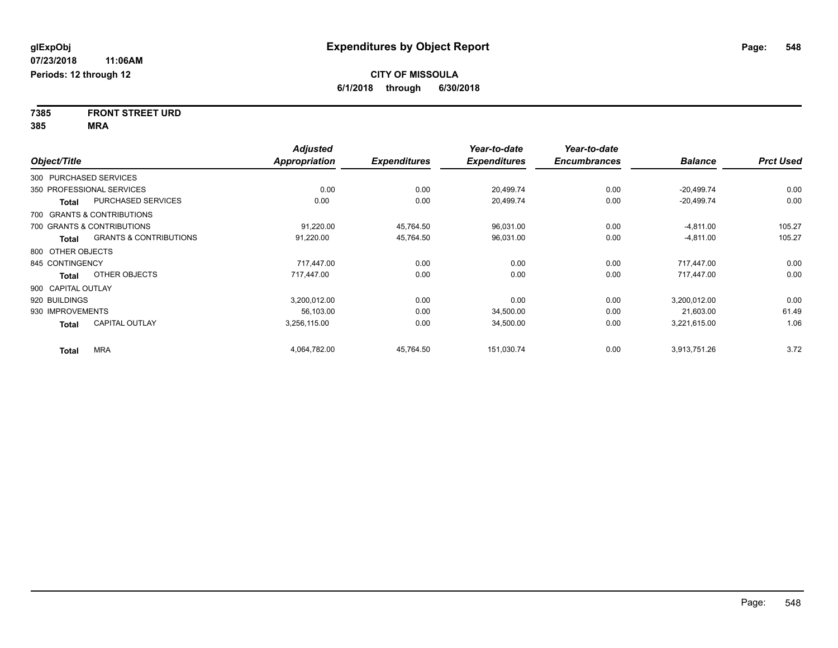**7385 FRONT STREET URD 385 MRA**

|                        |                                   | <b>Adjusted</b>      |                     | Year-to-date        | Year-to-date        |                |                  |
|------------------------|-----------------------------------|----------------------|---------------------|---------------------|---------------------|----------------|------------------|
| Object/Title           |                                   | <b>Appropriation</b> | <b>Expenditures</b> | <b>Expenditures</b> | <b>Encumbrances</b> | <b>Balance</b> | <b>Prct Used</b> |
| 300 PURCHASED SERVICES |                                   |                      |                     |                     |                     |                |                  |
|                        | 350 PROFESSIONAL SERVICES         | 0.00                 | 0.00                | 20,499.74           | 0.00                | $-20.499.74$   | 0.00             |
| <b>Total</b>           | <b>PURCHASED SERVICES</b>         | 0.00                 | 0.00                | 20,499.74           | 0.00                | $-20.499.74$   | 0.00             |
|                        | 700 GRANTS & CONTRIBUTIONS        |                      |                     |                     |                     |                |                  |
|                        | 700 GRANTS & CONTRIBUTIONS        | 91,220.00            | 45,764.50           | 96,031.00           | 0.00                | $-4,811.00$    | 105.27           |
| Total                  | <b>GRANTS &amp; CONTRIBUTIONS</b> | 91,220.00            | 45,764.50           | 96,031.00           | 0.00                | $-4,811.00$    | 105.27           |
| 800 OTHER OBJECTS      |                                   |                      |                     |                     |                     |                |                  |
| 845 CONTINGENCY        |                                   | 717,447.00           | 0.00                | 0.00                | 0.00                | 717,447.00     | 0.00             |
| Total                  | OTHER OBJECTS                     | 717,447.00           | 0.00                | 0.00                | 0.00                | 717,447.00     | 0.00             |
| 900 CAPITAL OUTLAY     |                                   |                      |                     |                     |                     |                |                  |
| 920 BUILDINGS          |                                   | 3,200,012.00         | 0.00                | 0.00                | 0.00                | 3,200,012.00   | 0.00             |
| 930 IMPROVEMENTS       |                                   | 56,103.00            | 0.00                | 34,500.00           | 0.00                | 21.603.00      | 61.49            |
| <b>Total</b>           | <b>CAPITAL OUTLAY</b>             | 3,256,115.00         | 0.00                | 34,500.00           | 0.00                | 3,221,615.00   | 1.06             |
| <b>Total</b>           | <b>MRA</b>                        | 4,064,782.00         | 45.764.50           | 151,030.74          | 0.00                | 3,913,751.26   | 3.72             |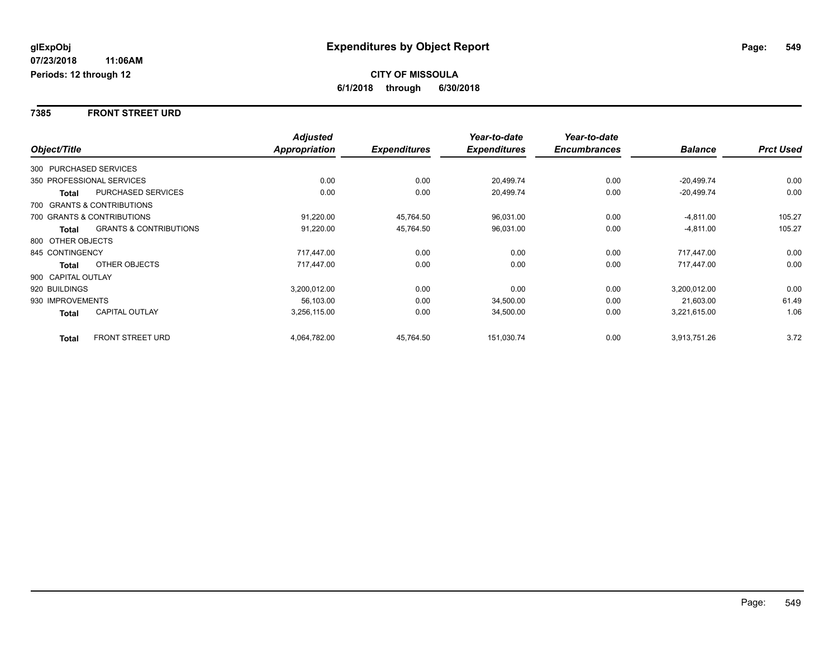#### **7385 FRONT STREET URD**

|                        |                                   | <b>Adjusted</b> |                     | Year-to-date        | Year-to-date        |                |                  |
|------------------------|-----------------------------------|-----------------|---------------------|---------------------|---------------------|----------------|------------------|
| Object/Title           |                                   | Appropriation   | <b>Expenditures</b> | <b>Expenditures</b> | <b>Encumbrances</b> | <b>Balance</b> | <b>Prct Used</b> |
| 300 PURCHASED SERVICES |                                   |                 |                     |                     |                     |                |                  |
|                        | 350 PROFESSIONAL SERVICES         | 0.00            | 0.00                | 20,499.74           | 0.00                | $-20,499.74$   | 0.00             |
| Total                  | <b>PURCHASED SERVICES</b>         | 0.00            | 0.00                | 20,499.74           | 0.00                | $-20,499.74$   | 0.00             |
|                        | 700 GRANTS & CONTRIBUTIONS        |                 |                     |                     |                     |                |                  |
|                        | 700 GRANTS & CONTRIBUTIONS        | 91,220.00       | 45,764.50           | 96,031.00           | 0.00                | $-4,811.00$    | 105.27           |
| Total                  | <b>GRANTS &amp; CONTRIBUTIONS</b> | 91,220.00       | 45,764.50           | 96,031.00           | 0.00                | $-4,811.00$    | 105.27           |
| 800 OTHER OBJECTS      |                                   |                 |                     |                     |                     |                |                  |
| 845 CONTINGENCY        |                                   | 717.447.00      | 0.00                | 0.00                | 0.00                | 717.447.00     | 0.00             |
| Total                  | OTHER OBJECTS                     | 717,447.00      | 0.00                | 0.00                | 0.00                | 717,447.00     | 0.00             |
| 900 CAPITAL OUTLAY     |                                   |                 |                     |                     |                     |                |                  |
| 920 BUILDINGS          |                                   | 3,200,012.00    | 0.00                | 0.00                | 0.00                | 3,200,012.00   | 0.00             |
| 930 IMPROVEMENTS       |                                   | 56,103.00       | 0.00                | 34,500.00           | 0.00                | 21,603.00      | 61.49            |
| Total                  | <b>CAPITAL OUTLAY</b>             | 3,256,115.00    | 0.00                | 34,500.00           | 0.00                | 3,221,615.00   | 1.06             |
| <b>Total</b>           | <b>FRONT STREET URD</b>           | 4,064,782.00    | 45,764.50           | 151,030.74          | 0.00                | 3,913,751.26   | 3.72             |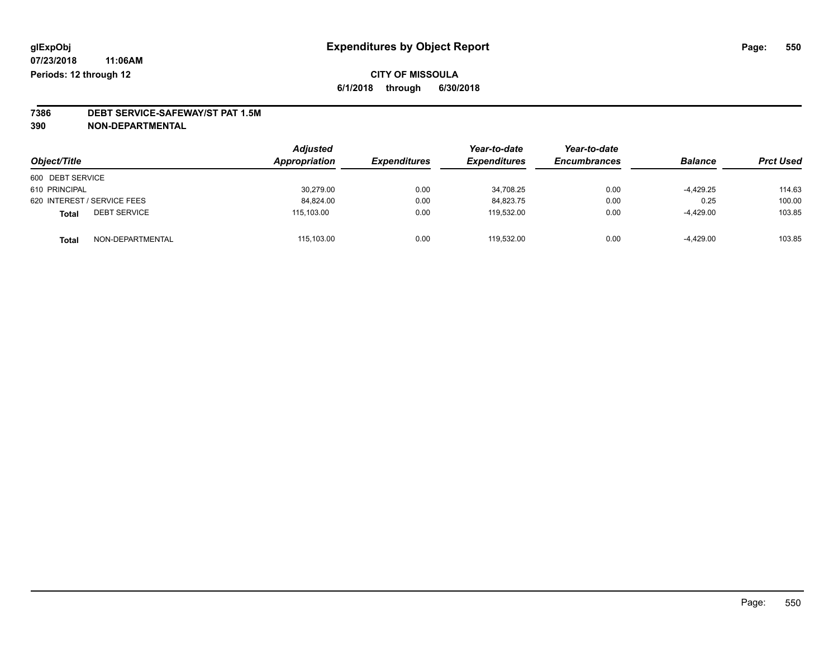## **7386 DEBT SERVICE-SAFEWAY/ST PAT 1.5M**

**390 NON-DEPARTMENTAL**

| Object/Title                        | <b>Adjusted</b><br><b>Appropriation</b> | <b>Expenditures</b> | Year-to-date<br><b>Expenditures</b> | Year-to-date<br><b>Encumbrances</b> | <b>Balance</b> | <b>Prct Used</b> |
|-------------------------------------|-----------------------------------------|---------------------|-------------------------------------|-------------------------------------|----------------|------------------|
| 600 DEBT SERVICE                    |                                         |                     |                                     |                                     |                |                  |
| 610 PRINCIPAL                       | 30,279.00                               | 0.00                | 34.708.25                           | 0.00                                | $-4,429.25$    | 114.63           |
| 620 INTEREST / SERVICE FEES         | 84,824.00                               | 0.00                | 84,823.75                           | 0.00                                | 0.25           | 100.00           |
| <b>DEBT SERVICE</b><br><b>Total</b> | 115,103.00                              | 0.00                | 119.532.00                          | 0.00                                | $-4,429.00$    | 103.85           |
| NON-DEPARTMENTAL<br><b>Total</b>    | 115.103.00                              | 0.00                | 119.532.00                          | 0.00                                | $-4,429.00$    | 103.85           |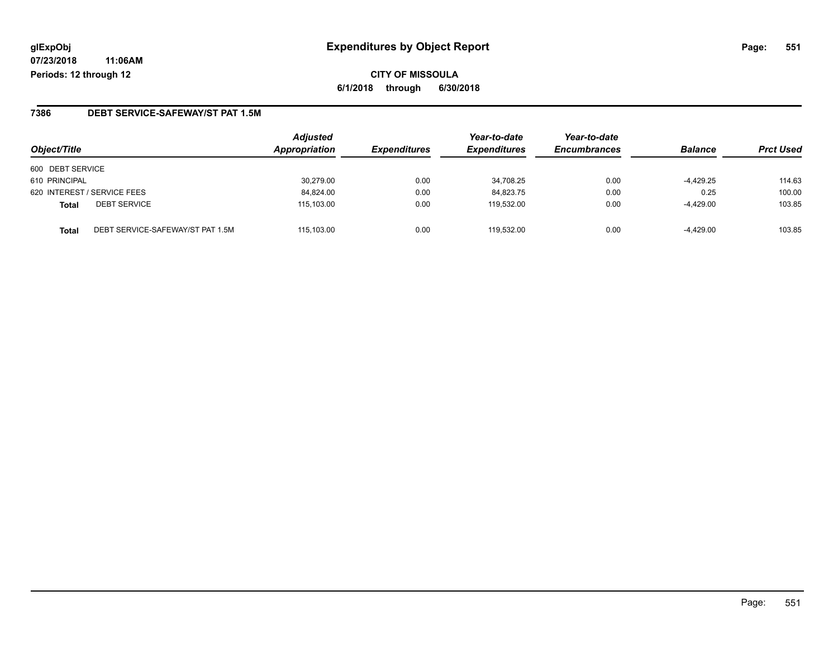**CITY OF MISSOULA 6/1/2018 through 6/30/2018**

### **7386 DEBT SERVICE-SAFEWAY/ST PAT 1.5M**

| Object/Title                                     | Adjusted<br>Appropriation | <b>Expenditures</b> | Year-to-date<br><b>Expenditures</b> | Year-to-date<br><b>Encumbrances</b> | <b>Balance</b> | <b>Prct Used</b> |
|--------------------------------------------------|---------------------------|---------------------|-------------------------------------|-------------------------------------|----------------|------------------|
| 600 DEBT SERVICE                                 |                           |                     |                                     |                                     |                |                  |
| 610 PRINCIPAL                                    | 30,279.00                 | 0.00                | 34,708.25                           | 0.00                                | $-4,429.25$    | 114.63           |
| 620 INTEREST / SERVICE FEES                      | 84,824.00                 | 0.00                | 84.823.75                           | 0.00                                | 0.25           | 100.00           |
| <b>DEBT SERVICE</b><br><b>Total</b>              | 115,103.00                | 0.00                | 119.532.00                          | 0.00                                | $-4,429.00$    | 103.85           |
| DEBT SERVICE-SAFEWAY/ST PAT 1.5M<br><b>Total</b> | 115.103.00                | 0.00                | 119.532.00                          | 0.00                                | $-4.429.00$    | 103.85           |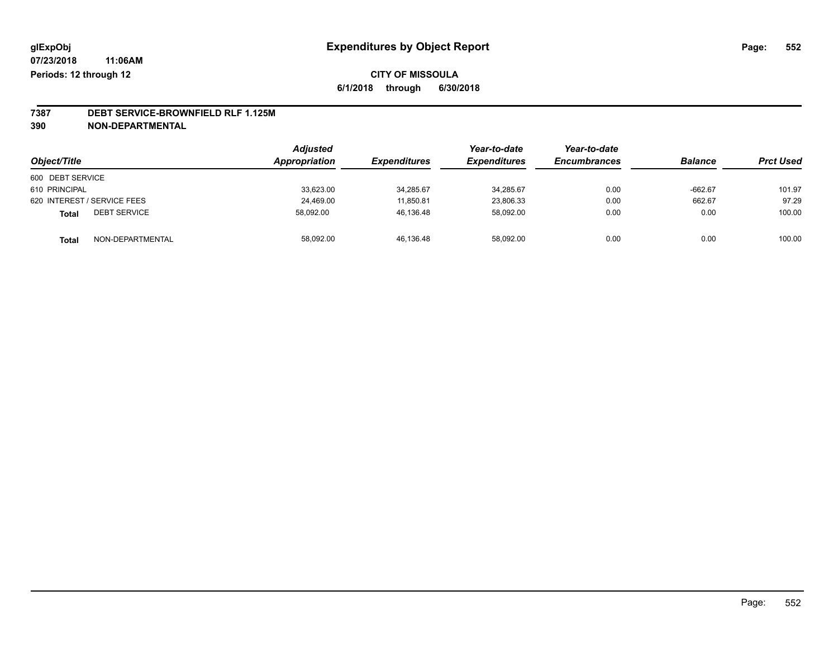## **7387 DEBT SERVICE-BROWNFIELD RLF 1.125M**

**390 NON-DEPARTMENTAL**

| Object/Title                        | <b>Adjusted</b><br>Appropriation | <b>Expenditures</b> | Year-to-date<br><b>Expenditures</b> | Year-to-date<br><b>Encumbrances</b> | <b>Balance</b> | <b>Prct Used</b> |
|-------------------------------------|----------------------------------|---------------------|-------------------------------------|-------------------------------------|----------------|------------------|
| 600 DEBT SERVICE                    |                                  |                     |                                     |                                     |                |                  |
| 610 PRINCIPAL                       | 33,623.00                        | 34,285.67           | 34,285.67                           | 0.00                                | $-662.67$      | 101.97           |
| 620 INTEREST / SERVICE FEES         | 24,469.00                        | 11,850.81           | 23,806.33                           | 0.00                                | 662.67         | 97.29            |
| <b>DEBT SERVICE</b><br><b>Total</b> | 58,092.00                        | 46,136.48           | 58,092.00                           | 0.00                                | 0.00           | 100.00           |
| NON-DEPARTMENTAL<br><b>Total</b>    | 58,092.00                        | 46,136.48           | 58,092.00                           | 0.00                                | 0.00           | 100.00           |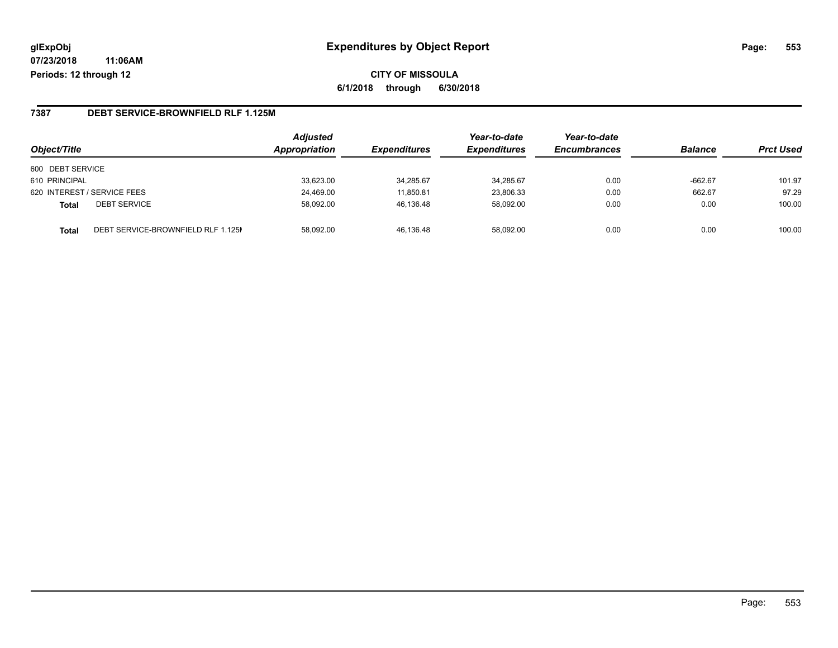## **glExpObj Expenditures by Object Report Page: 553**

**07/23/2018 11:06AM Periods: 12 through 12**

#### **7387 DEBT SERVICE-BROWNFIELD RLF 1.125M**

| Object/Title     |                                    | <b>Adjusted</b><br>Appropriation | <b>Expenditures</b> | Year-to-date<br><b>Expenditures</b> | Year-to-date<br><b>Encumbrances</b> | <b>Balance</b> | <b>Prct Used</b> |
|------------------|------------------------------------|----------------------------------|---------------------|-------------------------------------|-------------------------------------|----------------|------------------|
| 600 DEBT SERVICE |                                    |                                  |                     |                                     |                                     |                |                  |
| 610 PRINCIPAL    |                                    | 33,623.00                        | 34,285.67           | 34,285.67                           | 0.00                                | $-662.67$      | 101.97           |
|                  | 620 INTEREST / SERVICE FEES        | 24,469.00                        | 11.850.81           | 23,806.33                           | 0.00                                | 662.67         | 97.29            |
| <b>Total</b>     | <b>DEBT SERVICE</b>                | 58,092.00                        | 46,136.48           | 58.092.00                           | 0.00                                | 0.00           | 100.00           |
| <b>Total</b>     | DEBT SERVICE-BROWNFIELD RLF 1.125M | 58.092.00                        | 46.136.48           | 58.092.00                           | 0.00                                | 0.00           | 100.00           |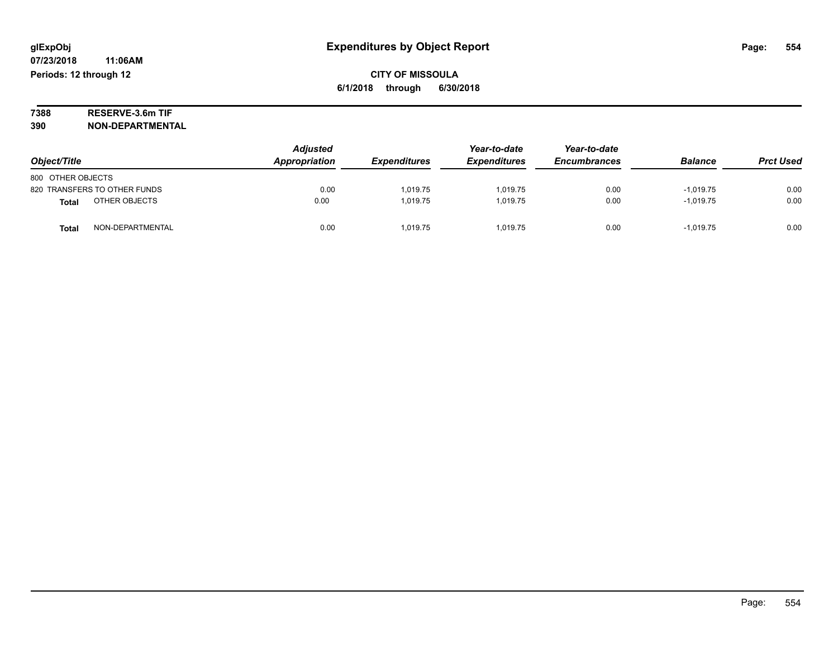# **7388 RESERVE-3.6m TIF**

**390 NON-DEPARTMENTAL**

|                              | <b>Adjusted</b> |                     | Year-to-date        | Year-to-date        |                |                  |
|------------------------------|-----------------|---------------------|---------------------|---------------------|----------------|------------------|
| Object/Title                 | Appropriation   | <b>Expenditures</b> | <b>Expenditures</b> | <b>Encumbrances</b> | <b>Balance</b> | <b>Prct Used</b> |
| 800 OTHER OBJECTS            |                 |                     |                     |                     |                |                  |
| 820 TRANSFERS TO OTHER FUNDS | 0.00            | 1.019.75            | 1.019.75            | 0.00                | $-1.019.75$    | 0.00             |
| OTHER OBJECTS<br>Total       | 0.00            | 1.019.75            | 1.019.75            | 0.00                | $-1,019.75$    | 0.00             |
| NON-DEPARTMENTAL<br>Total    | 0.00            | 1.019.75            | 1.019.75            | 0.00                | $-1.019.75$    | 0.00             |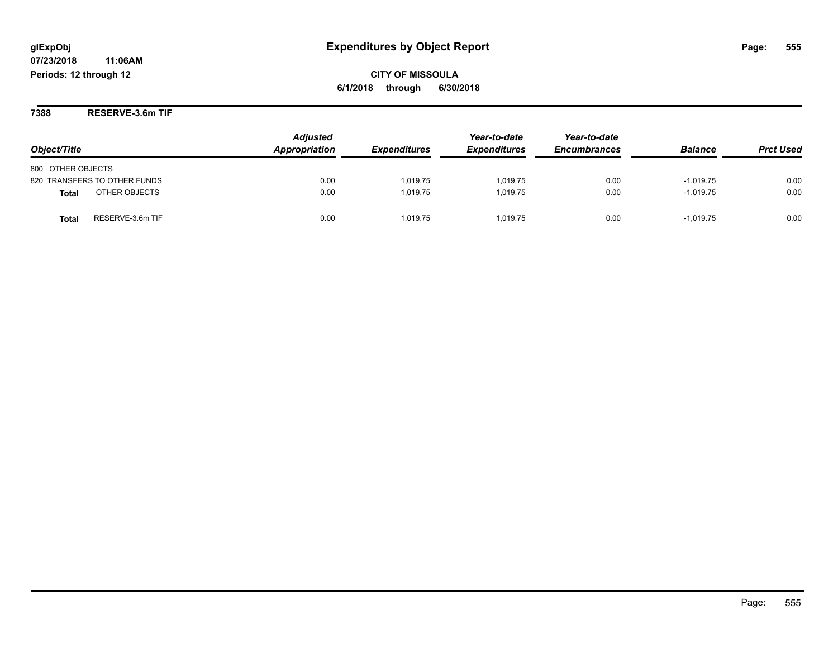**CITY OF MISSOULA 6/1/2018 through 6/30/2018**

**7388 RESERVE-3.6m TIF**

|                               | <b>Adjusted</b> |                            | Year-to-date        | Year-to-date        |                |                  |
|-------------------------------|-----------------|----------------------------|---------------------|---------------------|----------------|------------------|
| Object/Title                  | Appropriation   | <i><b>Expenditures</b></i> | <b>Expenditures</b> | <b>Encumbrances</b> | <b>Balance</b> | <b>Prct Used</b> |
| 800 OTHER OBJECTS             |                 |                            |                     |                     |                |                  |
| 820 TRANSFERS TO OTHER FUNDS  | 0.00            | 1,019.75                   | 1,019.75            | 0.00                | $-1,019.75$    | 0.00             |
| OTHER OBJECTS<br><b>Total</b> | 0.00            | 1.019.75                   | 1.019.75            | 0.00                | $-1,019.75$    | 0.00             |
| RESERVE-3.6m TIF<br>Total     | 0.00            | 1.019.75                   | 1.019.75            | 0.00                | $-1.019.75$    | 0.00             |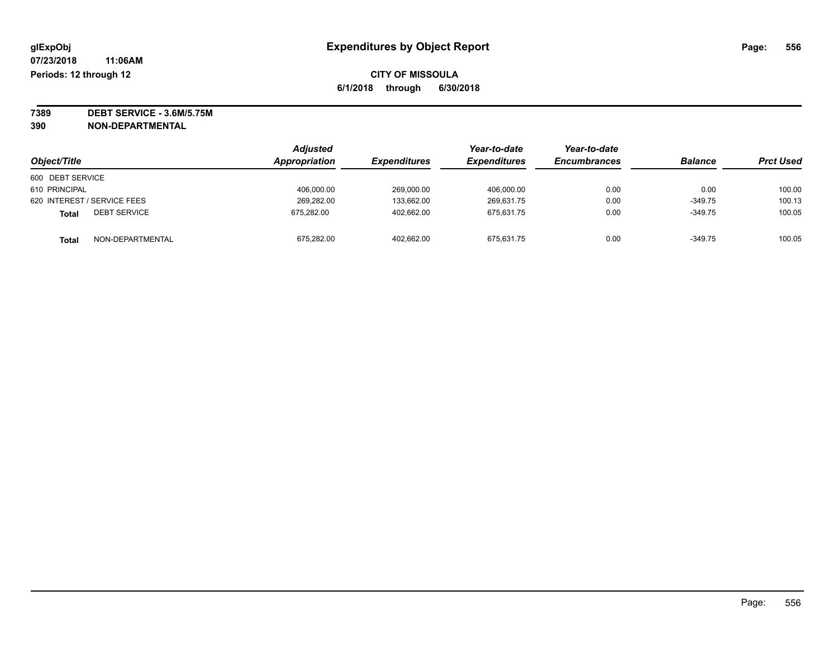**7389 DEBT SERVICE - 3.6M/5.75M**

**390 NON-DEPARTMENTAL**

| Object/Title                        | <b>Adjusted</b><br>Appropriation | <b>Expenditures</b> | Year-to-date<br><b>Expenditures</b> | Year-to-date<br><b>Encumbrances</b> | <b>Balance</b> | <b>Prct Used</b> |
|-------------------------------------|----------------------------------|---------------------|-------------------------------------|-------------------------------------|----------------|------------------|
| 600 DEBT SERVICE                    |                                  |                     |                                     |                                     |                |                  |
| 610 PRINCIPAL                       | 406.000.00                       | 269.000.00          | 406.000.00                          | 0.00                                | 0.00           | 100.00           |
| 620 INTEREST / SERVICE FEES         | 269.282.00                       | 133,662.00          | 269.631.75                          | 0.00                                | $-349.75$      | 100.13           |
| <b>DEBT SERVICE</b><br><b>Total</b> | 675.282.00                       | 402.662.00          | 675.631.75                          | 0.00                                | $-349.75$      | 100.05           |
| NON-DEPARTMENTAL<br>Total           | 675,282.00                       | 402,662.00          | 675,631.75                          | 0.00                                | $-349.75$      | 100.05           |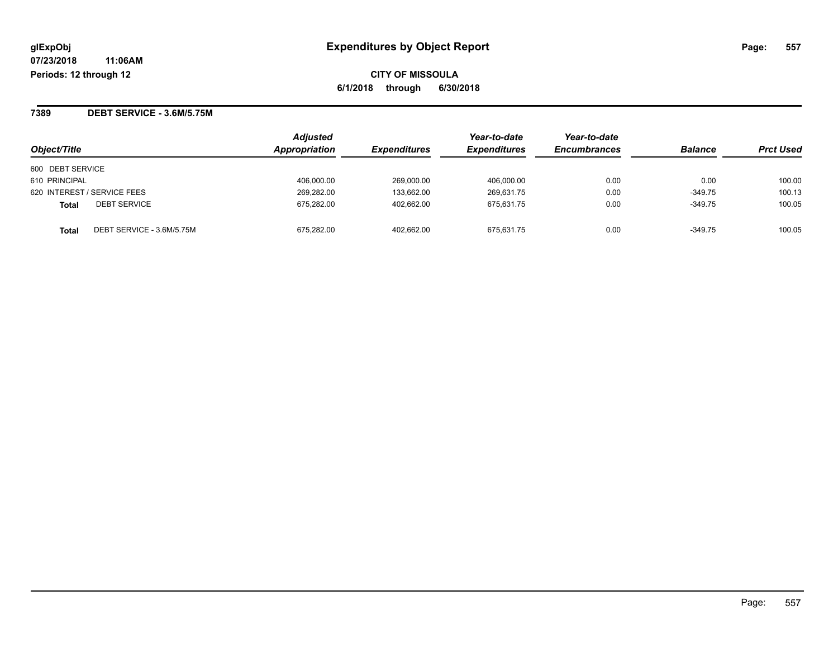**7389 DEBT SERVICE - 3.6M/5.75M**

| Object/Title                        | Adjusted<br>Appropriation | <b>Expenditures</b> | Year-to-date<br><b>Expenditures</b> | Year-to-date<br><b>Encumbrances</b> | <b>Balance</b> | <b>Prct Used</b> |
|-------------------------------------|---------------------------|---------------------|-------------------------------------|-------------------------------------|----------------|------------------|
| 600 DEBT SERVICE                    |                           |                     |                                     |                                     |                |                  |
| 610 PRINCIPAL                       | 406.000.00                | 269.000.00          | 406.000.00                          | 0.00                                | 0.00           | 100.00           |
| 620 INTEREST / SERVICE FEES         | 269,282.00                | 133,662.00          | 269,631.75                          | 0.00                                | $-349.75$      | 100.13           |
| <b>DEBT SERVICE</b><br><b>Total</b> | 675.282.00                | 402.662.00          | 675.631.75                          | 0.00                                | $-349.75$      | 100.05           |
| DEBT SERVICE - 3.6M/5.75M<br>Total  | 675.282.00                | 402.662.00          | 675.631.75                          | 0.00                                | $-349.75$      | 100.05           |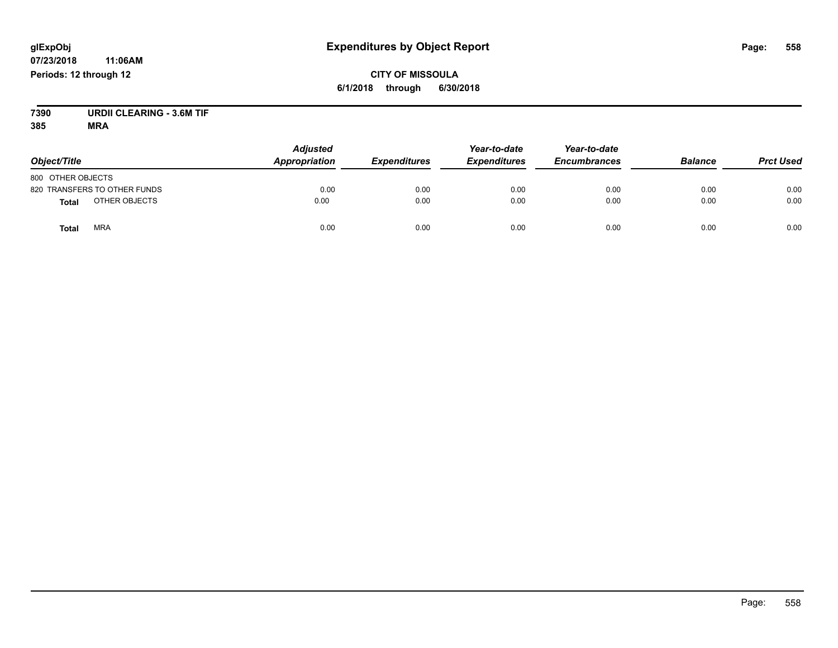**CITY OF MISSOULA 6/1/2018 through 6/30/2018**

**7390 URDII CLEARING - 3.6M TIF**

| Object/Title                  | <b>Adjusted</b><br>Appropriation | <b>Expenditures</b> | Year-to-date<br><b>Expenditures</b> | Year-to-date<br><b>Encumbrances</b> | <b>Balance</b> | <b>Prct Used</b> |
|-------------------------------|----------------------------------|---------------------|-------------------------------------|-------------------------------------|----------------|------------------|
| 800 OTHER OBJECTS             |                                  |                     |                                     |                                     |                |                  |
| 820 TRANSFERS TO OTHER FUNDS  | 0.00                             | 0.00                | 0.00                                | 0.00                                | 0.00           | 0.00             |
| OTHER OBJECTS<br><b>Total</b> | 0.00                             | 0.00                | 0.00                                | 0.00                                | 0.00           | 0.00             |
| <b>MRA</b><br><b>Total</b>    | 0.00                             | 0.00                | 0.00                                | 0.00                                | 0.00           | 0.00             |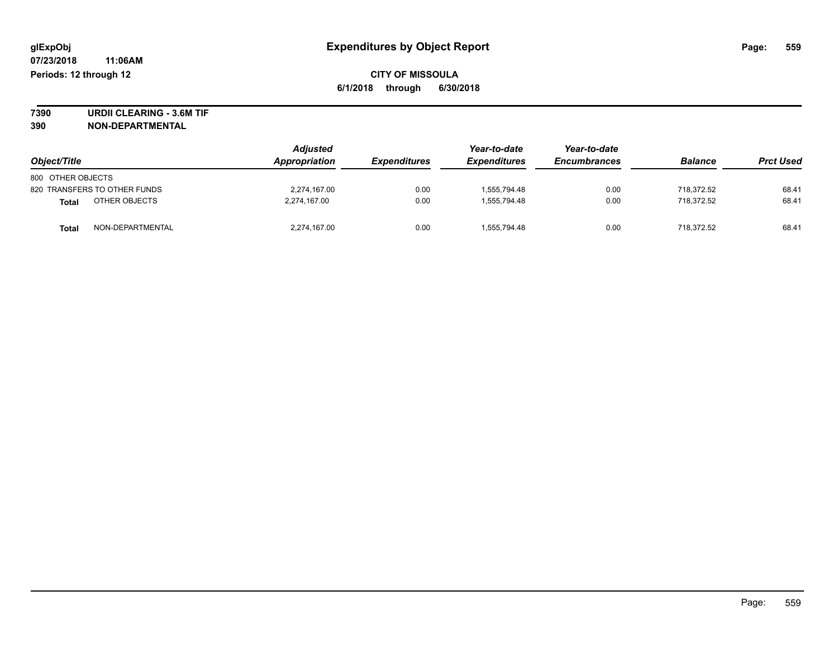**7390 URDII CLEARING - 3.6M TIF 390 NON-DEPARTMENTAL**

| Object/Title      |                              | Adjusted<br>Appropriation | <b>Expenditures</b> | Year-to-date<br><b>Expenditures</b> | Year-to-date<br><b>Encumbrances</b> | <b>Balance</b> | <b>Prct Used</b> |
|-------------------|------------------------------|---------------------------|---------------------|-------------------------------------|-------------------------------------|----------------|------------------|
| 800 OTHER OBJECTS |                              |                           |                     |                                     |                                     |                |                  |
|                   | 820 TRANSFERS TO OTHER FUNDS | 2,274,167.00              | 0.00                | 1,555,794.48                        | 0.00                                | 718.372.52     | 68.41            |
| <b>Total</b>      | OTHER OBJECTS                | 2,274,167.00              | 0.00                | 1,555,794.48                        | 0.00                                | 718.372.52     | 68.41            |
| <b>Total</b>      | NON-DEPARTMENTAL             | 2,274,167.00              | 0.00                | 1,555,794.48                        | 0.00                                | 718.372.52     | 68.41            |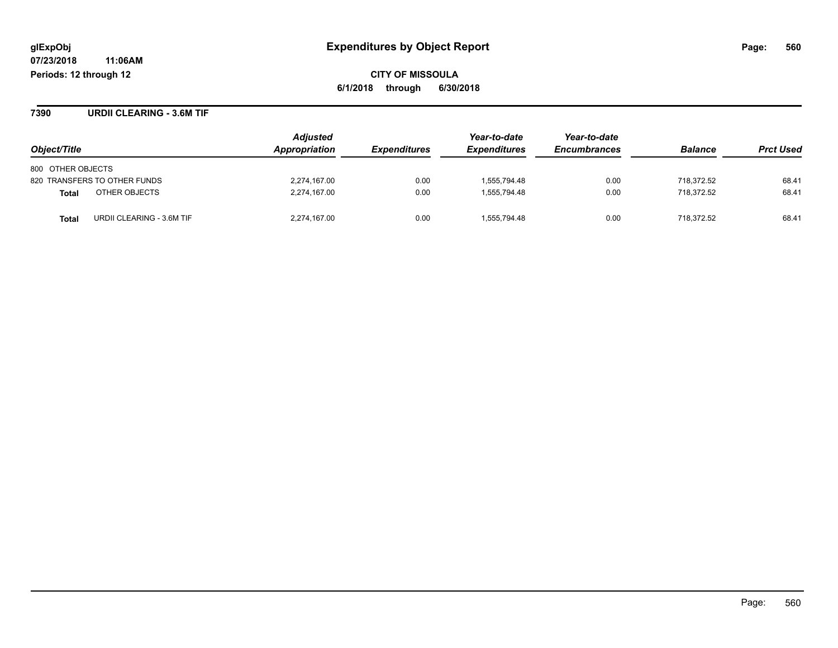**7390 URDII CLEARING - 3.6M TIF**

|                                    | <b>Adjusted</b>      |                            | Year-to-date               | Year-to-date        |                |                  |
|------------------------------------|----------------------|----------------------------|----------------------------|---------------------|----------------|------------------|
| Object/Title                       | <b>Appropriation</b> | <i><b>Expenditures</b></i> | <i><b>Expenditures</b></i> | <b>Encumbrances</b> | <b>Balance</b> | <b>Prct Used</b> |
| 800 OTHER OBJECTS                  |                      |                            |                            |                     |                |                  |
| 820 TRANSFERS TO OTHER FUNDS       | 2,274,167.00         | 0.00                       | 1,555,794.48               | 0.00                | 718.372.52     | 68.41            |
| OTHER OBJECTS<br>Total             | 2,274,167.00         | 0.00                       | 1.555.794.48               | 0.00                | 718.372.52     | 68.41            |
| URDII CLEARING - 3.6M TIF<br>Total | 2,274,167.00         | 0.00                       | 1.555.794.48               | 0.00                | 718.372.52     | 68.41            |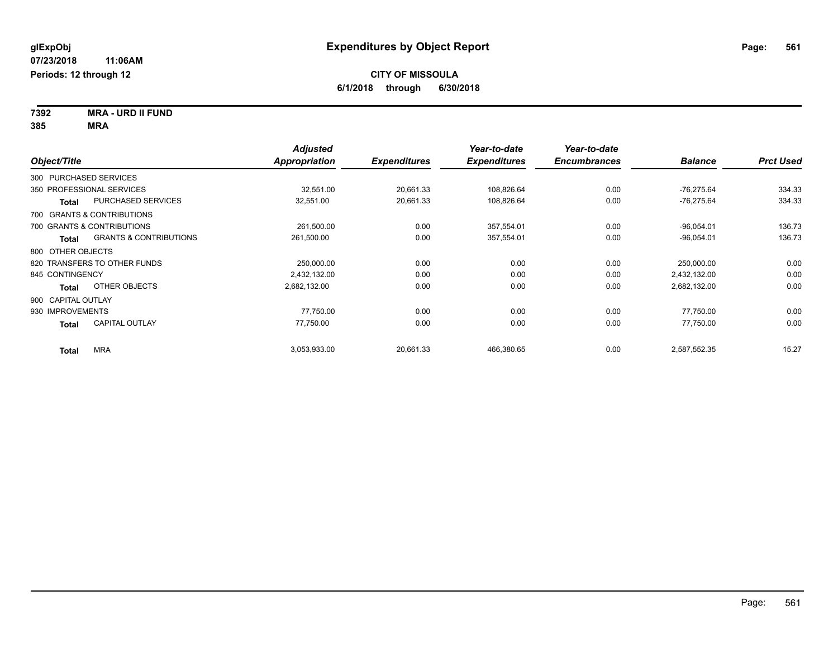**7392 MRA - URD II FUND 385 MRA**

| Object/Title                                      | <b>Adjusted</b><br>Appropriation | <b>Expenditures</b> | Year-to-date<br><b>Expenditures</b> | Year-to-date<br><b>Encumbrances</b> | <b>Balance</b> | <b>Prct Used</b> |
|---------------------------------------------------|----------------------------------|---------------------|-------------------------------------|-------------------------------------|----------------|------------------|
| 300 PURCHASED SERVICES                            |                                  |                     |                                     |                                     |                |                  |
| 350 PROFESSIONAL SERVICES                         | 32,551.00                        | 20,661.33           | 108,826.64                          | 0.00                                | $-76.275.64$   | 334.33           |
| <b>PURCHASED SERVICES</b><br><b>Total</b>         | 32,551.00                        | 20,661.33           | 108,826.64                          | 0.00                                | $-76,275.64$   | 334.33           |
| 700 GRANTS & CONTRIBUTIONS                        |                                  |                     |                                     |                                     |                |                  |
| 700 GRANTS & CONTRIBUTIONS                        | 261,500.00                       | 0.00                | 357,554.01                          | 0.00                                | $-96,054.01$   | 136.73           |
| <b>GRANTS &amp; CONTRIBUTIONS</b><br><b>Total</b> | 261,500.00                       | 0.00                | 357,554.01                          | 0.00                                | $-96,054.01$   | 136.73           |
| 800 OTHER OBJECTS                                 |                                  |                     |                                     |                                     |                |                  |
| 820 TRANSFERS TO OTHER FUNDS                      | 250,000.00                       | 0.00                | 0.00                                | 0.00                                | 250,000.00     | 0.00             |
| 845 CONTINGENCY                                   | 2,432,132.00                     | 0.00                | 0.00                                | 0.00                                | 2,432,132.00   | 0.00             |
| OTHER OBJECTS<br><b>Total</b>                     | 2,682,132.00                     | 0.00                | 0.00                                | 0.00                                | 2,682,132.00   | 0.00             |
| 900 CAPITAL OUTLAY                                |                                  |                     |                                     |                                     |                |                  |
| 930 IMPROVEMENTS                                  | 77,750.00                        | 0.00                | 0.00                                | 0.00                                | 77.750.00      | 0.00             |
| <b>CAPITAL OUTLAY</b><br><b>Total</b>             | 77,750.00                        | 0.00                | 0.00                                | 0.00                                | 77,750.00      | 0.00             |
| <b>MRA</b><br><b>Total</b>                        | 3,053,933.00                     | 20,661.33           | 466,380.65                          | 0.00                                | 2,587,552.35   | 15.27            |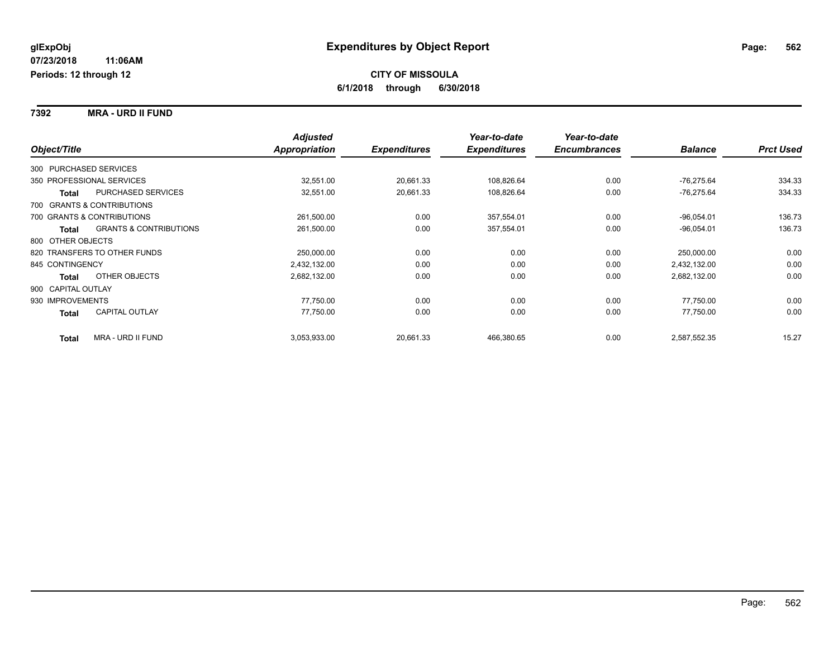#### **7392 MRA - URD II FUND**

|                    |                                   | <b>Adjusted</b>      |                     | Year-to-date        | Year-to-date        |                |                  |
|--------------------|-----------------------------------|----------------------|---------------------|---------------------|---------------------|----------------|------------------|
| Object/Title       |                                   | <b>Appropriation</b> | <b>Expenditures</b> | <b>Expenditures</b> | <b>Encumbrances</b> | <b>Balance</b> | <b>Prct Used</b> |
|                    | 300 PURCHASED SERVICES            |                      |                     |                     |                     |                |                  |
|                    | 350 PROFESSIONAL SERVICES         | 32,551.00            | 20,661.33           | 108,826.64          | 0.00                | $-76,275.64$   | 334.33           |
| Total              | <b>PURCHASED SERVICES</b>         | 32,551.00            | 20,661.33           | 108,826.64          | 0.00                | $-76,275.64$   | 334.33           |
|                    | 700 GRANTS & CONTRIBUTIONS        |                      |                     |                     |                     |                |                  |
|                    | 700 GRANTS & CONTRIBUTIONS        | 261,500.00           | 0.00                | 357,554.01          | 0.00                | $-96,054.01$   | 136.73           |
| <b>Total</b>       | <b>GRANTS &amp; CONTRIBUTIONS</b> | 261,500.00           | 0.00                | 357,554.01          | 0.00                | $-96,054.01$   | 136.73           |
| 800 OTHER OBJECTS  |                                   |                      |                     |                     |                     |                |                  |
|                    | 820 TRANSFERS TO OTHER FUNDS      | 250,000.00           | 0.00                | 0.00                | 0.00                | 250.000.00     | 0.00             |
| 845 CONTINGENCY    |                                   | 2,432,132.00         | 0.00                | 0.00                | 0.00                | 2,432,132.00   | 0.00             |
| Total              | OTHER OBJECTS                     | 2,682,132.00         | 0.00                | 0.00                | 0.00                | 2,682,132.00   | 0.00             |
| 900 CAPITAL OUTLAY |                                   |                      |                     |                     |                     |                |                  |
| 930 IMPROVEMENTS   |                                   | 77,750.00            | 0.00                | 0.00                | 0.00                | 77,750.00      | 0.00             |
| Total              | <b>CAPITAL OUTLAY</b>             | 77,750.00            | 0.00                | 0.00                | 0.00                | 77,750.00      | 0.00             |
| <b>Total</b>       | <b>MRA - URD II FUND</b>          | 3,053,933.00         | 20,661.33           | 466,380.65          | 0.00                | 2,587,552.35   | 15.27            |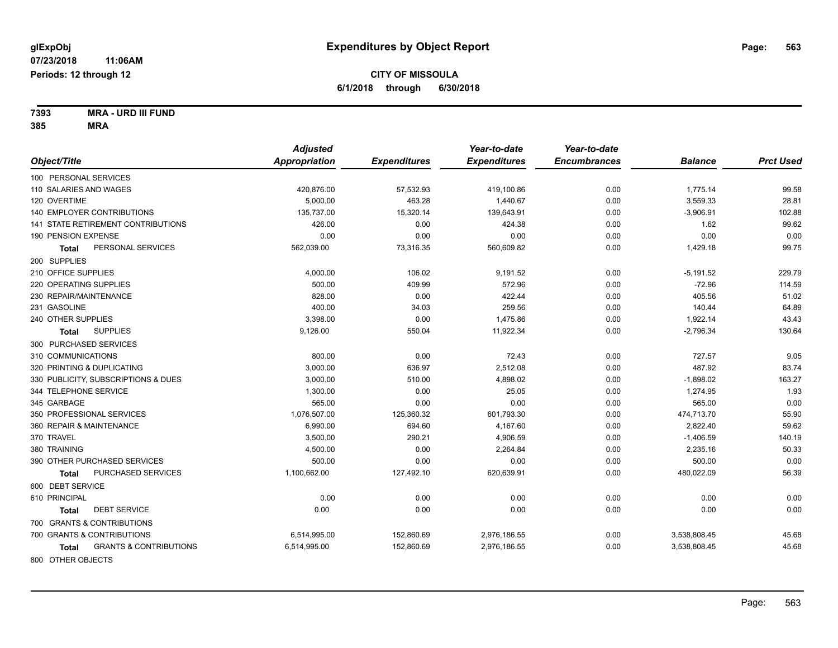**7393 MRA - URD III FUND 385 MRA**

| Object/Title<br><b>Appropriation</b><br><b>Expenditures</b><br><b>Encumbrances</b><br><b>Expenditures</b><br><b>Balance</b><br>100 PERSONAL SERVICES | <b>Prct Used</b><br>99.58 |
|------------------------------------------------------------------------------------------------------------------------------------------------------|---------------------------|
|                                                                                                                                                      |                           |
|                                                                                                                                                      |                           |
| 110 SALARIES AND WAGES<br>420,876.00<br>57,532.93<br>419,100.86<br>0.00<br>1,775.14                                                                  |                           |
| 120 OVERTIME<br>5,000.00<br>463.28<br>0.00<br>3,559.33<br>1,440.67                                                                                   | 28.81                     |
| 140 EMPLOYER CONTRIBUTIONS<br>135,737.00<br>15,320.14<br>139,643.91<br>0.00<br>$-3,906.91$                                                           | 102.88                    |
| <b>141 STATE RETIREMENT CONTRIBUTIONS</b><br>426.00<br>0.00<br>424.38<br>0.00                                                                        | 99.62<br>1.62             |
| 190 PENSION EXPENSE<br>0.00<br>0.00<br>0.00<br>0.00                                                                                                  | 0.00<br>0.00              |
| PERSONAL SERVICES<br>73,316.35<br>1,429.18<br>562,039.00<br>560,609.82<br>0.00<br>Total                                                              | 99.75                     |
| 200 SUPPLIES                                                                                                                                         |                           |
| 210 OFFICE SUPPLIES<br>4,000.00<br>106.02<br>9,191.52<br>0.00<br>$-5,191.52$                                                                         | 229.79                    |
| 220 OPERATING SUPPLIES<br>500.00<br>409.99<br>572.96<br>0.00                                                                                         | $-72.96$<br>114.59        |
| 230 REPAIR/MAINTENANCE<br>828.00<br>0.00<br>422.44<br>0.00                                                                                           | 51.02<br>405.56           |
| 400.00<br>231 GASOLINE<br>34.03<br>259.56<br>0.00                                                                                                    | 64.89<br>140.44           |
| 3,398.00<br>0.00<br>240 OTHER SUPPLIES<br>1,475.86<br>0.00<br>1,922.14                                                                               | 43.43                     |
| <b>SUPPLIES</b><br>9,126.00<br>550.04<br>11,922.34<br>$-2,796.34$<br>0.00<br>Total                                                                   | 130.64                    |
| 300 PURCHASED SERVICES                                                                                                                               |                           |
| 310 COMMUNICATIONS<br>800.00<br>0.00<br>72.43<br>0.00                                                                                                | 9.05<br>727.57            |
| 636.97<br>320 PRINTING & DUPLICATING<br>3,000.00<br>2,512.08<br>0.00                                                                                 | 487.92<br>83.74           |
| 510.00<br>330 PUBLICITY, SUBSCRIPTIONS & DUES<br>3,000.00<br>4,898.02<br>0.00<br>$-1,898.02$                                                         | 163.27                    |
| 344 TELEPHONE SERVICE<br>1,300.00<br>0.00<br>0.00<br>1,274.95<br>25.05                                                                               | 1.93                      |
| 565.00<br>0.00<br>345 GARBAGE<br>0.00<br>0.00                                                                                                        | 0.00<br>565.00            |
| 350 PROFESSIONAL SERVICES<br>1,076,507.00<br>125,360.32<br>601,793.30<br>0.00<br>474,713.70                                                          | 55.90                     |
| 360 REPAIR & MAINTENANCE<br>694.60<br>2,822.40<br>6,990.00<br>4,167.60<br>0.00                                                                       | 59.62                     |
| 370 TRAVEL<br>3,500.00<br>290.21<br>4,906.59<br>$-1,406.59$<br>0.00                                                                                  | 140.19                    |
| 380 TRAINING<br>4,500.00<br>2,235.16<br>0.00<br>2,264.84<br>0.00                                                                                     | 50.33                     |
| 390 OTHER PURCHASED SERVICES<br>500.00<br>0.00<br>0.00<br>0.00                                                                                       | 0.00<br>500.00            |
| PURCHASED SERVICES<br>1,100,662.00<br>480,022.09<br>127,492.10<br>620,639.91<br>0.00<br><b>Total</b>                                                 | 56.39                     |
| 600 DEBT SERVICE                                                                                                                                     |                           |
| 0.00<br>610 PRINCIPAL<br>0.00<br>0.00<br>0.00                                                                                                        | 0.00<br>0.00              |
| <b>DEBT SERVICE</b><br>0.00<br>0.00<br>0.00<br>0.00<br>Total                                                                                         | 0.00<br>0.00              |
| 700 GRANTS & CONTRIBUTIONS                                                                                                                           |                           |
| 700 GRANTS & CONTRIBUTIONS<br>6,514,995.00<br>152,860.69<br>2,976,186.55<br>3,538,808.45<br>0.00                                                     | 45.68                     |
| <b>GRANTS &amp; CONTRIBUTIONS</b><br>0.00<br>6,514,995.00<br>152,860.69<br>2,976,186.55<br>3,538,808.45<br>Total                                     | 45.68                     |
| 800 OTHER OBJECTS                                                                                                                                    |                           |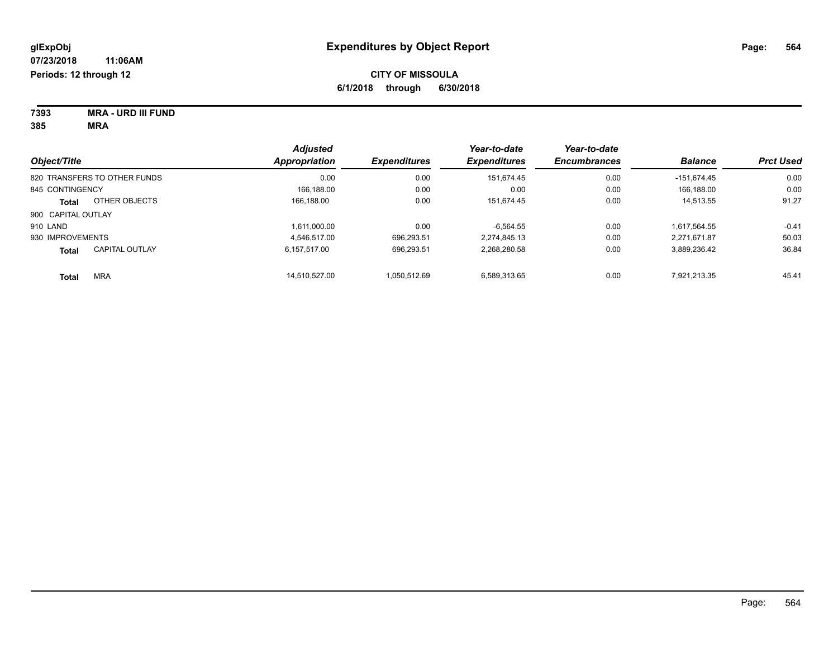| 7393 | <b>MRA - URD III FUND</b> |
|------|---------------------------|
| 385  | MRA                       |

|                    |                              | <b>Adjusted</b>      |                     | Year-to-date        | Year-to-date        |                |                  |
|--------------------|------------------------------|----------------------|---------------------|---------------------|---------------------|----------------|------------------|
| Object/Title       |                              | <b>Appropriation</b> | <b>Expenditures</b> | <b>Expenditures</b> | <b>Encumbrances</b> | <b>Balance</b> | <b>Prct Used</b> |
|                    | 820 TRANSFERS TO OTHER FUNDS | 0.00                 | 0.00                | 151.674.45          | 0.00                | $-151.674.45$  | 0.00             |
| 845 CONTINGENCY    |                              | 166.188.00           | 0.00                | 0.00                | 0.00                | 166.188.00     | 0.00             |
| <b>Total</b>       | OTHER OBJECTS                | 166.188.00           | 0.00                | 151.674.45          | 0.00                | 14.513.55      | 91.27            |
| 900 CAPITAL OUTLAY |                              |                      |                     |                     |                     |                |                  |
| 910 LAND           |                              | 1.611.000.00         | 0.00                | $-6.564.55$         | 0.00                | 1.617.564.55   | $-0.41$          |
| 930 IMPROVEMENTS   |                              | 4.546.517.00         | 696.293.51          | 2.274.845.13        | 0.00                | 2.271.671.87   | 50.03            |
| <b>Total</b>       | <b>CAPITAL OUTLAY</b>        | 6.157.517.00         | 696.293.51          | 2,268,280.58        | 0.00                | 3,889,236.42   | 36.84            |
| <b>Total</b>       | <b>MRA</b>                   | 14.510.527.00        | 1.050.512.69        | 6.589.313.65        | 0.00                | 7.921.213.35   | 45.41            |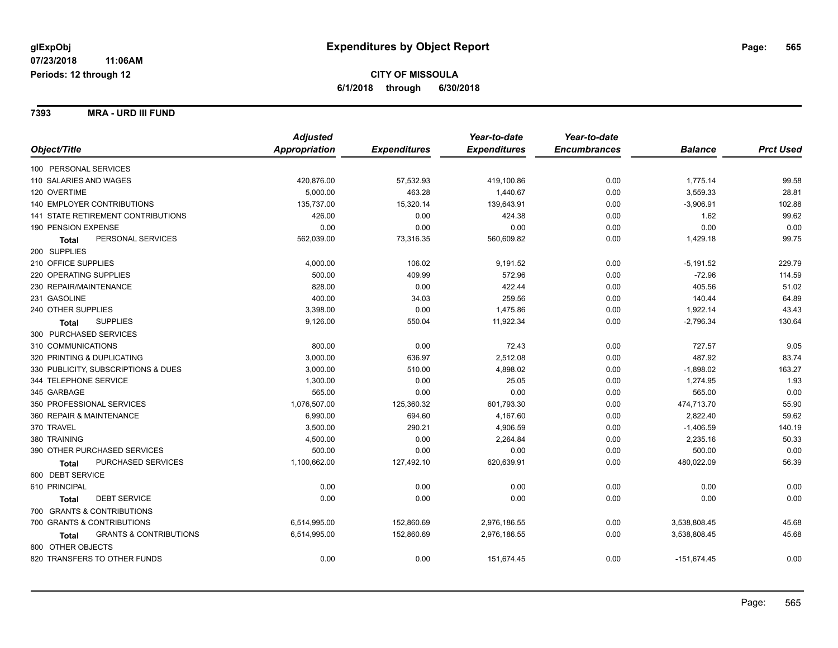**7393 MRA - URD III FUND**

|                                            | <b>Adjusted</b> |                     | Year-to-date        | Year-to-date        |                |                  |
|--------------------------------------------|-----------------|---------------------|---------------------|---------------------|----------------|------------------|
| Object/Title                               | Appropriation   | <b>Expenditures</b> | <b>Expenditures</b> | <b>Encumbrances</b> | <b>Balance</b> | <b>Prct Used</b> |
| 100 PERSONAL SERVICES                      |                 |                     |                     |                     |                |                  |
| 110 SALARIES AND WAGES                     | 420,876.00      | 57,532.93           | 419,100.86          | 0.00                | 1,775.14       | 99.58            |
| 120 OVERTIME                               | 5,000.00        | 463.28              | 1,440.67            | 0.00                | 3,559.33       | 28.81            |
| <b>140 EMPLOYER CONTRIBUTIONS</b>          | 135,737.00      | 15,320.14           | 139,643.91          | 0.00                | $-3,906.91$    | 102.88           |
| 141 STATE RETIREMENT CONTRIBUTIONS         | 426.00          | 0.00                | 424.38              | 0.00                | 1.62           | 99.62            |
| 190 PENSION EXPENSE                        | 0.00            | 0.00                | 0.00                | 0.00                | 0.00           | 0.00             |
| PERSONAL SERVICES<br>Total                 | 562,039.00      | 73,316.35           | 560,609.82          | 0.00                | 1,429.18       | 99.75            |
| 200 SUPPLIES                               |                 |                     |                     |                     |                |                  |
| 210 OFFICE SUPPLIES                        | 4,000.00        | 106.02              | 9,191.52            | 0.00                | $-5,191.52$    | 229.79           |
| 220 OPERATING SUPPLIES                     | 500.00          | 409.99              | 572.96              | 0.00                | $-72.96$       | 114.59           |
| 230 REPAIR/MAINTENANCE                     | 828.00          | 0.00                | 422.44              | 0.00                | 405.56         | 51.02            |
| 231 GASOLINE                               | 400.00          | 34.03               | 259.56              | 0.00                | 140.44         | 64.89            |
| 240 OTHER SUPPLIES                         | 3,398.00        | 0.00                | 1,475.86            | 0.00                | 1,922.14       | 43.43            |
| <b>SUPPLIES</b><br><b>Total</b>            | 9,126.00        | 550.04              | 11,922.34           | 0.00                | $-2,796.34$    | 130.64           |
| 300 PURCHASED SERVICES                     |                 |                     |                     |                     |                |                  |
| 310 COMMUNICATIONS                         | 800.00          | 0.00                | 72.43               | 0.00                | 727.57         | 9.05             |
| 320 PRINTING & DUPLICATING                 | 3,000.00        | 636.97              | 2,512.08            | 0.00                | 487.92         | 83.74            |
| 330 PUBLICITY, SUBSCRIPTIONS & DUES        | 3,000.00        | 510.00              | 4,898.02            | 0.00                | $-1,898.02$    | 163.27           |
| 344 TELEPHONE SERVICE                      | 1,300.00        | 0.00                | 25.05               | 0.00                | 1,274.95       | 1.93             |
| 345 GARBAGE                                | 565.00          | 0.00                | 0.00                | 0.00                | 565.00         | 0.00             |
| 350 PROFESSIONAL SERVICES                  | 1,076,507.00    | 125,360.32          | 601,793.30          | 0.00                | 474,713.70     | 55.90            |
| 360 REPAIR & MAINTENANCE                   | 6,990.00        | 694.60              | 4,167.60            | 0.00                | 2,822.40       | 59.62            |
| 370 TRAVEL                                 | 3,500.00        | 290.21              | 4,906.59            | 0.00                | $-1,406.59$    | 140.19           |
| 380 TRAINING                               | 4,500.00        | 0.00                | 2,264.84            | 0.00                | 2,235.16       | 50.33            |
| 390 OTHER PURCHASED SERVICES               | 500.00          | 0.00                | 0.00                | 0.00                | 500.00         | 0.00             |
| PURCHASED SERVICES<br><b>Total</b>         | 1,100,662.00    | 127,492.10          | 620,639.91          | 0.00                | 480,022.09     | 56.39            |
| 600 DEBT SERVICE                           |                 |                     |                     |                     |                |                  |
| 610 PRINCIPAL                              | 0.00            | 0.00                | 0.00                | 0.00                | 0.00           | 0.00             |
| <b>DEBT SERVICE</b><br><b>Total</b>        | 0.00            | 0.00                | 0.00                | 0.00                | 0.00           | 0.00             |
| 700 GRANTS & CONTRIBUTIONS                 |                 |                     |                     |                     |                |                  |
| 700 GRANTS & CONTRIBUTIONS                 | 6,514,995.00    | 152,860.69          | 2,976,186.55        | 0.00                | 3,538,808.45   | 45.68            |
| <b>GRANTS &amp; CONTRIBUTIONS</b><br>Total | 6,514,995.00    | 152,860.69          | 2,976,186.55        | 0.00                | 3,538,808.45   | 45.68            |
| 800 OTHER OBJECTS                          |                 |                     |                     |                     |                |                  |
| 820 TRANSFERS TO OTHER FUNDS               | 0.00            | 0.00                | 151,674.45          | 0.00                | $-151,674.45$  | 0.00             |
|                                            |                 |                     |                     |                     |                |                  |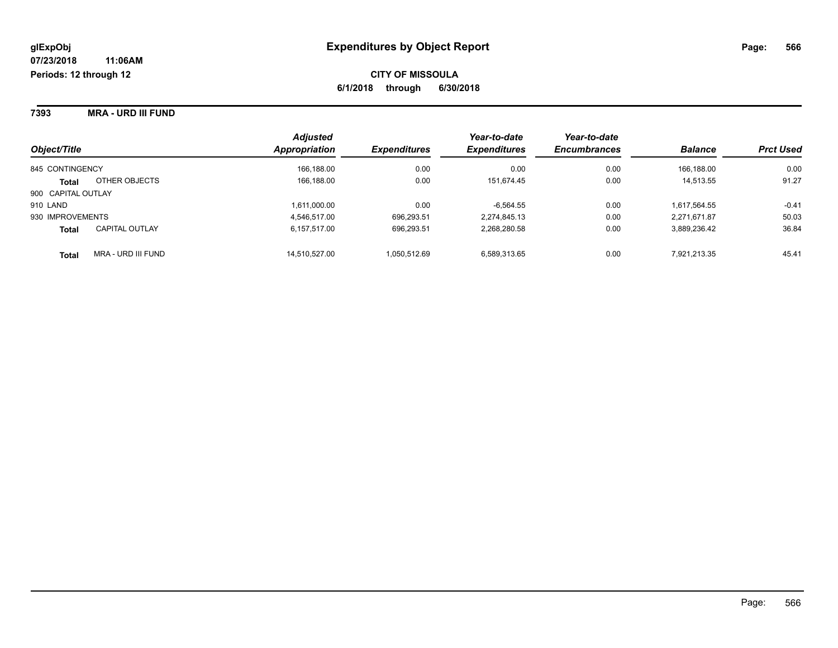**7393 MRA - URD III FUND**

| Object/Title       |                       | <b>Adjusted</b><br>Appropriation | <b>Expenditures</b> | Year-to-date<br><b>Expenditures</b> | Year-to-date<br><b>Encumbrances</b> | <b>Balance</b> | <b>Prct Used</b> |
|--------------------|-----------------------|----------------------------------|---------------------|-------------------------------------|-------------------------------------|----------------|------------------|
| 845 CONTINGENCY    |                       | 166,188.00                       | 0.00                | 0.00                                | 0.00                                | 166.188.00     | 0.00             |
| <b>Total</b>       | OTHER OBJECTS         | 166,188.00                       | 0.00                | 151,674.45                          | 0.00                                | 14,513.55      | 91.27            |
| 900 CAPITAL OUTLAY |                       |                                  |                     |                                     |                                     |                |                  |
| 910 LAND           |                       | 1,611,000.00                     | 0.00                | $-6,564.55$                         | 0.00                                | 1,617,564.55   | $-0.41$          |
| 930 IMPROVEMENTS   |                       | 4.546.517.00                     | 696,293.51          | 2,274,845.13                        | 0.00                                | 2,271,671.87   | 50.03            |
| <b>Total</b>       | <b>CAPITAL OUTLAY</b> | 6.157.517.00                     | 696,293.51          | 2,268,280.58                        | 0.00                                | 3,889,236.42   | 36.84            |
| <b>Total</b>       | MRA - URD III FUND    | 14.510.527.00                    | 1,050,512.69        | 6,589,313.65                        | 0.00                                | 7,921,213.35   | 45.41            |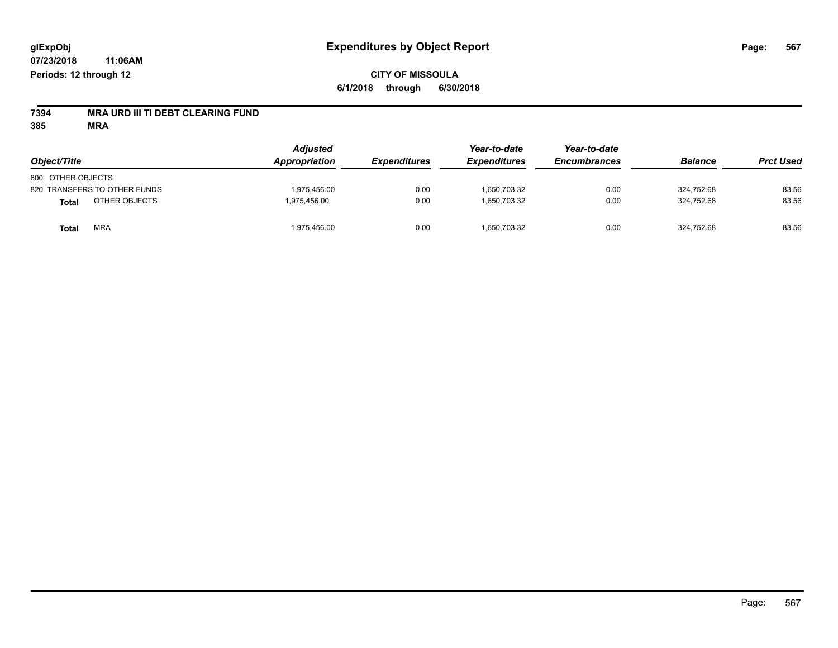## **CITY OF MISSOULA 6/1/2018 through 6/30/2018**

# **7394 MRA URD III TI DEBT CLEARING FUND**

| Object/Title                  | <b>Adjusted</b><br>Appropriation | <b>Expenditures</b> | Year-to-date<br><b>Expenditures</b> | Year-to-date<br><b>Encumbrances</b> | <b>Balance</b> | <b>Prct Used</b> |
|-------------------------------|----------------------------------|---------------------|-------------------------------------|-------------------------------------|----------------|------------------|
| 800 OTHER OBJECTS             |                                  |                     |                                     |                                     |                |                  |
| 820 TRANSFERS TO OTHER FUNDS  | 975,456.00                       | 0.00                | 1,650,703.32                        | 0.00                                | 324,752.68     | 83.56            |
| OTHER OBJECTS<br><b>Total</b> | 1,975,456.00                     | 0.00                | 1,650,703.32                        | 0.00                                | 324.752.68     | 83.56            |
| <b>MRA</b><br><b>Total</b>    | 975,456.00                       | 0.00                | 1,650,703.32                        | 0.00                                | 324,752.68     | 83.56            |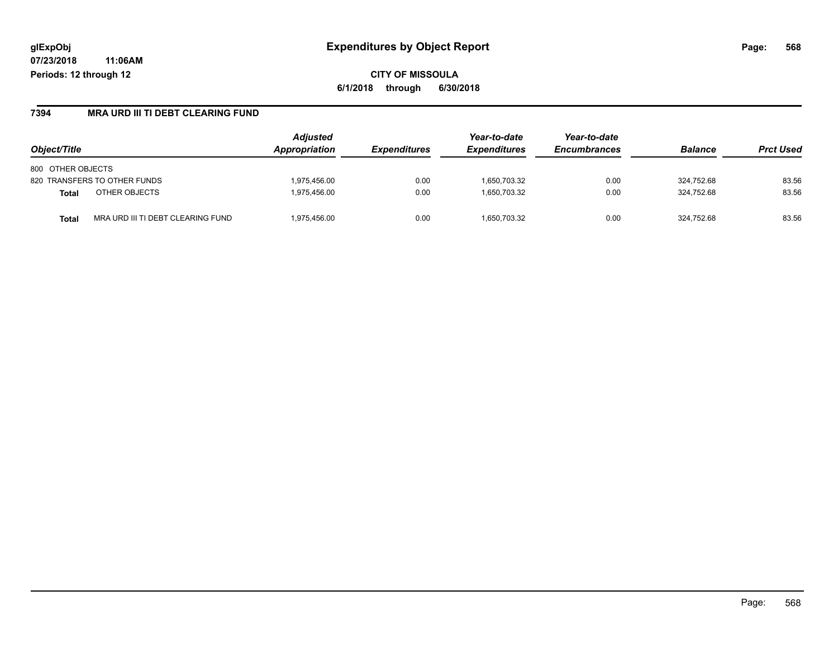**CITY OF MISSOULA 6/1/2018 through 6/30/2018**

#### **7394 MRA URD III TI DEBT CLEARING FUND**

| Object/Title                               | <b>Adjusted</b><br>Appropriation | <i><b>Expenditures</b></i> | Year-to-date<br><b>Expenditures</b> | Year-to-date<br><b>Encumbrances</b> | <b>Balance</b> | <b>Prct Used</b> |
|--------------------------------------------|----------------------------------|----------------------------|-------------------------------------|-------------------------------------|----------------|------------------|
|                                            |                                  |                            |                                     |                                     |                |                  |
| 800 OTHER OBJECTS                          |                                  |                            |                                     |                                     |                |                  |
| 820 TRANSFERS TO OTHER FUNDS               | 1.975.456.00                     | 0.00                       | 1,650,703.32                        | 0.00                                | 324.752.68     | 83.56            |
| OTHER OBJECTS<br><b>Total</b>              | 1.975.456.00                     | 0.00                       | 1,650,703.32                        | 0.00                                | 324.752.68     | 83.56            |
| MRA URD III TI DEBT CLEARING FUND<br>Total | 1.975.456.00                     | 0.00                       | 1,650,703.32                        | 0.00                                | 324.752.68     | 83.56            |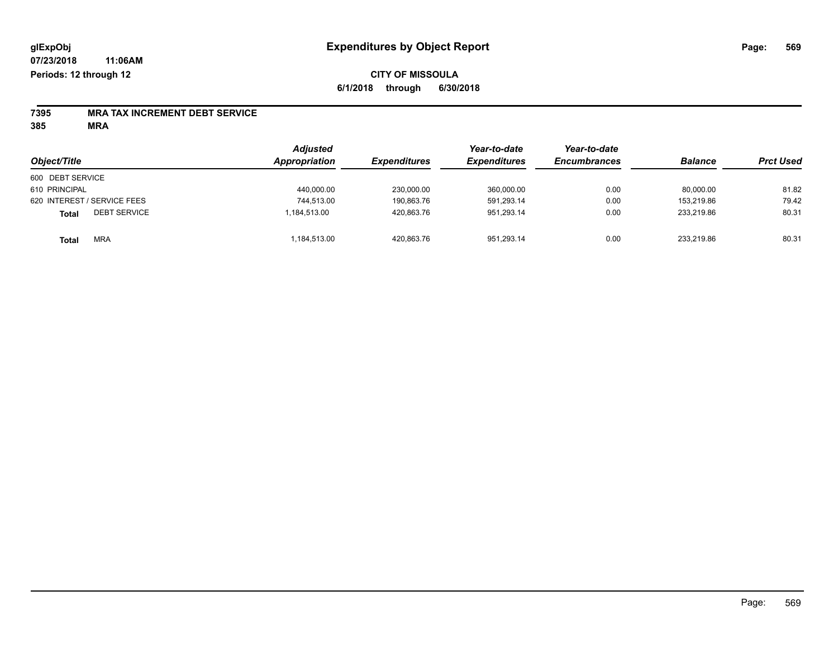## **CITY OF MISSOULA 6/1/2018 through 6/30/2018**

# **7395 MRA TAX INCREMENT DEBT SERVICE**

|                              | <b>Adjusted</b><br>Appropriation | <b>Expenditures</b> | Year-to-date<br><b>Expenditures</b> | Year-to-date        | <b>Balance</b> | <b>Prct Used</b> |
|------------------------------|----------------------------------|---------------------|-------------------------------------|---------------------|----------------|------------------|
| Object/Title                 |                                  |                     |                                     | <b>Encumbrances</b> |                |                  |
| 600 DEBT SERVICE             |                                  |                     |                                     |                     |                |                  |
| 610 PRINCIPAL                | 440,000.00                       | 230,000.00          | 360,000.00                          | 0.00                | 80,000.00      | 81.82            |
| 620 INTEREST / SERVICE FEES  | 744,513.00                       | 190,863.76          | 591,293.14                          | 0.00                | 153.219.86     | 79.42            |
| <b>DEBT SERVICE</b><br>Total | 1,184,513.00                     | 420,863.76          | 951,293.14                          | 0.00                | 233.219.86     | 80.31            |
| <b>MRA</b><br><b>Total</b>   | 1,184,513.00                     | 420,863.76          | 951,293.14                          | 0.00                | 233.219.86     | 80.31            |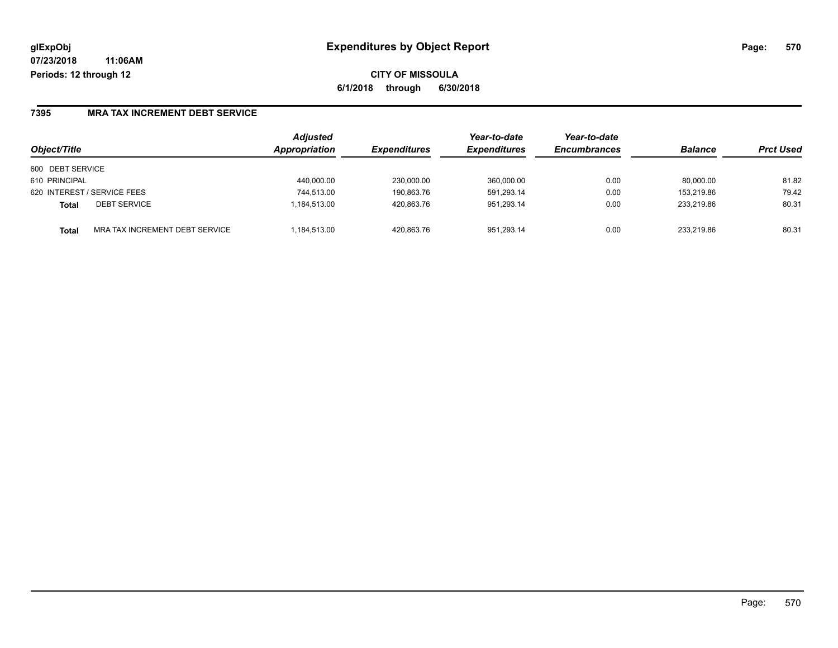**CITY OF MISSOULA 6/1/2018 through 6/30/2018**

### **7395 MRA TAX INCREMENT DEBT SERVICE**

| Object/Title                                   | <b>Adjusted</b> |                            | Year-to-date<br><b>Expenditures</b> | Year-to-date<br><b>Encumbrances</b> | <b>Balance</b> |                  |
|------------------------------------------------|-----------------|----------------------------|-------------------------------------|-------------------------------------|----------------|------------------|
|                                                | Appropriation   | <i><b>Expenditures</b></i> |                                     |                                     |                | <b>Prct Used</b> |
| 600 DEBT SERVICE                               |                 |                            |                                     |                                     |                |                  |
| 610 PRINCIPAL                                  | 440,000.00      | 230.000.00                 | 360.000.00                          | 0.00                                | 80.000.00      | 81.82            |
| 620 INTEREST / SERVICE FEES                    | 744,513.00      | 190,863.76                 | 591,293.14                          | 0.00                                | 153.219.86     | 79.42            |
| <b>DEBT SERVICE</b><br><b>Total</b>            | .184.513.00     | 420.863.76                 | 951.293.14                          | 0.00                                | 233.219.86     | 80.31            |
| MRA TAX INCREMENT DEBT SERVICE<br><b>Total</b> | .184.513.00     | 420.863.76                 | 951.293.14                          | 0.00                                | 233.219.86     | 80.31            |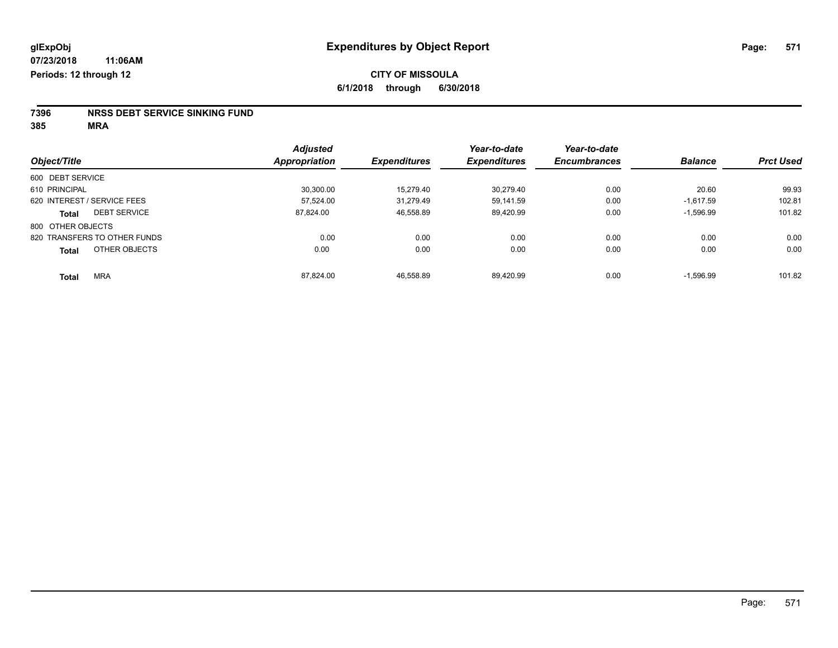## **CITY OF MISSOULA 6/1/2018 through 6/30/2018**

# **7396 NRSS DEBT SERVICE SINKING FUND**

|                               | <b>Adjusted</b>      | <b>Expenditures</b> | Year-to-date<br><b>Expenditures</b> | Year-to-date        | <b>Balance</b> | <b>Prct Used</b> |
|-------------------------------|----------------------|---------------------|-------------------------------------|---------------------|----------------|------------------|
| Object/Title                  | <b>Appropriation</b> |                     |                                     | <b>Encumbrances</b> |                |                  |
| 600 DEBT SERVICE              |                      |                     |                                     |                     |                |                  |
| 610 PRINCIPAL                 | 30.300.00            | 15.279.40           | 30.279.40                           | 0.00                | 20.60          | 99.93            |
| 620 INTEREST / SERVICE FEES   | 57.524.00            | 31.279.49           | 59.141.59                           | 0.00                | $-1.617.59$    | 102.81           |
| <b>DEBT SERVICE</b><br>Total  | 87.824.00            | 46,558.89           | 89.420.99                           | 0.00                | $-1,596.99$    | 101.82           |
| 800 OTHER OBJECTS             |                      |                     |                                     |                     |                |                  |
| 820 TRANSFERS TO OTHER FUNDS  | 0.00                 | 0.00                | 0.00                                | 0.00                | 0.00           | 0.00             |
| OTHER OBJECTS<br><b>Total</b> | 0.00                 | 0.00                | 0.00                                | 0.00                | 0.00           | 0.00             |
| <b>MRA</b><br><b>Total</b>    | 87.824.00            | 46.558.89           | 89.420.99                           | 0.00                | $-1.596.99$    | 101.82           |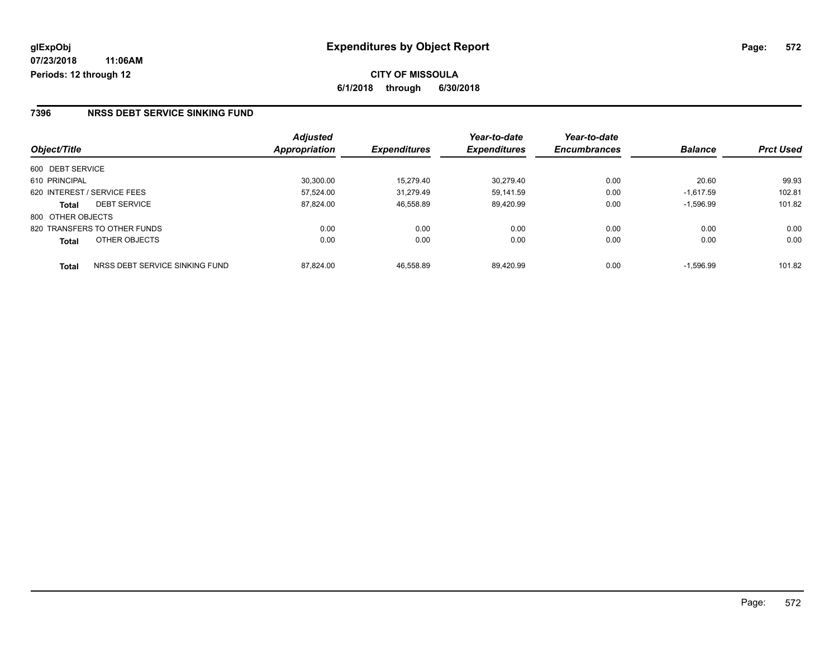**CITY OF MISSOULA 6/1/2018 through 6/30/2018**

### **7396 NRSS DEBT SERVICE SINKING FUND**

|                                                | <b>Adjusted</b> | <b>Expenditures</b> | Year-to-date<br><b>Expenditures</b> | Year-to-date<br><b>Encumbrances</b> | <b>Balance</b> | <b>Prct Used</b> |
|------------------------------------------------|-----------------|---------------------|-------------------------------------|-------------------------------------|----------------|------------------|
| Object/Title                                   | Appropriation   |                     |                                     |                                     |                |                  |
| 600 DEBT SERVICE                               |                 |                     |                                     |                                     |                |                  |
| 610 PRINCIPAL                                  | 30,300.00       | 15.279.40           | 30.279.40                           | 0.00                                | 20.60          | 99.93            |
| 620 INTEREST / SERVICE FEES                    | 57.524.00       | 31.279.49           | 59.141.59                           | 0.00                                | $-1.617.59$    | 102.81           |
| <b>DEBT SERVICE</b><br><b>Total</b>            | 87.824.00       | 46,558.89           | 89.420.99                           | 0.00                                | $-1,596.99$    | 101.82           |
| 800 OTHER OBJECTS                              |                 |                     |                                     |                                     |                |                  |
| 820 TRANSFERS TO OTHER FUNDS                   | 0.00            | 0.00                | 0.00                                | 0.00                                | 0.00           | 0.00             |
| OTHER OBJECTS<br><b>Total</b>                  | 0.00            | 0.00                | 0.00                                | 0.00                                | 0.00           | 0.00             |
| NRSS DEBT SERVICE SINKING FUND<br><b>Total</b> | 87.824.00       | 46.558.89           | 89.420.99                           | 0.00                                | $-1.596.99$    | 101.82           |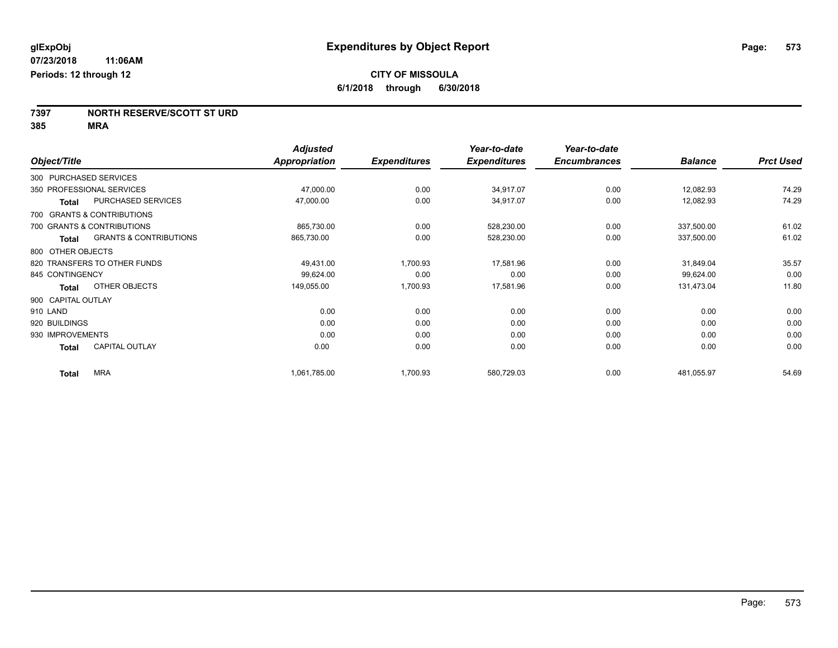**7397 NORTH RESERVE/SCOTT ST URD**

|                        |                                   | <b>Adjusted</b> |                     | Year-to-date        | Year-to-date        |                |                  |
|------------------------|-----------------------------------|-----------------|---------------------|---------------------|---------------------|----------------|------------------|
| Object/Title           |                                   | Appropriation   | <b>Expenditures</b> | <b>Expenditures</b> | <b>Encumbrances</b> | <b>Balance</b> | <b>Prct Used</b> |
| 300 PURCHASED SERVICES |                                   |                 |                     |                     |                     |                |                  |
|                        | 350 PROFESSIONAL SERVICES         | 47,000.00       | 0.00                | 34,917.07           | 0.00                | 12,082.93      | 74.29            |
| <b>Total</b>           | PURCHASED SERVICES                | 47,000.00       | 0.00                | 34,917.07           | 0.00                | 12,082.93      | 74.29            |
|                        | 700 GRANTS & CONTRIBUTIONS        |                 |                     |                     |                     |                |                  |
|                        | 700 GRANTS & CONTRIBUTIONS        | 865,730.00      | 0.00                | 528,230.00          | 0.00                | 337,500.00     | 61.02            |
| <b>Total</b>           | <b>GRANTS &amp; CONTRIBUTIONS</b> | 865,730.00      | 0.00                | 528,230.00          | 0.00                | 337,500.00     | 61.02            |
| 800 OTHER OBJECTS      |                                   |                 |                     |                     |                     |                |                  |
|                        | 820 TRANSFERS TO OTHER FUNDS      | 49,431.00       | 1,700.93            | 17,581.96           | 0.00                | 31,849.04      | 35.57            |
| 845 CONTINGENCY        |                                   | 99,624.00       | 0.00                | 0.00                | 0.00                | 99,624.00      | 0.00             |
| <b>Total</b>           | OTHER OBJECTS                     | 149,055.00      | 1,700.93            | 17,581.96           | 0.00                | 131,473.04     | 11.80            |
| 900 CAPITAL OUTLAY     |                                   |                 |                     |                     |                     |                |                  |
| 910 LAND               |                                   | 0.00            | 0.00                | 0.00                | 0.00                | 0.00           | 0.00             |
| 920 BUILDINGS          |                                   | 0.00            | 0.00                | 0.00                | 0.00                | 0.00           | 0.00             |
| 930 IMPROVEMENTS       |                                   | 0.00            | 0.00                | 0.00                | 0.00                | 0.00           | 0.00             |
| <b>Total</b>           | <b>CAPITAL OUTLAY</b>             | 0.00            | 0.00                | 0.00                | 0.00                | 0.00           | 0.00             |
| <b>Total</b>           | <b>MRA</b>                        | 1,061,785.00    | 1,700.93            | 580,729.03          | 0.00                | 481,055.97     | 54.69            |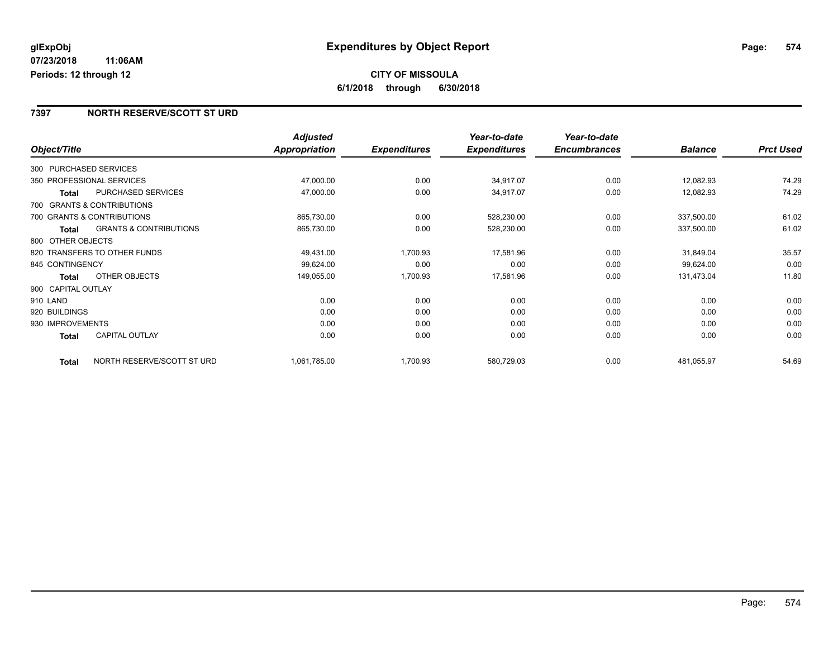### **7397 NORTH RESERVE/SCOTT ST URD**

|                    |                                   | <b>Adjusted</b> |                     | Year-to-date        | Year-to-date        |                |                  |
|--------------------|-----------------------------------|-----------------|---------------------|---------------------|---------------------|----------------|------------------|
| Object/Title       |                                   | Appropriation   | <b>Expenditures</b> | <b>Expenditures</b> | <b>Encumbrances</b> | <b>Balance</b> | <b>Prct Used</b> |
|                    | 300 PURCHASED SERVICES            |                 |                     |                     |                     |                |                  |
|                    | 350 PROFESSIONAL SERVICES         | 47,000.00       | 0.00                | 34,917.07           | 0.00                | 12,082.93      | 74.29            |
| <b>Total</b>       | PURCHASED SERVICES                | 47,000.00       | 0.00                | 34,917.07           | 0.00                | 12,082.93      | 74.29            |
|                    | 700 GRANTS & CONTRIBUTIONS        |                 |                     |                     |                     |                |                  |
|                    | 700 GRANTS & CONTRIBUTIONS        | 865,730.00      | 0.00                | 528,230.00          | 0.00                | 337,500.00     | 61.02            |
| <b>Total</b>       | <b>GRANTS &amp; CONTRIBUTIONS</b> | 865,730.00      | 0.00                | 528,230.00          | 0.00                | 337,500.00     | 61.02            |
| 800 OTHER OBJECTS  |                                   |                 |                     |                     |                     |                |                  |
|                    | 820 TRANSFERS TO OTHER FUNDS      | 49,431.00       | 1,700.93            | 17,581.96           | 0.00                | 31,849.04      | 35.57            |
| 845 CONTINGENCY    |                                   | 99,624.00       | 0.00                | 0.00                | 0.00                | 99,624.00      | 0.00             |
| <b>Total</b>       | OTHER OBJECTS                     | 149,055.00      | 1,700.93            | 17,581.96           | 0.00                | 131,473.04     | 11.80            |
| 900 CAPITAL OUTLAY |                                   |                 |                     |                     |                     |                |                  |
| 910 LAND           |                                   | 0.00            | 0.00                | 0.00                | 0.00                | 0.00           | 0.00             |
| 920 BUILDINGS      |                                   | 0.00            | 0.00                | 0.00                | 0.00                | 0.00           | 0.00             |
| 930 IMPROVEMENTS   |                                   | 0.00            | 0.00                | 0.00                | 0.00                | 0.00           | 0.00             |
| <b>Total</b>       | <b>CAPITAL OUTLAY</b>             | 0.00            | 0.00                | 0.00                | 0.00                | 0.00           | 0.00             |
| <b>Total</b>       | NORTH RESERVE/SCOTT ST URD        | 1,061,785.00    | 1,700.93            | 580,729.03          | 0.00                | 481,055.97     | 54.69            |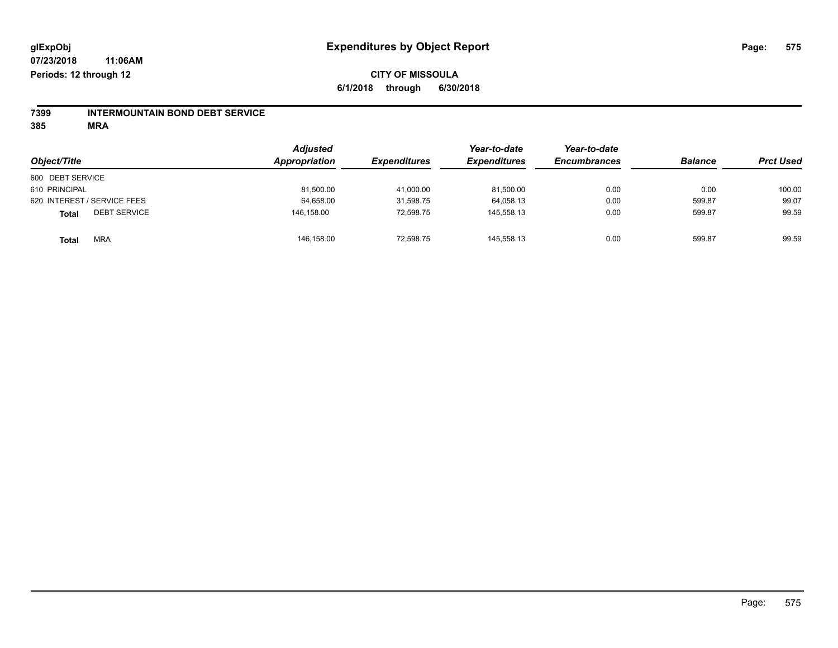## **CITY OF MISSOULA 6/1/2018 through 6/30/2018**

# **7399 INTERMOUNTAIN BOND DEBT SERVICE**

|                                     | <b>Adjusted</b><br>Appropriation | <b>Expenditures</b> | Year-to-date<br><b>Expenditures</b> | Year-to-date<br><b>Encumbrances</b> | <b>Balance</b> |                  |
|-------------------------------------|----------------------------------|---------------------|-------------------------------------|-------------------------------------|----------------|------------------|
| Object/Title                        |                                  |                     |                                     |                                     |                | <b>Prct Used</b> |
| 600 DEBT SERVICE                    |                                  |                     |                                     |                                     |                |                  |
| 610 PRINCIPAL                       | 81,500.00                        | 41,000.00           | 81,500.00                           | 0.00                                | 0.00           | 100.00           |
| 620 INTEREST / SERVICE FEES         | 64,658.00                        | 31,598.75           | 64,058.13                           | 0.00                                | 599.87         | 99.07            |
| <b>DEBT SERVICE</b><br><b>Total</b> | 146.158.00                       | 72,598.75           | 145.558.13                          | 0.00                                | 599.87         | 99.59            |
| <b>MRA</b><br><b>Total</b>          | 146,158.00                       | 72,598.75           | 145,558.13                          | 0.00                                | 599.87         | 99.59            |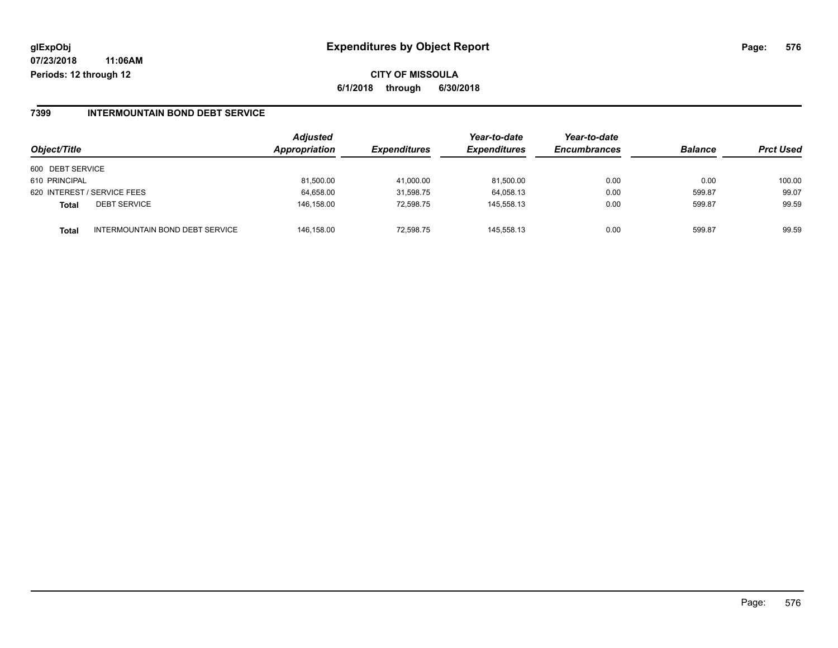**CITY OF MISSOULA 6/1/2018 through 6/30/2018**

#### **7399 INTERMOUNTAIN BOND DEBT SERVICE**

| Object/Title                                    | <b>Adjusted</b><br>Appropriation | <b>Expenditures</b> | Year-to-date<br><b>Expenditures</b> | Year-to-date<br><b>Encumbrances</b> | <b>Balance</b> | <b>Prct Used</b> |
|-------------------------------------------------|----------------------------------|---------------------|-------------------------------------|-------------------------------------|----------------|------------------|
| 600 DEBT SERVICE                                |                                  |                     |                                     |                                     |                |                  |
| 610 PRINCIPAL                                   | 81,500.00                        | 41,000.00           | 81,500.00                           | 0.00                                | 0.00           | 100.00           |
| 620 INTEREST / SERVICE FEES                     | 64,658.00                        | 31,598.75           | 64,058.13                           | 0.00                                | 599.87         | 99.07            |
| <b>DEBT SERVICE</b><br><b>Total</b>             | 146.158.00                       | 72.598.75           | 145.558.13                          | 0.00                                | 599.87         | 99.59            |
| INTERMOUNTAIN BOND DEBT SERVICE<br><b>Total</b> | 146.158.00                       | 72.598.75           | 145.558.13                          | 0.00                                | 599.87         | 99.59            |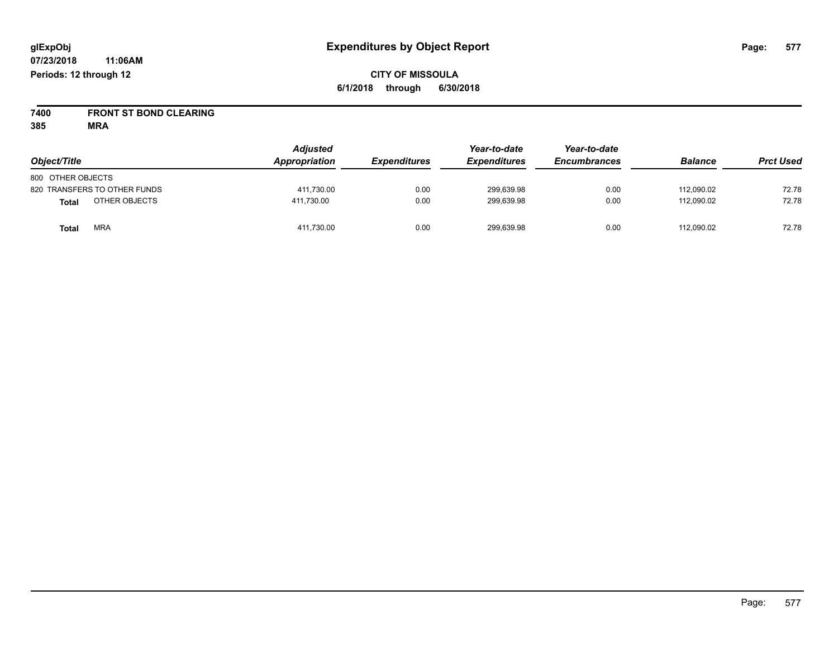**CITY OF MISSOULA 6/1/2018 through 6/30/2018**

**7400 FRONT ST BOND CLEARING**

**385 MRA**

| Object/Title                  | <b>Adjusted</b><br>Appropriation | <b>Expenditures</b> | Year-to-date<br><i><b>Expenditures</b></i> | Year-to-date<br><b>Encumbrances</b> | <b>Balance</b> | <b>Prct Used</b> |
|-------------------------------|----------------------------------|---------------------|--------------------------------------------|-------------------------------------|----------------|------------------|
| 800 OTHER OBJECTS             |                                  |                     |                                            |                                     |                |                  |
| 820 TRANSFERS TO OTHER FUNDS  | 411,730.00                       | 0.00                | 299,639.98                                 | 0.00                                | 112.090.02     | 72.78            |
| OTHER OBJECTS<br><b>Total</b> | 411.730.00                       | 0.00                | 299,639.98                                 | 0.00                                | 112.090.02     | 72.78            |
| <b>MRA</b><br>Total           | 411,730.00                       | 0.00                | 299,639.98                                 | 0.00                                | 112.090.02     | 72.78            |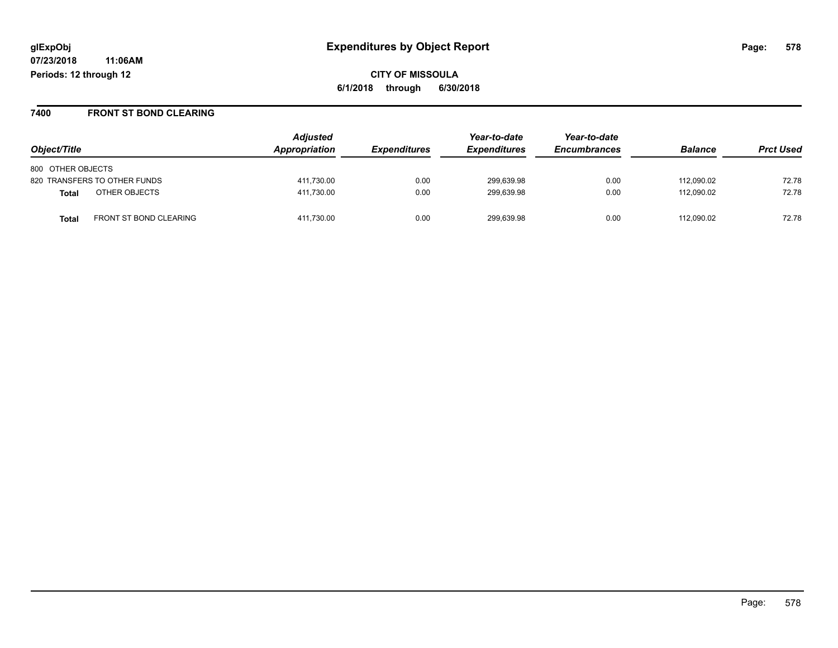### **7400 FRONT ST BOND CLEARING**

| Object/Title                                       | <b>Adjusted</b><br>Appropriation | <i><b>Expenditures</b></i> | Year-to-date<br><i><b>Expenditures</b></i> | Year-to-date<br><b>Encumbrances</b> | <b>Balance</b> | <b>Prct Used</b> |
|----------------------------------------------------|----------------------------------|----------------------------|--------------------------------------------|-------------------------------------|----------------|------------------|
|                                                    |                                  |                            |                                            |                                     |                |                  |
| 800 OTHER OBJECTS                                  |                                  |                            |                                            |                                     |                |                  |
| 820 TRANSFERS TO OTHER FUNDS                       | 411,730.00                       | 0.00                       | 299,639.98                                 | 0.00                                | 112.090.02     | 72.78            |
| OTHER OBJECTS<br><b>Total</b>                      | 411,730.00                       | 0.00                       | 299.639.98                                 | 0.00                                | 112.090.02     | 72.78            |
| <b>FRONT ST BOND CLEARING</b><br>Tota <sub>l</sub> | 411.730.00                       | 0.00                       | 299.639.98                                 | 0.00                                | 112.090.02     | 72.78            |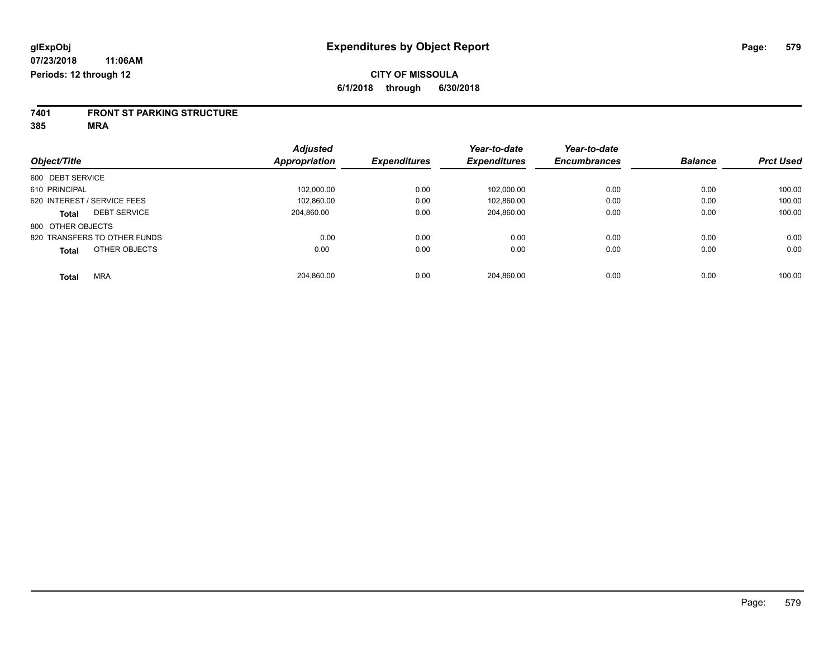# **7401 FRONT ST PARKING STRUCTURE**

**385 MRA**

|                                     | <b>Adjusted</b>      |                     | Year-to-date        | Year-to-date        |                |                  |
|-------------------------------------|----------------------|---------------------|---------------------|---------------------|----------------|------------------|
| Object/Title                        | <b>Appropriation</b> | <b>Expenditures</b> | <b>Expenditures</b> | <b>Encumbrances</b> | <b>Balance</b> | <b>Prct Used</b> |
| 600 DEBT SERVICE                    |                      |                     |                     |                     |                |                  |
| 610 PRINCIPAL                       | 102,000.00           | 0.00                | 102.000.00          | 0.00                | 0.00           | 100.00           |
| 620 INTEREST / SERVICE FEES         | 102,860.00           | 0.00                | 102,860.00          | 0.00                | 0.00           | 100.00           |
| <b>DEBT SERVICE</b><br><b>Total</b> | 204,860.00           | 0.00                | 204,860.00          | 0.00                | 0.00           | 100.00           |
| 800 OTHER OBJECTS                   |                      |                     |                     |                     |                |                  |
| 820 TRANSFERS TO OTHER FUNDS        | 0.00                 | 0.00                | 0.00                | 0.00                | 0.00           | 0.00             |
| OTHER OBJECTS<br><b>Total</b>       | 0.00                 | 0.00                | 0.00                | 0.00                | 0.00           | 0.00             |
| <b>MRA</b><br><b>Total</b>          | 204.860.00           | 0.00                | 204.860.00          | 0.00                | 0.00           | 100.00           |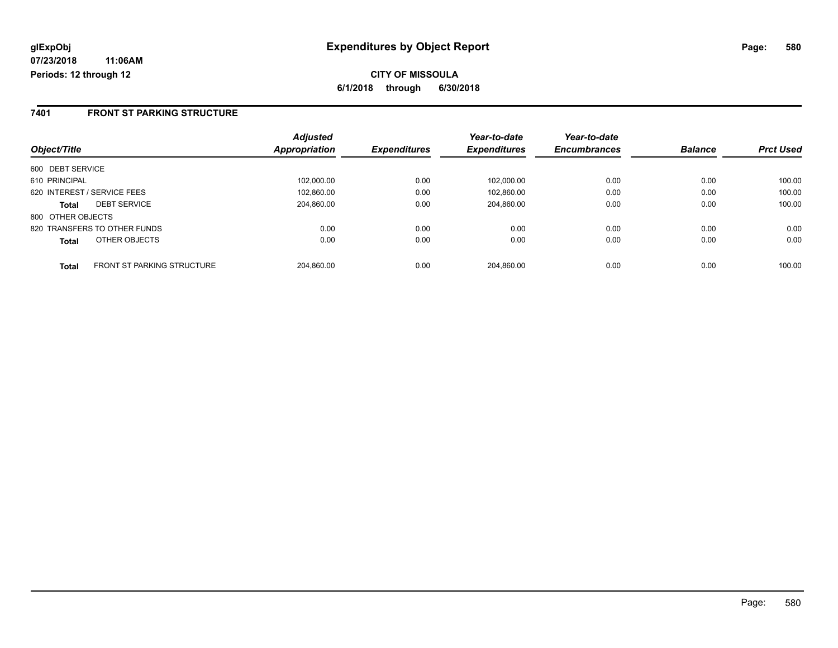**CITY OF MISSOULA 6/1/2018 through 6/30/2018**

## **7401 FRONT ST PARKING STRUCTURE**

|                                                   | <b>Adjusted</b> |                     | Year-to-date        | Year-to-date        |                |                  |
|---------------------------------------------------|-----------------|---------------------|---------------------|---------------------|----------------|------------------|
| Object/Title                                      | Appropriation   | <b>Expenditures</b> | <b>Expenditures</b> | <b>Encumbrances</b> | <b>Balance</b> | <b>Prct Used</b> |
| 600 DEBT SERVICE                                  |                 |                     |                     |                     |                |                  |
| 610 PRINCIPAL                                     | 102.000.00      | 0.00                | 102.000.00          | 0.00                | 0.00           | 100.00           |
| 620 INTEREST / SERVICE FEES                       | 102,860.00      | 0.00                | 102.860.00          | 0.00                | 0.00           | 100.00           |
| <b>DEBT SERVICE</b><br><b>Total</b>               | 204.860.00      | 0.00                | 204.860.00          | 0.00                | 0.00           | 100.00           |
| 800 OTHER OBJECTS                                 |                 |                     |                     |                     |                |                  |
| 820 TRANSFERS TO OTHER FUNDS                      | 0.00            | 0.00                | 0.00                | 0.00                | 0.00           | 0.00             |
| OTHER OBJECTS<br><b>Total</b>                     | 0.00            | 0.00                | 0.00                | 0.00                | 0.00           | 0.00             |
| <b>FRONT ST PARKING STRUCTURE</b><br><b>Total</b> | 204.860.00      | 0.00                | 204.860.00          | 0.00                | 0.00           | 100.00           |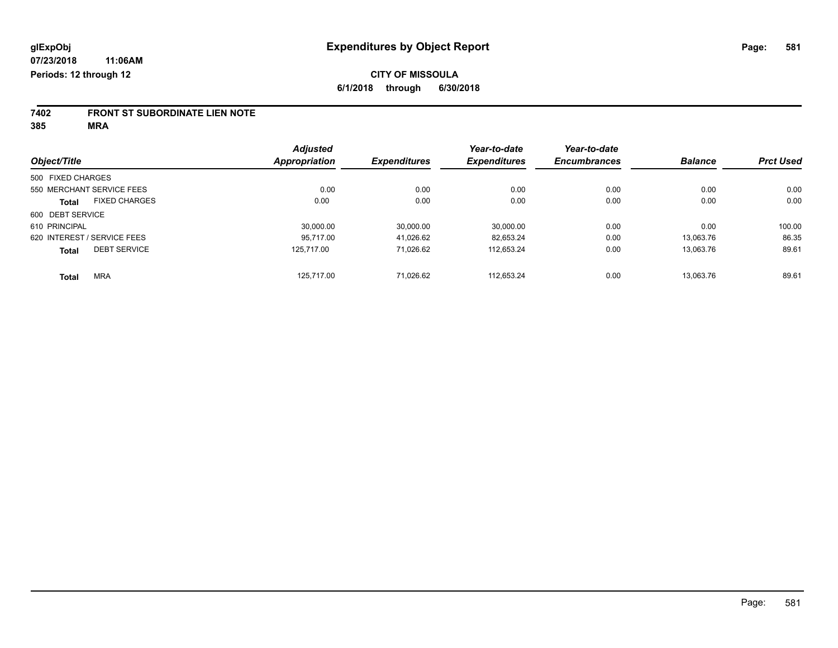# **CITY OF MISSOULA 6/1/2018 through 6/30/2018**

# **7402 FRONT ST SUBORDINATE LIEN NOTE**

**385 MRA**

|                             |                      | <b>Adjusted</b>      |                     | Year-to-date        | Year-to-date        |                |                  |
|-----------------------------|----------------------|----------------------|---------------------|---------------------|---------------------|----------------|------------------|
| Object/Title                |                      | <b>Appropriation</b> | <b>Expenditures</b> | <b>Expenditures</b> | <b>Encumbrances</b> | <b>Balance</b> | <b>Prct Used</b> |
| 500 FIXED CHARGES           |                      |                      |                     |                     |                     |                |                  |
| 550 MERCHANT SERVICE FEES   |                      | 0.00                 | 0.00                | 0.00                | 0.00                | 0.00           | 0.00             |
| <b>Total</b>                | <b>FIXED CHARGES</b> | 0.00                 | 0.00                | 0.00                | 0.00                | 0.00           | 0.00             |
| 600 DEBT SERVICE            |                      |                      |                     |                     |                     |                |                  |
| 610 PRINCIPAL               |                      | 30.000.00            | 30.000.00           | 30,000.00           | 0.00                | 0.00           | 100.00           |
| 620 INTEREST / SERVICE FEES |                      | 95.717.00            | 41,026.62           | 82,653.24           | 0.00                | 13.063.76      | 86.35            |
| <b>Total</b>                | <b>DEBT SERVICE</b>  | 125.717.00           | 71,026.62           | 112,653.24          | 0.00                | 13,063.76      | 89.61            |
| <b>MRA</b><br><b>Total</b>  |                      | 125.717.00           | 71.026.62           | 112.653.24          | 0.00                | 13.063.76      | 89.61            |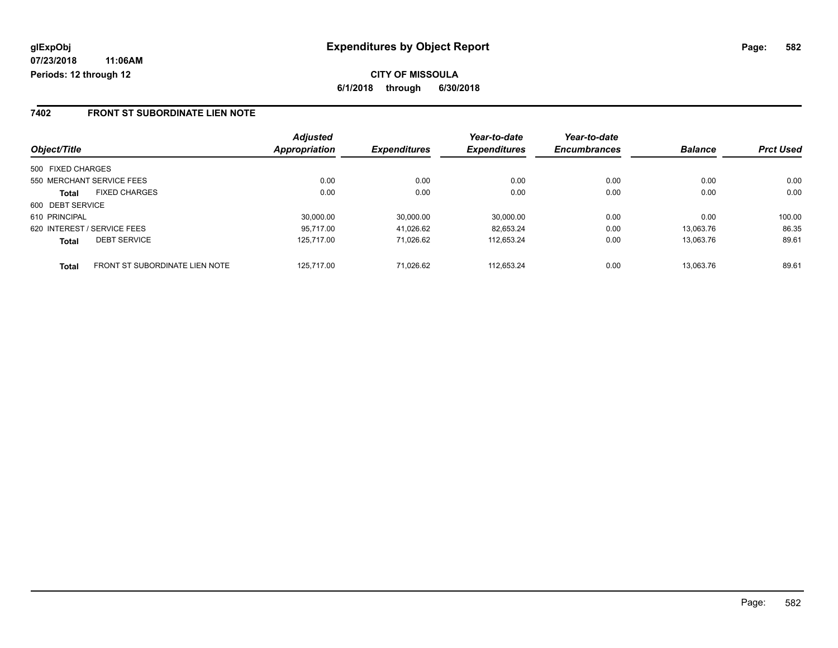**CITY OF MISSOULA 6/1/2018 through 6/30/2018**

## **7402 FRONT ST SUBORDINATE LIEN NOTE**

| Object/Title                                          | <b>Adjusted</b><br>Appropriation | <b>Expenditures</b> | Year-to-date<br><b>Expenditures</b> | Year-to-date<br><b>Encumbrances</b> | <b>Balance</b> | <b>Prct Used</b> |
|-------------------------------------------------------|----------------------------------|---------------------|-------------------------------------|-------------------------------------|----------------|------------------|
|                                                       |                                  |                     |                                     |                                     |                |                  |
| 500 FIXED CHARGES                                     |                                  |                     |                                     |                                     |                |                  |
| 550 MERCHANT SERVICE FEES                             | 0.00                             | 0.00                | 0.00                                | 0.00                                | 0.00           | 0.00             |
| <b>FIXED CHARGES</b><br><b>Total</b>                  | 0.00                             | 0.00                | 0.00                                | 0.00                                | 0.00           | 0.00             |
| 600 DEBT SERVICE                                      |                                  |                     |                                     |                                     |                |                  |
| 610 PRINCIPAL                                         | 30.000.00                        | 30.000.00           | 30.000.00                           | 0.00                                | 0.00           | 100.00           |
| 620 INTEREST / SERVICE FEES                           | 95.717.00                        | 41.026.62           | 82.653.24                           | 0.00                                | 13,063.76      | 86.35            |
| <b>DEBT SERVICE</b><br><b>Total</b>                   | 125,717.00                       | 71,026.62           | 112.653.24                          | 0.00                                | 13,063.76      | 89.61            |
| <b>FRONT ST SUBORDINATE LIEN NOTE</b><br><b>Total</b> | 125.717.00                       | 71.026.62           | 112.653.24                          | 0.00                                | 13.063.76      | 89.61            |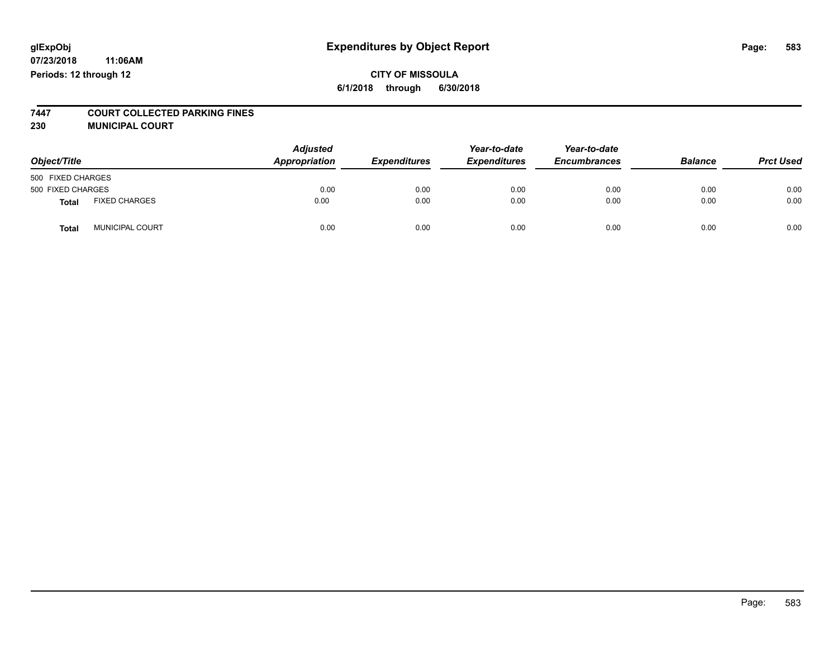# **CITY OF MISSOULA 6/1/2018 through 6/30/2018**

# **7447 COURT COLLECTED PARKING FINES**

**230 MUNICIPAL COURT**

| Object/Title      |                        | <b>Adjusted</b><br>Appropriation | <b>Expenditures</b> | Year-to-date<br><b>Expenditures</b> | Year-to-date<br><b>Encumbrances</b> | <b>Balance</b> | <b>Prct Used</b> |
|-------------------|------------------------|----------------------------------|---------------------|-------------------------------------|-------------------------------------|----------------|------------------|
| 500 FIXED CHARGES |                        |                                  |                     |                                     |                                     |                |                  |
| 500 FIXED CHARGES |                        | 0.00                             | 0.00                | 0.00                                | 0.00                                | 0.00           | 0.00             |
| <b>Total</b>      | <b>FIXED CHARGES</b>   | 0.00                             | 0.00                | 0.00                                | 0.00                                | 0.00           | 0.00             |
| <b>Total</b>      | <b>MUNICIPAL COURT</b> | 0.00                             | 0.00                | 0.00                                | 0.00                                | 0.00           | 0.00             |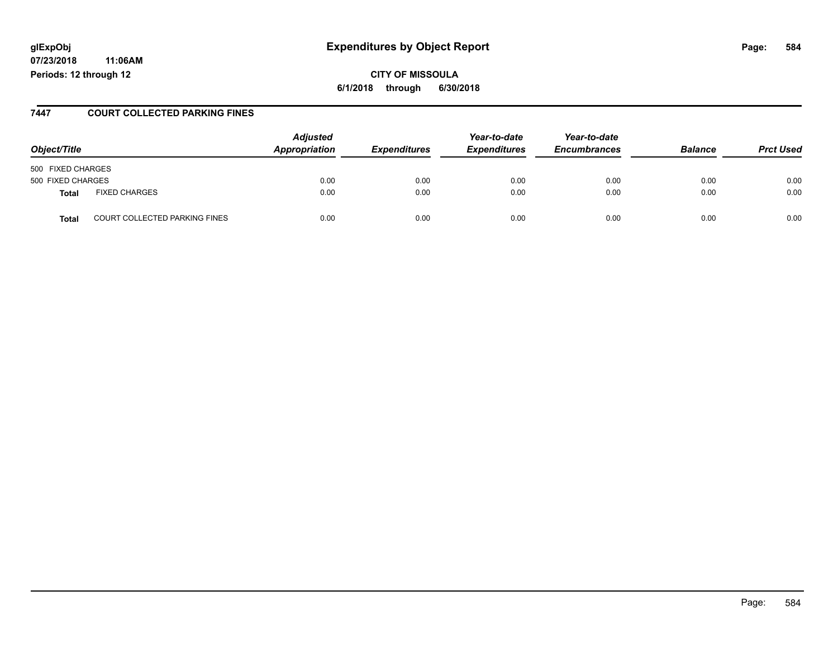# **glExpObj Expenditures by Object Report Page: 584**

**07/23/2018 11:06AM Periods: 12 through 12**

**CITY OF MISSOULA 6/1/2018 through 6/30/2018**

#### **7447 COURT COLLECTED PARKING FINES**

| Object/Title                                  | <b>Adjusted</b><br>Appropriation | <b>Expenditures</b> | Year-to-date<br><b>Expenditures</b> | Year-to-date<br><b>Encumbrances</b> | <b>Balance</b> | <b>Prct Used</b> |
|-----------------------------------------------|----------------------------------|---------------------|-------------------------------------|-------------------------------------|----------------|------------------|
| 500 FIXED CHARGES                             |                                  |                     |                                     |                                     |                |                  |
| 500 FIXED CHARGES                             | 0.00                             | 0.00                | 0.00                                | 0.00                                | 0.00           | 0.00             |
| <b>FIXED CHARGES</b><br><b>Total</b>          | 0.00                             | 0.00                | 0.00                                | 0.00                                | 0.00           | 0.00             |
| <b>COURT COLLECTED PARKING FINES</b><br>Total | 0.00                             | 0.00                | 0.00                                | 0.00                                | 0.00           | 0.00             |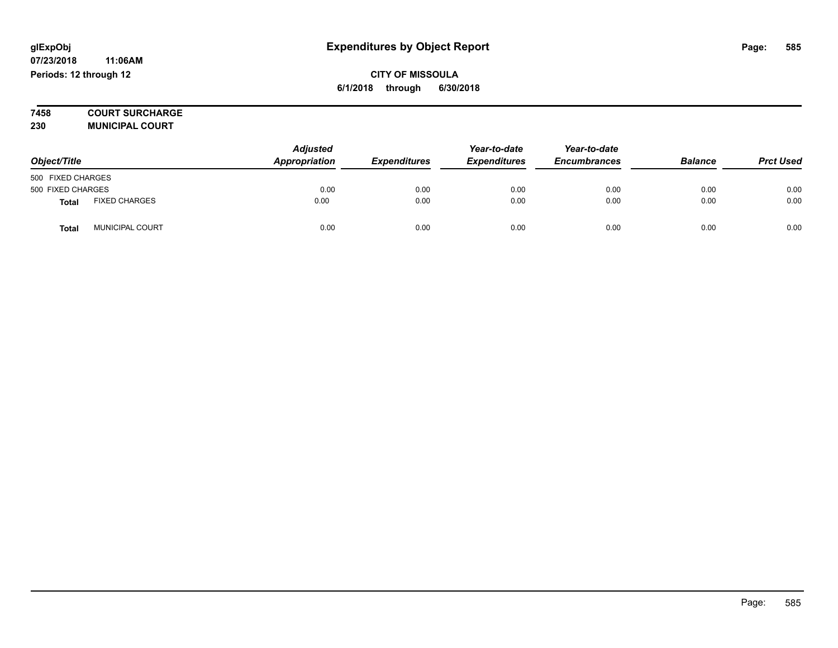**7458 COURT SURCHARGE 230 MUNICIPAL COURT**

| Object/Title      |                      | <b>Adjusted</b><br>Appropriation | <b>Expenditures</b> | Year-to-date<br><b>Expenditures</b> | Year-to-date<br><b>Encumbrances</b> | <b>Balance</b> | <b>Prct Used</b> |
|-------------------|----------------------|----------------------------------|---------------------|-------------------------------------|-------------------------------------|----------------|------------------|
| 500 FIXED CHARGES |                      |                                  |                     |                                     |                                     |                |                  |
| 500 FIXED CHARGES |                      | 0.00                             | 0.00                | 0.00                                | 0.00                                | 0.00           | 0.00             |
| <b>Total</b>      | <b>FIXED CHARGES</b> | 0.00                             | 0.00                | 0.00                                | 0.00                                | 0.00           | 0.00             |
| <b>Total</b>      | MUNICIPAL COURT      | 0.00                             | 0.00                | 0.00                                | 0.00                                | 0.00           | 0.00             |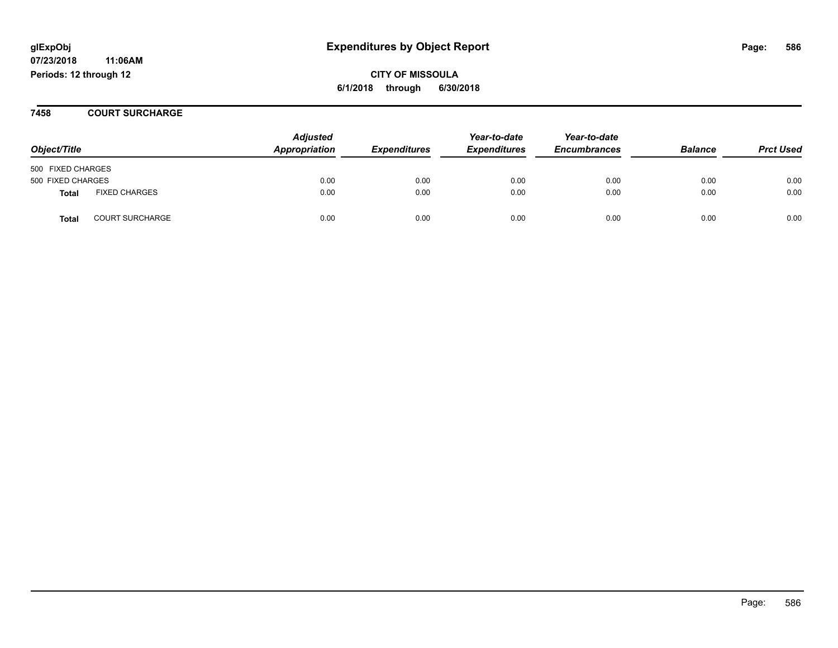# **CITY OF MISSOULA 6/1/2018 through 6/30/2018**

### **7458 COURT SURCHARGE**

| Object/Title      |                        | <b>Adjusted</b><br>Appropriation | <b>Expenditures</b> | Year-to-date<br><b>Expenditures</b> | Year-to-date<br><b>Encumbrances</b> | <b>Balance</b> | <b>Prct Used</b> |
|-------------------|------------------------|----------------------------------|---------------------|-------------------------------------|-------------------------------------|----------------|------------------|
| 500 FIXED CHARGES |                        |                                  |                     |                                     |                                     |                |                  |
| 500 FIXED CHARGES |                        | 0.00                             | 0.00                | 0.00                                | 0.00                                | 0.00           | 0.00             |
| <b>Total</b>      | <b>FIXED CHARGES</b>   | 0.00                             | 0.00                | 0.00                                | 0.00                                | 0.00           | 0.00             |
| Total             | <b>COURT SURCHARGE</b> | 0.00                             | 0.00                | 0.00                                | 0.00                                | 0.00           | 0.00             |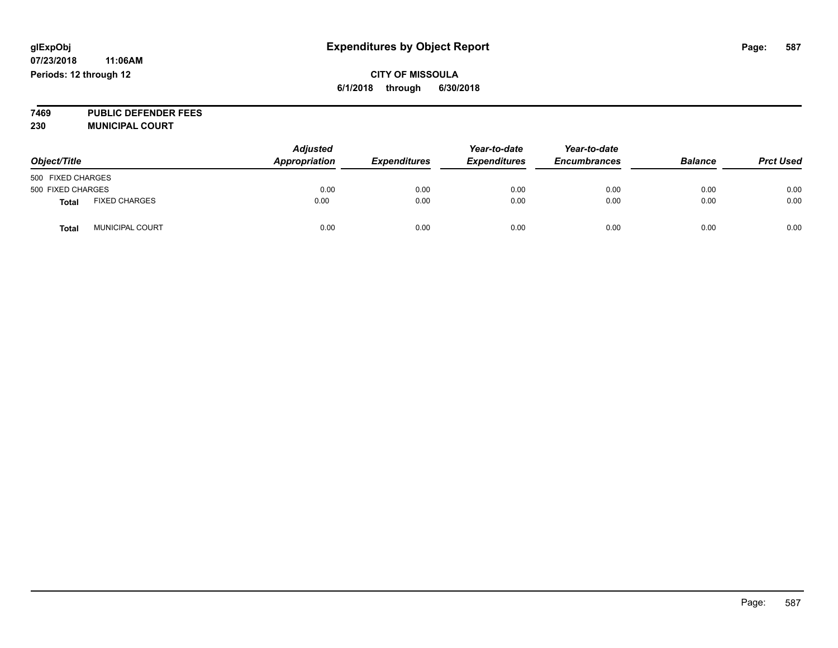# **CITY OF MISSOULA 6/1/2018 through 6/30/2018**

**7469 PUBLIC DEFENDER FEES 230 MUNICIPAL COURT**

| Object/Title      |                        | <b>Adjusted</b><br>Appropriation | <b>Expenditures</b> | Year-to-date<br><b>Expenditures</b> | Year-to-date<br><b>Encumbrances</b> | <b>Balance</b> | <b>Prct Used</b> |
|-------------------|------------------------|----------------------------------|---------------------|-------------------------------------|-------------------------------------|----------------|------------------|
| 500 FIXED CHARGES |                        |                                  |                     |                                     |                                     |                |                  |
| 500 FIXED CHARGES |                        | 0.00                             | 0.00                | 0.00                                | 0.00                                | 0.00           | 0.00             |
| <b>Total</b>      | <b>FIXED CHARGES</b>   | 0.00                             | 0.00                | 0.00                                | 0.00                                | 0.00           | 0.00             |
| <b>Total</b>      | <b>MUNICIPAL COURT</b> | 0.00                             | 0.00                | 0.00                                | 0.00                                | 0.00           | 0.00             |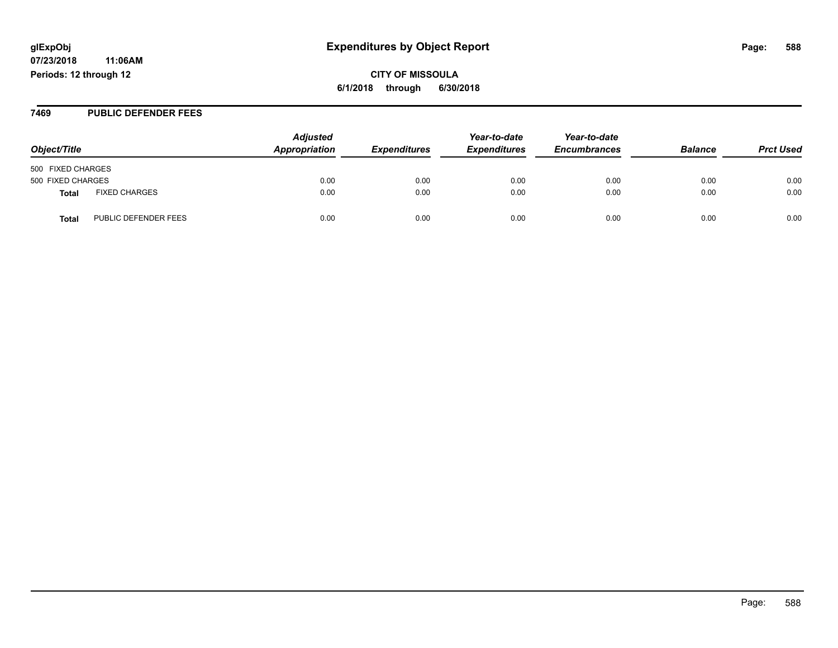# **CITY OF MISSOULA 6/1/2018 through 6/30/2018**

## **7469 PUBLIC DEFENDER FEES**

| Object/Title      |                      | <b>Adjusted</b><br>Appropriation | <b>Expenditures</b> | Year-to-date<br><b>Expenditures</b> | Year-to-date<br><b>Encumbrances</b> | <b>Balance</b> | <b>Prct Used</b> |
|-------------------|----------------------|----------------------------------|---------------------|-------------------------------------|-------------------------------------|----------------|------------------|
| 500 FIXED CHARGES |                      |                                  |                     |                                     |                                     |                |                  |
| 500 FIXED CHARGES |                      | 0.00                             | 0.00                | 0.00                                | 0.00                                | 0.00           | 0.00             |
| Total             | <b>FIXED CHARGES</b> | 0.00                             | 0.00                | 0.00                                | 0.00                                | 0.00           | 0.00             |
| Total             | PUBLIC DEFENDER FEES | 0.00                             | 0.00                | 0.00                                | 0.00                                | 0.00           | 0.00             |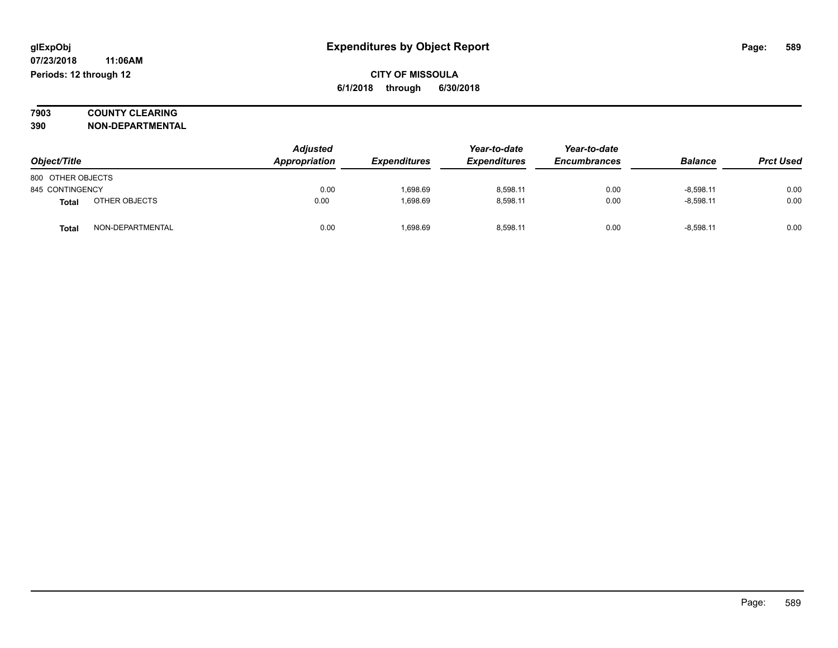#### **7903 COUNTY CLEARING 390 NON-DEPARTMENTAL**

| Object/Title      |                  | <b>Adjusted</b><br>Appropriation | <b>Expenditures</b> | Year-to-date<br><b>Expenditures</b> | Year-to-date<br><b>Encumbrances</b> | <b>Balance</b> | <b>Prct Used</b> |
|-------------------|------------------|----------------------------------|---------------------|-------------------------------------|-------------------------------------|----------------|------------------|
|                   |                  |                                  |                     |                                     |                                     |                |                  |
| 800 OTHER OBJECTS |                  |                                  |                     |                                     |                                     |                |                  |
| 845 CONTINGENCY   |                  | 0.00                             | 1,698.69            | 8.598.11                            | 0.00                                | $-8.598.11$    | 0.00             |
| Total             | OTHER OBJECTS    | 0.00                             | 1.698.69            | 8.598.11                            | 0.00                                | $-8.598.11$    | 0.00             |
| Total             | NON-DEPARTMENTAL | 0.00                             | 1,698.69            | 8,598.11                            | 0.00                                | $-8,598.11$    | 0.00             |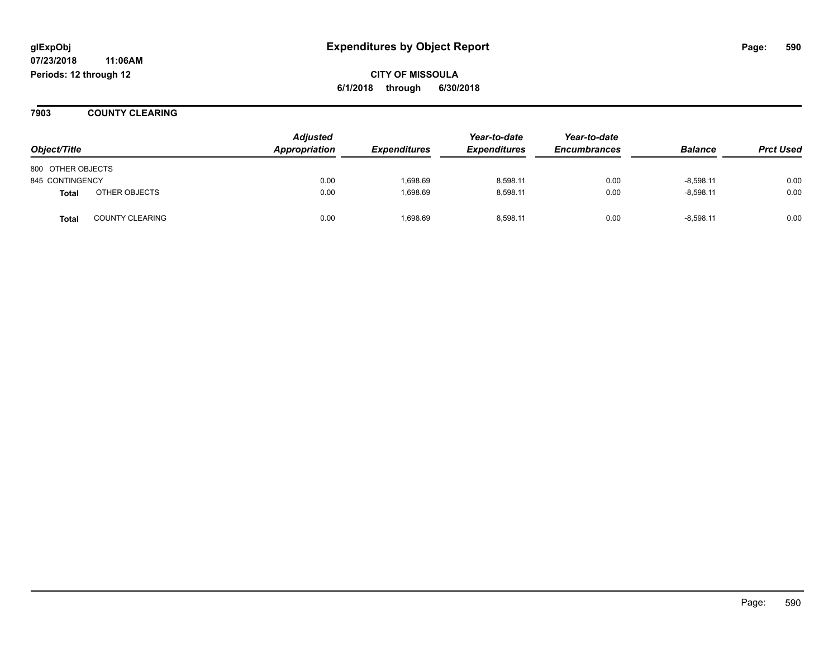# **CITY OF MISSOULA 6/1/2018 through 6/30/2018**

### **7903 COUNTY CLEARING**

| Object/Title      |                        | <b>Adjusted</b><br>Appropriation | <b>Expenditures</b> | Year-to-date<br><b>Expenditures</b> | Year-to-date<br><b>Encumbrances</b> | <b>Balance</b> | <b>Prct Used</b> |
|-------------------|------------------------|----------------------------------|---------------------|-------------------------------------|-------------------------------------|----------------|------------------|
| 800 OTHER OBJECTS |                        |                                  |                     |                                     |                                     |                |                  |
| 845 CONTINGENCY   |                        | 0.00                             | 1,698.69            | 8,598.11                            | 0.00                                | $-8,598.11$    | 0.00             |
| Total             | OTHER OBJECTS          | 0.00                             | 1,698.69            | 8,598.11                            | 0.00                                | $-8.598.11$    | 0.00             |
| <b>Total</b>      | <b>COUNTY CLEARING</b> | 0.00                             | 1.698.69            | 8.598.11                            | 0.00                                | $-8.598.11$    | 0.00             |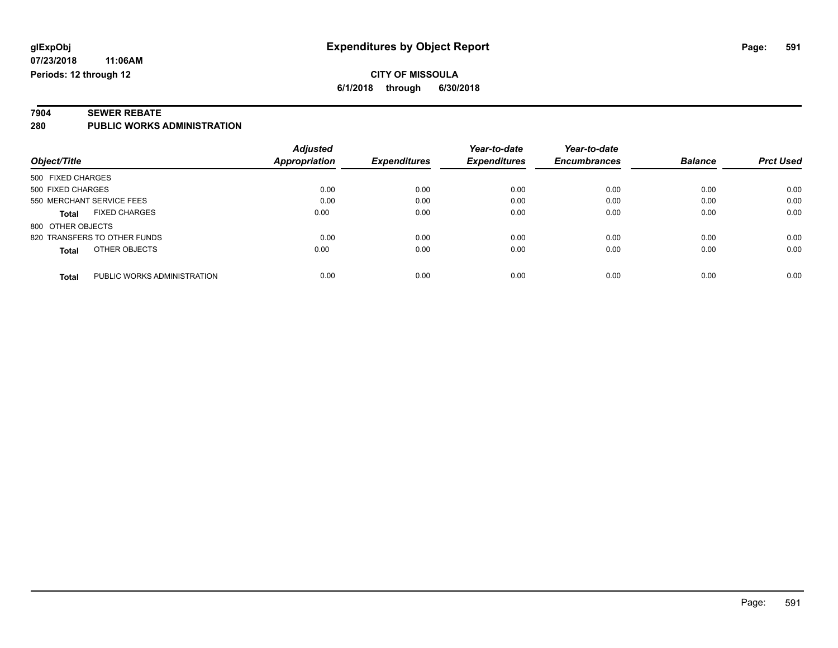# **7904 SEWER REBATE**

**280 PUBLIC WORKS ADMINISTRATION**

|                                             | <b>Adjusted</b>      |                     | Year-to-date        | Year-to-date        |                |                  |
|---------------------------------------------|----------------------|---------------------|---------------------|---------------------|----------------|------------------|
| Object/Title                                | <b>Appropriation</b> | <b>Expenditures</b> | <b>Expenditures</b> | <b>Encumbrances</b> | <b>Balance</b> | <b>Prct Used</b> |
| 500 FIXED CHARGES                           |                      |                     |                     |                     |                |                  |
| 500 FIXED CHARGES                           | 0.00                 | 0.00                | 0.00                | 0.00                | 0.00           | 0.00             |
| 550 MERCHANT SERVICE FEES                   | 0.00                 | 0.00                | 0.00                | 0.00                | 0.00           | 0.00             |
| <b>FIXED CHARGES</b><br><b>Total</b>        | 0.00                 | 0.00                | 0.00                | 0.00                | 0.00           | 0.00             |
| 800 OTHER OBJECTS                           |                      |                     |                     |                     |                |                  |
| 820 TRANSFERS TO OTHER FUNDS                | 0.00                 | 0.00                | 0.00                | 0.00                | 0.00           | 0.00             |
| OTHER OBJECTS<br><b>Total</b>               | 0.00                 | 0.00                | 0.00                | 0.00                | 0.00           | 0.00             |
| PUBLIC WORKS ADMINISTRATION<br><b>Total</b> | 0.00                 | 0.00                | 0.00                | 0.00                | 0.00           | 0.00             |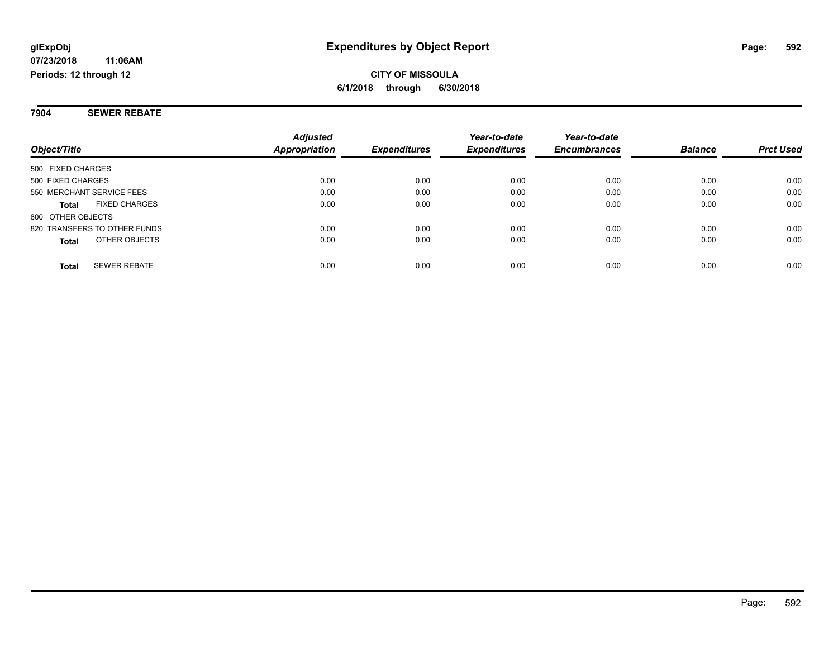**7904 SEWER REBATE**

|                                      | <b>Adjusted</b> |                     | Year-to-date        | Year-to-date        |                |                  |
|--------------------------------------|-----------------|---------------------|---------------------|---------------------|----------------|------------------|
| Object/Title                         | Appropriation   | <b>Expenditures</b> | <b>Expenditures</b> | <b>Encumbrances</b> | <b>Balance</b> | <b>Prct Used</b> |
| 500 FIXED CHARGES                    |                 |                     |                     |                     |                |                  |
| 500 FIXED CHARGES                    | 0.00            | 0.00                | 0.00                | 0.00                | 0.00           | 0.00             |
| 550 MERCHANT SERVICE FEES            | 0.00            | 0.00                | 0.00                | 0.00                | 0.00           | 0.00             |
| <b>FIXED CHARGES</b><br><b>Total</b> | 0.00            | 0.00                | 0.00                | 0.00                | 0.00           | 0.00             |
| 800 OTHER OBJECTS                    |                 |                     |                     |                     |                |                  |
| 820 TRANSFERS TO OTHER FUNDS         | 0.00            | 0.00                | 0.00                | 0.00                | 0.00           | 0.00             |
| OTHER OBJECTS<br><b>Total</b>        | 0.00            | 0.00                | 0.00                | 0.00                | 0.00           | 0.00             |
| <b>SEWER REBATE</b><br><b>Total</b>  | 0.00            | 0.00                | 0.00                | 0.00                | 0.00           | 0.00             |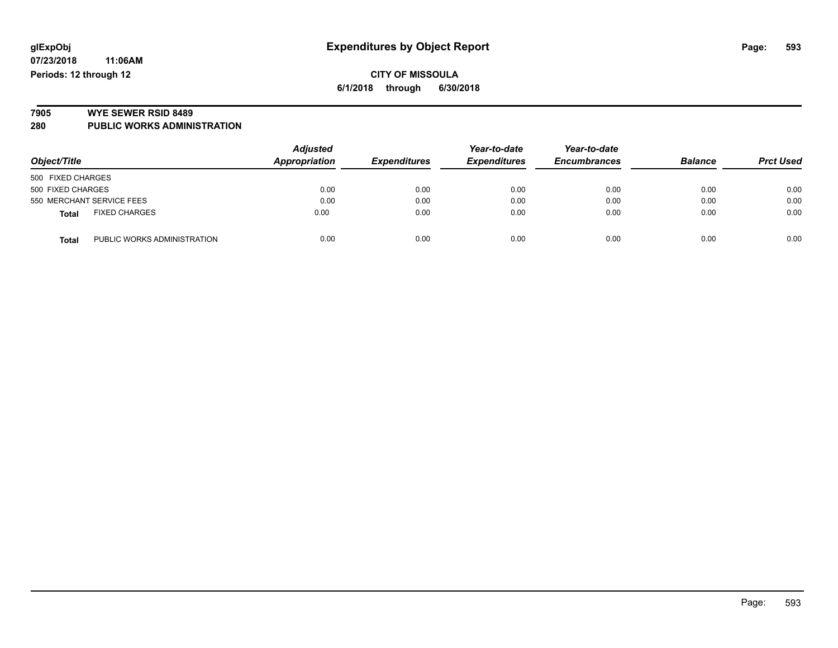**CITY OF MISSOULA 6/1/2018 through 6/30/2018**

# **7905 WYE SEWER RSID 8489**

**280 PUBLIC WORKS ADMINISTRATION**

| Object/Title                                | <b>Adjusted</b><br>Appropriation | <b>Expenditures</b> | Year-to-date<br><b>Expenditures</b> | Year-to-date<br><b>Encumbrances</b> | <b>Balance</b> | <b>Prct Used</b> |
|---------------------------------------------|----------------------------------|---------------------|-------------------------------------|-------------------------------------|----------------|------------------|
|                                             |                                  |                     |                                     |                                     |                |                  |
| 500 FIXED CHARGES                           |                                  |                     |                                     |                                     |                |                  |
| 500 FIXED CHARGES                           | 0.00                             | 0.00                | 0.00                                | 0.00                                | 0.00           | 0.00             |
| 550 MERCHANT SERVICE FEES                   | 0.00                             | 0.00                | 0.00                                | 0.00                                | 0.00           | 0.00             |
| <b>FIXED CHARGES</b><br><b>Total</b>        | 0.00                             | 0.00                | 0.00                                | 0.00                                | 0.00           | 0.00             |
| PUBLIC WORKS ADMINISTRATION<br><b>Total</b> | 0.00                             | 0.00                | 0.00                                | 0.00                                | 0.00           | 0.00             |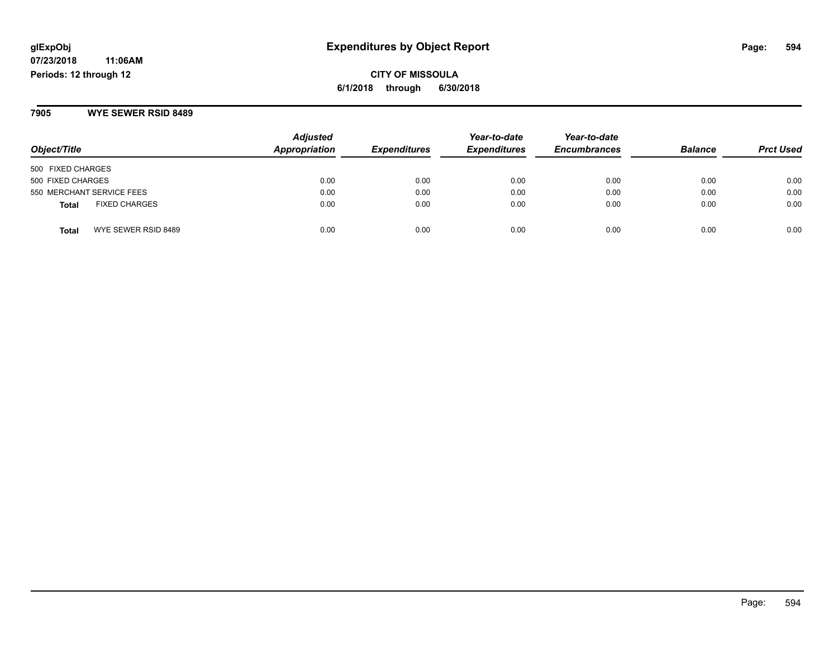**CITY OF MISSOULA 6/1/2018 through 6/30/2018**

**7905 WYE SEWER RSID 8489**

| Object/Title                         | <b>Adjusted</b><br><b>Appropriation</b> | <b>Expenditures</b> | Year-to-date<br><b>Expenditures</b> | Year-to-date<br><b>Encumbrances</b> | <b>Balance</b> | <b>Prct Used</b> |
|--------------------------------------|-----------------------------------------|---------------------|-------------------------------------|-------------------------------------|----------------|------------------|
| 500 FIXED CHARGES                    |                                         |                     |                                     |                                     |                |                  |
| 500 FIXED CHARGES                    | 0.00                                    | 0.00                | 0.00                                | 0.00                                | 0.00           | 0.00             |
| 550 MERCHANT SERVICE FEES            | 0.00                                    | 0.00                | 0.00                                | 0.00                                | 0.00           | 0.00             |
| <b>FIXED CHARGES</b><br><b>Total</b> | 0.00                                    | 0.00                | 0.00                                | 0.00                                | 0.00           | 0.00             |
| WYE SEWER RSID 8489<br><b>Total</b>  | 0.00                                    | 0.00                | 0.00                                | 0.00                                | 0.00           | 0.00             |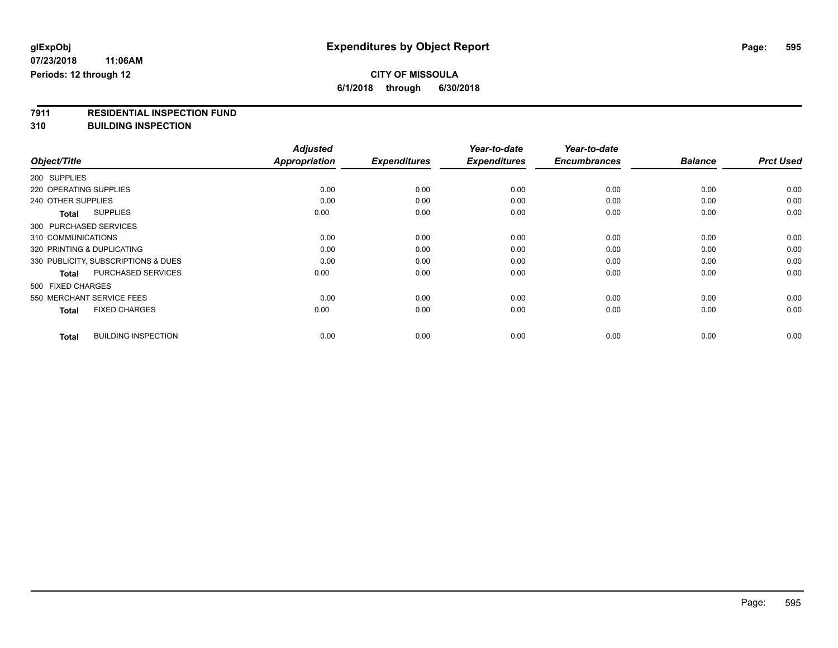# **7911 RESIDENTIAL INSPECTION FUND**

**310 BUILDING INSPECTION**

|                                            | <b>Adjusted</b>      |                     | Year-to-date        | Year-to-date        |                |                  |
|--------------------------------------------|----------------------|---------------------|---------------------|---------------------|----------------|------------------|
| Object/Title                               | <b>Appropriation</b> | <b>Expenditures</b> | <b>Expenditures</b> | <b>Encumbrances</b> | <b>Balance</b> | <b>Prct Used</b> |
| 200 SUPPLIES                               |                      |                     |                     |                     |                |                  |
| 220 OPERATING SUPPLIES                     | 0.00                 | 0.00                | 0.00                | 0.00                | 0.00           | 0.00             |
| 240 OTHER SUPPLIES                         | 0.00                 | 0.00                | 0.00                | 0.00                | 0.00           | 0.00             |
| <b>SUPPLIES</b><br><b>Total</b>            | 0.00                 | 0.00                | 0.00                | 0.00                | 0.00           | 0.00             |
| 300 PURCHASED SERVICES                     |                      |                     |                     |                     |                |                  |
| 310 COMMUNICATIONS                         | 0.00                 | 0.00                | 0.00                | 0.00                | 0.00           | 0.00             |
| 320 PRINTING & DUPLICATING                 | 0.00                 | 0.00                | 0.00                | 0.00                | 0.00           | 0.00             |
| 330 PUBLICITY, SUBSCRIPTIONS & DUES        | 0.00                 | 0.00                | 0.00                | 0.00                | 0.00           | 0.00             |
| PURCHASED SERVICES<br><b>Total</b>         | 0.00                 | 0.00                | 0.00                | 0.00                | 0.00           | 0.00             |
| 500 FIXED CHARGES                          |                      |                     |                     |                     |                |                  |
| 550 MERCHANT SERVICE FEES                  | 0.00                 | 0.00                | 0.00                | 0.00                | 0.00           | 0.00             |
| <b>FIXED CHARGES</b><br><b>Total</b>       | 0.00                 | 0.00                | 0.00                | 0.00                | 0.00           | 0.00             |
| <b>BUILDING INSPECTION</b><br><b>Total</b> | 0.00                 | 0.00                | 0.00                | 0.00                | 0.00           | 0.00             |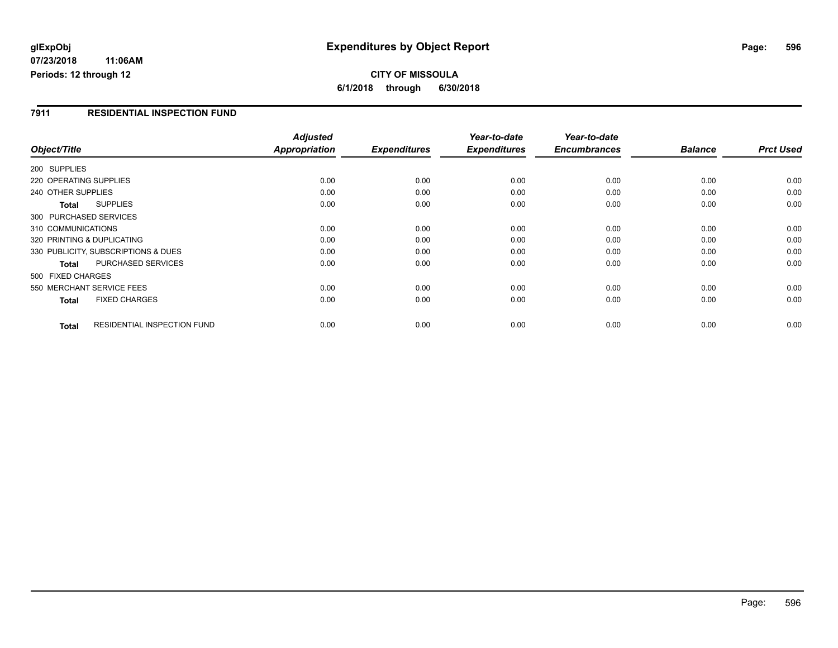**CITY OF MISSOULA 6/1/2018 through 6/30/2018**

### **7911 RESIDENTIAL INSPECTION FUND**

|                        |                                     | <b>Adjusted</b> |                     | Year-to-date        | Year-to-date        |                |                  |
|------------------------|-------------------------------------|-----------------|---------------------|---------------------|---------------------|----------------|------------------|
| Object/Title           |                                     | Appropriation   | <b>Expenditures</b> | <b>Expenditures</b> | <b>Encumbrances</b> | <b>Balance</b> | <b>Prct Used</b> |
| 200 SUPPLIES           |                                     |                 |                     |                     |                     |                |                  |
| 220 OPERATING SUPPLIES |                                     | 0.00            | 0.00                | 0.00                | 0.00                | 0.00           | 0.00             |
| 240 OTHER SUPPLIES     |                                     | 0.00            | 0.00                | 0.00                | 0.00                | 0.00           | 0.00             |
| <b>Total</b>           | <b>SUPPLIES</b>                     | 0.00            | 0.00                | 0.00                | 0.00                | 0.00           | 0.00             |
|                        | 300 PURCHASED SERVICES              |                 |                     |                     |                     |                |                  |
| 310 COMMUNICATIONS     |                                     | 0.00            | 0.00                | 0.00                | 0.00                | 0.00           | 0.00             |
|                        | 320 PRINTING & DUPLICATING          | 0.00            | 0.00                | 0.00                | 0.00                | 0.00           | 0.00             |
|                        | 330 PUBLICITY, SUBSCRIPTIONS & DUES | 0.00            | 0.00                | 0.00                | 0.00                | 0.00           | 0.00             |
| Total                  | <b>PURCHASED SERVICES</b>           | 0.00            | 0.00                | 0.00                | 0.00                | 0.00           | 0.00             |
| 500 FIXED CHARGES      |                                     |                 |                     |                     |                     |                |                  |
|                        | 550 MERCHANT SERVICE FEES           | 0.00            | 0.00                | 0.00                | 0.00                | 0.00           | 0.00             |
| <b>Total</b>           | <b>FIXED CHARGES</b>                | 0.00            | 0.00                | 0.00                | 0.00                | 0.00           | 0.00             |
| <b>Total</b>           | <b>RESIDENTIAL INSPECTION FUND</b>  | 0.00            | 0.00                | 0.00                | 0.00                | 0.00           | 0.00             |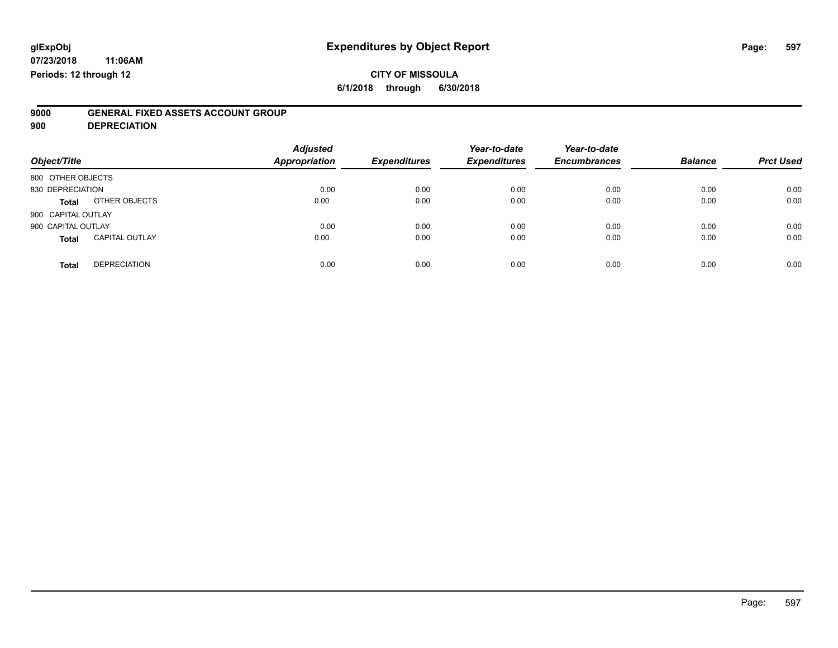# **9000 GENERAL FIXED ASSETS ACCOUNT GROUP**

**900 DEPRECIATION**

| Object/Title                          | <b>Adjusted</b><br><b>Appropriation</b> | <b>Expenditures</b> | Year-to-date<br><b>Expenditures</b> | Year-to-date<br><b>Encumbrances</b> | <b>Balance</b> | <b>Prct Used</b> |
|---------------------------------------|-----------------------------------------|---------------------|-------------------------------------|-------------------------------------|----------------|------------------|
| 800 OTHER OBJECTS                     |                                         |                     |                                     |                                     |                |                  |
| 830 DEPRECIATION                      | 0.00                                    | 0.00                | 0.00                                | 0.00                                | 0.00           | 0.00             |
| OTHER OBJECTS<br>Total                | 0.00                                    | 0.00                | 0.00                                | 0.00                                | 0.00           | 0.00             |
| 900 CAPITAL OUTLAY                    |                                         |                     |                                     |                                     |                |                  |
| 900 CAPITAL OUTLAY                    | 0.00                                    | 0.00                | 0.00                                | 0.00                                | 0.00           | 0.00             |
| <b>CAPITAL OUTLAY</b><br><b>Total</b> | 0.00                                    | 0.00                | 0.00                                | 0.00                                | 0.00           | 0.00             |
| <b>DEPRECIATION</b><br><b>Total</b>   | 0.00                                    | 0.00                | 0.00                                | 0.00                                | 0.00           | 0.00             |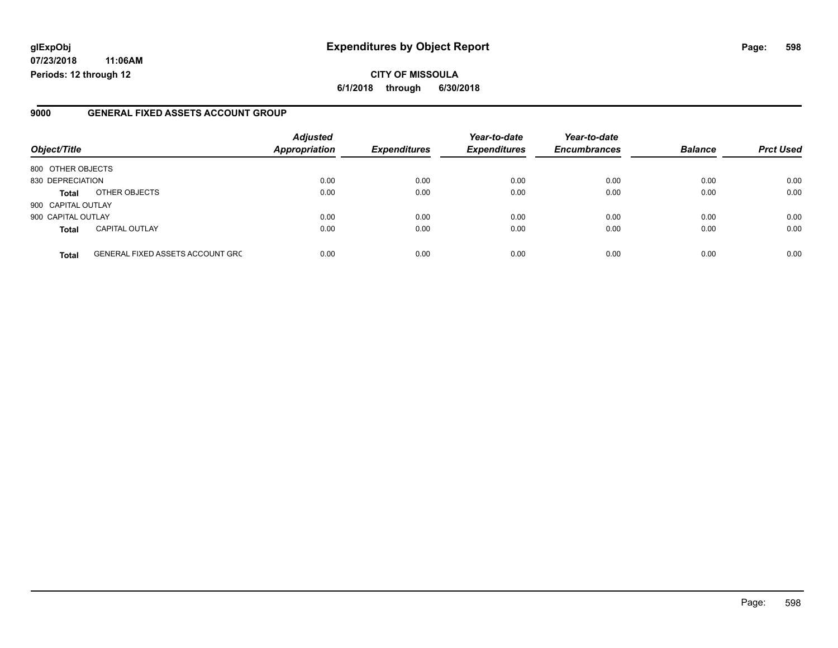# **glExpObj Expenditures by Object Report Page: 598**

**07/23/2018 11:06AM Periods: 12 through 12**

**CITY OF MISSOULA 6/1/2018 through 6/30/2018**

### **9000 GENERAL FIXED ASSETS ACCOUNT GROUP**

|                    |                                         | <b>Adjusted</b>      |                     | Year-to-date        | Year-to-date        |                |                  |
|--------------------|-----------------------------------------|----------------------|---------------------|---------------------|---------------------|----------------|------------------|
| Object/Title       |                                         | <b>Appropriation</b> | <b>Expenditures</b> | <b>Expenditures</b> | <b>Encumbrances</b> | <b>Balance</b> | <b>Prct Used</b> |
| 800 OTHER OBJECTS  |                                         |                      |                     |                     |                     |                |                  |
| 830 DEPRECIATION   |                                         | 0.00                 | 0.00                | 0.00                | 0.00                | 0.00           | 0.00             |
| Total              | OTHER OBJECTS                           | 0.00                 | 0.00                | 0.00                | 0.00                | 0.00           | 0.00             |
| 900 CAPITAL OUTLAY |                                         |                      |                     |                     |                     |                |                  |
| 900 CAPITAL OUTLAY |                                         | 0.00                 | 0.00                | 0.00                | 0.00                | 0.00           | 0.00             |
| <b>Total</b>       | <b>CAPITAL OUTLAY</b>                   | 0.00                 | 0.00                | 0.00                | 0.00                | 0.00           | 0.00             |
| <b>Total</b>       | <b>GENERAL FIXED ASSETS ACCOUNT GRC</b> | 0.00                 | 0.00                | 0.00                | 0.00                | 0.00           | 0.00             |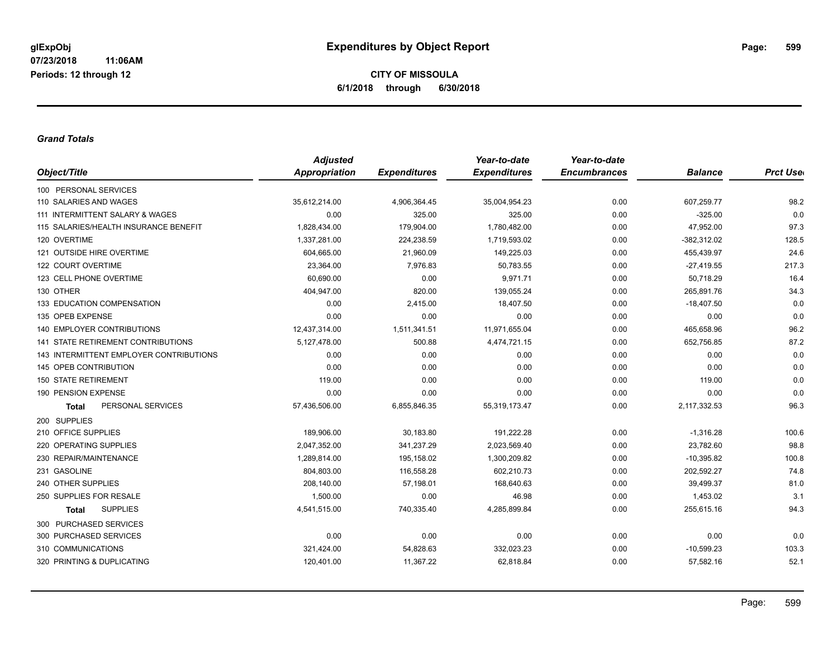#### *Grand Totals*

|                                           | <b>Adjusted</b>      |                     | Year-to-date        | Year-to-date        |                |                  |
|-------------------------------------------|----------------------|---------------------|---------------------|---------------------|----------------|------------------|
| Object/Title                              | <b>Appropriation</b> | <b>Expenditures</b> | <b>Expenditures</b> | <b>Encumbrances</b> | <b>Balance</b> | <b>Prct Uset</b> |
| 100 PERSONAL SERVICES                     |                      |                     |                     |                     |                |                  |
| 110 SALARIES AND WAGES                    | 35,612,214.00        | 4,906,364.45        | 35,004,954.23       | 0.00                | 607,259.77     | 98.2             |
| 111 INTERMITTENT SALARY & WAGES           | 0.00                 | 325.00              | 325.00              | 0.00                | $-325.00$      | 0.0              |
| 115 SALARIES/HEALTH INSURANCE BENEFIT     | 1,828,434.00         | 179,904.00          | 1,780,482.00        | 0.00                | 47,952.00      | 97.3             |
| 120 OVERTIME                              | 1,337,281.00         | 224,238.59          | 1,719,593.02        | 0.00                | $-382,312.02$  | 128.5            |
| 121 OUTSIDE HIRE OVERTIME                 | 604,665.00           | 21,960.09           | 149,225.03          | 0.00                | 455,439.97     | 24.6             |
| 122 COURT OVERTIME                        | 23,364.00            | 7,976.83            | 50,783.55           | 0.00                | $-27,419.55$   | 217.3            |
| 123 CELL PHONE OVERTIME                   | 60,690.00            | 0.00                | 9,971.71            | 0.00                | 50,718.29      | 16.4             |
| 130 OTHER                                 | 404,947.00           | 820.00              | 139,055.24          | 0.00                | 265,891.76     | 34.3             |
| 133 EDUCATION COMPENSATION                | 0.00                 | 2,415.00            | 18,407.50           | 0.00                | $-18,407.50$   | 0.0              |
| 135 OPEB EXPENSE                          | 0.00                 | 0.00                | 0.00                | 0.00                | 0.00           | 0.0              |
| 140 EMPLOYER CONTRIBUTIONS                | 12,437,314.00        | 1,511,341.51        | 11,971,655.04       | 0.00                | 465,658.96     | 96.2             |
| <b>141 STATE RETIREMENT CONTRIBUTIONS</b> | 5,127,478.00         | 500.88              | 4,474,721.15        | 0.00                | 652,756.85     | 87.2             |
| 143 INTERMITTENT EMPLOYER CONTRIBUTIONS   | 0.00                 | 0.00                | 0.00                | 0.00                | 0.00           | 0.0              |
| 145 OPEB CONTRIBUTION                     | 0.00                 | 0.00                | 0.00                | 0.00                | 0.00           | 0.0              |
| <b>150 STATE RETIREMENT</b>               | 119.00               | 0.00                | 0.00                | 0.00                | 119.00         | 0.0              |
| 190 PENSION EXPENSE                       | 0.00                 | 0.00                | 0.00                | 0.00                | 0.00           | 0.0              |
| PERSONAL SERVICES<br><b>Total</b>         | 57,436,506.00        | 6,855,846.35        | 55,319,173.47       | 0.00                | 2,117,332.53   | 96.3             |
| 200 SUPPLIES                              |                      |                     |                     |                     |                |                  |
| 210 OFFICE SUPPLIES                       | 189,906.00           | 30,183.80           | 191,222.28          | 0.00                | $-1,316.28$    | 100.6            |
| 220 OPERATING SUPPLIES                    | 2,047,352.00         | 341,237.29          | 2,023,569.40        | 0.00                | 23,782.60      | 98.8             |
| 230 REPAIR/MAINTENANCE                    | 1,289,814.00         | 195,158.02          | 1,300,209.82        | 0.00                | $-10,395.82$   | 100.8            |
| 231 GASOLINE                              | 804,803.00           | 116,558.28          | 602,210.73          | 0.00                | 202,592.27     | 74.8             |
| 240 OTHER SUPPLIES                        | 208,140.00           | 57,198.01           | 168,640.63          | 0.00                | 39,499.37      | 81.0             |
| 250 SUPPLIES FOR RESALE                   | 1,500.00             | 0.00                | 46.98               | 0.00                | 1,453.02       | 3.1              |
| <b>SUPPLIES</b><br>Total                  | 4,541,515.00         | 740,335.40          | 4,285,899.84        | 0.00                | 255,615.16     | 94.3             |
| 300 PURCHASED SERVICES                    |                      |                     |                     |                     |                |                  |
| 300 PURCHASED SERVICES                    | 0.00                 | 0.00                | 0.00                | 0.00                | 0.00           | 0.0              |
| 310 COMMUNICATIONS                        | 321,424.00           | 54,828.63           | 332,023.23          | 0.00                | $-10,599.23$   | 103.3            |
| 320 PRINTING & DUPLICATING                | 120,401.00           | 11,367.22           | 62,818.84           | 0.00                | 57,582.16      | 52.1             |
|                                           |                      |                     |                     |                     |                |                  |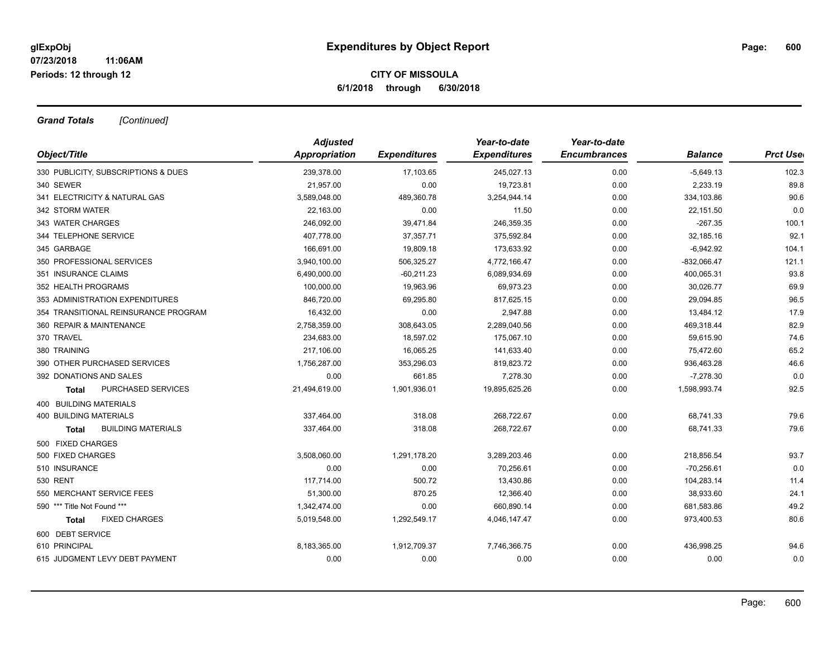*Grand Totals [Continued]*

|                                           | <b>Adjusted</b>      |                     | Year-to-date        | Year-to-date        |                |                  |
|-------------------------------------------|----------------------|---------------------|---------------------|---------------------|----------------|------------------|
| Object/Title                              | <b>Appropriation</b> | <b>Expenditures</b> | <b>Expenditures</b> | <b>Encumbrances</b> | <b>Balance</b> | <b>Prct Uset</b> |
| 330 PUBLICITY, SUBSCRIPTIONS & DUES       | 239,378.00           | 17,103.65           | 245,027.13          | 0.00                | $-5,649.13$    | 102.3            |
| 340 SEWER                                 | 21,957.00            | 0.00                | 19,723.81           | 0.00                | 2,233.19       | 89.8             |
| 341 ELECTRICITY & NATURAL GAS             | 3,589,048.00         | 489,360.78          | 3,254,944.14        | 0.00                | 334,103.86     | 90.6             |
| 342 STORM WATER                           | 22,163.00            | 0.00                | 11.50               | 0.00                | 22,151.50      | 0.0              |
| 343 WATER CHARGES                         | 246,092.00           | 39,471.84           | 246,359.35          | 0.00                | $-267.35$      | 100.1            |
| 344 TELEPHONE SERVICE                     | 407,778.00           | 37,357.71           | 375,592.84          | 0.00                | 32,185.16      | 92.1             |
| 345 GARBAGE                               | 166,691.00           | 19,809.18           | 173,633.92          | 0.00                | $-6,942.92$    | 104.1            |
| 350 PROFESSIONAL SERVICES                 | 3,940,100.00         | 506,325.27          | 4,772,166.47        | 0.00                | $-832,066.47$  | 121.1            |
| 351 INSURANCE CLAIMS                      | 6,490,000.00         | $-60,211.23$        | 6,089,934.69        | 0.00                | 400,065.31     | 93.8             |
| 352 HEALTH PROGRAMS                       | 100,000.00           | 19,963.96           | 69,973.23           | 0.00                | 30,026.77      | 69.9             |
| 353 ADMINISTRATION EXPENDITURES           | 846,720.00           | 69,295.80           | 817,625.15          | 0.00                | 29,094.85      | 96.5             |
| 354 TRANSITIONAL REINSURANCE PROGRAM      | 16,432.00            | 0.00                | 2,947.88            | 0.00                | 13,484.12      | 17.9             |
| 360 REPAIR & MAINTENANCE                  | 2,758,359.00         | 308,643.05          | 2,289,040.56        | 0.00                | 469,318.44     | 82.9             |
| 370 TRAVEL                                | 234,683.00           | 18,597.02           | 175,067.10          | 0.00                | 59,615.90      | 74.6             |
| 380 TRAINING                              | 217,106.00           | 16,065.25           | 141,633.40          | 0.00                | 75,472.60      | 65.2             |
| 390 OTHER PURCHASED SERVICES              | 1,756,287.00         | 353,296.03          | 819,823.72          | 0.00                | 936,463.28     | 46.6             |
| 392 DONATIONS AND SALES                   | 0.00                 | 661.85              | 7,278.30            | 0.00                | $-7,278.30$    | 0.0              |
| PURCHASED SERVICES<br>Total               | 21,494,619.00        | 1,901,936.01        | 19,895,625.26       | 0.00                | 1,598,993.74   | 92.5             |
| <b>400 BUILDING MATERIALS</b>             |                      |                     |                     |                     |                |                  |
| <b>400 BUILDING MATERIALS</b>             | 337,464.00           | 318.08              | 268,722.67          | 0.00                | 68,741.33      | 79.6             |
| <b>BUILDING MATERIALS</b><br><b>Total</b> | 337,464.00           | 318.08              | 268,722.67          | 0.00                | 68,741.33      | 79.6             |
| 500 FIXED CHARGES                         |                      |                     |                     |                     |                |                  |
| 500 FIXED CHARGES                         | 3,508,060.00         | 1,291,178.20        | 3,289,203.46        | 0.00                | 218,856.54     | 93.7             |
| 510 INSURANCE                             | 0.00                 | 0.00                | 70,256.61           | 0.00                | $-70,256.61$   | 0.0              |
| 530 RENT                                  | 117,714.00           | 500.72              | 13,430.86           | 0.00                | 104,283.14     | 11.4             |
| 550 MERCHANT SERVICE FEES                 | 51,300.00            | 870.25              | 12,366.40           | 0.00                | 38,933.60      | 24.1             |
| 590 *** Title Not Found ***               | 1,342,474.00         | 0.00                | 660,890.14          | 0.00                | 681,583.86     | 49.2             |
| <b>FIXED CHARGES</b><br>Total             | 5,019,548.00         | 1,292,549.17        | 4,046,147.47        | 0.00                | 973,400.53     | 80.6             |
| 600 DEBT SERVICE                          |                      |                     |                     |                     |                |                  |
| 610 PRINCIPAL                             | 8,183,365.00         | 1,912,709.37        | 7,746,366.75        | 0.00                | 436,998.25     | 94.6             |
| 615 JUDGMENT LEVY DEBT PAYMENT            | 0.00                 | 0.00                | 0.00                | 0.00                | 0.00           | 0.0              |